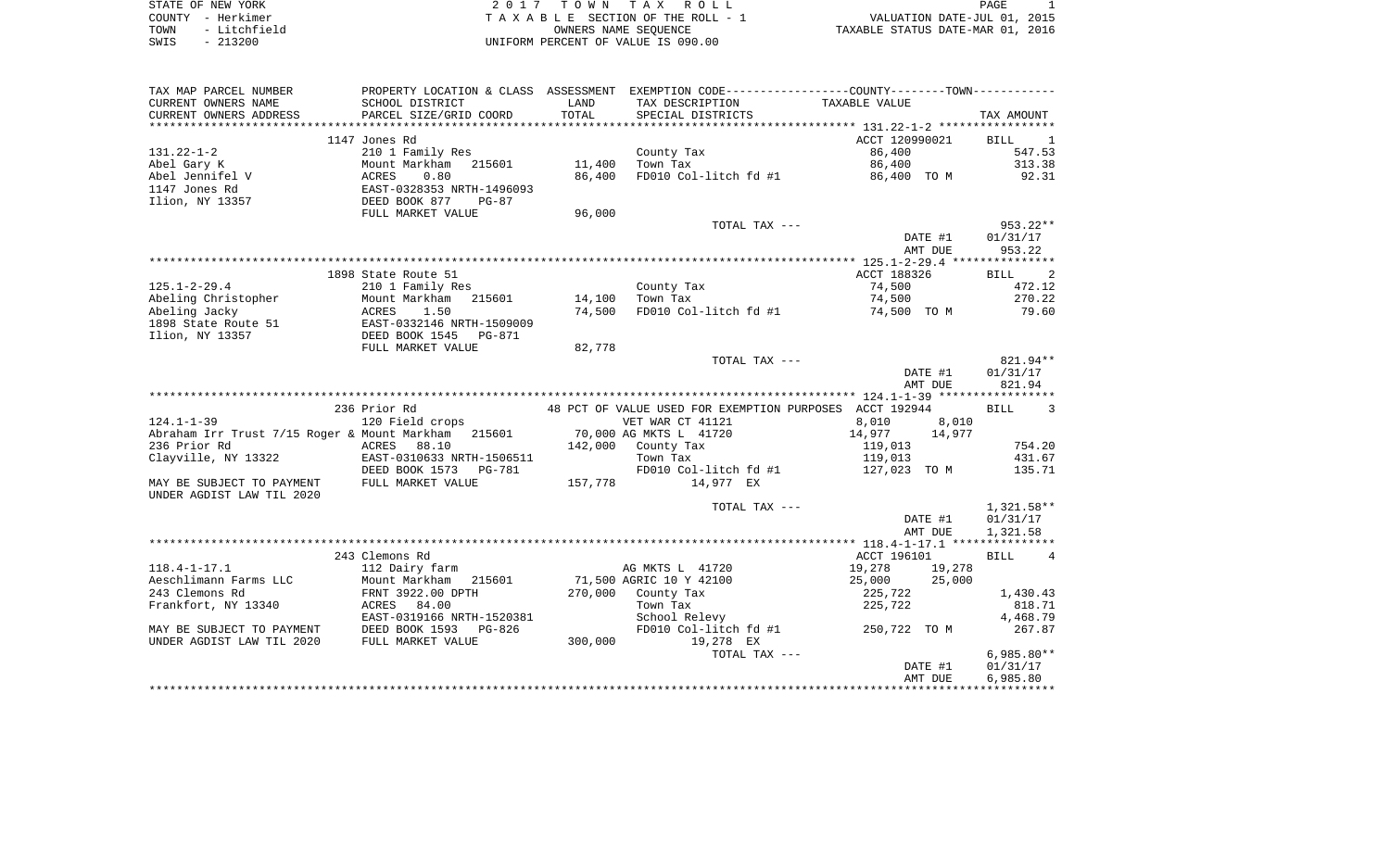STATE OF NEW YORK **EXECUTE:** A 2 0 1 7 T O W N T A X R O L L PAGE 1 COUNTY - Herkimer<br>
T A X A B L E SECTION OF THE ROLL - 1<br>
TOWN - Litchfield<br>
SWIS - 213200 - UNIFORM PERCENT OF VALUE IS 090.00 TOWN - LITTLE ROLL - 1<br>
TAXABLE STATUS DATE-JUL 01, 2015<br>
TAXABLE STATUS DATE-MAR 01, 2016 SWIS - 213200 UNIFORM PERCENT OF VALUE IS 090.00

| TAX MAP PARCEL NUMBER                        | PROPERTY LOCATION & CLASS ASSESSMENT |         |                                                         | EXEMPTION CODE-----------------COUNTY-------TOWN----------- |                                  |
|----------------------------------------------|--------------------------------------|---------|---------------------------------------------------------|-------------------------------------------------------------|----------------------------------|
| CURRENT OWNERS NAME                          | SCHOOL DISTRICT                      | LAND    | TAX DESCRIPTION                                         | TAXABLE VALUE                                               |                                  |
| CURRENT OWNERS ADDRESS                       | PARCEL SIZE/GRID COORD               | TOTAL   | SPECIAL DISTRICTS                                       |                                                             | TAX AMOUNT                       |
|                                              |                                      |         |                                                         |                                                             |                                  |
|                                              | 1147 Jones Rd                        |         |                                                         | ACCT 120990021                                              | $\overline{\phantom{0}}$<br>BILL |
| $131.22 - 1 - 2$                             | 210 1 Family Res                     |         | County Tax                                              | 86,400                                                      | 547.53                           |
| Abel Gary K                                  | Mount Markham<br>215601              | 11,400  | Town Tax                                                | 86,400                                                      | 313.38                           |
| Abel Jennifel V                              | ACRES<br>0.80                        | 86,400  | FD010 Col-litch fd #1                                   | 86,400 TO M                                                 | 92.31                            |
| 1147 Jones Rd                                | EAST-0328353 NRTH-1496093            |         |                                                         |                                                             |                                  |
| Ilion, NY 13357                              | DEED BOOK 877<br>$PG-87$             |         |                                                         |                                                             |                                  |
|                                              | FULL MARKET VALUE                    | 96,000  |                                                         |                                                             |                                  |
|                                              |                                      |         | TOTAL TAX ---                                           |                                                             | $953.22**$                       |
|                                              |                                      |         |                                                         | DATE #1                                                     | 01/31/17                         |
|                                              |                                      |         |                                                         | AMT DUE                                                     | 953.22                           |
|                                              |                                      |         |                                                         |                                                             |                                  |
|                                              | 1898 State Route 51                  |         |                                                         | ACCT 188326                                                 | $\overline{\phantom{a}}$<br>BILL |
| $125.1 - 2 - 29.4$                           | 210 1 Family Res                     |         | County Tax                                              | 74,500                                                      | 472.12                           |
| Abeling Christopher                          | 215601<br>Mount Markham              | 14,100  | Town Tax                                                | 74,500                                                      | 270.22                           |
| Abeling Jacky                                | ACRES<br>1.50                        | 74,500  | FD010 Col-litch fd #1                                   | 74,500 TO M                                                 | 79.60                            |
| 1898 State Route 51                          | EAST-0332146 NRTH-1509009            |         |                                                         |                                                             |                                  |
| Ilion, NY 13357                              | DEED BOOK 1545 PG-871                |         |                                                         |                                                             |                                  |
|                                              | FULL MARKET VALUE                    | 82,778  |                                                         |                                                             |                                  |
|                                              |                                      |         | TOTAL TAX ---                                           |                                                             | 821.94**                         |
|                                              |                                      |         |                                                         | DATE #1                                                     | 01/31/17                         |
|                                              |                                      |         |                                                         | AMT DUE                                                     | 821.94                           |
|                                              |                                      |         |                                                         |                                                             |                                  |
|                                              | 236 Prior Rd                         |         | 48 PCT OF VALUE USED FOR EXEMPTION PURPOSES ACCT 192944 |                                                             | $\overline{3}$<br>BILL           |
| $124.1 - 1 - 39$                             | 120 Field crops                      |         | VET WAR CT 41121                                        | 8,010<br>8,010                                              |                                  |
| Abraham Irr Trust 7/15 Roger & Mount Markham | 215601                               |         | 70,000 AG MKTS L 41720                                  | 14,977<br>14,977                                            |                                  |
| 236 Prior Rd                                 | ACRES<br>88.10                       |         | 142,000 County Tax                                      | 119,013                                                     | 754.20                           |
| Clayville, NY 13322                          | EAST-0310633 NRTH-1506511            |         | Town Tax                                                | 119,013                                                     | 431.67                           |
|                                              | DEED BOOK 1573<br>PG-781             |         | FD010 Col-litch fd #1                                   | 127,023 TO M                                                | 135.71                           |
| MAY BE SUBJECT TO PAYMENT                    | FULL MARKET VALUE                    | 157,778 | 14,977 EX                                               |                                                             |                                  |
| UNDER AGDIST LAW TIL 2020                    |                                      |         |                                                         |                                                             |                                  |
|                                              |                                      |         | TOTAL TAX ---                                           |                                                             | $1,321.58**$                     |
|                                              |                                      |         |                                                         | DATE #1                                                     | 01/31/17                         |
|                                              |                                      |         |                                                         | AMT DUE                                                     | 1,321.58                         |
|                                              |                                      |         |                                                         |                                                             |                                  |
|                                              | 243 Clemons Rd                       |         |                                                         | ACCT 196101                                                 | $\overline{4}$<br>BILL           |
| $118.4 - 1 - 17.1$                           | 112 Dairy farm                       |         | AG MKTS L 41720                                         | 19,278<br>19,278                                            |                                  |
| Aeschlimann Farms LLC                        |                                      |         |                                                         |                                                             |                                  |
|                                              | Mount Markham 215601                 |         | 71,500 AGRIC 10 Y 42100                                 | 25,000<br>25,000                                            |                                  |
| 243 Clemons Rd                               | FRNT 3922.00 DPTH                    | 270,000 | County Tax                                              | 225,722                                                     | 1,430.43                         |
| Frankfort, NY 13340                          | ACRES 84.00                          |         | Town Tax                                                | 225,722                                                     | 818.71                           |
|                                              | EAST-0319166 NRTH-1520381            |         | School Relevy                                           |                                                             | 4,468.79                         |
| MAY BE SUBJECT TO PAYMENT                    | DEED BOOK 1593<br>PG-826             |         | FD010 Col-litch fd #1                                   | 250,722 TO M                                                | 267.87                           |
| UNDER AGDIST LAW TIL 2020                    |                                      |         |                                                         |                                                             |                                  |
|                                              | FULL MARKET VALUE                    | 300,000 | 19,278 EX                                               |                                                             |                                  |
|                                              |                                      |         | TOTAL TAX ---                                           |                                                             | $6,985.80**$                     |
|                                              |                                      |         |                                                         | DATE #1                                                     | 01/31/17                         |
|                                              |                                      |         |                                                         | AMT DUE                                                     | 6,985.80                         |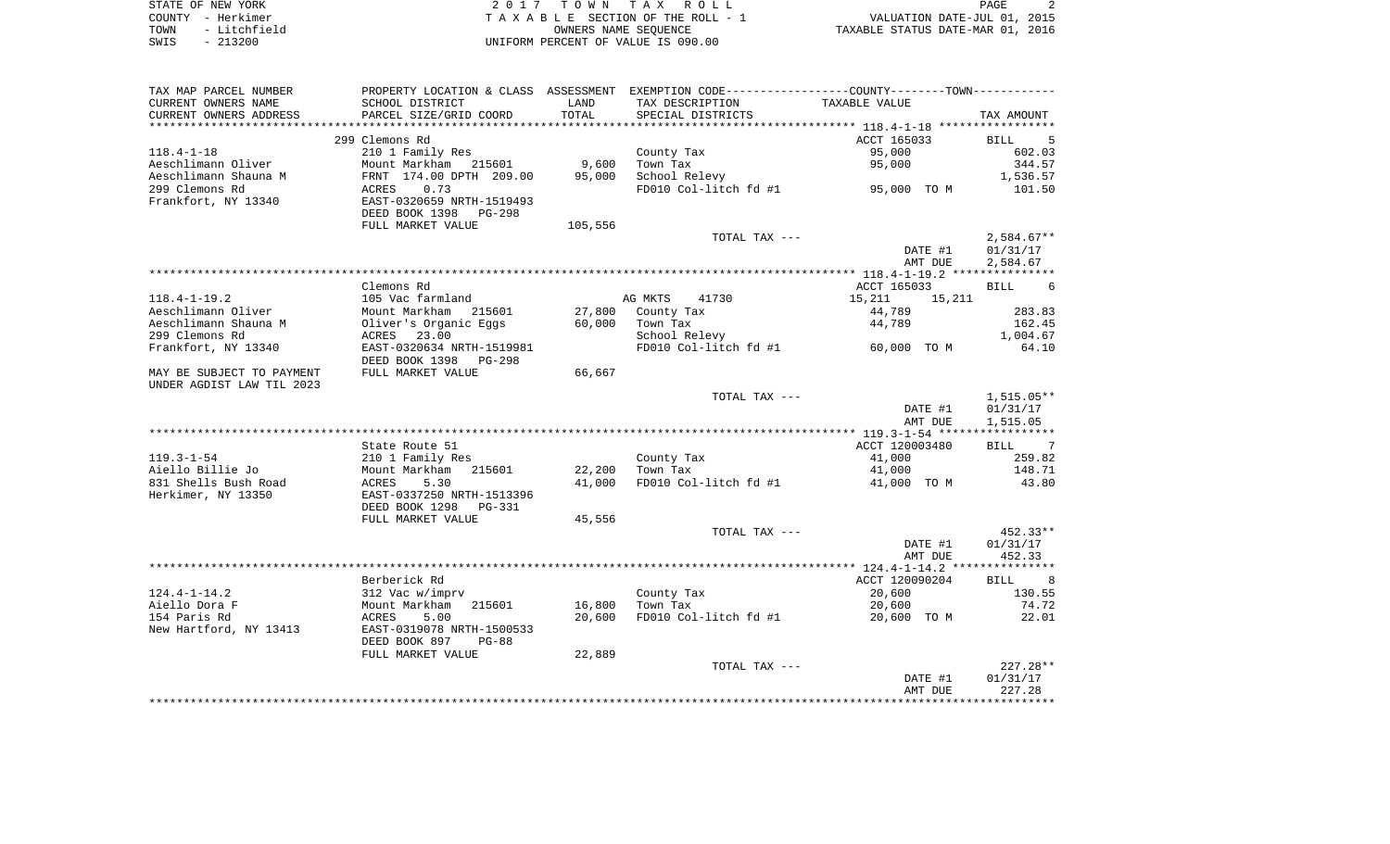| STATE OF NEW YORK |              | 2017 TOWN TAX ROLL                 |                                  | PAGE                        |  |
|-------------------|--------------|------------------------------------|----------------------------------|-----------------------------|--|
| COUNTY - Herkimer |              | TAXABLE SECTION OF THE ROLL - 1    |                                  | VALUATION DATE-JUL 01, 2015 |  |
| TOWN              | - Litchfield | OWNERS NAME SEOUENCE               | TAXABLE STATUS DATE-MAR 01, 2016 |                             |  |
| SWIS              | - 213200     | UNIFORM PERCENT OF VALUE IS 090.00 |                                  |                             |  |

PAGE 2

| TAX MAP PARCEL NUMBER<br>CURRENT OWNERS NAME | SCHOOL DISTRICT                                       | LAND    | PROPERTY LOCATION & CLASS ASSESSMENT EXEMPTION CODE---------------COUNTY-------TOWN----------<br>TAX DESCRIPTION | TAXABLE VALUE      |                                    |
|----------------------------------------------|-------------------------------------------------------|---------|------------------------------------------------------------------------------------------------------------------|--------------------|------------------------------------|
| CURRENT OWNERS ADDRESS                       | PARCEL SIZE/GRID COORD                                | TOTAL   | SPECIAL DISTRICTS                                                                                                |                    | TAX AMOUNT                         |
|                                              |                                                       |         |                                                                                                                  |                    |                                    |
|                                              | 299 Clemons Rd                                        |         |                                                                                                                  | ACCT 165033        | BILL<br>- 5                        |
| $118.4 - 1 - 18$                             | 210 1 Family Res                                      |         | County Tax                                                                                                       | 95,000             | 602.03                             |
| Aeschlimann Oliver                           | Mount Markham 215601                                  | 9,600   | Town Tax                                                                                                         | 95,000             | 344.57                             |
| Aeschlimann Shauna M                         | FRNT 174.00 DPTH 209.00                               | 95,000  | School Relevy                                                                                                    |                    | 1,536.57                           |
| 299 Clemons Rd<br>Frankfort, NY 13340        | 0.73<br>ACRES<br>EAST-0320659 NRTH-1519493            |         | FD010 Col-litch fd #1                                                                                            | 95,000 TO M        | 101.50                             |
|                                              | DEED BOOK 1398<br>PG-298<br>FULL MARKET VALUE         | 105,556 |                                                                                                                  |                    |                                    |
|                                              |                                                       |         | TOTAL TAX ---                                                                                                    |                    | $2,584.67**$                       |
|                                              |                                                       |         |                                                                                                                  | DATE #1            | 01/31/17                           |
|                                              |                                                       |         |                                                                                                                  | AMT DUE            | 2,584.67                           |
|                                              |                                                       |         |                                                                                                                  |                    |                                    |
|                                              | Clemons Rd                                            |         |                                                                                                                  | ACCT 165033        | <b>BILL</b><br>6                   |
| $118.4 - 1 - 19.2$                           | 105 Vac farmland                                      |         | AG MKTS<br>41730                                                                                                 | 15,211<br>15,211   |                                    |
| Aeschlimann Oliver                           | Mount Markham<br>215601                               | 27,800  | County Tax                                                                                                       | 44,789             | 283.83                             |
| Aeschlimann Shauna M                         | Oliver's Organic Eggs                                 | 60,000  | Town Tax                                                                                                         | 44,789             | 162.45                             |
| 299 Clemons Rd                               | ACRES 23.00                                           |         | School Relevy                                                                                                    |                    | 1,004.67                           |
| Frankfort, NY 13340                          | EAST-0320634 NRTH-1519981<br>DEED BOOK 1398<br>PG-298 |         | FD010 Col-litch fd #1                                                                                            | 60,000 TO M        | 64.10                              |
| MAY BE SUBJECT TO PAYMENT                    | FULL MARKET VALUE                                     | 66,667  |                                                                                                                  |                    |                                    |
| UNDER AGDIST LAW TIL 2023                    |                                                       |         |                                                                                                                  |                    |                                    |
|                                              |                                                       |         | TOTAL TAX ---                                                                                                    | DATE #1<br>AMT DUE | 1,515.05**<br>01/31/17<br>1,515.05 |
|                                              |                                                       |         |                                                                                                                  |                    |                                    |
|                                              | State Route 51                                        |         |                                                                                                                  | ACCT 120003480     | BILL<br>7                          |
| $119.3 - 1 - 54$                             | 210 1 Family Res                                      |         | County Tax                                                                                                       | 41,000             | 259.82                             |
| Aiello Billie Jo                             | 215601<br>Mount Markham                               | 22,200  | Town Tax                                                                                                         | 41,000             | 148.71                             |
| 831 Shells Bush Road<br>Herkimer, NY 13350   | 5.30<br>ACRES<br>EAST-0337250 NRTH-1513396            | 41,000  | FD010 Col-litch fd #1                                                                                            | 41,000 TO M        | 43.80                              |
|                                              | DEED BOOK 1298<br>PG-331                              |         |                                                                                                                  |                    |                                    |
|                                              | FULL MARKET VALUE                                     | 45,556  |                                                                                                                  |                    | 452.33**                           |
|                                              |                                                       |         | TOTAL TAX ---                                                                                                    | DATE #1            | 01/31/17                           |
|                                              |                                                       |         |                                                                                                                  | AMT DUE            | 452.33                             |
|                                              |                                                       |         |                                                                                                                  |                    |                                    |
|                                              | Berberick Rd                                          |         |                                                                                                                  | ACCT 120090204     | <b>BILL</b><br>$_{\rm 8}$          |
| $124.4 - 1 - 14.2$                           | 312 Vac w/imprv                                       |         | County Tax                                                                                                       | 20,600             | 130.55                             |
| Aiello Dora F                                | Mount Markham<br>215601                               | 16,800  | Town Tax                                                                                                         | 20,600             | 74.72                              |
| 154 Paris Rd                                 | ACRES<br>5.00                                         | 20,600  | FD010 Col-litch fd #1                                                                                            | 20,600 TO M        | 22.01                              |
| New Hartford, NY 13413                       | EAST-0319078 NRTH-1500533<br>DEED BOOK 897<br>$PG-88$ |         |                                                                                                                  |                    |                                    |
|                                              | FULL MARKET VALUE                                     | 22,889  |                                                                                                                  |                    |                                    |
|                                              |                                                       |         | TOTAL TAX ---                                                                                                    |                    | $227.28**$                         |
|                                              |                                                       |         |                                                                                                                  | DATE #1            | 01/31/17                           |
|                                              |                                                       |         |                                                                                                                  | AMT DUE            | 227.28                             |
|                                              |                                                       |         |                                                                                                                  |                    |                                    |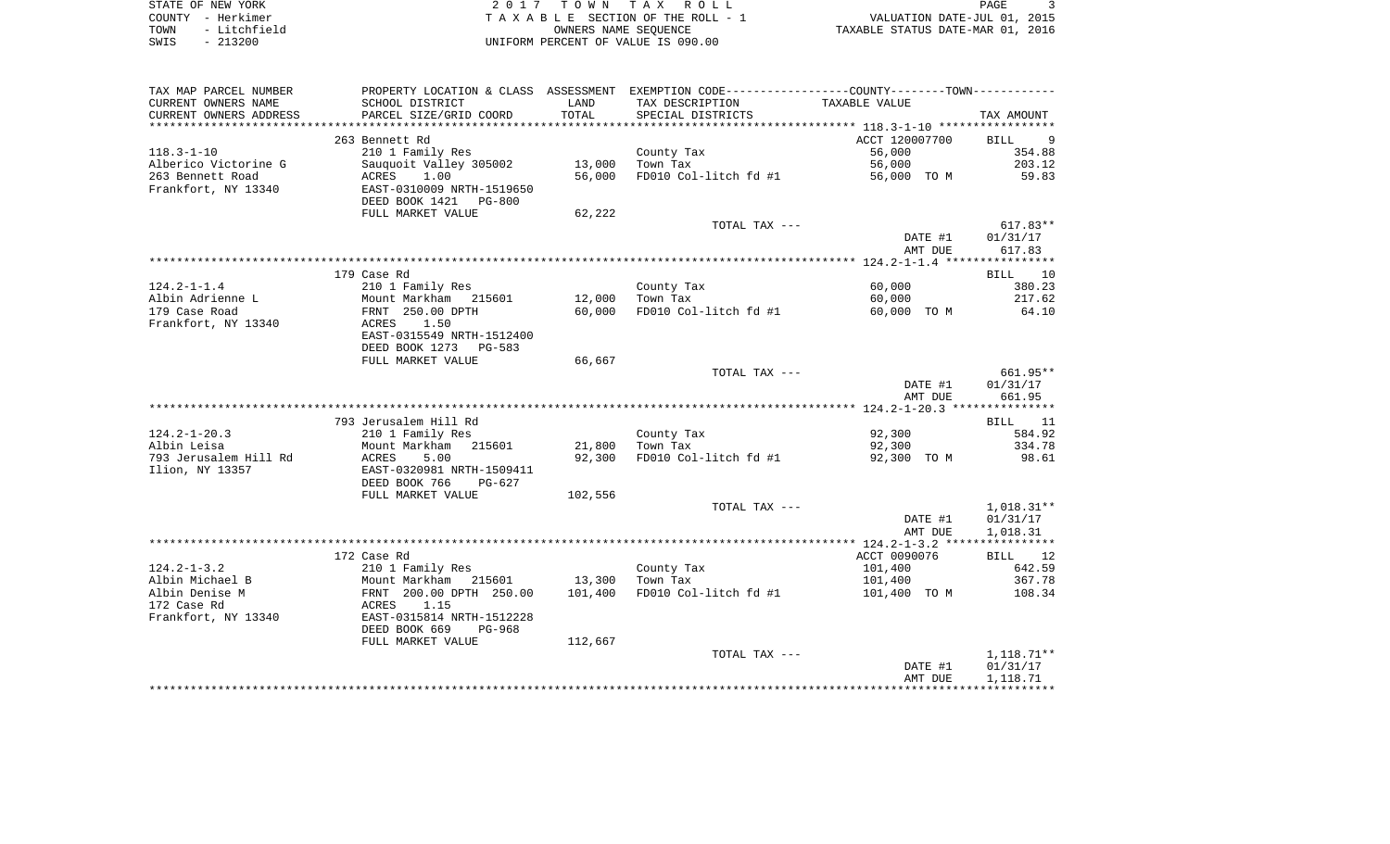|      | STATE OF NEW YORK | 2017 TOWN TAX ROLL                 |                                  |
|------|-------------------|------------------------------------|----------------------------------|
|      |                   |                                    | PAGE                             |
|      | COUNTY - Herkimer | TAXABLE SECTION OF THE ROLL - 1    | VALUATION DATE-JUL 01, 2015      |
| TOWN | - Litchfield      | OWNERS NAME SEOUENCE               | TAXABLE STATUS DATE-MAR 01, 2016 |
| SWIS | $-213200$         | UNIFORM PERCENT OF VALUE IS 090.00 |                                  |

 $\begin{array}{c} 3 \\ 2015 \\ 2016 \end{array}$ 

| TAX MAP PARCEL NUMBER  | PROPERTY LOCATION & CLASS ASSESSMENT EXEMPTION CODE--------------COUNTY-------TOWN--------- |         |                       |                |              |
|------------------------|---------------------------------------------------------------------------------------------|---------|-----------------------|----------------|--------------|
| CURRENT OWNERS NAME    | SCHOOL DISTRICT                                                                             | LAND    | TAX DESCRIPTION       | TAXABLE VALUE  |              |
| CURRENT OWNERS ADDRESS | PARCEL SIZE/GRID COORD                                                                      | TOTAL   | SPECIAL DISTRICTS     |                | TAX AMOUNT   |
|                        |                                                                                             |         |                       |                |              |
|                        | 263 Bennett Rd                                                                              |         |                       | ACCT 120007700 | BILL 9       |
| $118.3 - 1 - 10$       | 210 1 Family Res                                                                            |         | County Tax            | 56,000         | 354.88       |
|                        |                                                                                             |         |                       |                |              |
| Alberico Victorine G   | Sauquoit Valley 305002                                                                      | 13,000  | Town Tax              | 56,000         | 203.12       |
| 263 Bennett Road       | ACRES 1.00                                                                                  | 56,000  | FD010 Col-litch fd #1 | 56,000 TO M    | 59.83        |
| Frankfort, NY 13340    | EAST-0310009 NRTH-1519650                                                                   |         |                       |                |              |
|                        | DEED BOOK 1421 PG-800                                                                       |         |                       |                |              |
|                        | FULL MARKET VALUE                                                                           | 62,222  |                       |                |              |
|                        |                                                                                             |         | TOTAL TAX ---         |                | $617.83**$   |
|                        |                                                                                             |         |                       | DATE #1        | 01/31/17     |
|                        |                                                                                             |         |                       | AMT DUE        | 617.83       |
|                        |                                                                                             |         |                       |                |              |
|                        | 179 Case Rd                                                                                 |         |                       |                | 10           |
|                        |                                                                                             |         |                       |                | BILL         |
| $124.2 - 1 - 1.4$      | 210 1 Family Res                                                                            |         | County Tax            | 60,000         | 380.23       |
| Albin Adrienne L       | Mount Markham 215601                                                                        | 12,000  | Town Tax              | 60,000         | 217.62       |
| 179 Case Road          | FRNT 250.00 DPTH                                                                            | 60,000  | FD010 Col-litch fd #1 | 60,000 TO M    | 64.10        |
| Frankfort, NY 13340    | 1.50<br>ACRES                                                                               |         |                       |                |              |
|                        | EAST-0315549 NRTH-1512400                                                                   |         |                       |                |              |
|                        | DEED BOOK 1273 PG-583                                                                       |         |                       |                |              |
|                        | FULL MARKET VALUE                                                                           | 66,667  |                       |                |              |
|                        |                                                                                             |         | TOTAL TAX ---         |                | 661.95**     |
|                        |                                                                                             |         |                       | DATE #1        | 01/31/17     |
|                        |                                                                                             |         |                       | AMT DUE        | 661.95       |
|                        |                                                                                             |         |                       |                |              |
|                        |                                                                                             |         |                       |                |              |
|                        | 793 Jerusalem Hill Rd                                                                       |         |                       |                | 11<br>BILL   |
| $124.2 - 1 - 20.3$     | 210 1 Family Res                                                                            |         | County Tax            | 92,300         | 584.92       |
| Albin Leisa            | Mount Markham 215601                                                                        | 21,800  | Town Tax              | 92,300         | 334.78       |
| 793 Jerusalem Hill Rd  | ACRES<br>5.00                                                                               | 92,300  | FD010 Col-litch fd #1 | 92,300 TO M    | 98.61        |
| Ilion, NY 13357        | EAST-0320981 NRTH-1509411                                                                   |         |                       |                |              |
|                        | DEED BOOK 766<br>$PG-627$                                                                   |         |                       |                |              |
|                        | FULL MARKET VALUE                                                                           | 102,556 |                       |                |              |
|                        |                                                                                             |         | TOTAL TAX ---         |                | $1,018.31**$ |
|                        |                                                                                             |         |                       | DATE #1        | 01/31/17     |
|                        |                                                                                             |         |                       | AMT DUE        | 1,018.31     |
|                        |                                                                                             |         |                       |                |              |
|                        |                                                                                             |         |                       |                |              |
|                        | 172 Case Rd                                                                                 |         |                       | ACCT 0090076   | BILL 12      |
| $124.2 - 1 - 3.2$      | 210 1 Family Res                                                                            |         | County Tax            | 101,400        | 642.59       |
| Albin Michael B        | Mount Markham 215601                                                                        | 13,300  | Town Tax              | 101,400        | 367.78       |
| Albin Denise M         | FRNT 200.00 DPTH 250.00                                                                     | 101,400 | FD010 Col-litch fd #1 | 101,400 TO M   | 108.34       |
| 172 Case Rd            | 1.15<br>ACRES                                                                               |         |                       |                |              |
| Frankfort, NY 13340    | EAST-0315814 NRTH-1512228                                                                   |         |                       |                |              |
|                        | DEED BOOK 669<br>PG-968                                                                     |         |                       |                |              |
|                        | FULL MARKET VALUE                                                                           | 112,667 |                       |                |              |
|                        |                                                                                             |         |                       |                | 1,118.71**   |
|                        |                                                                                             |         | TOTAL TAX ---         |                |              |
|                        |                                                                                             |         |                       | DATE #1        | 01/31/17     |
|                        |                                                                                             |         |                       | AMT DUE        | 1,118.71     |
|                        |                                                                                             |         |                       |                |              |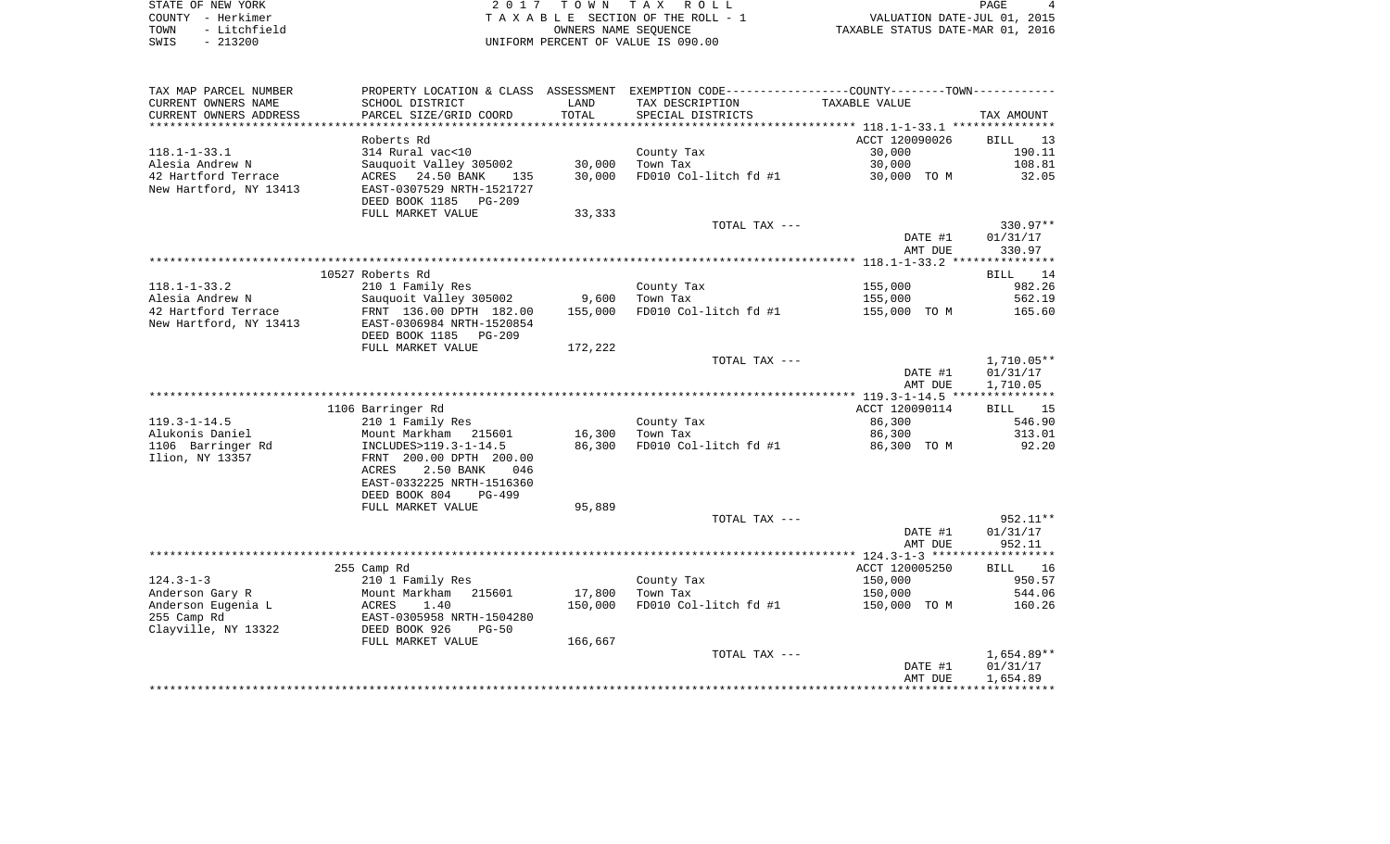STATE OF NEW YORK GOOD CONSULTED A SAME OF A LOCAL CONSULTED A LOCAL CONSULTED A LOCAL CONSULTED AND RELATED A LOCAL CONSULTED A LOCAL CONSULTED A LOCAL CONSULTED A LOCAL CONSULTED A LOCAL CONSULTED A LOCAL CONSULTED A LOC COUNTY - Herkimer<br>
T A X A B L E SECTION OF THE ROLL - 1<br>
TOWN - Litchfield<br>
SWIS - 213200 - UNIFORM PERCENT OF VALUE IS 090.00 TOWN - Litchfield OWNERS NAME SEQUENCE TAXABLE STATUS DATE-MAR 01, 2016 SWIS - 213200 UNIFORM PERCENT OF VALUE IS 090.00

| TAX MAP PARCEL NUMBER  | PROPERTY LOCATION & CLASS ASSESSMENT EXEMPTION CODE-----------------COUNTY--------TOWN----------- |         |                       |                |                   |
|------------------------|---------------------------------------------------------------------------------------------------|---------|-----------------------|----------------|-------------------|
| CURRENT OWNERS NAME    | SCHOOL DISTRICT                                                                                   | LAND    | TAX DESCRIPTION       | TAXABLE VALUE  |                   |
| CURRENT OWNERS ADDRESS | PARCEL SIZE/GRID COORD                                                                            | TOTAL   | SPECIAL DISTRICTS     |                | TAX AMOUNT        |
|                        |                                                                                                   |         |                       |                |                   |
|                        | Roberts Rd                                                                                        |         |                       | ACCT 120090026 | BILL<br>13        |
| $118.1 - 1 - 33.1$     | 314 Rural vac<10                                                                                  |         | County Tax            | 30,000         | 190.11            |
| Alesia Andrew N        | Sauquoit Valley 305002                                                                            | 30,000  | Town Tax              | 30,000         | 108.81            |
| 42 Hartford Terrace    | ACRES 24.50 BANK<br>135                                                                           | 30,000  | FD010 Col-litch fd #1 | 30,000 TO M    | 32.05             |
|                        |                                                                                                   |         |                       |                |                   |
| New Hartford, NY 13413 | EAST-0307529 NRTH-1521727                                                                         |         |                       |                |                   |
|                        | DEED BOOK 1185<br>PG-209                                                                          |         |                       |                |                   |
|                        | FULL MARKET VALUE                                                                                 | 33,333  |                       |                |                   |
|                        |                                                                                                   |         | TOTAL TAX ---         |                | 330.97**          |
|                        |                                                                                                   |         |                       | DATE #1        | 01/31/17          |
|                        |                                                                                                   |         |                       | AMT DUE        | 330.97            |
|                        |                                                                                                   |         |                       |                |                   |
|                        | 10527 Roberts Rd                                                                                  |         |                       |                | <b>BILL</b><br>14 |
| $118.1 - 1 - 33.2$     | 210 1 Family Res                                                                                  |         | County Tax            | 155,000        | 982.26            |
| Alesia Andrew N        | Sauquoit Valley 305002                                                                            | 9,600   | Town Tax              | 155,000        | 562.19            |
| 42 Hartford Terrace    | FRNT 136.00 DPTH 182.00                                                                           | 155,000 | FD010 Col-litch fd #1 | 155,000 TO M   | 165.60            |
| New Hartford, NY 13413 | EAST-0306984 NRTH-1520854                                                                         |         |                       |                |                   |
|                        | DEED BOOK 1185 PG-209                                                                             |         |                       |                |                   |
|                        | FULL MARKET VALUE                                                                                 | 172,222 |                       |                |                   |
|                        |                                                                                                   |         | TOTAL TAX ---         |                | $1,710.05**$      |
|                        |                                                                                                   |         |                       | DATE #1        | 01/31/17          |
|                        |                                                                                                   |         |                       | AMT DUE        | 1,710.05          |
|                        |                                                                                                   |         |                       |                |                   |
|                        | 1106 Barringer Rd                                                                                 |         |                       | ACCT 120090114 | BILL 15           |
|                        |                                                                                                   |         |                       |                |                   |
| $119.3 - 1 - 14.5$     | 210 1 Family Res                                                                                  |         | County Tax            | 86,300         | 546.90            |
| Alukonis Daniel        | Mount Markham<br>215601                                                                           | 16,300  | Town Tax              | 86,300         | 313.01            |
| 1106 Barringer Rd      | INCLUDES>119.3-1-14.5                                                                             | 86,300  | FD010 Col-litch fd #1 | 86,300 TO M    | 92.20             |
| Ilion, NY 13357        | FRNT 200.00 DPTH 200.00                                                                           |         |                       |                |                   |
|                        | ACRES<br>2.50 BANK<br>046                                                                         |         |                       |                |                   |
|                        | EAST-0332225 NRTH-1516360                                                                         |         |                       |                |                   |
|                        | DEED BOOK 804<br>PG-499                                                                           |         |                       |                |                   |
|                        | FULL MARKET VALUE                                                                                 | 95,889  |                       |                |                   |
|                        |                                                                                                   |         | TOTAL TAX ---         |                | 952.11**          |
|                        |                                                                                                   |         |                       | DATE #1        | 01/31/17          |
|                        |                                                                                                   |         |                       | AMT DUE        | 952.11            |
|                        |                                                                                                   |         |                       |                |                   |
|                        | 255 Camp Rd                                                                                       |         |                       | ACCT 120005250 | 16<br><b>BILL</b> |
| $124.3 - 1 - 3$        | 210 1 Family Res                                                                                  |         | County Tax            | 150,000        | 950.57            |
| Anderson Gary R        | Mount Markham<br>215601                                                                           | 17,800  | Town Tax              | 150,000        | 544.06            |
| Anderson Eugenia L     | 1.40<br>ACRES                                                                                     | 150,000 | FD010 Col-litch fd #1 | 150,000 TO M   | 160.26            |
| 255 Camp Rd            | EAST-0305958 NRTH-1504280                                                                         |         |                       |                |                   |
| Clayville, NY 13322    | DEED BOOK 926<br>$PG-50$                                                                          |         |                       |                |                   |
|                        | FULL MARKET VALUE                                                                                 | 166,667 |                       |                |                   |
|                        |                                                                                                   |         | TOTAL TAX ---         |                | $1,654.89**$      |
|                        |                                                                                                   |         |                       |                |                   |
|                        |                                                                                                   |         |                       | DATE #1        | 01/31/17          |
|                        |                                                                                                   |         |                       | AMT DUE        | 1,654.89          |
|                        |                                                                                                   |         |                       |                |                   |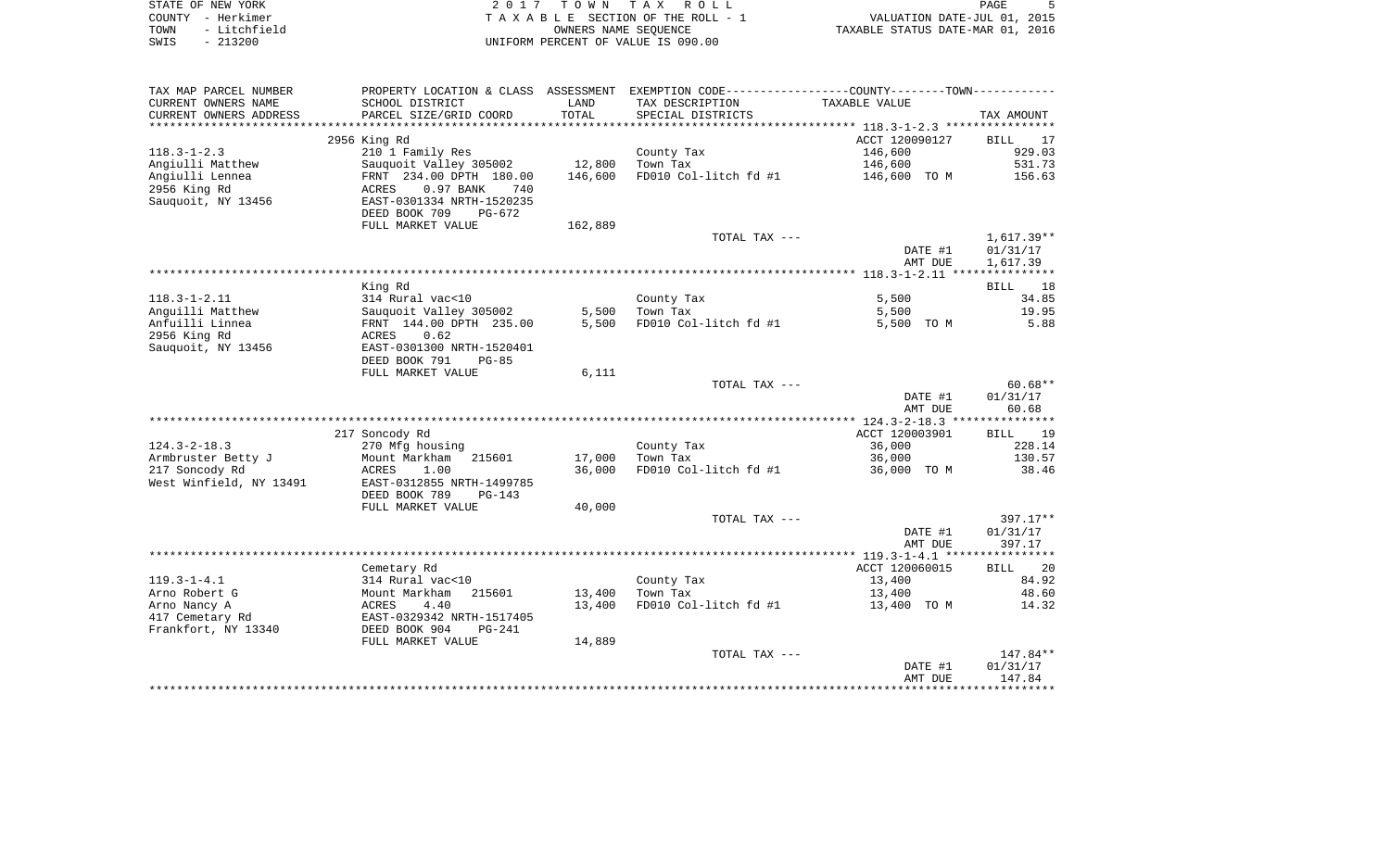| STATE OF NEW YORK    | 2017 TOWN TAX ROLL                 | PAGE                             |
|----------------------|------------------------------------|----------------------------------|
| COUNTY - Herkimer    | TAXABLE SECTION OF THE ROLL - 1    | VALUATION DATE-JUL 01, 2015      |
| - Litchfield<br>TOWN | OWNERS NAME SEOUENCE               | TAXABLE STATUS DATE-MAR 01, 2016 |
| $-213200$<br>SWIS    | UNIFORM PERCENT OF VALUE IS 090.00 |                                  |

| TAX MAP PARCEL NUMBER   |                           |         | PROPERTY LOCATION & CLASS ASSESSMENT EXEMPTION CODE----------------COUNTY-------TOWN---------- |                |                   |
|-------------------------|---------------------------|---------|------------------------------------------------------------------------------------------------|----------------|-------------------|
| CURRENT OWNERS NAME     | SCHOOL DISTRICT           | LAND    | TAX DESCRIPTION                                                                                | TAXABLE VALUE  |                   |
| CURRENT OWNERS ADDRESS  | PARCEL SIZE/GRID COORD    | TOTAL   | SPECIAL DISTRICTS                                                                              |                | TAX AMOUNT        |
|                         |                           |         |                                                                                                |                |                   |
|                         | 2956 King Rd              |         |                                                                                                | ACCT 120090127 | BILL<br>17        |
| $118.3 - 1 - 2.3$       | 210 1 Family Res          |         | County Tax                                                                                     | 146,600        | 929.03            |
| Angiulli Matthew        | Sauquoit Valley 305002    | 12,800  | Town Tax                                                                                       | 146,600        | 531.73            |
| Angiulli Lennea         | FRNT 234.00 DPTH 180.00   | 146,600 | FD010 Col-litch fd #1                                                                          | 146,600 TO M   | 156.63            |
| 2956 King Rd            | 0.97 BANK<br>740<br>ACRES |         |                                                                                                |                |                   |
| Sauquoit, NY 13456      | EAST-0301334 NRTH-1520235 |         |                                                                                                |                |                   |
|                         | DEED BOOK 709<br>$PG-672$ |         |                                                                                                |                |                   |
|                         | FULL MARKET VALUE         | 162,889 |                                                                                                |                |                   |
|                         |                           |         | TOTAL TAX ---                                                                                  |                | $1,617.39**$      |
|                         |                           |         |                                                                                                | DATE #1        | 01/31/17          |
|                         |                           |         |                                                                                                | AMT DUE        | 1,617.39          |
|                         |                           |         |                                                                                                |                |                   |
|                         | King Rd                   |         |                                                                                                |                | BILL<br>18        |
| $118.3 - 1 - 2.11$      | 314 Rural vac<10          |         | County Tax                                                                                     | 5,500          | 34.85             |
| Anguilli Matthew        | Sauguoit Valley 305002    | 5,500   | Town Tax                                                                                       | 5,500          | 19.95             |
| Anfuilli Linnea         | FRNT 144.00 DPTH 235.00   | 5,500   | FD010 Col-litch fd #1                                                                          | 5,500 TO M     | 5.88              |
| 2956 King Rd            | ACRES<br>0.62             |         |                                                                                                |                |                   |
| Sauguoit, NY 13456      | EAST-0301300 NRTH-1520401 |         |                                                                                                |                |                   |
|                         | DEED BOOK 791<br>$PG-85$  |         |                                                                                                |                |                   |
|                         | FULL MARKET VALUE         | 6,111   |                                                                                                |                |                   |
|                         |                           |         | TOTAL TAX ---                                                                                  |                | $60.68**$         |
|                         |                           |         |                                                                                                | DATE #1        | 01/31/17          |
|                         |                           |         |                                                                                                | AMT DUE        | 60.68             |
|                         |                           |         |                                                                                                |                |                   |
|                         | 217 Soncody Rd            |         |                                                                                                | ACCT 120003901 | BILL 19           |
| $124.3 - 2 - 18.3$      | 270 Mfg housing           |         | County Tax                                                                                     | 36,000         | 228.14            |
| Armbruster Betty J      | Mount Markham<br>215601   | 17,000  | Town Tax                                                                                       | 36,000         | 130.57            |
| 217 Soncody Rd          | ACRES<br>1.00             | 36,000  | FD010 Col-litch fd #1                                                                          | 36,000 TO M    | 38.46             |
| West Winfield, NY 13491 | EAST-0312855 NRTH-1499785 |         |                                                                                                |                |                   |
|                         | DEED BOOK 789<br>$PG-143$ |         |                                                                                                |                |                   |
|                         | FULL MARKET VALUE         | 40,000  |                                                                                                |                |                   |
|                         |                           |         | TOTAL TAX ---                                                                                  |                | 397.17**          |
|                         |                           |         |                                                                                                | DATE #1        | 01/31/17          |
|                         |                           |         |                                                                                                | AMT DUE        | 397.17            |
|                         | Cemetary Rd               |         |                                                                                                | ACCT 120060015 | <b>BILL</b><br>20 |
| $119.3 - 1 - 4.1$       | 314 Rural vac<10          |         | County Tax                                                                                     | 13,400         | 84.92             |
| Arno Robert G           | Mount Markham<br>215601   | 13,400  | Town Tax                                                                                       | 13,400         | 48.60             |
| Arno Nancy A            | ACRES<br>4.40             | 13,400  | FD010 Col-litch fd #1                                                                          | 13,400 TO M    | 14.32             |
| 417 Cemetary Rd         | EAST-0329342 NRTH-1517405 |         |                                                                                                |                |                   |
| Frankfort, NY 13340     | DEED BOOK 904<br>$PG-241$ |         |                                                                                                |                |                   |
|                         | FULL MARKET VALUE         | 14,889  |                                                                                                |                |                   |
|                         |                           |         | TOTAL TAX ---                                                                                  |                | 147.84**          |
|                         |                           |         |                                                                                                | DATE #1        | 01/31/17          |
|                         |                           |         |                                                                                                | AMT DUE        | 147.84            |
|                         |                           |         |                                                                                                |                |                   |
|                         |                           |         |                                                                                                |                |                   |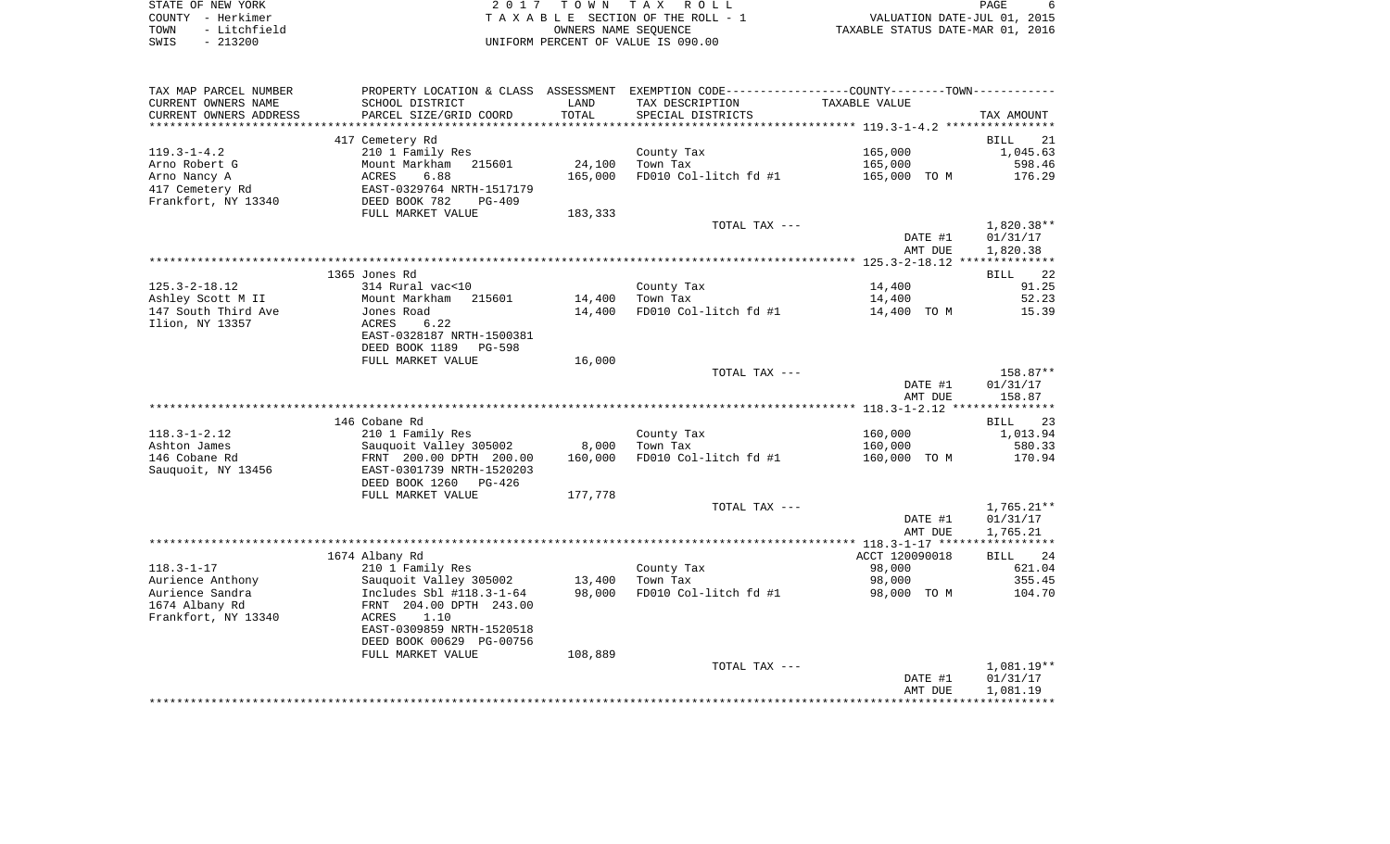| STATE OF NEW YORK    | 2017 TOWN TAX ROLL                 | PAGE                             |
|----------------------|------------------------------------|----------------------------------|
| COUNTY - Herkimer    | TAXABLE SECTION OF THE ROLL - 1    | VALUATION DATE-JUL 01, 2015      |
| - Litchfield<br>TOWN | OWNERS NAME SEOUENCE               | TAXABLE STATUS DATE-MAR 01, 2016 |
| $-213200$<br>SWIS    | UNIFORM PERCENT OF VALUE IS 090.00 |                                  |

| CURRENT OWNERS NAME<br>SCHOOL DISTRICT<br>LAND<br>TAX DESCRIPTION<br>TAXABLE VALUE<br>TOTAL<br>CURRENT OWNERS ADDRESS<br>PARCEL SIZE/GRID COORD<br>SPECIAL DISTRICTS<br>TAX AMOUNT<br>**************<br>******************<br>417 Cemetery Rd<br><b>BILL</b><br>$119.3 - 1 - 4.2$<br>210 1 Family Res<br>165,000<br>1,045.63<br>County Tax<br>24,100<br>Arno Robert G<br>Mount Markham<br>215601<br>Town Tax<br>165,000<br>165,000<br>Arno Nancy A<br>ACRES<br>6.88<br>FD010 Col-litch fd #1<br>165,000 TO M<br>417 Cemetery Rd<br>EAST-0329764 NRTH-1517179<br>Frankfort, NY 13340<br>DEED BOOK 782<br>$PG-409$<br>FULL MARKET VALUE<br>183,333<br>$1,820.38**$<br>TOTAL TAX ---<br>DATE #1<br>01/31/17<br>AMT DUE<br>1,820.38<br>1365 Jones Rd<br><b>BILL</b><br>$125.3 - 2 - 18.12$<br>314 Rural vac<10<br>County Tax<br>14,400<br>Ashley Scott M II<br>Mount Markham 215601<br>14,400<br>Town Tax<br>14,400<br>147 South Third Ave<br>14,400<br>FD010 Col-litch fd #1<br>Jones Road<br>14,400 TO M | 21<br>598.46<br>176.29 |
|--------------------------------------------------------------------------------------------------------------------------------------------------------------------------------------------------------------------------------------------------------------------------------------------------------------------------------------------------------------------------------------------------------------------------------------------------------------------------------------------------------------------------------------------------------------------------------------------------------------------------------------------------------------------------------------------------------------------------------------------------------------------------------------------------------------------------------------------------------------------------------------------------------------------------------------------------------------------------------------------------------|------------------------|
|                                                                                                                                                                                                                                                                                                                                                                                                                                                                                                                                                                                                                                                                                                                                                                                                                                                                                                                                                                                                        |                        |
|                                                                                                                                                                                                                                                                                                                                                                                                                                                                                                                                                                                                                                                                                                                                                                                                                                                                                                                                                                                                        |                        |
|                                                                                                                                                                                                                                                                                                                                                                                                                                                                                                                                                                                                                                                                                                                                                                                                                                                                                                                                                                                                        |                        |
|                                                                                                                                                                                                                                                                                                                                                                                                                                                                                                                                                                                                                                                                                                                                                                                                                                                                                                                                                                                                        |                        |
|                                                                                                                                                                                                                                                                                                                                                                                                                                                                                                                                                                                                                                                                                                                                                                                                                                                                                                                                                                                                        |                        |
|                                                                                                                                                                                                                                                                                                                                                                                                                                                                                                                                                                                                                                                                                                                                                                                                                                                                                                                                                                                                        |                        |
|                                                                                                                                                                                                                                                                                                                                                                                                                                                                                                                                                                                                                                                                                                                                                                                                                                                                                                                                                                                                        |                        |
|                                                                                                                                                                                                                                                                                                                                                                                                                                                                                                                                                                                                                                                                                                                                                                                                                                                                                                                                                                                                        |                        |
|                                                                                                                                                                                                                                                                                                                                                                                                                                                                                                                                                                                                                                                                                                                                                                                                                                                                                                                                                                                                        |                        |
|                                                                                                                                                                                                                                                                                                                                                                                                                                                                                                                                                                                                                                                                                                                                                                                                                                                                                                                                                                                                        |                        |
|                                                                                                                                                                                                                                                                                                                                                                                                                                                                                                                                                                                                                                                                                                                                                                                                                                                                                                                                                                                                        |                        |
|                                                                                                                                                                                                                                                                                                                                                                                                                                                                                                                                                                                                                                                                                                                                                                                                                                                                                                                                                                                                        |                        |
|                                                                                                                                                                                                                                                                                                                                                                                                                                                                                                                                                                                                                                                                                                                                                                                                                                                                                                                                                                                                        | 22                     |
|                                                                                                                                                                                                                                                                                                                                                                                                                                                                                                                                                                                                                                                                                                                                                                                                                                                                                                                                                                                                        | 91.25                  |
|                                                                                                                                                                                                                                                                                                                                                                                                                                                                                                                                                                                                                                                                                                                                                                                                                                                                                                                                                                                                        | 52.23                  |
|                                                                                                                                                                                                                                                                                                                                                                                                                                                                                                                                                                                                                                                                                                                                                                                                                                                                                                                                                                                                        | 15.39                  |
| Ilion, NY 13357<br>ACRES<br>6.22                                                                                                                                                                                                                                                                                                                                                                                                                                                                                                                                                                                                                                                                                                                                                                                                                                                                                                                                                                       |                        |
| EAST-0328187 NRTH-1500381                                                                                                                                                                                                                                                                                                                                                                                                                                                                                                                                                                                                                                                                                                                                                                                                                                                                                                                                                                              |                        |
| DEED BOOK 1189<br>PG-598                                                                                                                                                                                                                                                                                                                                                                                                                                                                                                                                                                                                                                                                                                                                                                                                                                                                                                                                                                               |                        |
| FULL MARKET VALUE<br>16,000                                                                                                                                                                                                                                                                                                                                                                                                                                                                                                                                                                                                                                                                                                                                                                                                                                                                                                                                                                            |                        |
| TOTAL TAX ---<br>158.87**                                                                                                                                                                                                                                                                                                                                                                                                                                                                                                                                                                                                                                                                                                                                                                                                                                                                                                                                                                              |                        |
| 01/31/17<br>DATE #1<br>AMT DUE<br>158.87                                                                                                                                                                                                                                                                                                                                                                                                                                                                                                                                                                                                                                                                                                                                                                                                                                                                                                                                                               |                        |
|                                                                                                                                                                                                                                                                                                                                                                                                                                                                                                                                                                                                                                                                                                                                                                                                                                                                                                                                                                                                        |                        |
| 146 Cobane Rd<br>BILL                                                                                                                                                                                                                                                                                                                                                                                                                                                                                                                                                                                                                                                                                                                                                                                                                                                                                                                                                                                  | 23                     |
| $118.3 - 1 - 2.12$<br>1,013.94<br>210 1 Family Res<br>County Tax<br>160,000                                                                                                                                                                                                                                                                                                                                                                                                                                                                                                                                                                                                                                                                                                                                                                                                                                                                                                                            |                        |
| Ashton James<br>Sauquoit Valley 305002<br>8,000<br>Town Tax<br>160,000                                                                                                                                                                                                                                                                                                                                                                                                                                                                                                                                                                                                                                                                                                                                                                                                                                                                                                                                 | 580.33                 |
| 146 Cobane Rd<br>FRNT 200.00 DPTH 200.00<br>160,000<br>FD010 Col-litch fd #1<br>160,000 TO M                                                                                                                                                                                                                                                                                                                                                                                                                                                                                                                                                                                                                                                                                                                                                                                                                                                                                                           | 170.94                 |
| Sauquoit, NY 13456<br>EAST-0301739 NRTH-1520203                                                                                                                                                                                                                                                                                                                                                                                                                                                                                                                                                                                                                                                                                                                                                                                                                                                                                                                                                        |                        |
| DEED BOOK 1260<br>PG-426                                                                                                                                                                                                                                                                                                                                                                                                                                                                                                                                                                                                                                                                                                                                                                                                                                                                                                                                                                               |                        |
| FULL MARKET VALUE<br>177,778                                                                                                                                                                                                                                                                                                                                                                                                                                                                                                                                                                                                                                                                                                                                                                                                                                                                                                                                                                           |                        |
| TOTAL TAX ---<br>$1,765.21**$<br>DATE #1<br>01/31/17                                                                                                                                                                                                                                                                                                                                                                                                                                                                                                                                                                                                                                                                                                                                                                                                                                                                                                                                                   |                        |
| AMT DUE<br>1,765.21                                                                                                                                                                                                                                                                                                                                                                                                                                                                                                                                                                                                                                                                                                                                                                                                                                                                                                                                                                                    |                        |
|                                                                                                                                                                                                                                                                                                                                                                                                                                                                                                                                                                                                                                                                                                                                                                                                                                                                                                                                                                                                        |                        |
| 1674 Albany Rd<br>ACCT 120090018<br>BILL 24                                                                                                                                                                                                                                                                                                                                                                                                                                                                                                                                                                                                                                                                                                                                                                                                                                                                                                                                                            |                        |
| $118.3 - 1 - 17$<br>210 1 Family Res<br>County Tax<br>98,000                                                                                                                                                                                                                                                                                                                                                                                                                                                                                                                                                                                                                                                                                                                                                                                                                                                                                                                                           | 621.04                 |
| Aurience Anthony<br>Sauquoit Valley 305002<br>13,400<br>Town Tax<br>98,000                                                                                                                                                                                                                                                                                                                                                                                                                                                                                                                                                                                                                                                                                                                                                                                                                                                                                                                             | 355.45                 |
| 98,000<br>Aurience Sandra<br>Includes Sbl #118.3-1-64<br>FD010 Col-litch fd #1<br>98,000 TO M                                                                                                                                                                                                                                                                                                                                                                                                                                                                                                                                                                                                                                                                                                                                                                                                                                                                                                          | 104.70                 |
| 1674 Albany Rd<br>FRNT 204.00 DPTH 243.00                                                                                                                                                                                                                                                                                                                                                                                                                                                                                                                                                                                                                                                                                                                                                                                                                                                                                                                                                              |                        |
| Frankfort, NY 13340<br>1.10<br>ACRES                                                                                                                                                                                                                                                                                                                                                                                                                                                                                                                                                                                                                                                                                                                                                                                                                                                                                                                                                                   |                        |
| EAST-0309859 NRTH-1520518<br>DEED BOOK 00629 PG-00756                                                                                                                                                                                                                                                                                                                                                                                                                                                                                                                                                                                                                                                                                                                                                                                                                                                                                                                                                  |                        |
| FULL MARKET VALUE<br>108,889                                                                                                                                                                                                                                                                                                                                                                                                                                                                                                                                                                                                                                                                                                                                                                                                                                                                                                                                                                           |                        |
| TOTAL TAX ---<br>$1,081.19**$                                                                                                                                                                                                                                                                                                                                                                                                                                                                                                                                                                                                                                                                                                                                                                                                                                                                                                                                                                          |                        |
| DATE #1<br>01/31/17                                                                                                                                                                                                                                                                                                                                                                                                                                                                                                                                                                                                                                                                                                                                                                                                                                                                                                                                                                                    |                        |
| AMT DUE<br>1,081.19                                                                                                                                                                                                                                                                                                                                                                                                                                                                                                                                                                                                                                                                                                                                                                                                                                                                                                                                                                                    |                        |
|                                                                                                                                                                                                                                                                                                                                                                                                                                                                                                                                                                                                                                                                                                                                                                                                                                                                                                                                                                                                        |                        |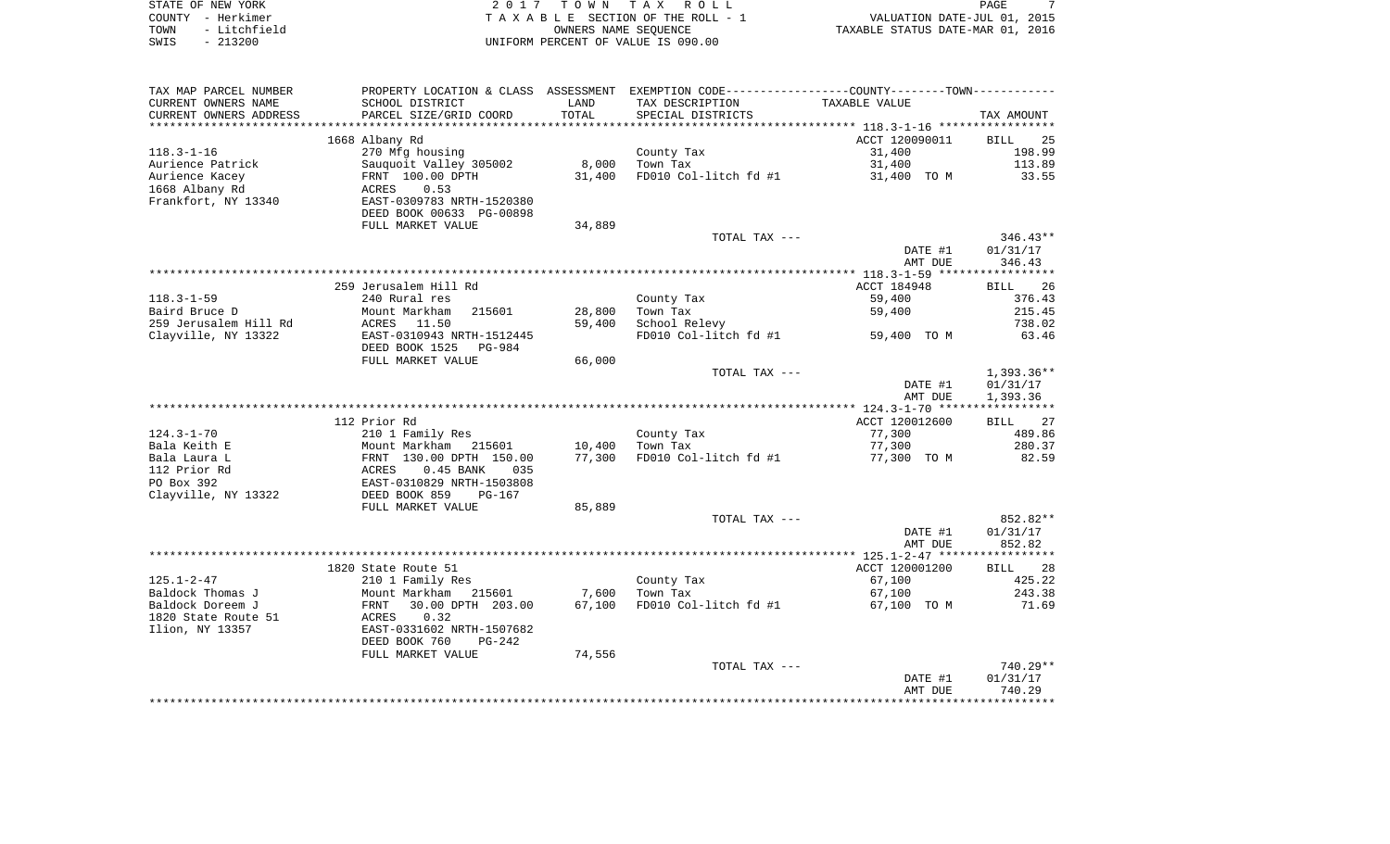| STATE OF NEW YORK    | 2017 TOWN TAX ROLL                 | PAGE                             |
|----------------------|------------------------------------|----------------------------------|
| COUNTY - Herkimer    | TAXABLE SECTION OF THE ROLL - 1    | VALUATION DATE-JUL 01, 2015      |
| - Litchfield<br>TOWN | OWNERS NAME SEOUENCE               | TAXABLE STATUS DATE-MAR 01, 2016 |
| $-213200$<br>SWIS    | UNIFORM PERCENT OF VALUE IS 090.00 |                                  |

| CURRENT OWNERS NAME<br>SCHOOL DISTRICT<br>LAND<br>TAX DESCRIPTION<br>TOTAL<br>CURRENT OWNERS ADDRESS<br>PARCEL SIZE/GRID COORD<br>SPECIAL DISTRICTS<br>TAX AMOUNT<br>***********************<br>ACCT 120090011<br>1668 Albany Rd<br>BILL 25<br>$118.3 - 1 - 16$<br>270 Mfg housing<br>31,400<br>198.99<br>County Tax<br>8,000<br>Aurience Patrick<br>Sauquoit Valley 305002<br>Town Tax<br>31,400<br>113.89<br>Aurience Kacey<br>FRNT 100.00 DPTH<br>31,400<br>FD010 Col-litch fd #1<br>33.55<br>31,400 TO M<br>1668 Albany Rd<br>0.53<br>ACRES<br>Frankfort, NY 13340<br>EAST-0309783 NRTH-1520380<br>DEED BOOK 00633 PG-00898<br>34,889<br>FULL MARKET VALUE<br>TOTAL TAX ---<br>DATE #1<br>AMT DUE<br>259 Jerusalem Hill Rd<br>ACCT 184948<br>118.3-1-59<br>240 Rural res<br>County Tax<br>59,400<br>Town Tax<br>Baird Bruce D<br>Mount Markham<br>215601<br>28,800<br>59,400<br>259 Jerusalem Hill Rd<br>ACRES 11.50<br>59,400<br>School Relevy<br>59,400 TO M<br>Clayville, NY 13322<br>EAST-0310943 NRTH-1512445<br>FD010 Col-litch fd #1<br>DEED BOOK 1525<br>PG-984<br>66,000<br>FULL MARKET VALUE<br>$1,393.36**$<br>TOTAL TAX ---<br>01/31/17<br>DATE #1<br>AMT DUE<br>1,393.36<br>BILL 27<br>112 Prior Rd<br>ACCT 120012600<br>124.3-1-70<br>77,300<br>489.86<br>210 1 Family Res<br>County Tax<br>Bala Keith E<br>Mount Markham 215601<br>10,400<br>Town Tax<br>77,300<br>280.37<br>FRNT 130.00 DPTH 150.00<br>ACRES 0.45 BANK 035<br>77,300<br>FD010 Col-litch fd #1<br>77,300 TO M<br>82.59<br>Bala Laura L<br>112 Prior Rd<br>PO Box 392<br>EAST-0310829 NRTH-1503808<br>DEED BOOK 859 PG-167<br>Clayville, NY 13322<br>85,889<br>FULL MARKET VALUE<br>TOTAL TAX ---<br>DATE #1<br>01/31/17<br>852.82<br>AMT DUE<br>1820 State Route 51<br>ACCT 120001200<br><b>BILL</b><br>$125.1 - 2 - 47$<br>210 1 Family Res<br>County Tax<br>67,100<br>Baldock Thomas J<br>7,600<br>Mount Markham 215601<br>Town Tax<br>67,100<br>Baldock Doreem J<br>30.00 DPTH 203.00<br>67,100<br>FD010 Col-litch fd #1<br>FRNT<br>67,100 TO M<br>1820 State Route 51<br>ACRES<br>0.32<br>Ilion, NY 13357<br>EAST-0331602 NRTH-1507682<br>DEED BOOK 760<br>PG-242<br>74,556<br>FULL MARKET VALUE<br>TOTAL TAX ---<br>01/31/17<br>DATE #1<br>AMT DUE<br>740.29<br>********* | TAX MAP PARCEL NUMBER | PROPERTY LOCATION & CLASS ASSESSMENT EXEMPTION CODE----------------COUNTY--------TOWN---------- |  | TAXABLE VALUE |            |
|-------------------------------------------------------------------------------------------------------------------------------------------------------------------------------------------------------------------------------------------------------------------------------------------------------------------------------------------------------------------------------------------------------------------------------------------------------------------------------------------------------------------------------------------------------------------------------------------------------------------------------------------------------------------------------------------------------------------------------------------------------------------------------------------------------------------------------------------------------------------------------------------------------------------------------------------------------------------------------------------------------------------------------------------------------------------------------------------------------------------------------------------------------------------------------------------------------------------------------------------------------------------------------------------------------------------------------------------------------------------------------------------------------------------------------------------------------------------------------------------------------------------------------------------------------------------------------------------------------------------------------------------------------------------------------------------------------------------------------------------------------------------------------------------------------------------------------------------------------------------------------------------------------------------------------------------------------------------------------------------------------------------------------------------------------------------------------------------------------------------------------------------------------------------------------------------------------------------------------------------------------------------|-----------------------|-------------------------------------------------------------------------------------------------|--|---------------|------------|
|                                                                                                                                                                                                                                                                                                                                                                                                                                                                                                                                                                                                                                                                                                                                                                                                                                                                                                                                                                                                                                                                                                                                                                                                                                                                                                                                                                                                                                                                                                                                                                                                                                                                                                                                                                                                                                                                                                                                                                                                                                                                                                                                                                                                                                                                   |                       |                                                                                                 |  |               |            |
|                                                                                                                                                                                                                                                                                                                                                                                                                                                                                                                                                                                                                                                                                                                                                                                                                                                                                                                                                                                                                                                                                                                                                                                                                                                                                                                                                                                                                                                                                                                                                                                                                                                                                                                                                                                                                                                                                                                                                                                                                                                                                                                                                                                                                                                                   |                       |                                                                                                 |  |               |            |
|                                                                                                                                                                                                                                                                                                                                                                                                                                                                                                                                                                                                                                                                                                                                                                                                                                                                                                                                                                                                                                                                                                                                                                                                                                                                                                                                                                                                                                                                                                                                                                                                                                                                                                                                                                                                                                                                                                                                                                                                                                                                                                                                                                                                                                                                   |                       |                                                                                                 |  |               |            |
|                                                                                                                                                                                                                                                                                                                                                                                                                                                                                                                                                                                                                                                                                                                                                                                                                                                                                                                                                                                                                                                                                                                                                                                                                                                                                                                                                                                                                                                                                                                                                                                                                                                                                                                                                                                                                                                                                                                                                                                                                                                                                                                                                                                                                                                                   |                       |                                                                                                 |  |               |            |
|                                                                                                                                                                                                                                                                                                                                                                                                                                                                                                                                                                                                                                                                                                                                                                                                                                                                                                                                                                                                                                                                                                                                                                                                                                                                                                                                                                                                                                                                                                                                                                                                                                                                                                                                                                                                                                                                                                                                                                                                                                                                                                                                                                                                                                                                   |                       |                                                                                                 |  |               |            |
|                                                                                                                                                                                                                                                                                                                                                                                                                                                                                                                                                                                                                                                                                                                                                                                                                                                                                                                                                                                                                                                                                                                                                                                                                                                                                                                                                                                                                                                                                                                                                                                                                                                                                                                                                                                                                                                                                                                                                                                                                                                                                                                                                                                                                                                                   |                       |                                                                                                 |  |               |            |
|                                                                                                                                                                                                                                                                                                                                                                                                                                                                                                                                                                                                                                                                                                                                                                                                                                                                                                                                                                                                                                                                                                                                                                                                                                                                                                                                                                                                                                                                                                                                                                                                                                                                                                                                                                                                                                                                                                                                                                                                                                                                                                                                                                                                                                                                   |                       |                                                                                                 |  |               |            |
|                                                                                                                                                                                                                                                                                                                                                                                                                                                                                                                                                                                                                                                                                                                                                                                                                                                                                                                                                                                                                                                                                                                                                                                                                                                                                                                                                                                                                                                                                                                                                                                                                                                                                                                                                                                                                                                                                                                                                                                                                                                                                                                                                                                                                                                                   |                       |                                                                                                 |  |               |            |
|                                                                                                                                                                                                                                                                                                                                                                                                                                                                                                                                                                                                                                                                                                                                                                                                                                                                                                                                                                                                                                                                                                                                                                                                                                                                                                                                                                                                                                                                                                                                                                                                                                                                                                                                                                                                                                                                                                                                                                                                                                                                                                                                                                                                                                                                   |                       |                                                                                                 |  |               |            |
|                                                                                                                                                                                                                                                                                                                                                                                                                                                                                                                                                                                                                                                                                                                                                                                                                                                                                                                                                                                                                                                                                                                                                                                                                                                                                                                                                                                                                                                                                                                                                                                                                                                                                                                                                                                                                                                                                                                                                                                                                                                                                                                                                                                                                                                                   |                       |                                                                                                 |  |               |            |
|                                                                                                                                                                                                                                                                                                                                                                                                                                                                                                                                                                                                                                                                                                                                                                                                                                                                                                                                                                                                                                                                                                                                                                                                                                                                                                                                                                                                                                                                                                                                                                                                                                                                                                                                                                                                                                                                                                                                                                                                                                                                                                                                                                                                                                                                   |                       |                                                                                                 |  |               | $346.43**$ |
|                                                                                                                                                                                                                                                                                                                                                                                                                                                                                                                                                                                                                                                                                                                                                                                                                                                                                                                                                                                                                                                                                                                                                                                                                                                                                                                                                                                                                                                                                                                                                                                                                                                                                                                                                                                                                                                                                                                                                                                                                                                                                                                                                                                                                                                                   |                       |                                                                                                 |  |               | 01/31/17   |
|                                                                                                                                                                                                                                                                                                                                                                                                                                                                                                                                                                                                                                                                                                                                                                                                                                                                                                                                                                                                                                                                                                                                                                                                                                                                                                                                                                                                                                                                                                                                                                                                                                                                                                                                                                                                                                                                                                                                                                                                                                                                                                                                                                                                                                                                   |                       |                                                                                                 |  |               | 346.43     |
|                                                                                                                                                                                                                                                                                                                                                                                                                                                                                                                                                                                                                                                                                                                                                                                                                                                                                                                                                                                                                                                                                                                                                                                                                                                                                                                                                                                                                                                                                                                                                                                                                                                                                                                                                                                                                                                                                                                                                                                                                                                                                                                                                                                                                                                                   |                       |                                                                                                 |  |               |            |
|                                                                                                                                                                                                                                                                                                                                                                                                                                                                                                                                                                                                                                                                                                                                                                                                                                                                                                                                                                                                                                                                                                                                                                                                                                                                                                                                                                                                                                                                                                                                                                                                                                                                                                                                                                                                                                                                                                                                                                                                                                                                                                                                                                                                                                                                   |                       |                                                                                                 |  |               | BILL 26    |
|                                                                                                                                                                                                                                                                                                                                                                                                                                                                                                                                                                                                                                                                                                                                                                                                                                                                                                                                                                                                                                                                                                                                                                                                                                                                                                                                                                                                                                                                                                                                                                                                                                                                                                                                                                                                                                                                                                                                                                                                                                                                                                                                                                                                                                                                   |                       |                                                                                                 |  |               | 376.43     |
|                                                                                                                                                                                                                                                                                                                                                                                                                                                                                                                                                                                                                                                                                                                                                                                                                                                                                                                                                                                                                                                                                                                                                                                                                                                                                                                                                                                                                                                                                                                                                                                                                                                                                                                                                                                                                                                                                                                                                                                                                                                                                                                                                                                                                                                                   |                       |                                                                                                 |  |               | 215.45     |
|                                                                                                                                                                                                                                                                                                                                                                                                                                                                                                                                                                                                                                                                                                                                                                                                                                                                                                                                                                                                                                                                                                                                                                                                                                                                                                                                                                                                                                                                                                                                                                                                                                                                                                                                                                                                                                                                                                                                                                                                                                                                                                                                                                                                                                                                   |                       |                                                                                                 |  |               | 738.02     |
|                                                                                                                                                                                                                                                                                                                                                                                                                                                                                                                                                                                                                                                                                                                                                                                                                                                                                                                                                                                                                                                                                                                                                                                                                                                                                                                                                                                                                                                                                                                                                                                                                                                                                                                                                                                                                                                                                                                                                                                                                                                                                                                                                                                                                                                                   |                       |                                                                                                 |  |               | 63.46      |
|                                                                                                                                                                                                                                                                                                                                                                                                                                                                                                                                                                                                                                                                                                                                                                                                                                                                                                                                                                                                                                                                                                                                                                                                                                                                                                                                                                                                                                                                                                                                                                                                                                                                                                                                                                                                                                                                                                                                                                                                                                                                                                                                                                                                                                                                   |                       |                                                                                                 |  |               |            |
|                                                                                                                                                                                                                                                                                                                                                                                                                                                                                                                                                                                                                                                                                                                                                                                                                                                                                                                                                                                                                                                                                                                                                                                                                                                                                                                                                                                                                                                                                                                                                                                                                                                                                                                                                                                                                                                                                                                                                                                                                                                                                                                                                                                                                                                                   |                       |                                                                                                 |  |               |            |
|                                                                                                                                                                                                                                                                                                                                                                                                                                                                                                                                                                                                                                                                                                                                                                                                                                                                                                                                                                                                                                                                                                                                                                                                                                                                                                                                                                                                                                                                                                                                                                                                                                                                                                                                                                                                                                                                                                                                                                                                                                                                                                                                                                                                                                                                   |                       |                                                                                                 |  |               |            |
|                                                                                                                                                                                                                                                                                                                                                                                                                                                                                                                                                                                                                                                                                                                                                                                                                                                                                                                                                                                                                                                                                                                                                                                                                                                                                                                                                                                                                                                                                                                                                                                                                                                                                                                                                                                                                                                                                                                                                                                                                                                                                                                                                                                                                                                                   |                       |                                                                                                 |  |               |            |
|                                                                                                                                                                                                                                                                                                                                                                                                                                                                                                                                                                                                                                                                                                                                                                                                                                                                                                                                                                                                                                                                                                                                                                                                                                                                                                                                                                                                                                                                                                                                                                                                                                                                                                                                                                                                                                                                                                                                                                                                                                                                                                                                                                                                                                                                   |                       |                                                                                                 |  |               |            |
|                                                                                                                                                                                                                                                                                                                                                                                                                                                                                                                                                                                                                                                                                                                                                                                                                                                                                                                                                                                                                                                                                                                                                                                                                                                                                                                                                                                                                                                                                                                                                                                                                                                                                                                                                                                                                                                                                                                                                                                                                                                                                                                                                                                                                                                                   |                       |                                                                                                 |  |               |            |
|                                                                                                                                                                                                                                                                                                                                                                                                                                                                                                                                                                                                                                                                                                                                                                                                                                                                                                                                                                                                                                                                                                                                                                                                                                                                                                                                                                                                                                                                                                                                                                                                                                                                                                                                                                                                                                                                                                                                                                                                                                                                                                                                                                                                                                                                   |                       |                                                                                                 |  |               |            |
|                                                                                                                                                                                                                                                                                                                                                                                                                                                                                                                                                                                                                                                                                                                                                                                                                                                                                                                                                                                                                                                                                                                                                                                                                                                                                                                                                                                                                                                                                                                                                                                                                                                                                                                                                                                                                                                                                                                                                                                                                                                                                                                                                                                                                                                                   |                       |                                                                                                 |  |               |            |
|                                                                                                                                                                                                                                                                                                                                                                                                                                                                                                                                                                                                                                                                                                                                                                                                                                                                                                                                                                                                                                                                                                                                                                                                                                                                                                                                                                                                                                                                                                                                                                                                                                                                                                                                                                                                                                                                                                                                                                                                                                                                                                                                                                                                                                                                   |                       |                                                                                                 |  |               |            |
|                                                                                                                                                                                                                                                                                                                                                                                                                                                                                                                                                                                                                                                                                                                                                                                                                                                                                                                                                                                                                                                                                                                                                                                                                                                                                                                                                                                                                                                                                                                                                                                                                                                                                                                                                                                                                                                                                                                                                                                                                                                                                                                                                                                                                                                                   |                       |                                                                                                 |  |               |            |
|                                                                                                                                                                                                                                                                                                                                                                                                                                                                                                                                                                                                                                                                                                                                                                                                                                                                                                                                                                                                                                                                                                                                                                                                                                                                                                                                                                                                                                                                                                                                                                                                                                                                                                                                                                                                                                                                                                                                                                                                                                                                                                                                                                                                                                                                   |                       |                                                                                                 |  |               |            |
|                                                                                                                                                                                                                                                                                                                                                                                                                                                                                                                                                                                                                                                                                                                                                                                                                                                                                                                                                                                                                                                                                                                                                                                                                                                                                                                                                                                                                                                                                                                                                                                                                                                                                                                                                                                                                                                                                                                                                                                                                                                                                                                                                                                                                                                                   |                       |                                                                                                 |  |               |            |
|                                                                                                                                                                                                                                                                                                                                                                                                                                                                                                                                                                                                                                                                                                                                                                                                                                                                                                                                                                                                                                                                                                                                                                                                                                                                                                                                                                                                                                                                                                                                                                                                                                                                                                                                                                                                                                                                                                                                                                                                                                                                                                                                                                                                                                                                   |                       |                                                                                                 |  |               |            |
|                                                                                                                                                                                                                                                                                                                                                                                                                                                                                                                                                                                                                                                                                                                                                                                                                                                                                                                                                                                                                                                                                                                                                                                                                                                                                                                                                                                                                                                                                                                                                                                                                                                                                                                                                                                                                                                                                                                                                                                                                                                                                                                                                                                                                                                                   |                       |                                                                                                 |  |               | 852.82**   |
|                                                                                                                                                                                                                                                                                                                                                                                                                                                                                                                                                                                                                                                                                                                                                                                                                                                                                                                                                                                                                                                                                                                                                                                                                                                                                                                                                                                                                                                                                                                                                                                                                                                                                                                                                                                                                                                                                                                                                                                                                                                                                                                                                                                                                                                                   |                       |                                                                                                 |  |               |            |
|                                                                                                                                                                                                                                                                                                                                                                                                                                                                                                                                                                                                                                                                                                                                                                                                                                                                                                                                                                                                                                                                                                                                                                                                                                                                                                                                                                                                                                                                                                                                                                                                                                                                                                                                                                                                                                                                                                                                                                                                                                                                                                                                                                                                                                                                   |                       |                                                                                                 |  |               |            |
|                                                                                                                                                                                                                                                                                                                                                                                                                                                                                                                                                                                                                                                                                                                                                                                                                                                                                                                                                                                                                                                                                                                                                                                                                                                                                                                                                                                                                                                                                                                                                                                                                                                                                                                                                                                                                                                                                                                                                                                                                                                                                                                                                                                                                                                                   |                       |                                                                                                 |  |               |            |
|                                                                                                                                                                                                                                                                                                                                                                                                                                                                                                                                                                                                                                                                                                                                                                                                                                                                                                                                                                                                                                                                                                                                                                                                                                                                                                                                                                                                                                                                                                                                                                                                                                                                                                                                                                                                                                                                                                                                                                                                                                                                                                                                                                                                                                                                   |                       |                                                                                                 |  |               | 28         |
|                                                                                                                                                                                                                                                                                                                                                                                                                                                                                                                                                                                                                                                                                                                                                                                                                                                                                                                                                                                                                                                                                                                                                                                                                                                                                                                                                                                                                                                                                                                                                                                                                                                                                                                                                                                                                                                                                                                                                                                                                                                                                                                                                                                                                                                                   |                       |                                                                                                 |  |               | 425.22     |
|                                                                                                                                                                                                                                                                                                                                                                                                                                                                                                                                                                                                                                                                                                                                                                                                                                                                                                                                                                                                                                                                                                                                                                                                                                                                                                                                                                                                                                                                                                                                                                                                                                                                                                                                                                                                                                                                                                                                                                                                                                                                                                                                                                                                                                                                   |                       |                                                                                                 |  |               | 243.38     |
|                                                                                                                                                                                                                                                                                                                                                                                                                                                                                                                                                                                                                                                                                                                                                                                                                                                                                                                                                                                                                                                                                                                                                                                                                                                                                                                                                                                                                                                                                                                                                                                                                                                                                                                                                                                                                                                                                                                                                                                                                                                                                                                                                                                                                                                                   |                       |                                                                                                 |  |               | 71.69      |
|                                                                                                                                                                                                                                                                                                                                                                                                                                                                                                                                                                                                                                                                                                                                                                                                                                                                                                                                                                                                                                                                                                                                                                                                                                                                                                                                                                                                                                                                                                                                                                                                                                                                                                                                                                                                                                                                                                                                                                                                                                                                                                                                                                                                                                                                   |                       |                                                                                                 |  |               |            |
|                                                                                                                                                                                                                                                                                                                                                                                                                                                                                                                                                                                                                                                                                                                                                                                                                                                                                                                                                                                                                                                                                                                                                                                                                                                                                                                                                                                                                                                                                                                                                                                                                                                                                                                                                                                                                                                                                                                                                                                                                                                                                                                                                                                                                                                                   |                       |                                                                                                 |  |               |            |
|                                                                                                                                                                                                                                                                                                                                                                                                                                                                                                                                                                                                                                                                                                                                                                                                                                                                                                                                                                                                                                                                                                                                                                                                                                                                                                                                                                                                                                                                                                                                                                                                                                                                                                                                                                                                                                                                                                                                                                                                                                                                                                                                                                                                                                                                   |                       |                                                                                                 |  |               |            |
|                                                                                                                                                                                                                                                                                                                                                                                                                                                                                                                                                                                                                                                                                                                                                                                                                                                                                                                                                                                                                                                                                                                                                                                                                                                                                                                                                                                                                                                                                                                                                                                                                                                                                                                                                                                                                                                                                                                                                                                                                                                                                                                                                                                                                                                                   |                       |                                                                                                 |  |               |            |
|                                                                                                                                                                                                                                                                                                                                                                                                                                                                                                                                                                                                                                                                                                                                                                                                                                                                                                                                                                                                                                                                                                                                                                                                                                                                                                                                                                                                                                                                                                                                                                                                                                                                                                                                                                                                                                                                                                                                                                                                                                                                                                                                                                                                                                                                   |                       |                                                                                                 |  |               | 740.29**   |
|                                                                                                                                                                                                                                                                                                                                                                                                                                                                                                                                                                                                                                                                                                                                                                                                                                                                                                                                                                                                                                                                                                                                                                                                                                                                                                                                                                                                                                                                                                                                                                                                                                                                                                                                                                                                                                                                                                                                                                                                                                                                                                                                                                                                                                                                   |                       |                                                                                                 |  |               |            |
|                                                                                                                                                                                                                                                                                                                                                                                                                                                                                                                                                                                                                                                                                                                                                                                                                                                                                                                                                                                                                                                                                                                                                                                                                                                                                                                                                                                                                                                                                                                                                                                                                                                                                                                                                                                                                                                                                                                                                                                                                                                                                                                                                                                                                                                                   |                       |                                                                                                 |  |               |            |
|                                                                                                                                                                                                                                                                                                                                                                                                                                                                                                                                                                                                                                                                                                                                                                                                                                                                                                                                                                                                                                                                                                                                                                                                                                                                                                                                                                                                                                                                                                                                                                                                                                                                                                                                                                                                                                                                                                                                                                                                                                                                                                                                                                                                                                                                   |                       |                                                                                                 |  |               |            |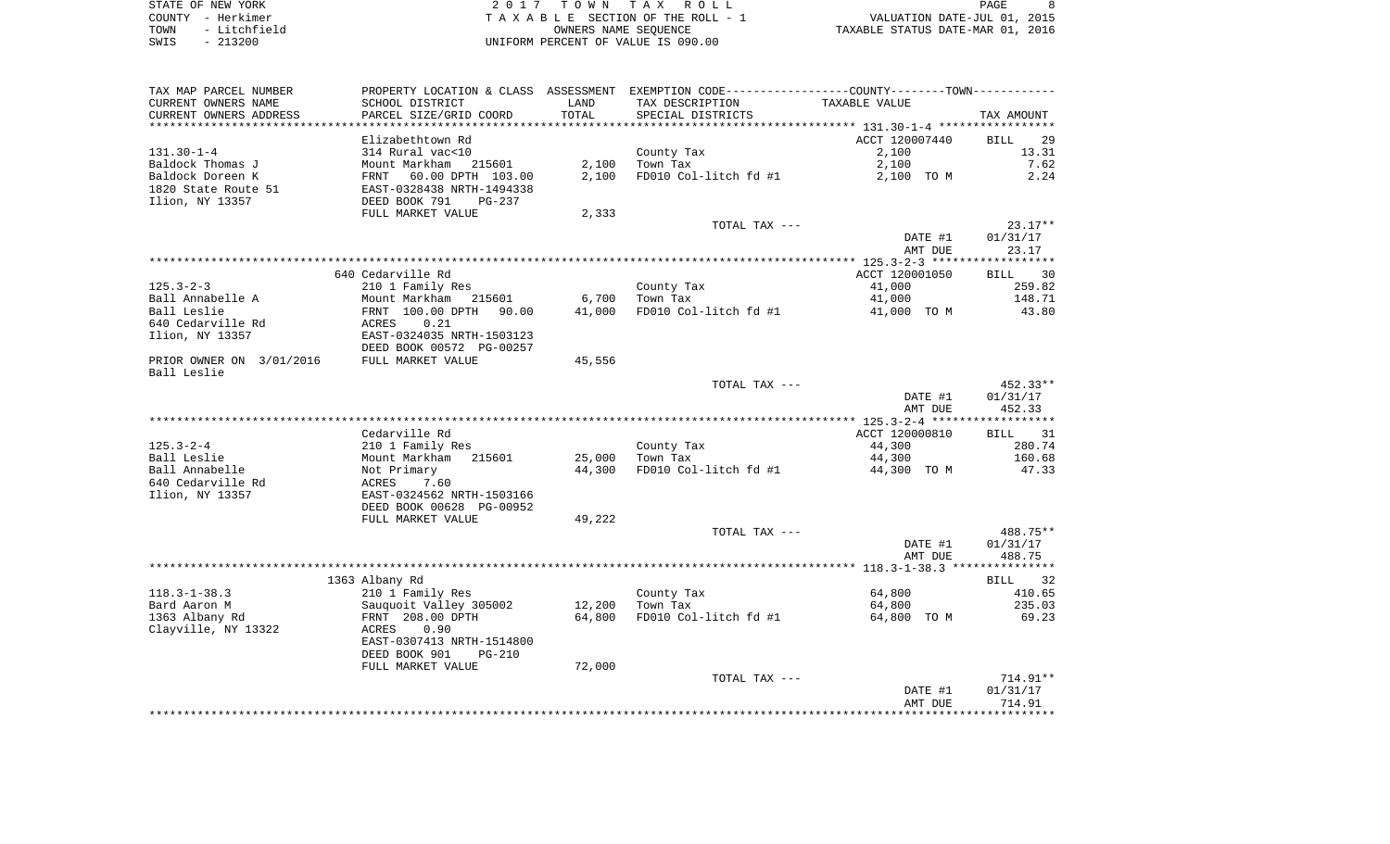STATE OF NEW YORK STATE OF NEW YORK STATE OF NEW YORK STATE OF NEW YORK STATE OF NEW YORK STATE OF NEW YORK STATES AND MAGNE STATES OF NEW YORK STATES OF NEW YORK STATES OF NEW YORK STATES OF NEW YORK STATES OF NEW YORK ST COUNTY - Herkimer  $T A X A B L E$  SECTION OF THE ROLL - 1 TOWN - Litchfield COMERS NAME SEQUENCE TAXABLE STATUS DATE-MAR 01, 2016<br>TRIS - 213200 UNIFORM PERCENT OF VALUE IS 090.00

VALUATION DATE-JUL 01, 2015

| TAX MAP PARCEL NUMBER     |                           |        | PROPERTY LOCATION & CLASS ASSESSMENT EXEMPTION CODE---------------COUNTY-------TOWN---------- |                |                   |
|---------------------------|---------------------------|--------|-----------------------------------------------------------------------------------------------|----------------|-------------------|
| CURRENT OWNERS NAME       | SCHOOL DISTRICT           | LAND   | TAX DESCRIPTION                                                                               | TAXABLE VALUE  |                   |
| CURRENT OWNERS ADDRESS    | PARCEL SIZE/GRID COORD    | TOTAL  | SPECIAL DISTRICTS                                                                             |                | TAX AMOUNT        |
| ************************* |                           |        |                                                                                               |                |                   |
|                           | Elizabethtown Rd          |        |                                                                                               | ACCT 120007440 | <b>BILL</b><br>29 |
| $131.30 - 1 - 4$          | 314 Rural vac<10          |        | County Tax                                                                                    | 2,100          | 13.31             |
| Baldock Thomas J          | Mount Markham<br>215601   | 2,100  | Town Tax                                                                                      | 2,100          | 7.62              |
| Baldock Doreen K          | 60.00 DPTH 103.00<br>FRNT | 2,100  | FD010 Col-litch fd #1                                                                         | 2,100 TO M     | 2.24              |
| 1820 State Route 51       | EAST-0328438 NRTH-1494338 |        |                                                                                               |                |                   |
| Ilion, NY 13357           | DEED BOOK 791<br>$PG-237$ |        |                                                                                               |                |                   |
|                           | FULL MARKET VALUE         | 2,333  |                                                                                               |                |                   |
|                           |                           |        | TOTAL TAX ---                                                                                 |                | $23.17**$         |
|                           |                           |        |                                                                                               | DATE #1        | 01/31/17          |
|                           |                           |        |                                                                                               | AMT DUE        | 23.17             |
|                           |                           |        |                                                                                               |                |                   |
|                           | 640 Cedarville Rd         |        |                                                                                               | ACCT 120001050 | 30<br><b>BILL</b> |
| $125.3 - 2 - 3$           | 210 1 Family Res          |        | County Tax                                                                                    | 41,000         | 259.82            |
| Ball Annabelle A          | Mount Markham<br>215601   | 6,700  | Town Tax                                                                                      | 41,000         | 148.71            |
| Ball Leslie               | FRNT 100.00 DPTH 90.00    | 41,000 | FD010 Col-litch fd #1                                                                         | 41,000 TO M    | 43.80             |
| 640 Cedarville Rd         | ACRES<br>0.21             |        |                                                                                               |                |                   |
| Ilion, NY 13357           | EAST-0324035 NRTH-1503123 |        |                                                                                               |                |                   |
|                           | DEED BOOK 00572 PG-00257  |        |                                                                                               |                |                   |
| PRIOR OWNER ON 3/01/2016  | FULL MARKET VALUE         | 45,556 |                                                                                               |                |                   |
| Ball Leslie               |                           |        |                                                                                               |                |                   |
|                           |                           |        | TOTAL TAX ---                                                                                 |                | $452.33**$        |
|                           |                           |        |                                                                                               | DATE #1        | 01/31/17          |
|                           |                           |        |                                                                                               | AMT DUE        | 452.33            |
|                           |                           |        |                                                                                               |                |                   |
|                           | Cedarville Rd             |        |                                                                                               | ACCT 120000810 | 31<br><b>BILL</b> |
| $125.3 - 2 - 4$           | 210 1 Family Res          |        | County Tax                                                                                    | 44,300         | 280.74            |
| Ball Leslie               | Mount Markham 215601      | 25,000 | Town Tax                                                                                      | 44,300         | 160.68            |
| Ball Annabelle            | Not Primary               | 44,300 | FD010 Col-litch fd #1                                                                         | 44,300 TO M    | 47.33             |
| 640 Cedarville Rd         | ACRES<br>7.60             |        |                                                                                               |                |                   |
| Ilion, NY 13357           | EAST-0324562 NRTH-1503166 |        |                                                                                               |                |                   |
|                           | DEED BOOK 00628 PG-00952  |        |                                                                                               |                |                   |
|                           | FULL MARKET VALUE         | 49,222 | TOTAL TAX ---                                                                                 |                | 488.75**          |
|                           |                           |        |                                                                                               | DATE #1        | 01/31/17          |
|                           |                           |        |                                                                                               | AMT DUE        | 488.75            |
|                           |                           |        |                                                                                               |                |                   |
|                           | 1363 Albany Rd            |        |                                                                                               |                | 32<br><b>BILL</b> |
| $118.3 - 1 - 38.3$        | 210 1 Family Res          |        | County Tax                                                                                    | 64,800         | 410.65            |
| Bard Aaron M              | Sauquoit Valley 305002    | 12,200 | Town Tax                                                                                      | 64,800         | 235.03            |
| 1363 Albany Rd            | FRNT 208.00 DPTH          | 64,800 | FD010 Col-litch fd #1                                                                         | 64,800 TO M    | 69.23             |
| Clayville, NY 13322       | ACRES<br>0.90             |        |                                                                                               |                |                   |
|                           | EAST-0307413 NRTH-1514800 |        |                                                                                               |                |                   |
|                           | DEED BOOK 901<br>$PG-210$ |        |                                                                                               |                |                   |
|                           | FULL MARKET VALUE         | 72,000 |                                                                                               |                |                   |
|                           |                           |        | TOTAL TAX ---                                                                                 |                | $714.91**$        |
|                           |                           |        |                                                                                               | DATE #1        | 01/31/17          |
|                           |                           |        |                                                                                               | AMT DUE        | 714.91            |
|                           |                           |        |                                                                                               |                |                   |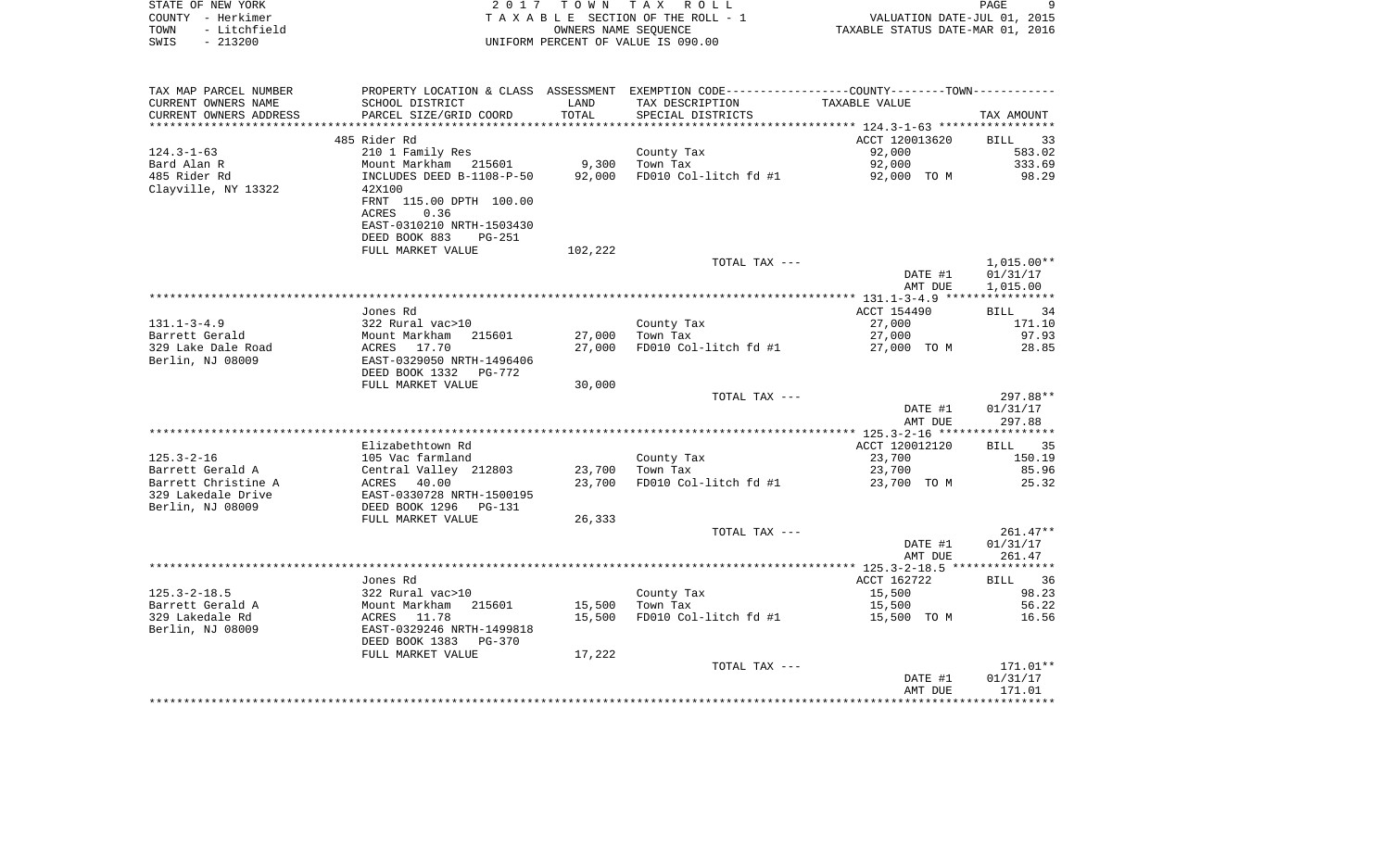| STATE OF NEW YORK<br>- Herkimer<br>COUNTY<br>- Litchfield<br>TOWN<br>$-213200$<br>SWIS | 2017                                                                   | T O W N                     | T A X<br>R O L L<br>TAXABLE SECTION OF THE ROLL - 1<br>OWNERS NAME SEOUENCE<br>UNIFORM PERCENT OF VALUE IS 090.00 | VALUATION DATE-JUL 01, 2015<br>TAXABLE STATUS DATE-MAR 01, 2016              | 9<br>PAGE  |
|----------------------------------------------------------------------------------------|------------------------------------------------------------------------|-----------------------------|-------------------------------------------------------------------------------------------------------------------|------------------------------------------------------------------------------|------------|
| TAX MAP PARCEL NUMBER<br>CURRENT OWNERS NAME<br>CURRENT OWNERS ADDRESS                 | PROPERTY LOCATION & CLASS<br>SCHOOL DISTRICT<br>PARCEL SIZE/GRID COORD | ASSESSMENT<br>LAND<br>TOTAL | TAX DESCRIPTION<br>SPECIAL DISTRICTS                                                                              | EXEMPTION CODE-----------------COUNTY-------TOWN-----------<br>TAXABLE VALUE | TAX AMOUNT |
|                                                                                        |                                                                        |                             |                                                                                                                   |                                                                              |            |
|                                                                                        | 485 Rider Rd                                                           |                             |                                                                                                                   | ACCT 120013620                                                               | 33<br>BILL |
| $124.3 - 1 - 63$                                                                       | 210 1 Family Res                                                       |                             | County Tax                                                                                                        | 92,000                                                                       | 583.02     |
| Bard Alan R                                                                            | Mount Markham 215601                                                   | 9,300                       | Town Tax                                                                                                          | 92,000                                                                       | 333.69     |
| 485 Rider Rd                                                                           | INCLUDES DEED B-1108-P-50                                              | 92,000                      | FD010 Col-litch fd #1                                                                                             | 92,000 TO M                                                                  | 98.29      |
| Clayville, NY 13322                                                                    | 42X100<br>FRNT 115.00 DPTH 100.00                                      |                             |                                                                                                                   |                                                                              |            |
|                                                                                        | 0.36<br>ACRES                                                          |                             |                                                                                                                   |                                                                              |            |
|                                                                                        | EAST-0310210 NRTH-1503430                                              |                             |                                                                                                                   |                                                                              |            |

|                                           | DEED BOOK 883<br>$PG-251$          |         |                       |                                             |                       |
|-------------------------------------------|------------------------------------|---------|-----------------------|---------------------------------------------|-----------------------|
|                                           | FULL MARKET VALUE                  | 102,222 |                       |                                             |                       |
|                                           |                                    |         | TOTAL TAX ---         |                                             | $1,015.00**$          |
|                                           |                                    |         |                       | DATE #1                                     | 01/31/17              |
|                                           |                                    |         |                       | AMT DUE                                     | 1,015.00              |
|                                           |                                    |         | **************        | $131.1 - 3 - 4.9$ *****************         |                       |
|                                           | Jones Rd                           |         |                       | ACCT 154490                                 | <b>BILL</b><br>-34    |
| $131.1 - 3 - 4.9$                         | 322 Rural vac>10                   |         | County Tax            | 27,000                                      | 171.10                |
| Barrett Gerald                            | Mount Markham<br>215601            | 27,000  | Town Tax              | 27,000                                      | 97.93                 |
| 329 Lake Dale Road                        | ACRES 17.70                        | 27,000  | FD010 Col-litch fd #1 | 27,000<br>TO M                              | 28.85                 |
| Berlin, NJ 08009                          | EAST-0329050 NRTH-1496406          |         |                       |                                             |                       |
|                                           | DEED BOOK 1332<br><b>PG-772</b>    |         |                       |                                             |                       |
|                                           | FULL MARKET VALUE                  | 30,000  |                       |                                             |                       |
|                                           |                                    |         | TOTAL TAX ---         |                                             | 297.88**              |
|                                           |                                    |         |                       | DATE #1                                     | 01/31/17              |
|                                           |                                    |         |                       | AMT DUE                                     | 297.88<br>*********** |
|                                           |                                    |         |                       | ****** 125.3-2-16 ******                    |                       |
| $125.3 - 2 - 16$                          | Elizabethtown Rd                   |         |                       | ACCT 120012120<br>23,700                    | 35<br>BILL            |
|                                           | 105 Vac farmland                   |         | County Tax            | 23,700                                      | 150.19<br>85.96       |
| Barrett Gerald A                          | Central Valley 212803<br>40.00     | 23,700  | Town Tax              |                                             |                       |
| Barrett Christine A<br>329 Lakedale Drive | ACRES<br>EAST-0330728 NRTH-1500195 | 23,700  | FD010 Col-litch fd #1 | 23,700 TO M                                 | 25.32                 |
| Berlin, NJ 08009                          | DEED BOOK 1296<br>$PG-131$         |         |                       |                                             |                       |
|                                           | FULL MARKET VALUE                  | 26,333  |                       |                                             |                       |
|                                           |                                    |         | TOTAL TAX ---         |                                             | $261.47**$            |
|                                           |                                    |         |                       | DATE #1                                     | 01/31/17              |
|                                           |                                    |         |                       | AMT DUE                                     | 261.47                |
|                                           |                                    |         |                       | ************* 125.3-2-18.5 **************** |                       |
|                                           | Jones Rd                           |         |                       | ACCT 162722                                 | 36<br><b>BILL</b>     |
| $125.3 - 2 - 18.5$                        | 322 Rural vac>10                   |         | County Tax            | 15,500                                      | 98.23                 |
| Barrett Gerald A                          | Mount Markham<br>215601            | 15,500  | Town Tax              | 15,500                                      | 56.22                 |
| 329 Lakedale Rd                           | 11.78<br>ACRES                     | 15,500  | FD010 Col-litch fd #1 | 15,500 TO M                                 | 16.56                 |
| Berlin, NJ 08009                          | EAST-0329246 NRTH-1499818          |         |                       |                                             |                       |
|                                           | DEED BOOK 1383<br>$PG-370$         |         |                       |                                             |                       |
|                                           | FULL MARKET VALUE                  | 17,222  |                       |                                             |                       |
|                                           |                                    |         | TOTAL TAX ---         |                                             | $171.01**$            |
|                                           |                                    |         |                       | DATE #1                                     | 01/31/17              |
|                                           |                                    |         |                       | AMT DUE                                     | 171.01                |
|                                           |                                    |         |                       |                                             |                       |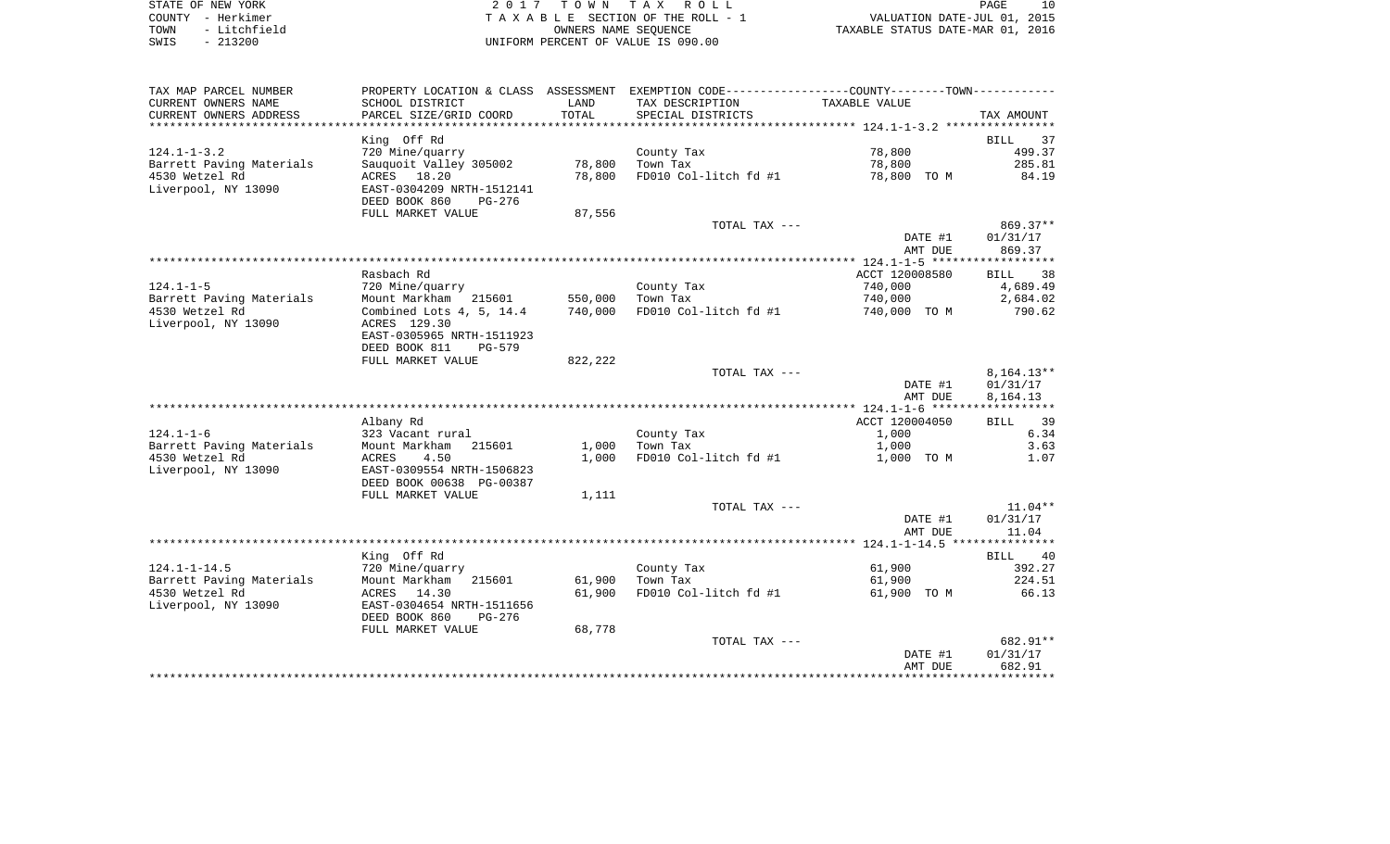|      | STATE OF NEW YORK | 2017 TOWN TAX ROLL                 | PAGE                             |
|------|-------------------|------------------------------------|----------------------------------|
|      | COUNTY - Herkimer | TAXABLE SECTION OF THE ROLL - 1    | VALUATION DATE-JUL 01, 2015      |
| TOWN | - Litchfield      | OWNERS NAME SEOUENCE               | TAXABLE STATUS DATE-MAR 01, 2016 |
| SWIS | - 213200          | UNIFORM PERCENT OF VALUE IS 090.00 |                                  |

| TAX MAP PARCEL NUMBER    | PROPERTY LOCATION & CLASS ASSESSMENT |         |                       |                |                   |
|--------------------------|--------------------------------------|---------|-----------------------|----------------|-------------------|
| CURRENT OWNERS NAME      | SCHOOL DISTRICT                      | LAND    | TAX DESCRIPTION       | TAXABLE VALUE  |                   |
| CURRENT OWNERS ADDRESS   | PARCEL SIZE/GRID COORD               | TOTAL   | SPECIAL DISTRICTS     |                | TAX AMOUNT        |
| .                        | ************************             |         |                       |                |                   |
|                          | King Off Rd                          |         |                       |                | 37<br><b>BILL</b> |
| $124.1 - 1 - 3.2$        | 720 Mine/quarry                      |         | County Tax            | 78,800         | 499.37            |
| Barrett Paving Materials | Sauquoit Valley 305002               | 78,800  | Town Tax              | 78,800         | 285.81            |
| 4530 Wetzel Rd           | ACRES 18.20                          | 78,800  | FD010 Col-litch fd #1 | 78,800 TO M    | 84.19             |
| Liverpool, NY 13090      | EAST-0304209 NRTH-1512141            |         |                       |                |                   |
|                          | DEED BOOK 860<br>PG-276              |         |                       |                |                   |
|                          | FULL MARKET VALUE                    | 87,556  |                       |                |                   |
|                          |                                      |         | TOTAL TAX ---         |                | 869.37**          |
|                          |                                      |         |                       | DATE #1        | 01/31/17          |
|                          |                                      |         |                       | AMT DUE        | 869.37            |
|                          |                                      |         |                       |                |                   |
|                          | Rasbach Rd                           |         |                       | ACCT 120008580 | 38<br>BILL        |
| $124.1 - 1 - 5$          | 720 Mine/quarry                      |         | County Tax            | 740,000        | 4,689.49          |
| Barrett Paving Materials | Mount Markham<br>215601              | 550,000 | Town Tax              | 740,000        | 2,684.02          |
| 4530 Wetzel Rd           | Combined Lots 4, 5, 14.4             | 740,000 | FD010 Col-litch fd #1 | 740,000 TO M   | 790.62            |
| Liverpool, NY 13090      | ACRES 129.30                         |         |                       |                |                   |
|                          | EAST-0305965 NRTH-1511923            |         |                       |                |                   |
|                          | DEED BOOK 811<br><b>PG-579</b>       |         |                       |                |                   |
|                          | FULL MARKET VALUE                    | 822,222 |                       |                |                   |
|                          |                                      |         | TOTAL TAX ---         |                | 8,164.13**        |
|                          |                                      |         |                       | DATE #1        | 01/31/17          |
|                          |                                      |         |                       | AMT DUE        | 8,164.13          |
|                          |                                      |         |                       |                |                   |
|                          | Albany Rd                            |         |                       | ACCT 120004050 | 39<br><b>BILL</b> |
| $124.1 - 1 - 6$          | 323 Vacant rural                     |         | County Tax            | 1,000          | 6.34              |
| Barrett Paving Materials | Mount Markham<br>215601              | 1,000   | Town Tax              | 1,000          | 3.63              |
| 4530 Wetzel Rd           | ACRES<br>4.50                        | 1,000   | FD010 Col-litch fd #1 | 1,000 TO M     | 1.07              |
| Liverpool, NY 13090      | EAST-0309554 NRTH-1506823            |         |                       |                |                   |
|                          | DEED BOOK 00638 PG-00387             |         |                       |                |                   |
|                          | FULL MARKET VALUE                    | 1,111   |                       |                |                   |
|                          |                                      |         | TOTAL TAX ---         |                | $11.04**$         |
|                          |                                      |         |                       | DATE #1        | 01/31/17          |
|                          |                                      |         |                       | AMT DUE        | 11.04             |
|                          |                                      |         |                       |                |                   |
|                          | King Off Rd                          |         |                       |                | 40<br><b>BILL</b> |
| $124.1 - 1 - 14.5$       | 720 Mine/quarry                      |         | County Tax            | 61,900         | 392.27            |
| Barrett Paving Materials | 215601<br>Mount Markham              | 61,900  | Town Tax              | 61,900         | 224.51            |
|                          |                                      |         | FD010 Col-litch fd #1 | 61,900 TO M    | 66.13             |
| 4530 Wetzel Rd           | ACRES<br>14.30                       | 61,900  |                       |                |                   |
| Liverpool, NY 13090      | EAST-0304654 NRTH-1511656            |         |                       |                |                   |
|                          | DEED BOOK 860<br><b>PG-276</b>       |         |                       |                |                   |
|                          | FULL MARKET VALUE                    | 68,778  |                       |                |                   |
|                          |                                      |         | TOTAL TAX ---         |                | 682.91**          |
|                          |                                      |         |                       | DATE #1        | 01/31/17          |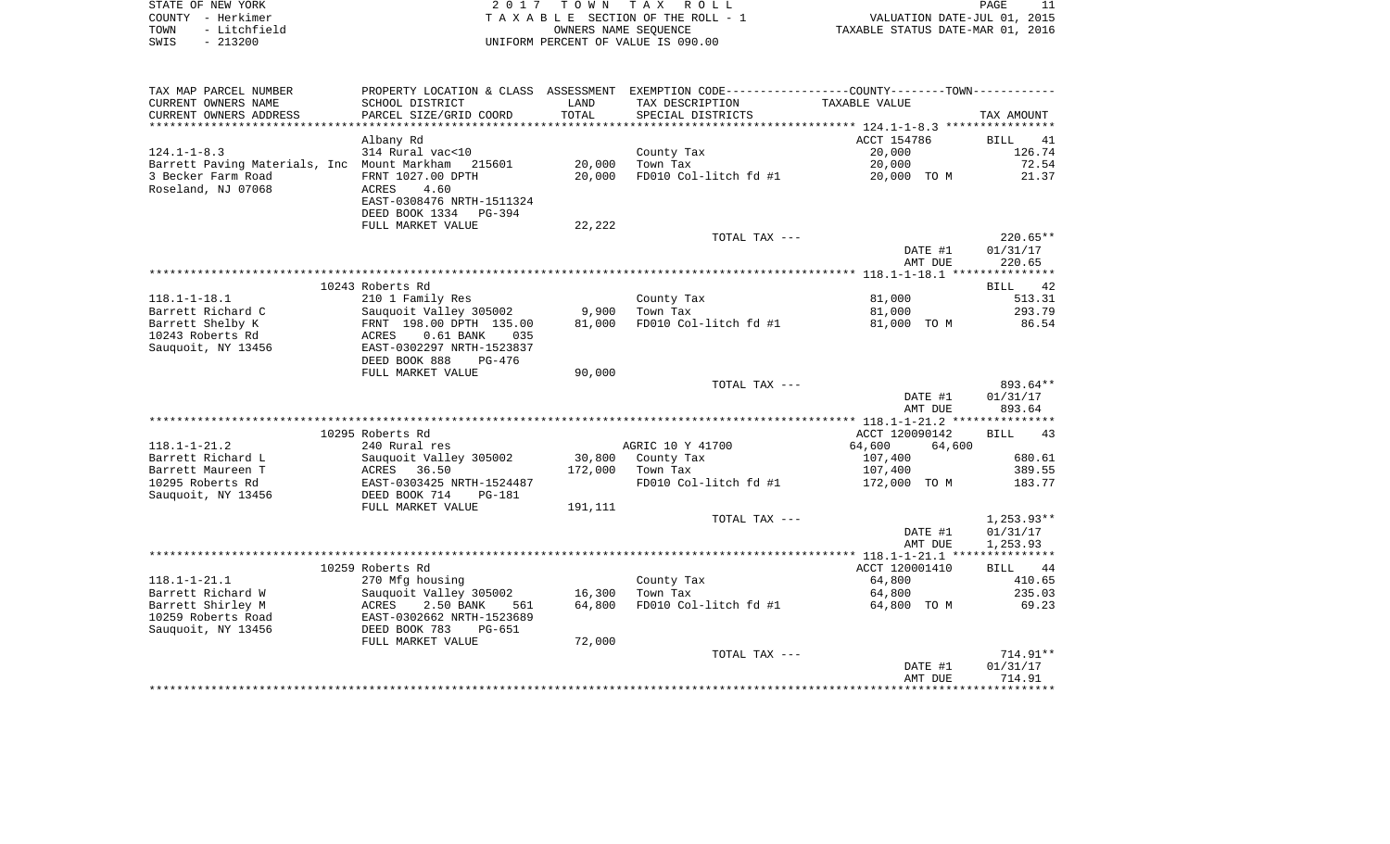| STATE OF NEW YORK    | 2017 TOWN TAX ROLL                 | PAGE                             |
|----------------------|------------------------------------|----------------------------------|
| COUNTY - Herkimer    | TAXABLE SECTION OF THE ROLL - 1    | VALUATION DATE-JUL 01, 2015      |
| - Litchfield<br>TOWN | OWNERS NAME SEOUENCE               | TAXABLE STATUS DATE-MAR 01, 2016 |
| $-213200$<br>SWIS    | UNIFORM PERCENT OF VALUE IS 090.00 |                                  |

| TAX MAP PARCEL NUMBER                              | PROPERTY LOCATION & CLASS ASSESSMENT EXEMPTION CODE----------------COUNTY-------TOWN---------- |         |                       |                  |                   |
|----------------------------------------------------|------------------------------------------------------------------------------------------------|---------|-----------------------|------------------|-------------------|
| CURRENT OWNERS NAME                                | SCHOOL DISTRICT                                                                                | LAND    | TAX DESCRIPTION       | TAXABLE VALUE    |                   |
| CURRENT OWNERS ADDRESS                             | PARCEL SIZE/GRID COORD                                                                         | TOTAL   | SPECIAL DISTRICTS     |                  | TAX AMOUNT        |
|                                                    |                                                                                                |         |                       |                  |                   |
|                                                    | Albany Rd                                                                                      |         |                       | ACCT 154786      | BILL<br>41        |
| $124.1 - 1 - 8.3$                                  | 314 Rural vac<10                                                                               |         | County Tax            | 20,000           | 126.74            |
| Barrett Paving Materials, Inc Mount Markham 215601 |                                                                                                | 20,000  | Town Tax              | 20,000           | 72.54             |
| 3 Becker Farm Road                                 | FRNT 1027.00 DPTH                                                                              | 20,000  | FD010 Col-litch fd #1 | 20,000 TO M      | 21.37             |
| Roseland, NJ 07068                                 | ACRES<br>4.60                                                                                  |         |                       |                  |                   |
|                                                    | EAST-0308476 NRTH-1511324                                                                      |         |                       |                  |                   |
|                                                    | DEED BOOK 1334<br>PG-394                                                                       |         |                       |                  |                   |
|                                                    | FULL MARKET VALUE                                                                              | 22,222  |                       |                  |                   |
|                                                    |                                                                                                |         | TOTAL TAX ---         |                  | $220.65**$        |
|                                                    |                                                                                                |         |                       | DATE #1          | 01/31/17          |
|                                                    |                                                                                                |         |                       | AMT DUE          | 220.65            |
|                                                    |                                                                                                |         |                       |                  |                   |
|                                                    | 10243 Roberts Rd                                                                               |         |                       |                  | <b>BILL</b><br>42 |
| $118.1 - 1 - 18.1$                                 | 210 1 Family Res                                                                               |         | County Tax            | 81,000           | 513.31            |
| Barrett Richard C                                  | Sauguoit Valley 305002                                                                         | 9,900   | Town Tax              | 81,000           | 293.79            |
| Barrett Shelby K                                   | FRNT 198.00 DPTH 135.00                                                                        | 81,000  | FD010 Col-litch fd #1 | 81,000 TO M      | 86.54             |
| 10243 Roberts Rd                                   | $0.61$ BANK<br>ACRES<br>035                                                                    |         |                       |                  |                   |
| Sauquoit, NY 13456                                 | EAST-0302297 NRTH-1523837                                                                      |         |                       |                  |                   |
|                                                    | DEED BOOK 888<br>$PG-476$                                                                      |         |                       |                  |                   |
|                                                    | FULL MARKET VALUE                                                                              | 90,000  |                       |                  |                   |
|                                                    |                                                                                                |         | TOTAL TAX ---         |                  | 893.64**          |
|                                                    |                                                                                                |         |                       | DATE #1          | 01/31/17          |
|                                                    |                                                                                                |         |                       | AMT DUE          | 893.64            |
|                                                    |                                                                                                |         |                       |                  |                   |
|                                                    | 10295 Roberts Rd                                                                               |         |                       | ACCT 120090142   | <b>BILL</b><br>43 |
| $118.1 - 1 - 21.2$                                 | 240 Rural res                                                                                  |         | AGRIC 10 Y 41700      | 64,600<br>64,600 |                   |
| Barrett Richard L                                  | Sauquoit Valley 305002                                                                         | 30,800  | County Tax            | 107,400          | 680.61            |
| Barrett Maureen T                                  | ACRES<br>36.50                                                                                 | 172,000 | Town Tax              | 107,400          | 389.55            |
| 10295 Roberts Rd                                   | EAST-0303425 NRTH-1524487                                                                      |         | FD010 Col-litch fd #1 | 172,000 TO M     | 183.77            |
| Sauguoit, NY 13456                                 | DEED BOOK 714<br>PG-181                                                                        |         |                       |                  |                   |
|                                                    | FULL MARKET VALUE                                                                              | 191,111 |                       |                  |                   |
|                                                    |                                                                                                |         | TOTAL TAX ---         |                  | $1,253.93**$      |
|                                                    |                                                                                                |         |                       | DATE #1          | 01/31/17          |
|                                                    |                                                                                                |         |                       | AMT DUE          | 1,253.93          |
|                                                    |                                                                                                |         |                       |                  |                   |
|                                                    | 10259 Roberts Rd                                                                               |         |                       | ACCT 120001410   | 44<br>BILL        |
| $118.1 - 1 - 21.1$                                 | 270 Mfg housing                                                                                |         | County Tax            | 64,800           | 410.65            |
| Barrett Richard W                                  | Sauquoit Valley 305002                                                                         | 16,300  | Town Tax              | 64,800           | 235.03            |
| Barrett Shirley M                                  | 2.50 BANK<br>ACRES<br>561                                                                      | 64,800  | FD010 Col-litch fd #1 | 64,800 TO M      | 69.23             |
| 10259 Roberts Road<br>Sauguoit, NY 13456           | EAST-0302662 NRTH-1523689<br>DEED BOOK 783<br>PG-651                                           |         |                       |                  |                   |
|                                                    |                                                                                                |         |                       |                  |                   |
|                                                    | FULL MARKET VALUE                                                                              | 72,000  | TOTAL TAX ---         |                  | $714.91**$        |
|                                                    |                                                                                                |         |                       | DATE #1          | 01/31/17          |
|                                                    |                                                                                                |         |                       | AMT DUE          | 714.91            |
|                                                    |                                                                                                |         |                       |                  |                   |
|                                                    |                                                                                                |         |                       |                  |                   |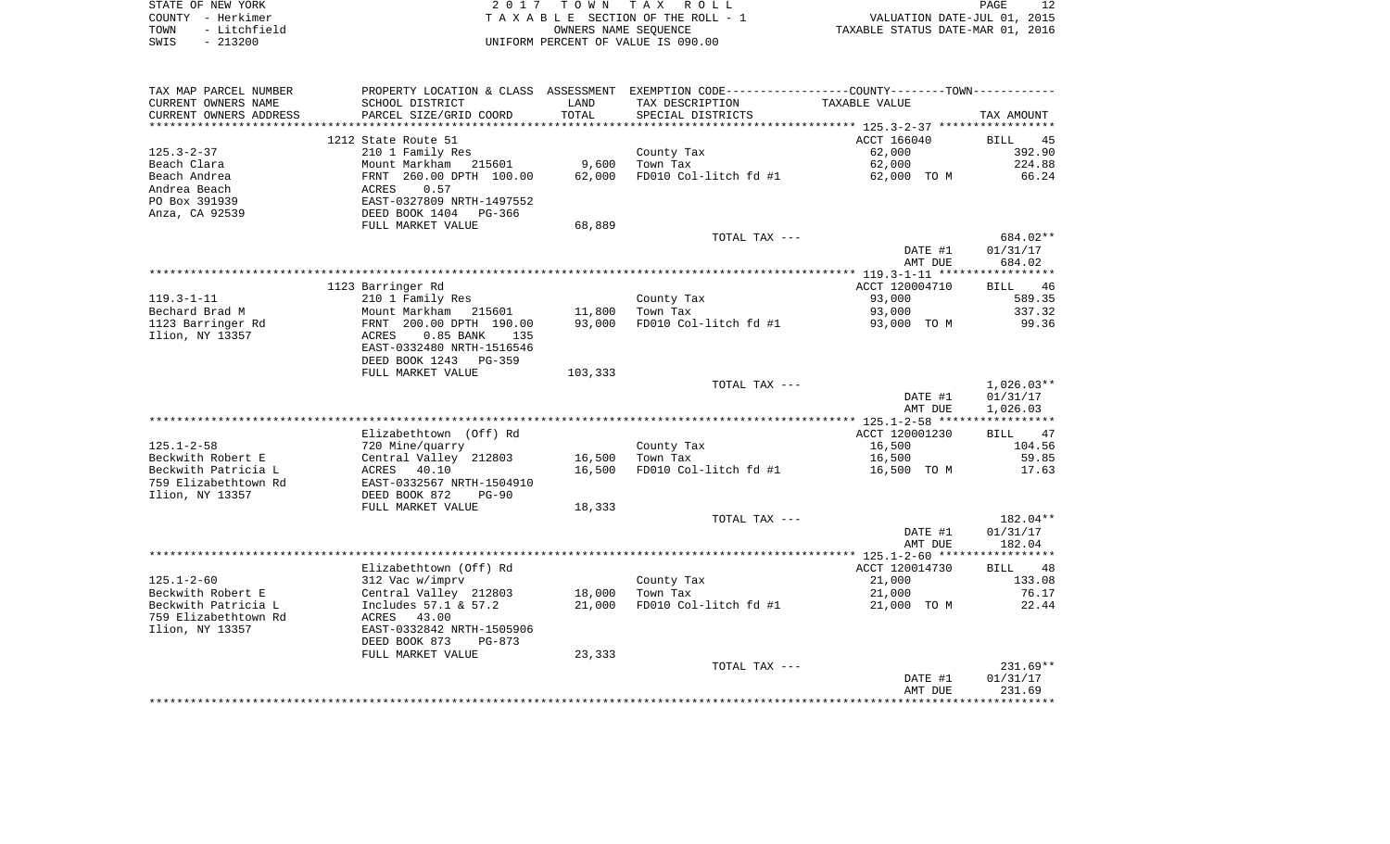| STATE OF NEW YORK    | 2017 TOWN TAX ROLL                 | PAGE                             |
|----------------------|------------------------------------|----------------------------------|
| COUNTY - Herkimer    | TAXABLE SECTION OF THE ROLL - 1    | VALUATION DATE-JUL 01, 2015      |
| - Litchfield<br>TOWN | OWNERS NAME SEOUENCE               | TAXABLE STATUS DATE-MAR 01, 2016 |
| $-213200$<br>SWIS    | UNIFORM PERCENT OF VALUE IS 090.00 |                                  |

| TAX MAP PARCEL NUMBER<br>CURRENT OWNERS NAME                    | SCHOOL DISTRICT                                                                                                        | LAND             | PROPERTY LOCATION & CLASS ASSESSMENT EXEMPTION CODE---------------COUNTY-------TOWN----------<br>TAX DESCRIPTION | TAXABLE VALUE                      |                                    |
|-----------------------------------------------------------------|------------------------------------------------------------------------------------------------------------------------|------------------|------------------------------------------------------------------------------------------------------------------|------------------------------------|------------------------------------|
| CURRENT OWNERS ADDRESS<br>***********************               | PARCEL SIZE/GRID COORD                                                                                                 | TOTAL            | SPECIAL DISTRICTS                                                                                                |                                    | TAX AMOUNT                         |
| 125.3-2-37                                                      | 1212 State Route 51<br>210 1 Family Res                                                                                |                  | County Tax                                                                                                       | ACCT 166040<br>62,000              | BILL<br>45<br>392.90               |
| Beach Clara                                                     | Mount Markham 215601                                                                                                   | 9,600            | Town Tax                                                                                                         | 62,000                             | 224.88                             |
| Beach Andrea<br>Andrea Beach<br>PO Box 391939<br>Anza, CA 92539 | FRNT 260.00 DPTH 100.00<br>0.57<br>ACRES<br>EAST-0327809 NRTH-1497552<br>DEED BOOK 1404<br>PG-366<br>FULL MARKET VALUE | 62,000<br>68,889 | FD010 Col-litch fd #1                                                                                            | 62,000 TO M                        | 66.24                              |
|                                                                 |                                                                                                                        |                  | TOTAL TAX ---                                                                                                    | DATE #1<br>AMT DUE                 | 684.02**<br>01/31/17<br>684.02     |
|                                                                 | 1123 Barringer Rd                                                                                                      |                  |                                                                                                                  | ACCT 120004710                     | BILL 46                            |
| 119.3-1-11                                                      | 210 1 Family Res                                                                                                       |                  | County Tax                                                                                                       | 93,000                             | 589.35                             |
| Bechard Brad M                                                  | Mount Markham 215601                                                                                                   | 11,800           | Town Tax                                                                                                         | 93,000                             | 337.32                             |
| 1123 Barringer Rd<br>Ilion, NY 13357                            | FRNT 200.00 DPTH 190.00<br>ACRES<br>$0.85$ BANK<br>135<br>EAST-0332480 NRTH-1516546<br>DEED BOOK 1243 PG-359           | 93,000           | FD010 Col-litch fd #1                                                                                            | 93,000 TO M                        | 99.36                              |
|                                                                 | FULL MARKET VALUE                                                                                                      | 103,333          |                                                                                                                  |                                    |                                    |
|                                                                 |                                                                                                                        |                  | TOTAL TAX ---                                                                                                    | DATE #1<br>AMT DUE                 | 1,026.03**<br>01/31/17<br>1,026.03 |
|                                                                 | Elizabethtown (Off) Rd                                                                                                 |                  |                                                                                                                  | ACCT 120001230                     | BILL 47                            |
| $125.1 - 2 - 58$                                                | 720 Mine/quarry                                                                                                        |                  | County Tax                                                                                                       | 16,500                             | 104.56                             |
| Beckwith Robert E                                               | Central Valley 212803                                                                                                  | 16,500           | Town Tax                                                                                                         | 16,500                             | 59.85                              |
| Beckwith Patricia L<br>759 Elizabethtown Rd<br>Ilion, NY 13357  | ACRES 40.10<br>EAST-0332567 NRTH-1504910<br>DEED BOOK 872<br>PG-90                                                     | 16,500           | FD010 Col-litch fd #1                                                                                            | 16,500 TO M                        | 17.63                              |
|                                                                 | FULL MARKET VALUE                                                                                                      | 18,333           | TOTAL TAX ---                                                                                                    |                                    | 182.04**                           |
|                                                                 |                                                                                                                        |                  |                                                                                                                  | DATE #1<br>AMT DUE                 | 01/31/17<br>182.04                 |
|                                                                 |                                                                                                                        |                  |                                                                                                                  |                                    |                                    |
| $125.1 - 2 - 60$<br>Beckwith Robert E                           | Elizabethtown (Off) Rd<br>312 Vac w/imprv<br>Central Valley 212803                                                     | 18,000           | County Tax<br>Town Tax                                                                                           | ACCT 120014730<br>21,000<br>21,000 | BILL 48<br>133.08<br>76.17         |
| Beckwith Patricia L<br>759 Elizabethtown Rd<br>Ilion, NY 13357  | Includes 57.1 & 57.2<br>43.00<br>ACRES<br>EAST-0332842 NRTH-1505906<br>DEED BOOK 873<br>PG-873                         | 21,000           | FD010 Col-litch fd #1                                                                                            | 21,000 TO M                        | 22.44                              |
|                                                                 | FULL MARKET VALUE                                                                                                      | 23,333           |                                                                                                                  |                                    |                                    |
|                                                                 |                                                                                                                        |                  | TOTAL TAX ---                                                                                                    | DATE #1<br>AMT DUE                 | $231.69**$<br>01/31/17<br>231.69   |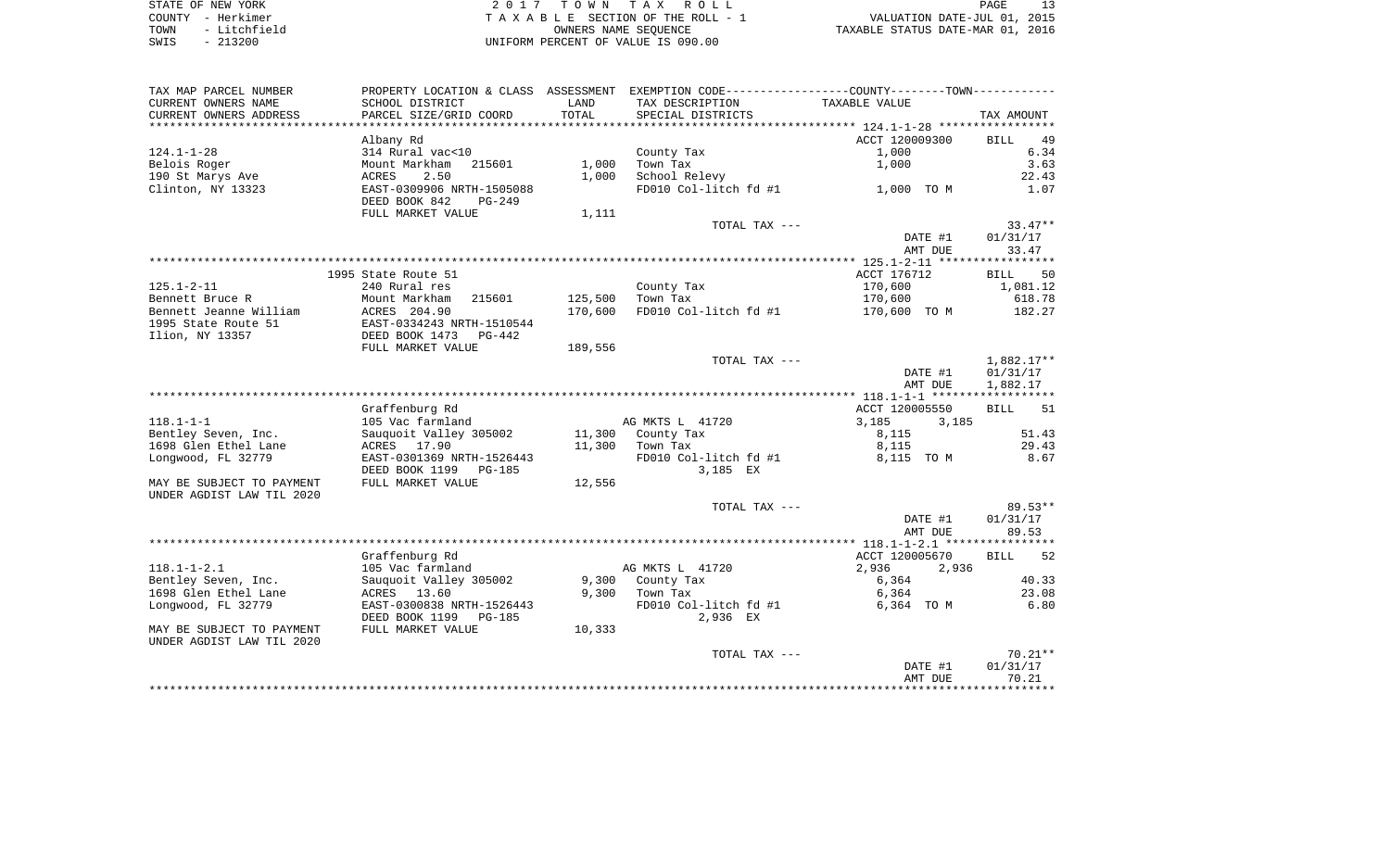STATE OF NEW YORK 2 0 1 7 T O W N T A X R O L L PAGE 13 COUNTY - Herkimer T A X A B L E SECTION OF THE ROLL - 1 VALUATION DATE-JUL 01, 2015 TOWN - Litchfield OWNERS NAME SEQUENCE TAXABLE STATUS DATE-MAR 01, 2016 SWIS - 213200 UNIFORM PERCENT OF VALUE IS 090.00

| TAX MAP PARCEL NUMBER                          | PROPERTY LOCATION & CLASS ASSESSMENT                  |         | EXEMPTION CODE-----------------COUNTY-------TOWN----------- |                         |                           |
|------------------------------------------------|-------------------------------------------------------|---------|-------------------------------------------------------------|-------------------------|---------------------------|
| CURRENT OWNERS NAME                            | SCHOOL DISTRICT                                       | LAND    | TAX DESCRIPTION                                             | TAXABLE VALUE           |                           |
| CURRENT OWNERS ADDRESS<br>******************** | PARCEL SIZE/GRID COORD                                | TOTAL   | SPECIAL DISTRICTS                                           |                         | TAX AMOUNT                |
|                                                |                                                       |         |                                                             |                         |                           |
| $124.1 - 1 - 28$                               | Albany Rd<br>314 Rural vac<10                         |         |                                                             | ACCT 120009300<br>1,000 | 49<br><b>BILL</b><br>6.34 |
| Belois Roger                                   | Mount Markham<br>215601                               | 1,000   | County Tax<br>Town Tax                                      | 1,000                   | 3.63                      |
| 190 St Marys Ave                               | 2.50<br><b>ACRES</b>                                  | 1,000   | School Relevy                                               |                         | 22.43                     |
| Clinton, NY 13323                              | EAST-0309906 NRTH-1505088                             |         | FD010 Col-litch fd #1                                       | 1,000 TO M              | 1.07                      |
|                                                | DEED BOOK 842<br>PG-249                               |         |                                                             |                         |                           |
|                                                | FULL MARKET VALUE                                     | 1,111   |                                                             |                         |                           |
|                                                |                                                       |         | TOTAL TAX ---                                               |                         | $33.47**$                 |
|                                                |                                                       |         |                                                             | DATE #1                 | 01/31/17                  |
|                                                |                                                       |         |                                                             | AMT DUE                 | 33.47                     |
|                                                | 1995 State Route 51                                   |         |                                                             | ACCT 176712             | 50<br><b>BILL</b>         |
| $125.1 - 2 - 11$                               | 240 Rural res                                         |         | County Tax                                                  | 170,600                 | 1,081.12                  |
| Bennett Bruce R                                | Mount Markham<br>215601                               | 125,500 | Town Tax                                                    | 170,600                 | 618.78                    |
| Bennett Jeanne William                         | ACRES 204.90                                          | 170,600 | FD010 Col-litch fd #1                                       | 170,600 TO M            | 182.27                    |
| 1995 State Route 51                            | EAST-0334243 NRTH-1510544                             |         |                                                             |                         |                           |
| Ilion, NY 13357                                | DEED BOOK 1473<br>PG-442                              |         |                                                             |                         |                           |
|                                                | FULL MARKET VALUE                                     | 189,556 |                                                             |                         |                           |
|                                                |                                                       |         | TOTAL TAX ---                                               |                         | 1,882.17**                |
|                                                |                                                       |         |                                                             | DATE #1                 | 01/31/17                  |
|                                                |                                                       |         |                                                             | AMT DUE                 | 1,882.17                  |
|                                                |                                                       |         |                                                             |                         |                           |
|                                                | Graffenburg Rd                                        |         |                                                             | ACCT 120005550          | <b>BILL</b><br>51         |
| $118.1 - 1 - 1$                                | 105 Vac farmland                                      |         | AG MKTS L 41720                                             | 3,185<br>3,185          |                           |
| Bentley Seven, Inc.                            | Sauguoit Valley 305002                                | 11,300  | County Tax                                                  | 8,115                   | 51.43                     |
| 1698 Glen Ethel Lane                           | ACRES 17.90                                           | 11,300  | Town Tax                                                    | 8,115                   | 29.43                     |
| Longwood, FL 32779                             | EAST-0301369 NRTH-1526443<br>DEED BOOK 1199<br>PG-185 |         | FD010 Col-litch fd #1<br>3,185 EX                           | 8,115 TO M              | 8.67                      |
| MAY BE SUBJECT TO PAYMENT                      | FULL MARKET VALUE                                     | 12,556  |                                                             |                         |                           |
| UNDER AGDIST LAW TIL 2020                      |                                                       |         |                                                             |                         |                           |
|                                                |                                                       |         | TOTAL TAX ---                                               |                         | $89.53**$                 |
|                                                |                                                       |         |                                                             | DATE #1                 | 01/31/17                  |
|                                                |                                                       |         |                                                             | AMT DUE                 | 89.53                     |
|                                                |                                                       |         |                                                             |                         |                           |
|                                                | Graffenburg Rd                                        |         |                                                             | ACCT 120005670          | 52<br>BILL                |
| $118.1 - 1 - 2.1$                              | 105 Vac farmland                                      |         | AG MKTS L 41720                                             | 2,936<br>2,936          |                           |
| Bentley Seven, Inc.                            | Sauguoit Valley 305002                                | 9,300   | County Tax                                                  | 6,364                   | 40.33                     |
| 1698 Glen Ethel Lane                           | ACRES 13.60                                           | 9,300   | Town Tax                                                    | 6,364                   | 23.08                     |
| Longwood, FL 32779                             | EAST-0300838 NRTH-1526443                             |         | FD010 Col-litch fd #1                                       | 6,364 TO M              | 6.80                      |
|                                                | DEED BOOK 1199<br><b>PG-185</b>                       |         | 2,936 EX                                                    |                         |                           |
| MAY BE SUBJECT TO PAYMENT                      | FULL MARKET VALUE                                     | 10,333  |                                                             |                         |                           |
| UNDER AGDIST LAW TIL 2020                      |                                                       |         |                                                             |                         |                           |
|                                                |                                                       |         | TOTAL TAX ---                                               | DATE #1                 | $70.21**$<br>01/31/17     |
|                                                |                                                       |         |                                                             | AMT DUE                 | 70.21                     |
|                                                |                                                       |         |                                                             |                         | ***********               |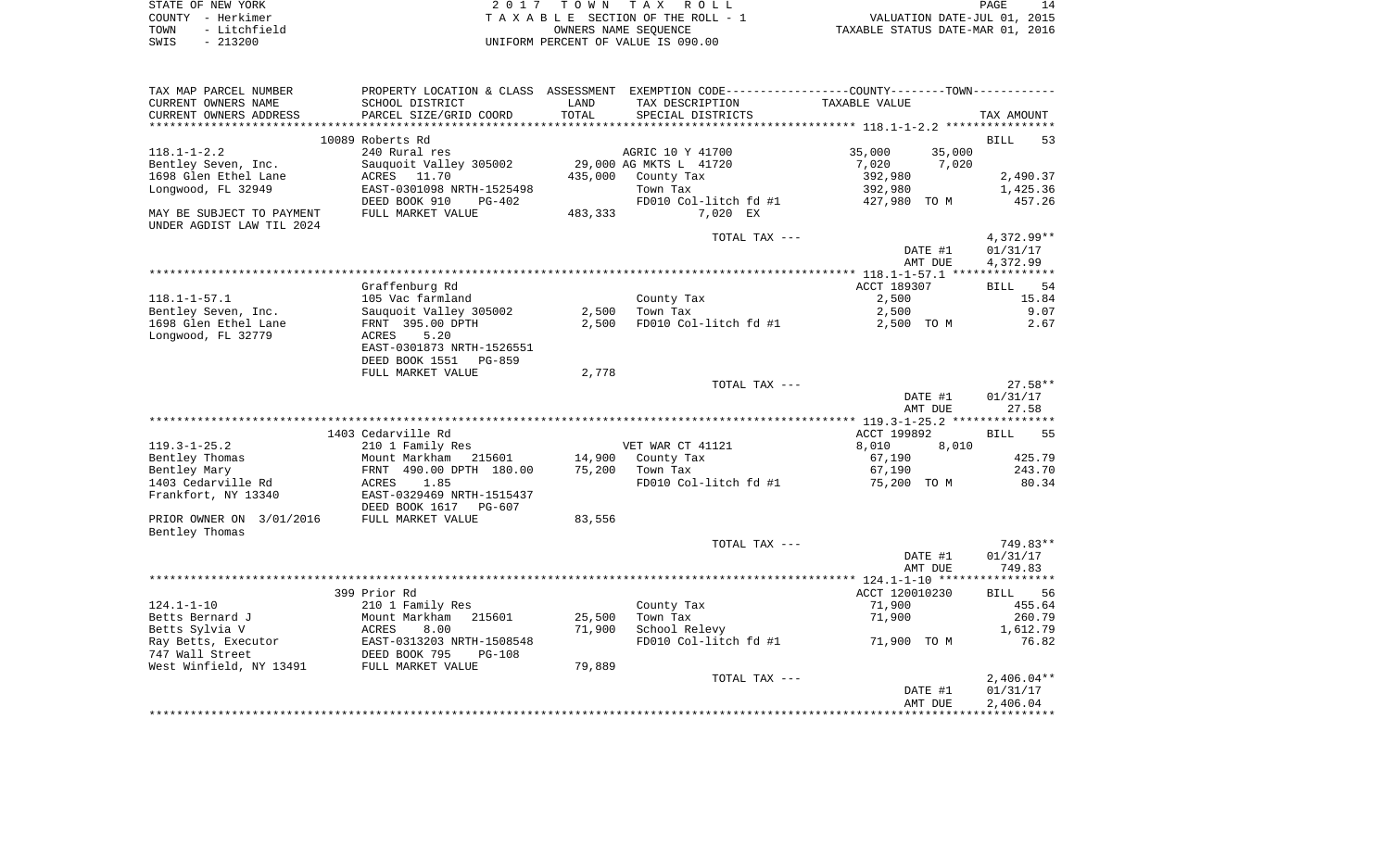| STATE OF NEW YORK    | 2017 TOWN TAX ROLL                 | PAGE                             |
|----------------------|------------------------------------|----------------------------------|
| COUNTY - Herkimer    | TAXABLE SECTION OF THE ROLL - 1    | VALUATION DATE-JUL 01, 2015      |
| - Litchfield<br>TOWN | OWNERS NAME SEOUENCE               | TAXABLE STATUS DATE-MAR 01, 2016 |
| SWIS<br>$-213200$    | UNIFORM PERCENT OF VALUE IS 090.00 |                                  |

| TAX MAP PARCEL NUMBER     |                                                   |         |                        | PROPERTY LOCATION & CLASS ASSESSMENT EXEMPTION CODE----------------COUNTY--------TOWN---------- |                   |
|---------------------------|---------------------------------------------------|---------|------------------------|-------------------------------------------------------------------------------------------------|-------------------|
| CURRENT OWNERS NAME       | SCHOOL DISTRICT                                   | LAND    | TAX DESCRIPTION        | TAXABLE VALUE                                                                                   |                   |
| CURRENT OWNERS ADDRESS    | PARCEL SIZE/GRID COORD                            | TOTAL   | SPECIAL DISTRICTS      |                                                                                                 | TAX AMOUNT        |
|                           | 10089 Roberts Rd                                  |         |                        |                                                                                                 | <b>BILL</b><br>53 |
| $118.1 - 1 - 2.2$         | 240 Rural res                                     |         | AGRIC 10 Y 41700       | 35,000<br>35,000                                                                                |                   |
| Bentley Seven, Inc.       | Sauquoit Valley 305002                            |         | 29,000 AG MKTS L 41720 | 7,020<br>7,020                                                                                  |                   |
| 1698 Glen Ethel Lane      | ACRES 11.70                                       | 435,000 | County Tax             | 392,980                                                                                         | 2,490.37          |
| Longwood, FL 32949        | EAST-0301098 NRTH-1525498                         |         | Town Tax               | 392,980                                                                                         | 1,425.36          |
|                           | DEED BOOK 910<br>PG-402                           |         | FD010 Col-litch fd #1  | 427,980 TO M                                                                                    | 457.26            |
| MAY BE SUBJECT TO PAYMENT | FULL MARKET VALUE                                 | 483,333 | 7,020 EX               |                                                                                                 |                   |
| UNDER AGDIST LAW TIL 2024 |                                                   |         |                        |                                                                                                 |                   |
|                           |                                                   |         | TOTAL TAX ---          |                                                                                                 | 4,372.99**        |
|                           |                                                   |         |                        | DATE #1                                                                                         | 01/31/17          |
|                           |                                                   |         |                        | AMT DUE                                                                                         | 4,372.99          |
|                           |                                                   |         |                        |                                                                                                 |                   |
|                           | Graffenburg Rd                                    |         |                        | ACCT 189307                                                                                     | BILL 54           |
| $118.1 - 1 - 57.1$        | 105 Vac farmland                                  |         | County Tax             | 2,500                                                                                           | 15.84             |
| Bentley Seven, Inc.       | Sauquoit Valley 305002                            | 2,500   | Town Tax               | 2,500                                                                                           | 9.07              |
| 1698 Glen Ethel Lane      | FRNT 395.00 DPTH                                  | 2,500   | FD010 Col-litch fd #1  | 2,500 TO M                                                                                      | 2.67              |
| Longwood, FL 32779        | 5.20<br>ACRES                                     |         |                        |                                                                                                 |                   |
|                           | EAST-0301873 NRTH-1526551                         |         |                        |                                                                                                 |                   |
|                           | DEED BOOK 1551<br>PG-859                          |         |                        |                                                                                                 |                   |
|                           | FULL MARKET VALUE                                 | 2,778   |                        |                                                                                                 |                   |
|                           |                                                   |         | TOTAL TAX ---          |                                                                                                 | $27.58**$         |
|                           |                                                   |         |                        | DATE #1                                                                                         | 01/31/17          |
|                           |                                                   |         |                        | AMT DUE                                                                                         | 27.58             |
|                           |                                                   |         |                        |                                                                                                 |                   |
|                           | 1403 Cedarville Rd                                |         |                        | ACCT 199892                                                                                     | BILL<br>55        |
| $119.3 - 1 - 25.2$        | 210 1 Family Res                                  |         | VET WAR CT 41121       | 8,010<br>8,010                                                                                  |                   |
| Bentley Thomas            | Mount Markham 215601                              | 14,900  | County Tax             | 67,190                                                                                          | 425.79            |
| Bentley Mary              | FRNT 490.00 DPTH 180.00                           | 75,200  | Town Tax               | 67,190                                                                                          | 243.70            |
| 1403 Cedarville Rd        | ACRES<br>1.85                                     |         | FD010 Col-litch fd #1  | 75,200 TO M                                                                                     | 80.34             |
| Frankfort, NY 13340       | EAST-0329469 NRTH-1515437                         |         |                        |                                                                                                 |                   |
|                           | DEED BOOK 1617<br>PG-607                          |         |                        |                                                                                                 |                   |
| PRIOR OWNER ON 3/01/2016  | FULL MARKET VALUE                                 | 83,556  |                        |                                                                                                 |                   |
| Bentley Thomas            |                                                   |         |                        |                                                                                                 |                   |
|                           |                                                   |         | TOTAL TAX ---          |                                                                                                 | 749.83**          |
|                           |                                                   |         |                        | DATE #1                                                                                         | 01/31/17          |
|                           |                                                   |         |                        | AMT DUE                                                                                         | 749.83            |
|                           |                                                   |         |                        |                                                                                                 |                   |
|                           | 399 Prior Rd                                      |         |                        | ACCT 120010230                                                                                  | <b>BILL</b><br>56 |
| $124.1 - 1 - 10$          | 210 1 Family Res                                  |         | County Tax             | 71,900                                                                                          | 455.64            |
| Betts Bernard J           | Mount Markham<br>215601                           | 25,500  | Town Tax               | 71,900                                                                                          | 260.79            |
| Betts Sylvia V            | ACRES<br>8.00                                     | 71,900  | School Relevy          |                                                                                                 | 1,612.79          |
| Ray Betts, Executor       | EAST-0313203 NRTH-1508548<br>DEED BOOK 795 PG-108 |         | FD010 Col-litch fd #1  | 71,900 TO M                                                                                     | 76.82             |
| 747 Wall Street           |                                                   |         |                        |                                                                                                 |                   |
| West Winfield, NY 13491   | FULL MARKET VALUE                                 | 79,889  |                        |                                                                                                 |                   |
|                           |                                                   |         | TOTAL TAX ---          |                                                                                                 | $2,406.04**$      |
|                           |                                                   |         |                        | DATE #1                                                                                         | 01/31/17          |
|                           |                                                   |         |                        | AMT DUE                                                                                         | 2,406.04          |
|                           |                                                   |         |                        |                                                                                                 |                   |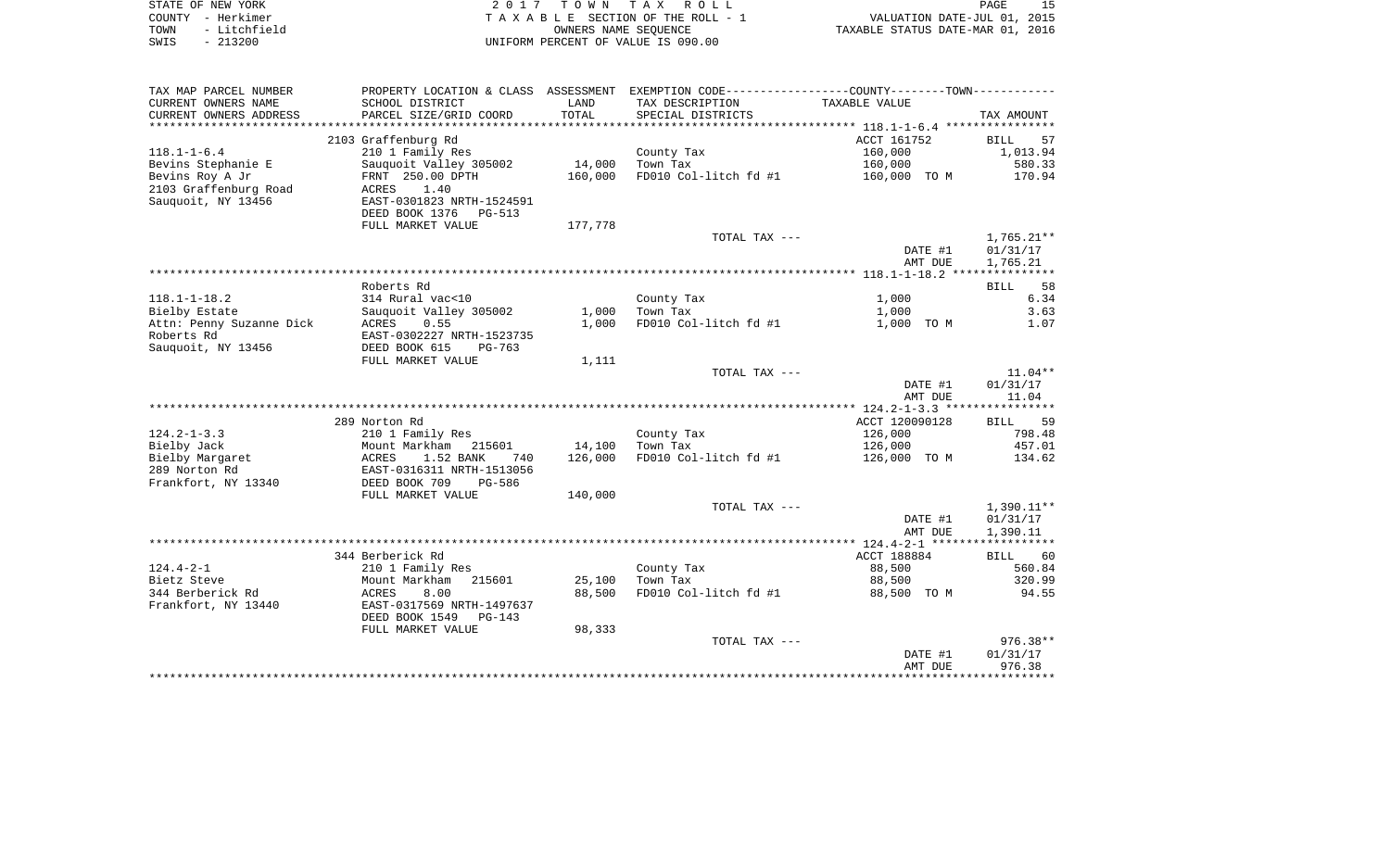| STATE OF NEW YORK    | 2017 TOWN TAX ROLL                 | PAGE                             |
|----------------------|------------------------------------|----------------------------------|
| COUNTY - Herkimer    | TAXABLE SECTION OF THE ROLL - 1    | VALUATION DATE-JUL 01, 2015      |
| - Litchfield<br>TOWN | OWNERS NAME SEOUENCE               | TAXABLE STATUS DATE-MAR 01, 2016 |
| $-213200$<br>SWIS    | UNIFORM PERCENT OF VALUE IS 090.00 |                                  |

| TAX MAP PARCEL NUMBER    | PROPERTY LOCATION & CLASS  | ASSESSMENT | EXEMPTION CODE----------------COUNTY-------TOWN----------- |                |                   |
|--------------------------|----------------------------|------------|------------------------------------------------------------|----------------|-------------------|
| CURRENT OWNERS NAME      | SCHOOL DISTRICT            | LAND       | TAX DESCRIPTION                                            | TAXABLE VALUE  |                   |
| CURRENT OWNERS ADDRESS   | PARCEL SIZE/GRID COORD     | TOTAL      | SPECIAL DISTRICTS                                          |                | TAX AMOUNT        |
| ***********************  |                            |            |                                                            |                |                   |
|                          | 2103 Graffenburg Rd        |            |                                                            | ACCT 161752    | <b>BILL</b><br>57 |
| $118.1 - 1 - 6.4$        | 210 1 Family Res           |            | County Tax                                                 | 160,000        | 1,013.94          |
| Bevins Stephanie E       | Sauquoit Valley 305002     | 14,000     | Town Tax                                                   | 160,000        | 580.33            |
| Bevins Roy A Jr          | FRNT 250.00 DPTH           | 160,000    | FD010 Col-litch fd #1                                      | 160,000 TO M   | 170.94            |
| 2103 Graffenburg Road    | ACRES<br>1.40              |            |                                                            |                |                   |
| Sauquoit, NY 13456       | EAST-0301823 NRTH-1524591  |            |                                                            |                |                   |
|                          | DEED BOOK 1376<br>PG-513   |            |                                                            |                |                   |
|                          | FULL MARKET VALUE          | 177,778    |                                                            |                |                   |
|                          |                            |            | TOTAL TAX ---                                              |                | $1,765.21**$      |
|                          |                            |            |                                                            | DATE #1        | 01/31/17          |
|                          |                            |            |                                                            |                |                   |
|                          |                            |            |                                                            | AMT DUE        | 1,765.21          |
|                          |                            |            |                                                            |                |                   |
|                          | Roberts Rd                 |            |                                                            |                | 58<br><b>BILL</b> |
| $118.1 - 1 - 18.2$       | 314 Rural vac<10           |            | County Tax                                                 | 1,000          | 6.34              |
| Bielby Estate            | Sauguoit Valley 305002     | 1,000      | Town Tax                                                   | 1,000          | 3.63              |
| Attn: Penny Suzanne Dick | 0.55<br>ACRES              | 1,000      | FD010 Col-litch fd #1                                      | 1,000 TO M     | 1.07              |
| Roberts Rd               | EAST-0302227 NRTH-1523735  |            |                                                            |                |                   |
| Sauquoit, NY 13456       | DEED BOOK 615<br>$PG-763$  |            |                                                            |                |                   |
|                          | FULL MARKET VALUE          | 1,111      |                                                            |                |                   |
|                          |                            |            | TOTAL TAX ---                                              |                | $11.04**$         |
|                          |                            |            |                                                            | DATE #1        | 01/31/17          |
|                          |                            |            |                                                            | AMT DUE        | 11.04             |
|                          |                            |            |                                                            |                |                   |
|                          | 289 Norton Rd              |            |                                                            | ACCT 120090128 | 59<br><b>BILL</b> |
| $124.2 - 1 - 3.3$        | 210 1 Family Res           |            | County Tax                                                 | 126,000        | 798.48            |
| Bielby Jack              | Mount Markham<br>215601    | 14,100     | Town Tax                                                   | 126,000        | 457.01            |
| Bielby Margaret          | ACRES<br>1.52 BANK<br>740  | 126,000    | FD010 Col-litch fd #1                                      | 126,000 TO M   | 134.62            |
| 289 Norton Rd            | EAST-0316311 NRTH-1513056  |            |                                                            |                |                   |
| Frankfort, NY 13340      | DEED BOOK 709<br>PG-586    |            |                                                            |                |                   |
|                          | FULL MARKET VALUE          | 140,000    |                                                            |                |                   |
|                          |                            |            | TOTAL TAX ---                                              |                | $1,390.11**$      |
|                          |                            |            |                                                            | DATE #1        | 01/31/17          |
|                          |                            |            |                                                            | AMT DUE        | 1,390.11          |
|                          |                            |            |                                                            |                |                   |
|                          | 344 Berberick Rd           |            |                                                            | ACCT 188884    | BILL<br>60        |
| $124.4 - 2 - 1$          | 210 1 Family Res           |            | County Tax                                                 | 88,500         | 560.84            |
| Bietz Steve              | Mount Markham<br>215601    | 25,100     | Town Tax                                                   | 88,500         | 320.99            |
| 344 Berberick Rd         | 8.00<br>ACRES              | 88,500     | FD010 Col-litch fd #1                                      | 88,500 TO M    | 94.55             |
| Frankfort, NY 13440      | EAST-0317569 NRTH-1497637  |            |                                                            |                |                   |
|                          | DEED BOOK 1549<br>$PG-143$ |            |                                                            |                |                   |
|                          | FULL MARKET VALUE          | 98,333     |                                                            |                |                   |
|                          |                            |            | TOTAL TAX ---                                              |                | $976.38**$        |
|                          |                            |            |                                                            | DATE #1        | 01/31/17          |
|                          |                            |            |                                                            | AMT DUE        | 976.38            |
|                          |                            |            |                                                            |                |                   |
|                          |                            |            |                                                            |                |                   |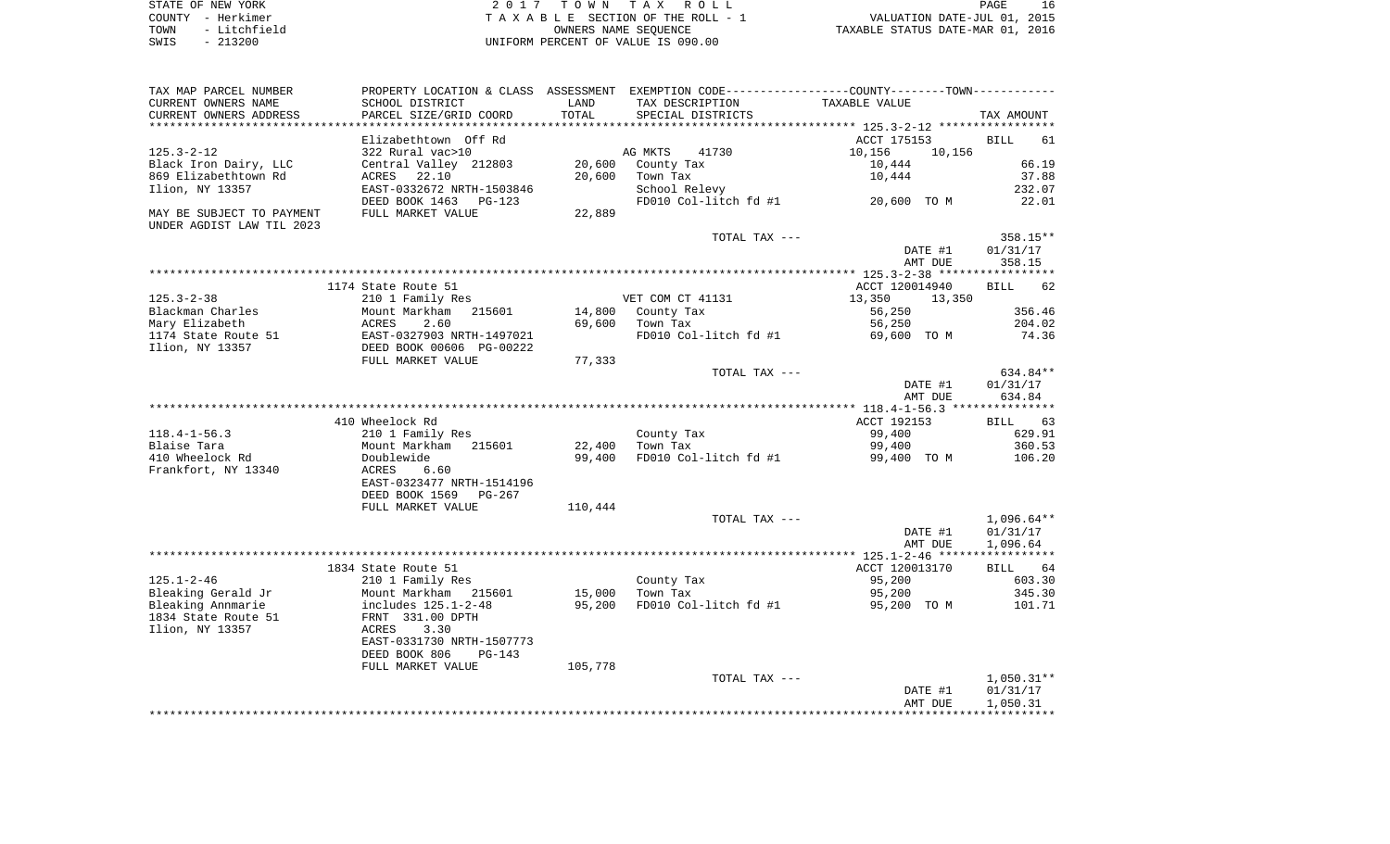| STATE OF NEW YORK    | 2017 TOWN TAX ROLL                 | PAGE                             |
|----------------------|------------------------------------|----------------------------------|
| COUNTY - Herkimer    | TAXABLE SECTION OF THE ROLL - 1    | VALUATION DATE-JUL 01, 2015      |
| - Litchfield<br>TOWN | OWNERS NAME SEOUENCE               | TAXABLE STATUS DATE-MAR 01, 2016 |
| $-213200$<br>SWIS    | UNIFORM PERCENT OF VALUE IS 090.00 |                                  |

| TAX MAP PARCEL NUMBER     |                           |         |                       | PROPERTY LOCATION & CLASS ASSESSMENT EXEMPTION CODE----------------COUNTY--------TOWN----------- |                   |
|---------------------------|---------------------------|---------|-----------------------|--------------------------------------------------------------------------------------------------|-------------------|
| CURRENT OWNERS NAME       | SCHOOL DISTRICT           | LAND    | TAX DESCRIPTION       | TAXABLE VALUE                                                                                    |                   |
| CURRENT OWNERS ADDRESS    | PARCEL SIZE/GRID COORD    | TOTAL   | SPECIAL DISTRICTS     |                                                                                                  | TAX AMOUNT        |
|                           |                           |         |                       |                                                                                                  |                   |
|                           | Elizabethtown Off Rd      |         |                       | ACCT 175153                                                                                      | <b>BILL</b><br>61 |
| $125.3 - 2 - 12$          | 322 Rural vac>10          |         | AG MKTS<br>41730      | 10,156<br>10,156                                                                                 |                   |
| Black Iron Dairy, LLC     | Central Valley 212803     | 20,600  | County Tax            | 10,444                                                                                           | 66.19             |
| 869 Elizabethtown Rd      | ACRES 22.10               | 20,600  | Town Tax              | 10,444                                                                                           | 37.88             |
| Ilion, NY 13357           | EAST-0332672 NRTH-1503846 |         | School Relevy         |                                                                                                  | 232.07            |
|                           | DEED BOOK 1463<br>PG-123  |         | FD010 Col-litch fd #1 | 20,600 TO M                                                                                      | 22.01             |
| MAY BE SUBJECT TO PAYMENT | FULL MARKET VALUE         | 22,889  |                       |                                                                                                  |                   |
| UNDER AGDIST LAW TIL 2023 |                           |         |                       |                                                                                                  |                   |
|                           |                           |         | TOTAL TAX ---         |                                                                                                  | 358.15**          |
|                           |                           |         |                       | DATE #1                                                                                          | 01/31/17          |
|                           |                           |         |                       | AMT DUE                                                                                          | 358.15            |
|                           |                           |         |                       |                                                                                                  |                   |
|                           | 1174 State Route 51       |         |                       | ACCT 120014940                                                                                   | <b>BILL</b><br>62 |
| $125.3 - 2 - 38$          | 210 1 Family Res          |         | VET COM CT 41131      | 13,350<br>13,350                                                                                 |                   |
| Blackman Charles          | Mount Markham<br>215601   | 14,800  | County Tax            | 56,250                                                                                           | 356.46            |
| Mary Elizabeth            | 2.60<br>ACRES             | 69,600  | Town Tax              | 56,250                                                                                           | 204.02            |
| 1174 State Route 51       | EAST-0327903 NRTH-1497021 |         | FD010 Col-litch fd #1 | 69,600 TO M                                                                                      | 74.36             |
| Ilion, NY 13357           | DEED BOOK 00606 PG-00222  |         |                       |                                                                                                  |                   |
|                           | FULL MARKET VALUE         | 77,333  |                       |                                                                                                  |                   |
|                           |                           |         | TOTAL TAX ---         |                                                                                                  | 634.84**          |
|                           |                           |         |                       | DATE #1                                                                                          | 01/31/17          |
|                           |                           |         |                       | AMT DUE                                                                                          | 634.84            |
|                           |                           |         |                       |                                                                                                  |                   |
|                           | 410 Wheelock Rd           |         |                       | ACCT 192153                                                                                      | BILL 63           |
| $118.4 - 1 - 56.3$        | 210 1 Family Res          |         | County Tax            | 99,400                                                                                           | 629.91            |
| Blaise Tara               | Mount Markham 215601      | 22,400  | Town Tax              | 99,400                                                                                           | 360.53            |
| 410 Wheelock Rd           | Doublewide                | 99,400  | FD010 Col-litch fd #1 | 99,400 TO M                                                                                      | 106.20            |
| Frankfort, NY 13340       | ACRES<br>6.60             |         |                       |                                                                                                  |                   |
|                           | EAST-0323477 NRTH-1514196 |         |                       |                                                                                                  |                   |
|                           | DEED BOOK 1569<br>PG-267  |         |                       |                                                                                                  |                   |
|                           | FULL MARKET VALUE         | 110,444 |                       |                                                                                                  |                   |
|                           |                           |         | TOTAL TAX ---         |                                                                                                  | $1,096.64**$      |
|                           |                           |         |                       | DATE #1                                                                                          | 01/31/17          |
|                           |                           |         |                       | AMT DUE                                                                                          | 1,096.64          |
|                           |                           |         |                       |                                                                                                  |                   |
|                           | 1834 State Route 51       |         |                       | ACCT 120013170                                                                                   | BILL 64           |
| $125.1 - 2 - 46$          | 210 1 Family Res          |         | County Tax            | 95,200                                                                                           | 603.30            |
| Bleaking Gerald Jr        | Mount Markham 215601      | 15,000  | Town Tax              | 95,200                                                                                           | 345.30            |
| Bleaking Annmarie         | includes 125.1-2-48       | 95,200  | FD010 Col-litch fd #1 | 95,200 TO M                                                                                      | 101.71            |
| 1834 State Route 51       | FRNT 331.00 DPTH          |         |                       |                                                                                                  |                   |
| Ilion, NY 13357           | 3.30<br>ACRES             |         |                       |                                                                                                  |                   |
|                           | EAST-0331730 NRTH-1507773 |         |                       |                                                                                                  |                   |
|                           | DEED BOOK 806<br>$PG-143$ |         |                       |                                                                                                  |                   |
|                           | FULL MARKET VALUE         | 105,778 |                       |                                                                                                  |                   |
|                           |                           |         |                       |                                                                                                  |                   |
|                           |                           |         | TOTAL TAX ---         |                                                                                                  | $1,050.31**$      |
|                           |                           |         |                       | DATE #1                                                                                          | 01/31/17          |
|                           |                           |         |                       | AMT DUE                                                                                          | 1,050.31          |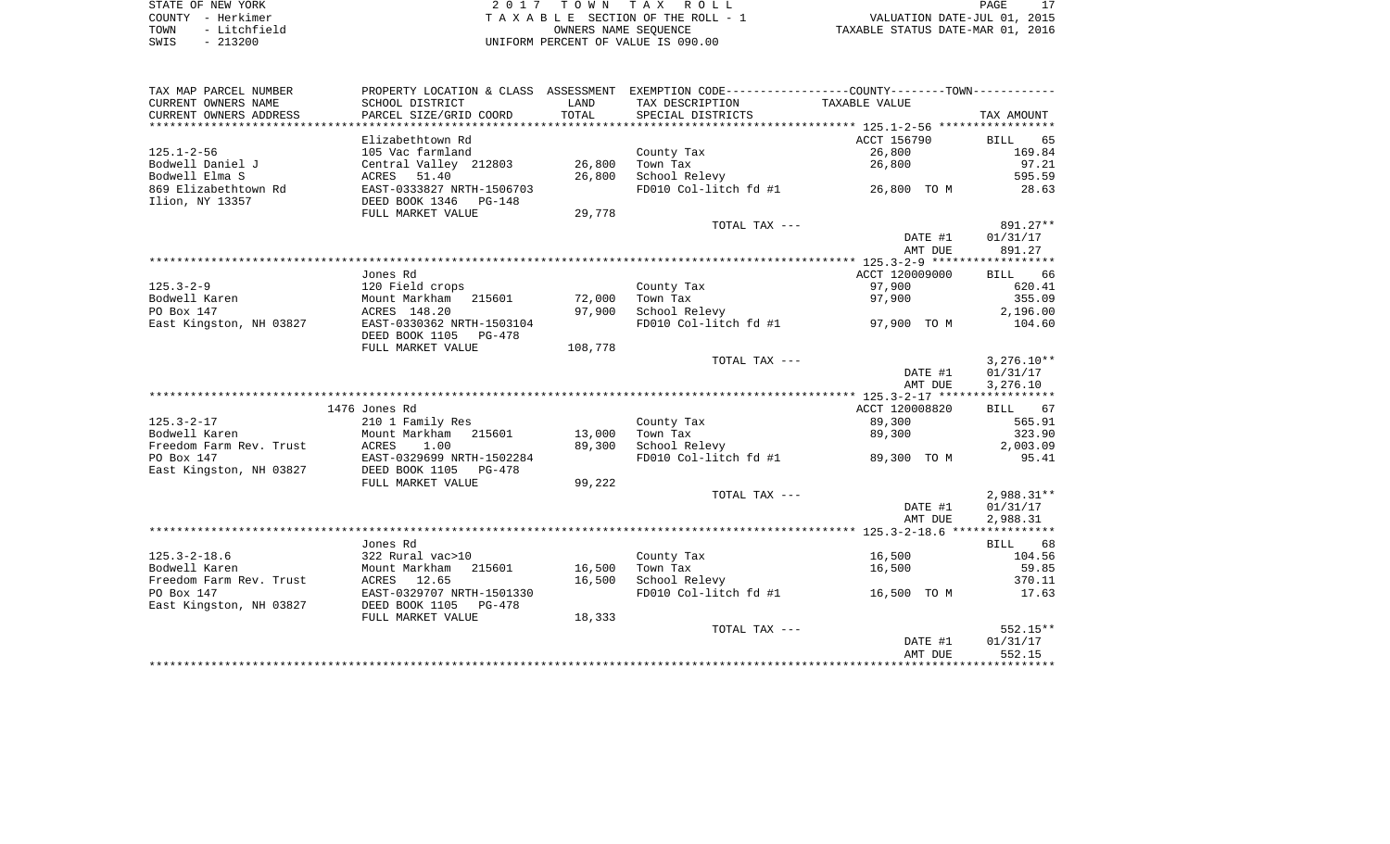STATE OF NEW YORK **EXECUTE:** A 2 0 1 7 T O W N T A X R O L L COUNTY - Herkimer<br>
T A X A B L E SECTION OF THE ROLL - 1<br>
TOWN - Litchfield<br>
SWIS - 213200 - UNIFORM PERCENT OF VALUE IS 090.00 TOWN - Litchfield OWNERS NAME SEQUENCE TAXABLE STATUS DATE-MAR 01, 2016 SWIS - 213200 UNIFORM PERCENT OF VALUE IS 090.00

| TAX MAP PARCEL NUMBER   |                                 |         | PROPERTY LOCATION & CLASS ASSESSMENT EXEMPTION CODE-----------------COUNTY-------TOWN---------- |                          |                   |
|-------------------------|---------------------------------|---------|-------------------------------------------------------------------------------------------------|--------------------------|-------------------|
| CURRENT OWNERS NAME     | SCHOOL DISTRICT                 | LAND    | TAX DESCRIPTION                                                                                 | TAXABLE VALUE            |                   |
| CURRENT OWNERS ADDRESS  | PARCEL SIZE/GRID COORD          | TOTAL   | SPECIAL DISTRICTS                                                                               |                          | TAX AMOUNT        |
|                         |                                 |         |                                                                                                 |                          |                   |
|                         | Elizabethtown Rd                |         |                                                                                                 | ACCT 156790              | <b>BILL</b><br>65 |
| $125.1 - 2 - 56$        | 105 Vac farmland                |         | County Tax                                                                                      | 26,800                   | 169.84            |
| Bodwell Daniel J        | Central Valley 212803           | 26,800  | Town Tax                                                                                        | 26,800                   | 97.21             |
| Bodwell Elma S          | 51.40<br>ACRES                  | 26,800  | School Relevy                                                                                   |                          | 595.59            |
| 869 Elizabethtown Rd    | EAST-0333827 NRTH-1506703       |         | FD010 Col-litch fd #1                                                                           | 26,800 TO M              | 28.63             |
| Ilion, NY 13357         | DEED BOOK 1346<br><b>PG-148</b> |         |                                                                                                 |                          |                   |
|                         | FULL MARKET VALUE               | 29,778  |                                                                                                 |                          |                   |
|                         |                                 |         | TOTAL TAX ---                                                                                   |                          | 891.27**          |
|                         |                                 |         |                                                                                                 | DATE #1                  | 01/31/17          |
|                         |                                 |         |                                                                                                 | AMT DUE                  | 891.27            |
|                         |                                 |         |                                                                                                 |                          |                   |
|                         |                                 |         |                                                                                                 |                          |                   |
| $125.3 - 2 - 9$         | Jones Rd                        |         |                                                                                                 | ACCT 120009000<br>97,900 | BILL 66           |
|                         | 120 Field crops                 |         | County Tax                                                                                      |                          | 620.41            |
| Bodwell Karen           | Mount Markham<br>215601         | 72,000  | Town Tax                                                                                        | 97,900                   | 355.09            |
| PO Box 147              | ACRES 148.20                    | 97,900  | School Relevy                                                                                   |                          | 2,196.00          |
| East Kingston, NH 03827 | EAST-0330362 NRTH-1503104       |         | FD010 Col-litch fd #1                                                                           | 97,900 TO M              | 104.60            |
|                         | DEED BOOK 1105 PG-478           |         |                                                                                                 |                          |                   |
|                         | FULL MARKET VALUE               | 108,778 |                                                                                                 |                          |                   |
|                         |                                 |         | TOTAL TAX ---                                                                                   |                          | $3,276.10**$      |
|                         |                                 |         |                                                                                                 | DATE #1                  | 01/31/17          |
|                         |                                 |         |                                                                                                 | AMT DUE                  | 3,276.10          |
|                         |                                 |         |                                                                                                 |                          |                   |
|                         | 1476 Jones Rd                   |         |                                                                                                 | ACCT 120008820           | 67<br>BILL        |
| $125.3 - 2 - 17$        | 210 1 Family Res                |         | County Tax                                                                                      | 89,300                   | 565.91            |
| Bodwell Karen           | Mount Markham<br>215601         | 13,000  | Town Tax                                                                                        | 89,300                   | 323.90            |
| Freedom Farm Rev. Trust | ACRES<br>1.00                   | 89,300  | School Relevy                                                                                   |                          | 2,003.09          |
| PO Box 147              | EAST-0329699 NRTH-1502284       |         | FD010 Col-litch fd #1                                                                           | 89,300 TO M              | 95.41             |
| East Kingston, NH 03827 | DEED BOOK 1105<br>PG-478        |         |                                                                                                 |                          |                   |
|                         | FULL MARKET VALUE               | 99,222  |                                                                                                 |                          |                   |
|                         |                                 |         | TOTAL TAX ---                                                                                   |                          | 2,988.31**        |
|                         |                                 |         |                                                                                                 | DATE #1                  | 01/31/17          |
|                         |                                 |         |                                                                                                 | AMT DUE                  | 2,988.31          |
|                         |                                 |         |                                                                                                 |                          |                   |
|                         | Jones Rd                        |         |                                                                                                 |                          | 68<br><b>BILL</b> |
| $125.3 - 2 - 18.6$      | 322 Rural vac>10                |         | County Tax                                                                                      | 16,500                   | 104.56            |
| Bodwell Karen           | Mount Markham<br>215601         | 16,500  | Town Tax                                                                                        | 16,500                   | 59.85             |
| Freedom Farm Rev. Trust | ACRES<br>12.65                  | 16,500  | School Relevy                                                                                   |                          | 370.11            |
| PO Box 147              | EAST-0329707 NRTH-1501330       |         | FD010 Col-litch fd #1                                                                           | 16,500 TO M              | 17.63             |
| East Kingston, NH 03827 | DEED BOOK 1105<br>$PG-478$      |         |                                                                                                 |                          |                   |
|                         | FULL MARKET VALUE               | 18,333  |                                                                                                 |                          |                   |
|                         |                                 |         | TOTAL TAX ---                                                                                   |                          | $552.15**$        |
|                         |                                 |         |                                                                                                 | DATE #1                  | 01/31/17          |
|                         |                                 |         |                                                                                                 | AMT DUE                  | 552.15            |
|                         |                                 |         |                                                                                                 |                          |                   |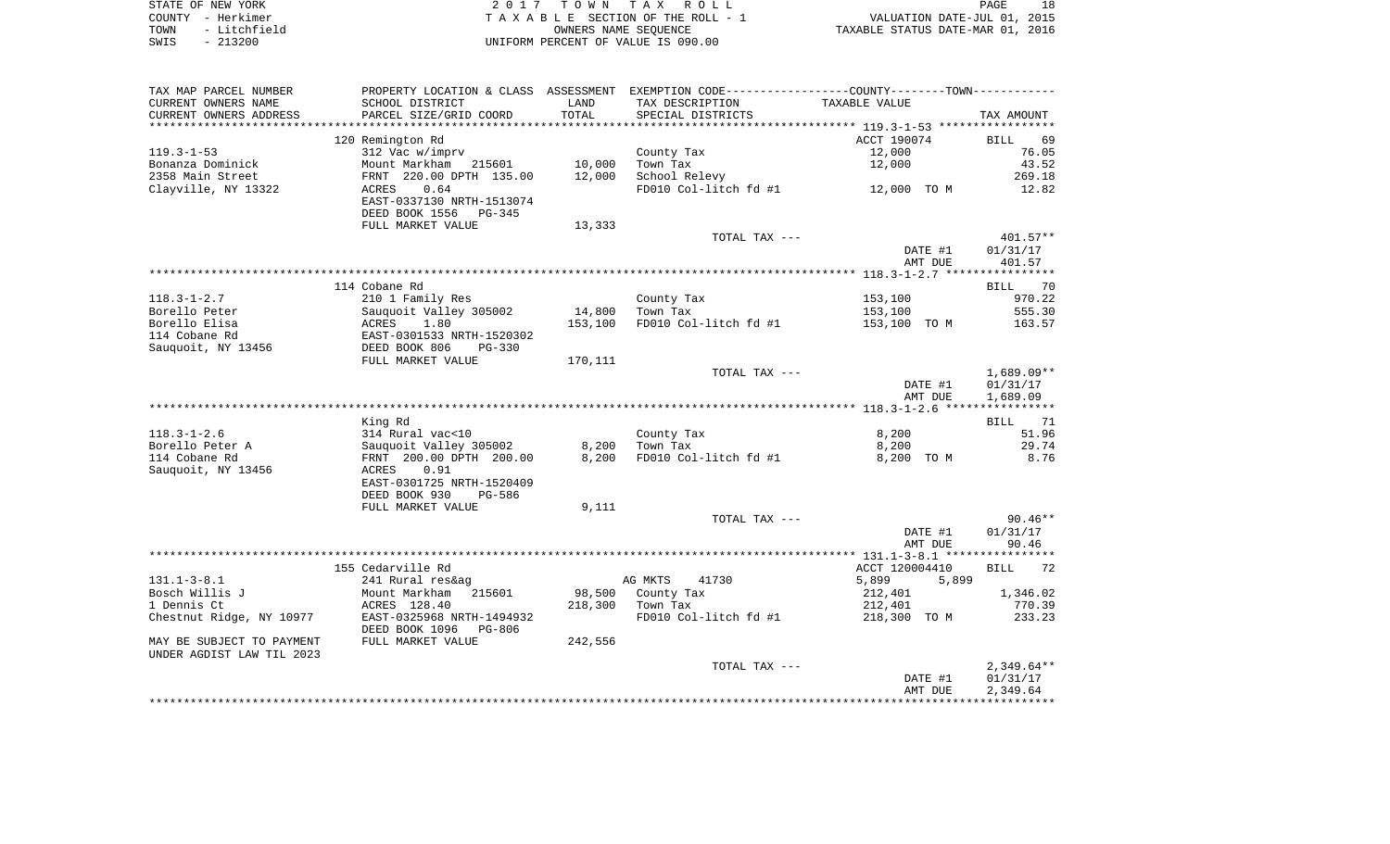| STATE OF NEW YORK    | 2017 TOWN TAX ROLL                 | PAGE                             |
|----------------------|------------------------------------|----------------------------------|
| COUNTY - Herkimer    | TAXABLE SECTION OF THE ROLL - 1    | VALUATION DATE-JUL 01, 2015      |
| - Litchfield<br>TOWN | OWNERS NAME SEOUENCE               | TAXABLE STATUS DATE-MAR 01, 2016 |
| SWIS<br>$-213200$    | UNIFORM PERCENT OF VALUE IS 090.00 |                                  |

| TAX MAP PARCEL NUMBER<br>CURRENT OWNERS NAME                                                                                             | PROPERTY LOCATION & CLASS ASSESSMENT EXEMPTION CODE---------------COUNTY-------TOWN----------<br>SCHOOL DISTRICT                                                                      | LAND                         | TAX DESCRIPTION                                                     | TAXABLE VALUE                                                          |                                                        |
|------------------------------------------------------------------------------------------------------------------------------------------|---------------------------------------------------------------------------------------------------------------------------------------------------------------------------------------|------------------------------|---------------------------------------------------------------------|------------------------------------------------------------------------|--------------------------------------------------------|
| CURRENT OWNERS ADDRESS<br>**********************                                                                                         | PARCEL SIZE/GRID COORD                                                                                                                                                                | TOTAL                        | SPECIAL DISTRICTS                                                   |                                                                        | TAX AMOUNT                                             |
| $119.3 - 1 - 53$<br>Bonanza Dominick<br>2358 Main Street<br>Clayville, NY 13322                                                          | 120 Remington Rd<br>312 Vac w/imprv<br>Mount Markham 215601<br>FRNT 220.00 DPTH 135.00<br>0.64<br>ACRES<br>EAST-0337130 NRTH-1513074<br>DEED BOOK 1556<br>PG-345<br>FULL MARKET VALUE | 10,000<br>12,000<br>13,333   | County Tax<br>Town Tax<br>School Relevy<br>FD010 Col-litch fd #1    | ACCT 190074<br>12,000<br>12,000<br>12,000 TO M                         | <b>BILL</b><br>69<br>76.05<br>43.52<br>269.18<br>12.82 |
|                                                                                                                                          |                                                                                                                                                                                       |                              | TOTAL TAX ---                                                       | DATE #1<br>AMT DUE                                                     | $401.57**$<br>01/31/17<br>401.57                       |
|                                                                                                                                          |                                                                                                                                                                                       |                              |                                                                     |                                                                        |                                                        |
| 118.3-1-2.7<br>Borello Peter<br>Borello Elisa<br>114 Cobane Rd                                                                           | 114 Cobane Rd<br>210 1 Family Res<br>Sauguoit Valley 305002<br>ACRES<br>1.80<br>EAST-0301533 NRTH-1520302                                                                             | 14,800<br>153,100            | County Tax<br>Town Tax<br>FD010 Col-litch fd #1                     | 153,100<br>153,100<br>153,100 TO M                                     | BILL 70<br>970.22<br>555.30<br>163.57                  |
| Sauguoit, NY 13456                                                                                                                       | DEED BOOK 806<br>$PG-330$<br>FULL MARKET VALUE                                                                                                                                        | 170,111                      | TOTAL TAX ---                                                       | DATE #1<br>AMT DUE                                                     | 1,689.09**<br>01/31/17<br>1,689.09                     |
|                                                                                                                                          |                                                                                                                                                                                       |                              |                                                                     |                                                                        |                                                        |
| $118.3 - 1 - 2.6$<br>Borello Peter A<br>114 Cobane Rd<br>Sauquoit, NY 13456                                                              | King Rd<br>314 Rural vac<10<br>Sauquoit Valley 305002<br>FRNT 200.00 DPTH 200.00<br>ACRES<br>0.91<br>EAST-0301725 NRTH-1520409<br>DEED BOOK 930<br>PG-586                             | 8,200<br>8,200               | County Tax<br>Town Tax<br>FD010 Col-litch fd #1                     | 8,200<br>8,200<br>8,200 TO M                                           | BILL 71<br>51.96<br>29.74<br>8.76                      |
|                                                                                                                                          | FULL MARKET VALUE                                                                                                                                                                     | 9,111                        | TOTAL TAX ---                                                       | DATE #1<br>AMT DUE                                                     | $90.46**$<br>01/31/17<br>90.46                         |
|                                                                                                                                          |                                                                                                                                                                                       |                              |                                                                     |                                                                        |                                                        |
| $131.1 - 3 - 8.1$<br>Bosch Willis J<br>1 Dennis Ct<br>Chestnut Ridge, NY 10977<br>MAY BE SUBJECT TO PAYMENT<br>UNDER AGDIST LAW TIL 2023 | 155 Cedarville Rd<br>241 Rural res&ag<br>215601<br>Mount Markham<br>ACRES 128.40<br>EAST-0325968 NRTH-1494932<br>DEED BOOK 1096 PG-806<br>FULL MARKET VALUE                           | 98,500<br>218,300<br>242,556 | AG MKTS<br>41730<br>County Tax<br>Town Tax<br>FD010 Col-litch fd #1 | ACCT 120004410<br>5,899<br>5,899<br>212,401<br>212,401<br>218,300 TO M | 72<br><b>BILL</b><br>1,346.02<br>770.39<br>233.23      |
|                                                                                                                                          |                                                                                                                                                                                       |                              | TOTAL TAX ---                                                       | DATE #1<br>AMT DUE                                                     | $2,349.64**$<br>01/31/17<br>2,349.64                   |
|                                                                                                                                          |                                                                                                                                                                                       |                              |                                                                     |                                                                        |                                                        |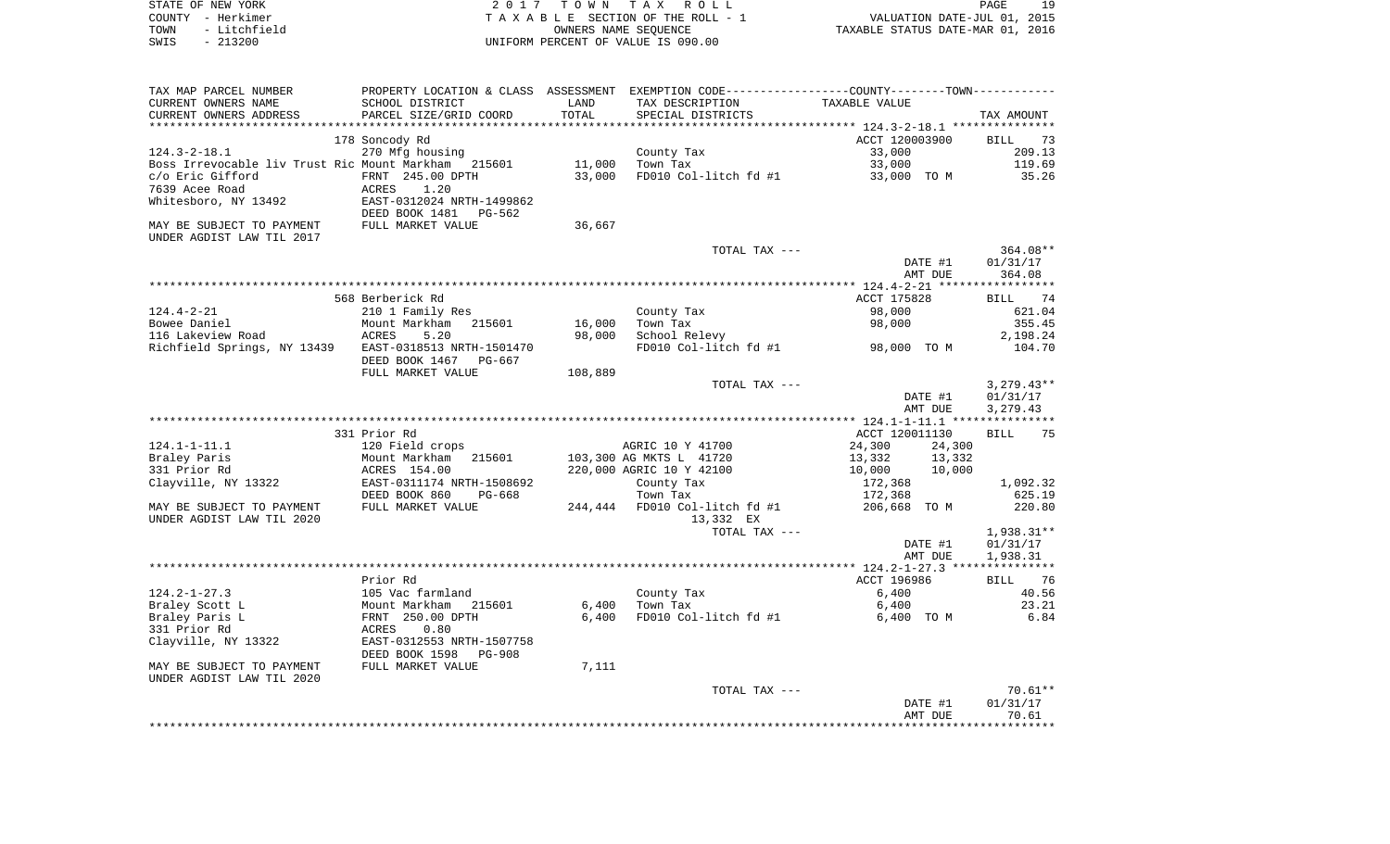| STATE OF NEW YORK    | 2017 TOWN TAX ROLL                 | 19<br>PAGE                       |
|----------------------|------------------------------------|----------------------------------|
| COUNTY - Herkimer    | TAXABLE SECTION OF THE ROLL - 1    | VALUATION DATE-JUL 01, 2015      |
| - Litchfield<br>TOWN | OWNERS NAME SEOUENCE               | TAXABLE STATUS DATE-MAR 01, 2016 |
| $-213200$<br>SWIS    | UNIFORM PERCENT OF VALUE IS 090.00 |                                  |
|                      |                                    |                                  |

| TAX MAP PARCEL NUMBER                                  | PROPERTY LOCATION & CLASS ASSESSMENT                  |         |                          | EXEMPTION CODE-----------------COUNTY-------TOWN----------- |                          |
|--------------------------------------------------------|-------------------------------------------------------|---------|--------------------------|-------------------------------------------------------------|--------------------------|
| CURRENT OWNERS NAME                                    | SCHOOL DISTRICT                                       | LAND    | TAX DESCRIPTION          | TAXABLE VALUE                                               |                          |
| CURRENT OWNERS ADDRESS                                 | PARCEL SIZE/GRID COORD                                | TOTAL   | SPECIAL DISTRICTS        |                                                             | TAX AMOUNT               |
| ************************                               | *****************************                         |         |                          |                                                             |                          |
|                                                        | 178 Soncody Rd                                        |         |                          | ACCT 120003900                                              | <b>BILL</b><br>-73       |
| $124.3 - 2 - 18.1$                                     | 270 Mfg housing                                       |         | County Tax               | 33,000                                                      | 209.13                   |
| Boss Irrevocable liv Trust Ric Mount Markham           | 215601                                                | 11,000  | Town Tax                 | 33,000                                                      | 119.69                   |
| c/o Eric Gifford                                       | FRNT 245.00 DPTH                                      | 33,000  | FD010 Col-litch fd #1    | 33,000 TO M                                                 | 35.26                    |
| 7639 Acee Road                                         | ACRES<br>1.20                                         |         |                          |                                                             |                          |
| Whitesboro, NY 13492                                   | EAST-0312024 NRTH-1499862<br>DEED BOOK 1481<br>PG-562 |         |                          |                                                             |                          |
| MAY BE SUBJECT TO PAYMENT<br>UNDER AGDIST LAW TIL 2017 | FULL MARKET VALUE                                     | 36,667  |                          |                                                             |                          |
|                                                        |                                                       |         | TOTAL TAX ---            |                                                             | $364.08**$               |
|                                                        |                                                       |         |                          | DATE #1<br>AMT DUE                                          | 01/31/17<br>364.08       |
|                                                        |                                                       |         |                          |                                                             |                          |
|                                                        | 568 Berberick Rd                                      |         |                          | ACCT 175828                                                 | <b>BILL</b><br>74        |
| $124.4 - 2 - 21$                                       | 210 1 Family Res                                      |         | County Tax               | 98,000                                                      | 621.04                   |
| Bowee Daniel                                           | Mount Markham<br>215601                               | 16,000  | Town Tax                 | 98,000                                                      | 355.45                   |
| 116 Lakeview Road                                      | ACRES<br>5.20                                         | 98,000  | School Relevy            |                                                             | 2,198.24                 |
| Richfield Springs, NY 13439                            | EAST-0318513 NRTH-1501470<br>DEED BOOK 1467<br>PG-667 |         | FD010 Col-litch fd #1    | 98,000 TO M                                                 | 104.70                   |
|                                                        | FULL MARKET VALUE                                     | 108,889 |                          |                                                             |                          |
|                                                        |                                                       |         | TOTAL TAX ---            | DATE #1                                                     | $3,279.43**$<br>01/31/17 |
|                                                        |                                                       |         |                          | AMT DUE                                                     | 3,279.43                 |
|                                                        |                                                       |         |                          |                                                             |                          |
|                                                        | 331 Prior Rd                                          |         |                          | ACCT 120011130                                              | 75<br>BILL               |
| $124.1 - 1 - 11.1$                                     | 120 Field crops                                       |         | AGRIC 10 Y 41700         | 24,300<br>24,300                                            |                          |
| Braley Paris                                           | Mount Markham<br>215601                               |         | 103,300 AG MKTS L 41720  | 13,332<br>13,332                                            |                          |
| 331 Prior Rd                                           | ACRES 154.00                                          |         | 220,000 AGRIC 10 Y 42100 | 10,000<br>10,000                                            |                          |
| Clayville, NY 13322                                    | EAST-0311174 NRTH-1508692                             |         | County Tax               | 172,368                                                     | 1,092.32                 |
|                                                        | DEED BOOK 860<br>PG-668                               |         | Town Tax                 | 172,368                                                     | 625.19                   |
| MAY BE SUBJECT TO PAYMENT                              | FULL MARKET VALUE                                     | 244,444 | FD010 Col-litch fd #1    | 206,668 TO M                                                | 220.80                   |
| UNDER AGDIST LAW TIL 2020                              |                                                       |         | 13,332 EX                |                                                             |                          |
|                                                        |                                                       |         | TOTAL TAX ---            |                                                             | $1,938.31**$             |
|                                                        |                                                       |         |                          | DATE #1                                                     | 01/31/17                 |
|                                                        |                                                       |         |                          | AMT DUE                                                     | 1,938.31                 |
|                                                        | Prior Rd                                              |         |                          |                                                             |                          |
| $124.2 - 1 - 27.3$                                     | 105 Vac farmland                                      |         | County Tax               | ACCT 196986<br>6,400                                        | 76<br>BILL<br>40.56      |
| Braley Scott L                                         | Mount Markham 215601                                  | 6,400   | Town Tax                 | 6,400                                                       | 23.21                    |
| Braley Paris L                                         | FRNT 250.00 DPTH                                      | 6,400   | FD010 Col-litch fd #1    | 6,400 TO M                                                  | 6.84                     |
| 331 Prior Rd                                           | 0.80<br>ACRES                                         |         |                          |                                                             |                          |
| Clayville, NY 13322                                    | EAST-0312553 NRTH-1507758                             |         |                          |                                                             |                          |
|                                                        | DEED BOOK 1598<br><b>PG-908</b>                       |         |                          |                                                             |                          |
| MAY BE SUBJECT TO PAYMENT<br>UNDER AGDIST LAW TIL 2020 | FULL MARKET VALUE                                     | 7,111   |                          |                                                             |                          |
|                                                        |                                                       |         | TOTAL TAX ---            |                                                             | $70.61**$                |
|                                                        |                                                       |         |                          | DATE #1<br>AMT DUE                                          | 01/31/17<br>70.61        |
|                                                        |                                                       |         |                          |                                                             |                          |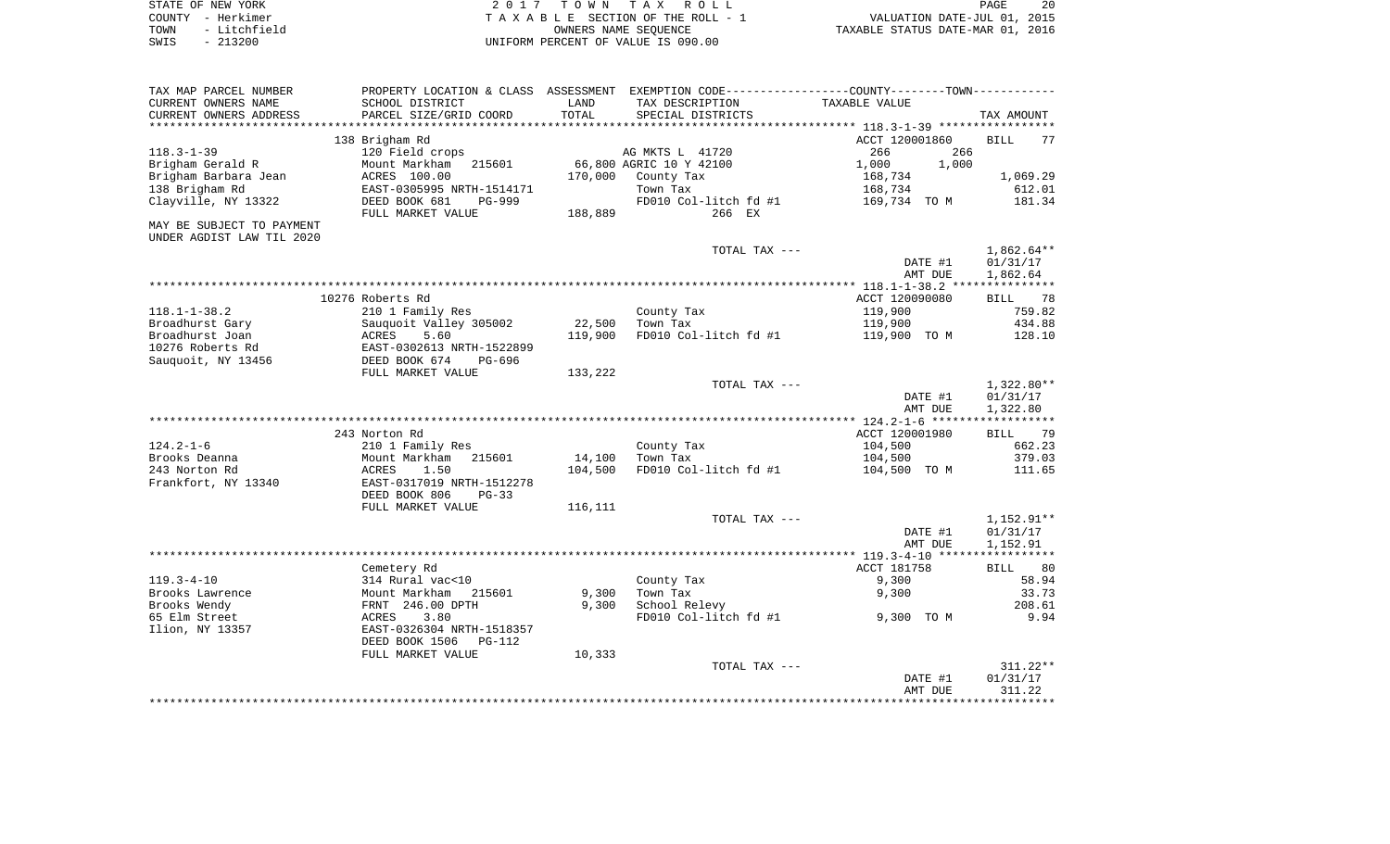| STATE OF NEW YORK    | 2017 TOWN TAX ROLL                 | 20<br>PAGE                       |
|----------------------|------------------------------------|----------------------------------|
| COUNTY - Herkimer    | TAXABLE SECTION OF THE ROLL - 1    | VALUATION DATE-JUL 01, 2015      |
| - Litchfield<br>TOWN | OWNERS NAME SEOUENCE               | TAXABLE STATUS DATE-MAR 01, 2016 |
| $-213200$<br>SWIS    | UNIFORM PERCENT OF VALUE IS 090.00 |                                  |

| TAX MAP PARCEL NUMBER              |                                    |         |                         | PROPERTY LOCATION & CLASS ASSESSMENT EXEMPTION CODE---------------COUNTY-------TOWN---------- |                   |
|------------------------------------|------------------------------------|---------|-------------------------|-----------------------------------------------------------------------------------------------|-------------------|
| CURRENT OWNERS NAME                | SCHOOL DISTRICT                    | LAND    | TAX DESCRIPTION         | TAXABLE VALUE                                                                                 |                   |
| CURRENT OWNERS ADDRESS             | PARCEL SIZE/GRID COORD             | TOTAL   | SPECIAL DISTRICTS       |                                                                                               | TAX AMOUNT        |
|                                    |                                    |         |                         |                                                                                               |                   |
|                                    | 138 Brigham Rd                     |         |                         | ACCT 120001860                                                                                | 77<br><b>BILL</b> |
| $118.3 - 1 - 39$                   | 120 Field crops                    |         | AG MKTS L 41720         | 266<br>266                                                                                    |                   |
| Brigham Gerald R                   | Mount Markham<br>215601            |         | 66,800 AGRIC 10 Y 42100 | 1,000<br>1,000                                                                                |                   |
| Brigham Barbara Jean               | ACRES 100.00                       | 170,000 | County Tax              | 168,734                                                                                       | 1,069.29          |
| 138 Brigham Rd                     | EAST-0305995 NRTH-1514171          |         | Town Tax                | 168,734                                                                                       | 612.01            |
| Clayville, NY 13322                | DEED BOOK 681<br><b>PG-999</b>     |         | FD010 Col-litch fd #1   | 169,734 TO M                                                                                  | 181.34            |
|                                    | FULL MARKET VALUE                  | 188,889 | 266 EX                  |                                                                                               |                   |
| MAY BE SUBJECT TO PAYMENT          |                                    |         |                         |                                                                                               |                   |
| UNDER AGDIST LAW TIL 2020          |                                    |         |                         |                                                                                               |                   |
|                                    |                                    |         | TOTAL TAX ---           |                                                                                               | $1,862.64**$      |
|                                    |                                    |         |                         | DATE #1                                                                                       | 01/31/17          |
|                                    |                                    |         |                         | AMT DUE                                                                                       | 1,862.64          |
|                                    |                                    |         |                         |                                                                                               |                   |
|                                    | 10276 Roberts Rd                   |         |                         | ACCT 120090080                                                                                | 78<br><b>BILL</b> |
| $118.1 - 1 - 38.2$                 | 210 1 Family Res                   | 22,500  | County Tax              | 119,900                                                                                       | 759.82<br>434.88  |
| Broadhurst Gary<br>Broadhurst Joan | Sauquoit Valley 305002<br>5.60     | 119,900 | Town Tax                | 119,900<br>119,900 TO M                                                                       | 128.10            |
| 10276 Roberts Rd                   | ACRES<br>EAST-0302613 NRTH-1522899 |         | FD010 Col-litch fd #1   |                                                                                               |                   |
| Sauquoit, NY 13456                 | DEED BOOK 674<br>PG-696            |         |                         |                                                                                               |                   |
|                                    | FULL MARKET VALUE                  | 133,222 |                         |                                                                                               |                   |
|                                    |                                    |         | TOTAL TAX ---           |                                                                                               | $1,322.80**$      |
|                                    |                                    |         |                         | DATE #1                                                                                       | 01/31/17          |
|                                    |                                    |         |                         | AMT DUE                                                                                       | 1,322.80          |
|                                    |                                    |         |                         |                                                                                               |                   |
|                                    | 243 Norton Rd                      |         |                         | ACCT 120001980                                                                                | <b>BILL</b><br>79 |
| $124.2 - 1 - 6$                    | 210 1 Family Res                   |         | County Tax              | 104,500                                                                                       | 662.23            |
| Brooks Deanna                      | Mount Markham<br>215601            | 14,100  | Town Tax                | 104,500                                                                                       | 379.03            |
| 243 Norton Rd                      | ACRES<br>1.50                      | 104,500 | FD010 Col-litch fd #1   | 104,500 TO M                                                                                  | 111.65            |
| Frankfort, NY 13340                | EAST-0317019 NRTH-1512278          |         |                         |                                                                                               |                   |
|                                    | DEED BOOK 806<br>$PG-33$           |         |                         |                                                                                               |                   |
|                                    | FULL MARKET VALUE                  | 116,111 |                         |                                                                                               |                   |
|                                    |                                    |         | TOTAL TAX ---           |                                                                                               | 1,152.91**        |
|                                    |                                    |         |                         | DATE #1                                                                                       | 01/31/17          |
|                                    |                                    |         |                         | AMT DUE                                                                                       | 1,152.91          |
|                                    |                                    |         |                         |                                                                                               |                   |
|                                    | Cemetery Rd                        |         |                         | ACCT 181758                                                                                   | 80<br>BILL        |
| $119.3 - 4 - 10$                   | 314 Rural vac<10                   |         | County Tax              | 9,300                                                                                         | 58.94             |
| Brooks Lawrence                    | Mount Markham<br>215601            | 9,300   | Town Tax                | 9,300                                                                                         | 33.73             |
| Brooks Wendy                       | FRNT 246.00 DPTH                   | 9,300   | School Relevy           |                                                                                               | 208.61            |
| 65 Elm Street                      | 3.80<br>ACRES                      |         | FD010 Col-litch fd #1   | 9,300 TO M                                                                                    | 9.94              |
| Ilion, NY 13357                    | EAST-0326304 NRTH-1518357          |         |                         |                                                                                               |                   |
|                                    | DEED BOOK 1506<br>PG-112           |         |                         |                                                                                               |                   |
|                                    | FULL MARKET VALUE                  | 10,333  |                         |                                                                                               |                   |
|                                    |                                    |         | TOTAL TAX ---           |                                                                                               | $311.22**$        |
|                                    |                                    |         |                         | DATE #1                                                                                       | 01/31/17          |
|                                    |                                    |         |                         | AMT DUE                                                                                       | 311.22            |
|                                    |                                    |         |                         |                                                                                               |                   |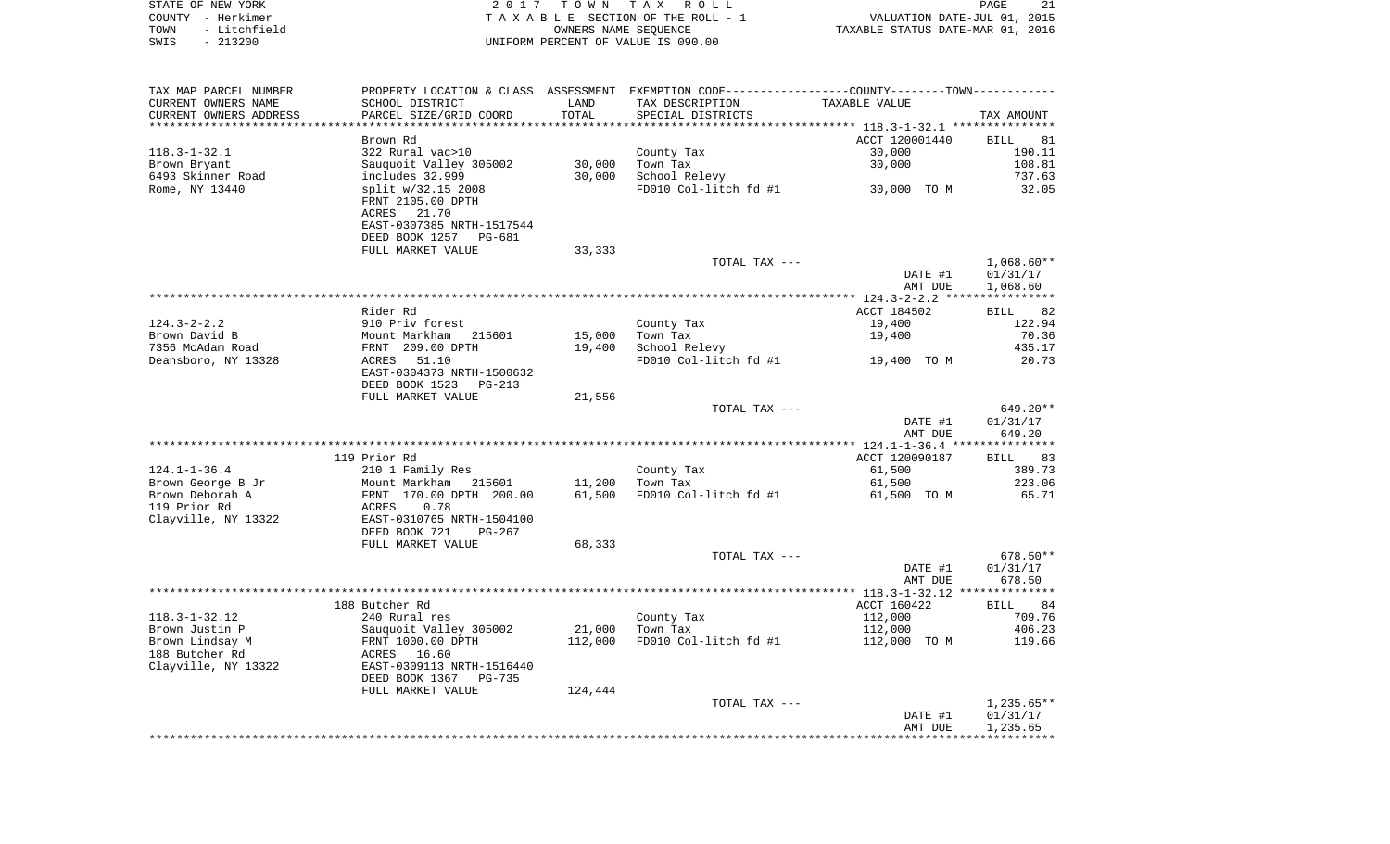| STATE OF NEW YORK    | 2017 TOWN TAX ROLL                 | PAGE                             |
|----------------------|------------------------------------|----------------------------------|
| COUNTY - Herkimer    | TAXABLE SECTION OF THE ROLL - 1    | VALUATION DATE-JUL 01, 2015      |
| - Litchfield<br>TOWN | OWNERS NAME SEOUENCE               | TAXABLE STATUS DATE-MAR 01, 2016 |
| $-213200$<br>SWIS    | UNIFORM PERCENT OF VALUE IS 090.00 |                                  |

| TAX MAP PARCEL NUMBER             |                                           |         | PROPERTY LOCATION & CLASS ASSESSMENT EXEMPTION CODE----------------COUNTY--------TOWN----------- |                    |                          |
|-----------------------------------|-------------------------------------------|---------|--------------------------------------------------------------------------------------------------|--------------------|--------------------------|
| CURRENT OWNERS NAME               | SCHOOL DISTRICT                           | LAND    | TAX DESCRIPTION                                                                                  | TAXABLE VALUE      |                          |
| CURRENT OWNERS ADDRESS            | PARCEL SIZE/GRID COORD                    | TOTAL   | SPECIAL DISTRICTS                                                                                |                    | TAX AMOUNT               |
| ***********************           | ***********************                   |         |                                                                                                  |                    |                          |
|                                   | Brown Rd                                  |         |                                                                                                  | ACCT 120001440     | <b>BILL</b><br>81        |
| $118.3 - 1 - 32.1$                | 322 Rural vac>10                          | 30,000  | County Tax                                                                                       | 30,000<br>30,000   | 190.11<br>108.81         |
| Brown Bryant<br>6493 Skinner Road | Sauquoit Valley 305002<br>includes 32.999 | 30,000  | Town Tax<br>School Relevy                                                                        |                    | 737.63                   |
| Rome, NY 13440                    | split w/32.15 2008                        |         | FD010 Col-litch fd #1                                                                            | 30,000 TO M        | 32.05                    |
|                                   | FRNT 2105.00 DPTH                         |         |                                                                                                  |                    |                          |
|                                   | ACRES 21.70                               |         |                                                                                                  |                    |                          |
|                                   | EAST-0307385 NRTH-1517544                 |         |                                                                                                  |                    |                          |
|                                   | DEED BOOK 1257<br>PG-681                  |         |                                                                                                  |                    |                          |
|                                   | FULL MARKET VALUE                         | 33,333  |                                                                                                  |                    |                          |
|                                   |                                           |         | TOTAL TAX ---                                                                                    |                    | $1,068.60**$             |
|                                   |                                           |         |                                                                                                  | DATE #1            | 01/31/17                 |
|                                   |                                           |         |                                                                                                  | AMT DUE            | 1,068.60<br>************ |
|                                   | Rider Rd                                  |         |                                                                                                  | ACCT 184502        |                          |
| $124.3 - 2 - 2.2$                 | 910 Priv forest                           |         | County Tax                                                                                       | 19,400             | 82<br>BILL<br>122.94     |
| Brown David B                     | Mount Markham 215601                      | 15,000  | Town Tax                                                                                         | 19,400             | 70.36                    |
| 7356 McAdam Road                  | FRNT 209.00 DPTH                          | 19,400  | School Relevy                                                                                    |                    | 435.17                   |
| Deansboro, NY 13328               | ACRES 51.10                               |         | FD010 Col-litch fd #1                                                                            | 19,400 TO M        | 20.73                    |
|                                   | EAST-0304373 NRTH-1500632                 |         |                                                                                                  |                    |                          |
|                                   | DEED BOOK 1523<br>PG-213                  |         |                                                                                                  |                    |                          |
|                                   | FULL MARKET VALUE                         | 21,556  |                                                                                                  |                    |                          |
|                                   |                                           |         | TOTAL TAX ---                                                                                    |                    | 649.20**                 |
|                                   |                                           |         |                                                                                                  | DATE #1            | 01/31/17                 |
|                                   | *****************                         |         |                                                                                                  | AMT DUE            | 649.20                   |
|                                   | 119 Prior Rd                              |         |                                                                                                  | ACCT 120090187     | BILL 83                  |
| $124.1 - 1 - 36.4$                | 210 1 Family Res                          |         | County Tax                                                                                       | 61,500             | 389.73                   |
| Brown George B Jr                 | Mount Markham 215601                      | 11,200  | Town Tax                                                                                         | 61,500             | 223.06                   |
| Brown Deborah A                   | FRNT 170.00 DPTH 200.00                   | 61,500  | FD010 Col-litch fd #1                                                                            | 61,500 TO M        | 65.71                    |
| 119 Prior Rd                      | 0.78<br>ACRES                             |         |                                                                                                  |                    |                          |
| Clayville, NY 13322               | EAST-0310765 NRTH-1504100                 |         |                                                                                                  |                    |                          |
|                                   | DEED BOOK 721<br>$PG-267$                 |         |                                                                                                  |                    |                          |
|                                   | FULL MARKET VALUE                         | 68,333  |                                                                                                  |                    |                          |
|                                   |                                           |         | TOTAL TAX ---                                                                                    |                    | 678.50**                 |
|                                   |                                           |         |                                                                                                  | DATE #1            | 01/31/17<br>678.50       |
|                                   |                                           |         |                                                                                                  | AMT DUE            | * * * * * * * * * * *    |
|                                   | 188 Butcher Rd                            |         |                                                                                                  | ACCT 160422        | 84<br>BILL               |
| $118.3 - 1 - 32.12$               | 240 Rural res                             |         | County Tax                                                                                       | 112,000            | 709.76                   |
| Brown Justin P                    | Sauquoit Valley 305002                    | 21,000  | Town Tax                                                                                         | 112,000            | 406.23                   |
| Brown Lindsay M                   | FRNT 1000.00 DPTH                         | 112,000 | FD010 Col-litch fd #1                                                                            | 112,000 TO M       | 119.66                   |
| 188 Butcher Rd                    | ACRES 16.60                               |         |                                                                                                  |                    |                          |
| Clayville, NY 13322               | EAST-0309113 NRTH-1516440                 |         |                                                                                                  |                    |                          |
|                                   | DEED BOOK 1367<br>PG-735                  |         |                                                                                                  |                    |                          |
|                                   | FULL MARKET VALUE                         | 124,444 |                                                                                                  |                    |                          |
|                                   |                                           |         | TOTAL TAX ---                                                                                    |                    | $1,235.65**$<br>01/31/17 |
|                                   |                                           |         |                                                                                                  | DATE #1<br>AMT DUE | 1,235.65                 |
|                                   |                                           |         |                                                                                                  |                    |                          |
|                                   |                                           |         |                                                                                                  |                    |                          |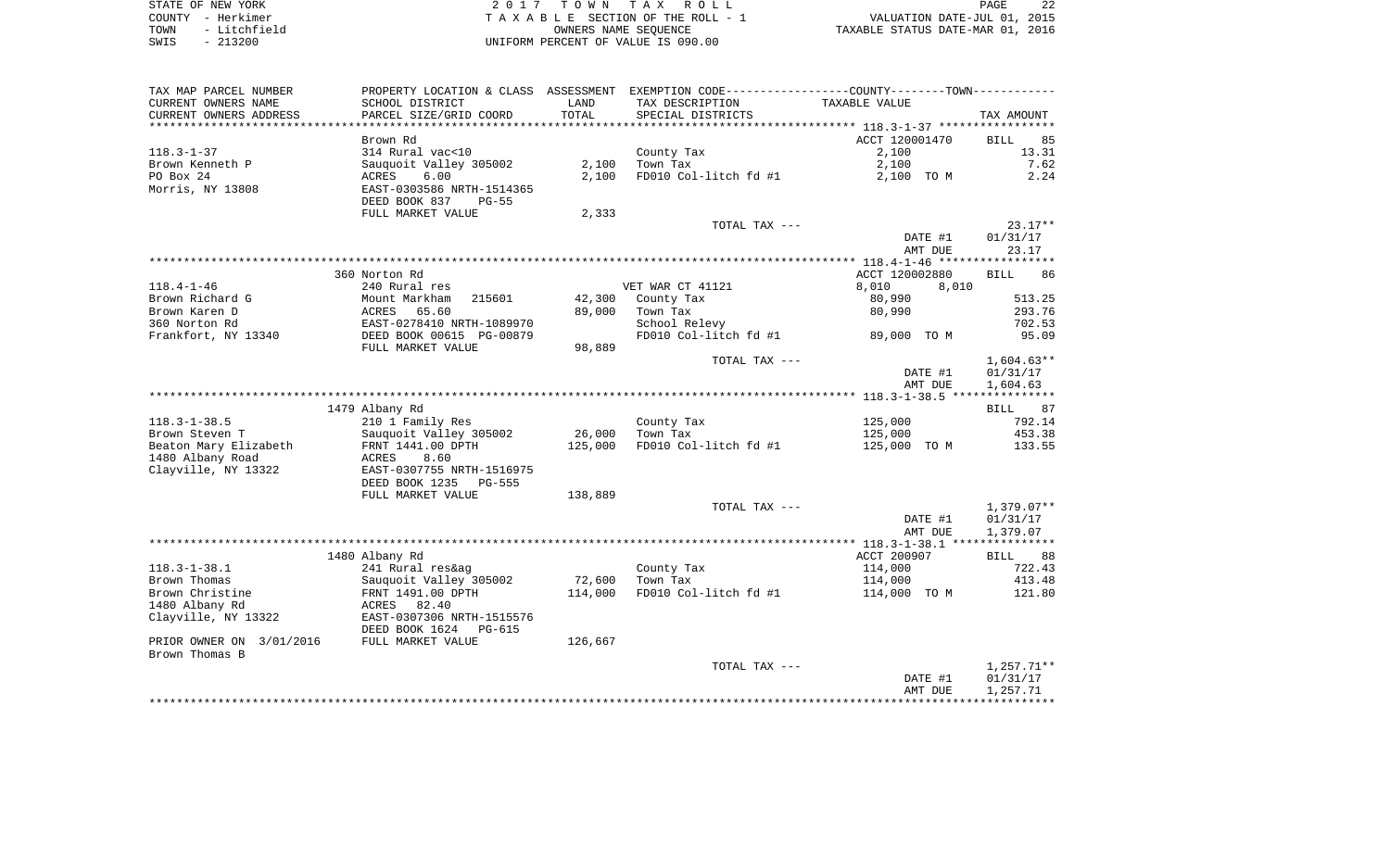STATE OF NEW YORK **EXECUTE:**  $2017$  TOWN TAX ROLL COUNTY - Herkimer<br>
T A X A B L E SECTION OF THE ROLL - 1<br>
TOWN - Litchfield<br>
SWIS - 213200 - UNIFORM PERCENT OF VALUE IS 090.00 TOWN - LITTLE ROLL - 1<br>
TAXABLE STATUS DATE-JUL 01, 2015<br>
TAXABLE STATUS DATE-MAR 01, 2016 SWIS - 213200 UNIFORM PERCENT OF VALUE IS 090.00

PAGE 22

| TAX MAP PARCEL NUMBER    | PROPERTY LOCATION & CLASS ASSESSMENT EXEMPTION CODE---------------COUNTY-------TOWN---------- |         |                       |                |                   |
|--------------------------|-----------------------------------------------------------------------------------------------|---------|-----------------------|----------------|-------------------|
| CURRENT OWNERS NAME      | SCHOOL DISTRICT                                                                               | LAND    | TAX DESCRIPTION       | TAXABLE VALUE  |                   |
| CURRENT OWNERS ADDRESS   | PARCEL SIZE/GRID COORD                                                                        | TOTAL   | SPECIAL DISTRICTS     |                | TAX AMOUNT        |
|                          |                                                                                               |         |                       |                |                   |
|                          | Brown Rd                                                                                      |         |                       | ACCT 120001470 | 85<br>BILL        |
| $118.3 - 1 - 37$         | 314 Rural vac<10                                                                              |         | County Tax            | 2,100          | 13.31             |
| Brown Kenneth P          | Sauquoit Valley 305002                                                                        | 2,100   | Town Tax              | 2,100          | 7.62              |
| PO Box 24                | ACRES<br>6.00                                                                                 | 2,100   | FD010 Col-litch fd #1 | 2,100 TO M     | 2.24              |
| Morris, NY 13808         | EAST-0303586 NRTH-1514365                                                                     |         |                       |                |                   |
|                          | DEED BOOK 837<br>$PG-55$                                                                      |         |                       |                |                   |
|                          | FULL MARKET VALUE                                                                             | 2,333   |                       |                |                   |
|                          |                                                                                               |         | TOTAL TAX ---         |                | $23.17**$         |
|                          |                                                                                               |         |                       | DATE #1        | 01/31/17          |
|                          |                                                                                               |         |                       | AMT DUE        | 23.17             |
|                          |                                                                                               |         |                       |                |                   |
|                          | 360 Norton Rd                                                                                 |         |                       | ACCT 120002880 | <b>BILL</b><br>86 |
| $118.4 - 1 - 46$         | 240 Rural res                                                                                 |         | VET WAR CT 41121      | 8,010<br>8,010 |                   |
| Brown Richard G          | Mount Markham<br>215601                                                                       | 42,300  | County Tax            | 80,990         | 513.25            |
| Brown Karen D            | ACRES<br>65.60                                                                                | 89,000  | Town Tax              | 80,990         | 293.76            |
| 360 Norton Rd            | EAST-0278410 NRTH-1089970                                                                     |         | School Relevy         |                | 702.53            |
| Frankfort, NY 13340      | DEED BOOK 00615 PG-00879                                                                      |         | FD010 Col-litch fd #1 | 89,000 TO M    | 95.09             |
|                          | FULL MARKET VALUE                                                                             | 98,889  |                       |                |                   |
|                          |                                                                                               |         | TOTAL TAX ---         |                | $1,604.63**$      |
|                          |                                                                                               |         |                       | DATE #1        | 01/31/17          |
|                          |                                                                                               |         |                       | AMT DUE        | 1,604.63          |
|                          |                                                                                               |         |                       |                |                   |
|                          | 1479 Albany Rd                                                                                |         |                       |                | 87<br>BILL        |
| $118.3 - 1 - 38.5$       | 210 1 Family Res                                                                              |         | County Tax            | 125,000        | 792.14            |
| Brown Steven T           | Sauquoit Valley 305002                                                                        | 26,000  | Town Tax              | 125,000        | 453.38            |
| Beaton Mary Elizabeth    | FRNT 1441.00 DPTH                                                                             | 125,000 | FD010 Col-litch fd #1 | 125,000 TO M   | 133.55            |
| 1480 Albany Road         | ACRES<br>8.60                                                                                 |         |                       |                |                   |
| Clayville, NY 13322      | EAST-0307755 NRTH-1516975                                                                     |         |                       |                |                   |
|                          | DEED BOOK 1235<br>PG-555                                                                      |         |                       |                |                   |
|                          | FULL MARKET VALUE                                                                             | 138,889 |                       |                |                   |
|                          |                                                                                               |         |                       |                |                   |
|                          |                                                                                               |         | TOTAL TAX ---         |                | $1,379.07**$      |
|                          |                                                                                               |         |                       | DATE #1        | 01/31/17          |
|                          |                                                                                               |         |                       | AMT DUE        | 1,379.07          |
|                          |                                                                                               |         |                       |                |                   |
|                          | 1480 Albany Rd                                                                                |         |                       | ACCT 200907    | 88<br><b>BILL</b> |
| $118.3 - 1 - 38.1$       | 241 Rural res&ag                                                                              |         | County Tax            | 114,000        | 722.43            |
| Brown Thomas             | Sauguoit Valley 305002                                                                        | 72,600  | Town Tax              | 114,000        | 413.48            |
| Brown Christine          | FRNT 1491.00 DPTH                                                                             | 114,000 | FD010 Col-litch fd #1 | 114,000 TO M   | 121.80            |
| 1480 Albany Rd           | ACRES 82.40                                                                                   |         |                       |                |                   |
| Clayville, NY 13322      | EAST-0307306 NRTH-1515576                                                                     |         |                       |                |                   |
|                          | DEED BOOK 1624<br>PG-615                                                                      |         |                       |                |                   |
| PRIOR OWNER ON 3/01/2016 | FULL MARKET VALUE                                                                             | 126,667 |                       |                |                   |
| Brown Thomas B           |                                                                                               |         |                       |                |                   |
|                          |                                                                                               |         | TOTAL TAX ---         |                | $1,257.71**$      |
|                          |                                                                                               |         |                       | DATE #1        | 01/31/17          |
|                          |                                                                                               |         |                       | AMT DUE        | 1,257.71          |
|                          |                                                                                               |         |                       |                |                   |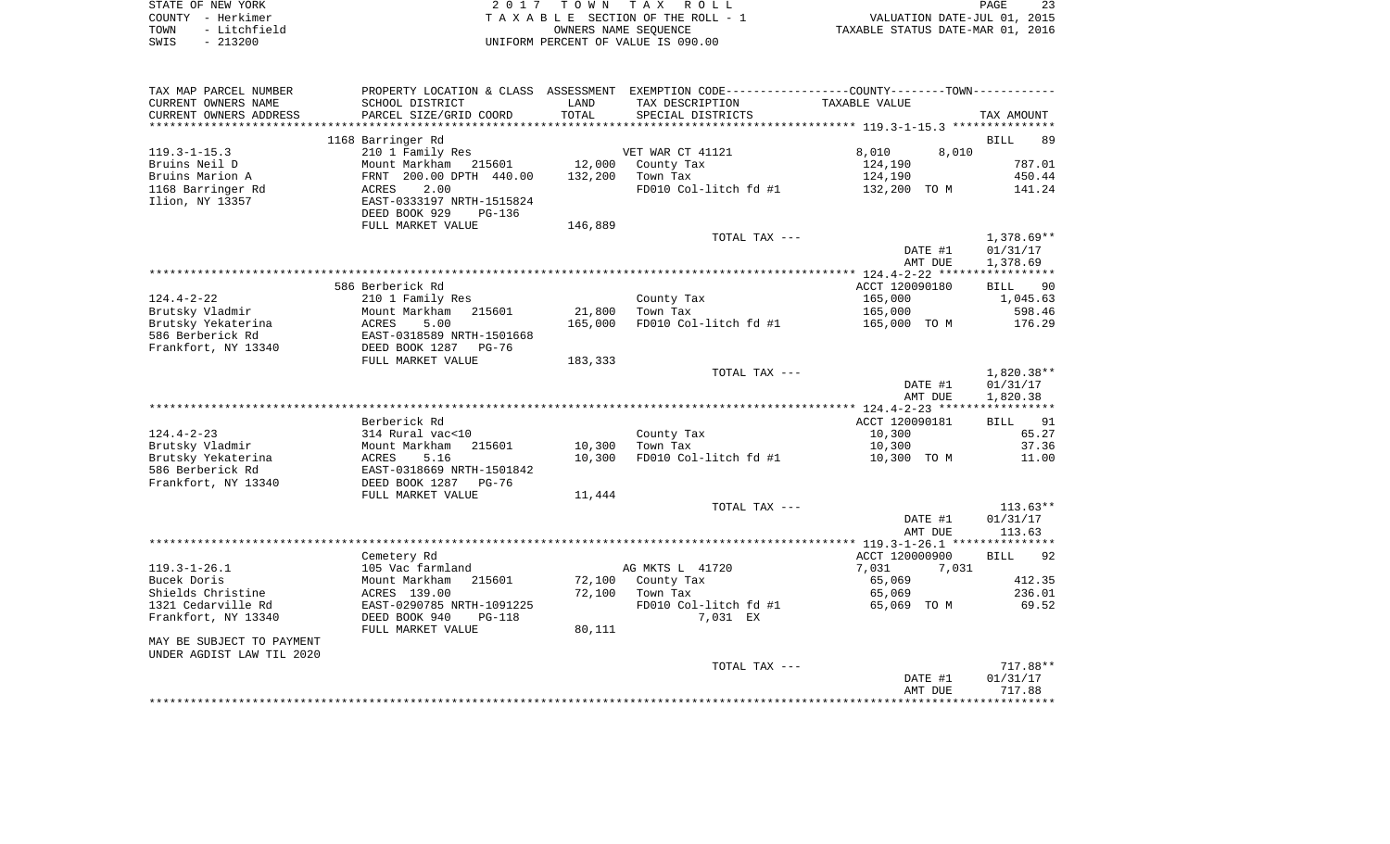| STATE OF NEW YORK    | 2017 TOWN TAX ROLL                 | PAGE                             |
|----------------------|------------------------------------|----------------------------------|
| COUNTY – Herkimer    | TAXABLE SECTION OF THE ROLL - 1    | VALUATION DATE-JUL 01, 2015      |
| - Litchfield<br>TOWN | OWNERS NAME SEOUENCE               | TAXABLE STATUS DATE-MAR 01, 2016 |
| SWIS<br>$-213200$    | UNIFORM PERCENT OF VALUE IS 090.00 |                                  |

| TAX MAP PARCEL NUMBER     | PROPERTY LOCATION & CLASS      |         | ASSESSMENT EXEMPTION CODE----------------COUNTY-------TOWN----------- |                                                |                        |
|---------------------------|--------------------------------|---------|-----------------------------------------------------------------------|------------------------------------------------|------------------------|
| CURRENT OWNERS NAME       | SCHOOL DISTRICT                | LAND    | TAX DESCRIPTION                                                       | TAXABLE VALUE                                  |                        |
| CURRENT OWNERS ADDRESS    | PARCEL SIZE/GRID COORD         | TOTAL   | SPECIAL DISTRICTS                                                     |                                                | TAX AMOUNT             |
| *******************       | ************************       |         |                                                                       |                                                |                        |
|                           | 1168 Barringer Rd              |         |                                                                       |                                                | 89<br><b>BILL</b>      |
| $119.3 - 1 - 15.3$        | 210 1 Family Res               |         | VET WAR CT 41121                                                      | 8,010<br>8,010                                 |                        |
| Bruins Neil D             | Mount Markham<br>215601        | 12,000  | County Tax                                                            | 124,190                                        | 787.01                 |
| Bruins Marion A           | FRNT 200.00 DPTH 440.00        | 132,200 | Town Tax                                                              | 124,190                                        | 450.44                 |
| 1168 Barringer Rd         | 2.00<br>ACRES                  |         | FD010 Col-litch fd #1                                                 | 132,200 TO M                                   | 141.24                 |
| Ilion, NY 13357           | EAST-0333197 NRTH-1515824      |         |                                                                       |                                                |                        |
|                           | DEED BOOK 929<br>PG-136        |         |                                                                       |                                                |                        |
|                           | FULL MARKET VALUE              | 146,889 |                                                                       |                                                |                        |
|                           |                                |         | TOTAL TAX ---                                                         |                                                | $1,378.69**$           |
|                           |                                |         |                                                                       | DATE #1<br>AMT DUE                             | 01/31/17               |
|                           |                                |         |                                                                       | **************** 124.4-2-22 ****************** | 1,378.69               |
|                           | 586 Berberick Rd               |         |                                                                       | ACCT 120090180                                 | 90<br>BILL             |
| $124.4 - 2 - 22$          | 210 1 Family Res               |         | County Tax                                                            | 165,000                                        | 1,045.63               |
| Brutsky Vladmir           | Mount Markham<br>215601        | 21,800  | Town Tax                                                              | 165,000                                        | 598.46                 |
| Brutsky Yekaterina        | 5.00<br>ACRES                  | 165,000 | FD010 Col-litch fd #1                                                 | 165,000 TO M                                   | 176.29                 |
| 586 Berberick Rd          | EAST-0318589 NRTH-1501668      |         |                                                                       |                                                |                        |
| Frankfort, NY 13340       | DEED BOOK 1287<br>$PG-76$      |         |                                                                       |                                                |                        |
|                           | FULL MARKET VALUE              | 183,333 |                                                                       |                                                |                        |
|                           |                                |         | TOTAL TAX ---                                                         |                                                | 1,820.38**             |
|                           |                                |         |                                                                       | DATE #1                                        | 01/31/17               |
|                           |                                |         |                                                                       | AMT DUE                                        | 1,820.38               |
|                           | ************************       |         | *********************************                                     | *************** 124.4-2-23 ******************  |                        |
|                           | Berberick Rd                   |         |                                                                       | ACCT 120090181                                 | <b>BILL</b><br>91      |
| $124.4 - 2 - 23$          | 314 Rural vac<10               |         | County Tax                                                            | 10,300                                         | 65.27                  |
| Brutsky Vladmir           | Mount Markham<br>215601        | 10,300  | Town Tax                                                              | 10,300                                         | 37.36                  |
| Brutsky Yekaterina        | <b>ACRES</b><br>5.16           | 10,300  | FD010 Col-litch fd #1                                                 | 10,300 TO M                                    | 11.00                  |
| 586 Berberick Rd          | EAST-0318669 NRTH-1501842      |         |                                                                       |                                                |                        |
| Frankfort, NY 13340       | DEED BOOK 1287<br>$PG-76$      |         |                                                                       |                                                |                        |
|                           | FULL MARKET VALUE              | 11,444  |                                                                       |                                                |                        |
|                           |                                |         | TOTAL TAX ---                                                         | DATE #1                                        | $113.63**$<br>01/31/17 |
|                           |                                |         |                                                                       | AMT DUE                                        | 113.63                 |
|                           |                                |         |                                                                       | ************ 119.3-1-26.1 ****************     |                        |
|                           | Cemetery Rd                    |         |                                                                       | ACCT 120000900                                 | <b>BILL</b><br>92      |
| $119.3 - 1 - 26.1$        | 105 Vac farmland               |         | AG MKTS L 41720                                                       | 7,031<br>7,031                                 |                        |
| Bucek Doris               | Mount Markham<br>215601        | 72,100  | County Tax                                                            | 65,069                                         | 412.35                 |
| Shields Christine         | ACRES 139.00                   | 72,100  | Town Tax                                                              | 65,069                                         | 236.01                 |
| 1321 Cedarville Rd        | EAST-0290785 NRTH-1091225      |         | FD010 Col-litch fd #1                                                 | 65,069 TO M                                    | 69.52                  |
| Frankfort, NY 13340       | DEED BOOK 940<br><b>PG-118</b> |         | 7,031 EX                                                              |                                                |                        |
|                           | FULL MARKET VALUE              | 80,111  |                                                                       |                                                |                        |
| MAY BE SUBJECT TO PAYMENT |                                |         |                                                                       |                                                |                        |
| UNDER AGDIST LAW TIL 2020 |                                |         |                                                                       |                                                |                        |
|                           |                                |         | TOTAL TAX ---                                                         |                                                | 717.88**               |
|                           |                                |         |                                                                       | DATE #1                                        | 01/31/17               |
|                           |                                |         |                                                                       | AMT DUE                                        | 717.88                 |
|                           |                                |         |                                                                       |                                                |                        |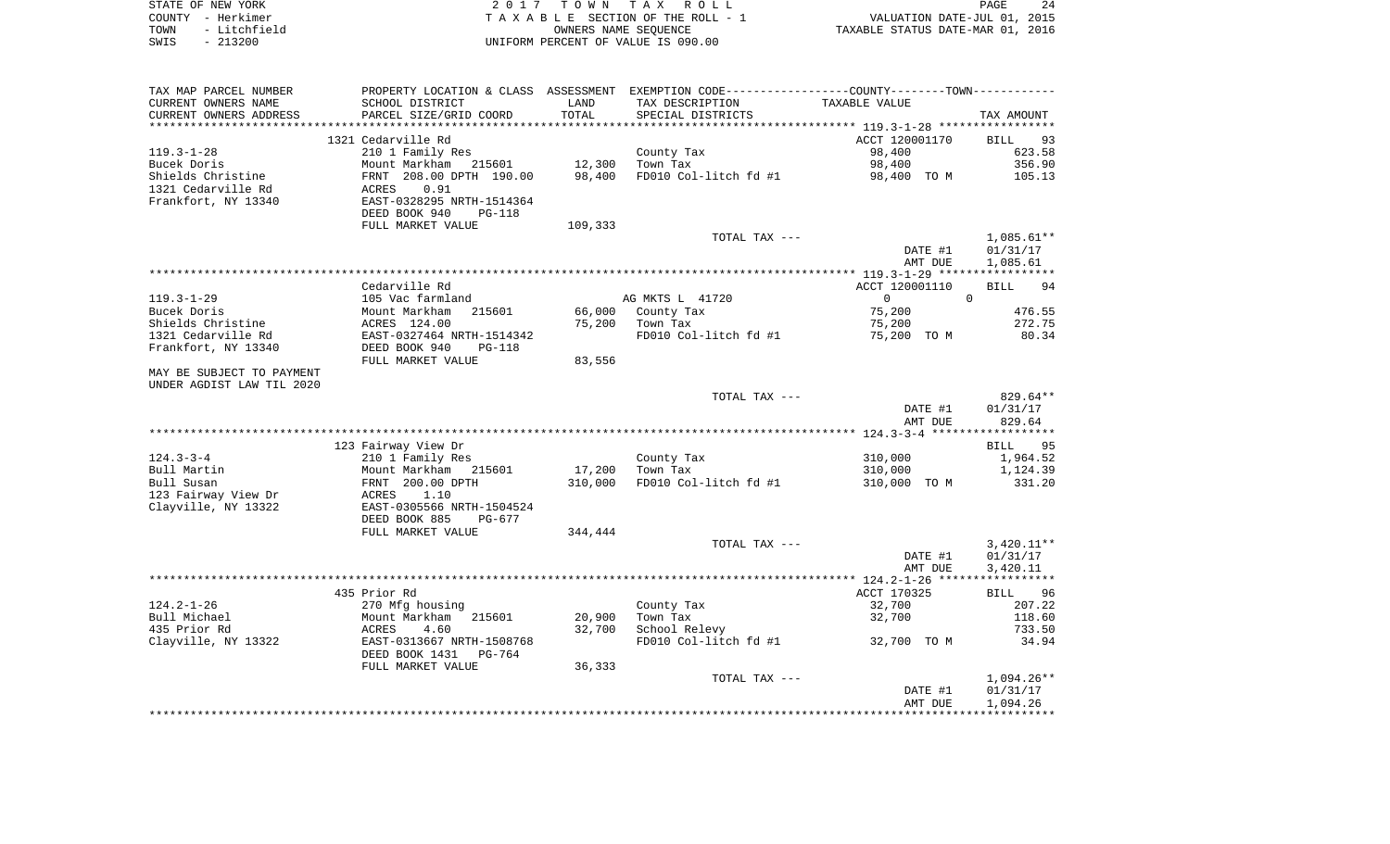|      | STATE OF NEW YORK | 2017 TOWN TAX ROLL                 | 24<br>PAGE                       |
|------|-------------------|------------------------------------|----------------------------------|
|      | COUNTY - Herkimer | TAXABLE SECTION OF THE ROLL - 1    | VALUATION DATE-JUL 01, 2015      |
| TOWN | - Litchfield      | OWNERS NAME SEOUENCE               | TAXABLE STATUS DATE-MAR 01, 2016 |
| SWIS | $-213200$         | UNIFORM PERCENT OF VALUE IS 090.00 |                                  |

| TAX MAP PARCEL NUMBER<br>CURRENT OWNERS NAME | PROPERTY LOCATION & CLASS ASSESSMENT EXEMPTION CODE---------------COUNTY-------TOWN----------<br>SCHOOL DISTRICT | LAND    | TAX DESCRIPTION       | TAXABLE VALUE  |                   |
|----------------------------------------------|------------------------------------------------------------------------------------------------------------------|---------|-----------------------|----------------|-------------------|
| CURRENT OWNERS ADDRESS                       | PARCEL SIZE/GRID COORD                                                                                           | TOTAL   | SPECIAL DISTRICTS     |                | TAX AMOUNT        |
| *****************                            |                                                                                                                  |         |                       |                |                   |
|                                              | 1321 Cedarville Rd                                                                                               |         |                       | ACCT 120001170 | BILL<br>93        |
| 119.3-1-28                                   | 210 1 Family Res                                                                                                 |         | County Tax            | 98,400         | 623.58            |
| Bucek Doris                                  | Mount Markham 215601                                                                                             | 12,300  | Town Tax              | 98,400         | 356.90            |
| Shields Christine                            | FRNT 208.00 DPTH 190.00                                                                                          | 98,400  | FD010 Col-litch fd #1 | 98,400 TO M    | 105.13            |
| 1321 Cedarville Rd                           | 0.91<br>ACRES                                                                                                    |         |                       |                |                   |
| Frankfort, NY 13340                          | EAST-0328295 NRTH-1514364                                                                                        |         |                       |                |                   |
|                                              | DEED BOOK 940<br><b>PG-118</b>                                                                                   |         |                       |                |                   |
|                                              | FULL MARKET VALUE                                                                                                | 109,333 |                       |                |                   |
|                                              |                                                                                                                  |         | TOTAL TAX ---         |                | $1,085.61**$      |
|                                              |                                                                                                                  |         |                       | DATE #1        | 01/31/17          |
|                                              |                                                                                                                  |         |                       | AMT DUE        | 1,085.61          |
|                                              |                                                                                                                  |         |                       |                |                   |
|                                              | Cedarville Rd                                                                                                    |         |                       | ACCT 120001110 | <b>BILL</b><br>94 |
| 119.3-1-29                                   | 105 Vac farmland                                                                                                 |         | AG MKTS L 41720       | $\overline{0}$ | $\Omega$          |
| Bucek Doris                                  | Mount Markham<br>215601                                                                                          | 66,000  | County Tax            | 75,200         | 476.55            |
| Shields Christine                            | ACRES 124.00                                                                                                     | 75,200  | Town Tax              | 75,200         | 272.75            |
| 1321 Cedarville Rd                           | EAST-0327464 NRTH-1514342                                                                                        |         | FD010 Col-litch fd #1 | 75,200 TO M    | 80.34             |
| Frankfort, NY 13340                          | DEED BOOK 940<br><b>PG-118</b>                                                                                   |         |                       |                |                   |
| MAY BE SUBJECT TO PAYMENT                    | FULL MARKET VALUE                                                                                                | 83,556  |                       |                |                   |
| UNDER AGDIST LAW TIL 2020                    |                                                                                                                  |         |                       |                |                   |
|                                              |                                                                                                                  |         | TOTAL TAX ---         |                | 829.64**          |
|                                              |                                                                                                                  |         |                       | DATE #1        | 01/31/17          |
|                                              |                                                                                                                  |         |                       | AMT DUE        | 829.64            |
|                                              |                                                                                                                  |         |                       |                |                   |
|                                              | 123 Fairway View Dr                                                                                              |         |                       |                | BILL<br>95        |
| $124.3 - 3 - 4$                              | 210 1 Family Res                                                                                                 |         | County Tax            | 310,000        | 1,964.52          |
| Bull Martin                                  | Mount Markham 215601                                                                                             | 17,200  | Town Tax              | 310,000        | 1,124.39          |
| Bull Susan                                   | FRNT 200.00 DPTH                                                                                                 | 310,000 | FD010 Col-litch fd #1 | 310,000 TO M   | 331.20            |
| 123 Fairway View Dr                          | ACRES<br>1.10                                                                                                    |         |                       |                |                   |
| Clayville, NY 13322                          | EAST-0305566 NRTH-1504524                                                                                        |         |                       |                |                   |
|                                              | DEED BOOK 885<br>PG-677                                                                                          |         |                       |                |                   |
|                                              | FULL MARKET VALUE                                                                                                | 344,444 |                       |                |                   |
|                                              |                                                                                                                  |         | TOTAL TAX ---         |                | $3,420.11**$      |
|                                              |                                                                                                                  |         |                       | DATE #1        | 01/31/17          |
|                                              |                                                                                                                  |         |                       | AMT DUE        | 3,420.11          |
|                                              |                                                                                                                  |         |                       |                |                   |
|                                              | 435 Prior Rd                                                                                                     |         |                       | ACCT 170325    | BILL 96           |
| 124.2-1-26                                   | 270 Mfg housing                                                                                                  |         | County Tax            | 32,700         | 207.22            |
| Bull Michael                                 | Mount Markham<br>215601                                                                                          | 20,900  | Town Tax              | 32,700         | 118.60            |
| 435 Prior Rd                                 | ACRES<br>4.60                                                                                                    | 32,700  | School Relevy         |                | 733.50            |
| Clayville, NY 13322                          | EAST-0313667 NRTH-1508768                                                                                        |         | FD010 Col-litch fd #1 | 32,700 TO M    | 34.94             |
|                                              | DEED BOOK 1431<br>PG-764                                                                                         |         |                       |                |                   |
|                                              | FULL MARKET VALUE                                                                                                | 36,333  |                       |                |                   |
|                                              |                                                                                                                  |         | TOTAL TAX ---         |                | $1,094.26**$      |
|                                              |                                                                                                                  |         |                       | DATE #1        | 01/31/17          |
|                                              |                                                                                                                  |         |                       | AMT DUE        | 1,094.26          |
|                                              |                                                                                                                  |         |                       |                |                   |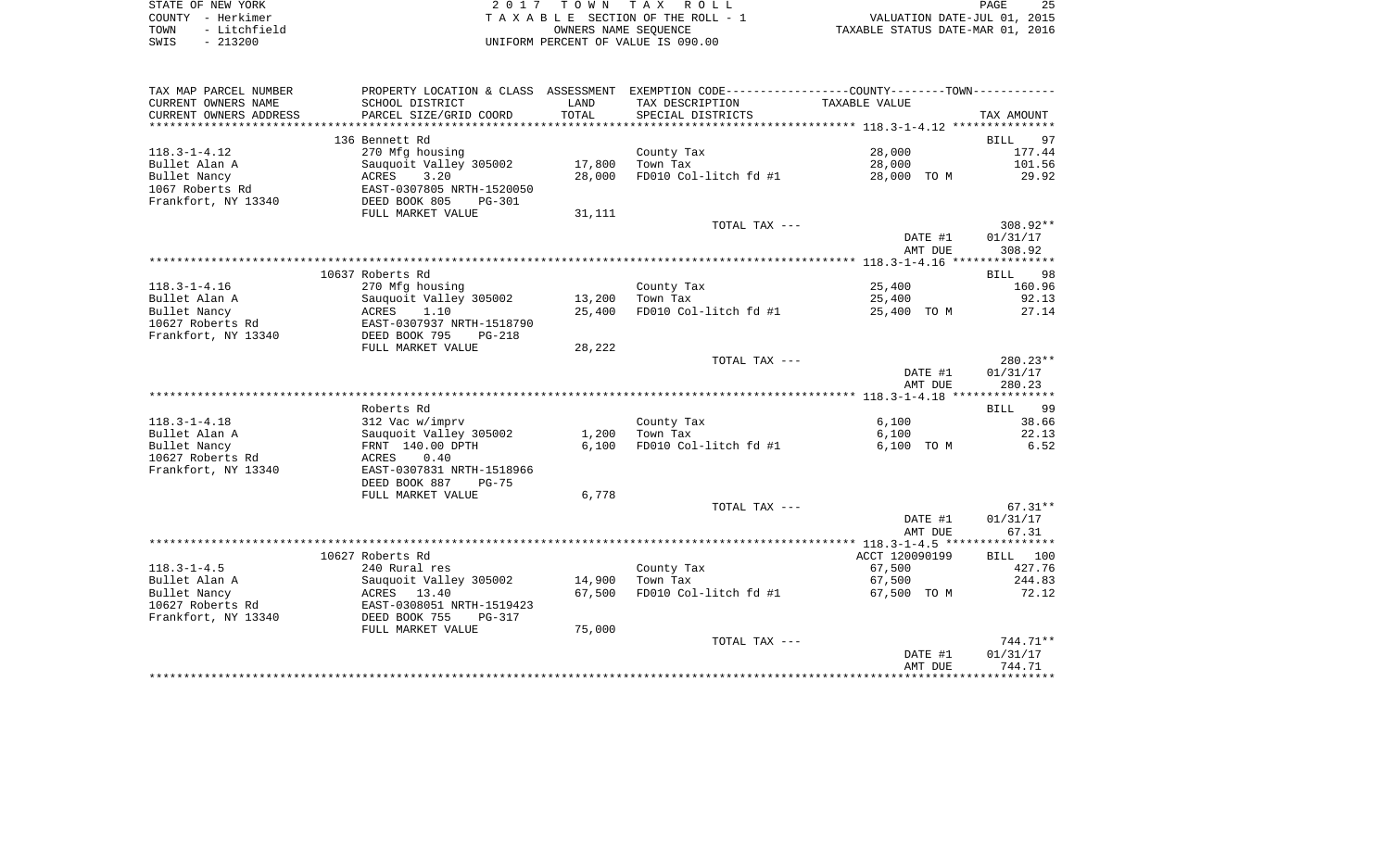| STATE OF NEW YORK    | 2017 TOWN TAX ROLL                 | 25<br>PAGE                       |
|----------------------|------------------------------------|----------------------------------|
| COUNTY - Herkimer    | TAXABLE SECTION OF THE ROLL - 1    | VALUATION DATE-JUL 01, 2015      |
| - Litchfield<br>TOWN | OWNERS NAME SEOUENCE               | TAXABLE STATUS DATE-MAR 01, 2016 |
| $-213200$<br>SWIS    | UNIFORM PERCENT OF VALUE IS 090.00 |                                  |

| TAX MAP PARCEL NUMBER  | PROPERTY LOCATION & CLASS ASSESSMENT EXEMPTION CODE---------------COUNTY-------TOWN---------- |                |                       |                |            |
|------------------------|-----------------------------------------------------------------------------------------------|----------------|-----------------------|----------------|------------|
| CURRENT OWNERS NAME    | SCHOOL DISTRICT                                                                               | LAND           | TAX DESCRIPTION       | TAXABLE VALUE  |            |
| CURRENT OWNERS ADDRESS | PARCEL SIZE/GRID COORD                                                                        | TOTAL          | SPECIAL DISTRICTS     |                | TAX AMOUNT |
| *****************      |                                                                                               | ************** |                       |                |            |
|                        | 136 Bennett Rd                                                                                |                |                       |                | BILL<br>97 |
| $118.3 - 1 - 4.12$     | 270 Mfg housing                                                                               |                | County Tax            | 28,000         | 177.44     |
| Bullet Alan A          | Sauquoit Valley 305002                                                                        | 17,800         | Town Tax              | 28,000         | 101.56     |
| Bullet Nancy           | 3.20<br>ACRES                                                                                 | 28,000         | FD010 Col-litch fd #1 | 28,000 TO M    | 29.92      |
| 1067 Roberts Rd        | EAST-0307805 NRTH-1520050                                                                     |                |                       |                |            |
| Frankfort, NY 13340    | DEED BOOK 805<br><b>PG-301</b>                                                                |                |                       |                |            |
|                        | FULL MARKET VALUE                                                                             | 31,111         |                       |                |            |
|                        |                                                                                               |                | TOTAL TAX ---         |                | $308.92**$ |
|                        |                                                                                               |                |                       | DATE #1        | 01/31/17   |
|                        |                                                                                               |                |                       | AMT DUE        | 308.92     |
|                        |                                                                                               |                |                       |                |            |
|                        | 10637 Roberts Rd                                                                              |                |                       |                | BILL 98    |
| $118.3 - 1 - 4.16$     | 270 Mfg housing                                                                               |                | County Tax            | 25,400         | 160.96     |
| Bullet Alan A          | Sauquoit Valley 305002                                                                        | 13,200         | Town Tax              | 25,400         | 92.13      |
| Bullet Nancy           | ACRES<br>1.10                                                                                 | 25,400         | FD010 Col-litch fd #1 | 25,400 TO M    | 27.14      |
| 10627 Roberts Rd       | EAST-0307937 NRTH-1518790                                                                     |                |                       |                |            |
| Frankfort, NY 13340    | DEED BOOK 795<br><b>PG-218</b>                                                                |                |                       |                |            |
|                        | FULL MARKET VALUE                                                                             | 28,222         |                       |                |            |
|                        |                                                                                               |                | TOTAL TAX ---         |                | 280.23**   |
|                        |                                                                                               |                |                       | DATE #1        | 01/31/17   |
|                        |                                                                                               |                |                       | AMT DUE        | 280.23     |
|                        |                                                                                               |                |                       |                |            |
|                        | Roberts Rd                                                                                    |                |                       |                | BILL 99    |
| $118.3 - 1 - 4.18$     | 312 Vac w/imprv                                                                               |                | County Tax            | 6,100          | 38.66      |
| Bullet Alan A          | Sauquoit Valley 305002                                                                        | 1,200          | Town Tax              | 6,100          | 22.13      |
| Bullet Nancy           | FRNT 140.00 DPTH                                                                              | 6,100          | FD010 Col-litch fd #1 | 6,100 TO M     | 6.52       |
| 10627 Roberts Rd       | 0.40<br>ACRES                                                                                 |                |                       |                |            |
| Frankfort, NY 13340    | EAST-0307831 NRTH-1518966                                                                     |                |                       |                |            |
|                        | DEED BOOK 887<br>$PG-75$                                                                      |                |                       |                |            |
|                        | FULL MARKET VALUE                                                                             | 6,778          |                       |                |            |
|                        |                                                                                               |                | TOTAL TAX ---         |                | $67.31**$  |
|                        |                                                                                               |                |                       | DATE #1        | 01/31/17   |
|                        |                                                                                               |                |                       | AMT DUE        | 67.31      |
|                        |                                                                                               |                |                       |                |            |
|                        | 10627 Roberts Rd                                                                              |                |                       | ACCT 120090199 | BILL 100   |
| $118.3 - 1 - 4.5$      | 240 Rural res                                                                                 |                | County Tax            | 67,500         | 427.76     |
| Bullet Alan A          | Sauquoit Valley 305002                                                                        | 14,900         | Town Tax              | 67,500         | 244.83     |
| Bullet Nancy           | ACRES 13.40                                                                                   | 67,500         | FD010 Col-litch fd #1 | 67,500 TO M    | 72.12      |
| 10627 Roberts Rd       | EAST-0308051 NRTH-1519423                                                                     |                |                       |                |            |
| Frankfort, NY 13340    | DEED BOOK 755<br>$PG-317$                                                                     |                |                       |                |            |
|                        | FULL MARKET VALUE                                                                             | 75,000         |                       |                |            |
|                        |                                                                                               |                | TOTAL TAX ---         |                | 744.71**   |
|                        |                                                                                               |                |                       | DATE #1        | 01/31/17   |
|                        |                                                                                               |                |                       | AMT DUE        | 744.71     |
|                        |                                                                                               |                |                       |                |            |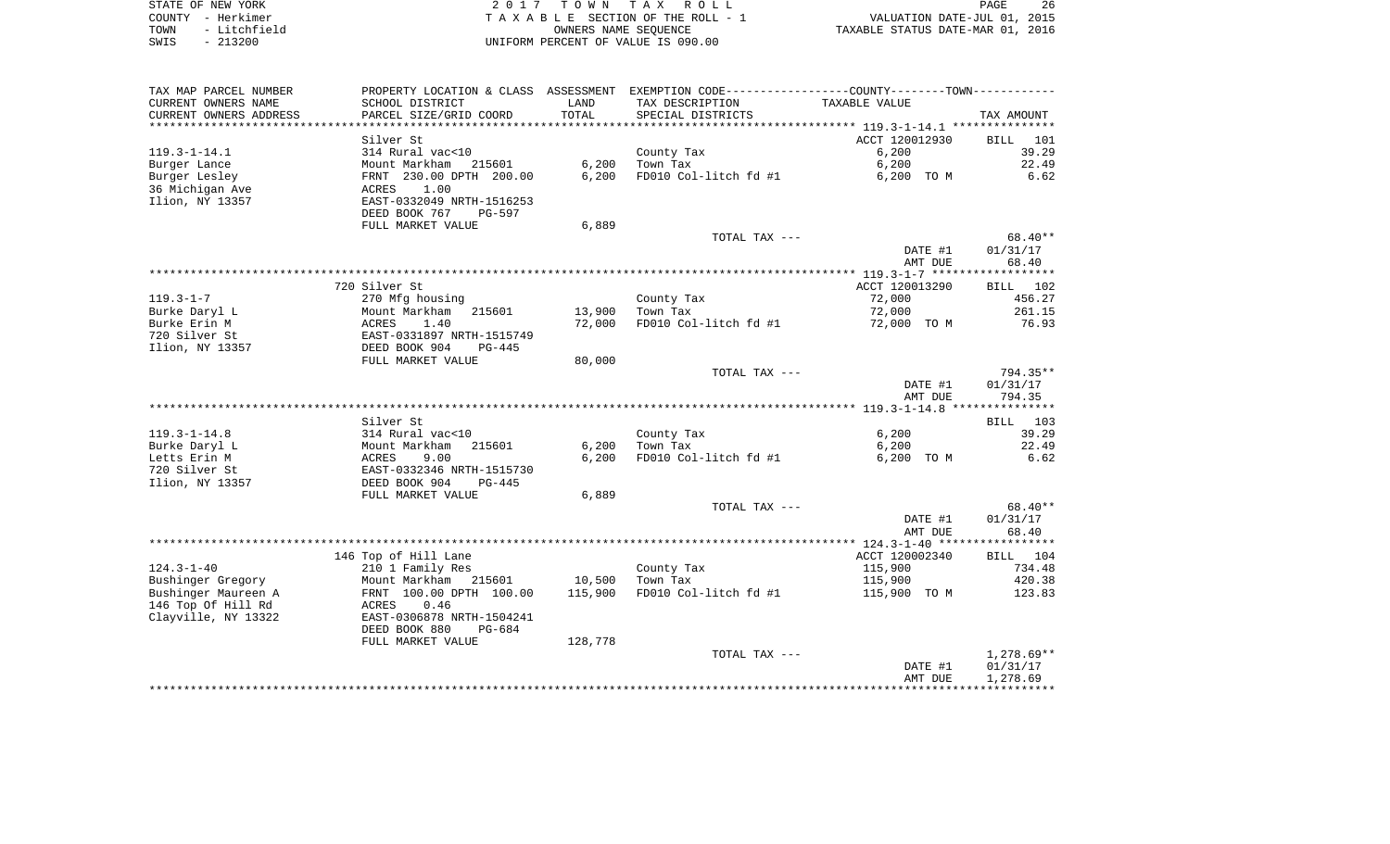| STATE OF NEW YORK    | 2017 TOWN TAX ROLL                 | 26<br>PAGE                       |
|----------------------|------------------------------------|----------------------------------|
| COUNTY - Herkimer    | TAXABLE SECTION OF THE ROLL - 1    | VALUATION DATE-JUL 01, 2015      |
| - Litchfield<br>TOWN | OWNERS NAME SEOUENCE               | TAXABLE STATUS DATE-MAR 01, 2016 |
| $-213200$<br>SWIS    | UNIFORM PERCENT OF VALUE IS 090.00 |                                  |

| TAX MAP PARCEL NUMBER              |                                            |         | PROPERTY LOCATION & CLASS ASSESSMENT EXEMPTION CODE---------------COUNTY-------TOWN---------- |                    |                    |
|------------------------------------|--------------------------------------------|---------|-----------------------------------------------------------------------------------------------|--------------------|--------------------|
| CURRENT OWNERS NAME                | SCHOOL DISTRICT                            | LAND    | TAX DESCRIPTION                                                                               | TAXABLE VALUE      |                    |
| CURRENT OWNERS ADDRESS             | PARCEL SIZE/GRID COORD                     | TOTAL   | SPECIAL DISTRICTS                                                                             |                    | TAX AMOUNT         |
| *************************          |                                            |         |                                                                                               |                    |                    |
|                                    | Silver St                                  |         |                                                                                               | ACCT 120012930     | <b>BILL</b><br>101 |
| $119.3 - 1 - 14.1$                 | 314 Rural vac<10                           |         | County Tax                                                                                    | 6,200              | 39.29              |
| Burger Lance                       | Mount Markham<br>215601                    | 6,200   | Town Tax                                                                                      | 6,200              | 22.49              |
| Burger Lesley                      | FRNT 230.00 DPTH 200.00                    | 6,200   | FD010 Col-litch fd #1                                                                         | 6,200 TO M         | 6.62               |
| 36 Michigan Ave<br>Ilion, NY 13357 | 1.00<br>ACRES<br>EAST-0332049 NRTH-1516253 |         |                                                                                               |                    |                    |
|                                    | DEED BOOK 767<br>PG-597                    |         |                                                                                               |                    |                    |
|                                    | FULL MARKET VALUE                          | 6,889   |                                                                                               |                    |                    |
|                                    |                                            |         | TOTAL TAX ---                                                                                 |                    | 68.40**            |
|                                    |                                            |         |                                                                                               | DATE #1            | 01/31/17           |
|                                    |                                            |         |                                                                                               | AMT DUE            | 68.40              |
|                                    |                                            |         |                                                                                               |                    |                    |
|                                    | 720 Silver St                              |         |                                                                                               | ACCT 120013290     | BILL 102           |
| $119.3 - 1 - 7$                    | 270 Mfg housing                            |         | County Tax                                                                                    | 72,000             | 456.27             |
| Burke Daryl L                      | 215601<br>Mount Markham                    | 13,900  | Town Tax                                                                                      | 72,000             | 261.15             |
| Burke Erin M                       | ACRES<br>1.40                              | 72,000  | FD010 Col-litch fd #1                                                                         | 72,000 TO M        | 76.93              |
| 720 Silver St                      | EAST-0331897 NRTH-1515749                  |         |                                                                                               |                    |                    |
| Ilion, NY 13357                    | DEED BOOK 904<br>PG-445                    |         |                                                                                               |                    |                    |
|                                    | FULL MARKET VALUE                          | 80,000  |                                                                                               |                    |                    |
|                                    |                                            |         | TOTAL TAX ---                                                                                 |                    | 794.35**           |
|                                    |                                            |         |                                                                                               | DATE #1<br>AMT DUE | 01/31/17<br>794.35 |
|                                    |                                            |         |                                                                                               |                    |                    |
|                                    | Silver St                                  |         |                                                                                               |                    | BILL 103           |
| $119.3 - 1 - 14.8$                 | 314 Rural vac<10                           |         | County Tax                                                                                    | 6,200              | 39.29              |
| Burke Daryl L                      | 215601<br>Mount Markham                    | 6,200   | Town Tax                                                                                      | 6,200              | 22.49              |
| Letts Erin M                       | 9.00<br>ACRES                              | 6,200   | FD010 Col-litch fd #1                                                                         | 6,200 TO M         | 6.62               |
| 720 Silver St                      | EAST-0332346 NRTH-1515730                  |         |                                                                                               |                    |                    |
| Ilion, NY 13357                    | DEED BOOK 904<br>PG-445                    |         |                                                                                               |                    |                    |
|                                    | FULL MARKET VALUE                          | 6,889   |                                                                                               |                    |                    |
|                                    |                                            |         | TOTAL TAX ---                                                                                 |                    | 68.40**            |
|                                    |                                            |         |                                                                                               | DATE #1            | 01/31/17           |
|                                    |                                            |         |                                                                                               | AMT DUE            | 68.40              |
|                                    |                                            |         |                                                                                               |                    |                    |
| $124.3 - 1 - 40$                   | 146 Top of Hill Lane                       |         |                                                                                               | ACCT 120002340     | BILL 104<br>734.48 |
| Bushinger Gregory                  | 210 1 Family Res<br>Mount Markham 215601   | 10,500  | County Tax<br>Town Tax                                                                        | 115,900<br>115,900 | 420.38             |
| Bushinger Maureen A                | FRNT 100.00 DPTH 100.00                    | 115,900 | FD010 Col-litch fd #1                                                                         | 115,900 TO M       | 123.83             |
| 146 Top Of Hill Rd                 | 0.46<br>ACRES                              |         |                                                                                               |                    |                    |
| Clayville, NY 13322                | EAST-0306878 NRTH-1504241                  |         |                                                                                               |                    |                    |
|                                    | DEED BOOK 880<br>PG-684                    |         |                                                                                               |                    |                    |
|                                    | FULL MARKET VALUE                          | 128,778 |                                                                                               |                    |                    |
|                                    |                                            |         | TOTAL TAX ---                                                                                 |                    | 1,278.69**         |
|                                    |                                            |         |                                                                                               | DATE #1            | 01/31/17           |
|                                    |                                            |         |                                                                                               | AMT DUE            | 1,278.69           |
|                                    |                                            |         |                                                                                               |                    |                    |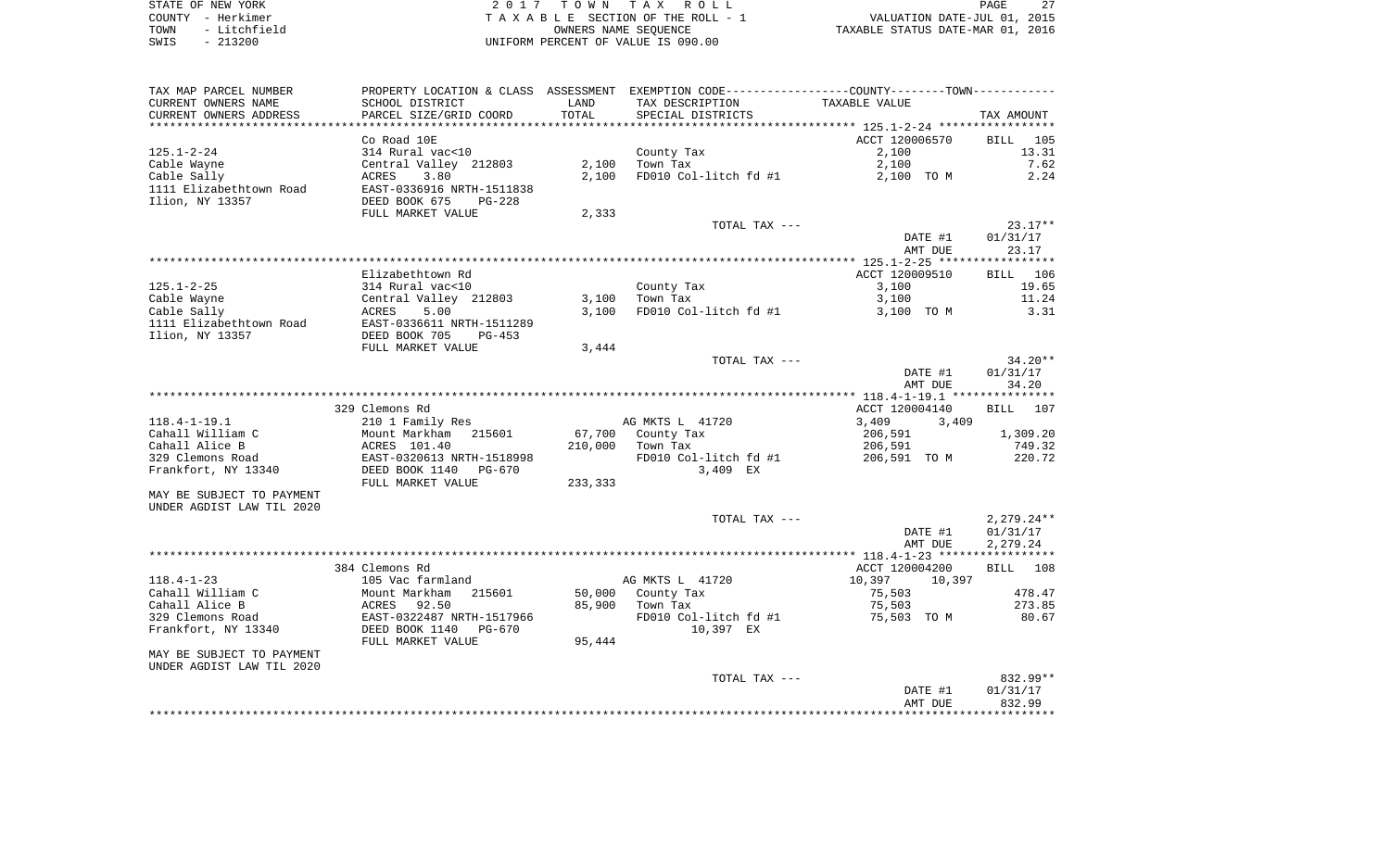STATE OF NEW YORK **EXECUTE:**  $2017$  TOWN TAX ROLL COUNTY - Herkimer T A X A B L E SECTION OF THE ROLL - 1 VALUATION DATE-JUL 01, 2015 TOWN - Litchfield COMERS NAME SEQUENCE TAXABLE STATUS DATE-MAR 01, 2016<br>TRIS - 213200 UNIFORM PERCENT OF VALUE IS 090.00

PAGE 27

| TAX MAP PARCEL NUMBER     |                           |         | PROPERTY LOCATION & CLASS ASSESSMENT EXEMPTION CODE---------------COUNTY-------TOWN---------- |                    |                    |
|---------------------------|---------------------------|---------|-----------------------------------------------------------------------------------------------|--------------------|--------------------|
| CURRENT OWNERS NAME       | SCHOOL DISTRICT           | LAND    | TAX DESCRIPTION                                                                               | TAXABLE VALUE      |                    |
| CURRENT OWNERS ADDRESS    | PARCEL SIZE/GRID COORD    | TOTAL   | SPECIAL DISTRICTS                                                                             |                    | TAX AMOUNT         |
|                           |                           |         |                                                                                               |                    |                    |
|                           | Co Road 10E               |         |                                                                                               | ACCT 120006570     | 105<br>BILL        |
| $125.1 - 2 - 24$          | 314 Rural vac<10          |         | County Tax                                                                                    | 2,100              | 13.31              |
| Cable Wayne               | Central Valley 212803     |         | $2,100$ Town Tax                                                                              | 2,100              | 7.62               |
| Cable Sally               | 3.80<br>ACRES             | 2,100   | FD010 Col-litch fd #1                                                                         | 2,100 TO M         | 2.24               |
| 1111 Elizabethtown Road   | EAST-0336916 NRTH-1511838 |         |                                                                                               |                    |                    |
| Ilion, NY 13357           | DEED BOOK 675<br>PG-228   |         |                                                                                               |                    |                    |
|                           | FULL MARKET VALUE         | 2,333   |                                                                                               |                    |                    |
|                           |                           |         | TOTAL TAX ---                                                                                 |                    | $23.17**$          |
|                           |                           |         |                                                                                               | DATE #1            | 01/31/17           |
|                           |                           |         |                                                                                               | AMT DUE            | 23.17              |
|                           |                           |         |                                                                                               |                    |                    |
|                           | Elizabethtown Rd          |         |                                                                                               | ACCT 120009510     | <b>BILL</b><br>106 |
| $125.1 - 2 - 25$          | 314 Rural vac<10          |         | County Tax                                                                                    | 3,100              | 19.65              |
| Cable Wayne               | Central Valley 212803     | 3,100   | Town Tax                                                                                      | 3,100              | 11.24              |
| Cable Sally               | ACRES<br>5.00             | 3,100   | FD010 Col-litch fd #1                                                                         | 3,100 TO M         | 3.31               |
| 1111 Elizabethtown Road   | EAST-0336611 NRTH-1511289 |         |                                                                                               |                    |                    |
| Ilion, NY 13357           | DEED BOOK 705<br>$PG-453$ |         |                                                                                               |                    |                    |
|                           | FULL MARKET VALUE         | 3,444   |                                                                                               |                    | $34.20**$          |
|                           |                           |         | TOTAL TAX ---                                                                                 |                    | 01/31/17           |
|                           |                           |         |                                                                                               | DATE #1<br>AMT DUE | 34.20              |
|                           |                           |         |                                                                                               |                    |                    |
|                           | 329 Clemons Rd            |         |                                                                                               | ACCT 120004140     | BILL 107           |
| $118.4 - 1 - 19.1$        | 210 1 Family Res          |         | AG MKTS L 41720                                                                               | 3,409<br>3,409     |                    |
| Cahall William C          | Mount Markham 215601      |         | 67,700 County Tax                                                                             | 206,591            | 1,309.20           |
| Cahall Alice B            | ACRES 101.40              | 210,000 | Town Tax                                                                                      | 206,591            | 749.32             |
| 329 Clemons Road          | EAST-0320613 NRTH-1518998 |         | FD010 Col-litch fd #1                                                                         | 206,591 TO M       | 220.72             |
| Frankfort, NY 13340       | DEED BOOK 1140 PG-670     |         | 3,409 EX                                                                                      |                    |                    |
|                           | FULL MARKET VALUE         | 233,333 |                                                                                               |                    |                    |
| MAY BE SUBJECT TO PAYMENT |                           |         |                                                                                               |                    |                    |
| UNDER AGDIST LAW TIL 2020 |                           |         |                                                                                               |                    |                    |
|                           |                           |         | TOTAL TAX ---                                                                                 |                    | $2,279.24**$       |
|                           |                           |         |                                                                                               | DATE #1            | 01/31/17           |
|                           |                           |         |                                                                                               | AMT DUE            | 2,279.24           |
|                           |                           |         |                                                                                               |                    |                    |
|                           | 384 Clemons Rd            |         |                                                                                               | ACCT 120004200     | BILL 108           |
| $118.4 - 1 - 23$          | 105 Vac farmland          |         | AG MKTS L 41720                                                                               | 10,397<br>10,397   |                    |
| Cahall William C          | Mount Markham 215601      |         | 50,000 County Tax                                                                             | 75,503             | 478.47             |
| Cahall Alice B            | ACRES<br>92.50            |         | 85,900 Town Tax                                                                               | 75,503             | 273.85             |
| 329 Clemons Road          | EAST-0322487 NRTH-1517966 |         | FD010 Col-litch fd #1                                                                         | 75,503 TO M        | 80.67              |
| Frankfort, NY 13340       | DEED BOOK 1140<br>PG-670  |         | 10,397 EX                                                                                     |                    |                    |
|                           | FULL MARKET VALUE         | 95,444  |                                                                                               |                    |                    |
| MAY BE SUBJECT TO PAYMENT |                           |         |                                                                                               |                    |                    |
| UNDER AGDIST LAW TIL 2020 |                           |         | TOTAL TAX ---                                                                                 |                    | 832.99**           |
|                           |                           |         |                                                                                               | DATE #1            | 01/31/17           |
|                           |                           |         |                                                                                               | AMT DUE            | 832.99             |
|                           |                           |         |                                                                                               |                    |                    |
|                           |                           |         |                                                                                               |                    |                    |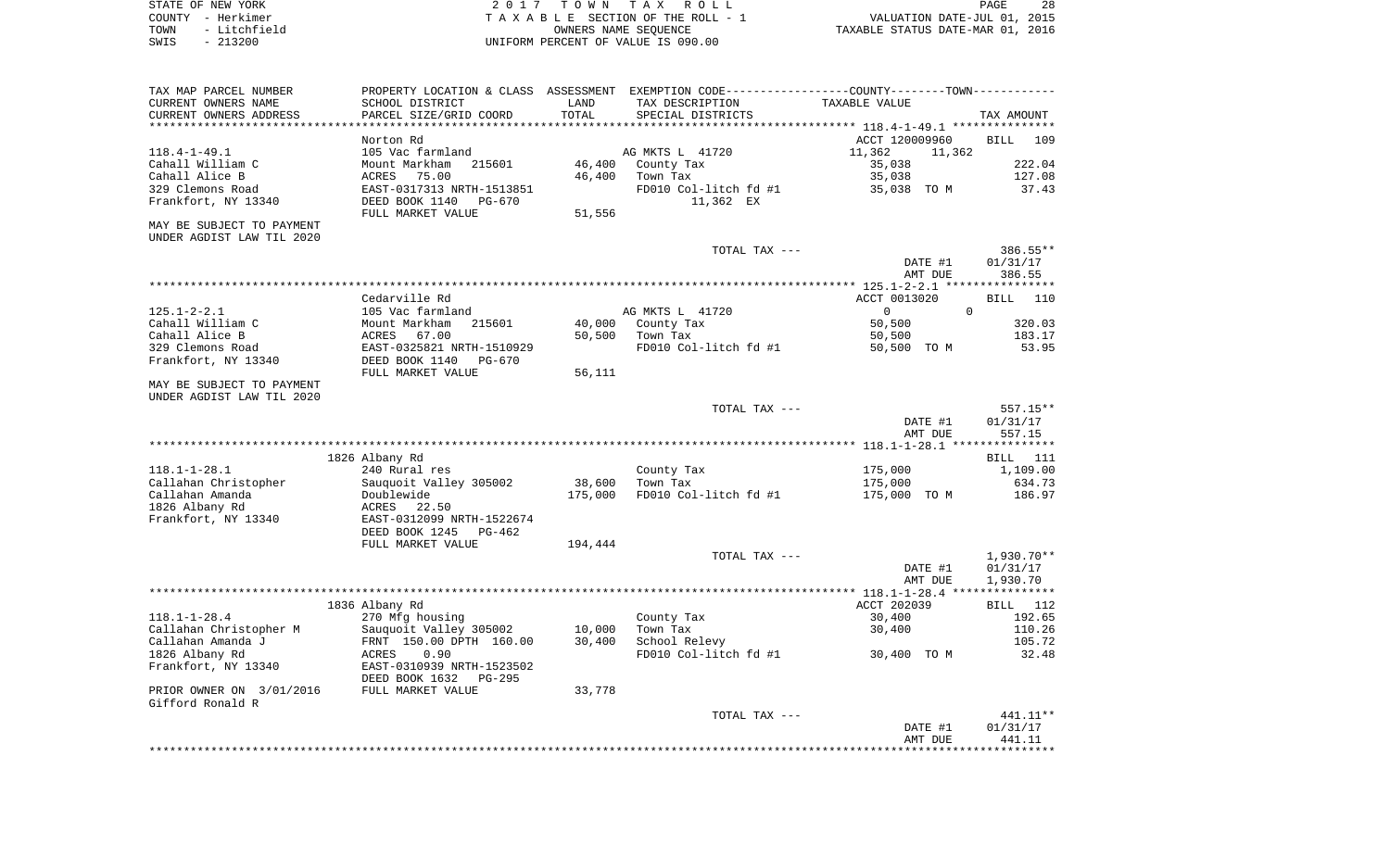| STATE OF NEW YORK    | 2017 TOWN TAX ROLL                 | 28<br>PAGE                       |
|----------------------|------------------------------------|----------------------------------|
| COUNTY - Herkimer    | TAXABLE SECTION OF THE ROLL - 1    | VALUATION DATE-JUL 01, 2015      |
| - Litchfield<br>TOWN | OWNERS NAME SEOUENCE               | TAXABLE STATUS DATE-MAR 01, 2016 |
| $-213200$<br>SWIS    | UNIFORM PERCENT OF VALUE IS 090.00 |                                  |

| TAX MAP PARCEL NUMBER                  |                                             |         | PROPERTY LOCATION & CLASS ASSESSMENT EXEMPTION CODE----------------COUNTY-------TOWN---------- |                            |                    |
|----------------------------------------|---------------------------------------------|---------|------------------------------------------------------------------------------------------------|----------------------------|--------------------|
| CURRENT OWNERS NAME                    | SCHOOL DISTRICT                             | LAND    | TAX DESCRIPTION                                                                                | TAXABLE VALUE              |                    |
| CURRENT OWNERS ADDRESS                 | PARCEL SIZE/GRID COORD                      | TOTAL   | SPECIAL DISTRICTS                                                                              |                            | TAX AMOUNT         |
| * * * * * * * * * * * * * * * * * *    |                                             |         |                                                                                                |                            |                    |
|                                        | Norton Rd                                   |         |                                                                                                | ACCT 120009960             | <b>BILL</b><br>109 |
| $118.4 - 1 - 49.1$<br>Cahall William C | 105 Vac farmland<br>Mount Markham<br>215601 | 46,400  | AG MKTS L 41720                                                                                | 11,362<br>11,362<br>35,038 | 222.04             |
| Cahall Alice B                         | ACRES<br>75.00                              | 46,400  | County Tax<br>Town Tax                                                                         | 35,038                     | 127.08             |
| 329 Clemons Road                       | EAST-0317313 NRTH-1513851                   |         | FD010 Col-litch fd #1                                                                          | 35,038 TO M                | 37.43              |
| Frankfort, NY 13340                    | DEED BOOK 1140<br>PG-670                    |         | 11,362 EX                                                                                      |                            |                    |
|                                        | FULL MARKET VALUE                           | 51,556  |                                                                                                |                            |                    |
| MAY BE SUBJECT TO PAYMENT              |                                             |         |                                                                                                |                            |                    |
| UNDER AGDIST LAW TIL 2020              |                                             |         |                                                                                                |                            |                    |
|                                        |                                             |         | TOTAL TAX ---                                                                                  |                            | 386.55**           |
|                                        |                                             |         |                                                                                                | DATE #1                    | 01/31/17           |
|                                        |                                             |         |                                                                                                | AMT DUE                    | 386.55             |
|                                        |                                             |         |                                                                                                |                            |                    |
|                                        | Cedarville Rd                               |         |                                                                                                | ACCT 0013020<br>$\Omega$   | BILL<br>110        |
| $125.1 - 2 - 2.1$<br>Cahall William C  | 105 Vac farmland<br>215601<br>Mount Markham | 40,000  | AG MKTS L 41720                                                                                | $\mathbf{0}$<br>50,500     | 320.03             |
| Cahall Alice B                         | ACRES<br>67.00                              | 50,500  | County Tax<br>Town Tax                                                                         | 50,500                     | 183.17             |
| 329 Clemons Road                       | EAST-0325821 NRTH-1510929                   |         | FD010 Col-litch fd #1                                                                          | 50,500 TO M                | 53.95              |
| Frankfort, NY 13340                    | DEED BOOK 1140<br>PG-670                    |         |                                                                                                |                            |                    |
|                                        | FULL MARKET VALUE                           | 56,111  |                                                                                                |                            |                    |
| MAY BE SUBJECT TO PAYMENT              |                                             |         |                                                                                                |                            |                    |
| UNDER AGDIST LAW TIL 2020              |                                             |         |                                                                                                |                            |                    |
|                                        |                                             |         | TOTAL TAX ---                                                                                  |                            | 557.15**           |
|                                        |                                             |         |                                                                                                | DATE #1                    | 01/31/17           |
|                                        |                                             |         |                                                                                                | AMT DUE                    | 557.15             |
|                                        | 1826 Albany Rd                              |         |                                                                                                |                            | BILL 111           |
| $118.1 - 1 - 28.1$                     | 240 Rural res                               |         | County Tax                                                                                     | 175,000                    | 1,109.00           |
| Callahan Christopher                   | Sauquoit Valley 305002                      | 38,600  | Town Tax                                                                                       | 175,000                    | 634.73             |
| Callahan Amanda                        | Doublewide                                  | 175,000 | FD010 Col-litch fd #1                                                                          | 175,000 TO M               | 186.97             |
| 1826 Albany Rd                         | ACRES<br>22.50                              |         |                                                                                                |                            |                    |
| Frankfort, NY 13340                    | EAST-0312099 NRTH-1522674                   |         |                                                                                                |                            |                    |
|                                        | DEED BOOK 1245<br>PG-462                    |         |                                                                                                |                            |                    |
|                                        | FULL MARKET VALUE                           | 194,444 |                                                                                                |                            |                    |
|                                        |                                             |         | TOTAL TAX ---                                                                                  |                            | 1,930.70**         |
|                                        |                                             |         |                                                                                                | DATE #1                    | 01/31/17           |
|                                        |                                             |         |                                                                                                | AMT DUE                    | 1,930.70           |
|                                        | 1836 Albany Rd                              |         |                                                                                                | ACCT 202039                | BILL<br>112        |
| $118.1 - 1 - 28.4$                     | 270 Mfg housing                             |         | County Tax                                                                                     | 30,400                     | 192.65             |
| Callahan Christopher M                 | Sauquoit Valley 305002                      | 10,000  | Town Tax                                                                                       | 30,400                     | 110.26             |
| Callahan Amanda J                      | FRNT 150.00 DPTH 160.00                     | 30,400  | School Relevy                                                                                  |                            | 105.72             |
| 1826 Albany Rd                         | ACRES<br>0.90                               |         | FD010 Col-litch fd #1                                                                          | 30,400 TO M                | 32.48              |
| Frankfort, NY 13340                    | EAST-0310939 NRTH-1523502                   |         |                                                                                                |                            |                    |
|                                        | DEED BOOK 1632<br>$PG-295$                  |         |                                                                                                |                            |                    |
| PRIOR OWNER ON 3/01/2016               | FULL MARKET VALUE                           | 33,778  |                                                                                                |                            |                    |
| Gifford Ronald R                       |                                             |         |                                                                                                |                            |                    |
|                                        |                                             |         | TOTAL TAX ---                                                                                  |                            | 441.11**           |
|                                        |                                             |         |                                                                                                | DATE #1                    | 01/31/17           |
|                                        |                                             |         |                                                                                                |                            |                    |
|                                        |                                             |         |                                                                                                | AMT DUE                    | 441.11             |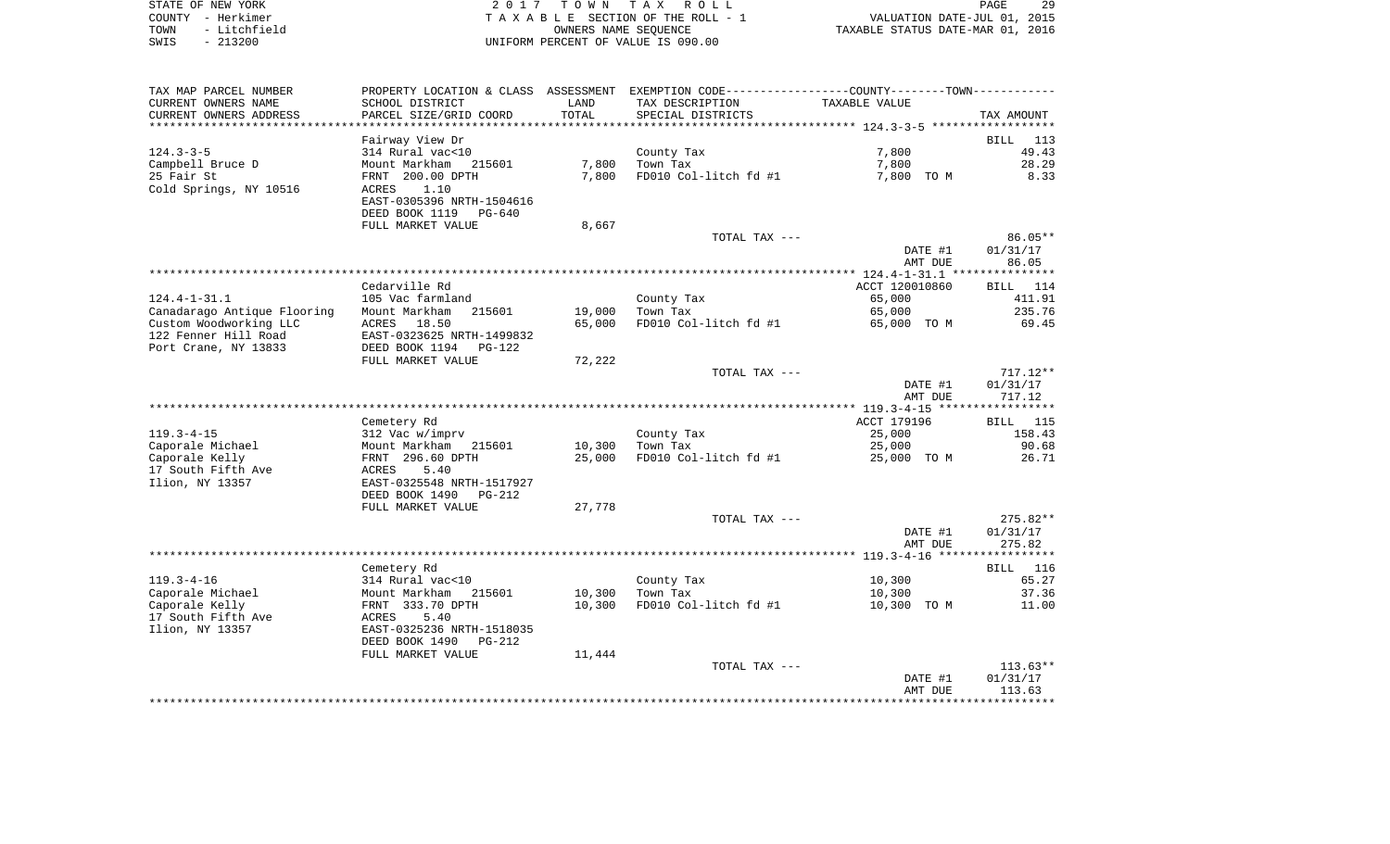| STATE OF NEW YORK    | 2017 TOWN TAX ROLL                 | 29<br>PAGE                       |
|----------------------|------------------------------------|----------------------------------|
| COUNTY - Herkimer    | TAXABLE SECTION OF THE ROLL - 1    | VALUATION DATE-JUL 01, 2015      |
| - Litchfield<br>TOWN | OWNERS NAME SEOUENCE               | TAXABLE STATUS DATE-MAR 01, 2016 |
| $-213200$<br>SWIS    | UNIFORM PERCENT OF VALUE IS 090.00 |                                  |

| TAX MAP PARCEL NUMBER       | PROPERTY LOCATION & CLASS ASSESSMENT EXEMPTION CODE---------------COUNTY-------TOWN---------- |        |                       |                                               |                             |
|-----------------------------|-----------------------------------------------------------------------------------------------|--------|-----------------------|-----------------------------------------------|-----------------------------|
| CURRENT OWNERS NAME         | SCHOOL DISTRICT                                                                               | LAND   | TAX DESCRIPTION       | TAXABLE VALUE                                 |                             |
| CURRENT OWNERS ADDRESS      | PARCEL SIZE/GRID COORD                                                                        | TOTAL  | SPECIAL DISTRICTS     |                                               | TAX AMOUNT                  |
|                             |                                                                                               |        |                       |                                               |                             |
|                             | Fairway View Dr                                                                               |        |                       |                                               | BILL<br>113                 |
| $124.3 - 3 - 5$             | 314 Rural vac<10                                                                              |        | County Tax            | 7,800                                         | 49.43                       |
| Campbell Bruce D            | Mount Markham<br>215601                                                                       | 7,800  | Town Tax              | 7,800                                         | 28.29                       |
| 25 Fair St                  | FRNT 200.00 DPTH                                                                              | 7,800  | FD010 Col-litch fd #1 | 7,800 TO M                                    | 8.33                        |
| Cold Springs, NY 10516      | 1.10<br>ACRES                                                                                 |        |                       |                                               |                             |
|                             | EAST-0305396 NRTH-1504616                                                                     |        |                       |                                               |                             |
|                             | DEED BOOK 1119<br>PG-640                                                                      |        |                       |                                               |                             |
|                             | FULL MARKET VALUE                                                                             | 8,667  |                       |                                               | $86.05**$                   |
|                             |                                                                                               |        | TOTAL TAX ---         | DATE #1                                       | 01/31/17                    |
|                             |                                                                                               |        |                       | AMT DUE                                       | 86.05                       |
|                             |                                                                                               |        |                       | *************** 124.4-1-31.1 **************** |                             |
|                             | Cedarville Rd                                                                                 |        |                       | ACCT 120010860                                | BILL 114                    |
| $124.4 - 1 - 31.1$          | 105 Vac farmland                                                                              |        | County Tax            | 65,000                                        | 411.91                      |
| Canadarago Antique Flooring | Mount Markham<br>215601                                                                       | 19,000 | Town Tax              | 65,000                                        | 235.76                      |
| Custom Woodworking LLC      | 18.50<br>ACRES                                                                                | 65,000 | FD010 Col-litch fd #1 | 65,000 TO M                                   | 69.45                       |
| 122 Fenner Hill Road        | EAST-0323625 NRTH-1499832                                                                     |        |                       |                                               |                             |
| Port Crane, NY 13833        | DEED BOOK 1194<br>$PG-122$                                                                    |        |                       |                                               |                             |
|                             | FULL MARKET VALUE                                                                             | 72,222 |                       |                                               |                             |
|                             |                                                                                               |        | TOTAL TAX ---         |                                               | $717.12**$                  |
|                             |                                                                                               |        |                       | DATE #1                                       | 01/31/17                    |
|                             |                                                                                               |        |                       | AMT DUE                                       | 717.12<br>***************** |
|                             | Cemetery Rd                                                                                   |        |                       | ACCT 179196                                   | BILL 115                    |
| $119.3 - 4 - 15$            | 312 Vac w/imprv                                                                               |        | County Tax            | 25,000                                        | 158.43                      |
| Caporale Michael            | Mount Markham<br>215601                                                                       | 10,300 | Town Tax              | 25,000                                        | 90.68                       |
| Caporale Kelly              | FRNT 296.60 DPTH                                                                              | 25,000 | FD010 Col-litch fd #1 | 25,000 TO M                                   | 26.71                       |
| 17 South Fifth Ave          | ACRES<br>5.40                                                                                 |        |                       |                                               |                             |
| Ilion, NY 13357             | EAST-0325548 NRTH-1517927                                                                     |        |                       |                                               |                             |
|                             | DEED BOOK 1490<br>PG-212                                                                      |        |                       |                                               |                             |
|                             | FULL MARKET VALUE                                                                             | 27,778 |                       |                                               |                             |
|                             |                                                                                               |        | TOTAL TAX ---         |                                               | $275.82**$                  |
|                             |                                                                                               |        |                       | DATE #1                                       | 01/31/17                    |
|                             |                                                                                               |        |                       | AMT DUE                                       | 275.82                      |
|                             | Cemetery Rd                                                                                   |        |                       |                                               | BILL 116                    |
| $119.3 - 4 - 16$            | 314 Rural vac<10                                                                              |        | County Tax            | 10,300                                        | 65.27                       |
| Caporale Michael            | Mount Markham<br>215601                                                                       | 10,300 | Town Tax              | 10,300                                        | 37.36                       |
| Caporale Kelly              | FRNT 333.70 DPTH                                                                              | 10,300 | FD010 Col-litch fd #1 | 10,300 TO M                                   | 11.00                       |
| 17 South Fifth Ave          | 5.40<br>ACRES                                                                                 |        |                       |                                               |                             |
| Ilion, NY 13357             | EAST-0325236 NRTH-1518035                                                                     |        |                       |                                               |                             |
|                             | DEED BOOK 1490<br>$PG-212$                                                                    |        |                       |                                               |                             |
|                             | FULL MARKET VALUE                                                                             | 11,444 |                       |                                               |                             |
|                             |                                                                                               |        | TOTAL TAX ---         |                                               | $113.63**$                  |
|                             |                                                                                               |        |                       | DATE #1                                       | 01/31/17                    |
|                             |                                                                                               |        |                       | AMT DUE                                       | 113.63                      |
|                             |                                                                                               |        |                       |                                               |                             |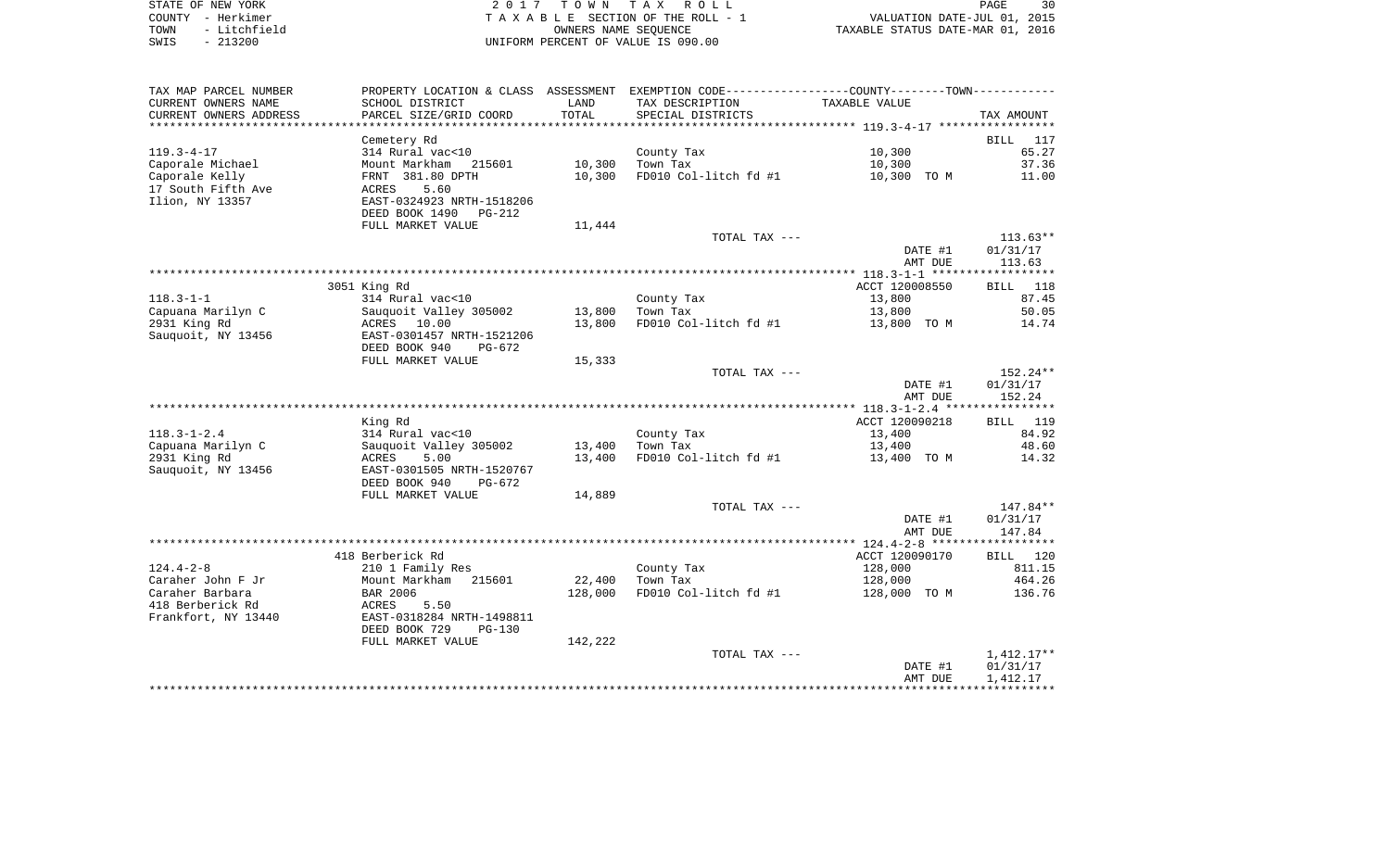| STATE OF NEW YORK    | 2017 TOWN TAX ROLL                 | PAGE                             |
|----------------------|------------------------------------|----------------------------------|
| COUNTY - Herkimer    | TAXABLE SECTION OF THE ROLL - 1    | VALUATION DATE-JUL 01, 2015      |
| - Litchfield<br>TOWN | OWNERS NAME SEOUENCE               | TAXABLE STATUS DATE-MAR 01, 2016 |
| $-213200$<br>SWIS    | UNIFORM PERCENT OF VALUE IS 090.00 |                                  |

| SCHOOL DISTRICT<br>LAND<br>TAX DESCRIPTION<br>TAXABLE VALUE<br>TOTAL<br>PARCEL SIZE/GRID COORD<br>SPECIAL DISTRICTS<br>TAX AMOUNT<br>*************************<br>*********************<br>Cemetery Rd<br>BILL 117<br>314 Rural vac<10<br>10,300<br>65.27<br>County Tax<br>10,300<br>Mount Markham<br>215601<br>Town Tax<br>10,300<br>37.36<br>FD010 Col-litch fd #1<br>FRNT 381.80 DPTH<br>10,300<br>10,300 TO M<br>11.00<br>5.60<br>ACRES<br>EAST-0324923 NRTH-1518206<br>DEED BOOK 1490<br>PG-212<br>FULL MARKET VALUE<br>11,444<br>$113.63**$<br>TOTAL TAX ---<br>DATE #1<br>01/31/17<br>113.63<br>AMT DUE<br>ACCT 120008550<br>3051 King Rd<br>BILL 118<br>$118.3 - 1 - 1$<br>314 Rural vac<10<br>County Tax<br>13,800<br>87.45<br>Capuana Marilyn C<br>Sauguoit Valley 305002<br>13,800<br>13,800<br>50.05<br>Town Tax<br>2931 King Rd<br>ACRES 10.00<br>13,800<br>FD010 Col-litch fd #1<br>13,800 TO M<br>14.74<br>Sauquoit, NY 13456<br>EAST-0301457 NRTH-1521206<br>DEED BOOK 940<br>PG-672<br>15,333<br>FULL MARKET VALUE<br>152.24**<br>TOTAL TAX ---<br>01/31/17<br>DATE #1<br>AMT DUE<br>152.24<br>ACCT 120090218<br><b>BILL</b> 119<br>King Rd<br>$118.3 - 1 - 2.4$<br>314 Rural vac<10<br>13,400<br>84.92<br>County Tax<br>Capuana Marilyn C<br>Sauquoit Valley 305002<br>Town Tax<br>13,400<br>48.60<br>13,400<br>2931 King Rd<br>13,400<br>FD010 Col-litch fd #1<br>ACRES<br>5.00<br>13,400 TO M<br>14.32<br>Sauquoit, NY 13456<br>EAST-0301505 NRTH-1520767<br>DEED BOOK 940<br>PG-672<br>FULL MARKET VALUE<br>14,889<br>TOTAL TAX ---<br>147.84**<br>DATE #1<br>01/31/17<br>147.84<br>AMT DUE<br>418 Berberick Rd<br>ACCT 120090170<br>BILL 120<br>$124.4 - 2 - 8$<br>128,000<br>811.15<br>210 1 Family Res<br>County Tax<br>Mount Markham 215601<br>22,400<br>128,000<br>464.26<br>Caraher John F Jr<br>Town Tax<br>Caraher Barbara<br>BAR 2006<br>128,000<br>FD010 Col-litch fd #1<br>128,000 TO M<br>136.76<br>418 Berberick Rd<br>ACRES<br>5.50<br>Frankfort, NY 13440<br>EAST-0318284 NRTH-1498811<br>DEED BOOK 729<br>$PG-130$<br>FULL MARKET VALUE<br>142,222<br>$1,412.17**$<br>TOTAL TAX ---<br>DATE #1<br>01/31/17<br>AMT DUE<br>1,412.17 | TAX MAP PARCEL NUMBER  |  | PROPERTY LOCATION & CLASS ASSESSMENT EXEMPTION CODE---------------COUNTY-------TOWN---------- |  |
|------------------------------------------------------------------------------------------------------------------------------------------------------------------------------------------------------------------------------------------------------------------------------------------------------------------------------------------------------------------------------------------------------------------------------------------------------------------------------------------------------------------------------------------------------------------------------------------------------------------------------------------------------------------------------------------------------------------------------------------------------------------------------------------------------------------------------------------------------------------------------------------------------------------------------------------------------------------------------------------------------------------------------------------------------------------------------------------------------------------------------------------------------------------------------------------------------------------------------------------------------------------------------------------------------------------------------------------------------------------------------------------------------------------------------------------------------------------------------------------------------------------------------------------------------------------------------------------------------------------------------------------------------------------------------------------------------------------------------------------------------------------------------------------------------------------------------------------------------------------------------------------------------------------------------------------------------------------------------------------------------------------------------------------------------------------------------------------------------------------------------------------------------------------------|------------------------|--|-----------------------------------------------------------------------------------------------|--|
|                                                                                                                                                                                                                                                                                                                                                                                                                                                                                                                                                                                                                                                                                                                                                                                                                                                                                                                                                                                                                                                                                                                                                                                                                                                                                                                                                                                                                                                                                                                                                                                                                                                                                                                                                                                                                                                                                                                                                                                                                                                                                                                                                                        | CURRENT OWNERS NAME    |  |                                                                                               |  |
|                                                                                                                                                                                                                                                                                                                                                                                                                                                                                                                                                                                                                                                                                                                                                                                                                                                                                                                                                                                                                                                                                                                                                                                                                                                                                                                                                                                                                                                                                                                                                                                                                                                                                                                                                                                                                                                                                                                                                                                                                                                                                                                                                                        | CURRENT OWNERS ADDRESS |  |                                                                                               |  |
|                                                                                                                                                                                                                                                                                                                                                                                                                                                                                                                                                                                                                                                                                                                                                                                                                                                                                                                                                                                                                                                                                                                                                                                                                                                                                                                                                                                                                                                                                                                                                                                                                                                                                                                                                                                                                                                                                                                                                                                                                                                                                                                                                                        |                        |  |                                                                                               |  |
|                                                                                                                                                                                                                                                                                                                                                                                                                                                                                                                                                                                                                                                                                                                                                                                                                                                                                                                                                                                                                                                                                                                                                                                                                                                                                                                                                                                                                                                                                                                                                                                                                                                                                                                                                                                                                                                                                                                                                                                                                                                                                                                                                                        |                        |  |                                                                                               |  |
|                                                                                                                                                                                                                                                                                                                                                                                                                                                                                                                                                                                                                                                                                                                                                                                                                                                                                                                                                                                                                                                                                                                                                                                                                                                                                                                                                                                                                                                                                                                                                                                                                                                                                                                                                                                                                                                                                                                                                                                                                                                                                                                                                                        | $119.3 - 4 - 17$       |  |                                                                                               |  |
|                                                                                                                                                                                                                                                                                                                                                                                                                                                                                                                                                                                                                                                                                                                                                                                                                                                                                                                                                                                                                                                                                                                                                                                                                                                                                                                                                                                                                                                                                                                                                                                                                                                                                                                                                                                                                                                                                                                                                                                                                                                                                                                                                                        | Caporale Michael       |  |                                                                                               |  |
|                                                                                                                                                                                                                                                                                                                                                                                                                                                                                                                                                                                                                                                                                                                                                                                                                                                                                                                                                                                                                                                                                                                                                                                                                                                                                                                                                                                                                                                                                                                                                                                                                                                                                                                                                                                                                                                                                                                                                                                                                                                                                                                                                                        | Caporale Kelly         |  |                                                                                               |  |
|                                                                                                                                                                                                                                                                                                                                                                                                                                                                                                                                                                                                                                                                                                                                                                                                                                                                                                                                                                                                                                                                                                                                                                                                                                                                                                                                                                                                                                                                                                                                                                                                                                                                                                                                                                                                                                                                                                                                                                                                                                                                                                                                                                        | 17 South Fifth Ave     |  |                                                                                               |  |
|                                                                                                                                                                                                                                                                                                                                                                                                                                                                                                                                                                                                                                                                                                                                                                                                                                                                                                                                                                                                                                                                                                                                                                                                                                                                                                                                                                                                                                                                                                                                                                                                                                                                                                                                                                                                                                                                                                                                                                                                                                                                                                                                                                        | Ilion, NY 13357        |  |                                                                                               |  |
|                                                                                                                                                                                                                                                                                                                                                                                                                                                                                                                                                                                                                                                                                                                                                                                                                                                                                                                                                                                                                                                                                                                                                                                                                                                                                                                                                                                                                                                                                                                                                                                                                                                                                                                                                                                                                                                                                                                                                                                                                                                                                                                                                                        |                        |  |                                                                                               |  |
|                                                                                                                                                                                                                                                                                                                                                                                                                                                                                                                                                                                                                                                                                                                                                                                                                                                                                                                                                                                                                                                                                                                                                                                                                                                                                                                                                                                                                                                                                                                                                                                                                                                                                                                                                                                                                                                                                                                                                                                                                                                                                                                                                                        |                        |  |                                                                                               |  |
|                                                                                                                                                                                                                                                                                                                                                                                                                                                                                                                                                                                                                                                                                                                                                                                                                                                                                                                                                                                                                                                                                                                                                                                                                                                                                                                                                                                                                                                                                                                                                                                                                                                                                                                                                                                                                                                                                                                                                                                                                                                                                                                                                                        |                        |  |                                                                                               |  |
|                                                                                                                                                                                                                                                                                                                                                                                                                                                                                                                                                                                                                                                                                                                                                                                                                                                                                                                                                                                                                                                                                                                                                                                                                                                                                                                                                                                                                                                                                                                                                                                                                                                                                                                                                                                                                                                                                                                                                                                                                                                                                                                                                                        |                        |  |                                                                                               |  |
|                                                                                                                                                                                                                                                                                                                                                                                                                                                                                                                                                                                                                                                                                                                                                                                                                                                                                                                                                                                                                                                                                                                                                                                                                                                                                                                                                                                                                                                                                                                                                                                                                                                                                                                                                                                                                                                                                                                                                                                                                                                                                                                                                                        |                        |  |                                                                                               |  |
|                                                                                                                                                                                                                                                                                                                                                                                                                                                                                                                                                                                                                                                                                                                                                                                                                                                                                                                                                                                                                                                                                                                                                                                                                                                                                                                                                                                                                                                                                                                                                                                                                                                                                                                                                                                                                                                                                                                                                                                                                                                                                                                                                                        |                        |  |                                                                                               |  |
|                                                                                                                                                                                                                                                                                                                                                                                                                                                                                                                                                                                                                                                                                                                                                                                                                                                                                                                                                                                                                                                                                                                                                                                                                                                                                                                                                                                                                                                                                                                                                                                                                                                                                                                                                                                                                                                                                                                                                                                                                                                                                                                                                                        |                        |  |                                                                                               |  |
|                                                                                                                                                                                                                                                                                                                                                                                                                                                                                                                                                                                                                                                                                                                                                                                                                                                                                                                                                                                                                                                                                                                                                                                                                                                                                                                                                                                                                                                                                                                                                                                                                                                                                                                                                                                                                                                                                                                                                                                                                                                                                                                                                                        |                        |  |                                                                                               |  |
|                                                                                                                                                                                                                                                                                                                                                                                                                                                                                                                                                                                                                                                                                                                                                                                                                                                                                                                                                                                                                                                                                                                                                                                                                                                                                                                                                                                                                                                                                                                                                                                                                                                                                                                                                                                                                                                                                                                                                                                                                                                                                                                                                                        |                        |  |                                                                                               |  |
|                                                                                                                                                                                                                                                                                                                                                                                                                                                                                                                                                                                                                                                                                                                                                                                                                                                                                                                                                                                                                                                                                                                                                                                                                                                                                                                                                                                                                                                                                                                                                                                                                                                                                                                                                                                                                                                                                                                                                                                                                                                                                                                                                                        |                        |  |                                                                                               |  |
|                                                                                                                                                                                                                                                                                                                                                                                                                                                                                                                                                                                                                                                                                                                                                                                                                                                                                                                                                                                                                                                                                                                                                                                                                                                                                                                                                                                                                                                                                                                                                                                                                                                                                                                                                                                                                                                                                                                                                                                                                                                                                                                                                                        |                        |  |                                                                                               |  |
|                                                                                                                                                                                                                                                                                                                                                                                                                                                                                                                                                                                                                                                                                                                                                                                                                                                                                                                                                                                                                                                                                                                                                                                                                                                                                                                                                                                                                                                                                                                                                                                                                                                                                                                                                                                                                                                                                                                                                                                                                                                                                                                                                                        |                        |  |                                                                                               |  |
|                                                                                                                                                                                                                                                                                                                                                                                                                                                                                                                                                                                                                                                                                                                                                                                                                                                                                                                                                                                                                                                                                                                                                                                                                                                                                                                                                                                                                                                                                                                                                                                                                                                                                                                                                                                                                                                                                                                                                                                                                                                                                                                                                                        |                        |  |                                                                                               |  |
|                                                                                                                                                                                                                                                                                                                                                                                                                                                                                                                                                                                                                                                                                                                                                                                                                                                                                                                                                                                                                                                                                                                                                                                                                                                                                                                                                                                                                                                                                                                                                                                                                                                                                                                                                                                                                                                                                                                                                                                                                                                                                                                                                                        |                        |  |                                                                                               |  |
|                                                                                                                                                                                                                                                                                                                                                                                                                                                                                                                                                                                                                                                                                                                                                                                                                                                                                                                                                                                                                                                                                                                                                                                                                                                                                                                                                                                                                                                                                                                                                                                                                                                                                                                                                                                                                                                                                                                                                                                                                                                                                                                                                                        |                        |  |                                                                                               |  |
|                                                                                                                                                                                                                                                                                                                                                                                                                                                                                                                                                                                                                                                                                                                                                                                                                                                                                                                                                                                                                                                                                                                                                                                                                                                                                                                                                                                                                                                                                                                                                                                                                                                                                                                                                                                                                                                                                                                                                                                                                                                                                                                                                                        |                        |  |                                                                                               |  |
|                                                                                                                                                                                                                                                                                                                                                                                                                                                                                                                                                                                                                                                                                                                                                                                                                                                                                                                                                                                                                                                                                                                                                                                                                                                                                                                                                                                                                                                                                                                                                                                                                                                                                                                                                                                                                                                                                                                                                                                                                                                                                                                                                                        |                        |  |                                                                                               |  |
|                                                                                                                                                                                                                                                                                                                                                                                                                                                                                                                                                                                                                                                                                                                                                                                                                                                                                                                                                                                                                                                                                                                                                                                                                                                                                                                                                                                                                                                                                                                                                                                                                                                                                                                                                                                                                                                                                                                                                                                                                                                                                                                                                                        |                        |  |                                                                                               |  |
|                                                                                                                                                                                                                                                                                                                                                                                                                                                                                                                                                                                                                                                                                                                                                                                                                                                                                                                                                                                                                                                                                                                                                                                                                                                                                                                                                                                                                                                                                                                                                                                                                                                                                                                                                                                                                                                                                                                                                                                                                                                                                                                                                                        |                        |  |                                                                                               |  |
|                                                                                                                                                                                                                                                                                                                                                                                                                                                                                                                                                                                                                                                                                                                                                                                                                                                                                                                                                                                                                                                                                                                                                                                                                                                                                                                                                                                                                                                                                                                                                                                                                                                                                                                                                                                                                                                                                                                                                                                                                                                                                                                                                                        |                        |  |                                                                                               |  |
|                                                                                                                                                                                                                                                                                                                                                                                                                                                                                                                                                                                                                                                                                                                                                                                                                                                                                                                                                                                                                                                                                                                                                                                                                                                                                                                                                                                                                                                                                                                                                                                                                                                                                                                                                                                                                                                                                                                                                                                                                                                                                                                                                                        |                        |  |                                                                                               |  |
|                                                                                                                                                                                                                                                                                                                                                                                                                                                                                                                                                                                                                                                                                                                                                                                                                                                                                                                                                                                                                                                                                                                                                                                                                                                                                                                                                                                                                                                                                                                                                                                                                                                                                                                                                                                                                                                                                                                                                                                                                                                                                                                                                                        |                        |  |                                                                                               |  |
|                                                                                                                                                                                                                                                                                                                                                                                                                                                                                                                                                                                                                                                                                                                                                                                                                                                                                                                                                                                                                                                                                                                                                                                                                                                                                                                                                                                                                                                                                                                                                                                                                                                                                                                                                                                                                                                                                                                                                                                                                                                                                                                                                                        |                        |  |                                                                                               |  |
|                                                                                                                                                                                                                                                                                                                                                                                                                                                                                                                                                                                                                                                                                                                                                                                                                                                                                                                                                                                                                                                                                                                                                                                                                                                                                                                                                                                                                                                                                                                                                                                                                                                                                                                                                                                                                                                                                                                                                                                                                                                                                                                                                                        |                        |  |                                                                                               |  |
|                                                                                                                                                                                                                                                                                                                                                                                                                                                                                                                                                                                                                                                                                                                                                                                                                                                                                                                                                                                                                                                                                                                                                                                                                                                                                                                                                                                                                                                                                                                                                                                                                                                                                                                                                                                                                                                                                                                                                                                                                                                                                                                                                                        |                        |  |                                                                                               |  |
|                                                                                                                                                                                                                                                                                                                                                                                                                                                                                                                                                                                                                                                                                                                                                                                                                                                                                                                                                                                                                                                                                                                                                                                                                                                                                                                                                                                                                                                                                                                                                                                                                                                                                                                                                                                                                                                                                                                                                                                                                                                                                                                                                                        |                        |  |                                                                                               |  |
|                                                                                                                                                                                                                                                                                                                                                                                                                                                                                                                                                                                                                                                                                                                                                                                                                                                                                                                                                                                                                                                                                                                                                                                                                                                                                                                                                                                                                                                                                                                                                                                                                                                                                                                                                                                                                                                                                                                                                                                                                                                                                                                                                                        |                        |  |                                                                                               |  |
|                                                                                                                                                                                                                                                                                                                                                                                                                                                                                                                                                                                                                                                                                                                                                                                                                                                                                                                                                                                                                                                                                                                                                                                                                                                                                                                                                                                                                                                                                                                                                                                                                                                                                                                                                                                                                                                                                                                                                                                                                                                                                                                                                                        |                        |  |                                                                                               |  |
|                                                                                                                                                                                                                                                                                                                                                                                                                                                                                                                                                                                                                                                                                                                                                                                                                                                                                                                                                                                                                                                                                                                                                                                                                                                                                                                                                                                                                                                                                                                                                                                                                                                                                                                                                                                                                                                                                                                                                                                                                                                                                                                                                                        |                        |  |                                                                                               |  |
|                                                                                                                                                                                                                                                                                                                                                                                                                                                                                                                                                                                                                                                                                                                                                                                                                                                                                                                                                                                                                                                                                                                                                                                                                                                                                                                                                                                                                                                                                                                                                                                                                                                                                                                                                                                                                                                                                                                                                                                                                                                                                                                                                                        |                        |  |                                                                                               |  |
|                                                                                                                                                                                                                                                                                                                                                                                                                                                                                                                                                                                                                                                                                                                                                                                                                                                                                                                                                                                                                                                                                                                                                                                                                                                                                                                                                                                                                                                                                                                                                                                                                                                                                                                                                                                                                                                                                                                                                                                                                                                                                                                                                                        |                        |  |                                                                                               |  |
|                                                                                                                                                                                                                                                                                                                                                                                                                                                                                                                                                                                                                                                                                                                                                                                                                                                                                                                                                                                                                                                                                                                                                                                                                                                                                                                                                                                                                                                                                                                                                                                                                                                                                                                                                                                                                                                                                                                                                                                                                                                                                                                                                                        |                        |  |                                                                                               |  |
|                                                                                                                                                                                                                                                                                                                                                                                                                                                                                                                                                                                                                                                                                                                                                                                                                                                                                                                                                                                                                                                                                                                                                                                                                                                                                                                                                                                                                                                                                                                                                                                                                                                                                                                                                                                                                                                                                                                                                                                                                                                                                                                                                                        |                        |  |                                                                                               |  |
|                                                                                                                                                                                                                                                                                                                                                                                                                                                                                                                                                                                                                                                                                                                                                                                                                                                                                                                                                                                                                                                                                                                                                                                                                                                                                                                                                                                                                                                                                                                                                                                                                                                                                                                                                                                                                                                                                                                                                                                                                                                                                                                                                                        |                        |  |                                                                                               |  |
|                                                                                                                                                                                                                                                                                                                                                                                                                                                                                                                                                                                                                                                                                                                                                                                                                                                                                                                                                                                                                                                                                                                                                                                                                                                                                                                                                                                                                                                                                                                                                                                                                                                                                                                                                                                                                                                                                                                                                                                                                                                                                                                                                                        |                        |  |                                                                                               |  |
|                                                                                                                                                                                                                                                                                                                                                                                                                                                                                                                                                                                                                                                                                                                                                                                                                                                                                                                                                                                                                                                                                                                                                                                                                                                                                                                                                                                                                                                                                                                                                                                                                                                                                                                                                                                                                                                                                                                                                                                                                                                                                                                                                                        |                        |  |                                                                                               |  |
|                                                                                                                                                                                                                                                                                                                                                                                                                                                                                                                                                                                                                                                                                                                                                                                                                                                                                                                                                                                                                                                                                                                                                                                                                                                                                                                                                                                                                                                                                                                                                                                                                                                                                                                                                                                                                                                                                                                                                                                                                                                                                                                                                                        |                        |  |                                                                                               |  |
|                                                                                                                                                                                                                                                                                                                                                                                                                                                                                                                                                                                                                                                                                                                                                                                                                                                                                                                                                                                                                                                                                                                                                                                                                                                                                                                                                                                                                                                                                                                                                                                                                                                                                                                                                                                                                                                                                                                                                                                                                                                                                                                                                                        |                        |  |                                                                                               |  |
|                                                                                                                                                                                                                                                                                                                                                                                                                                                                                                                                                                                                                                                                                                                                                                                                                                                                                                                                                                                                                                                                                                                                                                                                                                                                                                                                                                                                                                                                                                                                                                                                                                                                                                                                                                                                                                                                                                                                                                                                                                                                                                                                                                        |                        |  |                                                                                               |  |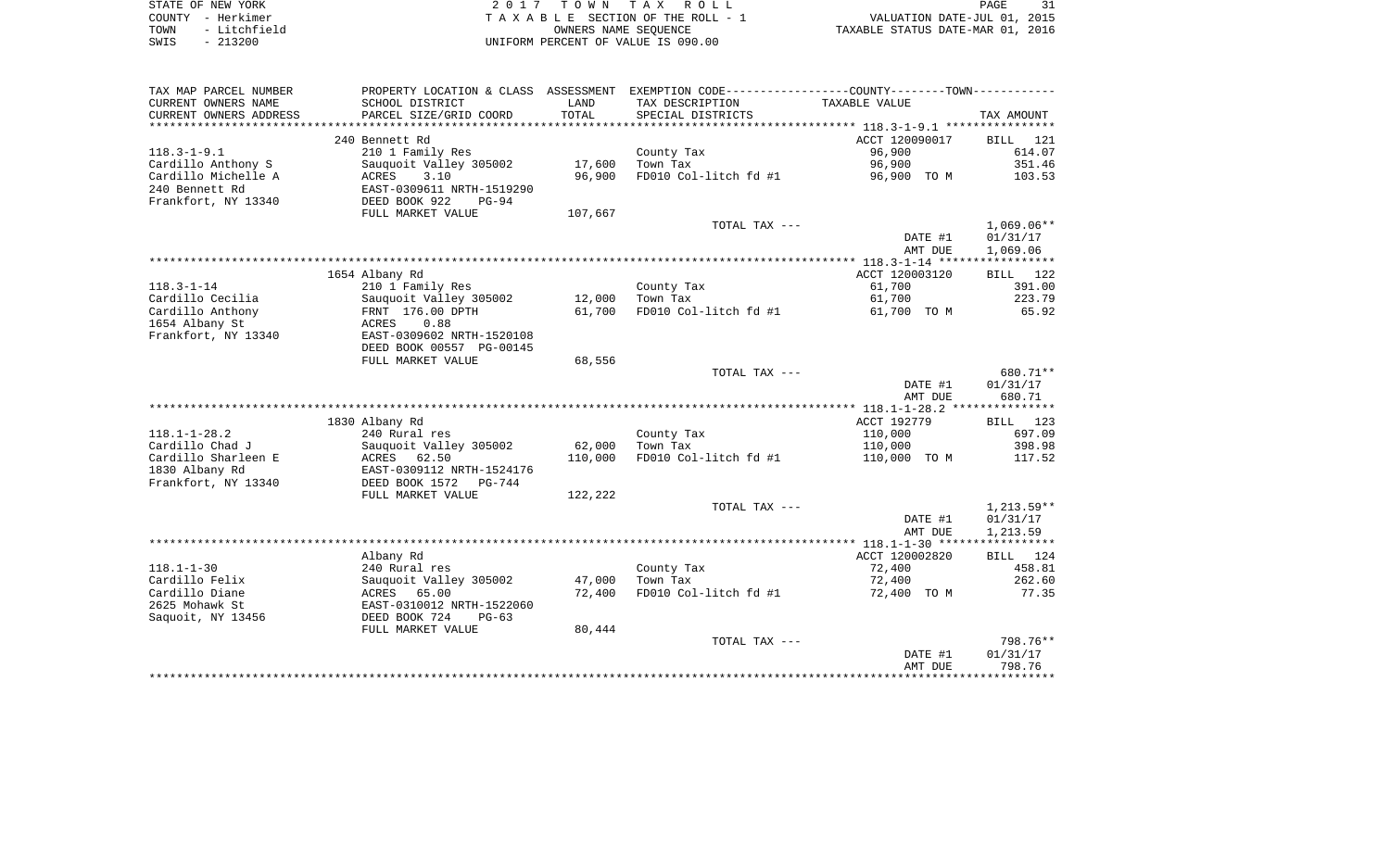| STATE OF NEW YORK      | 17 TOWN TAX ROLL<br>י ח ג          | PAGE                             |
|------------------------|------------------------------------|----------------------------------|
| - Herkimer<br>COUNTY   | TAXABLE SECTION OF THE ROLL - 1    | VALUATION DATE-JUL 01, 2015      |
| - Litchfield<br>TOWN   | OWNERS NAME SEOUENCE               | TAXABLE STATUS DATE-MAR 01, 2016 |
| 213200<br>SWIS<br>$ -$ | UNIFORM PERCENT OF VALUE IS 090.00 |                                  |

| TAX MAP PARCEL NUMBER  | PROPERTY LOCATION & CLASS |             | ASSESSMENT EXEMPTION CODE-----------------COUNTY-------TOWN----------- |                |              |
|------------------------|---------------------------|-------------|------------------------------------------------------------------------|----------------|--------------|
| CURRENT OWNERS NAME    | SCHOOL DISTRICT           | LAND        | TAX DESCRIPTION                                                        | TAXABLE VALUE  |              |
| CURRENT OWNERS ADDRESS | PARCEL SIZE/GRID COORD    | TOTAL       | SPECIAL DISTRICTS                                                      |                | TAX AMOUNT   |
| *****************      |                           | *********** |                                                                        |                |              |
|                        | 240 Bennett Rd            |             |                                                                        | ACCT 120090017 | BILL<br>121  |
| $118.3 - 1 - 9.1$      | 210 1 Family Res          |             | County Tax                                                             | 96,900         | 614.07       |
| Cardillo Anthony S     | Sauquoit Valley 305002    | 17,600      | Town Tax                                                               | 96,900         | 351.46       |
| Cardillo Michelle A    | <b>ACRES</b><br>3.10      | 96,900      | FD010 Col-litch fd #1                                                  | 96,900 TO M    | 103.53       |
| 240 Bennett Rd         | EAST-0309611 NRTH-1519290 |             |                                                                        |                |              |
| Frankfort, NY 13340    | DEED BOOK 922<br>$PG-94$  |             |                                                                        |                |              |
|                        | FULL MARKET VALUE         | 107,667     |                                                                        |                |              |
|                        |                           |             | TOTAL TAX ---                                                          |                | $1,069.06**$ |
|                        |                           |             |                                                                        | DATE #1        | 01/31/17     |
|                        |                           |             |                                                                        | AMT DUE        | 1,069.06     |
|                        |                           |             |                                                                        |                |              |
|                        | 1654 Albany Rd            |             |                                                                        | ACCT 120003120 | BILL<br>122  |
| $118.3 - 1 - 14$       | 210 1 Family Res          |             | County Tax                                                             | 61,700         | 391.00       |
| Cardillo Cecilia       | Sauquoit Valley 305002    | 12,000      | Town Tax                                                               | 61,700         | 223.79       |
| Cardillo Anthony       | FRNT 176.00 DPTH          | 61,700      | FD010 Col-litch fd #1                                                  | 61,700 TO M    | 65.92        |
| 1654 Albany St         | 0.88<br>ACRES             |             |                                                                        |                |              |
| Frankfort, NY 13340    | EAST-0309602 NRTH-1520108 |             |                                                                        |                |              |
|                        | DEED BOOK 00557 PG-00145  |             |                                                                        |                |              |
|                        | FULL MARKET VALUE         | 68,556      |                                                                        |                |              |
|                        |                           |             | TOTAL TAX ---                                                          |                | 680.71**     |
|                        |                           |             |                                                                        | DATE #1        | 01/31/17     |
|                        |                           |             |                                                                        | AMT DUE        | 680.71       |
|                        |                           |             |                                                                        |                |              |
|                        | 1830 Albany Rd            |             |                                                                        | ACCT 192779    | BILL 123     |
| $118.1 - 1 - 28.2$     | 240 Rural res             |             | County Tax                                                             | 110,000        | 697.09       |
| Cardillo Chad J        | Sauquoit Valley 305002    | 62,000      | Town Tax                                                               | 110,000        | 398.98       |
| Cardillo Sharleen E    | 62.50<br>ACRES            | 110,000     | FD010 Col-litch fd #1                                                  | 110,000 TO M   | 117.52       |
| 1830 Albany Rd         | EAST-0309112 NRTH-1524176 |             |                                                                        |                |              |
| Frankfort, NY 13340    | DEED BOOK 1572<br>PG-744  |             |                                                                        |                |              |
|                        | FULL MARKET VALUE         | 122,222     |                                                                        |                |              |
|                        |                           |             | TOTAL TAX ---                                                          |                | $1,213.59**$ |
|                        |                           |             |                                                                        | DATE #1        | 01/31/17     |
|                        |                           |             |                                                                        | AMT DUE        | 1,213.59     |
|                        |                           |             |                                                                        |                |              |
|                        | Albany Rd                 |             |                                                                        | ACCT 120002820 | BILL 124     |
| $118.1 - 1 - 30$       | 240 Rural res             |             | County Tax                                                             | 72,400         | 458.81       |
| Cardillo Felix         | Sauquoit Valley 305002    | 47,000      | Town Tax                                                               | 72,400         | 262.60       |
| Cardillo Diane         | ACRES<br>65.00            | 72,400      | FD010 Col-litch fd #1                                                  | 72,400 TO M    | 77.35        |
| 2625 Mohawk St         | EAST-0310012 NRTH-1522060 |             |                                                                        |                |              |
| Saquoit, NY 13456      | DEED BOOK 724<br>$PG-63$  |             |                                                                        |                |              |
|                        | FULL MARKET VALUE         | 80,444      |                                                                        |                |              |
|                        |                           |             | TOTAL TAX ---                                                          |                | 798.76**     |
|                        |                           |             |                                                                        | DATE #1        | 01/31/17     |
|                        |                           |             |                                                                        | AMT DUE        | 798.76       |
|                        |                           |             |                                                                        |                |              |
|                        |                           |             |                                                                        |                |              |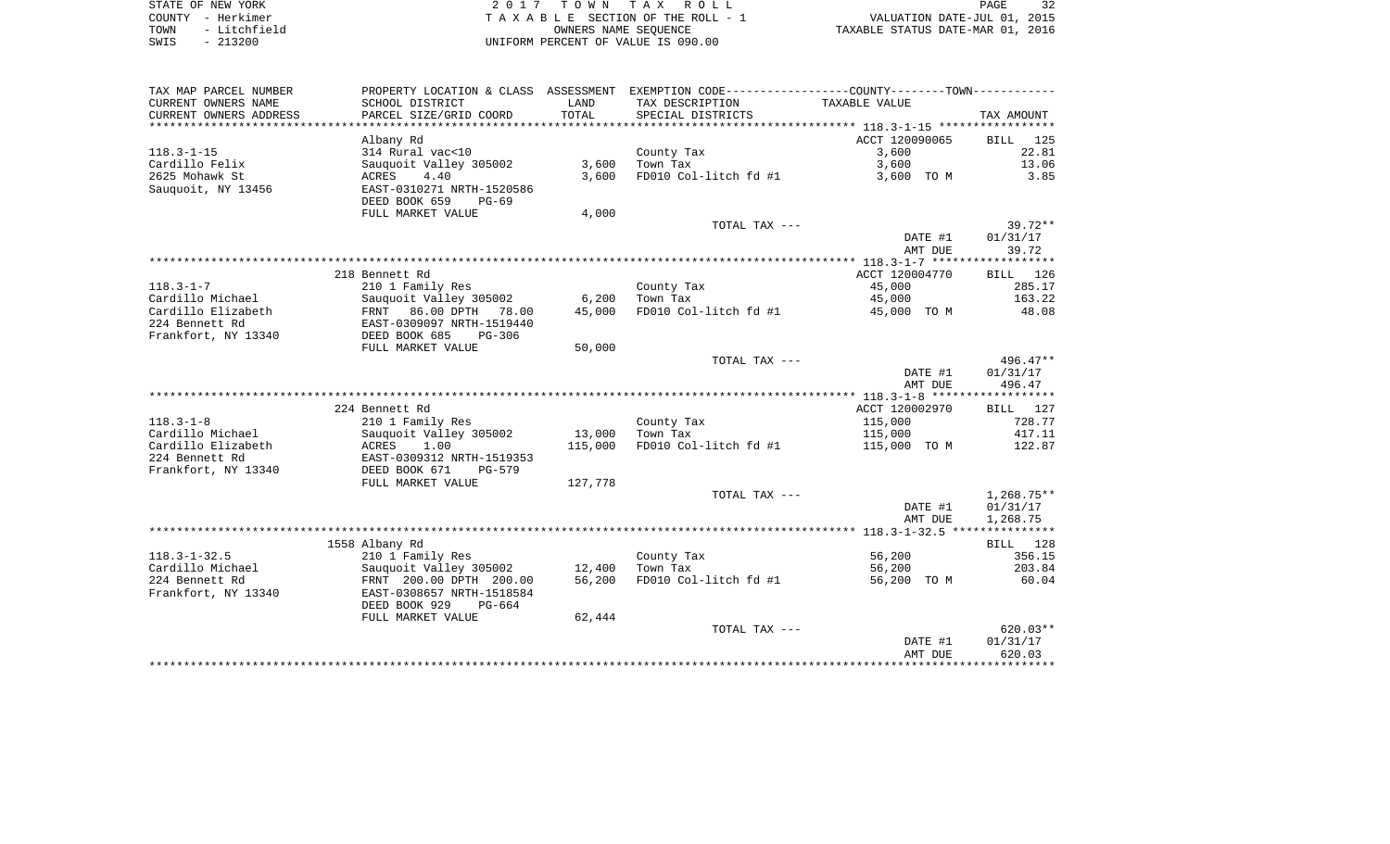STATE OF NEW YORK 2 0 1 7 T O W N T A X R O L L PAGE 32 COUNTY - Herkimer T A X A B L E SECTION OF THE ROLL - 1 VALUATION DATE-JUL 01, 2015 TOWN - Litchfield OWNERS NAME SEQUENCE TAXABLE STATUS DATE-MAR 01, 2016 SWIS - Litchfield - 213200<br>
SWIS - 213200<br>
SWIS - 213200<br>
UNIFORM PERCENT OF VALUE IS 090.00

| TAX MAP PARCEL NUMBER                         | PROPERTY LOCATION & CLASS ASSESSMENT                     |               | EXEMPTION CODE-----------------COUNTY-------TOWN----------- |                |                    |
|-----------------------------------------------|----------------------------------------------------------|---------------|-------------------------------------------------------------|----------------|--------------------|
| CURRENT OWNERS NAME<br>CURRENT OWNERS ADDRESS | SCHOOL DISTRICT<br>PARCEL SIZE/GRID COORD                | LAND<br>TOTAL | TAX DESCRIPTION<br>SPECIAL DISTRICTS                        | TAXABLE VALUE  | TAX AMOUNT         |
| *************************                     |                                                          |               |                                                             |                |                    |
|                                               | Albany Rd                                                |               |                                                             | ACCT 120090065 | 125<br>BILL        |
| $118.3 - 1 - 15$                              | 314 Rural vac<10                                         |               | County Tax                                                  | 3,600          | 22.81              |
| Cardillo Felix                                | Sauquoit Valley 305002                                   | 3,600         | Town Tax                                                    | 3,600          | 13.06              |
| 2625 Mohawk St                                | ACRES<br>4.40                                            | 3,600         | FD010 Col-litch fd #1                                       | 3,600 TO M     | 3.85               |
| Sauquoit, NY 13456                            | EAST-0310271 NRTH-1520586<br>$PG-69$                     |               |                                                             |                |                    |
|                                               | DEED BOOK 659                                            |               |                                                             |                |                    |
|                                               | FULL MARKET VALUE                                        | 4,000         |                                                             |                |                    |
|                                               |                                                          |               | TOTAL TAX ---                                               |                | 39.72**            |
|                                               |                                                          |               |                                                             | DATE #1        | 01/31/17           |
|                                               |                                                          |               |                                                             | AMT DUE        | 39.72              |
|                                               |                                                          |               |                                                             |                |                    |
| $118.3 - 1 - 7$                               | 218 Bennett Rd                                           |               |                                                             | ACCT 120004770 | BILL 126<br>285.17 |
|                                               | 210 1 Family Res                                         |               | County Tax                                                  | 45,000         |                    |
| Cardillo Michael                              | Sauquoit Valley 305002                                   | 6,200         | Town Tax                                                    | 45,000         | 163.22             |
| Cardillo Elizabeth<br>224 Bennett Rd          | FRNT<br>86.00 DPTH<br>78.00<br>EAST-0309097 NRTH-1519440 | 45,000        | FD010 Col-litch fd #1                                       | 45,000 TO M    | 48.08              |
|                                               |                                                          |               |                                                             |                |                    |
| Frankfort, NY 13340                           | DEED BOOK 685<br>$PG-306$                                |               |                                                             |                |                    |
|                                               | FULL MARKET VALUE                                        | 50,000        |                                                             |                | 496.47**           |
|                                               |                                                          |               | TOTAL TAX ---                                               |                |                    |
|                                               |                                                          |               |                                                             | DATE #1        | 01/31/17           |
|                                               |                                                          |               |                                                             | AMT DUE        | 496.47             |
|                                               |                                                          |               |                                                             |                |                    |
|                                               | 224 Bennett Rd                                           |               |                                                             | ACCT 120002970 | BILL 127           |
| $118.3 - 1 - 8$                               | 210 1 Family Res                                         |               | County Tax                                                  | 115,000        | 728.77             |
| Cardillo Michael                              | Sauquoit Valley 305002                                   | 13,000        | Town Tax                                                    | 115,000        | 417.11             |
| Cardillo Elizabeth                            | ACRES<br>1.00                                            | 115,000       | FD010 Col-litch fd #1                                       | 115,000 TO M   | 122.87             |
| 224 Bennett Rd                                | EAST-0309312 NRTH-1519353                                |               |                                                             |                |                    |
| Frankfort, NY 13340                           | DEED BOOK 671<br>$PG-579$                                |               |                                                             |                |                    |
|                                               | FULL MARKET VALUE                                        | 127,778       |                                                             |                |                    |
|                                               |                                                          |               | TOTAL TAX ---                                               |                | $1,268.75**$       |
|                                               |                                                          |               |                                                             | DATE #1        | 01/31/17           |
|                                               |                                                          |               |                                                             | AMT DUE        | 1,268.75           |
|                                               |                                                          |               |                                                             |                |                    |
|                                               | 1558 Albany Rd                                           |               |                                                             |                | BILL 128           |
| $118.3 - 1 - 32.5$                            | 210 1 Family Res                                         |               | County Tax                                                  | 56,200         | 356.15             |
| Cardillo Michael                              | Sauquoit Valley 305002                                   | 12,400        | Town Tax                                                    | 56,200         | 203.84             |
| 224 Bennett Rd                                | FRNT 200.00 DPTH 200.00                                  | 56,200        | FD010 Col-litch fd #1                                       | 56,200 TO M    | 60.04              |
| Frankfort, NY 13340                           | EAST-0308657 NRTH-1518584                                |               |                                                             |                |                    |
|                                               | DEED BOOK 929<br>PG-664                                  |               |                                                             |                |                    |
|                                               | FULL MARKET VALUE                                        | 62,444        |                                                             |                | $620.03**$         |
|                                               |                                                          |               | TOTAL TAX ---                                               |                |                    |
|                                               |                                                          |               |                                                             | DATE #1        | 01/31/17           |
|                                               |                                                          |               |                                                             | AMT DUE        | 620.03             |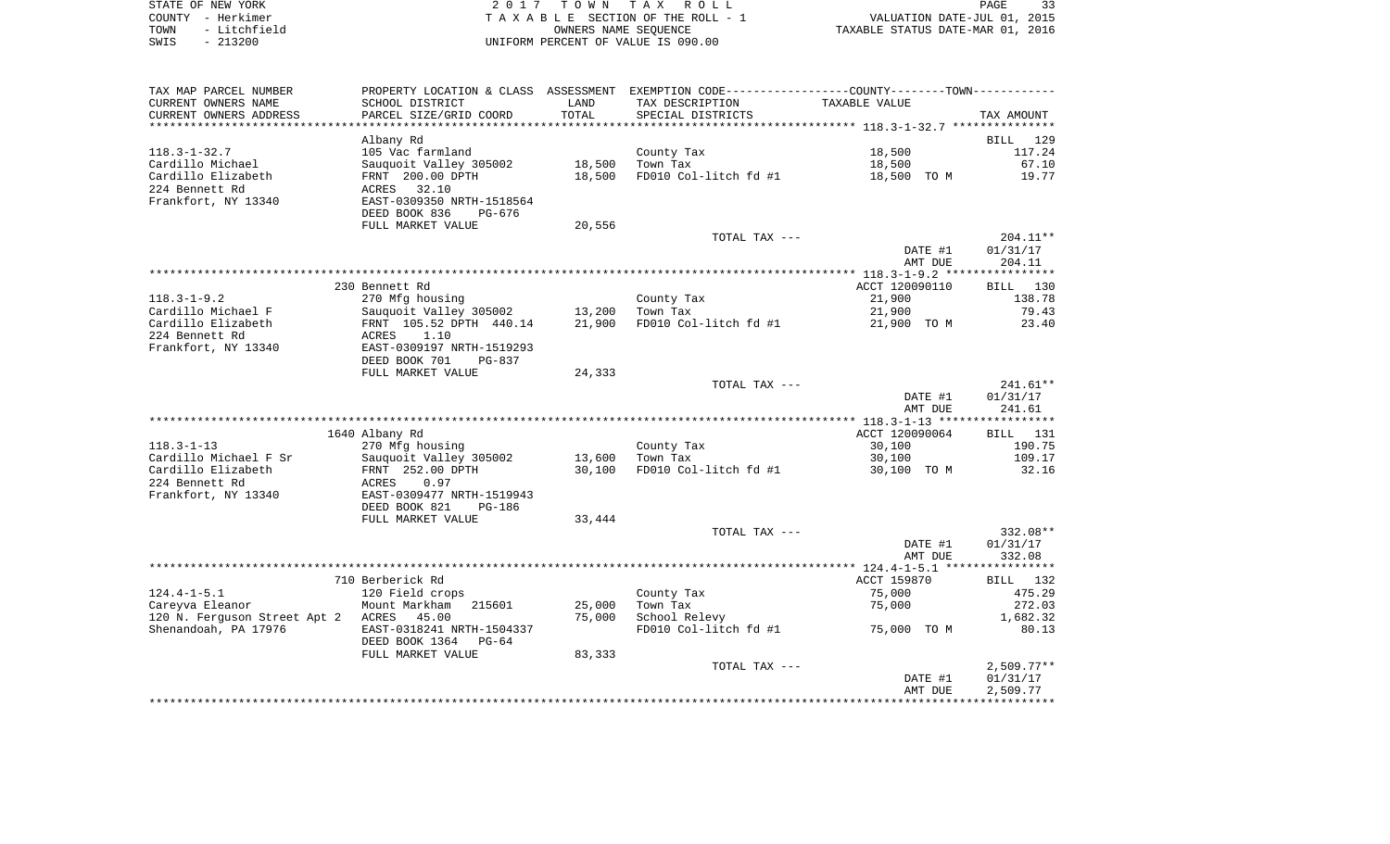| STATE OF NEW YORK    | 2017 TOWN TAX ROLL                 | PAGE                             |
|----------------------|------------------------------------|----------------------------------|
| COUNTY - Herkimer    | TAXABLE SECTION OF THE ROLL - 1    | VALUATION DATE-JUL 01, 2015      |
| - Litchfield<br>TOWN | OWNERS NAME SEOUENCE               | TAXABLE STATUS DATE-MAR 01, 2016 |
| $-213200$<br>SWIS    | UNIFORM PERCENT OF VALUE IS 090.00 |                                  |

| TAX MAP PARCEL NUMBER                    |                                                   |        | PROPERTY LOCATION & CLASS ASSESSMENT EXEMPTION CODE----------------COUNTY--------TOWN---------- |                       |                    |
|------------------------------------------|---------------------------------------------------|--------|-------------------------------------------------------------------------------------------------|-----------------------|--------------------|
| CURRENT OWNERS NAME                      | SCHOOL DISTRICT                                   | LAND   | TAX DESCRIPTION                                                                                 | TAXABLE VALUE         |                    |
| CURRENT OWNERS ADDRESS                   | PARCEL SIZE/GRID COORD                            | TOTAL  | SPECIAL DISTRICTS                                                                               |                       | TAX AMOUNT         |
| **********************                   |                                                   |        |                                                                                                 |                       |                    |
|                                          | Albany Rd                                         |        |                                                                                                 |                       | BILL 129           |
| 118.3-1-32.7                             | 105 Vac farmland                                  |        | County Tax                                                                                      | 18,500                | 117.24             |
| Cardillo Michael                         | Sauquoit Valley 305002                            | 18,500 | Town Tax                                                                                        | 18,500                | 67.10              |
| Cardillo Elizabeth                       | FRNT 200.00 DPTH                                  | 18,500 | FD010 Col-litch $fd$ #1 $18,500$ TO M                                                           |                       | 19.77              |
| 224 Bennett Rd                           | ACRES 32.10                                       |        |                                                                                                 |                       |                    |
| Frankfort, NY 13340                      | EAST-0309350 NRTH-1518564                         |        |                                                                                                 |                       |                    |
|                                          | DEED BOOK 836<br>PG-676                           |        |                                                                                                 |                       |                    |
|                                          | FULL MARKET VALUE                                 | 20,556 |                                                                                                 |                       |                    |
|                                          |                                                   |        | TOTAL TAX ---                                                                                   |                       | $204.11**$         |
|                                          |                                                   |        |                                                                                                 | DATE #1               | 01/31/17           |
|                                          |                                                   |        |                                                                                                 | AMT DUE               | 204.11             |
|                                          | 230 Bennett Rd                                    |        |                                                                                                 | ACCT 120090110        | BILL 130           |
| $118.3 - 1 - 9.2$                        |                                                   |        |                                                                                                 |                       | 138.78             |
| Cardillo Michael F                       | 270 Mfg housing<br>Sauquoit Valley 305002         | 13,200 | County Tax<br>Town Tax                                                                          | 21,900<br>21,900      | 79.43              |
| Cardillo Elizabeth                       | Sauquoit Valley 305002<br>FRNT 105.52 DPTH 440.14 | 21,900 | FD010 Col-litch fd #1                                                                           | 21,900 TO M           | 23.40              |
| 224 Bennett Rd                           |                                                   |        |                                                                                                 |                       |                    |
| Frankfort, NY 13340                      | ACRES 1.10<br>EAST-0309197 NRTH-1519293           |        |                                                                                                 |                       |                    |
|                                          | DEED BOOK 701<br>PG-837                           |        |                                                                                                 |                       |                    |
|                                          | FULL MARKET VALUE                                 | 24,333 |                                                                                                 |                       |                    |
|                                          |                                                   |        | TOTAL TAX ---                                                                                   |                       | $241.61**$         |
|                                          |                                                   |        |                                                                                                 | DATE #1               | 01/31/17           |
|                                          |                                                   |        |                                                                                                 | AMT DUE               | 241.61             |
|                                          |                                                   |        |                                                                                                 |                       |                    |
|                                          | 1640 Albany Rd                                    |        |                                                                                                 | ACCT 120090064        | <b>BILL</b> 131    |
| 118.3-1-13                               | 270 Mfg housing                                   |        | County Tax<br>Town Tax                                                                          | 30,100                | 190.75             |
| Cardillo Michael F Sr                    | Sauguoit Valley 305002                            | 13,600 |                                                                                                 | 30,100                | 109.17             |
| Cardillo Elizabeth                       | FRNT 252.00 DPTH                                  | 30,100 | FD010 Col-litch fd #1                                                                           | 30,100 TO M           | 32.16              |
| 224 Bennett Rd                           | 0.97<br>ACRES                                     |        |                                                                                                 |                       |                    |
| Frankfort, NY 13340                      | EAST-0309477 NRTH-1519943                         |        |                                                                                                 |                       |                    |
|                                          | DEED BOOK 821<br>PG-186                           |        |                                                                                                 |                       |                    |
|                                          | FULL MARKET VALUE                                 | 33,444 |                                                                                                 |                       |                    |
|                                          |                                                   |        | TOTAL TAX ---                                                                                   |                       | 332.08**           |
|                                          |                                                   |        |                                                                                                 | DATE #1               | 01/31/17           |
|                                          |                                                   |        |                                                                                                 | AMT DUE               | 332.08             |
|                                          |                                                   |        |                                                                                                 |                       |                    |
| 124.4-1-5.1                              | 710 Berberick Rd<br>120 Field crops               |        |                                                                                                 | ACCT 159870<br>75,000 | BILL 132<br>475.29 |
| Careyva Eleanor                          | Mount Markham 215601                              | 25,000 | County Tax<br>Town Tax                                                                          | 75,000                | 272.03             |
| 120 N. Ferguson Street Apt 2 ACRES 45.00 |                                                   | 75,000 | School Relevy                                                                                   |                       | 1,682.32           |
| Shenandoah, PA 17976                     | EAST-0318241 NRTH-1504337                         |        | FD010 Col-litch fd #1 75,000 TO M                                                               |                       | 80.13              |
|                                          | DEED BOOK 1364 PG-64                              |        |                                                                                                 |                       |                    |
|                                          | FULL MARKET VALUE                                 | 83,333 |                                                                                                 |                       |                    |
|                                          |                                                   |        | TOTAL TAX ---                                                                                   |                       | 2,509.77**         |
|                                          |                                                   |        |                                                                                                 | DATE #1               | 01/31/17           |
|                                          |                                                   |        |                                                                                                 | AMT DUE               | 2,509.77           |
|                                          |                                                   |        |                                                                                                 |                       |                    |
|                                          |                                                   |        |                                                                                                 |                       |                    |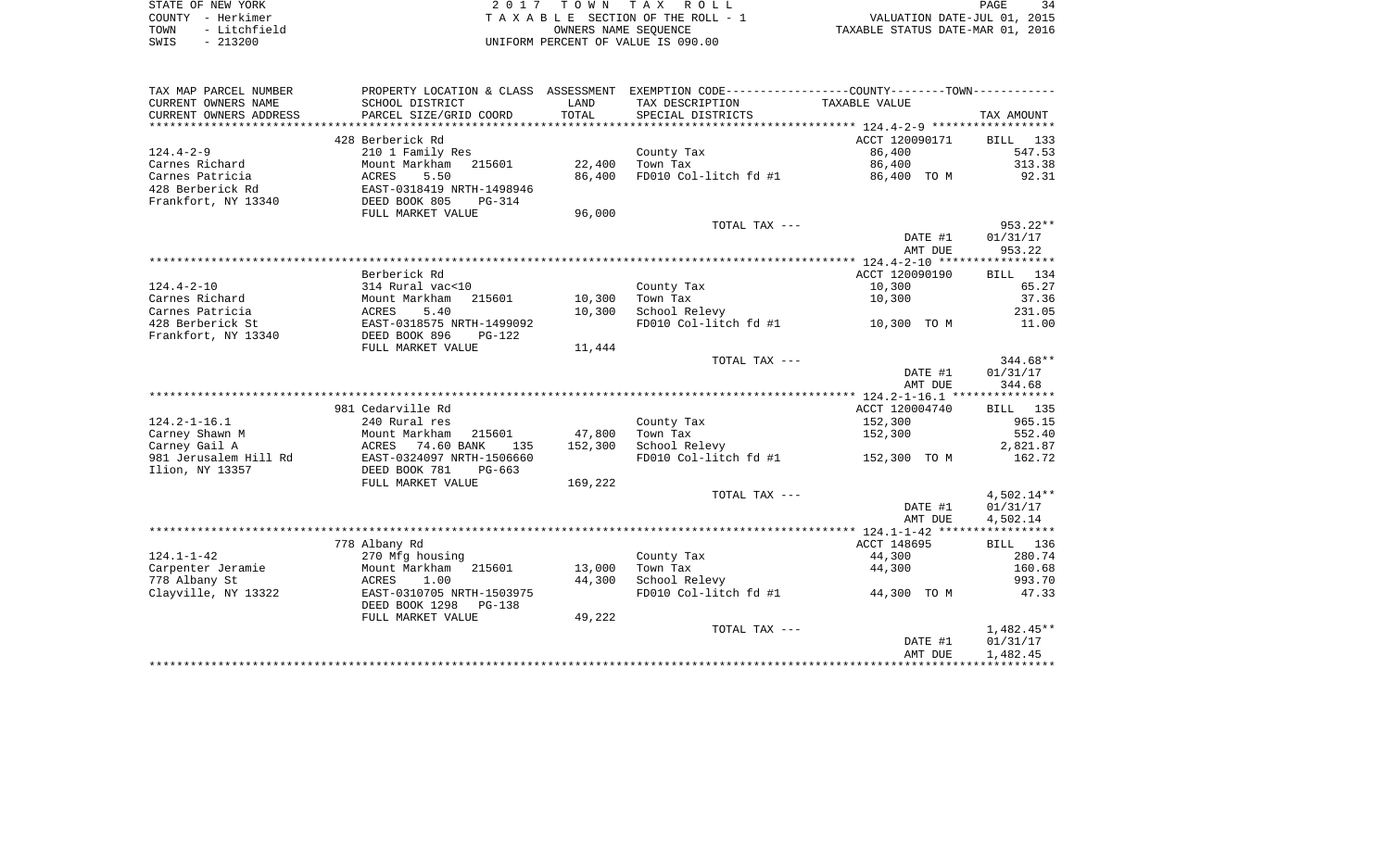| STATE OF NEW YORK |  |              |  |
|-------------------|--|--------------|--|
| COUNTY - Herkimer |  |              |  |
| TOWN              |  | - Litchfield |  |
| SWIS              |  | $-213200$    |  |

STATE OF NEW YORK 2 0 1 7 T O W N T A X R O L L PAGE 34 COUNTY - Herkimer T A X A B L E SECTION OF THE ROLL - 1 VALUATION DATE-JUL 01, 2015 TOWN - Litchfield OWNERS NAME SEQUENCE TAXABLE STATUS DATE-MAR 01, 2016 UNIFORM PERCENT OF VALUE IS 090.00

| TAX MAP PARCEL NUMBER                              | PROPERTY LOCATION & CLASS ASSESSMENT |         | EXEMPTION CODE-----------------COUNTY-------TOWN----------- |                                               |                              |
|----------------------------------------------------|--------------------------------------|---------|-------------------------------------------------------------|-----------------------------------------------|------------------------------|
| CURRENT OWNERS NAME                                | SCHOOL DISTRICT                      | LAND    | TAX DESCRIPTION                                             | TAXABLE VALUE                                 |                              |
| CURRENT OWNERS ADDRESS<br>************************ | PARCEL SIZE/GRID COORD               | TOTAL   | SPECIAL DISTRICTS                                           |                                               | TAX AMOUNT<br>*****          |
|                                                    | 428 Berberick Rd                     |         |                                                             | ACCT 120090171                                |                              |
| $124.4 - 2 - 9$                                    | 210 1 Family Res                     |         | County Tax                                                  | 86,400                                        | 133<br><b>BILL</b><br>547.53 |
| Carnes Richard                                     | Mount Markham<br>215601              | 22,400  | Town Tax                                                    | 86,400                                        | 313.38                       |
| Carnes Patricia                                    | 5.50<br>ACRES                        | 86,400  | FD010 Col-litch fd #1                                       | 86,400 TO M                                   | 92.31                        |
| 428 Berberick Rd                                   | EAST-0318419 NRTH-1498946            |         |                                                             |                                               |                              |
| Frankfort, NY 13340                                | DEED BOOK 805<br>$PG-314$            |         |                                                             |                                               |                              |
|                                                    | FULL MARKET VALUE                    | 96,000  |                                                             |                                               |                              |
|                                                    |                                      |         | TOTAL TAX ---                                               |                                               | 953.22**                     |
|                                                    |                                      |         |                                                             | DATE #1                                       | 01/31/17                     |
|                                                    |                                      |         |                                                             | AMT DUE                                       | 953.22                       |
|                                                    |                                      |         |                                                             | *************** 124.4-2-10 ****************** |                              |
|                                                    | Berberick Rd                         |         |                                                             | ACCT 120090190                                | 134<br><b>BILL</b>           |
| $124.4 - 2 - 10$                                   | 314 Rural vac<10                     |         | County Tax                                                  | 10,300                                        | 65.27                        |
| Carnes Richard                                     | Mount Markham<br>215601              | 10,300  | Town Tax                                                    | 10,300                                        | 37.36                        |
| Carnes Patricia                                    | <b>ACRES</b><br>5.40                 | 10,300  | School Relevy                                               |                                               | 231.05                       |
| 428 Berberick St                                   | EAST-0318575 NRTH-1499092            |         | FD010 Col-litch fd #1                                       | 10,300 TO M                                   | 11.00                        |
| Frankfort, NY 13340                                | DEED BOOK 896<br>PG-122              |         |                                                             |                                               |                              |
|                                                    | FULL MARKET VALUE                    | 11,444  |                                                             |                                               |                              |
|                                                    |                                      |         | TOTAL TAX ---                                               |                                               | 344.68**                     |
|                                                    |                                      |         |                                                             | DATE #1                                       | 01/31/17                     |
|                                                    |                                      |         |                                                             | AMT DUE                                       | 344.68                       |
|                                                    |                                      |         |                                                             |                                               |                              |
|                                                    | 981 Cedarville Rd                    |         |                                                             | ACCT 120004740                                | 135<br>BILL                  |
| $124.2 - 1 - 16.1$                                 | 240 Rural res                        |         | County Tax                                                  | 152,300                                       | 965.15                       |
| Carney Shawn M                                     | Mount Markham<br>215601              | 47,800  | Town Tax                                                    | 152,300                                       | 552.40                       |
| Carney Gail A                                      | ACRES<br>74.60 BANK<br>135           | 152,300 | School Relevy                                               |                                               | 2,821.87                     |
| 981 Jerusalem Hill Rd                              | EAST-0324097 NRTH-1506660            |         | FD010 Col-litch fd #1                                       | 152,300 TO M                                  | 162.72                       |
| Ilion, NY 13357                                    | DEED BOOK 781<br>$PG-663$            |         |                                                             |                                               |                              |
|                                                    | FULL MARKET VALUE                    | 169,222 |                                                             |                                               |                              |
|                                                    |                                      |         | TOTAL TAX ---                                               |                                               | 4,502.14**                   |
|                                                    |                                      |         |                                                             | DATE #1                                       | 01/31/17                     |
|                                                    |                                      |         |                                                             | AMT DUE                                       | 4,502.14                     |
|                                                    |                                      |         |                                                             |                                               |                              |
| $124.1 - 1 - 42$                                   | 778 Albany Rd<br>270 Mfg housing     |         | County Tax                                                  | ACCT 148695<br>44,300                         | 136<br><b>BILL</b><br>280.74 |
| Carpenter Jeramie                                  | 215601<br>Mount Markham              | 13,000  | Town Tax                                                    | 44,300                                        | 160.68                       |
| 778 Albany St                                      | ACRES<br>1.00                        | 44,300  | School Relevy                                               |                                               | 993.70                       |
| Clayville, NY 13322                                | EAST-0310705 NRTH-1503975            |         | FD010 Col-litch fd #1                                       | 44,300 TO M                                   | 47.33                        |
|                                                    | DEED BOOK 1298<br>$PG-138$           |         |                                                             |                                               |                              |
|                                                    | FULL MARKET VALUE                    | 49,222  |                                                             |                                               |                              |
|                                                    |                                      |         | TOTAL TAX ---                                               |                                               | 1,482.45**                   |
|                                                    |                                      |         |                                                             | DATE #1                                       | 01/31/17                     |
|                                                    |                                      |         |                                                             | AMT DUE                                       | 1,482.45                     |
|                                                    |                                      |         |                                                             |                                               |                              |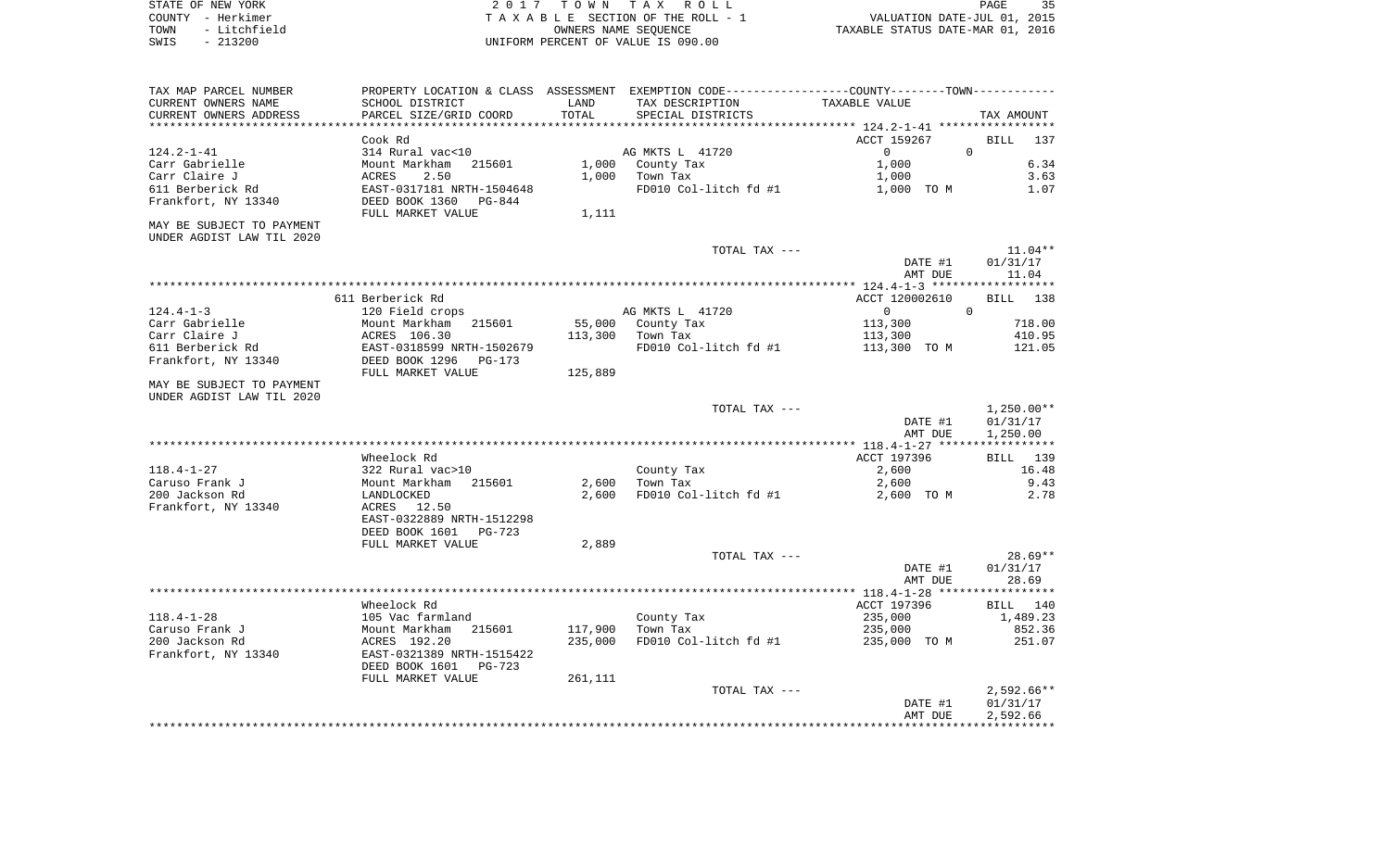| STATE OF NEW YORK |  |              |  |
|-------------------|--|--------------|--|
| COUNTY - Herkimer |  |              |  |
| TOWN              |  | - Litchfield |  |
| SWIS              |  | $-213200$    |  |

2017 TOWN TAX ROLL TA X A B L E SECTION OF THE ROLL - 1 TOWN - Litchfield OWNERS NAME SEQUENCE TAXABLE STATUS DATE-MAR 01, 2016 SWIS - 213200 UNIFORM PERCENT OF VALUE IS 090.00

| TAX MAP PARCEL NUMBER     |                            |                             | PROPERTY LOCATION & CLASS ASSESSMENT EXEMPTION CODE----------------COUNTY--------TOWN----------- |                                                 |              |
|---------------------------|----------------------------|-----------------------------|--------------------------------------------------------------------------------------------------|-------------------------------------------------|--------------|
| CURRENT OWNERS NAME       | SCHOOL DISTRICT            | LAND                        | TAX DESCRIPTION                                                                                  | TAXABLE VALUE                                   |              |
| CURRENT OWNERS ADDRESS    | PARCEL SIZE/GRID COORD     | TOTAL                       | SPECIAL DISTRICTS                                                                                |                                                 | TAX AMOUNT   |
|                           |                            | *************************** |                                                                                                  | ***************** 124.2-1-41 ****************** |              |
|                           | Cook Rd                    |                             |                                                                                                  | ACCT 159267                                     | BILL 137     |
| $124.2 - 1 - 41$          | 314 Rural vac<10           |                             | AG MKTS L 41720                                                                                  | $\Omega$                                        | $\Omega$     |
| Carr Gabrielle            | Mount Markham<br>215601    |                             | 1,000 County Tax                                                                                 | 1,000                                           | 6.34         |
| Carr Claire J             | 2.50<br>ACRES              |                             | $1,000$ Town Tax                                                                                 | 1,000                                           | 3.63         |
| 611 Berberick Rd          | EAST-0317181 NRTH-1504648  |                             | FD010 Col-litch fd #1                                                                            | 1,000 TO M                                      | 1.07         |
| Frankfort, NY 13340       | DEED BOOK 1360 PG-844      |                             |                                                                                                  |                                                 |              |
|                           | FULL MARKET VALUE          | 1,111                       |                                                                                                  |                                                 |              |
|                           |                            |                             |                                                                                                  |                                                 |              |
| MAY BE SUBJECT TO PAYMENT |                            |                             |                                                                                                  |                                                 |              |
| UNDER AGDIST LAW TIL 2020 |                            |                             |                                                                                                  |                                                 |              |
|                           |                            |                             | TOTAL TAX ---                                                                                    |                                                 | $11.04**$    |
|                           |                            |                             |                                                                                                  | DATE #1                                         | 01/31/17     |
|                           |                            |                             |                                                                                                  | AMT DUE                                         | 11.04        |
|                           |                            |                             |                                                                                                  |                                                 |              |
|                           | 611 Berberick Rd           |                             |                                                                                                  | ACCT 120002610                                  | 138<br>BILL  |
| $124.4 - 1 - 3$           | 120 Field crops            |                             | AG MKTS L 41720                                                                                  | $\Omega$                                        | $\Omega$     |
| Carr Gabrielle            | Mount Markham 215601       |                             | 55,000 County Tax                                                                                | 113,300                                         | 718.00       |
| Carr Claire J             | ACRES 106.30               | 113,300                     | Town Tax                                                                                         | 113,300                                         | 410.95       |
| 611 Berberick Rd          | EAST-0318599 NRTH-1502679  |                             | FD010 Col-litch fd #1                                                                            | 113,300 TO M                                    | 121.05       |
| Frankfort, NY 13340       | DEED BOOK 1296    PG-173   |                             |                                                                                                  |                                                 |              |
|                           | FULL MARKET VALUE          | 125,889                     |                                                                                                  |                                                 |              |
| MAY BE SUBJECT TO PAYMENT |                            |                             |                                                                                                  |                                                 |              |
| UNDER AGDIST LAW TIL 2020 |                            |                             |                                                                                                  |                                                 |              |
|                           |                            |                             | TOTAL TAX ---                                                                                    |                                                 | $1,250.00**$ |
|                           |                            |                             |                                                                                                  | DATE #1                                         | 01/31/17     |
|                           |                            |                             |                                                                                                  | AMT DUE                                         | 1,250.00     |
|                           |                            |                             |                                                                                                  |                                                 |              |
|                           | Wheelock Rd                |                             |                                                                                                  | ACCT 197396                                     | BILL 139     |
| $118.4 - 1 - 27$          | 322 Rural vac>10           |                             | County Tax                                                                                       | 2,600                                           | 16.48        |
| Caruso Frank J            | Mount Markham 215601       | 2,600                       | Town Tax                                                                                         | 2,600                                           | 9.43         |
| 200 Jackson Rd            | LANDLOCKED                 | 2,600                       | FD010 Col-litch fd #1                                                                            | 2,600 TO M                                      | 2.78         |
| Frankfort, NY 13340       | ACRES<br>12.50             |                             |                                                                                                  |                                                 |              |
|                           | EAST-0322889 NRTH-1512298  |                             |                                                                                                  |                                                 |              |
|                           | DEED BOOK 1601<br>$PG-723$ |                             |                                                                                                  |                                                 |              |
|                           | FULL MARKET VALUE          | 2,889                       |                                                                                                  |                                                 |              |
|                           |                            |                             | TOTAL TAX ---                                                                                    |                                                 | $28.69**$    |
|                           |                            |                             |                                                                                                  | DATE #1                                         | 01/31/17     |
|                           |                            |                             |                                                                                                  |                                                 |              |
|                           |                            |                             |                                                                                                  | AMT DUE                                         | 28.69        |
|                           |                            |                             |                                                                                                  |                                                 |              |
|                           | Wheelock Rd                |                             |                                                                                                  | ACCT 197396                                     | BILL 140     |
| $118.4 - 1 - 28$          | 105 Vac farmland           |                             | County Tax                                                                                       | 235,000                                         | 1,489.23     |
| Caruso Frank J            | Mount Markham 215601       | 117,900                     | Town Tax                                                                                         | 235,000                                         | 852.36       |
| 200 Jackson Rd            | ACRES 192.20               | 235,000                     | FD010 Col-litch fd #1                                                                            | 235,000 TO M                                    | 251.07       |
| Frankfort, NY 13340       | EAST-0321389 NRTH-1515422  |                             |                                                                                                  |                                                 |              |
|                           | DEED BOOK 1601<br>PG-723   |                             |                                                                                                  |                                                 |              |
|                           | FULL MARKET VALUE          | 261,111                     |                                                                                                  |                                                 |              |
|                           |                            |                             | TOTAL TAX ---                                                                                    |                                                 | $2,592.66**$ |
|                           |                            |                             |                                                                                                  | DATE #1                                         | 01/31/17     |
|                           |                            |                             |                                                                                                  | AMT DUE                                         | 2,592.66     |
|                           |                            |                             |                                                                                                  |                                                 |              |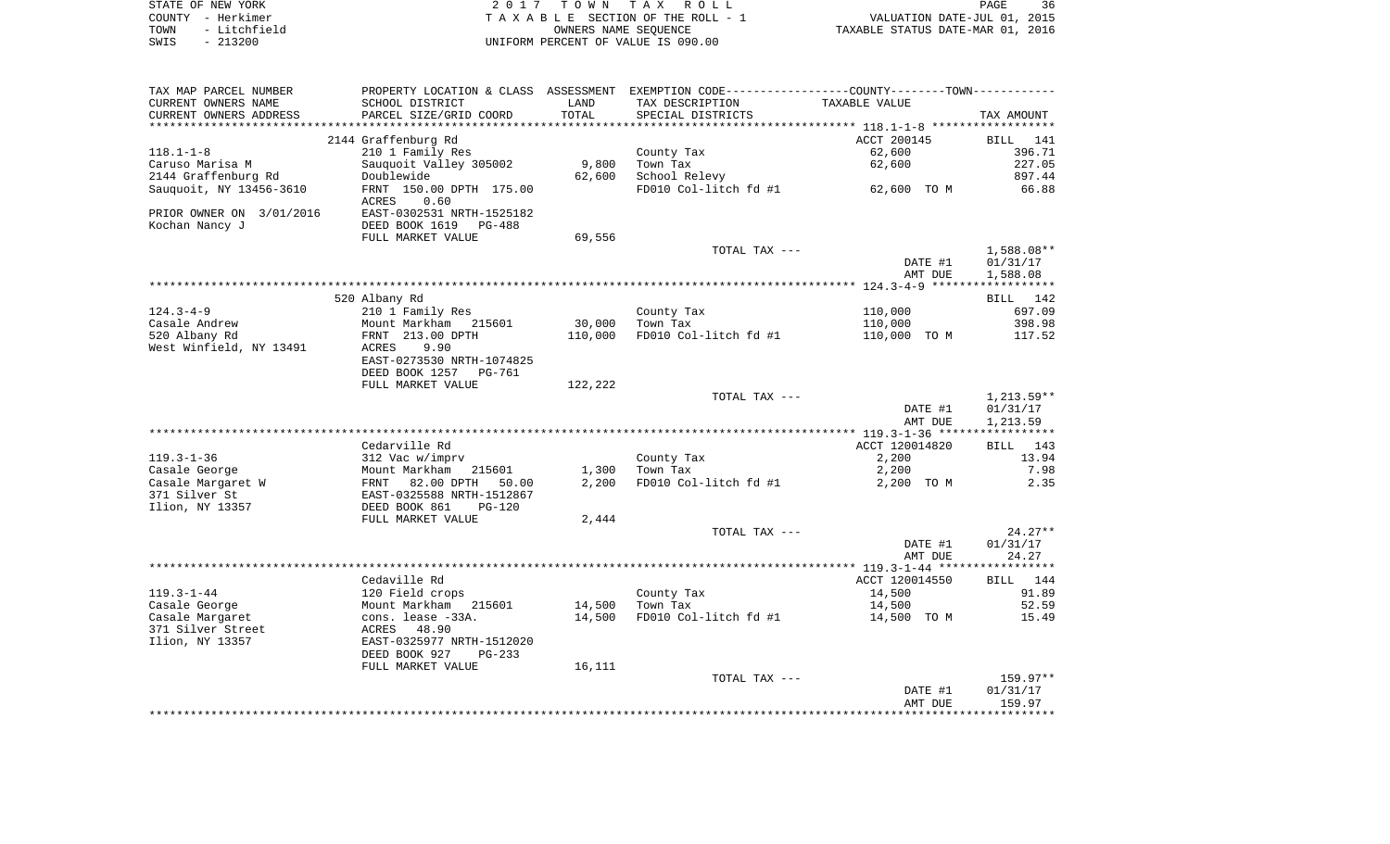| STATE OF NEW YORK    | 2017 TOWN TAX ROLL                 | PAGE                             |
|----------------------|------------------------------------|----------------------------------|
| COUNTY - Herkimer    | TAXABLE SECTION OF THE ROLL - 1    | VALUATION DATE-JUL 01, 2015      |
| - Litchfield<br>TOWN | OWNERS NAME SEOUENCE               | TAXABLE STATUS DATE-MAR 01, 2016 |
| $-213200$<br>SWIS    | UNIFORM PERCENT OF VALUE IS 090.00 |                                  |

| SCHOOL DISTRICT<br>TAX DESCRIPTION<br>TAXABLE VALUE<br>LAND<br>TOTAL<br>PARCEL SIZE/GRID COORD<br>SPECIAL DISTRICTS<br>TAX AMOUNT<br>2144 Graffenburg Rd<br>ACCT 200145<br>BILL<br>141<br>210 1 Family Res<br>62,600<br>County Tax<br>396.71<br>9,800<br>62,600<br>Sauquoit Valley 305002<br>Town Tax<br>227.05<br>2144 Graffenburg Rd<br>School Relevy<br>897.44<br>Doublewide<br>62,600<br>FD010 Col-litch fd #1<br>FRNT 150.00 DPTH 175.00<br>62,600 TO M<br>66.88<br>ACRES<br>0.60<br>EAST-0302531 NRTH-1525182<br>DEED BOOK 1619<br>Kochan Nancy J<br>$PG-488$<br>69,556<br>FULL MARKET VALUE<br>TOTAL TAX ---<br>1,588.08**<br>DATE #1<br>01/31/17<br>1,588.08<br>AMT DUE<br>520 Albany Rd<br>BILL 142<br>697.09<br>$124.3 - 4 - 9$<br>210 1 Family Res<br>County Tax<br>110,000<br>Casale Andrew<br>Mount Markham 215601<br>30,000<br>Town Tax<br>110,000<br>398.98<br>520 Albany Rd<br>FRNT 213.00 DPTH<br>FD010 Col-litch fd #1<br>110,000 TO M<br>110,000<br>117.52<br>West Winfield, NY 13491<br>9.90<br>ACRES<br>EAST-0273530 NRTH-1074825<br>DEED BOOK 1257<br>PG-761<br>FULL MARKET VALUE<br>122,222<br>$1,213.59**$<br>TOTAL TAX ---<br>DATE #1<br>01/31/17<br>AMT DUE<br>1,213.59<br>Cedarville Rd<br>ACCT 120014820<br>BILL<br>143<br>$119.3 - 1 - 36$<br>312 Vac w/imprv<br>County Tax<br>2,200<br>13.94<br>2,200<br>7.98<br>Casale George<br>Mount Markham<br>215601<br>1,300<br>Town Tax<br>2,200<br>FD010 Col-litch fd #1<br>Casale Margaret W<br>82.00 DPTH<br>50.00<br>2,200 TO M<br>2.35<br>FRNT<br>371 Silver St<br>EAST-0325588 NRTH-1512867<br>Ilion, NY 13357<br>DEED BOOK 861<br>$PG-120$<br>FULL MARKET VALUE<br>2,444<br>TOTAL TAX ---<br>$24.27**$<br>DATE #1<br>01/31/17<br>24.27<br>AMT DUE<br>Cedaville Rd<br>ACCT 120014550<br>BILL 144<br>$119.3 - 1 - 44$<br>120 Field crops<br>County Tax<br>14,500<br>91.89<br>Casale George<br>Mount Markham<br>14,500<br>Town Tax<br>14,500<br>52.59<br>215601<br>FD010 Col-litch fd #1<br>Casale Margaret<br>cons. lease -33A.<br>14,500<br>14,500 TO M<br>15.49<br>371 Silver Street<br>ACRES<br>48.90<br>EAST-0325977 NRTH-1512020<br>DEED BOOK 927<br>$PG-233$<br>FULL MARKET VALUE<br>16,111<br>TOTAL TAX ---<br>159.97**<br>DATE #1<br>01/31/17<br>159.97<br>AMT DUE | TAX MAP PARCEL NUMBER    | PROPERTY LOCATION & CLASS ASSESSMENT EXEMPTION CODE---------------COUNTY-------TOWN---------- |  |  |
|------------------------------------------------------------------------------------------------------------------------------------------------------------------------------------------------------------------------------------------------------------------------------------------------------------------------------------------------------------------------------------------------------------------------------------------------------------------------------------------------------------------------------------------------------------------------------------------------------------------------------------------------------------------------------------------------------------------------------------------------------------------------------------------------------------------------------------------------------------------------------------------------------------------------------------------------------------------------------------------------------------------------------------------------------------------------------------------------------------------------------------------------------------------------------------------------------------------------------------------------------------------------------------------------------------------------------------------------------------------------------------------------------------------------------------------------------------------------------------------------------------------------------------------------------------------------------------------------------------------------------------------------------------------------------------------------------------------------------------------------------------------------------------------------------------------------------------------------------------------------------------------------------------------------------------------------------------------------------------------------------------------------------------------------------------------------------------------------------------------------------------------------------------------------------------------------------------------------------------------------------|--------------------------|-----------------------------------------------------------------------------------------------|--|--|
|                                                                                                                                                                                                                                                                                                                                                                                                                                                                                                                                                                                                                                                                                                                                                                                                                                                                                                                                                                                                                                                                                                                                                                                                                                                                                                                                                                                                                                                                                                                                                                                                                                                                                                                                                                                                                                                                                                                                                                                                                                                                                                                                                                                                                                                      | CURRENT OWNERS NAME      |                                                                                               |  |  |
|                                                                                                                                                                                                                                                                                                                                                                                                                                                                                                                                                                                                                                                                                                                                                                                                                                                                                                                                                                                                                                                                                                                                                                                                                                                                                                                                                                                                                                                                                                                                                                                                                                                                                                                                                                                                                                                                                                                                                                                                                                                                                                                                                                                                                                                      | CURRENT OWNERS ADDRESS   |                                                                                               |  |  |
|                                                                                                                                                                                                                                                                                                                                                                                                                                                                                                                                                                                                                                                                                                                                                                                                                                                                                                                                                                                                                                                                                                                                                                                                                                                                                                                                                                                                                                                                                                                                                                                                                                                                                                                                                                                                                                                                                                                                                                                                                                                                                                                                                                                                                                                      |                          |                                                                                               |  |  |
|                                                                                                                                                                                                                                                                                                                                                                                                                                                                                                                                                                                                                                                                                                                                                                                                                                                                                                                                                                                                                                                                                                                                                                                                                                                                                                                                                                                                                                                                                                                                                                                                                                                                                                                                                                                                                                                                                                                                                                                                                                                                                                                                                                                                                                                      |                          |                                                                                               |  |  |
|                                                                                                                                                                                                                                                                                                                                                                                                                                                                                                                                                                                                                                                                                                                                                                                                                                                                                                                                                                                                                                                                                                                                                                                                                                                                                                                                                                                                                                                                                                                                                                                                                                                                                                                                                                                                                                                                                                                                                                                                                                                                                                                                                                                                                                                      | $118.1 - 1 - 8$          |                                                                                               |  |  |
|                                                                                                                                                                                                                                                                                                                                                                                                                                                                                                                                                                                                                                                                                                                                                                                                                                                                                                                                                                                                                                                                                                                                                                                                                                                                                                                                                                                                                                                                                                                                                                                                                                                                                                                                                                                                                                                                                                                                                                                                                                                                                                                                                                                                                                                      | Caruso Marisa M          |                                                                                               |  |  |
|                                                                                                                                                                                                                                                                                                                                                                                                                                                                                                                                                                                                                                                                                                                                                                                                                                                                                                                                                                                                                                                                                                                                                                                                                                                                                                                                                                                                                                                                                                                                                                                                                                                                                                                                                                                                                                                                                                                                                                                                                                                                                                                                                                                                                                                      |                          |                                                                                               |  |  |
|                                                                                                                                                                                                                                                                                                                                                                                                                                                                                                                                                                                                                                                                                                                                                                                                                                                                                                                                                                                                                                                                                                                                                                                                                                                                                                                                                                                                                                                                                                                                                                                                                                                                                                                                                                                                                                                                                                                                                                                                                                                                                                                                                                                                                                                      | Sauquoit, NY 13456-3610  |                                                                                               |  |  |
|                                                                                                                                                                                                                                                                                                                                                                                                                                                                                                                                                                                                                                                                                                                                                                                                                                                                                                                                                                                                                                                                                                                                                                                                                                                                                                                                                                                                                                                                                                                                                                                                                                                                                                                                                                                                                                                                                                                                                                                                                                                                                                                                                                                                                                                      |                          |                                                                                               |  |  |
|                                                                                                                                                                                                                                                                                                                                                                                                                                                                                                                                                                                                                                                                                                                                                                                                                                                                                                                                                                                                                                                                                                                                                                                                                                                                                                                                                                                                                                                                                                                                                                                                                                                                                                                                                                                                                                                                                                                                                                                                                                                                                                                                                                                                                                                      | PRIOR OWNER ON 3/01/2016 |                                                                                               |  |  |
|                                                                                                                                                                                                                                                                                                                                                                                                                                                                                                                                                                                                                                                                                                                                                                                                                                                                                                                                                                                                                                                                                                                                                                                                                                                                                                                                                                                                                                                                                                                                                                                                                                                                                                                                                                                                                                                                                                                                                                                                                                                                                                                                                                                                                                                      |                          |                                                                                               |  |  |
|                                                                                                                                                                                                                                                                                                                                                                                                                                                                                                                                                                                                                                                                                                                                                                                                                                                                                                                                                                                                                                                                                                                                                                                                                                                                                                                                                                                                                                                                                                                                                                                                                                                                                                                                                                                                                                                                                                                                                                                                                                                                                                                                                                                                                                                      |                          |                                                                                               |  |  |
|                                                                                                                                                                                                                                                                                                                                                                                                                                                                                                                                                                                                                                                                                                                                                                                                                                                                                                                                                                                                                                                                                                                                                                                                                                                                                                                                                                                                                                                                                                                                                                                                                                                                                                                                                                                                                                                                                                                                                                                                                                                                                                                                                                                                                                                      |                          |                                                                                               |  |  |
|                                                                                                                                                                                                                                                                                                                                                                                                                                                                                                                                                                                                                                                                                                                                                                                                                                                                                                                                                                                                                                                                                                                                                                                                                                                                                                                                                                                                                                                                                                                                                                                                                                                                                                                                                                                                                                                                                                                                                                                                                                                                                                                                                                                                                                                      |                          |                                                                                               |  |  |
|                                                                                                                                                                                                                                                                                                                                                                                                                                                                                                                                                                                                                                                                                                                                                                                                                                                                                                                                                                                                                                                                                                                                                                                                                                                                                                                                                                                                                                                                                                                                                                                                                                                                                                                                                                                                                                                                                                                                                                                                                                                                                                                                                                                                                                                      |                          |                                                                                               |  |  |
|                                                                                                                                                                                                                                                                                                                                                                                                                                                                                                                                                                                                                                                                                                                                                                                                                                                                                                                                                                                                                                                                                                                                                                                                                                                                                                                                                                                                                                                                                                                                                                                                                                                                                                                                                                                                                                                                                                                                                                                                                                                                                                                                                                                                                                                      |                          |                                                                                               |  |  |
|                                                                                                                                                                                                                                                                                                                                                                                                                                                                                                                                                                                                                                                                                                                                                                                                                                                                                                                                                                                                                                                                                                                                                                                                                                                                                                                                                                                                                                                                                                                                                                                                                                                                                                                                                                                                                                                                                                                                                                                                                                                                                                                                                                                                                                                      |                          |                                                                                               |  |  |
|                                                                                                                                                                                                                                                                                                                                                                                                                                                                                                                                                                                                                                                                                                                                                                                                                                                                                                                                                                                                                                                                                                                                                                                                                                                                                                                                                                                                                                                                                                                                                                                                                                                                                                                                                                                                                                                                                                                                                                                                                                                                                                                                                                                                                                                      |                          |                                                                                               |  |  |
|                                                                                                                                                                                                                                                                                                                                                                                                                                                                                                                                                                                                                                                                                                                                                                                                                                                                                                                                                                                                                                                                                                                                                                                                                                                                                                                                                                                                                                                                                                                                                                                                                                                                                                                                                                                                                                                                                                                                                                                                                                                                                                                                                                                                                                                      |                          |                                                                                               |  |  |
|                                                                                                                                                                                                                                                                                                                                                                                                                                                                                                                                                                                                                                                                                                                                                                                                                                                                                                                                                                                                                                                                                                                                                                                                                                                                                                                                                                                                                                                                                                                                                                                                                                                                                                                                                                                                                                                                                                                                                                                                                                                                                                                                                                                                                                                      |                          |                                                                                               |  |  |
|                                                                                                                                                                                                                                                                                                                                                                                                                                                                                                                                                                                                                                                                                                                                                                                                                                                                                                                                                                                                                                                                                                                                                                                                                                                                                                                                                                                                                                                                                                                                                                                                                                                                                                                                                                                                                                                                                                                                                                                                                                                                                                                                                                                                                                                      |                          |                                                                                               |  |  |
|                                                                                                                                                                                                                                                                                                                                                                                                                                                                                                                                                                                                                                                                                                                                                                                                                                                                                                                                                                                                                                                                                                                                                                                                                                                                                                                                                                                                                                                                                                                                                                                                                                                                                                                                                                                                                                                                                                                                                                                                                                                                                                                                                                                                                                                      |                          |                                                                                               |  |  |
|                                                                                                                                                                                                                                                                                                                                                                                                                                                                                                                                                                                                                                                                                                                                                                                                                                                                                                                                                                                                                                                                                                                                                                                                                                                                                                                                                                                                                                                                                                                                                                                                                                                                                                                                                                                                                                                                                                                                                                                                                                                                                                                                                                                                                                                      |                          |                                                                                               |  |  |
|                                                                                                                                                                                                                                                                                                                                                                                                                                                                                                                                                                                                                                                                                                                                                                                                                                                                                                                                                                                                                                                                                                                                                                                                                                                                                                                                                                                                                                                                                                                                                                                                                                                                                                                                                                                                                                                                                                                                                                                                                                                                                                                                                                                                                                                      |                          |                                                                                               |  |  |
|                                                                                                                                                                                                                                                                                                                                                                                                                                                                                                                                                                                                                                                                                                                                                                                                                                                                                                                                                                                                                                                                                                                                                                                                                                                                                                                                                                                                                                                                                                                                                                                                                                                                                                                                                                                                                                                                                                                                                                                                                                                                                                                                                                                                                                                      |                          |                                                                                               |  |  |
|                                                                                                                                                                                                                                                                                                                                                                                                                                                                                                                                                                                                                                                                                                                                                                                                                                                                                                                                                                                                                                                                                                                                                                                                                                                                                                                                                                                                                                                                                                                                                                                                                                                                                                                                                                                                                                                                                                                                                                                                                                                                                                                                                                                                                                                      |                          |                                                                                               |  |  |
|                                                                                                                                                                                                                                                                                                                                                                                                                                                                                                                                                                                                                                                                                                                                                                                                                                                                                                                                                                                                                                                                                                                                                                                                                                                                                                                                                                                                                                                                                                                                                                                                                                                                                                                                                                                                                                                                                                                                                                                                                                                                                                                                                                                                                                                      |                          |                                                                                               |  |  |
|                                                                                                                                                                                                                                                                                                                                                                                                                                                                                                                                                                                                                                                                                                                                                                                                                                                                                                                                                                                                                                                                                                                                                                                                                                                                                                                                                                                                                                                                                                                                                                                                                                                                                                                                                                                                                                                                                                                                                                                                                                                                                                                                                                                                                                                      |                          |                                                                                               |  |  |
|                                                                                                                                                                                                                                                                                                                                                                                                                                                                                                                                                                                                                                                                                                                                                                                                                                                                                                                                                                                                                                                                                                                                                                                                                                                                                                                                                                                                                                                                                                                                                                                                                                                                                                                                                                                                                                                                                                                                                                                                                                                                                                                                                                                                                                                      |                          |                                                                                               |  |  |
|                                                                                                                                                                                                                                                                                                                                                                                                                                                                                                                                                                                                                                                                                                                                                                                                                                                                                                                                                                                                                                                                                                                                                                                                                                                                                                                                                                                                                                                                                                                                                                                                                                                                                                                                                                                                                                                                                                                                                                                                                                                                                                                                                                                                                                                      |                          |                                                                                               |  |  |
|                                                                                                                                                                                                                                                                                                                                                                                                                                                                                                                                                                                                                                                                                                                                                                                                                                                                                                                                                                                                                                                                                                                                                                                                                                                                                                                                                                                                                                                                                                                                                                                                                                                                                                                                                                                                                                                                                                                                                                                                                                                                                                                                                                                                                                                      |                          |                                                                                               |  |  |
|                                                                                                                                                                                                                                                                                                                                                                                                                                                                                                                                                                                                                                                                                                                                                                                                                                                                                                                                                                                                                                                                                                                                                                                                                                                                                                                                                                                                                                                                                                                                                                                                                                                                                                                                                                                                                                                                                                                                                                                                                                                                                                                                                                                                                                                      |                          |                                                                                               |  |  |
|                                                                                                                                                                                                                                                                                                                                                                                                                                                                                                                                                                                                                                                                                                                                                                                                                                                                                                                                                                                                                                                                                                                                                                                                                                                                                                                                                                                                                                                                                                                                                                                                                                                                                                                                                                                                                                                                                                                                                                                                                                                                                                                                                                                                                                                      |                          |                                                                                               |  |  |
|                                                                                                                                                                                                                                                                                                                                                                                                                                                                                                                                                                                                                                                                                                                                                                                                                                                                                                                                                                                                                                                                                                                                                                                                                                                                                                                                                                                                                                                                                                                                                                                                                                                                                                                                                                                                                                                                                                                                                                                                                                                                                                                                                                                                                                                      |                          |                                                                                               |  |  |
|                                                                                                                                                                                                                                                                                                                                                                                                                                                                                                                                                                                                                                                                                                                                                                                                                                                                                                                                                                                                                                                                                                                                                                                                                                                                                                                                                                                                                                                                                                                                                                                                                                                                                                                                                                                                                                                                                                                                                                                                                                                                                                                                                                                                                                                      |                          |                                                                                               |  |  |
|                                                                                                                                                                                                                                                                                                                                                                                                                                                                                                                                                                                                                                                                                                                                                                                                                                                                                                                                                                                                                                                                                                                                                                                                                                                                                                                                                                                                                                                                                                                                                                                                                                                                                                                                                                                                                                                                                                                                                                                                                                                                                                                                                                                                                                                      |                          |                                                                                               |  |  |
|                                                                                                                                                                                                                                                                                                                                                                                                                                                                                                                                                                                                                                                                                                                                                                                                                                                                                                                                                                                                                                                                                                                                                                                                                                                                                                                                                                                                                                                                                                                                                                                                                                                                                                                                                                                                                                                                                                                                                                                                                                                                                                                                                                                                                                                      |                          |                                                                                               |  |  |
|                                                                                                                                                                                                                                                                                                                                                                                                                                                                                                                                                                                                                                                                                                                                                                                                                                                                                                                                                                                                                                                                                                                                                                                                                                                                                                                                                                                                                                                                                                                                                                                                                                                                                                                                                                                                                                                                                                                                                                                                                                                                                                                                                                                                                                                      |                          |                                                                                               |  |  |
|                                                                                                                                                                                                                                                                                                                                                                                                                                                                                                                                                                                                                                                                                                                                                                                                                                                                                                                                                                                                                                                                                                                                                                                                                                                                                                                                                                                                                                                                                                                                                                                                                                                                                                                                                                                                                                                                                                                                                                                                                                                                                                                                                                                                                                                      |                          |                                                                                               |  |  |
|                                                                                                                                                                                                                                                                                                                                                                                                                                                                                                                                                                                                                                                                                                                                                                                                                                                                                                                                                                                                                                                                                                                                                                                                                                                                                                                                                                                                                                                                                                                                                                                                                                                                                                                                                                                                                                                                                                                                                                                                                                                                                                                                                                                                                                                      |                          |                                                                                               |  |  |
|                                                                                                                                                                                                                                                                                                                                                                                                                                                                                                                                                                                                                                                                                                                                                                                                                                                                                                                                                                                                                                                                                                                                                                                                                                                                                                                                                                                                                                                                                                                                                                                                                                                                                                                                                                                                                                                                                                                                                                                                                                                                                                                                                                                                                                                      |                          |                                                                                               |  |  |
|                                                                                                                                                                                                                                                                                                                                                                                                                                                                                                                                                                                                                                                                                                                                                                                                                                                                                                                                                                                                                                                                                                                                                                                                                                                                                                                                                                                                                                                                                                                                                                                                                                                                                                                                                                                                                                                                                                                                                                                                                                                                                                                                                                                                                                                      |                          |                                                                                               |  |  |
|                                                                                                                                                                                                                                                                                                                                                                                                                                                                                                                                                                                                                                                                                                                                                                                                                                                                                                                                                                                                                                                                                                                                                                                                                                                                                                                                                                                                                                                                                                                                                                                                                                                                                                                                                                                                                                                                                                                                                                                                                                                                                                                                                                                                                                                      |                          |                                                                                               |  |  |
|                                                                                                                                                                                                                                                                                                                                                                                                                                                                                                                                                                                                                                                                                                                                                                                                                                                                                                                                                                                                                                                                                                                                                                                                                                                                                                                                                                                                                                                                                                                                                                                                                                                                                                                                                                                                                                                                                                                                                                                                                                                                                                                                                                                                                                                      |                          |                                                                                               |  |  |
|                                                                                                                                                                                                                                                                                                                                                                                                                                                                                                                                                                                                                                                                                                                                                                                                                                                                                                                                                                                                                                                                                                                                                                                                                                                                                                                                                                                                                                                                                                                                                                                                                                                                                                                                                                                                                                                                                                                                                                                                                                                                                                                                                                                                                                                      |                          |                                                                                               |  |  |
|                                                                                                                                                                                                                                                                                                                                                                                                                                                                                                                                                                                                                                                                                                                                                                                                                                                                                                                                                                                                                                                                                                                                                                                                                                                                                                                                                                                                                                                                                                                                                                                                                                                                                                                                                                                                                                                                                                                                                                                                                                                                                                                                                                                                                                                      | Ilion, NY 13357          |                                                                                               |  |  |
|                                                                                                                                                                                                                                                                                                                                                                                                                                                                                                                                                                                                                                                                                                                                                                                                                                                                                                                                                                                                                                                                                                                                                                                                                                                                                                                                                                                                                                                                                                                                                                                                                                                                                                                                                                                                                                                                                                                                                                                                                                                                                                                                                                                                                                                      |                          |                                                                                               |  |  |
|                                                                                                                                                                                                                                                                                                                                                                                                                                                                                                                                                                                                                                                                                                                                                                                                                                                                                                                                                                                                                                                                                                                                                                                                                                                                                                                                                                                                                                                                                                                                                                                                                                                                                                                                                                                                                                                                                                                                                                                                                                                                                                                                                                                                                                                      |                          |                                                                                               |  |  |
|                                                                                                                                                                                                                                                                                                                                                                                                                                                                                                                                                                                                                                                                                                                                                                                                                                                                                                                                                                                                                                                                                                                                                                                                                                                                                                                                                                                                                                                                                                                                                                                                                                                                                                                                                                                                                                                                                                                                                                                                                                                                                                                                                                                                                                                      |                          |                                                                                               |  |  |
|                                                                                                                                                                                                                                                                                                                                                                                                                                                                                                                                                                                                                                                                                                                                                                                                                                                                                                                                                                                                                                                                                                                                                                                                                                                                                                                                                                                                                                                                                                                                                                                                                                                                                                                                                                                                                                                                                                                                                                                                                                                                                                                                                                                                                                                      |                          |                                                                                               |  |  |
|                                                                                                                                                                                                                                                                                                                                                                                                                                                                                                                                                                                                                                                                                                                                                                                                                                                                                                                                                                                                                                                                                                                                                                                                                                                                                                                                                                                                                                                                                                                                                                                                                                                                                                                                                                                                                                                                                                                                                                                                                                                                                                                                                                                                                                                      |                          |                                                                                               |  |  |
|                                                                                                                                                                                                                                                                                                                                                                                                                                                                                                                                                                                                                                                                                                                                                                                                                                                                                                                                                                                                                                                                                                                                                                                                                                                                                                                                                                                                                                                                                                                                                                                                                                                                                                                                                                                                                                                                                                                                                                                                                                                                                                                                                                                                                                                      |                          |                                                                                               |  |  |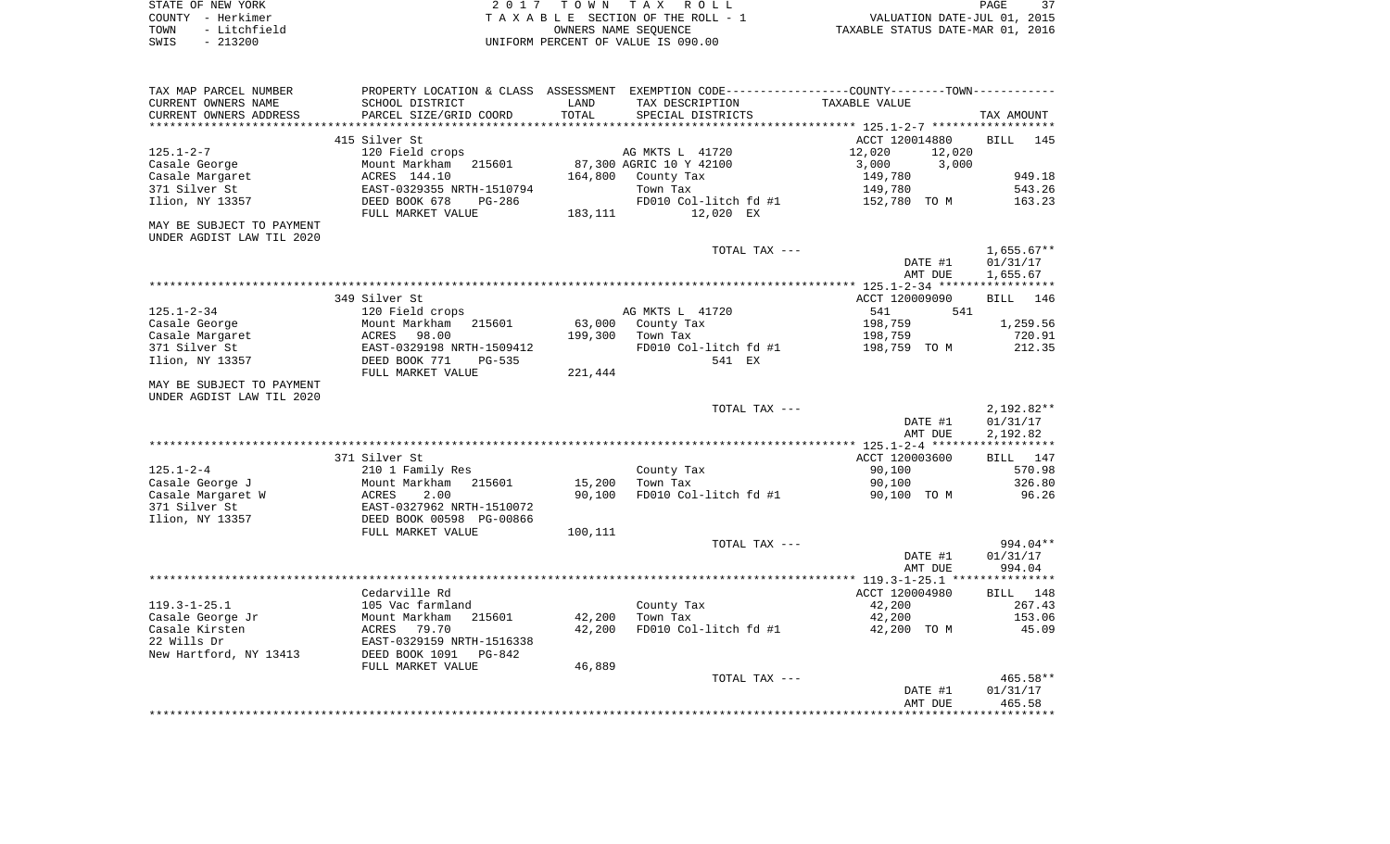|      | STATE OF NEW YORK | 2017 TOWN TAX ROLL                 | 37<br>PAGE                       |  |
|------|-------------------|------------------------------------|----------------------------------|--|
|      | COUNTY - Herkimer | TAXABLE SECTION OF THE ROLL - 1    | VALUATION DATE-JUL 01, 2015      |  |
| TOWN | - Litchfield      | OWNERS NAME SEOUENCE               | TAXABLE STATUS DATE-MAR 01, 2016 |  |
| SWIS | $-213200$         | UNIFORM PERCENT OF VALUE IS 090.00 |                                  |  |

| TAX MAP PARCEL NUMBER<br>CURRENT OWNERS NAME           | SCHOOL DISTRICT                                                             | LAND      | TAX DESCRIPTION                                          | PROPERTY LOCATION & CLASS ASSESSMENT EXEMPTION CODE---------------COUNTY-------TOWN----------<br>TAXABLE VALUE |                              |
|--------------------------------------------------------|-----------------------------------------------------------------------------|-----------|----------------------------------------------------------|----------------------------------------------------------------------------------------------------------------|------------------------------|
| CURRENT OWNERS ADDRESS                                 | PARCEL SIZE/GRID COORD                                                      | TOTAL     | SPECIAL DISTRICTS                                        |                                                                                                                | TAX AMOUNT                   |
|                                                        |                                                                             | ********* |                                                          | ******************************** 125.1-2-7 *******************                                                 |                              |
| $125.1 - 2 - 7$<br>Casale George<br>Casale Margaret    | 415 Silver St<br>120 Field crops<br>Mount Markham<br>215601<br>ACRES 144.10 | 164,800   | AG MKTS L 41720<br>87,300 AGRIC 10 Y 42100<br>County Tax | ACCT 120014880<br>12,020<br>12,020<br>3,000<br>3,000<br>149,780                                                | <b>BILL</b><br>145<br>949.18 |
| 371 Silver St<br>Ilion, NY 13357                       | EAST-0329355 NRTH-1510794<br>DEED BOOK 678<br>PG-286<br>FULL MARKET VALUE   | 183,111   | Town Tax<br>FD010 Col-litch fd #1<br>12,020 EX           | 149,780<br>152,780 TO M                                                                                        | 543.26<br>163.23             |
| MAY BE SUBJECT TO PAYMENT<br>UNDER AGDIST LAW TIL 2020 |                                                                             |           |                                                          |                                                                                                                |                              |
|                                                        |                                                                             |           | TOTAL TAX ---                                            |                                                                                                                | $1,655.67**$                 |
|                                                        |                                                                             |           |                                                          | DATE #1                                                                                                        | 01/31/17                     |
|                                                        |                                                                             |           |                                                          | AMT DUE                                                                                                        | 1,655.67                     |
|                                                        |                                                                             |           |                                                          |                                                                                                                |                              |
|                                                        | 349 Silver St                                                               |           |                                                          | ACCT 120009090                                                                                                 | <b>BILL</b><br>146           |
| $125.1 - 2 - 34$                                       | 120 Field crops                                                             |           | AG MKTS L 41720                                          | 541<br>541                                                                                                     |                              |
| Casale George                                          | Mount Markham<br>215601                                                     | 63,000    | County Tax                                               | 198,759                                                                                                        | 1,259.56                     |
| Casale Margaret                                        | 98.00<br>ACRES                                                              | 199,300   | Town Tax                                                 | 198,759                                                                                                        | 720.91                       |
| 371 Silver St                                          | EAST-0329198 NRTH-1509412                                                   |           | FD010 Col-litch fd #1                                    | 198,759 TO M                                                                                                   | 212.35                       |
| Ilion, NY 13357                                        | DEED BOOK 771<br><b>PG-535</b>                                              |           | 541 EX                                                   |                                                                                                                |                              |
|                                                        | FULL MARKET VALUE                                                           | 221,444   |                                                          |                                                                                                                |                              |
| MAY BE SUBJECT TO PAYMENT<br>UNDER AGDIST LAW TIL 2020 |                                                                             |           |                                                          |                                                                                                                |                              |
|                                                        |                                                                             |           | TOTAL TAX ---                                            |                                                                                                                | $2,192.82**$                 |
|                                                        |                                                                             |           |                                                          |                                                                                                                |                              |
|                                                        |                                                                             |           |                                                          | DATE #1<br>AMT DUE                                                                                             | 01/31/17<br>2,192.82         |
|                                                        |                                                                             |           |                                                          |                                                                                                                |                              |
|                                                        | 371 Silver St                                                               |           |                                                          | ACCT 120003600                                                                                                 | BILL 147                     |
| $125.1 - 2 - 4$                                        | 210 1 Family Res                                                            |           | County Tax                                               | 90,100                                                                                                         | 570.98                       |
| Casale George J                                        | Mount Markham<br>215601                                                     | 15,200    | Town Tax                                                 | 90,100                                                                                                         | 326.80                       |
| Casale Margaret W                                      | 2.00<br>ACRES                                                               | 90,100    | FD010 Col-litch fd #1                                    | 90,100 TO M                                                                                                    | 96.26                        |
| 371 Silver St                                          | EAST-0327962 NRTH-1510072                                                   |           |                                                          |                                                                                                                |                              |
| Ilion, NY 13357                                        | DEED BOOK 00598 PG-00866                                                    |           |                                                          |                                                                                                                |                              |
|                                                        | FULL MARKET VALUE                                                           | 100,111   |                                                          |                                                                                                                |                              |
|                                                        |                                                                             |           | TOTAL TAX ---                                            |                                                                                                                | 994.04**                     |
|                                                        |                                                                             |           |                                                          | DATE #1                                                                                                        | 01/31/17                     |
|                                                        |                                                                             |           |                                                          | AMT DUE                                                                                                        | 994.04                       |
|                                                        |                                                                             |           |                                                          |                                                                                                                |                              |
|                                                        | Cedarville Rd                                                               |           |                                                          | ACCT 120004980                                                                                                 | BILL 148                     |
| $119.3 - 1 - 25.1$                                     | 105 Vac farmland                                                            |           | County Tax                                               | 42,200                                                                                                         | 267.43                       |
| Casale George Jr                                       | Mount Markham<br>215601                                                     | 42,200    | Town Tax                                                 | 42,200                                                                                                         | 153.06                       |
| Casale Kirsten                                         | 79.70<br>ACRES                                                              | 42,200    | FD010 Col-litch fd #1                                    | 42,200 TO M                                                                                                    | 45.09                        |
| 22 Wills Dr                                            | EAST-0329159 NRTH-1516338                                                   |           |                                                          |                                                                                                                |                              |
| New Hartford, NY 13413                                 | DEED BOOK 1091<br>$PG-842$                                                  |           |                                                          |                                                                                                                |                              |
|                                                        | FULL MARKET VALUE                                                           | 46,889    |                                                          |                                                                                                                |                              |
|                                                        |                                                                             |           | TOTAL TAX ---                                            |                                                                                                                | 465.58**                     |
|                                                        |                                                                             |           |                                                          | DATE #1<br>AMT DUE                                                                                             | 01/31/17<br>465.58           |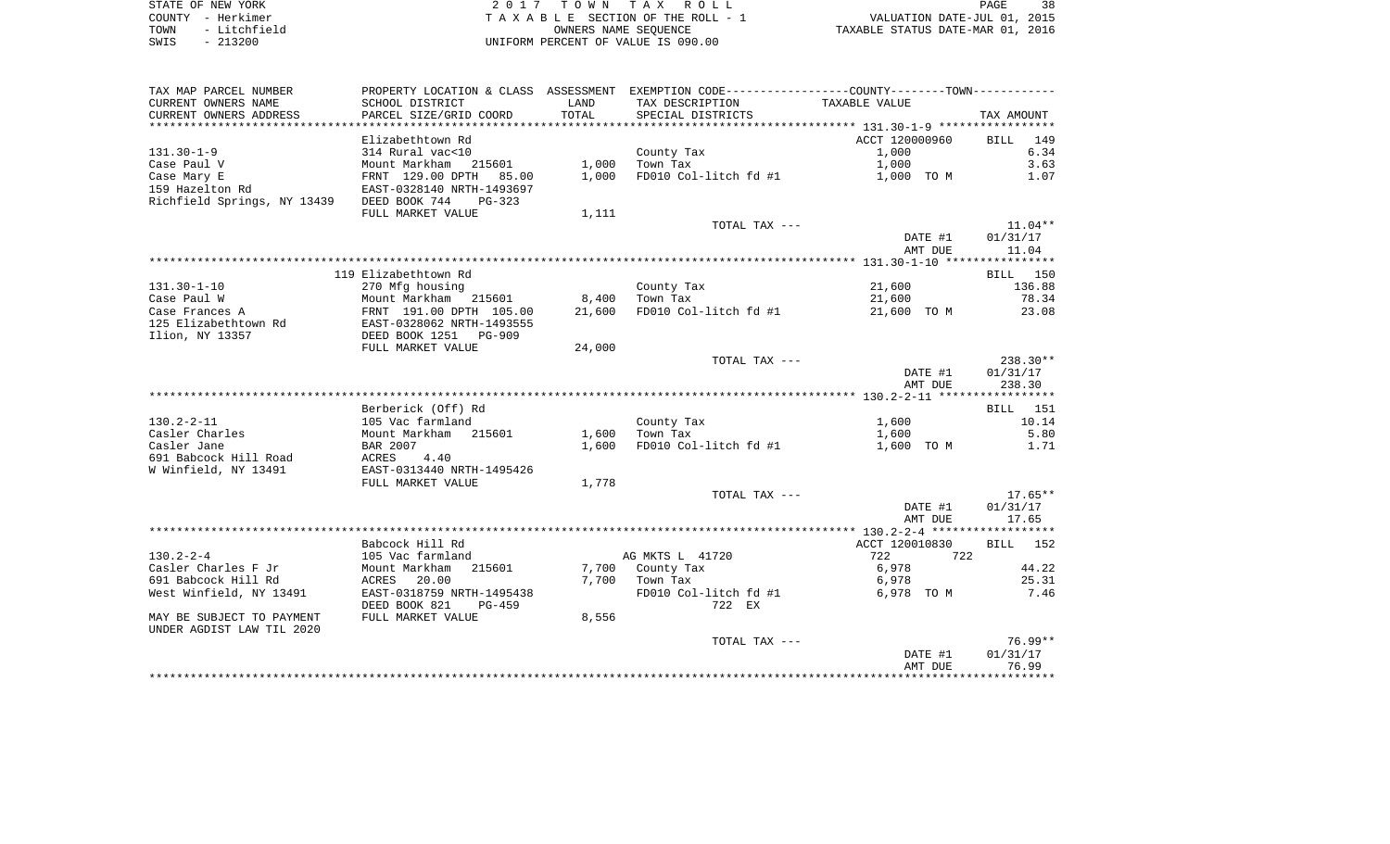| STATE OF NEW YORK |  |              |  |
|-------------------|--|--------------|--|
| COUNTY            |  | - Herkimer   |  |
| TOWN              |  | - Litchfield |  |
| SWIS              |  | $-213200$    |  |

STATE OF NEW YORK 2 0 1 7 T O W N T A X R O L L PAGE 38 COUNTY - Herkimer T A X A B L E SECTION OF THE ROLL - 1 VALUATION DATE-JUL 01, 2015 TOWN - Litchfield OWNERS NAME SEQUENCE TAXABLE STATUS DATE-MAR 01, 2016 UNIFORM PERCENT OF VALUE IS 090.00

| TAX MAP PARCEL NUMBER       | PROPERTY LOCATION & CLASS ASSESSMENT |        | EXEMPTION CODE-----------------COUNTY-------TOWN----------- |                |                    |
|-----------------------------|--------------------------------------|--------|-------------------------------------------------------------|----------------|--------------------|
| CURRENT OWNERS NAME         | SCHOOL DISTRICT                      | LAND   | TAX DESCRIPTION                                             | TAXABLE VALUE  |                    |
| CURRENT OWNERS ADDRESS      | PARCEL SIZE/GRID COORD               | TOTAL  | SPECIAL DISTRICTS                                           |                | TAX AMOUNT         |
|                             |                                      |        |                                                             |                |                    |
|                             | Elizabethtown Rd                     |        |                                                             | ACCT 120000960 | 149<br><b>BILL</b> |
| $131.30 - 1 - 9$            | 314 Rural vac<10                     |        | County Tax                                                  | 1,000          | 6.34               |
| Case Paul V                 | Mount Markham<br>215601              | 1,000  | Town Tax                                                    | 1,000          | 3.63               |
| Case Mary E                 | FRNT 129.00 DPTH<br>85.00            | 1,000  | FD010 Col-litch fd #1                                       | 1,000 TO M     | 1.07               |
| 159 Hazelton Rd             | EAST-0328140 NRTH-1493697            |        |                                                             |                |                    |
| Richfield Springs, NY 13439 | DEED BOOK 744<br>$PG-323$            |        |                                                             |                |                    |
|                             | FULL MARKET VALUE                    | 1,111  |                                                             |                |                    |
|                             |                                      |        | TOTAL TAX ---                                               |                | $11.04**$          |
|                             |                                      |        |                                                             | DATE #1        | 01/31/17           |
|                             |                                      |        |                                                             | AMT DUE        | 11.04              |
|                             |                                      |        |                                                             |                |                    |
|                             | 119 Elizabethtown Rd                 |        |                                                             |                | BILL 150           |
| $131.30 - 1 - 10$           | 270 Mfg housing                      |        | County Tax                                                  | 21,600         | 136.88             |
| Case Paul W                 | Mount Markham 215601                 | 8,400  | Town Tax                                                    | 21,600         | 78.34              |
| Case Frances A              | FRNT 191.00 DPTH 105.00              | 21,600 | FD010 Col-litch fd #1                                       | 21,600 TO M    | 23.08              |
| 125 Elizabethtown Rd        | EAST-0328062 NRTH-1493555            |        |                                                             |                |                    |
| Ilion, NY 13357             | DEED BOOK 1251<br><b>PG-909</b>      |        |                                                             |                |                    |
|                             | FULL MARKET VALUE                    | 24,000 |                                                             |                |                    |
|                             |                                      |        | TOTAL TAX ---                                               |                | 238.30**           |
|                             |                                      |        |                                                             | DATE #1        | 01/31/17           |
|                             |                                      |        |                                                             | AMT DUE        | 238.30             |
|                             |                                      |        |                                                             |                |                    |
|                             | Berberick (Off) Rd                   |        |                                                             |                | 151<br><b>BILL</b> |
| $130.2 - 2 - 11$            | 105 Vac farmland                     |        | County Tax                                                  | 1,600          | 10.14              |
| Casler Charles              | Mount Markham 215601                 | 1,600  | Town Tax                                                    | 1,600          | 5.80               |
| Casler Jane                 | <b>BAR 2007</b>                      | 1,600  | FD010 Col-litch fd #1                                       | 1,600 TO M     | 1.71               |
| 691 Babcock Hill Road       | ACRES<br>4.40                        |        |                                                             |                |                    |
| W Winfield, NY 13491        | EAST-0313440 NRTH-1495426            |        |                                                             |                |                    |
|                             | FULL MARKET VALUE                    | 1,778  |                                                             |                |                    |
|                             |                                      |        | TOTAL TAX ---                                               |                | $17.65**$          |
|                             |                                      |        |                                                             | DATE #1        | 01/31/17           |
|                             |                                      |        |                                                             | AMT DUE        | 17.65              |
|                             |                                      |        |                                                             |                |                    |
|                             | Babcock Hill Rd                      |        |                                                             | ACCT 120010830 | <b>BILL</b><br>152 |
| $130.2 - 2 - 4$             | 105 Vac farmland                     |        | AG MKTS L 41720                                             | 722<br>722     |                    |
| Casler Charles F Jr         | 215601<br>Mount Markham              | 7,700  | County Tax                                                  | 6,978          | 44.22              |
| 691 Babcock Hill Rd         | ACRES<br>20.00                       | 7,700  | Town Tax                                                    | 6,978          | 25.31              |
| West Winfield, NY 13491     | EAST-0318759 NRTH-1495438            |        | FD010 Col-litch fd #1                                       | 6,978 TO M     | 7.46               |
|                             | DEED BOOK 821<br>$PG-459$            |        | 722 EX                                                      |                |                    |
| MAY BE SUBJECT TO PAYMENT   | FULL MARKET VALUE                    | 8,556  |                                                             |                |                    |
| UNDER AGDIST LAW TIL 2020   |                                      |        |                                                             |                |                    |
|                             |                                      |        | TOTAL TAX ---                                               |                | 76.99**            |
|                             |                                      |        |                                                             | DATE #1        | 01/31/17           |
|                             |                                      |        |                                                             | AMT DUE        | 76.99              |
|                             |                                      |        |                                                             |                | **********         |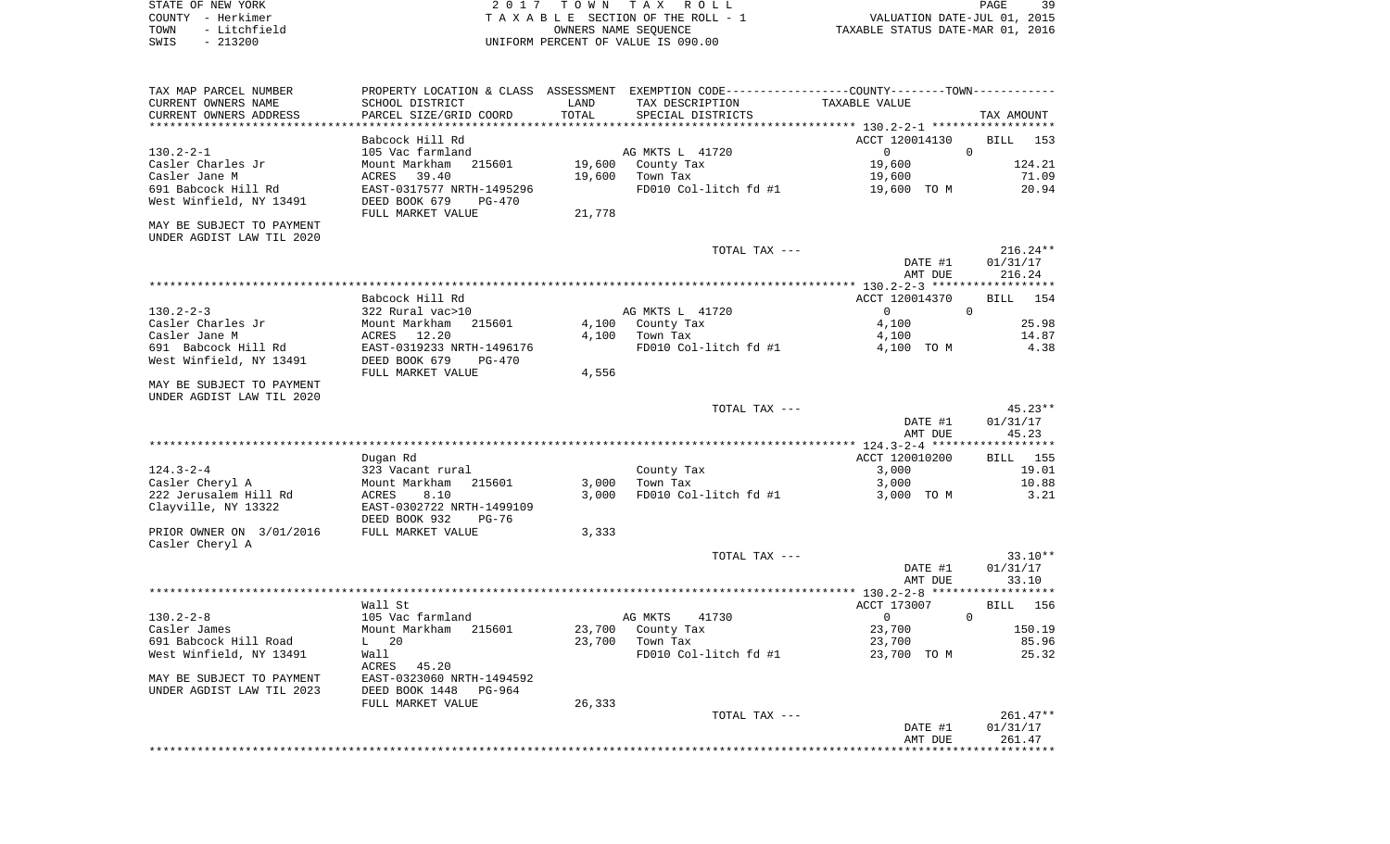STATE OF NEW YORK **EXECUTE:** A 2 0 1 7 T O W N T A X R O L L COUNTY - Herkimer<br>
T A X A B L E SECTION OF THE ROLL - 1<br>
TOWN - Litchfield<br>
SWIS - 213200 - UNIFORM PERCENT OF VALUE IS 090.00 TOWN - LITTLE OF THE ROLL - 1<br>
TAXABLE STATUS DATE-JUL 01, 2015<br>
OWNERS NAME SEQUENCE TAXABLE STATUS DATE-MAR 01, 2016 SWIS - 213200 UNIFORM PERCENT OF VALUE IS 090.00

| TAX MAP PARCEL NUMBER     |                           |        | PROPERTY LOCATION & CLASS ASSESSMENT EXEMPTION CODE----------------COUNTY--------TOWN---------- |                |                 |
|---------------------------|---------------------------|--------|-------------------------------------------------------------------------------------------------|----------------|-----------------|
| CURRENT OWNERS NAME       | SCHOOL DISTRICT           | LAND   | TAX DESCRIPTION                                                                                 | TAXABLE VALUE  |                 |
| CURRENT OWNERS ADDRESS    | PARCEL SIZE/GRID COORD    | TOTAL  | SPECIAL DISTRICTS                                                                               |                | TAX AMOUNT      |
|                           |                           |        |                                                                                                 |                |                 |
|                           | Babcock Hill Rd           |        |                                                                                                 | ACCT 120014130 | BILL 153        |
| $130.2 - 2 - 1$           | 105 Vac farmland          |        | AG MKTS L 41720                                                                                 | $\overline{0}$ | $\mathbf 0$     |
| Casler Charles Jr         | Mount Markham<br>215601   |        | 19,600 County Tax                                                                               | 19,600         | 124.21          |
| Casler Jane M             | ACRES<br>39.40            | 19,600 | Town Tax                                                                                        | 19,600         | 71.09           |
| 691 Babcock Hill Rd       | EAST-0317577 NRTH-1495296 |        | FD010 Col-litch fd #1                                                                           | 19,600 TO M    | 20.94           |
| West Winfield, NY 13491   | DEED BOOK 679<br>PG-470   |        |                                                                                                 |                |                 |
|                           | FULL MARKET VALUE         | 21,778 |                                                                                                 |                |                 |
| MAY BE SUBJECT TO PAYMENT |                           |        |                                                                                                 |                |                 |
| UNDER AGDIST LAW TIL 2020 |                           |        |                                                                                                 |                |                 |
|                           |                           |        | TOTAL TAX ---                                                                                   |                | $216.24**$      |
|                           |                           |        |                                                                                                 | DATE #1        | 01/31/17        |
|                           |                           |        |                                                                                                 | AMT DUE        | 216.24          |
|                           |                           |        |                                                                                                 |                |                 |
|                           | Babcock Hill Rd           |        |                                                                                                 | ACCT 120014370 | BILL 154        |
| $130.2 - 2 - 3$           | 322 Rural vac>10          |        | AG MKTS L 41720                                                                                 | $\mathbf{0}$   | $\mathbf 0$     |
| Casler Charles Jr         | Mount Markham<br>215601   |        | 4,100 County Tax                                                                                | 4,100          | 25.98           |
| Casler Jane M             | ACRES 12.20               | 4,100  | Town Tax                                                                                        | 4,100          | 14.87           |
| 691 Babcock Hill Rd       | EAST-0319233 NRTH-1496176 |        | FD010 Col-litch fd #1                                                                           | 4,100 TO M     | 4.38            |
| West Winfield, NY 13491   | DEED BOOK 679<br>PG-470   |        |                                                                                                 |                |                 |
|                           | FULL MARKET VALUE         | 4,556  |                                                                                                 |                |                 |
| MAY BE SUBJECT TO PAYMENT |                           |        |                                                                                                 |                |                 |
| UNDER AGDIST LAW TIL 2020 |                           |        |                                                                                                 |                |                 |
|                           |                           |        | TOTAL TAX ---                                                                                   |                | $45.23**$       |
|                           |                           |        |                                                                                                 | DATE #1        | 01/31/17        |
|                           |                           |        |                                                                                                 | AMT DUE        | 45.23           |
|                           |                           |        |                                                                                                 |                |                 |
|                           |                           |        |                                                                                                 |                |                 |
|                           | Dugan Rd                  |        |                                                                                                 | ACCT 120010200 | <b>BILL</b> 155 |
| $124.3 - 2 - 4$           | 323 Vacant rural          |        | County Tax                                                                                      | 3,000          | 19.01           |
| Casler Cheryl A           | Mount Markham<br>215601   | 3,000  | Town Tax                                                                                        | 3,000          | 10.88           |
| 222 Jerusalem Hill Rd     | 8.10<br>ACRES             | 3,000  | FD010 Col-litch fd #1                                                                           | 3,000 TO M     | 3.21            |
| Clayville, NY 13322       | EAST-0302722 NRTH-1499109 |        |                                                                                                 |                |                 |
|                           | DEED BOOK 932<br>$PG-76$  |        |                                                                                                 |                |                 |
| PRIOR OWNER ON 3/01/2016  | FULL MARKET VALUE         | 3,333  |                                                                                                 |                |                 |
| Casler Cheryl A           |                           |        |                                                                                                 |                |                 |
|                           |                           |        | TOTAL TAX ---                                                                                   |                | $33.10**$       |
|                           |                           |        |                                                                                                 | DATE #1        | 01/31/17        |
|                           |                           |        |                                                                                                 | AMT DUE        | 33.10           |
|                           |                           |        |                                                                                                 |                |                 |
|                           | Wall St                   |        |                                                                                                 | ACCT 173007    | BILL 156        |
| $130.2 - 2 - 8$           | 105 Vac farmland          |        | AG MKTS<br>41730                                                                                | $\overline{0}$ | $\Omega$        |
| Casler James              | Mount Markham 215601      |        | 23,700 County Tax                                                                               | 23,700         | 150.19          |
| 691 Babcock Hill Road     | $L$ 20                    |        | 23,700 Town Tax                                                                                 | 23,700         | 85.96           |
| West Winfield, NY 13491   | Wall                      |        | FD010 Col-litch fd #1                                                                           | 23,700 TO M    | 25.32           |
|                           | ACRES 45.20               |        |                                                                                                 |                |                 |
| MAY BE SUBJECT TO PAYMENT | EAST-0323060 NRTH-1494592 |        |                                                                                                 |                |                 |
| UNDER AGDIST LAW TIL 2023 | DEED BOOK 1448<br>PG-964  |        |                                                                                                 |                |                 |
|                           | FULL MARKET VALUE         | 26,333 |                                                                                                 |                |                 |
|                           |                           |        | TOTAL TAX ---                                                                                   |                | 261.47**        |
|                           |                           |        |                                                                                                 | DATE #1        | 01/31/17        |
|                           |                           |        |                                                                                                 | AMT DUE        | 261.47          |
|                           |                           |        |                                                                                                 |                |                 |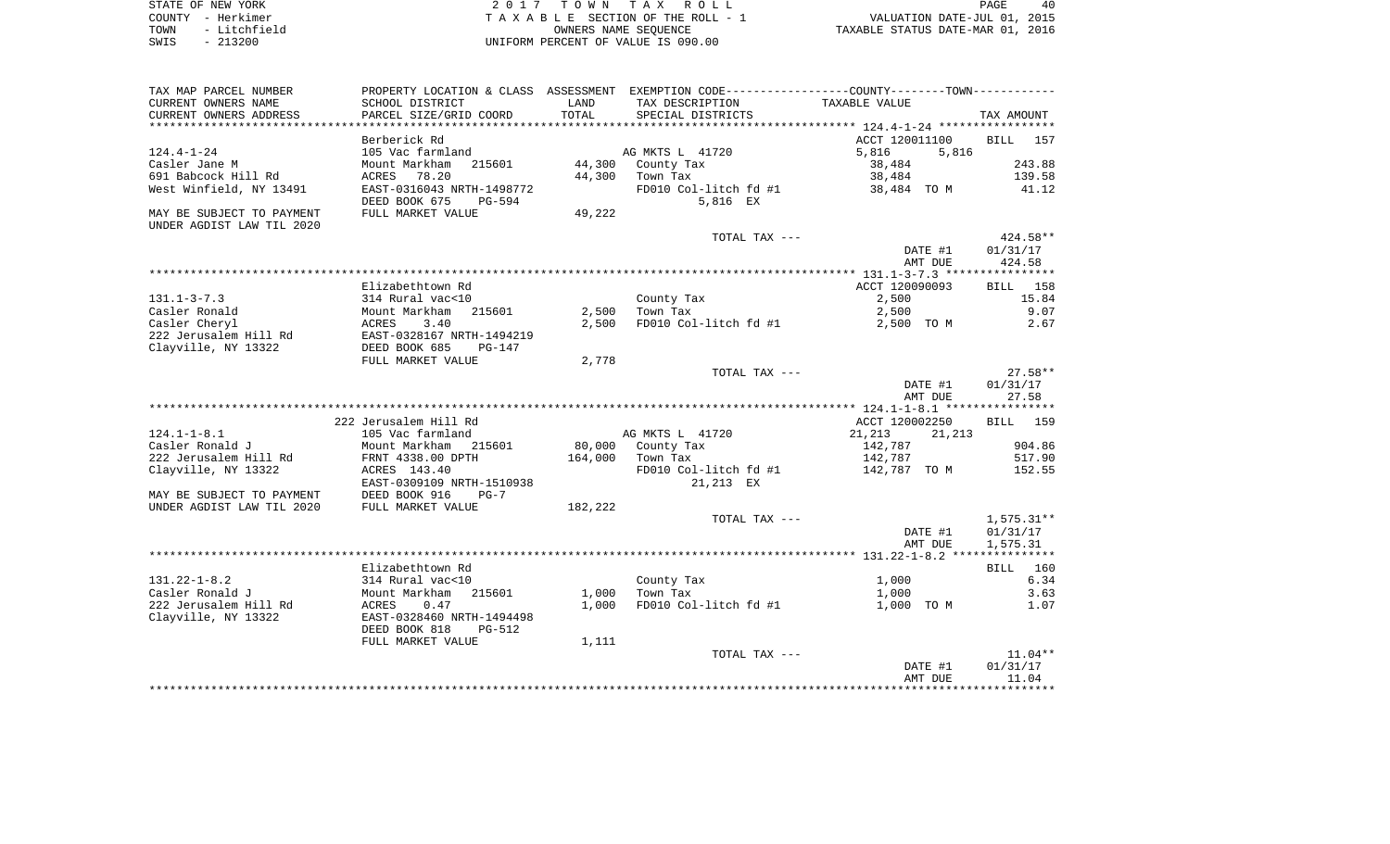| STATE OF NEW YORK    | 2017 TOWN TAX ROLL                 | 40<br>PAGE                       |
|----------------------|------------------------------------|----------------------------------|
| COUNTY - Herkimer    | TAXABLE SECTION OF THE ROLL - 1    | VALUATION DATE-JUL 01, 2015      |
| - Litchfield<br>TOWN | OWNERS NAME SEOUENCE               | TAXABLE STATUS DATE-MAR 01, 2016 |
| $-213200$<br>SWIS    | UNIFORM PERCENT OF VALUE IS 090.00 |                                  |

| TAX MAP PARCEL NUMBER     |                                                      |              | PROPERTY LOCATION & CLASS ASSESSMENT EXEMPTION CODE---------------COUNTY-------TOWN---------- |                  |                    |
|---------------------------|------------------------------------------------------|--------------|-----------------------------------------------------------------------------------------------|------------------|--------------------|
| CURRENT OWNERS NAME       | SCHOOL DISTRICT                                      | LAND         | TAX DESCRIPTION                                                                               | TAXABLE VALUE    |                    |
| CURRENT OWNERS ADDRESS    | PARCEL SIZE/GRID COORD                               | TOTAL        | SPECIAL DISTRICTS                                                                             |                  | TAX AMOUNT         |
|                           |                                                      | ************ |                                                                                               |                  |                    |
|                           | Berberick Rd                                         |              |                                                                                               | ACCT 120011100   | <b>BILL</b><br>157 |
| $124.4 - 1 - 24$          | 105 Vac farmland                                     |              | AG MKTS L 41720                                                                               | 5,816<br>5,816   |                    |
| Casler Jane M             | Mount Markham<br>215601                              | 44,300       | County Tax                                                                                    | 38,484           | 243.88             |
| 691 Babcock Hill Rd       | ACRES<br>78.20                                       | 44,300       | Town Tax                                                                                      | 38,484           | 139.58             |
| West Winfield, NY 13491   | EAST-0316043 NRTH-1498772<br>DEED BOOK 675<br>PG-594 |              | FD010 Col-litch fd #1<br>5,816 EX                                                             | 38,484 TO M      | 41.12              |
| MAY BE SUBJECT TO PAYMENT | FULL MARKET VALUE                                    | 49,222       |                                                                                               |                  |                    |
| UNDER AGDIST LAW TIL 2020 |                                                      |              |                                                                                               |                  |                    |
|                           |                                                      |              | TOTAL TAX ---                                                                                 |                  | $424.58**$         |
|                           |                                                      |              |                                                                                               | DATE #1          | 01/31/17           |
|                           |                                                      |              |                                                                                               | AMT DUE          | 424.58             |
|                           |                                                      |              |                                                                                               |                  |                    |
|                           | Elizabethtown Rd                                     |              |                                                                                               | ACCT 120090093   | BILL 158           |
| $131.1 - 3 - 7.3$         | 314 Rural vac<10                                     |              | County Tax                                                                                    | 2,500            | 15.84              |
| Casler Ronald             | Mount Markham<br>215601                              | 2,500        | Town Tax                                                                                      | 2,500            | 9.07               |
| Casler Cheryl             | ACRES<br>3.40                                        | 2,500        | FD010 Col-litch fd #1                                                                         | 2,500 TO M       | 2.67               |
| 222 Jerusalem Hill Rd     | EAST-0328167 NRTH-1494219                            |              |                                                                                               |                  |                    |
| Clayville, NY 13322       | DEED BOOK 685<br>PG-147                              |              |                                                                                               |                  |                    |
|                           | FULL MARKET VALUE                                    | 2,778        |                                                                                               |                  |                    |
|                           |                                                      |              | TOTAL TAX ---                                                                                 |                  | $27.58**$          |
|                           |                                                      |              |                                                                                               | DATE #1          | 01/31/17           |
|                           |                                                      |              |                                                                                               | AMT DUE          | 27.58              |
|                           |                                                      |              |                                                                                               |                  |                    |
|                           | 222 Jerusalem Hill Rd                                |              |                                                                                               | ACCT 120002250   | BILL 159           |
| $124.1 - 1 - 8.1$         | 105 Vac farmland                                     |              | AG MKTS L 41720                                                                               | 21,213<br>21,213 |                    |
| Casler Ronald J           | Mount Markham 215601                                 | 80,000       | County Tax                                                                                    | 142,787          | 904.86             |
| 222 Jerusalem Hill Rd     | FRNT 4338.00 DPTH                                    | 164,000      | Town Tax                                                                                      | 142,787          | 517.90             |
| Clayville, NY 13322       | ACRES 143.40                                         |              | FD010 Col-litch fd #1                                                                         | 142,787 TO M     | 152.55             |
|                           | EAST-0309109 NRTH-1510938                            |              | 21,213 EX                                                                                     |                  |                    |
| MAY BE SUBJECT TO PAYMENT | DEED BOOK 916<br>$PG-7$                              |              |                                                                                               |                  |                    |
| UNDER AGDIST LAW TIL 2020 | FULL MARKET VALUE                                    | 182,222      |                                                                                               |                  |                    |
|                           |                                                      |              | TOTAL TAX ---                                                                                 |                  | $1,575.31**$       |
|                           |                                                      |              |                                                                                               | DATE #1          | 01/31/17           |
|                           |                                                      |              |                                                                                               | AMT DUE          | 1,575.31           |
|                           | Elizabethtown Rd                                     |              |                                                                                               |                  | 160<br>BILL        |
| $131.22 - 1 - 8.2$        | 314 Rural vac<10                                     |              | County Tax                                                                                    | 1,000            | 6.34               |
| Casler Ronald J           | 215601<br>Mount Markham                              | 1,000        | Town Tax                                                                                      | 1,000            | 3.63               |
| 222 Jerusalem Hill Rd     | ACRES<br>0.47                                        | 1,000        | FD010 Col-litch fd #1                                                                         | 1,000 TO M       | 1.07               |
| Clayville, NY 13322       | EAST-0328460 NRTH-1494498                            |              |                                                                                               |                  |                    |
|                           | DEED BOOK 818<br><b>PG-512</b>                       |              |                                                                                               |                  |                    |
|                           | FULL MARKET VALUE                                    | 1,111        |                                                                                               |                  |                    |
|                           |                                                      |              | TOTAL TAX ---                                                                                 |                  | $11.04**$          |
|                           |                                                      |              |                                                                                               | DATE #1          | 01/31/17           |
|                           |                                                      |              |                                                                                               | AMT DUE          | 11.04              |
|                           |                                                      |              |                                                                                               |                  |                    |
|                           |                                                      |              |                                                                                               |                  |                    |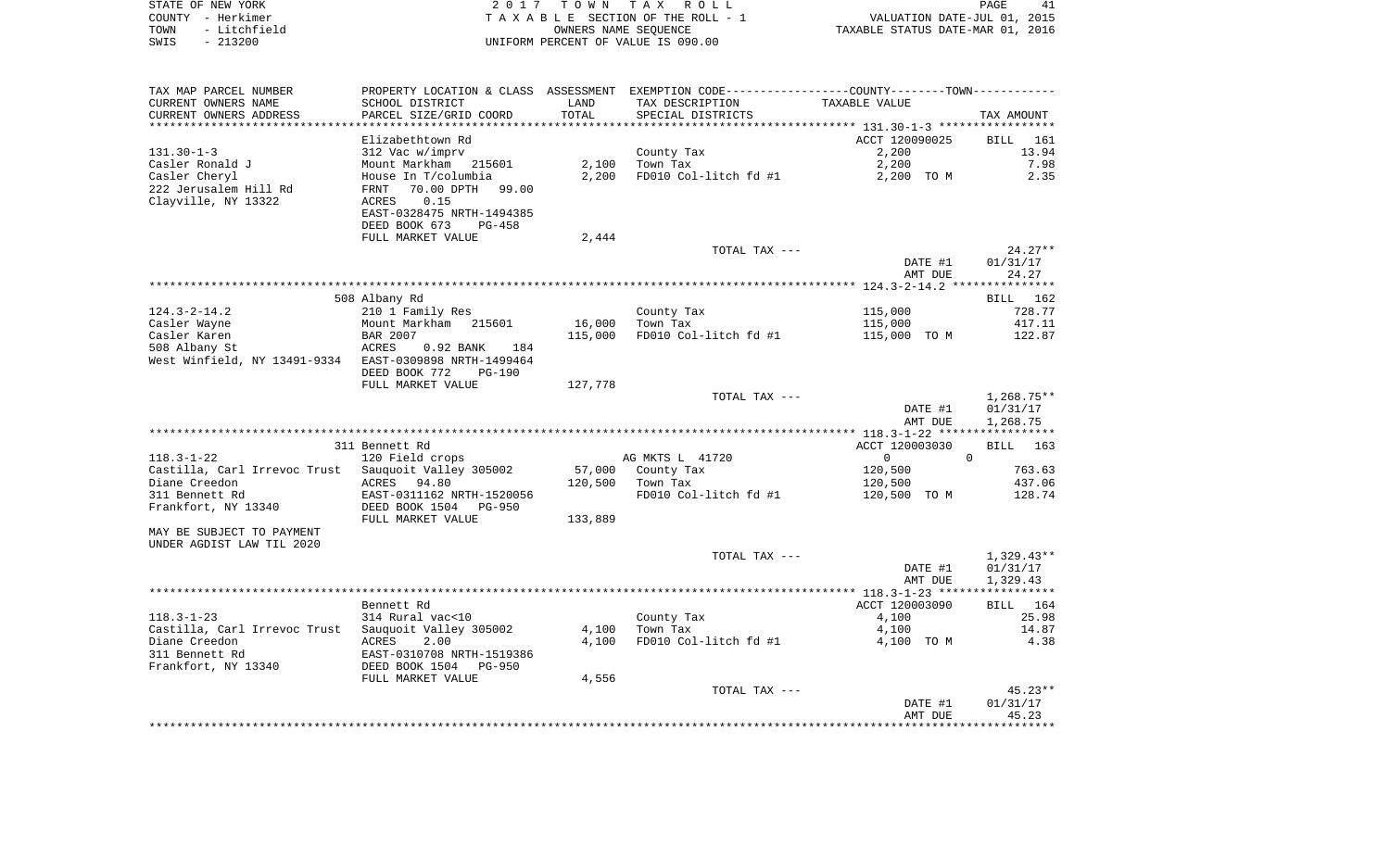|      | STATE OF NEW YORK | 2017 TOWN TAX ROLL                 | PAGE                             |  |
|------|-------------------|------------------------------------|----------------------------------|--|
|      | COUNTY - Herkimer | TAXABLE SECTION OF THE ROLL - 1    | VALUATION DATE-JUL 01, 2015      |  |
| TOWN | - Litchfield      | OWNERS NAME SEOUENCE               | TAXABLE STATUS DATE-MAR 01, 2016 |  |
| SWIS | $-213200$         | UNIFORM PERCENT OF VALUE IS 090.00 |                                  |  |

| TAX MAP PARCEL NUMBER<br>CURRENT OWNERS NAME<br>CURRENT OWNERS ADDRESS | SCHOOL DISTRICT<br>PARCEL SIZE/GRID COORD                                                                                     | LAND<br>TOTAL   | PROPERTY LOCATION & CLASS ASSESSMENT EXEMPTION CODE----------------COUNTY-------TOWN----------<br>TAX DESCRIPTION | TAXABLE VALUE                    |                                     |
|------------------------------------------------------------------------|-------------------------------------------------------------------------------------------------------------------------------|-----------------|-------------------------------------------------------------------------------------------------------------------|----------------------------------|-------------------------------------|
| ********************                                                   | **********************                                                                                                        | *************** | SPECIAL DISTRICTS                                                                                                 |                                  | TAX AMOUNT                          |
| $131.30 - 1 - 3$<br>Casler Ronald J                                    | Elizabethtown Rd<br>312 Vac w/imprv<br>Mount Markham 215601                                                                   | 2,100           | County Tax<br>Town Tax                                                                                            | ACCT 120090025<br>2,200<br>2,200 | <b>BILL</b><br>161<br>13.94<br>7.98 |
| Casler Cheryl<br>222 Jerusalem Hill Rd<br>Clayville, NY 13322          | House In T/columbia<br>70.00 DPTH<br>FRNT<br>99.00<br>0.15<br>ACRES<br>EAST-0328475 NRTH-1494385<br>DEED BOOK 673<br>$PG-458$ | 2,200           | FD010 Col-litch fd #1                                                                                             | 2,200 TO M                       | 2.35                                |
|                                                                        | FULL MARKET VALUE                                                                                                             | 2,444           |                                                                                                                   |                                  |                                     |
|                                                                        |                                                                                                                               |                 | TOTAL TAX ---                                                                                                     | DATE #1                          | $24.27**$<br>01/31/17               |
|                                                                        |                                                                                                                               |                 |                                                                                                                   | AMT DUE                          | 24.27                               |
|                                                                        |                                                                                                                               |                 |                                                                                                                   |                                  | **********                          |
|                                                                        | 508 Albany Rd                                                                                                                 |                 |                                                                                                                   |                                  | BILL 162                            |
| $124.3 - 2 - 14.2$                                                     | 210 1 Family Res                                                                                                              |                 | County Tax                                                                                                        | 115,000                          | 728.77                              |
| Casler Wayne                                                           | Mount Markham 215601                                                                                                          | 16,000          | Town Tax                                                                                                          | 115,000                          | 417.11                              |
| Casler Karen<br>508 Albany St                                          | BAR 2007                                                                                                                      | 115,000         | FD010 Col-litch fd #1                                                                                             | 115,000 TO M                     | 122.87                              |
| West Winfield, NY 13491-9334 EAST-0309898 NRTH-1499464                 | ACRES<br>0.92 BANK<br>184<br>DEED BOOK 772<br><b>PG-190</b>                                                                   |                 |                                                                                                                   |                                  |                                     |
|                                                                        | FULL MARKET VALUE                                                                                                             | 127,778         |                                                                                                                   |                                  |                                     |
|                                                                        |                                                                                                                               |                 | TOTAL TAX ---                                                                                                     |                                  | $1,268.75**$                        |
|                                                                        |                                                                                                                               |                 |                                                                                                                   | DATE #1<br>AMT DUE               | 01/31/17<br>1,268.75                |
|                                                                        | 311 Bennett Rd                                                                                                                |                 |                                                                                                                   | ACCT 120003030                   | <b>BILL</b><br>163                  |
| $118.3 - 1 - 22$                                                       | 120 Field crops                                                                                                               |                 | AG MKTS L 41720                                                                                                   | $\overline{0}$                   | $\Omega$                            |
| Castilla, Carl Irrevoc Trust                                           | Sauquoit Valley 305002                                                                                                        | 57,000          | County Tax                                                                                                        | 120,500                          | 763.63                              |
| Diane Creedon                                                          | ACRES 94.80                                                                                                                   | 120,500         | Town Tax                                                                                                          | 120,500                          | 437.06                              |
| 311 Bennett Rd                                                         | EAST-0311162 NRTH-1520056                                                                                                     |                 | FD010 Col-litch fd #1                                                                                             | 120,500 TO M                     | 128.74                              |
| Frankfort, NY 13340                                                    | DEED BOOK 1504<br>PG-950<br>FULL MARKET VALUE                                                                                 | 133,889         |                                                                                                                   |                                  |                                     |
| MAY BE SUBJECT TO PAYMENT<br>UNDER AGDIST LAW TIL 2020                 |                                                                                                                               |                 |                                                                                                                   |                                  |                                     |
|                                                                        |                                                                                                                               |                 | TOTAL TAX ---                                                                                                     |                                  | 1,329.43**                          |
|                                                                        |                                                                                                                               |                 |                                                                                                                   | DATE #1                          | 01/31/17                            |
|                                                                        |                                                                                                                               |                 |                                                                                                                   | AMT DUE                          | 1,329.43                            |
|                                                                        |                                                                                                                               |                 |                                                                                                                   |                                  |                                     |
|                                                                        | Bennett Rd                                                                                                                    |                 |                                                                                                                   | ACCT 120003090                   | BILL 164                            |
| $118.3 - 1 - 23$                                                       | 314 Rural vac<10                                                                                                              |                 | County Tax                                                                                                        | 4,100                            | 25.98                               |
| Castilla, Carl Irrevoc Trust                                           | Sauquoit Valley 305002                                                                                                        | 4,100           | Town Tax                                                                                                          | 4,100                            | 14.87                               |
| Diane Creedon<br>311 Bennett Rd                                        | ACRES<br>2.00<br>EAST-0310708 NRTH-1519386                                                                                    | 4,100           | FD010 Col-litch fd #1                                                                                             | 4,100 TO M                       | 4.38                                |
| Frankfort, NY 13340                                                    | DEED BOOK 1504<br>PG-950                                                                                                      |                 |                                                                                                                   |                                  |                                     |
|                                                                        | FULL MARKET VALUE                                                                                                             | 4,556           |                                                                                                                   |                                  |                                     |
|                                                                        |                                                                                                                               |                 | TOTAL TAX ---                                                                                                     |                                  | $45.23**$                           |
|                                                                        |                                                                                                                               |                 |                                                                                                                   | DATE #1                          | 01/31/17                            |
|                                                                        |                                                                                                                               |                 |                                                                                                                   | AMT DUE                          | 45.23<br>********                   |
|                                                                        |                                                                                                                               |                 |                                                                                                                   |                                  |                                     |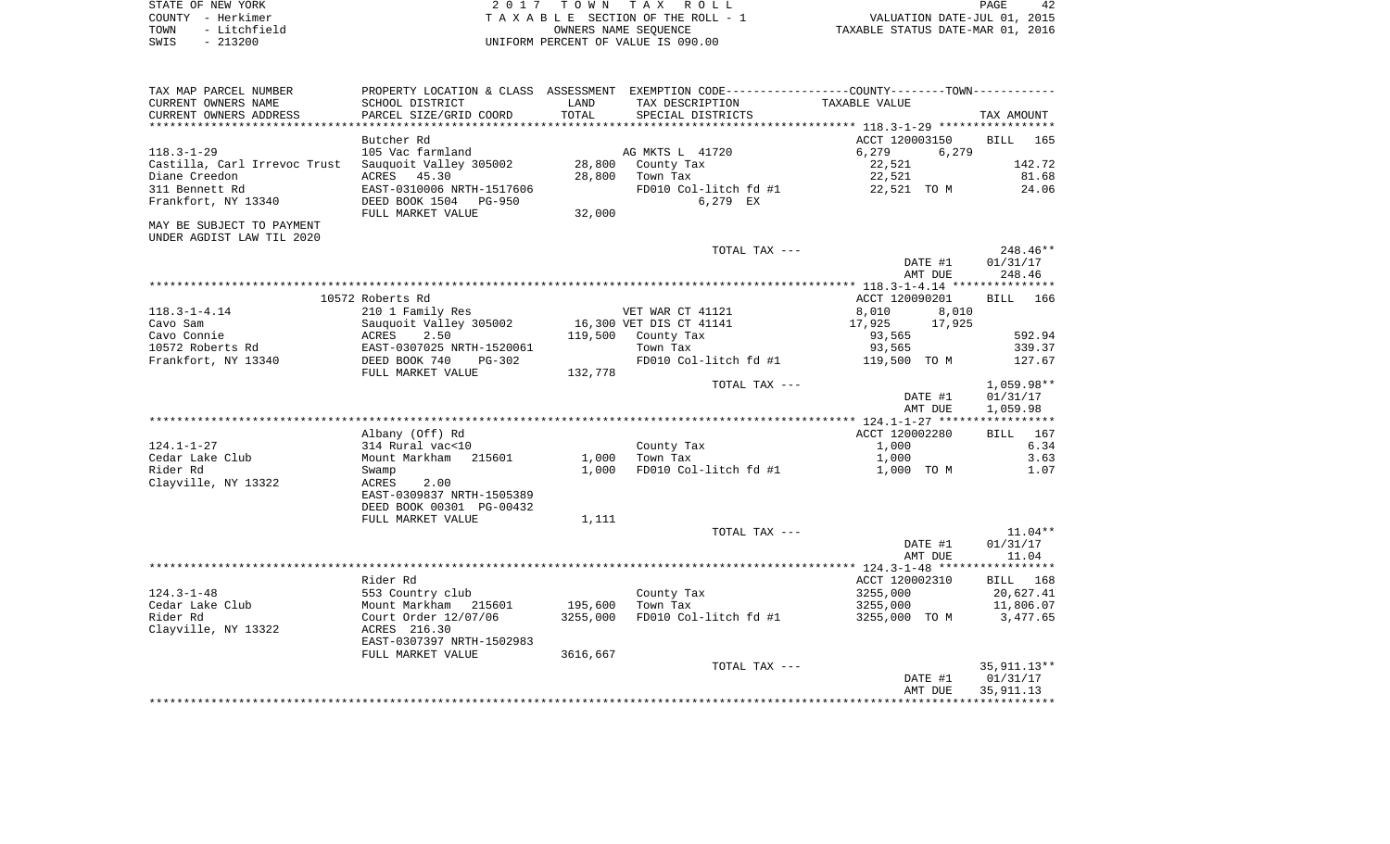| STATE OF NEW YORK    | 2017 TOWN TAX ROLL                 | PAGE                             |
|----------------------|------------------------------------|----------------------------------|
| COUNTY - Herkimer    | TAXABLE SECTION OF THE ROLL - 1    | VALUATION DATE-JUL 01, 2015      |
| - Litchfield<br>TOWN | OWNERS NAME SEOUENCE               | TAXABLE STATUS DATE-MAR 01, 2016 |
| $-213200$<br>SWIS    | UNIFORM PERCENT OF VALUE IS 090.00 |                                  |

| TAX MAP PARCEL NUMBER<br>CURRENT OWNERS NAME       | SCHOOL DISTRICT                               | LAND     | PROPERTY LOCATION & CLASS ASSESSMENT EXEMPTION CODE----------------COUNTY-------TOWN----------<br>TAX DESCRIPTION | <b>TAXABLE VALUE</b>     |                        |
|----------------------------------------------------|-----------------------------------------------|----------|-------------------------------------------------------------------------------------------------------------------|--------------------------|------------------------|
| CURRENT OWNERS ADDRESS<br>************************ | PARCEL SIZE/GRID COORD                        | TOTAL    | SPECIAL DISTRICTS                                                                                                 |                          | TAX AMOUNT             |
|                                                    |                                               |          |                                                                                                                   |                          |                        |
|                                                    | Butcher Rd                                    |          |                                                                                                                   | ACCT 120003150           | <b>BILL</b><br>165     |
| $118.3 - 1 - 29$<br>Castilla, Carl Irrevoc Trust   | 105 Vac farmland<br>Sauquoit Valley 305002    | 28,800   | AG MKTS L 41720                                                                                                   | 6,279<br>6,279<br>22,521 | 142.72                 |
| Diane Creedon                                      | ACRES<br>45.30                                | 28,800   | County Tax<br>Town Tax                                                                                            | 22,521                   | 81.68                  |
| 311 Bennett Rd                                     | EAST-0310006 NRTH-1517606                     |          | FD010 Col-litch fd #1                                                                                             | 22,521 TO M              | 24.06                  |
| Frankfort, NY 13340                                | DEED BOOK 1504<br>PG-950<br>FULL MARKET VALUE | 32,000   | 6,279 EX                                                                                                          |                          |                        |
| MAY BE SUBJECT TO PAYMENT                          |                                               |          |                                                                                                                   |                          |                        |
| UNDER AGDIST LAW TIL 2020                          |                                               |          |                                                                                                                   |                          |                        |
|                                                    |                                               |          | TOTAL TAX ---                                                                                                     |                          | 248.46**               |
|                                                    |                                               |          |                                                                                                                   | DATE #1                  | 01/31/17               |
|                                                    |                                               |          |                                                                                                                   | AMT DUE                  | 248.46                 |
|                                                    |                                               |          |                                                                                                                   |                          |                        |
|                                                    | 10572 Roberts Rd                              |          |                                                                                                                   | ACCT 120090201           | BILL 166               |
| $118.3 - 1 - 4.14$                                 | 210 1 Family Res                              |          | VET WAR CT 41121                                                                                                  | 8,010<br>8,010           |                        |
| Cavo Sam                                           | Sauquoit Valley 305002                        |          | 16,300 VET DIS CT 41141                                                                                           | 17,925<br>17,925         |                        |
| Cavo Connie                                        | ACRES<br>2.50                                 | 119,500  | County Tax                                                                                                        | 93,565                   | 592.94                 |
| 10572 Roberts Rd                                   | EAST-0307025 NRTH-1520061                     |          | Town Tax                                                                                                          | 93,565                   | 339.37                 |
| Frankfort, NY 13340                                | DEED BOOK 740<br>$PG-302$                     |          | FD010 Col-litch fd #1                                                                                             | 119,500 TO M             | 127.67                 |
|                                                    | FULL MARKET VALUE                             | 132,778  |                                                                                                                   |                          |                        |
|                                                    |                                               |          | TOTAL TAX ---                                                                                                     | DATE #1                  | 1,059.98**<br>01/31/17 |
|                                                    |                                               |          |                                                                                                                   | AMT DUE                  | 1,059.98               |
|                                                    |                                               |          |                                                                                                                   |                          |                        |
|                                                    | Albany (Off) Rd                               |          |                                                                                                                   | ACCT 120002280           | BILL<br>167            |
| $124.1 - 1 - 27$                                   | 314 Rural vac<10                              |          | County Tax                                                                                                        | 1,000                    | 6.34                   |
| Cedar Lake Club                                    | Mount Markham<br>215601                       | 1,000    | Town Tax                                                                                                          | 1,000                    | 3.63                   |
| Rider Rd                                           | Swamp                                         | 1,000    | FD010 Col-litch fd #1                                                                                             | 1,000 TO M               | 1.07                   |
| Clayville, NY 13322                                | 2.00<br>ACRES                                 |          |                                                                                                                   |                          |                        |
|                                                    | EAST-0309837 NRTH-1505389                     |          |                                                                                                                   |                          |                        |
|                                                    | DEED BOOK 00301 PG-00432                      |          |                                                                                                                   |                          |                        |
|                                                    | FULL MARKET VALUE                             | 1,111    |                                                                                                                   |                          |                        |
|                                                    |                                               |          | TOTAL TAX ---                                                                                                     |                          | $11.04**$              |
|                                                    |                                               |          |                                                                                                                   | DATE #1                  | 01/31/17               |
|                                                    |                                               |          |                                                                                                                   | AMT DUE                  | 11.04                  |
|                                                    | Rider Rd                                      |          |                                                                                                                   | ACCT 120002310           | BILL 168               |
| $124.3 - 1 - 48$                                   | 553 Country club                              |          | County Tax                                                                                                        | 3255,000                 | 20,627.41              |
| Cedar Lake Club                                    | Mount Markham 215601                          | 195,600  | Town Tax                                                                                                          | 3255,000                 | 11,806.07              |
| Rider Rd                                           | Court Order 12/07/06                          | 3255,000 | FD010 Col-litch fd #1                                                                                             | 3255,000 TO M            | 3,477.65               |
| Clayville, NY 13322                                | ACRES 216.30                                  |          |                                                                                                                   |                          |                        |
|                                                    | EAST-0307397 NRTH-1502983                     |          |                                                                                                                   |                          |                        |
|                                                    | FULL MARKET VALUE                             | 3616,667 |                                                                                                                   |                          |                        |
|                                                    |                                               |          | TOTAL TAX ---                                                                                                     |                          | 35,911.13**            |
|                                                    |                                               |          |                                                                                                                   | DATE #1                  | 01/31/17               |
|                                                    |                                               |          |                                                                                                                   | AMT DUE                  | 35, 911.13             |
|                                                    |                                               |          |                                                                                                                   |                          |                        |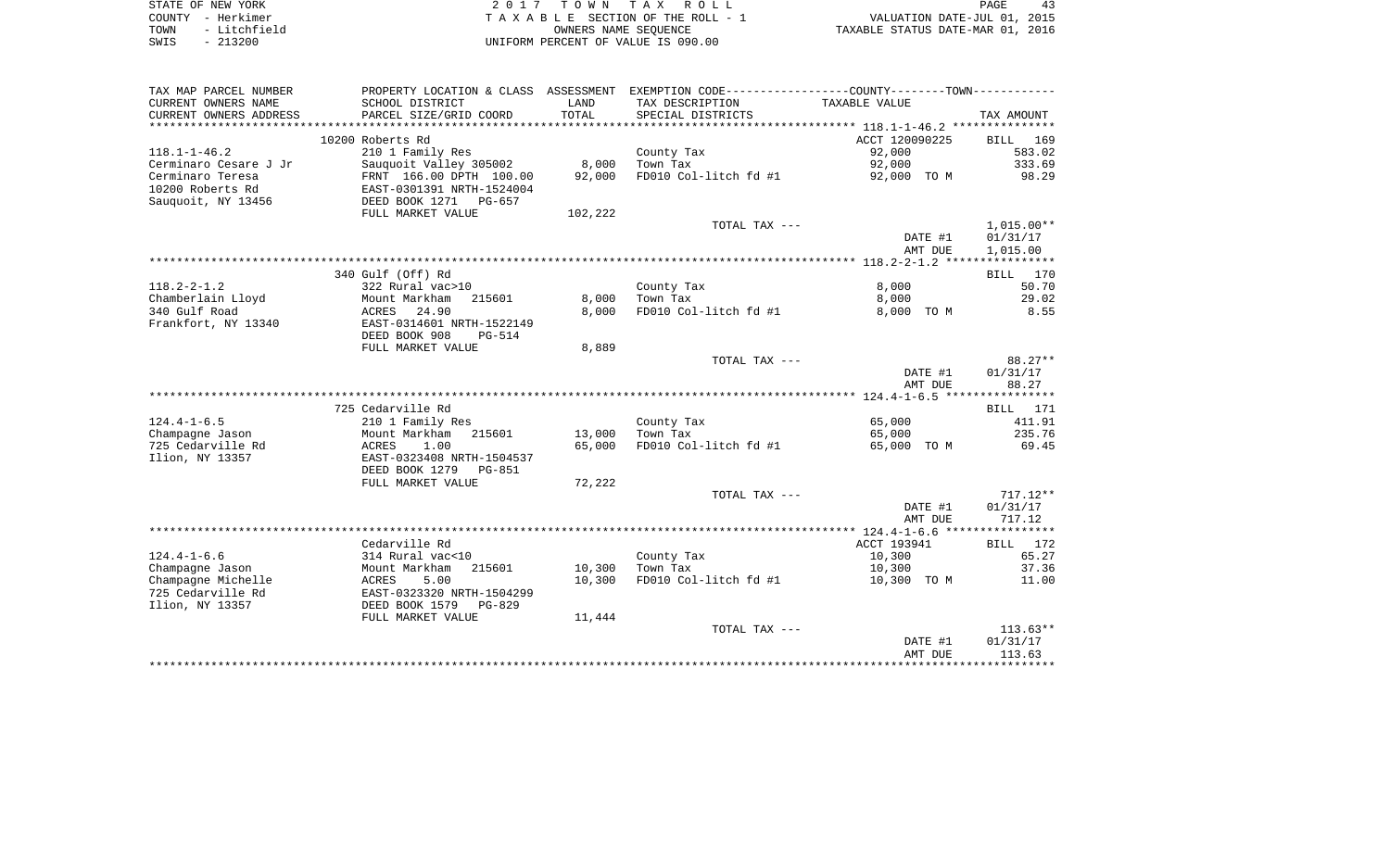| STATE OF NEW YORK    | 2017 TOWN TAX ROLL                 | PAGE                             |
|----------------------|------------------------------------|----------------------------------|
| COUNTY - Herkimer    | TAXABLE SECTION OF THE ROLL - 1    | VALUATION DATE-JUL 01, 2015      |
| - Litchfield<br>TOWN | OWNERS NAME SEOUENCE               | TAXABLE STATUS DATE-MAR 01, 2016 |
| $-213200$<br>SWIS    | UNIFORM PERCENT OF VALUE IS 090.00 |                                  |

| TAX MAP PARCEL NUMBER<br>CURRENT OWNERS NAME<br>CURRENT OWNERS ADDRESS | PROPERTY LOCATION & CLASS ASSESSMENT<br>SCHOOL DISTRICT<br>PARCEL SIZE/GRID COORD | LAND<br>TOTAL | EXEMPTION CODE-----------------COUNTY--------TOWN-----------<br>TAX DESCRIPTION<br>SPECIAL DISTRICTS | TAXABLE VALUE                      | TAX AMOUNT                           |
|------------------------------------------------------------------------|-----------------------------------------------------------------------------------|---------------|------------------------------------------------------------------------------------------------------|------------------------------------|--------------------------------------|
| *******************                                                    | **********                                                                        |               |                                                                                                      |                                    | * * * * *                            |
| $118.1 - 1 - 46.2$<br>Cerminaro Cesare J Jr                            | 10200 Roberts Rd<br>210 1 Family Res<br>Sauquoit Valley 305002                    | 8,000         | County Tax<br>Town Tax                                                                               | ACCT 120090225<br>92,000<br>92,000 | BILL<br>169<br>583.02<br>333.69      |
| Cerminaro Teresa<br>10200 Roberts Rd<br>Sauquoit, NY 13456             | FRNT 166.00 DPTH 100.00<br>EAST-0301391 NRTH-1524004<br>DEED BOOK 1271<br>PG-657  | 92,000        | FD010 Col-litch fd #1                                                                                | 92,000 TO M                        | 98.29                                |
|                                                                        | FULL MARKET VALUE                                                                 | 102,222       | TOTAL TAX ---                                                                                        | DATE #1<br>AMT DUE                 | $1,015.00**$<br>01/31/17<br>1,015.00 |
|                                                                        |                                                                                   |               |                                                                                                      |                                    |                                      |
|                                                                        | 340 Gulf (Off) Rd                                                                 |               |                                                                                                      |                                    | 170<br><b>BILL</b>                   |
| $118.2 - 2 - 1.2$                                                      | 322 Rural vac>10                                                                  |               | County Tax                                                                                           | 8,000                              | 50.70                                |
| Chamberlain Lloyd                                                      | Mount Markham<br>215601                                                           | 8,000         | Town Tax                                                                                             | 8,000                              | 29.02                                |
| 340 Gulf Road<br>Frankfort, NY 13340                                   | ACRES<br>24.90<br>EAST-0314601 NRTH-1522149<br>DEED BOOK 908<br><b>PG-514</b>     | 8,000         | FD010 Col-litch fd #1                                                                                | 8,000 TO M                         | 8.55                                 |
|                                                                        | FULL MARKET VALUE                                                                 | 8,889         |                                                                                                      |                                    |                                      |
|                                                                        |                                                                                   |               | TOTAL TAX ---                                                                                        |                                    | $88.27**$                            |
|                                                                        |                                                                                   |               |                                                                                                      | DATE #1<br>AMT DUE                 | 01/31/17<br>88.27                    |
|                                                                        | 725 Cedarville Rd                                                                 |               |                                                                                                      |                                    | BILL<br>171                          |
| $124.4 - 1 - 6.5$                                                      | 210 1 Family Res                                                                  |               | County Tax                                                                                           | 65,000                             | 411.91                               |
| Champagne Jason                                                        | Mount Markham<br>215601                                                           | 13,000        | Town Tax                                                                                             | 65,000                             | 235.76                               |
| 725 Cedarville Rd<br>Ilion, NY 13357                                   | ACRES<br>1.00<br>EAST-0323408 NRTH-1504537<br>DEED BOOK 1279<br><b>PG-851</b>     | 65,000        | FD010 Col-litch fd #1                                                                                | 65,000 TO M                        | 69.45                                |
|                                                                        | FULL MARKET VALUE                                                                 | 72,222        |                                                                                                      |                                    |                                      |
|                                                                        |                                                                                   |               | TOTAL TAX ---                                                                                        |                                    | $717.12**$                           |
|                                                                        |                                                                                   |               |                                                                                                      | DATE #1<br>AMT DUE                 | 01/31/17<br>717.12                   |
|                                                                        |                                                                                   |               |                                                                                                      |                                    |                                      |
|                                                                        | Cedarville Rd                                                                     |               |                                                                                                      | ACCT 193941                        | BILL<br>172                          |
| $124.4 - 1 - 6.6$<br>Champagne Jason                                   | 314 Rural vac<10<br>Mount Markham<br>215601                                       | 10,300        | County Tax<br>Town Tax                                                                               | 10,300<br>10,300                   | 65.27<br>37.36                       |
| Champagne Michelle<br>725 Cedarville Rd<br>Ilion, NY 13357             | 5.00<br>ACRES<br>EAST-0323320 NRTH-1504299<br>DEED BOOK 1579<br>$PG-829$          | 10,300        | FD010 Col-litch fd #1                                                                                | 10,300 TO M                        | 11.00                                |
|                                                                        | FULL MARKET VALUE                                                                 | 11,444        |                                                                                                      |                                    |                                      |
|                                                                        |                                                                                   |               | TOTAL TAX ---                                                                                        | DATE #1<br>AMT DUE                 | $113.63**$<br>01/31/17<br>113.63     |
|                                                                        |                                                                                   |               |                                                                                                      |                                    | ***********                          |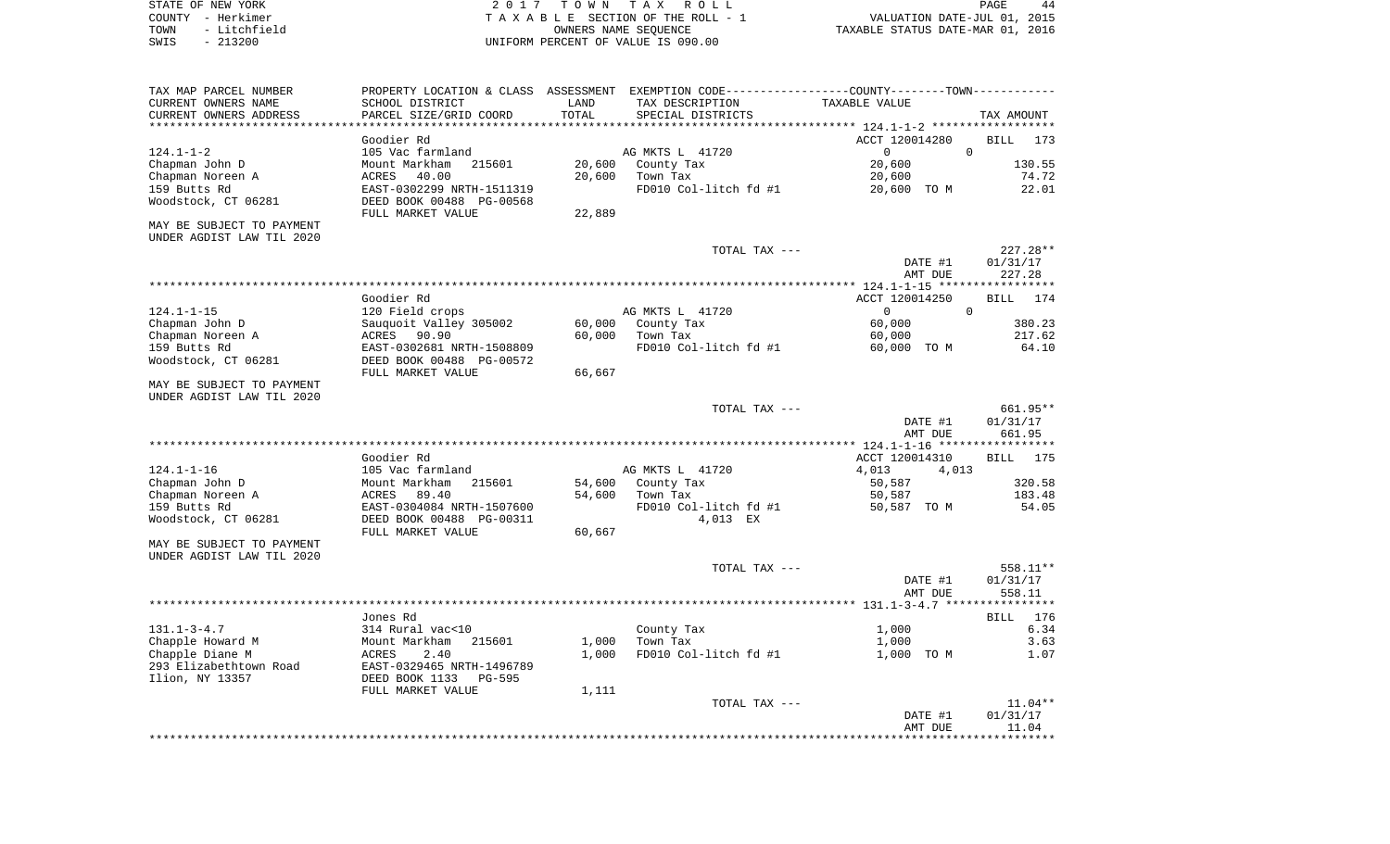STATE OF NEW YORK **EXECUTE:** A 2 0 1 7 T O W N T A X R O L L COUNTY - Herkimer<br>
T A X A B L E SECTION OF THE ROLL - 1<br>
TOWN - Litchfield<br>
SWIS - 213200 - UNIFORM PERCENT OF VALUE IS 090.00 TOWN - LITCHFIELD OF THE ROLL - 1<br>
TAXABLE STATUS DATE-JUL 01, 2015<br>
OWNERS NAME SEQUENCE TAXABLE STATUS DATE-MAR 01, 2016 SWIS - 213200 UNIFORM PERCENT OF VALUE IS 090.00

| TAX MAP PARCEL NUMBER     | PROPERTY LOCATION & CLASS ASSESSMENT |        | EXEMPTION CODE-----------------COUNTY-------TOWN----------- |                                            |                    |
|---------------------------|--------------------------------------|--------|-------------------------------------------------------------|--------------------------------------------|--------------------|
| CURRENT OWNERS NAME       | SCHOOL DISTRICT                      | LAND   | TAX DESCRIPTION                                             | TAXABLE VALUE                              |                    |
| CURRENT OWNERS ADDRESS    | PARCEL SIZE/GRID COORD               | TOTAL  | SPECIAL DISTRICTS                                           |                                            | TAX AMOUNT         |
|                           |                                      |        |                                                             | *********** 124.1-1-2 ***********          |                    |
|                           | Goodier Rd                           |        |                                                             | ACCT 120014280                             | <b>BILL</b><br>173 |
| $124.1 - 1 - 2$           | 105 Vac farmland                     |        | AG MKTS L 41720                                             | $\overline{0}$<br>$\Omega$                 |                    |
| Chapman John D            | Mount Markham<br>215601              | 20,600 | County Tax                                                  | 20,600                                     | 130.55             |
| Chapman Noreen A          | 40.00<br>ACRES                       | 20,600 | Town Tax                                                    | 20,600                                     | 74.72              |
| 159 Butts Rd              | EAST-0302299 NRTH-1511319            |        | FD010 Col-litch fd #1                                       | 20,600 TO M                                | 22.01              |
| Woodstock, CT 06281       | DEED BOOK 00488 PG-00568             |        |                                                             |                                            |                    |
|                           | FULL MARKET VALUE                    | 22,889 |                                                             |                                            |                    |
| MAY BE SUBJECT TO PAYMENT |                                      |        |                                                             |                                            |                    |
| UNDER AGDIST LAW TIL 2020 |                                      |        |                                                             |                                            |                    |
|                           |                                      |        | TOTAL TAX ---                                               |                                            | 227.28**           |
|                           |                                      |        |                                                             | DATE #1                                    | 01/31/17           |
|                           |                                      |        |                                                             |                                            |                    |
|                           | *****************                    |        | ******************************                              | AMT DUE                                    | 227.28             |
|                           |                                      |        |                                                             | *********** 124.1-1-15 ***                 |                    |
|                           | Goodier Rd                           |        |                                                             | ACCT 120014250                             | <b>BILL</b><br>174 |
| $124.1 - 1 - 15$          | 120 Field crops                      |        | AG MKTS L 41720                                             | $\overline{0}$<br>$\Omega$                 |                    |
| Chapman John D            | Sauquoit Valley 305002               | 60,000 | County Tax                                                  | 60,000                                     | 380.23             |
| Chapman Noreen A          | ACRES<br>90.90                       | 60,000 | Town Tax                                                    | 60,000                                     | 217.62             |
| 159 Butts Rd              | EAST-0302681 NRTH-1508809            |        | FD010 Col-litch fd #1                                       | 60,000 TO M                                | 64.10              |
| Woodstock, CT 06281       | DEED BOOK 00488 PG-00572             |        |                                                             |                                            |                    |
|                           | FULL MARKET VALUE                    | 66,667 |                                                             |                                            |                    |
| MAY BE SUBJECT TO PAYMENT |                                      |        |                                                             |                                            |                    |
| UNDER AGDIST LAW TIL 2020 |                                      |        |                                                             |                                            |                    |
|                           |                                      |        | TOTAL TAX ---                                               |                                            | 661.95**           |
|                           |                                      |        |                                                             | DATE #1                                    | 01/31/17           |
|                           |                                      |        |                                                             | AMT DUE                                    | 661.95             |
|                           | ******************                   |        | *******************************                             | ************ 124.1-1-16 ****************** |                    |
|                           | Goodier Rd                           |        |                                                             | ACCT 120014310                             | <b>BILL</b><br>175 |
| $124.1 - 1 - 16$          | 105 Vac farmland                     |        | AG MKTS L 41720                                             | 4,013<br>4,013                             |                    |
| Chapman John D            | Mount Markham<br>215601              | 54,600 | County Tax                                                  | 50,587                                     | 320.58             |
| Chapman Noreen A          | 89.40<br>ACRES                       | 54,600 | Town Tax                                                    | 50,587                                     | 183.48             |
| 159 Butts Rd              | EAST-0304084 NRTH-1507600            |        | FD010 Col-litch fd #1                                       | 50,587 TO M                                | 54.05              |
| Woodstock, CT 06281       | DEED BOOK 00488 PG-00311             |        | 4,013 EX                                                    |                                            |                    |
|                           | FULL MARKET VALUE                    | 60,667 |                                                             |                                            |                    |
| MAY BE SUBJECT TO PAYMENT |                                      |        |                                                             |                                            |                    |
| UNDER AGDIST LAW TIL 2020 |                                      |        |                                                             |                                            |                    |
|                           |                                      |        | TOTAL TAX ---                                               |                                            | 558.11**           |
|                           |                                      |        |                                                             | DATE #1                                    | 01/31/17           |
|                           |                                      |        |                                                             | AMT DUE                                    | 558.11             |
|                           |                                      |        |                                                             |                                            |                    |
|                           | Jones Rd                             |        |                                                             |                                            | BILL 176           |
| $131.1 - 3 - 4.7$         | 314 Rural vac<10                     |        | County Tax                                                  | 1,000                                      | 6.34               |
| Chapple Howard M          | Mount Markham<br>215601              | 1,000  | Town Tax                                                    | 1,000                                      | 3.63               |
| Chapple Diane M           | 2.40<br>ACRES                        | 1,000  | FD010 Col-litch fd #1                                       | 1,000 TO M                                 | 1.07               |
| 293 Elizabethtown Road    | EAST-0329465 NRTH-1496789            |        |                                                             |                                            |                    |
| Ilion, NY 13357           | DEED BOOK 1133<br>PG-595             |        |                                                             |                                            |                    |
|                           | FULL MARKET VALUE                    | 1,111  |                                                             |                                            |                    |
|                           |                                      |        | TOTAL TAX ---                                               |                                            | $11.04**$          |
|                           |                                      |        |                                                             | DATE #1                                    | 01/31/17           |
|                           |                                      |        |                                                             |                                            |                    |
|                           |                                      |        |                                                             | AMT DUE                                    | 11.04              |
|                           |                                      |        |                                                             |                                            |                    |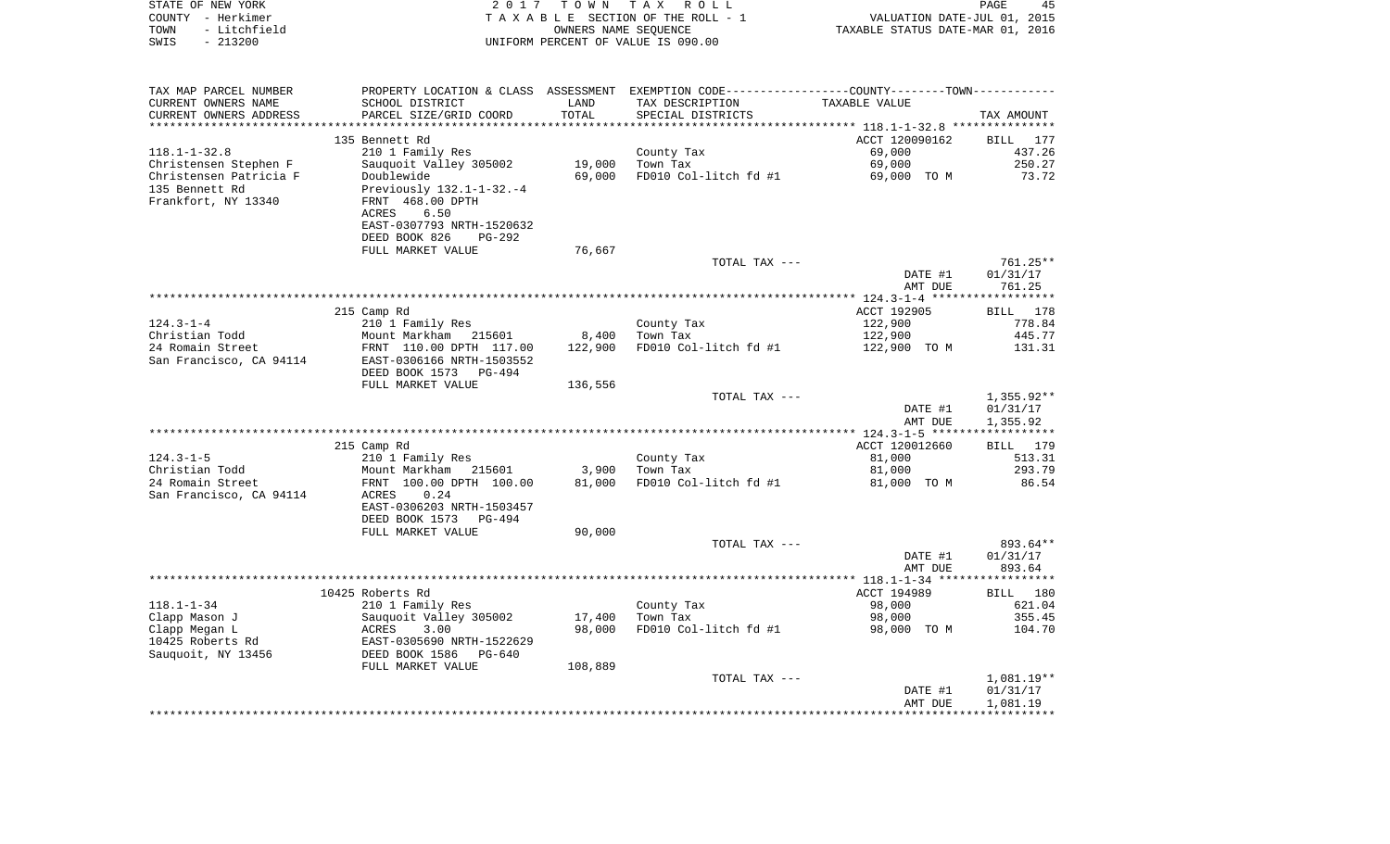| COUNTY - Herkimer                                                                                                       |                                                                                                                                                                     |         | T A X A B L E SECTION OF THE ROLL - 1                      | VALUATION DATE-JUL 01, 2015<br>TAXABLE STATUS DATE-MAR 01, 2016 |                    |
|-------------------------------------------------------------------------------------------------------------------------|---------------------------------------------------------------------------------------------------------------------------------------------------------------------|---------|------------------------------------------------------------|-----------------------------------------------------------------|--------------------|
| TOWN<br>- Litchfield<br>SWIS<br>$-213200$                                                                               |                                                                                                                                                                     |         | OWNERS NAME SEQUENCE<br>UNIFORM PERCENT OF VALUE IS 090.00 |                                                                 |                    |
|                                                                                                                         |                                                                                                                                                                     |         |                                                            |                                                                 |                    |
| TAX MAP PARCEL NUMBER                                                                                                   | PROPERTY LOCATION & CLASS ASSESSMENT EXEMPTION CODE----------------COUNTY-------TOWN----------                                                                      |         |                                                            |                                                                 |                    |
| CURRENT OWNERS NAME                                                                                                     | SCHOOL DISTRICT                                                                                                                                                     | LAND    | TAX DESCRIPTION                                            | TAXABLE VALUE                                                   |                    |
| CURRENT OWNERS ADDRESS                                                                                                  | PARCEL SIZE/GRID COORD                                                                                                                                              | TOTAL   | SPECIAL DISTRICTS                                          |                                                                 | TAX AMOUNT         |
|                                                                                                                         |                                                                                                                                                                     |         |                                                            |                                                                 |                    |
|                                                                                                                         | 135 Bennett Rd                                                                                                                                                      |         |                                                            | ACCT 120090162                                                  | BILL 177           |
| 118.1-1-32.8                                                                                                            | 210 1 Family Res                                                                                                                                                    |         | County Tax                                                 | 69,000                                                          | 437.26             |
| Christensen Stephen F<br>Christensen Stephen F                 Sauquoit Va<br>Christensen Patricia F         Doublewide | Sauquoit Valley 305002                                                                                                                                              | 19,000  | Town Tax                                                   | 69,000                                                          | 250.27             |
| 135 Bennett Rd                                                                                                          |                                                                                                                                                                     | 69,000  | FD010 Col-litch $fd$ #1 69,000 TO M                        |                                                                 | 73.72              |
| Frankfort, NY 13340                                                                                                     | Previously 132.1-1-32.-4<br>FRNT 468.00 DPTH                                                                                                                        |         |                                                            |                                                                 |                    |
|                                                                                                                         | ACRES<br>6.50                                                                                                                                                       |         |                                                            |                                                                 |                    |
|                                                                                                                         | EAST-0307793 NRTH-1520632                                                                                                                                           |         |                                                            |                                                                 |                    |
|                                                                                                                         | DEED BOOK 826<br>PG-292                                                                                                                                             |         |                                                            |                                                                 |                    |
|                                                                                                                         | FULL MARKET VALUE                                                                                                                                                   | 76,667  |                                                            |                                                                 |                    |
|                                                                                                                         |                                                                                                                                                                     |         | TOTAL TAX ---                                              |                                                                 | $761.25**$         |
|                                                                                                                         |                                                                                                                                                                     |         |                                                            | DATE #1                                                         | 01/31/17           |
|                                                                                                                         |                                                                                                                                                                     |         |                                                            | AMT DUE                                                         | 761.25             |
|                                                                                                                         |                                                                                                                                                                     |         |                                                            |                                                                 |                    |
|                                                                                                                         | 215 Camp Rd                                                                                                                                                         |         |                                                            | ACCT 192905                                                     | BILL 178           |
| $124.3 - 1 - 4$<br>Christian Todd                                                                                       | 210 1 Family Res                                                                                                                                                    | 8,400   | County Tax<br>Town Tax                                     | 122,900<br>122,900                                              | 778.84<br>445.77   |
| 24 Romain Street                                                                                                        |                                                                                                                                                                     | 122,900 | FD010 Col-litch fd #1                                      | 122,900 TO M                                                    | 131.31             |
| San Francisco, CA 94114                                                                                                 | --- - - - -<br>Mount Markham 215601<br>FRNT 110.00 DPTH 117.00<br>EAST-0306166 NRTH-1503552                                                                         |         |                                                            |                                                                 |                    |
|                                                                                                                         | DEED BOOK 1573 PG-494                                                                                                                                               |         |                                                            |                                                                 |                    |
|                                                                                                                         | FULL MARKET VALUE                                                                                                                                                   | 136,556 |                                                            |                                                                 |                    |
|                                                                                                                         |                                                                                                                                                                     |         | TOTAL TAX ---                                              |                                                                 | $1,355.92**$       |
|                                                                                                                         |                                                                                                                                                                     |         |                                                            | DATE #1                                                         | 01/31/17           |
|                                                                                                                         |                                                                                                                                                                     |         |                                                            | AMT DUE                                                         | 1,355.92           |
|                                                                                                                         |                                                                                                                                                                     |         |                                                            |                                                                 |                    |
| $124.3 - 1 - 5$                                                                                                         | 215 Camp Rd                                                                                                                                                         |         |                                                            | ACCT 120012660<br>81,000                                        | BILL 179<br>513.31 |
| Christian Todd                                                                                                          |                                                                                                                                                                     |         | County Tax<br>3,900 Town Tax                               | 81,000                                                          | 293.79             |
| 24 Romain Street                                                                                                        | 210 <sup>1</sup> Family Res<br>Mount Markham 215601<br>FRNT 100.00 DPTH 100.00                                                                                      |         | 81,000 FD010 Col-litch fd #1                               | 81,000 TO M                                                     | 86.54              |
| San Francisco, CA 94114         ACRES                                                                                   | 0.24                                                                                                                                                                |         |                                                            |                                                                 |                    |
|                                                                                                                         | EAST-0306203 NRTH-1503457                                                                                                                                           |         |                                                            |                                                                 |                    |
|                                                                                                                         | DEED BOOK 1573 PG-494                                                                                                                                               |         |                                                            |                                                                 |                    |
|                                                                                                                         | FULL MARKET VALUE                                                                                                                                                   | 90,000  |                                                            |                                                                 |                    |
|                                                                                                                         |                                                                                                                                                                     |         | TOTAL TAX ---                                              |                                                                 | 893.64**           |
|                                                                                                                         |                                                                                                                                                                     |         |                                                            | DATE #1                                                         | 01/31/17           |
|                                                                                                                         |                                                                                                                                                                     |         |                                                            | AMT DUE                                                         | 893.64             |
|                                                                                                                         | 10425 Roberts Rd                                                                                                                                                    |         |                                                            | ACCT 194989                                                     | BILL 180           |
| 118.1-1-34                                                                                                              | 210 1 Family Res                                                                                                                                                    |         |                                                            | 98,000                                                          | 621.04             |
|                                                                                                                         |                                                                                                                                                                     | 17,400  | County Tax<br>Town Tax                                     | 98,000                                                          | 355.45             |
|                                                                                                                         |                                                                                                                                                                     | 98,000  | FD010 Col-litch fd #1 98,000 TO M                          |                                                                 | 104.70             |
|                                                                                                                         |                                                                                                                                                                     |         |                                                            |                                                                 |                    |
|                                                                                                                         | 118.1-1-34<br>Clapp Mason J<br>Clapp Megan L<br>Clapp Megan L<br>10425 Roberts Rd<br>Sauquoit, NY 13456<br>2008 DEED BOOK 1586 PG-640<br>2011 DEED BOOK 1586 PG-640 |         |                                                            |                                                                 |                    |
|                                                                                                                         | FULL MARKET VALUE                                                                                                                                                   | 108,889 |                                                            |                                                                 |                    |
|                                                                                                                         |                                                                                                                                                                     |         | TOTAL TAX ---                                              |                                                                 | 1,081.19**         |
|                                                                                                                         |                                                                                                                                                                     |         |                                                            | DATE #1                                                         | 01/31/17           |
|                                                                                                                         |                                                                                                                                                                     |         |                                                            | AMT DUE                                                         | 1,081.19           |
|                                                                                                                         |                                                                                                                                                                     |         |                                                            |                                                                 |                    |

PAGE 45

STATE OF NEW YORK **EXECUTE:**  $2017$  TOWN TAX ROLL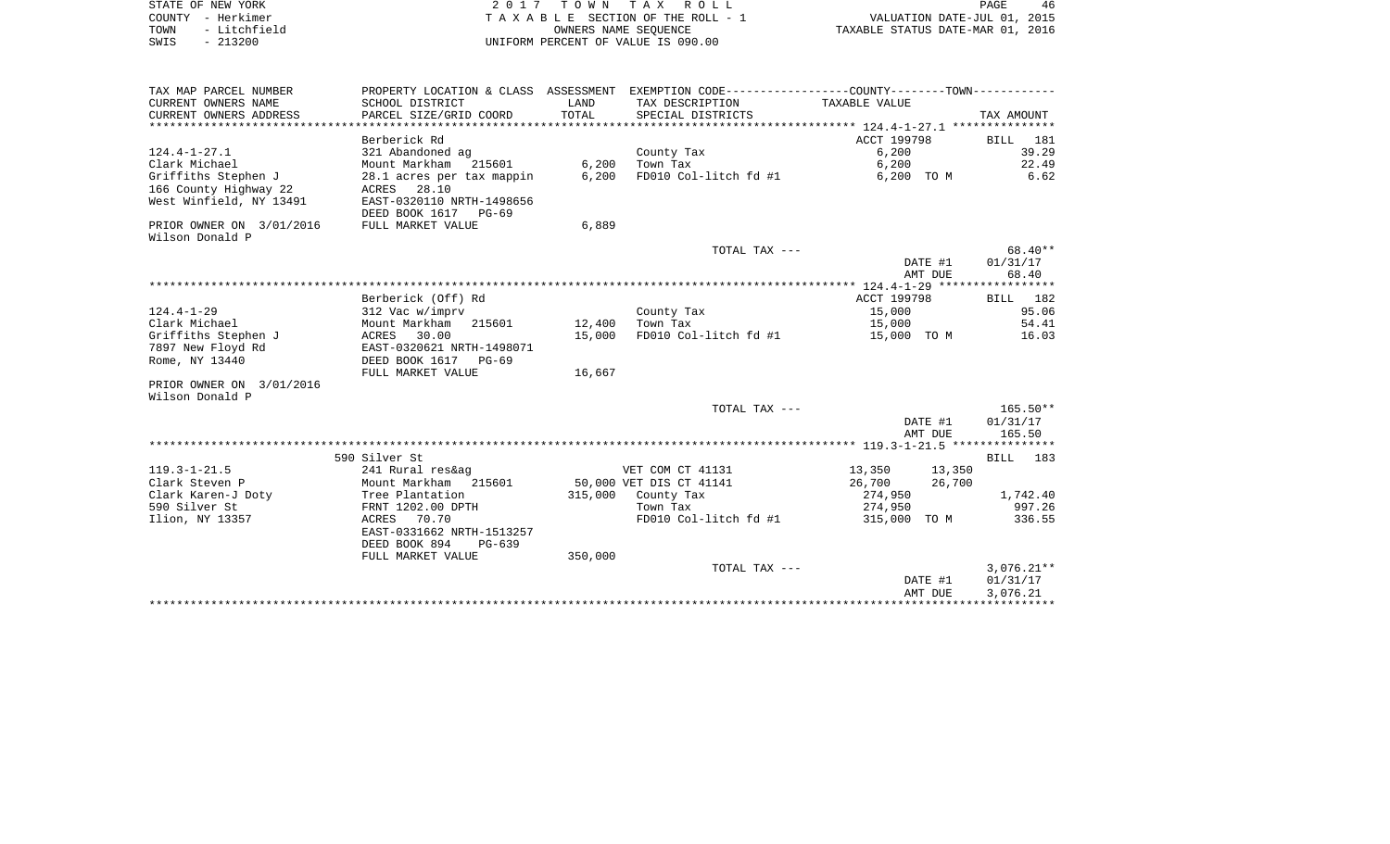| STATE OF NEW YORK    | 2017 TOWN TAX ROLL                 | 46<br><b>PAGE</b>                |
|----------------------|------------------------------------|----------------------------------|
| – Herkimer<br>COUNTY | TAXABLE SECTION OF THE ROLL - 1    | VALUATION DATE-JUL 01, 2015      |
| - Litchfield<br>TOWN | OWNERS NAME SEOUENCE               | TAXABLE STATUS DATE-MAR 01, 2016 |
| $-213200$<br>SWIS    | UNIFORM PERCENT OF VALUE IS 090.00 |                                  |

| TAX MAP PARCEL NUMBER    | PROPERTY LOCATION & CLASS ASSESSMENT EXEMPTION CODE--------------COUNTY-------TOWN---------- |         |                                       |               |        |              |
|--------------------------|----------------------------------------------------------------------------------------------|---------|---------------------------------------|---------------|--------|--------------|
| CURRENT OWNERS NAME      | SCHOOL DISTRICT                                                                              | LAND    | TAX DESCRIPTION                       | TAXABLE VALUE |        |              |
| CURRENT OWNERS ADDRESS   | PARCEL SIZE/GRID COORD                                                                       | TOTAL   | SPECIAL DISTRICTS                     |               |        | TAX AMOUNT   |
|                          |                                                                                              |         |                                       |               |        |              |
|                          | Berberick Rd                                                                                 |         |                                       | ACCT 199798   |        | BILL 181     |
| $124.4 - 1 - 27.1$       | 321 Abandoned ag                                                                             |         | County Tax                            | 6,200         |        | 39.29        |
| Clark Michael            | Mount Markham<br>215601                                                                      | 6,200   | Town Tax                              | 6,200         |        | 22.49        |
| Griffiths Stephen J      | 28.1 acres per tax mappin                                                                    | 6,200   | FD010 Col-litch fd #1                 | 6,200 TO M    |        | 6.62         |
| 166 County Highway 22    | ACRES 28.10                                                                                  |         |                                       |               |        |              |
| West Winfield, NY 13491  | EAST-0320110 NRTH-1498656                                                                    |         |                                       |               |        |              |
|                          | DEED BOOK 1617 PG-69                                                                         |         |                                       |               |        |              |
| PRIOR OWNER ON 3/01/2016 | FULL MARKET VALUE                                                                            | 6,889   |                                       |               |        |              |
| Wilson Donald P          |                                                                                              |         |                                       |               |        |              |
|                          |                                                                                              |         | TOTAL TAX ---                         |               |        | $68.40**$    |
|                          |                                                                                              |         |                                       | DATE #1       |        | 01/31/17     |
|                          |                                                                                              |         |                                       | AMT DUE       |        | 68.40        |
|                          |                                                                                              |         |                                       |               |        |              |
|                          | Berberick (Off) Rd                                                                           |         |                                       | ACCT 199798   |        | BILL 182     |
| $124.4 - 1 - 29$         | 312 Vac w/imprv                                                                              |         | County Tax                            | 15,000        |        | 95.06        |
| Clark Michael            | Mount Markham 215601                                                                         | 12,400  | Town Tax                              | 15,000        |        | 54.41        |
| Griffiths Stephen J      | 30.00<br>ACRES                                                                               | 15,000  | FD010 Col-litch $fd$ #1 $15,000$ TO M |               |        | 16.03        |
| 7897 New Floyd Rd        | EAST-0320621 NRTH-1498071                                                                    |         |                                       |               |        |              |
| Rome, NY 13440           | DEED BOOK 1617 PG-69                                                                         |         |                                       |               |        |              |
|                          | FULL MARKET VALUE                                                                            | 16,667  |                                       |               |        |              |
| PRIOR OWNER ON 3/01/2016 |                                                                                              |         |                                       |               |        |              |
| Wilson Donald P          |                                                                                              |         |                                       |               |        |              |
|                          |                                                                                              |         | TOTAL TAX ---                         |               |        | $165.50**$   |
|                          |                                                                                              |         |                                       | DATE #1       |        | 01/31/17     |
|                          |                                                                                              |         |                                       | AMT DUE       |        | 165.50       |
|                          |                                                                                              |         |                                       |               |        |              |
|                          | 590 Silver St                                                                                |         |                                       |               |        | BILL 183     |
| $119.3 - 1 - 21.5$       | 241 Rural res&ag                                                                             |         | VET COM CT 41131 13,350 13,350        |               |        |              |
| Clark Steven P           | Mount Markham 215601 50,000 VET DIS CT 41141                                                 |         |                                       | 26,700        | 26,700 |              |
| Clark Karen-J Doty       | Tree Plantation                                                                              |         | 315,000 County Tax                    | 274,950       |        | 1,742.40     |
| 590 Silver St            | FRNT 1202.00 DPTH                                                                            |         | Town Tax                              | 274,950       |        | 997.26       |
| Ilion, NY 13357          | ACRES 70.70                                                                                  |         | FD010 Col-litch fd #1                 | 315,000 TO M  |        | 336.55       |
|                          | EAST-0331662 NRTH-1513257                                                                    |         |                                       |               |        |              |
|                          | DEED BOOK 894<br>PG-639                                                                      |         |                                       |               |        |              |
|                          | FULL MARKET VALUE                                                                            | 350,000 |                                       |               |        |              |
|                          |                                                                                              |         | TOTAL TAX ---                         |               |        | $3,076.21**$ |
|                          |                                                                                              |         |                                       | DATE #1       |        | 01/31/17     |
|                          |                                                                                              |         |                                       | AMT DUE       |        | 3,076.21     |
|                          |                                                                                              |         |                                       |               |        |              |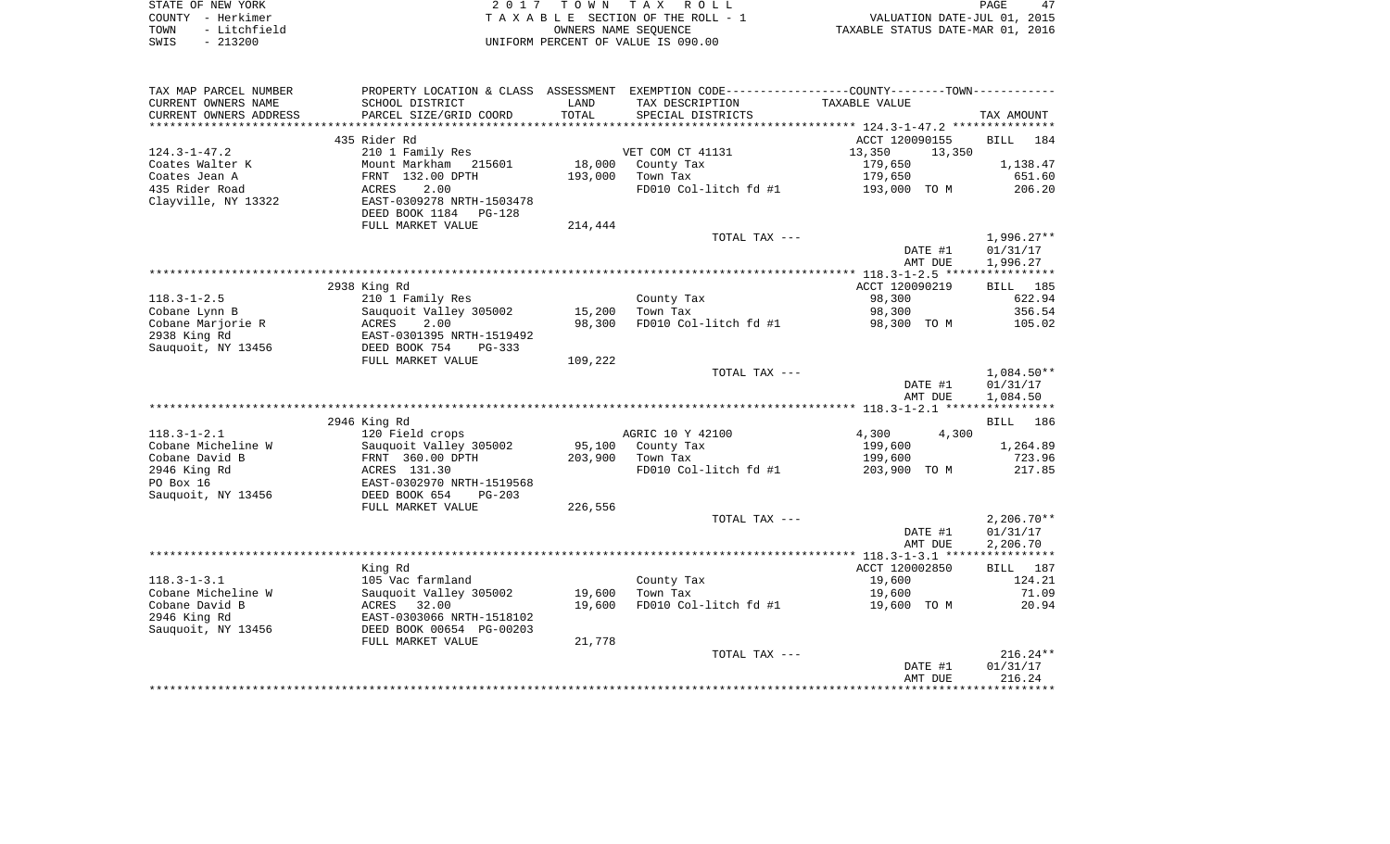|      | STATE OF NEW YORK | 7 ТОWN ТАХ ROLL                    | PAGE                             |  |
|------|-------------------|------------------------------------|----------------------------------|--|
|      | COUNTY - Herkimer | TAXABLE SECTION OF THE ROLL - 1    | VALUATION DATE-JUL 01, 2015      |  |
| TOWN | - Litchfield      | OWNERS NAME SEOUENCE               | TAXABLE STATUS DATE-MAR 01, 2016 |  |
| SWIS | $-213200$         | UNIFORM PERCENT OF VALUE IS 090.00 |                                  |  |

 $\begin{array}{c} 47 \\ 2015 \\ 2016 \end{array}$ 

| CURRENT OWNERS NAME<br>SCHOOL DISTRICT<br>LAND<br>TAX DESCRIPTION<br>TAXABLE VALUE<br>TOTAL<br>CURRENT OWNERS ADDRESS<br>PARCEL SIZE/GRID COORD<br>SPECIAL DISTRICTS<br>TAX AMOUNT<br>435 Rider Rd<br>ACCT 120090155<br><b>BILL</b><br>184<br>$124.3 - 1 - 47.2$<br>210 1 Family Res<br>VET COM CT 41131<br>13,350<br>13,350<br>18,000<br>179,650<br>1,138.47<br>Coates Walter K<br>Mount Markham 215601<br>County Tax<br>Coates Jean A<br>FRNT 132.00 DPTH<br>Town Tax<br>651.60<br>193,000<br>179,650<br>435 Rider Road<br>2.00<br>206.20<br>ACRES<br>FD010 Col-litch fd #1<br>193,000 TO M<br>Clayville, NY 13322<br>EAST-0309278 NRTH-1503478<br>DEED BOOK 1184<br>$PG-128$<br>FULL MARKET VALUE<br>214,444<br>$1,996.27**$<br>TOTAL TAX ---<br>01/31/17<br>DATE #1<br>AMT DUE<br>1,996.27<br>ACCT 120090219<br>BILL 185<br>2938 King Rd<br>$118.3 - 1 - 2.5$<br>210 1 Family Res<br>98,300<br>622.94<br>County Tax<br>15,200<br>356.54<br>Cobane Lynn B<br>Sauquoit Valley 305002<br>Town Tax<br>98,300<br>Cobane Marjorie R<br>ACRES<br>2.00<br>98,300<br>FD010 Col-litch fd #1<br>98,300 TO M<br>105.02<br>2938 King Rd<br>EAST-0301395 NRTH-1519492<br>Sauguoit, NY 13456<br>DEED BOOK 754<br>$PG-333$<br>FULL MARKET VALUE<br>109,222<br>$1,084.50**$<br>TOTAL TAX ---<br>01/31/17<br>DATE #1<br>AMT DUE<br>1,084.50<br>2946 King Rd<br>186<br>BILL<br>$118.3 - 1 - 2.1$<br>120 Field crops<br>AGRIC 10 Y 42100<br>4,300<br>4,300<br>Cobane Micheline W<br>Sauguoit Valley 305002<br>95,100<br>1,264.89<br>County Tax<br>199,600<br>Cobane David B<br>FRNT 360.00 DPTH<br>203,900<br>723.96<br>Town Tax<br>199,600<br>2946 King Rd<br>ACRES 131.30<br>FD010 Col-litch fd #1<br>203,900 TO M<br>217.85<br>PO Box 16<br>EAST-0302970 NRTH-1519568<br>Sauguoit, NY 13456<br>DEED BOOK 654<br>$PG-203$<br>FULL MARKET VALUE<br>226,556<br>TOTAL TAX ---<br>$2,206.70**$<br>01/31/17<br>DATE #1<br>AMT DUE<br>2,206.70<br>ACCT 120002850<br>King Rd<br>BILL 187<br>$118.3 - 1 - 3.1$<br>105 Vac farmland<br>19,600<br>124.21<br>County Tax<br>Cobane Micheline W<br>71.09<br>Sauguoit Valley 305002<br>19,600<br>Town Tax<br>19,600<br>Cobane David B<br>32.00<br>19,600<br>20.94<br>ACRES<br>FD010 Col-litch fd #1<br>19,600 TO M<br>2946 King Rd<br>EAST-0303066 NRTH-1518102<br>Sauquoit, NY 13456<br>DEED BOOK 00654 PG-00203<br>21,778<br>FULL MARKET VALUE<br>$216.24**$<br>TOTAL TAX ---<br>DATE #1<br>01/31/17<br>216.24<br>AMT DUE | TAX MAP PARCEL NUMBER | PROPERTY LOCATION & CLASS ASSESSMENT | EXEMPTION CODE-----------------COUNTY--------TOWN----------- |  |
|-------------------------------------------------------------------------------------------------------------------------------------------------------------------------------------------------------------------------------------------------------------------------------------------------------------------------------------------------------------------------------------------------------------------------------------------------------------------------------------------------------------------------------------------------------------------------------------------------------------------------------------------------------------------------------------------------------------------------------------------------------------------------------------------------------------------------------------------------------------------------------------------------------------------------------------------------------------------------------------------------------------------------------------------------------------------------------------------------------------------------------------------------------------------------------------------------------------------------------------------------------------------------------------------------------------------------------------------------------------------------------------------------------------------------------------------------------------------------------------------------------------------------------------------------------------------------------------------------------------------------------------------------------------------------------------------------------------------------------------------------------------------------------------------------------------------------------------------------------------------------------------------------------------------------------------------------------------------------------------------------------------------------------------------------------------------------------------------------------------------------------------------------------------------------------------------------------------------------------------------------------------------------------------------------------------------------------------------------------------------------------------------------------------------------------------------------|-----------------------|--------------------------------------|--------------------------------------------------------------|--|
|                                                                                                                                                                                                                                                                                                                                                                                                                                                                                                                                                                                                                                                                                                                                                                                                                                                                                                                                                                                                                                                                                                                                                                                                                                                                                                                                                                                                                                                                                                                                                                                                                                                                                                                                                                                                                                                                                                                                                                                                                                                                                                                                                                                                                                                                                                                                                                                                                                                 |                       |                                      |                                                              |  |
|                                                                                                                                                                                                                                                                                                                                                                                                                                                                                                                                                                                                                                                                                                                                                                                                                                                                                                                                                                                                                                                                                                                                                                                                                                                                                                                                                                                                                                                                                                                                                                                                                                                                                                                                                                                                                                                                                                                                                                                                                                                                                                                                                                                                                                                                                                                                                                                                                                                 |                       |                                      |                                                              |  |
|                                                                                                                                                                                                                                                                                                                                                                                                                                                                                                                                                                                                                                                                                                                                                                                                                                                                                                                                                                                                                                                                                                                                                                                                                                                                                                                                                                                                                                                                                                                                                                                                                                                                                                                                                                                                                                                                                                                                                                                                                                                                                                                                                                                                                                                                                                                                                                                                                                                 |                       |                                      |                                                              |  |
|                                                                                                                                                                                                                                                                                                                                                                                                                                                                                                                                                                                                                                                                                                                                                                                                                                                                                                                                                                                                                                                                                                                                                                                                                                                                                                                                                                                                                                                                                                                                                                                                                                                                                                                                                                                                                                                                                                                                                                                                                                                                                                                                                                                                                                                                                                                                                                                                                                                 |                       |                                      |                                                              |  |
|                                                                                                                                                                                                                                                                                                                                                                                                                                                                                                                                                                                                                                                                                                                                                                                                                                                                                                                                                                                                                                                                                                                                                                                                                                                                                                                                                                                                                                                                                                                                                                                                                                                                                                                                                                                                                                                                                                                                                                                                                                                                                                                                                                                                                                                                                                                                                                                                                                                 |                       |                                      |                                                              |  |
|                                                                                                                                                                                                                                                                                                                                                                                                                                                                                                                                                                                                                                                                                                                                                                                                                                                                                                                                                                                                                                                                                                                                                                                                                                                                                                                                                                                                                                                                                                                                                                                                                                                                                                                                                                                                                                                                                                                                                                                                                                                                                                                                                                                                                                                                                                                                                                                                                                                 |                       |                                      |                                                              |  |
|                                                                                                                                                                                                                                                                                                                                                                                                                                                                                                                                                                                                                                                                                                                                                                                                                                                                                                                                                                                                                                                                                                                                                                                                                                                                                                                                                                                                                                                                                                                                                                                                                                                                                                                                                                                                                                                                                                                                                                                                                                                                                                                                                                                                                                                                                                                                                                                                                                                 |                       |                                      |                                                              |  |
|                                                                                                                                                                                                                                                                                                                                                                                                                                                                                                                                                                                                                                                                                                                                                                                                                                                                                                                                                                                                                                                                                                                                                                                                                                                                                                                                                                                                                                                                                                                                                                                                                                                                                                                                                                                                                                                                                                                                                                                                                                                                                                                                                                                                                                                                                                                                                                                                                                                 |                       |                                      |                                                              |  |
|                                                                                                                                                                                                                                                                                                                                                                                                                                                                                                                                                                                                                                                                                                                                                                                                                                                                                                                                                                                                                                                                                                                                                                                                                                                                                                                                                                                                                                                                                                                                                                                                                                                                                                                                                                                                                                                                                                                                                                                                                                                                                                                                                                                                                                                                                                                                                                                                                                                 |                       |                                      |                                                              |  |
|                                                                                                                                                                                                                                                                                                                                                                                                                                                                                                                                                                                                                                                                                                                                                                                                                                                                                                                                                                                                                                                                                                                                                                                                                                                                                                                                                                                                                                                                                                                                                                                                                                                                                                                                                                                                                                                                                                                                                                                                                                                                                                                                                                                                                                                                                                                                                                                                                                                 |                       |                                      |                                                              |  |
|                                                                                                                                                                                                                                                                                                                                                                                                                                                                                                                                                                                                                                                                                                                                                                                                                                                                                                                                                                                                                                                                                                                                                                                                                                                                                                                                                                                                                                                                                                                                                                                                                                                                                                                                                                                                                                                                                                                                                                                                                                                                                                                                                                                                                                                                                                                                                                                                                                                 |                       |                                      |                                                              |  |
|                                                                                                                                                                                                                                                                                                                                                                                                                                                                                                                                                                                                                                                                                                                                                                                                                                                                                                                                                                                                                                                                                                                                                                                                                                                                                                                                                                                                                                                                                                                                                                                                                                                                                                                                                                                                                                                                                                                                                                                                                                                                                                                                                                                                                                                                                                                                                                                                                                                 |                       |                                      |                                                              |  |
|                                                                                                                                                                                                                                                                                                                                                                                                                                                                                                                                                                                                                                                                                                                                                                                                                                                                                                                                                                                                                                                                                                                                                                                                                                                                                                                                                                                                                                                                                                                                                                                                                                                                                                                                                                                                                                                                                                                                                                                                                                                                                                                                                                                                                                                                                                                                                                                                                                                 |                       |                                      |                                                              |  |
|                                                                                                                                                                                                                                                                                                                                                                                                                                                                                                                                                                                                                                                                                                                                                                                                                                                                                                                                                                                                                                                                                                                                                                                                                                                                                                                                                                                                                                                                                                                                                                                                                                                                                                                                                                                                                                                                                                                                                                                                                                                                                                                                                                                                                                                                                                                                                                                                                                                 |                       |                                      |                                                              |  |
|                                                                                                                                                                                                                                                                                                                                                                                                                                                                                                                                                                                                                                                                                                                                                                                                                                                                                                                                                                                                                                                                                                                                                                                                                                                                                                                                                                                                                                                                                                                                                                                                                                                                                                                                                                                                                                                                                                                                                                                                                                                                                                                                                                                                                                                                                                                                                                                                                                                 |                       |                                      |                                                              |  |
|                                                                                                                                                                                                                                                                                                                                                                                                                                                                                                                                                                                                                                                                                                                                                                                                                                                                                                                                                                                                                                                                                                                                                                                                                                                                                                                                                                                                                                                                                                                                                                                                                                                                                                                                                                                                                                                                                                                                                                                                                                                                                                                                                                                                                                                                                                                                                                                                                                                 |                       |                                      |                                                              |  |
|                                                                                                                                                                                                                                                                                                                                                                                                                                                                                                                                                                                                                                                                                                                                                                                                                                                                                                                                                                                                                                                                                                                                                                                                                                                                                                                                                                                                                                                                                                                                                                                                                                                                                                                                                                                                                                                                                                                                                                                                                                                                                                                                                                                                                                                                                                                                                                                                                                                 |                       |                                      |                                                              |  |
|                                                                                                                                                                                                                                                                                                                                                                                                                                                                                                                                                                                                                                                                                                                                                                                                                                                                                                                                                                                                                                                                                                                                                                                                                                                                                                                                                                                                                                                                                                                                                                                                                                                                                                                                                                                                                                                                                                                                                                                                                                                                                                                                                                                                                                                                                                                                                                                                                                                 |                       |                                      |                                                              |  |
|                                                                                                                                                                                                                                                                                                                                                                                                                                                                                                                                                                                                                                                                                                                                                                                                                                                                                                                                                                                                                                                                                                                                                                                                                                                                                                                                                                                                                                                                                                                                                                                                                                                                                                                                                                                                                                                                                                                                                                                                                                                                                                                                                                                                                                                                                                                                                                                                                                                 |                       |                                      |                                                              |  |
|                                                                                                                                                                                                                                                                                                                                                                                                                                                                                                                                                                                                                                                                                                                                                                                                                                                                                                                                                                                                                                                                                                                                                                                                                                                                                                                                                                                                                                                                                                                                                                                                                                                                                                                                                                                                                                                                                                                                                                                                                                                                                                                                                                                                                                                                                                                                                                                                                                                 |                       |                                      |                                                              |  |
|                                                                                                                                                                                                                                                                                                                                                                                                                                                                                                                                                                                                                                                                                                                                                                                                                                                                                                                                                                                                                                                                                                                                                                                                                                                                                                                                                                                                                                                                                                                                                                                                                                                                                                                                                                                                                                                                                                                                                                                                                                                                                                                                                                                                                                                                                                                                                                                                                                                 |                       |                                      |                                                              |  |
|                                                                                                                                                                                                                                                                                                                                                                                                                                                                                                                                                                                                                                                                                                                                                                                                                                                                                                                                                                                                                                                                                                                                                                                                                                                                                                                                                                                                                                                                                                                                                                                                                                                                                                                                                                                                                                                                                                                                                                                                                                                                                                                                                                                                                                                                                                                                                                                                                                                 |                       |                                      |                                                              |  |
|                                                                                                                                                                                                                                                                                                                                                                                                                                                                                                                                                                                                                                                                                                                                                                                                                                                                                                                                                                                                                                                                                                                                                                                                                                                                                                                                                                                                                                                                                                                                                                                                                                                                                                                                                                                                                                                                                                                                                                                                                                                                                                                                                                                                                                                                                                                                                                                                                                                 |                       |                                      |                                                              |  |
|                                                                                                                                                                                                                                                                                                                                                                                                                                                                                                                                                                                                                                                                                                                                                                                                                                                                                                                                                                                                                                                                                                                                                                                                                                                                                                                                                                                                                                                                                                                                                                                                                                                                                                                                                                                                                                                                                                                                                                                                                                                                                                                                                                                                                                                                                                                                                                                                                                                 |                       |                                      |                                                              |  |
|                                                                                                                                                                                                                                                                                                                                                                                                                                                                                                                                                                                                                                                                                                                                                                                                                                                                                                                                                                                                                                                                                                                                                                                                                                                                                                                                                                                                                                                                                                                                                                                                                                                                                                                                                                                                                                                                                                                                                                                                                                                                                                                                                                                                                                                                                                                                                                                                                                                 |                       |                                      |                                                              |  |
|                                                                                                                                                                                                                                                                                                                                                                                                                                                                                                                                                                                                                                                                                                                                                                                                                                                                                                                                                                                                                                                                                                                                                                                                                                                                                                                                                                                                                                                                                                                                                                                                                                                                                                                                                                                                                                                                                                                                                                                                                                                                                                                                                                                                                                                                                                                                                                                                                                                 |                       |                                      |                                                              |  |
|                                                                                                                                                                                                                                                                                                                                                                                                                                                                                                                                                                                                                                                                                                                                                                                                                                                                                                                                                                                                                                                                                                                                                                                                                                                                                                                                                                                                                                                                                                                                                                                                                                                                                                                                                                                                                                                                                                                                                                                                                                                                                                                                                                                                                                                                                                                                                                                                                                                 |                       |                                      |                                                              |  |
|                                                                                                                                                                                                                                                                                                                                                                                                                                                                                                                                                                                                                                                                                                                                                                                                                                                                                                                                                                                                                                                                                                                                                                                                                                                                                                                                                                                                                                                                                                                                                                                                                                                                                                                                                                                                                                                                                                                                                                                                                                                                                                                                                                                                                                                                                                                                                                                                                                                 |                       |                                      |                                                              |  |
|                                                                                                                                                                                                                                                                                                                                                                                                                                                                                                                                                                                                                                                                                                                                                                                                                                                                                                                                                                                                                                                                                                                                                                                                                                                                                                                                                                                                                                                                                                                                                                                                                                                                                                                                                                                                                                                                                                                                                                                                                                                                                                                                                                                                                                                                                                                                                                                                                                                 |                       |                                      |                                                              |  |
|                                                                                                                                                                                                                                                                                                                                                                                                                                                                                                                                                                                                                                                                                                                                                                                                                                                                                                                                                                                                                                                                                                                                                                                                                                                                                                                                                                                                                                                                                                                                                                                                                                                                                                                                                                                                                                                                                                                                                                                                                                                                                                                                                                                                                                                                                                                                                                                                                                                 |                       |                                      |                                                              |  |
|                                                                                                                                                                                                                                                                                                                                                                                                                                                                                                                                                                                                                                                                                                                                                                                                                                                                                                                                                                                                                                                                                                                                                                                                                                                                                                                                                                                                                                                                                                                                                                                                                                                                                                                                                                                                                                                                                                                                                                                                                                                                                                                                                                                                                                                                                                                                                                                                                                                 |                       |                                      |                                                              |  |
|                                                                                                                                                                                                                                                                                                                                                                                                                                                                                                                                                                                                                                                                                                                                                                                                                                                                                                                                                                                                                                                                                                                                                                                                                                                                                                                                                                                                                                                                                                                                                                                                                                                                                                                                                                                                                                                                                                                                                                                                                                                                                                                                                                                                                                                                                                                                                                                                                                                 |                       |                                      |                                                              |  |
|                                                                                                                                                                                                                                                                                                                                                                                                                                                                                                                                                                                                                                                                                                                                                                                                                                                                                                                                                                                                                                                                                                                                                                                                                                                                                                                                                                                                                                                                                                                                                                                                                                                                                                                                                                                                                                                                                                                                                                                                                                                                                                                                                                                                                                                                                                                                                                                                                                                 |                       |                                      |                                                              |  |
|                                                                                                                                                                                                                                                                                                                                                                                                                                                                                                                                                                                                                                                                                                                                                                                                                                                                                                                                                                                                                                                                                                                                                                                                                                                                                                                                                                                                                                                                                                                                                                                                                                                                                                                                                                                                                                                                                                                                                                                                                                                                                                                                                                                                                                                                                                                                                                                                                                                 |                       |                                      |                                                              |  |
|                                                                                                                                                                                                                                                                                                                                                                                                                                                                                                                                                                                                                                                                                                                                                                                                                                                                                                                                                                                                                                                                                                                                                                                                                                                                                                                                                                                                                                                                                                                                                                                                                                                                                                                                                                                                                                                                                                                                                                                                                                                                                                                                                                                                                                                                                                                                                                                                                                                 |                       |                                      |                                                              |  |
|                                                                                                                                                                                                                                                                                                                                                                                                                                                                                                                                                                                                                                                                                                                                                                                                                                                                                                                                                                                                                                                                                                                                                                                                                                                                                                                                                                                                                                                                                                                                                                                                                                                                                                                                                                                                                                                                                                                                                                                                                                                                                                                                                                                                                                                                                                                                                                                                                                                 |                       |                                      |                                                              |  |
|                                                                                                                                                                                                                                                                                                                                                                                                                                                                                                                                                                                                                                                                                                                                                                                                                                                                                                                                                                                                                                                                                                                                                                                                                                                                                                                                                                                                                                                                                                                                                                                                                                                                                                                                                                                                                                                                                                                                                                                                                                                                                                                                                                                                                                                                                                                                                                                                                                                 |                       |                                      |                                                              |  |
|                                                                                                                                                                                                                                                                                                                                                                                                                                                                                                                                                                                                                                                                                                                                                                                                                                                                                                                                                                                                                                                                                                                                                                                                                                                                                                                                                                                                                                                                                                                                                                                                                                                                                                                                                                                                                                                                                                                                                                                                                                                                                                                                                                                                                                                                                                                                                                                                                                                 |                       |                                      |                                                              |  |
|                                                                                                                                                                                                                                                                                                                                                                                                                                                                                                                                                                                                                                                                                                                                                                                                                                                                                                                                                                                                                                                                                                                                                                                                                                                                                                                                                                                                                                                                                                                                                                                                                                                                                                                                                                                                                                                                                                                                                                                                                                                                                                                                                                                                                                                                                                                                                                                                                                                 |                       |                                      |                                                              |  |
|                                                                                                                                                                                                                                                                                                                                                                                                                                                                                                                                                                                                                                                                                                                                                                                                                                                                                                                                                                                                                                                                                                                                                                                                                                                                                                                                                                                                                                                                                                                                                                                                                                                                                                                                                                                                                                                                                                                                                                                                                                                                                                                                                                                                                                                                                                                                                                                                                                                 |                       |                                      |                                                              |  |
|                                                                                                                                                                                                                                                                                                                                                                                                                                                                                                                                                                                                                                                                                                                                                                                                                                                                                                                                                                                                                                                                                                                                                                                                                                                                                                                                                                                                                                                                                                                                                                                                                                                                                                                                                                                                                                                                                                                                                                                                                                                                                                                                                                                                                                                                                                                                                                                                                                                 |                       |                                      |                                                              |  |
|                                                                                                                                                                                                                                                                                                                                                                                                                                                                                                                                                                                                                                                                                                                                                                                                                                                                                                                                                                                                                                                                                                                                                                                                                                                                                                                                                                                                                                                                                                                                                                                                                                                                                                                                                                                                                                                                                                                                                                                                                                                                                                                                                                                                                                                                                                                                                                                                                                                 |                       |                                      |                                                              |  |
|                                                                                                                                                                                                                                                                                                                                                                                                                                                                                                                                                                                                                                                                                                                                                                                                                                                                                                                                                                                                                                                                                                                                                                                                                                                                                                                                                                                                                                                                                                                                                                                                                                                                                                                                                                                                                                                                                                                                                                                                                                                                                                                                                                                                                                                                                                                                                                                                                                                 |                       |                                      |                                                              |  |
|                                                                                                                                                                                                                                                                                                                                                                                                                                                                                                                                                                                                                                                                                                                                                                                                                                                                                                                                                                                                                                                                                                                                                                                                                                                                                                                                                                                                                                                                                                                                                                                                                                                                                                                                                                                                                                                                                                                                                                                                                                                                                                                                                                                                                                                                                                                                                                                                                                                 |                       |                                      |                                                              |  |
|                                                                                                                                                                                                                                                                                                                                                                                                                                                                                                                                                                                                                                                                                                                                                                                                                                                                                                                                                                                                                                                                                                                                                                                                                                                                                                                                                                                                                                                                                                                                                                                                                                                                                                                                                                                                                                                                                                                                                                                                                                                                                                                                                                                                                                                                                                                                                                                                                                                 |                       |                                      |                                                              |  |
|                                                                                                                                                                                                                                                                                                                                                                                                                                                                                                                                                                                                                                                                                                                                                                                                                                                                                                                                                                                                                                                                                                                                                                                                                                                                                                                                                                                                                                                                                                                                                                                                                                                                                                                                                                                                                                                                                                                                                                                                                                                                                                                                                                                                                                                                                                                                                                                                                                                 |                       |                                      |                                                              |  |
|                                                                                                                                                                                                                                                                                                                                                                                                                                                                                                                                                                                                                                                                                                                                                                                                                                                                                                                                                                                                                                                                                                                                                                                                                                                                                                                                                                                                                                                                                                                                                                                                                                                                                                                                                                                                                                                                                                                                                                                                                                                                                                                                                                                                                                                                                                                                                                                                                                                 |                       |                                      |                                                              |  |
|                                                                                                                                                                                                                                                                                                                                                                                                                                                                                                                                                                                                                                                                                                                                                                                                                                                                                                                                                                                                                                                                                                                                                                                                                                                                                                                                                                                                                                                                                                                                                                                                                                                                                                                                                                                                                                                                                                                                                                                                                                                                                                                                                                                                                                                                                                                                                                                                                                                 |                       |                                      |                                                              |  |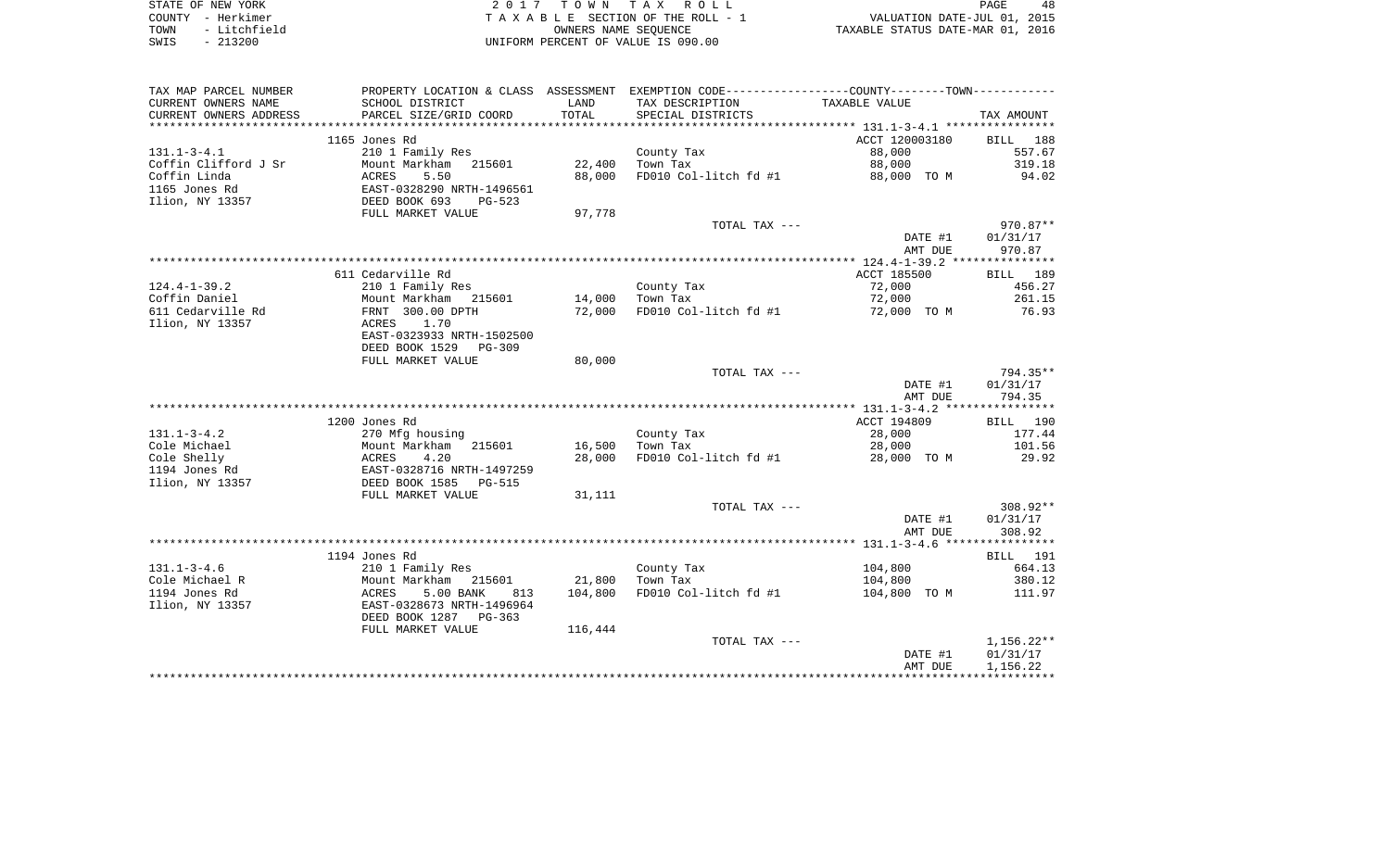| STATE OF NEW YORK    | 2017 TOWN TAX ROLL                 | 48<br>PAGE                       |
|----------------------|------------------------------------|----------------------------------|
| COUNTY - Herkimer    | TAXABLE SECTION OF THE ROLL - 1    | VALUATION DATE-JUL 01, 2015      |
| - Litchfield<br>TOWN | OWNERS NAME SEOUENCE               | TAXABLE STATUS DATE-MAR 01, 2016 |
| $-213200$<br>SWIS    | UNIFORM PERCENT OF VALUE IS 090.00 |                                  |

| TAX MAP PARCEL NUMBER            |                                                                                                       |         | PROPERTY LOCATION & CLASS ASSESSMENT EXEMPTION CODE---------------COUNTY-------TOWN---------- |                |                 |
|----------------------------------|-------------------------------------------------------------------------------------------------------|---------|-----------------------------------------------------------------------------------------------|----------------|-----------------|
| CURRENT OWNERS NAME              | SCHOOL DISTRICT                                                                                       | LAND    | TAX DESCRIPTION                                                                               | TAXABLE VALUE  |                 |
| CURRENT OWNERS ADDRESS           | PARCEL SIZE/GRID COORD                                                                                | TOTAL   | SPECIAL DISTRICTS                                                                             |                | TAX AMOUNT      |
|                                  |                                                                                                       |         |                                                                                               |                |                 |
|                                  | 1165 Jones Rd                                                                                         |         |                                                                                               | ACCT 120003180 | BILL 188        |
| $131.1 - 3 - 4.1$                | 210 1 Family Res                                                                                      |         | County Tax                                                                                    | 88,000         | 557.67          |
| Coffin Clifford J Sr             | Mount Markham 215601                                                                                  | 22,400  | Town Tax                                                                                      | 88,000         | 319.18          |
| Coffin Linda                     | ACRES 5.50<br>EAST-0328290 NRTH-1496561<br>DEED BOOK 693 PG-523                                       | 88,000  | FD010 Col-litch fd #1                                                                         | 88,000 TO M    | 94.02           |
| 1165 Jones Rd<br>Ilion, NY 13357 |                                                                                                       |         |                                                                                               |                |                 |
|                                  | FULL MARKET VALUE                                                                                     | 97,778  |                                                                                               |                |                 |
|                                  |                                                                                                       |         | TOTAL TAX ---                                                                                 |                | 970.87**        |
|                                  |                                                                                                       |         |                                                                                               | DATE #1        | 01/31/17        |
|                                  |                                                                                                       |         |                                                                                               | AMT DUE        | 970.87          |
|                                  |                                                                                                       |         |                                                                                               |                |                 |
|                                  | 611 Cedarville Rd                                                                                     |         |                                                                                               | ACCT 185500    | BILL 189        |
| $124.4 - 1 - 39.2$               | 210 1 Family Res                                                                                      |         | County Tax                                                                                    | 72,000         | 456.27          |
| Coffin Daniel                    | Mount Markham 215601                                                                                  | 14,000  | Town Tax                                                                                      | 72,000         | 261.15          |
| 611 Cedarville Rd                | FRNT 300.00 DPTH                                                                                      | 72,000  | FD010 Col-litch fd #1 72,000 TO M                                                             |                | 76.93           |
| Ilion, NY 13357                  | ACRES 1.70                                                                                            |         |                                                                                               |                |                 |
|                                  | EAST-0323933 NRTH-1502500                                                                             |         |                                                                                               |                |                 |
|                                  | DEED BOOK 1529 PG-309                                                                                 |         |                                                                                               |                |                 |
|                                  | FULL MARKET VALUE                                                                                     | 80,000  |                                                                                               |                |                 |
|                                  |                                                                                                       |         | TOTAL TAX ---                                                                                 |                | 794.35**        |
|                                  |                                                                                                       |         |                                                                                               | DATE #1        | 01/31/17        |
|                                  |                                                                                                       |         |                                                                                               | AMT DUE        | 794.35          |
|                                  |                                                                                                       |         |                                                                                               |                |                 |
|                                  | 1200 Jones Rd                                                                                         |         |                                                                                               | ACCT 194809    | <b>BILL</b> 190 |
| $131.1 - 3 - 4.2$                | 270 Mfg housing<br>270 Mfg housing<br>Mount Markham 215601<br>ACRES 4.20<br>EAST-0328716 NRTH-1497259 |         | County Tax                                                                                    | 28,000         | 177.44          |
| Cole Michael                     |                                                                                                       | 16,500  | Town Tax                                                                                      | 28,000         | 101.56          |
| Cole Shelly<br>1194 Jones Rd     |                                                                                                       | 28,000  | FD010 Col-litch fd #1 28,000 TO M                                                             |                | 29.92           |
| Ilion, NY 13357                  | DEED BOOK 1585<br>PG-515                                                                              |         |                                                                                               |                |                 |
|                                  | FULL MARKET VALUE                                                                                     | 31,111  |                                                                                               |                |                 |
|                                  |                                                                                                       |         | TOTAL TAX ---                                                                                 |                | 308.92**        |
|                                  |                                                                                                       |         |                                                                                               | DATE #1        | 01/31/17        |
|                                  |                                                                                                       |         |                                                                                               | AMT DUE        | 308.92          |
|                                  |                                                                                                       |         |                                                                                               |                |                 |
|                                  | 1194 Jones Rd                                                                                         |         |                                                                                               |                | BILL 191        |
| $131.1 - 3 - 4.6$                | 210 1 Family Res                                                                                      |         | County Tax                                                                                    | 104,800        | 664.13          |
| Cole Michael R                   | Mount Markham 215601<br>ACRES 5.00 BANK 813                                                           | 21,800  | Town Tax                                                                                      | 104,800        | 380.12          |
| 1194 Jones Rd                    | 813                                                                                                   | 104,800 | FD010 Col-litch fd #1                                                                         | 104,800 TO M   | 111.97          |
| Ilion, NY 13357                  | EAST-0328673 NRTH-1496964                                                                             |         |                                                                                               |                |                 |
|                                  | DEED BOOK 1287 PG-363                                                                                 |         |                                                                                               |                |                 |
|                                  | FULL MARKET VALUE                                                                                     | 116,444 |                                                                                               |                |                 |
|                                  |                                                                                                       |         | TOTAL TAX ---                                                                                 |                | $1,156.22**$    |
|                                  |                                                                                                       |         |                                                                                               | DATE #1        | 01/31/17        |
|                                  |                                                                                                       |         |                                                                                               | AMT DUE        | 1,156.22        |
|                                  |                                                                                                       |         |                                                                                               |                |                 |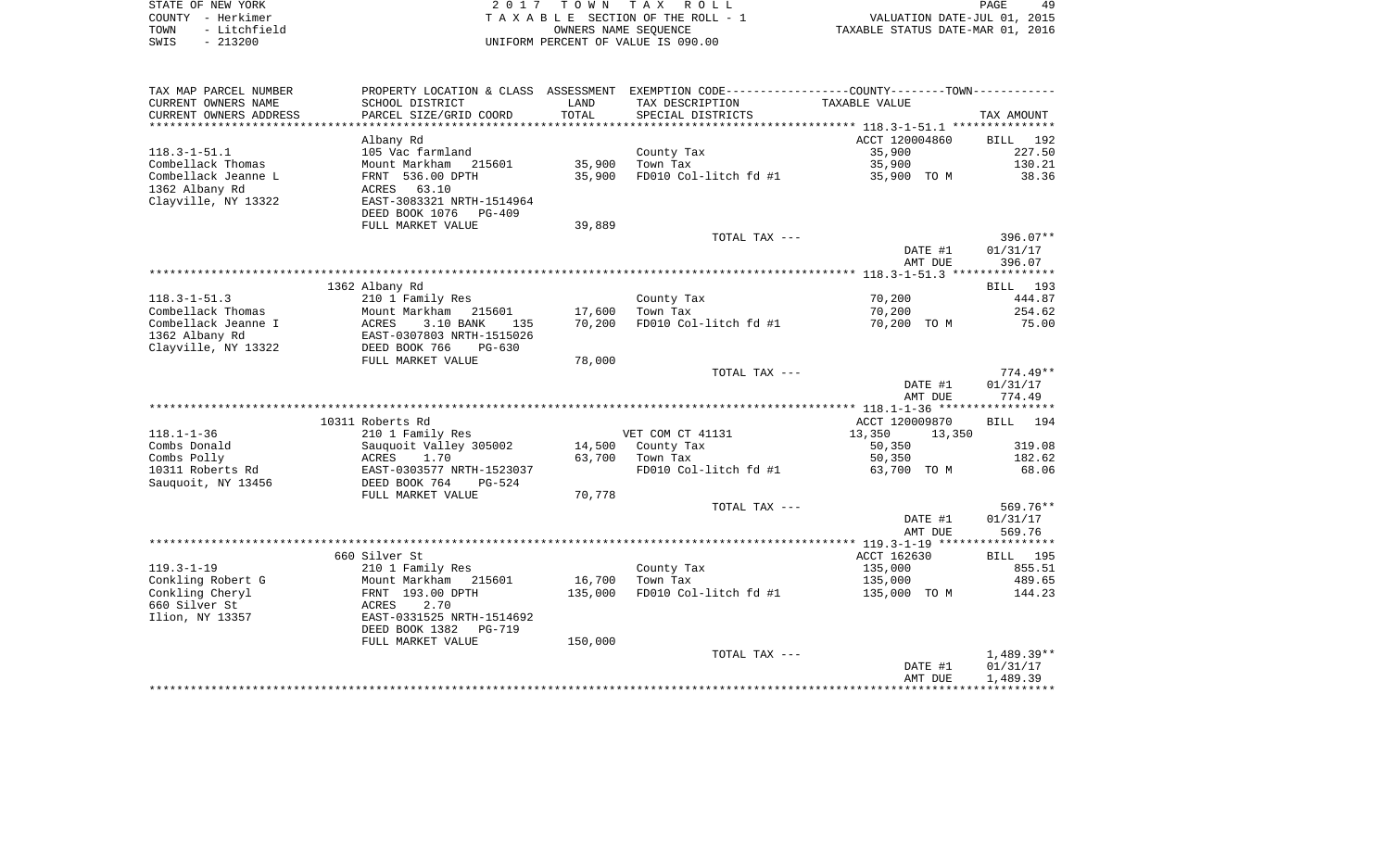| STATE OF NEW YORK    | 2017 TOWN TAX ROLL                 | 49<br>PAGE                       |
|----------------------|------------------------------------|----------------------------------|
| COUNTY - Herkimer    | TAXABLE SECTION OF THE ROLL - 1    | VALUATION DATE-JUL 01, 2015      |
| - Litchfield<br>TOWN | OWNERS NAME SEOUENCE               | TAXABLE STATUS DATE-MAR 01, 2016 |
| $-213200$<br>SWIS    | UNIFORM PERCENT OF VALUE IS 090.00 |                                  |

| TAX MAP PARCEL NUMBER<br>CURRENT OWNERS NAME                 | SCHOOL DISTRICT                                                                                                  | LAND              | PROPERTY LOCATION & CLASS ASSESSMENT EXEMPTION CODE----------------COUNTY-------TOWN----------<br>TAX DESCRIPTION | TAXABLE VALUE            |                                |
|--------------------------------------------------------------|------------------------------------------------------------------------------------------------------------------|-------------------|-------------------------------------------------------------------------------------------------------------------|--------------------------|--------------------------------|
| CURRENT OWNERS ADDRESS<br>***********************            | PARCEL SIZE/GRID COORD                                                                                           | TOTAL             | SPECIAL DISTRICTS                                                                                                 |                          | TAX AMOUNT                     |
| $118.3 - 1 - 51.1$                                           | Albany Rd<br>105 Vac farmland                                                                                    |                   | County Tax                                                                                                        | ACCT 120004860<br>35,900 | 192<br><b>BILL</b><br>227.50   |
| Combellack Thomas                                            | Mount Markham 215601                                                                                             | 35,900            | Town Tax                                                                                                          | 35,900                   | 130.21                         |
| Combellack Jeanne L<br>1362 Albany Rd<br>Clayville, NY 13322 | FRNT 536.00 DPTH<br>63.10<br>ACRES<br>EAST-3083321 NRTH-1514964<br>DEED BOOK 1076<br>PG-409<br>FULL MARKET VALUE | 35,900            | FD010 Col-litch fd #1                                                                                             | 35,900 TO M              | 38.36                          |
|                                                              |                                                                                                                  | 39,889            | TOTAL TAX ---                                                                                                     |                          | 396.07**                       |
|                                                              |                                                                                                                  |                   |                                                                                                                   | DATE #1<br>AMT DUE       | 01/31/17<br>396.07             |
|                                                              |                                                                                                                  |                   |                                                                                                                   |                          |                                |
|                                                              | 1362 Albany Rd                                                                                                   |                   |                                                                                                                   |                          | <b>BILL</b><br>193             |
| $118.3 - 1 - 51.3$                                           | 210 1 Family Res                                                                                                 |                   | County Tax                                                                                                        | 70,200                   | 444.87                         |
| Combellack Thomas<br>Combellack Jeanne I                     | Mount Markham 215601<br>ACRES<br>3.10 BANK<br>135                                                                | 17,600<br>70,200  | Town Tax<br>FD010 Col-litch fd #1                                                                                 | 70,200<br>70,200 TO M    | 254.62<br>75.00                |
| 1362 Albany Rd<br>Clayville, NY 13322                        | EAST-0307803 NRTH-1515026<br>DEED BOOK 766<br>$PG-630$                                                           |                   |                                                                                                                   |                          |                                |
|                                                              | FULL MARKET VALUE                                                                                                | 78,000            |                                                                                                                   |                          |                                |
|                                                              |                                                                                                                  |                   | TOTAL TAX ---                                                                                                     |                          | 774.49**                       |
|                                                              |                                                                                                                  |                   |                                                                                                                   | DATE #1<br>AMT DUE       | 01/31/17<br>774.49             |
|                                                              |                                                                                                                  |                   |                                                                                                                   | ACCT 120009870           | 194                            |
| $118.1 - 1 - 36$                                             | 10311 Roberts Rd<br>210 1 Family Res                                                                             |                   | VET COM CT 41131                                                                                                  | 13,350<br>13,350         | BILL                           |
| Combs Donald                                                 | Sauquoit Valley 305002                                                                                           | 14,500            | County Tax                                                                                                        | 50,350                   | 319.08                         |
| Combs Polly                                                  | ACRES<br>1.70                                                                                                    | 63,700            | Town Tax                                                                                                          | 50,350                   | 182.62                         |
| 10311 Roberts Rd<br>Sauquoit, NY 13456                       | EAST-0303577 NRTH-1523037<br>DEED BOOK 764<br>$PG-524$                                                           |                   | FD010 Col-litch fd #1                                                                                             | 63,700 TO M              | 68.06                          |
|                                                              | FULL MARKET VALUE                                                                                                | 70,778            |                                                                                                                   |                          |                                |
|                                                              |                                                                                                                  |                   | TOTAL TAX ---                                                                                                     | DATE #1<br>AMT DUE       | 569.76**<br>01/31/17<br>569.76 |
|                                                              |                                                                                                                  |                   |                                                                                                                   |                          |                                |
|                                                              | 660 Silver St                                                                                                    |                   |                                                                                                                   | ACCT 162630              | BILL 195                       |
| $119.3 - 1 - 19$                                             | 210 1 Family Res                                                                                                 |                   | County Tax                                                                                                        | 135,000                  | 855.51                         |
| Conkling Robert G<br>Conkling Cheryl                         | Mount Markham<br>215601<br>FRNT 193.00 DPTH                                                                      | 16,700<br>135,000 | Town Tax<br>FD010 Col-litch fd #1                                                                                 | 135,000<br>135,000 TO M  | 489.65<br>144.23               |
| 660 Silver St                                                | 2.70<br>ACRES                                                                                                    |                   |                                                                                                                   |                          |                                |
| Ilion, NY 13357                                              | EAST-0331525 NRTH-1514692<br>DEED BOOK 1382<br><b>PG-719</b>                                                     |                   |                                                                                                                   |                          |                                |
|                                                              | FULL MARKET VALUE                                                                                                | 150,000           |                                                                                                                   |                          |                                |
|                                                              |                                                                                                                  |                   | TOTAL TAX ---                                                                                                     |                          | 1,489.39**                     |
|                                                              |                                                                                                                  |                   |                                                                                                                   | DATE #1<br>AMT DUE       | 01/31/17<br>1,489.39           |
|                                                              |                                                                                                                  |                   |                                                                                                                   |                          |                                |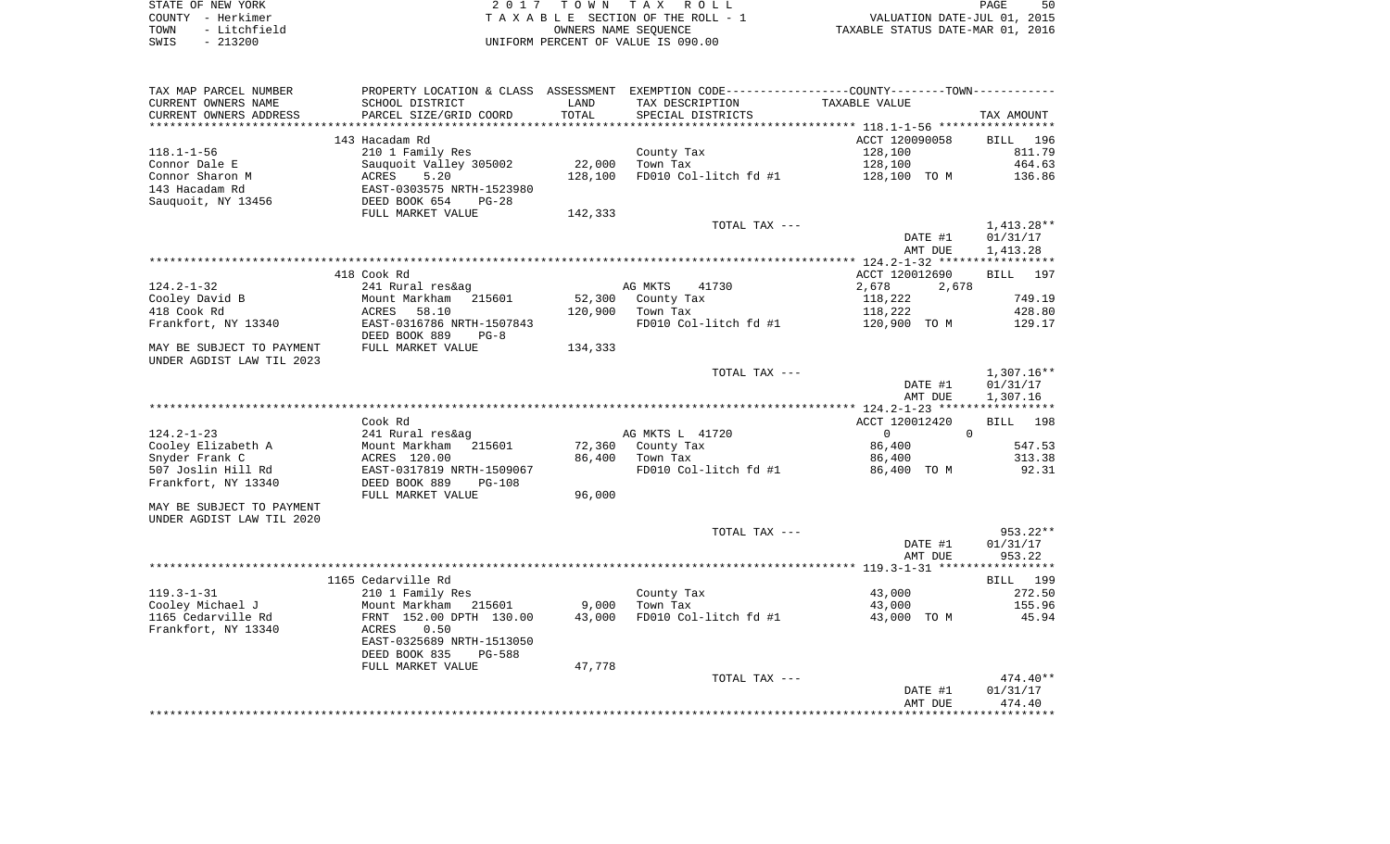STATE OF NEW YORK **EXECUTE:**  $2017$  TOWN TAX ROLL COUNTY - Herkimer  $T A X A B L E$  SECTION OF THE ROLL - 1 COUNTY - Herkimer (1, 2015)<br>
TAXABLE SECTION OF THE ROLL - 1 VALUATION DATE-JUL 01, 2015<br>
TOWN - Litchfield (2016) OWNERS NAME SEQUENCE (2016)<br>
OWNERS NAME SEQUENCE (2016) OWNERS NAME SEQUENCE (2016) TAXABLE STATUS DATE-MA UNIFORM PERCENT OF VALUE IS 090.00

| TAX MAP PARCEL NUMBER                | PROPERTY LOCATION & CLASS ASSESSMENT EXEMPTION CODE----------------COUNTY--------TOWN---------- |         |                       |                            |                           |
|--------------------------------------|-------------------------------------------------------------------------------------------------|---------|-----------------------|----------------------------|---------------------------|
| CURRENT OWNERS NAME                  | SCHOOL DISTRICT                                                                                 | LAND    | TAX DESCRIPTION       | TAXABLE VALUE              |                           |
| CURRENT OWNERS ADDRESS               | PARCEL SIZE/GRID COORD                                                                          | TOTAL   | SPECIAL DISTRICTS     |                            | TAX AMOUNT                |
| ************************             |                                                                                                 |         |                       |                            |                           |
|                                      | 143 Hacadam Rd                                                                                  |         |                       | ACCT 120090058             | <b>BILL</b><br>196        |
| $118.1 - 1 - 56$                     | 210 1 Family Res                                                                                |         | County Tax            | 128,100                    | 811.79                    |
| Connor Dale E                        | Sauquoit Valley 305002                                                                          | 22,000  | Town Tax              | 128,100                    | 464.63                    |
| Connor Sharon M                      | ACRES<br>5.20                                                                                   | 128,100 | FD010 Col-litch fd #1 | 128,100 TO M               | 136.86                    |
| 143 Hacadam Rd                       | EAST-0303575 NRTH-1523980                                                                       |         |                       |                            |                           |
| Sauquoit, NY 13456                   | DEED BOOK 654<br>$PG-28$                                                                        |         |                       |                            |                           |
|                                      | FULL MARKET VALUE                                                                               | 142,333 |                       |                            |                           |
|                                      |                                                                                                 |         | TOTAL TAX ---         |                            | 1,413.28**                |
|                                      |                                                                                                 |         |                       | DATE #1                    | 01/31/17                  |
|                                      |                                                                                                 |         |                       | AMT DUE                    | 1,413.28                  |
|                                      |                                                                                                 |         |                       |                            |                           |
|                                      | 418 Cook Rd                                                                                     |         |                       | ACCT 120012690             | BILL 197                  |
| $124.2 - 1 - 32$                     | 241 Rural res&ag                                                                                |         | AG MKTS<br>41730      | 2,678<br>2,678             |                           |
| Cooley David B                       | Mount Markham<br>215601                                                                         | 52,300  | County Tax            | 118,222                    | 749.19                    |
| 418 Cook Rd                          | ACRES<br>58.10                                                                                  | 120,900 | Town Tax              | 118,222                    | 428.80                    |
| Frankfort, NY 13340                  | EAST-0316786 NRTH-1507843                                                                       |         | FD010 Col-litch fd #1 | 120,900 TO M               | 129.17                    |
|                                      | DEED BOOK 889<br>$PG-8$                                                                         |         |                       |                            |                           |
| MAY BE SUBJECT TO PAYMENT            | FULL MARKET VALUE                                                                               | 134,333 |                       |                            |                           |
| UNDER AGDIST LAW TIL 2023            |                                                                                                 |         |                       |                            |                           |
|                                      |                                                                                                 |         | TOTAL TAX ---         |                            | 1,307.16**                |
|                                      |                                                                                                 |         |                       | DATE #1                    | 01/31/17                  |
|                                      |                                                                                                 |         |                       | AMT DUE                    | 1,307.16                  |
|                                      |                                                                                                 |         |                       |                            |                           |
|                                      | Cook Rd                                                                                         |         |                       | ACCT 120012420             | BILL 198                  |
| $124.2 - 1 - 23$                     | 241 Rural res&ag                                                                                |         | AG MKTS L 41720       | $\Omega$<br>$\overline{0}$ |                           |
| Cooley Elizabeth A                   | Mount Markham<br>215601                                                                         | 72,360  | County Tax            | 86,400                     | 547.53                    |
| Snyder Frank C                       | ACRES 120.00                                                                                    | 86,400  | Town Tax              | 86,400                     | 313.38                    |
| 507 Joslin Hill Rd                   | EAST-0317819 NRTH-1509067                                                                       |         | FD010 Col-litch fd #1 | 86,400 TO M                | 92.31                     |
| Frankfort, NY 13340                  | DEED BOOK 889<br>$PG-108$                                                                       |         |                       |                            |                           |
|                                      | FULL MARKET VALUE                                                                               | 96,000  |                       |                            |                           |
| MAY BE SUBJECT TO PAYMENT            |                                                                                                 |         |                       |                            |                           |
| UNDER AGDIST LAW TIL 2020            |                                                                                                 |         |                       |                            |                           |
|                                      |                                                                                                 |         | TOTAL TAX ---         |                            | 953.22**                  |
|                                      |                                                                                                 |         |                       | DATE #1                    | 01/31/17                  |
|                                      |                                                                                                 |         |                       | AMT DUE                    | 953.22                    |
|                                      | 1165 Cedarville Rd                                                                              |         |                       |                            |                           |
|                                      | 210 1 Family Res                                                                                |         | County Tax            | 43,000                     | <b>BILL</b> 199<br>272.50 |
| $119.3 - 1 - 31$<br>Cooley Michael J | Mount Markham<br>215601                                                                         | 9,000   | Town Tax              | 43,000                     | 155.96                    |
| 1165 Cedarville Rd                   | FRNT 152.00 DPTH 130.00                                                                         | 43,000  | FD010 Col-litch fd #1 | 43,000 TO M                | 45.94                     |
| Frankfort, NY 13340                  | ACRES<br>0.50                                                                                   |         |                       |                            |                           |
|                                      | EAST-0325689 NRTH-1513050                                                                       |         |                       |                            |                           |
|                                      | DEED BOOK 835<br><b>PG-588</b>                                                                  |         |                       |                            |                           |
|                                      | FULL MARKET VALUE                                                                               | 47,778  |                       |                            |                           |
|                                      |                                                                                                 |         | TOTAL TAX ---         |                            | $474.40**$                |
|                                      |                                                                                                 |         |                       | DATE #1                    | 01/31/17                  |
|                                      |                                                                                                 |         |                       | AMT DUE                    | 474.40                    |
|                                      |                                                                                                 |         |                       |                            |                           |
|                                      |                                                                                                 |         |                       |                            |                           |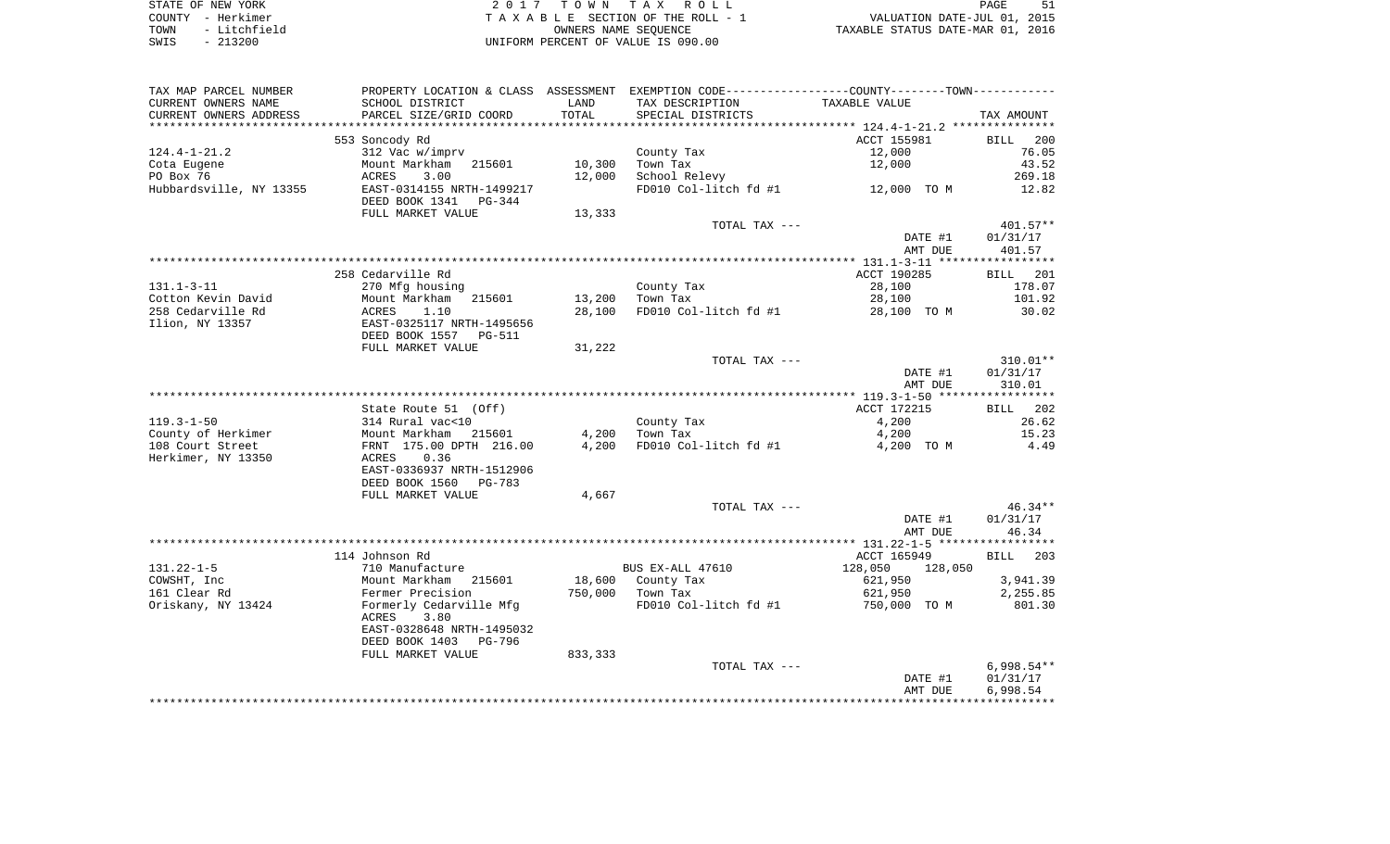| STATE OF NEW YORK    | 2017 TOWN TAX ROLL                 | PAGE                             |
|----------------------|------------------------------------|----------------------------------|
| COUNTY - Herkimer    | TAXABLE SECTION OF THE ROLL - 1    | VALUATION DATE-JUL 01, 2015      |
| - Litchfield<br>TOWN | OWNERS NAME SEOUENCE               | TAXABLE STATUS DATE-MAR 01, 2016 |
| $-213200$<br>SWIS    | UNIFORM PERCENT OF VALUE IS 090.00 |                                  |

| TAX MAP PARCEL NUMBER   |                           |         |                       | PROPERTY LOCATION & CLASS ASSESSMENT EXEMPTION CODE----------------COUNTY--------TOWN---------- |              |
|-------------------------|---------------------------|---------|-----------------------|-------------------------------------------------------------------------------------------------|--------------|
| CURRENT OWNERS NAME     | SCHOOL DISTRICT           | LAND    | TAX DESCRIPTION       | TAXABLE VALUE                                                                                   |              |
| CURRENT OWNERS ADDRESS  | PARCEL SIZE/GRID COORD    | TOTAL   | SPECIAL DISTRICTS     |                                                                                                 | TAX AMOUNT   |
|                         |                           |         |                       |                                                                                                 |              |
|                         | 553 Soncody Rd            |         |                       | ACCT 155981                                                                                     | BILL 200     |
| $124.4 - 1 - 21.2$      | 312 Vac w/imprv           |         | County Tax            | 12,000                                                                                          | 76.05        |
| Cota Eugene             | Mount Markham<br>215601   | 10,300  | Town Tax              | 12,000                                                                                          | 43.52        |
| PO Box 76               | ACRES<br>3.00             | 12,000  | School Relevy         |                                                                                                 | 269.18       |
| Hubbardsville, NY 13355 | EAST-0314155 NRTH-1499217 |         | FD010 Col-litch fd #1 | 12,000 TO M                                                                                     | 12.82        |
|                         | DEED BOOK 1341<br>PG-344  |         |                       |                                                                                                 |              |
|                         | FULL MARKET VALUE         | 13,333  |                       |                                                                                                 |              |
|                         |                           |         | TOTAL TAX ---         |                                                                                                 | $401.57**$   |
|                         |                           |         |                       | DATE #1                                                                                         | 01/31/17     |
|                         |                           |         |                       | AMT DUE                                                                                         | 401.57       |
|                         |                           |         |                       |                                                                                                 |              |
|                         | 258 Cedarville Rd         |         |                       | ACCT 190285                                                                                     | BILL 201     |
| $131.1 - 3 - 11$        | 270 Mfg housing           |         | County Tax            | 28,100                                                                                          | 178.07       |
| Cotton Kevin David      | Mount Markham<br>215601   | 13,200  | Town Tax              | 28,100                                                                                          | 101.92       |
| 258 Cedarville Rd       | ACRES<br>1.10             | 28,100  | FD010 Col-litch fd #1 | 28,100 TO M                                                                                     | 30.02        |
| Ilion, NY 13357         | EAST-0325117 NRTH-1495656 |         |                       |                                                                                                 |              |
|                         | DEED BOOK 1557<br>PG-511  |         |                       |                                                                                                 |              |
|                         | FULL MARKET VALUE         | 31,222  |                       |                                                                                                 |              |
|                         |                           |         | TOTAL TAX ---         |                                                                                                 | $310.01**$   |
|                         |                           |         |                       | DATE #1                                                                                         | 01/31/17     |
|                         |                           |         |                       | AMT DUE                                                                                         | 310.01       |
|                         |                           |         |                       |                                                                                                 |              |
|                         | State Route 51 (Off)      |         |                       | ACCT 172215                                                                                     | BILL 202     |
| $119.3 - 1 - 50$        | 314 Rural vac<10          |         | County Tax            | 4,200                                                                                           | 26.62        |
| County of Herkimer      | Mount Markham<br>215601   | 4,200   | Town Tax              | 4,200                                                                                           | 15.23        |
| 108 Court Street        | FRNT 175.00 DPTH 216.00   | 4,200   | FD010 Col-litch fd #1 | 4,200 TO M                                                                                      | 4.49         |
| Herkimer, NY 13350      | 0.36<br>ACRES             |         |                       |                                                                                                 |              |
|                         | EAST-0336937 NRTH-1512906 |         |                       |                                                                                                 |              |
|                         | DEED BOOK 1560<br>PG-783  |         |                       |                                                                                                 |              |
|                         | FULL MARKET VALUE         | 4,667   |                       |                                                                                                 |              |
|                         |                           |         | TOTAL TAX ---         |                                                                                                 | 46.34**      |
|                         |                           |         |                       | DATE #1                                                                                         | 01/31/17     |
|                         |                           |         |                       | AMT DUE                                                                                         | 46.34        |
|                         |                           |         |                       |                                                                                                 |              |
|                         | 114 Johnson Rd            |         |                       | ACCT 165949                                                                                     | BILL 203     |
| $131.22 - 1 - 5$        | 710 Manufacture           |         | BUS EX-ALL 47610      | 128,050<br>128,050                                                                              |              |
| COWSHT, Inc             | Mount Markham 215601      |         | 18,600 County Tax     | 621,950                                                                                         | 3,941.39     |
| 161 Clear Rd            | Fermer Precision          |         | 750,000 Town Tax      | 621,950                                                                                         | 2,255.85     |
| Oriskany, NY 13424      | Formerly Cedarville Mfg   |         | FD010 Col-litch fd #1 | 750,000 TO M                                                                                    | 801.30       |
|                         | ACRES<br>3.80             |         |                       |                                                                                                 |              |
|                         | EAST-0328648 NRTH-1495032 |         |                       |                                                                                                 |              |
|                         | DEED BOOK 1403<br>PG-796  |         |                       |                                                                                                 |              |
|                         | FULL MARKET VALUE         | 833,333 |                       |                                                                                                 |              |
|                         |                           |         | TOTAL TAX ---         |                                                                                                 | $6,998.54**$ |
|                         |                           |         |                       | DATE #1                                                                                         | 01/31/17     |
|                         |                           |         |                       | AMT DUE                                                                                         | 6,998.54     |
|                         |                           |         |                       |                                                                                                 |              |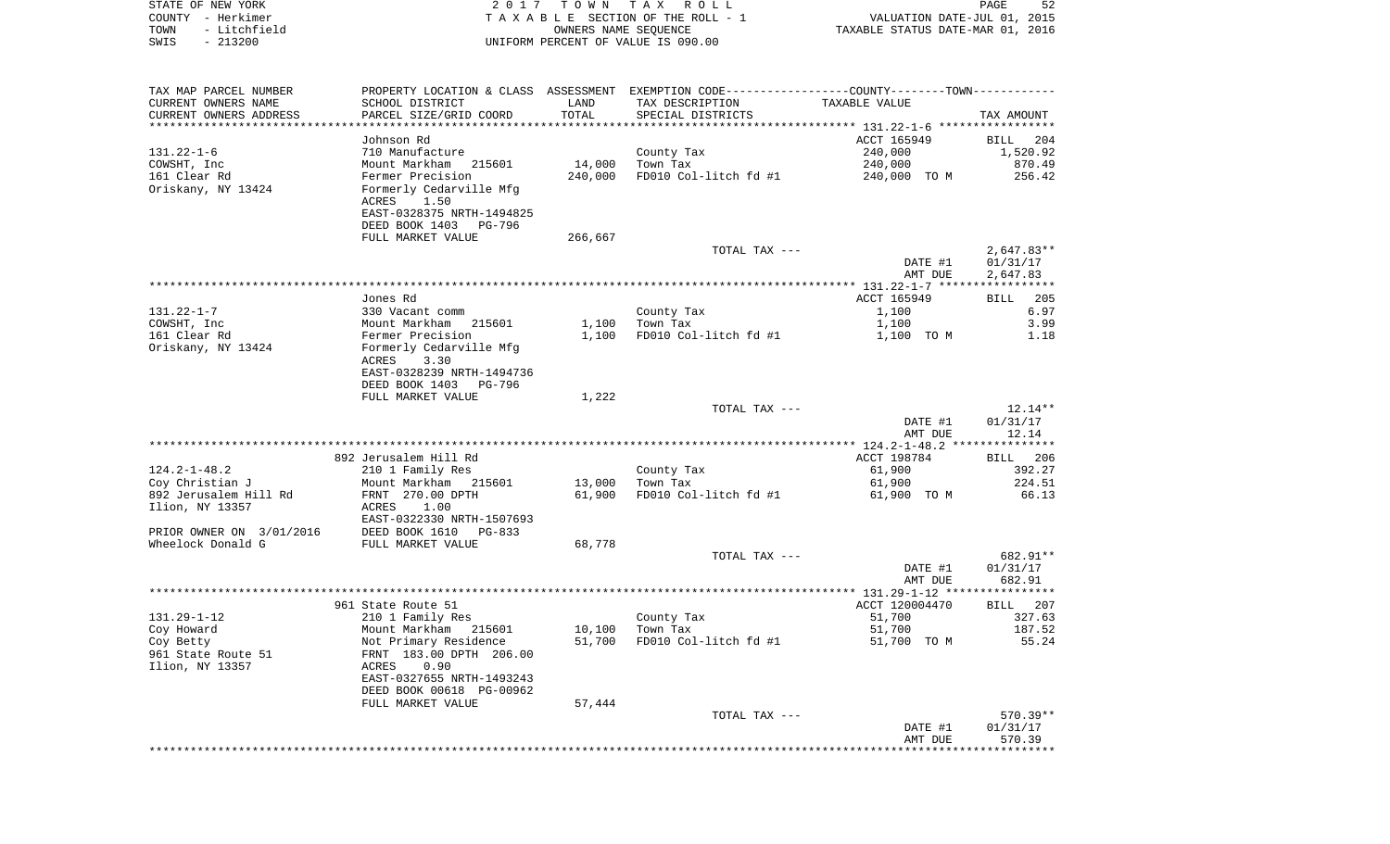|      | STATE OF NEW YORK | 2017 TOWN TAX ROLL                 |                                  | PAGE | 52 |
|------|-------------------|------------------------------------|----------------------------------|------|----|
|      | COUNTY - Herkimer | TAXABLE SECTION OF THE ROLL - 1    | VALUATION DATE-JUL 01, 2015      |      |    |
| TOWN | - Litchfield      | OWNERS NAME SEOUENCE               | TAXABLE STATUS DATE-MAR 01, 2016 |      |    |
| SWIS | - 213200          | UNIFORM PERCENT OF VALUE IS 090.00 |                                  |      |    |
|      |                   |                                    |                                  |      |    |

| TAX MAP PARCEL NUMBER                           | PROPERTY LOCATION & CLASS ASSESSMENT EXEMPTION CODE---------------COUNTY-------TOWN---------- |         |                              |                |              |
|-------------------------------------------------|-----------------------------------------------------------------------------------------------|---------|------------------------------|----------------|--------------|
| CURRENT OWNERS NAME                             | SCHOOL DISTRICT                                                                               | LAND    | TAX DESCRIPTION              | TAXABLE VALUE  |              |
| CURRENT OWNERS ADDRESS<br>********************* | PARCEL SIZE/GRID COORD                                                                        | TOTAL   | SPECIAL DISTRICTS            |                | TAX AMOUNT   |
|                                                 |                                                                                               |         |                              |                |              |
|                                                 | Johnson Rd                                                                                    |         |                              | ACCT 165949    | BILL 204     |
| 131.22-1-6                                      | 710 Manufacture                                                                               |         | County Tax                   | 240,000        | 1,520.92     |
| COWSHT, Inc                                     | Mount Markham 215601                                                                          | 14,000  | Town Tax                     | 240,000        | 870.49       |
| 161 Clear Rd<br>Oriskany, NY 13424              | Fermer Precision<br>Formerly Cedarville Mfg                                                   | 240,000 | FD010 Col-litch fd #1        | 240,000 TO M   | 256.42       |
|                                                 | ACRES<br>1.50<br>EAST-0328375 NRTH-1494825                                                    |         |                              |                |              |
|                                                 | DEED BOOK 1403 PG-796<br>FULL MARKET VALUE                                                    | 266,667 |                              |                |              |
|                                                 |                                                                                               |         | TOTAL TAX ---                |                | $2,647.83**$ |
|                                                 |                                                                                               |         |                              | DATE #1        | 01/31/17     |
|                                                 |                                                                                               |         |                              | AMT DUE        | 2,647.83     |
|                                                 |                                                                                               |         |                              |                |              |
|                                                 | Jones Rd                                                                                      |         |                              | ACCT 165949    | BILL 205     |
| 131.22-1-7                                      | 330 Vacant comm                                                                               |         | County Tax                   | 1,100          | 6.97         |
| COWSHT, Inc                                     | Mount Markham 215601<br>Fermer Precision                                                      | 1,100   | Town Tax                     | 1,100          | 3.99         |
| 161 Clear Rd                                    |                                                                                               | 1,100   | FD010 Col-litch fd #1        | 1,100 TO M     | 1.18         |
| Oriskany, NY 13424                              | Formerly Cedarville Mfg<br>3.30<br>ACRES                                                      |         |                              |                |              |
|                                                 | EAST-0328239 NRTH-1494736                                                                     |         |                              |                |              |
|                                                 | DEED BOOK 1403 PG-796                                                                         |         |                              |                |              |
|                                                 | FULL MARKET VALUE                                                                             | 1,222   |                              |                |              |
|                                                 |                                                                                               |         | TOTAL TAX ---                |                | 12.14**      |
|                                                 |                                                                                               |         |                              | DATE #1        | 01/31/17     |
|                                                 |                                                                                               |         |                              | AMT DUE        | 12.14        |
|                                                 |                                                                                               |         |                              |                |              |
|                                                 | 892 Jerusalem Hill Rd                                                                         |         |                              | ACCT 198784    | BILL 206     |
| $124.2 - 1 - 48.2$                              | 210 1 Family Res                                                                              |         | County Tax                   | 61,900         | 392.27       |
| Coy Christian J                                 | Mount Markham 215601                                                                          | 13,000  | Town Tax                     | 61,900         | 224.51       |
| 892 Jerusalem Hill Rd                           | FRNT 270.00 DPTH                                                                              | 61,900  | FD010 Col-litch fd #1        | 61,900 TO M    | 66.13        |
| Ilion, NY 13357                                 | ACRES<br>1.00<br>EAST-0322330 NRTH-1507693                                                    |         |                              |                |              |
| PRIOR OWNER ON 3/01/2016                        | DEED BOOK 1610 PG-833                                                                         |         |                              |                |              |
| Wheelock Donald G                               | FULL MARKET VALUE                                                                             | 68,778  |                              |                |              |
|                                                 |                                                                                               |         | TOTAL TAX ---                |                | 682.91**     |
|                                                 |                                                                                               |         |                              | DATE #1        | 01/31/17     |
|                                                 |                                                                                               |         |                              | AMT DUE        | 682.91       |
|                                                 |                                                                                               |         |                              |                |              |
|                                                 | 961 State Route 51                                                                            |         |                              | ACCT 120004470 | BILL 207     |
| 131.29-1-12                                     | 210 1 Family Res                                                                              |         | County Tax                   | 51,700         | 327.63       |
| Coy Howard                                      | Mount Markham 215601                                                                          | 10,100  | Town Tax                     | 51,700         | 187.52       |
| Coy Betty                                       | Not Primary Residence                                                                         |         | 51,700 FD010 Col-litch fd #1 | 51,700 TO M    | 55.24        |
| 961 State Route 51                              | FRNT 183.00 DPTH 206.00                                                                       |         |                              |                |              |
| Ilion, NY 13357                                 | 0.90<br>ACRES                                                                                 |         |                              |                |              |
|                                                 | EAST-0327655 NRTH-1493243                                                                     |         |                              |                |              |
|                                                 | DEED BOOK 00618 PG-00962                                                                      |         |                              |                |              |
|                                                 | FULL MARKET VALUE                                                                             | 57,444  |                              |                |              |
|                                                 |                                                                                               |         | TOTAL TAX ---                |                | $570.39**$   |
|                                                 |                                                                                               |         |                              | DATE #1        | 01/31/17     |
|                                                 |                                                                                               |         |                              | AMT DUE        | 570.39       |
|                                                 |                                                                                               |         |                              |                |              |
|                                                 |                                                                                               |         |                              |                |              |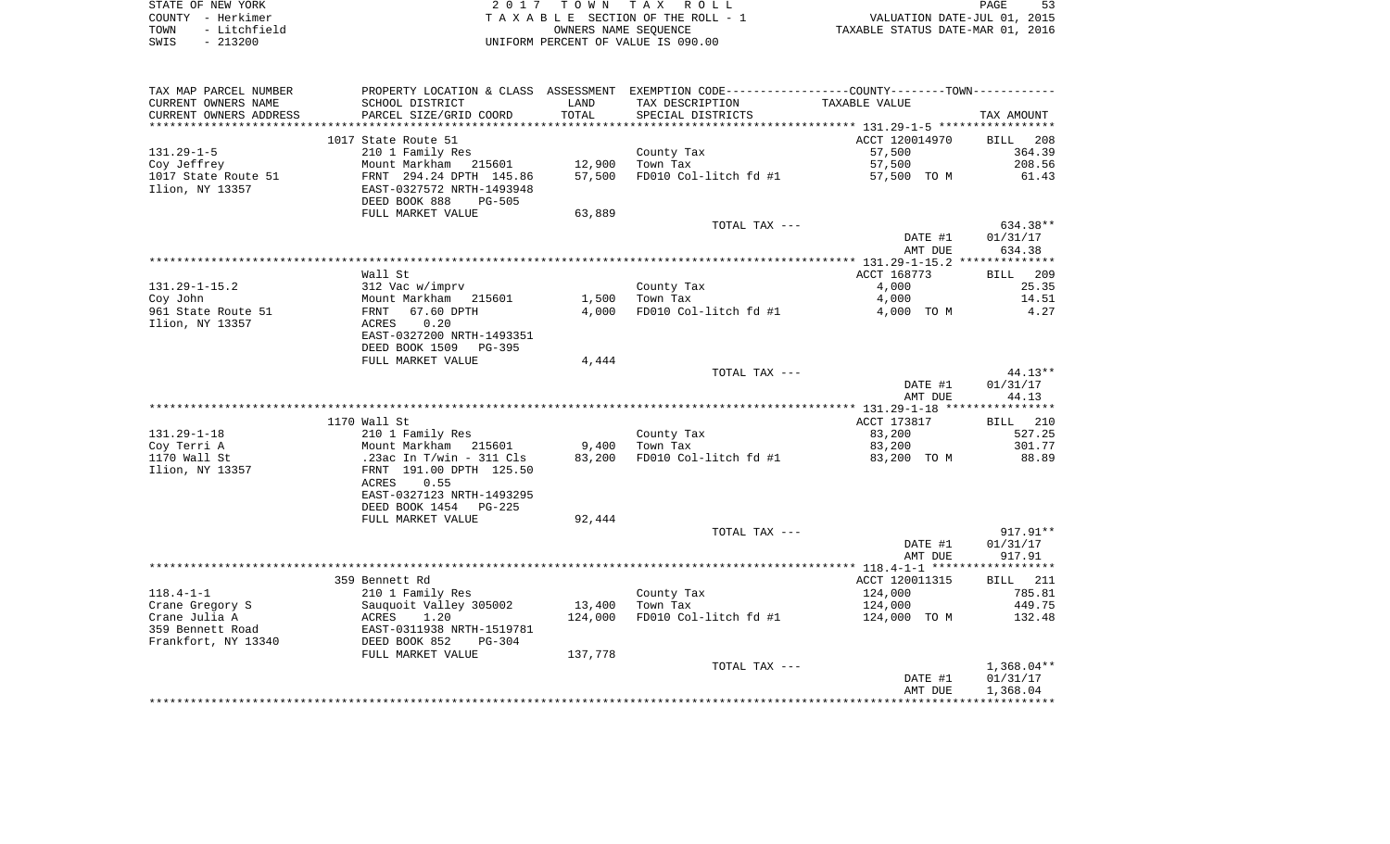| STATE OF NEW YORK    | 2017 TOWN TAX ROLL                 | PAGE                             |
|----------------------|------------------------------------|----------------------------------|
| COUNTY - Herkimer    | TAXABLE SECTION OF THE ROLL - 1    | VALUATION DATE-JUL 01, 2015      |
| - Litchfield<br>TOWN | OWNERS NAME SEOUENCE               | TAXABLE STATUS DATE-MAR 01, 2016 |
| $-213200$<br>SWIS    | UNIFORM PERCENT OF VALUE IS 090.00 |                                  |

| TAX MAP PARCEL NUMBER                           |                                                                                                               |         | PROPERTY LOCATION & CLASS ASSESSMENT EXEMPTION CODE---------------COUNTY--------TOWN---------- |                  |                  |
|-------------------------------------------------|---------------------------------------------------------------------------------------------------------------|---------|------------------------------------------------------------------------------------------------|------------------|------------------|
| CURRENT OWNERS NAME                             | SCHOOL DISTRICT                                                                                               | LAND    | TAX DESCRIPTION                                                                                | TAXABLE VALUE    |                  |
| CURRENT OWNERS ADDRESS<br>********************* | PARCEL SIZE/GRID COORD                                                                                        | TOTAL   | SPECIAL DISTRICTS                                                                              |                  | TAX AMOUNT       |
|                                                 | 1017 State Route 51                                                                                           |         |                                                                                                |                  | BILL 208         |
| $131.29 - 1 - 5$                                |                                                                                                               |         |                                                                                                | ACCT 120014970   |                  |
|                                                 | 210 1 Family Res                                                                                              |         | County Tax<br>12,900 Town Tax                                                                  | 57,500<br>57,500 | 364.39<br>208.56 |
| Coy Jeffrey<br>1017 State Route 51              |                                                                                                               | 57,500  | FD010 Col-litch fd #1                                                                          | 57,500 TO M      | 61.43            |
| Ilion, NY 13357                                 | Mount Markham<br>FRNT 294.24 DPTH 145.86<br>EAST-0327572 NRTH-1493948                                         |         |                                                                                                |                  |                  |
|                                                 | DEED BOOK 888<br><b>PG-505</b>                                                                                |         |                                                                                                |                  |                  |
|                                                 | FULL MARKET VALUE                                                                                             | 63,889  |                                                                                                |                  |                  |
|                                                 |                                                                                                               |         | TOTAL TAX ---                                                                                  |                  | 634.38**         |
|                                                 |                                                                                                               |         |                                                                                                | DATE #1          | 01/31/17         |
|                                                 |                                                                                                               |         |                                                                                                | AMT DUE          | 634.38           |
|                                                 |                                                                                                               |         |                                                                                                |                  |                  |
|                                                 | Wall St                                                                                                       |         |                                                                                                | ACCT 168773      | BILL 209         |
| $131.29 - 1 - 15.2$                             |                                                                                                               |         | County Tax                                                                                     | 4,000            | 25.35            |
| Coy John                                        |                                                                                                               |         | 1,500 Town Tax                                                                                 | 4,000            | 14.51            |
| 961 State Route 51                              | 312 Vac w/imprv<br>Mount Markham 215601<br>FRNT 67.60 DPTH                                                    | 4,000   | FD010 Col-litch fd #1                                                                          | 4,000 TO M       | 4.27             |
| Ilion, NY 13357                                 | 0.20<br>ACRES                                                                                                 |         |                                                                                                |                  |                  |
|                                                 | EAST-0327200 NRTH-1493351                                                                                     |         |                                                                                                |                  |                  |
|                                                 | DEED BOOK 1509 PG-395                                                                                         |         |                                                                                                |                  |                  |
|                                                 | FULL MARKET VALUE                                                                                             | 4,444   |                                                                                                |                  |                  |
|                                                 |                                                                                                               |         | TOTAL TAX ---                                                                                  |                  | 44.13**          |
|                                                 |                                                                                                               |         |                                                                                                | DATE #1          | 01/31/17         |
|                                                 |                                                                                                               |         |                                                                                                | AMT DUE          | 44.13            |
|                                                 |                                                                                                               |         |                                                                                                |                  |                  |
|                                                 | 1170 Wall St                                                                                                  |         |                                                                                                | ACCT 173817      | BILL 210         |
| $131.29 - 1 - 18$                               | 210 1 Family Res                                                                                              |         | County Tax                                                                                     | 83,200           | 527.25           |
| Coy Terri A                                     | Mount Markham   215601<br>23ac In T/win – 311 Cls.                                                            |         | 9,400 Town Tax                                                                                 | 83,200           | 301.77           |
| 1170 Wall St                                    |                                                                                                               | 83,200  | FD010 Col-litch fd #1                                                                          | 83,200 TO M      | 88.89            |
| Ilion, NY 13357                                 | FRNT 191.00 DPTH 125.50                                                                                       |         |                                                                                                |                  |                  |
|                                                 | 0.55<br>ACRES                                                                                                 |         |                                                                                                |                  |                  |
|                                                 | EAST-0327123 NRTH-1493295<br>DEED BOOK 1454 PG-225                                                            |         |                                                                                                |                  |                  |
|                                                 | FULL MARKET VALUE                                                                                             | 92,444  |                                                                                                |                  |                  |
|                                                 |                                                                                                               |         | TOTAL TAX ---                                                                                  |                  | $917.91**$       |
|                                                 |                                                                                                               |         |                                                                                                | DATE #1          | 01/31/17         |
|                                                 |                                                                                                               |         |                                                                                                | AMT DUE          | 917.91           |
|                                                 |                                                                                                               |         |                                                                                                |                  |                  |
|                                                 | 359 Bennett Rd                                                                                                |         |                                                                                                | ACCT 120011315   | BILL 211         |
| $118.4 - 1 - 1$                                 | 210 1 Family Res<br>Sauquoit Valley 305002<br>ACRES 1.20<br>EAST-0311938 NRTH-1519781<br>DEED BOOK 852 PG-304 |         | County Tax                                                                                     | 124,000          | 785.81           |
| Crane Gregory S                                 |                                                                                                               | 13,400  | Town Tax                                                                                       | 124,000          | 449.75           |
| Crane Julia A                                   |                                                                                                               | 124,000 | FD010 Col-litch fd #1                                                                          | 124,000 TO M     | 132.48           |
| 359 Bennett Road                                |                                                                                                               |         |                                                                                                |                  |                  |
| Frankfort, NY 13340                             |                                                                                                               |         |                                                                                                |                  |                  |
|                                                 | FULL MARKET VALUE                                                                                             | 137,778 |                                                                                                |                  |                  |
|                                                 |                                                                                                               |         | TOTAL TAX ---                                                                                  |                  | 1,368.04**       |
|                                                 |                                                                                                               |         |                                                                                                | DATE #1          | 01/31/17         |
|                                                 |                                                                                                               |         |                                                                                                | AMT DUE          | 1,368.04         |
|                                                 |                                                                                                               |         |                                                                                                |                  |                  |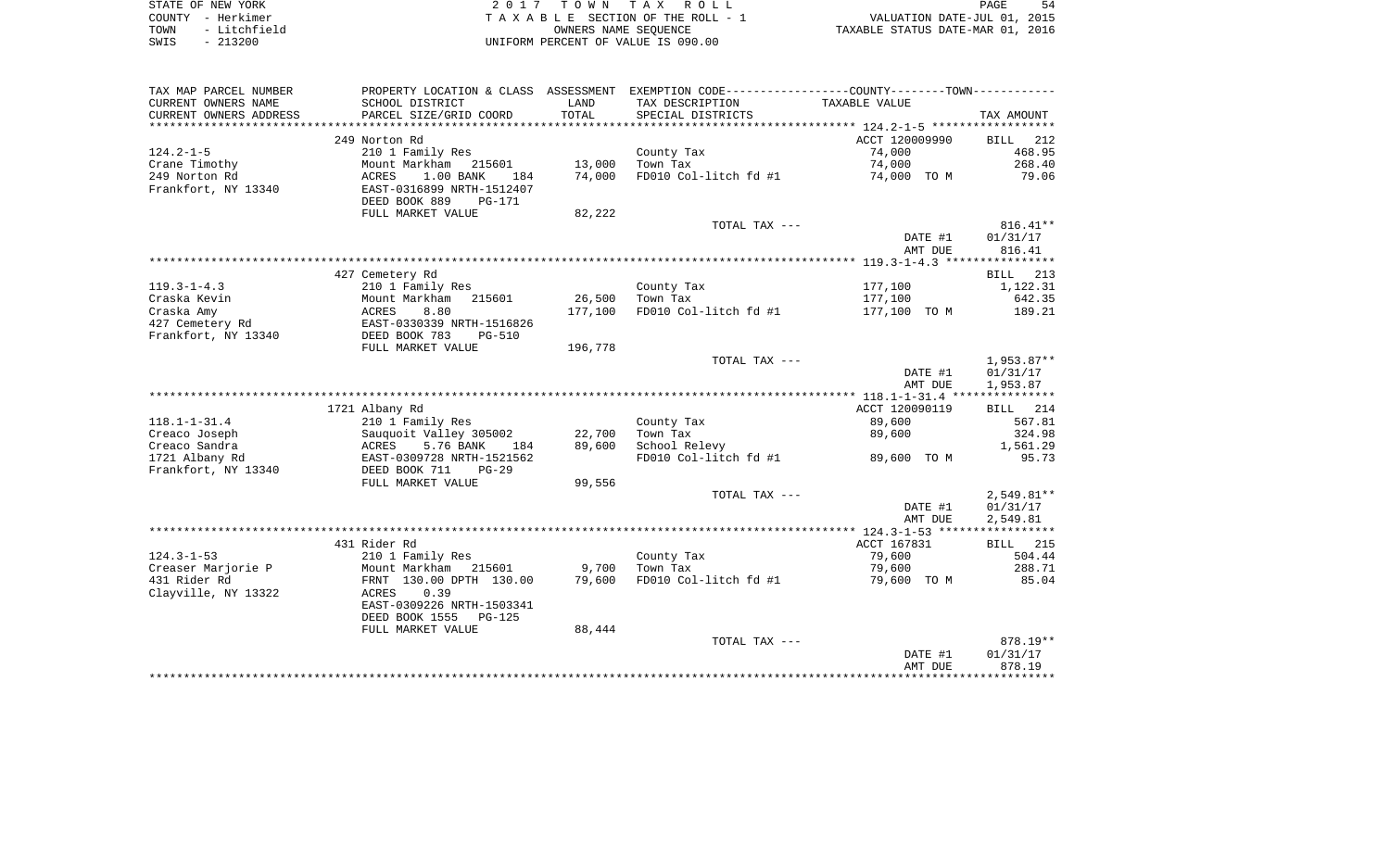| STATE OF NEW YORK |              |
|-------------------|--------------|
| COUNTY - Herkimer |              |
| TOWN              | - Litchfield |
| SWIS              | $-213200$    |

2017 TOWN TAX ROLL TA X A B L E SECTION OF THE ROLL - 1 TOWN - Litchfield OWNERS NAME SEQUENCE TAXABLE STATUS DATE-MAR 01, 2016 SWIS - 213200 UNIFORM PERCENT OF VALUE IS 090.00

| TAX MAP PARCEL NUMBER  | PROPERTY LOCATION & CLASS ASSESSMENT |         |                       |                |                    |
|------------------------|--------------------------------------|---------|-----------------------|----------------|--------------------|
| CURRENT OWNERS NAME    | SCHOOL DISTRICT                      | LAND    | TAX DESCRIPTION       | TAXABLE VALUE  |                    |
| CURRENT OWNERS ADDRESS | PARCEL SIZE/GRID COORD               | TOTAL   | SPECIAL DISTRICTS     |                | TAX AMOUNT         |
|                        |                                      |         |                       |                |                    |
|                        | 249 Norton Rd                        |         |                       | ACCT 120009990 | <b>BILL</b><br>212 |
| $124.2 - 1 - 5$        | 210 1 Family Res                     |         | County Tax            | 74,000         | 468.95             |
|                        |                                      |         |                       |                |                    |
| Crane Timothy          | Mount Markham<br>215601              | 13,000  | Town Tax              | 74,000         | 268.40             |
| 249 Norton Rd          | ACRES<br>1.00 BANK<br>184            | 74,000  | FD010 Col-litch fd #1 | 74,000 TO M    | 79.06              |
| Frankfort, NY 13340    | EAST-0316899 NRTH-1512407            |         |                       |                |                    |
|                        | DEED BOOK 889<br><b>PG-171</b>       |         |                       |                |                    |
|                        | FULL MARKET VALUE                    | 82,222  |                       |                |                    |
|                        |                                      |         | TOTAL TAX ---         |                | $816.41**$         |
|                        |                                      |         |                       | DATE #1        | 01/31/17           |
|                        |                                      |         |                       | AMT DUE        | 816.41             |
|                        |                                      |         |                       |                |                    |
|                        |                                      |         |                       |                |                    |
|                        | 427 Cemetery Rd                      |         |                       |                | 213<br>BILL        |
| $119.3 - 1 - 4.3$      | 210 1 Family Res                     |         | County Tax            | 177,100        | 1,122.31           |
| Craska Kevin           | Mount Markham<br>215601              | 26,500  | Town Tax              | 177,100        | 642.35             |
| Craska Amy             | ACRES<br>8.80                        | 177,100 | FD010 Col-litch fd #1 | 177,100 TO M   | 189.21             |
| 427 Cemetery Rd        | EAST-0330339 NRTH-1516826            |         |                       |                |                    |
| Frankfort, NY 13340    | DEED BOOK 783<br>PG-510              |         |                       |                |                    |
|                        | FULL MARKET VALUE                    | 196,778 |                       |                |                    |
|                        |                                      |         |                       |                |                    |
|                        |                                      |         | TOTAL TAX ---         |                | $1,953.87**$       |
|                        |                                      |         |                       | DATE #1        | 01/31/17           |
|                        |                                      |         |                       | AMT DUE        | 1,953.87           |
|                        |                                      |         |                       |                |                    |
|                        | 1721 Albany Rd                       |         |                       | ACCT 120090119 | <b>BILL</b><br>214 |
| $118.1 - 1 - 31.4$     | 210 1 Family Res                     |         | County Tax            | 89,600         | 567.81             |
| Creaco Joseph          | Sauquoit Valley 305002               | 22,700  | Town Tax              | 89,600         | 324.98             |
| Creaco Sandra          | 5.76 BANK<br>ACRES<br>184            | 89,600  | School Relevy         |                | 1,561.29           |
|                        | EAST-0309728 NRTH-1521562            |         |                       |                | 95.73              |
| 1721 Albany Rd         |                                      |         | FD010 Col-litch fd #1 | 89,600 TO M    |                    |
| Frankfort, NY 13340    | DEED BOOK 711<br>$PG-29$             |         |                       |                |                    |
|                        | FULL MARKET VALUE                    | 99,556  |                       |                |                    |
|                        |                                      |         | TOTAL TAX ---         |                | $2,549.81**$       |
|                        |                                      |         |                       | DATE #1        | 01/31/17           |
|                        |                                      |         |                       | AMT DUE        | 2,549.81           |
|                        |                                      |         |                       |                |                    |
|                        | 431 Rider Rd                         |         |                       | ACCT 167831    | BILL 215           |
| $124.3 - 1 - 53$       | 210 1 Family Res                     |         | County Tax            | 79,600         | 504.44             |
|                        |                                      |         |                       |                |                    |
| Creaser Marjorie P     | Mount Markham<br>215601              | 9,700   | Town Tax              | 79,600         | 288.71             |
| 431 Rider Rd           | FRNT 130.00 DPTH 130.00              | 79,600  | FD010 Col-litch fd #1 | 79,600 TO M    | 85.04              |
| Clayville, NY 13322    | 0.39<br>ACRES                        |         |                       |                |                    |
|                        | EAST-0309226 NRTH-1503341            |         |                       |                |                    |
|                        | DEED BOOK 1555<br>PG-125             |         |                       |                |                    |
|                        | FULL MARKET VALUE                    | 88,444  |                       |                |                    |
|                        |                                      |         | TOTAL TAX ---         |                | 878.19**           |
|                        |                                      |         |                       | DATE #1        | 01/31/17           |
|                        |                                      |         |                       | AMT DUE        | 878.19             |
|                        |                                      |         |                       |                |                    |
|                        |                                      |         |                       |                |                    |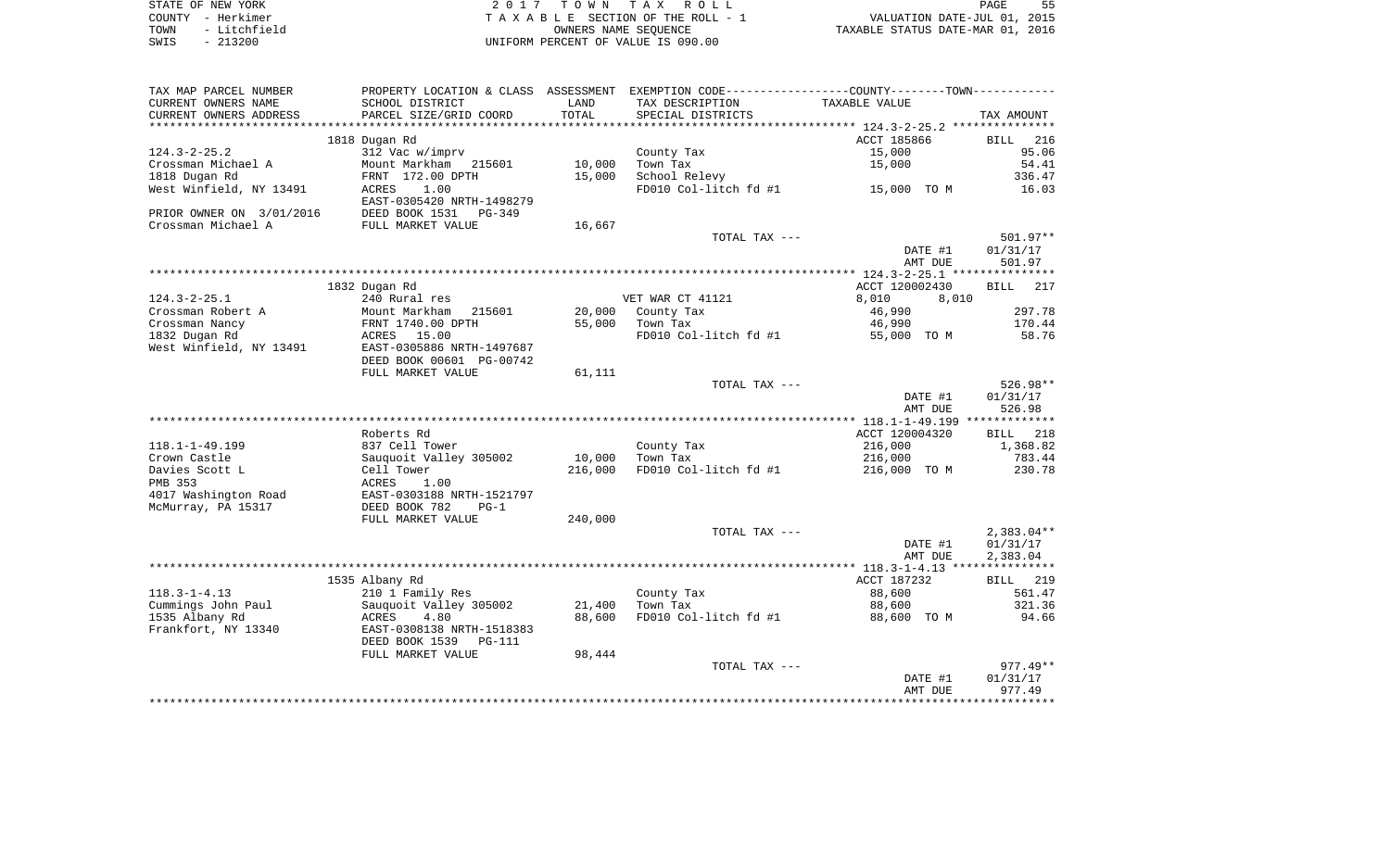| STATE OF NEW YORK    | 2017 TOWN TAX ROLL                 | PAGE                             |
|----------------------|------------------------------------|----------------------------------|
| COUNTY - Herkimer    | TAXABLE SECTION OF THE ROLL - 1    | VALUATION DATE-JUL 01, 2015      |
| - Litchfield<br>TOWN | OWNERS NAME SEOUENCE               | TAXABLE STATUS DATE-MAR 01, 2016 |
| $-213200$<br>SWIS    | UNIFORM PERCENT OF VALUE IS 090.00 |                                  |

| TAX MAP PARCEL NUMBER                | PROPERTY LOCATION & CLASS ASSESSMENT EXEMPTION CODE---------------COUNTY-------TOWN---------- |         |                        |                    |                    |
|--------------------------------------|-----------------------------------------------------------------------------------------------|---------|------------------------|--------------------|--------------------|
| CURRENT OWNERS NAME                  | SCHOOL DISTRICT                                                                               | LAND    | TAX DESCRIPTION        | TAXABLE VALUE      |                    |
| CURRENT OWNERS ADDRESS               | PARCEL SIZE/GRID COORD                                                                        | TOTAL   | SPECIAL DISTRICTS      |                    | TAX AMOUNT         |
|                                      |                                                                                               |         |                        |                    |                    |
|                                      | 1818 Dugan Rd                                                                                 |         |                        | ACCT 185866        | <b>BILL</b><br>216 |
| $124.3 - 2 - 25.2$                   | 312 Vac w/imprv                                                                               |         | County Tax             | 15,000             | 95.06              |
| Crossman Michael A                   | Mount Markham 215601                                                                          | 10,000  | Town Tax               | 15,000             | 54.41              |
| 1818 Dugan Rd                        | FRNT 172.00 DPTH                                                                              | 15,000  | School Relevy          |                    | 336.47             |
| West Winfield, NY 13491              | 1.00<br>ACRES                                                                                 |         | FD010 Col-litch fd #1  | 15,000 TO M        | 16.03              |
|                                      | EAST-0305420 NRTH-1498279                                                                     |         |                        |                    |                    |
| PRIOR OWNER ON 3/01/2016             | DEED BOOK 1531<br>PG-349                                                                      |         |                        |                    |                    |
| Crossman Michael A                   | FULL MARKET VALUE                                                                             | 16,667  | TOTAL TAX ---          |                    | 501.97**           |
|                                      |                                                                                               |         |                        | DATE #1            | 01/31/17           |
|                                      |                                                                                               |         |                        | AMT DUE            | 501.97             |
|                                      |                                                                                               |         |                        |                    |                    |
|                                      | 1832 Dugan Rd                                                                                 |         |                        | ACCT 120002430     | BILL 217           |
| $124.3 - 2 - 25.1$                   | 240 Rural res                                                                                 |         | VET WAR CT 41121       | 8,010<br>8,010     |                    |
| Crossman Robert A                    | Mount Markham<br>215601                                                                       | 20,000  | County Tax             | 46,990             | 297.78             |
| Crossman Nancy                       | FRNT 1740.00 DPTH                                                                             | 55,000  | Town Tax               | 46,990             | 170.44             |
| 1832 Dugan Rd                        | ACRES<br>15.00                                                                                |         | FD010 Col-litch fd #1  | 55,000 TO M        | 58.76              |
| West Winfield, NY 13491              | EAST-0305886 NRTH-1497687                                                                     |         |                        |                    |                    |
|                                      | DEED BOOK 00601 PG-00742                                                                      |         |                        |                    |                    |
|                                      | FULL MARKET VALUE                                                                             | 61,111  |                        |                    |                    |
|                                      |                                                                                               |         | TOTAL TAX ---          |                    | 526.98**           |
|                                      |                                                                                               |         |                        | DATE #1            | 01/31/17           |
|                                      |                                                                                               |         |                        | AMT DUE            | 526.98             |
|                                      |                                                                                               |         |                        |                    |                    |
|                                      | Roberts Rd                                                                                    |         |                        | ACCT 120004320     | 218<br><b>BILL</b> |
| $118.1 - 1 - 49.199$<br>Crown Castle | 837 Cell Tower                                                                                | 10,000  | County Tax<br>Town Tax | 216,000<br>216,000 | 1,368.82<br>783.44 |
| Davies Scott L                       | Sauquoit Valley 305002<br>Cell Tower                                                          | 216,000 | FD010 Col-litch fd #1  | 216,000 TO M       | 230.78             |
| PMB 353                              | ACRES<br>1.00                                                                                 |         |                        |                    |                    |
| 4017 Washington Road                 | EAST-0303188 NRTH-1521797                                                                     |         |                        |                    |                    |
| McMurray, PA 15317                   | DEED BOOK 782<br>$PG-1$                                                                       |         |                        |                    |                    |
|                                      | FULL MARKET VALUE                                                                             | 240,000 |                        |                    |                    |
|                                      |                                                                                               |         | TOTAL TAX ---          |                    | $2,383.04**$       |
|                                      |                                                                                               |         |                        | DATE #1            | 01/31/17           |
|                                      |                                                                                               |         |                        | AMT DUE            | 2,383.04           |
|                                      |                                                                                               |         |                        |                    |                    |
|                                      | 1535 Albany Rd                                                                                |         |                        | ACCT 187232        | 219<br>BILL        |
| $118.3 - 1 - 4.13$                   | 210 1 Family Res                                                                              |         | County Tax             | 88,600             | 561.47             |
| Cummings John Paul                   | Sauquoit Valley 305002                                                                        | 21,400  | Town Tax               | 88,600             | 321.36             |
| 1535 Albany Rd                       | ACRES<br>4.80                                                                                 | 88,600  | FD010 Col-litch fd #1  | 88,600 TO M        | 94.66              |
| Frankfort, NY 13340                  | EAST-0308138 NRTH-1518383                                                                     |         |                        |                    |                    |
|                                      | DEED BOOK 1539<br>PG-111                                                                      |         |                        |                    |                    |
|                                      | FULL MARKET VALUE                                                                             | 98,444  |                        |                    |                    |
|                                      |                                                                                               |         | TOTAL TAX ---          |                    | $977.49**$         |
|                                      |                                                                                               |         |                        | DATE #1<br>AMT DUE | 01/31/17<br>977.49 |
|                                      |                                                                                               |         |                        |                    |                    |
|                                      |                                                                                               |         |                        |                    |                    |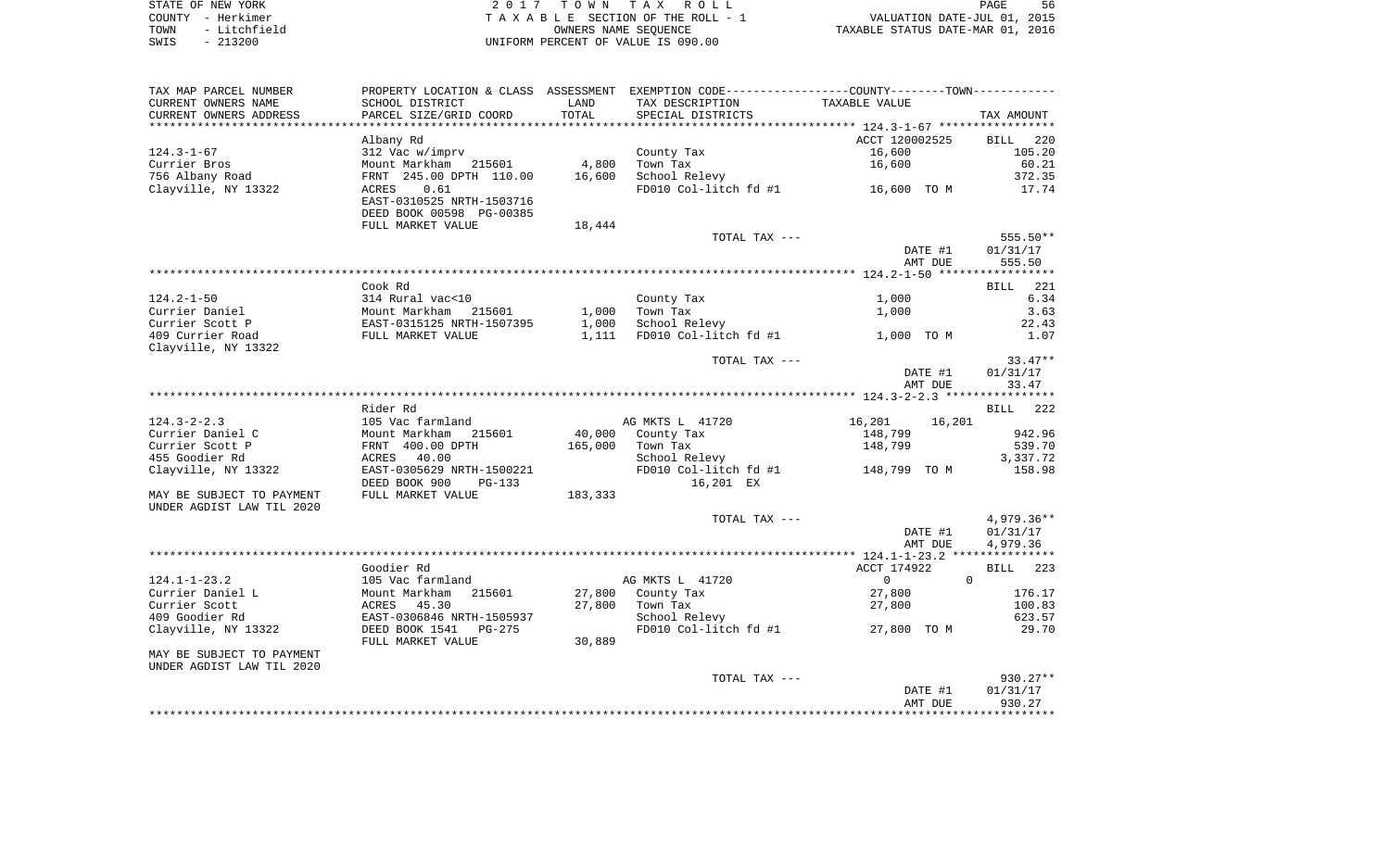|      | STATE OF NEW YORK | 2017 TOWN TAX ROLL                                             | PAGE | -56 |
|------|-------------------|----------------------------------------------------------------|------|-----|
|      | COUNTY - Herkimer | VALUATION DATE-JUL 01, 2015<br>TAXABLE SECTION OF THE ROLL - 1 |      |     |
| TOWN | - Litchfield      | TAXABLE STATUS DATE-MAR 01, 2016<br>OWNERS NAME SEOUENCE       |      |     |
| SWIS | - 213200          | UNIFORM PERCENT OF VALUE IS 090.00                             |      |     |

| TAX MAP PARCEL NUMBER     | PROPERTY LOCATION & CLASS ASSESSMENT EXEMPTION CODE----------------COUNTY-------TOWN---------- |         |                       |                  |                    |
|---------------------------|------------------------------------------------------------------------------------------------|---------|-----------------------|------------------|--------------------|
| CURRENT OWNERS NAME       | SCHOOL DISTRICT                                                                                | LAND    | TAX DESCRIPTION       | TAXABLE VALUE    |                    |
| CURRENT OWNERS ADDRESS    | PARCEL SIZE/GRID COORD                                                                         | TOTAL   | SPECIAL DISTRICTS     |                  | TAX AMOUNT         |
|                           |                                                                                                |         |                       |                  |                    |
|                           | Albany Rd                                                                                      |         |                       | ACCT 120002525   | <b>BILL</b><br>220 |
| $124.3 - 1 - 67$          | 312 Vac w/imprv                                                                                |         | County Tax            | 16,600           | 105.20             |
| Currier Bros              | Mount Markham 215601                                                                           | 4,800   | Town Tax              | 16,600           | 60.21              |
| 756 Albany Road           | FRNT 245.00 DPTH 110.00                                                                        | 16,600  | School Relevy         |                  | 372.35             |
| Clayville, NY 13322       | <b>ACRES</b><br>0.61                                                                           |         | FD010 Col-litch fd #1 | 16,600 TO M      | 17.74              |
|                           | EAST-0310525 NRTH-1503716                                                                      |         |                       |                  |                    |
|                           | DEED BOOK 00598 PG-00385                                                                       |         |                       |                  |                    |
|                           | FULL MARKET VALUE                                                                              | 18,444  |                       |                  |                    |
|                           |                                                                                                |         | TOTAL TAX ---         |                  | 555.50**           |
|                           |                                                                                                |         |                       | DATE #1          | 01/31/17           |
|                           |                                                                                                |         |                       | AMT DUE          | 555.50             |
|                           |                                                                                                |         |                       |                  |                    |
|                           | Cook Rd                                                                                        |         |                       |                  | BILL 221           |
| $124.2 - 1 - 50$          | 314 Rural vac<10                                                                               |         | County Tax            | 1,000            | 6.34               |
| Currier Daniel            | Mount Markham<br>215601                                                                        | 1,000   | Town Tax              | 1,000            | 3.63               |
| Currier Scott P           | EAST-0315125 NRTH-1507395                                                                      | 1,000   | School Relevy         |                  | 22.43              |
| 409 Currier Road          | FULL MARKET VALUE                                                                              | 1,111   | FD010 Col-litch fd #1 | 1,000 TO M       | 1.07               |
| Clayville, NY 13322       |                                                                                                |         |                       |                  |                    |
|                           |                                                                                                |         | TOTAL TAX ---         |                  | $33.47**$          |
|                           |                                                                                                |         |                       | DATE #1          | 01/31/17           |
|                           |                                                                                                |         |                       | AMT DUE          | 33.47              |
|                           |                                                                                                |         |                       |                  |                    |
|                           | Rider Rd                                                                                       |         |                       |                  | BILL 222           |
| $124.3 - 2 - 2.3$         | 105 Vac farmland                                                                               |         | AG MKTS L 41720       | 16,201<br>16,201 |                    |
| Currier Daniel C          | Mount Markham<br>215601                                                                        | 40,000  | County Tax            | 148,799          | 942.96             |
| Currier Scott P           | FRNT 400.00 DPTH                                                                               | 165,000 | Town Tax              | 148,799          | 539.70             |
| 455 Goodier Rd            | ACRES<br>40.00                                                                                 |         | School Relevy         |                  | 3,337.72           |
| Clayville, NY 13322       | EAST-0305629 NRTH-1500221                                                                      |         | FD010 Col-litch fd #1 | 148,799 TO M     | 158.98             |
|                           | DEED BOOK 900<br>$PG-133$                                                                      |         | 16,201 EX             |                  |                    |
| MAY BE SUBJECT TO PAYMENT | FULL MARKET VALUE                                                                              | 183,333 |                       |                  |                    |
| UNDER AGDIST LAW TIL 2020 |                                                                                                |         |                       |                  |                    |
|                           |                                                                                                |         | TOTAL TAX ---         |                  | 4,979.36**         |
|                           |                                                                                                |         |                       | DATE #1          | 01/31/17           |
|                           |                                                                                                |         |                       | AMT DUE          | 4,979.36           |
|                           |                                                                                                |         |                       |                  |                    |
|                           | Goodier Rd                                                                                     |         |                       | ACCT 174922      | 223<br>BILL        |
| $124.1 - 1 - 23.2$        | 105 Vac farmland                                                                               |         | AG MKTS L 41720       | $\Omega$         | $\Omega$           |
| Currier Daniel L          | Mount Markham<br>215601                                                                        | 27,800  | County Tax            | 27,800           | 176.17             |
| Currier Scott             | ACRES<br>45.30                                                                                 | 27,800  | Town Tax              | 27,800           | 100.83             |
| 409 Goodier Rd            | EAST-0306846 NRTH-1505937                                                                      |         | School Relevy         |                  | 623.57             |
| Clayville, NY 13322       | DEED BOOK 1541<br>$PG-275$<br>FULL MARKET VALUE                                                | 30,889  | FD010 Col-litch fd #1 | 27,800 TO M      | 29.70              |
| MAY BE SUBJECT TO PAYMENT |                                                                                                |         |                       |                  |                    |
| UNDER AGDIST LAW TIL 2020 |                                                                                                |         |                       |                  |                    |
|                           |                                                                                                |         | TOTAL TAX ---         |                  | 930.27**           |
|                           |                                                                                                |         |                       | DATE #1          | 01/31/17           |
|                           |                                                                                                |         |                       | AMT DUE          | 930.27             |
|                           |                                                                                                |         |                       |                  |                    |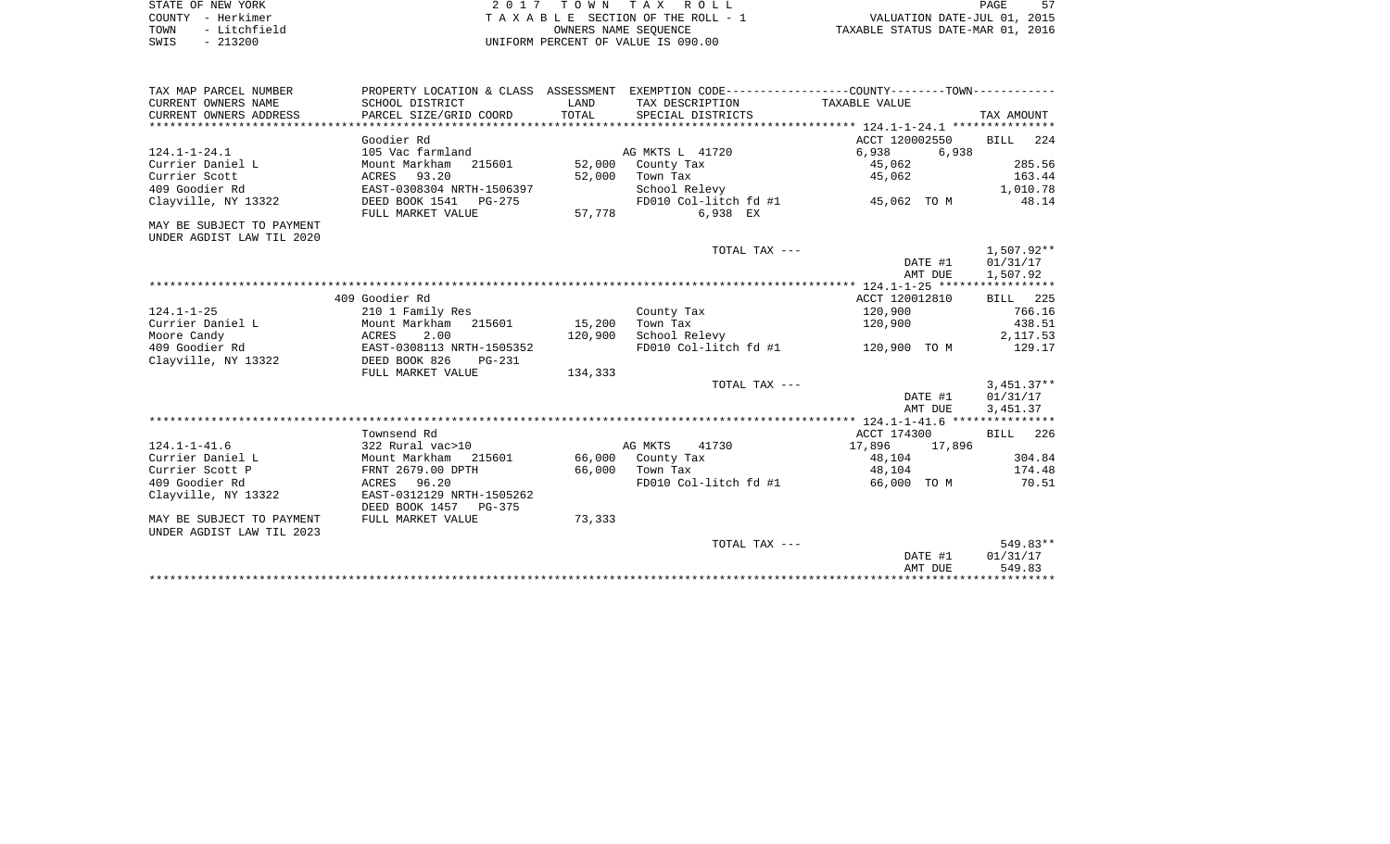| STATE OF NEW YORK |  |              |  |
|-------------------|--|--------------|--|
| COUNTY - Herkimer |  |              |  |
| TOWN              |  | - Litchfield |  |
| SMTS              |  | $-213200$    |  |

2017 TOWN TAX ROLL TA X A B L E SECTION OF THE ROLL - 1 TO A CONSERVE A CONSERVATION OF THE ROLL - 1 WALUATION DATE-JUL 01, 2015<br>
TAXABLE STATUS DATE-MAR 01, 2016 SWIS - 213200 UNIFORM PERCENT OF VALUE IS 090.00

| TAX MAP PARCEL NUMBER     |                           |         |                       | PROPERTY LOCATION & CLASS ASSESSMENT EXEMPTION CODE----------------COUNTY--------TOWN---------- |              |
|---------------------------|---------------------------|---------|-----------------------|-------------------------------------------------------------------------------------------------|--------------|
| CURRENT OWNERS NAME       | SCHOOL DISTRICT           | LAND    | TAX DESCRIPTION       | TAXABLE VALUE                                                                                   |              |
| CURRENT OWNERS ADDRESS    | PARCEL SIZE/GRID COORD    | TOTAL   | SPECIAL DISTRICTS     |                                                                                                 | TAX AMOUNT   |
|                           |                           |         |                       |                                                                                                 |              |
|                           | Goodier Rd                |         |                       | ACCT 120002550                                                                                  | BILL 224     |
| $124.1 - 1 - 24.1$        | 105 Vac farmland          |         | AG MKTS L 41720       | 6,938<br>6,938                                                                                  |              |
| Currier Daniel L          | Mount Markham<br>215601   |         | 52,000 County Tax     | 45,062                                                                                          | 285.56       |
| Currier Scott             | ACRES 93.20               | 52,000  | Town Tax              | 45,062                                                                                          | 163.44       |
| 409 Goodier Rd            | EAST-0308304 NRTH-1506397 |         | School Relevy         |                                                                                                 | 1,010.78     |
| Clayville, NY 13322       | DEED BOOK 1541<br>PG-275  |         |                       | FD010 Col-litch $f d$ #1 45,062 TO M                                                            | 48.14        |
|                           | FULL MARKET VALUE         | 57,778  | 6,938 EX              |                                                                                                 |              |
| MAY BE SUBJECT TO PAYMENT |                           |         |                       |                                                                                                 |              |
| UNDER AGDIST LAW TIL 2020 |                           |         |                       |                                                                                                 |              |
|                           |                           |         | TOTAL TAX ---         |                                                                                                 | $1,507.92**$ |
|                           |                           |         |                       | DATE #1                                                                                         | 01/31/17     |
|                           |                           |         |                       | AMT DUE                                                                                         | 1,507.92     |
|                           |                           |         |                       |                                                                                                 |              |
|                           | 409 Goodier Rd            |         |                       | ACCT 120012810                                                                                  | BILL 225     |
| $124.1 - 1 - 25$          | 210 1 Family Res          |         | County Tax            | 120,900                                                                                         | 766.16       |
| Currier Daniel L          | Mount Markham 215601      | 15,200  | Town Tax              | 120,900                                                                                         | 438.51       |
| Moore Candy               | 2.00<br>ACRES             | 120,900 | School Relevy         |                                                                                                 | 2,117.53     |
| 409 Goodier Rd            | EAST-0308113 NRTH-1505352 |         |                       | FD010 Col-litch fd #1 120,900 TO M                                                              | 129.17       |
| Clayville, NY 13322       | DEED BOOK 826<br>PG-231   |         |                       |                                                                                                 |              |
|                           | FULL MARKET VALUE         | 134,333 |                       |                                                                                                 |              |
|                           |                           |         | TOTAL TAX ---         |                                                                                                 | $3,451.37**$ |
|                           |                           |         |                       | DATE #1                                                                                         | 01/31/17     |
|                           |                           |         |                       | AMT DUE                                                                                         | 3,451.37     |
|                           | Townsend Rd               |         |                       | ACCT 174300                                                                                     | BILL 226     |
| $124.1 - 1 - 41.6$        | 322 Rural vac>10          |         | AG MKTS<br>41730      | 17,896 17,896                                                                                   |              |
| Currier Daniel L          | Mount Markham<br>215601   |         | 66,000 County Tax     | 48,104                                                                                          | 304.84       |
| Currier Scott P           | FRNT 2679.00 DPTH         | 66,000  | Town Tax              | 48,104                                                                                          | 174.48       |
| 409 Goodier Rd            | ACRES 96.20               |         | FD010 Col-litch fd #1 | 66,000 TO M                                                                                     | 70.51        |
| Clayville, NY 13322       | EAST-0312129 NRTH-1505262 |         |                       |                                                                                                 |              |
|                           | DEED BOOK 1457 PG-375     |         |                       |                                                                                                 |              |
| MAY BE SUBJECT TO PAYMENT | FULL MARKET VALUE         | 73,333  |                       |                                                                                                 |              |
| UNDER AGDIST LAW TIL 2023 |                           |         |                       |                                                                                                 |              |
|                           |                           |         | TOTAL TAX ---         |                                                                                                 | 549.83**     |
|                           |                           |         |                       | DATE #1                                                                                         | 01/31/17     |
|                           |                           |         |                       | AMT DUE                                                                                         | 549.83       |
|                           |                           |         |                       |                                                                                                 |              |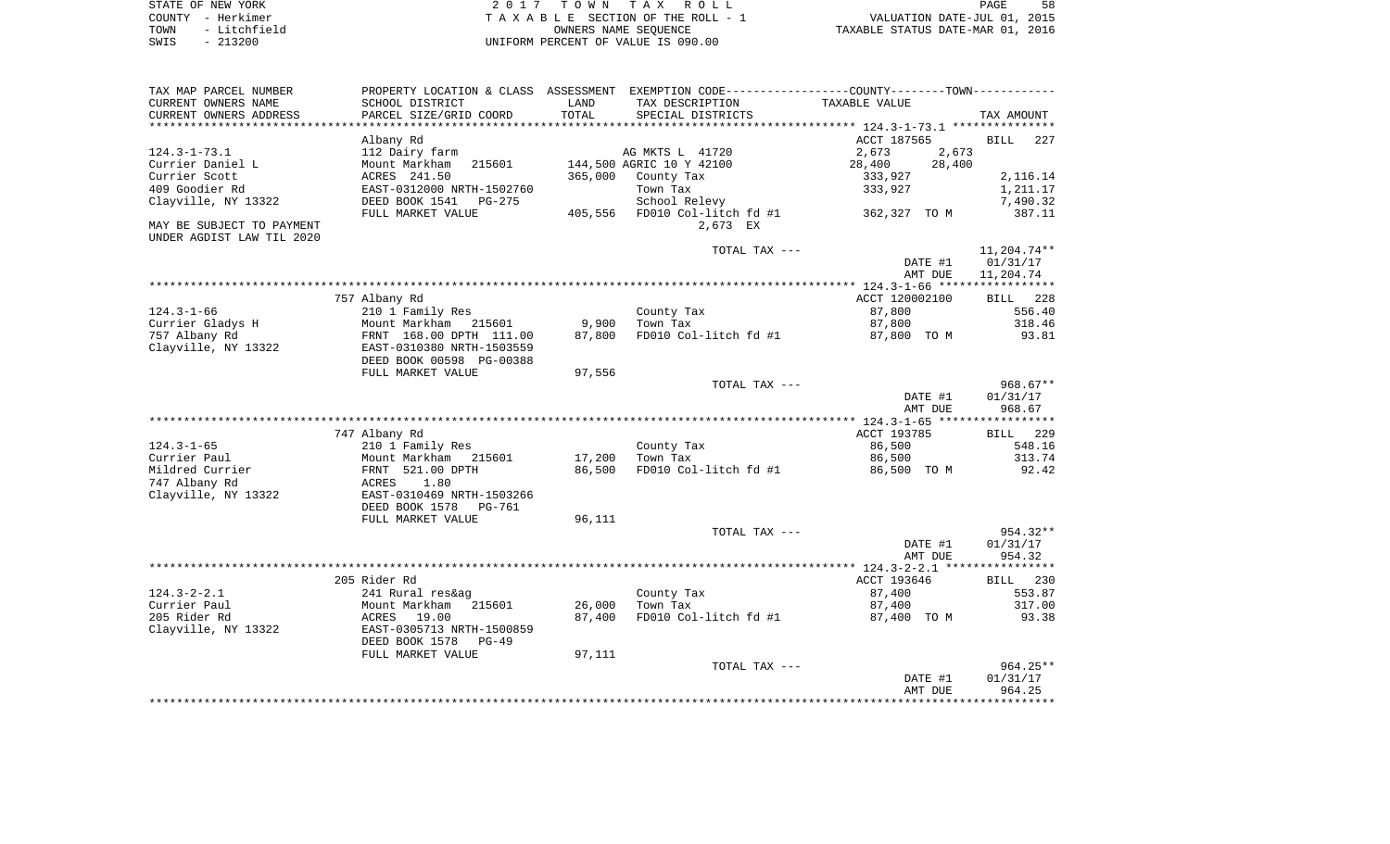| STATE OF NEW YORK    | 2017 TOWN TAX ROLL                 | 58<br>PAGE                       |
|----------------------|------------------------------------|----------------------------------|
| COUNTY - Herkimer    | TAXABLE SECTION OF THE ROLL - 1    | VALUATION DATE-JUL 01, 2015      |
| - Litchfield<br>TOWN | OWNERS NAME SEOUENCE               | TAXABLE STATUS DATE-MAR 01, 2016 |
| $-213200$<br>SWIS    | UNIFORM PERCENT OF VALUE IS 090.00 |                                  |

| TAX MAP PARCEL NUMBER     | PROPERTY LOCATION & CLASS ASSESSMENT EXEMPTION CODE---------------COUNTY-------TOWN---------- |         |                          |                    |                       |
|---------------------------|-----------------------------------------------------------------------------------------------|---------|--------------------------|--------------------|-----------------------|
| CURRENT OWNERS NAME       | SCHOOL DISTRICT                                                                               | LAND    | TAX DESCRIPTION          | TAXABLE VALUE      |                       |
| CURRENT OWNERS ADDRESS    | PARCEL SIZE/GRID COORD                                                                        | TOTAL   | SPECIAL DISTRICTS        |                    | TAX AMOUNT            |
| **********************    | ************************                                                                      |         |                          |                    |                       |
|                           | Albany Rd                                                                                     |         |                          | ACCT 187565        | 227<br><b>BILL</b>    |
| $124.3 - 1 - 73.1$        | 112 Dairy farm                                                                                |         | AG MKTS L 41720          | 2,673<br>2,673     |                       |
| Currier Daniel L          | Mount Markham<br>215601                                                                       |         | 144,500 AGRIC 10 Y 42100 | 28,400<br>28,400   |                       |
| Currier Scott             | ACRES 241.50                                                                                  | 365,000 | County Tax               | 333,927            | 2,116.14              |
| 409 Goodier Rd            | EAST-0312000 NRTH-1502760                                                                     |         | Town Tax                 | 333,927            | 1,211.17              |
| Clayville, NY 13322       | DEED BOOK 1541 PG-275                                                                         |         | School Relevy            |                    | 7,490.32              |
|                           | FULL MARKET VALUE                                                                             | 405,556 | FD010 Col-litch fd #1    | 362,327 TO M       | 387.11                |
| MAY BE SUBJECT TO PAYMENT |                                                                                               |         | 2,673 EX                 |                    |                       |
| UNDER AGDIST LAW TIL 2020 |                                                                                               |         |                          |                    |                       |
|                           |                                                                                               |         | TOTAL TAX ---            |                    | 11,204.74**           |
|                           |                                                                                               |         |                          | DATE #1<br>AMT DUE | 01/31/17<br>11,204.74 |
|                           |                                                                                               |         |                          |                    |                       |
|                           | 757 Albany Rd                                                                                 |         |                          | ACCT 120002100     | BILL 228              |
| $124.3 - 1 - 66$          | 210 1 Family Res                                                                              |         | County Tax               | 87,800             | 556.40                |
| Currier Gladys H          | Mount Markham 215601                                                                          | 9,900   | Town Tax                 | 87,800             | 318.46                |
| 757 Albany Rd             | FRNT 168.00 DPTH 111.00                                                                       | 87,800  | FD010 Col-litch fd #1    | 87,800 TO M        | 93.81                 |
| Clayville, NY 13322       | EAST-0310380 NRTH-1503559                                                                     |         |                          |                    |                       |
|                           | DEED BOOK 00598 PG-00388                                                                      |         |                          |                    |                       |
|                           | FULL MARKET VALUE                                                                             | 97,556  |                          |                    |                       |
|                           |                                                                                               |         | TOTAL TAX ---            |                    | 968.67**              |
|                           |                                                                                               |         |                          | DATE #1            | 01/31/17              |
|                           |                                                                                               |         |                          | AMT DUE            | 968.67                |
|                           |                                                                                               |         |                          |                    |                       |
|                           | 747 Albany Rd                                                                                 |         |                          | ACCT 193785        | BILL 229              |
| 124.3-1-65                | 210 1 Family Res                                                                              |         | County Tax               | 86,500             | 548.16                |
| Currier Paul              | Mount Markham 215601                                                                          | 17,200  | Town Tax                 | 86,500             | 313.74                |
| Mildred Currier           | FRNT 521.00 DPTH                                                                              | 86,500  | FD010 Col-litch fd #1    | 86,500 TO M        | 92.42                 |
| 747 Albany Rd             | ACRES<br>1.80                                                                                 |         |                          |                    |                       |
| Clayville, NY 13322       | EAST-0310469 NRTH-1503266                                                                     |         |                          |                    |                       |
|                           | DEED BOOK 1578<br>PG-761                                                                      |         |                          |                    |                       |
|                           | FULL MARKET VALUE                                                                             | 96,111  |                          |                    |                       |
|                           |                                                                                               |         | TOTAL TAX ---            | DATE #1            | 954.32**<br>01/31/17  |
|                           |                                                                                               |         |                          | AMT DUE            | 954.32                |
|                           |                                                                                               |         |                          |                    |                       |
|                           | 205 Rider Rd                                                                                  |         |                          | ACCT 193646        | BILL 230              |
| $124.3 - 2 - 2.1$         | 241 Rural res&ag                                                                              |         | County Tax               | 87,400             | 553.87                |
| Currier Paul              | Mount Markham<br>215601                                                                       | 26,000  | Town Tax                 | 87,400             | 317.00                |
| 205 Rider Rd              | ACRES<br>19.00                                                                                | 87,400  | FD010 Col-litch fd #1    | 87,400 TO M        | 93.38                 |
| Clayville, NY 13322       | EAST-0305713 NRTH-1500859                                                                     |         |                          |                    |                       |
|                           | DEED BOOK 1578<br>PG-49                                                                       |         |                          |                    |                       |
|                           | FULL MARKET VALUE                                                                             | 97,111  |                          |                    |                       |
|                           |                                                                                               |         | TOTAL TAX ---            |                    | $964.25**$            |
|                           |                                                                                               |         |                          | DATE #1            | 01/31/17              |
|                           |                                                                                               |         |                          | AMT DUE            | 964.25                |
|                           |                                                                                               |         |                          |                    |                       |
|                           |                                                                                               |         |                          |                    |                       |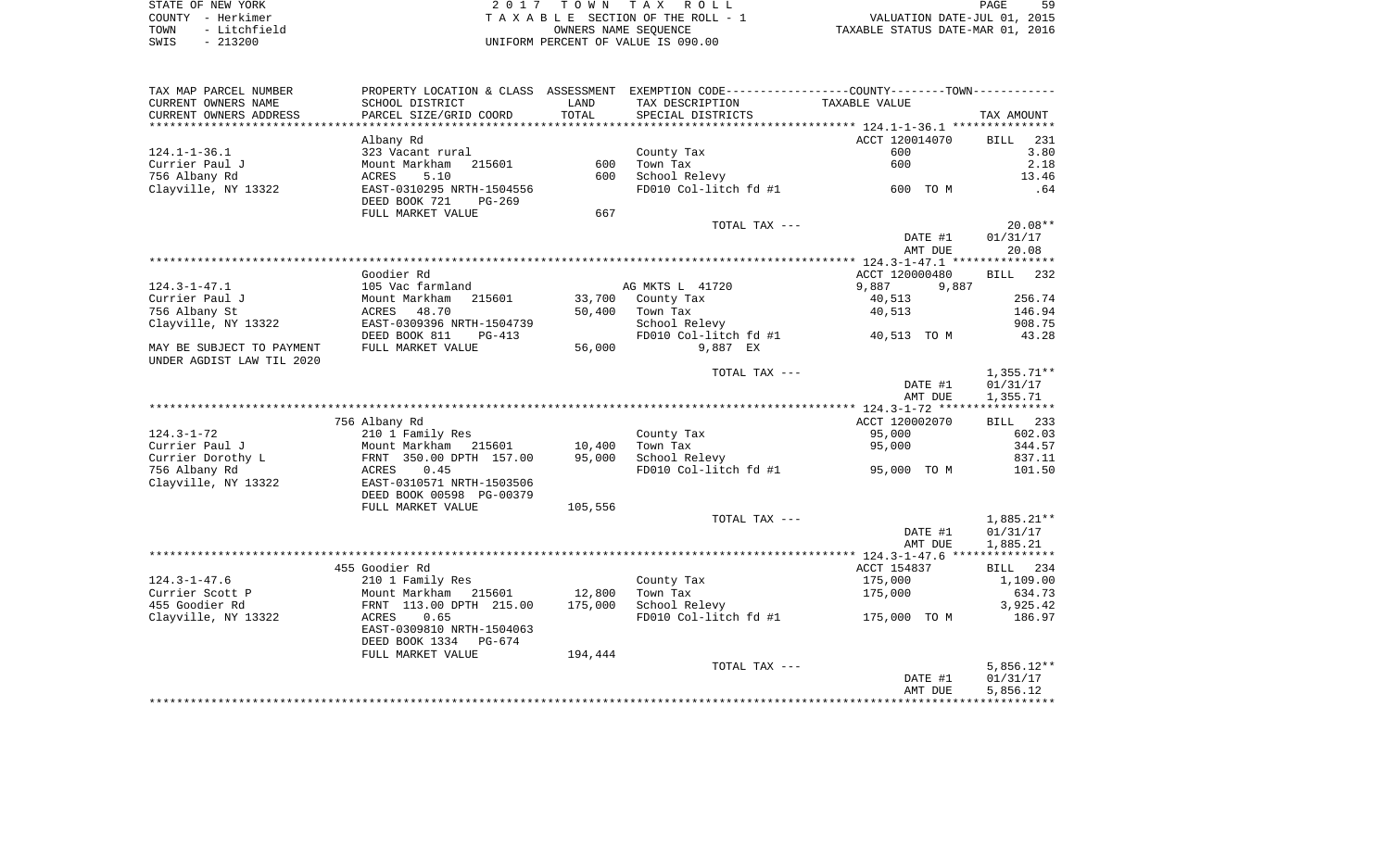STATE OF NEW YORK **EXECUTE:** A 2 0 1 7 T O W N T A X R O L L COUNTY - Herkimer<br>
T A X A B L E SECTION OF THE ROLL - 1<br>
TOWN - Litchfield<br>
SWIS - 213200 - UNIFORM PERCENT OF VALUE IS 090.00 TOWN - LITTLE ROLL - 1<br>
TAXABLE STATUS DATE-JUL 01, 2015<br>
TAXABLE STATUS DATE-MAR 01, 2016 SWIS - 213200 UNIFORM PERCENT OF VALUE IS 090.00

| CURRENT OWNERS NAME<br>SCHOOL DISTRICT<br>LAND<br>TAX DESCRIPTION<br>TAXABLE VALUE<br>TOTAL<br>PARCEL SIZE/GRID COORD<br>CURRENT OWNERS ADDRESS<br>SPECIAL DISTRICTS<br>ACCT 120014070<br>Albany Rd<br>$124.1 - 1 - 36.1$<br>323 Vacant rural<br>County Tax<br>600<br>600<br>Currier Paul J<br>Mount Markham<br>215601<br>600<br>Town Tax<br>756 Albany Rd<br>5.10<br>ACRES<br>600<br>School Relevy<br>Clayville, NY 13322<br>EAST-0310295 NRTH-1504556<br>FD010 Col-litch fd #1<br>600 TO M<br>DEED BOOK 721<br>$PG-269$<br>FULL MARKET VALUE<br>667<br>TOTAL TAX ---<br>DATE #1<br>AMT DUE<br>Goodier Rd<br>ACCT 120000480<br>$124.3 - 1 - 47.1$<br>105 Vac farmland<br>AG MKTS L 41720<br>9,887<br>9,887<br>Currier Paul J<br>Mount Markham<br>215601<br>33,700<br>County Tax<br>40,513<br>756 Albany St<br>48.70<br>ACRES<br>50,400<br>Town Tax<br>40,513<br>Clayville, NY 13322<br>EAST-0309396 NRTH-1504739<br>School Relevy<br>DEED BOOK 811<br>FD010 Col-litch fd #1<br>40,513 TO M<br>$PG-413$ | TAX AMOUNT<br><b>BILL</b> 231<br>3.80<br>2.18<br>13.46<br>.64<br>$20.08**$<br>01/31/17<br>20.08<br>BILL 232 |
|---------------------------------------------------------------------------------------------------------------------------------------------------------------------------------------------------------------------------------------------------------------------------------------------------------------------------------------------------------------------------------------------------------------------------------------------------------------------------------------------------------------------------------------------------------------------------------------------------------------------------------------------------------------------------------------------------------------------------------------------------------------------------------------------------------------------------------------------------------------------------------------------------------------------------------------------------------------------------------------------------------|-------------------------------------------------------------------------------------------------------------|
|                                                                                                                                                                                                                                                                                                                                                                                                                                                                                                                                                                                                                                                                                                                                                                                                                                                                                                                                                                                                         |                                                                                                             |
|                                                                                                                                                                                                                                                                                                                                                                                                                                                                                                                                                                                                                                                                                                                                                                                                                                                                                                                                                                                                         |                                                                                                             |
|                                                                                                                                                                                                                                                                                                                                                                                                                                                                                                                                                                                                                                                                                                                                                                                                                                                                                                                                                                                                         |                                                                                                             |
|                                                                                                                                                                                                                                                                                                                                                                                                                                                                                                                                                                                                                                                                                                                                                                                                                                                                                                                                                                                                         |                                                                                                             |
|                                                                                                                                                                                                                                                                                                                                                                                                                                                                                                                                                                                                                                                                                                                                                                                                                                                                                                                                                                                                         |                                                                                                             |
|                                                                                                                                                                                                                                                                                                                                                                                                                                                                                                                                                                                                                                                                                                                                                                                                                                                                                                                                                                                                         |                                                                                                             |
|                                                                                                                                                                                                                                                                                                                                                                                                                                                                                                                                                                                                                                                                                                                                                                                                                                                                                                                                                                                                         |                                                                                                             |
|                                                                                                                                                                                                                                                                                                                                                                                                                                                                                                                                                                                                                                                                                                                                                                                                                                                                                                                                                                                                         |                                                                                                             |
|                                                                                                                                                                                                                                                                                                                                                                                                                                                                                                                                                                                                                                                                                                                                                                                                                                                                                                                                                                                                         |                                                                                                             |
|                                                                                                                                                                                                                                                                                                                                                                                                                                                                                                                                                                                                                                                                                                                                                                                                                                                                                                                                                                                                         |                                                                                                             |
|                                                                                                                                                                                                                                                                                                                                                                                                                                                                                                                                                                                                                                                                                                                                                                                                                                                                                                                                                                                                         |                                                                                                             |
|                                                                                                                                                                                                                                                                                                                                                                                                                                                                                                                                                                                                                                                                                                                                                                                                                                                                                                                                                                                                         |                                                                                                             |
|                                                                                                                                                                                                                                                                                                                                                                                                                                                                                                                                                                                                                                                                                                                                                                                                                                                                                                                                                                                                         |                                                                                                             |
|                                                                                                                                                                                                                                                                                                                                                                                                                                                                                                                                                                                                                                                                                                                                                                                                                                                                                                                                                                                                         |                                                                                                             |
|                                                                                                                                                                                                                                                                                                                                                                                                                                                                                                                                                                                                                                                                                                                                                                                                                                                                                                                                                                                                         |                                                                                                             |
|                                                                                                                                                                                                                                                                                                                                                                                                                                                                                                                                                                                                                                                                                                                                                                                                                                                                                                                                                                                                         |                                                                                                             |
|                                                                                                                                                                                                                                                                                                                                                                                                                                                                                                                                                                                                                                                                                                                                                                                                                                                                                                                                                                                                         |                                                                                                             |
|                                                                                                                                                                                                                                                                                                                                                                                                                                                                                                                                                                                                                                                                                                                                                                                                                                                                                                                                                                                                         | 256.74                                                                                                      |
|                                                                                                                                                                                                                                                                                                                                                                                                                                                                                                                                                                                                                                                                                                                                                                                                                                                                                                                                                                                                         | 146.94                                                                                                      |
|                                                                                                                                                                                                                                                                                                                                                                                                                                                                                                                                                                                                                                                                                                                                                                                                                                                                                                                                                                                                         | 908.75                                                                                                      |
|                                                                                                                                                                                                                                                                                                                                                                                                                                                                                                                                                                                                                                                                                                                                                                                                                                                                                                                                                                                                         | 43.28                                                                                                       |
| MAY BE SUBJECT TO PAYMENT<br>FULL MARKET VALUE<br>56,000<br>9,887 EX                                                                                                                                                                                                                                                                                                                                                                                                                                                                                                                                                                                                                                                                                                                                                                                                                                                                                                                                    |                                                                                                             |
| UNDER AGDIST LAW TIL 2020                                                                                                                                                                                                                                                                                                                                                                                                                                                                                                                                                                                                                                                                                                                                                                                                                                                                                                                                                                               |                                                                                                             |
| TOTAL TAX ---                                                                                                                                                                                                                                                                                                                                                                                                                                                                                                                                                                                                                                                                                                                                                                                                                                                                                                                                                                                           | $1,355.71**$                                                                                                |
| DATE #1                                                                                                                                                                                                                                                                                                                                                                                                                                                                                                                                                                                                                                                                                                                                                                                                                                                                                                                                                                                                 | 01/31/17                                                                                                    |
| AMT DUE                                                                                                                                                                                                                                                                                                                                                                                                                                                                                                                                                                                                                                                                                                                                                                                                                                                                                                                                                                                                 | 1,355.71                                                                                                    |
|                                                                                                                                                                                                                                                                                                                                                                                                                                                                                                                                                                                                                                                                                                                                                                                                                                                                                                                                                                                                         |                                                                                                             |
| 756 Albany Rd<br>ACCT 120002070                                                                                                                                                                                                                                                                                                                                                                                                                                                                                                                                                                                                                                                                                                                                                                                                                                                                                                                                                                         | BILL 233                                                                                                    |
| $124.3 - 1 - 72$<br>210 1 Family Res<br>County Tax<br>95,000                                                                                                                                                                                                                                                                                                                                                                                                                                                                                                                                                                                                                                                                                                                                                                                                                                                                                                                                            | 602.03                                                                                                      |
| Currier Paul J<br>Mount Markham<br>215601<br>10,400<br>Town Tax<br>95,000                                                                                                                                                                                                                                                                                                                                                                                                                                                                                                                                                                                                                                                                                                                                                                                                                                                                                                                               | 344.57                                                                                                      |
| Currier Dorothy L<br>FRNT 350.00 DPTH 157.00<br>95,000<br>School Relevy                                                                                                                                                                                                                                                                                                                                                                                                                                                                                                                                                                                                                                                                                                                                                                                                                                                                                                                                 | 837.11                                                                                                      |
| FD010 Col-litch fd #1<br>756 Albany Rd<br>0.45<br>95,000 TO M<br>ACRES                                                                                                                                                                                                                                                                                                                                                                                                                                                                                                                                                                                                                                                                                                                                                                                                                                                                                                                                  | 101.50                                                                                                      |
| Clayville, NY 13322<br>EAST-0310571 NRTH-1503506                                                                                                                                                                                                                                                                                                                                                                                                                                                                                                                                                                                                                                                                                                                                                                                                                                                                                                                                                        |                                                                                                             |
| DEED BOOK 00598 PG-00379                                                                                                                                                                                                                                                                                                                                                                                                                                                                                                                                                                                                                                                                                                                                                                                                                                                                                                                                                                                |                                                                                                             |
| FULL MARKET VALUE<br>105,556                                                                                                                                                                                                                                                                                                                                                                                                                                                                                                                                                                                                                                                                                                                                                                                                                                                                                                                                                                            |                                                                                                             |
| TOTAL TAX ---                                                                                                                                                                                                                                                                                                                                                                                                                                                                                                                                                                                                                                                                                                                                                                                                                                                                                                                                                                                           | 1,885.21**                                                                                                  |
| DATE #1                                                                                                                                                                                                                                                                                                                                                                                                                                                                                                                                                                                                                                                                                                                                                                                                                                                                                                                                                                                                 | 01/31/17                                                                                                    |
| AMT DUE                                                                                                                                                                                                                                                                                                                                                                                                                                                                                                                                                                                                                                                                                                                                                                                                                                                                                                                                                                                                 | 1,885.21                                                                                                    |
| ************** 124.3-1-47.6 ****************                                                                                                                                                                                                                                                                                                                                                                                                                                                                                                                                                                                                                                                                                                                                                                                                                                                                                                                                                            |                                                                                                             |
| 455 Goodier Rd<br>ACCT 154837                                                                                                                                                                                                                                                                                                                                                                                                                                                                                                                                                                                                                                                                                                                                                                                                                                                                                                                                                                           | BILL 234                                                                                                    |
| $124.3 - 1 - 47.6$<br>210 1 Family Res<br>County Tax<br>175,000                                                                                                                                                                                                                                                                                                                                                                                                                                                                                                                                                                                                                                                                                                                                                                                                                                                                                                                                         | 1,109.00                                                                                                    |
| Currier Scott P<br>Mount Markham<br>12,800<br>Town Tax<br>175,000<br>215601                                                                                                                                                                                                                                                                                                                                                                                                                                                                                                                                                                                                                                                                                                                                                                                                                                                                                                                             | 634.73                                                                                                      |
| 455 Goodier Rd<br>175,000                                                                                                                                                                                                                                                                                                                                                                                                                                                                                                                                                                                                                                                                                                                                                                                                                                                                                                                                                                               |                                                                                                             |
| FRNT 113.00 DPTH 215.00<br>School Relevy                                                                                                                                                                                                                                                                                                                                                                                                                                                                                                                                                                                                                                                                                                                                                                                                                                                                                                                                                                | 3,925.42                                                                                                    |
| Clayville, NY 13322<br>ACRES<br>0.65<br>FD010 Col-litch fd #1<br>175,000 TO M                                                                                                                                                                                                                                                                                                                                                                                                                                                                                                                                                                                                                                                                                                                                                                                                                                                                                                                           | 186.97                                                                                                      |
| EAST-0309810 NRTH-1504063                                                                                                                                                                                                                                                                                                                                                                                                                                                                                                                                                                                                                                                                                                                                                                                                                                                                                                                                                                               |                                                                                                             |
| DEED BOOK 1334 PG-674                                                                                                                                                                                                                                                                                                                                                                                                                                                                                                                                                                                                                                                                                                                                                                                                                                                                                                                                                                                   |                                                                                                             |
| FULL MARKET VALUE<br>194,444                                                                                                                                                                                                                                                                                                                                                                                                                                                                                                                                                                                                                                                                                                                                                                                                                                                                                                                                                                            |                                                                                                             |
| TOTAL TAX ---                                                                                                                                                                                                                                                                                                                                                                                                                                                                                                                                                                                                                                                                                                                                                                                                                                                                                                                                                                                           | $5,856.12**$                                                                                                |
| DATE #1                                                                                                                                                                                                                                                                                                                                                                                                                                                                                                                                                                                                                                                                                                                                                                                                                                                                                                                                                                                                 | 01/31/17                                                                                                    |
| AMT DUE                                                                                                                                                                                                                                                                                                                                                                                                                                                                                                                                                                                                                                                                                                                                                                                                                                                                                                                                                                                                 | 5,856.12                                                                                                    |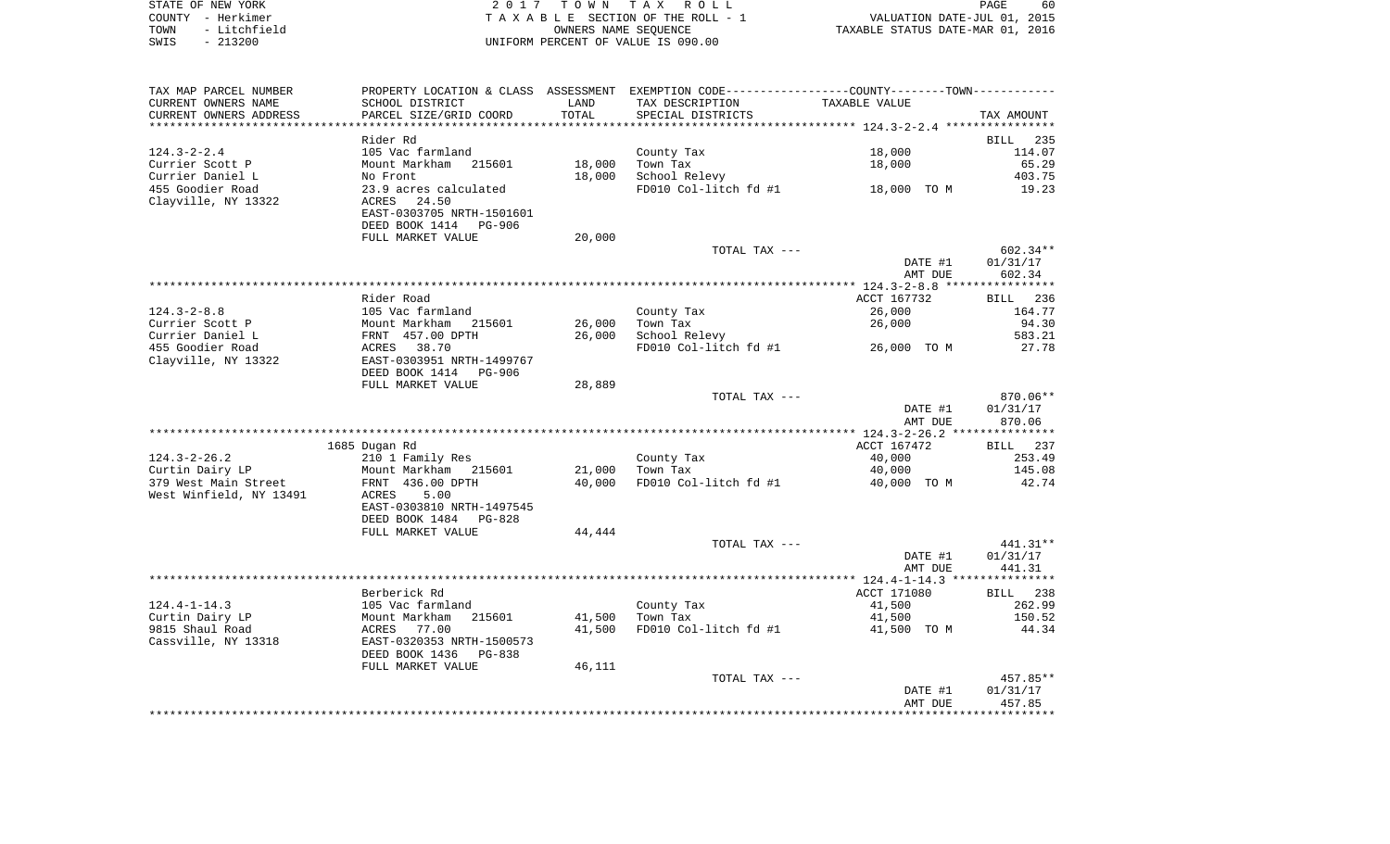|      | STATE OF NEW YORK | 2017 TOWN TAX ROLL                 | 60<br>PAGE                       |
|------|-------------------|------------------------------------|----------------------------------|
|      | COUNTY - Herkimer | TAXABLE SECTION OF THE ROLL - 1    | VALUATION DATE-JUL 01, 2015      |
| TOWN | - Litchfield      | OWNERS NAME SEOUENCE               | TAXABLE STATUS DATE-MAR 01, 2016 |
| SWIS | $-213200$         | UNIFORM PERCENT OF VALUE IS 090.00 |                                  |

| TAX MAP PARCEL NUMBER   | PROPERTY LOCATION & CLASS ASSESSMENT |            |                       | EXEMPTION CODE-----------------COUNTY-------TOWN----------- |                    |
|-------------------------|--------------------------------------|------------|-----------------------|-------------------------------------------------------------|--------------------|
| CURRENT OWNERS NAME     | SCHOOL DISTRICT                      | LAND       | TAX DESCRIPTION       | <b>TAXABLE VALUE</b>                                        |                    |
| CURRENT OWNERS ADDRESS  | PARCEL SIZE/GRID COORD               | TOTAL      | SPECIAL DISTRICTS     |                                                             | TAX AMOUNT         |
| ********************    | *******************                  | ********** |                       |                                                             |                    |
|                         | Rider Rd                             |            |                       |                                                             | BILL<br>235        |
| $124.3 - 2 - 2.4$       | 105 Vac farmland                     |            | County Tax            | 18,000                                                      | 114.07             |
| Currier Scott P         | Mount Markham 215601                 | 18,000     | Town Tax              | 18,000                                                      | 65.29              |
| Currier Daniel L        | No Front                             | 18,000     | School Relevy         |                                                             | 403.75             |
| 455 Goodier Road        | 23.9 acres calculated                |            | FD010 Col-litch fd #1 | 18,000 TO M                                                 | 19.23              |
| Clayville, NY 13322     | ACRES<br>24.50                       |            |                       |                                                             |                    |
|                         | EAST-0303705 NRTH-1501601            |            |                       |                                                             |                    |
|                         | DEED BOOK 1414 PG-906                |            |                       |                                                             |                    |
|                         | FULL MARKET VALUE                    | 20,000     |                       |                                                             |                    |
|                         |                                      |            | TOTAL TAX ---         |                                                             | 602.34**           |
|                         |                                      |            |                       | DATE #1                                                     | 01/31/17           |
|                         |                                      |            |                       | AMT DUE                                                     | 602.34             |
|                         |                                      |            |                       |                                                             |                    |
|                         | Rider Road                           |            |                       | ACCT 167732                                                 | 236<br>BILL        |
| $124.3 - 2 - 8.8$       | 105 Vac farmland                     |            | County Tax            | 26,000                                                      | 164.77             |
| Currier Scott P         | 215601<br>Mount Markham              | 26,000     | Town Tax              | 26,000                                                      | 94.30              |
| Currier Daniel L        | FRNT 457.00 DPTH                     | 26,000     | School Relevy         |                                                             | 583.21             |
| 455 Goodier Road        | ACRES<br>38.70                       |            | FD010 Col-litch fd #1 | 26,000 TO M                                                 | 27.78              |
| Clayville, NY 13322     | EAST-0303951 NRTH-1499767            |            |                       |                                                             |                    |
|                         | DEED BOOK 1414<br>PG-906             |            |                       |                                                             |                    |
|                         | FULL MARKET VALUE                    | 28,889     |                       |                                                             |                    |
|                         |                                      |            | TOTAL TAX ---         |                                                             | 870.06**           |
|                         |                                      |            |                       | DATE #1                                                     | 01/31/17           |
|                         |                                      |            |                       | AMT DUE                                                     | 870.06             |
|                         |                                      |            |                       |                                                             |                    |
|                         | 1685 Dugan Rd                        |            |                       | ACCT 167472                                                 | BILL 237           |
| $124.3 - 2 - 26.2$      | 210 1 Family Res                     |            | County Tax            | 40,000                                                      | 253.49             |
| Curtin Dairy LP         | Mount Markham 215601                 | 21,000     | Town Tax              | 40,000                                                      | 145.08             |
| 379 West Main Street    | FRNT 436.00 DPTH                     | 40,000     | FD010 Col-litch fd #1 | 40,000 TO M                                                 | 42.74              |
| West Winfield, NY 13491 | 5.00<br>ACRES                        |            |                       |                                                             |                    |
|                         | EAST-0303810 NRTH-1497545            |            |                       |                                                             |                    |
|                         | DEED BOOK 1484<br>PG-828             |            |                       |                                                             |                    |
|                         | FULL MARKET VALUE                    | 44,444     |                       |                                                             |                    |
|                         |                                      |            | TOTAL TAX ---         |                                                             | 441.31**           |
|                         |                                      |            |                       | DATE #1                                                     | 01/31/17<br>441.31 |
|                         |                                      |            |                       | AMT DUE                                                     |                    |
|                         | Berberick Rd                         |            |                       | ACCT 171080                                                 | BILL 238           |
| $124.4 - 1 - 14.3$      | 105 Vac farmland                     |            | County Tax            | 41,500                                                      | 262.99             |
| Curtin Dairy LP         | Mount Markham<br>215601              | 41,500     | Town Tax              | 41,500                                                      | 150.52             |
| 9815 Shaul Road         | ACRES<br>77.00                       | 41,500     | FD010 Col-litch fd #1 | 41,500 TO M                                                 | 44.34              |
| Cassville, NY 13318     | EAST-0320353 NRTH-1500573            |            |                       |                                                             |                    |
|                         | DEED BOOK 1436<br>PG-838             |            |                       |                                                             |                    |
|                         | FULL MARKET VALUE                    | 46,111     |                       |                                                             |                    |
|                         |                                      |            | TOTAL TAX ---         |                                                             | 457.85**           |
|                         |                                      |            |                       | DATE #1                                                     | 01/31/17           |
|                         |                                      |            |                       | AMT DUE                                                     | 457.85             |
|                         |                                      |            |                       |                                                             |                    |
|                         |                                      |            |                       |                                                             |                    |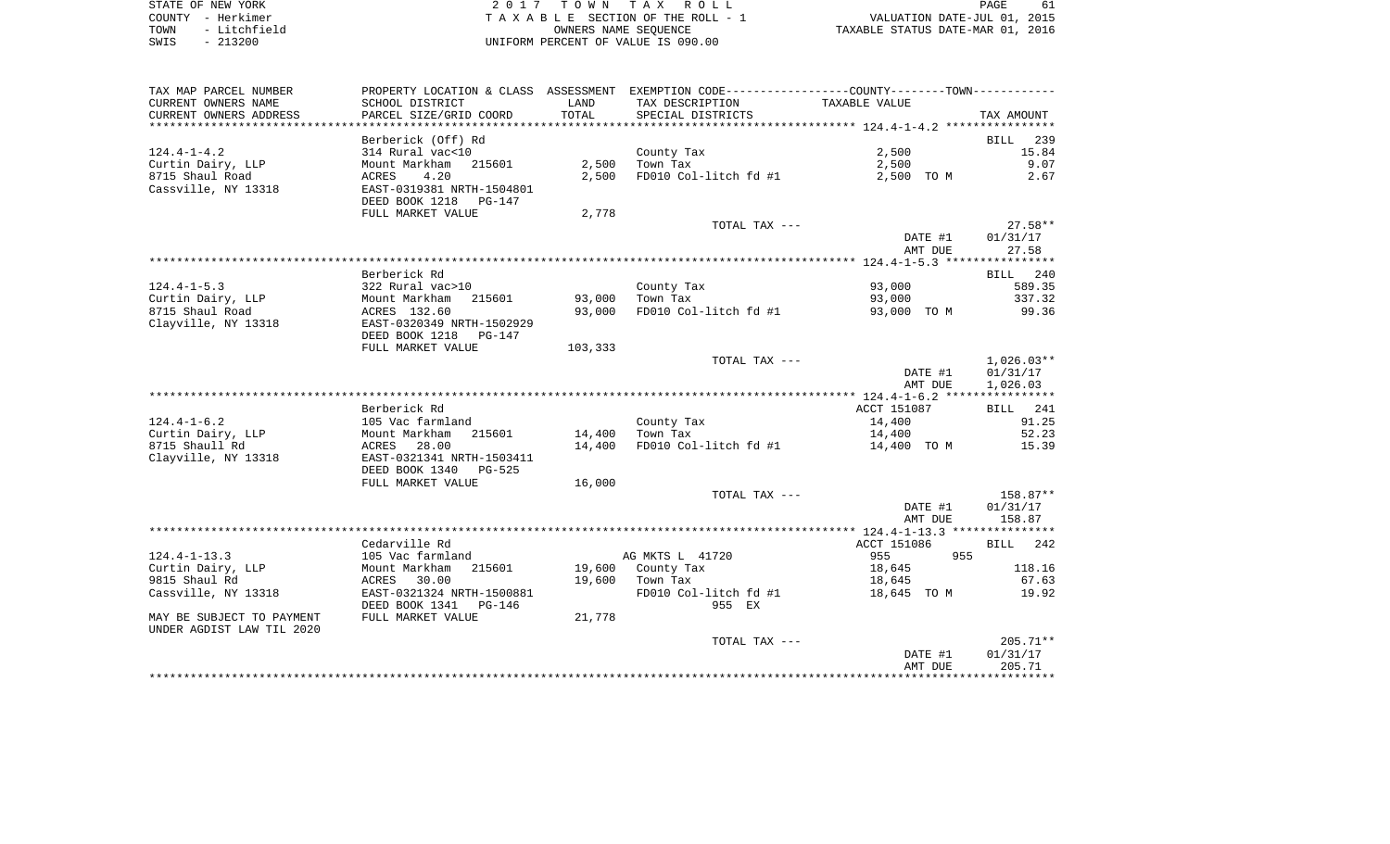| STATE OF NEW YORK    | 2017 TOWN TAX ROLL                 | PAGE                             |
|----------------------|------------------------------------|----------------------------------|
| COUNTY - Herkimer    | TAXABLE SECTION OF THE ROLL - 1    | VALUATION DATE-JUL 01, 2015      |
| - Litchfield<br>TOWN | OWNERS NAME SEOUENCE               | TAXABLE STATUS DATE-MAR 01, 2016 |
| $-213200$<br>SWIS    | UNIFORM PERCENT OF VALUE IS 090.00 |                                  |

| TAX MAP PARCEL NUMBER     | PROPERTY LOCATION & CLASS ASSESSMENT EXEMPTION CODE----------------COUNTY--------TOWN---------- |         |                       |                                   |                    |
|---------------------------|-------------------------------------------------------------------------------------------------|---------|-----------------------|-----------------------------------|--------------------|
| CURRENT OWNERS NAME       | SCHOOL DISTRICT                                                                                 | LAND    | TAX DESCRIPTION       | TAXABLE VALUE                     |                    |
| CURRENT OWNERS ADDRESS    | PARCEL SIZE/GRID COORD                                                                          | TOTAL   | SPECIAL DISTRICTS     |                                   | TAX AMOUNT         |
| *******************       | *************************                                                                       |         |                       |                                   |                    |
|                           | Berberick (Off) Rd                                                                              |         |                       |                                   | <b>BILL</b><br>239 |
| $124.4 - 1 - 4.2$         | 314 Rural vac<10                                                                                |         | County Tax            | 2,500                             | 15.84              |
| Curtin Dairy, LLP         | Mount Markham 215601                                                                            | 2,500   | Town Tax              | 2,500                             | 9.07               |
| 8715 Shaul Road           | 4.20<br>ACRES                                                                                   | 2,500   | FD010 Col-litch fd #1 | 2,500 TO M                        | 2.67               |
| Cassville, NY 13318       | EAST-0319381 NRTH-1504801                                                                       |         |                       |                                   |                    |
|                           | DEED BOOK 1218<br>PG-147                                                                        |         |                       |                                   |                    |
|                           | FULL MARKET VALUE                                                                               | 2,778   |                       |                                   |                    |
|                           |                                                                                                 |         | TOTAL TAX ---         |                                   | $27.58**$          |
|                           |                                                                                                 |         |                       | DATE #1                           | 01/31/17           |
|                           |                                                                                                 |         |                       | AMT DUE                           | 27.58              |
|                           |                                                                                                 |         |                       |                                   |                    |
|                           | Berberick Rd                                                                                    |         |                       |                                   | BILL 240           |
| $124.4 - 1 - 5.3$         | 322 Rural vac>10                                                                                |         | County Tax            | 93,000                            | 589.35             |
| Curtin Dairy, LLP         | Mount Markham<br>215601                                                                         | 93,000  | Town Tax              | 93,000                            | 337.32             |
| 8715 Shaul Road           | ACRES 132.60<br>EAST-0320349 NRTH-1502929                                                       | 93,000  |                       | FD010 Col-litch fd #1 93,000 TO M | 99.36              |
| Clayville, NY 13318       |                                                                                                 |         |                       |                                   |                    |
|                           | DEED BOOK 1218<br>PG-147                                                                        |         |                       |                                   |                    |
|                           | FULL MARKET VALUE                                                                               | 103,333 |                       |                                   |                    |
|                           |                                                                                                 |         | TOTAL TAX ---         |                                   | $1,026.03**$       |
|                           |                                                                                                 |         |                       | DATE #1                           | 01/31/17           |
|                           |                                                                                                 |         |                       | AMT DUE                           | 1,026.03           |
|                           |                                                                                                 |         |                       |                                   |                    |
|                           | Berberick Rd                                                                                    |         |                       | ACCT 151087                       | BILL 241           |
| $124.4 - 1 - 6.2$         | 105 Vac farmland                                                                                |         | County Tax            | 14,400                            | 91.25              |
| Curtin Dairy, LLP         | Mount Markham<br>215601                                                                         |         | 14,400 Town Tax       | 14,400                            | 52.23              |
| 8715 Shaull Rd            | ACRES 28.00                                                                                     | 14,400  | FD010 Col-litch fd #1 | 14,400 TO M                       | 15.39              |
| Clayville, NY 13318       | EAST-0321341 NRTH-1503411                                                                       |         |                       |                                   |                    |
|                           | DEED BOOK 1340<br>PG-525                                                                        |         |                       |                                   |                    |
|                           | FULL MARKET VALUE                                                                               | 16,000  |                       |                                   |                    |
|                           |                                                                                                 |         | TOTAL TAX ---         |                                   | 158.87**           |
|                           |                                                                                                 |         |                       | DATE #1                           | 01/31/17           |
|                           |                                                                                                 |         |                       | AMT DUE                           | 158.87             |
|                           |                                                                                                 |         |                       |                                   |                    |
|                           | Cedarville Rd                                                                                   |         |                       | ACCT 151086                       | BILL 242           |
| $124.4 - 1 - 13.3$        | 105 Vac farmland                                                                                |         | AG MKTS L 41720       | 955<br>955                        |                    |
| Curtin Dairy, LLP         | Mount Markham<br>215601                                                                         |         | 19,600 County Tax     | 18,645                            | 118.16             |
| 9815 Shaul Rd             | ACRES 30.00                                                                                     |         | 19,600 Town Tax       | 18,645                            | 67.63              |
| Cassville, NY 13318       | EAST-0321324 NRTH-1500881                                                                       |         | FD010 Col-litch fd #1 | 18,645 TO M                       | 19.92              |
|                           | DEED BOOK 1341 PG-146                                                                           |         | 955 EX                |                                   |                    |
| MAY BE SUBJECT TO PAYMENT | FULL MARKET VALUE                                                                               | 21,778  |                       |                                   |                    |
| UNDER AGDIST LAW TIL 2020 |                                                                                                 |         |                       |                                   |                    |
|                           |                                                                                                 |         | TOTAL TAX ---         |                                   | $205.71**$         |
|                           |                                                                                                 |         |                       | DATE #1                           | 01/31/17           |
|                           |                                                                                                 |         |                       | AMT DUE                           | 205.71             |
|                           |                                                                                                 |         |                       |                                   |                    |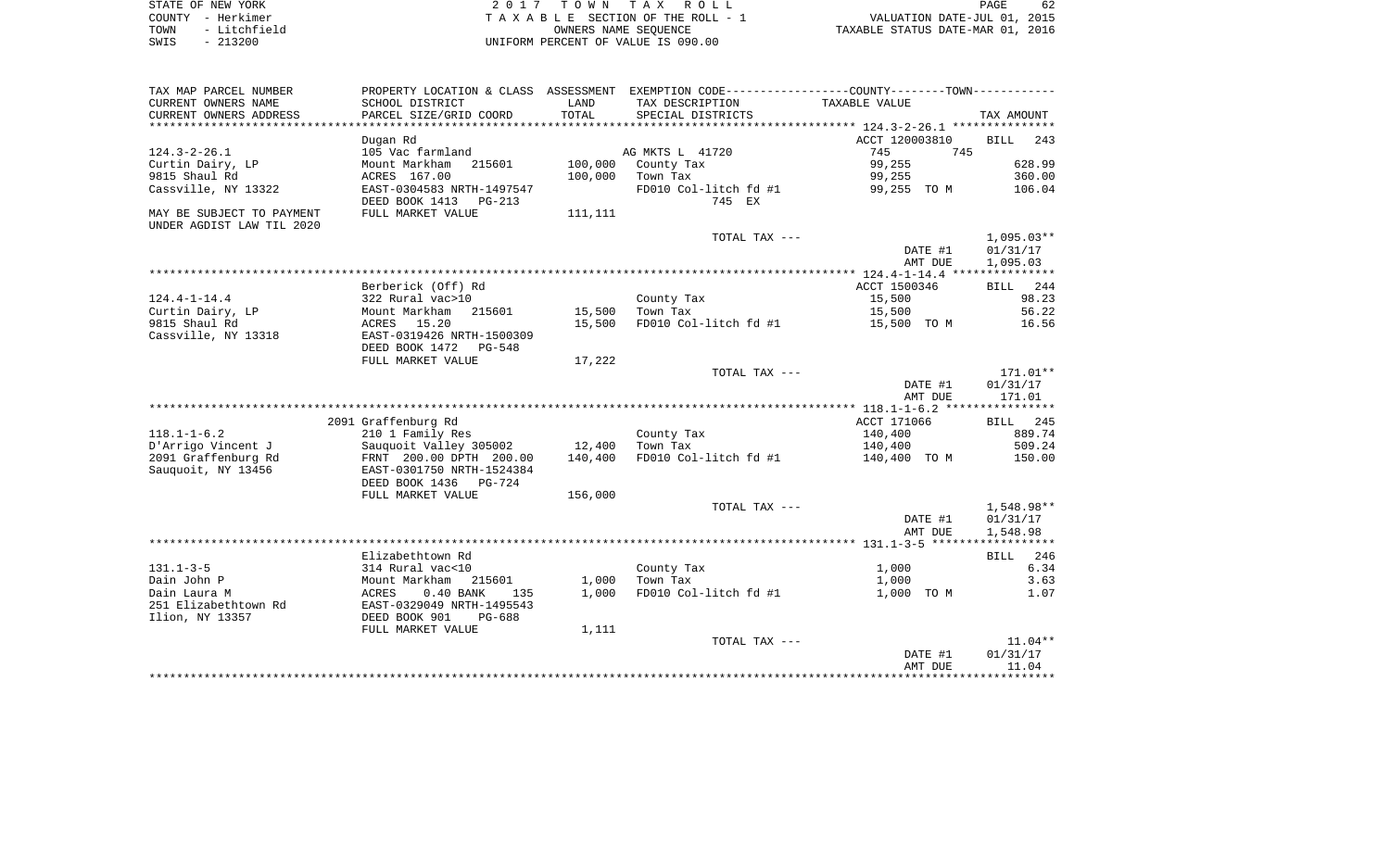| STATE OF NEW YORK    | 2017 TOWN TAX ROLL                 | 62<br>PAGE                       |
|----------------------|------------------------------------|----------------------------------|
| COUNTY - Herkimer    | TAXABLE SECTION OF THE ROLL - 1    | VALUATION DATE-JUL 01, 2015      |
| - Litchfield<br>TOWN | OWNERS NAME SEOUENCE               | TAXABLE STATUS DATE-MAR 01, 2016 |
| $-213200$<br>SWIS    | UNIFORM PERCENT OF VALUE IS 090.00 |                                  |

| TAX MAP PARCEL NUMBER     |                             |         | PROPERTY LOCATION & CLASS ASSESSMENT EXEMPTION CODE-----------------COUNTY--------TOWN----------- |                |                    |
|---------------------------|-----------------------------|---------|---------------------------------------------------------------------------------------------------|----------------|--------------------|
| CURRENT OWNERS NAME       | SCHOOL DISTRICT             | LAND    | TAX DESCRIPTION                                                                                   | TAXABLE VALUE  |                    |
| CURRENT OWNERS ADDRESS    | PARCEL SIZE/GRID COORD      | TOTAL   | SPECIAL DISTRICTS                                                                                 |                | TAX AMOUNT         |
|                           |                             |         |                                                                                                   |                |                    |
|                           | Dugan Rd                    |         |                                                                                                   | ACCT 120003810 | <b>BILL</b><br>243 |
| $124.3 - 2 - 26.1$        | 105 Vac farmland            |         | AG MKTS L 41720                                                                                   | 745<br>745     |                    |
| Curtin Dairy, LP          | 215601<br>Mount Markham     | 100,000 | County Tax                                                                                        | 99,255         | 628.99             |
| 9815 Shaul Rd             | ACRES 167.00                | 100,000 | Town Tax                                                                                          | 99,255         | 360.00             |
| Cassville, NY 13322       | EAST-0304583 NRTH-1497547   |         | FD010 Col-litch fd #1                                                                             | 99,255 TO M    | 106.04             |
|                           | DEED BOOK 1413 PG-213       |         | 745 EX                                                                                            |                |                    |
|                           |                             |         |                                                                                                   |                |                    |
| MAY BE SUBJECT TO PAYMENT | FULL MARKET VALUE           | 111,111 |                                                                                                   |                |                    |
| UNDER AGDIST LAW TIL 2020 |                             |         |                                                                                                   |                |                    |
|                           |                             |         | TOTAL TAX ---                                                                                     |                | $1,095.03**$       |
|                           |                             |         |                                                                                                   | DATE #1        | 01/31/17           |
|                           |                             |         |                                                                                                   | AMT DUE        | 1,095.03           |
|                           |                             |         |                                                                                                   |                |                    |
|                           | Berberick (Off) Rd          |         |                                                                                                   | ACCT 1500346   | BILL 244           |
| $124.4 - 1 - 14.4$        | 322 Rural vac>10            |         | County Tax                                                                                        | 15,500         | 98.23              |
| Curtin Dairy, LP          | Mount Markham<br>215601     | 15,500  | Town Tax                                                                                          | 15,500         | 56.22              |
| 9815 Shaul Rd             | ACRES<br>15.20              | 15,500  | FD010 Col-litch fd #1                                                                             | 15,500 TO M    | 16.56              |
| Cassville, NY 13318       | EAST-0319426 NRTH-1500309   |         |                                                                                                   |                |                    |
|                           | DEED BOOK 1472<br>PG-548    |         |                                                                                                   |                |                    |
|                           | FULL MARKET VALUE           | 17,222  |                                                                                                   |                |                    |
|                           |                             |         | TOTAL TAX ---                                                                                     |                | 171.01**           |
|                           |                             |         |                                                                                                   | DATE #1        | 01/31/17           |
|                           |                             |         |                                                                                                   | AMT DUE        | 171.01             |
|                           |                             |         |                                                                                                   |                |                    |
|                           |                             |         |                                                                                                   |                |                    |
|                           | 2091 Graffenburg Rd         |         |                                                                                                   | ACCT 171066    | BILL 245           |
| $118.1 - 1 - 6.2$         | 210 1 Family Res            |         | County Tax                                                                                        | 140,400        | 889.74             |
| D'Arrigo Vincent J        | Sauquoit Valley 305002      | 12,400  | Town Tax                                                                                          | 140,400        | 509.24             |
| 2091 Graffenburg Rd       | FRNT 200.00 DPTH 200.00     | 140,400 | FD010 Col-litch fd #1                                                                             | 140,400 TO M   | 150.00             |
| Sauguoit, NY 13456        | EAST-0301750 NRTH-1524384   |         |                                                                                                   |                |                    |
|                           | DEED BOOK 1436<br>PG-724    |         |                                                                                                   |                |                    |
|                           | FULL MARKET VALUE           | 156,000 |                                                                                                   |                |                    |
|                           |                             |         | TOTAL TAX ---                                                                                     |                | 1,548.98**         |
|                           |                             |         |                                                                                                   | DATE #1        | 01/31/17           |
|                           |                             |         |                                                                                                   | AMT DUE        | 1,548.98           |
|                           |                             |         |                                                                                                   |                |                    |
|                           | Elizabethtown Rd            |         |                                                                                                   |                | BILL 246           |
| $131.1 - 3 - 5$           | 314 Rural vac<10            |         | County Tax                                                                                        | 1,000          | 6.34               |
| Dain John P               | Mount Markham<br>215601     | 1,000   | Town Tax                                                                                          | 1,000          | 3.63               |
| Dain Laura M              | $0.40$ BANK<br>ACRES<br>135 | 1,000   | FD010 Col-litch fd #1                                                                             | 1,000 TO M     | 1.07               |
| 251 Elizabethtown Rd      | EAST-0329049 NRTH-1495543   |         |                                                                                                   |                |                    |
|                           |                             |         |                                                                                                   |                |                    |
| Ilion, NY 13357           | DEED BOOK 901<br>PG-688     |         |                                                                                                   |                |                    |
|                           | FULL MARKET VALUE           | 1,111   |                                                                                                   |                |                    |
|                           |                             |         | TOTAL TAX ---                                                                                     |                | $11.04**$          |
|                           |                             |         |                                                                                                   | DATE #1        | 01/31/17           |
|                           |                             |         |                                                                                                   | AMT DUE        | 11.04              |
|                           |                             |         |                                                                                                   |                |                    |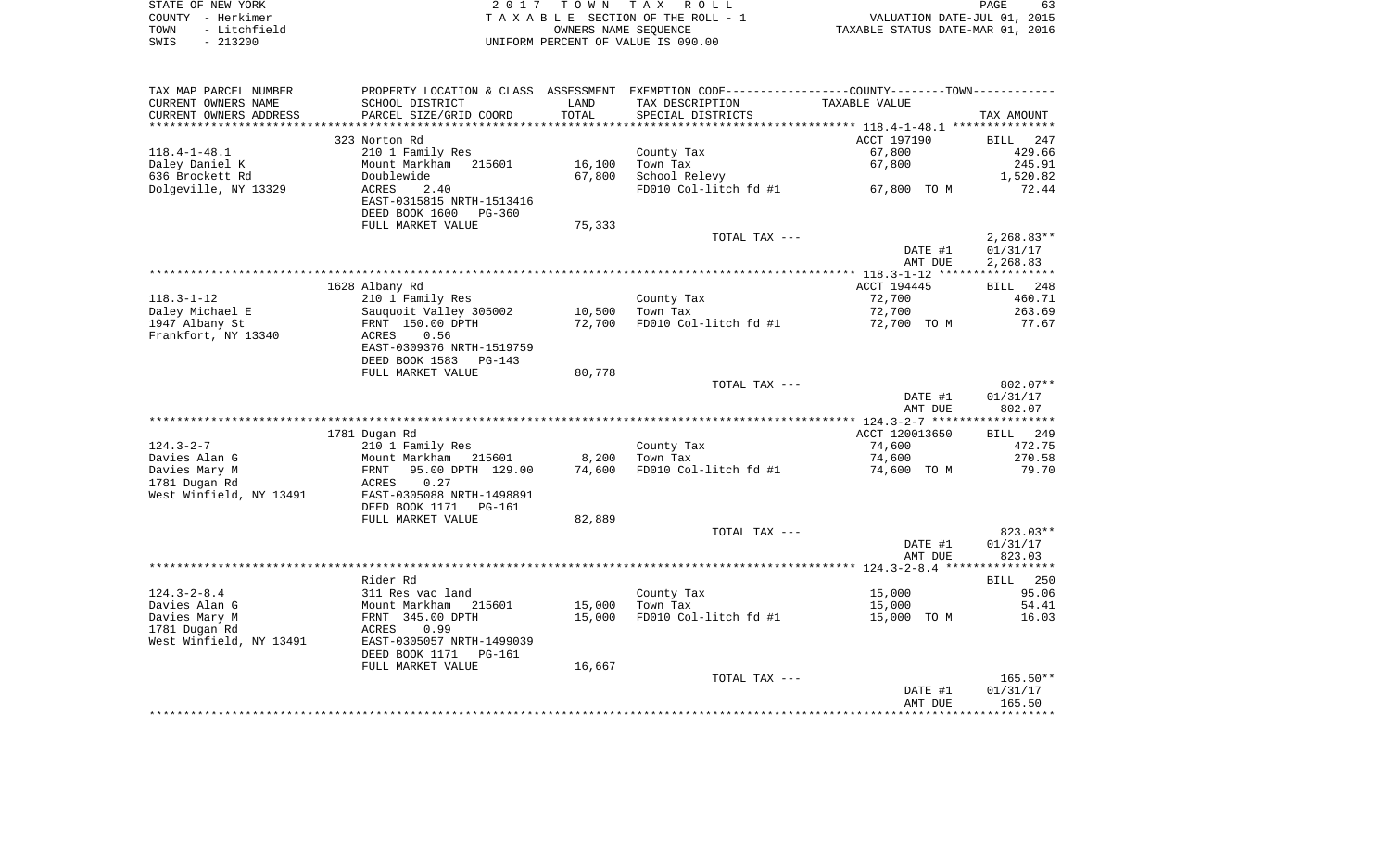| STATE OF NEW YORK    | 2017 TOWN TAX ROLL                 | 63<br>PAGE                       |
|----------------------|------------------------------------|----------------------------------|
| COUNTY - Herkimer    | TAXABLE SECTION OF THE ROLL - 1    | VALUATION DATE-JUL 01, 2015      |
| - Litchfield<br>TOWN | OWNERS NAME SEOUENCE               | TAXABLE STATUS DATE-MAR 01, 2016 |
| $-213200$<br>SWIS    | UNIFORM PERCENT OF VALUE IS 090.00 |                                  |

| CURRENT OWNERS NAME<br>SCHOOL DISTRICT<br>LAND            | PROPERTY LOCATION & CLASS ASSESSMENT EXEMPTION CODE----------------COUNTY--------TOWN---------- |                       |              |
|-----------------------------------------------------------|-------------------------------------------------------------------------------------------------|-----------------------|--------------|
|                                                           | TAX DESCRIPTION                                                                                 | TAXABLE VALUE         |              |
| PARCEL SIZE/GRID COORD<br>TOTAL<br>CURRENT OWNERS ADDRESS | SPECIAL DISTRICTS                                                                               |                       | TAX AMOUNT   |
| ***********************<br>****************************** |                                                                                                 |                       |              |
| 323 Norton Rd                                             |                                                                                                 | ACCT 197190           | BILL 247     |
| $118.4 - 1 - 48.1$<br>210 1 Family Res                    | County Tax                                                                                      | 67,800                | 429.66       |
| Daley Daniel K<br>Mount Markham<br>215601<br>16,100       | Town Tax                                                                                        | 67,800                | 245.91       |
| 636 Brockett Rd<br>Doublewide<br>67,800                   | School Relevy                                                                                   |                       | 1,520.82     |
| Dolgeville, NY 13329<br>ACRES<br>2.40                     | FD010 Col-litch fd #1                                                                           | 67,800 TO M           | 72.44        |
| EAST-0315815 NRTH-1513416                                 |                                                                                                 |                       |              |
| DEED BOOK 1600<br>PG-360                                  |                                                                                                 |                       |              |
| FULL MARKET VALUE<br>75,333                               |                                                                                                 |                       |              |
|                                                           | TOTAL TAX ---                                                                                   |                       | $2,268.83**$ |
|                                                           |                                                                                                 | DATE #1               | 01/31/17     |
|                                                           |                                                                                                 | AMT DUE               | 2,268.83     |
|                                                           |                                                                                                 |                       |              |
| 1628 Albany Rd                                            |                                                                                                 | ACCT 194445           | BILL 248     |
| $118.3 - 1 - 12$<br>210 1 Family Res                      | County Tax                                                                                      | 72,700                | 460.71       |
|                                                           |                                                                                                 |                       | 263.69       |
| 10,500<br>Daley Michael E<br>Sauquoit Valley 305002       | Town Tax                                                                                        | 72,700                |              |
| 1947 Albany St<br>72,700<br>FRNT 150.00 DPTH              | FD010 Col-litch fd #1                                                                           | 72,700 TO M           | 77.67        |
| Frankfort, NY 13340<br>ACRES<br>0.56                      |                                                                                                 |                       |              |
| EAST-0309376 NRTH-1519759                                 |                                                                                                 |                       |              |
| DEED BOOK 1583<br>PG-143                                  |                                                                                                 |                       |              |
| 80,778<br>FULL MARKET VALUE                               |                                                                                                 |                       |              |
|                                                           | TOTAL TAX ---                                                                                   |                       | $802.07**$   |
|                                                           |                                                                                                 | DATE #1               | 01/31/17     |
|                                                           |                                                                                                 | AMT DUE               | 802.07       |
|                                                           |                                                                                                 |                       |              |
| 1781 Dugan Rd                                             |                                                                                                 | ACCT 120013650        | BILL 249     |
| $124.3 - 2 - 7$<br>210 1 Family Res                       | County Tax                                                                                      | 74,600                | 472.75       |
| Davies Alan G<br>Mount Markham 215601<br>8,200            | Town Tax                                                                                        | 74,600                | 270.58       |
| Davies Mary M<br>FRNT<br>95.00 DPTH 129.00<br>74,600      | FD010 Col-litch fd #1                                                                           | 74,600 TO M           | 79.70        |
| 1781 Dugan Rd<br>0.27<br>ACRES                            |                                                                                                 |                       |              |
| West Winfield, NY 13491<br>EAST-0305088 NRTH-1498891      |                                                                                                 |                       |              |
| DEED BOOK 1171<br>PG-161                                  |                                                                                                 |                       |              |
| FULL MARKET VALUE<br>82,889                               |                                                                                                 |                       |              |
|                                                           | TOTAL TAX ---                                                                                   |                       | 823.03**     |
|                                                           |                                                                                                 | DATE #1               | 01/31/17     |
|                                                           |                                                                                                 | AMT DUE               | 823.03       |
|                                                           |                                                                                                 |                       |              |
| Rider Rd                                                  |                                                                                                 |                       | BILL 250     |
| $124.3 - 2 - 8.4$<br>311 Res vac land                     |                                                                                                 | 15,000                | 95.06        |
|                                                           | County Tax                                                                                      |                       |              |
|                                                           | Town Tax                                                                                        | 15,000<br>15,000 TO M | 54.41        |
| Davies Alan G<br>Mount Markham 215601<br>15,000           |                                                                                                 |                       | 16.03        |
| Davies Mary M<br>FRNT 345.00 DPTH<br>15,000               | FD010 Col-litch fd #1                                                                           |                       |              |
| 1781 Dugan Rd<br>ACRES<br>0.99                            |                                                                                                 |                       |              |
| West Winfield, NY 13491<br>EAST-0305057 NRTH-1499039      |                                                                                                 |                       |              |
| DEED BOOK 1171<br>PG-161                                  |                                                                                                 |                       |              |
| 16,667<br>FULL MARKET VALUE                               |                                                                                                 |                       |              |
|                                                           | TOTAL TAX ---                                                                                   |                       | $165.50**$   |
|                                                           |                                                                                                 | DATE #1               | 01/31/17     |
|                                                           |                                                                                                 | AMT DUE               | 165.50       |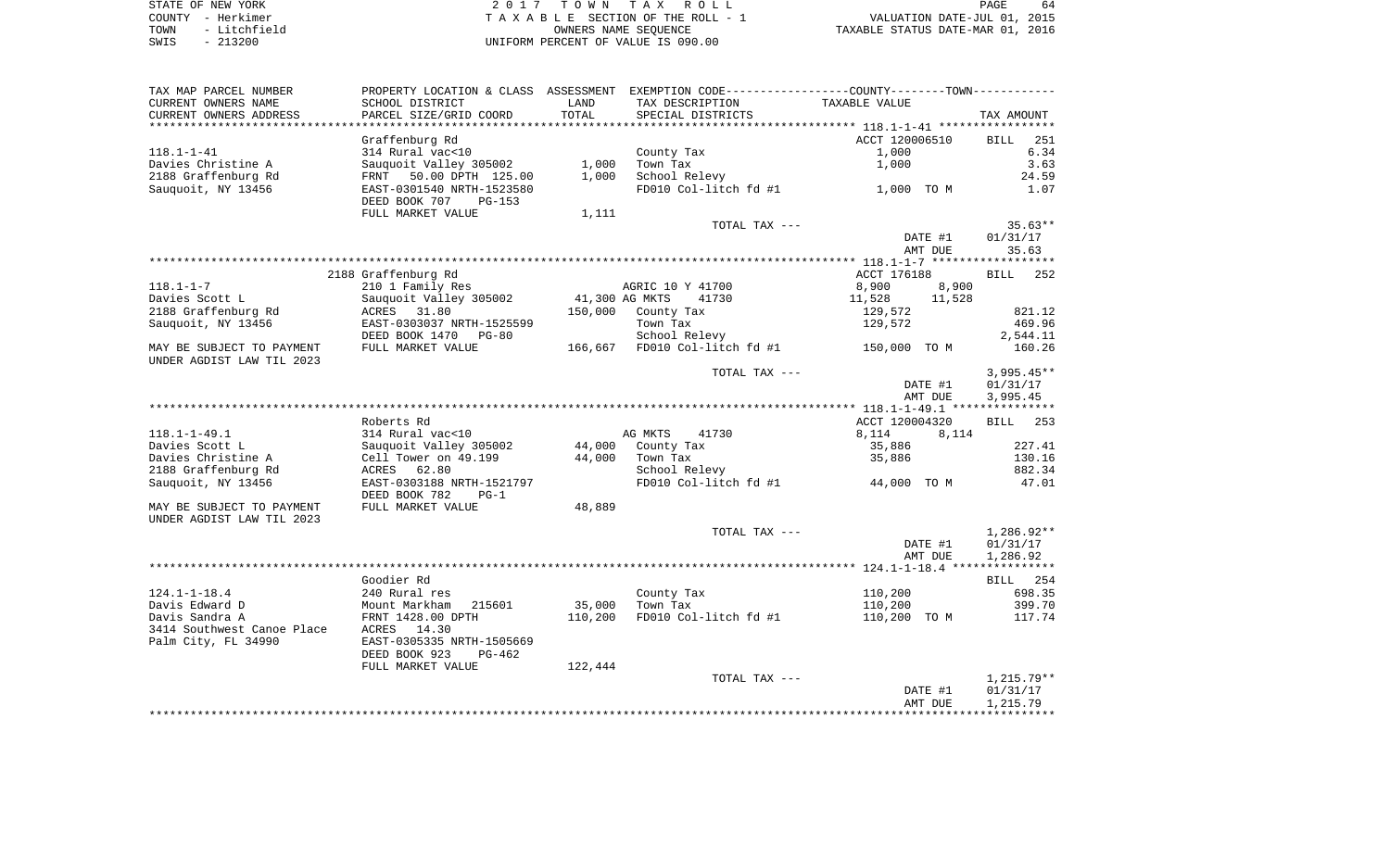STATE OF NEW YORK 2 0 1 7 T O W N T A X R O L L PAGE 64COUNTY - Herkimer T A X A B L E SECTION OF THE ROLL - 1 VALUATION DATE-JUL 01, 2015 TOWN - Litchfield COMERS NAME SEQUENCE TAXABLE STATUS DATE-MAR 01, 2016<br>TRIS - 213200 UNIFORM PERCENT OF VALUE IS 090.00

64

| TAX MAP PARCEL NUMBER                |                                           |         | PROPERTY LOCATION & CLASS ASSESSMENT EXEMPTION CODE---------------COUNTY-------TOWN---------- |                         |                    |
|--------------------------------------|-------------------------------------------|---------|-----------------------------------------------------------------------------------------------|-------------------------|--------------------|
| CURRENT OWNERS NAME                  | SCHOOL DISTRICT                           | LAND    | TAX DESCRIPTION                                                                               | TAXABLE VALUE           |                    |
| CURRENT OWNERS ADDRESS               | PARCEL SIZE/GRID COORD                    | TOTAL   | SPECIAL DISTRICTS                                                                             |                         | TAX AMOUNT         |
|                                      |                                           |         |                                                                                               |                         |                    |
|                                      | Graffenburg Rd                            |         |                                                                                               | ACCT 120006510          | <b>BILL</b><br>251 |
| $118.1 - 1 - 41$                     | 314 Rural vac<10                          |         | County Tax                                                                                    | 1,000                   | 6.34               |
| Davies Christine A                   | Sauquoit Valley 305002 1,000 Town Tax     |         |                                                                                               | 1,000                   | 3.63               |
| 2188 Graffenburg Rd                  | FRNT 50.00 DPTH 125.00                    | 1,000   | School Relevy                                                                                 |                         | 24.59              |
| Sauquoit, NY 13456                   | EAST-0301540 NRTH-1523580                 |         | FD010 Col-litch fd #1 1,000 TO M                                                              |                         | 1.07               |
|                                      | DEED BOOK 707 PG-153                      |         |                                                                                               |                         |                    |
|                                      | FULL MARKET VALUE                         | 1,111   |                                                                                               |                         |                    |
|                                      |                                           |         | TOTAL TAX ---                                                                                 |                         | $35.63**$          |
|                                      |                                           |         |                                                                                               | DATE #1                 | 01/31/17           |
|                                      |                                           |         |                                                                                               | AMT DUE                 | 35.63              |
|                                      | 2188 Graffenburg Rd                       |         |                                                                                               | ACCT 176188             | BILL 252           |
| $118.1 - 1 - 7$                      | 210 1 Family Res                          |         | AGRIC 10 Y 41700                                                                              | 8,900<br>8,900          |                    |
| Davies Scott L                       | Sauquoit Valley 305002 41,300 AG MKTS     |         | 41730                                                                                         | 11,528 11,528           |                    |
| 2188 Graffenburg Rd                  | ACRES 31.80                               |         | 150,000 County Tax                                                                            | 129,572                 | 821.12             |
| Sauquoit, NY 13456                   | EAST-0303037 NRTH-1525599                 |         | Town Tax                                                                                      | 129,572                 | 469.96             |
|                                      | DEED BOOK 1470 PG-80                      |         | School Relevy                                                                                 |                         | 2,544.11           |
| MAY BE SUBJECT TO PAYMENT            | FULL MARKET VALUE                         |         | 166,667 FD010 Col-litch fd #1 150,000 TO M                                                    |                         | 160.26             |
| UNDER AGDIST LAW TIL 2023            |                                           |         |                                                                                               |                         |                    |
|                                      |                                           |         | TOTAL TAX ---                                                                                 |                         | $3,995.45**$       |
|                                      |                                           |         |                                                                                               | DATE #1                 | 01/31/17           |
|                                      |                                           |         |                                                                                               | AMT DUE                 | 3,995.45           |
|                                      |                                           |         |                                                                                               |                         |                    |
|                                      | Roberts Rd                                |         |                                                                                               | ACCT 120004320          | BILL 253           |
| $118.1 - 1 - 49.1$                   | 314 Rural vac<10                          |         | AG MKTS 41730                                                                                 | 8,114<br>8,114          |                    |
| Davies Scott L                       | Sauquoit Valley 305002                    |         | $44,000$ County Tax                                                                           | 35,886                  | 227.41             |
| Davies Christine A                   | Cell Tower on 49.199                      |         | 44,000 Town Tax                                                                               | 35,886                  | 130.16             |
| 2188 Graffenburg Rd                  | ACRES 62.80                               |         | School Relevy                                                                                 |                         | 882.34             |
| Sauquoit, NY 13456                   | EAST-0303188 NRTH-1521797                 |         | FD010 Col-litch fd #1 $44,000$ TO M                                                           |                         | 47.01              |
|                                      | DEED BOOK 782<br>$PG-1$                   |         |                                                                                               |                         |                    |
| MAY BE SUBJECT TO PAYMENT            | FULL MARKET VALUE                         | 48,889  |                                                                                               |                         |                    |
| UNDER AGDIST LAW TIL 2023            |                                           |         |                                                                                               |                         |                    |
|                                      |                                           |         | TOTAL TAX ---                                                                                 |                         | 1,286.92**         |
|                                      |                                           |         |                                                                                               | DATE #1                 | 01/31/17           |
|                                      |                                           |         |                                                                                               | AMT DUE                 | 1,286.92           |
|                                      |                                           |         |                                                                                               |                         |                    |
|                                      | Goodier Rd                                |         |                                                                                               |                         | BILL 254           |
| $124.1 - 1 - 18.4$<br>Davis Edward D | 240 Rural res                             |         | County Tax<br>35,000 Town Tax                                                                 | 110,200                 | 698.35<br>399.70   |
| Davis Sandra A                       | Mount Markham 215601<br>FRNT 1428.00 DPTH | 110,200 | FD010 Col-litch fd #1                                                                         | 110,200<br>110,200 TO M | 117.74             |
| 3414 Southwest Canoe Place           | ACRES 14.30                               |         |                                                                                               |                         |                    |
| Palm City, FL 34990                  | EAST-0305335 NRTH-1505669                 |         |                                                                                               |                         |                    |
|                                      | DEED BOOK 923<br>$PG-462$                 |         |                                                                                               |                         |                    |
|                                      | FULL MARKET VALUE                         | 122,444 |                                                                                               |                         |                    |
|                                      |                                           |         | TOTAL TAX ---                                                                                 |                         | 1,215.79**         |
|                                      |                                           |         |                                                                                               | DATE #1                 | 01/31/17           |
|                                      |                                           |         |                                                                                               | AMT DUE                 | 1,215.79           |
|                                      |                                           |         |                                                                                               |                         |                    |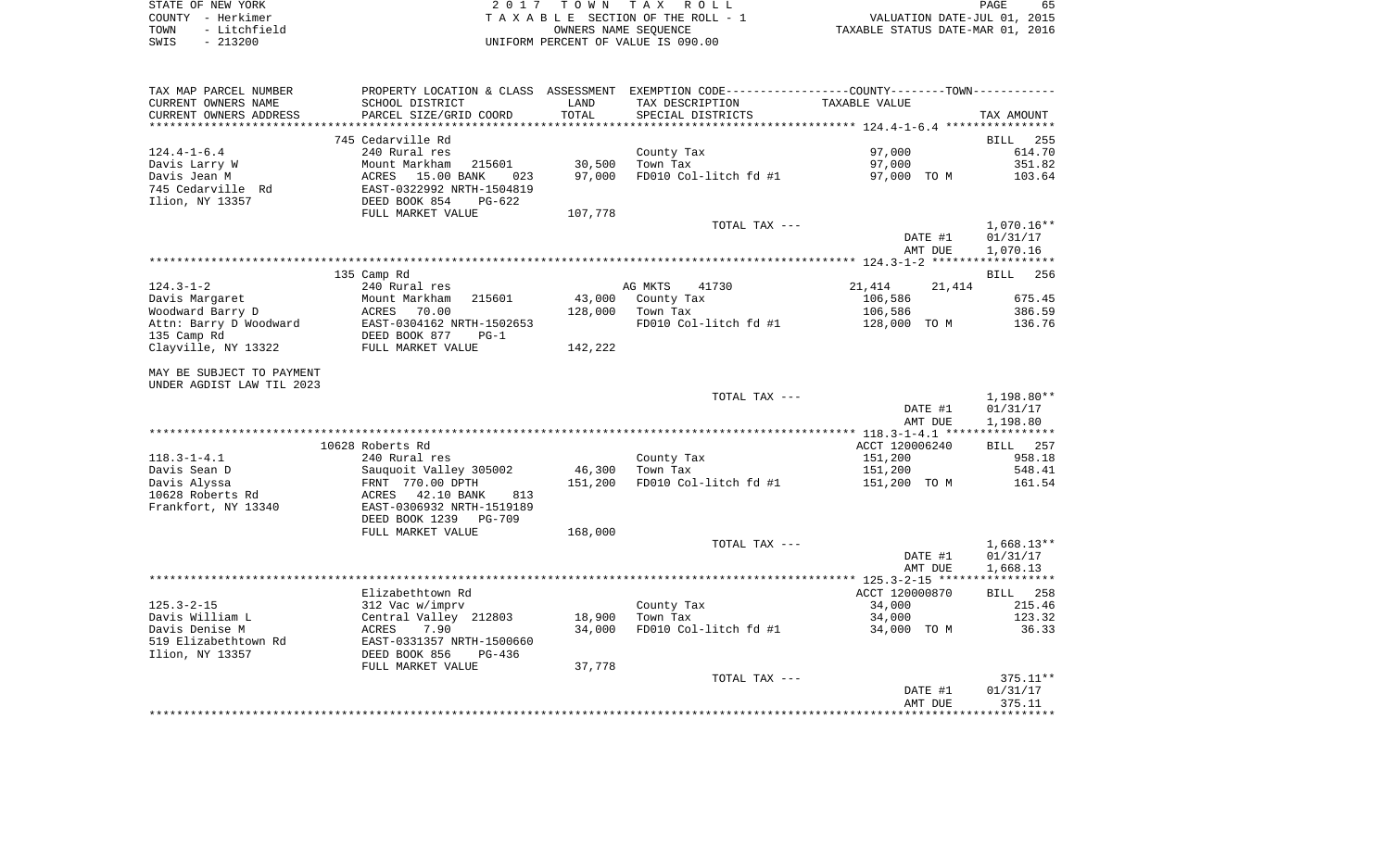|      | STATE OF NEW YORK | 2017 TOWN TAX ROLL                 | PAGE                             | 65 |
|------|-------------------|------------------------------------|----------------------------------|----|
|      | COUNTY - Herkimer | TAXABLE SECTION OF THE ROLL - 1    | VALUATION DATE-JUL 01, 2015      |    |
| TOWN | - Litchfield      | OWNERS NAME SEOUENCE               | TAXABLE STATUS DATE-MAR 01, 2016 |    |
| SWIS | - 213200          | UNIFORM PERCENT OF VALUE IS 090.00 |                                  |    |

| TAX MAP PARCEL NUMBER     | PROPERTY LOCATION & CLASS ASSESSMENT |         |                       | EXEMPTION CODE-----------------COUNTY--------TOWN----------- |              |
|---------------------------|--------------------------------------|---------|-----------------------|--------------------------------------------------------------|--------------|
| CURRENT OWNERS NAME       | SCHOOL DISTRICT                      | LAND    | TAX DESCRIPTION       | TAXABLE VALUE                                                |              |
| CURRENT OWNERS ADDRESS    | PARCEL SIZE/GRID COORD               | TOTAL   | SPECIAL DISTRICTS     |                                                              | TAX AMOUNT   |
|                           |                                      |         |                       |                                                              |              |
|                           | 745 Cedarville Rd                    |         |                       |                                                              | BILL<br>255  |
| $124.4 - 1 - 6.4$         | 240 Rural res                        |         | County Tax            | 97,000                                                       | 614.70       |
|                           |                                      |         |                       |                                                              |              |
| Davis Larry W             | Mount Markham<br>215601              | 30,500  | Town Tax              | 97,000                                                       | 351.82       |
| Davis Jean M              | ACRES<br>15.00 BANK<br>023           | 97,000  | FD010 Col-litch fd #1 | 97,000 TO M                                                  | 103.64       |
| 745 Cedarville Rd         | EAST-0322992 NRTH-1504819            |         |                       |                                                              |              |
| Ilion, NY 13357           | DEED BOOK 854<br>$PG-622$            |         |                       |                                                              |              |
|                           | FULL MARKET VALUE                    | 107,778 |                       |                                                              |              |
|                           |                                      |         | TOTAL TAX ---         |                                                              | $1,070.16**$ |
|                           |                                      |         |                       | DATE #1                                                      | 01/31/17     |
|                           |                                      |         |                       | AMT DUE                                                      | 1,070.16     |
|                           |                                      |         |                       |                                                              |              |
|                           | 135 Camp Rd                          |         |                       |                                                              | BILL 256     |
| $124.3 - 1 - 2$           | 240 Rural res                        |         | AG MKTS<br>41730      | 21,414<br>21,414                                             |              |
|                           |                                      |         |                       |                                                              |              |
| Davis Margaret            | Mount Markham<br>215601              | 43,000  | County Tax            | 106,586                                                      | 675.45       |
| Woodward Barry D          | 70.00<br>ACRES                       | 128,000 | Town Tax              | 106,586                                                      | 386.59       |
| Attn: Barry D Woodward    | EAST-0304162 NRTH-1502653            |         | FD010 Col-litch fd #1 | 128,000 TO M                                                 | 136.76       |
| 135 Camp Rd               | DEED BOOK 877<br>$PG-1$              |         |                       |                                                              |              |
| Clayville, NY 13322       | FULL MARKET VALUE                    | 142,222 |                       |                                                              |              |
| MAY BE SUBJECT TO PAYMENT |                                      |         |                       |                                                              |              |
| UNDER AGDIST LAW TIL 2023 |                                      |         |                       |                                                              |              |
|                           |                                      |         | TOTAL TAX ---         |                                                              | 1,198.80**   |
|                           |                                      |         |                       | DATE #1                                                      | 01/31/17     |
|                           |                                      |         |                       | AMT DUE                                                      | 1,198.80     |
|                           |                                      |         |                       |                                                              |              |
|                           |                                      |         |                       |                                                              |              |
|                           | 10628 Roberts Rd                     |         |                       | ACCT 120006240                                               | BILL 257     |
| $118.3 - 1 - 4.1$         | 240 Rural res                        |         | County Tax            | 151,200                                                      | 958.18       |
| Davis Sean D              | Sauquoit Valley 305002               | 46,300  | Town Tax              | 151,200                                                      | 548.41       |
| Davis Alyssa              | FRNT 770.00 DPTH                     | 151,200 | FD010 Col-litch fd #1 | 151,200 TO M                                                 | 161.54       |
| 10628 Roberts Rd          | 42.10 BANK<br>ACRES<br>813           |         |                       |                                                              |              |
| Frankfort, NY 13340       | EAST-0306932 NRTH-1519189            |         |                       |                                                              |              |
|                           | DEED BOOK 1239<br><b>PG-709</b>      |         |                       |                                                              |              |
|                           | FULL MARKET VALUE                    | 168,000 |                       |                                                              |              |
|                           |                                      |         | TOTAL TAX ---         |                                                              | $1,668.13**$ |
|                           |                                      |         |                       | DATE #1                                                      | 01/31/17     |
|                           |                                      |         |                       | AMT DUE                                                      | 1,668.13     |
|                           |                                      |         |                       |                                                              |              |
|                           |                                      |         |                       |                                                              |              |
|                           | Elizabethtown Rd                     |         |                       | ACCT 120000870                                               | BILL 258     |
| $125.3 - 2 - 15$          | 312 Vac w/imprv                      |         | County Tax            | 34,000                                                       | 215.46       |
| Davis William L           | Central Valley 212803                | 18,900  | Town Tax              | 34,000                                                       | 123.32       |
| Davis Denise M            | ACRES<br>7.90                        | 34,000  | FD010 Col-litch fd #1 | 34,000 TO M                                                  | 36.33        |
| 519 Elizabethtown Rd      | EAST-0331357 NRTH-1500660            |         |                       |                                                              |              |
| Ilion, NY 13357           | DEED BOOK 856<br>$PG-436$            |         |                       |                                                              |              |
|                           | FULL MARKET VALUE                    | 37,778  |                       |                                                              |              |
|                           |                                      |         | TOTAL TAX ---         |                                                              | 375.11**     |
|                           |                                      |         |                       |                                                              |              |
|                           |                                      |         |                       | DATE #1                                                      | 01/31/17     |
|                           |                                      |         |                       | AMT DUE                                                      | 375.11       |
|                           |                                      |         |                       |                                                              |              |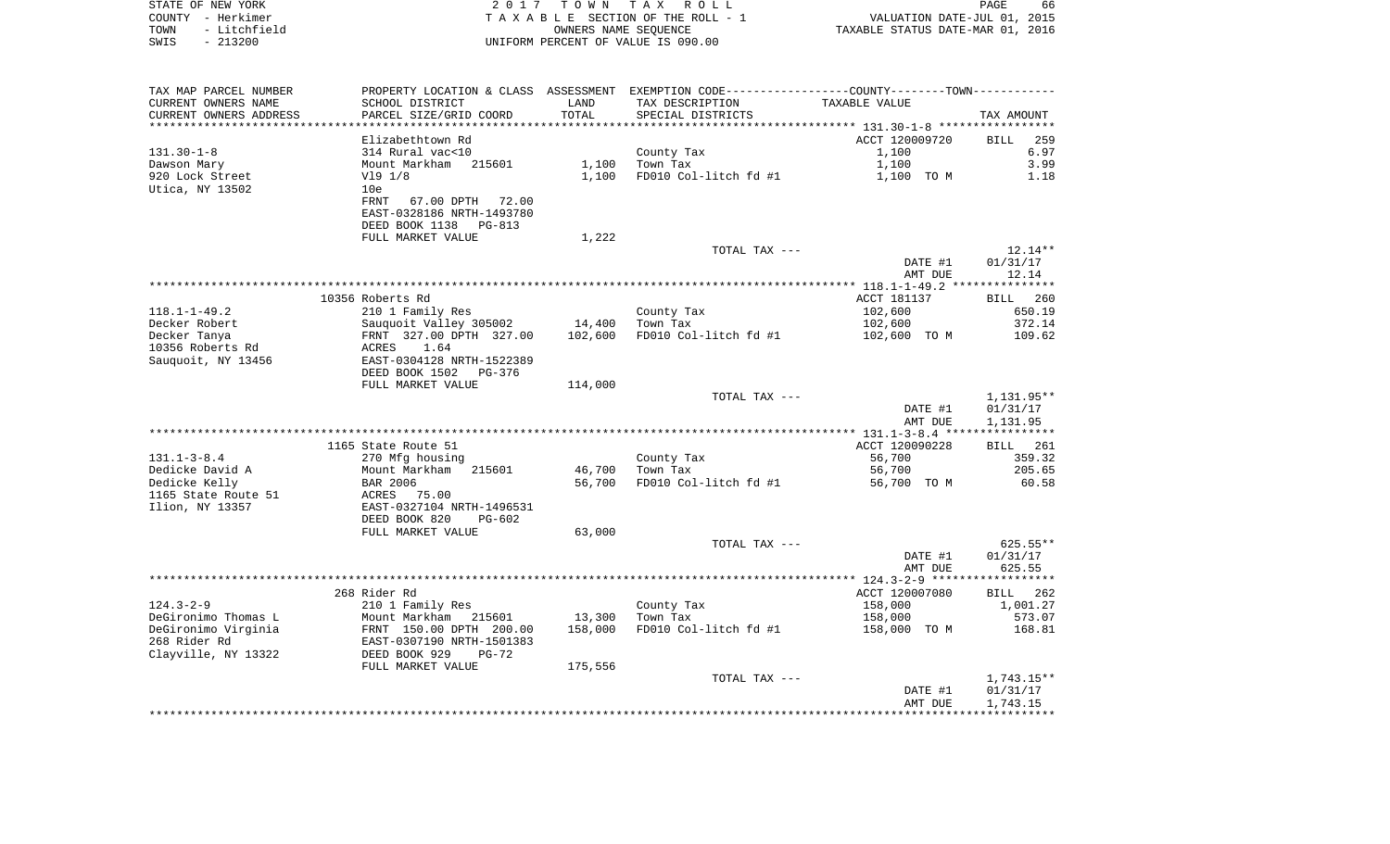|      | STATE OF NEW YORK |  |                      | 2017 TOWN TAX ROL                  |
|------|-------------------|--|----------------------|------------------------------------|
|      | COUNTY - Herkimer |  |                      | TAXABLE SECTION OF THE ROLL        |
| TOWN | - Litchfield      |  | OWNERS NAME SEOUENCE |                                    |
|      | SWIS - 213200     |  |                      | UNIFORM PERCENT OF VALUE IS 090.00 |

2017 TOWN TAX ROLL TA X A B L E SECTION OF THE ROLL - 1 TOWN - Litchfield OWNERS NAME SEQUENCE TAXABLE STATUS DATE-MAR 01, 2016

| SCHOOL DISTRICT<br>LAND<br>TAX DESCRIPTION<br>TAXABLE VALUE<br>TOTAL<br>CURRENT OWNERS ADDRESS<br>PARCEL SIZE/GRID COORD<br>SPECIAL DISTRICTS<br>TAX AMOUNT<br>*********************<br>ACCT 120009720<br>Elizabethtown Rd<br><b>BILL</b><br>259<br>$131.30 - 1 - 8$<br>314 Rural vac<10<br>1,100<br>6.97<br>County Tax<br>3.99<br>215601<br>1,100<br>Town Tax<br>1,100<br>Dawson Mary<br>Mount Markham<br>1,100<br>FD010 Col-litch fd #1<br>1.18<br>920 Lock Street<br>V19 1/8<br>1,100 TO M<br>Utica, NY 13502<br>10e<br>FRNT 67.00 DPTH 72.00<br>EAST-0328186 NRTH-1493780<br>DEED BOOK 1138<br>PG-813<br>FULL MARKET VALUE<br>1,222<br>$12.14**$<br>TOTAL TAX ---<br>DATE #1<br>01/31/17<br>AMT DUE<br>12.14<br>10356 Roberts Rd<br>ACCT 181137<br>BILL 260<br>$118.1 - 1 - 49.2$<br>210 1 Family Res<br>102,600<br>650.19<br>County Tax<br>Decker Robert<br>Sauquoit Valley 305002<br>14,400<br>Town Tax<br>102,600<br>372.14<br>Decker Tanya<br>FRNT 327.00 DPTH 327.00<br>102,600<br>FD010 Col-litch fd #1<br>109.62<br>102,600 TO M<br>10356 Roberts Rd<br>1.64<br>ACRES<br>EAST-0304128 NRTH-1522389<br>Sauquoit, NY 13456<br>DEED BOOK 1502<br>PG-376<br>FULL MARKET VALUE<br>114,000<br>TOTAL TAX ---<br>1,131.95**<br>DATE #1<br>01/31/17<br>AMT DUE<br>1,131.95<br>1165 State Route 51<br>ACCT 120090228<br>BILL 261<br>$131.1 - 3 - 8.4$<br>56,700<br>359.32<br>270 Mfg housing<br>County Tax<br>Mount Markham<br>46,700<br>56,700<br>205.65<br>Dedicke David A<br>215601<br>Town Tax<br>BAR 2006<br>56,700<br>60.58<br>Dedicke Kelly<br>FD010 Col-litch fd #1<br>56,700 TO M<br>1165 State Route 51<br>ACRES<br>75.00<br>Ilion, NY 13357<br>EAST-0327104 NRTH-1496531<br>DEED BOOK 820<br>PG-602<br>FULL MARKET VALUE<br>63,000<br>$625.55**$<br>TOTAL TAX ---<br>01/31/17<br>DATE #1<br>625.55<br>AMT DUE<br>268 Rider Rd<br>ACCT 120007080<br>BILL 262<br>210 1 Family Res<br>County Tax<br>158,000<br>1,001.27<br>Mount Markham<br>Town Tax<br>573.07<br>215601<br>13,300<br>158,000<br>158,000<br>FD010 Col-litch fd #1<br>168.81<br>FRNT 150.00 DPTH 200.00<br>158,000 TO M<br>268 Rider Rd<br>EAST-0307190 NRTH-1501383<br>Clayville, NY 13322<br>DEED BOOK 929<br>$PG-72$<br>175,556<br>FULL MARKET VALUE<br>1,743.15**<br>TOTAL TAX ---<br>01/31/17<br>DATE #1<br>1,743.15<br>AMT DUE | TAX MAP PARCEL NUMBER | PROPERTY LOCATION & CLASS ASSESSMENT EXEMPTION CODE---------------COUNTY-------TOWN---------- |  |  |
|--------------------------------------------------------------------------------------------------------------------------------------------------------------------------------------------------------------------------------------------------------------------------------------------------------------------------------------------------------------------------------------------------------------------------------------------------------------------------------------------------------------------------------------------------------------------------------------------------------------------------------------------------------------------------------------------------------------------------------------------------------------------------------------------------------------------------------------------------------------------------------------------------------------------------------------------------------------------------------------------------------------------------------------------------------------------------------------------------------------------------------------------------------------------------------------------------------------------------------------------------------------------------------------------------------------------------------------------------------------------------------------------------------------------------------------------------------------------------------------------------------------------------------------------------------------------------------------------------------------------------------------------------------------------------------------------------------------------------------------------------------------------------------------------------------------------------------------------------------------------------------------------------------------------------------------------------------------------------------------------------------------------------------------------------------------------------------------------------------------------------------------------------------------------------------------------------------------------------------------------------------------------------------------------------------------|-----------------------|-----------------------------------------------------------------------------------------------|--|--|
|                                                                                                                                                                                                                                                                                                                                                                                                                                                                                                                                                                                                                                                                                                                                                                                                                                                                                                                                                                                                                                                                                                                                                                                                                                                                                                                                                                                                                                                                                                                                                                                                                                                                                                                                                                                                                                                                                                                                                                                                                                                                                                                                                                                                                                                                                                              | CURRENT OWNERS NAME   |                                                                                               |  |  |
|                                                                                                                                                                                                                                                                                                                                                                                                                                                                                                                                                                                                                                                                                                                                                                                                                                                                                                                                                                                                                                                                                                                                                                                                                                                                                                                                                                                                                                                                                                                                                                                                                                                                                                                                                                                                                                                                                                                                                                                                                                                                                                                                                                                                                                                                                                              |                       |                                                                                               |  |  |
|                                                                                                                                                                                                                                                                                                                                                                                                                                                                                                                                                                                                                                                                                                                                                                                                                                                                                                                                                                                                                                                                                                                                                                                                                                                                                                                                                                                                                                                                                                                                                                                                                                                                                                                                                                                                                                                                                                                                                                                                                                                                                                                                                                                                                                                                                                              |                       |                                                                                               |  |  |
|                                                                                                                                                                                                                                                                                                                                                                                                                                                                                                                                                                                                                                                                                                                                                                                                                                                                                                                                                                                                                                                                                                                                                                                                                                                                                                                                                                                                                                                                                                                                                                                                                                                                                                                                                                                                                                                                                                                                                                                                                                                                                                                                                                                                                                                                                                              |                       |                                                                                               |  |  |
|                                                                                                                                                                                                                                                                                                                                                                                                                                                                                                                                                                                                                                                                                                                                                                                                                                                                                                                                                                                                                                                                                                                                                                                                                                                                                                                                                                                                                                                                                                                                                                                                                                                                                                                                                                                                                                                                                                                                                                                                                                                                                                                                                                                                                                                                                                              |                       |                                                                                               |  |  |
|                                                                                                                                                                                                                                                                                                                                                                                                                                                                                                                                                                                                                                                                                                                                                                                                                                                                                                                                                                                                                                                                                                                                                                                                                                                                                                                                                                                                                                                                                                                                                                                                                                                                                                                                                                                                                                                                                                                                                                                                                                                                                                                                                                                                                                                                                                              |                       |                                                                                               |  |  |
|                                                                                                                                                                                                                                                                                                                                                                                                                                                                                                                                                                                                                                                                                                                                                                                                                                                                                                                                                                                                                                                                                                                                                                                                                                                                                                                                                                                                                                                                                                                                                                                                                                                                                                                                                                                                                                                                                                                                                                                                                                                                                                                                                                                                                                                                                                              |                       |                                                                                               |  |  |
|                                                                                                                                                                                                                                                                                                                                                                                                                                                                                                                                                                                                                                                                                                                                                                                                                                                                                                                                                                                                                                                                                                                                                                                                                                                                                                                                                                                                                                                                                                                                                                                                                                                                                                                                                                                                                                                                                                                                                                                                                                                                                                                                                                                                                                                                                                              |                       |                                                                                               |  |  |
|                                                                                                                                                                                                                                                                                                                                                                                                                                                                                                                                                                                                                                                                                                                                                                                                                                                                                                                                                                                                                                                                                                                                                                                                                                                                                                                                                                                                                                                                                                                                                                                                                                                                                                                                                                                                                                                                                                                                                                                                                                                                                                                                                                                                                                                                                                              |                       |                                                                                               |  |  |
|                                                                                                                                                                                                                                                                                                                                                                                                                                                                                                                                                                                                                                                                                                                                                                                                                                                                                                                                                                                                                                                                                                                                                                                                                                                                                                                                                                                                                                                                                                                                                                                                                                                                                                                                                                                                                                                                                                                                                                                                                                                                                                                                                                                                                                                                                                              |                       |                                                                                               |  |  |
|                                                                                                                                                                                                                                                                                                                                                                                                                                                                                                                                                                                                                                                                                                                                                                                                                                                                                                                                                                                                                                                                                                                                                                                                                                                                                                                                                                                                                                                                                                                                                                                                                                                                                                                                                                                                                                                                                                                                                                                                                                                                                                                                                                                                                                                                                                              |                       |                                                                                               |  |  |
|                                                                                                                                                                                                                                                                                                                                                                                                                                                                                                                                                                                                                                                                                                                                                                                                                                                                                                                                                                                                                                                                                                                                                                                                                                                                                                                                                                                                                                                                                                                                                                                                                                                                                                                                                                                                                                                                                                                                                                                                                                                                                                                                                                                                                                                                                                              |                       |                                                                                               |  |  |
|                                                                                                                                                                                                                                                                                                                                                                                                                                                                                                                                                                                                                                                                                                                                                                                                                                                                                                                                                                                                                                                                                                                                                                                                                                                                                                                                                                                                                                                                                                                                                                                                                                                                                                                                                                                                                                                                                                                                                                                                                                                                                                                                                                                                                                                                                                              |                       |                                                                                               |  |  |
|                                                                                                                                                                                                                                                                                                                                                                                                                                                                                                                                                                                                                                                                                                                                                                                                                                                                                                                                                                                                                                                                                                                                                                                                                                                                                                                                                                                                                                                                                                                                                                                                                                                                                                                                                                                                                                                                                                                                                                                                                                                                                                                                                                                                                                                                                                              |                       |                                                                                               |  |  |
|                                                                                                                                                                                                                                                                                                                                                                                                                                                                                                                                                                                                                                                                                                                                                                                                                                                                                                                                                                                                                                                                                                                                                                                                                                                                                                                                                                                                                                                                                                                                                                                                                                                                                                                                                                                                                                                                                                                                                                                                                                                                                                                                                                                                                                                                                                              |                       |                                                                                               |  |  |
|                                                                                                                                                                                                                                                                                                                                                                                                                                                                                                                                                                                                                                                                                                                                                                                                                                                                                                                                                                                                                                                                                                                                                                                                                                                                                                                                                                                                                                                                                                                                                                                                                                                                                                                                                                                                                                                                                                                                                                                                                                                                                                                                                                                                                                                                                                              |                       |                                                                                               |  |  |
|                                                                                                                                                                                                                                                                                                                                                                                                                                                                                                                                                                                                                                                                                                                                                                                                                                                                                                                                                                                                                                                                                                                                                                                                                                                                                                                                                                                                                                                                                                                                                                                                                                                                                                                                                                                                                                                                                                                                                                                                                                                                                                                                                                                                                                                                                                              |                       |                                                                                               |  |  |
|                                                                                                                                                                                                                                                                                                                                                                                                                                                                                                                                                                                                                                                                                                                                                                                                                                                                                                                                                                                                                                                                                                                                                                                                                                                                                                                                                                                                                                                                                                                                                                                                                                                                                                                                                                                                                                                                                                                                                                                                                                                                                                                                                                                                                                                                                                              |                       |                                                                                               |  |  |
|                                                                                                                                                                                                                                                                                                                                                                                                                                                                                                                                                                                                                                                                                                                                                                                                                                                                                                                                                                                                                                                                                                                                                                                                                                                                                                                                                                                                                                                                                                                                                                                                                                                                                                                                                                                                                                                                                                                                                                                                                                                                                                                                                                                                                                                                                                              |                       |                                                                                               |  |  |
|                                                                                                                                                                                                                                                                                                                                                                                                                                                                                                                                                                                                                                                                                                                                                                                                                                                                                                                                                                                                                                                                                                                                                                                                                                                                                                                                                                                                                                                                                                                                                                                                                                                                                                                                                                                                                                                                                                                                                                                                                                                                                                                                                                                                                                                                                                              |                       |                                                                                               |  |  |
|                                                                                                                                                                                                                                                                                                                                                                                                                                                                                                                                                                                                                                                                                                                                                                                                                                                                                                                                                                                                                                                                                                                                                                                                                                                                                                                                                                                                                                                                                                                                                                                                                                                                                                                                                                                                                                                                                                                                                                                                                                                                                                                                                                                                                                                                                                              |                       |                                                                                               |  |  |
|                                                                                                                                                                                                                                                                                                                                                                                                                                                                                                                                                                                                                                                                                                                                                                                                                                                                                                                                                                                                                                                                                                                                                                                                                                                                                                                                                                                                                                                                                                                                                                                                                                                                                                                                                                                                                                                                                                                                                                                                                                                                                                                                                                                                                                                                                                              |                       |                                                                                               |  |  |
|                                                                                                                                                                                                                                                                                                                                                                                                                                                                                                                                                                                                                                                                                                                                                                                                                                                                                                                                                                                                                                                                                                                                                                                                                                                                                                                                                                                                                                                                                                                                                                                                                                                                                                                                                                                                                                                                                                                                                                                                                                                                                                                                                                                                                                                                                                              |                       |                                                                                               |  |  |
|                                                                                                                                                                                                                                                                                                                                                                                                                                                                                                                                                                                                                                                                                                                                                                                                                                                                                                                                                                                                                                                                                                                                                                                                                                                                                                                                                                                                                                                                                                                                                                                                                                                                                                                                                                                                                                                                                                                                                                                                                                                                                                                                                                                                                                                                                                              |                       |                                                                                               |  |  |
|                                                                                                                                                                                                                                                                                                                                                                                                                                                                                                                                                                                                                                                                                                                                                                                                                                                                                                                                                                                                                                                                                                                                                                                                                                                                                                                                                                                                                                                                                                                                                                                                                                                                                                                                                                                                                                                                                                                                                                                                                                                                                                                                                                                                                                                                                                              |                       |                                                                                               |  |  |
|                                                                                                                                                                                                                                                                                                                                                                                                                                                                                                                                                                                                                                                                                                                                                                                                                                                                                                                                                                                                                                                                                                                                                                                                                                                                                                                                                                                                                                                                                                                                                                                                                                                                                                                                                                                                                                                                                                                                                                                                                                                                                                                                                                                                                                                                                                              |                       |                                                                                               |  |  |
|                                                                                                                                                                                                                                                                                                                                                                                                                                                                                                                                                                                                                                                                                                                                                                                                                                                                                                                                                                                                                                                                                                                                                                                                                                                                                                                                                                                                                                                                                                                                                                                                                                                                                                                                                                                                                                                                                                                                                                                                                                                                                                                                                                                                                                                                                                              |                       |                                                                                               |  |  |
|                                                                                                                                                                                                                                                                                                                                                                                                                                                                                                                                                                                                                                                                                                                                                                                                                                                                                                                                                                                                                                                                                                                                                                                                                                                                                                                                                                                                                                                                                                                                                                                                                                                                                                                                                                                                                                                                                                                                                                                                                                                                                                                                                                                                                                                                                                              |                       |                                                                                               |  |  |
|                                                                                                                                                                                                                                                                                                                                                                                                                                                                                                                                                                                                                                                                                                                                                                                                                                                                                                                                                                                                                                                                                                                                                                                                                                                                                                                                                                                                                                                                                                                                                                                                                                                                                                                                                                                                                                                                                                                                                                                                                                                                                                                                                                                                                                                                                                              |                       |                                                                                               |  |  |
|                                                                                                                                                                                                                                                                                                                                                                                                                                                                                                                                                                                                                                                                                                                                                                                                                                                                                                                                                                                                                                                                                                                                                                                                                                                                                                                                                                                                                                                                                                                                                                                                                                                                                                                                                                                                                                                                                                                                                                                                                                                                                                                                                                                                                                                                                                              |                       |                                                                                               |  |  |
|                                                                                                                                                                                                                                                                                                                                                                                                                                                                                                                                                                                                                                                                                                                                                                                                                                                                                                                                                                                                                                                                                                                                                                                                                                                                                                                                                                                                                                                                                                                                                                                                                                                                                                                                                                                                                                                                                                                                                                                                                                                                                                                                                                                                                                                                                                              |                       |                                                                                               |  |  |
|                                                                                                                                                                                                                                                                                                                                                                                                                                                                                                                                                                                                                                                                                                                                                                                                                                                                                                                                                                                                                                                                                                                                                                                                                                                                                                                                                                                                                                                                                                                                                                                                                                                                                                                                                                                                                                                                                                                                                                                                                                                                                                                                                                                                                                                                                                              |                       |                                                                                               |  |  |
|                                                                                                                                                                                                                                                                                                                                                                                                                                                                                                                                                                                                                                                                                                                                                                                                                                                                                                                                                                                                                                                                                                                                                                                                                                                                                                                                                                                                                                                                                                                                                                                                                                                                                                                                                                                                                                                                                                                                                                                                                                                                                                                                                                                                                                                                                                              |                       |                                                                                               |  |  |
|                                                                                                                                                                                                                                                                                                                                                                                                                                                                                                                                                                                                                                                                                                                                                                                                                                                                                                                                                                                                                                                                                                                                                                                                                                                                                                                                                                                                                                                                                                                                                                                                                                                                                                                                                                                                                                                                                                                                                                                                                                                                                                                                                                                                                                                                                                              |                       |                                                                                               |  |  |
|                                                                                                                                                                                                                                                                                                                                                                                                                                                                                                                                                                                                                                                                                                                                                                                                                                                                                                                                                                                                                                                                                                                                                                                                                                                                                                                                                                                                                                                                                                                                                                                                                                                                                                                                                                                                                                                                                                                                                                                                                                                                                                                                                                                                                                                                                                              |                       |                                                                                               |  |  |
|                                                                                                                                                                                                                                                                                                                                                                                                                                                                                                                                                                                                                                                                                                                                                                                                                                                                                                                                                                                                                                                                                                                                                                                                                                                                                                                                                                                                                                                                                                                                                                                                                                                                                                                                                                                                                                                                                                                                                                                                                                                                                                                                                                                                                                                                                                              |                       |                                                                                               |  |  |
|                                                                                                                                                                                                                                                                                                                                                                                                                                                                                                                                                                                                                                                                                                                                                                                                                                                                                                                                                                                                                                                                                                                                                                                                                                                                                                                                                                                                                                                                                                                                                                                                                                                                                                                                                                                                                                                                                                                                                                                                                                                                                                                                                                                                                                                                                                              |                       |                                                                                               |  |  |
|                                                                                                                                                                                                                                                                                                                                                                                                                                                                                                                                                                                                                                                                                                                                                                                                                                                                                                                                                                                                                                                                                                                                                                                                                                                                                                                                                                                                                                                                                                                                                                                                                                                                                                                                                                                                                                                                                                                                                                                                                                                                                                                                                                                                                                                                                                              |                       |                                                                                               |  |  |
|                                                                                                                                                                                                                                                                                                                                                                                                                                                                                                                                                                                                                                                                                                                                                                                                                                                                                                                                                                                                                                                                                                                                                                                                                                                                                                                                                                                                                                                                                                                                                                                                                                                                                                                                                                                                                                                                                                                                                                                                                                                                                                                                                                                                                                                                                                              |                       |                                                                                               |  |  |
|                                                                                                                                                                                                                                                                                                                                                                                                                                                                                                                                                                                                                                                                                                                                                                                                                                                                                                                                                                                                                                                                                                                                                                                                                                                                                                                                                                                                                                                                                                                                                                                                                                                                                                                                                                                                                                                                                                                                                                                                                                                                                                                                                                                                                                                                                                              |                       |                                                                                               |  |  |
|                                                                                                                                                                                                                                                                                                                                                                                                                                                                                                                                                                                                                                                                                                                                                                                                                                                                                                                                                                                                                                                                                                                                                                                                                                                                                                                                                                                                                                                                                                                                                                                                                                                                                                                                                                                                                                                                                                                                                                                                                                                                                                                                                                                                                                                                                                              |                       |                                                                                               |  |  |
|                                                                                                                                                                                                                                                                                                                                                                                                                                                                                                                                                                                                                                                                                                                                                                                                                                                                                                                                                                                                                                                                                                                                                                                                                                                                                                                                                                                                                                                                                                                                                                                                                                                                                                                                                                                                                                                                                                                                                                                                                                                                                                                                                                                                                                                                                                              |                       |                                                                                               |  |  |
|                                                                                                                                                                                                                                                                                                                                                                                                                                                                                                                                                                                                                                                                                                                                                                                                                                                                                                                                                                                                                                                                                                                                                                                                                                                                                                                                                                                                                                                                                                                                                                                                                                                                                                                                                                                                                                                                                                                                                                                                                                                                                                                                                                                                                                                                                                              |                       |                                                                                               |  |  |
|                                                                                                                                                                                                                                                                                                                                                                                                                                                                                                                                                                                                                                                                                                                                                                                                                                                                                                                                                                                                                                                                                                                                                                                                                                                                                                                                                                                                                                                                                                                                                                                                                                                                                                                                                                                                                                                                                                                                                                                                                                                                                                                                                                                                                                                                                                              |                       |                                                                                               |  |  |
|                                                                                                                                                                                                                                                                                                                                                                                                                                                                                                                                                                                                                                                                                                                                                                                                                                                                                                                                                                                                                                                                                                                                                                                                                                                                                                                                                                                                                                                                                                                                                                                                                                                                                                                                                                                                                                                                                                                                                                                                                                                                                                                                                                                                                                                                                                              | $124.3 - 2 - 9$       |                                                                                               |  |  |
|                                                                                                                                                                                                                                                                                                                                                                                                                                                                                                                                                                                                                                                                                                                                                                                                                                                                                                                                                                                                                                                                                                                                                                                                                                                                                                                                                                                                                                                                                                                                                                                                                                                                                                                                                                                                                                                                                                                                                                                                                                                                                                                                                                                                                                                                                                              | DeGironimo Thomas L   |                                                                                               |  |  |
|                                                                                                                                                                                                                                                                                                                                                                                                                                                                                                                                                                                                                                                                                                                                                                                                                                                                                                                                                                                                                                                                                                                                                                                                                                                                                                                                                                                                                                                                                                                                                                                                                                                                                                                                                                                                                                                                                                                                                                                                                                                                                                                                                                                                                                                                                                              | DeGironimo Virginia   |                                                                                               |  |  |
|                                                                                                                                                                                                                                                                                                                                                                                                                                                                                                                                                                                                                                                                                                                                                                                                                                                                                                                                                                                                                                                                                                                                                                                                                                                                                                                                                                                                                                                                                                                                                                                                                                                                                                                                                                                                                                                                                                                                                                                                                                                                                                                                                                                                                                                                                                              |                       |                                                                                               |  |  |
|                                                                                                                                                                                                                                                                                                                                                                                                                                                                                                                                                                                                                                                                                                                                                                                                                                                                                                                                                                                                                                                                                                                                                                                                                                                                                                                                                                                                                                                                                                                                                                                                                                                                                                                                                                                                                                                                                                                                                                                                                                                                                                                                                                                                                                                                                                              |                       |                                                                                               |  |  |
|                                                                                                                                                                                                                                                                                                                                                                                                                                                                                                                                                                                                                                                                                                                                                                                                                                                                                                                                                                                                                                                                                                                                                                                                                                                                                                                                                                                                                                                                                                                                                                                                                                                                                                                                                                                                                                                                                                                                                                                                                                                                                                                                                                                                                                                                                                              |                       |                                                                                               |  |  |
|                                                                                                                                                                                                                                                                                                                                                                                                                                                                                                                                                                                                                                                                                                                                                                                                                                                                                                                                                                                                                                                                                                                                                                                                                                                                                                                                                                                                                                                                                                                                                                                                                                                                                                                                                                                                                                                                                                                                                                                                                                                                                                                                                                                                                                                                                                              |                       |                                                                                               |  |  |
|                                                                                                                                                                                                                                                                                                                                                                                                                                                                                                                                                                                                                                                                                                                                                                                                                                                                                                                                                                                                                                                                                                                                                                                                                                                                                                                                                                                                                                                                                                                                                                                                                                                                                                                                                                                                                                                                                                                                                                                                                                                                                                                                                                                                                                                                                                              |                       |                                                                                               |  |  |
|                                                                                                                                                                                                                                                                                                                                                                                                                                                                                                                                                                                                                                                                                                                                                                                                                                                                                                                                                                                                                                                                                                                                                                                                                                                                                                                                                                                                                                                                                                                                                                                                                                                                                                                                                                                                                                                                                                                                                                                                                                                                                                                                                                                                                                                                                                              |                       |                                                                                               |  |  |
|                                                                                                                                                                                                                                                                                                                                                                                                                                                                                                                                                                                                                                                                                                                                                                                                                                                                                                                                                                                                                                                                                                                                                                                                                                                                                                                                                                                                                                                                                                                                                                                                                                                                                                                                                                                                                                                                                                                                                                                                                                                                                                                                                                                                                                                                                                              |                       |                                                                                               |  |  |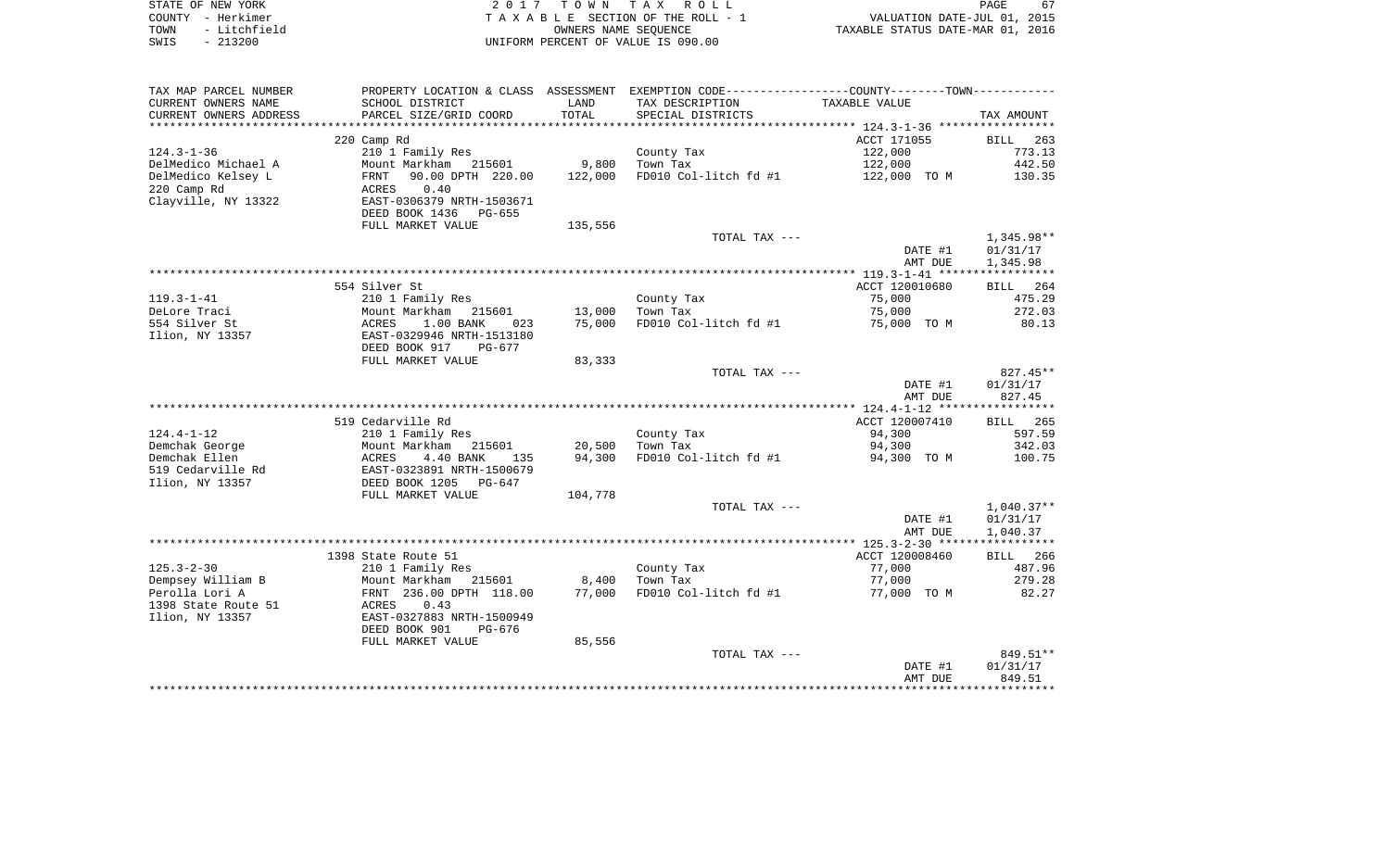|        | STATE OF NEW YORK | 2017 TOWN TAX ROLL                 | PAGE                             |
|--------|-------------------|------------------------------------|----------------------------------|
| COUNTY | – Herkimer        | TAXABLE SECTION OF THE ROLL - 1    | VALUATION DATE-JUL 01, 2015      |
| TOWN   | - Litchfield      | OWNERS NAME SEOUENCE               | TAXABLE STATUS DATE-MAR 01, 2016 |
| SWIS   | $-213200$         | UNIFORM PERCENT OF VALUE IS 090.00 |                                  |

| TAX MAP PARCEL NUMBER     |                                               |         | PROPERTY LOCATION & CLASS ASSESSMENT EXEMPTION CODE---------------COUNTY-------TOWN---------- |                    |                    |
|---------------------------|-----------------------------------------------|---------|-----------------------------------------------------------------------------------------------|--------------------|--------------------|
| CURRENT OWNERS NAME       | SCHOOL DISTRICT                               | LAND    | TAX DESCRIPTION                                                                               | TAXABLE VALUE      |                    |
| CURRENT OWNERS ADDRESS    | PARCEL SIZE/GRID COORD                        | TOTAL   | SPECIAL DISTRICTS                                                                             |                    | TAX AMOUNT         |
| ************************* |                                               |         |                                                                                               |                    |                    |
|                           | 220 Camp Rd                                   |         |                                                                                               | ACCT 171055        | BILL 263           |
| $124.3 - 1 - 36$          | 210 1 Family Res                              |         | County Tax                                                                                    | 122,000            | 773.13             |
| DelMedico Michael A       | Mount Markham 215601                          | 9,800   | Town Tax                                                                                      | 122,000            | 442.50             |
| DelMedico Kelsey L        | FRNT<br>90.00 DPTH 220.00                     | 122,000 | FD010 Col-litch fd #1                                                                         | 122,000 TO M       | 130.35             |
| 220 Camp Rd               | ACRES<br>0.40                                 |         |                                                                                               |                    |                    |
| Clayville, NY 13322       | EAST-0306379 NRTH-1503671                     |         |                                                                                               |                    |                    |
|                           | DEED BOOK 1436<br>PG-655                      |         |                                                                                               |                    |                    |
|                           | FULL MARKET VALUE                             | 135,556 |                                                                                               |                    |                    |
|                           |                                               |         | TOTAL TAX ---                                                                                 |                    | 1,345.98**         |
|                           |                                               |         |                                                                                               | DATE #1            | 01/31/17           |
|                           |                                               |         |                                                                                               | AMT DUE            | 1,345.98           |
|                           |                                               |         |                                                                                               |                    |                    |
|                           | 554 Silver St                                 |         |                                                                                               | ACCT 120010680     | BILL 264           |
| $119.3 - 1 - 41$          | 210 1 Family Res                              |         | County Tax                                                                                    | 75,000             | 475.29             |
| DeLore Traci              | Mount Markham 215601<br>-<br>ACRES            | 13,000  | Town Tax<br>FD010 Col-litch fd #1                                                             | 75,000             | 272.03             |
| 554 Silver St             | 1.00 BANK<br>023<br>EAST-0329946 NRTH-1513180 | 75,000  |                                                                                               | 75,000 TO M        | 80.13              |
| Ilion, NY 13357           | DEED BOOK 917<br>PG-677                       |         |                                                                                               |                    |                    |
|                           | FULL MARKET VALUE                             | 83,333  |                                                                                               |                    |                    |
|                           |                                               |         | TOTAL TAX ---                                                                                 |                    | $827.45**$         |
|                           |                                               |         |                                                                                               | DATE #1            | 01/31/17           |
|                           |                                               |         |                                                                                               | AMT DUE            | 827.45             |
|                           |                                               |         |                                                                                               |                    |                    |
|                           | 519 Cedarville Rd                             |         |                                                                                               | ACCT 120007410     | BILL 265           |
| $124.4 - 1 - 12$          | 210 1 Family Res                              |         | County Tax                                                                                    | 94,300             | 597.59             |
| Demchak George            | Mount Markham 215601                          | 20,500  | Town Tax                                                                                      | 94,300             | 342.03             |
| Demchak Ellen             | Mount<br>ACRES<br>4.40 BANK<br>135            | 94,300  | FD010 Col-litch fd #1                                                                         | 94,300 TO M        | 100.75             |
| 519 Cedarville Rd         | EAST-0323891 NRTH-1500679                     |         |                                                                                               |                    |                    |
| Ilion, NY 13357           | DEED BOOK 1205 PG-647                         |         |                                                                                               |                    |                    |
|                           | FULL MARKET VALUE                             | 104,778 |                                                                                               |                    |                    |
|                           |                                               |         | TOTAL TAX ---                                                                                 |                    | 1,040.37**         |
|                           |                                               |         |                                                                                               | DATE #1            | 01/31/17           |
|                           |                                               |         |                                                                                               | AMT DUE            | 1,040.37           |
|                           |                                               |         |                                                                                               |                    |                    |
|                           | 1398 State Route 51                           |         |                                                                                               | ACCT 120008460     | BILL 266           |
| $125.3 - 2 - 30$          | 210 1 Family Res                              |         | County Tax                                                                                    | 77,000             | 487.96             |
| Dempsey William B         | Mount Markham 215601                          | 8,400   | Town Tax                                                                                      | 77,000             | 279.28             |
| Perolla Lori A            | FRNT 236.00 DPTH 118.00                       | 77,000  | FD010 Col-litch fd #1                                                                         | 77,000 TO M        | 82.27              |
| 1398 State Route 51       | ACRES<br>0.43                                 |         |                                                                                               |                    |                    |
| Ilion, NY 13357           | EAST-0327883 NRTH-1500949                     |         |                                                                                               |                    |                    |
|                           | DEED BOOK 901<br>PG-676                       |         |                                                                                               |                    |                    |
|                           | FULL MARKET VALUE                             | 85,556  |                                                                                               |                    |                    |
|                           |                                               |         | TOTAL TAX ---                                                                                 |                    | 849.51**           |
|                           |                                               |         |                                                                                               | DATE #1<br>AMT DUE | 01/31/17<br>849.51 |
|                           |                                               |         |                                                                                               |                    |                    |
|                           |                                               |         |                                                                                               |                    |                    |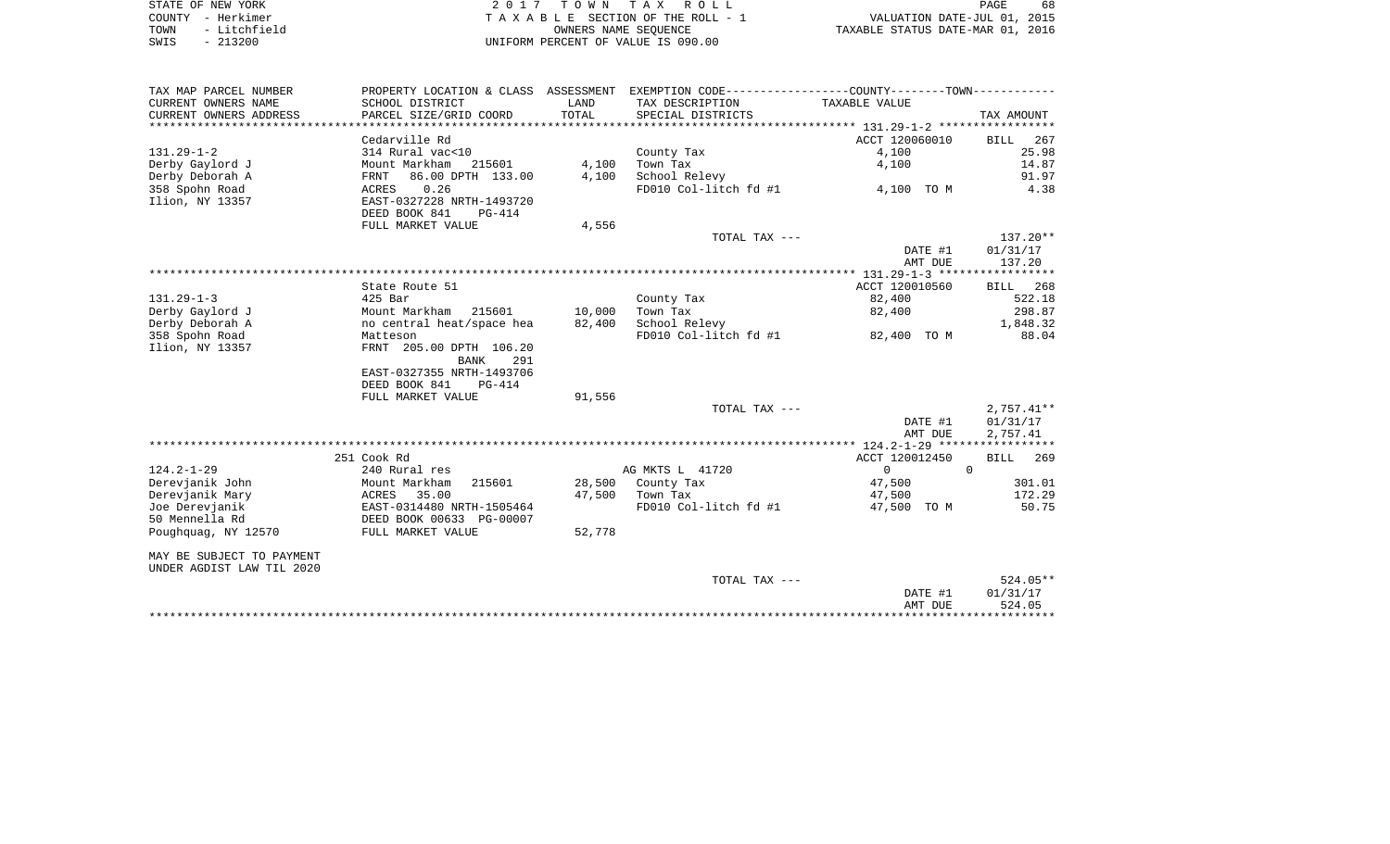| STATE OF NEW YORK    | 2017 TOWN TAX ROLL                 | 68<br>PAGE                       |
|----------------------|------------------------------------|----------------------------------|
| COUNTY - Herkimer    | TAXABLE SECTION OF THE ROLL - 1    | VALUATION DATE-JUL 01, 2015      |
| - Litchfield<br>TOWN | OWNERS NAME SEOUENCE               | TAXABLE STATUS DATE-MAR 01, 2016 |
| $-213200$<br>SWIS    | UNIFORM PERCENT OF VALUE IS 090.00 |                                  |

| TAX MAP PARCEL NUMBER     |                           |        | PROPERTY LOCATION & CLASS ASSESSMENT EXEMPTION CODE----------------COUNTY--------TOWN---------- |                |                    |
|---------------------------|---------------------------|--------|-------------------------------------------------------------------------------------------------|----------------|--------------------|
| CURRENT OWNERS NAME       | SCHOOL DISTRICT           | LAND   | TAX DESCRIPTION                                                                                 | TAXABLE VALUE  |                    |
| CURRENT OWNERS ADDRESS    | PARCEL SIZE/GRID COORD    | TOTAL  | SPECIAL DISTRICTS                                                                               |                | TAX AMOUNT         |
|                           |                           |        |                                                                                                 |                |                    |
|                           | Cedarville Rd             |        |                                                                                                 | ACCT 120060010 | BILL 267           |
| $131.29 - 1 - 2$          | 314 Rural vac<10          |        | County Tax                                                                                      | 4,100          | 25.98              |
| Derby Gaylord J           | Mount Markham<br>215601   | 4,100  | Town Tax                                                                                        | 4,100          | 14.87              |
| Derby Deborah A           | 86.00 DPTH 133.00<br>FRNT | 4,100  | School Relevy                                                                                   |                | 91.97              |
| 358 Spohn Road            | 0.26<br>ACRES             |        | FD010 Col-litch fd #1                                                                           | 4,100 TO M     | 4.38               |
| Ilion, NY 13357           | EAST-0327228 NRTH-1493720 |        |                                                                                                 |                |                    |
|                           | DEED BOOK 841<br>$PG-414$ |        |                                                                                                 |                |                    |
|                           | FULL MARKET VALUE         | 4,556  |                                                                                                 |                |                    |
|                           |                           |        | TOTAL TAX ---                                                                                   |                | $137.20**$         |
|                           |                           |        |                                                                                                 | DATE #1        | 01/31/17           |
|                           |                           |        |                                                                                                 | AMT DUE        | 137.20             |
|                           |                           |        |                                                                                                 |                |                    |
|                           | State Route 51            |        |                                                                                                 | ACCT 120010560 | BILL 268           |
| $131.29 - 1 - 3$          | 425 Bar                   |        | County Tax                                                                                      | 82,400         | 522.18             |
| Derby Gaylord J           | Mount Markham 215601      | 10,000 | Town Tax                                                                                        | 82,400         | 298.87             |
| Derby Deborah A           | no central heat/space hea | 82,400 | School Relevy                                                                                   |                | 1,848.32           |
|                           |                           |        |                                                                                                 |                |                    |
| 358 Spohn Road            | Matteson                  |        | FD010 Col-litch fd #1                                                                           | 82,400 TO M    | 88.04              |
| Ilion, NY 13357           | FRNT 205.00 DPTH 106.20   |        |                                                                                                 |                |                    |
|                           | BANK<br>291               |        |                                                                                                 |                |                    |
|                           | EAST-0327355 NRTH-1493706 |        |                                                                                                 |                |                    |
|                           | DEED BOOK 841<br>$PG-414$ |        |                                                                                                 |                |                    |
|                           | FULL MARKET VALUE         | 91,556 |                                                                                                 |                |                    |
|                           |                           |        | TOTAL TAX ---                                                                                   |                | $2,757.41**$       |
|                           |                           |        |                                                                                                 | DATE #1        | 01/31/17           |
|                           |                           |        |                                                                                                 | AMT DUE        | 2,757.41           |
|                           |                           |        |                                                                                                 |                |                    |
|                           | 251 Cook Rd               |        |                                                                                                 | ACCT 120012450 | <b>BILL</b><br>269 |
| $124.2 - 1 - 29$          | 240 Rural res             |        | AG MKTS L 41720                                                                                 | $\overline{0}$ | $\Omega$           |
| Derevjanik John           | Mount Markham<br>215601   |        | 28,500 County Tax                                                                               | 47,500         | 301.01             |
| Derevjanik Mary           | ACRES<br>35.00            | 47,500 | Town Tax                                                                                        | 47,500         | 172.29             |
| Joe Derevjanik            | EAST-0314480 NRTH-1505464 |        | FD010 Col-litch fd #1                                                                           | 47,500 TO M    | 50.75              |
| 50 Mennella Rd            | DEED BOOK 00633 PG-00007  |        |                                                                                                 |                |                    |
| Poughquag, NY 12570       | FULL MARKET VALUE         | 52,778 |                                                                                                 |                |                    |
| MAY BE SUBJECT TO PAYMENT |                           |        |                                                                                                 |                |                    |
| UNDER AGDIST LAW TIL 2020 |                           |        |                                                                                                 |                |                    |
|                           |                           |        | TOTAL TAX ---                                                                                   |                | $524.05**$         |
|                           |                           |        |                                                                                                 | DATE #1        | 01/31/17           |
|                           |                           |        |                                                                                                 | AMT DUE        | 524.05             |
|                           |                           |        |                                                                                                 |                |                    |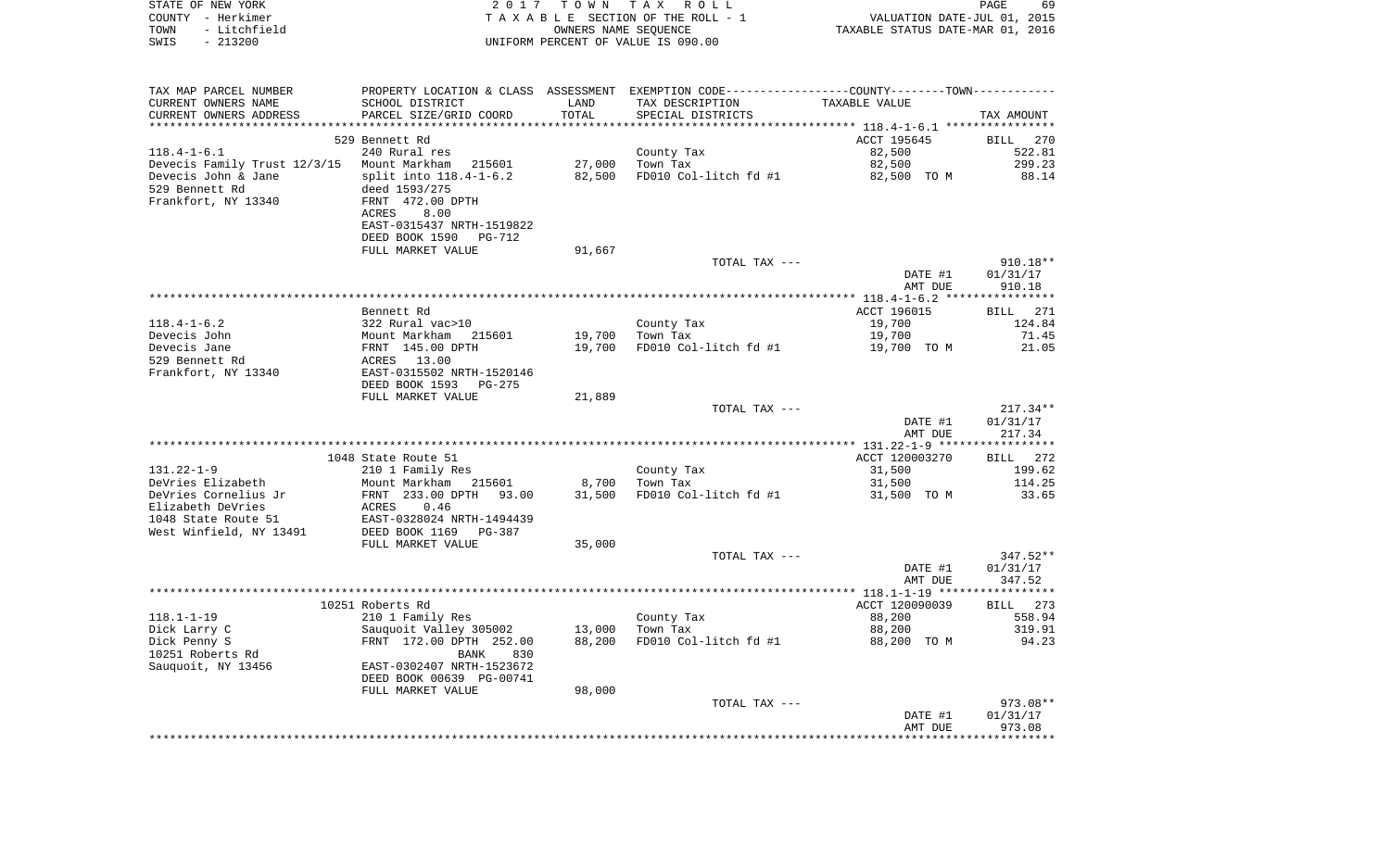| STATE OF NEW YORK | 2017 TOWN TAX ROLL                 | PAGE                             | 69 |
|-------------------|------------------------------------|----------------------------------|----|
| COUNTY - Herkimer | TAXABLE SECTION OF THE ROLL - 1    | VALUATION DATE-JUL 01, 2015      |    |
| TOWN - Litchfield | OWNERS NAME SEOUENCE               | TAXABLE STATUS DATE-MAR 01, 2016 |    |
| - 213200<br>SWIS  | UNIFORM PERCENT OF VALUE IS 090.00 |                                  |    |

| TAX MAP PARCEL NUMBER                      | PROPERTY LOCATION & CLASS ASSESSMENT EXEMPTION CODE----------------COUNTY--------TOWN---------- |        |                                      |                |            |
|--------------------------------------------|-------------------------------------------------------------------------------------------------|--------|--------------------------------------|----------------|------------|
| CURRENT OWNERS NAME                        | SCHOOL DISTRICT                                                                                 | LAND   | TAX DESCRIPTION                      | TAXABLE VALUE  |            |
| CURRENT OWNERS ADDRESS                     | PARCEL SIZE/GRID COORD                                                                          | TOTAL  | SPECIAL DISTRICTS                    |                | TAX AMOUNT |
|                                            |                                                                                                 |        |                                      |                |            |
|                                            | 529 Bennett Rd                                                                                  |        |                                      | ACCT 195645    | BILL 270   |
| $118.4 - 1 - 6.1$                          | 240 Rural res                                                                                   |        | County Tax                           | 82,500         | 522.81     |
| Devecis Family Trust 12/3/15 Mount Markham | 215601                                                                                          | 27,000 | Town Tax                             | 82,500         | 299.23     |
| Devecis John & Jane                        | $split$ into $118.4 - 1 - 6.2$                                                                  | 82,500 | FD010 Col-litch $f d$ #1 82,500 TO M |                | 88.14      |
| 529 Bennett Rd                             | deed 1593/275                                                                                   |        |                                      |                |            |
| Frankfort, NY 13340                        | FRNT 472.00 DPTH                                                                                |        |                                      |                |            |
|                                            | 8.00<br>ACRES                                                                                   |        |                                      |                |            |
|                                            | EAST-0315437 NRTH-1519822                                                                       |        |                                      |                |            |
|                                            | DEED BOOK 1590<br>PG-712                                                                        |        |                                      |                |            |
|                                            | FULL MARKET VALUE                                                                               | 91,667 |                                      |                |            |
|                                            |                                                                                                 |        | TOTAL TAX ---                        |                | $910.18**$ |
|                                            |                                                                                                 |        |                                      | DATE #1        | 01/31/17   |
|                                            |                                                                                                 |        |                                      | AMT DUE        | 910.18     |
|                                            |                                                                                                 |        |                                      |                |            |
|                                            | Bennett Rd                                                                                      |        |                                      | ACCT 196015    | BILL 271   |
| $118.4 - 1 - 6.2$                          | 322 Rural vac>10                                                                                |        | County Tax                           | 19,700         | 124.84     |
| Devecis John                               | Mount Markham 215601                                                                            | 19,700 | Town Tax                             | 19,700         | 71.45      |
| Devecis Jane                               | Mount Markham 21<br>FRNT 145.00 DPTH                                                            | 19,700 | FD010 Col-litch fd #1                | 19,700 TO M    | 21.05      |
| 529 Bennett Rd                             | ACRES 13.00                                                                                     |        |                                      |                |            |
| Frankfort, NY 13340                        | EAST-0315502 NRTH-1520146                                                                       |        |                                      |                |            |
|                                            | DEED BOOK 1593<br>PG-275                                                                        |        |                                      |                |            |
|                                            | FULL MARKET VALUE                                                                               | 21,889 |                                      |                |            |
|                                            |                                                                                                 |        | TOTAL TAX ---                        |                | $217.34**$ |
|                                            |                                                                                                 |        |                                      | DATE #1        | 01/31/17   |
|                                            |                                                                                                 |        |                                      | AMT DUE        | 217.34     |
|                                            |                                                                                                 |        |                                      |                |            |
|                                            | 1048 State Route 51                                                                             |        |                                      | ACCT 120003270 | BILL 272   |
| $131.22 - 1 - 9$                           | 210 1 Family Res                                                                                |        | County Tax                           | 31,500         | 199.62     |
| DeVries Elizabeth                          | Mount Markham 215601                                                                            | 8,700  | Town Tax                             | 31,500         | 114.25     |
| DeVries Cornelius Jr                       | FRNT 233.00 DPTH 93.00                                                                          | 31,500 | FD010 Col-litch fd #1                | 31,500 TO M    | 33.65      |
| Elizabeth DeVries                          |                                                                                                 |        |                                      |                |            |
| 1048 State Route 51                        | ACRES 0.46<br>EAST-0328024 NRTH-1494439                                                         |        |                                      |                |            |
| West Winfield, NY 13491                    | DEED BOOK 1169<br>PG-387                                                                        |        |                                      |                |            |
|                                            | FULL MARKET VALUE                                                                               | 35,000 |                                      |                |            |
|                                            |                                                                                                 |        | TOTAL TAX ---                        |                | 347.52**   |
|                                            |                                                                                                 |        |                                      | DATE #1        | 01/31/17   |
|                                            |                                                                                                 |        |                                      | AMT DUE        | 347.52     |
|                                            |                                                                                                 |        |                                      |                |            |
|                                            | 10251 Roberts Rd                                                                                |        |                                      | ACCT 120090039 | BILL 273   |
| $118.1 - 1 - 19$                           | 210 1 Family Res                                                                                |        | County Tax                           | 88,200         | 558.94     |
| Dick Larry C                               | Sauquoit Valley 305002                                                                          | 13,000 | Town Tax                             | 88,200         | 319.91     |
| Dick Penny S                               | FRNT 172.00 DPTH 252.00                                                                         | 88,200 | FD010 Col-litch fd #1                | 88,200 TO M    | 94.23      |
| 10251 Roberts Rd                           | BANK<br>830                                                                                     |        |                                      |                |            |
| Sauquoit, NY 13456                         | EAST-0302407 NRTH-1523672                                                                       |        |                                      |                |            |
|                                            | DEED BOOK 00639 PG-00741                                                                        |        |                                      |                |            |
|                                            | FULL MARKET VALUE                                                                               | 98,000 |                                      |                |            |
|                                            |                                                                                                 |        | TOTAL TAX ---                        |                | 973.08**   |
|                                            |                                                                                                 |        |                                      | DATE #1        | 01/31/17   |
|                                            |                                                                                                 |        |                                      | AMT DUE        | 973.08     |
|                                            |                                                                                                 |        |                                      |                |            |
|                                            |                                                                                                 |        |                                      |                |            |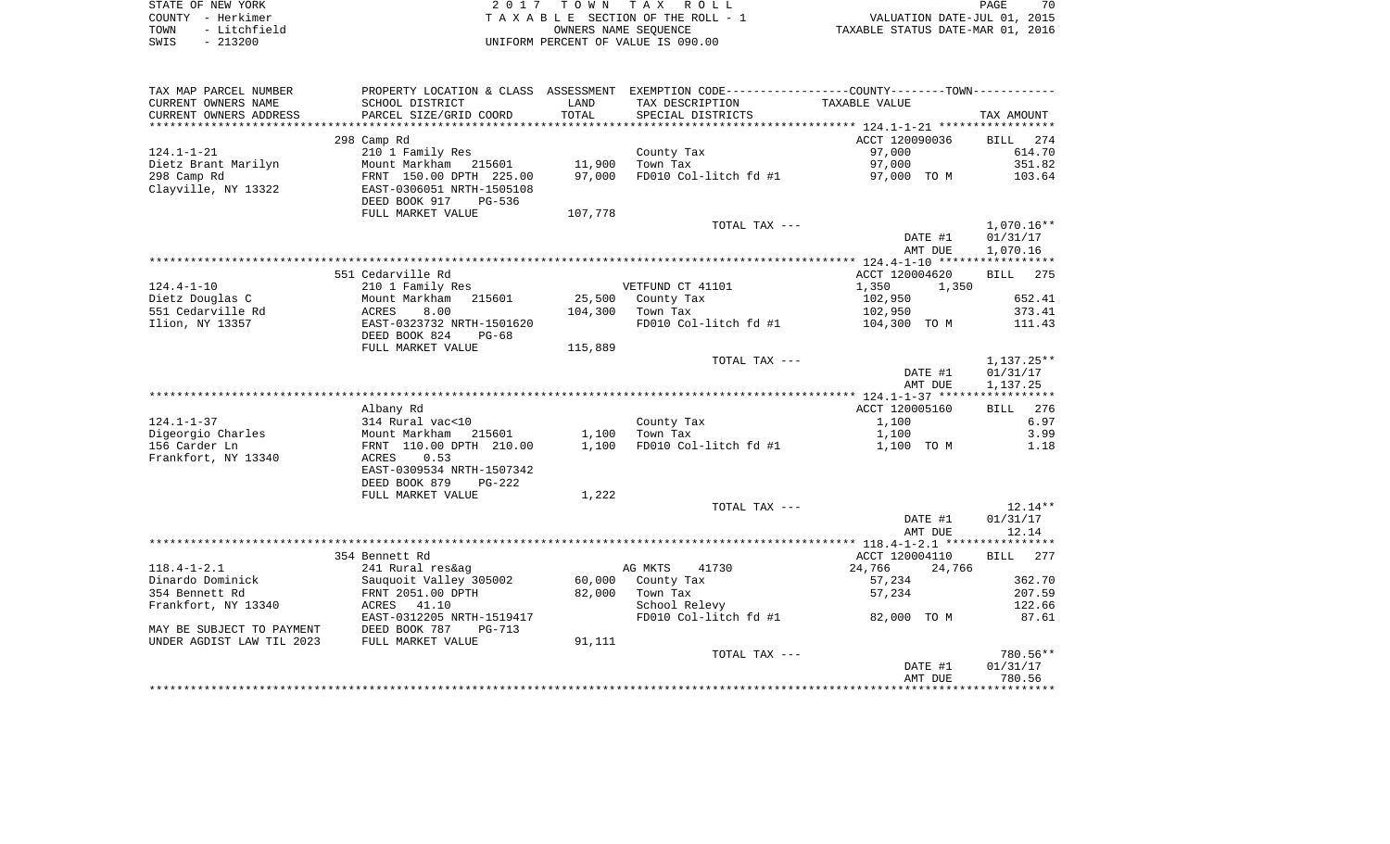| STATE OF NEW YORK    | 2017 TOWN TAX ROLL                 | 70<br>PAGE                       |
|----------------------|------------------------------------|----------------------------------|
| COUNTY - Herkimer    | TAXABLE SECTION OF THE ROLL - 1    | VALUATION DATE-JUL 01, 2015      |
| - Litchfield<br>TOWN | OWNERS NAME SEOUENCE               | TAXABLE STATUS DATE-MAR 01, 2016 |
| $-213200$<br>SWIS    | UNIFORM PERCENT OF VALUE IS 090.00 |                                  |

| TAX MAP PARCEL NUMBER<br>CURRENT OWNERS NAME        | SCHOOL DISTRICT                                        | LAND    | PROPERTY LOCATION & CLASS ASSESSMENT EXEMPTION CODE---------------COUNTY-------TOWN---------<br>TAX DESCRIPTION | TAXABLE VALUE    |                    |
|-----------------------------------------------------|--------------------------------------------------------|---------|-----------------------------------------------------------------------------------------------------------------|------------------|--------------------|
| CURRENT OWNERS ADDRESS<br>************************* | PARCEL SIZE/GRID COORD                                 | TOTAL   | SPECIAL DISTRICTS                                                                                               |                  | TAX AMOUNT         |
|                                                     | 298 Camp Rd                                            |         |                                                                                                                 | ACCT 120090036   | 274<br>BILL        |
| $124.1 - 1 - 21$                                    | 210 1 Family Res                                       |         | County Tax                                                                                                      | 97,000           | 614.70             |
| Dietz Brant Marilyn                                 | Mount Markham 215601                                   | 11,900  | Town Tax                                                                                                        | 97,000           | 351.82             |
| 298 Camp Rd                                         | FRNT 150.00 DPTH 225.00                                | 97,000  | FD010 Col-litch fd #1                                                                                           | 97,000 TO M      | 103.64             |
| Clayville, NY 13322                                 | EAST-0306051 NRTH-1505108<br>DEED BOOK 917<br>$PG-536$ |         |                                                                                                                 |                  |                    |
|                                                     | FULL MARKET VALUE                                      | 107,778 |                                                                                                                 |                  |                    |
|                                                     |                                                        |         | TOTAL TAX ---                                                                                                   |                  | $1,070.16**$       |
|                                                     |                                                        |         |                                                                                                                 | DATE #1          | 01/31/17           |
|                                                     |                                                        |         |                                                                                                                 | AMT DUE          | 1,070.16           |
|                                                     |                                                        |         |                                                                                                                 |                  |                    |
|                                                     | 551 Cedarville Rd                                      |         |                                                                                                                 | ACCT 120004620   | BILL<br>275        |
| $124.4 - 1 - 10$                                    | 210 1 Family Res                                       |         | VETFUND CT 41101                                                                                                | 1,350<br>1,350   |                    |
| Dietz Douglas C                                     | Mount Markham<br>215601                                | 25,500  | County Tax                                                                                                      | 102,950          | 652.41             |
| 551 Cedarville Rd                                   | 8.00<br>ACRES                                          | 104,300 | Town Tax                                                                                                        | 102,950          | 373.41             |
| Ilion, NY 13357                                     | EAST-0323732 NRTH-1501620<br>DEED BOOK 824<br>$PG-68$  |         | FD010 Col-litch fd #1                                                                                           | 104,300 TO M     | 111.43             |
|                                                     | FULL MARKET VALUE                                      | 115,889 |                                                                                                                 |                  |                    |
|                                                     |                                                        |         | TOTAL TAX ---                                                                                                   |                  | $1,137.25**$       |
|                                                     |                                                        |         |                                                                                                                 | DATE #1          | 01/31/17           |
|                                                     |                                                        |         |                                                                                                                 | AMT DUE          | 1,137.25           |
|                                                     |                                                        |         |                                                                                                                 | ACCT 120005160   | 276<br>BILL        |
| $124.1 - 1 - 37$                                    | Albany Rd<br>314 Rural vac<10                          |         |                                                                                                                 |                  | 6.97               |
| Digeorgio Charles                                   | Mount Markham<br>215601                                | 1,100   | County Tax<br>Town Tax                                                                                          | 1,100<br>1,100   | 3.99               |
| 156 Carder Ln                                       | FRNT 110.00 DPTH 210.00                                | 1,100   | FD010 Col-litch fd #1                                                                                           | 1,100 TO M       | 1.18               |
| Frankfort, NY 13340                                 | ACRES<br>0.53                                          |         |                                                                                                                 |                  |                    |
|                                                     | EAST-0309534 NRTH-1507342                              |         |                                                                                                                 |                  |                    |
|                                                     | DEED BOOK 879<br>$PG-222$                              |         |                                                                                                                 |                  |                    |
|                                                     | FULL MARKET VALUE                                      | 1,222   |                                                                                                                 |                  |                    |
|                                                     |                                                        |         | TOTAL TAX ---                                                                                                   |                  | $12.14**$          |
|                                                     |                                                        |         |                                                                                                                 | DATE #1          | 01/31/17           |
|                                                     |                                                        |         |                                                                                                                 | AMT DUE          | 12.14              |
|                                                     |                                                        |         |                                                                                                                 |                  |                    |
|                                                     | 354 Bennett Rd                                         |         |                                                                                                                 | ACCT 120004110   | 277<br>BILL        |
| $118.4 - 1 - 2.1$                                   | 241 Rural res&ag                                       |         | AG MKTS<br>41730                                                                                                | 24,766<br>24,766 |                    |
| Dinardo Dominick                                    | Sauquoit Valley 305002                                 | 60,000  | County Tax                                                                                                      | 57,234           | 362.70             |
| 354 Bennett Rd                                      | FRNT 2051.00 DPTH                                      | 82,000  | Town Tax                                                                                                        | 57,234           | 207.59             |
| Frankfort, NY 13340                                 | 41.10<br>ACRES                                         |         | School Relevy                                                                                                   |                  | 122.66             |
|                                                     | EAST-0312205 NRTH-1519417                              |         | FD010 Col-litch fd #1                                                                                           | 82,000 TO M      | 87.61              |
| MAY BE SUBJECT TO PAYMENT                           | DEED BOOK 787<br>$PG-713$                              |         |                                                                                                                 |                  |                    |
| UNDER AGDIST LAW TIL 2023                           | FULL MARKET VALUE                                      | 91,111  |                                                                                                                 |                  |                    |
|                                                     |                                                        |         | TOTAL TAX ---                                                                                                   | DATE #1          | 780.56**           |
|                                                     |                                                        |         |                                                                                                                 | AMT DUE          | 01/31/17<br>780.56 |
|                                                     |                                                        |         |                                                                                                                 |                  |                    |
|                                                     |                                                        |         |                                                                                                                 |                  |                    |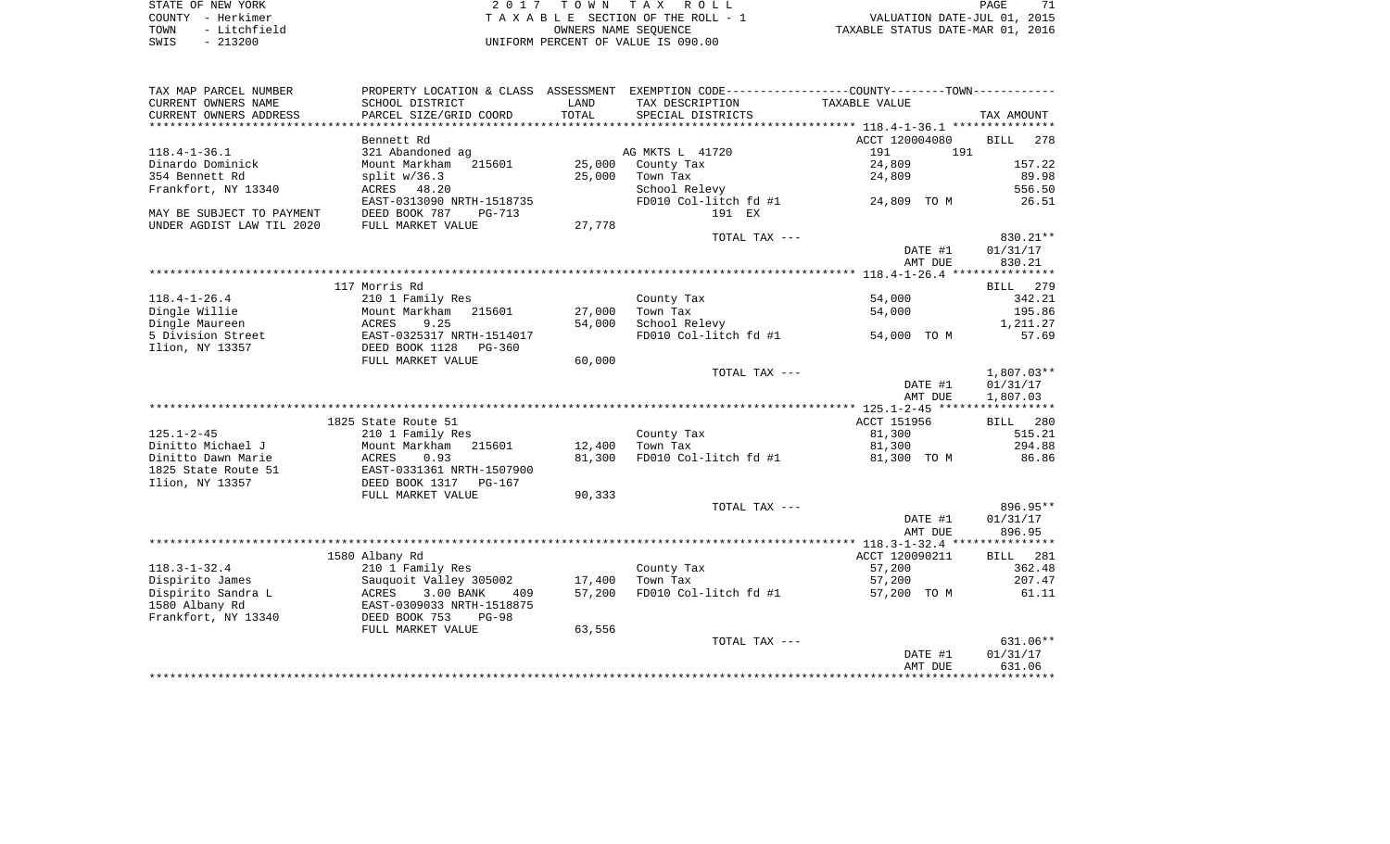| STATE OF NEW YORK    | 2017 TOWN TAX ROLL                 | 71<br>PAGE                       |
|----------------------|------------------------------------|----------------------------------|
| COUNTY - Herkimer    | TAXABLE SECTION OF THE ROLL - 1    | VALUATION DATE-JUL 01, 2015      |
| - Litchfield<br>TOWN | OWNERS NAME SEOUENCE               | TAXABLE STATUS DATE-MAR 01, 2016 |
| $-213200$<br>SWIS    | UNIFORM PERCENT OF VALUE IS 090.00 |                                  |

| TAX MAP PARCEL NUMBER     | PROPERTY LOCATION & CLASS ASSESSMENT EXEMPTION CODE---------------COUNTY-------TOWN---------- |        |                       |                    |                    |
|---------------------------|-----------------------------------------------------------------------------------------------|--------|-----------------------|--------------------|--------------------|
| CURRENT OWNERS NAME       | SCHOOL DISTRICT                                                                               | LAND   | TAX DESCRIPTION       | TAXABLE VALUE      |                    |
| CURRENT OWNERS ADDRESS    | PARCEL SIZE/GRID COORD                                                                        | TOTAL  | SPECIAL DISTRICTS     |                    | TAX AMOUNT         |
| *******************       |                                                                                               |        |                       |                    |                    |
|                           | Bennett Rd                                                                                    |        |                       | ACCT 120004080     | <b>BILL</b><br>278 |
| $118.4 - 1 - 36.1$        | 321 Abandoned ag                                                                              |        | AG MKTS L 41720       | 191<br>191         |                    |
| Dinardo Dominick          | Mount Markham 215601                                                                          |        | 25,000 County Tax     | 24,809             | 157.22             |
| 354 Bennett Rd            | $split$ $w/36.3$                                                                              | 25,000 | Town Tax              | 24,809             | 89.98              |
| Frankfort, NY 13340       | ACRES 48.20                                                                                   |        | School Relevy         |                    | 556.50             |
|                           | EAST-0313090 NRTH-1518735                                                                     |        | FD010 Col-litch fd #1 | 24,809 TO M        | 26.51              |
| MAY BE SUBJECT TO PAYMENT | DEED BOOK 787<br>PG-713                                                                       |        | 191 EX                |                    |                    |
| UNDER AGDIST LAW TIL 2020 | FULL MARKET VALUE                                                                             | 27,778 |                       |                    |                    |
|                           |                                                                                               |        | TOTAL TAX ---         |                    | 830.21**           |
|                           |                                                                                               |        |                       | DATE #1            | 01/31/17           |
|                           |                                                                                               |        |                       | AMT DUE            | 830.21             |
|                           |                                                                                               |        |                       |                    |                    |
|                           | 117 Morris Rd                                                                                 |        |                       |                    | BILL 279           |
| $118.4 - 1 - 26.4$        | 210 1 Family Res                                                                              |        | County Tax            | 54,000             | 342.21             |
| Dingle Willie             | Mount Markham<br>215601                                                                       | 27,000 | Town Tax              | 54,000             | 195.86             |
| Dingle Maureen            | 9.25<br>ACRES                                                                                 | 54,000 | School Relevy         |                    | 1,211.27           |
| 5 Division Street         | EAST-0325317 NRTH-1514017                                                                     |        | FD010 Col-litch fd #1 | 54,000 TO M        | 57.69              |
| Ilion, NY 13357           | DEED BOOK 1128<br>PG-360                                                                      |        |                       |                    |                    |
|                           | FULL MARKET VALUE                                                                             | 60,000 |                       |                    |                    |
|                           |                                                                                               |        | TOTAL TAX ---         |                    | $1,807.03**$       |
|                           |                                                                                               |        |                       | DATE #1            | 01/31/17           |
|                           |                                                                                               |        |                       | AMT DUE            | 1,807.03           |
|                           |                                                                                               |        |                       |                    |                    |
|                           | 1825 State Route 51                                                                           |        |                       | ACCT 151956        | BILL 280           |
| $125.1 - 2 - 45$          | 210 1 Family Res                                                                              |        | County Tax            | 81,300             | 515.21             |
| Dinitto Michael J         | Mount Markham<br>215601                                                                       | 12,400 | Town Tax              | 81,300             | 294.88             |
| Dinitto Dawn Marie        | ACRES<br>0.93                                                                                 | 81,300 | FD010 Col-litch fd #1 | 81,300 TO M        | 86.86              |
| 1825 State Route 51       | EAST-0331361 NRTH-1507900                                                                     |        |                       |                    |                    |
| Ilion, NY 13357           | DEED BOOK 1317<br>PG-167                                                                      |        |                       |                    |                    |
|                           | FULL MARKET VALUE                                                                             | 90,333 |                       |                    |                    |
|                           |                                                                                               |        | TOTAL TAX ---         |                    | 896.95**           |
|                           |                                                                                               |        |                       | DATE #1            | 01/31/17           |
|                           |                                                                                               |        |                       | AMT DUE            | 896.95             |
|                           |                                                                                               |        |                       |                    |                    |
|                           | 1580 Albany Rd                                                                                |        |                       | ACCT 120090211     | BILL 281           |
| $118.3 - 1 - 32.4$        | 210 1 Family Res                                                                              |        | County Tax            | 57,200             | 362.48             |
| Dispirito James           | Sauquoit Valley 305002                                                                        | 17,400 | Town Tax              | 57,200             | 207.47             |
| Dispirito Sandra L        | 3.00 BANK<br>ACRES<br>409                                                                     | 57,200 | FD010 Col-litch fd #1 | 57,200 TO M        | 61.11              |
| 1580 Albany Rd            | EAST-0309033 NRTH-1518875                                                                     |        |                       |                    |                    |
| Frankfort, NY 13340       | DEED BOOK 753<br>$PG-98$                                                                      |        |                       |                    |                    |
|                           | FULL MARKET VALUE                                                                             | 63,556 |                       |                    |                    |
|                           |                                                                                               |        | TOTAL TAX ---         |                    | 631.06**           |
|                           |                                                                                               |        |                       | DATE #1<br>AMT DUE | 01/31/17<br>631.06 |
|                           |                                                                                               |        |                       |                    |                    |
|                           |                                                                                               |        |                       |                    |                    |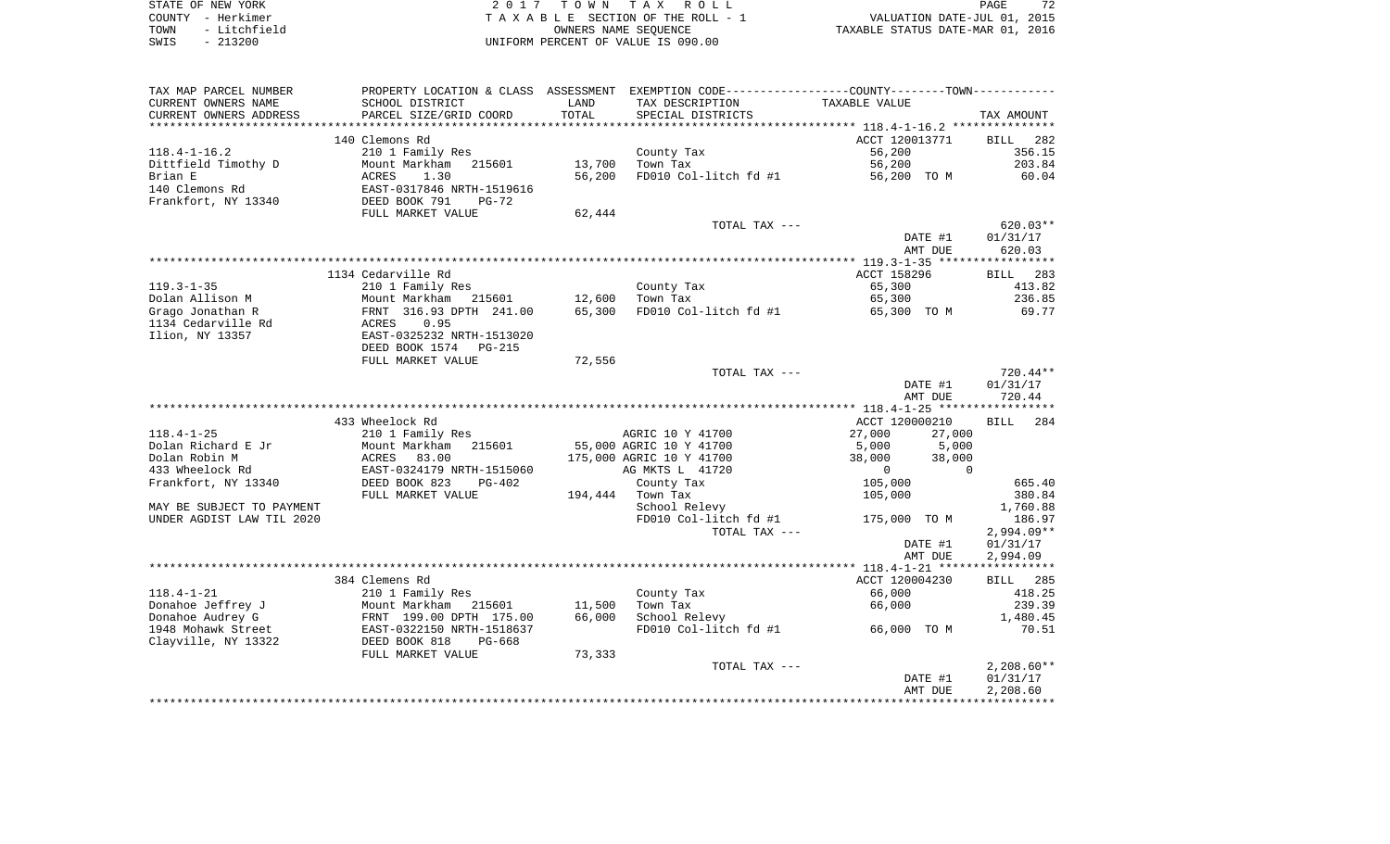| STATE OF NEW YORK    | 2017 TOWN TAX ROLL                 | 72<br>PAGE                       |
|----------------------|------------------------------------|----------------------------------|
| COUNTY - Herkimer    | TAXABLE SECTION OF THE ROLL - 1    | VALUATION DATE-JUL 01, 2015      |
| - Litchfield<br>TOWN | OWNERS NAME SEOUENCE               | TAXABLE STATUS DATE-MAR 01, 2016 |
| $-213200$<br>SWIS    | UNIFORM PERCENT OF VALUE IS 090.00 |                                  |

| TAX MAP PARCEL NUMBER                         |                                           |               | PROPERTY LOCATION & CLASS ASSESSMENT EXEMPTION CODE---------------COUNTY-------TOWN---------- |                            |                          |
|-----------------------------------------------|-------------------------------------------|---------------|-----------------------------------------------------------------------------------------------|----------------------------|--------------------------|
| CURRENT OWNERS NAME<br>CURRENT OWNERS ADDRESS | SCHOOL DISTRICT<br>PARCEL SIZE/GRID COORD | LAND<br>TOTAL | TAX DESCRIPTION<br>SPECIAL DISTRICTS                                                          | TAXABLE VALUE              | TAX AMOUNT               |
| *****************                             |                                           |               |                                                                                               |                            |                          |
|                                               | 140 Clemons Rd                            |               |                                                                                               | ACCT 120013771             | BILL<br>282              |
| $118.4 - 1 - 16.2$                            | 210 1 Family Res                          |               | County Tax                                                                                    | 56,200                     | 356.15                   |
| Dittfield Timothy D                           | Mount Markham<br>215601                   | 13,700        | Town Tax                                                                                      | 56,200                     | 203.84                   |
| Brian E                                       | ACRES<br>1.30                             | 56,200        | FD010 Col-litch fd #1                                                                         | 56,200 TO M                | 60.04                    |
| 140 Clemons Rd                                | EAST-0317846 NRTH-1519616                 |               |                                                                                               |                            |                          |
| Frankfort, NY 13340                           | DEED BOOK 791<br>$PG-72$                  |               |                                                                                               |                            |                          |
|                                               | FULL MARKET VALUE                         | 62,444        |                                                                                               |                            |                          |
|                                               |                                           |               | TOTAL TAX ---                                                                                 |                            | 620.03**                 |
|                                               |                                           |               |                                                                                               | DATE #1                    | 01/31/17                 |
|                                               |                                           |               |                                                                                               | AMT DUE                    | 620.03                   |
|                                               |                                           |               |                                                                                               |                            |                          |
|                                               | 1134 Cedarville Rd                        |               |                                                                                               | ACCT 158296                | BILL 283                 |
| $119.3 - 1 - 35$                              | 210 1 Family Res                          |               | County Tax                                                                                    | 65,300                     | 413.82                   |
| Dolan Allison M                               | Mount Markham 215601                      | 12,600        | Town Tax                                                                                      | 65,300                     | 236.85                   |
| Grago Jonathan R                              | FRNT 316.93 DPTH 241.00                   | 65,300        | FD010 Col-litch fd #1                                                                         | 65,300 TO M                | 69.77                    |
| 1134 Cedarville Rd                            | 0.95<br>ACRES                             |               |                                                                                               |                            |                          |
| Ilion, NY 13357                               | EAST-0325232 NRTH-1513020                 |               |                                                                                               |                            |                          |
|                                               | DEED BOOK 1574<br><b>PG-215</b>           |               |                                                                                               |                            |                          |
|                                               | FULL MARKET VALUE                         | 72,556        |                                                                                               |                            |                          |
|                                               |                                           |               | TOTAL TAX ---                                                                                 |                            | 720.44**                 |
|                                               |                                           |               |                                                                                               | DATE #1                    | 01/31/17                 |
|                                               |                                           |               |                                                                                               | AMT DUE                    | 720.44                   |
|                                               |                                           |               |                                                                                               |                            |                          |
|                                               | 433 Wheelock Rd                           |               |                                                                                               | ACCT 120000210             | BILL 284                 |
| $118.4 - 1 - 25$                              | 210 1 Family Res                          |               | AGRIC 10 Y 41700                                                                              | 27,000<br>27,000           |                          |
| Dolan Richard E Jr                            | 215601<br>Mount Markham                   |               | 55,000 AGRIC 10 Y 41700                                                                       | 5,000<br>5,000             |                          |
| Dolan Robin M                                 | 83.00<br>ACRES                            |               | 175,000 AGRIC 10 Y 41700                                                                      | 38,000<br>38,000           |                          |
| 433 Wheelock Rd                               | EAST-0324179 NRTH-1515060                 |               | AG MKTS L 41720                                                                               | $\overline{0}$<br>$\Omega$ |                          |
| Frankfort, NY 13340                           | DEED BOOK 823<br>$PG-402$                 |               | County Tax                                                                                    | 105,000                    | 665.40                   |
|                                               | FULL MARKET VALUE                         |               | 194,444 Town Tax                                                                              | 105,000                    | 380.84                   |
| MAY BE SUBJECT TO PAYMENT                     |                                           |               | School Relevy                                                                                 |                            | 1,760.88                 |
| UNDER AGDIST LAW TIL 2020                     |                                           |               | FD010 Col-litch fd #1                                                                         | 175,000 TO M               | 186.97                   |
|                                               |                                           |               | TOTAL TAX ---                                                                                 | DATE #1                    | $2,994.09**$<br>01/31/17 |
|                                               |                                           |               |                                                                                               | AMT DUE                    | 2,994.09                 |
|                                               |                                           |               |                                                                                               |                            |                          |
|                                               | 384 Clemens Rd                            |               |                                                                                               | ACCT 120004230             | BILL 285                 |
| $118.4 - 1 - 21$                              | 210 1 Family Res                          |               | County Tax                                                                                    | 66,000                     | 418.25                   |
| Donahoe Jeffrey J                             | Mount Markham 215601                      | 11,500        | Town Tax                                                                                      | 66,000                     | 239.39                   |
| Donahoe Audrey G                              |                                           | 66,000        | School Relevy                                                                                 |                            | 1,480.45                 |
| 1948 Mohawk Street                            | EAST-0322150 NRTH-1518637                 |               | FD010 Col-litch fd #1                                                                         | 66,000 TO M                | 70.51                    |
| Clayville, NY 13322                           | DEED BOOK 818<br>$PG-668$                 |               |                                                                                               |                            |                          |
|                                               | FULL MARKET VALUE                         | 73,333        |                                                                                               |                            |                          |
|                                               |                                           |               | TOTAL TAX ---                                                                                 |                            | $2,208.60**$             |
|                                               |                                           |               |                                                                                               | DATE #1                    | 01/31/17                 |
|                                               |                                           |               |                                                                                               | AMT DUE                    | 2,208.60                 |
|                                               |                                           |               |                                                                                               |                            |                          |
|                                               |                                           |               |                                                                                               |                            |                          |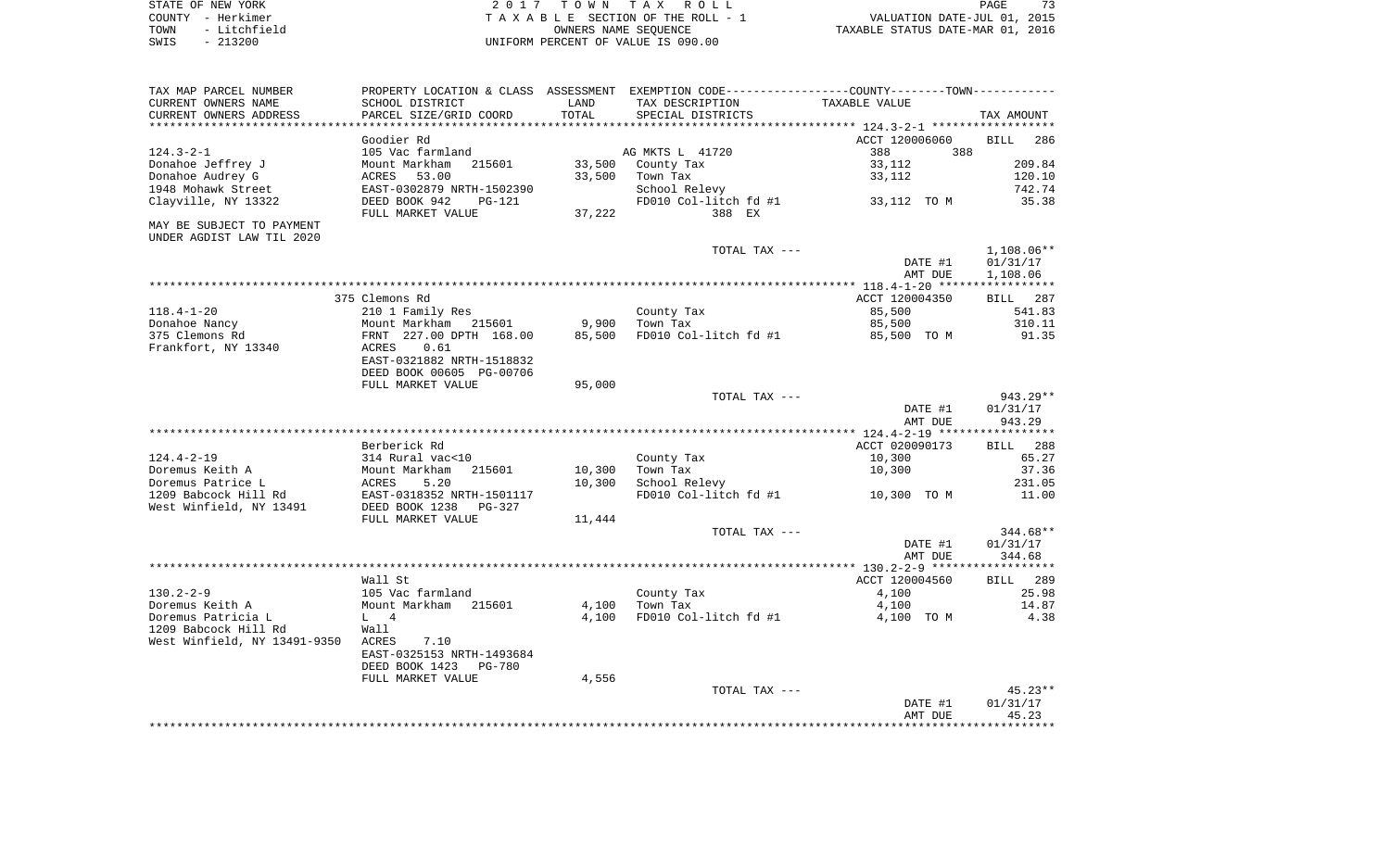|      | STATE OF NEW YORK | 2017 TOWN TAX ROLL                 | PAGE                             | 72 |
|------|-------------------|------------------------------------|----------------------------------|----|
|      | COUNTY - Herkimer | TAXABLE SECTION OF THE ROLL - 1    | VALUATION DATE-JUL 01, 2015      |    |
| TOWN | - Litchfield      | OWNERS NAME SEOUENCE               | TAXABLE STATUS DATE-MAR 01, 2016 |    |
| SWIS | - 213200          | UNIFORM PERCENT OF VALUE IS 090.00 |                                  |    |

| TAX MAP PARCEL NUMBER        |                           |        | PROPERTY LOCATION & CLASS ASSESSMENT EXEMPTION CODE---------------COUNTY-------TOWN---------- |                |            |
|------------------------------|---------------------------|--------|-----------------------------------------------------------------------------------------------|----------------|------------|
| CURRENT OWNERS NAME          | SCHOOL DISTRICT           | LAND   | TAX DESCRIPTION                                                                               | TAXABLE VALUE  |            |
| CURRENT OWNERS ADDRESS       | PARCEL SIZE/GRID COORD    | TOTAL  | SPECIAL DISTRICTS                                                                             |                | TAX AMOUNT |
|                              |                           |        |                                                                                               |                |            |
|                              | Goodier Rd                |        |                                                                                               | ACCT 120006060 | BILL 286   |
| $124.3 - 2 - 1$              | 105 Vac farmland          |        | AG MKTS L 41720                                                                               | 388<br>388     |            |
| Donahoe Jeffrey J            | Mount Markham 215601      |        | 33,500 County Tax                                                                             | 33,112         | 209.84     |
| Donahoe Audrey G             | ACRES<br>53.00            |        | 33,500 Town Tax                                                                               | 33,112         | 120.10     |
| 1948 Mohawk Street           | EAST-0302879 NRTH-1502390 |        | School Relevy                                                                                 |                | 742.74     |
| Clayville, NY 13322          | DEED BOOK 942<br>PG-121   |        | FD010 Col-litch fd #1 33,112 TO M                                                             |                | 35.38      |
|                              | FULL MARKET VALUE         | 37,222 | 388 EX                                                                                        |                |            |
| MAY BE SUBJECT TO PAYMENT    |                           |        |                                                                                               |                |            |
| UNDER AGDIST LAW TIL 2020    |                           |        |                                                                                               |                |            |
|                              |                           |        | TOTAL TAX ---                                                                                 |                | 1,108.06** |
|                              |                           |        |                                                                                               |                |            |
|                              |                           |        |                                                                                               | DATE #1        | 01/31/17   |
|                              |                           |        |                                                                                               | AMT DUE        | 1,108.06   |
|                              |                           |        |                                                                                               |                |            |
|                              | 375 Clemons Rd            |        |                                                                                               | ACCT 120004350 | BILL 287   |
| $118.4 - 1 - 20$             | 210 1 Family Res          |        | County Tax                                                                                    | 85,500         | 541.83     |
| Donahoe Nancy                | Mount Markham 215601      | 9,900  | Town Tax                                                                                      | 85,500         | 310.11     |
| 375 Clemons Rd               | FRNT 227.00 DPTH 168.00   | 85,500 | FD010 Col-litch fd #1                                                                         | 85,500 TO M    | 91.35      |
| Frankfort, NY 13340          | ACRES<br>0.61             |        |                                                                                               |                |            |
|                              | EAST-0321882 NRTH-1518832 |        |                                                                                               |                |            |
|                              | DEED BOOK 00605 PG-00706  |        |                                                                                               |                |            |
|                              | FULL MARKET VALUE         | 95,000 |                                                                                               |                |            |
|                              |                           |        | TOTAL TAX ---                                                                                 |                | 943.29**   |
|                              |                           |        |                                                                                               | DATE #1        | 01/31/17   |
|                              |                           |        |                                                                                               | AMT DUE        | 943.29     |
|                              |                           |        |                                                                                               |                |            |
|                              | Berberick Rd              |        |                                                                                               | ACCT 020090173 | BILL 288   |
| $124.4 - 2 - 19$             | 314 Rural vac<10          |        | County Tax                                                                                    | 10,300         | 65.27      |
| Doremus Keith A              | 215601<br>Mount Markham   | 10,300 | Town Tax                                                                                      | 10,300         | 37.36      |
| Doremus Patrice L            | ACRES<br>5.20             | 10,300 | School Relevy                                                                                 |                | 231.05     |
| 1209 Babcock Hill Rd         | EAST-0318352 NRTH-1501117 |        | FD010 Col-litch fd #1 10,300 TO M                                                             |                | 11.00      |
| West Winfield, NY 13491      | DEED BOOK 1238<br>PG-327  |        |                                                                                               |                |            |
|                              | FULL MARKET VALUE         | 11,444 |                                                                                               |                |            |
|                              |                           |        | TOTAL TAX ---                                                                                 |                | 344.68**   |
|                              |                           |        |                                                                                               | DATE #1        | 01/31/17   |
|                              |                           |        |                                                                                               | AMT DUE        | 344.68     |
|                              |                           |        |                                                                                               |                |            |
|                              |                           |        |                                                                                               |                |            |
|                              | Wall St                   |        |                                                                                               | ACCT 120004560 | BILL 289   |
| $130.2 - 2 - 9$              | 105 Vac farmland          |        | County Tax                                                                                    | 4,100          | 25.98      |
| Doremus Keith A              | Mount Markham 215601      |        | $4,100$ Town Tax                                                                              | 4,100          | 14.87      |
| Doremus Patricia L           | $L \t 4$                  | 4,100  | FD010 Col-litch fd #1                                                                         | 4,100 TO M     | 4.38       |
| 1209 Babcock Hill Rd         | Wall                      |        |                                                                                               |                |            |
| West Winfield, NY 13491-9350 | ACRES<br>7.10             |        |                                                                                               |                |            |
|                              | EAST-0325153 NRTH-1493684 |        |                                                                                               |                |            |
|                              | DEED BOOK 1423 PG-780     |        |                                                                                               |                |            |
|                              | FULL MARKET VALUE         | 4,556  |                                                                                               |                |            |
|                              |                           |        | TOTAL TAX ---                                                                                 |                | $45.23**$  |
|                              |                           |        |                                                                                               | DATE #1        | 01/31/17   |
|                              |                           |        |                                                                                               | AMT DUE        | 45.23      |
|                              |                           |        |                                                                                               |                |            |
|                              |                           |        |                                                                                               |                |            |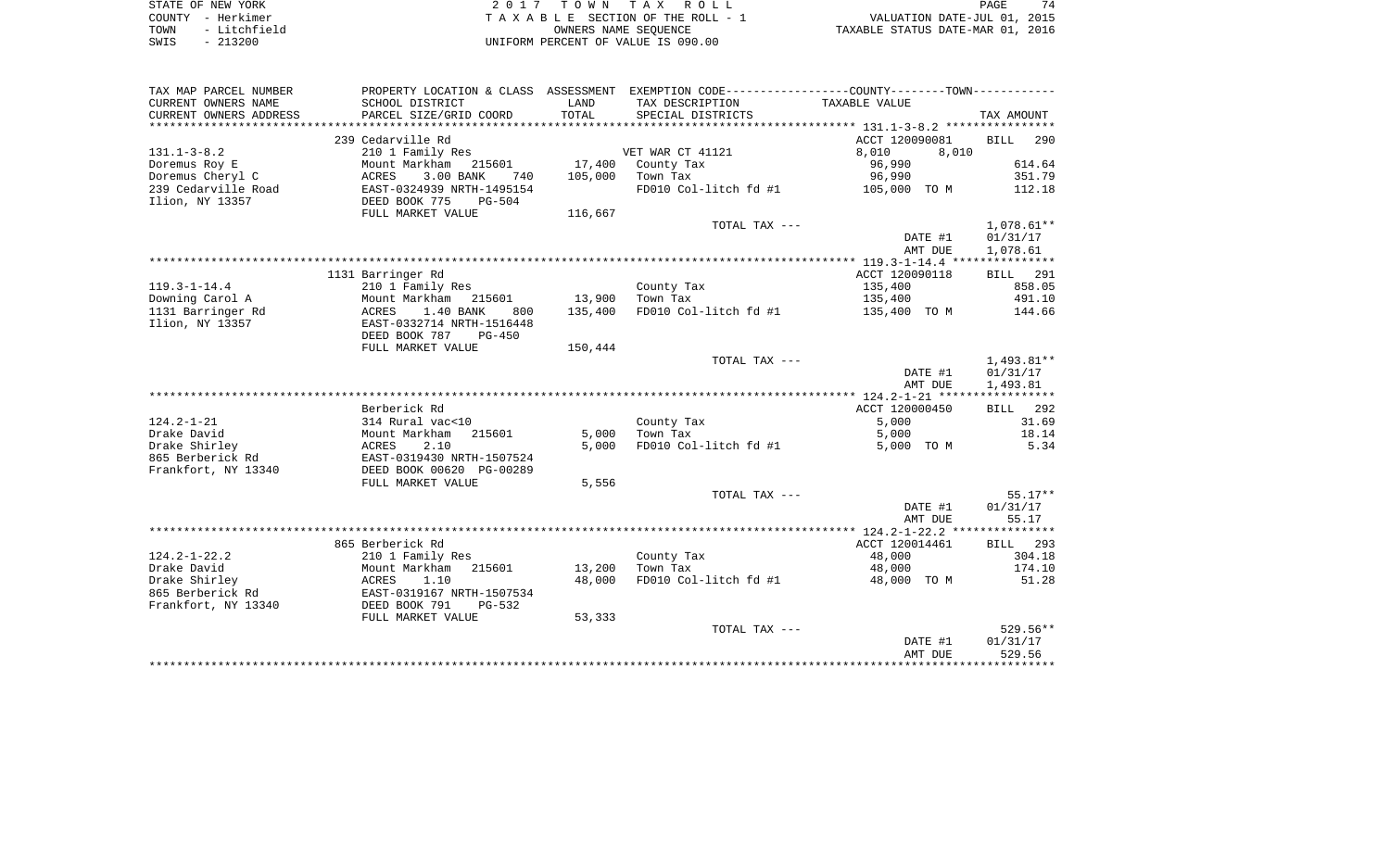| STATE OF NEW YORK |                   | 2017 TOWN TAX ROLL                  | <b>PAGE</b>                      | 74 |
|-------------------|-------------------|-------------------------------------|----------------------------------|----|
|                   | COUNTY – Herkimer | TAXABLE SECTION OF THE ROLL - 1     | VALUATION DATE-JUL 01, 2015      |    |
| TOWN              | - Litchfield      | OWNERS NAME SEOUENCE                | TAXABLE STATUS DATE-MAR 01, 2016 |    |
| CMTC – 213200     |                   | INITEOPM DEPOENT OF VALUE IS 000 00 |                                  |    |

SWIS - 213200 UNIFORM PERCENT OF VALUE IS 090.00

| SCHOOL DISTRICT<br>LAND<br>TAX DESCRIPTION<br>TAXABLE VALUE<br>TOTAL<br>CURRENT OWNERS ADDRESS<br>PARCEL SIZE/GRID COORD<br>SPECIAL DISTRICTS<br>TAX AMOUNT<br>**********************<br>239 Cedarville Rd<br>ACCT 120090081<br><b>BILL</b><br>290<br>210 1 Family Res<br>VET WAR CT 41121<br>8,010<br>8,010<br>Mount Markham<br>17,400<br>614.64<br>Doremus Roy E<br>215601<br>County Tax<br>96,990<br><b>ACRES</b><br>3.00 BANK<br>740<br>105,000<br>Town Tax<br>96,990<br>351.79<br>EAST-0324939 NRTH-1495154<br>FD010 Col-litch fd #1<br>112.18<br>105,000 TO M<br>DEED BOOK 775<br>$PG-504$<br>FULL MARKET VALUE<br>116,667<br>TOTAL TAX ---<br>1,078.61**<br>01/31/17<br>DATE #1<br>AMT DUE<br>1,078.61<br>1131 Barringer Rd<br>ACCT 120090118<br><b>BILL</b> 291<br>858.05<br>210 1 Family Res<br>County Tax<br>135,400<br>Mount Markham<br>215601<br>13,900<br>Town Tax<br>135,400<br>491.10<br>1.40 BANK<br>FD010 Col-litch fd #1<br>ACRES<br>800<br>135,400<br>144.66<br>135,400 TO M<br>EAST-0332714 NRTH-1516448<br>DEED BOOK 787<br><b>PG-450</b><br>FULL MARKET VALUE<br>150,444<br>TOTAL TAX ---<br>1,493.81**<br>DATE #1<br>01/31/17<br>1,493.81<br>AMT DUE<br>ACCT 120000450<br>292<br>Berberick Rd<br>BILL<br>5,000<br>31.69<br>314 Rural vac<10<br>County Tax<br>Drake David<br>Mount Markham<br>215601<br>5,000<br>Town Tax<br>5,000<br>18.14<br>2.10<br>5.000<br>FD010 Col-litch fd #1<br>5,000 TO M<br>5.34<br><b>ACRES</b><br>EAST-0319430 NRTH-1507524<br>DEED BOOK 00620 PG-00289<br>FULL MARKET VALUE<br>5,556<br>$55.17**$<br>TOTAL TAX ---<br>01/31/17<br>DATE #1<br>AMT DUE<br>55.17<br>865 Berberick Rd<br>ACCT 120014461<br><b>BILL</b><br>293<br>$124.2 - 1 - 22.2$<br>210 1 Family Res<br>48,000<br>304.18<br>County Tax<br>Drake David<br>174.10<br>Mount Markham<br>215601<br>13,200<br>Town Tax<br>48,000<br>Drake Shirley<br>FD010 Col-litch fd #1<br><b>ACRES</b><br>1.10<br>48,000<br>48,000 TO M<br>51.28<br>865 Berberick Rd<br>EAST-0319167 NRTH-1507534<br>Frankfort, NY 13340<br>DEED BOOK 791<br>$PG-532$<br>FULL MARKET VALUE<br>53,333<br>529.56**<br>TOTAL TAX ---<br>01/31/17<br>DATE #1<br>529.56<br>AMT DUE | TAX MAP PARCEL NUMBER |  | PROPERTY LOCATION & CLASS ASSESSMENT EXEMPTION CODE---------------COUNTY-------TOWN---------- |  |
|----------------------------------------------------------------------------------------------------------------------------------------------------------------------------------------------------------------------------------------------------------------------------------------------------------------------------------------------------------------------------------------------------------------------------------------------------------------------------------------------------------------------------------------------------------------------------------------------------------------------------------------------------------------------------------------------------------------------------------------------------------------------------------------------------------------------------------------------------------------------------------------------------------------------------------------------------------------------------------------------------------------------------------------------------------------------------------------------------------------------------------------------------------------------------------------------------------------------------------------------------------------------------------------------------------------------------------------------------------------------------------------------------------------------------------------------------------------------------------------------------------------------------------------------------------------------------------------------------------------------------------------------------------------------------------------------------------------------------------------------------------------------------------------------------------------------------------------------------------------------------------------------------------------------------------------------------------------------------------------------------------------------------------------------------------------------------------------------------------------------------------------------------------------|-----------------------|--|-----------------------------------------------------------------------------------------------|--|
|                                                                                                                                                                                                                                                                                                                                                                                                                                                                                                                                                                                                                                                                                                                                                                                                                                                                                                                                                                                                                                                                                                                                                                                                                                                                                                                                                                                                                                                                                                                                                                                                                                                                                                                                                                                                                                                                                                                                                                                                                                                                                                                                                                | CURRENT OWNERS NAME   |  |                                                                                               |  |
|                                                                                                                                                                                                                                                                                                                                                                                                                                                                                                                                                                                                                                                                                                                                                                                                                                                                                                                                                                                                                                                                                                                                                                                                                                                                                                                                                                                                                                                                                                                                                                                                                                                                                                                                                                                                                                                                                                                                                                                                                                                                                                                                                                |                       |  |                                                                                               |  |
|                                                                                                                                                                                                                                                                                                                                                                                                                                                                                                                                                                                                                                                                                                                                                                                                                                                                                                                                                                                                                                                                                                                                                                                                                                                                                                                                                                                                                                                                                                                                                                                                                                                                                                                                                                                                                                                                                                                                                                                                                                                                                                                                                                |                       |  |                                                                                               |  |
|                                                                                                                                                                                                                                                                                                                                                                                                                                                                                                                                                                                                                                                                                                                                                                                                                                                                                                                                                                                                                                                                                                                                                                                                                                                                                                                                                                                                                                                                                                                                                                                                                                                                                                                                                                                                                                                                                                                                                                                                                                                                                                                                                                |                       |  |                                                                                               |  |
|                                                                                                                                                                                                                                                                                                                                                                                                                                                                                                                                                                                                                                                                                                                                                                                                                                                                                                                                                                                                                                                                                                                                                                                                                                                                                                                                                                                                                                                                                                                                                                                                                                                                                                                                                                                                                                                                                                                                                                                                                                                                                                                                                                | $131.1 - 3 - 8.2$     |  |                                                                                               |  |
|                                                                                                                                                                                                                                                                                                                                                                                                                                                                                                                                                                                                                                                                                                                                                                                                                                                                                                                                                                                                                                                                                                                                                                                                                                                                                                                                                                                                                                                                                                                                                                                                                                                                                                                                                                                                                                                                                                                                                                                                                                                                                                                                                                |                       |  |                                                                                               |  |
|                                                                                                                                                                                                                                                                                                                                                                                                                                                                                                                                                                                                                                                                                                                                                                                                                                                                                                                                                                                                                                                                                                                                                                                                                                                                                                                                                                                                                                                                                                                                                                                                                                                                                                                                                                                                                                                                                                                                                                                                                                                                                                                                                                | Doremus Cheryl C      |  |                                                                                               |  |
|                                                                                                                                                                                                                                                                                                                                                                                                                                                                                                                                                                                                                                                                                                                                                                                                                                                                                                                                                                                                                                                                                                                                                                                                                                                                                                                                                                                                                                                                                                                                                                                                                                                                                                                                                                                                                                                                                                                                                                                                                                                                                                                                                                | 239 Cedarville Road   |  |                                                                                               |  |
|                                                                                                                                                                                                                                                                                                                                                                                                                                                                                                                                                                                                                                                                                                                                                                                                                                                                                                                                                                                                                                                                                                                                                                                                                                                                                                                                                                                                                                                                                                                                                                                                                                                                                                                                                                                                                                                                                                                                                                                                                                                                                                                                                                | Ilion, NY 13357       |  |                                                                                               |  |
|                                                                                                                                                                                                                                                                                                                                                                                                                                                                                                                                                                                                                                                                                                                                                                                                                                                                                                                                                                                                                                                                                                                                                                                                                                                                                                                                                                                                                                                                                                                                                                                                                                                                                                                                                                                                                                                                                                                                                                                                                                                                                                                                                                |                       |  |                                                                                               |  |
|                                                                                                                                                                                                                                                                                                                                                                                                                                                                                                                                                                                                                                                                                                                                                                                                                                                                                                                                                                                                                                                                                                                                                                                                                                                                                                                                                                                                                                                                                                                                                                                                                                                                                                                                                                                                                                                                                                                                                                                                                                                                                                                                                                |                       |  |                                                                                               |  |
|                                                                                                                                                                                                                                                                                                                                                                                                                                                                                                                                                                                                                                                                                                                                                                                                                                                                                                                                                                                                                                                                                                                                                                                                                                                                                                                                                                                                                                                                                                                                                                                                                                                                                                                                                                                                                                                                                                                                                                                                                                                                                                                                                                |                       |  |                                                                                               |  |
|                                                                                                                                                                                                                                                                                                                                                                                                                                                                                                                                                                                                                                                                                                                                                                                                                                                                                                                                                                                                                                                                                                                                                                                                                                                                                                                                                                                                                                                                                                                                                                                                                                                                                                                                                                                                                                                                                                                                                                                                                                                                                                                                                                |                       |  |                                                                                               |  |
|                                                                                                                                                                                                                                                                                                                                                                                                                                                                                                                                                                                                                                                                                                                                                                                                                                                                                                                                                                                                                                                                                                                                                                                                                                                                                                                                                                                                                                                                                                                                                                                                                                                                                                                                                                                                                                                                                                                                                                                                                                                                                                                                                                |                       |  |                                                                                               |  |
|                                                                                                                                                                                                                                                                                                                                                                                                                                                                                                                                                                                                                                                                                                                                                                                                                                                                                                                                                                                                                                                                                                                                                                                                                                                                                                                                                                                                                                                                                                                                                                                                                                                                                                                                                                                                                                                                                                                                                                                                                                                                                                                                                                |                       |  |                                                                                               |  |
|                                                                                                                                                                                                                                                                                                                                                                                                                                                                                                                                                                                                                                                                                                                                                                                                                                                                                                                                                                                                                                                                                                                                                                                                                                                                                                                                                                                                                                                                                                                                                                                                                                                                                                                                                                                                                                                                                                                                                                                                                                                                                                                                                                | $119.3 - 1 - 14.4$    |  |                                                                                               |  |
|                                                                                                                                                                                                                                                                                                                                                                                                                                                                                                                                                                                                                                                                                                                                                                                                                                                                                                                                                                                                                                                                                                                                                                                                                                                                                                                                                                                                                                                                                                                                                                                                                                                                                                                                                                                                                                                                                                                                                                                                                                                                                                                                                                | Downing Carol A       |  |                                                                                               |  |
|                                                                                                                                                                                                                                                                                                                                                                                                                                                                                                                                                                                                                                                                                                                                                                                                                                                                                                                                                                                                                                                                                                                                                                                                                                                                                                                                                                                                                                                                                                                                                                                                                                                                                                                                                                                                                                                                                                                                                                                                                                                                                                                                                                | 1131 Barringer Rd     |  |                                                                                               |  |
|                                                                                                                                                                                                                                                                                                                                                                                                                                                                                                                                                                                                                                                                                                                                                                                                                                                                                                                                                                                                                                                                                                                                                                                                                                                                                                                                                                                                                                                                                                                                                                                                                                                                                                                                                                                                                                                                                                                                                                                                                                                                                                                                                                | Ilion, NY 13357       |  |                                                                                               |  |
|                                                                                                                                                                                                                                                                                                                                                                                                                                                                                                                                                                                                                                                                                                                                                                                                                                                                                                                                                                                                                                                                                                                                                                                                                                                                                                                                                                                                                                                                                                                                                                                                                                                                                                                                                                                                                                                                                                                                                                                                                                                                                                                                                                |                       |  |                                                                                               |  |
|                                                                                                                                                                                                                                                                                                                                                                                                                                                                                                                                                                                                                                                                                                                                                                                                                                                                                                                                                                                                                                                                                                                                                                                                                                                                                                                                                                                                                                                                                                                                                                                                                                                                                                                                                                                                                                                                                                                                                                                                                                                                                                                                                                |                       |  |                                                                                               |  |
|                                                                                                                                                                                                                                                                                                                                                                                                                                                                                                                                                                                                                                                                                                                                                                                                                                                                                                                                                                                                                                                                                                                                                                                                                                                                                                                                                                                                                                                                                                                                                                                                                                                                                                                                                                                                                                                                                                                                                                                                                                                                                                                                                                |                       |  |                                                                                               |  |
|                                                                                                                                                                                                                                                                                                                                                                                                                                                                                                                                                                                                                                                                                                                                                                                                                                                                                                                                                                                                                                                                                                                                                                                                                                                                                                                                                                                                                                                                                                                                                                                                                                                                                                                                                                                                                                                                                                                                                                                                                                                                                                                                                                |                       |  |                                                                                               |  |
|                                                                                                                                                                                                                                                                                                                                                                                                                                                                                                                                                                                                                                                                                                                                                                                                                                                                                                                                                                                                                                                                                                                                                                                                                                                                                                                                                                                                                                                                                                                                                                                                                                                                                                                                                                                                                                                                                                                                                                                                                                                                                                                                                                |                       |  |                                                                                               |  |
|                                                                                                                                                                                                                                                                                                                                                                                                                                                                                                                                                                                                                                                                                                                                                                                                                                                                                                                                                                                                                                                                                                                                                                                                                                                                                                                                                                                                                                                                                                                                                                                                                                                                                                                                                                                                                                                                                                                                                                                                                                                                                                                                                                |                       |  |                                                                                               |  |
|                                                                                                                                                                                                                                                                                                                                                                                                                                                                                                                                                                                                                                                                                                                                                                                                                                                                                                                                                                                                                                                                                                                                                                                                                                                                                                                                                                                                                                                                                                                                                                                                                                                                                                                                                                                                                                                                                                                                                                                                                                                                                                                                                                |                       |  |                                                                                               |  |
|                                                                                                                                                                                                                                                                                                                                                                                                                                                                                                                                                                                                                                                                                                                                                                                                                                                                                                                                                                                                                                                                                                                                                                                                                                                                                                                                                                                                                                                                                                                                                                                                                                                                                                                                                                                                                                                                                                                                                                                                                                                                                                                                                                | $124.2 - 1 - 21$      |  |                                                                                               |  |
|                                                                                                                                                                                                                                                                                                                                                                                                                                                                                                                                                                                                                                                                                                                                                                                                                                                                                                                                                                                                                                                                                                                                                                                                                                                                                                                                                                                                                                                                                                                                                                                                                                                                                                                                                                                                                                                                                                                                                                                                                                                                                                                                                                |                       |  |                                                                                               |  |
|                                                                                                                                                                                                                                                                                                                                                                                                                                                                                                                                                                                                                                                                                                                                                                                                                                                                                                                                                                                                                                                                                                                                                                                                                                                                                                                                                                                                                                                                                                                                                                                                                                                                                                                                                                                                                                                                                                                                                                                                                                                                                                                                                                | Drake Shirley         |  |                                                                                               |  |
|                                                                                                                                                                                                                                                                                                                                                                                                                                                                                                                                                                                                                                                                                                                                                                                                                                                                                                                                                                                                                                                                                                                                                                                                                                                                                                                                                                                                                                                                                                                                                                                                                                                                                                                                                                                                                                                                                                                                                                                                                                                                                                                                                                | 865 Berberick Rd      |  |                                                                                               |  |
|                                                                                                                                                                                                                                                                                                                                                                                                                                                                                                                                                                                                                                                                                                                                                                                                                                                                                                                                                                                                                                                                                                                                                                                                                                                                                                                                                                                                                                                                                                                                                                                                                                                                                                                                                                                                                                                                                                                                                                                                                                                                                                                                                                | Frankfort, NY 13340   |  |                                                                                               |  |
|                                                                                                                                                                                                                                                                                                                                                                                                                                                                                                                                                                                                                                                                                                                                                                                                                                                                                                                                                                                                                                                                                                                                                                                                                                                                                                                                                                                                                                                                                                                                                                                                                                                                                                                                                                                                                                                                                                                                                                                                                                                                                                                                                                |                       |  |                                                                                               |  |
|                                                                                                                                                                                                                                                                                                                                                                                                                                                                                                                                                                                                                                                                                                                                                                                                                                                                                                                                                                                                                                                                                                                                                                                                                                                                                                                                                                                                                                                                                                                                                                                                                                                                                                                                                                                                                                                                                                                                                                                                                                                                                                                                                                |                       |  |                                                                                               |  |
|                                                                                                                                                                                                                                                                                                                                                                                                                                                                                                                                                                                                                                                                                                                                                                                                                                                                                                                                                                                                                                                                                                                                                                                                                                                                                                                                                                                                                                                                                                                                                                                                                                                                                                                                                                                                                                                                                                                                                                                                                                                                                                                                                                |                       |  |                                                                                               |  |
|                                                                                                                                                                                                                                                                                                                                                                                                                                                                                                                                                                                                                                                                                                                                                                                                                                                                                                                                                                                                                                                                                                                                                                                                                                                                                                                                                                                                                                                                                                                                                                                                                                                                                                                                                                                                                                                                                                                                                                                                                                                                                                                                                                |                       |  |                                                                                               |  |
|                                                                                                                                                                                                                                                                                                                                                                                                                                                                                                                                                                                                                                                                                                                                                                                                                                                                                                                                                                                                                                                                                                                                                                                                                                                                                                                                                                                                                                                                                                                                                                                                                                                                                                                                                                                                                                                                                                                                                                                                                                                                                                                                                                |                       |  |                                                                                               |  |
|                                                                                                                                                                                                                                                                                                                                                                                                                                                                                                                                                                                                                                                                                                                                                                                                                                                                                                                                                                                                                                                                                                                                                                                                                                                                                                                                                                                                                                                                                                                                                                                                                                                                                                                                                                                                                                                                                                                                                                                                                                                                                                                                                                |                       |  |                                                                                               |  |
|                                                                                                                                                                                                                                                                                                                                                                                                                                                                                                                                                                                                                                                                                                                                                                                                                                                                                                                                                                                                                                                                                                                                                                                                                                                                                                                                                                                                                                                                                                                                                                                                                                                                                                                                                                                                                                                                                                                                                                                                                                                                                                                                                                |                       |  |                                                                                               |  |
|                                                                                                                                                                                                                                                                                                                                                                                                                                                                                                                                                                                                                                                                                                                                                                                                                                                                                                                                                                                                                                                                                                                                                                                                                                                                                                                                                                                                                                                                                                                                                                                                                                                                                                                                                                                                                                                                                                                                                                                                                                                                                                                                                                |                       |  |                                                                                               |  |
|                                                                                                                                                                                                                                                                                                                                                                                                                                                                                                                                                                                                                                                                                                                                                                                                                                                                                                                                                                                                                                                                                                                                                                                                                                                                                                                                                                                                                                                                                                                                                                                                                                                                                                                                                                                                                                                                                                                                                                                                                                                                                                                                                                |                       |  |                                                                                               |  |
|                                                                                                                                                                                                                                                                                                                                                                                                                                                                                                                                                                                                                                                                                                                                                                                                                                                                                                                                                                                                                                                                                                                                                                                                                                                                                                                                                                                                                                                                                                                                                                                                                                                                                                                                                                                                                                                                                                                                                                                                                                                                                                                                                                |                       |  |                                                                                               |  |
|                                                                                                                                                                                                                                                                                                                                                                                                                                                                                                                                                                                                                                                                                                                                                                                                                                                                                                                                                                                                                                                                                                                                                                                                                                                                                                                                                                                                                                                                                                                                                                                                                                                                                                                                                                                                                                                                                                                                                                                                                                                                                                                                                                |                       |  |                                                                                               |  |
|                                                                                                                                                                                                                                                                                                                                                                                                                                                                                                                                                                                                                                                                                                                                                                                                                                                                                                                                                                                                                                                                                                                                                                                                                                                                                                                                                                                                                                                                                                                                                                                                                                                                                                                                                                                                                                                                                                                                                                                                                                                                                                                                                                |                       |  |                                                                                               |  |
|                                                                                                                                                                                                                                                                                                                                                                                                                                                                                                                                                                                                                                                                                                                                                                                                                                                                                                                                                                                                                                                                                                                                                                                                                                                                                                                                                                                                                                                                                                                                                                                                                                                                                                                                                                                                                                                                                                                                                                                                                                                                                                                                                                |                       |  |                                                                                               |  |
|                                                                                                                                                                                                                                                                                                                                                                                                                                                                                                                                                                                                                                                                                                                                                                                                                                                                                                                                                                                                                                                                                                                                                                                                                                                                                                                                                                                                                                                                                                                                                                                                                                                                                                                                                                                                                                                                                                                                                                                                                                                                                                                                                                |                       |  |                                                                                               |  |
|                                                                                                                                                                                                                                                                                                                                                                                                                                                                                                                                                                                                                                                                                                                                                                                                                                                                                                                                                                                                                                                                                                                                                                                                                                                                                                                                                                                                                                                                                                                                                                                                                                                                                                                                                                                                                                                                                                                                                                                                                                                                                                                                                                |                       |  |                                                                                               |  |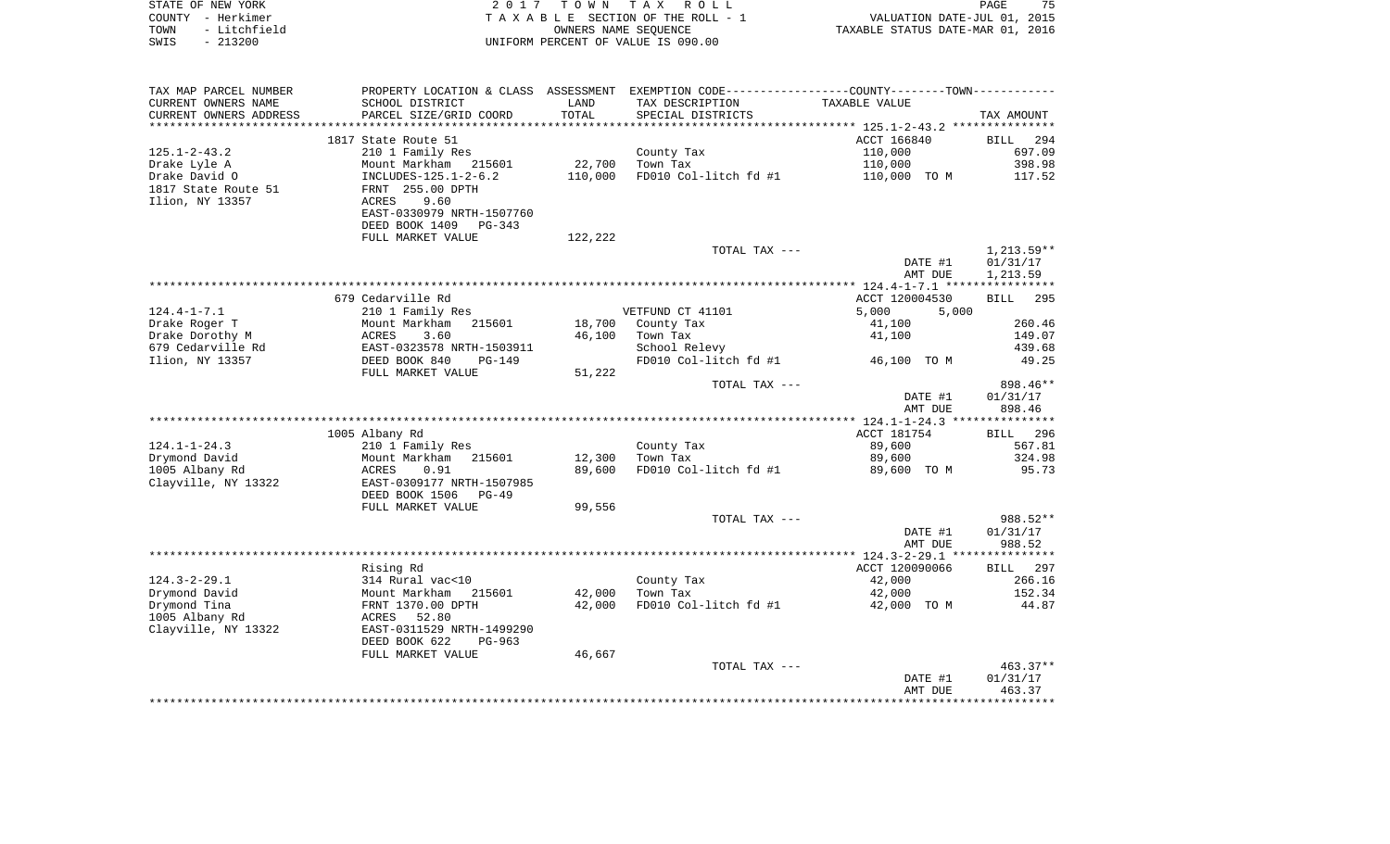| STATE OF NEW YORK    | 2017 TOWN TAX ROLL                 | 75<br>PAGE                       |
|----------------------|------------------------------------|----------------------------------|
| COUNTY - Herkimer    | TAXABLE SECTION OF THE ROLL - 1    | VALUATION DATE-JUL 01, 2015      |
| TOWN<br>- Litchfield | OWNERS NAME SEOUENCE               | TAXABLE STATUS DATE-MAR 01, 2016 |
| $-213200$<br>SWIS    | UNIFORM PERCENT OF VALUE IS 090.00 |                                  |

| TAX MAP PARCEL NUMBER  |                            |         | PROPERTY LOCATION & CLASS ASSESSMENT EXEMPTION CODE---------------COUNTY-------TOWN---------- |                |                    |
|------------------------|----------------------------|---------|-----------------------------------------------------------------------------------------------|----------------|--------------------|
| CURRENT OWNERS NAME    | SCHOOL DISTRICT            | LAND    | TAX DESCRIPTION                                                                               | TAXABLE VALUE  |                    |
| CURRENT OWNERS ADDRESS | PARCEL SIZE/GRID COORD     | TOTAL   | SPECIAL DISTRICTS                                                                             |                | TAX AMOUNT         |
|                        |                            |         |                                                                                               |                |                    |
|                        | 1817 State Route 51        |         |                                                                                               | ACCT 166840    | <b>BILL</b><br>294 |
| $125.1 - 2 - 43.2$     | 210 1 Family Res           |         | County Tax                                                                                    | 110,000        | 697.09             |
|                        | Mount Markham<br>215601    | 22,700  | Town Tax                                                                                      | 110,000        | 398.98             |
| Drake Lyle A           |                            |         |                                                                                               |                |                    |
| Drake David O          | INCLUDES-125.1-2-6.2       | 110,000 | FD010 Col-litch fd #1                                                                         | 110,000 TO M   | 117.52             |
| 1817 State Route 51    | FRNT 255.00 DPTH           |         |                                                                                               |                |                    |
| Ilion, NY 13357        | 9.60<br>ACRES              |         |                                                                                               |                |                    |
|                        | EAST-0330979 NRTH-1507760  |         |                                                                                               |                |                    |
|                        | DEED BOOK 1409<br>$PG-343$ |         |                                                                                               |                |                    |
|                        | FULL MARKET VALUE          | 122,222 |                                                                                               |                |                    |
|                        |                            |         | TOTAL TAX ---                                                                                 |                | 1,213.59**         |
|                        |                            |         |                                                                                               | DATE #1        | 01/31/17           |
|                        |                            |         |                                                                                               | AMT DUE        | 1,213.59           |
|                        |                            |         |                                                                                               |                |                    |
|                        | 679 Cedarville Rd          |         |                                                                                               | ACCT 120004530 | BILL<br>295        |
| $124.4 - 1 - 7.1$      | 210 1 Family Res           |         | VETFUND CT 41101                                                                              | 5,000<br>5,000 |                    |
| Drake Roger T          | Mount Markham<br>215601    | 18,700  | County Tax                                                                                    | 41,100         | 260.46             |
| Drake Dorothy M        | ACRES<br>3.60              | 46,100  | Town Tax                                                                                      | 41,100         | 149.07             |
|                        |                            |         |                                                                                               |                |                    |
| 679 Cedarville Rd      | EAST-0323578 NRTH-1503911  |         | School Relevy                                                                                 |                | 439.68             |
| Ilion, NY 13357        | DEED BOOK 840<br>$PG-149$  |         | FD010 Col-litch fd #1                                                                         | 46,100 TO M    | 49.25              |
|                        | FULL MARKET VALUE          | 51,222  |                                                                                               |                |                    |
|                        |                            |         | TOTAL TAX ---                                                                                 |                | 898.46**           |
|                        |                            |         |                                                                                               | DATE #1        | 01/31/17           |
|                        |                            |         |                                                                                               | AMT DUE        | 898.46             |
|                        |                            |         |                                                                                               |                |                    |
|                        | 1005 Albany Rd             |         |                                                                                               | ACCT 181754    | BILL 296           |
| $124.1 - 1 - 24.3$     | 210 1 Family Res           |         | County Tax                                                                                    | 89,600         | 567.81             |
| Drymond David          | Mount Markham<br>215601    | 12,300  | Town Tax                                                                                      | 89,600         | 324.98             |
| 1005 Albany Rd         | 0.91<br>ACRES              | 89,600  | FD010 Col-litch fd #1                                                                         | 89,600 TO M    | 95.73              |
| Clayville, NY 13322    | EAST-0309177 NRTH-1507985  |         |                                                                                               |                |                    |
|                        | DEED BOOK 1506<br>$PG-49$  |         |                                                                                               |                |                    |
|                        | FULL MARKET VALUE          | 99,556  |                                                                                               |                |                    |
|                        |                            |         |                                                                                               |                |                    |
|                        |                            |         | TOTAL TAX ---                                                                                 |                | 988.52**           |
|                        |                            |         |                                                                                               | DATE #1        | 01/31/17           |
|                        |                            |         |                                                                                               | AMT DUE        | 988.52             |
|                        |                            |         |                                                                                               |                |                    |
|                        | Rising Rd                  |         |                                                                                               | ACCT 120090066 | BILL 297           |
| $124.3 - 2 - 29.1$     | 314 Rural vac<10           |         | County Tax                                                                                    | 42,000         | 266.16             |
| Drymond David          | Mount Markham<br>215601    | 42,000  | Town Tax                                                                                      | 42,000         | 152.34             |
| Drymond Tina           | FRNT 1370.00 DPTH          | 42,000  | FD010 Col-litch fd #1                                                                         | 42,000 TO M    | 44.87              |
| 1005 Albany Rd         | 52.80<br>ACRES             |         |                                                                                               |                |                    |
| Clayville, NY 13322    | EAST-0311529 NRTH-1499290  |         |                                                                                               |                |                    |
|                        | DEED BOOK 622<br>$PG-963$  |         |                                                                                               |                |                    |
|                        | FULL MARKET VALUE          | 46,667  |                                                                                               |                |                    |
|                        |                            |         | TOTAL TAX ---                                                                                 |                | $463.37**$         |
|                        |                            |         |                                                                                               | DATE #1        | 01/31/17           |
|                        |                            |         |                                                                                               | AMT DUE        | 463.37             |
|                        |                            |         |                                                                                               |                |                    |
|                        |                            |         |                                                                                               |                |                    |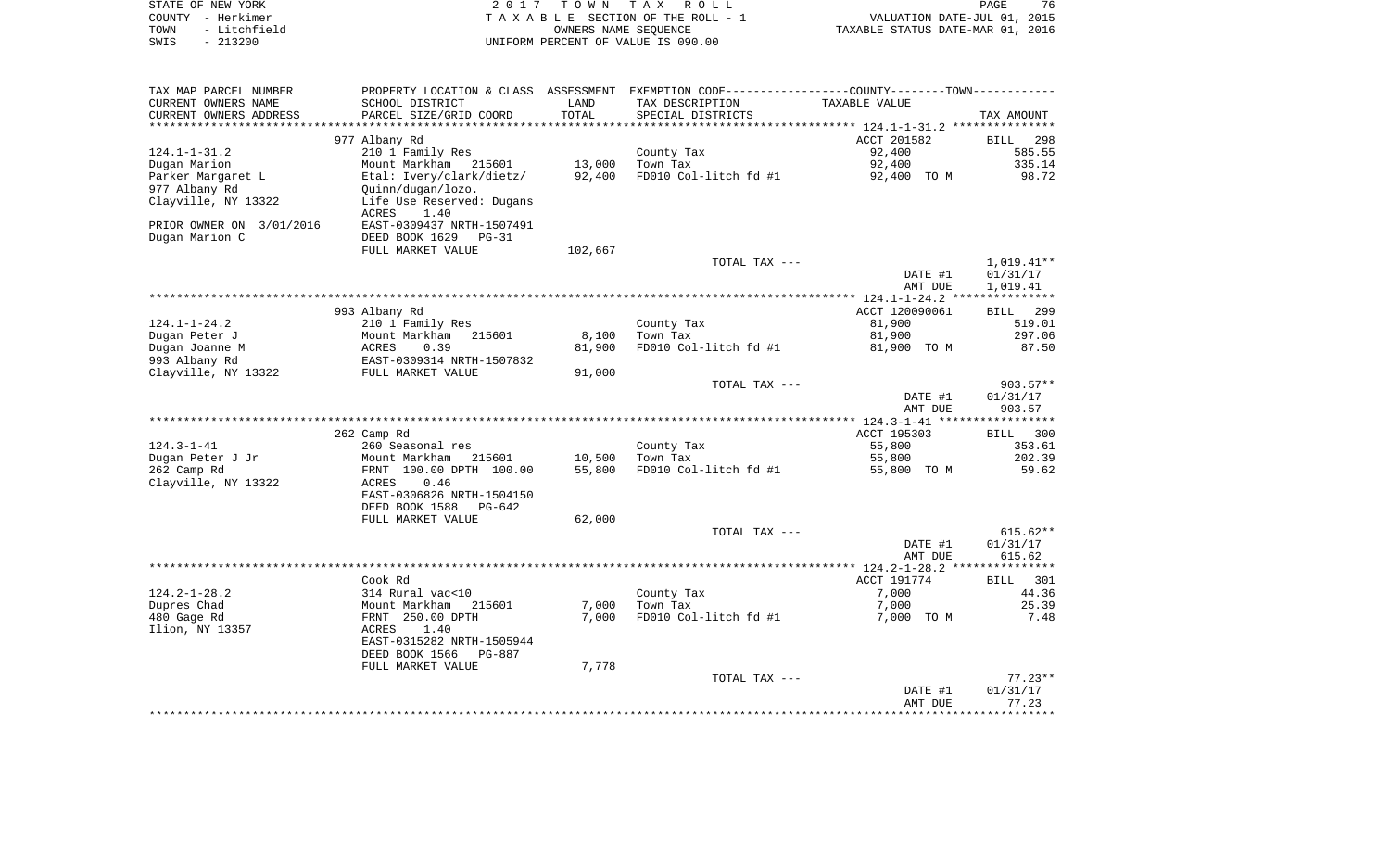| STATE OF NEW YORK<br>COUNTY - Herkimer<br>- Litchfield<br>TOWN | 2017<br>T O W N<br>T A X<br>R O L L<br>TAXABLE SECTION OF THE ROLL - 1<br>OWNERS NAME SEOUENCE |                  | 76<br>PAGE<br>VALUATION DATE-JUL 01, 2015<br>TAXABLE STATUS DATE-MAR 01, 2016                   |                                     |                    |
|----------------------------------------------------------------|------------------------------------------------------------------------------------------------|------------------|-------------------------------------------------------------------------------------------------|-------------------------------------|--------------------|
| SWIS<br>$-213200$                                              |                                                                                                |                  | UNIFORM PERCENT OF VALUE IS 090.00                                                              |                                     |                    |
| TAX MAP PARCEL NUMBER                                          |                                                                                                |                  | PROPERTY LOCATION & CLASS ASSESSMENT EXEMPTION CODE----------------COUNTY--------TOWN---------- |                                     |                    |
| CURRENT OWNERS NAME                                            | SCHOOL DISTRICT                                                                                | LAND             | TAX DESCRIPTION                                                                                 | TAXABLE VALUE                       |                    |
| CURRENT OWNERS ADDRESS                                         | PARCEL SIZE/GRID COORD                                                                         | TOTAL            | SPECIAL DISTRICTS                                                                               |                                     | TAX AMOUNT         |
|                                                                |                                                                                                |                  |                                                                                                 | ********** 124.1-1-31.2 *********** |                    |
|                                                                | 977 Albany Rd                                                                                  |                  |                                                                                                 | ACCT 201582                         | <b>BILL</b><br>298 |
| $124.1 - 1 - 31.2$                                             | 210 1 Family Res                                                                               |                  | County Tax                                                                                      | 92,400                              | 585.55             |
| Dugan Marion<br>Parker Margaret L                              | Mount Markham<br>215601<br>Etal: Ivery/clark/dietz/                                            | 13,000<br>92,400 | Town Tax<br>FD010 Col-litch fd #1                                                               | 92,400<br>92,400 TO M               | 335.14<br>98.72    |
| 977 Albany Rd                                                  | Quinn/dugan/lozo.                                                                              |                  |                                                                                                 |                                     |                    |
| Clayville, NY 13322                                            | Life Use Reserved: Dugans                                                                      |                  |                                                                                                 |                                     |                    |
|                                                                | 1.40<br>ACRES                                                                                  |                  |                                                                                                 |                                     |                    |
| PRIOR OWNER ON 3/01/2016                                       | EAST-0309437 NRTH-1507491                                                                      |                  |                                                                                                 |                                     |                    |
| Dugan Marion C                                                 | DEED BOOK 1629<br>$PG-31$                                                                      |                  |                                                                                                 |                                     |                    |
|                                                                | FULL MARKET VALUE                                                                              | 102,667          |                                                                                                 |                                     |                    |
|                                                                |                                                                                                |                  | TOTAL TAX ---                                                                                   |                                     | $1,019.41**$       |
|                                                                |                                                                                                |                  |                                                                                                 | DATE #1                             | 01/31/17           |
|                                                                |                                                                                                |                  |                                                                                                 | AMT DUE                             | 1,019.41           |
|                                                                |                                                                                                |                  |                                                                                                 | ***** $124.1 - 1 - 24.2$ ***        |                    |
|                                                                | 993 Albany Rd                                                                                  |                  |                                                                                                 | ACCT 120090061                      | 299<br><b>BILL</b> |
| $124.1 - 1 - 24.2$                                             | 210 1 Family Res                                                                               |                  | County Tax                                                                                      | 81,900                              | 519.01             |
| Dugan Peter J                                                  | Mount Markham<br>215601                                                                        | 8,100            | Town Tax                                                                                        | 81,900                              | 297.06             |
| Dugan Joanne M                                                 | 0.39<br>ACRES                                                                                  | 81,900           | FD010 Col-litch fd #1                                                                           | 81,900 TO M                         | 87.50              |
| 993 Albany Rd<br>Clayville, NY 13322                           | EAST-0309314 NRTH-1507832<br>FULL MARKET VALUE                                                 | 91,000           |                                                                                                 |                                     |                    |
|                                                                |                                                                                                |                  | TOTAL TAX ---                                                                                   |                                     | 903.57**           |
|                                                                |                                                                                                |                  |                                                                                                 | DATE #1<br>AMT DUE                  | 01/31/17<br>903.57 |
|                                                                |                                                                                                |                  |                                                                                                 |                                     |                    |
|                                                                | 262 Camp Rd                                                                                    |                  |                                                                                                 | ACCT 195303                         | 300<br>BILL        |
| $124.3 - 1 - 41$                                               | 260 Seasonal res                                                                               |                  | County Tax                                                                                      | 55,800                              | 353.61             |
| Dugan Peter J Jr<br>262 Camp Rd                                | Mount Markham 215601<br>FRNT 100.00 DPTH 100.00                                                | 10,500<br>55,800 | Town Tax<br>FD010 Col-litch fd #1                                                               | 55,800<br>55,800 TO M               | 202.39<br>59.62    |
| Clayville, NY 13322                                            | ACRES<br>0.46                                                                                  |                  |                                                                                                 |                                     |                    |
|                                                                | EAST-0306826 NRTH-1504150                                                                      |                  |                                                                                                 |                                     |                    |
|                                                                | DEED BOOK 1588<br>PG-642                                                                       |                  |                                                                                                 |                                     |                    |
|                                                                | FULL MARKET VALUE                                                                              | 62,000           |                                                                                                 |                                     |                    |
|                                                                |                                                                                                |                  | TOTAL TAX ---                                                                                   |                                     | 615.62**           |
|                                                                |                                                                                                |                  |                                                                                                 | DATE #1                             | 01/31/17           |
|                                                                |                                                                                                |                  |                                                                                                 | AMT DUE                             | 615.62             |
|                                                                | ************************************                                                           |                  | ************************                                                                        | *************** 124.2-1-28.2 ****   | ***********        |
|                                                                | Cook Rd                                                                                        |                  |                                                                                                 | ACCT 191774                         | 301<br><b>BILL</b> |
| $124.2 - 1 - 28.2$                                             | 314 Rural vac<10                                                                               |                  | County Tax                                                                                      | 7,000                               | 44.36              |
| Dupres Chad                                                    | Mount Markham<br>215601                                                                        | 7,000            | Town Tax                                                                                        | 7,000                               | 25.39              |
| 480 Gage Rd                                                    | FRNT 250.00 DPTH                                                                               | 7,000            | FD010 Col-litch fd #1                                                                           | 7,000 TO M                          | 7.48               |
| Ilion, NY 13357                                                | ACRES<br>1.40<br>EAST-0315282 NRTH-1505944                                                     |                  |                                                                                                 |                                     |                    |
|                                                                | DEED BOOK 1566<br>PG-887                                                                       |                  |                                                                                                 |                                     |                    |
|                                                                | FULL MARKET VALUE                                                                              | 7,778            |                                                                                                 |                                     |                    |
|                                                                |                                                                                                |                  | TOTAL TAX ---                                                                                   |                                     | $77.23**$          |
|                                                                |                                                                                                |                  |                                                                                                 | DATE #1                             | 01/31/17           |
|                                                                |                                                                                                |                  |                                                                                                 | AMT DUE                             | 77.23              |
|                                                                |                                                                                                |                  |                                                                                                 |                                     | * * * * * * *      |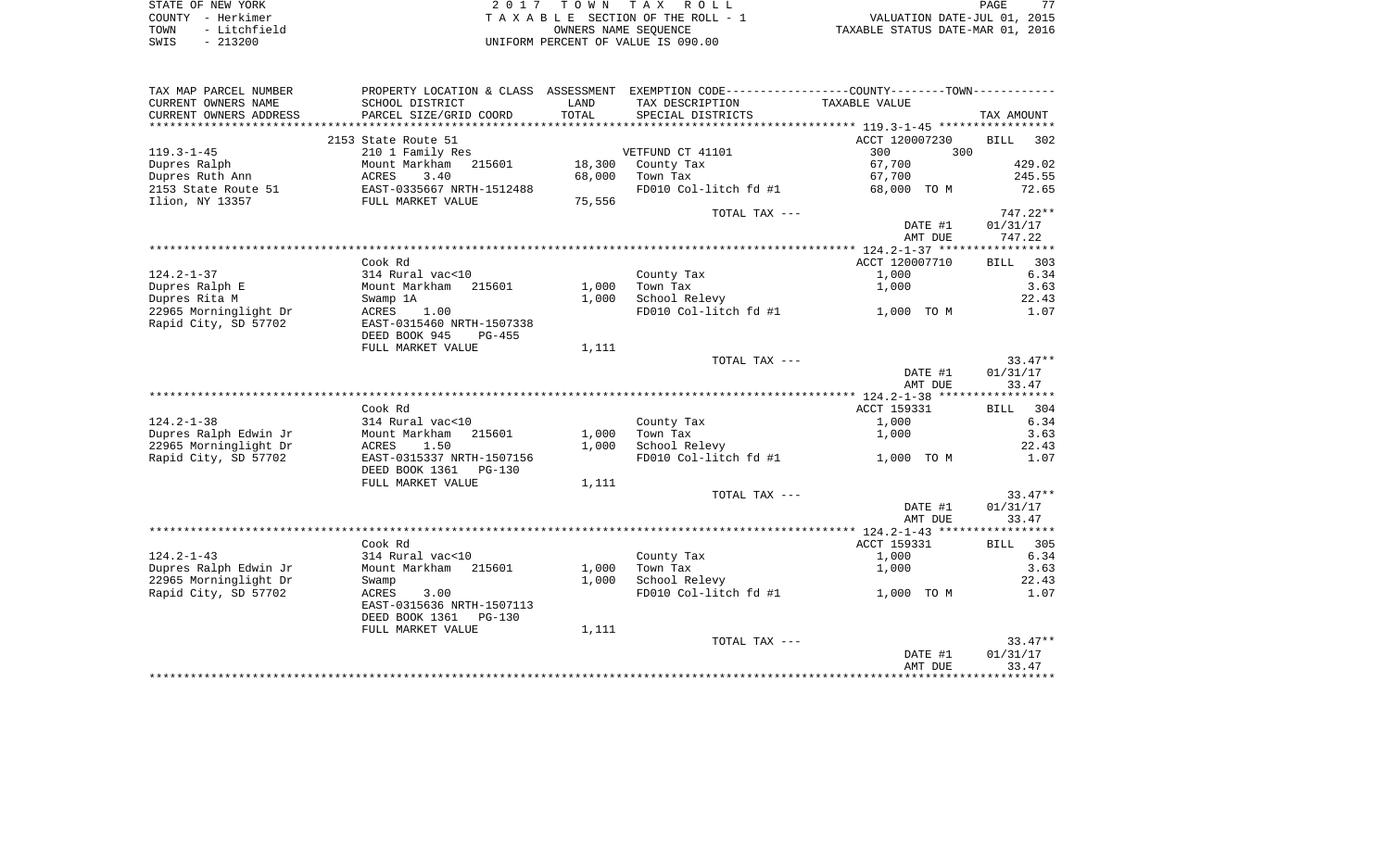| STATE OF NEW YORK    | 2017 TOWN TAX ROLL                 | 77<br>PAGE                       |
|----------------------|------------------------------------|----------------------------------|
| COUNTY - Herkimer    | TAXABLE SECTION OF THE ROLL - 1    | VALUATION DATE-JUL 01, 2015      |
| - Litchfield<br>TOWN | OWNERS NAME SEOUENCE               | TAXABLE STATUS DATE-MAR 01, 2016 |
| $-213200$<br>SWIS    | UNIFORM PERCENT OF VALUE IS 090.00 |                                  |

| TAX MAP PARCEL NUMBER                             | PROPERTY LOCATION & CLASS ASSESSMENT |        | EXEMPTION CODE----------------COUNTY-------TOWN----------- |                    |                       |
|---------------------------------------------------|--------------------------------------|--------|------------------------------------------------------------|--------------------|-----------------------|
| CURRENT OWNERS NAME                               | SCHOOL DISTRICT                      | LAND   | TAX DESCRIPTION                                            | TAXABLE VALUE      |                       |
| CURRENT OWNERS ADDRESS<br>*********************** | PARCEL SIZE/GRID COORD               | TOTAL  | SPECIAL DISTRICTS                                          |                    | TAX AMOUNT            |
|                                                   | 2153 State Route 51                  |        |                                                            | ACCT 120007230     | 302<br><b>BILL</b>    |
| $119.3 - 1 - 45$                                  | 210 1 Family Res                     |        | VETFUND CT 41101                                           | 300<br>300         |                       |
| Dupres Ralph                                      | Mount Markham<br>215601              | 18,300 | County Tax                                                 | 67,700             | 429.02                |
| Dupres Ruth Ann                                   | 3.40<br><b>ACRES</b>                 | 68,000 | Town Tax                                                   | 67,700             | 245.55                |
| 2153 State Route 51                               | EAST-0335667 NRTH-1512488            |        | FD010 Col-litch fd #1                                      | 68,000 TO M        | 72.65                 |
| Ilion, NY 13357                                   | FULL MARKET VALUE                    | 75,556 |                                                            |                    |                       |
|                                                   |                                      |        | TOTAL TAX ---                                              |                    | 747.22**              |
|                                                   |                                      |        |                                                            | DATE #1            | 01/31/17              |
|                                                   |                                      |        |                                                            | AMT DUE            | 747.22                |
|                                                   |                                      |        |                                                            |                    |                       |
|                                                   | Cook Rd                              |        |                                                            | ACCT 120007710     | 303<br>BILL           |
| $124.2 - 1 - 37$                                  | 314 Rural vac<10                     |        | County Tax                                                 | 1,000              | 6.34                  |
| Dupres Ralph E                                    | Mount Markham<br>215601              | 1,000  | Town Tax                                                   | 1,000              | 3.63                  |
| Dupres Rita M                                     | Swamp 1A                             | 1,000  | School Relevy                                              |                    | 22.43                 |
| 22965 Morninglight Dr                             | <b>ACRES</b><br>1.00                 |        | FD010 Col-litch fd #1                                      | 1,000 TO M         | 1.07                  |
| Rapid City, SD 57702                              | EAST-0315460 NRTH-1507338            |        |                                                            |                    |                       |
|                                                   | DEED BOOK 945<br>$PG-455$            |        |                                                            |                    |                       |
|                                                   | FULL MARKET VALUE                    | 1,111  |                                                            |                    |                       |
|                                                   |                                      |        | TOTAL TAX ---                                              |                    | $33.47**$             |
|                                                   |                                      |        |                                                            | DATE #1<br>AMT DUE | 01/31/17<br>33.47     |
|                                                   |                                      |        |                                                            |                    |                       |
|                                                   | Cook Rd                              |        |                                                            | ACCT 159331        | 304<br><b>BILL</b>    |
| $124.2 - 1 - 38$                                  | 314 Rural vac<10                     |        | County Tax                                                 | 1,000              | 6.34                  |
| Dupres Ralph Edwin Jr                             | Mount Markham<br>215601              | 1,000  | Town Tax                                                   | 1,000              | 3.63                  |
| 22965 Morninglight Dr                             | ACRES<br>1.50                        | 1,000  | School Relevy                                              |                    | 22.43                 |
| Rapid City, SD 57702                              | EAST-0315337 NRTH-1507156            |        | FD010 Col-litch fd #1                                      | 1,000 TO M         | 1.07                  |
|                                                   | DEED BOOK 1361<br>PG-130             |        |                                                            |                    |                       |
|                                                   | FULL MARKET VALUE                    | 1,111  |                                                            |                    |                       |
|                                                   |                                      |        | TOTAL TAX ---                                              |                    | $33.47**$             |
|                                                   |                                      |        |                                                            | DATE #1            | 01/31/17              |
|                                                   |                                      |        |                                                            | AMT DUE            | 33.47                 |
|                                                   |                                      |        |                                                            |                    |                       |
|                                                   | Cook Rd                              |        |                                                            | ACCT 159331        | 305<br>BILL           |
| $124.2 - 1 - 43$                                  | 314 Rural vac<10                     |        | County Tax                                                 | 1,000              | 6.34                  |
| Dupres Ralph Edwin Jr                             | Mount Markham 215601                 | 1,000  | Town Tax                                                   | 1,000              | 3.63                  |
| 22965 Morninglight Dr                             | Swamp                                | 1,000  | School Relevy                                              |                    | 22.43                 |
| Rapid City, SD 57702                              | <b>ACRES</b><br>3.00                 |        | FD010 Col-litch fd #1                                      | 1,000 TO M         | 1.07                  |
|                                                   | EAST-0315636 NRTH-1507113            |        |                                                            |                    |                       |
|                                                   | DEED BOOK 1361<br>PG-130             |        |                                                            |                    |                       |
|                                                   | FULL MARKET VALUE                    | 1,111  |                                                            |                    |                       |
|                                                   |                                      |        | TOTAL TAX ---                                              |                    | $33.47**$<br>01/31/17 |
|                                                   |                                      |        |                                                            | DATE #1<br>AMT DUE | 33.47                 |
|                                                   |                                      |        |                                                            |                    |                       |
|                                                   |                                      |        |                                                            |                    |                       |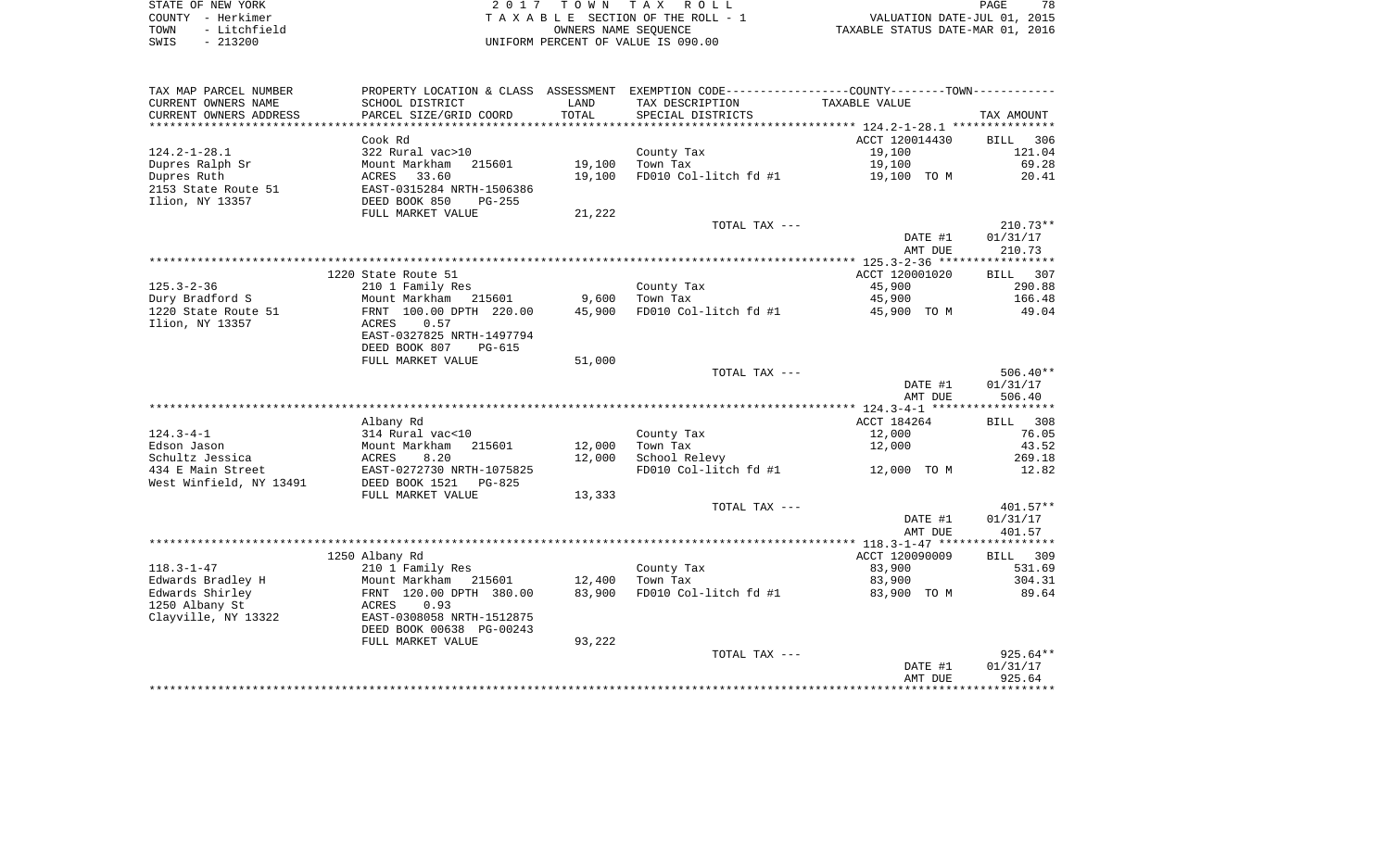| STATE OF NEW YORK |  |              |  |
|-------------------|--|--------------|--|
| COUNTY - Herkimer |  |              |  |
| TOWN              |  | - Litchfield |  |
| SWTS              |  | $-213200$    |  |

2017 TOWN TAX ROLL TA X A B L E SECTION OF THE ROLL - 1 TOWN - Litchfield OWNERS NAME SEQUENCE TAXABLE STATUS DATE-MAR 01, 2016 SWIS - 213200 UNIFORM PERCENT OF VALUE IS 090.00

| TAX MAP PARCEL NUMBER                            | PROPERTY LOCATION & CLASS ASSESSMENT               |                  | EXEMPTION CODE----------------COUNTY-------TOWN----------- |                       |                  |
|--------------------------------------------------|----------------------------------------------------|------------------|------------------------------------------------------------|-----------------------|------------------|
| CURRENT OWNERS NAME                              | SCHOOL DISTRICT                                    | LAND             | TAX DESCRIPTION                                            | TAXABLE VALUE         |                  |
| CURRENT OWNERS ADDRESS<br>********************** | PARCEL SIZE/GRID COORD                             | TOTAL            | SPECIAL DISTRICTS                                          |                       | TAX AMOUNT       |
|                                                  | Cook Rd                                            |                  |                                                            | ACCT 120014430        | BILL<br>306      |
| $124.2 - 1 - 28.1$                               | 322 Rural vac>10                                   |                  | County Tax                                                 | 19,100                | 121.04           |
| Dupres Ralph Sr                                  | Mount Markham<br>215601                            | 19,100           | Town Tax                                                   | 19,100                | 69.28            |
| Dupres Ruth                                      | 33.60<br>ACRES                                     | 19,100           | FD010 Col-litch fd #1                                      | 19,100 TO M           | 20.41            |
| 2153 State Route 51                              | EAST-0315284 NRTH-1506386                          |                  |                                                            |                       |                  |
| Ilion, NY 13357                                  | DEED BOOK 850<br>$PG-255$                          |                  |                                                            |                       |                  |
|                                                  | FULL MARKET VALUE                                  | 21,222           |                                                            |                       |                  |
|                                                  |                                                    |                  | TOTAL TAX ---                                              |                       | $210.73**$       |
|                                                  |                                                    |                  |                                                            | DATE #1               | 01/31/17         |
|                                                  |                                                    |                  |                                                            | AMT DUE               | 210.73           |
|                                                  | 1220 State Route 51                                |                  |                                                            | ACCT 120001020        | 307<br>BILL      |
| $125.3 - 2 - 36$                                 | 210 1 Family Res                                   |                  | County Tax                                                 | 45,900                | 290.88           |
| Dury Bradford S                                  | Mount Markham<br>215601                            | 9,600            | Town Tax                                                   | 45,900                | 166.48           |
| 1220 State Route 51                              | FRNT 100.00 DPTH 220.00                            | 45,900           | FD010 Col-litch fd #1                                      | 45,900 TO M           | 49.04            |
| Ilion, NY 13357                                  | 0.57<br>ACRES                                      |                  |                                                            |                       |                  |
|                                                  | EAST-0327825 NRTH-1497794                          |                  |                                                            |                       |                  |
|                                                  | DEED BOOK 807<br>PG-615                            |                  |                                                            |                       |                  |
|                                                  | FULL MARKET VALUE                                  | 51,000           |                                                            |                       |                  |
|                                                  |                                                    |                  | TOTAL TAX ---                                              |                       | $506.40**$       |
|                                                  |                                                    |                  |                                                            | DATE #1               | 01/31/17         |
|                                                  |                                                    |                  |                                                            | AMT DUE               | 506.40           |
|                                                  | Albany Rd                                          |                  |                                                            | ACCT 184264           | BILL 308         |
| $124.3 - 4 - 1$                                  | 314 Rural vac<10                                   |                  | County Tax                                                 | 12,000                | 76.05            |
| Edson Jason                                      | Mount Markham<br>215601                            | 12,000           | Town Tax                                                   | 12,000                | 43.52            |
| Schultz Jessica                                  | ACRES<br>8.20                                      | 12,000           | School Relevy                                              |                       | 269.18           |
| 434 E Main Street                                | EAST-0272730 NRTH-1075825                          |                  | FD010 Col-litch fd #1                                      | 12,000 TO M           | 12.82            |
| West Winfield, NY 13491                          | DEED BOOK 1521<br>PG-825                           |                  |                                                            |                       |                  |
|                                                  | FULL MARKET VALUE                                  | 13,333           |                                                            |                       |                  |
|                                                  |                                                    |                  | TOTAL TAX ---                                              |                       | $401.57**$       |
|                                                  |                                                    |                  |                                                            | DATE #1               | 01/31/17         |
|                                                  |                                                    |                  |                                                            | AMT DUE               | 401.57           |
|                                                  |                                                    |                  |                                                            |                       |                  |
|                                                  | 1250 Albany Rd                                     |                  |                                                            | ACCT 120090009        | BILL 309         |
| $118.3 - 1 - 47$<br>Edwards Bradley H            | 210 1 Family Res                                   |                  | County Tax<br>Town Tax                                     | 83,900                | 531.69<br>304.31 |
| Edwards Shirley                                  | Mount Markham<br>215601<br>FRNT 120.00 DPTH 380.00 | 12,400<br>83,900 | FD010 Col-litch fd #1                                      | 83,900<br>83,900 TO M | 89.64            |
| 1250 Albany St                                   | 0.93<br>ACRES                                      |                  |                                                            |                       |                  |
| Clayville, NY 13322                              | EAST-0308058 NRTH-1512875                          |                  |                                                            |                       |                  |
|                                                  | DEED BOOK 00638 PG-00243                           |                  |                                                            |                       |                  |
|                                                  | FULL MARKET VALUE                                  | 93,222           |                                                            |                       |                  |
|                                                  |                                                    |                  | TOTAL TAX ---                                              |                       | $925.64**$       |
|                                                  |                                                    |                  |                                                            | DATE #1               | 01/31/17         |
|                                                  |                                                    |                  |                                                            | AMT DUE               | 925.64           |
|                                                  |                                                    |                  |                                                            |                       |                  |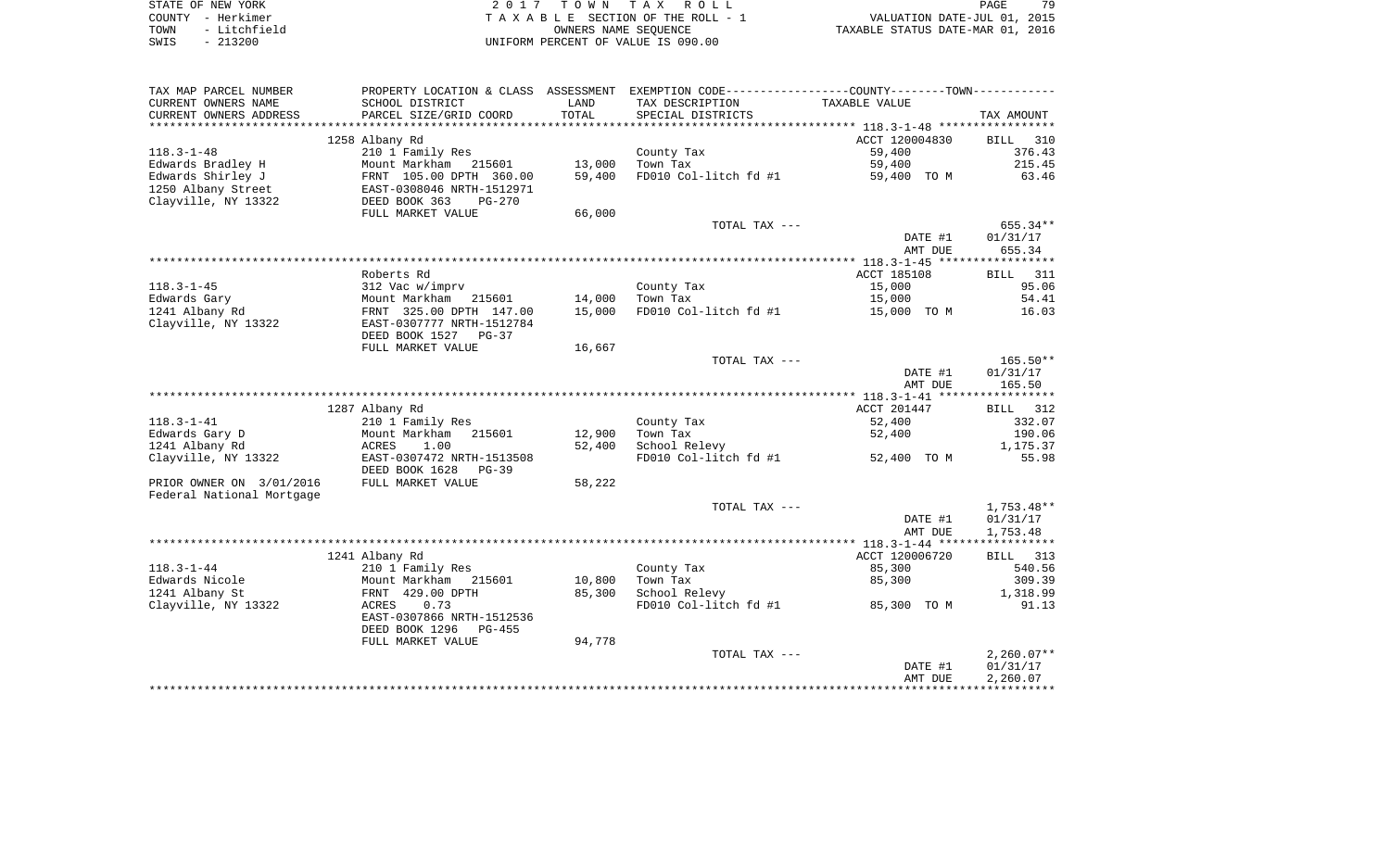|      | STATE OF NEW YORK | 2017 TOWN TAX ROLL                 | 79<br>PAGE                       |
|------|-------------------|------------------------------------|----------------------------------|
|      | COUNTY - Herkimer | TAXABLE SECTION OF THE ROLL - 1    | VALUATION DATE-JUL 01, 2015      |
| TOWN | - Litchfield      | OWNERS NAME SEOUENCE               | TAXABLE STATUS DATE-MAR 01, 2016 |
| SWIS | $-213200$         | UNIFORM PERCENT OF VALUE IS 090.00 |                                  |

|  | PAGE.                          | 79 |
|--|--------------------------------|----|
|  | VALUATION DATE-JUL 01, 2015    |    |
|  | XABLE STATUS DATE-MAR 01, 2016 |    |

| TAX MAP PARCEL NUMBER                     | PROPERTY LOCATION & CLASS ASSESSMENT                   |        | EXEMPTION CODE-----------------COUNTY--------TOWN----------- |                |                          |
|-------------------------------------------|--------------------------------------------------------|--------|--------------------------------------------------------------|----------------|--------------------------|
| CURRENT OWNERS NAME                       | SCHOOL DISTRICT                                        | LAND   | TAX DESCRIPTION                                              | TAXABLE VALUE  |                          |
| CURRENT OWNERS ADDRESS                    | PARCEL SIZE/GRID COORD                                 | TOTAL  | SPECIAL DISTRICTS                                            |                | TAX AMOUNT               |
| ******************                        |                                                        |        |                                                              |                |                          |
|                                           | 1258 Albany Rd                                         |        |                                                              | ACCT 120004830 | 310<br><b>BILL</b>       |
| $118.3 - 1 - 48$                          | 210 1 Family Res                                       |        | County Tax                                                   | 59,400         | 376.43                   |
| Edwards Bradley H                         | Mount Markham<br>215601                                | 13,000 | Town Tax                                                     | 59,400         | 215.45                   |
| Edwards Shirley J                         | FRNT 105.00 DPTH 360.00                                | 59,400 | FD010 Col-litch fd #1                                        | 59,400 TO M    | 63.46                    |
| 1250 Albany Street<br>Clayville, NY 13322 | EAST-0308046 NRTH-1512971<br>DEED BOOK 363<br>$PG-270$ |        |                                                              |                |                          |
|                                           | FULL MARKET VALUE                                      | 66,000 |                                                              |                |                          |
|                                           |                                                        |        | TOTAL TAX ---                                                |                | 655.34**                 |
|                                           |                                                        |        |                                                              | DATE #1        | 01/31/17                 |
|                                           |                                                        |        |                                                              | AMT DUE        | 655.34                   |
|                                           |                                                        |        |                                                              |                |                          |
|                                           | Roberts Rd                                             |        |                                                              | ACCT 185108    | BILL 311                 |
| $118.3 - 1 - 45$                          | 312 Vac w/imprv                                        |        | County Tax                                                   | 15,000         | 95.06                    |
| Edwards Gary                              | Mount Markham<br>215601                                | 14,000 | Town Tax                                                     | 15,000         | 54.41                    |
| 1241 Albany Rd                            | FRNT 325.00 DPTH 147.00                                | 15,000 | FD010 Col-litch fd #1                                        | 15,000 TO M    | 16.03                    |
| Clayville, NY 13322                       | EAST-0307777 NRTH-1512784                              |        |                                                              |                |                          |
|                                           | DEED BOOK 1527<br>$PG-37$                              |        |                                                              |                |                          |
|                                           | FULL MARKET VALUE                                      | 16,667 |                                                              |                |                          |
|                                           |                                                        |        | TOTAL TAX ---                                                |                | 165.50**                 |
|                                           |                                                        |        |                                                              | DATE #1        | 01/31/17                 |
|                                           |                                                        |        |                                                              | AMT DUE        | 165.50                   |
|                                           |                                                        |        |                                                              |                |                          |
|                                           | 1287 Albany Rd                                         |        |                                                              | ACCT 201447    | BILL 312                 |
| $118.3 - 1 - 41$                          | 210 1 Family Res                                       |        | County Tax                                                   | 52,400         | 332.07                   |
| Edwards Gary D                            | Mount Markham<br>215601                                | 12,900 | Town Tax                                                     | 52,400         | 190.06                   |
| 1241 Albany Rd                            | 1.00<br>ACRES                                          | 52,400 | School Relevy                                                |                | 1,175.37                 |
| Clayville, NY 13322                       | EAST-0307472 NRTH-1513508<br>DEED BOOK 1628<br>$PG-39$ |        | FD010 Col-litch fd #1                                        | 52,400 TO M    | 55.98                    |
| PRIOR OWNER ON 3/01/2016                  | FULL MARKET VALUE                                      | 58,222 |                                                              |                |                          |
| Federal National Mortgage                 |                                                        |        |                                                              |                |                          |
|                                           |                                                        |        | TOTAL TAX ---                                                |                | 1,753.48**               |
|                                           |                                                        |        |                                                              | DATE #1        | 01/31/17                 |
|                                           |                                                        |        |                                                              | AMT DUE        | 1,753.48                 |
|                                           |                                                        |        |                                                              |                |                          |
|                                           | 1241 Albany Rd                                         |        |                                                              | ACCT 120006720 | BILL 313                 |
| $118.3 - 1 - 44$                          | 210 1 Family Res                                       |        | County Tax                                                   | 85,300         | 540.56                   |
| Edwards Nicole                            | Mount Markham<br>215601                                | 10,800 | Town Tax                                                     | 85,300         | 309.39                   |
| 1241 Albany St                            | FRNT 429.00 DPTH                                       | 85,300 | School Relevy                                                |                | 1,318.99                 |
| Clayville, NY 13322                       | 0.73<br>ACRES                                          |        | FD010 Col-litch fd #1                                        | 85,300 TO M    | 91.13                    |
|                                           | EAST-0307866 NRTH-1512536                              |        |                                                              |                |                          |
|                                           | DEED BOOK 1296<br>$PG-455$                             |        |                                                              |                |                          |
|                                           | FULL MARKET VALUE                                      | 94,778 |                                                              |                |                          |
|                                           |                                                        |        | TOTAL TAX ---                                                | DATE #1        | $2,260.07**$<br>01/31/17 |
|                                           |                                                        |        |                                                              | AMT DUE        | 2,260.07                 |
|                                           |                                                        |        |                                                              |                |                          |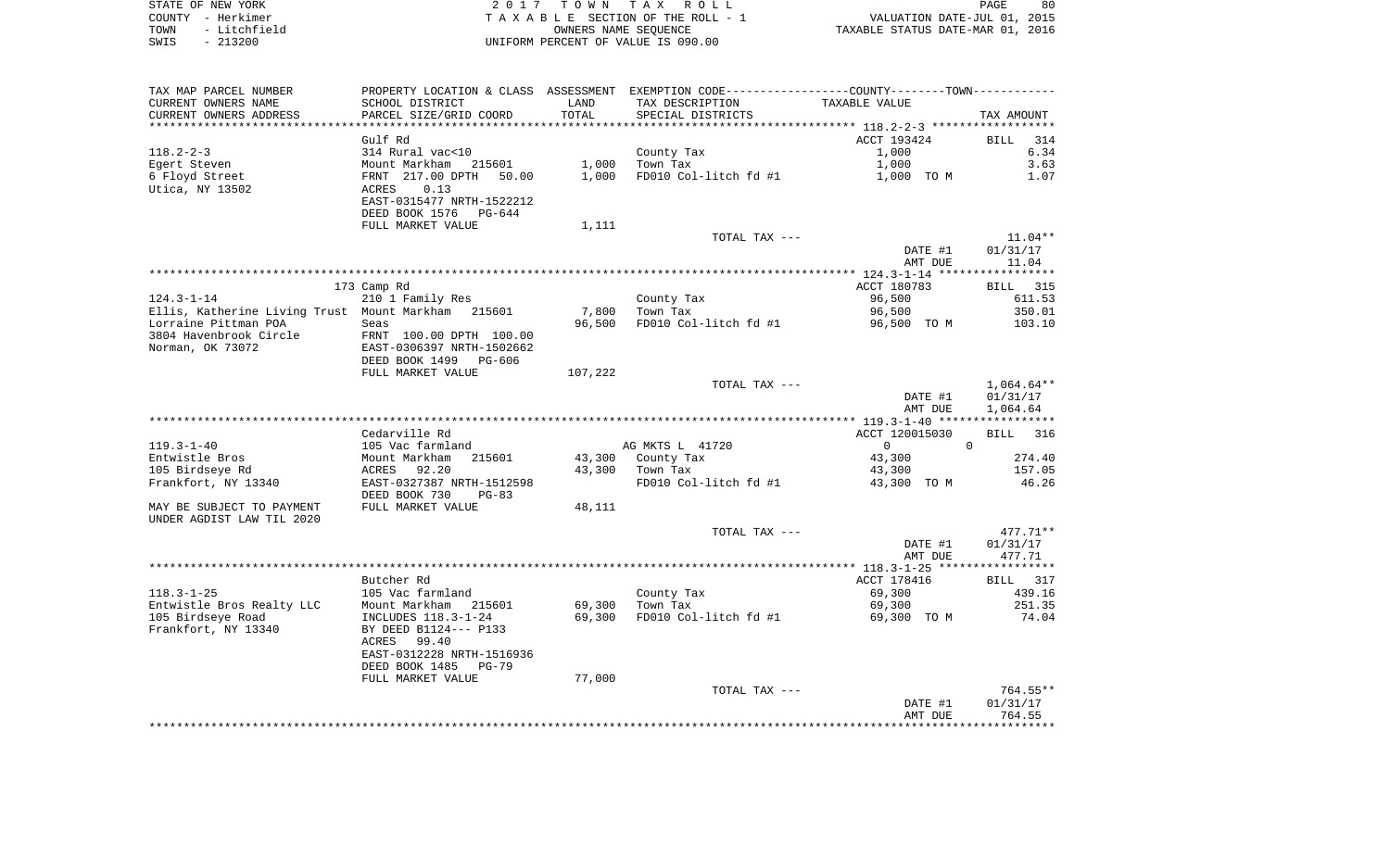| STATE OF NEW YORK |  |              |  |  |
|-------------------|--|--------------|--|--|
| COUNTY - Herkimer |  |              |  |  |
| TOWN              |  | - Litchfield |  |  |
| ח די ק            |  | $-213200$    |  |  |

2017 TOWN TAX ROLL TA X A B L E SECTION OF THE ROLL - 1 TO A CONSERVE A CONSERVATION OF THE ROLL - 1 WALUATION DATE-JUL 01, 2015<br>
TAXABLE STATUS DATE-MAR 01, 2016 SWIS - 213200 UNIFORM PERCENT OF VALUE IS 090.00

| TAX MAP PARCEL NUMBER                                  |                                                                                                                        |         | PROPERTY LOCATION & CLASS ASSESSMENT EXEMPTION CODE---------------COUNTY-------TOWN---------- |                    |                                      |
|--------------------------------------------------------|------------------------------------------------------------------------------------------------------------------------|---------|-----------------------------------------------------------------------------------------------|--------------------|--------------------------------------|
| CURRENT OWNERS NAME                                    | SCHOOL DISTRICT                                                                                                        | LAND    | TAX DESCRIPTION                                                                               | TAXABLE VALUE      |                                      |
| CURRENT OWNERS ADDRESS                                 | PARCEL SIZE/GRID COORD                                                                                                 | TOTAL   | SPECIAL DISTRICTS                                                                             |                    | TAX AMOUNT                           |
|                                                        |                                                                                                                        |         |                                                                                               |                    |                                      |
|                                                        | Gulf Rd                                                                                                                |         |                                                                                               | ACCT 193424        | BILL<br>314                          |
| $118.2 - 2 - 3$                                        | 314 Rural vac<10                                                                                                       |         | County Tax                                                                                    | 1,000              | 6.34                                 |
| Egert Steven                                           | Mount Markham<br>215601                                                                                                | 1,000   | Town Tax                                                                                      | 1,000              | 3.63                                 |
| 6 Floyd Street                                         | FRNT 217.00 DPTH<br>50.00                                                                                              | 1,000   | FD010 Col-litch fd #1                                                                         | 1,000 TO M         | 1.07                                 |
| Utica, NY 13502                                        | 0.13<br>ACRES<br>EAST-0315477 NRTH-1522212<br>DEED BOOK 1576<br>PG-644                                                 |         |                                                                                               |                    |                                      |
|                                                        | FULL MARKET VALUE                                                                                                      | 1,111   |                                                                                               |                    |                                      |
|                                                        |                                                                                                                        |         | TOTAL TAX ---                                                                                 | DATE #1<br>AMT DUE | $11.04**$<br>01/31/17<br>11.04       |
|                                                        |                                                                                                                        |         |                                                                                               |                    |                                      |
|                                                        | 173 Camp Rd                                                                                                            |         |                                                                                               | ACCT 180783        | BILL 315                             |
| $124.3 - 1 - 14$                                       | 210 1 Family Res                                                                                                       |         | County Tax                                                                                    | 96,500             | 611.53                               |
| Ellis, Katherine Living Trust Mount Markham 215601     |                                                                                                                        | 7,800   | Town Tax                                                                                      | 96,500             | 350.01                               |
| Lorraine Pittman POA                                   | Seas                                                                                                                   | 96,500  | FD010 Col-litch fd #1                                                                         | 96,500 TO M        | 103.10                               |
| 3804 Havenbrook Circle<br>Norman, OK 73072             | FRNT 100.00 DPTH 100.00<br>EAST-0306397 NRTH-1502662<br>DEED BOOK 1499 PG-606                                          |         |                                                                                               |                    |                                      |
|                                                        | FULL MARKET VALUE                                                                                                      | 107,222 |                                                                                               |                    |                                      |
|                                                        |                                                                                                                        |         | TOTAL TAX ---                                                                                 | DATE #1<br>AMT DUE | $1,064.64**$<br>01/31/17<br>1,064.64 |
|                                                        |                                                                                                                        |         |                                                                                               |                    |                                      |
|                                                        | Cedarville Rd                                                                                                          |         |                                                                                               | ACCT 120015030     | BILL<br>316                          |
| $119.3 - 1 - 40$                                       | 105 Vac farmland                                                                                                       |         | AG MKTS L 41720                                                                               | 0                  | $\Omega$                             |
| Entwistle Bros                                         | Mount Markham<br>215601                                                                                                | 43,300  | County Tax                                                                                    | 43,300             | 274.40                               |
| 105 Birdseye Rd                                        | ACRES 92.20                                                                                                            | 43,300  | Town Tax                                                                                      | 43,300             | 157.05                               |
| Frankfort, NY 13340                                    | EAST-0327387 NRTH-1512598<br>DEED BOOK 730<br>$PG-83$                                                                  |         | FD010 Col-litch fd #1                                                                         | 43,300 TO M        | 46.26                                |
| MAY BE SUBJECT TO PAYMENT<br>UNDER AGDIST LAW TIL 2020 | FULL MARKET VALUE                                                                                                      | 48,111  |                                                                                               |                    |                                      |
|                                                        |                                                                                                                        |         | TOTAL TAX ---                                                                                 | DATE #1<br>AMT DUE | $477.71**$<br>01/31/17<br>477.71     |
|                                                        |                                                                                                                        |         |                                                                                               |                    |                                      |
|                                                        | Butcher Rd                                                                                                             |         |                                                                                               | ACCT 178416        | BILL 317                             |
| $118.3 - 1 - 25$                                       | 105 Vac farmland                                                                                                       |         | County Tax                                                                                    | 69,300             | 439.16                               |
| Entwistle Bros Realty LLC                              | Mount Markham 215601                                                                                                   | 69,300  | Town Tax                                                                                      | 69,300             | 251.35                               |
| 105 Birdseye Road<br>Frankfort, NY 13340               | INCLUDES 118.3-1-24<br>BY DEED B1124--- P133<br>ACRES<br>99.40<br>EAST-0312228 NRTH-1516936<br>DEED BOOK 1485<br>PG-79 | 69,300  | FD010 Col-litch fd #1                                                                         | 69,300 TO M        | 74.04                                |
|                                                        | FULL MARKET VALUE                                                                                                      | 77,000  |                                                                                               |                    |                                      |
|                                                        |                                                                                                                        |         | TOTAL TAX ---                                                                                 |                    | $764.55**$                           |
|                                                        |                                                                                                                        |         |                                                                                               | DATE #1<br>AMT DUE | 01/31/17<br>764.55                   |
|                                                        |                                                                                                                        |         |                                                                                               |                    |                                      |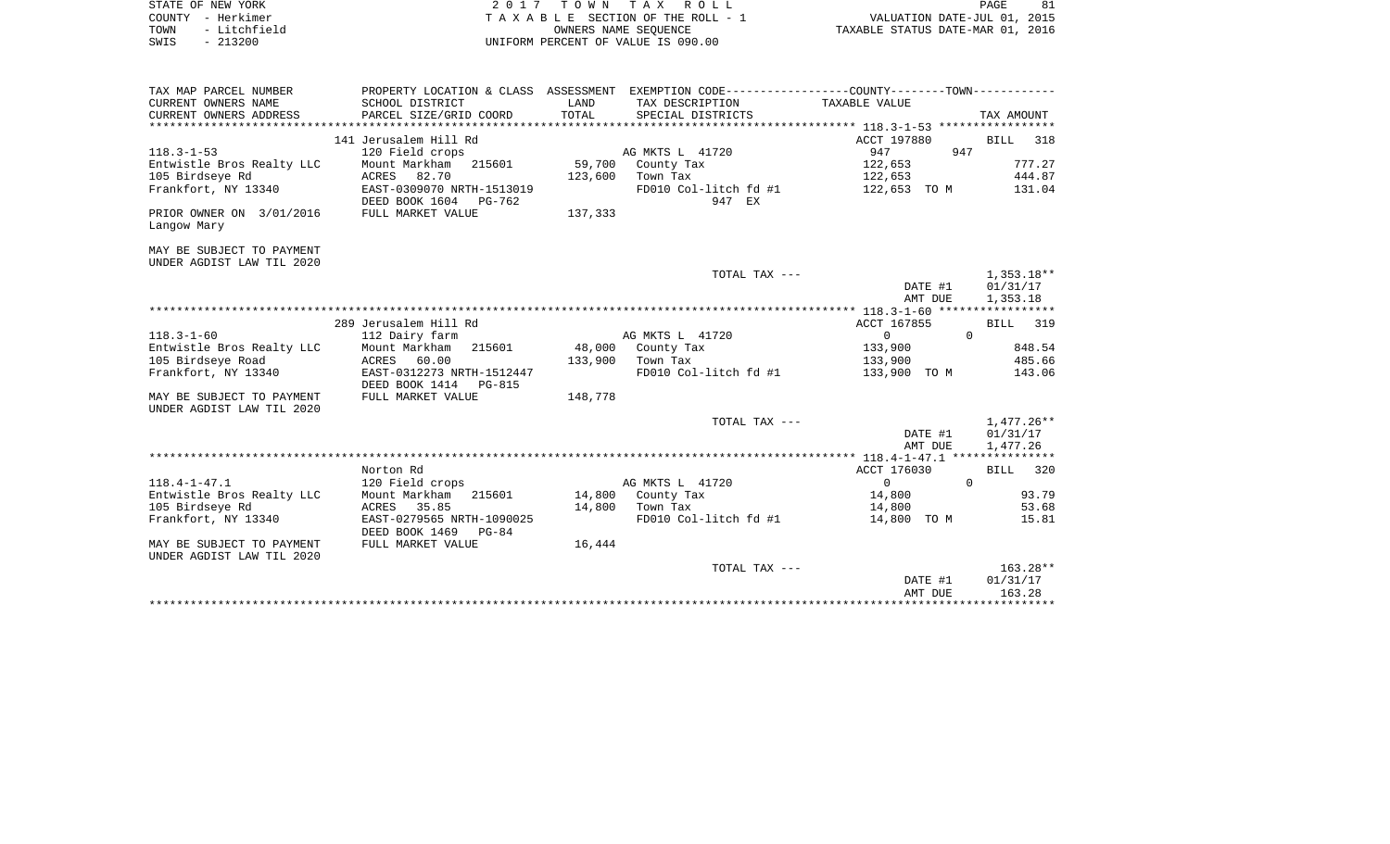| STATE OF NEW YORK                                      | 2017 TOWN TAX ROLL                         |         |                                                                                               |                                  | 81<br>PAGE         |
|--------------------------------------------------------|--------------------------------------------|---------|-----------------------------------------------------------------------------------------------|----------------------------------|--------------------|
| COUNTY - Herkimer                                      | TAXABLE SECTION OF THE ROLL - 1            |         |                                                                                               | VALUATION DATE-JUL 01, 2015      |                    |
| - Litchfield<br>TOWN                                   | OWNERS NAME SEOUENCE                       |         |                                                                                               | TAXABLE STATUS DATE-MAR 01, 2016 |                    |
| $-213200$<br>SWIS                                      |                                            |         | UNIFORM PERCENT OF VALUE IS 090.00                                                            |                                  |                    |
|                                                        |                                            |         |                                                                                               |                                  |                    |
|                                                        |                                            |         |                                                                                               |                                  |                    |
| TAX MAP PARCEL NUMBER                                  |                                            |         | PROPERTY LOCATION & CLASS ASSESSMENT EXEMPTION CODE---------------COUNTY-------TOWN---------- |                                  |                    |
| CURRENT OWNERS NAME                                    | SCHOOL DISTRICT                            | LAND    | TAX DESCRIPTION                                                                               | TAXABLE VALUE                    |                    |
| CURRENT OWNERS ADDRESS                                 | PARCEL SIZE/GRID COORD                     | TOTAL   | SPECIAL DISTRICTS                                                                             |                                  | TAX AMOUNT         |
|                                                        |                                            |         |                                                                                               |                                  |                    |
| $118.3 - 1 - 53$                                       | 141 Jerusalem Hill Rd<br>120 Field crops   |         | AG MKTS L 41720                                                                               | ACCT 197880<br>947<br>947        | <b>BILL</b><br>318 |
| Entwistle Bros Realty LLC                              | Mount Markham 215601                       | 59,700  | County Tax                                                                                    | 122,653                          | 777.27             |
| 105 Birdseye Rd                                        | ACRES 82.70                                |         | 123,600 Town Tax                                                                              | 122,653                          | 444.87             |
| Frankfort, NY 13340                                    | EAST-0309070 NRTH-1513019                  |         | FD010 Col-litch fd #1                                                                         | 122,653 TO M                     | 131.04             |
|                                                        | DEED BOOK 1604 PG-762                      |         | 947 EX                                                                                        |                                  |                    |
| PRIOR OWNER ON 3/01/2016                               | FULL MARKET VALUE                          | 137,333 |                                                                                               |                                  |                    |
| Langow Mary                                            |                                            |         |                                                                                               |                                  |                    |
|                                                        |                                            |         |                                                                                               |                                  |                    |
| MAY BE SUBJECT TO PAYMENT<br>UNDER AGDIST LAW TIL 2020 |                                            |         |                                                                                               |                                  |                    |
|                                                        |                                            |         | TOTAL TAX ---                                                                                 |                                  | $1,353.18**$       |
|                                                        |                                            |         |                                                                                               | DATE #1                          | 01/31/17           |
|                                                        |                                            |         |                                                                                               | AMT DUE                          | 1,353.18           |
|                                                        |                                            |         |                                                                                               |                                  |                    |
|                                                        | 289 Jerusalem Hill Rd                      |         |                                                                                               | ACCT 167855                      | BILL 319           |
| $118.3 - 1 - 60$                                       | 112 Dairy farm                             |         | AG MKTS L 41720                                                                               | $\Omega$<br>$\Omega$             |                    |
| Entwistle Bros Realty LLC                              | Mount Markham 215601                       | 48,000  | County Tax                                                                                    | 133,900                          | 848.54             |
| 105 Birdseye Road                                      | 60.00<br>ACRES                             |         | 133,900 Town Tax                                                                              | 133,900                          | 485.66             |
| Frankfort, NY 13340                                    | EAST-0312273 NRTH-1512447                  |         | FD010 Col-litch fd #1                                                                         | 133,900 TO M                     | 143.06             |
| MAY BE SUBJECT TO PAYMENT                              | DEED BOOK 1414 PG-815<br>FULL MARKET VALUE | 148,778 |                                                                                               |                                  |                    |
| UNDER AGDIST LAW TIL 2020                              |                                            |         |                                                                                               |                                  |                    |
|                                                        |                                            |         | TOTAL TAX ---                                                                                 |                                  | $1,477.26**$       |
|                                                        |                                            |         |                                                                                               | DATE #1                          | 01/31/17           |
|                                                        |                                            |         |                                                                                               | AMT DUE                          | 1,477.26           |
|                                                        |                                            |         |                                                                                               |                                  |                    |
|                                                        | Norton Rd                                  |         |                                                                                               | ACCT 176030                      | BILL 320           |
| $118.4 - 1 - 47.1$                                     | 120 Field crops                            |         | AG MKTS L 41720                                                                               | $\mathbf{0}$<br>$\Omega$         |                    |
| Entwistle Bros Realty LLC                              | Mount Markham<br>215601                    | 14,800  | County Tax                                                                                    | 14,800                           | 93.79              |
| 105 Birdseye Rd<br>Frankfort, NY 13340                 | ACRES 35.85<br>EAST-0279565 NRTH-1090025   |         | 14,800 Town Tax<br>FD010 Col-litch fd #1                                                      | 14,800<br>14,800 TO M            | 53.68<br>15.81     |
|                                                        | DEED BOOK 1469 PG-84                       |         |                                                                                               |                                  |                    |
| MAY BE SUBJECT TO PAYMENT                              | FULL MARKET VALUE                          | 16,444  |                                                                                               |                                  |                    |
| UNDER AGDIST LAW TIL 2020                              |                                            |         |                                                                                               |                                  |                    |
|                                                        |                                            |         | TOTAL TAX ---                                                                                 |                                  | 163.28**           |
|                                                        |                                            |         |                                                                                               | DATE #1                          | 01/31/17           |
|                                                        |                                            |         |                                                                                               | AMT DUE                          | 163.28             |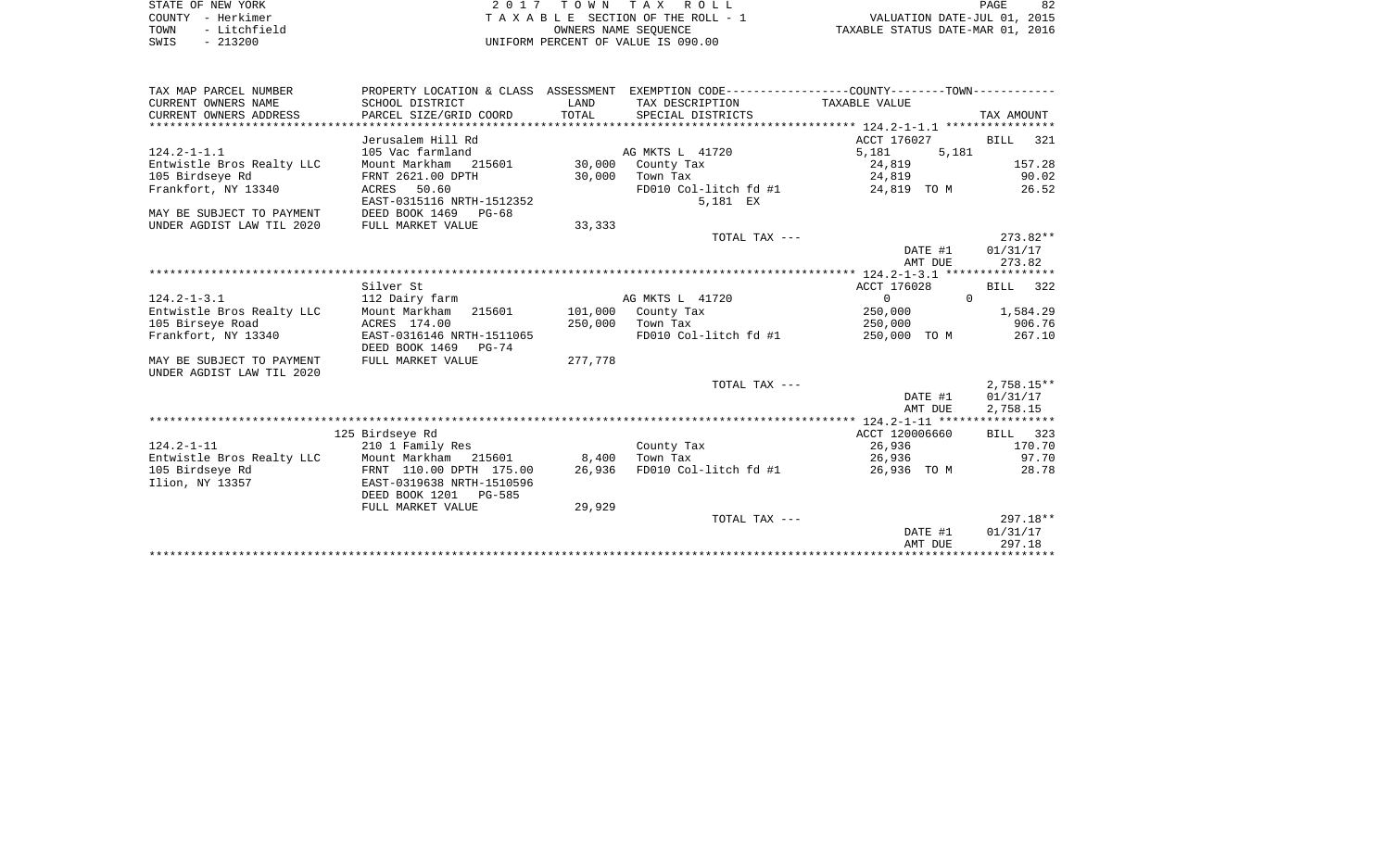| STATE OF NEW YORK |           |              |  |
|-------------------|-----------|--------------|--|
| COUNTY - Herkimer |           |              |  |
| TOWN              |           | - Litchfield |  |
| SMTS              | $-213200$ |              |  |

2017 TOWN TAX ROLL TA X A B L E SECTION OF THE ROLL - 1 TO A CONSERVE A CONSERVATION OF THE ROLL - 1<br>
TAXABLE STATUS DATE-MAR 01, 2016<br>
TAXABLE STATUS DATE-MAR 01, 2016 SWIS - 213200 UNIFORM PERCENT OF VALUE IS 090.00

| TAX MAP PARCEL NUMBER     | PROPERTY LOCATION & CLASS ASSESSMENT   |         |                               | EXEMPTION CODE----------------COUNTY-------TOWN----------- |              |
|---------------------------|----------------------------------------|---------|-------------------------------|------------------------------------------------------------|--------------|
| CURRENT OWNERS NAME       | SCHOOL DISTRICT                        | LAND    | TAX DESCRIPTION TAXABLE VALUE |                                                            |              |
| CURRENT OWNERS ADDRESS    | PARCEL SIZE/GRID COORD                 | TOTAL   | SPECIAL DISTRICTS             |                                                            | TAX AMOUNT   |
|                           |                                        |         |                               |                                                            |              |
|                           | Jerusalem Hill Rd                      |         |                               | ACCT 176027                                                | BILL 321     |
| $124.2 - 1 - 1.1$         | 105 Vac farmland                       |         | AG MKTS L 41720               | 5,181<br>5,181                                             |              |
| Entwistle Bros Realty LLC | Mount Markham 215601 30,000 County Tax |         |                               | 24,819                                                     | 157.28       |
| 105 Birdseye Rd           | FRNT 2621.00 DPTH                      | 30,000  | Town Tax                      | 24,819                                                     | 90.02        |
| Frankfort, NY 13340       | ACRES 50.60                            |         | FD010 Col-litch fd #1         | 24,819 TO M                                                | 26.52        |
|                           | EAST-0315116 NRTH-1512352              |         | 5,181 EX                      |                                                            |              |
| MAY BE SUBJECT TO PAYMENT | DEED BOOK 1469 PG-68                   |         |                               |                                                            |              |
| UNDER AGDIST LAW TIL 2020 | FULL MARKET VALUE                      | 33,333  |                               |                                                            |              |
|                           |                                        |         | TOTAL TAX ---                 |                                                            | 273.82**     |
|                           |                                        |         |                               | DATE #1                                                    | 01/31/17     |
|                           |                                        |         |                               | AMT DUE                                                    | 273.82       |
|                           |                                        |         |                               |                                                            |              |
|                           | Silver St                              |         |                               | ACCT 176028                                                | BILL 322     |
| $124.2 - 1 - 3.1$         | 112 Dairy farm                         |         | AG MKTS L 41720               | $\Omega$<br>$\Omega$                                       |              |
| Entwistle Bros Realty LLC | Mount Markham 215601                   |         | 101,000 County Tax            | 250,000                                                    | 1,584.29     |
| 105 Birseye Road          | ACRES 174.00                           | 250,000 | Town Tax                      | 250,000                                                    | 906.76       |
| Frankfort, NY 13340       | EAST-0316146 NRTH-1511065              |         | FD010 Col-litch fd #1         | 250,000 TO M                                               | 267.10       |
|                           | DEED BOOK 1469 PG-74                   |         |                               |                                                            |              |
| MAY BE SUBJECT TO PAYMENT | FULL MARKET VALUE                      | 277,778 |                               |                                                            |              |
| UNDER AGDIST LAW TIL 2020 |                                        |         |                               |                                                            |              |
|                           |                                        |         | TOTAL TAX ---                 |                                                            | $2,758.15**$ |
|                           |                                        |         |                               | DATE #1                                                    | 01/31/17     |
|                           |                                        |         |                               | AMT DUE                                                    | 2,758.15     |
|                           |                                        |         |                               |                                                            |              |
|                           | 125 Birdseye Rd                        |         |                               | ACCT 120006660                                             | BILL 323     |
| $124.2 - 1 - 11$          | 210 1 Family Res                       |         | County Tax                    | 26,936                                                     | 170.70       |
| Entwistle Bros Realty LLC | Mount Markham 215601                   | 8,400   | Town Tax                      | 26,936                                                     | 97.70        |
| 105 Birdseye Rd           | FRNT 110.00 DPTH 175.00                | 26,936  | FD010 Col-litch fd #1         | 26,936 TO M                                                | 28.78        |
| Ilion, NY 13357           | EAST-0319638 NRTH-1510596              |         |                               |                                                            |              |
|                           | DEED BOOK 1201 PG-585                  |         |                               |                                                            |              |
|                           | FULL MARKET VALUE                      | 29,929  |                               |                                                            |              |
|                           |                                        |         | TOTAL TAX ---                 |                                                            | $297.18**$   |
|                           |                                        |         |                               | DATE #1                                                    | 01/31/17     |
|                           |                                        |         |                               | AMT DUE                                                    | 297.18       |
|                           |                                        |         |                               |                                                            |              |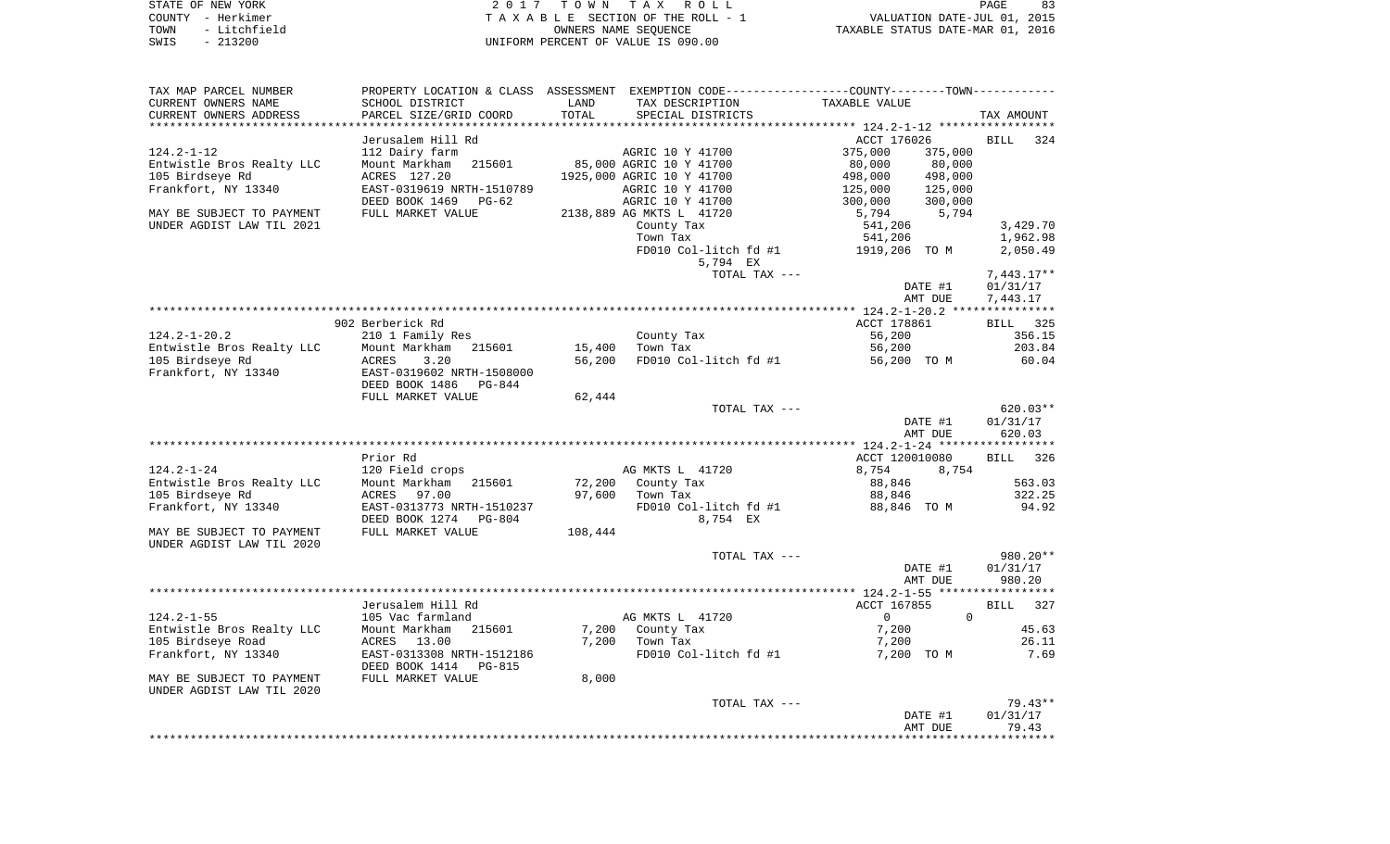| STATE OF NEW YORK    | 2017<br>TOWN TAX ROLL              | PAGE                             |
|----------------------|------------------------------------|----------------------------------|
| COUNTY - Herkimer    | TAXABLE SECTION OF THE ROLL - 1    | VALUATION DATE-JUL 01, 2015      |
| - Litchfield<br>TOWN | OWNERS NAME SEOUENCE               | TAXABLE STATUS DATE-MAR 01, 2016 |
| $-213200$<br>SWIS    | UNIFORM PERCENT OF VALUE IS 090.00 |                                  |

| TAX MAP PARCEL NUMBER<br>CURRENT OWNERS NAME  | SCHOOL DISTRICT                                       | LAND    | TAX DESCRIPTION               | PROPERTY LOCATION & CLASS ASSESSMENT EXEMPTION CODE----------------COUNTY-------TOWN----------<br>TAXABLE VALUE |                    |
|-----------------------------------------------|-------------------------------------------------------|---------|-------------------------------|-----------------------------------------------------------------------------------------------------------------|--------------------|
| CURRENT OWNERS ADDRESS                        | PARCEL SIZE/GRID COORD                                | TOTAL   | SPECIAL DISTRICTS             |                                                                                                                 | TAX AMOUNT         |
| ***********************                       |                                                       |         |                               |                                                                                                                 |                    |
|                                               | Jerusalem Hill Rd                                     |         |                               | ACCT 176026                                                                                                     | <b>BILL</b><br>324 |
| $124.2 - 1 - 12$                              | 112 Dairy farm                                        |         | AGRIC 10 Y 41700              | 375,000<br>375,000                                                                                              |                    |
| Entwistle Bros Realty LLC                     | Mount Markham<br>215601                               |         | 85,000 AGRIC 10 Y 41700       | 80,000<br>80,000                                                                                                |                    |
| 105 Birdseye Rd                               | ACRES 127.20                                          |         | 1925,000 AGRIC 10 Y 41700     | 498,000<br>498,000                                                                                              |                    |
| Frankfort, NY 13340                           | EAST-0319619 NRTH-1510789                             |         | AGRIC 10 Y 41700              | 125,000<br>125,000                                                                                              |                    |
|                                               | DEED BOOK 1469<br>PG-62                               |         | AGRIC 10 Y 41700              | 300,000<br>300,000                                                                                              |                    |
| MAY BE SUBJECT TO PAYMENT                     | FULL MARKET VALUE                                     |         | 2138,889 AG MKTS L 41720      | 5,794<br>5,794                                                                                                  |                    |
| UNDER AGDIST LAW TIL 2021                     |                                                       |         | County Tax                    | 541,206                                                                                                         | 3,429.70           |
|                                               |                                                       |         | Town Tax                      | 541,206                                                                                                         | 1,962.98           |
|                                               |                                                       |         | FD010 Col-litch fd #1         | 1919,206 TO M                                                                                                   | 2,050.49           |
|                                               |                                                       |         | 5,794 EX                      |                                                                                                                 |                    |
|                                               |                                                       |         | TOTAL TAX ---                 |                                                                                                                 | $7,443.17**$       |
|                                               |                                                       |         |                               | DATE #1                                                                                                         | 01/31/17           |
|                                               |                                                       |         |                               | AMT DUE                                                                                                         | 7,443.17           |
|                                               |                                                       |         |                               |                                                                                                                 |                    |
|                                               | 902 Berberick Rd                                      |         |                               | ACCT 178861                                                                                                     | BILL 325           |
| $124.2 - 1 - 20.2$                            | 210 1 Family Res                                      |         | County Tax                    | 56,200                                                                                                          | 356.15             |
| Entwistle Bros Realty LLC                     | Mount Markham 215601                                  | 15,400  | Town Tax                      | 56,200                                                                                                          | 203.84             |
| 105 Birdseye Rd                               | ACRES<br>3.20                                         | 56,200  | FD010 Col-litch fd #1         | 56,200 TO M                                                                                                     | 60.04              |
| Frankfort, NY 13340                           | EAST-0319602 NRTH-1508000<br>DEED BOOK 1486<br>PG-844 |         |                               |                                                                                                                 |                    |
|                                               | FULL MARKET VALUE                                     | 62,444  |                               |                                                                                                                 |                    |
|                                               |                                                       |         | TOTAL TAX ---                 |                                                                                                                 | $620.03**$         |
|                                               |                                                       |         |                               | DATE #1                                                                                                         | 01/31/17           |
|                                               |                                                       |         |                               | AMT DUE                                                                                                         | 620.03             |
|                                               |                                                       |         |                               |                                                                                                                 |                    |
|                                               | Prior Rd                                              |         |                               | ACCT 120010080                                                                                                  | BILL 326           |
| $124.2 - 1 - 24$                              | 120 Field crops                                       |         | AG MKTS L 41720               | 8,754<br>8,754                                                                                                  |                    |
| Entwistle Bros Realty LLC                     | Mount Markham<br>215601                               | 72,200  | County Tax                    | 88,846                                                                                                          | 563.03             |
| 105 Birdseye Rd                               | ACRES<br>97.00                                        | 97,600  | Town Tax                      | 88,846                                                                                                          | 322.25             |
| Frankfort, NY 13340                           | EAST-0313773 NRTH-1510237                             |         | FD010 Col-litch fd #1         | 88,846 TO M                                                                                                     | 94.92              |
|                                               | DEED BOOK 1274 PG-804                                 |         | 8,754 EX                      |                                                                                                                 |                    |
| MAY BE SUBJECT TO PAYMENT                     | FULL MARKET VALUE                                     | 108,444 |                               |                                                                                                                 |                    |
| UNDER AGDIST LAW TIL 2020                     |                                                       |         |                               |                                                                                                                 |                    |
|                                               |                                                       |         | TOTAL TAX ---                 |                                                                                                                 | 980.20**           |
|                                               |                                                       |         |                               | DATE #1                                                                                                         | 01/31/17           |
|                                               |                                                       |         |                               | AMT DUE                                                                                                         | 980.20             |
|                                               |                                                       |         |                               |                                                                                                                 |                    |
|                                               | Jerusalem Hill Rd                                     |         |                               | ACCT 167855<br>$\Omega$                                                                                         | <b>BILL</b><br>327 |
| $124.2 - 1 - 55$<br>Entwistle Bros Realty LLC | 105 Vac farmland<br>Mount Markham<br>215601           | 7,200   | AG MKTS L 41720<br>County Tax | $\overline{0}$<br>7,200                                                                                         | 45.63              |
| 105 Birdseye Road                             | 13.00<br>ACRES                                        | 7,200   | Town Tax                      | 7,200                                                                                                           | 26.11              |
| Frankfort, NY 13340                           | EAST-0313308 NRTH-1512186                             |         | FD010 Col-litch fd #1         | 7,200 TO M                                                                                                      | 7.69               |
|                                               | DEED BOOK 1414<br>PG-815                              |         |                               |                                                                                                                 |                    |
| MAY BE SUBJECT TO PAYMENT                     | FULL MARKET VALUE                                     | 8,000   |                               |                                                                                                                 |                    |
| UNDER AGDIST LAW TIL 2020                     |                                                       |         |                               |                                                                                                                 |                    |
|                                               |                                                       |         | TOTAL TAX ---                 |                                                                                                                 | $79.43**$          |
|                                               |                                                       |         |                               | DATE #1                                                                                                         | 01/31/17           |
|                                               |                                                       |         |                               | AMT DUE                                                                                                         | 79.43              |
|                                               |                                                       |         |                               |                                                                                                                 |                    |
|                                               |                                                       |         |                               |                                                                                                                 |                    |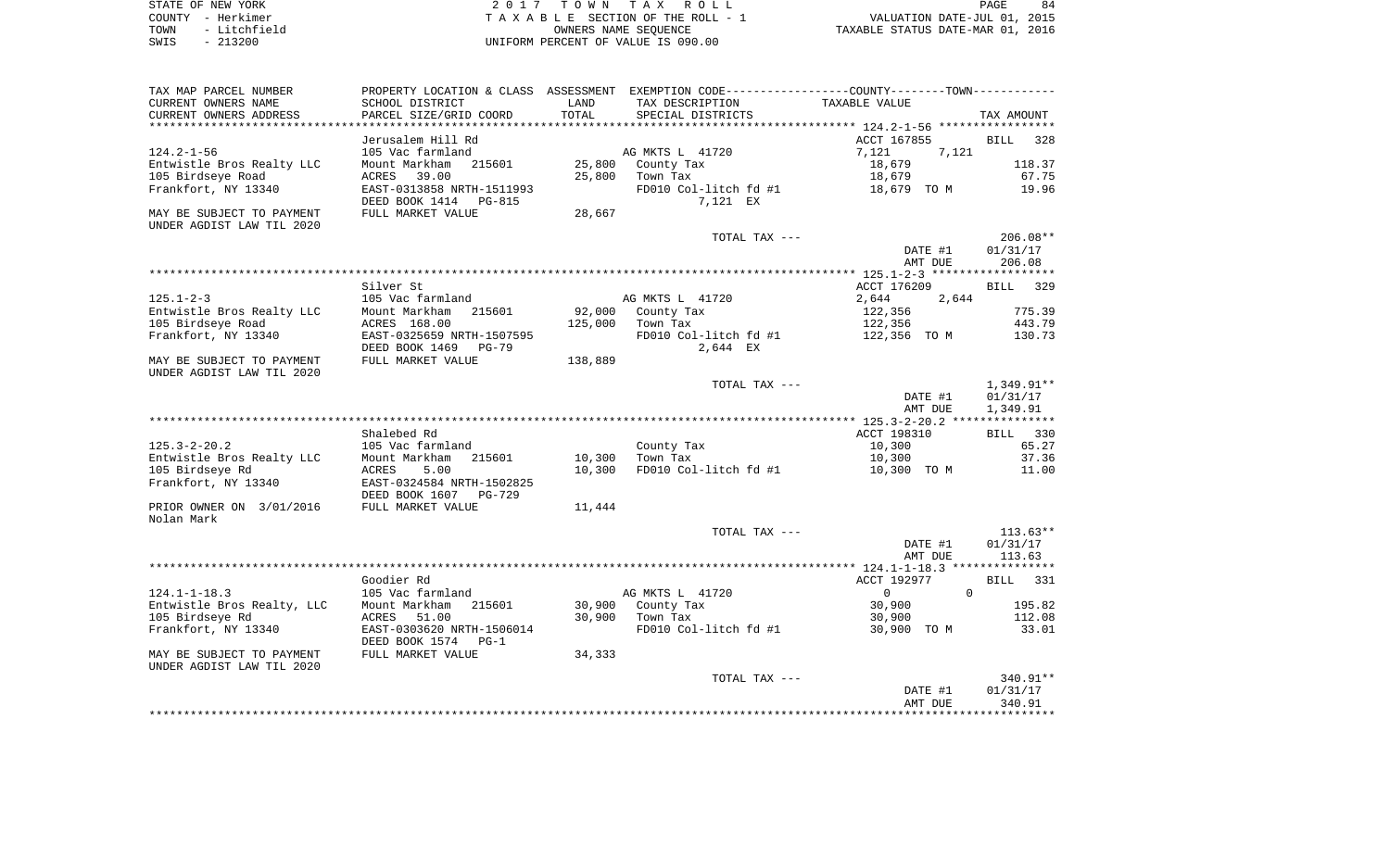| STATE OF NEW YORK |           |              |
|-------------------|-----------|--------------|
| COUNTY - Herkimer |           |              |
| TOWN              |           | - Litchfield |
| SWIS              | $-213200$ |              |

2017 TOWN TAX ROLL TA X A B L E SECTION OF THE ROLL - 1 TO A CONSERVED OF THE ROLL - 1 WALUATION DATE-JUL 01, 2015<br>
OWNERS NAME SEQUENCE TAXABLE STATUS DATE-MAR 01, 2016 UNIFORM PERCENT OF VALUE IS 090.00

| TAX MAP PARCEL NUMBER                                  |                                                    |         |                       | PROPERTY LOCATION & CLASS ASSESSMENT EXEMPTION CODE---------------COUNTY-------TOWN---------- |                    |
|--------------------------------------------------------|----------------------------------------------------|---------|-----------------------|-----------------------------------------------------------------------------------------------|--------------------|
| CURRENT OWNERS NAME                                    | SCHOOL DISTRICT                                    | LAND    | TAX DESCRIPTION       | TAXABLE VALUE                                                                                 |                    |
| CURRENT OWNERS ADDRESS                                 | PARCEL SIZE/GRID COORD                             | TOTAL   | SPECIAL DISTRICTS     |                                                                                               | TAX AMOUNT         |
| ************************                               |                                                    |         |                       |                                                                                               |                    |
|                                                        | Jerusalem Hill Rd                                  |         |                       | ACCT 167855                                                                                   | <b>BILL</b><br>328 |
| $124.2 - 1 - 56$                                       | 105 Vac farmland                                   |         | AG MKTS L 41720       | 7,121<br>7,121                                                                                |                    |
| Entwistle Bros Realty LLC                              | Mount Markham<br>215601                            |         | 25,800 County Tax     | 18,679                                                                                        | 118.37             |
| 105 Birdseye Road                                      | ACRES<br>39.00                                     | 25,800  | Town Tax              | 18,679                                                                                        | 67.75              |
| Frankfort, NY 13340                                    | EAST-0313858 NRTH-1511993                          |         | FD010 Col-litch fd #1 | 18,679 TO M                                                                                   | 19.96              |
|                                                        | DEED BOOK 1414 PG-815                              |         | 7,121 EX              |                                                                                               |                    |
| MAY BE SUBJECT TO PAYMENT                              | FULL MARKET VALUE                                  | 28,667  |                       |                                                                                               |                    |
| UNDER AGDIST LAW TIL 2020                              |                                                    |         |                       |                                                                                               |                    |
|                                                        |                                                    |         | TOTAL TAX ---         |                                                                                               | $206.08**$         |
|                                                        |                                                    |         |                       | DATE #1                                                                                       | 01/31/17           |
|                                                        |                                                    |         |                       | AMT DUE                                                                                       | 206.08             |
|                                                        |                                                    |         |                       |                                                                                               |                    |
|                                                        | Silver St                                          |         |                       | ACCT 176209                                                                                   | BILL 329           |
| $125.1 - 2 - 3$                                        | 105 Vac farmland                                   |         | AG MKTS L 41720       | 2,644<br>2,644                                                                                |                    |
| Entwistle Bros Realty LLC                              | Mount Markham<br>215601                            |         | 92,000 County Tax     | 122,356                                                                                       | 775.39             |
| 105 Birdseye Road                                      | ACRES 168.00                                       |         | 125,000 Town Tax      | 122,356                                                                                       | 443.79             |
| Frankfort, NY 13340                                    | EAST-0325659 NRTH-1507595                          |         | FD010 Col-litch fd #1 | 122,356 TO M                                                                                  | 130.73             |
|                                                        | DEED BOOK 1469 PG-79                               |         | 2,644 EX              |                                                                                               |                    |
| MAY BE SUBJECT TO PAYMENT<br>UNDER AGDIST LAW TIL 2020 | FULL MARKET VALUE                                  | 138,889 |                       |                                                                                               |                    |
|                                                        |                                                    |         | TOTAL TAX ---         |                                                                                               | 1,349.91**         |
|                                                        |                                                    |         |                       | DATE #1                                                                                       | 01/31/17           |
|                                                        |                                                    |         |                       | AMT DUE                                                                                       | 1,349.91           |
|                                                        |                                                    |         |                       |                                                                                               |                    |
|                                                        | Shalebed Rd                                        |         |                       | ACCT 198310                                                                                   | BILL 330           |
| $125.3 - 2 - 20.2$                                     | 105 Vac farmland                                   |         | County Tax            | 10,300                                                                                        | 65.27              |
| Entwistle Bros Realty LLC                              | Mount Markham<br>215601                            | 10,300  | Town Tax              | 10,300                                                                                        | 37.36              |
| 105 Birdseye Rd                                        | ACRES<br>5.00                                      | 10,300  | FD010 Col-litch fd #1 | 10,300 TO M                                                                                   | 11.00              |
| Frankfort, NY 13340                                    | EAST-0324584 NRTH-1502825<br>DEED BOOK 1607 PG-729 |         |                       |                                                                                               |                    |
| PRIOR OWNER ON 3/01/2016                               | FULL MARKET VALUE                                  | 11,444  |                       |                                                                                               |                    |
| Nolan Mark                                             |                                                    |         |                       |                                                                                               |                    |
|                                                        |                                                    |         | TOTAL TAX ---         |                                                                                               | $113.63**$         |
|                                                        |                                                    |         |                       | DATE #1                                                                                       | 01/31/17           |
|                                                        |                                                    |         |                       | AMT DUE                                                                                       | 113.63             |
|                                                        |                                                    |         |                       |                                                                                               |                    |
|                                                        | Goodier Rd                                         |         |                       | ACCT 192977                                                                                   | <b>BILL</b><br>331 |
| $124.1 - 1 - 18.3$                                     | 105 Vac farmland                                   |         | AG MKTS L 41720       | $\Omega$<br>$\mathbf{0}$                                                                      |                    |
| Entwistle Bros Realty, LLC                             | Mount Markham<br>215601                            |         | 30,900 County Tax     | 30,900                                                                                        | 195.82             |
| 105 Birdseye Rd                                        | ACRES 51.00                                        |         | 30,900 Town Tax       | 30,900                                                                                        | 112.08             |
| Frankfort, NY 13340                                    | EAST-0303620 NRTH-1506014                          |         | FD010 Col-litch fd #1 | 30,900 TO M                                                                                   | 33.01              |
|                                                        | DEED BOOK 1574 PG-1                                |         |                       |                                                                                               |                    |
| MAY BE SUBJECT TO PAYMENT                              | FULL MARKET VALUE                                  | 34,333  |                       |                                                                                               |                    |
| UNDER AGDIST LAW TIL 2020                              |                                                    |         |                       |                                                                                               | 340.91**           |
|                                                        |                                                    |         | TOTAL TAX ---         |                                                                                               | 01/31/17           |
|                                                        |                                                    |         |                       | DATE #1<br>AMT DUE                                                                            | 340.91             |
|                                                        |                                                    |         |                       |                                                                                               |                    |
|                                                        |                                                    |         |                       |                                                                                               |                    |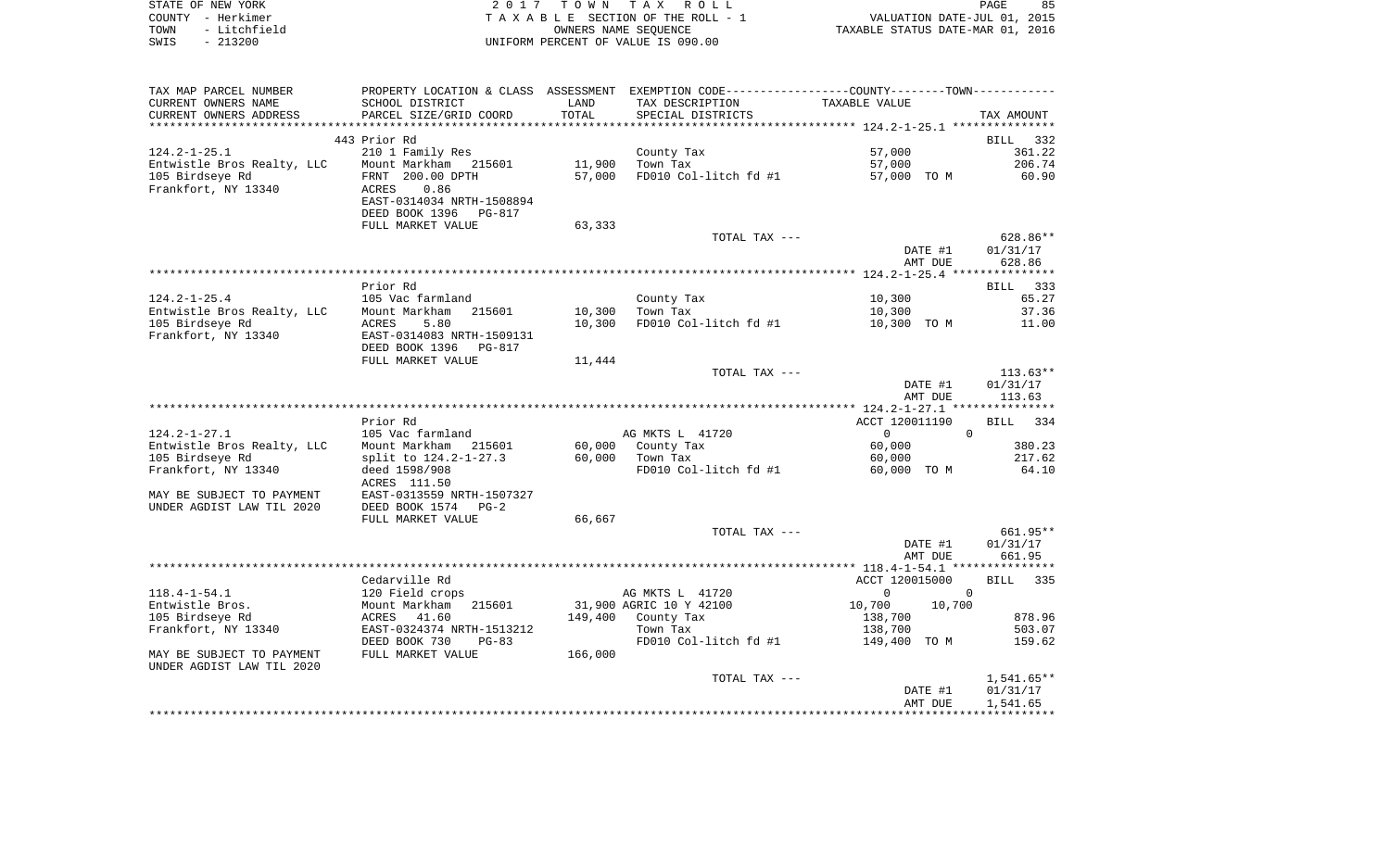| STATE OF NEW YORK    | 2017 TOWN TAX ROLL                 | 85<br>PAGE                       |
|----------------------|------------------------------------|----------------------------------|
| COUNTY - Herkimer    | TAXABLE SECTION OF THE ROLL - 1    | VALUATION DATE-JUL 01, 2015      |
| TOWN<br>- Litchfield | OWNERS NAME SEOUENCE               | TAXABLE STATUS DATE-MAR 01, 2016 |
| $-213200$<br>SWIS    | UNIFORM PERCENT OF VALUE IS 090.00 |                                  |

| TAX MAP PARCEL NUMBER                            |                           |         | PROPERTY LOCATION & CLASS ASSESSMENT EXEMPTION CODE---------------COUNTY-------TOWN---------- |                            |                    |
|--------------------------------------------------|---------------------------|---------|-----------------------------------------------------------------------------------------------|----------------------------|--------------------|
| CURRENT OWNERS NAME                              | SCHOOL DISTRICT           | LAND    | TAX DESCRIPTION                                                                               | TAXABLE VALUE              |                    |
| CURRENT OWNERS ADDRESS                           | PARCEL SIZE/GRID COORD    | TOTAL   | SPECIAL DISTRICTS                                                                             |                            | TAX AMOUNT         |
|                                                  |                           |         |                                                                                               |                            |                    |
|                                                  | 443 Prior Rd              |         |                                                                                               |                            | BILL 332           |
| $124.2 - 1 - 25.1$                               | 210 1 Family Res          |         | County Tax                                                                                    | 57,000                     | 361.22             |
| Entwistle Bros Realty, LLC                       | Mount Markham 215601      | 11,900  | Town Tax                                                                                      | 57,000                     | 206.74             |
| 105 Birdseye Rd                                  | FRNT 200.00 DPTH          | 57,000  | FD010 Col-litch fd #1                                                                         | 57,000 TO M                | 60.90              |
|                                                  |                           |         |                                                                                               |                            |                    |
| Frankfort, NY 13340                              | ACRES<br>0.86             |         |                                                                                               |                            |                    |
|                                                  | EAST-0314034 NRTH-1508894 |         |                                                                                               |                            |                    |
|                                                  | DEED BOOK 1396<br>PG-817  |         |                                                                                               |                            |                    |
|                                                  | FULL MARKET VALUE         | 63,333  |                                                                                               |                            |                    |
|                                                  |                           |         | TOTAL TAX ---                                                                                 |                            | 628.86**           |
|                                                  |                           |         |                                                                                               | DATE #1                    | 01/31/17           |
|                                                  |                           |         |                                                                                               | AMT DUE                    | 628.86             |
|                                                  |                           |         |                                                                                               |                            |                    |
|                                                  | Prior Rd                  |         |                                                                                               |                            | BILL 333           |
| $124.2 - 1 - 25.4$                               | 105 Vac farmland          |         | County Tax                                                                                    | 10,300                     | 65.27              |
| Entwistle Bros Realty, LLC                       | Mount Markham<br>215601   | 10,300  | Town Tax                                                                                      | 10,300                     | 37.36              |
| 105 Birdseye Rd                                  | ACRES<br>5.80             | 10,300  | FD010 Col-litch fd #1                                                                         | 10,300 TO M                | 11.00              |
| Frankfort, NY 13340                              | EAST-0314083 NRTH-1509131 |         |                                                                                               |                            |                    |
|                                                  | DEED BOOK 1396<br>PG-817  |         |                                                                                               |                            |                    |
|                                                  | FULL MARKET VALUE         | 11,444  |                                                                                               |                            |                    |
|                                                  |                           |         | TOTAL TAX ---                                                                                 |                            | $113.63**$         |
|                                                  |                           |         |                                                                                               | DATE #1                    |                    |
|                                                  |                           |         |                                                                                               |                            | 01/31/17           |
|                                                  |                           |         |                                                                                               | AMT DUE                    | 113.63             |
|                                                  |                           |         |                                                                                               |                            |                    |
|                                                  | Prior Rd                  |         |                                                                                               | ACCT 120011190             | BILL 334           |
| $124.2 - 1 - 27.1$                               | 105 Vac farmland          |         | AG MKTS L 41720                                                                               | $\overline{0}$<br>$\Omega$ |                    |
| Entwistle Bros Realty, LLC                       | Mount Markham 215601      | 60,000  | County Tax                                                                                    | 60,000                     | 380.23             |
|                                                  |                           | 60,000  | Town Tax                                                                                      |                            | 217.62             |
| 105 Birdseye Rd                                  | split to 124.2-1-27.3     |         |                                                                                               | 60,000                     |                    |
| Frankfort, NY 13340                              | deed 1598/908             |         | FD010 Col-litch fd #1                                                                         | 60,000 TO M                | 64.10              |
|                                                  | ACRES 111.50              |         |                                                                                               |                            |                    |
| MAY BE SUBJECT TO PAYMENT                        | EAST-0313559 NRTH-1507327 |         |                                                                                               |                            |                    |
| UNDER AGDIST LAW TIL 2020                        | DEED BOOK 1574<br>$PG-2$  |         |                                                                                               |                            |                    |
|                                                  | FULL MARKET VALUE         | 66,667  |                                                                                               |                            |                    |
|                                                  |                           |         | TOTAL TAX ---                                                                                 |                            | 661.95**           |
|                                                  |                           |         |                                                                                               |                            |                    |
|                                                  |                           |         |                                                                                               | DATE #1                    | 01/31/17<br>661.95 |
|                                                  |                           |         |                                                                                               | AMT DUE                    |                    |
|                                                  |                           |         |                                                                                               |                            |                    |
|                                                  | Cedarville Rd             |         |                                                                                               | ACCT 120015000             | BILL 335           |
| $118.4 - 1 - 54.1$                               | 120 Field crops           |         | AG MKTS L 41720                                                                               | $\Omega$<br>$\mathbf{0}$   |                    |
| Entwistle Bros.                                  | Mount Markham<br>215601   |         | 31,900 AGRIC 10 Y 42100                                                                       | 10,700<br>10,700           |                    |
| 105 Birdseye Rd                                  | ACRES<br>41.60            | 149,400 | County Tax                                                                                    | 138,700                    | 878.96             |
|                                                  | EAST-0324374 NRTH-1513212 |         | Town Tax                                                                                      | 138,700                    | 503.07             |
|                                                  | DEED BOOK 730<br>$PG-83$  |         | FD010 Col-litch fd #1                                                                         | 149,400 TO M               | 159.62             |
| Frankfort, NY 13340<br>MAY BE SUBJECT TO PAYMENT | FULL MARKET VALUE         | 166,000 |                                                                                               |                            |                    |
|                                                  |                           |         |                                                                                               |                            |                    |
|                                                  |                           |         | TOTAL TAX ---                                                                                 |                            | $1,541.65**$       |
| UNDER AGDIST LAW TIL 2020                        |                           |         |                                                                                               | DATE #1                    | 01/31/17           |
|                                                  |                           |         |                                                                                               | AMT DUE                    | 1,541.65           |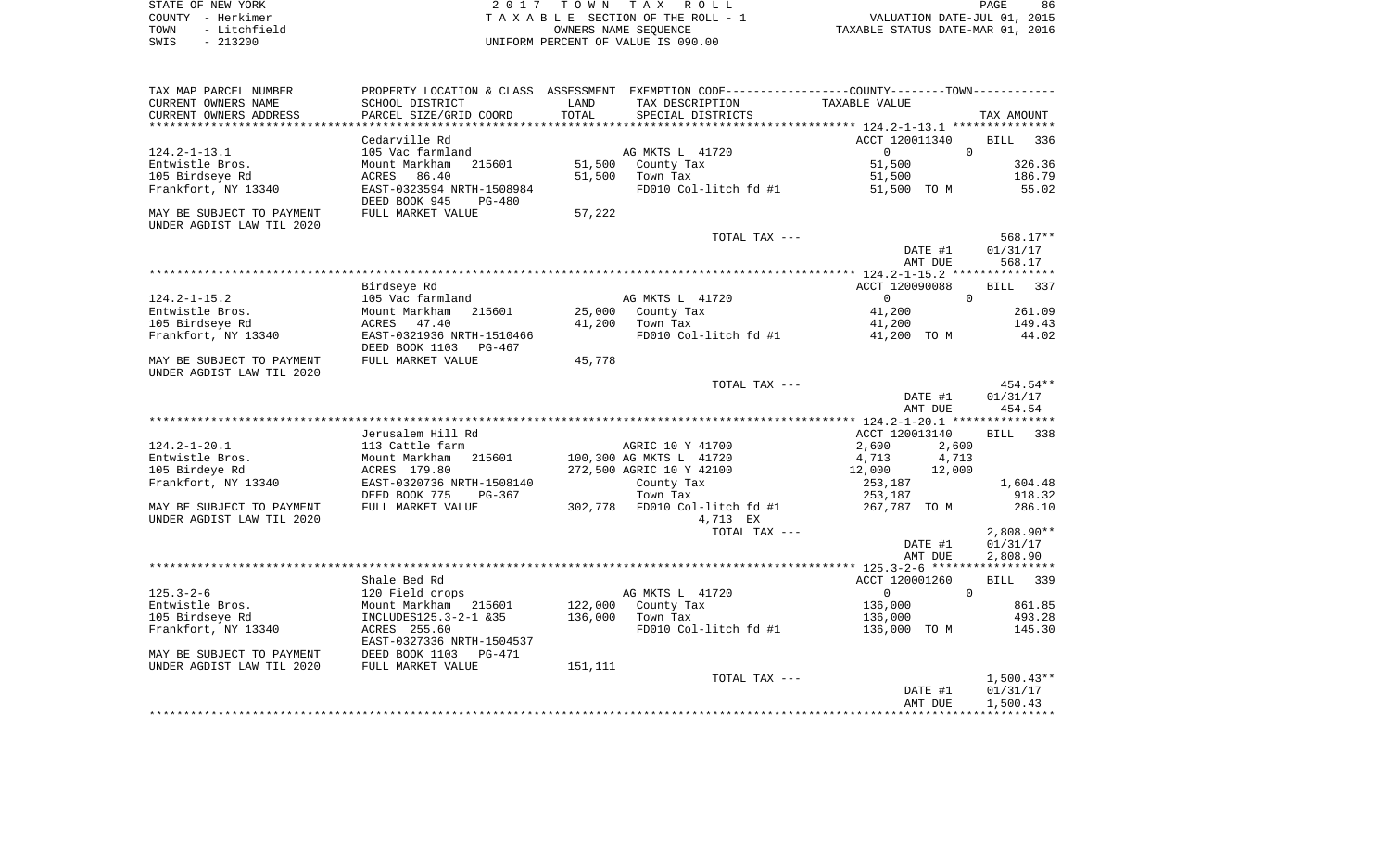| STATE OF NEW YORK |           |              |
|-------------------|-----------|--------------|
| COUNTY - Herkimer |           |              |
| TOWN              |           | - Litchfield |
| SWIS              | $-213200$ |              |

2017 TOWN TAX ROLL TA X A B L E SECTION OF THE ROLL - 1 TOWN - Litchfield OWNERS NAME SEQUENCE TAXABLE STATUS DATE-MAR 01, 2016 SWIS - 213200 UNIFORM PERCENT OF VALUE IS 090.00

| TAX MAP PARCEL NUMBER                                  | PROPERTY LOCATION & CLASS ASSESSMENT EXEMPTION CODE---------------COUNTY-------TOWN---------- |         |                               |                                                 |              |
|--------------------------------------------------------|-----------------------------------------------------------------------------------------------|---------|-------------------------------|-------------------------------------------------|--------------|
| CURRENT OWNERS NAME                                    | SCHOOL DISTRICT                                                                               | LAND    | TAX DESCRIPTION               | TAXABLE VALUE                                   |              |
| CURRENT OWNERS ADDRESS                                 | PARCEL SIZE/GRID COORD                                                                        | TOTAL   | SPECIAL DISTRICTS             |                                                 | TAX AMOUNT   |
|                                                        |                                                                                               |         | ***************************   | ***************** 124.2-1-13.1 **************** |              |
|                                                        | Cedarville Rd                                                                                 |         |                               | ACCT 120011340                                  | BILL 336     |
| $124.2 - 1 - 13.1$                                     | 105 Vac farmland                                                                              |         | AG MKTS L 41720               | $\overline{0}$<br>$\Omega$                      |              |
| Entwistle Bros.                                        | Mount Markham<br>215601                                                                       | 51,500  | County Tax                    | 51,500                                          | 326.36       |
|                                                        |                                                                                               |         |                               |                                                 |              |
| 105 Birdseye Rd                                        | ACRES 86.40                                                                                   |         | 51,500 Town Tax               | 51,500                                          | 186.79       |
| Frankfort, NY 13340                                    | EAST-0323594 NRTH-1508984<br>DEED BOOK 945<br>PG-480                                          |         | FD010 Col-litch fd #1         | 51,500 TO M                                     | 55.02        |
| MAY BE SUBJECT TO PAYMENT<br>UNDER AGDIST LAW TIL 2020 | FULL MARKET VALUE                                                                             | 57,222  |                               |                                                 |              |
|                                                        |                                                                                               |         | TOTAL TAX ---                 |                                                 | 568.17**     |
|                                                        |                                                                                               |         |                               | DATE #1                                         | 01/31/17     |
|                                                        |                                                                                               |         |                               | AMT DUE                                         | 568.17       |
|                                                        |                                                                                               |         |                               |                                                 |              |
|                                                        |                                                                                               |         |                               |                                                 |              |
|                                                        | Birdseye Rd                                                                                   |         |                               | ACCT 120090088                                  | BILL 337     |
| $124.2 - 1 - 15.2$                                     | 105 Vac farmland                                                                              |         | AG MKTS L 41720               | $\overline{0}$<br>$\Omega$                      |              |
| Entwistle Bros.                                        | Mount Markham<br>215601                                                                       |         | 25,000 County Tax             | 41,200                                          | 261.09       |
| 105 Birdseye Rd                                        | ACRES 47.40                                                                                   |         | 41,200 Town Tax               | 41,200                                          | 149.43       |
| Frankfort, NY 13340                                    | EAST-0321936 NRTH-1510466<br>DEED BOOK 1103 PG-467                                            |         | FD010 Col-litch fd #1         | 41,200 TO M                                     | 44.02        |
| MAY BE SUBJECT TO PAYMENT                              | FULL MARKET VALUE                                                                             | 45,778  |                               |                                                 |              |
| UNDER AGDIST LAW TIL 2020                              |                                                                                               |         |                               |                                                 |              |
|                                                        |                                                                                               |         | TOTAL TAX ---                 |                                                 | 454.54**     |
|                                                        |                                                                                               |         |                               | DATE #1                                         | 01/31/17     |
|                                                        |                                                                                               |         |                               | AMT DUE                                         | 454.54       |
|                                                        |                                                                                               |         |                               |                                                 |              |
|                                                        | Jerusalem Hill Rd                                                                             |         |                               | ACCT 120013140                                  | BILL 338     |
| $124.2 - 1 - 20.1$                                     | 113 Cattle farm                                                                               |         | AGRIC 10 Y 41700              | 2,600<br>2,600                                  |              |
| Entwistle Bros.                                        | Mount Markham 215601                                                                          |         | 100,300 AG MKTS L 41720       | 4,713<br>4,713                                  |              |
| 105 Birdeye Rd                                         | ACRES 179.80                                                                                  |         | 272,500 AGRIC 10 Y 42100      | $12,000$ $12,000$                               |              |
| Frankfort, NY 13340                                    | EAST-0320736 NRTH-1508140                                                                     |         | County Tax                    | 253,187                                         | 1,604.48     |
|                                                        | DEED BOOK 775<br>PG-367                                                                       |         | Town Tax                      | 253,187                                         | 918.32       |
| MAY BE SUBJECT TO PAYMENT                              | FULL MARKET VALUE                                                                             |         | 302,778 FD010 Col-litch fd #1 | 267,787 TO M                                    | 286.10       |
| UNDER AGDIST LAW TIL 2020                              |                                                                                               |         | 4,713 EX                      |                                                 |              |
|                                                        |                                                                                               |         | TOTAL TAX ---                 |                                                 | $2,808.90**$ |
|                                                        |                                                                                               |         |                               |                                                 |              |
|                                                        |                                                                                               |         |                               | DATE #1                                         | 01/31/17     |
|                                                        |                                                                                               |         |                               | AMT DUE                                         | 2,808.90     |
|                                                        |                                                                                               |         |                               |                                                 |              |
|                                                        | Shale Bed Rd                                                                                  |         |                               | ACCT 120001260                                  | BILL 339     |
| $125.3 - 2 - 6$                                        | 120 Field crops                                                                               |         | AG MKTS L 41720               | $\overline{0}$<br>$\Omega$                      |              |
| Entwistle Bros.                                        | Mount Markham 215601                                                                          |         | 122,000 County Tax            | 136,000                                         | 861.85       |
| 105 Birdseye Rd                                        | INCLUDES125.3-2-1 &35                                                                         | 136,000 | Town Tax                      | 136,000                                         | 493.28       |
| Frankfort, NY 13340                                    | ACRES 255.60                                                                                  |         | FD010 Col-litch fd #1         | 136,000 TO M                                    | 145.30       |
|                                                        | EAST-0327336 NRTH-1504537                                                                     |         |                               |                                                 |              |
| MAY BE SUBJECT TO PAYMENT                              | DEED BOOK 1103<br>PG-471                                                                      |         |                               |                                                 |              |
| UNDER AGDIST LAW TIL 2020                              | FULL MARKET VALUE                                                                             | 151,111 |                               |                                                 |              |
|                                                        |                                                                                               |         | TOTAL TAX ---                 |                                                 | $1,500.43**$ |
|                                                        |                                                                                               |         |                               |                                                 |              |
|                                                        |                                                                                               |         |                               | DATE #1                                         | 01/31/17     |
|                                                        |                                                                                               |         |                               | AMT DUE                                         | 1,500.43     |
|                                                        |                                                                                               |         |                               |                                                 |              |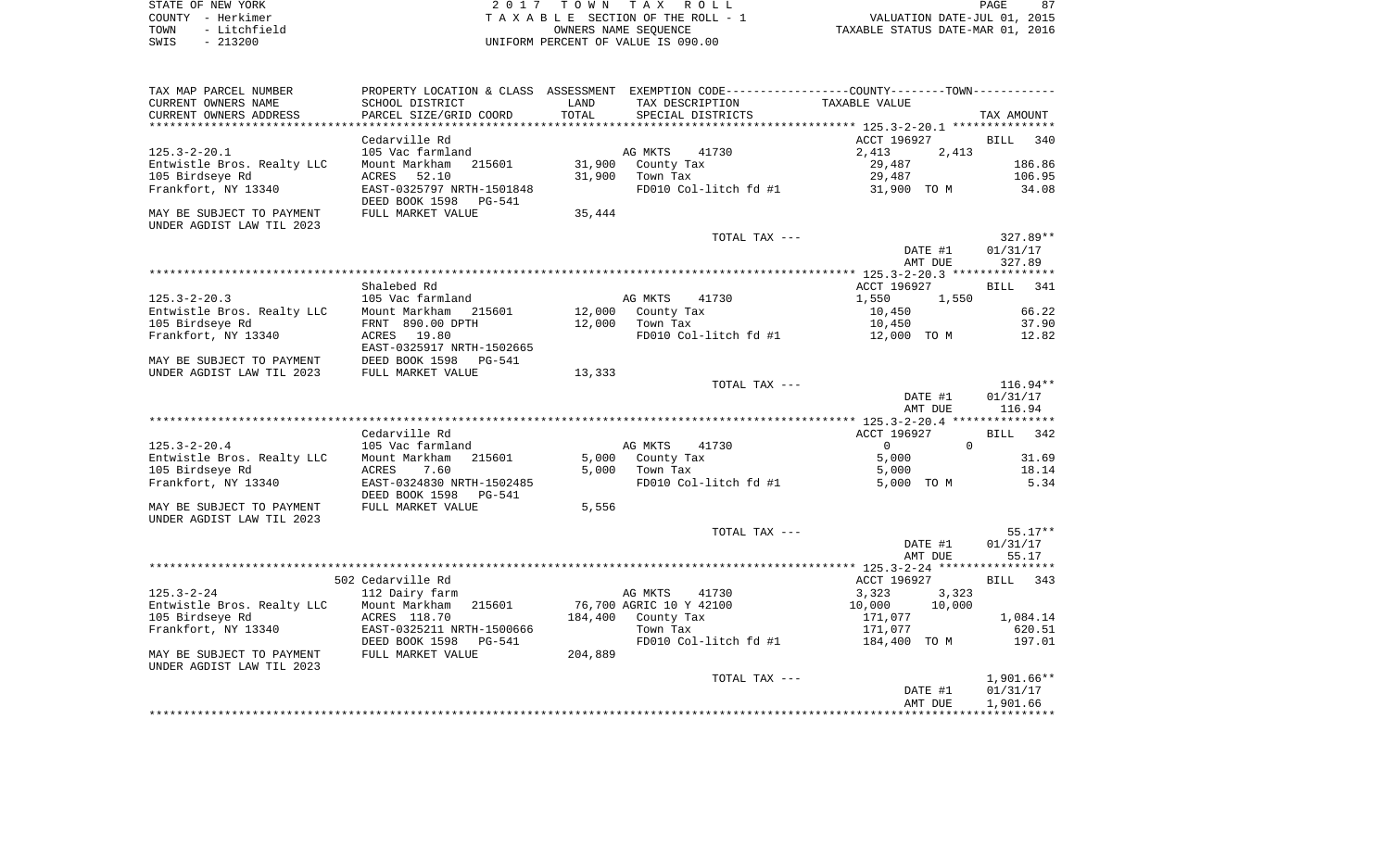STATE OF NEW YORK **EXECUTE:** A 2 0 1 7 T O W N T A X R O L L COUNTY - Herkimer<br>
T A X A B L E SECTION OF THE ROLL - 1<br>
TOWN - Litchfield<br>
SWIS - 213200 - UNIFORM PERCENT OF VALUE IS 090.00 TOWN - LITTLE ROLL - 1<br>
TAXABLE STATUS DATE-JUL 01, 2015<br>
TAXABLE STATUS DATE-MAR 01, 2016 SWIS - 213200 UNIFORM PERCENT OF VALUE IS 090.00

| TAX MAP PARCEL NUMBER                           |                           |         |                                | PROPERTY LOCATION & CLASS ASSESSMENT EXEMPTION CODE---------------COUNTY-------TOWN---------- |              |
|-------------------------------------------------|---------------------------|---------|--------------------------------|-----------------------------------------------------------------------------------------------|--------------|
| CURRENT OWNERS NAME                             | SCHOOL DISTRICT           | LAND    | TAX DESCRIPTION                | TAXABLE VALUE                                                                                 |              |
| CURRENT OWNERS ADDRESS                          | PARCEL SIZE/GRID COORD    | TOTAL   | SPECIAL DISTRICTS              |                                                                                               | TAX AMOUNT   |
|                                                 |                           |         |                                |                                                                                               |              |
|                                                 | Cedarville Rd             |         |                                | ACCT 196927                                                                                   | BILL 340     |
| $125.3 - 2 - 20.1$                              | 105 Vac farmland          |         | AG MKTS<br>41730               | 2,413<br>2,413                                                                                |              |
| Entwistle Bros. Realty LLC                      | Mount Markham 215601      |         | 31,900 County Tax              |                                                                                               | 186.86       |
| 105 Birdseye Rd                                 | ACRES 52.10               |         | 31,900 Town Tax                | 29,487<br>29,487                                                                              | 106.95       |
|                                                 |                           |         |                                |                                                                                               |              |
| Frankfort, NY 13340                             | EAST-0325797 NRTH-1501848 |         |                                | FD010 Col-litch fd #1 31,900 TO M                                                             | 34.08        |
|                                                 | DEED BOOK 1598 PG-541     |         |                                |                                                                                               |              |
| MAY BE SUBJECT TO PAYMENT                       | FULL MARKET VALUE         | 35,444  |                                |                                                                                               |              |
| UNDER AGDIST LAW TIL 2023                       |                           |         |                                |                                                                                               |              |
|                                                 |                           |         | TOTAL TAX ---                  |                                                                                               | 327.89**     |
|                                                 |                           |         |                                | DATE #1                                                                                       | 01/31/17     |
|                                                 |                           |         |                                | AMT DUE                                                                                       | 327.89       |
|                                                 |                           |         |                                |                                                                                               |              |
|                                                 | Shalebed Rd               |         |                                | ACCT 196927                                                                                   | BILL 341     |
| $125.3 - 2 - 20.3$                              | 105 Vac farmland          |         | AG MKTS 41730                  | 1,550<br>1,550                                                                                |              |
| Entwistle Bros. Realty LLC                      | Mount Markham             |         | 215601 12,000 County Tax       | 10,450                                                                                        | 66.22        |
| 105 Birdseye Rd                                 | FRNT 890.00 DPTH          |         | 12,000 Town Tax                | 10,450                                                                                        | 37.90        |
| Frankfort, NY 13340                             | ACRES 19.80               |         |                                | FD010 Col-litch $fd$ #1 $12,000$ TO M                                                         | 12.82        |
|                                                 | EAST-0325917 NRTH-1502665 |         |                                |                                                                                               |              |
|                                                 |                           |         |                                |                                                                                               |              |
| MAY BE SUBJECT TO PAYMENT                       | DEED BOOK 1598 PG-541     |         |                                |                                                                                               |              |
| UNDER AGDIST LAW TIL 2023                       | FULL MARKET VALUE         | 13,333  |                                |                                                                                               |              |
|                                                 |                           |         | TOTAL TAX ---                  |                                                                                               | $116.94**$   |
|                                                 |                           |         |                                | DATE #1                                                                                       | 01/31/17     |
|                                                 |                           |         |                                | AMT DUE                                                                                       | 116.94       |
|                                                 |                           |         |                                |                                                                                               |              |
|                                                 | Cedarville Rd             |         |                                | ACCT 196927                                                                                   | BILL 342     |
| $125.3 - 2 - 20.4$                              | 105 Vac farmland          |         | AG MKTS<br>41730               | $\Omega$<br>$\Omega$                                                                          |              |
| Entwistle Bros. Realty LLC                      | Mount Markham 215601      |         | 5,000 County Tax               | 5,000                                                                                         | 31.69        |
| 105 Birdseye Rd                                 | ACRES<br>7.60             |         | 5,000 Town Tax                 | 5,000                                                                                         | 18.14        |
| Frankfort, NY 13340                             | EAST-0324830 NRTH-1502485 |         | FD010 Col-litch fd #1          | 5,000 TO M                                                                                    | 5.34         |
|                                                 | DEED BOOK 1598 PG-541     |         |                                |                                                                                               |              |
| MAY BE SUBJECT TO PAYMENT                       | FULL MARKET VALUE         | 5,556   |                                |                                                                                               |              |
| UNDER AGDIST LAW TIL 2023                       |                           |         |                                |                                                                                               |              |
|                                                 |                           |         | TOTAL TAX ---                  |                                                                                               | $55.17**$    |
|                                                 |                           |         |                                |                                                                                               |              |
|                                                 |                           |         |                                | DATE #1                                                                                       | 01/31/17     |
|                                                 |                           |         |                                | AMT DUE                                                                                       | 55.17        |
|                                                 |                           |         |                                |                                                                                               |              |
|                                                 | 502 Cedarville Rd         |         |                                | ACCT 196927                                                                                   | BILL 343     |
| $125.3 - 2 - 24$                                | 112 Dairy farm            |         | AG MKTS<br>41730               | 3,323<br>3,323                                                                                |              |
| Entwistle Bros. Realty LLC Mount Markham 215601 |                           |         | 76,700 AGRIC 10 Y 42100        | 10,000 10,000                                                                                 |              |
| 105 Birdseye Rd                                 | ACRES 118.70              |         | 184,400 County Tax<br>Town Tax | 171,077                                                                                       | 1,084.14     |
| Frankfort, NY 13340                             | EAST-0325211 NRTH-1500666 |         |                                | 171,077                                                                                       | 620.51       |
|                                                 | DEED BOOK 1598 PG-541     |         |                                | FD010 Col-litch fd #1 184,400 TO M                                                            | 197.01       |
| MAY BE SUBJECT TO PAYMENT                       | FULL MARKET VALUE         | 204,889 |                                |                                                                                               |              |
| UNDER AGDIST LAW TIL 2023                       |                           |         |                                |                                                                                               |              |
|                                                 |                           |         | TOTAL TAX ---                  |                                                                                               | $1,901.66**$ |
|                                                 |                           |         |                                | DATE #1                                                                                       | 01/31/17     |
|                                                 |                           |         |                                | AMT DUE                                                                                       | 1,901.66     |
|                                                 |                           |         |                                |                                                                                               |              |
|                                                 |                           |         |                                |                                                                                               |              |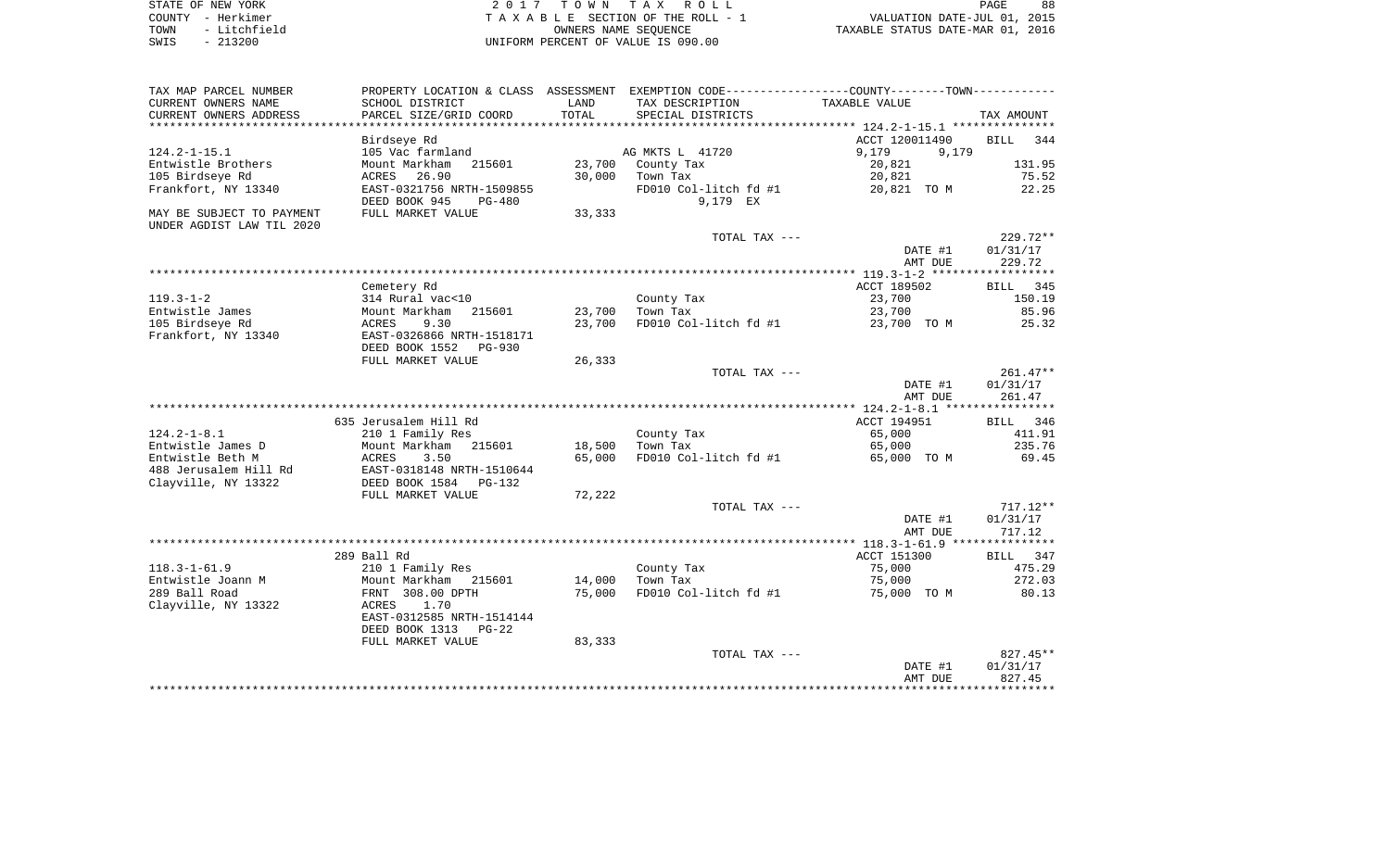| STATE OF NEW YORK |           |              |  |
|-------------------|-----------|--------------|--|
| COUNTY - Herkimer |           |              |  |
| TOWN              |           | - Litchfield |  |
| SWIS              | $-213200$ |              |  |

2017 TOWN TAX ROLL TA X A B L E SECTION OF THE ROLL - 1 TOWN - Litchfield OWNERS NAME SEQUENCE TAXABLE STATUS DATE-MAR 01, 2016 UNIFORM PERCENT OF VALUE IS 090.00

| TAX MAP PARCEL NUMBER     | PROPERTY LOCATION & CLASS ASSESSMENT |        | EXEMPTION CODE----------------COUNTY-------TOWN----------- |                |                    |
|---------------------------|--------------------------------------|--------|------------------------------------------------------------|----------------|--------------------|
| CURRENT OWNERS NAME       | SCHOOL DISTRICT                      | LAND   | TAX DESCRIPTION                                            | TAXABLE VALUE  |                    |
| CURRENT OWNERS ADDRESS    | PARCEL SIZE/GRID COORD               | TOTAL  | SPECIAL DISTRICTS                                          |                | TAX AMOUNT         |
| *********************     | *********************                |        |                                                            |                |                    |
|                           | Birdseye Rd                          |        |                                                            | ACCT 120011490 | <b>BILL</b><br>344 |
| $124.2 - 1 - 15.1$        | 105 Vac farmland                     |        | AG MKTS L 41720                                            | 9,179<br>9,179 |                    |
| Entwistle Brothers        | Mount Markham<br>215601              | 23,700 | County Tax                                                 | 20,821         | 131.95             |
| 105 Birdseye Rd           | ACRES<br>26.90                       | 30,000 | Town Tax                                                   | 20,821         | 75.52              |
| Frankfort, NY 13340       | EAST-0321756 NRTH-1509855            |        | FD010 Col-litch fd #1                                      | 20,821 TO M    | 22.25              |
|                           | DEED BOOK 945<br>PG-480              |        | 9,179 EX                                                   |                |                    |
| MAY BE SUBJECT TO PAYMENT | FULL MARKET VALUE                    | 33,333 |                                                            |                |                    |
| UNDER AGDIST LAW TIL 2020 |                                      |        |                                                            |                |                    |
|                           |                                      |        | TOTAL TAX ---                                              |                | $229.72**$         |
|                           |                                      |        |                                                            | DATE #1        | 01/31/17           |
|                           |                                      |        |                                                            | AMT DUE        | 229.72             |
|                           | Cemetery Rd                          |        |                                                            | ACCT 189502    | 345<br><b>BILL</b> |
| $119.3 - 1 - 2$           | 314 Rural vac<10                     |        | County Tax                                                 | 23,700         | 150.19             |
| Entwistle James           | Mount Markham<br>215601              | 23,700 | Town Tax                                                   | 23,700         | 85.96              |
| 105 Birdseye Rd           | ACRES<br>9.30                        | 23,700 | FD010 Col-litch fd #1                                      | 23,700 TO M    | 25.32              |
| Frankfort, NY 13340       | EAST-0326866 NRTH-1518171            |        |                                                            |                |                    |
|                           | DEED BOOK 1552 PG-930                |        |                                                            |                |                    |
|                           | FULL MARKET VALUE                    | 26,333 |                                                            |                |                    |
|                           |                                      |        | TOTAL TAX ---                                              |                | $261.47**$         |
|                           |                                      |        |                                                            | DATE #1        | 01/31/17           |
|                           |                                      |        |                                                            | AMT DUE        | 261.47             |
|                           |                                      |        |                                                            |                |                    |
|                           | 635 Jerusalem Hill Rd                |        |                                                            | ACCT 194951    | 346<br>BILL        |
| $124.2 - 1 - 8.1$         | 210 1 Family Res                     |        | County Tax                                                 | 65,000         | 411.91             |
| Entwistle James D         | Mount Markham<br>215601              | 18,500 | Town Tax                                                   | 65,000         | 235.76             |
| Entwistle Beth M          | ACRES<br>3.50                        | 65,000 | FD010 Col-litch fd #1                                      | 65,000 TO M    | 69.45              |
| 488 Jerusalem Hill Rd     | EAST-0318148 NRTH-1510644            |        |                                                            |                |                    |
| Clayville, NY 13322       | DEED BOOK 1584 PG-132                |        |                                                            |                |                    |
|                           | FULL MARKET VALUE                    | 72,222 |                                                            |                |                    |
|                           |                                      |        | TOTAL TAX ---                                              |                | $717.12**$         |
|                           |                                      |        |                                                            | DATE #1        | 01/31/17           |
|                           |                                      |        |                                                            | AMT DUE        | 717.12             |
|                           |                                      |        |                                                            |                |                    |
|                           | 289 Ball Rd                          |        |                                                            | ACCT 151300    | BILL 347           |
| $118.3 - 1 - 61.9$        | 210 1 Family Res                     |        | County Tax                                                 | 75,000         | 475.29             |
| Entwistle Joann M         | Mount Markham<br>215601              | 14,000 | Town Tax                                                   | 75,000         | 272.03             |
| 289 Ball Road             | FRNT 308.00 DPTH                     | 75,000 | FD010 Col-litch fd #1                                      | 75,000 TO M    | 80.13              |
| Clayville, NY 13322       | ACRES<br>1.70                        |        |                                                            |                |                    |
|                           | EAST-0312585 NRTH-1514144            |        |                                                            |                |                    |
|                           | DEED BOOK 1313 PG-22                 |        |                                                            |                |                    |
|                           | FULL MARKET VALUE                    | 83,333 |                                                            |                |                    |
|                           |                                      |        | TOTAL TAX ---                                              |                | $827.45**$         |
|                           |                                      |        |                                                            | DATE #1        | 01/31/17           |
|                           |                                      |        |                                                            | AMT DUE        | 827.45             |
|                           |                                      |        |                                                            |                |                    |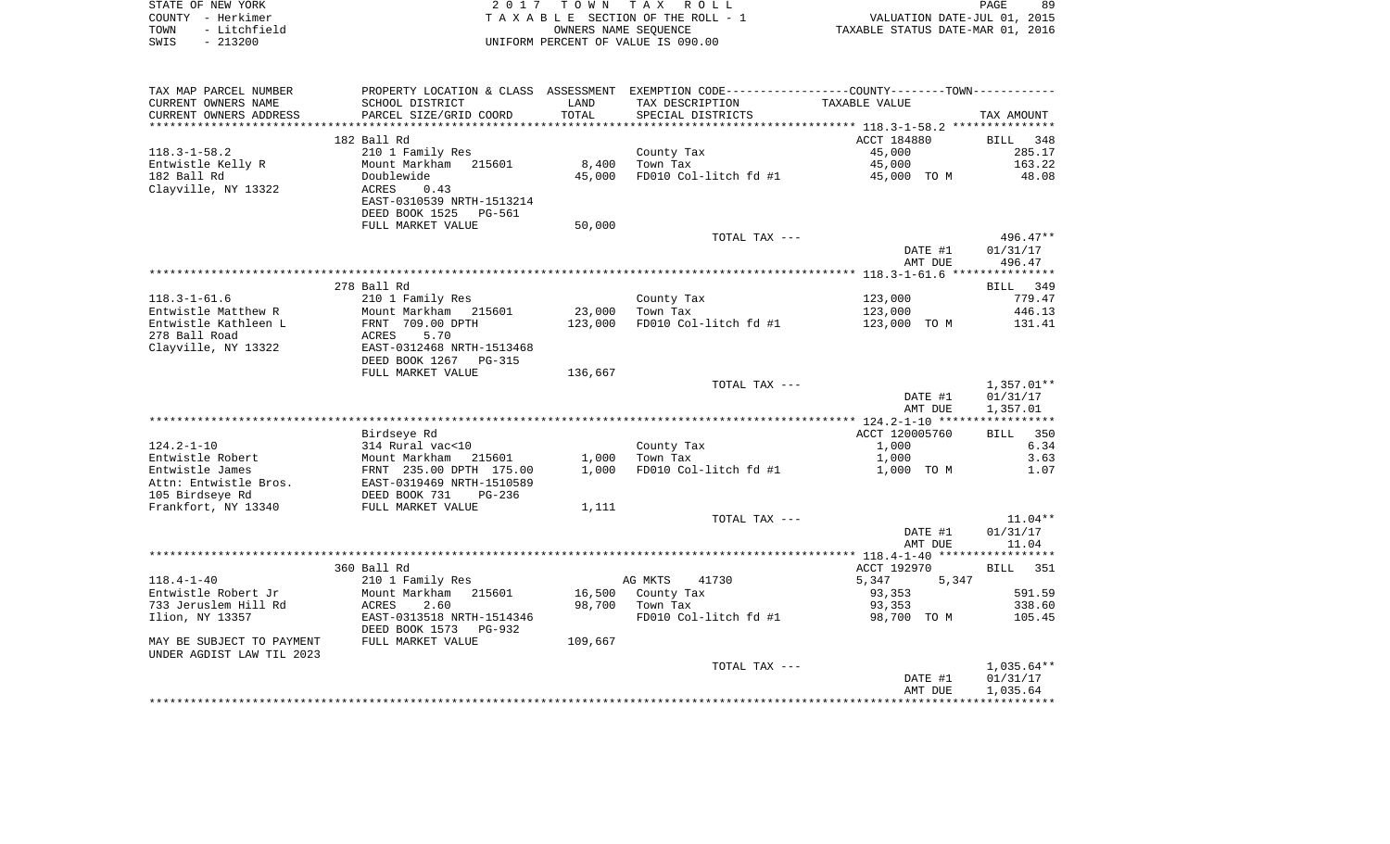|      | STATE OF NEW YORK | 2017 TOWN TAX ROLL                                       | PAGE                        | 89 |
|------|-------------------|----------------------------------------------------------|-----------------------------|----|
|      | COUNTY - Herkimer | TAXABLE SECTION OF THE ROLL - <sup>1</sup>               | VALUATION DATE-JUL 01, 2015 |    |
| TOWN | - Litchfield      | TAXABLE STATUS DATE-MAR 01, 2016<br>OWNERS NAME SEOUENCE |                             |    |
| SWIS | $-213200$         | UNIFORM PERCENT OF VALUE IS 090.00                       |                             |    |

 $89$ <br> $2015$ <br> $2016$ 

| TAX MAP PARCEL NUMBER     |                                             |         | PROPERTY LOCATION & CLASS ASSESSMENT EXEMPTION CODE---------------COUNTY-------TOWN---------- |                       |                    |
|---------------------------|---------------------------------------------|---------|-----------------------------------------------------------------------------------------------|-----------------------|--------------------|
| CURRENT OWNERS NAME       | SCHOOL DISTRICT                             | LAND    | TAX DESCRIPTION                                                                               | TAXABLE VALUE         |                    |
| CURRENT OWNERS ADDRESS    | PARCEL SIZE/GRID COORD                      | TOTAL   | SPECIAL DISTRICTS                                                                             |                       | TAX AMOUNT         |
| *********************     |                                             |         |                                                                                               |                       |                    |
|                           | 182 Ball Rd                                 |         |                                                                                               | ACCT 184880           | <b>BILL</b><br>348 |
| $118.3 - 1 - 58.2$        | 210 1 Family Res                            |         | County Tax                                                                                    | 45,000                | 285.17             |
| Entwistle Kelly R         | Mount Markham<br>215601                     | 8,400   | Town Tax                                                                                      | 45,000                | 163.22             |
| 182 Ball Rd               | Doublewide                                  | 45,000  | FD010 Col-litch fd #1                                                                         | 45,000 TO M           | 48.08              |
| Clayville, NY 13322       | ACRES<br>0.43                               |         |                                                                                               |                       |                    |
|                           | EAST-0310539 NRTH-1513214                   |         |                                                                                               |                       |                    |
|                           | DEED BOOK 1525<br>PG-561                    |         |                                                                                               |                       |                    |
|                           | FULL MARKET VALUE                           | 50,000  |                                                                                               |                       |                    |
|                           |                                             |         | TOTAL TAX ---                                                                                 |                       | $496.47**$         |
|                           |                                             |         |                                                                                               | DATE #1               | 01/31/17           |
|                           |                                             |         |                                                                                               | AMT DUE               | 496.47             |
|                           |                                             |         |                                                                                               |                       |                    |
|                           | 278 Ball Rd                                 |         |                                                                                               |                       | BILL 349           |
| $118.3 - 1 - 61.6$        | 210 1 Family Res                            |         | County Tax                                                                                    | 123,000               | 779.47             |
| Entwistle Matthew R       | Mount Markham<br>215601                     | 23,000  | Town Tax                                                                                      | 123,000               | 446.13             |
| Entwistle Kathleen L      | FRNT 709.00 DPTH                            | 123,000 | FD010 Col-litch fd #1                                                                         | 123,000 TO M          | 131.41             |
| 278 Ball Road             | 5.70<br>ACRES                               |         |                                                                                               |                       |                    |
| Clayville, NY 13322       | EAST-0312468 NRTH-1513468                   |         |                                                                                               |                       |                    |
|                           | DEED BOOK 1267<br><b>PG-315</b>             |         |                                                                                               |                       |                    |
|                           | FULL MARKET VALUE                           | 136,667 |                                                                                               |                       |                    |
|                           |                                             |         | TOTAL TAX ---                                                                                 |                       | $1,357.01**$       |
|                           |                                             |         |                                                                                               | DATE #1               | 01/31/17           |
|                           |                                             |         |                                                                                               | AMT DUE               | 1,357.01           |
|                           |                                             |         |                                                                                               |                       |                    |
|                           | Birdseye Rd                                 |         |                                                                                               | ACCT 120005760        | 350<br>BILL        |
| $124.2 - 1 - 10$          | 314 Rural vac<10                            |         | County Tax                                                                                    | 1,000                 | 6.34               |
| Entwistle Robert          | Mount Markham<br>215601                     | 1,000   | Town Tax                                                                                      | 1,000                 | 3.63               |
| Entwistle James           | FRNT 235.00 DPTH 175.00                     | 1,000   | FD010 Col-litch fd #1                                                                         | 1,000 TO M            | 1.07               |
| Attn: Entwistle Bros.     | EAST-0319469 NRTH-1510589                   |         |                                                                                               |                       |                    |
| 105 Birdseye Rd           | DEED BOOK 731<br>$PG-236$                   |         |                                                                                               |                       |                    |
| Frankfort, NY 13340       | FULL MARKET VALUE                           | 1,111   |                                                                                               |                       |                    |
|                           |                                             |         | TOTAL TAX ---                                                                                 |                       | $11.04**$          |
|                           |                                             |         |                                                                                               | DATE #1               | 01/31/17           |
|                           |                                             |         |                                                                                               | AMT DUE               | 11.04              |
|                           | 360 Ball Rd                                 |         |                                                                                               | ACCT 192970           | <b>BILL</b><br>351 |
| $118.4 - 1 - 40$          |                                             |         | AG MKTS<br>41730                                                                              | 5,347                 |                    |
| Entwistle Robert Jr       | 210 1 Family Res<br>Mount Markham<br>215601 | 16,500  | County Tax                                                                                    | 5,347<br>93,353       | 591.59             |
| 733 Jeruslem Hill Rd      | 2.60                                        |         | Town Tax                                                                                      |                       |                    |
| Ilion, NY 13357           | ACRES<br>EAST-0313518 NRTH-1514346          | 98,700  | FD010 Col-litch fd #1                                                                         | 93,353<br>98,700 TO M | 338.60<br>105.45   |
|                           | DEED BOOK 1573<br>PG-932                    |         |                                                                                               |                       |                    |
| MAY BE SUBJECT TO PAYMENT | FULL MARKET VALUE                           | 109,667 |                                                                                               |                       |                    |
| UNDER AGDIST LAW TIL 2023 |                                             |         |                                                                                               |                       |                    |
|                           |                                             |         | TOTAL TAX ---                                                                                 |                       | $1,035.64**$       |
|                           |                                             |         |                                                                                               | DATE #1               | 01/31/17           |
|                           |                                             |         |                                                                                               | AMT DUE               | 1,035.64           |
|                           |                                             |         |                                                                                               |                       |                    |
|                           |                                             |         |                                                                                               |                       |                    |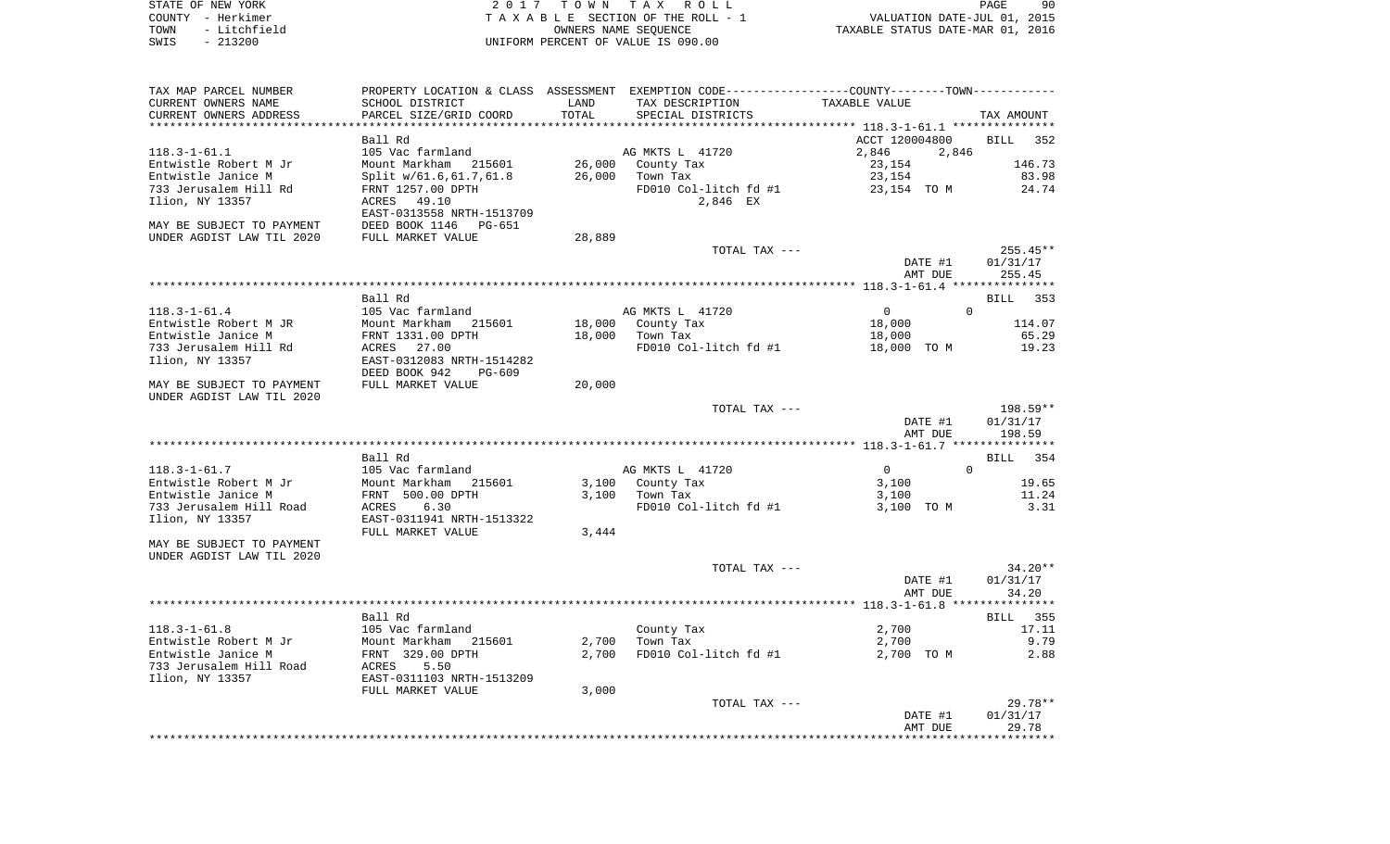| STATE OF NEW YORK    | 2017 TOWN TAX ROLL                 | 90<br>PAGE                       |
|----------------------|------------------------------------|----------------------------------|
| COUNTY - Herkimer    | TAXABLE SECTION OF THE ROLL - 1    | VALUATION DATE-JUL 01, 2015      |
| - Litchfield<br>TOWN | OWNERS NAME SEOUENCE               | TAXABLE STATUS DATE-MAR 01, 2016 |
| $-213200$<br>SWIS    | UNIFORM PERCENT OF VALUE IS 090.00 |                                  |

| TAX MAP PARCEL NUMBER<br>CURRENT OWNERS NAME<br>CURRENT OWNERS ADDRESS<br>********************** | SCHOOL DISTRICT<br>PARCEL SIZE/GRID COORD            | LAND<br>TOTAL | PROPERTY LOCATION & CLASS ASSESSMENT EXEMPTION CODE---------------COUNTY-------TOWN----------<br>TAX DESCRIPTION<br>SPECIAL DISTRICTS | TAXABLE VALUE              | TAX AMOUNT                       |
|--------------------------------------------------------------------------------------------------|------------------------------------------------------|---------------|---------------------------------------------------------------------------------------------------------------------------------------|----------------------------|----------------------------------|
|                                                                                                  | Ball Rd                                              |               |                                                                                                                                       |                            | 352                              |
|                                                                                                  |                                                      |               |                                                                                                                                       | ACCT 120004800             | BILL                             |
| $118.3 - 1 - 61.1$                                                                               | 105 Vac farmland                                     |               | AG MKTS L 41720                                                                                                                       | 2,846<br>2,846             |                                  |
| Entwistle Robert M Jr                                                                            | Mount Markham 215601                                 | 26,000        | County Tax                                                                                                                            | 23,154                     | 146.73                           |
| Entwistle Janice M                                                                               | Split w/61.6,61.7,61.8                               | 26,000        | Town Tax                                                                                                                              | 23,154                     | 83.98                            |
| 733 Jerusalem Hill Rd                                                                            | FRNT 1257.00 DPTH                                    |               | FD010 Col-litch fd #1                                                                                                                 | 23,154 TO M                | 24.74                            |
| Ilion, NY 13357                                                                                  | ACRES<br>49.10<br>EAST-0313558 NRTH-1513709          |               | 2,846 EX                                                                                                                              |                            |                                  |
| MAY BE SUBJECT TO PAYMENT                                                                        | DEED BOOK 1146<br>$PG-651$                           |               |                                                                                                                                       |                            |                                  |
| UNDER AGDIST LAW TIL 2020                                                                        | FULL MARKET VALUE                                    | 28,889        |                                                                                                                                       |                            |                                  |
|                                                                                                  |                                                      |               | TOTAL TAX ---                                                                                                                         | DATE #1<br>AMT DUE         | $255.45**$<br>01/31/17<br>255.45 |
|                                                                                                  |                                                      |               |                                                                                                                                       |                            |                                  |
|                                                                                                  | Ball Rd                                              |               |                                                                                                                                       |                            | BILL 353                         |
| $118.3 - 1 - 61.4$                                                                               | 105 Vac farmland                                     |               | AG MKTS L 41720                                                                                                                       | $\overline{0}$<br>$\Omega$ |                                  |
| Entwistle Robert M JR                                                                            | Mount Markham 215601                                 | 18,000        | County Tax                                                                                                                            | 18,000                     | 114.07                           |
| Entwistle Janice M                                                                               | FRNT 1331.00 DPTH                                    | 18,000        | Town Tax                                                                                                                              | 18,000                     | 65.29                            |
| 733 Jerusalem Hill Rd                                                                            | ACRES<br>27.00                                       |               | FD010 Col-litch fd #1                                                                                                                 | 18,000 TO M                | 19.23                            |
| Ilion, NY 13357                                                                                  | EAST-0312083 NRTH-1514282<br>DEED BOOK 942<br>PG-609 |               |                                                                                                                                       |                            |                                  |
| MAY BE SUBJECT TO PAYMENT                                                                        | FULL MARKET VALUE                                    | 20,000        |                                                                                                                                       |                            |                                  |
| UNDER AGDIST LAW TIL 2020                                                                        |                                                      |               |                                                                                                                                       |                            |                                  |
|                                                                                                  |                                                      |               | TOTAL TAX ---                                                                                                                         |                            | 198.59**                         |
|                                                                                                  |                                                      |               |                                                                                                                                       | DATE #1                    | 01/31/17                         |
|                                                                                                  |                                                      |               |                                                                                                                                       | AMT DUE                    | 198.59                           |
|                                                                                                  |                                                      |               |                                                                                                                                       |                            |                                  |
|                                                                                                  |                                                      |               |                                                                                                                                       |                            |                                  |
|                                                                                                  | Ball Rd                                              |               |                                                                                                                                       |                            | 354<br>BILL                      |
| $118.3 - 1 - 61.7$                                                                               | 105 Vac farmland                                     |               | AG MKTS L 41720                                                                                                                       | $\mathbf{0}$<br>$\Omega$   |                                  |
| Entwistle Robert M Jr                                                                            | Mount Markham 215601                                 | 3,100         | County Tax                                                                                                                            | 3,100                      | 19.65                            |
| Entwistle Janice M                                                                               | FRNT 500.00 DPTH                                     | 3,100         | Town Tax                                                                                                                              | 3,100                      | 11.24                            |
| 733 Jerusalem Hill Road                                                                          | 6.30<br><b>ACRES</b>                                 |               | FD010 Col-litch fd #1                                                                                                                 | 3,100 TO M                 | 3.31                             |
| Ilion, NY 13357                                                                                  | EAST-0311941 NRTH-1513322                            |               |                                                                                                                                       |                            |                                  |
|                                                                                                  | FULL MARKET VALUE                                    | 3,444         |                                                                                                                                       |                            |                                  |
| MAY BE SUBJECT TO PAYMENT                                                                        |                                                      |               |                                                                                                                                       |                            |                                  |
| UNDER AGDIST LAW TIL 2020                                                                        |                                                      |               |                                                                                                                                       |                            |                                  |
|                                                                                                  |                                                      |               | TOTAL TAX ---                                                                                                                         |                            | $34.20**$                        |
|                                                                                                  |                                                      |               |                                                                                                                                       | DATE #1                    | 01/31/17                         |
|                                                                                                  |                                                      |               |                                                                                                                                       | AMT DUE                    | 34.20                            |
|                                                                                                  |                                                      |               |                                                                                                                                       |                            |                                  |
|                                                                                                  | Ball Rd                                              |               |                                                                                                                                       |                            | BILL 355                         |
| $118.3 - 1 - 61.8$                                                                               | 105 Vac farmland                                     |               | County Tax                                                                                                                            | 2,700                      | 17.11                            |
| Entwistle Robert M Jr                                                                            | Mount Markham<br>215601                              | 2,700         | Town Tax                                                                                                                              | 2,700                      | 9.79                             |
| Entwistle Janice M                                                                               | FRNT 329.00 DPTH                                     | 2,700         | FD010 Col-litch fd #1                                                                                                                 | 2,700 TO M                 | 2.88                             |
| 733 Jerusalem Hill Road                                                                          | ACRES<br>5.50                                        |               |                                                                                                                                       |                            |                                  |
| Ilion, NY 13357                                                                                  | EAST-0311103 NRTH-1513209                            |               |                                                                                                                                       |                            |                                  |
|                                                                                                  | FULL MARKET VALUE                                    | 3,000         |                                                                                                                                       |                            |                                  |
|                                                                                                  |                                                      |               | TOTAL TAX ---                                                                                                                         |                            | 29.78**                          |
|                                                                                                  |                                                      |               |                                                                                                                                       |                            | 01/31/17                         |
|                                                                                                  |                                                      |               |                                                                                                                                       | DATE #1                    |                                  |
|                                                                                                  |                                                      |               |                                                                                                                                       | AMT DUE                    | 29.78                            |
|                                                                                                  |                                                      |               |                                                                                                                                       |                            |                                  |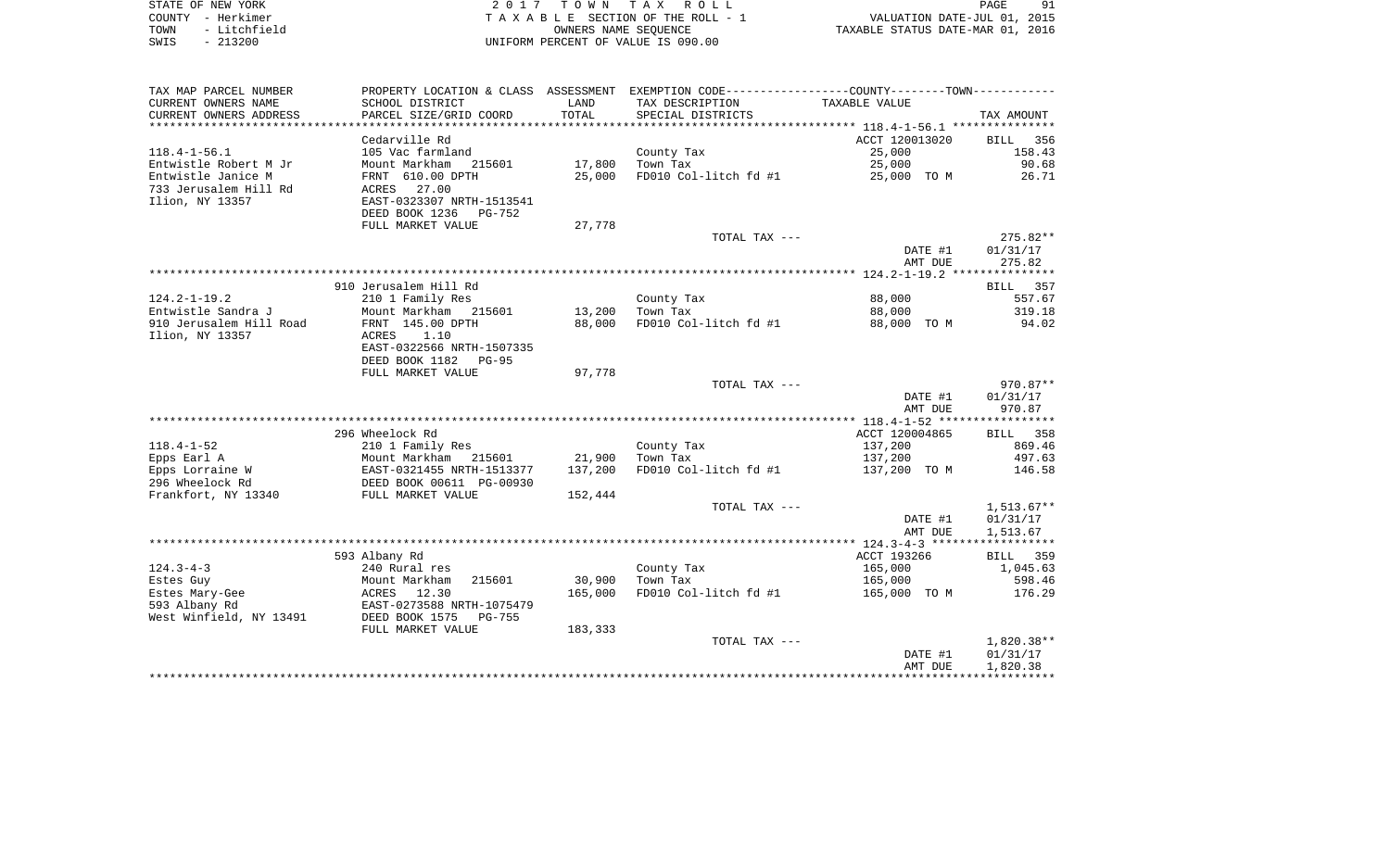| STATE OF NEW YORK    | 2017 TOWN TAX ROLL                 | 91<br>PAGE                       |
|----------------------|------------------------------------|----------------------------------|
| COUNTY - Herkimer    | TAXABLE SECTION OF THE ROLL - 1    | VALUATION DATE-JUL 01, 2015      |
| - Litchfield<br>TOWN | OWNERS NAME SEOUENCE               | TAXABLE STATUS DATE-MAR 01, 2016 |
| $-213200$<br>SWIS    | UNIFORM PERCENT OF VALUE IS 090.00 |                                  |

| TAX MAP PARCEL NUMBER   | PROPERTY LOCATION & CLASS |         | ASSESSMENT EXEMPTION CODE-----------------COUNTY-------TOWN---------- |                |              |
|-------------------------|---------------------------|---------|-----------------------------------------------------------------------|----------------|--------------|
| CURRENT OWNERS NAME     | SCHOOL DISTRICT           | LAND    | TAX DESCRIPTION                                                       | TAXABLE VALUE  |              |
| CURRENT OWNERS ADDRESS  | PARCEL SIZE/GRID COORD    | TOTAL   | SPECIAL DISTRICTS                                                     |                | TAX AMOUNT   |
|                         |                           |         |                                                                       |                |              |
|                         | Cedarville Rd             |         |                                                                       | ACCT 120013020 | 356<br>BILL  |
| $118.4 - 1 - 56.1$      | 105 Vac farmland          |         | County Tax                                                            | 25,000         | 158.43       |
| Entwistle Robert M Jr   | Mount Markham<br>215601   | 17,800  | Town Tax                                                              | 25,000         | 90.68        |
| Entwistle Janice M      | FRNT 610.00 DPTH          | 25,000  | FD010 Col-litch fd #1                                                 | 25,000 TO M    | 26.71        |
| 733 Jerusalem Hill Rd   | 27.00<br>ACRES            |         |                                                                       |                |              |
| Ilion, NY 13357         | EAST-0323307 NRTH-1513541 |         |                                                                       |                |              |
|                         | DEED BOOK 1236<br>PG-752  |         |                                                                       |                |              |
|                         | FULL MARKET VALUE         | 27,778  |                                                                       |                |              |
|                         |                           |         | TOTAL TAX ---                                                         |                | 275.82**     |
|                         |                           |         |                                                                       | DATE #1        | 01/31/17     |
|                         |                           |         |                                                                       | AMT DUE        | 275.82       |
|                         |                           |         |                                                                       |                |              |
|                         | 910 Jerusalem Hill Rd     |         |                                                                       |                | 357<br>BILL  |
| $124.2 - 1 - 19.2$      | 210 1 Family Res          |         | County Tax                                                            | 88,000         | 557.67       |
| Entwistle Sandra J      | Mount Markham 215601      | 13,200  | Town Tax                                                              | 88,000         | 319.18       |
| 910 Jerusalem Hill Road | FRNT 145.00 DPTH          | 88,000  | FD010 Col-litch fd #1                                                 | 88,000 TO M    | 94.02        |
| Ilion, NY 13357         | ACRES<br>1.10             |         |                                                                       |                |              |
|                         | EAST-0322566 NRTH-1507335 |         |                                                                       |                |              |
|                         | DEED BOOK 1182<br>$PG-95$ |         |                                                                       |                |              |
|                         | FULL MARKET VALUE         | 97,778  |                                                                       |                |              |
|                         |                           |         | TOTAL TAX ---                                                         |                | $970.87**$   |
|                         |                           |         |                                                                       | DATE #1        | 01/31/17     |
|                         |                           |         |                                                                       | AMT DUE        | 970.87       |
|                         |                           |         |                                                                       |                |              |
|                         | 296 Wheelock Rd           |         |                                                                       | ACCT 120004865 | BILL 358     |
| $118.4 - 1 - 52$        | 210 1 Family Res          |         | County Tax                                                            | 137,200        | 869.46       |
| Epps Earl A             | Mount Markham<br>215601   | 21,900  | Town Tax                                                              | 137,200        | 497.63       |
| Epps Lorraine W         | EAST-0321455 NRTH-1513377 | 137,200 | FD010 Col-litch fd #1                                                 | 137,200 TO M   | 146.58       |
| 296 Wheelock Rd         | DEED BOOK 00611 PG-00930  |         |                                                                       |                |              |
| Frankfort, NY 13340     | FULL MARKET VALUE         | 152,444 |                                                                       |                |              |
|                         |                           |         | TOTAL TAX ---                                                         |                | $1,513.67**$ |
|                         |                           |         |                                                                       | DATE #1        | 01/31/17     |
|                         |                           |         |                                                                       | AMT DUE        | 1,513.67     |
|                         |                           |         |                                                                       |                |              |
|                         | 593 Albany Rd             |         |                                                                       | ACCT 193266    | BILL 359     |
| $124.3 - 4 - 3$         | 240 Rural res             |         | County Tax                                                            | 165,000        | 1,045.63     |
| Estes Guy               | Mount Markham<br>215601   | 30,900  | Town Tax                                                              | 165,000        | 598.46       |
| Estes Mary-Gee          | 12.30<br>ACRES            | 165,000 | FD010 Col-litch fd #1                                                 | 165,000 TO M   | 176.29       |
| 593 Albany Rd           | EAST-0273588 NRTH-1075479 |         |                                                                       |                |              |
| West Winfield, NY 13491 | DEED BOOK 1575<br>PG-755  |         |                                                                       |                |              |
|                         | FULL MARKET VALUE         | 183,333 |                                                                       |                |              |
|                         |                           |         | TOTAL TAX ---                                                         |                | $1,820.38**$ |
|                         |                           |         |                                                                       | DATE #1        | 01/31/17     |
|                         |                           |         |                                                                       | AMT DUE        | 1,820.38     |
|                         |                           |         |                                                                       |                |              |
|                         |                           |         |                                                                       |                |              |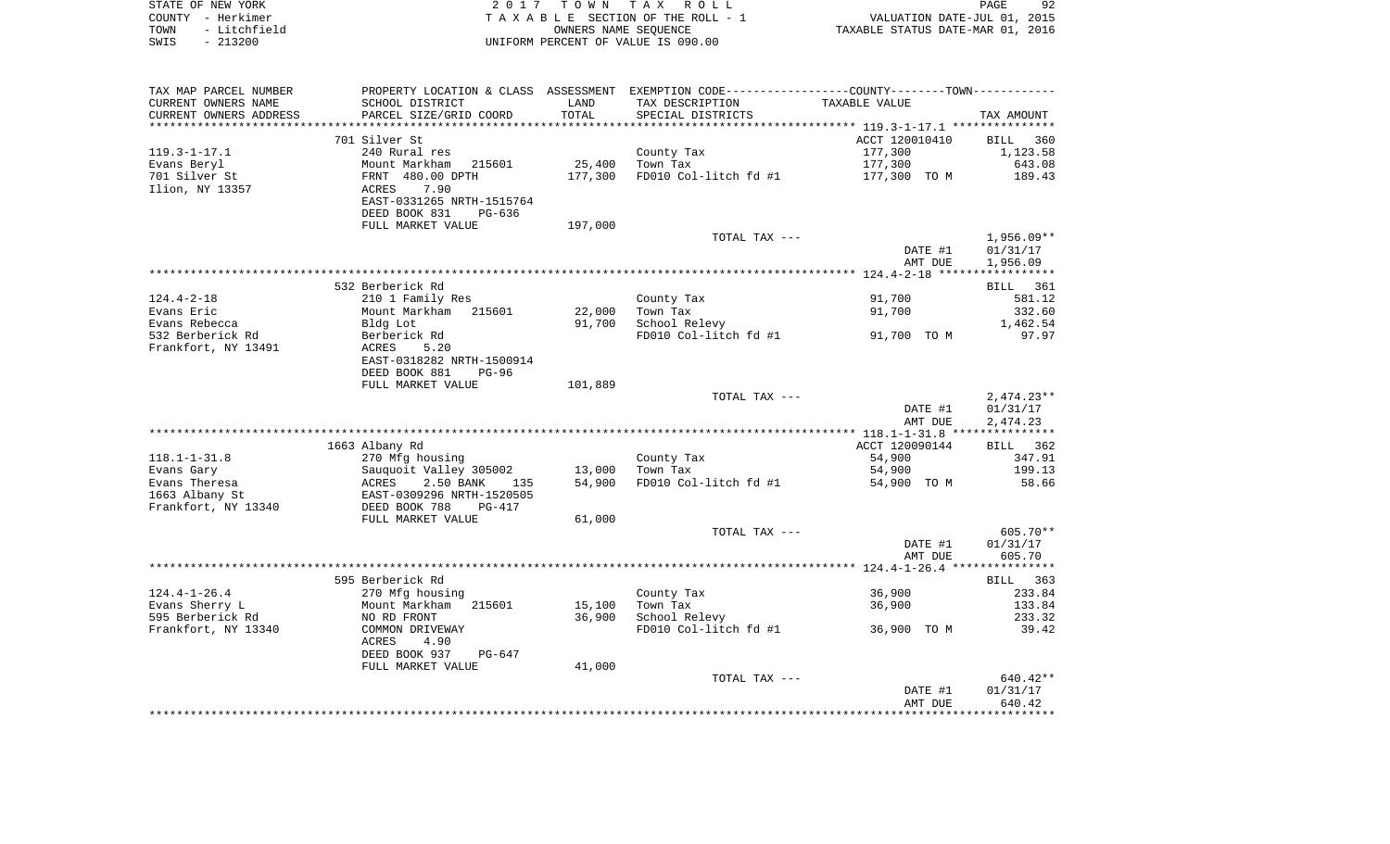| STATE OF NEW YORK |              | 2017 TOWN TAX ROLL                 | 92<br>PAGE                       |
|-------------------|--------------|------------------------------------|----------------------------------|
| COUNTY - Herkimer |              | TAXABLE SECTION OF THE ROLL - 1    | VALUATION DATE-JUL 01, 2015      |
| TOWN              | - Litchfield | OWNERS NAME SEOUENCE               | TAXABLE STATUS DATE-MAR 01, 2016 |
| SWIS              | - 213200     | UNIFORM PERCENT OF VALUE IS 090.00 |                                  |

| TAX MAP PARCEL NUMBER  | PROPERTY LOCATION & CLASS ASSESSMENT EXEMPTION CODE---------------COUNTY-------TOWN----------      |         |                       |                |                 |
|------------------------|----------------------------------------------------------------------------------------------------|---------|-----------------------|----------------|-----------------|
| CURRENT OWNERS NAME    | SCHOOL DISTRICT                                                                                    | LAND    | TAX DESCRIPTION       | TAXABLE VALUE  |                 |
| CURRENT OWNERS ADDRESS | PARCEL SIZE/GRID COORD                                                                             | TOTAL   | SPECIAL DISTRICTS     |                | TAX AMOUNT      |
|                        |                                                                                                    |         |                       |                |                 |
|                        | 701 Silver St                                                                                      |         |                       | ACCT 120010410 | BILL 360        |
| 119.3-1-17.1           | 240 Rural res                                                                                      |         | County Tax            | 177,300        | 1,123.58        |
| Evans Beryl            | Mount Markham<br>215601                                                                            | 25,400  | Town Tax              | 177,300        | 643.08          |
| 701 Silver St          | FRNT 480.00 DPTH                                                                                   | 177,300 | FD010 Col-litch fd #1 | 177,300 TO M   | 189.43          |
| Ilion, NY 13357        | 7.90<br>ACRES                                                                                      |         |                       |                |                 |
|                        | EAST-0331265 NRTH-1515764                                                                          |         |                       |                |                 |
|                        | DEED BOOK 831<br>PG-636                                                                            |         |                       |                |                 |
|                        | FULL MARKET VALUE                                                                                  | 197,000 |                       |                |                 |
|                        |                                                                                                    |         | TOTAL TAX ---         |                | 1,956.09**      |
|                        |                                                                                                    |         |                       | DATE #1        | 01/31/17        |
|                        |                                                                                                    |         |                       | AMT DUE        | 1,956.09        |
|                        |                                                                                                    |         |                       |                |                 |
|                        |                                                                                                    |         |                       |                |                 |
|                        | 532 Berberick Rd                                                                                   |         |                       |                | <b>BILL</b> 361 |
| 124.4-2-18             | 210 1 Family Res                                                                                   |         | County Tax            | 91,700         | 581.12          |
| Evans Eric             | Mount Markham 215601                                                                               | 22,000  | Town Tax              | 91,700         | 332.60          |
| Evans Rebecca          | Bldg Lot                                                                                           | 91,700  | School Relevy         |                | 1,462.54        |
| 532 Berberick Rd       | Berberick Rd                                                                                       |         | FD010 Col-litch fd #1 | 91,700 TO M    | 97.97           |
| Frankfort, NY 13491    | ACRES<br>5.20                                                                                      |         |                       |                |                 |
|                        | EAST-0318282 NRTH-1500914                                                                          |         |                       |                |                 |
|                        | DEED BOOK 881<br>PG-96                                                                             |         |                       |                |                 |
|                        | FULL MARKET VALUE                                                                                  | 101,889 |                       |                |                 |
|                        |                                                                                                    |         | TOTAL TAX ---         |                | 2,474.23**      |
|                        |                                                                                                    |         |                       | DATE #1        | 01/31/17        |
|                        |                                                                                                    |         |                       | AMT DUE        | 2,474.23        |
|                        |                                                                                                    |         |                       |                |                 |
|                        | 1663 Albany Rd                                                                                     |         |                       | ACCT 120090144 | BILL 362        |
| $118.1 - 1 - 31.8$     | 270 Mfg housing                                                                                    |         | County Tax            | 54,900         | 347.91          |
| Evans Gary             |                                                                                                    | 13,000  | Town Tax              | 54,900         | 199.13          |
| Evans Theresa          |                                                                                                    | 54,900  | FD010 Col-litch fd #1 | 54,900 TO M    | 58.66           |
| 1663 Albany St         |                                                                                                    |         |                       |                |                 |
| Frankfort, NY 13340    | Sauquoit Valley 305002<br>ACRES 2.50 BANK 135<br>EAST-0309296 NRTH-1520505<br>DEED BOOK 788 PG-417 |         |                       |                |                 |
|                        | FULL MARKET VALUE                                                                                  | 61,000  |                       |                |                 |
|                        |                                                                                                    |         | TOTAL TAX ---         |                | 605.70**        |
|                        |                                                                                                    |         |                       |                |                 |
|                        |                                                                                                    |         |                       | DATE #1        | 01/31/17        |
|                        |                                                                                                    |         |                       | AMT DUE        | 605.70          |
|                        |                                                                                                    |         |                       |                |                 |
|                        | 595 Berberick Rd                                                                                   |         |                       |                | BILL 363        |
| $124.4 - 1 - 26.4$     | 270 Mfg housing                                                                                    |         | County Tax            | 36,900         | 233.84          |
| Evans Sherry L         | Mount Markham 215601                                                                               | 15,100  | Town Tax              | 36,900         | 133.84          |
| 595 Berberick Rd       | NO RD FRONT                                                                                        | 36,900  | School Relevy         |                | 233.32          |
| Frankfort, NY 13340    | COMMON DRIVEWAY                                                                                    |         | FD010 Col-litch fd #1 | 36,900 TO M    | 39.42           |
|                        | ACRES<br>4.90                                                                                      |         |                       |                |                 |
|                        | DEED BOOK 937<br>PG-647                                                                            |         |                       |                |                 |
|                        | FULL MARKET VALUE                                                                                  | 41,000  |                       |                |                 |
|                        |                                                                                                    |         | TOTAL TAX ---         |                | $640.42**$      |
|                        |                                                                                                    |         |                       | DATE #1        | 01/31/17        |
|                        |                                                                                                    |         |                       | AMT DUE        | 640.42          |
|                        |                                                                                                    |         |                       |                |                 |
|                        |                                                                                                    |         |                       |                |                 |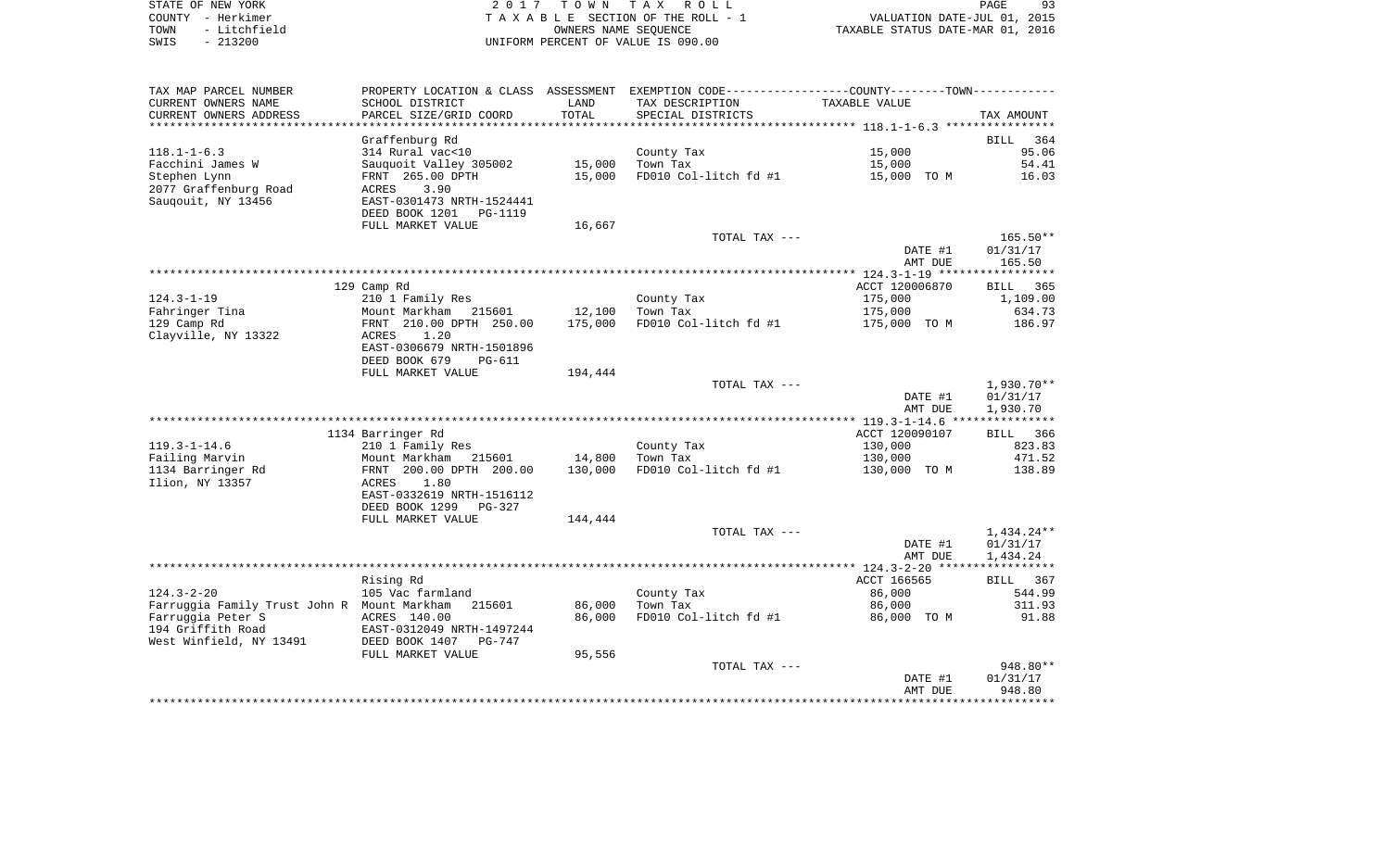| STATE OF NEW YORK    | 2017 TOWN TAX ROLL                 | PAGE                             | 93 |
|----------------------|------------------------------------|----------------------------------|----|
| COUNTY - Herkimer    | TAXABLE SECTION OF THE ROLL - 1    | VALUATION DATE-JUL 01, 2015      |    |
| - Litchfield<br>TOWN | OWNERS NAME SEOUENCE               | TAXABLE STATUS DATE-MAR 01, 2016 |    |
| $-213200$<br>SWIS    | UNIFORM PERCENT OF VALUE IS 090.00 |                                  |    |

| PARCEL SIZE/GRID COORD<br>Graffenburg Rd                                       | TOTAL                                                                                                                                                                                                                                                                                                                                                               | SPECIAL DISTRICTS                                                     |                                                                                                                                                                                         |                                                                                                                                                                                                                  |
|--------------------------------------------------------------------------------|---------------------------------------------------------------------------------------------------------------------------------------------------------------------------------------------------------------------------------------------------------------------------------------------------------------------------------------------------------------------|-----------------------------------------------------------------------|-----------------------------------------------------------------------------------------------------------------------------------------------------------------------------------------|------------------------------------------------------------------------------------------------------------------------------------------------------------------------------------------------------------------|
|                                                                                |                                                                                                                                                                                                                                                                                                                                                                     |                                                                       |                                                                                                                                                                                         | TAX AMOUNT                                                                                                                                                                                                       |
|                                                                                |                                                                                                                                                                                                                                                                                                                                                                     |                                                                       |                                                                                                                                                                                         | 364<br>BILL                                                                                                                                                                                                      |
| 314 Rural vac<10                                                               |                                                                                                                                                                                                                                                                                                                                                                     | County Tax                                                            | 15,000                                                                                                                                                                                  | 95.06                                                                                                                                                                                                            |
| Sauquoit Valley 305002                                                         | 15,000                                                                                                                                                                                                                                                                                                                                                              | Town Tax                                                              | 15,000                                                                                                                                                                                  | 54.41                                                                                                                                                                                                            |
| FRNT 265.00 DPTH                                                               | 15,000                                                                                                                                                                                                                                                                                                                                                              | FD010 Col-litch fd #1                                                 | 15,000 TO M                                                                                                                                                                             | 16.03                                                                                                                                                                                                            |
| <b>ACRES</b><br>3.90<br>EAST-0301473 NRTH-1524441<br>DEED BOOK 1201<br>PG-1119 |                                                                                                                                                                                                                                                                                                                                                                     |                                                                       |                                                                                                                                                                                         |                                                                                                                                                                                                                  |
| FULL MARKET VALUE                                                              | 16,667                                                                                                                                                                                                                                                                                                                                                              |                                                                       |                                                                                                                                                                                         |                                                                                                                                                                                                                  |
|                                                                                |                                                                                                                                                                                                                                                                                                                                                                     | TOTAL TAX ---                                                         | DATE #1<br>AMT DUE                                                                                                                                                                      | 165.50**<br>01/31/17<br>165.50                                                                                                                                                                                   |
|                                                                                |                                                                                                                                                                                                                                                                                                                                                                     |                                                                       |                                                                                                                                                                                         |                                                                                                                                                                                                                  |
| 129 Camp Rd                                                                    |                                                                                                                                                                                                                                                                                                                                                                     |                                                                       |                                                                                                                                                                                         | <b>BILL</b><br>365                                                                                                                                                                                               |
|                                                                                |                                                                                                                                                                                                                                                                                                                                                                     |                                                                       |                                                                                                                                                                                         | 1,109.00                                                                                                                                                                                                         |
|                                                                                |                                                                                                                                                                                                                                                                                                                                                                     |                                                                       |                                                                                                                                                                                         | 634.73                                                                                                                                                                                                           |
| ACRES<br>1.20<br>EAST-0306679 NRTH-1501896                                     |                                                                                                                                                                                                                                                                                                                                                                     |                                                                       |                                                                                                                                                                                         | 186.97                                                                                                                                                                                                           |
|                                                                                |                                                                                                                                                                                                                                                                                                                                                                     |                                                                       |                                                                                                                                                                                         |                                                                                                                                                                                                                  |
|                                                                                |                                                                                                                                                                                                                                                                                                                                                                     |                                                                       |                                                                                                                                                                                         |                                                                                                                                                                                                                  |
|                                                                                |                                                                                                                                                                                                                                                                                                                                                                     |                                                                       | DATE #1<br>AMT DUE                                                                                                                                                                      | 1,930.70**<br>01/31/17<br>1,930.70                                                                                                                                                                               |
|                                                                                |                                                                                                                                                                                                                                                                                                                                                                     |                                                                       |                                                                                                                                                                                         |                                                                                                                                                                                                                  |
|                                                                                |                                                                                                                                                                                                                                                                                                                                                                     |                                                                       |                                                                                                                                                                                         | BILL 366                                                                                                                                                                                                         |
|                                                                                |                                                                                                                                                                                                                                                                                                                                                                     |                                                                       |                                                                                                                                                                                         | 823.83                                                                                                                                                                                                           |
|                                                                                |                                                                                                                                                                                                                                                                                                                                                                     |                                                                       |                                                                                                                                                                                         | 471.52                                                                                                                                                                                                           |
| 1.80<br>ACRES<br>EAST-0332619 NRTH-1516112<br>DEED BOOK 1299<br>PG-327         |                                                                                                                                                                                                                                                                                                                                                                     |                                                                       |                                                                                                                                                                                         | 138.89                                                                                                                                                                                                           |
| FULL MARKET VALUE                                                              | 144,444                                                                                                                                                                                                                                                                                                                                                             |                                                                       |                                                                                                                                                                                         |                                                                                                                                                                                                                  |
|                                                                                |                                                                                                                                                                                                                                                                                                                                                                     |                                                                       |                                                                                                                                                                                         | 1,434.24**                                                                                                                                                                                                       |
|                                                                                |                                                                                                                                                                                                                                                                                                                                                                     |                                                                       |                                                                                                                                                                                         | 01/31/17                                                                                                                                                                                                         |
|                                                                                |                                                                                                                                                                                                                                                                                                                                                                     |                                                                       |                                                                                                                                                                                         | 1,434.24                                                                                                                                                                                                         |
|                                                                                |                                                                                                                                                                                                                                                                                                                                                                     |                                                                       |                                                                                                                                                                                         |                                                                                                                                                                                                                  |
|                                                                                |                                                                                                                                                                                                                                                                                                                                                                     |                                                                       |                                                                                                                                                                                         | <b>BILL</b><br>367<br>544.99                                                                                                                                                                                     |
|                                                                                |                                                                                                                                                                                                                                                                                                                                                                     |                                                                       |                                                                                                                                                                                         | 311.93                                                                                                                                                                                                           |
|                                                                                |                                                                                                                                                                                                                                                                                                                                                                     |                                                                       |                                                                                                                                                                                         | 91.88                                                                                                                                                                                                            |
|                                                                                |                                                                                                                                                                                                                                                                                                                                                                     |                                                                       |                                                                                                                                                                                         |                                                                                                                                                                                                                  |
| DEED BOOK 1407<br>PG-747                                                       |                                                                                                                                                                                                                                                                                                                                                                     |                                                                       |                                                                                                                                                                                         |                                                                                                                                                                                                                  |
| FULL MARKET VALUE                                                              | 95,556                                                                                                                                                                                                                                                                                                                                                              |                                                                       |                                                                                                                                                                                         |                                                                                                                                                                                                                  |
|                                                                                |                                                                                                                                                                                                                                                                                                                                                                     | TOTAL TAX ---                                                         |                                                                                                                                                                                         | 948.80**                                                                                                                                                                                                         |
|                                                                                |                                                                                                                                                                                                                                                                                                                                                                     |                                                                       | DATE #1<br>AMT DUE                                                                                                                                                                      | 01/31/17<br>948.80                                                                                                                                                                                               |
|                                                                                | 210 1 Family Res<br>Mount Markham<br>215601<br>FRNT 210.00 DPTH 250.00<br>DEED BOOK 679<br><b>PG-611</b><br>FULL MARKET VALUE<br>1134 Barringer Rd<br>210 1 Family Res<br>Mount Markham<br>215601<br>FRNT 200.00 DPTH 200.00<br>Rising Rd<br>105 Vac farmland<br>Farruggia Family Trust John R Mount Markham<br>215601<br>ACRES 140.00<br>EAST-0312049 NRTH-1497244 | 12,100<br>175,000<br>194,444<br>14,800<br>130,000<br>86,000<br>86,000 | County Tax<br>Town Tax<br>FD010 Col-litch fd #1<br>TOTAL TAX ---<br>County Tax<br>Town Tax<br>FD010 Col-litch fd #1<br>TOTAL TAX ---<br>County Tax<br>Town Tax<br>FD010 Col-litch fd #1 | ACCT 120006870<br>175,000<br>175,000<br>175,000 TO M<br>ACCT 120090107<br>130,000<br>130,000<br>130,000 TO M<br>DATE #1<br>AMT DUE<br>************* 124.3-2-20<br>ACCT 166565<br>86,000<br>86,000<br>86,000 TO M |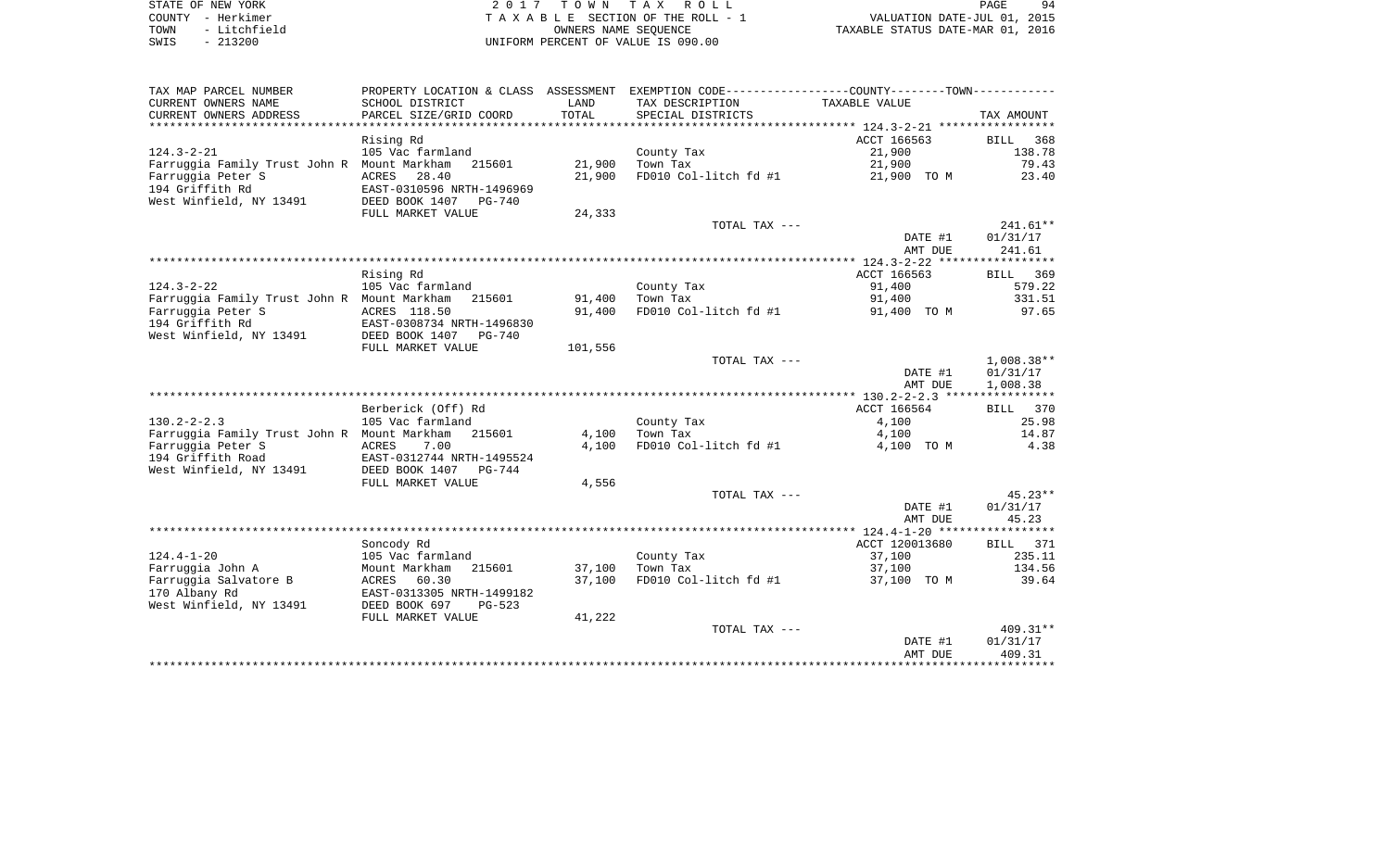STATE OF NEW YORK **EXECUTE:** A 2 0 1 7 T O W N T A X R O L L COUNTY - Herkimer<br>
T A X A B L E SECTION OF THE ROLL - 1<br>
TOWN - Litchfield<br>
SWIS - 213200 - UNIFORM PERCENT OF VALUE IS 090.00 TOWN - LITTLE OF THE ROLL - 1<br>
TAXABLE STATUS DATE-JUL 01, 2015<br>
OWNERS NAME SEQUENCE TAXABLE STATUS DATE-MAR 01, 2016 SWIS - 213200 UNIFORM PERCENT OF VALUE IS 090.00

| TAX MAP PARCEL NUMBER                       | PROPERTY LOCATION & CLASS ASSESSMENT |         | EXEMPTION CODE-----------------COUNTY-------TOWN----------- |                |                    |
|---------------------------------------------|--------------------------------------|---------|-------------------------------------------------------------|----------------|--------------------|
| CURRENT OWNERS NAME                         | SCHOOL DISTRICT                      | LAND    | TAX DESCRIPTION                                             | TAXABLE VALUE  |                    |
| CURRENT OWNERS ADDRESS                      | PARCEL SIZE/GRID COORD               | TOTAL   | SPECIAL DISTRICTS                                           |                | TAX AMOUNT         |
|                                             |                                      |         |                                                             |                |                    |
|                                             | Rising Rd                            |         |                                                             | ACCT 166563    | <b>BILL</b><br>368 |
| $124.3 - 2 - 21$                            | 105 Vac farmland                     |         | County Tax                                                  | 21,900         | 138.78             |
| Farruggia Family Trust John R Mount Markham | 215601                               | 21,900  | Town Tax                                                    | 21,900         | 79.43              |
| Farruggia Peter S                           | <b>ACRES</b><br>28.40                | 21,900  | FD010 Col-litch fd #1                                       | 21,900 TO M    | 23.40              |
| 194 Griffith Rd                             | EAST-0310596 NRTH-1496969            |         |                                                             |                |                    |
| West Winfield, NY 13491                     | DEED BOOK 1407<br>PG-740             |         |                                                             |                |                    |
|                                             | FULL MARKET VALUE                    | 24,333  |                                                             |                |                    |
|                                             |                                      |         | TOTAL TAX ---                                               |                | $241.61**$         |
|                                             |                                      |         |                                                             | DATE #1        | 01/31/17           |
|                                             |                                      |         |                                                             | AMT DUE        | 241.61             |
|                                             |                                      |         |                                                             |                |                    |
|                                             |                                      |         |                                                             | ACCT 166563    |                    |
| $124.3 - 2 - 22$                            | Rising Rd<br>105 Vac farmland        |         | County Tax                                                  | 91,400         | BILL 369<br>579.22 |
|                                             |                                      |         |                                                             |                | 331.51             |
| Farruggia Family Trust John R Mount Markham | 215601                               | 91,400  | Town Tax                                                    | 91,400         |                    |
| Farruggia Peter S                           | ACRES 118.50                         | 91,400  | FD010 Col-litch fd #1                                       | 91,400 TO M    | 97.65              |
| 194 Griffith Rd                             | EAST-0308734 NRTH-1496830            |         |                                                             |                |                    |
| West Winfield, NY 13491                     | DEED BOOK 1407 PG-740                |         |                                                             |                |                    |
|                                             | FULL MARKET VALUE                    | 101,556 |                                                             |                |                    |
|                                             |                                      |         | TOTAL TAX ---                                               |                | $1,008.38**$       |
|                                             |                                      |         |                                                             | DATE #1        | 01/31/17           |
|                                             |                                      |         |                                                             | AMT DUE        | 1,008.38           |
|                                             |                                      |         |                                                             |                |                    |
|                                             | Berberick (Off) Rd                   |         |                                                             | ACCT 166564    | BILL 370           |
| $130.2 - 2 - 2.3$                           | 105 Vac farmland                     |         | County Tax                                                  | 4,100          | 25.98              |
| Farruggia Family Trust John R Mount Markham | 215601                               | 4,100   | Town Tax                                                    | 4,100          | 14.87              |
| Farruggia Peter S                           | 7.00<br>ACRES                        | 4,100   | FD010 Col-litch fd #1                                       | 4,100 TO M     | 4.38               |
| 194 Griffith Road                           | EAST-0312744 NRTH-1495524            |         |                                                             |                |                    |
| West Winfield, NY 13491                     | DEED BOOK 1407 PG-744                |         |                                                             |                |                    |
|                                             | FULL MARKET VALUE                    | 4,556   |                                                             |                |                    |
|                                             |                                      |         | TOTAL TAX ---                                               |                | $45.23**$          |
|                                             |                                      |         |                                                             | DATE #1        | 01/31/17           |
|                                             |                                      |         |                                                             | AMT DUE        | 45.23              |
|                                             |                                      |         |                                                             |                |                    |
|                                             | Soncody Rd                           |         |                                                             | ACCT 120013680 | 371<br><b>BILL</b> |
| $124.4 - 1 - 20$                            | 105 Vac farmland                     |         | County Tax                                                  | 37,100         | 235.11             |
| Farruggia John A                            | Mount Markham<br>215601              | 37,100  | Town Tax                                                    | 37,100         | 134.56             |
| Farruggia Salvatore B                       | 60.30<br>ACRES                       | 37,100  | FD010 Col-litch fd #1                                       | 37,100 TO M    | 39.64              |
| 170 Albany Rd                               | EAST-0313305 NRTH-1499182            |         |                                                             |                |                    |
| West Winfield, NY 13491                     | DEED BOOK 697<br>$PG-523$            |         |                                                             |                |                    |
|                                             | FULL MARKET VALUE                    | 41,222  |                                                             |                |                    |
|                                             |                                      |         | TOTAL TAX ---                                               |                | $409.31**$         |
|                                             |                                      |         |                                                             | DATE #1        | 01/31/17           |
|                                             |                                      |         |                                                             | AMT DUE        | 409.31             |
|                                             |                                      |         |                                                             |                | **************     |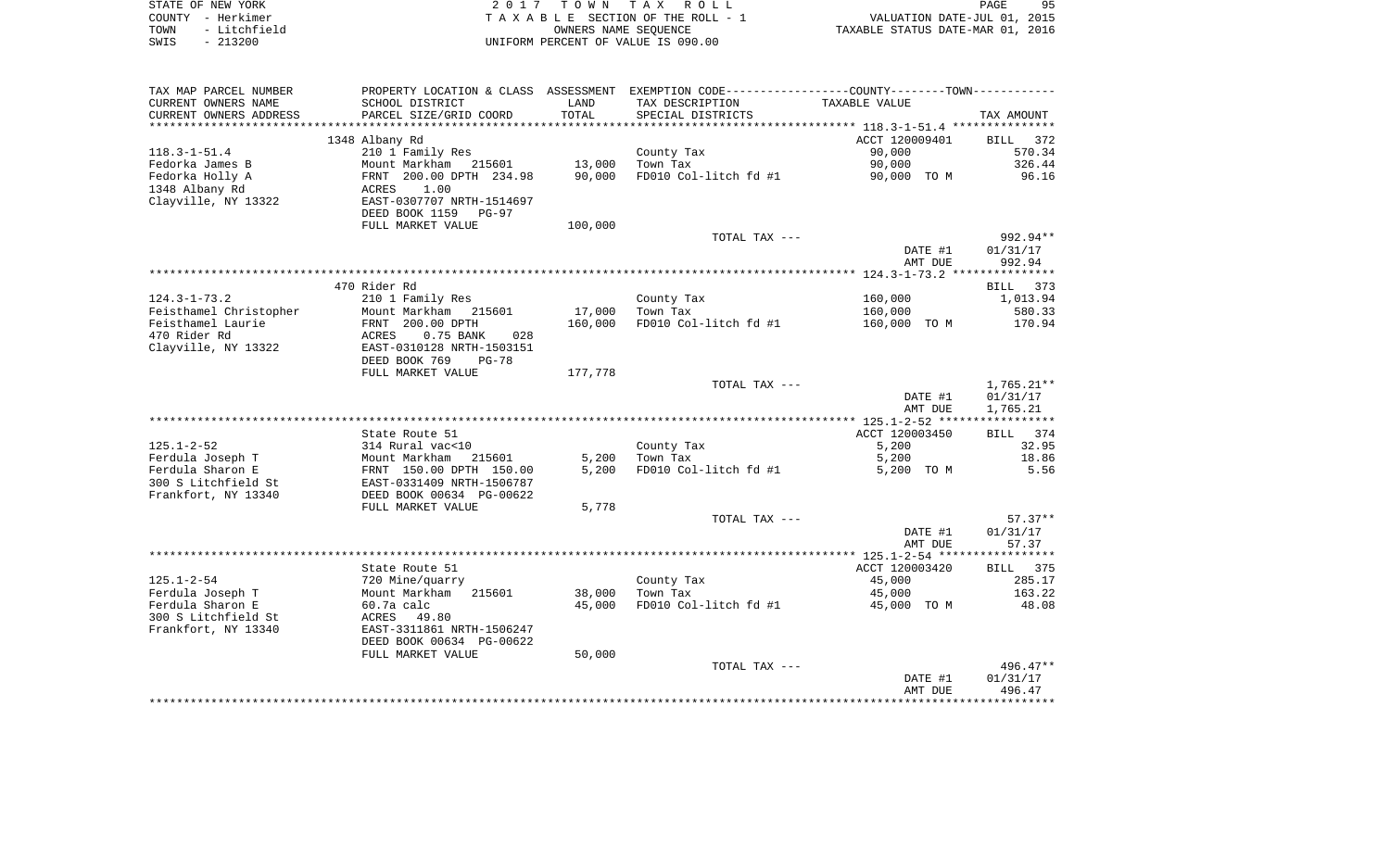|      | STATE OF NEW YORK | 2017 TOWN TAX ROLL                 | PAGE                             | 9F |
|------|-------------------|------------------------------------|----------------------------------|----|
|      | COUNTY - Herkimer | TAXABLE SECTION OF THE ROLL - 1    | VALUATION DATE-JUL 01, 2015      |    |
| TOWN | - Litchfield      | OWNERS NAME SEOUENCE               | TAXABLE STATUS DATE-MAR 01, 2016 |    |
| SWIS | - 213200          | UNIFORM PERCENT OF VALUE IS 090.00 |                                  |    |

 $95$ <br> $2015$ <br> $2016$ 

| TAX MAP PARCEL NUMBER  |                               |         | PROPERTY LOCATION & CLASS ASSESSMENT EXEMPTION CODE----------------COUNTY--------TOWN----------- |                |                  |
|------------------------|-------------------------------|---------|--------------------------------------------------------------------------------------------------|----------------|------------------|
| CURRENT OWNERS NAME    | SCHOOL DISTRICT               | LAND    | TAX DESCRIPTION                                                                                  | TAXABLE VALUE  |                  |
| CURRENT OWNERS ADDRESS | PARCEL SIZE/GRID COORD        | TOTAL   | SPECIAL DISTRICTS                                                                                |                | TAX AMOUNT       |
| ********************** | ***************************** |         |                                                                                                  |                |                  |
|                        | 1348 Albany Rd                |         |                                                                                                  | ACCT 120009401 | BILL 372         |
| $118.3 - 1 - 51.4$     | 210 1 Family Res              |         | County Tax                                                                                       | 90,000         | 570.34           |
| Fedorka James B        | Mount Markham 215601          | 13,000  | Town Tax                                                                                         | 90,000         | 326.44           |
| Fedorka Holly A        | FRNT 200.00 DPTH 234.98       | 90,000  | FD010 Col-litch fd #1                                                                            | 90,000 TO M    | 96.16            |
| 1348 Albany Rd         | 1.00<br>ACRES                 |         |                                                                                                  |                |                  |
| Clayville, NY 13322    | EAST-0307707 NRTH-1514697     |         |                                                                                                  |                |                  |
|                        | DEED BOOK 1159<br>PG-97       |         |                                                                                                  |                |                  |
|                        | FULL MARKET VALUE             | 100,000 |                                                                                                  |                |                  |
|                        |                               |         | TOTAL TAX ---                                                                                    |                | 992.94**         |
|                        |                               |         |                                                                                                  | DATE #1        | 01/31/17         |
|                        |                               |         |                                                                                                  | AMT DUE        | 992.94           |
|                        | 470 Rider Rd                  |         |                                                                                                  |                | 373              |
| $124.3 - 1 - 73.2$     | 210 1 Family Res              |         |                                                                                                  | 160,000        | BILL<br>1,013.94 |
| Feisthamel Christopher | Mount Markham 215601          | 17,000  | County Tax<br>Town Tax                                                                           | 160,000        | 580.33           |
| Feisthamel Laurie      | FRNT 200.00 DPTH              | 160,000 | FD010 Col-litch fd #1                                                                            | 160,000 TO M   | 170.94           |
| 470 Rider Rd           | ACRES<br>0.75 BANK<br>028     |         |                                                                                                  |                |                  |
| Clayville, NY 13322    | EAST-0310128 NRTH-1503151     |         |                                                                                                  |                |                  |
|                        | DEED BOOK 769<br>$PG-78$      |         |                                                                                                  |                |                  |
|                        | FULL MARKET VALUE             | 177,778 |                                                                                                  |                |                  |
|                        |                               |         | TOTAL TAX ---                                                                                    |                | $1,765.21**$     |
|                        |                               |         |                                                                                                  | DATE #1        | 01/31/17         |
|                        |                               |         |                                                                                                  | AMT DUE        | 1,765.21         |
|                        |                               |         |                                                                                                  |                |                  |
|                        | State Route 51                |         |                                                                                                  | ACCT 120003450 | BILL 374         |
| $125.1 - 2 - 52$       | 314 Rural vac<10              |         | County Tax                                                                                       | 5,200          | 32.95            |
| Ferdula Joseph T       | Mount Markham<br>215601       | 5,200   | Town Tax                                                                                         | 5,200          | 18.86            |
| Ferdula Sharon E       | FRNT 150.00 DPTH 150.00       | 5,200   | FD010 Col-litch fd #1                                                                            | 5,200 TO M     | 5.56             |
| 300 S Litchfield St    | EAST-0331409 NRTH-1506787     |         |                                                                                                  |                |                  |
| Frankfort, NY 13340    | DEED BOOK 00634 PG-00622      |         |                                                                                                  |                |                  |
|                        | FULL MARKET VALUE             | 5,778   |                                                                                                  |                |                  |
|                        |                               |         | TOTAL TAX ---                                                                                    |                | $57.37**$        |
|                        |                               |         |                                                                                                  | DATE #1        | 01/31/17         |
|                        |                               |         |                                                                                                  | AMT DUE        | 57.37            |
|                        |                               |         |                                                                                                  |                |                  |
|                        | State Route 51                |         |                                                                                                  | ACCT 120003420 | BILL 375         |
| $125.1 - 2 - 54$       | 720 Mine/quarry               |         | County Tax                                                                                       | 45,000         | 285.17           |
| Ferdula Joseph T       | Mount Markham 215601          | 38,000  | Town Tax                                                                                         | 45,000         | 163.22           |
| Ferdula Sharon E       | $60.7a$ calc                  | 45,000  | FD010 Col-litch fd #1                                                                            | 45,000 TO M    | 48.08            |
| 300 S Litchfield St    | 49.80<br>ACRES                |         |                                                                                                  |                |                  |
| Frankfort, NY 13340    | EAST-3311861 NRTH-1506247     |         |                                                                                                  |                |                  |
|                        | DEED BOOK 00634 PG-00622      |         |                                                                                                  |                |                  |
|                        | FULL MARKET VALUE             | 50,000  | TOTAL TAX ---                                                                                    |                | $496.47**$       |
|                        |                               |         |                                                                                                  | DATE #1        | 01/31/17         |
|                        |                               |         |                                                                                                  | AMT DUE        | 496.47           |
|                        |                               |         |                                                                                                  |                |                  |
|                        |                               |         |                                                                                                  |                |                  |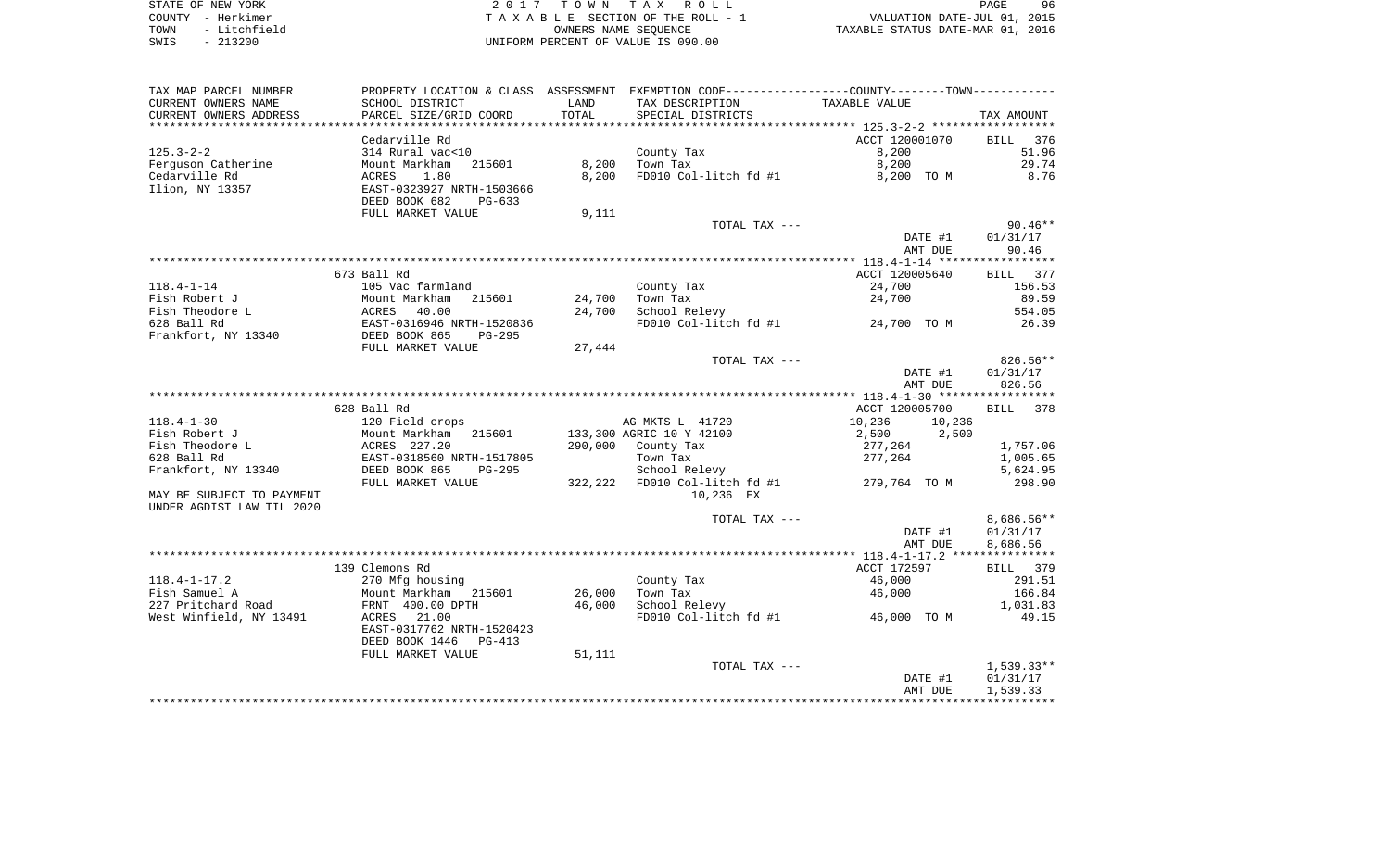STATE OF NEW YORK **EXECUTE:** A 2 0 1 7 T O W N T A X R O L L COUNTY - Herkimer<br>
T A X A B L E SECTION OF THE ROLL - 1<br>
TOWN - Litchfield<br>
SWIS - 213200 - UNIFORM PERCENT OF VALUE IS 090.00 TOWN - LITTLE ON THE ROLL - 1<br>
TAXABLE STATUS DATE-JUL 01, 2015<br>
OWNERS NAME SEQUENCE TAXABLE STATUS DATE-MAR 01, 2016 SWIS - 213200 UNIFORM PERCENT OF VALUE IS 090.00

| TAX MAP PARCEL NUMBER     | PROPERTY LOCATION & CLASS ASSESSMENT EXEMPTION CODE----------------COUNTY-------TOWN---------- |         |                               |                                                |              |
|---------------------------|------------------------------------------------------------------------------------------------|---------|-------------------------------|------------------------------------------------|--------------|
| CURRENT OWNERS NAME       | SCHOOL DISTRICT                                                                                | LAND    | TAX DESCRIPTION               | TAXABLE VALUE                                  |              |
| CURRENT OWNERS ADDRESS    | PARCEL SIZE/GRID COORD                                                                         | TOTAL   | SPECIAL DISTRICTS             |                                                | TAX AMOUNT   |
|                           |                                                                                                |         |                               |                                                |              |
|                           | Cedarville Rd                                                                                  |         |                               | ACCT 120001070                                 | BILL 376     |
| $125.3 - 2 - 2$           | 314 Rural vac<10                                                                               |         | County Tax                    | 8,200                                          | 51.96        |
| Ferguson Catherine        | Mount Markham<br>215601                                                                        | 8,200   | Town Tax                      | 8,200                                          | 29.74        |
| Cedarville Rd             | ACRES<br>1.80                                                                                  | 8,200   | FD010 Col-litch fd #1         | 8,200 TO M                                     | 8.76         |
| Ilion, NY 13357           | EAST-0323927 NRTH-1503666                                                                      |         |                               |                                                |              |
|                           | DEED BOOK 682<br>$PG-633$                                                                      |         |                               |                                                |              |
|                           | FULL MARKET VALUE                                                                              | 9,111   |                               |                                                |              |
|                           |                                                                                                |         | TOTAL TAX ---                 |                                                | $90.46**$    |
|                           |                                                                                                |         |                               | DATE #1                                        | 01/31/17     |
|                           |                                                                                                |         |                               | AMT DUE                                        | 90.46        |
|                           |                                                                                                |         |                               |                                                |              |
|                           | 673 Ball Rd                                                                                    |         |                               | ACCT 120005640                                 | BILL 377     |
| $118.4 - 1 - 14$          | 105 Vac farmland                                                                               |         | County Tax                    | 24,700                                         | 156.53       |
| Fish Robert J             | Mount Markham<br>215601                                                                        | 24,700  | Town Tax                      | 24,700                                         | 89.59        |
| Fish Theodore L           | 40.00                                                                                          |         |                               |                                                |              |
|                           | ACRES                                                                                          | 24,700  | School Relevy                 |                                                | 554.05       |
| 628 Ball Rd               | EAST-0316946 NRTH-1520836                                                                      |         | FD010 Col-litch fd #1         | 24,700 TO M                                    | 26.39        |
| Frankfort, NY 13340       | DEED BOOK 865<br>PG-295                                                                        |         |                               |                                                |              |
|                           | FULL MARKET VALUE                                                                              | 27,444  |                               |                                                |              |
|                           |                                                                                                |         | TOTAL TAX ---                 |                                                | 826.56**     |
|                           |                                                                                                |         |                               | DATE #1                                        | 01/31/17     |
|                           |                                                                                                |         |                               | AMT DUE                                        | 826.56       |
|                           |                                                                                                |         |                               |                                                |              |
|                           | 628 Ball Rd                                                                                    |         |                               | ACCT 120005700                                 | BILL 378     |
| $118.4 - 1 - 30$          | 120 Field crops                                                                                |         | AG MKTS L 41720               | 10,236<br>10,236                               |              |
| Fish Robert J             | Mount Markham<br>215601                                                                        |         | 133,300 AGRIC 10 Y 42100      | 2,500<br>2,500                                 |              |
| Fish Theodore L           | ACRES 227.20                                                                                   | 290,000 | County Tax                    | 277,264                                        | 1,757.06     |
| 628 Ball Rd               | EAST-0318560 NRTH-1517805                                                                      |         | Town Tax                      | 277,264                                        | 1,005.65     |
| Frankfort, NY 13340       | DEED BOOK 865<br>$PG-295$                                                                      |         | School Relevy                 |                                                | 5,624.95     |
|                           | FULL MARKET VALUE                                                                              |         | 322,222 FD010 Col-litch fd #1 | 279,764 TO M                                   | 298.90       |
| MAY BE SUBJECT TO PAYMENT |                                                                                                |         | 10,236 EX                     |                                                |              |
| UNDER AGDIST LAW TIL 2020 |                                                                                                |         |                               |                                                |              |
|                           |                                                                                                |         | TOTAL TAX ---                 |                                                | 8,686.56**   |
|                           |                                                                                                |         |                               | DATE #1                                        | 01/31/17     |
|                           |                                                                                                |         |                               | AMT DUE                                        | 8,686.56     |
|                           |                                                                                                |         |                               | **************** 118.4-1-17.2 **************** |              |
|                           | 139 Clemons Rd                                                                                 |         |                               | ACCT 172597                                    | BILL 379     |
| $118.4 - 1 - 17.2$        | 270 Mfg housing                                                                                |         | County Tax                    | 46,000                                         | 291.51       |
| Fish Samuel A             | Mount Markham<br>215601                                                                        | 26,000  | Town Tax                      | 46,000                                         | 166.84       |
| 227 Pritchard Road        | FRNT 400.00 DPTH                                                                               | 46,000  | School Relevy                 |                                                | 1,031.83     |
| West Winfield, NY 13491   | 21.00<br>ACRES                                                                                 |         | FD010 Col-litch fd #1         | 46,000 TO M                                    | 49.15        |
|                           | EAST-0317762 NRTH-1520423                                                                      |         |                               |                                                |              |
|                           | DEED BOOK 1446<br>$PG-413$                                                                     |         |                               |                                                |              |
|                           | FULL MARKET VALUE                                                                              | 51,111  |                               |                                                |              |
|                           |                                                                                                |         | TOTAL TAX ---                 |                                                | $1,539.33**$ |
|                           |                                                                                                |         |                               | DATE #1                                        | 01/31/17     |
|                           |                                                                                                |         |                               | AMT DUE                                        | 1,539.33     |
|                           |                                                                                                |         |                               |                                                |              |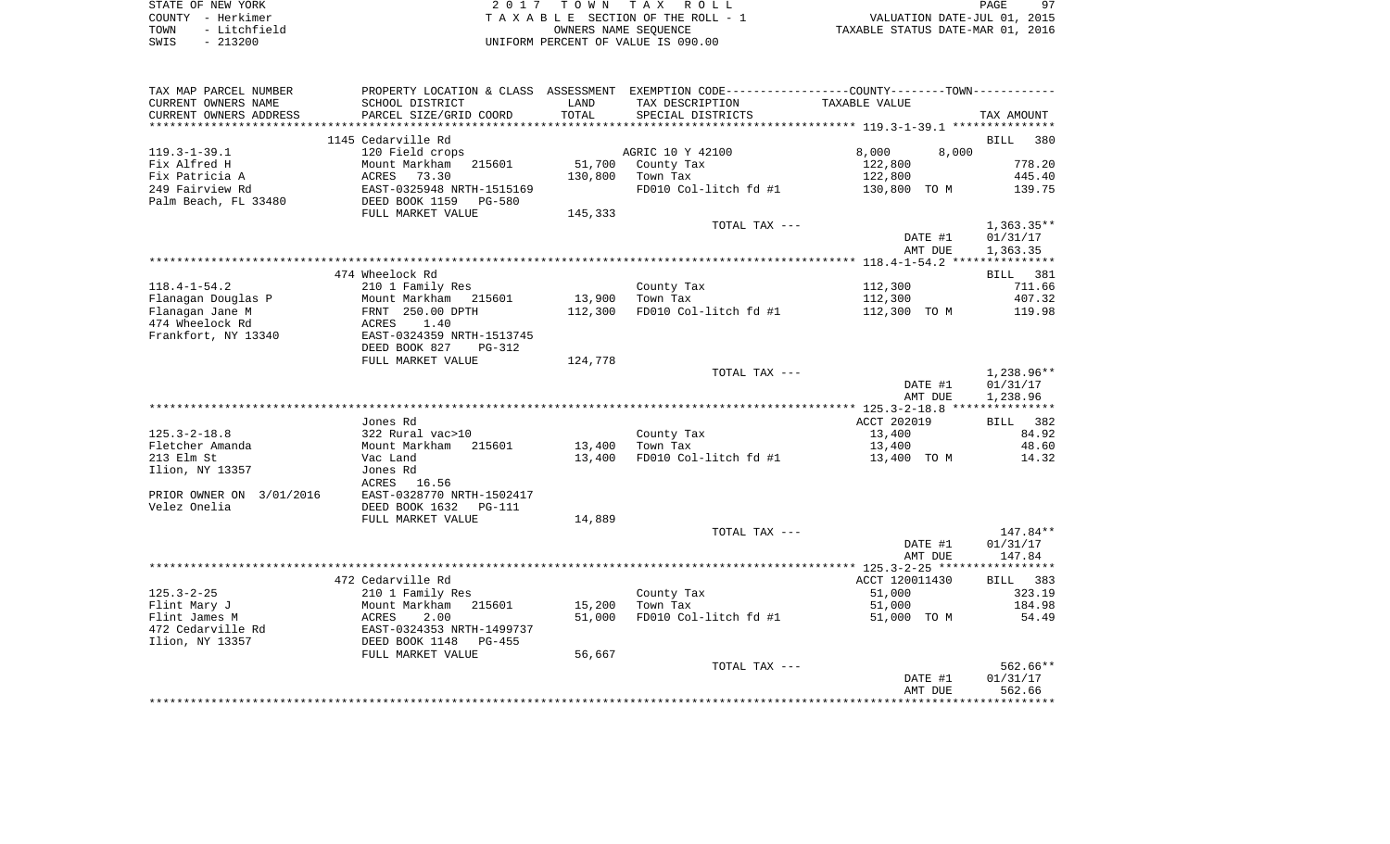|      | STATE OF NEW YORK | 2017 TOWN TAX ROLL                 | 97<br>PAGE                       |
|------|-------------------|------------------------------------|----------------------------------|
|      | COUNTY - Herkimer | TAXABLE SECTION OF THE ROLL - 1    | VALUATION DATE-JUL 01, 2015      |
| TOWN | - Litchfield      | OWNERS NAME SEOUENCE               | TAXABLE STATUS DATE-MAR 01, 2016 |
| SWIS | $-213200$         | UNIFORM PERCENT OF VALUE IS 090.00 |                                  |

| TAX MAP PARCEL NUMBER    | PROPERTY LOCATION & CLASS ASSESSMENT EXEMPTION CODE---------------COUNTY-------TOWN---------- |         |                       |                |                    |
|--------------------------|-----------------------------------------------------------------------------------------------|---------|-----------------------|----------------|--------------------|
| CURRENT OWNERS NAME      | SCHOOL DISTRICT                                                                               | LAND    | TAX DESCRIPTION       | TAXABLE VALUE  |                    |
| CURRENT OWNERS ADDRESS   | PARCEL SIZE/GRID COORD                                                                        | TOTAL   | SPECIAL DISTRICTS     |                | TAX AMOUNT         |
|                          |                                                                                               |         |                       |                |                    |
|                          | 1145 Cedarville Rd                                                                            |         |                       |                | 380<br><b>BILL</b> |
| $119.3 - 1 - 39.1$       | 120 Field crops                                                                               |         | AGRIC 10 Y 42100      | 8,000<br>8,000 |                    |
| Fix Alfred H             | Mount Markham<br>215601                                                                       | 51,700  | County Tax            | 122,800        | 778.20             |
| Fix Patricia A           | ACRES<br>73.30                                                                                | 130,800 | Town Tax              | 122,800        | 445.40             |
| 249 Fairview Rd          | EAST-0325948 NRTH-1515169                                                                     |         | FD010 Col-litch fd #1 | 130,800 TO M   | 139.75             |
| Palm Beach, FL 33480     | DEED BOOK 1159<br><b>PG-580</b>                                                               |         |                       |                |                    |
|                          | FULL MARKET VALUE                                                                             | 145,333 |                       |                |                    |
|                          |                                                                                               |         | TOTAL TAX ---         |                | $1,363.35**$       |
|                          |                                                                                               |         |                       | DATE #1        | 01/31/17           |
|                          |                                                                                               |         |                       | AMT DUE        | 1,363.35           |
|                          |                                                                                               |         |                       |                |                    |
|                          | 474 Wheelock Rd                                                                               |         |                       |                | BILL<br>381        |
| $118.4 - 1 - 54.2$       | 210 1 Family Res                                                                              |         | County Tax            | 112,300        | 711.66             |
| Flanagan Douglas P       | Mount Markham<br>215601                                                                       | 13,900  | Town Tax              | 112,300        | 407.32             |
| Flanagan Jane M          | FRNT 250.00 DPTH                                                                              | 112,300 | FD010 Col-litch fd #1 | 112,300 TO M   | 119.98             |
| 474 Wheelock Rd          | 1.40<br>ACRES                                                                                 |         |                       |                |                    |
| Frankfort, NY 13340      | EAST-0324359 NRTH-1513745                                                                     |         |                       |                |                    |
|                          | DEED BOOK 827<br>$PG-312$                                                                     | 124,778 |                       |                |                    |
|                          | FULL MARKET VALUE                                                                             |         | TOTAL TAX ---         |                | $1,238.96**$       |
|                          |                                                                                               |         |                       | DATE #1        | 01/31/17           |
|                          |                                                                                               |         |                       | AMT DUE        | 1,238.96           |
|                          |                                                                                               |         |                       |                |                    |
|                          | Jones Rd                                                                                      |         |                       | ACCT 202019    | BILL 382           |
| $125.3 - 2 - 18.8$       | 322 Rural vac>10                                                                              |         | County Tax            | 13,400         | 84.92              |
| Fletcher Amanda          | Mount Markham<br>215601                                                                       | 13,400  | Town Tax              | 13,400         | 48.60              |
| 213 Elm St               | Vac Land                                                                                      | 13,400  | FD010 Col-litch fd #1 | 13,400 TO M    | 14.32              |
| Ilion, NY 13357          | Jones Rd                                                                                      |         |                       |                |                    |
|                          | ACRES<br>16.56                                                                                |         |                       |                |                    |
| PRIOR OWNER ON 3/01/2016 | EAST-0328770 NRTH-1502417                                                                     |         |                       |                |                    |
| Velez Onelia             | DEED BOOK 1632<br><b>PG-111</b>                                                               |         |                       |                |                    |
|                          | FULL MARKET VALUE                                                                             | 14,889  |                       |                |                    |
|                          |                                                                                               |         | TOTAL TAX ---         |                | 147.84**           |
|                          |                                                                                               |         |                       | DATE #1        | 01/31/17           |
|                          |                                                                                               |         |                       | AMT DUE        | 147.84             |
|                          |                                                                                               |         |                       |                |                    |
|                          | 472 Cedarville Rd                                                                             |         |                       | ACCT 120011430 | BILL 383           |
| $125.3 - 2 - 25$         | 210 1 Family Res                                                                              |         | County Tax            | 51,000         | 323.19             |
| Flint Mary J             | Mount Markham<br>215601                                                                       | 15,200  | Town Tax              | 51,000         | 184.98             |
| Flint James M            | 2.00<br>ACRES                                                                                 | 51,000  | FD010 Col-litch fd #1 | 51,000 TO M    | 54.49              |
| 472 Cedarville Rd        | EAST-0324353 NRTH-1499737                                                                     |         |                       |                |                    |
| Ilion, NY 13357          | DEED BOOK 1148<br><b>PG-455</b>                                                               |         |                       |                |                    |
|                          | FULL MARKET VALUE                                                                             | 56,667  |                       |                |                    |
|                          |                                                                                               |         | TOTAL TAX ---         |                | $562.66**$         |
|                          |                                                                                               |         |                       | DATE #1        | 01/31/17           |
|                          |                                                                                               |         |                       | AMT DUE        | 562.66             |
|                          |                                                                                               |         |                       |                |                    |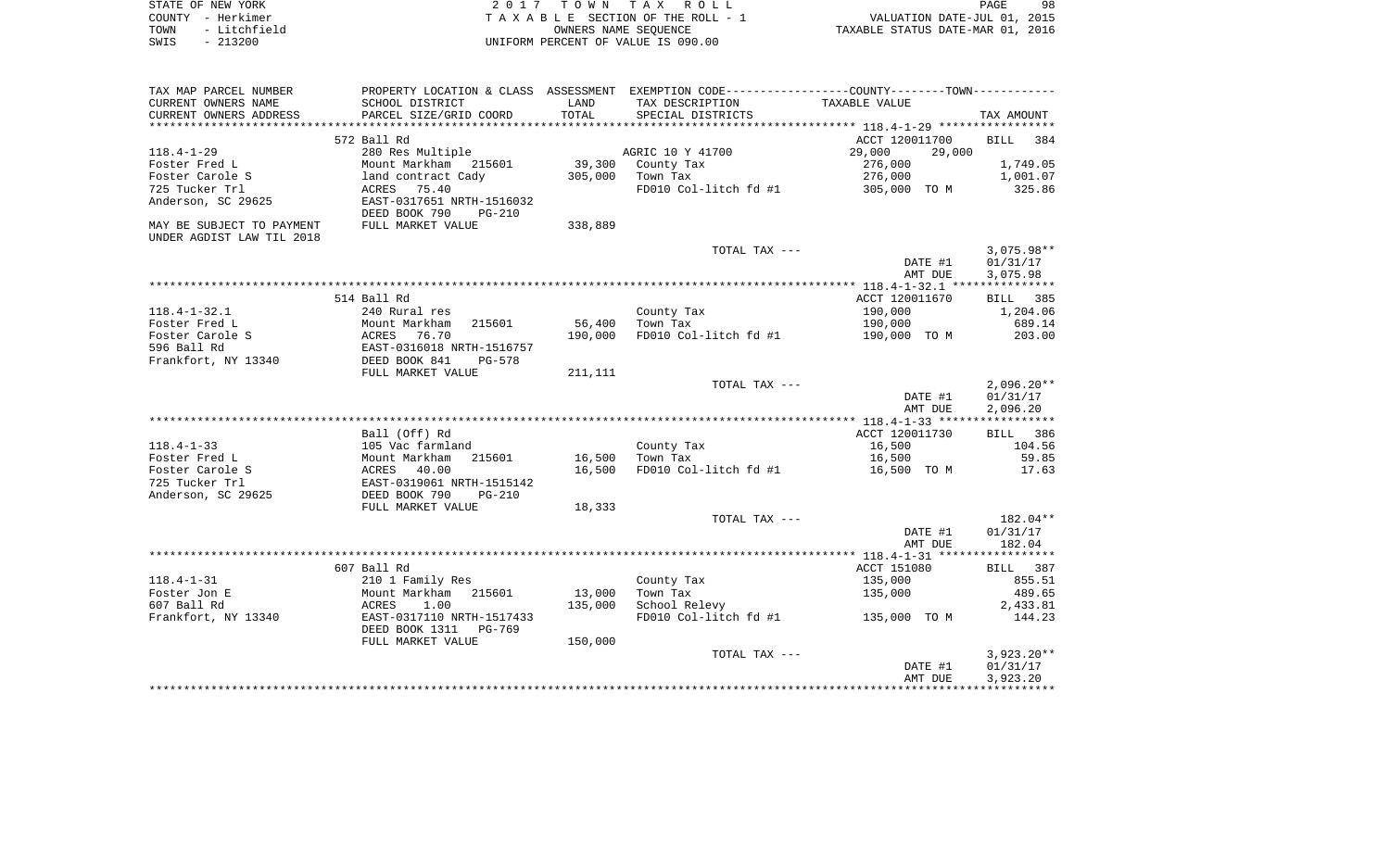| STATE OF NEW YORK    | 2017 TOWN TAX ROLL                 | 98<br>PAGE                       |
|----------------------|------------------------------------|----------------------------------|
| COUNTY - Herkimer    | TAXABLE SECTION OF THE ROLL - 1    | VALUATION DATE-JUL 01, 2015      |
| - Litchfield<br>TOWN | OWNERS NAME SEOUENCE               | TAXABLE STATUS DATE-MAR 01, 2016 |
| $-213200$<br>SWIS    | UNIFORM PERCENT OF VALUE IS 090.00 |                                  |
|                      |                                    |                                  |
|                      |                                    |                                  |

| TAX MAP PARCEL NUMBER<br>CURRENT OWNERS NAME           | PROPERTY LOCATION & CLASS ASSESSMENT<br>SCHOOL DISTRICT               | LAND              | EXEMPTION CODE-----------------COUNTY-------TOWN-----------<br>TAX DESCRIPTION | TAXABLE VALUE                          |                                      |
|--------------------------------------------------------|-----------------------------------------------------------------------|-------------------|--------------------------------------------------------------------------------|----------------------------------------|--------------------------------------|
| CURRENT OWNERS ADDRESS                                 | PARCEL SIZE/GRID COORD                                                | TOTAL             | SPECIAL DISTRICTS                                                              |                                        | TAX AMOUNT                           |
|                                                        | 572 Ball Rd                                                           |                   |                                                                                | ACCT 120011700                         | <b>BILL</b><br>384                   |
| $118.4 - 1 - 29$<br>Foster Fred L<br>Foster Carole S   | 280 Res Multiple<br>Mount Markham 215601<br>land contract Cady        | 39,300<br>305,000 | AGRIC 10 Y 41700<br>County Tax<br>Town Tax                                     | 29,000<br>29,000<br>276,000<br>276,000 | 1,749.05<br>1,001.07                 |
| 725 Tucker Trl<br>Anderson, SC 29625                   | ACRES 75.40<br>EAST-0317651 NRTH-1516032<br>DEED BOOK 790<br>$PG-210$ |                   | FD010 Col-litch fd #1                                                          | 305,000 TO M                           | 325.86                               |
| MAY BE SUBJECT TO PAYMENT<br>UNDER AGDIST LAW TIL 2018 | FULL MARKET VALUE                                                     | 338,889           |                                                                                |                                        |                                      |
|                                                        |                                                                       |                   | TOTAL TAX ---                                                                  | DATE #1<br>AMT DUE                     | $3,075.98**$<br>01/31/17<br>3,075.98 |
|                                                        |                                                                       |                   |                                                                                |                                        |                                      |
|                                                        | 514 Ball Rd                                                           |                   |                                                                                | ACCT 120011670                         | BILL 385                             |
| $118.4 - 1 - 32.1$                                     | 240 Rural res                                                         |                   | County Tax                                                                     | 190,000                                | 1,204.06                             |
| Foster Fred L                                          | Mount Markham<br>215601                                               | 56,400            | Town Tax                                                                       | 190,000                                | 689.14                               |
| Foster Carole S<br>596 Ball Rd                         | ACRES<br>76.70<br>EAST-0316018 NRTH-1516757                           | 190,000           | FD010 Col-litch fd #1                                                          | 190,000 TO M                           | 203.00                               |
| Frankfort, NY 13340                                    | DEED BOOK 841<br>$PG-578$                                             |                   |                                                                                |                                        |                                      |
|                                                        | FULL MARKET VALUE                                                     | 211,111           |                                                                                |                                        |                                      |
|                                                        |                                                                       |                   | TOTAL TAX ---                                                                  |                                        | $2,096.20**$                         |
|                                                        |                                                                       |                   |                                                                                | DATE #1                                | 01/31/17                             |
|                                                        |                                                                       |                   |                                                                                | AMT DUE                                | 2,096.20                             |
|                                                        |                                                                       |                   |                                                                                |                                        |                                      |
| $118.4 - 1 - 33$                                       | Ball (Off) Rd<br>105 Vac farmland                                     |                   | County Tax                                                                     | ACCT 120011730<br>16,500               | BILL 386<br>104.56                   |
| Foster Fred L                                          | Mount Markham<br>215601                                               | 16,500            | Town Tax                                                                       | 16,500                                 | 59.85                                |
| Foster Carole S                                        | ACRES<br>40.00                                                        | 16,500            | FD010 Col-litch fd #1                                                          | 16,500 TO M                            | 17.63                                |
| 725 Tucker Trl                                         | EAST-0319061 NRTH-1515142                                             |                   |                                                                                |                                        |                                      |
| Anderson, SC 29625                                     | DEED BOOK 790<br>$PG-210$                                             |                   |                                                                                |                                        |                                      |
|                                                        | FULL MARKET VALUE                                                     | 18,333            |                                                                                |                                        |                                      |
|                                                        |                                                                       |                   | TOTAL TAX ---                                                                  |                                        | 182.04**                             |
|                                                        |                                                                       |                   |                                                                                | DATE #1<br>AMT DUE                     | 01/31/17<br>182.04                   |
|                                                        |                                                                       |                   |                                                                                |                                        |                                      |
|                                                        | 607 Ball Rd                                                           |                   |                                                                                | ACCT 151080                            | BILL 387                             |
| $118.4 - 1 - 31$                                       | 210 1 Family Res                                                      |                   | County Tax                                                                     | 135,000                                | 855.51                               |
| Foster Jon E                                           | Mount Markham 215601                                                  | 13,000            | Town Tax                                                                       | 135,000                                | 489.65                               |
| 607 Ball Rd                                            | ACRES<br>1.00                                                         | 135,000           | School Relevy                                                                  |                                        | 2,433.81                             |
| Frankfort, NY 13340                                    | EAST-0317110 NRTH-1517433<br>DEED BOOK 1311<br>PG-769                 |                   | FD010 Col-litch fd #1                                                          | 135,000 TO M                           | 144.23                               |
|                                                        | FULL MARKET VALUE                                                     | 150,000           |                                                                                |                                        |                                      |
|                                                        |                                                                       |                   | TOTAL TAX ---                                                                  | DATE #1                                | $3,923.20**$<br>01/31/17             |
|                                                        |                                                                       |                   |                                                                                | AMT DUE                                | 3,923.20                             |
|                                                        |                                                                       |                   |                                                                                |                                        |                                      |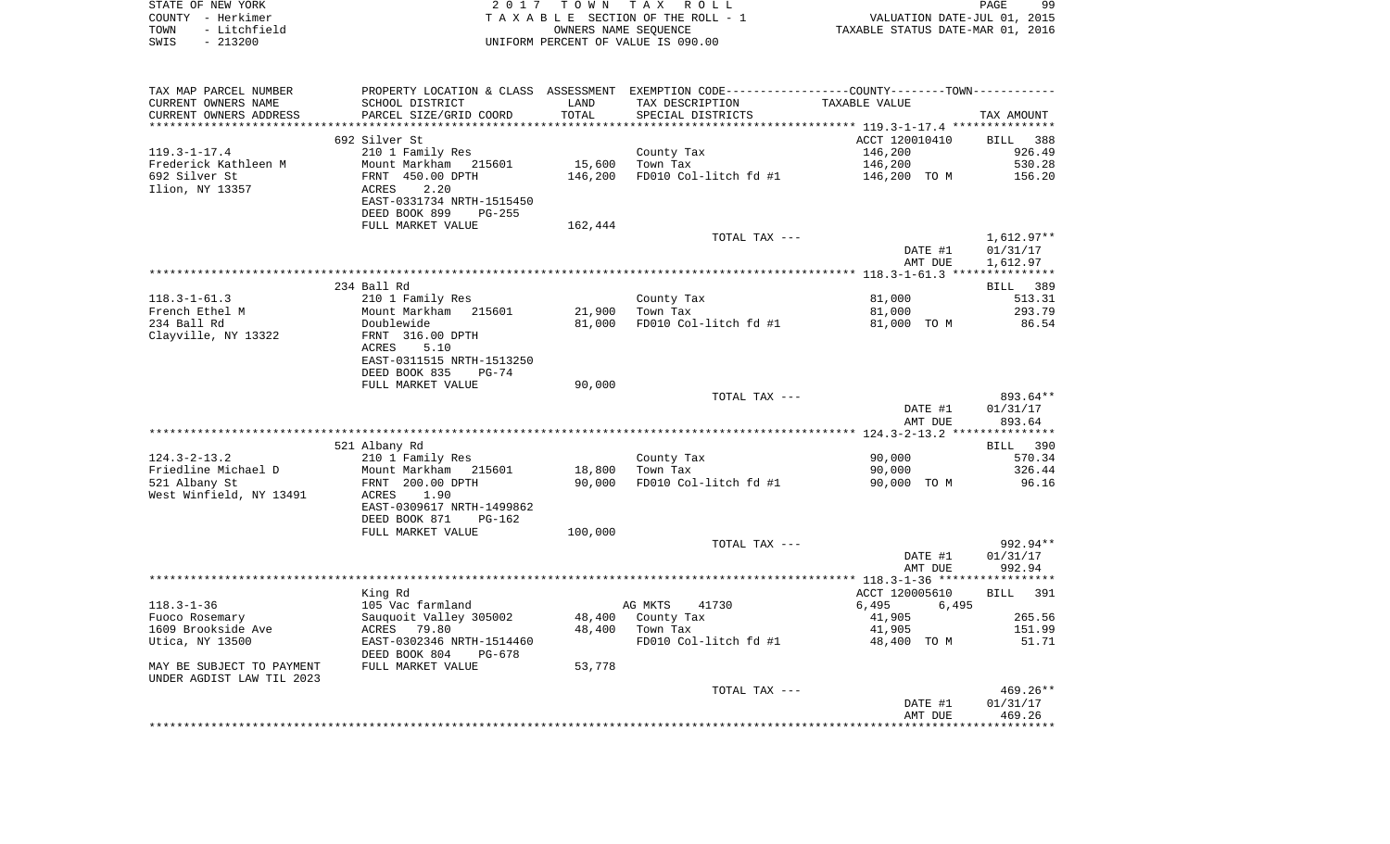| STATE OF NEW YORK<br>COUNTY - Herkimer                 |                                                                                            |            | 2017 TOWN TAX ROLL<br>T A X A B L E SECTION OF THE ROLL - 1                                    | VALUATION DATE-JUL 01, 2015      | 99<br>PAGE         |
|--------------------------------------------------------|--------------------------------------------------------------------------------------------|------------|------------------------------------------------------------------------------------------------|----------------------------------|--------------------|
| TOWN<br>- Litchfield                                   |                                                                                            |            | OWNERS NAME SEOUENCE                                                                           | TAXABLE STATUS DATE-MAR 01, 2016 |                    |
| SWIS<br>$-213200$                                      |                                                                                            |            | UNIFORM PERCENT OF VALUE IS 090.00                                                             |                                  |                    |
|                                                        |                                                                                            |            |                                                                                                |                                  |                    |
| TAX MAP PARCEL NUMBER                                  |                                                                                            |            | PROPERTY LOCATION & CLASS ASSESSMENT EXEMPTION CODE---------------COUNTY--------TOWN---------- |                                  |                    |
| CURRENT OWNERS NAME                                    | SCHOOL DISTRICT                                                                            | LAND       | TAX DESCRIPTION                                                                                | TAXABLE VALUE                    |                    |
| CURRENT OWNERS ADDRESS                                 | PARCEL SIZE/GRID COORD                                                                     | TOTAL      | SPECIAL DISTRICTS                                                                              |                                  | TAX AMOUNT         |
| *********************                                  |                                                                                            | ********** |                                                                                                |                                  |                    |
|                                                        | 692 Silver St                                                                              |            |                                                                                                | ACCT 120010410                   | <b>BILL</b><br>388 |
| $119.3 - 1 - 17.4$                                     | 210 1 Family Res                                                                           |            | County Tax                                                                                     | 146,200                          | 926.49             |
| Frederick Kathleen M                                   | Mount Markham 215601                                                                       | 15,600     | Town Tax                                                                                       | 146,200                          | 530.28             |
| 692 Silver St                                          | FRNT 450.00 DPTH                                                                           | 146,200    | FD010 Col-litch fd #1                                                                          | 146,200 TO M                     | 156.20             |
| Ilion, NY 13357                                        | 2.20<br>ACRES                                                                              |            |                                                                                                |                                  |                    |
|                                                        | EAST-0331734 NRTH-1515450                                                                  |            |                                                                                                |                                  |                    |
|                                                        | DEED BOOK 899<br>$PG-255$                                                                  |            |                                                                                                |                                  |                    |
|                                                        | FULL MARKET VALUE                                                                          | 162,444    | TOTAL TAX ---                                                                                  |                                  | 1,612.97**         |
|                                                        |                                                                                            |            |                                                                                                | DATE #1                          | 01/31/17           |
|                                                        |                                                                                            |            |                                                                                                | AMT DUE                          | 1,612.97           |
|                                                        |                                                                                            |            |                                                                                                |                                  |                    |
|                                                        | 234 Ball Rd                                                                                |            |                                                                                                |                                  | BILL 389           |
| $118.3 - 1 - 61.3$                                     | 210 1 Family Res                                                                           |            | County Tax                                                                                     | 81,000                           | 513.31             |
| French Ethel M                                         | Mount Markham 215601                                                                       |            | 21,900 Town Tax                                                                                | 81,000                           | 293.79             |
| 234 Ball Rd                                            | Doublewide                                                                                 | 81,000     | FD010 Col-litch fd #1                                                                          | 81,000 TO M                      | 86.54              |
| Clayville, NY 13322                                    | FRNT 316.00 DPTH<br>5.10<br>ACRES<br>EAST-0311515 NRTH-1513250<br>DEED BOOK 835<br>$PG-74$ |            |                                                                                                |                                  |                    |
|                                                        | FULL MARKET VALUE                                                                          | 90,000     |                                                                                                |                                  |                    |
|                                                        |                                                                                            |            | TOTAL TAX ---                                                                                  |                                  | 893.64**           |
|                                                        |                                                                                            |            |                                                                                                | DATE #1                          | 01/31/17           |
|                                                        |                                                                                            |            |                                                                                                | AMT DUE                          | 893.64             |
|                                                        |                                                                                            |            |                                                                                                |                                  |                    |
|                                                        | 521 Albany Rd                                                                              |            |                                                                                                |                                  | BILL 390           |
| $124.3 - 2 - 13.2$                                     | 210 1 Family Res                                                                           |            | County Tax                                                                                     | 90,000                           | 570.34             |
| Friedline Michael D                                    | Mount Markham 215601                                                                       |            | 18,800 Town Tax                                                                                | 90,000                           | 326.44             |
| 521 Albany St<br>West Winfield, NY 13491               | FRNT 200.00 DPTH<br>ACRES<br>1.90                                                          | 90,000     | FD010 Col-litch fd #1                                                                          | 90,000 TO M                      | 96.16              |
|                                                        | EAST-0309617 NRTH-1499862                                                                  |            |                                                                                                |                                  |                    |
|                                                        | DEED BOOK 871<br>PG-162                                                                    |            |                                                                                                |                                  |                    |
|                                                        | FULL MARKET VALUE                                                                          | 100,000    |                                                                                                |                                  |                    |
|                                                        |                                                                                            |            | TOTAL TAX ---                                                                                  |                                  | 992.94**           |
|                                                        |                                                                                            |            |                                                                                                | DATE #1                          | 01/31/17           |
|                                                        |                                                                                            |            |                                                                                                | AMT DUE                          | 992.94             |
|                                                        |                                                                                            |            |                                                                                                |                                  |                    |
|                                                        | King Rd                                                                                    |            |                                                                                                | ACCT 120005610                   | <b>BILL</b><br>391 |
| $118.3 - 1 - 36$                                       | 105 Vac farmland                                                                           |            | 41730<br>AG MKTS                                                                               | 6,495<br>6,495                   |                    |
| Fuoco Rosemary                                         | Sauquoit Valley 305002                                                                     |            | 48,400 County Tax                                                                              | 41,905                           | 265.56             |
| 1609 Brookside Ave                                     | ACRES<br>79.80                                                                             |            | 48,400 Town Tax                                                                                | 41,905                           | 151.99             |
| Utica, NY 13500                                        | EAST-0302346 NRTH-1514460                                                                  |            | FD010 Col-litch fd #1                                                                          | 48,400 TO M                      | 51.71              |
|                                                        | DEED BOOK 804<br>PG-678                                                                    |            |                                                                                                |                                  |                    |
| MAY BE SUBJECT TO PAYMENT<br>UNDER AGDIST LAW TIL 2023 | FULL MARKET VALUE                                                                          | 53,778     |                                                                                                |                                  |                    |

| TOTAL TAX --- |         | $469.26**$ |
|---------------|---------|------------|
|               | DATE #1 | 01/31/17   |
|               | AMT DUE | 469.26     |
|               |         |            |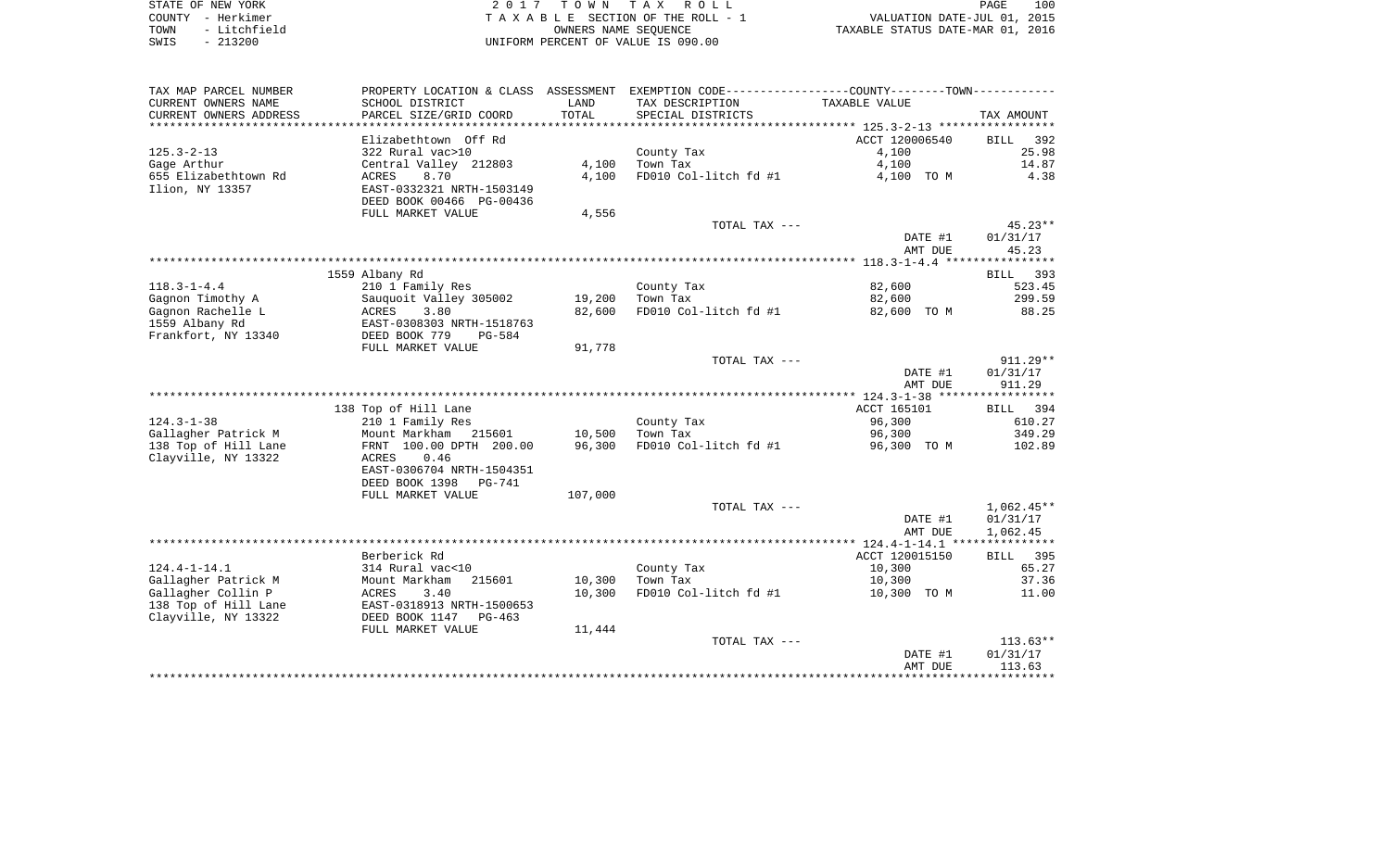| STATE OF NEW YORK    | 2017 TOWN TAX ROLL                 | 100<br>PAGE                      |
|----------------------|------------------------------------|----------------------------------|
| COUNTY - Herkimer    | TAXABLE SECTION OF THE ROLL - 1    | VALUATION DATE-JUL 01, 2015      |
| - Litchfield<br>TOWN | OWNERS NAME SEOUENCE               | TAXABLE STATUS DATE-MAR 01, 2016 |
| $-213200$<br>SWIS    | UNIFORM PERCENT OF VALUE IS 090.00 |                                  |

| TAX MAP PARCEL NUMBER                     |                                    |                  | PROPERTY LOCATION & CLASS ASSESSMENT EXEMPTION CODE---------------COUNTY-------TOWN---------- |                       |                    |
|-------------------------------------------|------------------------------------|------------------|-----------------------------------------------------------------------------------------------|-----------------------|--------------------|
| CURRENT OWNERS NAME                       | SCHOOL DISTRICT                    | LAND             | TAX DESCRIPTION                                                                               | TAXABLE VALUE         |                    |
| CURRENT OWNERS ADDRESS                    | PARCEL SIZE/GRID COORD             | TOTAL            | SPECIAL DISTRICTS                                                                             |                       | TAX AMOUNT         |
|                                           |                                    |                  |                                                                                               |                       |                    |
|                                           | Elizabethtown Off Rd               |                  |                                                                                               | ACCT 120006540        | 392<br>BILL        |
| $125.3 - 2 - 13$                          | 322 Rural vac>10                   |                  | County Tax                                                                                    | 4,100                 | 25.98              |
| Gage Arthur                               | Central Valley 212803              | 4,100            | Town Tax                                                                                      | 4,100                 | 14.87              |
| 655 Elizabethtown Rd                      | 8.70<br>ACRES                      | 4,100            | FD010 Col-litch fd #1                                                                         | 4,100 TO M            | 4.38               |
| Ilion, NY 13357                           | EAST-0332321 NRTH-1503149          |                  |                                                                                               |                       |                    |
|                                           | DEED BOOK 00466 PG-00436           |                  |                                                                                               |                       |                    |
|                                           | FULL MARKET VALUE                  | 4,556            |                                                                                               |                       |                    |
|                                           |                                    |                  | TOTAL TAX ---                                                                                 |                       | $45.23**$          |
|                                           |                                    |                  |                                                                                               | DATE #1               | 01/31/17           |
|                                           |                                    |                  |                                                                                               | AMT DUE               | 45.23              |
|                                           |                                    |                  |                                                                                               |                       |                    |
| $118.3 - 1 - 4.4$                         | 1559 Albany Rd<br>210 1 Family Res |                  | County Tax                                                                                    | 82,600                | BILL 393<br>523.45 |
| Gagnon Timothy A                          | Sauquoit Valley 305002             | 19,200           | Town Tax                                                                                      | 82,600                | 299.59             |
| Gagnon Rachelle L                         | ACRES<br>3.80                      | 82,600           | FD010 Col-litch fd #1                                                                         | 82,600 TO M           | 88.25              |
| 1559 Albany Rd                            | EAST-0308303 NRTH-1518763          |                  |                                                                                               |                       |                    |
| Frankfort, NY 13340                       | DEED BOOK 779<br>PG-584            |                  |                                                                                               |                       |                    |
|                                           | FULL MARKET VALUE                  | 91,778           |                                                                                               |                       |                    |
|                                           |                                    |                  | TOTAL TAX ---                                                                                 |                       | $911.29**$         |
|                                           |                                    |                  |                                                                                               | DATE #1               | 01/31/17           |
|                                           |                                    |                  |                                                                                               | AMT DUE               | 911.29             |
|                                           |                                    |                  |                                                                                               |                       |                    |
|                                           | 138 Top of Hill Lane               |                  |                                                                                               | ACCT 165101           | BILL 394           |
| $124.3 - 1 - 38$                          | 210 1 Family Res                   |                  | County Tax                                                                                    | 96,300                | 610.27             |
| Gallagher Patrick M                       | Mount Markham 215601               | 10,500           | Town Tax                                                                                      | 96,300                | 349.29             |
| 138 Top of Hill Lane                      | FRNT 100.00 DPTH 200.00            | 96,300           | FD010 Col-litch fd #1                                                                         | 96,300 TO M           | 102.89             |
| Clayville, NY 13322                       | 0.46<br>ACRES                      |                  |                                                                                               |                       |                    |
|                                           | EAST-0306704 NRTH-1504351          |                  |                                                                                               |                       |                    |
|                                           | DEED BOOK 1398<br>PG-741           |                  |                                                                                               |                       |                    |
|                                           | FULL MARKET VALUE                  | 107,000          |                                                                                               |                       |                    |
|                                           |                                    |                  | TOTAL TAX ---                                                                                 |                       | $1,062.45**$       |
|                                           |                                    |                  |                                                                                               | DATE #1               | 01/31/17           |
|                                           |                                    |                  |                                                                                               | AMT DUE               | 1,062.45           |
|                                           |                                    |                  |                                                                                               |                       |                    |
| $124.4 - 1 - 14.1$                        | Berberick Rd                       |                  |                                                                                               | ACCT 120015150        | 395<br>BILL        |
|                                           | 314 Rural vac<10<br>215601         |                  | County Tax                                                                                    | 10,300                | 65.27              |
| Gallagher Patrick M<br>Gallagher Collin P | Mount Markham<br>3.40<br>ACRES     | 10,300<br>10,300 | Town Tax<br>FD010 Col-litch fd #1                                                             | 10,300<br>10,300 TO M | 37.36<br>11.00     |
| 138 Top of Hill Lane                      | EAST-0318913 NRTH-1500653          |                  |                                                                                               |                       |                    |
| Clayville, NY 13322                       | DEED BOOK 1147 PG-463              |                  |                                                                                               |                       |                    |
|                                           | FULL MARKET VALUE                  | 11,444           |                                                                                               |                       |                    |
|                                           |                                    |                  | TOTAL TAX ---                                                                                 |                       | $113.63**$         |
|                                           |                                    |                  |                                                                                               | DATE #1               | 01/31/17           |
|                                           |                                    |                  |                                                                                               | AMT DUE               | 113.63             |
|                                           |                                    |                  |                                                                                               |                       |                    |
|                                           |                                    |                  |                                                                                               |                       |                    |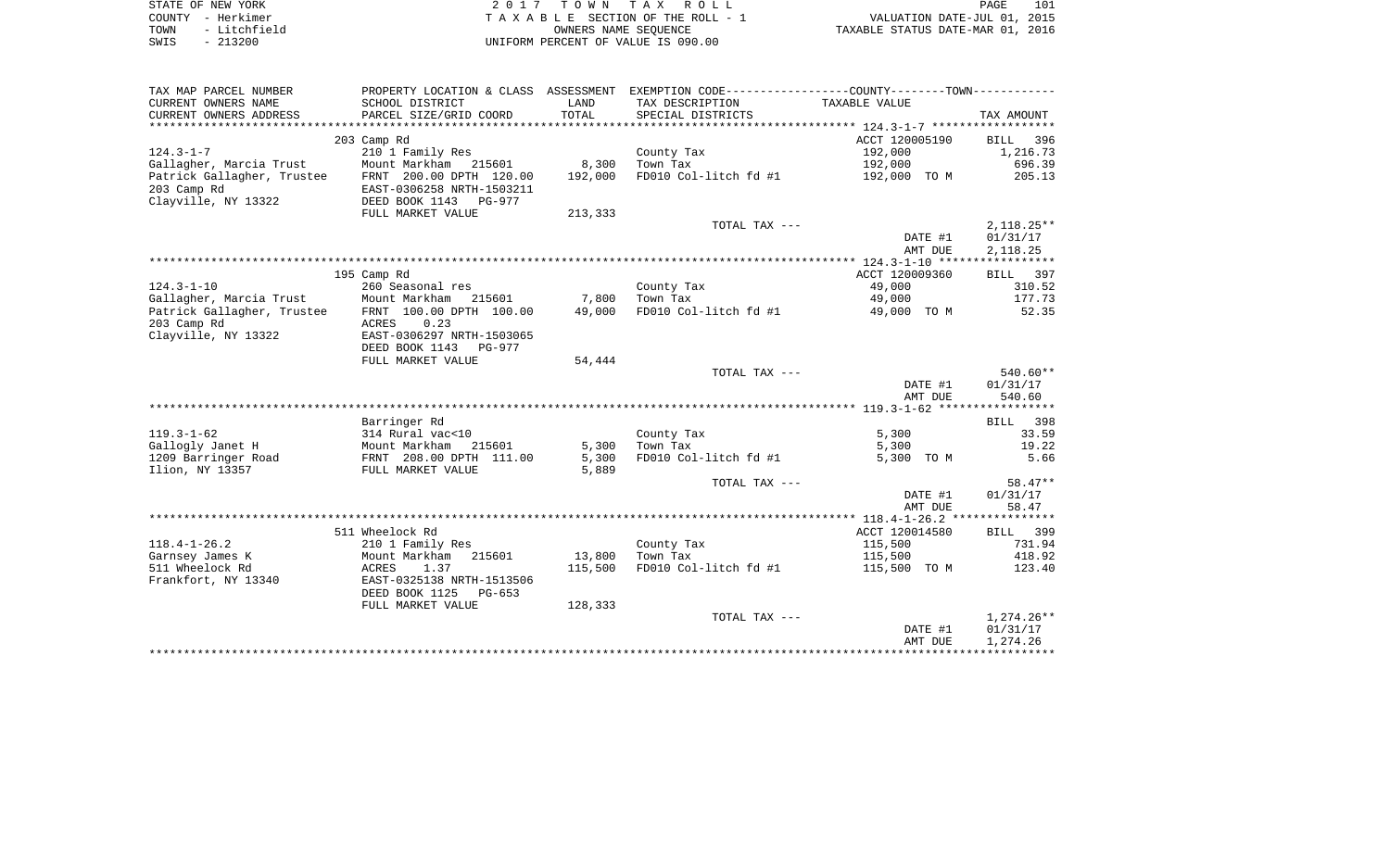| STATE OF NEW YORK |           |              |  |
|-------------------|-----------|--------------|--|
| COUNTY - Herkimer |           |              |  |
| TOWN              |           | - Litchfield |  |
| SMTS              | $-213200$ |              |  |

STATE OF NEW YORK 2 0 1 7 T O W N T A X R O L L PAGE 101TA X A B L E SECTION OF THE ROLL - 1 TOWN - Litchfield OWNERS NAME SEQUENCE TAXABLE STATUS DATE-MAR 01, 2016 SWIS - 213200 UNIFORM PERCENT OF VALUE IS 090.00

| TAX MAP PARCEL NUMBER      | PROPERTY LOCATION & CLASS ASSESSMENT EXEMPTION CODE---------------COUNTY-------TOWN--------- |         |                       |                |                    |
|----------------------------|----------------------------------------------------------------------------------------------|---------|-----------------------|----------------|--------------------|
| CURRENT OWNERS NAME        | SCHOOL DISTRICT                                                                              | LAND    | TAX DESCRIPTION       | TAXABLE VALUE  |                    |
| CURRENT OWNERS ADDRESS     | PARCEL SIZE/GRID COORD                                                                       | TOTAL   | SPECIAL DISTRICTS     |                | TAX AMOUNT         |
|                            |                                                                                              |         |                       |                |                    |
|                            | 203 Camp Rd                                                                                  |         |                       | ACCT 120005190 | <b>BILL</b><br>396 |
| $124.3 - 1 - 7$            | 210 1 Family Res                                                                             |         | County Tax            | 192,000        | 1,216.73           |
| Gallagher, Marcia Trust    | Mount Markham 215601                                                                         | 8,300   | Town Tax              | 192,000        | 696.39             |
| Patrick Gallagher, Trustee | FRNT 200.00 DPTH 120.00                                                                      | 192,000 | FD010 Col-litch fd #1 | 192,000 TO M   | 205.13             |
| 203 Camp Rd                | EAST-0306258 NRTH-1503211                                                                    |         |                       |                |                    |
| Clayville, NY 13322        | DEED BOOK 1143<br><b>PG-977</b>                                                              |         |                       |                |                    |
|                            | FULL MARKET VALUE                                                                            | 213,333 |                       |                |                    |
|                            |                                                                                              |         | TOTAL TAX ---         |                | $2,118.25**$       |
|                            |                                                                                              |         |                       | DATE #1        | 01/31/17           |
|                            |                                                                                              |         |                       | AMT DUE        | 2,118.25           |
|                            |                                                                                              |         |                       |                |                    |
|                            | 195 Camp Rd                                                                                  |         |                       | ACCT 120009360 | 397<br><b>BILL</b> |
| $124.3 - 1 - 10$           | 260 Seasonal res                                                                             |         | County Tax            | 49,000         | 310.52             |
| Gallagher, Marcia Trust    | Mount Markham 215601                                                                         | 7,800   | Town Tax              | 49,000         | 177.73             |
| Patrick Gallagher, Trustee | FRNT 100.00 DPTH 100.00                                                                      | 49,000  | FD010 Col-litch fd #1 | 49,000 TO M    | 52.35              |
| 203 Camp Rd                | ACRES<br>0.23                                                                                |         |                       |                |                    |
| Clayville, NY 13322        | EAST-0306297 NRTH-1503065                                                                    |         |                       |                |                    |
|                            | DEED BOOK 1143<br>PG-977                                                                     |         |                       |                |                    |
|                            | FULL MARKET VALUE                                                                            | 54,444  |                       |                |                    |
|                            |                                                                                              |         | TOTAL TAX ---         |                | 540.60**           |
|                            |                                                                                              |         |                       | DATE #1        | 01/31/17           |
|                            |                                                                                              |         |                       | AMT DUE        | 540.60             |
|                            |                                                                                              |         |                       |                |                    |
|                            | Barringer Rd                                                                                 |         |                       |                | BILL 398           |
| $119.3 - 1 - 62$           | 314 Rural vac<10                                                                             |         | County Tax            | 5,300          | 33.59              |
| Gallogly Janet H           | Mount Markham<br>215601                                                                      | 5,300   | Town Tax              | 5,300          | 19.22              |
| 1209 Barringer Road        | FRNT 208.00 DPTH 111.00                                                                      | 5,300   | FD010 Col-litch fd #1 | 5,300 TO M     | 5.66               |
| Ilion, NY 13357            | FULL MARKET VALUE                                                                            | 5,889   |                       |                |                    |
|                            |                                                                                              |         | TOTAL TAX ---         |                | $58.47**$          |
|                            |                                                                                              |         |                       | DATE #1        | 01/31/17           |
|                            |                                                                                              |         |                       | AMT DUE        | 58.47              |
|                            |                                                                                              |         |                       |                |                    |
|                            | 511 Wheelock Rd                                                                              |         |                       | ACCT 120014580 | 399<br>BILL        |
| $118.4 - 1 - 26.2$         | 210 1 Family Res                                                                             |         | County Tax            | 115,500        | 731.94             |
| Garnsey James K            | Mount Markham<br>215601                                                                      | 13,800  | Town Tax              | 115,500        | 418.92             |
| 511 Wheelock Rd            | 1.37<br>ACRES                                                                                | 115,500 | FD010 Col-litch fd #1 | 115,500 TO M   | 123.40             |
| Frankfort, NY 13340        | EAST-0325138 NRTH-1513506                                                                    |         |                       |                |                    |
|                            | DEED BOOK 1125<br>$PG-653$                                                                   |         |                       |                |                    |
|                            | FULL MARKET VALUE                                                                            | 128,333 |                       |                |                    |
|                            |                                                                                              |         | TOTAL TAX ---         |                | 1,274.26**         |
|                            |                                                                                              |         |                       | DATE #1        | 01/31/17           |
|                            |                                                                                              |         |                       | AMT DUE        | 1,274.26           |
|                            |                                                                                              |         |                       |                |                    |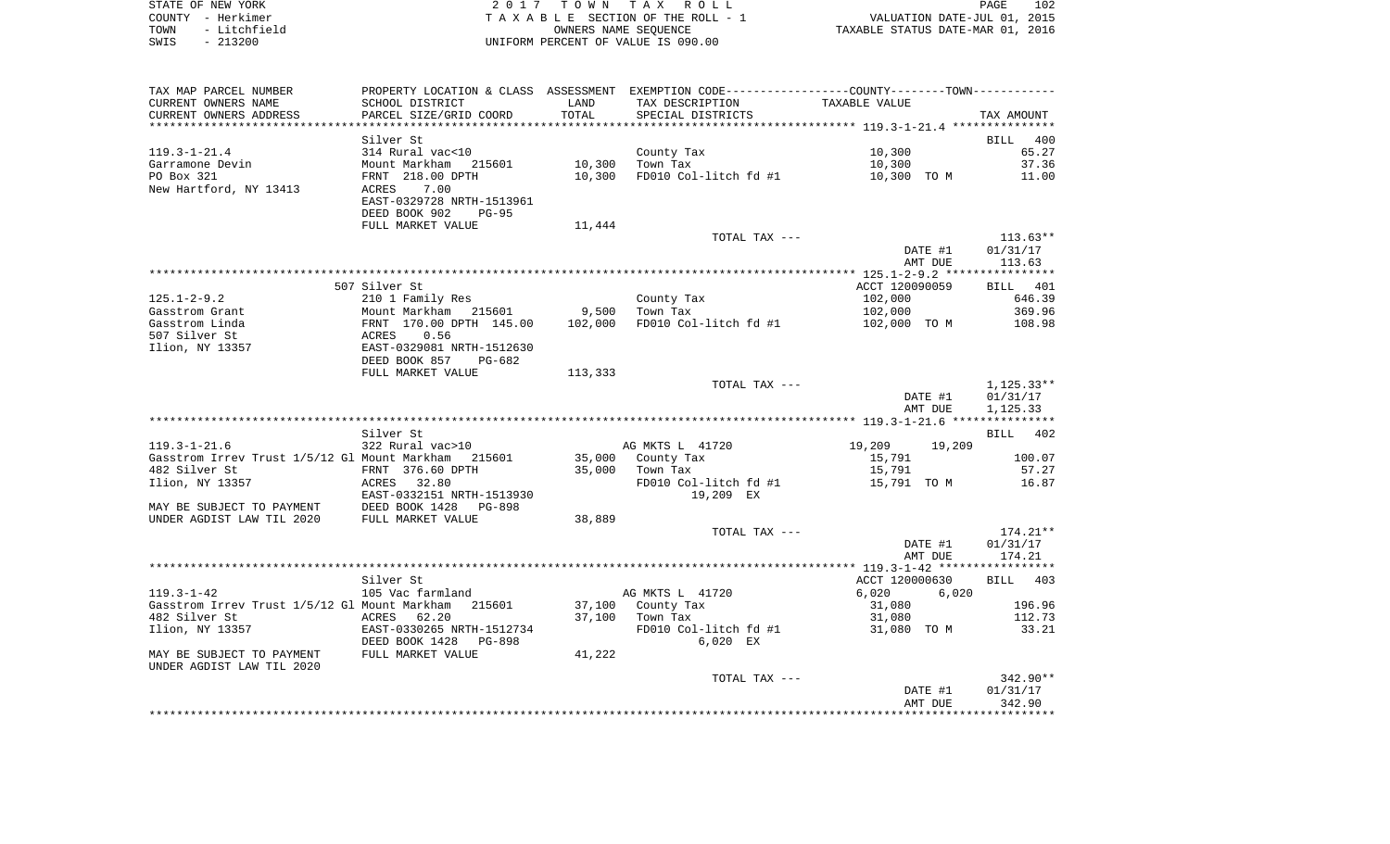| STATE OF NEW YORK    | 2017 TOWN TAX ROLL                 | 102<br>PAGE                      |
|----------------------|------------------------------------|----------------------------------|
| COUNTY - Herkimer    | TAXABLE SECTION OF THE ROLL - 1    | VALUATION DATE-JUL 01, 2015      |
| - Litchfield<br>TOWN | OWNERS NAME SEOUENCE               | TAXABLE STATUS DATE-MAR 01, 2016 |
| $-213200$<br>SWIS    | UNIFORM PERCENT OF VALUE IS 090.00 |                                  |

| TAX MAP PARCEL NUMBER                                                                                                                          | PROPERTY LOCATION & CLASS ASSESSMENT EXEMPTION CODE----------------COUNTY--------TOWN----------                                                                                     |                 |                               |                    |                    |
|------------------------------------------------------------------------------------------------------------------------------------------------|-------------------------------------------------------------------------------------------------------------------------------------------------------------------------------------|-----------------|-------------------------------|--------------------|--------------------|
| CURRENT OWNERS NAME                                                                                                                            | SCHOOL DISTRICT                                                                                                                                                                     | LAND            | TAX DESCRIPTION TAXABLE VALUE |                    |                    |
| CURRENT OWNERS ADDRESS                                                                                                                         | PARCEL SIZE/GRID COORD                                                                                                                                                              | TOTAL           | SPECIAL DISTRICTS             |                    | TAX AMOUNT         |
|                                                                                                                                                |                                                                                                                                                                                     |                 |                               |                    |                    |
|                                                                                                                                                | Silver St                                                                                                                                                                           |                 |                               |                    | BILL 400           |
| 119.3-1-21.4                                                                                                                                   | 314 Rural vac<10<br>Mount Markham 215601 10,300                                                                                                                                     |                 | County Tax                    | 10,300             | 65.27              |
| Garramone Devin                                                                                                                                |                                                                                                                                                                                     |                 | Town Tax                      | 10,300             | 37.36              |
| PO Box 321                                                                                                                                     | FRNT 218.00 DPTH                                                                                                                                                                    | 10,300          | FD010 Col-litch fd #1         | 10,300 TO M        | 11.00              |
| New Hartford, NY 13413                                                                                                                         | ACRES 7.00                                                                                                                                                                          |                 |                               |                    |                    |
|                                                                                                                                                | EAST-0329728 NRTH-1513961                                                                                                                                                           |                 |                               |                    |                    |
|                                                                                                                                                | DEED BOOK 902<br><b>PG-95</b>                                                                                                                                                       |                 |                               |                    |                    |
|                                                                                                                                                | FULL MARKET VALUE                                                                                                                                                                   | 11,444          |                               |                    |                    |
|                                                                                                                                                |                                                                                                                                                                                     |                 | TOTAL TAX ---                 |                    | 113.63**           |
|                                                                                                                                                |                                                                                                                                                                                     |                 |                               | DATE #1            | 01/31/17           |
|                                                                                                                                                |                                                                                                                                                                                     |                 |                               | AMT DUE            | 113.63             |
|                                                                                                                                                |                                                                                                                                                                                     |                 |                               |                    |                    |
|                                                                                                                                                | 507 Silver St                                                                                                                                                                       |                 |                               | ACCT 120090059     | BILL 401           |
| $125.1 - 2 - 9.2$                                                                                                                              |                                                                                                                                                                                     |                 |                               | 102,000<br>102,000 | 646.39             |
| Gasstrom Grant                                                                                                                                 | 210 1 Family Res<br>Mount Markham 215601 9,500 Town Tax<br>FRNT 170.00 DPTH 145.00 102,000 FD010 Col-litch fd #1<br>ACRES 0.56<br>EAST-0329081 NRTH-1512630<br>DEED BOOK 857 PG-682 |                 |                               |                    | 369.96             |
| Gasstrom Linda                                                                                                                                 |                                                                                                                                                                                     |                 |                               | 102,000 TO M       | 108.98             |
| 507 Silver St                                                                                                                                  |                                                                                                                                                                                     |                 |                               |                    |                    |
| Ilion, NY 13357                                                                                                                                |                                                                                                                                                                                     |                 |                               |                    |                    |
|                                                                                                                                                |                                                                                                                                                                                     |                 |                               |                    |                    |
|                                                                                                                                                | FULL MARKET VALUE                                                                                                                                                                   | 113,333         |                               |                    |                    |
|                                                                                                                                                |                                                                                                                                                                                     |                 | TOTAL TAX ---                 |                    | 1,125.33**         |
|                                                                                                                                                |                                                                                                                                                                                     |                 |                               | DATE #1            | 01/31/17           |
|                                                                                                                                                |                                                                                                                                                                                     |                 |                               | AMT DUE            | 1,125.33           |
|                                                                                                                                                |                                                                                                                                                                                     |                 |                               |                    |                    |
|                                                                                                                                                | Silver St                                                                                                                                                                           |                 |                               |                    | BILL 402           |
| 119.3-1-21.6                                                                                                                                   | 322 Rural vac>10                                                                                                                                                                    |                 | AG MKTS L 41720               | 19,209 19,209      |                    |
| Gasstrom Irrev Trust 1/5/12 Gl Mount Markham 215601                                                                                            |                                                                                                                                                                                     |                 | 35,000 County Tax             | 15,791             | 100.07             |
| 482 Silver St                                                                                                                                  | FRNT 376.60 DPTH                                                                                                                                                                    | 35,000 Town Tax |                               | 15,791             | 57.27              |
| 11ion, NY 13357<br>EAST-0332151 NRTH-1513930<br>MAY BE SUBJECT TO PAYMENT DEED BOOK 1428 PG-898<br>UNDER AGDIST LAW TIL 2020 FULL MARKET VALUE |                                                                                                                                                                                     |                 | FD010 Col-litch fd #1         | 15,791 TO M        | 16.87              |
|                                                                                                                                                |                                                                                                                                                                                     |                 | 19,209 EX                     |                    |                    |
|                                                                                                                                                |                                                                                                                                                                                     |                 |                               |                    |                    |
|                                                                                                                                                |                                                                                                                                                                                     | 38,889          |                               |                    |                    |
|                                                                                                                                                |                                                                                                                                                                                     |                 | TOTAL TAX ---                 |                    | $174.21***$        |
|                                                                                                                                                |                                                                                                                                                                                     |                 |                               | DATE #1            | 01/31/17           |
|                                                                                                                                                |                                                                                                                                                                                     |                 |                               | AMT DUE            | 174.21             |
|                                                                                                                                                |                                                                                                                                                                                     |                 |                               |                    |                    |
|                                                                                                                                                | Silver St                                                                                                                                                                           |                 |                               | ACCT 120000630     | BILL 403           |
| 119.3-1-42                                                                                                                                     | 105 Vac farmland                                                                                                                                                                    |                 | AG MKTS L 41720               | 6,020 6,020        |                    |
| Gasstrom Irrev Trust 1/5/12 Gl Mount Markham   215601                                                                                          |                                                                                                                                                                                     |                 | 37,100 County Tax             | 31,080             | 196.96             |
| 482 Silver St                                                                                                                                  | 62.20<br>ACRES<br>ACRES 02.20<br>EAST-0330265 NRTH-1512734                                                                                                                          |                 | 37,100 Town Tax               | 31,080             | 112.73             |
| Ilion, NY 13357                                                                                                                                |                                                                                                                                                                                     |                 | FD010 Col-litch fd #1         | 31,080 TO M        | 33.21              |
| DEED BOOK 1428 PG-898<br>MAY BE SUBJECT TO PAYMENT FULL MARKET VALUE                                                                           |                                                                                                                                                                                     |                 | 6,020 EX                      |                    |                    |
|                                                                                                                                                |                                                                                                                                                                                     | 41,222          |                               |                    |                    |
| UNDER AGDIST LAW TIL 2020                                                                                                                      |                                                                                                                                                                                     |                 |                               |                    |                    |
|                                                                                                                                                |                                                                                                                                                                                     |                 | TOTAL TAX ---                 |                    | $342.90**$         |
|                                                                                                                                                |                                                                                                                                                                                     |                 |                               | DATE #1<br>AMT DUE | 01/31/17<br>342.90 |
|                                                                                                                                                |                                                                                                                                                                                     |                 |                               |                    |                    |
|                                                                                                                                                |                                                                                                                                                                                     |                 |                               |                    |                    |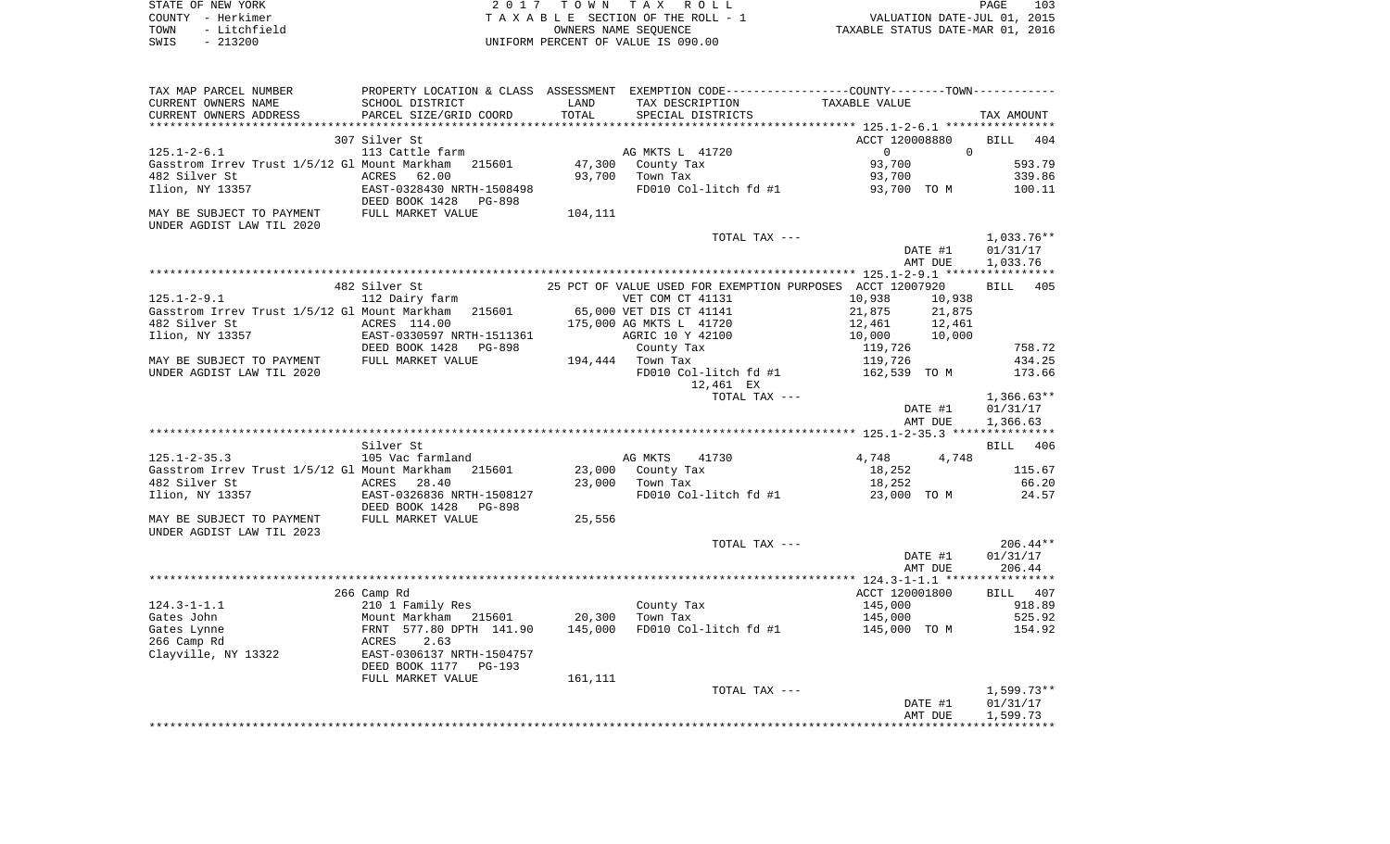|      | STATE OF NEW YORK | 2017 TOWN TAX ROLL                 | PAGE                             | 103 |
|------|-------------------|------------------------------------|----------------------------------|-----|
|      | COUNTY - Herkimer | TAXABLE SECTION OF THE ROLL - 1    | VALUATION DATE-JUL 01, 2015      |     |
| TOWN | - Litchfield      | OWNERS NAME SEOUENCE               | TAXABLE STATUS DATE-MAR 01, 2016 |     |
| SWIS | $-213200$         | UNIFORM PERCENT OF VALUE IS 090.00 |                                  |     |

| TAX MAP PARCEL NUMBER<br>CURRENT OWNERS NAME                    | SCHOOL DISTRICT                                                                 | LAND    | TAX DESCRIPTION                    | PROPERTY LOCATION & CLASS ASSESSMENT EXEMPTION CODE----------------COUNTY--------TOWN----------<br>TAXABLE VALUE |                        |
|-----------------------------------------------------------------|---------------------------------------------------------------------------------|---------|------------------------------------|------------------------------------------------------------------------------------------------------------------|------------------------|
| CURRENT OWNERS ADDRESS                                          | PARCEL SIZE/GRID COORD                                                          | TOTAL   | SPECIAL DISTRICTS                  |                                                                                                                  | TAX AMOUNT             |
| *********************                                           | **************************                                                      |         |                                    |                                                                                                                  |                        |
|                                                                 | 307 Silver St                                                                   |         |                                    | ACCT 120008880                                                                                                   | <b>BILL</b><br>404     |
| $125.1 - 2 - 6.1$                                               | 113 Cattle farm                                                                 |         | AG MKTS L 41720                    | $\Omega$<br>$\Omega$                                                                                             |                        |
| Gasstrom Irrev Trust 1/5/12 Gl Mount Markham                    | 215601                                                                          | 47,300  | County Tax                         | 93,700                                                                                                           | 593.79                 |
| 482 Silver St                                                   | ACRES<br>62.00                                                                  | 93,700  | Town Tax                           | 93,700                                                                                                           | 339.86                 |
| Ilion, NY 13357                                                 | EAST-0328430 NRTH-1508498                                                       |         | FD010 Col-litch fd #1              | 93,700 TO M                                                                                                      | 100.11                 |
|                                                                 | DEED BOOK 1428<br>PG-898                                                        |         |                                    |                                                                                                                  |                        |
| MAY BE SUBJECT TO PAYMENT FULL MARKET VALUE                     |                                                                                 | 104,111 |                                    |                                                                                                                  |                        |
| UNDER AGDIST LAW TIL 2020                                       |                                                                                 |         |                                    |                                                                                                                  |                        |
|                                                                 |                                                                                 |         | TOTAL TAX ---                      |                                                                                                                  | $1,033.76**$           |
|                                                                 |                                                                                 |         |                                    | DATE #1                                                                                                          | 01/31/17               |
|                                                                 |                                                                                 |         |                                    | AMT DUE                                                                                                          | 1,033.76               |
|                                                                 | 482 Silver St                                                                   |         |                                    | 25 PCT OF VALUE USED FOR EXEMPTION PURPOSES ACCT 12007920                                                        | 405                    |
| 125.1-2-9.1                                                     | 112 Dairy farm                                                                  |         | VET COM CT 41131                   | 10,938<br>10,938                                                                                                 | <b>BILL</b>            |
| Gasstrom Irrev Trust 1/5/12 Gl Mount Markham 215601             |                                                                                 |         | 65,000 VET DIS CT 41141            |                                                                                                                  |                        |
| 482 Silver St                                                   | ACRES 114.00                                                                    |         | 175,000 AG MKTS L 41720            | 12,461                                                                                                           |                        |
| Ilion, NY 13357                                                 | EAST-0330597 NRTH-1511361                                                       |         | AGRIC 10 Y 42100                   | $\begin{array}{lll} 21,875 & \quad & 21,875 \\ 12,461 & \quad & 12,461 \\ 10,000 & \quad & 10,000 \end{array}$   |                        |
|                                                                 | PG-898                                                                          |         | County Tax                         | 119,726                                                                                                          | 758.72                 |
| DEED BOOK 1428 I<br>MAY BE SUBJECT TO PAYMENT FULL MARKET VALUE |                                                                                 |         | 194,444 Town Tax                   | 119,726                                                                                                          | 434.25                 |
| UNDER AGDIST LAW TIL 2020                                       |                                                                                 |         | FD010 Col-litch fd #1              | 162,539 TO M                                                                                                     | 173.66                 |
|                                                                 |                                                                                 |         | 12,461 EX                          |                                                                                                                  |                        |
|                                                                 |                                                                                 |         | TOTAL TAX ---                      |                                                                                                                  | $1,366.63**$           |
|                                                                 |                                                                                 |         |                                    | DATE #1                                                                                                          | 01/31/17               |
|                                                                 |                                                                                 |         |                                    | AMT DUE                                                                                                          | 1,366.63               |
|                                                                 |                                                                                 |         |                                    |                                                                                                                  |                        |
|                                                                 | Silver St                                                                       |         |                                    |                                                                                                                  | BILL 406               |
| $125.1 - 2 - 35.3$                                              | 105 Vac farmland                                                                |         | AG MKTS 41730                      | 4,748<br>4,748                                                                                                   |                        |
| Gasstrom Irrev Trust 1/5/12 Gl Mount Markham 215601             |                                                                                 | 23,000  | County Tax                         | 18,252                                                                                                           | 115.67                 |
| 482 Silver St                                                   | ACRES<br>28.40                                                                  | 23,000  | Town Tax                           | 18,252                                                                                                           | 66.20                  |
| Ilion, NY 13357                                                 | EAST-0326836 NRTH-1508127                                                       |         |                                    | FD010 Col-litch $f$ d #1 $\qquad$ 23,000 TO M                                                                    | 24.57                  |
| DEED BOOK 1428 IN THE SUBJECT TO PAYMENT FULL MARKET VALUE      | PG-898                                                                          |         |                                    |                                                                                                                  |                        |
|                                                                 |                                                                                 | 25,556  |                                    |                                                                                                                  |                        |
| UNDER AGDIST LAW TIL 2023                                       |                                                                                 |         |                                    |                                                                                                                  |                        |
|                                                                 |                                                                                 |         | TOTAL TAX ---                      | DATE #1                                                                                                          | $206.44**$<br>01/31/17 |
|                                                                 |                                                                                 |         |                                    | AMT DUE                                                                                                          | 206.44                 |
|                                                                 |                                                                                 |         |                                    |                                                                                                                  |                        |
|                                                                 | 266 Camp Rd                                                                     |         |                                    | ACCT 120001800                                                                                                   | BILL 407               |
| $124.3 - 1 - 1.1$                                               |                                                                                 |         |                                    | 145,000                                                                                                          | 918.89                 |
| Gates John                                                      |                                                                                 | 20,300  | County Tax<br>Town Tay<br>Town Tax | 145,000                                                                                                          | 525.92                 |
| Gates Lynne                                                     |                                                                                 | 145,000 |                                    | FD010 Col-litch fd #1 145,000 TO M                                                                               | 154.92                 |
| 266 Camp Rd                                                     | The Temply Res<br>Mount Markham 215601<br>FRNT 577.80 DPTH 141.90<br>ACRES 2.63 |         |                                    |                                                                                                                  |                        |
| Clayville, NY 13322 EAST-0306137 NRTH-1504757                   |                                                                                 |         |                                    |                                                                                                                  |                        |
|                                                                 | DEED BOOK 1177 PG-193                                                           |         |                                    |                                                                                                                  |                        |
|                                                                 | FULL MARKET VALUE                                                               | 161,111 |                                    |                                                                                                                  |                        |
|                                                                 |                                                                                 |         | TOTAL TAX ---                      |                                                                                                                  | $1,599.73**$           |
|                                                                 |                                                                                 |         |                                    | DATE #1                                                                                                          | 01/31/17               |
|                                                                 |                                                                                 |         |                                    | AMT DUE                                                                                                          | 1,599.73               |
|                                                                 |                                                                                 |         |                                    |                                                                                                                  |                        |
|                                                                 |                                                                                 |         |                                    |                                                                                                                  |                        |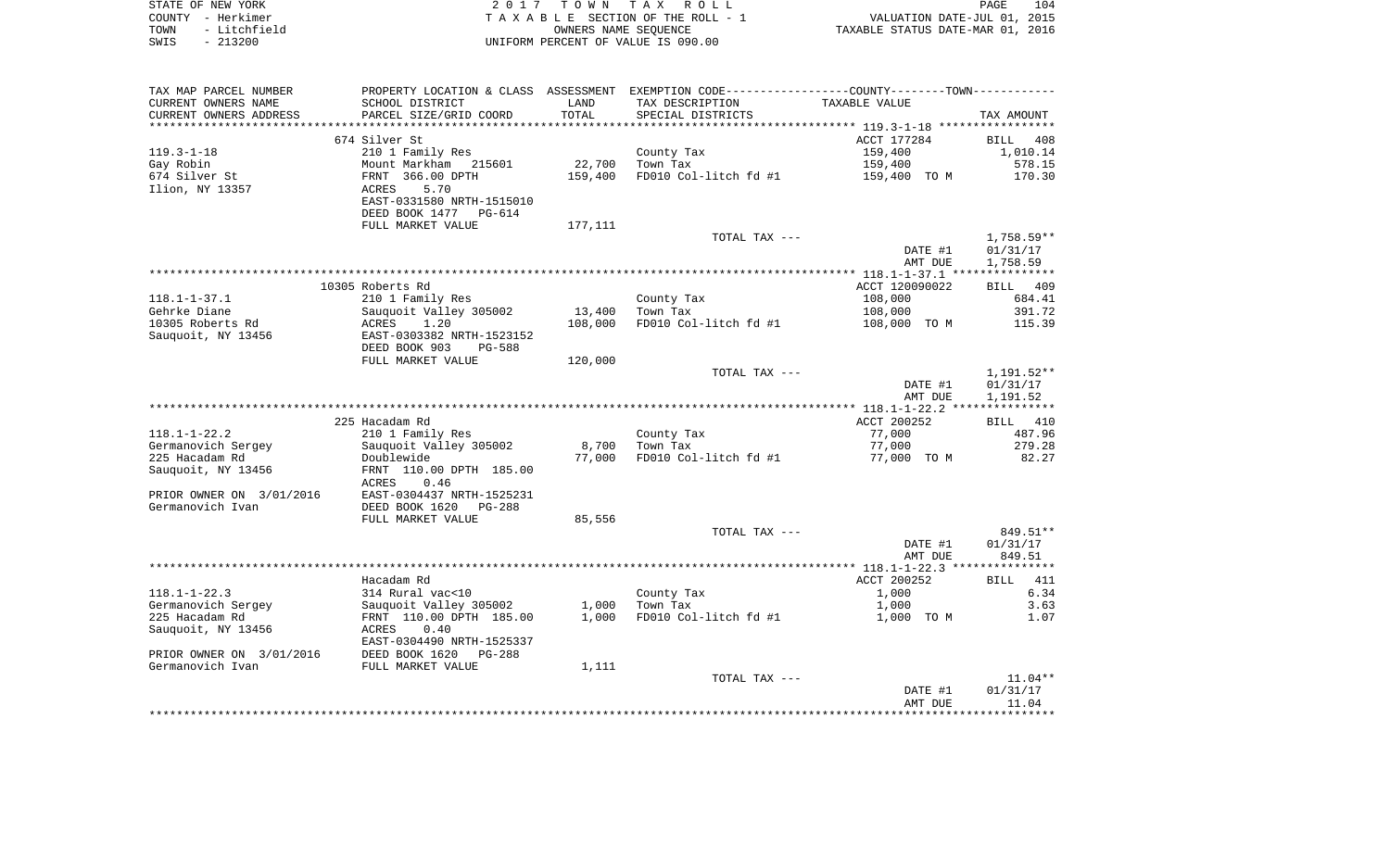| STATE OF NEW YORK    | 2017 TOWN TAX ROLL<br>PAGE                                     | 104 |
|----------------------|----------------------------------------------------------------|-----|
| COUNTY - Herkimer    | VALUATION DATE-JUL 01, 2015<br>TAXABLE SECTION OF THE ROLL - 1 |     |
| - Litchfield<br>TOWN | TAXABLE STATUS DATE-MAR 01, 2016<br>OWNERS NAME SEOUENCE       |     |
| - 213200<br>SWIS     | UNIFORM PERCENT OF VALUE IS 090.00                             |     |

 $\begin{array}{c} 104 \\ 2015 \\ 2016 \end{array}$ 

| TAX MAP PARCEL NUMBER                        |                                |         |                       | PROPERTY LOCATION & CLASS ASSESSMENT EXEMPTION CODE----------------COUNTY--------TOWN----------- |              |
|----------------------------------------------|--------------------------------|---------|-----------------------|--------------------------------------------------------------------------------------------------|--------------|
| CURRENT OWNERS NAME                          | SCHOOL DISTRICT                | LAND    | TAX DESCRIPTION       | TAXABLE VALUE                                                                                    |              |
| CURRENT OWNERS ADDRESS                       | PARCEL SIZE/GRID COORD         | TOTAL   | SPECIAL DISTRICTS     |                                                                                                  | TAX AMOUNT   |
| ************************                     |                                |         |                       |                                                                                                  |              |
|                                              | 674 Silver St                  |         |                       | ACCT 177284                                                                                      | BILL<br>408  |
| $119.3 - 1 - 18$                             | 210 1 Family Res               |         | County Tax            | 159,400                                                                                          | 1,010.14     |
| Gay Robin                                    | Mount Markham<br>215601        | 22,700  | Town Tax              | 159,400                                                                                          | 578.15       |
|                                              |                                |         |                       |                                                                                                  |              |
| 674 Silver St                                | FRNT 366.00 DPTH               | 159,400 | FD010 Col-litch fd #1 | 159,400 TO M                                                                                     | 170.30       |
| Ilion, NY 13357                              | 5.70<br>ACRES                  |         |                       |                                                                                                  |              |
|                                              | EAST-0331580 NRTH-1515010      |         |                       |                                                                                                  |              |
|                                              | DEED BOOK 1477<br>PG-614       |         |                       |                                                                                                  |              |
|                                              | FULL MARKET VALUE              | 177,111 |                       |                                                                                                  |              |
|                                              |                                |         | TOTAL TAX ---         |                                                                                                  | $1,758.59**$ |
|                                              |                                |         |                       | DATE #1                                                                                          | 01/31/17     |
|                                              |                                |         |                       | AMT DUE                                                                                          | 1,758.59     |
|                                              |                                |         |                       |                                                                                                  |              |
|                                              | 10305 Roberts Rd               |         |                       | ACCT 120090022                                                                                   | BILL 409     |
| $118.1 - 1 - 37.1$                           | 210 1 Family Res               |         | County Tax            | 108,000                                                                                          | 684.41       |
| Gehrke Diane                                 | Sauguoit Valley 305002         | 13,400  | Town Tax              | 108,000                                                                                          | 391.72       |
| 10305 Roberts Rd                             | 1.20<br>ACRES                  | 108,000 | FD010 Col-litch fd #1 | 108,000 TO M                                                                                     | 115.39       |
| Sauguoit, NY 13456                           | EAST-0303382 NRTH-1523152      |         |                       |                                                                                                  |              |
|                                              |                                |         |                       |                                                                                                  |              |
|                                              | DEED BOOK 903<br><b>PG-588</b> |         |                       |                                                                                                  |              |
|                                              | FULL MARKET VALUE              | 120,000 |                       |                                                                                                  |              |
|                                              |                                |         | TOTAL TAX ---         |                                                                                                  | $1,191.52**$ |
|                                              |                                |         |                       | DATE #1                                                                                          | 01/31/17     |
|                                              |                                |         |                       | AMT DUE                                                                                          | 1,191.52     |
|                                              |                                |         |                       |                                                                                                  |              |
|                                              | 225 Hacadam Rd                 |         |                       | ACCT 200252                                                                                      | BILL 410     |
| $118.1 - 1 - 22.2$                           | 210 1 Family Res               |         | County Tax            | 77,000                                                                                           | 487.96       |
| Germanovich Sergey                           | Sauquoit Valley 305002         | 8,700   | Town Tax              | 77,000                                                                                           | 279.28       |
| 225 Hacadam Rd                               | Doublewide                     | 77,000  | FD010 Col-litch fd #1 | 77,000 TO M                                                                                      | 82.27        |
| Sauquoit, NY 13456                           | FRNT 110.00 DPTH 185.00        |         |                       |                                                                                                  |              |
|                                              | 0.46<br>ACRES                  |         |                       |                                                                                                  |              |
| PRIOR OWNER ON 3/01/2016                     | EAST-0304437 NRTH-1525231      |         |                       |                                                                                                  |              |
| Germanovich Ivan                             | DEED BOOK 1620<br>$PG-288$     |         |                       |                                                                                                  |              |
|                                              | FULL MARKET VALUE              | 85,556  |                       |                                                                                                  |              |
|                                              |                                |         | TOTAL TAX ---         |                                                                                                  | 849.51**     |
|                                              |                                |         |                       |                                                                                                  |              |
|                                              |                                |         |                       | DATE #1                                                                                          | 01/31/17     |
|                                              |                                |         |                       | AMT DUE                                                                                          | 849.51       |
|                                              |                                |         |                       |                                                                                                  |              |
|                                              | Hacadam Rd                     |         |                       | ACCT 200252                                                                                      | 411<br>BILL  |
|                                              |                                |         |                       |                                                                                                  | 6.34         |
| $118.1 - 1 - 22.3$                           | 314 Rural vac<10               |         | County Tax            | 1,000                                                                                            |              |
| Germanovich Sergey                           | Sauquoit Valley 305002         | 1,000   | Town Tax              | 1,000                                                                                            | 3.63         |
| 225 Hacadam Rd                               | FRNT 110.00 DPTH 185.00        | 1,000   | FD010 Col-litch fd #1 | 1,000 TO M                                                                                       | 1.07         |
| Sauquoit, NY 13456                           | ACRES<br>0.40                  |         |                       |                                                                                                  |              |
|                                              | EAST-0304490 NRTH-1525337      |         |                       |                                                                                                  |              |
|                                              | $PG-288$                       |         |                       |                                                                                                  |              |
|                                              | DEED BOOK 1620                 | 1,111   |                       |                                                                                                  |              |
|                                              | FULL MARKET VALUE              |         |                       |                                                                                                  |              |
|                                              |                                |         | TOTAL TAX ---         |                                                                                                  | $11.04**$    |
| PRIOR OWNER ON 3/01/2016<br>Germanovich Ivan |                                |         |                       | DATE #1                                                                                          | 01/31/17     |
|                                              |                                |         |                       | AMT DUE                                                                                          | 11.04        |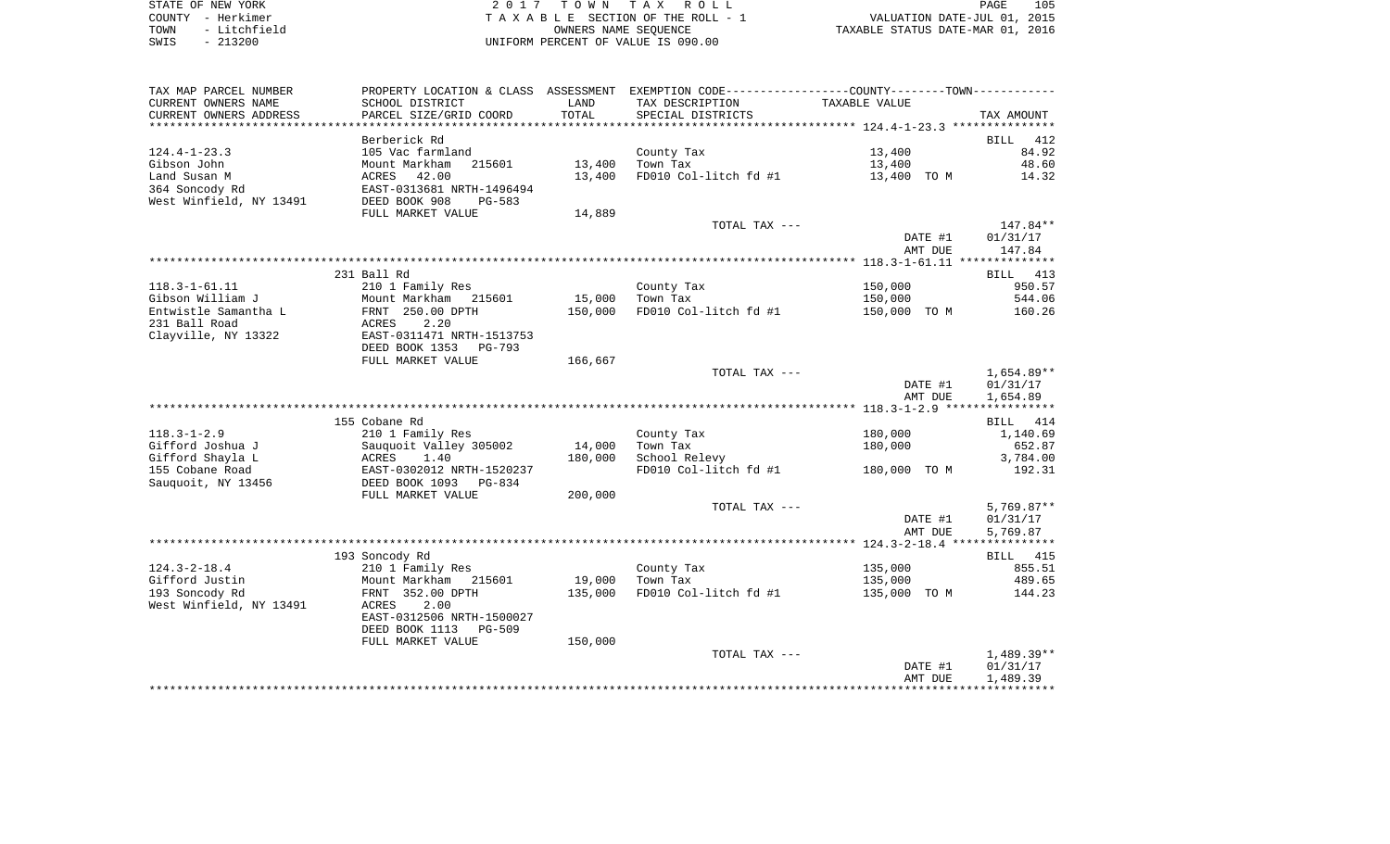| STATE OF NEW YORK    | 2017 TOWN TAX ROLL                 | 105<br>PAGE                      |
|----------------------|------------------------------------|----------------------------------|
| COUNTY - Herkimer    | TAXABLE SECTION OF THE ROLL - 1    | VALUATION DATE-JUL 01, 2015      |
| - Litchfield<br>TOWN | OWNERS NAME SEOUENCE               | TAXABLE STATUS DATE-MAR 01, 2016 |
| $-213200$<br>SWIS    | UNIFORM PERCENT OF VALUE IS 090.00 |                                  |

| CURRENT OWNERS NAME<br>SCHOOL DISTRICT<br>LAND<br>TAX DESCRIPTION<br>TAXABLE VALUE<br>TOTAL<br>CURRENT OWNERS ADDRESS<br>PARCEL SIZE/GRID COORD<br>SPECIAL DISTRICTS<br>TAX AMOUNT<br>**********************<br>*******************************<br>Berberick Rd<br>412<br>BILL<br>84.92<br>$124.4 - 1 - 23.3$<br>105 Vac farmland<br>13,400<br>County Tax<br>Gibson John<br>13,400<br>Mount Markham<br>215601<br>13,400<br>Town Tax<br>48.60<br>Land Susan M<br>FD010 Col-litch fd #1<br>13,400 TO M<br>ACRES<br>42.00<br>13,400<br>14.32<br>364 Soncody Rd<br>EAST-0313681 NRTH-1496494<br>West Winfield, NY 13491<br>DEED BOOK 908<br><b>PG-583</b><br>14,889<br>FULL MARKET VALUE<br>147.84**<br>TOTAL TAX ---<br>DATE #1<br>01/31/17<br>AMT DUE<br>147.84<br>231 Ball Rd<br>BILL 413<br>950.57<br>$118.3 - 1 - 61.11$<br>210 1 Family Res<br>150,000<br>County Tax<br>Gibson William J<br>Mount Markham 215601<br>15,000<br>Town Tax<br>150,000<br>544.06<br>Entwistle Samantha L<br>FRNT 250.00 DPTH<br>150,000<br>FD010 Col-litch fd #1<br>150,000 TO M<br>160.26<br>231 Ball Road<br>ACRES<br>2.20<br>Clayville, NY 13322<br>EAST-0311471 NRTH-1513753<br>DEED BOOK 1353<br><b>PG-793</b><br>166,667<br>FULL MARKET VALUE<br>$1,654.89**$<br>TOTAL TAX ---<br>DATE #1<br>01/31/17<br>AMT DUE<br>1,654.89<br>155 Cobane Rd<br>414<br>BILL<br>1,140.69<br>$118.3 - 1 - 2.9$<br>210 1 Family Res<br>180,000<br>County Tax<br>Gifford Joshua J<br>Sauquoit Valley 305002<br>14,000<br>Town Tax<br>180,000<br>652.87<br>Gifford Shayla L<br>1.40<br>180,000<br>School Relevy<br>3,784.00<br>ACRES<br>FD010 Col-litch fd #1<br>155 Cobane Road<br>EAST-0302012 NRTH-1520237<br>180,000 TO M<br>192.31<br>Sauquoit, NY 13456<br>DEED BOOK 1093<br>$PG-834$<br>FULL MARKET VALUE<br>200,000<br>$5,769.87**$<br>TOTAL TAX ---<br>DATE #1<br>01/31/17<br>AMT DUE<br>5,769.87<br>193 Soncody Rd<br>BILL 415<br>$124.3 - 2 - 18.4$<br>135,000<br>855.51<br>210 1 Family Res<br>County Tax<br>Gifford Justin<br>19,000<br>Mount Markham<br>215601<br>Town Tax<br>135,000<br>489.65<br>193 Soncody Rd<br>FRNT 352.00 DPTH<br>135,000<br>FD010 Col-litch fd #1<br>135,000 TO M<br>144.23<br>West Winfield, NY 13491<br>2.00<br>ACRES<br>EAST-0312506 NRTH-1500027<br>DEED BOOK 1113<br>$PG-509$<br>FULL MARKET VALUE<br>150,000<br>1,489.39**<br>TOTAL TAX ---<br>DATE #1<br>01/31/17<br>1,489.39<br>AMT DUE | TAX MAP PARCEL NUMBER |  | PROPERTY LOCATION & CLASS ASSESSMENT EXEMPTION CODE---------------COUNTY-------TOWN---------- |  |
|------------------------------------------------------------------------------------------------------------------------------------------------------------------------------------------------------------------------------------------------------------------------------------------------------------------------------------------------------------------------------------------------------------------------------------------------------------------------------------------------------------------------------------------------------------------------------------------------------------------------------------------------------------------------------------------------------------------------------------------------------------------------------------------------------------------------------------------------------------------------------------------------------------------------------------------------------------------------------------------------------------------------------------------------------------------------------------------------------------------------------------------------------------------------------------------------------------------------------------------------------------------------------------------------------------------------------------------------------------------------------------------------------------------------------------------------------------------------------------------------------------------------------------------------------------------------------------------------------------------------------------------------------------------------------------------------------------------------------------------------------------------------------------------------------------------------------------------------------------------------------------------------------------------------------------------------------------------------------------------------------------------------------------------------------------------------------------------------------------------------------------------------------------------------------------------------------------------------------------------------------------------------------------------------------------------------------------------------------------------------------------------------------|-----------------------|--|-----------------------------------------------------------------------------------------------|--|
|                                                                                                                                                                                                                                                                                                                                                                                                                                                                                                                                                                                                                                                                                                                                                                                                                                                                                                                                                                                                                                                                                                                                                                                                                                                                                                                                                                                                                                                                                                                                                                                                                                                                                                                                                                                                                                                                                                                                                                                                                                                                                                                                                                                                                                                                                                                                                                                                      |                       |  |                                                                                               |  |
|                                                                                                                                                                                                                                                                                                                                                                                                                                                                                                                                                                                                                                                                                                                                                                                                                                                                                                                                                                                                                                                                                                                                                                                                                                                                                                                                                                                                                                                                                                                                                                                                                                                                                                                                                                                                                                                                                                                                                                                                                                                                                                                                                                                                                                                                                                                                                                                                      |                       |  |                                                                                               |  |
|                                                                                                                                                                                                                                                                                                                                                                                                                                                                                                                                                                                                                                                                                                                                                                                                                                                                                                                                                                                                                                                                                                                                                                                                                                                                                                                                                                                                                                                                                                                                                                                                                                                                                                                                                                                                                                                                                                                                                                                                                                                                                                                                                                                                                                                                                                                                                                                                      |                       |  |                                                                                               |  |
|                                                                                                                                                                                                                                                                                                                                                                                                                                                                                                                                                                                                                                                                                                                                                                                                                                                                                                                                                                                                                                                                                                                                                                                                                                                                                                                                                                                                                                                                                                                                                                                                                                                                                                                                                                                                                                                                                                                                                                                                                                                                                                                                                                                                                                                                                                                                                                                                      |                       |  |                                                                                               |  |
|                                                                                                                                                                                                                                                                                                                                                                                                                                                                                                                                                                                                                                                                                                                                                                                                                                                                                                                                                                                                                                                                                                                                                                                                                                                                                                                                                                                                                                                                                                                                                                                                                                                                                                                                                                                                                                                                                                                                                                                                                                                                                                                                                                                                                                                                                                                                                                                                      |                       |  |                                                                                               |  |
|                                                                                                                                                                                                                                                                                                                                                                                                                                                                                                                                                                                                                                                                                                                                                                                                                                                                                                                                                                                                                                                                                                                                                                                                                                                                                                                                                                                                                                                                                                                                                                                                                                                                                                                                                                                                                                                                                                                                                                                                                                                                                                                                                                                                                                                                                                                                                                                                      |                       |  |                                                                                               |  |
|                                                                                                                                                                                                                                                                                                                                                                                                                                                                                                                                                                                                                                                                                                                                                                                                                                                                                                                                                                                                                                                                                                                                                                                                                                                                                                                                                                                                                                                                                                                                                                                                                                                                                                                                                                                                                                                                                                                                                                                                                                                                                                                                                                                                                                                                                                                                                                                                      |                       |  |                                                                                               |  |
|                                                                                                                                                                                                                                                                                                                                                                                                                                                                                                                                                                                                                                                                                                                                                                                                                                                                                                                                                                                                                                                                                                                                                                                                                                                                                                                                                                                                                                                                                                                                                                                                                                                                                                                                                                                                                                                                                                                                                                                                                                                                                                                                                                                                                                                                                                                                                                                                      |                       |  |                                                                                               |  |
|                                                                                                                                                                                                                                                                                                                                                                                                                                                                                                                                                                                                                                                                                                                                                                                                                                                                                                                                                                                                                                                                                                                                                                                                                                                                                                                                                                                                                                                                                                                                                                                                                                                                                                                                                                                                                                                                                                                                                                                                                                                                                                                                                                                                                                                                                                                                                                                                      |                       |  |                                                                                               |  |
|                                                                                                                                                                                                                                                                                                                                                                                                                                                                                                                                                                                                                                                                                                                                                                                                                                                                                                                                                                                                                                                                                                                                                                                                                                                                                                                                                                                                                                                                                                                                                                                                                                                                                                                                                                                                                                                                                                                                                                                                                                                                                                                                                                                                                                                                                                                                                                                                      |                       |  |                                                                                               |  |
|                                                                                                                                                                                                                                                                                                                                                                                                                                                                                                                                                                                                                                                                                                                                                                                                                                                                                                                                                                                                                                                                                                                                                                                                                                                                                                                                                                                                                                                                                                                                                                                                                                                                                                                                                                                                                                                                                                                                                                                                                                                                                                                                                                                                                                                                                                                                                                                                      |                       |  |                                                                                               |  |
|                                                                                                                                                                                                                                                                                                                                                                                                                                                                                                                                                                                                                                                                                                                                                                                                                                                                                                                                                                                                                                                                                                                                                                                                                                                                                                                                                                                                                                                                                                                                                                                                                                                                                                                                                                                                                                                                                                                                                                                                                                                                                                                                                                                                                                                                                                                                                                                                      |                       |  |                                                                                               |  |
|                                                                                                                                                                                                                                                                                                                                                                                                                                                                                                                                                                                                                                                                                                                                                                                                                                                                                                                                                                                                                                                                                                                                                                                                                                                                                                                                                                                                                                                                                                                                                                                                                                                                                                                                                                                                                                                                                                                                                                                                                                                                                                                                                                                                                                                                                                                                                                                                      |                       |  |                                                                                               |  |
|                                                                                                                                                                                                                                                                                                                                                                                                                                                                                                                                                                                                                                                                                                                                                                                                                                                                                                                                                                                                                                                                                                                                                                                                                                                                                                                                                                                                                                                                                                                                                                                                                                                                                                                                                                                                                                                                                                                                                                                                                                                                                                                                                                                                                                                                                                                                                                                                      |                       |  |                                                                                               |  |
|                                                                                                                                                                                                                                                                                                                                                                                                                                                                                                                                                                                                                                                                                                                                                                                                                                                                                                                                                                                                                                                                                                                                                                                                                                                                                                                                                                                                                                                                                                                                                                                                                                                                                                                                                                                                                                                                                                                                                                                                                                                                                                                                                                                                                                                                                                                                                                                                      |                       |  |                                                                                               |  |
|                                                                                                                                                                                                                                                                                                                                                                                                                                                                                                                                                                                                                                                                                                                                                                                                                                                                                                                                                                                                                                                                                                                                                                                                                                                                                                                                                                                                                                                                                                                                                                                                                                                                                                                                                                                                                                                                                                                                                                                                                                                                                                                                                                                                                                                                                                                                                                                                      |                       |  |                                                                                               |  |
|                                                                                                                                                                                                                                                                                                                                                                                                                                                                                                                                                                                                                                                                                                                                                                                                                                                                                                                                                                                                                                                                                                                                                                                                                                                                                                                                                                                                                                                                                                                                                                                                                                                                                                                                                                                                                                                                                                                                                                                                                                                                                                                                                                                                                                                                                                                                                                                                      |                       |  |                                                                                               |  |
|                                                                                                                                                                                                                                                                                                                                                                                                                                                                                                                                                                                                                                                                                                                                                                                                                                                                                                                                                                                                                                                                                                                                                                                                                                                                                                                                                                                                                                                                                                                                                                                                                                                                                                                                                                                                                                                                                                                                                                                                                                                                                                                                                                                                                                                                                                                                                                                                      |                       |  |                                                                                               |  |
|                                                                                                                                                                                                                                                                                                                                                                                                                                                                                                                                                                                                                                                                                                                                                                                                                                                                                                                                                                                                                                                                                                                                                                                                                                                                                                                                                                                                                                                                                                                                                                                                                                                                                                                                                                                                                                                                                                                                                                                                                                                                                                                                                                                                                                                                                                                                                                                                      |                       |  |                                                                                               |  |
|                                                                                                                                                                                                                                                                                                                                                                                                                                                                                                                                                                                                                                                                                                                                                                                                                                                                                                                                                                                                                                                                                                                                                                                                                                                                                                                                                                                                                                                                                                                                                                                                                                                                                                                                                                                                                                                                                                                                                                                                                                                                                                                                                                                                                                                                                                                                                                                                      |                       |  |                                                                                               |  |
|                                                                                                                                                                                                                                                                                                                                                                                                                                                                                                                                                                                                                                                                                                                                                                                                                                                                                                                                                                                                                                                                                                                                                                                                                                                                                                                                                                                                                                                                                                                                                                                                                                                                                                                                                                                                                                                                                                                                                                                                                                                                                                                                                                                                                                                                                                                                                                                                      |                       |  |                                                                                               |  |
|                                                                                                                                                                                                                                                                                                                                                                                                                                                                                                                                                                                                                                                                                                                                                                                                                                                                                                                                                                                                                                                                                                                                                                                                                                                                                                                                                                                                                                                                                                                                                                                                                                                                                                                                                                                                                                                                                                                                                                                                                                                                                                                                                                                                                                                                                                                                                                                                      |                       |  |                                                                                               |  |
|                                                                                                                                                                                                                                                                                                                                                                                                                                                                                                                                                                                                                                                                                                                                                                                                                                                                                                                                                                                                                                                                                                                                                                                                                                                                                                                                                                                                                                                                                                                                                                                                                                                                                                                                                                                                                                                                                                                                                                                                                                                                                                                                                                                                                                                                                                                                                                                                      |                       |  |                                                                                               |  |
|                                                                                                                                                                                                                                                                                                                                                                                                                                                                                                                                                                                                                                                                                                                                                                                                                                                                                                                                                                                                                                                                                                                                                                                                                                                                                                                                                                                                                                                                                                                                                                                                                                                                                                                                                                                                                                                                                                                                                                                                                                                                                                                                                                                                                                                                                                                                                                                                      |                       |  |                                                                                               |  |
|                                                                                                                                                                                                                                                                                                                                                                                                                                                                                                                                                                                                                                                                                                                                                                                                                                                                                                                                                                                                                                                                                                                                                                                                                                                                                                                                                                                                                                                                                                                                                                                                                                                                                                                                                                                                                                                                                                                                                                                                                                                                                                                                                                                                                                                                                                                                                                                                      |                       |  |                                                                                               |  |
|                                                                                                                                                                                                                                                                                                                                                                                                                                                                                                                                                                                                                                                                                                                                                                                                                                                                                                                                                                                                                                                                                                                                                                                                                                                                                                                                                                                                                                                                                                                                                                                                                                                                                                                                                                                                                                                                                                                                                                                                                                                                                                                                                                                                                                                                                                                                                                                                      |                       |  |                                                                                               |  |
|                                                                                                                                                                                                                                                                                                                                                                                                                                                                                                                                                                                                                                                                                                                                                                                                                                                                                                                                                                                                                                                                                                                                                                                                                                                                                                                                                                                                                                                                                                                                                                                                                                                                                                                                                                                                                                                                                                                                                                                                                                                                                                                                                                                                                                                                                                                                                                                                      |                       |  |                                                                                               |  |
|                                                                                                                                                                                                                                                                                                                                                                                                                                                                                                                                                                                                                                                                                                                                                                                                                                                                                                                                                                                                                                                                                                                                                                                                                                                                                                                                                                                                                                                                                                                                                                                                                                                                                                                                                                                                                                                                                                                                                                                                                                                                                                                                                                                                                                                                                                                                                                                                      |                       |  |                                                                                               |  |
|                                                                                                                                                                                                                                                                                                                                                                                                                                                                                                                                                                                                                                                                                                                                                                                                                                                                                                                                                                                                                                                                                                                                                                                                                                                                                                                                                                                                                                                                                                                                                                                                                                                                                                                                                                                                                                                                                                                                                                                                                                                                                                                                                                                                                                                                                                                                                                                                      |                       |  |                                                                                               |  |
|                                                                                                                                                                                                                                                                                                                                                                                                                                                                                                                                                                                                                                                                                                                                                                                                                                                                                                                                                                                                                                                                                                                                                                                                                                                                                                                                                                                                                                                                                                                                                                                                                                                                                                                                                                                                                                                                                                                                                                                                                                                                                                                                                                                                                                                                                                                                                                                                      |                       |  |                                                                                               |  |
|                                                                                                                                                                                                                                                                                                                                                                                                                                                                                                                                                                                                                                                                                                                                                                                                                                                                                                                                                                                                                                                                                                                                                                                                                                                                                                                                                                                                                                                                                                                                                                                                                                                                                                                                                                                                                                                                                                                                                                                                                                                                                                                                                                                                                                                                                                                                                                                                      |                       |  |                                                                                               |  |
|                                                                                                                                                                                                                                                                                                                                                                                                                                                                                                                                                                                                                                                                                                                                                                                                                                                                                                                                                                                                                                                                                                                                                                                                                                                                                                                                                                                                                                                                                                                                                                                                                                                                                                                                                                                                                                                                                                                                                                                                                                                                                                                                                                                                                                                                                                                                                                                                      |                       |  |                                                                                               |  |
|                                                                                                                                                                                                                                                                                                                                                                                                                                                                                                                                                                                                                                                                                                                                                                                                                                                                                                                                                                                                                                                                                                                                                                                                                                                                                                                                                                                                                                                                                                                                                                                                                                                                                                                                                                                                                                                                                                                                                                                                                                                                                                                                                                                                                                                                                                                                                                                                      |                       |  |                                                                                               |  |
|                                                                                                                                                                                                                                                                                                                                                                                                                                                                                                                                                                                                                                                                                                                                                                                                                                                                                                                                                                                                                                                                                                                                                                                                                                                                                                                                                                                                                                                                                                                                                                                                                                                                                                                                                                                                                                                                                                                                                                                                                                                                                                                                                                                                                                                                                                                                                                                                      |                       |  |                                                                                               |  |
|                                                                                                                                                                                                                                                                                                                                                                                                                                                                                                                                                                                                                                                                                                                                                                                                                                                                                                                                                                                                                                                                                                                                                                                                                                                                                                                                                                                                                                                                                                                                                                                                                                                                                                                                                                                                                                                                                                                                                                                                                                                                                                                                                                                                                                                                                                                                                                                                      |                       |  |                                                                                               |  |
|                                                                                                                                                                                                                                                                                                                                                                                                                                                                                                                                                                                                                                                                                                                                                                                                                                                                                                                                                                                                                                                                                                                                                                                                                                                                                                                                                                                                                                                                                                                                                                                                                                                                                                                                                                                                                                                                                                                                                                                                                                                                                                                                                                                                                                                                                                                                                                                                      |                       |  |                                                                                               |  |
|                                                                                                                                                                                                                                                                                                                                                                                                                                                                                                                                                                                                                                                                                                                                                                                                                                                                                                                                                                                                                                                                                                                                                                                                                                                                                                                                                                                                                                                                                                                                                                                                                                                                                                                                                                                                                                                                                                                                                                                                                                                                                                                                                                                                                                                                                                                                                                                                      |                       |  |                                                                                               |  |
|                                                                                                                                                                                                                                                                                                                                                                                                                                                                                                                                                                                                                                                                                                                                                                                                                                                                                                                                                                                                                                                                                                                                                                                                                                                                                                                                                                                                                                                                                                                                                                                                                                                                                                                                                                                                                                                                                                                                                                                                                                                                                                                                                                                                                                                                                                                                                                                                      |                       |  |                                                                                               |  |
|                                                                                                                                                                                                                                                                                                                                                                                                                                                                                                                                                                                                                                                                                                                                                                                                                                                                                                                                                                                                                                                                                                                                                                                                                                                                                                                                                                                                                                                                                                                                                                                                                                                                                                                                                                                                                                                                                                                                                                                                                                                                                                                                                                                                                                                                                                                                                                                                      |                       |  |                                                                                               |  |
|                                                                                                                                                                                                                                                                                                                                                                                                                                                                                                                                                                                                                                                                                                                                                                                                                                                                                                                                                                                                                                                                                                                                                                                                                                                                                                                                                                                                                                                                                                                                                                                                                                                                                                                                                                                                                                                                                                                                                                                                                                                                                                                                                                                                                                                                                                                                                                                                      |                       |  |                                                                                               |  |
|                                                                                                                                                                                                                                                                                                                                                                                                                                                                                                                                                                                                                                                                                                                                                                                                                                                                                                                                                                                                                                                                                                                                                                                                                                                                                                                                                                                                                                                                                                                                                                                                                                                                                                                                                                                                                                                                                                                                                                                                                                                                                                                                                                                                                                                                                                                                                                                                      |                       |  |                                                                                               |  |
|                                                                                                                                                                                                                                                                                                                                                                                                                                                                                                                                                                                                                                                                                                                                                                                                                                                                                                                                                                                                                                                                                                                                                                                                                                                                                                                                                                                                                                                                                                                                                                                                                                                                                                                                                                                                                                                                                                                                                                                                                                                                                                                                                                                                                                                                                                                                                                                                      |                       |  |                                                                                               |  |
|                                                                                                                                                                                                                                                                                                                                                                                                                                                                                                                                                                                                                                                                                                                                                                                                                                                                                                                                                                                                                                                                                                                                                                                                                                                                                                                                                                                                                                                                                                                                                                                                                                                                                                                                                                                                                                                                                                                                                                                                                                                                                                                                                                                                                                                                                                                                                                                                      |                       |  |                                                                                               |  |
|                                                                                                                                                                                                                                                                                                                                                                                                                                                                                                                                                                                                                                                                                                                                                                                                                                                                                                                                                                                                                                                                                                                                                                                                                                                                                                                                                                                                                                                                                                                                                                                                                                                                                                                                                                                                                                                                                                                                                                                                                                                                                                                                                                                                                                                                                                                                                                                                      |                       |  |                                                                                               |  |
|                                                                                                                                                                                                                                                                                                                                                                                                                                                                                                                                                                                                                                                                                                                                                                                                                                                                                                                                                                                                                                                                                                                                                                                                                                                                                                                                                                                                                                                                                                                                                                                                                                                                                                                                                                                                                                                                                                                                                                                                                                                                                                                                                                                                                                                                                                                                                                                                      |                       |  |                                                                                               |  |
|                                                                                                                                                                                                                                                                                                                                                                                                                                                                                                                                                                                                                                                                                                                                                                                                                                                                                                                                                                                                                                                                                                                                                                                                                                                                                                                                                                                                                                                                                                                                                                                                                                                                                                                                                                                                                                                                                                                                                                                                                                                                                                                                                                                                                                                                                                                                                                                                      |                       |  |                                                                                               |  |
|                                                                                                                                                                                                                                                                                                                                                                                                                                                                                                                                                                                                                                                                                                                                                                                                                                                                                                                                                                                                                                                                                                                                                                                                                                                                                                                                                                                                                                                                                                                                                                                                                                                                                                                                                                                                                                                                                                                                                                                                                                                                                                                                                                                                                                                                                                                                                                                                      |                       |  |                                                                                               |  |
|                                                                                                                                                                                                                                                                                                                                                                                                                                                                                                                                                                                                                                                                                                                                                                                                                                                                                                                                                                                                                                                                                                                                                                                                                                                                                                                                                                                                                                                                                                                                                                                                                                                                                                                                                                                                                                                                                                                                                                                                                                                                                                                                                                                                                                                                                                                                                                                                      |                       |  |                                                                                               |  |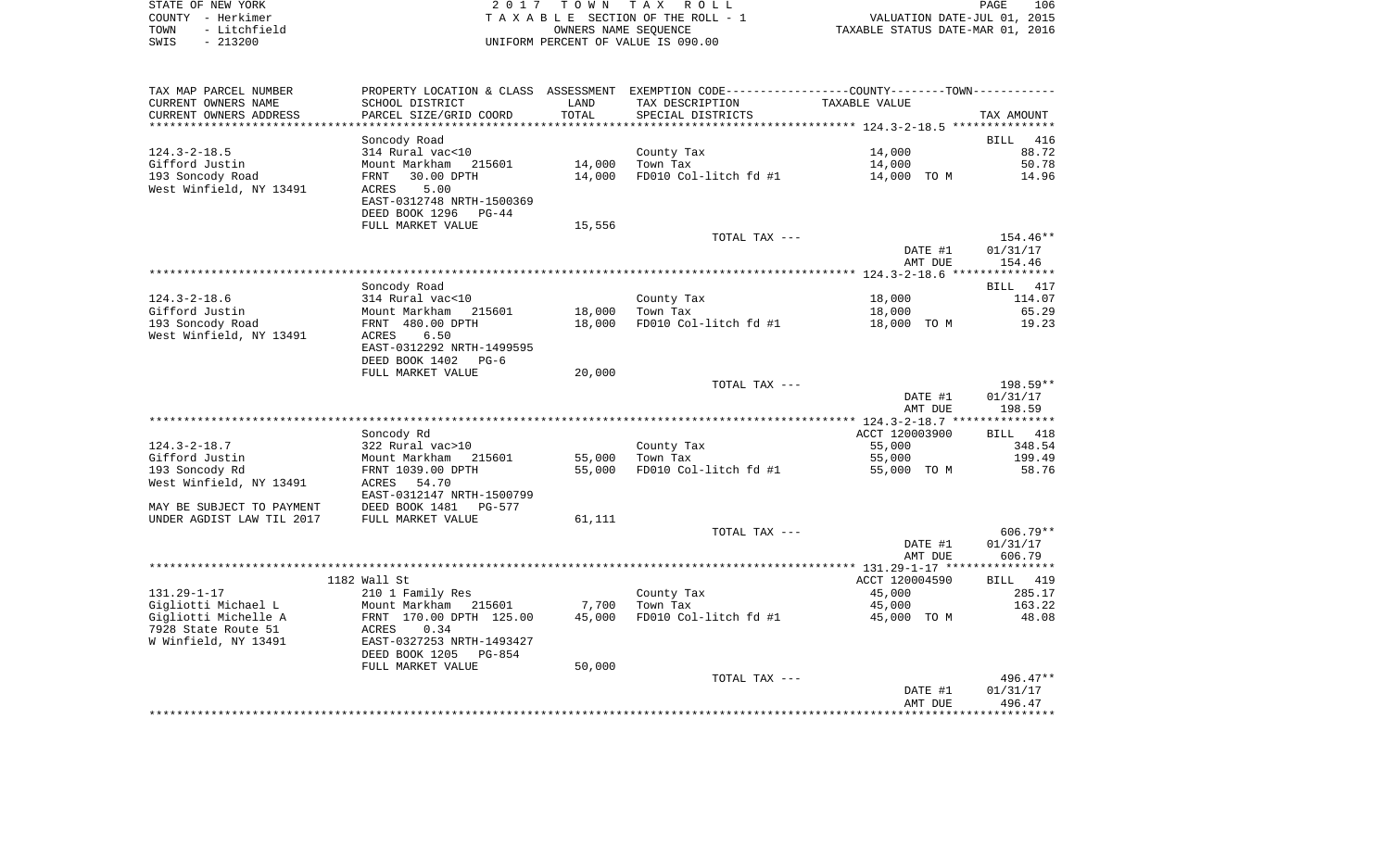| STATE OF NEW YORK |                   | 2017 TOWN TAX ROLL                 | 106<br>PAGE                      |
|-------------------|-------------------|------------------------------------|----------------------------------|
|                   | COUNTY - Herkimer | TAXABLE SECTION OF THE ROLL - 1    | VALUATION DATE-JUL 01, 2015      |
| TOWN              | - Litchfield      | OWNERS NAME SEOUENCE               | TAXABLE STATUS DATE-MAR 01, 2016 |
| SWIS              | $-213200$         | UNIFORM PERCENT OF VALUE IS 090.00 |                                  |

| TAX MAP PARCEL NUMBER              |                                               |        | PROPERTY LOCATION & CLASS ASSESSMENT EXEMPTION CODE---------------COUNTY-------TOWN---------- |                       |                    |
|------------------------------------|-----------------------------------------------|--------|-----------------------------------------------------------------------------------------------|-----------------------|--------------------|
| CURRENT OWNERS NAME                | SCHOOL DISTRICT                               | LAND   | TAX DESCRIPTION                                                                               | TAXABLE VALUE         |                    |
| CURRENT OWNERS ADDRESS             | PARCEL SIZE/GRID COORD                        | TOTAL  | SPECIAL DISTRICTS                                                                             |                       | TAX AMOUNT         |
|                                    |                                               |        |                                                                                               |                       |                    |
|                                    | Soncody Road                                  |        |                                                                                               |                       | BILL 416           |
| $124.3 - 2 - 18.5$                 | 314 Rural vac<10                              |        | County Tax                                                                                    | 14,000                | 88.72              |
| Gifford Justin<br>193 Soncody Road | Mount Markham 215601<br>FRNT<br>30.00 DPTH    | 14,000 | 14,000 Town Tax<br>FD010 Col-litch fd #1                                                      | 14,000<br>14,000 TO M | 50.78<br>14.96     |
| West Winfield, NY 13491            | ACRES<br>5.00                                 |        |                                                                                               |                       |                    |
|                                    | EAST-0312748 NRTH-1500369                     |        |                                                                                               |                       |                    |
|                                    | DEED BOOK 1296 PG-44                          |        |                                                                                               |                       |                    |
|                                    | FULL MARKET VALUE                             | 15,556 |                                                                                               |                       |                    |
|                                    |                                               |        | TOTAL TAX ---                                                                                 |                       | 154.46**           |
|                                    |                                               |        |                                                                                               | DATE #1               | 01/31/17           |
|                                    |                                               |        |                                                                                               | AMT DUE               | 154.46             |
|                                    |                                               |        |                                                                                               |                       |                    |
|                                    | Soncody Road                                  |        |                                                                                               |                       | BILL 417           |
| $124.3 - 2 - 18.6$                 | 314 Rural vac<10                              |        | County Tax                                                                                    | 18,000                | 114.07             |
| Gifford Justin                     | Mount Markham 215601                          |        | 18,000 Town Tax                                                                               | 18,000                | 65.29              |
| 193 Soncody Road                   | FRNT 480.00 DPTH                              | 18,000 | FD010 Col-litch fd #1                                                                         | 18,000 TO M           | 19.23              |
| West Winfield, NY 13491            | 6.50<br>ACRES                                 |        |                                                                                               |                       |                    |
|                                    | EAST-0312292 NRTH-1499595                     |        |                                                                                               |                       |                    |
|                                    | DEED BOOK 1402<br>$PG-6$<br>FULL MARKET VALUE | 20,000 |                                                                                               |                       |                    |
|                                    |                                               |        | TOTAL TAX ---                                                                                 |                       | $198.59**$         |
|                                    |                                               |        |                                                                                               | DATE #1               | 01/31/17           |
|                                    |                                               |        |                                                                                               | AMT DUE               | 198.59             |
|                                    |                                               |        |                                                                                               |                       |                    |
|                                    | Soncody Rd                                    |        |                                                                                               | ACCT 120003900        | BILL 418           |
| 124.3-2-18.7                       | 322 Rural vac>10                              |        | County Tax                                                                                    | 55,000                | 348.54             |
| Gifford Justin                     | Mount Markham 215601<br>FRNT 1039.00 DPTH     | 55,000 | Town Tax                                                                                      | 55,000                | 199.49             |
| 193 Soncody Rd                     |                                               | 55,000 | FD010 Col-litch fd #1                                                                         | 55,000 TO M           | 58.76              |
| West Winfield, NY 13491            | 54.70<br>ACRES                                |        |                                                                                               |                       |                    |
|                                    | EAST-0312147 NRTH-1500799                     |        |                                                                                               |                       |                    |
| MAY BE SUBJECT TO PAYMENT          | DEED BOOK 1481 PG-577                         |        |                                                                                               |                       |                    |
| UNDER AGDIST LAW TIL 2017          | FULL MARKET VALUE                             | 61,111 |                                                                                               |                       |                    |
|                                    |                                               |        | TOTAL TAX ---                                                                                 |                       | $606.79**$         |
|                                    |                                               |        |                                                                                               | DATE #1<br>AMT DUE    | 01/31/17<br>606.79 |
|                                    |                                               |        |                                                                                               |                       |                    |
|                                    | 1182 Wall St                                  |        |                                                                                               | ACCT 120004590        | BILL 419           |
| $131.29 - 1 - 17$                  | 210 1 Family Res                              |        | County Tax                                                                                    | 45,000                | 285.17             |
| Gigliotti Michael L                | Mount Markham 215601                          | 7,700  | Town Tax                                                                                      | 45,000                | 163.22             |
| Gigliotti Michelle A               | FRNT 170.00 DPTH 125.00                       | 45,000 | FD010 Col-litch fd #1                                                                         | 45,000 TO M           | 48.08              |
| 7928 State Route 51                | ACRES 0.34                                    |        |                                                                                               |                       |                    |
| W Winfield, NY 13491               | EAST-0327253 NRTH-1493427                     |        |                                                                                               |                       |                    |
|                                    | DEED BOOK 1205 PG-854                         |        |                                                                                               |                       |                    |
|                                    | FULL MARKET VALUE                             | 50,000 |                                                                                               |                       |                    |
|                                    |                                               |        | TOTAL TAX ---                                                                                 |                       | 496.47**           |
|                                    |                                               |        |                                                                                               | DATE #1               | 01/31/17           |
|                                    |                                               |        |                                                                                               | AMT DUE               | 496.47             |
|                                    |                                               |        |                                                                                               |                       |                    |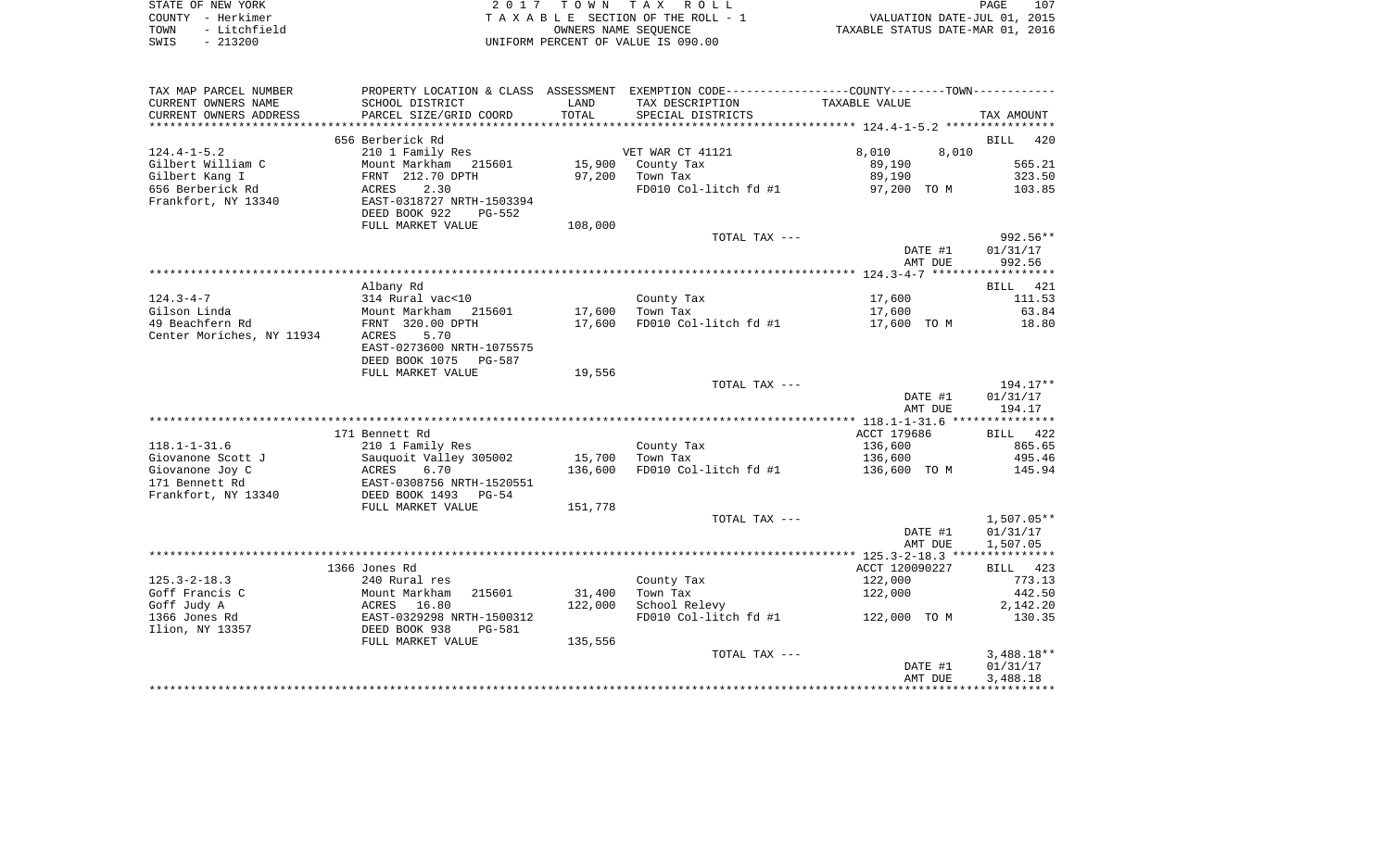| STATE OF NEW YORK    | 2017 TOWN TAX ROLL                 | 107<br>PAGE                      |
|----------------------|------------------------------------|----------------------------------|
| COUNTY – Herkimer    | TAXABLE SECTION OF THE ROLL - 1    | VALUATION DATE-JUL 01, 2015      |
| - Litchfield<br>TOWN | OWNERS NAME SEOUENCE               | TAXABLE STATUS DATE-MAR 01, 2016 |
| SWIS<br>- 213200     | UNIFORM PERCENT OF VALUE IS 090.00 |                                  |

| TAX MAP PARCEL NUMBER     | PROPERTY LOCATION & CLASS ASSESSMENT EXEMPTION CODE---------------COUNTY-------TOWN---------- |         |                       |                |                      |
|---------------------------|-----------------------------------------------------------------------------------------------|---------|-----------------------|----------------|----------------------|
| CURRENT OWNERS NAME       | SCHOOL DISTRICT                                                                               | LAND    | TAX DESCRIPTION       | TAXABLE VALUE  |                      |
| CURRENT OWNERS ADDRESS    | PARCEL SIZE/GRID COORD                                                                        | TOTAL   | SPECIAL DISTRICTS     |                | TAX AMOUNT           |
|                           |                                                                                               |         |                       |                |                      |
|                           | 656 Berberick Rd                                                                              |         |                       |                | <b>BILL</b><br>420   |
| $124.4 - 1 - 5.2$         | 210 1 Family Res                                                                              |         | VET WAR CT 41121      | 8,010<br>8,010 |                      |
| Gilbert William C         | Mount Markham<br>215601                                                                       | 15,900  | County Tax            | 89,190         | 565.21               |
| Gilbert Kang I            | FRNT 212.70 DPTH                                                                              | 97,200  | Town Tax              | 89,190         | 323.50               |
| 656 Berberick Rd          | 2.30<br>ACRES                                                                                 |         | FD010 Col-litch fd #1 | 97,200 TO M    | 103.85               |
| Frankfort, NY 13340       | EAST-0318727 NRTH-1503394                                                                     |         |                       |                |                      |
|                           | DEED BOOK 922<br><b>PG-552</b>                                                                |         |                       |                |                      |
|                           | FULL MARKET VALUE                                                                             | 108,000 |                       |                |                      |
|                           |                                                                                               |         | TOTAL TAX ---         |                | $992.56**$           |
|                           |                                                                                               |         |                       | DATE #1        | 01/31/17             |
|                           |                                                                                               |         |                       | AMT DUE        | 992.56               |
|                           |                                                                                               |         |                       |                |                      |
|                           | Albany Rd                                                                                     |         |                       |                | BILL 421             |
| $124.3 - 4 - 7$           | 314 Rural vac<10                                                                              |         | County Tax            | 17,600         | 111.53               |
| Gilson Linda              | Mount Markham<br>215601                                                                       | 17,600  | Town Tax              | 17,600         | 63.84                |
| 49 Beachfern Rd           | FRNT 320.00 DPTH                                                                              | 17,600  | FD010 Col-litch fd #1 | 17,600 TO M    | 18.80                |
| Center Moriches, NY 11934 | ACRES<br>5.70                                                                                 |         |                       |                |                      |
|                           | EAST-0273600 NRTH-1075575                                                                     |         |                       |                |                      |
|                           | DEED BOOK 1075<br>PG-587                                                                      |         |                       |                |                      |
|                           | FULL MARKET VALUE                                                                             | 19,556  |                       |                |                      |
|                           |                                                                                               |         | TOTAL TAX ---         |                | 194.17**             |
|                           |                                                                                               |         |                       | DATE #1        | 01/31/17             |
|                           |                                                                                               |         |                       | AMT DUE        | 194.17               |
|                           |                                                                                               |         |                       |                |                      |
|                           | 171 Bennett Rd                                                                                |         |                       | ACCT 179686    | BILL 422             |
| $118.1 - 1 - 31.6$        | 210 1 Family Res                                                                              |         | County Tax            | 136,600        | 865.65               |
| Giovanone Scott J         | Sauquoit Valley 305002                                                                        | 15,700  | Town Tax              | 136,600        | 495.46               |
| Giovanone Joy C           | ACRES<br>6.70                                                                                 | 136,600 | FD010 Col-litch fd #1 | 136,600 TO M   | 145.94               |
| 171 Bennett Rd            | EAST-0308756 NRTH-1520551                                                                     |         |                       |                |                      |
| Frankfort, NY 13340       | DEED BOOK 1493<br>PG-54                                                                       |         |                       |                |                      |
|                           | FULL MARKET VALUE                                                                             | 151,778 |                       |                |                      |
|                           |                                                                                               |         | TOTAL TAX ---         |                | $1,507.05**$         |
|                           |                                                                                               |         |                       | DATE #1        | 01/31/17<br>1,507.05 |
|                           |                                                                                               |         |                       | AMT DUE        |                      |
|                           | 1366 Jones Rd                                                                                 |         |                       | ACCT 120090227 | BILL 423             |
| $125.3 - 2 - 18.3$        | 240 Rural res                                                                                 |         | County Tax            | 122,000        | 773.13               |
| Goff Francis C            | 215601<br>Mount Markham                                                                       | 31,400  | Town Tax              | 122,000        | 442.50               |
| Goff Judy A               | ACRES<br>16.80                                                                                | 122,000 | School Relevy         |                | 2,142.20             |
| 1366 Jones Rd             | EAST-0329298 NRTH-1500312                                                                     |         | FD010 Col-litch fd #1 | 122,000 TO M   | 130.35               |
| Ilion, NY 13357           | DEED BOOK 938<br>$PG-581$                                                                     |         |                       |                |                      |
|                           | FULL MARKET VALUE                                                                             | 135,556 |                       |                |                      |
|                           |                                                                                               |         | TOTAL TAX ---         |                | $3,488.18**$         |
|                           |                                                                                               |         |                       | DATE #1        | 01/31/17             |
|                           |                                                                                               |         |                       | AMT DUE        | 3,488.18             |
|                           |                                                                                               |         |                       |                |                      |
|                           |                                                                                               |         |                       |                |                      |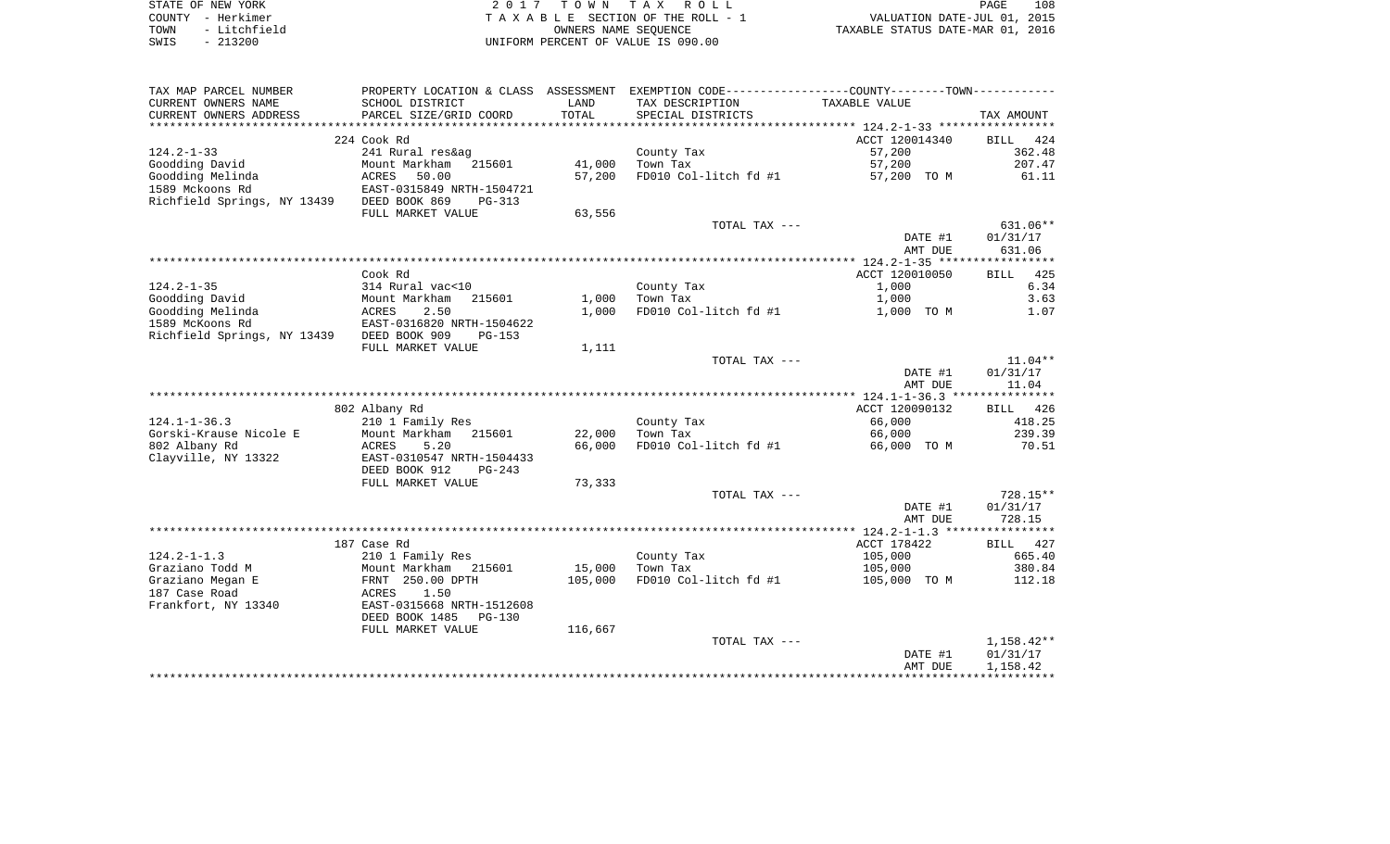| STATE OF NEW YORK    | 2017 TOWN TAX ROLL                 | 108<br>PAGE                      |
|----------------------|------------------------------------|----------------------------------|
| COUNTY - Herkimer    | TAXABLE SECTION OF THE ROLL - 1    | VALUATION DATE-JUL 01, 2015      |
| - Litchfield<br>TOWN | OWNERS NAME SEOUENCE               | TAXABLE STATUS DATE-MAR 01, 2016 |
| $-213200$<br>SWIS    | UNIFORM PERCENT OF VALUE IS 090.00 |                                  |

| TAX MAP PARCEL NUMBER       | PROPERTY LOCATION & CLASS ASSESSMENT |         | EXEMPTION CODE-----------------COUNTY--------TOWN----------- |                |              |
|-----------------------------|--------------------------------------|---------|--------------------------------------------------------------|----------------|--------------|
| CURRENT OWNERS NAME         | SCHOOL DISTRICT                      | LAND    | TAX DESCRIPTION                                              | TAXABLE VALUE  |              |
| CURRENT OWNERS ADDRESS      | PARCEL SIZE/GRID COORD               | TOTAL   | SPECIAL DISTRICTS                                            |                | TAX AMOUNT   |
| *************************   |                                      |         |                                                              |                |              |
|                             | 224 Cook Rd                          |         |                                                              | ACCT 120014340 | BILL<br>424  |
| $124.2 - 1 - 33$            | 241 Rural res&ag                     |         | County Tax                                                   | 57,200         | 362.48       |
| Goodding David              | Mount Markham<br>215601              | 41,000  | Town Tax                                                     | 57,200         | 207.47       |
| Goodding Melinda            | ACRES<br>50.00                       | 57,200  | FD010 Col-litch fd #1                                        | 57,200 TO M    | 61.11        |
| 1589 Mckoons Rd             | EAST-0315849 NRTH-1504721            |         |                                                              |                |              |
| Richfield Springs, NY 13439 | DEED BOOK 869<br>PG-313              |         |                                                              |                |              |
|                             | FULL MARKET VALUE                    | 63,556  |                                                              |                |              |
|                             |                                      |         | TOTAL TAX ---                                                |                | 631.06**     |
|                             |                                      |         |                                                              | DATE #1        | 01/31/17     |
|                             |                                      |         |                                                              | AMT DUE        | 631.06       |
|                             |                                      |         |                                                              |                |              |
|                             | Cook Rd                              |         |                                                              | ACCT 120010050 | 425<br>BILL  |
| $124.2 - 1 - 35$            | 314 Rural vac<10                     |         | County Tax                                                   | 1,000          | 6.34         |
| Goodding David              | Mount Markham<br>215601              | 1,000   | Town Tax                                                     | 1,000          | 3.63         |
| Goodding Melinda            | 2.50<br>ACRES                        | 1,000   | FD010 Col-litch fd #1                                        | 1,000 TO M     | 1.07         |
| 1589 McKoons Rd             | EAST-0316820 NRTH-1504622            |         |                                                              |                |              |
| Richfield Springs, NY 13439 | DEED BOOK 909<br>$PG-153$            |         |                                                              |                |              |
|                             | FULL MARKET VALUE                    | 1,111   |                                                              |                |              |
|                             |                                      |         | TOTAL TAX ---                                                |                | $11.04**$    |
|                             |                                      |         |                                                              | DATE #1        | 01/31/17     |
|                             |                                      |         |                                                              | AMT DUE        | 11.04        |
|                             |                                      |         |                                                              |                |              |
|                             | 802 Albany Rd                        |         |                                                              | ACCT 120090132 | BILL 426     |
| $124.1 - 1 - 36.3$          | 210 1 Family Res                     |         | County Tax                                                   | 66,000         | 418.25       |
| Gorski-Krause Nicole E      | Mount Markham<br>215601              | 22,000  | Town Tax                                                     | 66,000         | 239.39       |
| 802 Albany Rd               | ACRES<br>5.20                        | 66,000  | FD010 Col-litch fd #1                                        | 66,000 TO M    | 70.51        |
| Clayville, NY 13322         | EAST-0310547 NRTH-1504433            |         |                                                              |                |              |
|                             | DEED BOOK 912<br>$PG-243$            |         |                                                              |                |              |
|                             | FULL MARKET VALUE                    | 73,333  |                                                              |                |              |
|                             |                                      |         | TOTAL TAX ---                                                |                | $728.15**$   |
|                             |                                      |         |                                                              | DATE #1        | 01/31/17     |
|                             |                                      |         |                                                              | AMT DUE        | 728.15       |
|                             |                                      |         |                                                              |                |              |
|                             | 187 Case Rd                          |         |                                                              | ACCT 178422    | BILL 427     |
| $124.2 - 1 - 1.3$           | 210 1 Family Res                     |         | County Tax                                                   | 105,000        | 665.40       |
| Graziano Todd M             | Mount Markham 215601                 | 15,000  | Town Tax                                                     | 105,000        | 380.84       |
| Graziano Megan E            | FRNT 250.00 DPTH                     | 105,000 | FD010 Col-litch fd #1                                        | 105,000 TO M   | 112.18       |
| 187 Case Road               | 1.50<br>ACRES                        |         |                                                              |                |              |
| Frankfort, NY 13340         | EAST-0315668 NRTH-1512608            |         |                                                              |                |              |
|                             | DEED BOOK 1485<br>$PG-130$           |         |                                                              |                |              |
|                             | FULL MARKET VALUE                    | 116,667 |                                                              |                |              |
|                             |                                      |         | TOTAL TAX ---                                                |                | $1,158.42**$ |
|                             |                                      |         |                                                              | DATE #1        | 01/31/17     |
|                             |                                      |         |                                                              | AMT DUE        | 1,158.42     |
|                             |                                      |         |                                                              |                |              |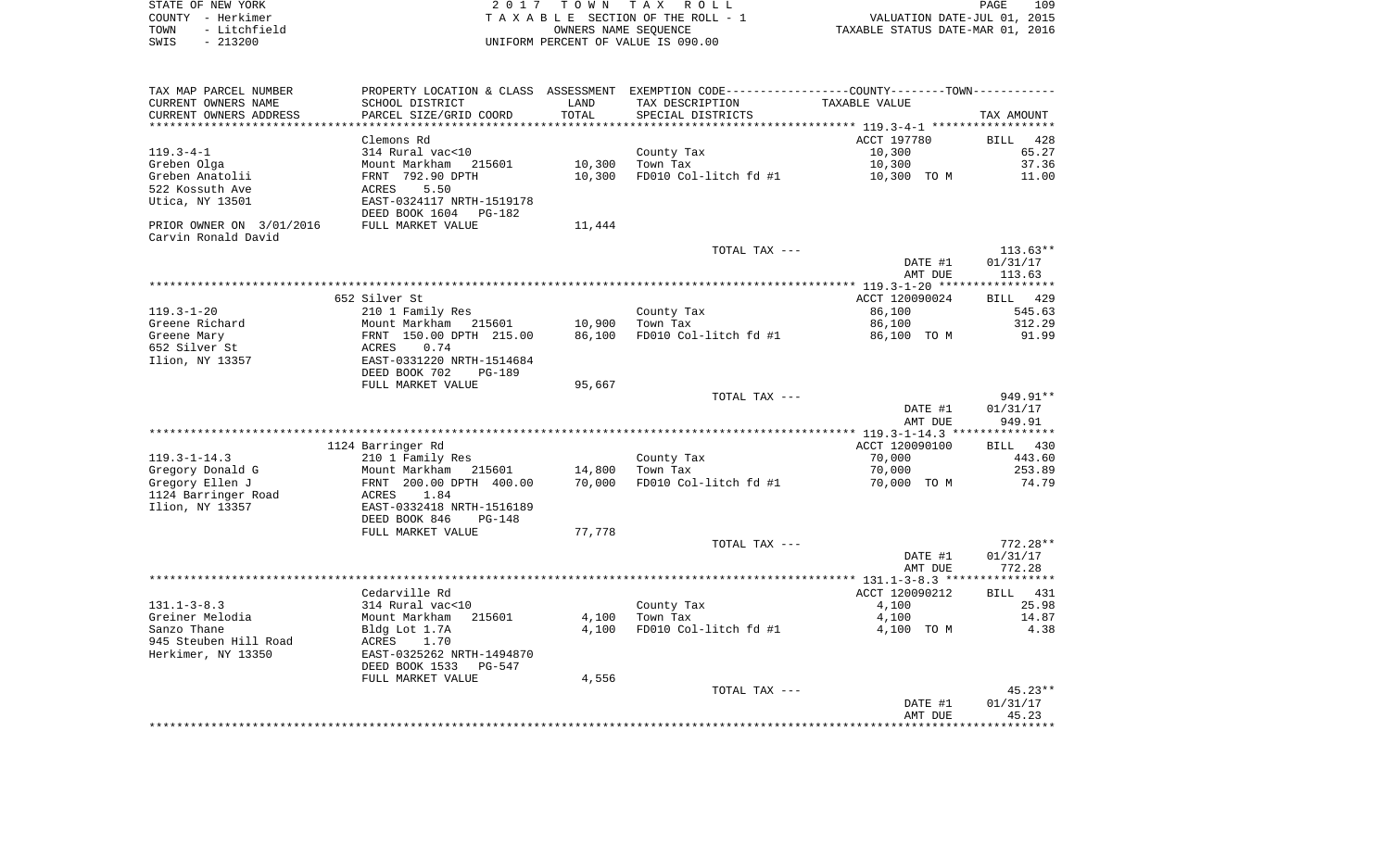|      | STATE OF NEW YORK | 2017 TOWN TAX ROLL                 | 109<br>PAGE                      |
|------|-------------------|------------------------------------|----------------------------------|
|      | COUNTY - Herkimer | TAXABLE SECTION OF THE ROLL - 1    | VALUATION DATE-JUL 01, 2015      |
| TOWN | - Litchfield      | OWNERS NAME SEOUENCE               | TAXABLE STATUS DATE-MAR 01, 2016 |
| SWIS | $-213200$         | UNIFORM PERCENT OF VALUE IS 090.00 |                                  |

PAGE 109

| TAX MAP PARCEL NUMBER<br>CURRENT OWNERS NAME | PROPERTY LOCATION & CLASS ASSESSMENT EXEMPTION CODE---------------COUNTY--------TOWN----------<br>SCHOOL DISTRICT | LAND   | TAX DESCRIPTION       | TAXABLE VALUE  |                        |
|----------------------------------------------|-------------------------------------------------------------------------------------------------------------------|--------|-----------------------|----------------|------------------------|
| CURRENT OWNERS ADDRESS                       | PARCEL SIZE/GRID COORD                                                                                            | TOTAL  | SPECIAL DISTRICTS     |                | TAX AMOUNT             |
|                                              |                                                                                                                   |        |                       |                |                        |
|                                              | Clemons Rd                                                                                                        |        |                       | ACCT 197780    | BILL 428               |
| 119.3–4–1                                    | 314 Rural vac<10                                                                                                  |        | County Tax            | 10,300         | 65.27                  |
| Greben Olga                                  | Mount Markham 215601                                                                                              | 10,300 | Town Tax              | 10,300         | 37.36                  |
| Greben Anatolii                              | FRNT 792.90 DPTH                                                                                                  | 10,300 | FD010 Col-litch fd #1 | 10,300 TO M    | 11.00                  |
| 522 Kossuth Ave                              | 5.50<br>ACRES                                                                                                     |        |                       |                |                        |
| Utica, NY 13501                              | EAST-0324117 NRTH-1519178                                                                                         |        |                       |                |                        |
|                                              | DEED BOOK 1604 PG-182                                                                                             |        |                       |                |                        |
| PRIOR OWNER ON 3/01/2016                     | FULL MARKET VALUE                                                                                                 | 11,444 |                       |                |                        |
| Carvin Ronald David                          |                                                                                                                   |        |                       |                |                        |
|                                              |                                                                                                                   |        | TOTAL TAX ---         |                | $113.63**$             |
|                                              |                                                                                                                   |        |                       | DATE #1        | 01/31/17               |
|                                              |                                                                                                                   |        |                       | AMT DUE        | 113.63                 |
|                                              |                                                                                                                   |        |                       |                |                        |
|                                              | 652 Silver St                                                                                                     |        |                       | ACCT 120090024 | BILL 429               |
| 119.3-1-20                                   | 210 1 Family Res                                                                                                  |        | County Tax            | 86,100         | 545.63                 |
| Greene Richard                               | Mount Markham 215601                                                                                              | 10,900 | Town Tax              | 86,100         | 312.29                 |
| Greene Mary                                  | FRNT 150.00 DPTH 215.00                                                                                           | 86,100 | FD010 Col-litch fd #1 | 86,100 TO M    | 91.99                  |
| 652 Silver St                                | ACRES 0.74<br>EAST-0331220 NRTH-1514684                                                                           |        |                       |                |                        |
| Ilion, NY 13357                              |                                                                                                                   |        |                       |                |                        |
|                                              | DEED BOOK 702<br><b>PG-189</b>                                                                                    |        |                       |                |                        |
|                                              | FULL MARKET VALUE                                                                                                 | 95,667 |                       |                |                        |
|                                              |                                                                                                                   |        | TOTAL TAX ---         |                | 949.91**               |
|                                              |                                                                                                                   |        |                       | DATE #1        | 01/31/17               |
|                                              |                                                                                                                   |        |                       | AMT DUE        | 949.91                 |
|                                              |                                                                                                                   |        |                       |                |                        |
|                                              | 1124 Barringer Rd                                                                                                 |        |                       | ACCT 120090100 | BILL 430               |
| $119.3 - 1 - 14.3$                           | 210 1 Family Res                                                                                                  |        | County Tax            | 70,000         | 443.60                 |
| Gregory Donald G                             | Mount Markham 215601                                                                                              | 14,800 | Town Tax              | 70,000         | 253.89                 |
| Gregory Ellen J                              | FRNT 200.00 DPTH 400.00                                                                                           | 70,000 | FD010 Col-litch fd #1 | 70,000 TO M    | 74.79                  |
| 1124 Barringer Road                          | ACRES<br>1.84                                                                                                     |        |                       |                |                        |
| Ilion, NY 13357                              | EAST-0332418 NRTH-1516189                                                                                         |        |                       |                |                        |
|                                              | DEED BOOK 846<br>$PG-148$                                                                                         |        |                       |                |                        |
|                                              | FULL MARKET VALUE                                                                                                 | 77,778 |                       |                |                        |
|                                              |                                                                                                                   |        | TOTAL TAX ---         | DATE #1        | $772.28**$<br>01/31/17 |
|                                              |                                                                                                                   |        |                       | AMT DUE        | 772.28                 |
|                                              |                                                                                                                   |        |                       |                |                        |
|                                              | Cedarville Rd                                                                                                     |        |                       | ACCT 120090212 | BILL 431               |
| $131.1 - 3 - 8.3$                            | 314 Rural vac<10                                                                                                  |        | County Tax            | 4,100          | 25.98                  |
| Greiner Melodia                              | Mount Markham<br>215601                                                                                           | 4,100  | Town Tax              | 4,100          | 14.87                  |
| Sanzo Thane                                  | Bldg Lot 1.7A                                                                                                     | 4,100  | FD010 Col-litch fd #1 | 4,100 TO M     | 4.38                   |
| 945 Steuben Hill Road                        | 1.70<br>ACRES                                                                                                     |        |                       |                |                        |
| Herkimer, NY 13350                           | EAST-0325262 NRTH-1494870                                                                                         |        |                       |                |                        |
|                                              | DEED BOOK 1533<br>PG-547                                                                                          |        |                       |                |                        |
|                                              | FULL MARKET VALUE                                                                                                 | 4,556  |                       |                |                        |
|                                              |                                                                                                                   |        | TOTAL TAX ---         |                | $45.23**$              |
|                                              |                                                                                                                   |        |                       | DATE #1        | 01/31/17               |
|                                              |                                                                                                                   |        |                       | AMT DUE        | 45.23                  |
|                                              |                                                                                                                   |        |                       |                |                        |
|                                              |                                                                                                                   |        |                       |                |                        |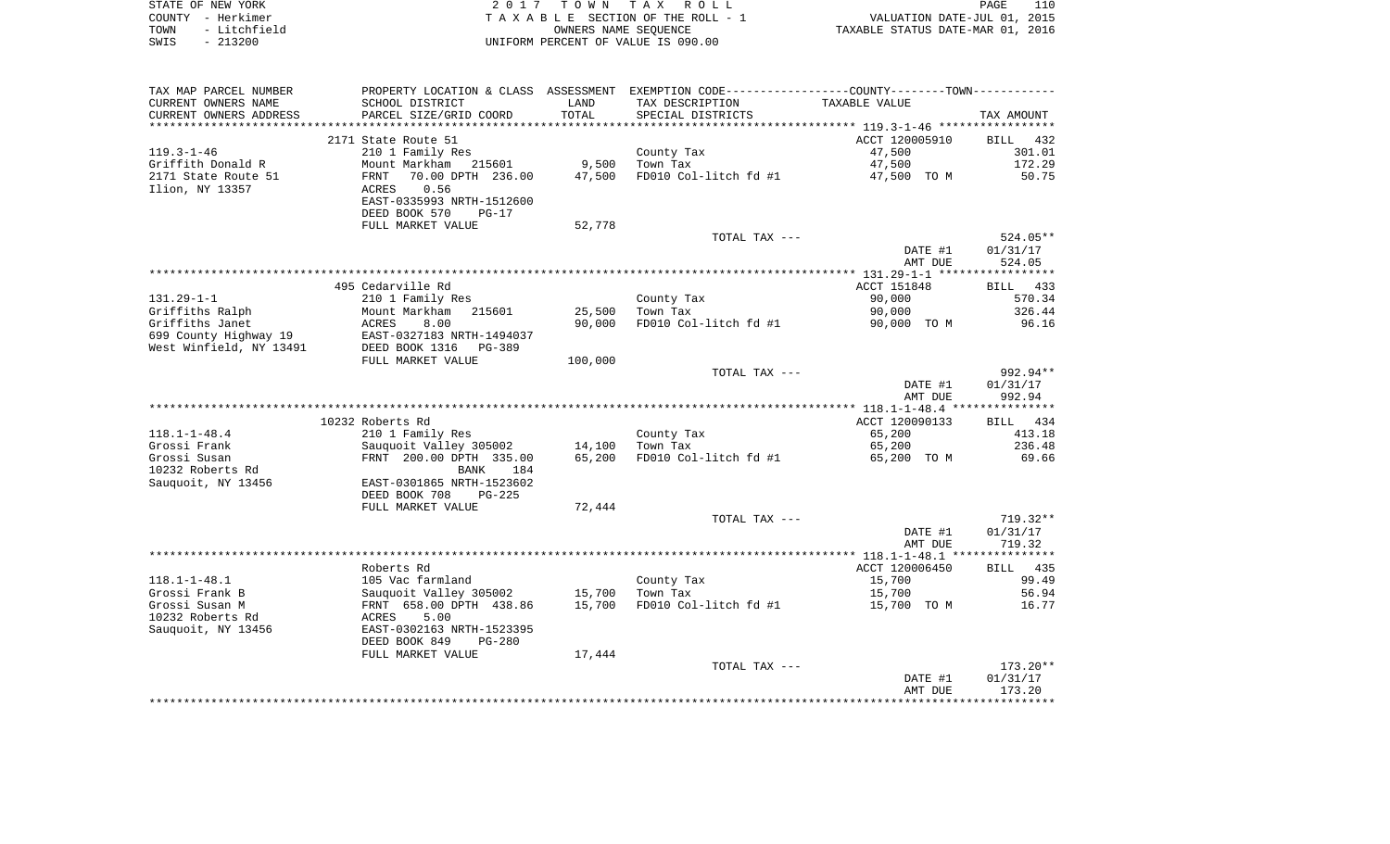| STATE OF NEW YORK |              | 2017 TOWN TAX ROLL                 | 110<br>PAGE                      |
|-------------------|--------------|------------------------------------|----------------------------------|
| COUNTY - Herkimer |              | TAXABLE SECTION OF THE ROLL - 1    | VALUATION DATE-JUL 01, 2015      |
| TOWN              | - Litchfield | OWNERS NAME SEOUENCE               | TAXABLE STATUS DATE-MAR 01, 2016 |
| SWIS              | $-213200$    | UNIFORM PERCENT OF VALUE IS 090.00 |                                  |

 $\begin{array}{c} 110 \\ 2015 \end{array}$ 

| TAX MAP PARCEL NUMBER   |                                |         | PROPERTY LOCATION & CLASS ASSESSMENT EXEMPTION CODE----------------COUNTY--------TOWN----------- |                |            |
|-------------------------|--------------------------------|---------|--------------------------------------------------------------------------------------------------|----------------|------------|
| CURRENT OWNERS NAME     | SCHOOL DISTRICT                | LAND    | TAX DESCRIPTION                                                                                  | TAXABLE VALUE  |            |
| CURRENT OWNERS ADDRESS  | PARCEL SIZE/GRID COORD         | TOTAL   | SPECIAL DISTRICTS                                                                                |                | TAX AMOUNT |
|                         |                                |         |                                                                                                  |                |            |
|                         | 2171 State Route 51            |         |                                                                                                  | ACCT 120005910 | BILL 432   |
| $119.3 - 1 - 46$        | 210 1 Family Res               |         | County Tax                                                                                       | 47,500         | 301.01     |
| Griffith Donald R       | Mount Markham<br>215601        | 9,500   | Town Tax                                                                                         | 47,500         | 172.29     |
| 2171 State Route 51     | 70.00 DPTH 236.00<br>FRNT      | 47,500  | FD010 Col-litch fd #1                                                                            | 47,500 TO M    | 50.75      |
| Ilion, NY 13357         | 0.56<br>ACRES                  |         |                                                                                                  |                |            |
|                         | EAST-0335993 NRTH-1512600      |         |                                                                                                  |                |            |
|                         | DEED BOOK 570<br>$PG-17$       |         |                                                                                                  |                |            |
|                         | FULL MARKET VALUE              | 52,778  |                                                                                                  |                |            |
|                         |                                |         | TOTAL TAX ---                                                                                    |                | $524.05**$ |
|                         |                                |         |                                                                                                  | DATE #1        | 01/31/17   |
|                         |                                |         |                                                                                                  | AMT DUE        | 524.05     |
|                         |                                |         |                                                                                                  |                |            |
|                         | 495 Cedarville Rd              |         |                                                                                                  | ACCT 151848    | BILL 433   |
| $131.29 - 1 - 1$        | 210 1 Family Res               |         | County Tax                                                                                       | 90,000         | 570.34     |
| Griffiths Ralph         | Mount Markham<br>215601        | 25,500  | Town Tax                                                                                         | 90,000         | 326.44     |
| Griffiths Janet         | ACRES<br>8.00                  | 90,000  | FD010 Col-litch fd #1                                                                            | 90,000 TO M    | 96.16      |
| 699 County Highway 19   | EAST-0327183 NRTH-1494037      |         |                                                                                                  |                |            |
| West Winfield, NY 13491 | DEED BOOK 1316<br>PG-389       |         |                                                                                                  |                |            |
|                         | FULL MARKET VALUE              | 100,000 |                                                                                                  |                |            |
|                         |                                |         | TOTAL TAX ---                                                                                    |                | 992.94**   |
|                         |                                |         |                                                                                                  | DATE #1        | 01/31/17   |
|                         |                                |         |                                                                                                  | AMT DUE        | 992.94     |
|                         |                                |         |                                                                                                  |                |            |
|                         | 10232 Roberts Rd               |         |                                                                                                  | ACCT 120090133 | BILL 434   |
| $118.1 - 1 - 48.4$      | 210 1 Family Res               |         | County Tax                                                                                       | 65,200         | 413.18     |
| Grossi Frank            | Sauquoit Valley 305002         | 14,100  | Town Tax                                                                                         | 65,200         | 236.48     |
| Grossi Susan            | FRNT 200.00 DPTH 335.00        | 65,200  | FD010 Col-litch fd #1                                                                            | 65,200 TO M    | 69.66      |
| 10232 Roberts Rd        | BANK<br>184                    |         |                                                                                                  |                |            |
| Sauquoit, NY 13456      | EAST-0301865 NRTH-1523602      |         |                                                                                                  |                |            |
|                         | DEED BOOK 708<br>$PG-225$      |         |                                                                                                  |                |            |
|                         | FULL MARKET VALUE              | 72,444  |                                                                                                  |                |            |
|                         |                                |         | TOTAL TAX ---                                                                                    |                | $719.32**$ |
|                         |                                |         |                                                                                                  | DATE #1        | 01/31/17   |
|                         |                                |         |                                                                                                  | AMT DUE        | 719.32     |
|                         |                                |         |                                                                                                  |                |            |
|                         | Roberts Rd                     |         |                                                                                                  | ACCT 120006450 | BILL 435   |
| $118.1 - 1 - 48.1$      | 105 Vac farmland               |         | County Tax                                                                                       | 15,700         | 99.49      |
| Grossi Frank B          | Sauquoit Valley 305002         | 15,700  | Town Tax                                                                                         | 15,700         | 56.94      |
| Grossi Susan M          | FRNT 658.00 DPTH 438.86        | 15,700  | FD010 Col-litch fd #1                                                                            | 15,700 TO M    | 16.77      |
| 10232 Roberts Rd        | ACRES<br>5.00                  |         |                                                                                                  |                |            |
| Sauquoit, NY 13456      | EAST-0302163 NRTH-1523395      |         |                                                                                                  |                |            |
|                         | DEED BOOK 849<br><b>PG-280</b> |         |                                                                                                  |                |            |
|                         | FULL MARKET VALUE              | 17,444  |                                                                                                  |                |            |
|                         |                                |         | TOTAL TAX ---                                                                                    |                | $173.20**$ |
|                         |                                |         |                                                                                                  | DATE #1        | 01/31/17   |
|                         |                                |         |                                                                                                  | AMT DUE        | 173.20     |
|                         |                                |         |                                                                                                  |                |            |
|                         |                                |         |                                                                                                  |                |            |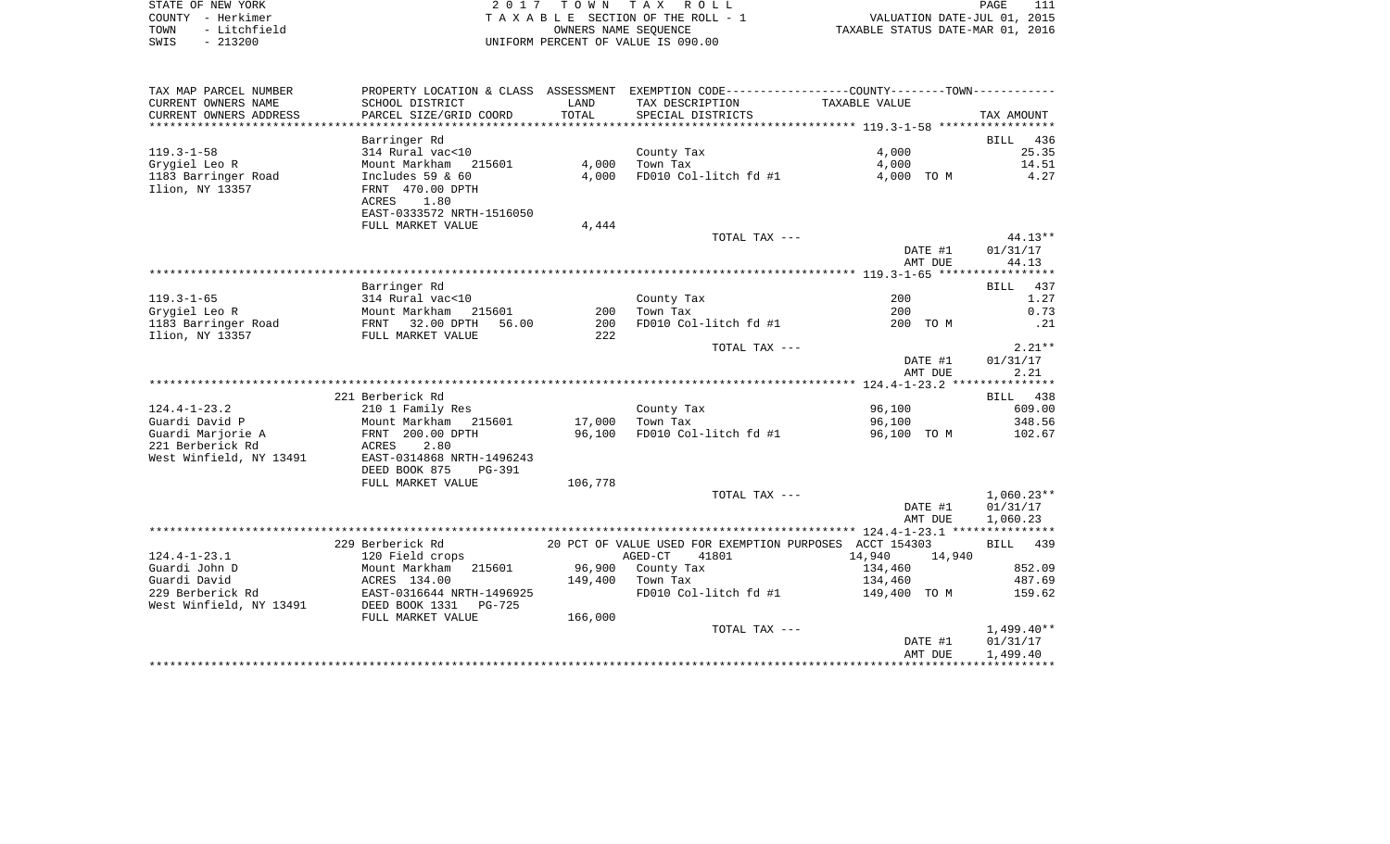| STATE OF NEW YORK    | 2017 TOWN TAX ROLL                 | PAGE                             |
|----------------------|------------------------------------|----------------------------------|
| COUNTY - Herkimer    | TAXABLE SECTION OF THE ROLL - 1    | VALUATION DATE-JUL 01, 2015      |
| - Litchfield<br>TOWN | OWNERS NAME SEOUENCE               | TAXABLE STATUS DATE-MAR 01, 2016 |
| $-213200$<br>SWIS    | UNIFORM PERCENT OF VALUE IS 090.00 |                                  |

| TAX MAP PARCEL NUMBER   |                            |         | PROPERTY LOCATION & CLASS ASSESSMENT EXEMPTION CODE---------------COUNTY-------TOWN---------- |                    |                  |
|-------------------------|----------------------------|---------|-----------------------------------------------------------------------------------------------|--------------------|------------------|
| CURRENT OWNERS NAME     | SCHOOL DISTRICT            | LAND    | TAX DESCRIPTION                                                                               | TAXABLE VALUE      |                  |
| CURRENT OWNERS ADDRESS  | PARCEL SIZE/GRID COORD     | TOTAL   | SPECIAL DISTRICTS                                                                             |                    | TAX AMOUNT       |
|                         |                            |         |                                                                                               |                    |                  |
|                         | Barringer Rd               |         |                                                                                               |                    | BILL 436         |
| $119.3 - 1 - 58$        | 314 Rural vac<10           |         | County Tax                                                                                    | 4,000              | 25.35            |
| Grygiel Leo R           | Mount Markham 215601       | 4,000   | Town Tax                                                                                      | 4,000              | 14.51            |
| 1183 Barringer Road     | Includes $59$ & $60$       | 4,000   | FD010 Col-litch fd #1                                                                         | 4,000 TO M         | 4.27             |
| Ilion, NY 13357         | FRNT 470.00 DPTH           |         |                                                                                               |                    |                  |
|                         | ACRES<br>1.80              |         |                                                                                               |                    |                  |
|                         | EAST-0333572 NRTH-1516050  |         |                                                                                               |                    |                  |
|                         | FULL MARKET VALUE          | 4,444   |                                                                                               |                    |                  |
|                         |                            |         | TOTAL TAX ---                                                                                 |                    | $44.13**$        |
|                         |                            |         |                                                                                               | DATE #1            | 01/31/17         |
|                         |                            |         |                                                                                               | AMT DUE            | 44.13            |
|                         |                            |         |                                                                                               |                    |                  |
|                         | Barringer Rd               |         |                                                                                               |                    | BILL 437         |
| $119.3 - 1 - 65$        | 314 Rural vac<10           |         | County Tax                                                                                    | 200                | 1.27             |
| Grygiel Leo R           | Mount Markham 215601       | 200     | Town Tax                                                                                      | 200                | 0.73             |
| 1183 Barringer Road     | FRNT 32.00 DPTH 56.00      | 200     | FD010 Col-litch fd #1                                                                         | 200 TO M           | $\ldots$         |
| Ilion, NY 13357         | FULL MARKET VALUE          | 222     |                                                                                               |                    |                  |
|                         |                            |         | TOTAL TAX ---                                                                                 |                    | $2.21**$         |
|                         |                            |         |                                                                                               | DATE #1<br>AMT DUE | 01/31/17<br>2.21 |
|                         |                            |         |                                                                                               |                    |                  |
|                         | 221 Berberick Rd           |         |                                                                                               |                    | BILL 438         |
| $124.4 - 1 - 23.2$      | 210 1 Family Res           |         | County Tax                                                                                    | 96,100             | 609.00           |
| Guardi David P          | Mount Markham<br>215601    | 17,000  | Town Tax                                                                                      | 96,100             | 348.56           |
| Guardi Marjorie A       | FRNT 200.00 DPTH           | 96,100  | FD010 Col-litch fd #1                                                                         | 96,100 TO M        | 102.67           |
| 221 Berberick Rd        | ACRES<br>2.80              |         |                                                                                               |                    |                  |
| West Winfield, NY 13491 | EAST-0314868 NRTH-1496243  |         |                                                                                               |                    |                  |
|                         | DEED BOOK 875<br>PG-391    |         |                                                                                               |                    |                  |
|                         | FULL MARKET VALUE          | 106,778 |                                                                                               |                    |                  |
|                         |                            |         | TOTAL TAX ---                                                                                 |                    | $1,060.23**$     |
|                         |                            |         |                                                                                               | DATE #1            | 01/31/17         |
|                         |                            |         |                                                                                               | AMT DUE            | 1,060.23         |
|                         |                            |         |                                                                                               |                    |                  |
|                         | 229 Berberick Rd           |         | 20 PCT OF VALUE USED FOR EXEMPTION PURPOSES ACCT 154303                                       |                    | BILL 439         |
| $124.4 - 1 - 23.1$      | 120 Field crops            |         | 41801<br>AGED-CT                                                                              | 14,940<br>14,940   |                  |
| Guardi John D           | Mount Markham 215601       |         | 96,900 County Tax                                                                             | 134,460            | 852.09           |
| Guardi David            | ACRES 134.00               | 149,400 | Town Tax                                                                                      | 134,460            | 487.69           |
| 229 Berberick Rd        | EAST-0316644 NRTH-1496925  |         | FD010 Col-litch fd #1                                                                         | 149,400 TO M       | 159.62           |
| West Winfield, NY 13491 | DEED BOOK 1331<br>$PG-725$ |         |                                                                                               |                    |                  |
|                         | FULL MARKET VALUE          | 166,000 |                                                                                               |                    |                  |
|                         |                            |         | TOTAL TAX ---                                                                                 |                    | $1,499.40**$     |
|                         |                            |         |                                                                                               | DATE #1            | 01/31/17         |
|                         |                            |         |                                                                                               | AMT DUE            | 1,499.40         |
|                         |                            |         |                                                                                               |                    |                  |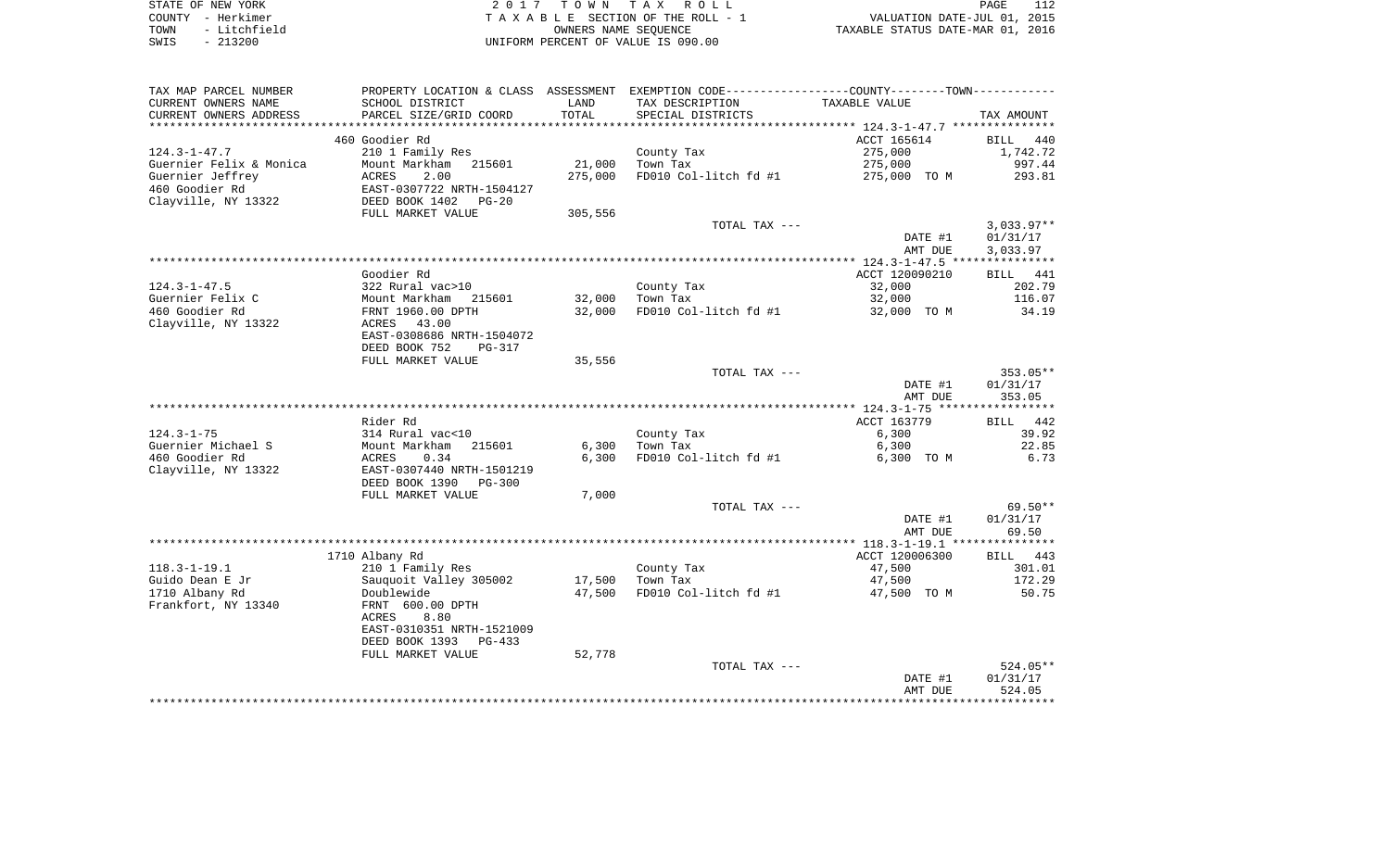| STATE OF NEW YORK    | 2017 TOWN TAX ROLL                 | PAGE                             |
|----------------------|------------------------------------|----------------------------------|
| COUNTY - Herkimer    | TAXABLE SECTION OF THE ROLL - 1    | VALUATION DATE-JUL 01, 2015      |
| - Litchfield<br>TOWN | OWNERS NAME SEOUENCE               | TAXABLE STATUS DATE-MAR 01, 2016 |
| SWIS<br>$-213200$    | UNIFORM PERCENT OF VALUE IS 090.00 |                                  |

| TAX MAP PARCEL NUMBER   | PROPERTY LOCATION & CLASS ASSESSMENT EXEMPTION CODE---------------COUNTY-------TOWN---------- |         |                       |                          |                    |
|-------------------------|-----------------------------------------------------------------------------------------------|---------|-----------------------|--------------------------|--------------------|
| CURRENT OWNERS NAME     | SCHOOL DISTRICT                                                                               | LAND    | TAX DESCRIPTION       | TAXABLE VALUE            |                    |
| CURRENT OWNERS ADDRESS  | PARCEL SIZE/GRID COORD                                                                        | TOTAL   | SPECIAL DISTRICTS     |                          | TAX AMOUNT         |
|                         |                                                                                               |         |                       |                          |                    |
|                         | 460 Goodier Rd                                                                                |         |                       | ACCT 165614              | BILL 440           |
| $124.3 - 1 - 47.7$      | 210 1 Family Res                                                                              |         | County Tax            | 275,000                  | 1,742.72           |
| Guernier Felix & Monica | Mount Markham<br>215601                                                                       | 21,000  | Town Tax              | 275,000                  | 997.44             |
| Guernier Jeffrey        | 2.00<br>ACRES                                                                                 | 275,000 | FD010 Col-litch fd #1 | 275,000 TO M             | 293.81             |
| 460 Goodier Rd          | EAST-0307722 NRTH-1504127                                                                     |         |                       |                          |                    |
| Clayville, NY 13322     | DEED BOOK 1402<br>$PG-20$                                                                     |         |                       |                          |                    |
|                         | FULL MARKET VALUE                                                                             | 305,556 |                       |                          |                    |
|                         |                                                                                               |         | TOTAL TAX ---         |                          | $3,033.97**$       |
|                         |                                                                                               |         |                       | DATE #1                  | 01/31/17           |
|                         |                                                                                               |         |                       | AMT DUE                  | 3,033.97           |
|                         | Goodier Rd                                                                                    |         |                       |                          |                    |
| $124.3 - 1 - 47.5$      | 322 Rural vac>10                                                                              |         | County Tax            | ACCT 120090210<br>32,000 | BILL 441<br>202.79 |
| Guernier Felix C        | Mount Markham<br>215601                                                                       | 32,000  | Town Tax              | 32,000                   | 116.07             |
| 460 Goodier Rd          | FRNT 1960.00 DPTH                                                                             | 32,000  | FD010 Col-litch fd #1 | 32,000 TO M              | 34.19              |
| Clayville, NY 13322     | 43.00<br>ACRES                                                                                |         |                       |                          |                    |
|                         | EAST-0308686 NRTH-1504072                                                                     |         |                       |                          |                    |
|                         | DEED BOOK 752<br><b>PG-317</b>                                                                |         |                       |                          |                    |
|                         | FULL MARKET VALUE                                                                             | 35,556  |                       |                          |                    |
|                         |                                                                                               |         | TOTAL TAX ---         |                          | 353.05**           |
|                         |                                                                                               |         |                       | DATE #1                  | 01/31/17           |
|                         |                                                                                               |         |                       | AMT DUE                  | 353.05             |
|                         |                                                                                               |         |                       |                          |                    |
|                         | Rider Rd                                                                                      |         |                       | ACCT 163779              | BILL 442           |
| $124.3 - 1 - 75$        | 314 Rural vac<10                                                                              |         | County Tax            | 6,300                    | 39.92              |
| Guernier Michael S      | Mount Markham<br>215601                                                                       | 6,300   | Town Tax              | 6,300                    | 22.85              |
| 460 Goodier Rd          | 0.34<br>ACRES                                                                                 | 6,300   | FD010 Col-litch fd #1 | 6,300 TO M               | 6.73               |
| Clayville, NY 13322     | EAST-0307440 NRTH-1501219                                                                     |         |                       |                          |                    |
|                         | DEED BOOK 1390<br>$PG-300$                                                                    |         |                       |                          |                    |
|                         | FULL MARKET VALUE                                                                             | 7,000   |                       |                          |                    |
|                         |                                                                                               |         | TOTAL TAX ---         |                          | $69.50**$          |
|                         |                                                                                               |         |                       | DATE #1                  | 01/31/17           |
|                         |                                                                                               |         |                       | AMT DUE                  | 69.50              |
|                         |                                                                                               |         |                       |                          |                    |
|                         | 1710 Albany Rd                                                                                |         |                       | ACCT 120006300           | BILL 443           |
| $118.3 - 1 - 19.1$      | 210 1 Family Res                                                                              |         | County Tax            | 47,500                   | 301.01             |
| Guido Dean E Jr         | Sauguoit Valley 305002                                                                        | 17,500  | Town Tax              | 47,500                   | 172.29             |
| 1710 Albany Rd          | Doublewide                                                                                    | 47,500  | FD010 Col-litch fd #1 | 47,500 TO M              | 50.75              |
| Frankfort, NY 13340     | FRNT 600.00 DPTH                                                                              |         |                       |                          |                    |
|                         | ACRES<br>8.80                                                                                 |         |                       |                          |                    |
|                         | EAST-0310351 NRTH-1521009                                                                     |         |                       |                          |                    |
|                         | DEED BOOK 1393<br>PG-433                                                                      |         |                       |                          |                    |
|                         | FULL MARKET VALUE                                                                             | 52,778  | TOTAL TAX ---         |                          | $524.05**$         |
|                         |                                                                                               |         |                       | DATE #1                  | 01/31/17           |
|                         |                                                                                               |         |                       |                          | 524.05             |
|                         |                                                                                               |         |                       |                          |                    |
|                         |                                                                                               |         |                       | AMT DUE                  |                    |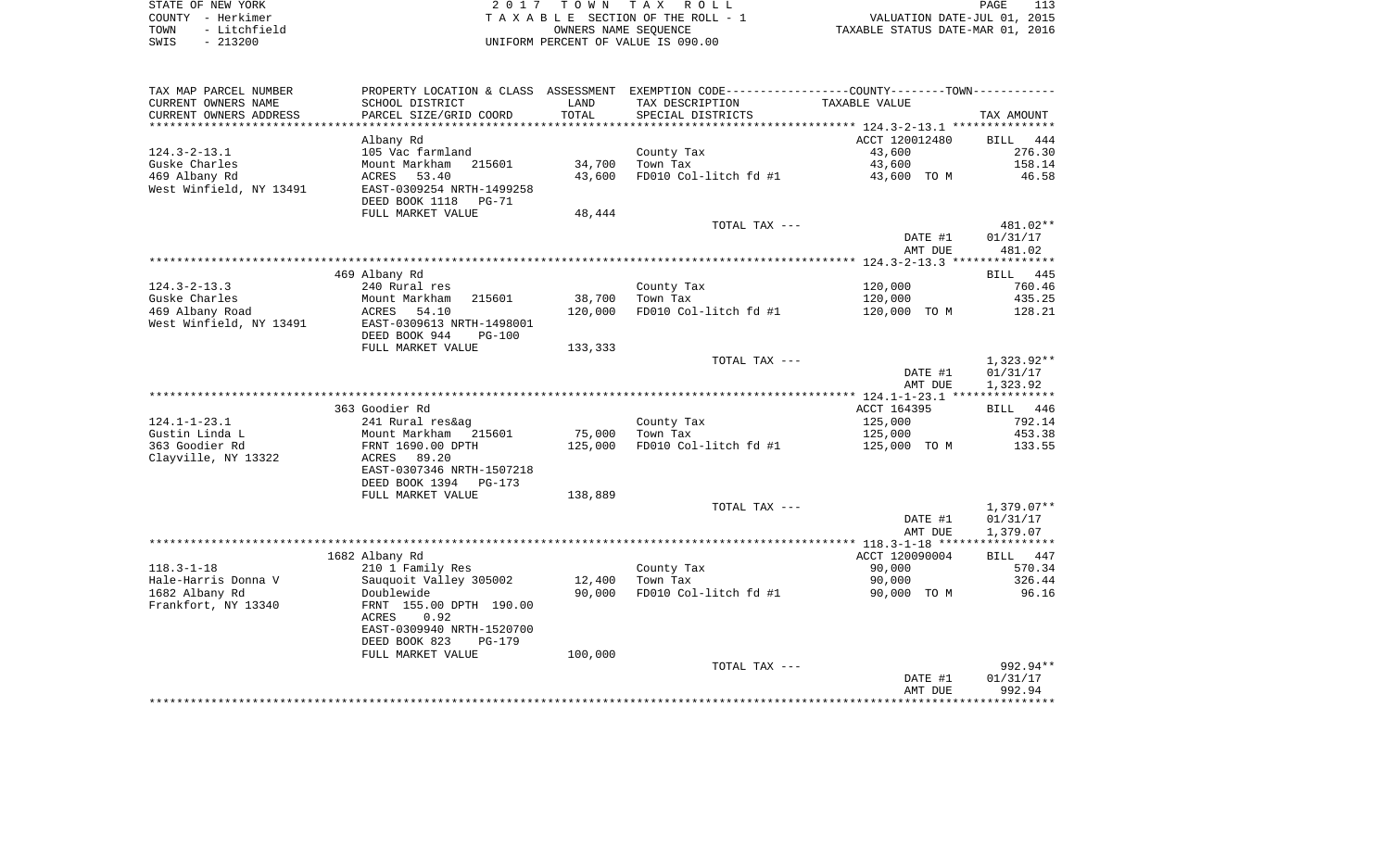|      | STATE OF NEW YORK | 2017 TOWN TAX ROLL                 | PAGE                             |  |
|------|-------------------|------------------------------------|----------------------------------|--|
|      | COUNTY - Herkimer | TAXABLE SECTION OF THE ROLL - 1    | VALUATION DATE-JUL 01, 2015      |  |
| TOWN | - Litchfield      | OWNERS NAME SEOUENCE               | TAXABLE STATUS DATE-MAR 01, 2016 |  |
| SWIS | $-213200$         | UNIFORM PERCENT OF VALUE IS 090.00 |                                  |  |

| TAX MAP PARCEL NUMBER   | PROPERTY LOCATION & CLASS ASSESSMENT EXEMPTION CODE---------------COUNTY-------TOWN---------- |                    |                       |                |            |
|-------------------------|-----------------------------------------------------------------------------------------------|--------------------|-----------------------|----------------|------------|
| CURRENT OWNERS NAME     | SCHOOL DISTRICT                                                                               | LAND               | TAX DESCRIPTION       | TAXABLE VALUE  |            |
| CURRENT OWNERS ADDRESS  | PARCEL SIZE/GRID COORD                                                                        | TOTAL              | SPECIAL DISTRICTS     |                | TAX AMOUNT |
| *********************   |                                                                                               | ****************** |                       |                |            |
|                         | Albany Rd                                                                                     |                    |                       | ACCT 120012480 | BILL 444   |
| $124.3 - 2 - 13.1$      | 105 Vac farmland                                                                              |                    | County Tax            | 43,600         | 276.30     |
| Guske Charles           | Mount Markham 215601                                                                          | 34,700             | Town Tax              | 43,600         | 158.14     |
| 469 Albany Rd           | ACRES 53.40                                                                                   | 43,600             | FD010 Col-litch fd #1 | 43,600 TO M    | 46.58      |
| West Winfield, NY 13491 | EAST-0309254 NRTH-1499258                                                                     |                    |                       |                |            |
|                         | DEED BOOK 1118<br>PG-71                                                                       |                    |                       |                |            |
|                         | FULL MARKET VALUE                                                                             | 48,444             |                       |                |            |
|                         |                                                                                               |                    | TOTAL TAX ---         |                | 481.02**   |
|                         |                                                                                               |                    |                       | DATE #1        | 01/31/17   |
|                         |                                                                                               |                    |                       | AMT DUE        | 481.02     |
|                         |                                                                                               |                    |                       |                |            |
|                         | 469 Albany Rd                                                                                 |                    |                       |                | BILL 445   |
| $124.3 - 2 - 13.3$      | 240 Rural res                                                                                 |                    | County Tax            | 120,000        | 760.46     |
| Guske Charles           | Mount Markham<br>215601                                                                       | 38,700             | Town Tax              | 120,000        | 435.25     |
| 469 Albany Road         | ACRES<br>54.10                                                                                | 120,000            | FD010 Col-litch fd #1 | 120,000 TO M   | 128.21     |
| West Winfield, NY 13491 | EAST-0309613 NRTH-1498001                                                                     |                    |                       |                |            |
|                         | DEED BOOK 944<br>$PG-100$                                                                     |                    |                       |                |            |
|                         | FULL MARKET VALUE                                                                             | 133,333            |                       |                |            |
|                         |                                                                                               |                    | TOTAL TAX ---         |                | 1,323.92** |
|                         |                                                                                               |                    |                       | DATE #1        | 01/31/17   |
|                         |                                                                                               |                    |                       | AMT DUE        | 1,323.92   |
|                         |                                                                                               |                    |                       |                |            |
|                         | 363 Goodier Rd                                                                                |                    |                       | ACCT 164395    | BILL 446   |
| $124.1 - 1 - 23.1$      | 241 Rural res&ag                                                                              |                    | County Tax            | 125,000        | 792.14     |
| Gustin Linda L          | Mount Markham 215601                                                                          | 75,000             | Town Tax              | 125,000        | 453.38     |
| 363 Goodier Rd          | FRNT 1690.00 DPTH                                                                             | 125,000            | FD010 Col-litch fd #1 | 125,000 TO M   | 133.55     |
| Clayville, NY 13322     | 89.20<br>ACRES                                                                                |                    |                       |                |            |
|                         | EAST-0307346 NRTH-1507218                                                                     |                    |                       |                |            |
|                         | DEED BOOK 1394<br>PG-173                                                                      |                    |                       |                |            |
|                         | FULL MARKET VALUE                                                                             | 138,889            |                       |                |            |
|                         |                                                                                               |                    | TOTAL TAX ---         |                | 1,379.07** |
|                         |                                                                                               |                    |                       | DATE #1        | 01/31/17   |
|                         |                                                                                               |                    |                       | AMT DUE        | 1,379.07   |
|                         |                                                                                               |                    |                       |                |            |
|                         | 1682 Albany Rd                                                                                |                    |                       | ACCT 120090004 | BILL 447   |
| $118.3 - 1 - 18$        | 210 1 Family Res                                                                              |                    | County Tax            | 90,000         | 570.34     |
| Hale-Harris Donna V     | Sauquoit Valley 305002<br>Doublewide                                                          | 12,400             | Town Tax              | 90,000         | 326.44     |
| 1682 Albany Rd          |                                                                                               | 90,000             | FD010 Col-litch fd #1 | 90,000 TO M    | 96.16      |
| Frankfort, NY 13340     | FRNT 155.00 DPTH 190.00                                                                       |                    |                       |                |            |
|                         | 0.92<br>ACRES                                                                                 |                    |                       |                |            |
|                         | EAST-0309940 NRTH-1520700                                                                     |                    |                       |                |            |
|                         | DEED BOOK 823<br>$PG-179$                                                                     |                    |                       |                |            |
|                         | FULL MARKET VALUE                                                                             | 100,000            |                       |                |            |
|                         |                                                                                               |                    | TOTAL TAX ---         |                | $992.94**$ |
|                         |                                                                                               |                    |                       | DATE #1        | 01/31/17   |
|                         |                                                                                               |                    |                       | AMT DUE        | 992.94     |
|                         |                                                                                               |                    |                       |                |            |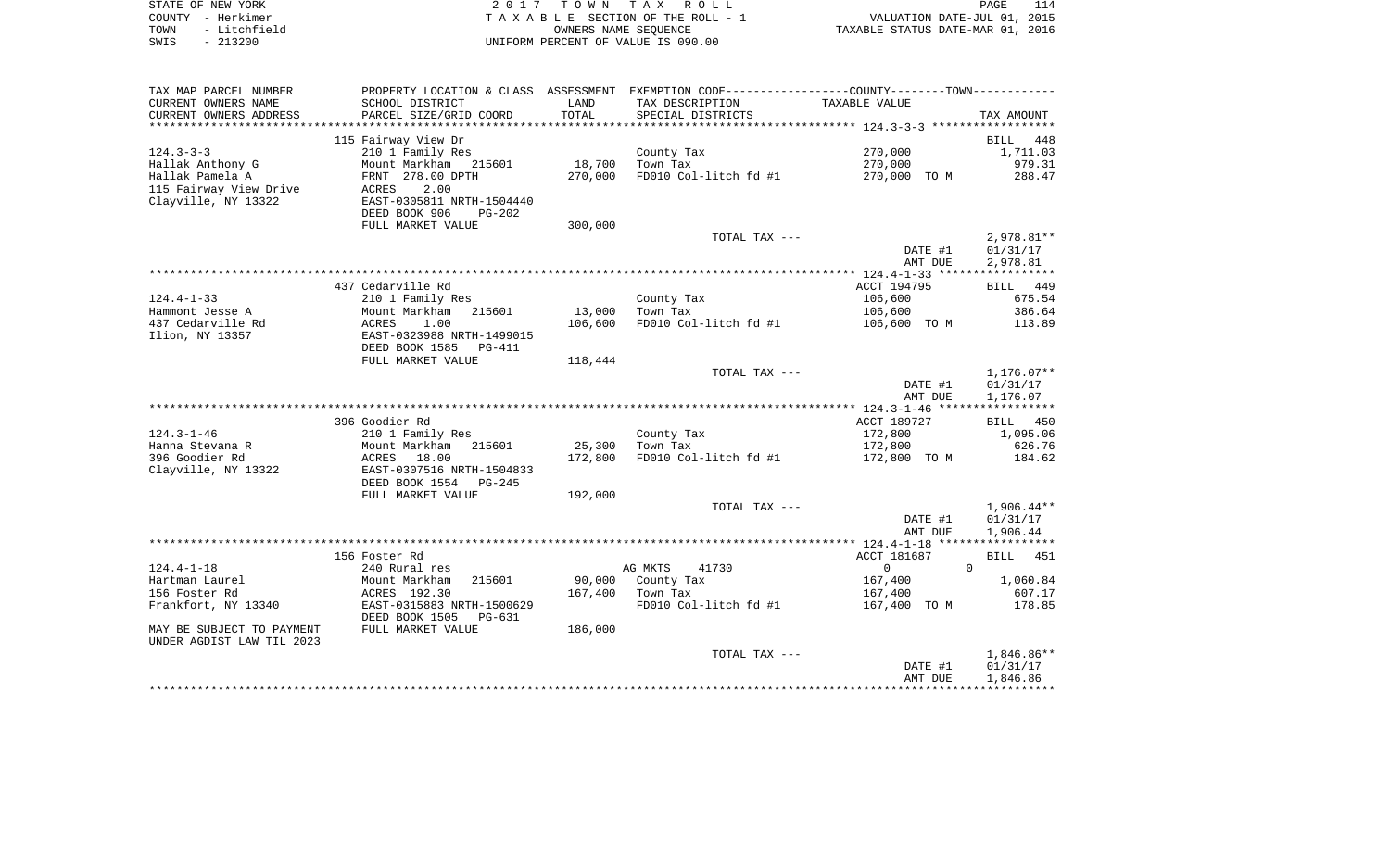| STATE OF NEW YORK |              | 2017 TOWN TAX ROLL                 |                      |  |                                  | PAGE | 114 |
|-------------------|--------------|------------------------------------|----------------------|--|----------------------------------|------|-----|
| COUNTY - Herkimer |              | TAXABLE SECTION OF THE ROLL - 1    |                      |  | VALUATION DATE-JUL 01, 2015      |      |     |
| TOWN              | - Litchfield |                                    | OWNERS NAME SEOUENCE |  | TAXABLE STATUS DATE-MAR 01, 2016 |      |     |
| - 213200<br>SWIS  |              | UNIFORM PERCENT OF VALUE IS 090.00 |                      |  |                                  |      |     |

| TAX MAP PARCEL NUMBER     |                                                       |         | PROPERTY LOCATION & CLASS ASSESSMENT EXEMPTION CODE---------------COUNTY-------TOWN---------- |                |                    |
|---------------------------|-------------------------------------------------------|---------|-----------------------------------------------------------------------------------------------|----------------|--------------------|
| CURRENT OWNERS NAME       | SCHOOL DISTRICT                                       | LAND    | TAX DESCRIPTION                                                                               | TAXABLE VALUE  |                    |
| CURRENT OWNERS ADDRESS    | PARCEL SIZE/GRID COORD                                | TOTAL   | SPECIAL DISTRICTS                                                                             |                | TAX AMOUNT         |
| *********************     |                                                       |         |                                                                                               |                |                    |
|                           | 115 Fairway View Dr                                   |         |                                                                                               |                | BILL 448           |
| $124.3 - 3 - 3$           | 210 1 Family Res                                      |         | County Tax                                                                                    | 270,000        | 1,711.03           |
| Hallak Anthony G          | Mount Markham 215601                                  | 18,700  | Town Tax                                                                                      | 270,000        | 979.31             |
| Hallak Pamela A           | FRNT 278.00 DPTH                                      | 270,000 | FD010 Col-litch fd #1                                                                         | 270,000 TO M   | 288.47             |
| 115 Fairway View Drive    | 2.00<br>ACRES                                         |         |                                                                                               |                |                    |
| Clayville, NY 13322       | EAST-0305811 NRTH-1504440                             |         |                                                                                               |                |                    |
|                           | DEED BOOK 906<br>$PG-202$                             |         |                                                                                               |                |                    |
|                           | FULL MARKET VALUE                                     | 300,000 |                                                                                               |                |                    |
|                           |                                                       |         | TOTAL TAX ---                                                                                 |                | 2,978.81**         |
|                           |                                                       |         |                                                                                               | DATE #1        | 01/31/17           |
|                           |                                                       |         |                                                                                               | AMT DUE        | 2,978.81           |
|                           |                                                       |         |                                                                                               |                |                    |
|                           | 437 Cedarville Rd                                     |         |                                                                                               | ACCT 194795    | BILL 449           |
| $124.4 - 1 - 33$          | 210 1 Family Res                                      |         | County Tax                                                                                    | 106,600        | 675.54             |
| Hammont Jesse A           | Mount Markham<br>215601                               | 13,000  | Town Tax                                                                                      | 106,600        | 386.64             |
| 437 Cedarville Rd         | ACRES<br>1.00                                         | 106,600 | FD010 Col-litch fd #1                                                                         | 106,600 TO M   | 113.89             |
| Ilion, NY 13357           | EAST-0323988 NRTH-1499015                             |         |                                                                                               |                |                    |
|                           | DEED BOOK 1585<br>PG-411<br>FULL MARKET VALUE         | 118,444 |                                                                                               |                |                    |
|                           |                                                       |         | TOTAL TAX ---                                                                                 |                | $1,176.07**$       |
|                           |                                                       |         |                                                                                               | DATE #1        | 01/31/17           |
|                           |                                                       |         |                                                                                               | AMT DUE        | 1,176.07           |
|                           |                                                       |         |                                                                                               |                |                    |
|                           | 396 Goodier Rd                                        |         |                                                                                               | ACCT 189727    | BILL 450           |
| $124.3 - 1 - 46$          | 210 1 Family Res                                      |         | County Tax                                                                                    | 172,800        | 1,095.06           |
| Hanna Stevana R           | Mount Markham<br>215601                               | 25,300  | Town Tax                                                                                      | 172,800        | 626.76             |
| 396 Goodier Rd            | 18.00<br>ACRES                                        | 172,800 | FD010 Col-litch fd #1                                                                         | 172,800 TO M   | 184.62             |
| Clayville, NY 13322       | EAST-0307516 NRTH-1504833                             |         |                                                                                               |                |                    |
|                           | DEED BOOK 1554<br>PG-245                              |         |                                                                                               |                |                    |
|                           | FULL MARKET VALUE                                     | 192,000 |                                                                                               |                |                    |
|                           |                                                       |         | TOTAL TAX ---                                                                                 |                | 1,906.44**         |
|                           |                                                       |         |                                                                                               | DATE #1        | 01/31/17           |
|                           |                                                       |         |                                                                                               | AMT DUE        | 1,906.44           |
|                           |                                                       |         |                                                                                               |                |                    |
|                           | 156 Foster Rd                                         |         |                                                                                               | ACCT 181687    | <b>BILL</b><br>451 |
| $124.4 - 1 - 18$          | 240 Rural res                                         |         | 41730<br>AG MKTS                                                                              | $\overline{0}$ | $\Omega$           |
| Hartman Laurel            | Mount Markham<br>215601                               | 90,000  | County Tax                                                                                    | 167,400        | 1,060.84           |
| 156 Foster Rd             | ACRES 192.30                                          | 167,400 | Town Tax                                                                                      | 167,400        | 607.17             |
| Frankfort, NY 13340       | EAST-0315883 NRTH-1500629<br>DEED BOOK 1505<br>PG-631 |         | FD010 Col-litch fd #1                                                                         | 167,400 TO M   | 178.85             |
| MAY BE SUBJECT TO PAYMENT | FULL MARKET VALUE                                     | 186,000 |                                                                                               |                |                    |
| UNDER AGDIST LAW TIL 2023 |                                                       |         |                                                                                               |                |                    |
|                           |                                                       |         | TOTAL TAX ---                                                                                 |                | 1,846.86**         |
|                           |                                                       |         |                                                                                               | DATE #1        | 01/31/17           |
|                           |                                                       |         |                                                                                               | AMT DUE        | 1,846.86           |
|                           |                                                       |         |                                                                                               |                |                    |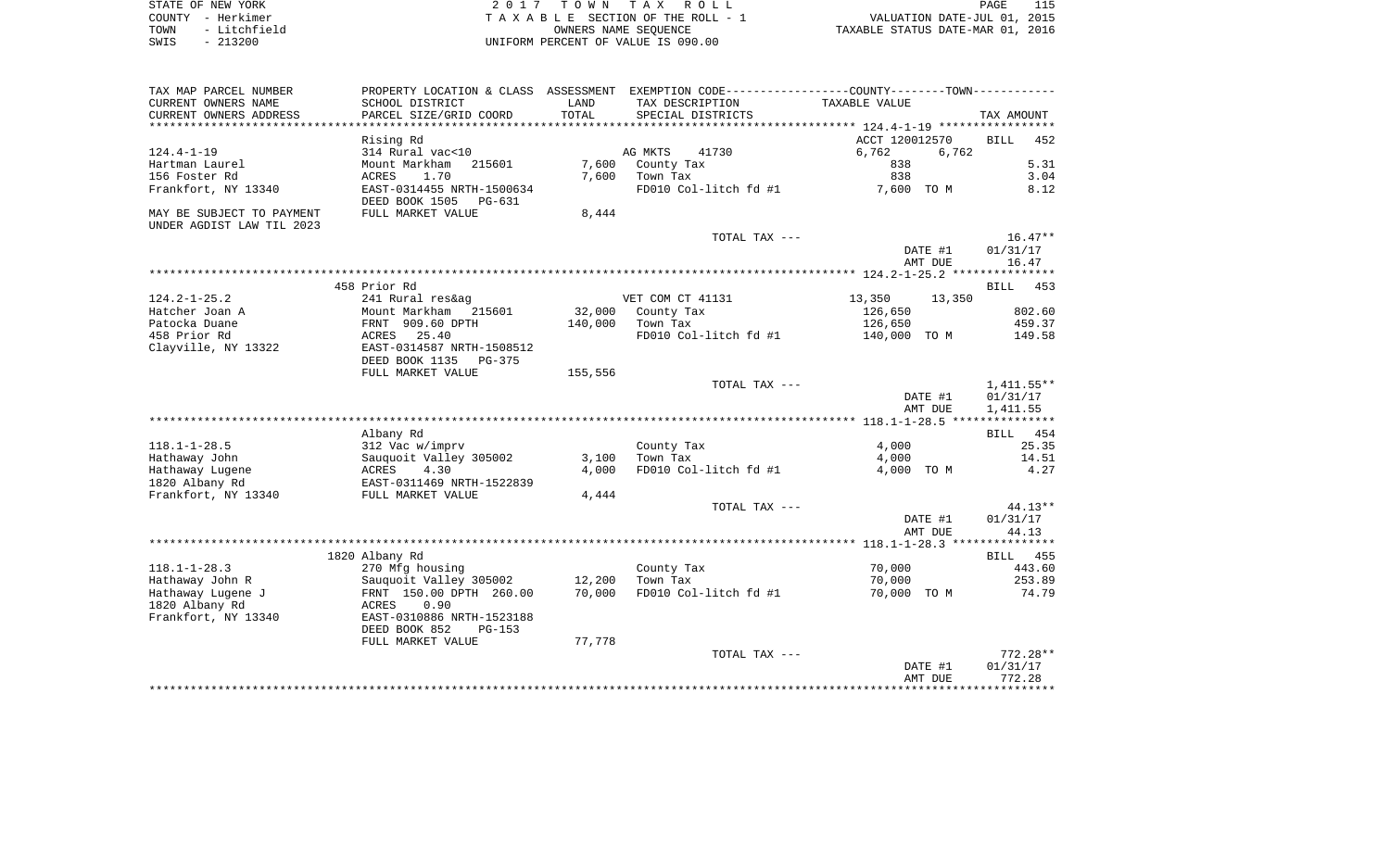|      | STATE OF NEW YORK | 2017 TOWN TAX ROLL                 | PAGE                             |  |
|------|-------------------|------------------------------------|----------------------------------|--|
|      | COUNTY - Herkimer | TAXABLE SECTION OF THE ROLL - 1    | VALUATION DATE-JUL 01, 2015      |  |
| TOWN | - Litchfield      | OWNERS NAME SEOUENCE               | TAXABLE STATUS DATE-MAR 01, 2016 |  |
| SWIS | - 213200          | UNIFORM PERCENT OF VALUE IS 090.00 |                                  |  |

|  | PAGE                           | $\perp$ $\perp$ 5 |
|--|--------------------------------|-------------------|
|  | VALUATION DATE-JUL 01, 2015    |                   |
|  | XABLE STATUS DATE-MAR 01, 2016 |                   |

| TAX MAP PARCEL NUMBER               |                           |                  | PROPERTY LOCATION & CLASS ASSESSMENT EXEMPTION CODE----------------COUNTY-------TOWN---------- |                       |                        |
|-------------------------------------|---------------------------|------------------|------------------------------------------------------------------------------------------------|-----------------------|------------------------|
| CURRENT OWNERS NAME                 | SCHOOL DISTRICT           | LAND             | TAX DESCRIPTION                                                                                | TAXABLE VALUE         |                        |
| CURRENT OWNERS ADDRESS              | PARCEL SIZE/GRID COORD    | TOTAL            | SPECIAL DISTRICTS                                                                              |                       | TAX AMOUNT             |
|                                     |                           |                  |                                                                                                |                       |                        |
|                                     | Rising Rd                 |                  |                                                                                                | ACCT 120012570        | <b>BILL</b><br>452     |
| $124.4 - 1 - 19$                    | 314 Rural vac<10          |                  | 41730<br>AG MKTS                                                                               | 6,762<br>6,762        |                        |
| Hartman Laurel                      | Mount Markham<br>215601   | 7,600            | County Tax                                                                                     | 838                   | 5.31                   |
| 156 Foster Rd                       | 1.70<br>ACRES             | 7,600            | Town Tax                                                                                       | 838                   | 3.04                   |
| Frankfort, NY 13340                 | EAST-0314455 NRTH-1500634 |                  | FD010 Col-litch fd #1                                                                          | 7,600 TO M            | 8.12                   |
|                                     | DEED BOOK 1505 PG-631     |                  |                                                                                                |                       |                        |
| MAY BE SUBJECT TO PAYMENT           | FULL MARKET VALUE         | 8,444            |                                                                                                |                       |                        |
| UNDER AGDIST LAW TIL 2023           |                           |                  |                                                                                                |                       |                        |
|                                     |                           |                  | TOTAL TAX ---                                                                                  |                       | $16.47**$              |
|                                     |                           |                  |                                                                                                | DATE #1               | 01/31/17               |
|                                     |                           |                  |                                                                                                | AMT DUE               | 16.47                  |
|                                     |                           |                  |                                                                                                |                       |                        |
|                                     | 458 Prior Rd              |                  |                                                                                                |                       | <b>BILL</b><br>453     |
| $124.2 - 1 - 25.2$                  | 241 Rural res&ag          |                  | VET COM CT 41131                                                                               | 13,350<br>13,350      |                        |
| Hatcher Joan A                      | Mount Markham 215601      | 32,000           | County Tax                                                                                     | 126,650               | 802.60                 |
| Patocka Duane                       | FRNT 909.60 DPTH          | 140,000          | Town Tax                                                                                       | 126,650               | 459.37                 |
| 458 Prior Rd                        | ACRES 25.40               |                  | FD010 Col-litch fd #1                                                                          | 140,000 TO M          | 149.58                 |
| Clayville, NY 13322                 | EAST-0314587 NRTH-1508512 |                  |                                                                                                |                       |                        |
|                                     | DEED BOOK 1135<br>PG-375  |                  |                                                                                                |                       |                        |
|                                     | FULL MARKET VALUE         | 155,556          |                                                                                                |                       |                        |
|                                     |                           |                  | TOTAL TAX ---                                                                                  |                       | $1,411.55**$           |
|                                     |                           |                  |                                                                                                | DATE #1               | 01/31/17               |
|                                     |                           |                  |                                                                                                | AMT DUE               | 1,411.55               |
|                                     |                           |                  |                                                                                                |                       |                        |
|                                     | Albany Rd                 |                  |                                                                                                |                       | 454<br>BILL            |
| $118.1 - 1 - 28.5$                  | 312 Vac w/imprv           |                  | County Tax                                                                                     | 4,000                 | 25.35                  |
| Hathaway John                       | Sauquoit Valley 305002    | 3,100            | Town Tax                                                                                       | 4,000                 | 14.51                  |
| Hathaway Lugene                     | ACRES<br>4.30             | 4,000            | FD010 Col-litch fd #1                                                                          | 4,000 TO M            | 4.27                   |
| 1820 Albany Rd                      | EAST-0311469 NRTH-1522839 |                  |                                                                                                |                       |                        |
| Frankfort, NY 13340                 | FULL MARKET VALUE         | 4,444            |                                                                                                |                       |                        |
|                                     |                           |                  | TOTAL TAX ---                                                                                  |                       | $44.13**$              |
|                                     |                           |                  |                                                                                                | DATE #1               | 01/31/17               |
|                                     |                           |                  |                                                                                                | AMT DUE               | 44.13                  |
|                                     |                           |                  |                                                                                                |                       |                        |
|                                     | 1820 Albany Rd            |                  |                                                                                                |                       | BILL 455               |
| $118.1 - 1 - 28.3$                  | 270 Mfg housing           |                  |                                                                                                | 70,000                | 443.60                 |
|                                     |                           |                  | County Tax<br>Town Tax                                                                         |                       |                        |
| Hathaway John R                     | Sauguoit Valley 305002    | 12,200<br>70,000 | FD010 Col-litch fd #1                                                                          | 70,000<br>70,000 TO M | 253.89<br>74.79        |
| Hathaway Lugene J<br>1820 Albany Rd | FRNT 150.00 DPTH 260.00   |                  |                                                                                                |                       |                        |
|                                     | 0.90<br>ACRES             |                  |                                                                                                |                       |                        |
| Frankfort, NY 13340                 | EAST-0310886 NRTH-1523188 |                  |                                                                                                |                       |                        |
|                                     | DEED BOOK 852<br>$PG-153$ |                  |                                                                                                |                       |                        |
|                                     | FULL MARKET VALUE         | 77,778           |                                                                                                |                       |                        |
|                                     |                           |                  | TOTAL TAX ---                                                                                  |                       | $772.28**$<br>01/31/17 |
|                                     |                           |                  |                                                                                                | DATE #1               |                        |
|                                     |                           |                  |                                                                                                | AMT DUE               | 772.28                 |
|                                     |                           |                  |                                                                                                |                       |                        |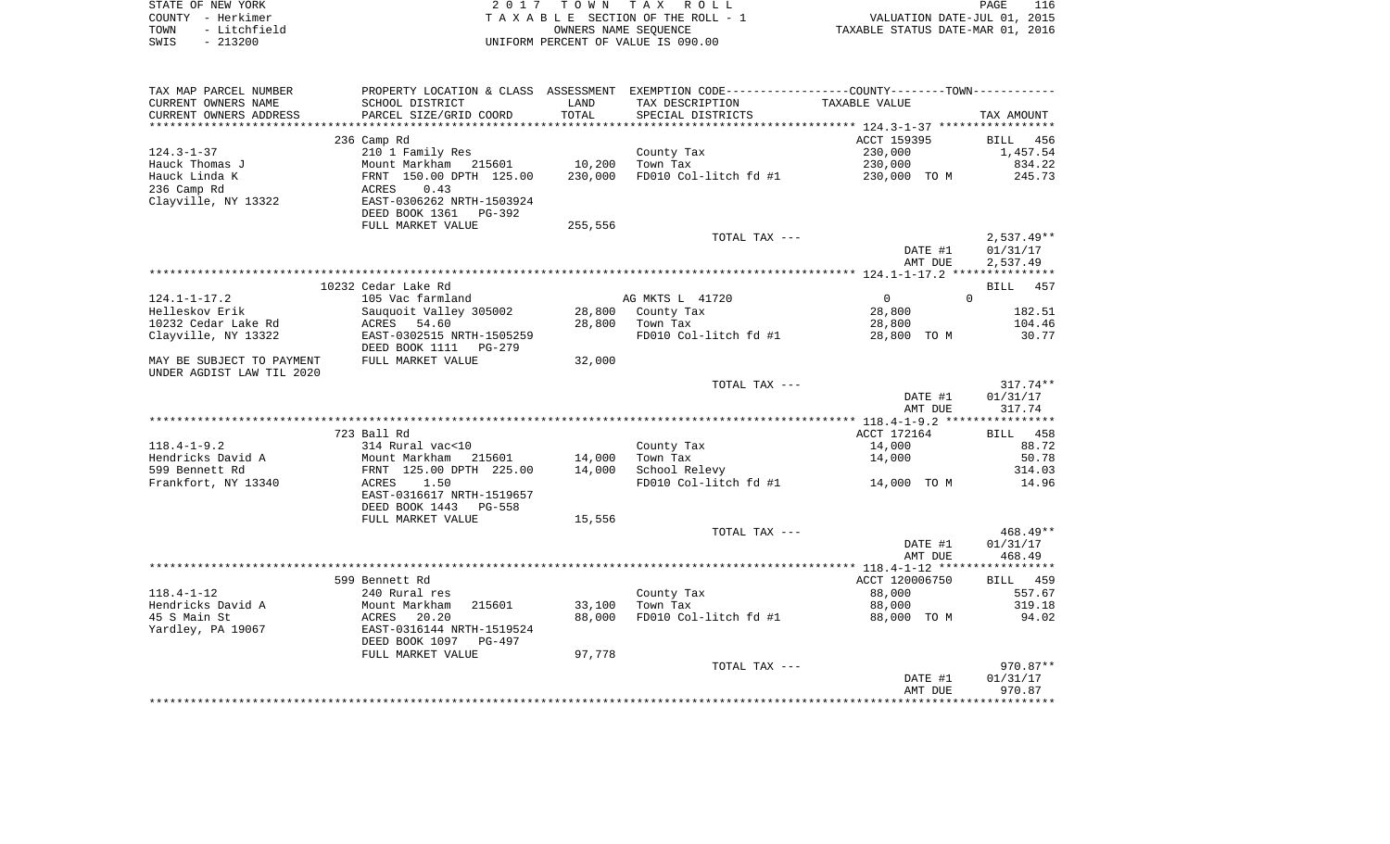|      | STATE OF NEW YORK | 2017 TOWN TAX ROLL                 | PAGE                             |  |
|------|-------------------|------------------------------------|----------------------------------|--|
|      | COUNTY - Herkimer | TAXABLE SECTION OF THE ROLL - 1    | VALUATION DATE-JUL 01, 2015      |  |
| TOWN | - Litchfield      | OWNERS NAME SEOUENCE               | TAXABLE STATUS DATE-MAR 01, 2016 |  |
| SWIS | $-213200$         | UNIFORM PERCENT OF VALUE IS 090.00 |                                  |  |

 $\frac{116}{2015}$ 

| TAX MAP PARCEL NUMBER     |                            |         | PROPERTY LOCATION & CLASS ASSESSMENT EXEMPTION CODE----------------COUNTY-------TOWN----------- |                |                    |
|---------------------------|----------------------------|---------|-------------------------------------------------------------------------------------------------|----------------|--------------------|
| CURRENT OWNERS NAME       | SCHOOL DISTRICT            | LAND    | TAX DESCRIPTION                                                                                 | TAXABLE VALUE  |                    |
| CURRENT OWNERS ADDRESS    | PARCEL SIZE/GRID COORD     | TOTAL   | SPECIAL DISTRICTS                                                                               |                | TAX AMOUNT         |
|                           |                            |         |                                                                                                 |                |                    |
|                           | 236 Camp Rd                |         |                                                                                                 | ACCT 159395    | <b>BILL</b><br>456 |
| $124.3 - 1 - 37$          | 210 1 Family Res           |         | County Tax                                                                                      | 230,000        | 1,457.54           |
| Hauck Thomas J            | Mount Markham 215601       | 10,200  | Town Tax                                                                                        | 230,000        | 834.22             |
| Hauck Linda K             | FRNT 150.00 DPTH 125.00    | 230,000 | FD010 Col-litch fd #1                                                                           | 230,000 TO M   | 245.73             |
| 236 Camp Rd               | 0.43<br>ACRES              |         |                                                                                                 |                |                    |
| Clayville, NY 13322       | EAST-0306262 NRTH-1503924  |         |                                                                                                 |                |                    |
|                           | DEED BOOK 1361<br>PG-392   |         |                                                                                                 |                |                    |
|                           | FULL MARKET VALUE          | 255,556 |                                                                                                 |                |                    |
|                           |                            |         | TOTAL TAX ---                                                                                   |                | $2,537.49**$       |
|                           |                            |         |                                                                                                 | DATE #1        | 01/31/17           |
|                           |                            |         |                                                                                                 | AMT DUE        | 2,537.49           |
|                           |                            |         |                                                                                                 |                |                    |
|                           | 10232 Cedar Lake Rd        |         |                                                                                                 |                | BILL 457           |
| $124.1 - 1 - 17.2$        | 105 Vac farmland           |         | AG MKTS L 41720                                                                                 | $\mathbf 0$    | $\Omega$           |
| Helleskov Erik            | Sauquoit Valley 305002     | 28,800  | County Tax                                                                                      | 28,800         | 182.51             |
| 10232 Cedar Lake Rd       | ACRES<br>54.60             | 28,800  | Town Tax                                                                                        | 28,800         | 104.46             |
| Clayville, NY 13322       | EAST-0302515 NRTH-1505259  |         | FD010 Col-litch fd #1                                                                           | 28,800 TO M    | 30.77              |
|                           | DEED BOOK 1111<br>$PG-279$ |         |                                                                                                 |                |                    |
| MAY BE SUBJECT TO PAYMENT | FULL MARKET VALUE          | 32,000  |                                                                                                 |                |                    |
| UNDER AGDIST LAW TIL 2020 |                            |         |                                                                                                 |                |                    |
|                           |                            |         | TOTAL TAX ---                                                                                   |                | $317.74**$         |
|                           |                            |         |                                                                                                 | DATE #1        | 01/31/17           |
|                           |                            |         |                                                                                                 | AMT DUE        | 317.74             |
|                           |                            |         |                                                                                                 |                |                    |
|                           | 723 Ball Rd                |         |                                                                                                 | ACCT 172164    | BILL 458           |
| $118.4 - 1 - 9.2$         | 314 Rural vac<10           |         | County Tax                                                                                      | 14,000         | 88.72              |
| Hendricks David A         | Mount Markham<br>215601    | 14,000  | Town Tax                                                                                        | 14,000         | 50.78              |
| 599 Bennett Rd            | FRNT 125.00 DPTH 225.00    | 14,000  | School Relevy                                                                                   |                | 314.03             |
| Frankfort, NY 13340       | 1.50<br>ACRES              |         | FD010 Col-litch fd #1                                                                           | 14,000 TO M    | 14.96              |
|                           | EAST-0316617 NRTH-1519657  |         |                                                                                                 |                |                    |
|                           | DEED BOOK 1443<br>PG-558   |         |                                                                                                 |                |                    |
|                           | FULL MARKET VALUE          | 15,556  |                                                                                                 |                |                    |
|                           |                            |         | TOTAL TAX ---                                                                                   |                | $468.49**$         |
|                           |                            |         |                                                                                                 | DATE #1        | 01/31/17           |
|                           |                            |         |                                                                                                 | AMT DUE        | 468.49             |
|                           |                            |         |                                                                                                 |                |                    |
|                           | 599 Bennett Rd             |         |                                                                                                 | ACCT 120006750 | BILL 459           |
| $118.4 - 1 - 12$          | 240 Rural res              |         | County Tax                                                                                      | 88,000         | 557.67             |
| Hendricks David A         | 215601<br>Mount Markham    | 33,100  | Town Tax                                                                                        | 88,000         | 319.18             |
| 45 S Main St              | 20.20<br>ACRES             | 88,000  | FD010 Col-litch fd #1                                                                           | 88,000 TO M    | 94.02              |
| Yardley, PA 19067         | EAST-0316144 NRTH-1519524  |         |                                                                                                 |                |                    |
|                           | DEED BOOK 1097<br>PG-497   |         |                                                                                                 |                |                    |
|                           | FULL MARKET VALUE          | 97,778  |                                                                                                 |                | 970.87**           |
|                           |                            |         | TOTAL TAX ---                                                                                   |                |                    |
|                           |                            |         |                                                                                                 | DATE #1        | 01/31/17           |
|                           |                            |         |                                                                                                 | AMT DUE        | 970.87             |
|                           |                            |         |                                                                                                 |                |                    |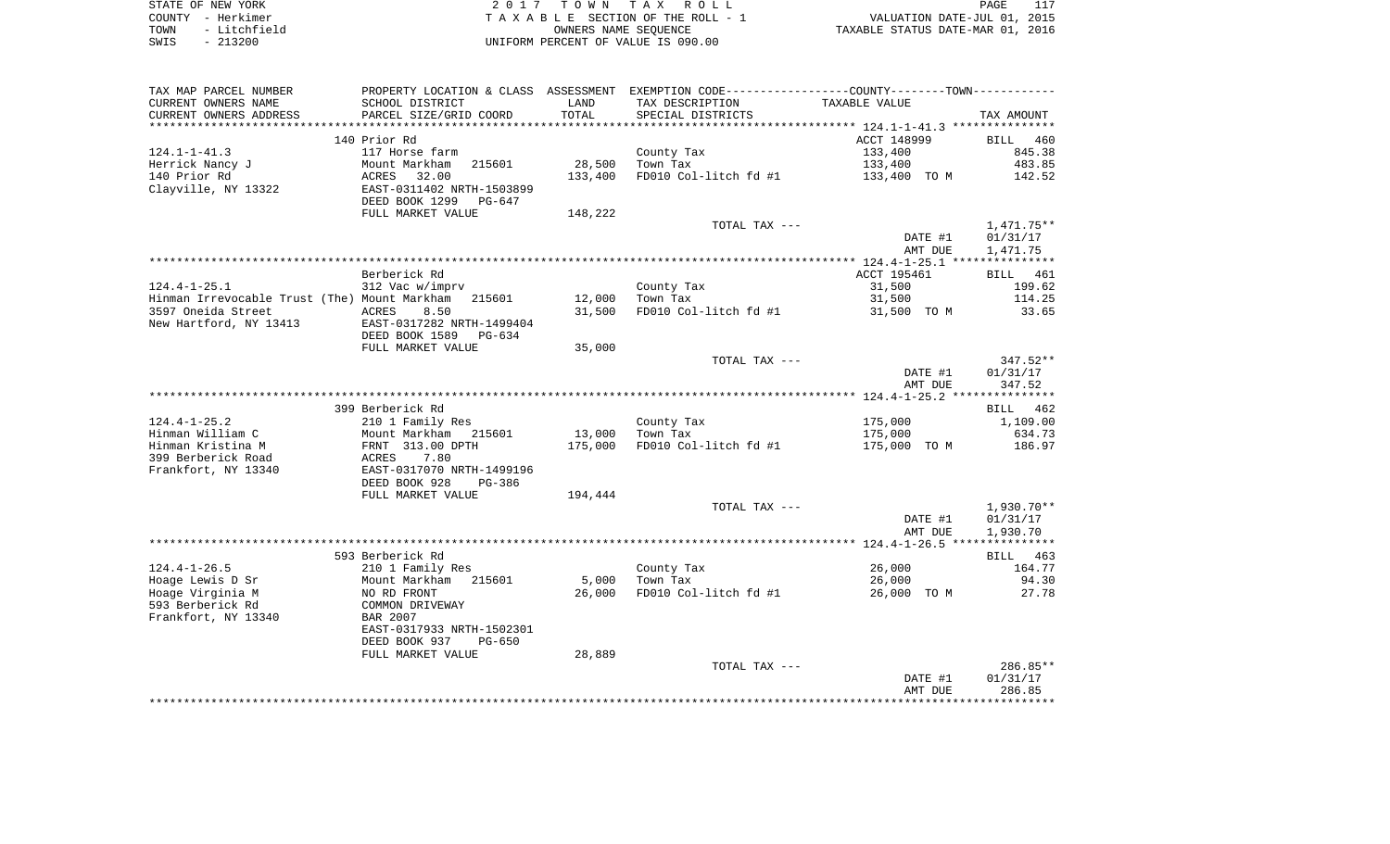| STATE OF NEW YORK                          | / TOWN TAX ROLL<br>2017            | 117<br>PAGE                      |
|--------------------------------------------|------------------------------------|----------------------------------|
| COUNTY - Herkimer                          | TAXABLE SECTION OF THE ROLL - 1    | VALUATION DATE-JUL 01, 2015      |
| - Litchfield<br>TOWN                       | OWNERS NAME SEOUENCE               | TAXABLE STATUS DATE-MAR 01, 2016 |
| 213200<br>SWIS<br>$\overline{\phantom{0}}$ | UNIFORM PERCENT OF VALUE IS 090.00 |                                  |

| TAX MAP PARCEL NUMBER                            | PROPERTY LOCATION & CLASS ASSESSMENT                        |         | EXEMPTION CODE-----------------COUNTY-------TOWN----------- |               |                          |
|--------------------------------------------------|-------------------------------------------------------------|---------|-------------------------------------------------------------|---------------|--------------------------|
| CURRENT OWNERS NAME                              | SCHOOL DISTRICT                                             | LAND    | TAX DESCRIPTION                                             | TAXABLE VALUE |                          |
| CURRENT OWNERS ADDRESS<br>********************** | PARCEL SIZE/GRID COORD                                      | TOTAL   | SPECIAL DISTRICTS                                           |               | TAX AMOUNT               |
|                                                  | 140 Prior Rd                                                |         |                                                             | ACCT 148999   | <b>BILL</b><br>460       |
| $124.1 - 1 - 41.3$                               | 117 Horse farm                                              |         | County Tax                                                  | 133,400       | 845.38                   |
| Herrick Nancy J                                  | Mount Markham<br>215601                                     | 28,500  | Town Tax                                                    | 133,400       | 483.85                   |
| 140 Prior Rd                                     | ACRES<br>32.00                                              | 133,400 | FD010 Col-litch fd #1                                       | 133,400 TO M  | 142.52                   |
| Clayville, NY 13322                              | EAST-0311402 NRTH-1503899                                   |         |                                                             |               |                          |
|                                                  | DEED BOOK 1299<br>PG-647                                    |         |                                                             |               |                          |
|                                                  | FULL MARKET VALUE                                           | 148,222 |                                                             |               |                          |
|                                                  |                                                             |         | TOTAL TAX ---                                               |               | 1,471.75**               |
|                                                  |                                                             |         |                                                             | DATE #1       | 01/31/17                 |
|                                                  |                                                             |         |                                                             | AMT DUE       | 1,471.75                 |
|                                                  | Berberick Rd                                                |         |                                                             | ACCT 195461   | BILL 461                 |
| $124.4 - 1 - 25.1$                               | 312 Vac w/imprv                                             |         | County Tax                                                  | 31,500        | 199.62                   |
| Hinman Irrevocable Trust (The) Mount Markham     | 215601                                                      | 12,000  | Town Tax                                                    | 31,500        | 114.25                   |
| 3597 Oneida Street                               | ACRES<br>8.50                                               | 31,500  | FD010 Col-litch fd #1                                       | 31,500 TO M   | 33.65                    |
| New Hartford, NY 13413                           | EAST-0317282 NRTH-1499404                                   |         |                                                             |               |                          |
|                                                  | DEED BOOK 1589<br>$PG-634$                                  |         |                                                             |               |                          |
|                                                  | FULL MARKET VALUE                                           | 35,000  |                                                             |               |                          |
|                                                  |                                                             |         | TOTAL TAX ---                                               |               | $347.52**$               |
|                                                  |                                                             |         |                                                             | DATE #1       | 01/31/17                 |
|                                                  |                                                             |         |                                                             | AMT DUE       | 347.52                   |
|                                                  | 399 Berberick Rd                                            |         |                                                             |               | <b>BILL</b><br>462       |
| $124.4 - 1 - 25.2$                               | 210 1 Family Res                                            |         | County Tax                                                  | 175,000       | 1,109.00                 |
| Hinman William C                                 | Mount Markham<br>215601                                     | 13,000  | Town Tax                                                    | 175,000       | 634.73                   |
| Hinman Kristina M                                | FRNT 313.00 DPTH                                            | 175,000 | FD010 Col-litch fd #1                                       | 175,000 TO M  | 186.97                   |
| 399 Berberick Road                               | 7.80<br>ACRES                                               |         |                                                             |               |                          |
| Frankfort, NY 13340                              | EAST-0317070 NRTH-1499196                                   |         |                                                             |               |                          |
|                                                  | DEED BOOK 928<br>PG-386                                     |         |                                                             |               |                          |
|                                                  | FULL MARKET VALUE                                           | 194,444 |                                                             |               |                          |
|                                                  |                                                             |         | TOTAL TAX ---                                               | DATE #1       | $1,930.70**$<br>01/31/17 |
|                                                  |                                                             |         |                                                             | AMT DUE       | 1,930.70                 |
|                                                  |                                                             |         |                                                             |               |                          |
|                                                  | 593 Berberick Rd                                            |         |                                                             |               | BILL 463                 |
| $124.4 - 1 - 26.5$                               | 210 1 Family Res                                            |         | County Tax                                                  | 26,000        | 164.77                   |
| Hoage Lewis D Sr                                 | Mount Markham<br>215601                                     | 5,000   | Town Tax                                                    | 26,000        | 94.30                    |
| Hoage Virginia M                                 | NO RD FRONT                                                 | 26,000  | FD010 Col-litch fd #1                                       | 26,000 TO M   | 27.78                    |
| 593 Berberick Rd                                 | COMMON DRIVEWAY                                             |         |                                                             |               |                          |
| Frankfort, NY 13340                              | <b>BAR 2007</b>                                             |         |                                                             |               |                          |
|                                                  | EAST-0317933 NRTH-1502301<br>DEED BOOK 937<br><b>PG-650</b> |         |                                                             |               |                          |
|                                                  | FULL MARKET VALUE                                           | 28,889  |                                                             |               |                          |
|                                                  |                                                             |         | TOTAL TAX ---                                               |               | 286.85**                 |
|                                                  |                                                             |         |                                                             | DATE #1       | 01/31/17                 |
|                                                  |                                                             |         |                                                             | AMT DUE       | 286.85                   |
|                                                  |                                                             |         |                                                             |               |                          |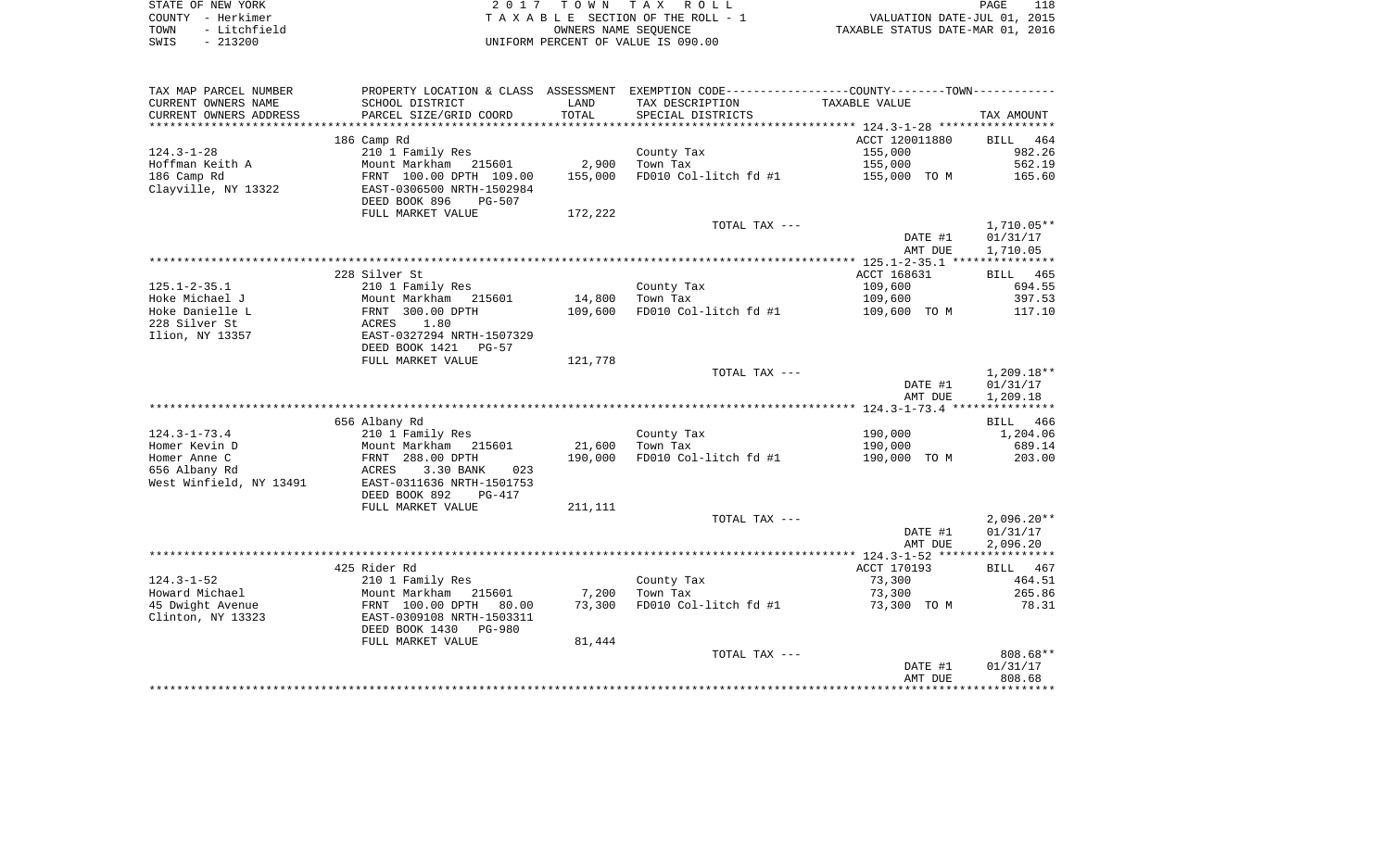| STATE OF NEW YORK    | 2017 TOWN TAX ROLL                 | PAGE                             |
|----------------------|------------------------------------|----------------------------------|
| COUNTY - Herkimer    | TAXABLE SECTION OF THE ROLL - 1    | VALUATION DATE-JUL 01, 2015      |
| - Litchfield<br>TOWN | OWNERS NAME SEOUENCE               | TAXABLE STATUS DATE-MAR 01, 2016 |
| $-213200$<br>SWIS    | UNIFORM PERCENT OF VALUE IS 090.00 |                                  |

| TAX MAP PARCEL NUMBER   | PROPERTY LOCATION & CLASS ASSESSMENT |         | EXEMPTION CODE----------------COUNTY-------TOWN----------- |                    |                          |
|-------------------------|--------------------------------------|---------|------------------------------------------------------------|--------------------|--------------------------|
| CURRENT OWNERS NAME     | SCHOOL DISTRICT                      | LAND    | TAX DESCRIPTION                                            | TAXABLE VALUE      |                          |
| CURRENT OWNERS ADDRESS  | PARCEL SIZE/GRID COORD               | TOTAL   | SPECIAL DISTRICTS                                          |                    | TAX AMOUNT               |
| **********************  |                                      |         |                                                            |                    |                          |
|                         | 186 Camp Rd                          |         |                                                            | ACCT 120011880     | BILL 464                 |
| $124.3 - 1 - 28$        | 210 1 Family Res                     |         | County Tax                                                 | 155,000            | 982.26                   |
| Hoffman Keith A         | Mount Markham 215601                 | 2,900   | Town Tax                                                   | 155,000            | 562.19                   |
| 186 Camp Rd             | FRNT 100.00 DPTH 109.00              | 155,000 | FD010 Col-litch fd #1                                      | 155,000 TO M       | 165.60                   |
| Clayville, NY 13322     | EAST-0306500 NRTH-1502984            |         |                                                            |                    |                          |
|                         | DEED BOOK 896<br><b>PG-507</b>       |         |                                                            |                    |                          |
|                         | FULL MARKET VALUE                    | 172,222 |                                                            |                    |                          |
|                         |                                      |         | TOTAL TAX ---                                              |                    | 1,710.05**               |
|                         |                                      |         |                                                            | DATE #1            | 01/31/17                 |
|                         |                                      |         |                                                            | AMT DUE            | 1,710.05                 |
|                         |                                      |         |                                                            |                    |                          |
|                         | 228 Silver St                        |         |                                                            | ACCT 168631        | BILL 465                 |
| $125.1 - 2 - 35.1$      | 210 1 Family Res                     |         | County Tax                                                 | 109,600            | 694.55                   |
| Hoke Michael J          | Mount Markham 215601                 | 14,800  | Town Tax                                                   | 109,600            | 397.53                   |
| Hoke Danielle L         | FRNT 300.00 DPTH                     | 109,600 | FD010 Col-litch fd #1                                      | 109,600 TO M       | 117.10                   |
| 228 Silver St           | ACRES<br>1.80                        |         |                                                            |                    |                          |
| Ilion, NY 13357         | EAST-0327294 NRTH-1507329            |         |                                                            |                    |                          |
|                         | DEED BOOK 1421<br>PG-57              |         |                                                            |                    |                          |
|                         | FULL MARKET VALUE                    | 121,778 |                                                            |                    |                          |
|                         |                                      |         | TOTAL TAX ---                                              |                    | $1,209.18**$<br>01/31/17 |
|                         |                                      |         |                                                            | DATE #1<br>AMT DUE | 1,209.18                 |
|                         |                                      |         |                                                            |                    |                          |
|                         | 656 Albany Rd                        |         |                                                            |                    | BILL 466                 |
| $124.3 - 1 - 73.4$      | 210 1 Family Res                     |         | County Tax                                                 | 190,000            | 1,204.06                 |
| Homer Kevin D           | Mount Markham 215601                 | 21,600  | Town Tax                                                   | 190,000            | 689.14                   |
| Homer Anne C            | FRNT 288.00 DPTH                     | 190,000 | FD010 Col-litch fd #1                                      | 190,000 TO M       | 203.00                   |
| 656 Albany Rd           | ACRES<br>3.30 BANK<br>023            |         |                                                            |                    |                          |
| West Winfield, NY 13491 | EAST-0311636 NRTH-1501753            |         |                                                            |                    |                          |
|                         | DEED BOOK 892<br>PG-417              |         |                                                            |                    |                          |
|                         | FULL MARKET VALUE                    | 211,111 |                                                            |                    |                          |
|                         |                                      |         | TOTAL TAX ---                                              |                    | $2,096.20**$             |
|                         |                                      |         |                                                            | DATE #1            | 01/31/17                 |
|                         |                                      |         |                                                            | AMT DUE            | 2,096.20                 |
|                         |                                      |         |                                                            |                    |                          |
|                         | 425 Rider Rd                         |         |                                                            | ACCT 170193        | BILL 467                 |
| $124.3 - 1 - 52$        | 210 1 Family Res                     |         | County Tax                                                 | 73,300             | 464.51                   |
| Howard Michael          | Mount Markham 215601                 | 7,200   | Town Tax                                                   | 73,300             | 265.86                   |
| 45 Dwight Avenue        | FRNT 100.00 DPTH 80.00               | 73,300  | FD010 Col-litch fd #1                                      | 73,300 TO M        | 78.31                    |
| Clinton, NY 13323       | EAST-0309108 NRTH-1503311            |         |                                                            |                    |                          |
|                         | DEED BOOK 1430<br>PG-980             |         |                                                            |                    |                          |
|                         | FULL MARKET VALUE                    | 81,444  |                                                            |                    |                          |
|                         |                                      |         | TOTAL TAX ---                                              |                    | 808.68**                 |
|                         |                                      |         |                                                            | DATE #1            | 01/31/17                 |
|                         |                                      |         |                                                            | AMT DUE            | 808.68                   |
|                         |                                      |         |                                                            |                    |                          |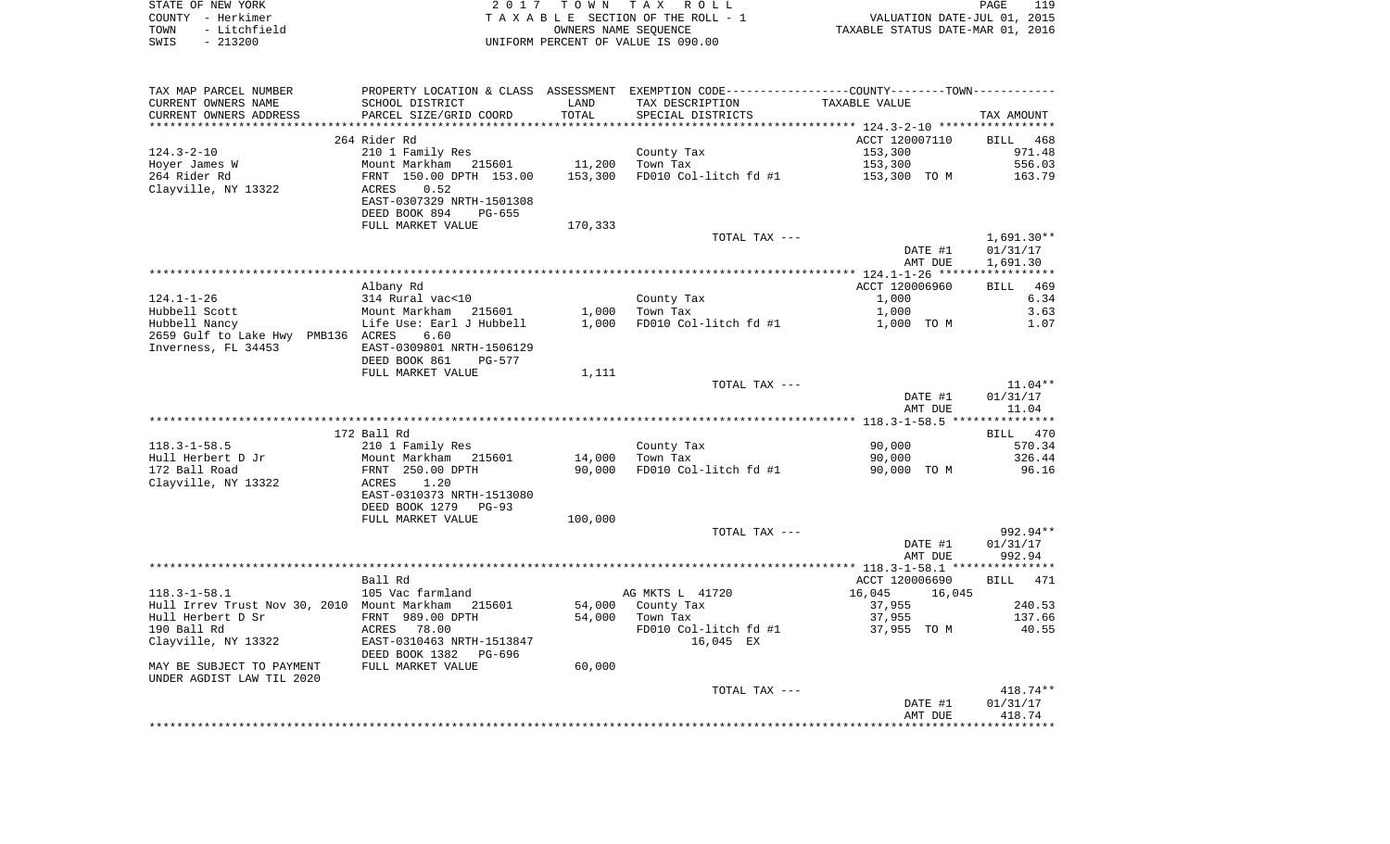|      | STATE OF NEW YORK | 2017 TOWN TAX ROLL                 | PAGE                             | 119 |
|------|-------------------|------------------------------------|----------------------------------|-----|
|      | COUNTY - Herkimer | TAXABLE SECTION OF THE ROLL - 1    | VALUATION DATE-JUL 01, 2015      |     |
| TOWN | - Litchfield      | OWNERS NAME SEOUENCE               | TAXABLE STATUS DATE-MAR 01, 2016 |     |
| SWIS | - 213200          | UNIFORM PERCENT OF VALUE IS 090.00 |                                  |     |

| TAX MAP PARCEL NUMBER                               |                                  |         | PROPERTY LOCATION & CLASS ASSESSMENT EXEMPTION CODE---------------COUNTY-------TOWN---------- |                  |              |
|-----------------------------------------------------|----------------------------------|---------|-----------------------------------------------------------------------------------------------|------------------|--------------|
| CURRENT OWNERS NAME                                 | SCHOOL DISTRICT                  | LAND    | TAX DESCRIPTION                                                                               | TAXABLE VALUE    |              |
| CURRENT OWNERS ADDRESS                              | PARCEL SIZE/GRID COORD           | TOTAL   | SPECIAL DISTRICTS                                                                             |                  | TAX AMOUNT   |
| ***********************                             |                                  |         |                                                                                               |                  |              |
|                                                     | 264 Rider Rd                     |         |                                                                                               | ACCT 120007110   | BILL 468     |
| $124.3 - 2 - 10$                                    | 210 1 Family Res                 |         | County Tax                                                                                    | 153,300          | 971.48       |
| Hoyer James W                                       | Mount Markham 215601             |         | 11,200 Town Tax                                                                               | 153,300          | 556.03       |
| 264 Rider Rd                                        | FRNT 150.00 DPTH 153.00          | 153,300 | FD010 Col-litch fd #1                                                                         | 153,300 TO M     | 163.79       |
| Clayville, NY 13322                                 | 0.52<br>ACRES                    |         |                                                                                               |                  |              |
|                                                     | EAST-0307329 NRTH-1501308        |         |                                                                                               |                  |              |
|                                                     | DEED BOOK 894<br>PG-655          |         |                                                                                               |                  |              |
|                                                     | FULL MARKET VALUE                | 170,333 |                                                                                               |                  |              |
|                                                     |                                  |         | TOTAL TAX ---                                                                                 |                  | $1,691.30**$ |
|                                                     |                                  |         |                                                                                               | DATE #1          | 01/31/17     |
|                                                     |                                  |         |                                                                                               | AMT DUE          | 1,691.30     |
|                                                     |                                  |         |                                                                                               |                  |              |
|                                                     | Albany Rd                        |         |                                                                                               | ACCT 120006960   | BILL 469     |
| $124.1 - 1 - 26$                                    | 314 Rural vac<10                 |         | County Tax                                                                                    | 1,000            | 6.34         |
| Hubbell Scott                                       | Mount Markham 215601             |         | $1.000$ Town Tax                                                                              | 1,000            | 3.63         |
| Hubbell Nancy<br>2659 Gulf to Lake Hwy PMB136 ACRES | Life Use: Earl J Hubbell<br>6.60 |         | $1,000$ FD010 Col-litch fd #1                                                                 | 1,000 TO M       | 1.07         |
| Inverness, FL 34453                                 | EAST-0309801 NRTH-1506129        |         |                                                                                               |                  |              |
|                                                     | DEED BOOK 861<br>PG-577          |         |                                                                                               |                  |              |
|                                                     | FULL MARKET VALUE                | 1,111   |                                                                                               |                  |              |
|                                                     |                                  |         | TOTAL TAX ---                                                                                 |                  | $11.04**$    |
|                                                     |                                  |         |                                                                                               | DATE #1          | 01/31/17     |
|                                                     |                                  |         |                                                                                               | AMT DUE          | 11.04        |
|                                                     |                                  |         |                                                                                               |                  |              |
|                                                     | 172 Ball Rd                      |         |                                                                                               |                  | BILL 470     |
| $118.3 - 1 - 58.5$                                  | 210 1 Family Res                 |         | County Tax                                                                                    | 90,000           | 570.34       |
| Hull Herbert D Jr                                   | Mount Markham 215601             |         | 14,000 Town Tax                                                                               | 90,000           | 326.44       |
| 172 Ball Road                                       | FRNT 250.00 DPTH                 |         | 90,000 FD010 Col-litch fd #1                                                                  | 90,000 TO M      | 96.16        |
| Clayville, NY 13322                                 | 1.20<br>ACRES                    |         |                                                                                               |                  |              |
|                                                     | EAST-0310373 NRTH-1513080        |         |                                                                                               |                  |              |
|                                                     | DEED BOOK 1279 PG-93             |         |                                                                                               |                  |              |
|                                                     | FULL MARKET VALUE                | 100,000 |                                                                                               |                  |              |
|                                                     |                                  |         | TOTAL TAX ---                                                                                 |                  | 992.94**     |
|                                                     |                                  |         |                                                                                               | DATE #1          | 01/31/17     |
|                                                     |                                  |         |                                                                                               | AMT DUE          | 992.94       |
|                                                     |                                  |         |                                                                                               |                  |              |
|                                                     | Ball Rd                          |         |                                                                                               | ACCT 120006690   | BILL 471     |
| $118.3 - 1 - 58.1$                                  | 105 Vac farmland                 |         | AG MKTS L 41720                                                                               | 16,045<br>16,045 |              |
| Hull Irrev Trust Nov 30, 2010 Mount Markham 215601  |                                  |         | 54,000 County Tax                                                                             | 37,955           | 240.53       |
| Hull Herbert D Sr                                   | FRNT 989.00 DPTH                 |         | 54,000 Town Tax                                                                               | 37,955           | 137.66       |
| 190 Ball Rd                                         | ACRES 78.00                      |         | FD010 Col-litch fd #1                                                                         | 37,955 TO M      | 40.55        |
| Clayville, NY 13322                                 | EAST-0310463 NRTH-1513847        |         | 16,045 EX                                                                                     |                  |              |
|                                                     | DEED BOOK 1382 PG-696            |         |                                                                                               |                  |              |
| MAY BE SUBJECT TO PAYMENT                           | FULL MARKET VALUE                | 60,000  |                                                                                               |                  |              |
| UNDER AGDIST LAW TIL 2020                           |                                  |         |                                                                                               |                  |              |
|                                                     |                                  |         | TOTAL TAX ---                                                                                 |                  | $418.74**$   |
|                                                     |                                  |         |                                                                                               | DATE #1          | 01/31/17     |
|                                                     |                                  |         |                                                                                               | AMT DUE          | 418.74       |
|                                                     |                                  |         |                                                                                               |                  |              |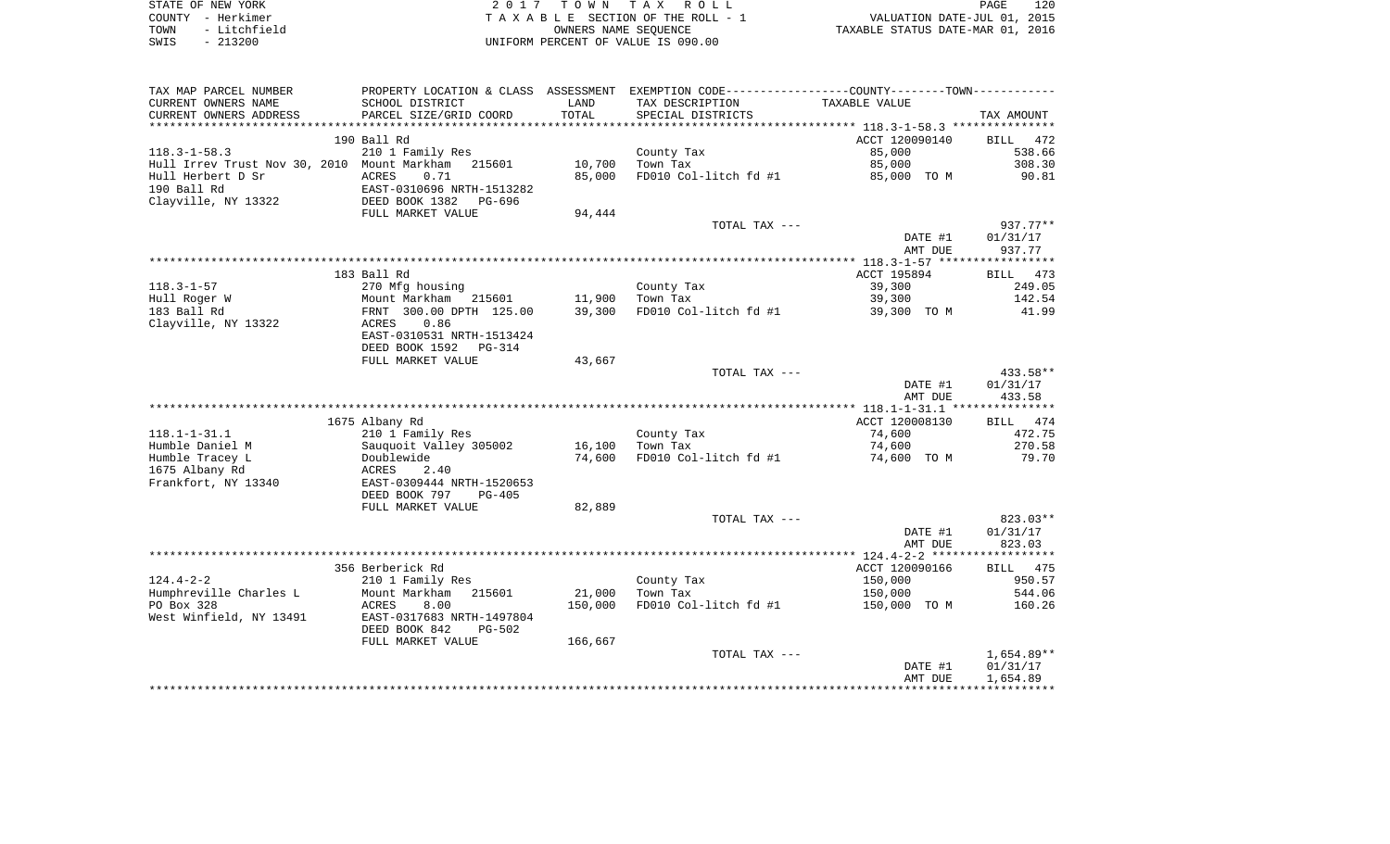| STATE OF NEW YORK    | 2017 TOWN TAX ROLL                 | 120<br>PAGE                      |
|----------------------|------------------------------------|----------------------------------|
| COUNTY - Herkimer    | TAXABLE SECTION OF THE ROLL - 1    | VALUATION DATE-JUL 01, 2015      |
| - Litchfield<br>TOWN | OWNERS NAME SEOUENCE               | TAXABLE STATUS DATE-MAR 01, 2016 |
| $-213200$<br>SWIS    | UNIFORM PERCENT OF VALUE IS 090.00 |                                  |

| TAX MAP PARCEL NUMBER   |                                                    |         | PROPERTY LOCATION & CLASS ASSESSMENT EXEMPTION CODE---------------COUNTY-------TOWN---------- |                |                    |
|-------------------------|----------------------------------------------------|---------|-----------------------------------------------------------------------------------------------|----------------|--------------------|
| CURRENT OWNERS NAME     | SCHOOL DISTRICT                                    | LAND    | TAX DESCRIPTION                                                                               | TAXABLE VALUE  |                    |
| CURRENT OWNERS ADDRESS  | PARCEL SIZE/GRID COORD                             | TOTAL   | SPECIAL DISTRICTS                                                                             |                | TAX AMOUNT         |
|                         |                                                    |         |                                                                                               |                |                    |
|                         | 190 Ball Rd                                        |         |                                                                                               | ACCT 120090140 | <b>BILL</b><br>472 |
| $118.3 - 1 - 58.3$      | 210 1 Family Res                                   |         | County Tax                                                                                    | 85,000         | 538.66             |
|                         | Hull Irrev Trust Nov 30, 2010 Mount Markham 215601 | 10,700  | Town Tax                                                                                      | 85,000         | 308.30             |
| Hull Herbert D Sr       | ACRES<br>0.71                                      | 85,000  | FD010 Col-litch fd #1                                                                         | 85,000 TO M    | 90.81              |
| 190 Ball Rd             | EAST-0310696 NRTH-1513282                          |         |                                                                                               |                |                    |
| Clayville, NY 13322     | DEED BOOK 1382<br>PG-696                           |         |                                                                                               |                |                    |
|                         | FULL MARKET VALUE                                  | 94,444  |                                                                                               |                |                    |
|                         |                                                    |         | TOTAL TAX ---                                                                                 |                | $937.77**$         |
|                         |                                                    |         |                                                                                               | DATE #1        | 01/31/17           |
|                         |                                                    |         |                                                                                               | AMT DUE        | 937.77             |
|                         |                                                    |         |                                                                                               |                |                    |
|                         | 183 Ball Rd                                        |         |                                                                                               | ACCT 195894    | BILL 473           |
| $118.3 - 1 - 57$        | 270 Mfg housing                                    |         | County Tax                                                                                    | 39,300         | 249.05             |
| Hull Roger W            | Mount Markham 215601                               | 11,900  | Town Tax                                                                                      | 39,300         | 142.54             |
| 183 Ball Rd             | FRNT 300.00 DPTH 125.00                            | 39,300  | FD010 Col-litch fd #1                                                                         | 39,300 TO M    | 41.99              |
| Clayville, NY 13322     | ACRES<br>0.86<br>EAST-0310531 NRTH-1513424         |         |                                                                                               |                |                    |
|                         | DEED BOOK 1592<br><b>PG-314</b>                    |         |                                                                                               |                |                    |
|                         | FULL MARKET VALUE                                  | 43,667  |                                                                                               |                |                    |
|                         |                                                    |         | TOTAL TAX ---                                                                                 |                | 433.58**           |
|                         |                                                    |         |                                                                                               | DATE #1        | 01/31/17           |
|                         |                                                    |         |                                                                                               | AMT DUE        | 433.58             |
|                         |                                                    |         |                                                                                               |                |                    |
|                         | 1675 Albany Rd                                     |         |                                                                                               | ACCT 120008130 | BILL 474           |
| $118.1 - 1 - 31.1$      | 210 1 Family Res                                   |         | County Tax                                                                                    | 74,600         | 472.75             |
| Humble Daniel M         | Sauguoit Valley 305002                             | 16,100  | Town Tax                                                                                      | 74,600         | 270.58             |
| Humble Tracey L         | Doublewide                                         | 74,600  | FD010 Col-litch fd #1                                                                         | 74,600 TO M    | 79.70              |
| 1675 Albany Rd          | ACRES<br>2.40                                      |         |                                                                                               |                |                    |
| Frankfort, NY 13340     | EAST-0309444 NRTH-1520653                          |         |                                                                                               |                |                    |
|                         | DEED BOOK 797<br>$PG-405$                          |         |                                                                                               |                |                    |
|                         | FULL MARKET VALUE                                  | 82,889  |                                                                                               |                |                    |
|                         |                                                    |         | TOTAL TAX ---                                                                                 |                | 823.03**           |
|                         |                                                    |         |                                                                                               | DATE #1        | 01/31/17           |
|                         |                                                    |         |                                                                                               | AMT DUE        | 823.03             |
|                         |                                                    |         |                                                                                               |                |                    |
|                         | 356 Berberick Rd                                   |         |                                                                                               | ACCT 120090166 | BILL 475           |
| $124.4 - 2 - 2$         | 210 1 Family Res                                   |         | County Tax                                                                                    | 150,000        | 950.57             |
| Humphreville Charles L  | Mount Markham<br>215601                            | 21,000  | Town Tax                                                                                      | 150,000        | 544.06             |
| PO Box 328              | ACRES<br>8.00                                      | 150,000 | FD010 Col-litch fd #1                                                                         | 150,000 TO M   | 160.26             |
| West Winfield, NY 13491 | EAST-0317683 NRTH-1497804                          |         |                                                                                               |                |                    |
|                         | DEED BOOK 842<br>PG-502                            |         |                                                                                               |                |                    |
|                         | FULL MARKET VALUE                                  | 166,667 |                                                                                               |                |                    |
|                         |                                                    |         | TOTAL TAX ---                                                                                 |                | $1,654.89**$       |
|                         |                                                    |         |                                                                                               | DATE #1        | 01/31/17           |
|                         |                                                    |         |                                                                                               | AMT DUE        | 1,654.89           |
|                         |                                                    |         |                                                                                               |                |                    |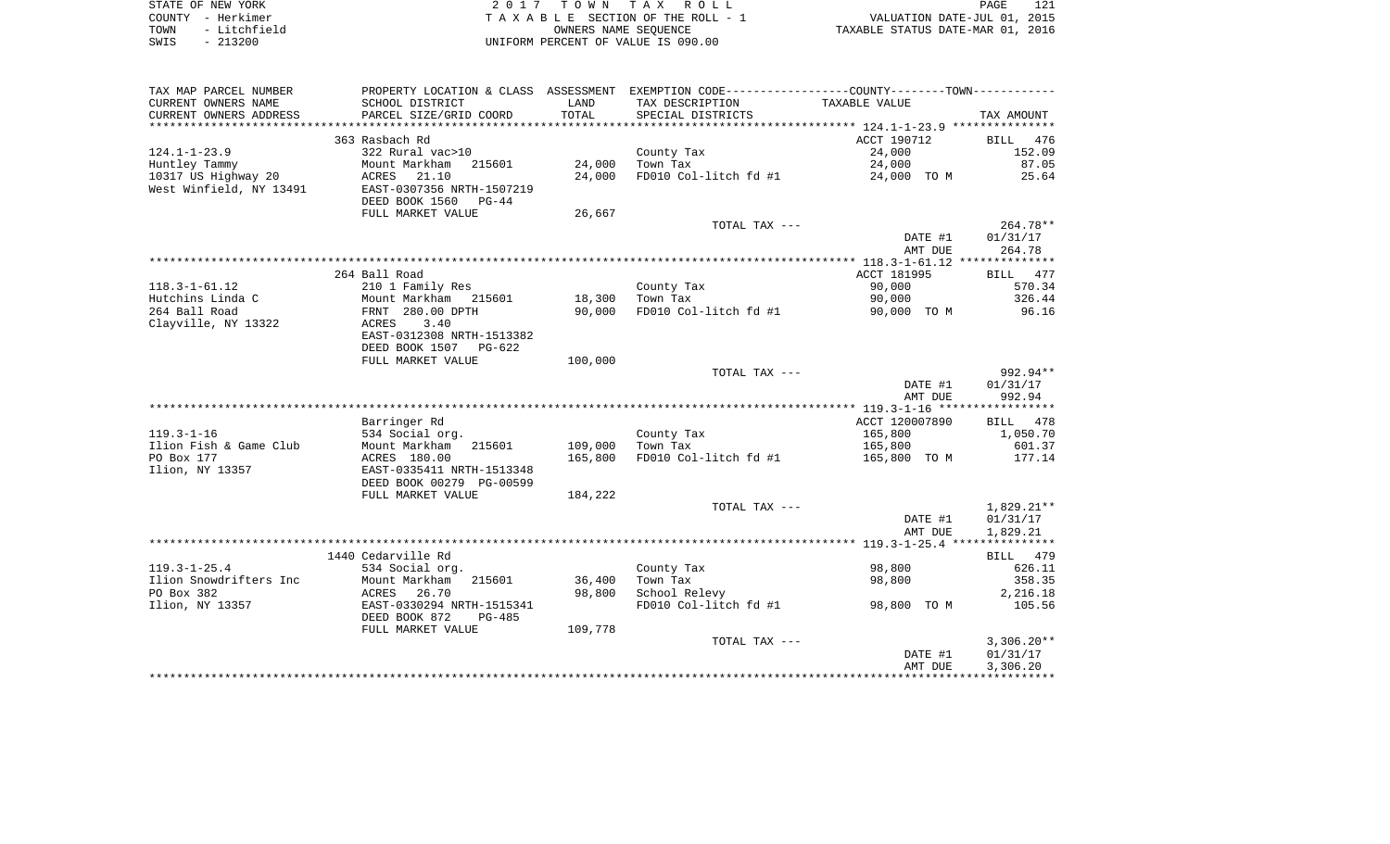| STATE OF NEW YORK    | 2017 TOWN TAX ROLL                 | 121<br>PAGE                      |
|----------------------|------------------------------------|----------------------------------|
| COUNTY - Herkimer    | TAXABLE SECTION OF THE ROLL - 1    | VALUATION DATE-JUL 01, 2015      |
| - Litchfield<br>TOWN | OWNERS NAME SEOUENCE               | TAXABLE STATUS DATE-MAR 01, 2016 |
| $-213200$<br>SWIS    | UNIFORM PERCENT OF VALUE IS 090.00 |                                  |

| TAX MAP PARCEL NUMBER                   |                                   |         | PROPERTY LOCATION & CLASS ASSESSMENT EXEMPTION CODE---------------COUNTY-------TOWN---------- |                  |                          |
|-----------------------------------------|-----------------------------------|---------|-----------------------------------------------------------------------------------------------|------------------|--------------------------|
| CURRENT OWNERS NAME                     | SCHOOL DISTRICT                   | LAND    | TAX DESCRIPTION                                                                               | TAXABLE VALUE    |                          |
| CURRENT OWNERS ADDRESS                  | PARCEL SIZE/GRID COORD            | TOTAL   | SPECIAL DISTRICTS                                                                             |                  | TAX AMOUNT               |
| ********************                    | *************************         |         |                                                                                               |                  |                          |
|                                         | 363 Rasbach Rd                    |         |                                                                                               | ACCT 190712      | <b>BILL</b><br>476       |
| $124.1 - 1 - 23.9$                      | 322 Rural vac>10                  |         | County Tax                                                                                    | 24,000           | 152.09                   |
| Huntley Tammy                           | Mount Markham<br>215601           | 24,000  | Town Tax                                                                                      | 24,000           | 87.05                    |
| 10317 US Highway 20                     | 21.10<br>ACRES                    | 24,000  | FD010 Col-litch fd #1                                                                         | 24,000 TO M      | 25.64                    |
| West Winfield, NY 13491                 | EAST-0307356 NRTH-1507219         |         |                                                                                               |                  |                          |
|                                         | DEED BOOK 1560<br>$PG-44$         |         |                                                                                               |                  |                          |
|                                         | FULL MARKET VALUE                 | 26,667  |                                                                                               |                  |                          |
|                                         |                                   |         | TOTAL TAX ---                                                                                 |                  | 264.78**                 |
|                                         |                                   |         |                                                                                               | DATE #1          | 01/31/17                 |
|                                         |                                   |         |                                                                                               | AMT DUE          | 264.78                   |
|                                         |                                   |         |                                                                                               |                  |                          |
|                                         | 264 Ball Road                     |         |                                                                                               | ACCT 181995      | BILL 477                 |
| $118.3 - 1 - 61.12$<br>Hutchins Linda C | 210 1 Family Res                  | 18,300  | County Tax                                                                                    | 90,000<br>90,000 | 570.34<br>326.44         |
|                                         | Mount Markham 215601              |         | Town Tax                                                                                      |                  |                          |
| 264 Ball Road<br>Clayville, NY 13322    | FRNT 280.00 DPTH<br>3.40<br>ACRES | 90,000  | FD010 Col-litch fd #1                                                                         | 90,000 TO M      | 96.16                    |
|                                         | EAST-0312308 NRTH-1513382         |         |                                                                                               |                  |                          |
|                                         | DEED BOOK 1507<br>PG-622          |         |                                                                                               |                  |                          |
|                                         | FULL MARKET VALUE                 | 100,000 |                                                                                               |                  |                          |
|                                         |                                   |         | TOTAL TAX ---                                                                                 |                  | 992.94**                 |
|                                         |                                   |         |                                                                                               | DATE #1          | 01/31/17                 |
|                                         |                                   |         |                                                                                               | AMT DUE          | 992.94                   |
|                                         |                                   |         |                                                                                               |                  |                          |
|                                         | Barringer Rd                      |         |                                                                                               | ACCT 120007890   | BILL 478                 |
| $119.3 - 1 - 16$                        | 534 Social org.                   |         | County Tax                                                                                    | 165,800          | 1,050.70                 |
| Ilion Fish & Game Club                  | Mount Markham 215601              | 109,000 | Town Tax                                                                                      | 165,800          | 601.37                   |
| PO Box 177                              | ACRES 180.00                      | 165,800 | FD010 Col-litch fd #1                                                                         | 165,800 TO M     | 177.14                   |
| Ilion, NY 13357                         | EAST-0335411 NRTH-1513348         |         |                                                                                               |                  |                          |
|                                         | DEED BOOK 00279 PG-00599          |         |                                                                                               |                  |                          |
|                                         | FULL MARKET VALUE                 | 184,222 |                                                                                               |                  |                          |
|                                         |                                   |         | TOTAL TAX ---                                                                                 |                  | 1,829.21**               |
|                                         |                                   |         |                                                                                               | DATE #1          | 01/31/17                 |
|                                         |                                   |         |                                                                                               | AMT DUE          | 1,829.21                 |
|                                         |                                   |         |                                                                                               |                  |                          |
|                                         | 1440 Cedarville Rd                |         |                                                                                               |                  | BILL 479                 |
| $119.3 - 1 - 25.4$                      | 534 Social org.                   |         | County Tax                                                                                    | 98,800           | 626.11                   |
| Ilion Snowdrifters Inc                  | Mount Markham<br>215601           | 36,400  | Town Tax                                                                                      | 98,800           | 358.35                   |
| PO Box 382                              | 26.70<br>ACRES                    | 98,800  | School Relevy                                                                                 |                  | 2,216.18                 |
| Ilion, NY 13357                         | EAST-0330294 NRTH-1515341         |         | FD010 Col-litch fd #1                                                                         | 98,800 TO M      | 105.56                   |
|                                         | DEED BOOK 872<br><b>PG-485</b>    |         |                                                                                               |                  |                          |
|                                         | FULL MARKET VALUE                 | 109,778 | TOTAL TAX ---                                                                                 |                  |                          |
|                                         |                                   |         |                                                                                               | DATE #1          | $3,306.20**$<br>01/31/17 |
|                                         |                                   |         |                                                                                               | AMT DUE          | 3,306.20                 |
|                                         |                                   |         |                                                                                               |                  |                          |
|                                         |                                   |         |                                                                                               |                  |                          |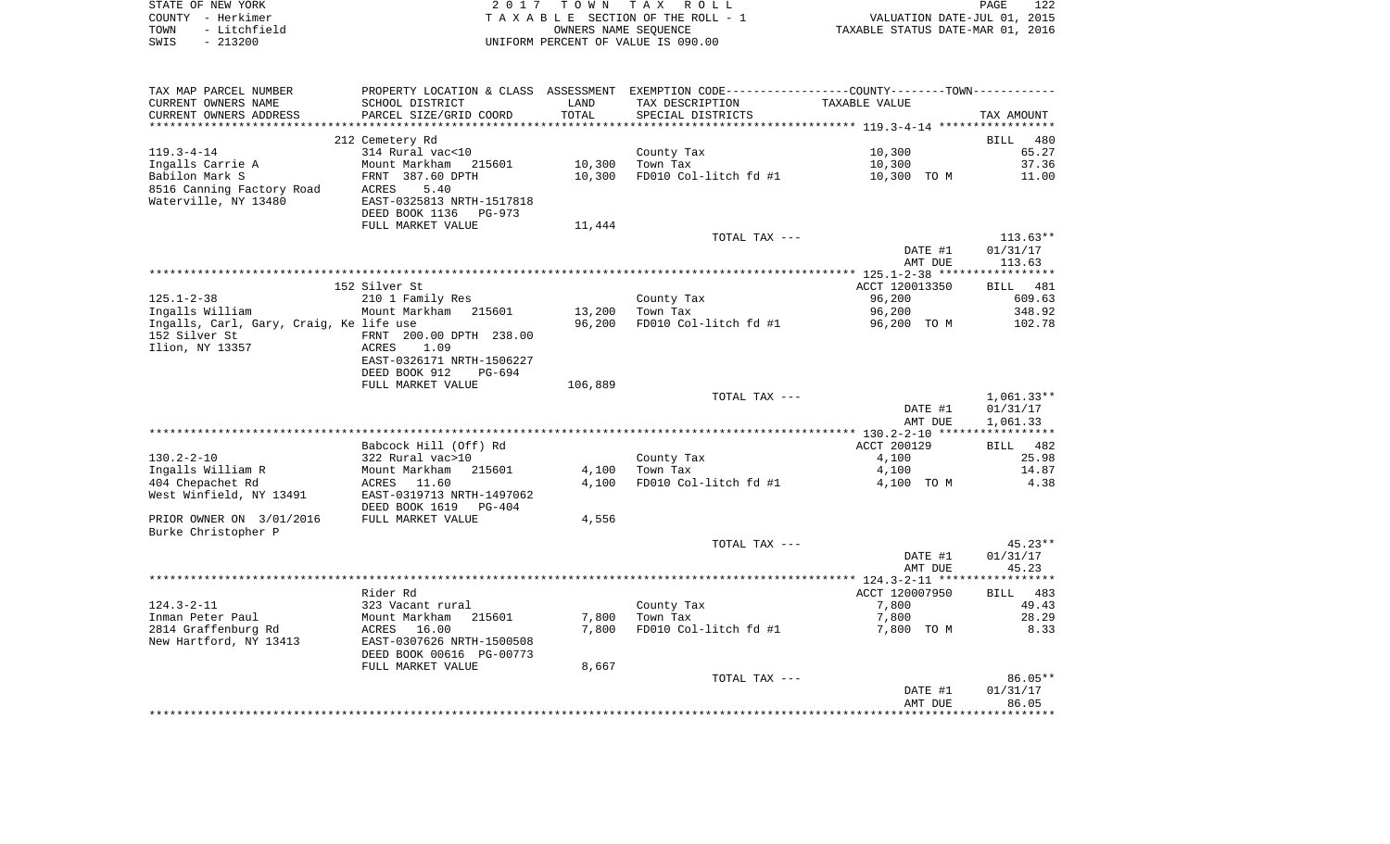| STATE OF NEW YORK    | 2017 TOWN TAX ROLL                 | 122<br>PAGE                      |
|----------------------|------------------------------------|----------------------------------|
| COUNTY - Herkimer    | TAXABLE SECTION OF THE ROLL - 1    | VALUATION DATE-JUL 01, 2015      |
| - Litchfield<br>TOWN | OWNERS NAME SEOUENCE               | TAXABLE STATUS DATE-MAR 01, 2016 |
| $-213200$<br>SWIS    | UNIFORM PERCENT OF VALUE IS 090.00 |                                  |

| TAX MAP PARCEL NUMBER                   | PROPERTY LOCATION & CLASS ASSESSMENT EXEMPTION CODE----------------COUNTY-------TOWN----------- |         |                       |                |                    |
|-----------------------------------------|-------------------------------------------------------------------------------------------------|---------|-----------------------|----------------|--------------------|
| CURRENT OWNERS NAME                     | SCHOOL DISTRICT                                                                                 | LAND    | TAX DESCRIPTION       | TAXABLE VALUE  |                    |
| CURRENT OWNERS ADDRESS                  | PARCEL SIZE/GRID COORD                                                                          | TOTAL   | SPECIAL DISTRICTS     |                | TAX AMOUNT         |
|                                         |                                                                                                 |         |                       |                |                    |
|                                         | 212 Cemetery Rd                                                                                 |         |                       |                | <b>BILL</b><br>480 |
| $119.3 - 4 - 14$                        | 314 Rural vac<10                                                                                |         | County Tax            | 10,300         | 65.27              |
| Ingalls Carrie A                        | Mount Markham<br>215601                                                                         | 10,300  | Town Tax              | 10,300         | 37.36              |
|                                         |                                                                                                 |         |                       |                |                    |
|                                         |                                                                                                 | 10,300  | FD010 Col-litch fd #1 | 10,300 TO M    | 11.00              |
|                                         | Babilon Mark S<br>8516 Canning Factory Road ACRES 5.40<br>EAST-0325813 NRTH-1517818             |         |                       |                |                    |
|                                         |                                                                                                 |         |                       |                |                    |
|                                         | DEED BOOK 1136<br>PG-973                                                                        |         |                       |                |                    |
|                                         | FULL MARKET VALUE                                                                               | 11,444  |                       |                |                    |
|                                         |                                                                                                 |         | TOTAL TAX ---         |                | $113.63**$         |
|                                         |                                                                                                 |         |                       | DATE #1        | 01/31/17           |
|                                         |                                                                                                 |         |                       | AMT DUE        | 113.63             |
|                                         |                                                                                                 |         |                       |                |                    |
|                                         | 152 Silver St                                                                                   |         |                       | ACCT 120013350 | BILL 481           |
| $125.1 - 2 - 38$                        | 210 1 Family Res                                                                                |         | County Tax            | 96,200         | 609.63             |
| Ingalls William                         | Mount Markham 215601                                                                            | 13,200  | Town Tax              | 96,200         | 348.92             |
| Ingalls, Carl, Gary, Craig, Ke life use |                                                                                                 | 96,200  | FD010 Col-litch fd #1 | 96,200 TO M    | 102.78             |
| 152 Silver St                           | FRNT 200.00 DPTH 238.00                                                                         |         |                       |                |                    |
| Ilion, NY 13357                         | ACRES<br>1.09                                                                                   |         |                       |                |                    |
|                                         |                                                                                                 |         |                       |                |                    |
|                                         | EAST-0326171 NRTH-1506227                                                                       |         |                       |                |                    |
|                                         | DEED BOOK 912<br>PG-694                                                                         |         |                       |                |                    |
|                                         | FULL MARKET VALUE                                                                               | 106,889 |                       |                |                    |
|                                         |                                                                                                 |         | TOTAL TAX ---         |                | $1,061.33**$       |
|                                         |                                                                                                 |         |                       | DATE #1        | 01/31/17           |
|                                         |                                                                                                 |         |                       | AMT DUE        | 1,061.33           |
|                                         |                                                                                                 |         |                       |                |                    |
|                                         | Babcock Hill (Off) Rd                                                                           |         |                       | ACCT 200129    | BILL 482           |
| $130.2 - 2 - 10$                        | 322 Rural vac>10                                                                                |         | County Tax            | 4,100          | 25.98              |
| Ingalls William R                       | Mount Markham<br>215601                                                                         | 4,100   | Town Tax              | 4,100          | 14.87              |
| 404 Chepachet Rd                        | ACRES 11.60                                                                                     | 4,100   | FD010 Col-litch fd #1 | 4,100 TO M     | 4.38               |
| West Winfield, NY 13491                 | EAST-0319713 NRTH-1497062                                                                       |         |                       |                |                    |
|                                         | DEED BOOK 1619<br>PG-404                                                                        |         |                       |                |                    |
| PRIOR OWNER ON 3/01/2016                | FULL MARKET VALUE                                                                               | 4,556   |                       |                |                    |
|                                         |                                                                                                 |         |                       |                |                    |
| Burke Christopher P                     |                                                                                                 |         |                       |                |                    |
|                                         |                                                                                                 |         | TOTAL TAX ---         |                | $45.23**$          |
|                                         |                                                                                                 |         |                       | DATE #1        | 01/31/17           |
|                                         |                                                                                                 |         |                       | AMT DUE        | 45.23              |
|                                         |                                                                                                 |         |                       |                |                    |
|                                         | Rider Rd                                                                                        |         |                       | ACCT 120007950 | BILL 483           |
| $124.3 - 2 - 11$                        | 323 Vacant rural                                                                                |         | County Tax            | 7,800          | 49.43              |
| Inman Peter Paul                        | Mount Markham<br>ACRES    16.00<br>215601                                                       | 7,800   | Town Tax              | 7,800          | 28.29              |
| 2814 Graffenburg Rd                     |                                                                                                 | 7,800   | FD010 Col-litch fd #1 | 7,800 TO M     | 8.33               |
| New Hartford, NY 13413                  | EAST-0307626 NRTH-1500508                                                                       |         |                       |                |                    |
|                                         | DEED BOOK 00616 PG-00773                                                                        |         |                       |                |                    |
|                                         | FULL MARKET VALUE                                                                               | 8,667   |                       |                |                    |
|                                         |                                                                                                 |         | TOTAL TAX ---         |                | 86.05**            |
|                                         |                                                                                                 |         |                       |                |                    |
|                                         |                                                                                                 |         |                       | DATE #1        | 01/31/17           |
|                                         |                                                                                                 |         |                       | AMT DUE        | 86.05              |
|                                         |                                                                                                 |         |                       |                |                    |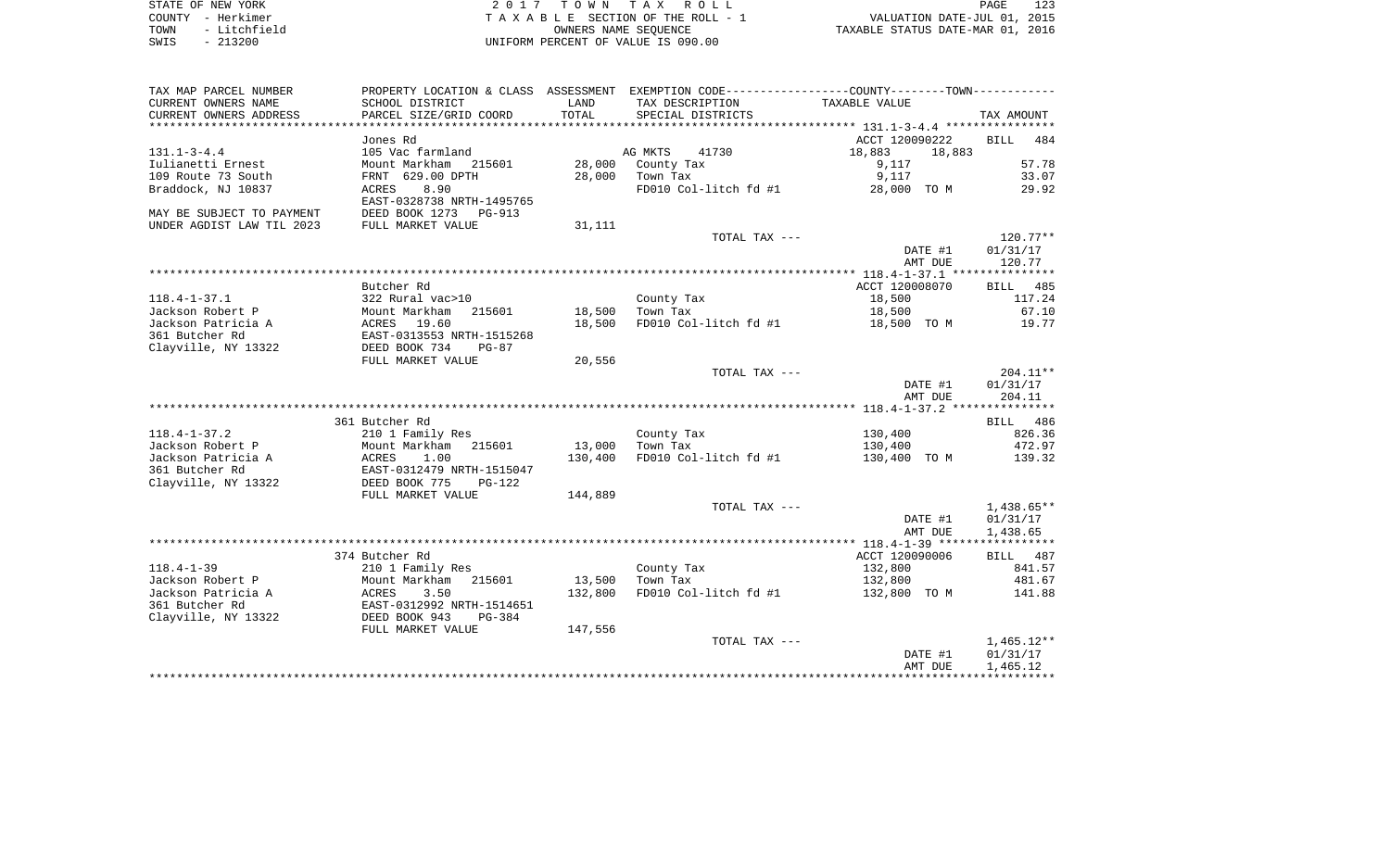| STATE OF NEW YORK    | 2017 TOWN TAX ROLL                 | 123<br>PAGE                      |
|----------------------|------------------------------------|----------------------------------|
| COUNTY - Herkimer    | TAXABLE SECTION OF THE ROLL - 1    | VALUATION DATE-JUL 01, 2015      |
| - Litchfield<br>TOWN | OWNERS NAME SEOUENCE               | TAXABLE STATUS DATE-MAR 01, 2016 |
| $-213200$<br>SWIS    | UNIFORM PERCENT OF VALUE IS 090.00 |                                  |

| TAX MAP PARCEL NUMBER     |                                                        |         | PROPERTY LOCATION & CLASS ASSESSMENT EXEMPTION CODE----------------COUNTY--------TOWN----------- |                  |                        |
|---------------------------|--------------------------------------------------------|---------|--------------------------------------------------------------------------------------------------|------------------|------------------------|
| CURRENT OWNERS NAME       | SCHOOL DISTRICT                                        | LAND    | TAX DESCRIPTION                                                                                  | TAXABLE VALUE    |                        |
| CURRENT OWNERS ADDRESS    | PARCEL SIZE/GRID COORD                                 | TOTAL   | SPECIAL DISTRICTS                                                                                |                  | TAX AMOUNT             |
|                           |                                                        |         |                                                                                                  |                  |                        |
|                           | Jones Rd                                               |         |                                                                                                  | ACCT 120090222   | BILL<br>484            |
| $131.1 - 3 - 4.4$         | 105 Vac farmland                                       |         | AG MKTS<br>41730                                                                                 | 18,883<br>18,883 |                        |
| Iulianetti Ernest         | Mount Markham 215601                                   | 28,000  | County Tax                                                                                       | 9,117            | 57.78                  |
| 109 Route 73 South        | FRNT 629.00 DPTH                                       | 28,000  | Town Tax                                                                                         | 9,117            | 33.07                  |
| Braddock, NJ 10837        | 8.90<br>ACRES<br>EAST-0328738 NRTH-1495765             |         | FD010 Col-litch fd #1                                                                            | 28,000 TO M      | 29.92                  |
| MAY BE SUBJECT TO PAYMENT | DEED BOOK 1273 PG-913                                  |         |                                                                                                  |                  |                        |
| UNDER AGDIST LAW TIL 2023 | FULL MARKET VALUE                                      | 31,111  |                                                                                                  |                  |                        |
|                           |                                                        |         | TOTAL TAX ---                                                                                    |                  | $120.77***$            |
|                           |                                                        |         |                                                                                                  | DATE #1          | 01/31/17               |
|                           |                                                        |         |                                                                                                  | AMT DUE          | 120.77                 |
|                           |                                                        |         |                                                                                                  |                  |                        |
|                           | Butcher Rd                                             |         |                                                                                                  | ACCT 120008070   | BILL 485               |
| $118.4 - 1 - 37.1$        | 322 Rural vac>10                                       |         | County Tax                                                                                       | 18,500           | 117.24                 |
| Jackson Robert P          | Mount Markham<br>215601                                | 18,500  | Town Tax                                                                                         | 18,500           | 67.10                  |
| Jackson Patricia A        | ACRES 19.60                                            | 18,500  | FD010 Col-litch fd #1                                                                            | 18,500 TO M      | 19.77                  |
| 361 Butcher Rd            | EAST-0313553 NRTH-1515268                              |         |                                                                                                  |                  |                        |
| Clayville, NY 13322       | DEED BOOK 734<br>$PG-87$                               |         |                                                                                                  |                  |                        |
|                           | FULL MARKET VALUE                                      | 20,556  |                                                                                                  |                  |                        |
|                           |                                                        |         | TOTAL TAX ---                                                                                    |                  | $204.11**$             |
|                           |                                                        |         |                                                                                                  | DATE #1          | 01/31/17               |
|                           |                                                        |         |                                                                                                  | AMT DUE          | 204.11                 |
|                           |                                                        |         |                                                                                                  |                  |                        |
|                           | 361 Butcher Rd                                         |         |                                                                                                  |                  | BILL 486               |
| $118.4 - 1 - 37.2$        | 210 1 Family Res                                       |         | County Tax                                                                                       | 130,400          | 826.36                 |
| Jackson Robert P          | Mount Markham<br>215601                                | 13,000  | Town Tax                                                                                         | 130,400          | 472.97                 |
| Jackson Patricia A        | 1.00<br>ACRES                                          | 130,400 | FD010 Col-litch fd #1                                                                            | 130,400 TO M     | 139.32                 |
| 361 Butcher Rd            | EAST-0312479 NRTH-1515047<br>DEED BOOK 775<br>$PG-122$ |         |                                                                                                  |                  |                        |
| Clayville, NY 13322       |                                                        |         |                                                                                                  |                  |                        |
|                           | FULL MARKET VALUE                                      | 144,889 |                                                                                                  |                  |                        |
|                           |                                                        |         | TOTAL TAX ---                                                                                    | DATE #1          | 1,438.65**<br>01/31/17 |
|                           |                                                        |         |                                                                                                  |                  |                        |
|                           |                                                        |         |                                                                                                  | AMT DUE          | 1,438.65               |
|                           | 374 Butcher Rd                                         |         |                                                                                                  | ACCT 120090006   | BILL 487               |
| $118.4 - 1 - 39$          | 210 1 Family Res                                       |         | County Tax                                                                                       | 132,800          | 841.57                 |
| Jackson Robert P          | Mount Markham<br>215601                                | 13,500  | Town Tax                                                                                         | 132,800          | 481.67                 |
| Jackson Patricia A        | ACRES<br>3.50                                          | 132,800 | FD010 Col-litch fd #1                                                                            | 132,800 TO M     | 141.88                 |
| 361 Butcher Rd            | EAST-0312992 NRTH-1514651                              |         |                                                                                                  |                  |                        |
| Clayville, NY 13322       | DEED BOOK 943<br>$PG-384$                              |         |                                                                                                  |                  |                        |
|                           | FULL MARKET VALUE                                      | 147,556 |                                                                                                  |                  |                        |
|                           |                                                        |         | TOTAL TAX ---                                                                                    |                  | $1,465.12**$           |
|                           |                                                        |         |                                                                                                  | DATE #1          | 01/31/17               |
|                           |                                                        |         |                                                                                                  | AMT DUE          | 1,465.12               |
|                           |                                                        |         |                                                                                                  |                  |                        |
|                           |                                                        |         |                                                                                                  |                  |                        |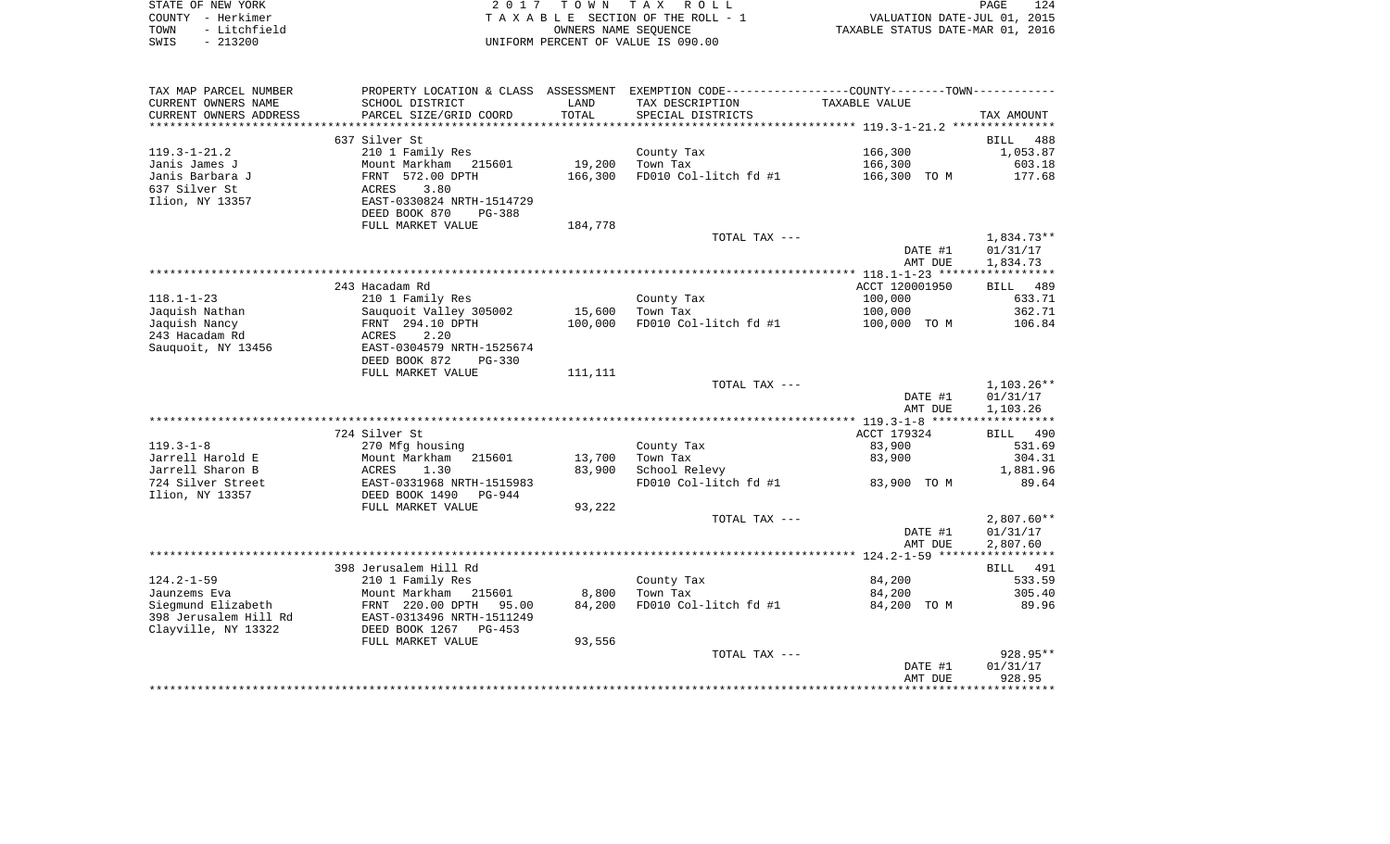|      | STATE OF NEW YORK | 2017 TOWN TAX ROLL                 | 124<br>PAGE                      |
|------|-------------------|------------------------------------|----------------------------------|
|      | COUNTY - Herkimer | TAXABLE SECTION OF THE ROLL - 1    | VALUATION DATE-JUL 01, 2015      |
| TOWN | - Litchfield      | OWNERS NAME SEOUENCE               | TAXABLE STATUS DATE-MAR 01, 2016 |
| SWIS | $-213200$         | UNIFORM PERCENT OF VALUE IS 090.00 |                                  |

| TAX MAP PARCEL NUMBER            |                                            |         | PROPERTY LOCATION & CLASS ASSESSMENT EXEMPTION CODE---------------COUNTY-------TOWN---------- |                  |                          |
|----------------------------------|--------------------------------------------|---------|-----------------------------------------------------------------------------------------------|------------------|--------------------------|
| CURRENT OWNERS NAME              | SCHOOL DISTRICT                            | LAND    | TAX DESCRIPTION                                                                               | TAXABLE VALUE    |                          |
| CURRENT OWNERS ADDRESS           | PARCEL SIZE/GRID COORD                     | TOTAL   | SPECIAL DISTRICTS                                                                             |                  | TAX AMOUNT               |
| *********************            |                                            |         |                                                                                               |                  |                          |
|                                  | 637 Silver St                              |         |                                                                                               |                  | BILL<br>488              |
| $119.3 - 1 - 21.2$               | 210 1 Family Res                           |         | County Tax                                                                                    | 166,300          | 1,053.87                 |
| Janis James J                    | Mount Markham 215601                       | 19,200  | Town Tax                                                                                      | 166,300          | 603.18                   |
| Janis Barbara J                  | FRNT 572.00 DPTH                           | 166,300 | FD010 Col-litch fd #1                                                                         | 166,300 TO M     | 177.68                   |
| 637 Silver St<br>Ilion, NY 13357 | ACRES<br>3.80<br>EAST-0330824 NRTH-1514729 |         |                                                                                               |                  |                          |
|                                  | DEED BOOK 870<br>PG-388                    |         |                                                                                               |                  |                          |
|                                  | FULL MARKET VALUE                          | 184,778 |                                                                                               |                  |                          |
|                                  |                                            |         | TOTAL TAX ---                                                                                 |                  | 1,834.73**               |
|                                  |                                            |         |                                                                                               | DATE #1          | 01/31/17                 |
|                                  |                                            |         |                                                                                               | AMT DUE          | 1,834.73                 |
|                                  |                                            |         |                                                                                               |                  |                          |
|                                  | 243 Hacadam Rd                             |         |                                                                                               | ACCT 120001950   | BILL 489                 |
| $118.1 - 1 - 23$                 | 210 1 Family Res                           |         | County Tax                                                                                    | 100,000          | 633.71                   |
| Jaquish Nathan                   | Sauquoit Valley 305002                     | 15,600  | Town Tax                                                                                      | 100,000          | 362.71                   |
| Jaquish Nancy                    | FRNT 294.10 DPTH                           | 100,000 | FD010 Col-litch fd #1                                                                         | 100,000 TO M     | 106.84                   |
| 243 Hacadam Rd                   | 2.20<br>ACRES                              |         |                                                                                               |                  |                          |
| Sauquoit, NY 13456               | EAST-0304579 NRTH-1525674                  |         |                                                                                               |                  |                          |
|                                  | DEED BOOK 872<br>$PG-330$                  |         |                                                                                               |                  |                          |
|                                  | FULL MARKET VALUE                          | 111,111 |                                                                                               |                  |                          |
|                                  |                                            |         | TOTAL TAX ---                                                                                 | DATE #1          | $1,103.26**$<br>01/31/17 |
|                                  |                                            |         |                                                                                               | AMT DUE          | 1,103.26                 |
|                                  |                                            |         |                                                                                               |                  |                          |
|                                  | 724 Silver St                              |         |                                                                                               | ACCT 179324      | BILL 490                 |
| $119.3 - 1 - 8$                  | 270 Mfg housing                            |         | County Tax                                                                                    | 83,900           | 531.69                   |
| Jarrell Harold E                 | Mount Markham<br>215601                    | 13,700  | Town Tax                                                                                      | 83,900           | 304.31                   |
| Jarrell Sharon B                 | ACRES<br>1.30                              | 83,900  | School Relevy                                                                                 |                  | 1,881.96                 |
| 724 Silver Street                | EAST-0331968 NRTH-1515983                  |         | FD010 Col-litch fd #1                                                                         | 83,900 TO M      | 89.64                    |
| Ilion, NY 13357                  | DEED BOOK 1490<br>PG-944                   |         |                                                                                               |                  |                          |
|                                  | FULL MARKET VALUE                          | 93,222  |                                                                                               |                  |                          |
|                                  |                                            |         | TOTAL TAX ---                                                                                 |                  | $2,807.60**$             |
|                                  |                                            |         |                                                                                               | DATE #1          | 01/31/17                 |
|                                  |                                            |         |                                                                                               | AMT DUE          | 2,807.60                 |
|                                  |                                            |         |                                                                                               |                  |                          |
|                                  | 398 Jerusalem Hill Rd                      |         |                                                                                               |                  | BILL 491                 |
| $124.2 - 1 - 59$<br>Jaunzems Eva | 210 1 Family Res<br>Mount Markham 215601   | 8,800   | County Tax<br>Town Tax                                                                        | 84,200<br>84,200 | 533.59<br>305.40         |
| Siegmund Elizabeth               | FRNT 220.00 DPTH<br>95.00                  | 84,200  | FD010 Col-litch fd #1                                                                         | 84,200 TO M      | 89.96                    |
| 398 Jerusalem Hill Rd            | EAST-0313496 NRTH-1511249                  |         |                                                                                               |                  |                          |
| Clayville, NY 13322              | DEED BOOK 1267<br>PG-453                   |         |                                                                                               |                  |                          |
|                                  | FULL MARKET VALUE                          | 93,556  |                                                                                               |                  |                          |
|                                  |                                            |         | TOTAL TAX ---                                                                                 |                  | 928.95**                 |
|                                  |                                            |         |                                                                                               | DATE #1          | 01/31/17                 |
|                                  |                                            |         |                                                                                               | AMT DUE          | 928.95                   |
|                                  |                                            |         |                                                                                               |                  |                          |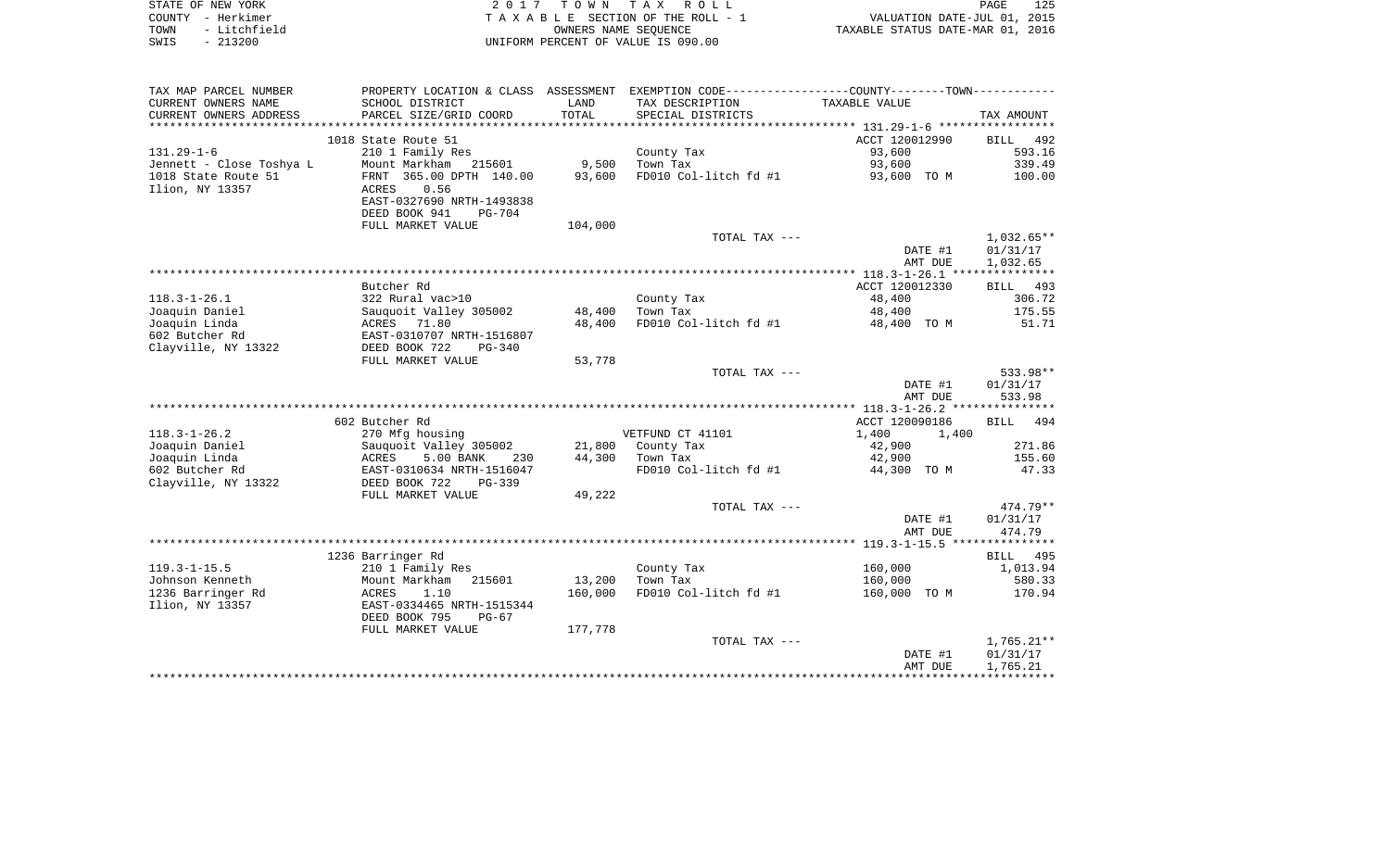| STATE OF NEW YORK |              | 2017 TOWN TAX ROLL                 | 125<br>PAGE                      |
|-------------------|--------------|------------------------------------|----------------------------------|
| COUNTY - Herkimer |              | TAXABLE SECTION OF THE ROLL - 1    | VALUATION DATE-JUL 01, 2015      |
| TOWN              | - Litchfield | OWNERS NAME SEOUENCE               | TAXABLE STATUS DATE-MAR 01, 2016 |
| SWIS              | - 213200     | UNIFORM PERCENT OF VALUE IS 090.00 |                                  |

| TAX MAP PARCEL NUMBER           | PROPERTY LOCATION & CLASS ASSESSMENT EXEMPTION CODE---------------COUNTY-------TOWN---------- |                  |                                                                     |                |                 |
|---------------------------------|-----------------------------------------------------------------------------------------------|------------------|---------------------------------------------------------------------|----------------|-----------------|
| CURRENT OWNERS NAME             | SCHOOL DISTRICT                                                                               | LAND             | TAX DESCRIPTION                                                     | TAXABLE VALUE  |                 |
| CURRENT OWNERS ADDRESS          | PARCEL SIZE/GRID COORD                                                                        | TOTAL            | SPECIAL DISTRICTS                                                   |                | TAX AMOUNT      |
|                                 | ************************                                                                      | **********       | ************************************** 131.29-1-6 ***************** |                |                 |
|                                 | 1018 State Route 51                                                                           |                  |                                                                     | ACCT 120012990 | BILL 492        |
| $131.29 - 1 - 6$                | 210 1 Family Res                                                                              |                  | County Tax                                                          | 93,600         | 593.16          |
| Jennett - Close Toshya L        | Mount Markham 215601                                                                          | 9,500            | Town Tax                                                            | 93,600         | 339.49          |
| 1018 State Route 51             | FRNT 365.00 DPTH 140.00                                                                       | 93,600           | FD010 Col-litch fd #1                                               | 93,600 TO M    | 100.00          |
| Ilion, NY 13357                 | 0.56<br>ACRES                                                                                 |                  |                                                                     |                |                 |
|                                 | EAST-0327690 NRTH-1493838                                                                     |                  |                                                                     |                |                 |
|                                 | DEED BOOK 941<br><b>PG-704</b>                                                                |                  |                                                                     |                |                 |
|                                 | FULL MARKET VALUE                                                                             | 104,000          |                                                                     |                |                 |
|                                 |                                                                                               |                  | TOTAL TAX ---                                                       |                | $1,032.65**$    |
|                                 |                                                                                               |                  |                                                                     | DATE #1        | 01/31/17        |
|                                 |                                                                                               |                  |                                                                     | AMT DUE        | 1,032.65        |
|                                 |                                                                                               |                  |                                                                     |                |                 |
|                                 | Butcher Rd                                                                                    |                  |                                                                     | ACCT 120012330 | BILL 493        |
| $118.3 - 1 - 26.1$              | 322 Rural vac>10                                                                              |                  | County Tax                                                          | 48,400         | 306.72          |
| Joaquin Daniel<br>Joaquin Linda | Sauquoit Valley 305002<br>ACRES<br>71.80                                                      | 48,400<br>48,400 | Town Tax<br>FD010 Col-litch fd #1                                   | 48,400         | 175.55<br>51.71 |
| 602 Butcher Rd                  | EAST-0310707 NRTH-1516807                                                                     |                  |                                                                     | 48,400 TO M    |                 |
| Clayville, NY 13322             | DEED BOOK 722<br><b>PG-340</b>                                                                |                  |                                                                     |                |                 |
|                                 | FULL MARKET VALUE                                                                             | 53,778           |                                                                     |                |                 |
|                                 |                                                                                               |                  | TOTAL TAX ---                                                       |                | 533.98**        |
|                                 |                                                                                               |                  |                                                                     | DATE #1        | 01/31/17        |
|                                 |                                                                                               |                  |                                                                     | AMT DUE        | 533.98          |
|                                 |                                                                                               |                  |                                                                     |                |                 |
|                                 | 602 Butcher Rd                                                                                |                  |                                                                     | ACCT 120090186 | BILL 494        |
| $118.3 - 1 - 26.2$              | 270 Mfg housing                                                                               |                  | VETFUND CT 41101                                                    | 1,400<br>1,400 |                 |
| Joaquin Daniel                  | Sauquoit Valley 305002                                                                        | 21,800           | County Tax                                                          | 42,900         | 271.86          |
| Joaquin Linda                   | 230<br>ACRES<br>5.00 BANK                                                                     | 44,300           | Town Tax                                                            | 42,900         | 155.60          |
| 602 Butcher Rd                  | EAST-0310634 NRTH-1516047                                                                     |                  | FD010 Col-litch fd #1                                               | 44,300 TO M    | 47.33           |
| Clayville, NY 13322             | DEED BOOK 722<br>$PG-339$                                                                     |                  |                                                                     |                |                 |
|                                 | FULL MARKET VALUE                                                                             | 49,222           |                                                                     |                |                 |
|                                 |                                                                                               |                  | TOTAL TAX ---                                                       |                | 474.79**        |
|                                 |                                                                                               |                  |                                                                     | DATE #1        | 01/31/17        |
|                                 |                                                                                               |                  |                                                                     | AMT DUE        | 474.79          |
|                                 |                                                                                               |                  |                                                                     |                |                 |
|                                 | 1236 Barringer Rd                                                                             |                  |                                                                     |                | BILL 495        |
| $119.3 - 1 - 15.5$              | 210 1 Family Res                                                                              |                  | County Tax                                                          | 160,000        | 1,013.94        |
| Johnson Kenneth                 | Mount Markham<br>215601                                                                       | 13,200           | Town Tax                                                            | 160,000        | 580.33          |
| 1236 Barringer Rd               | ACRES<br>1.10                                                                                 | 160,000          | FD010 Col-litch fd #1                                               | 160,000 TO M   | 170.94          |
| Ilion, NY 13357                 | EAST-0334465 NRTH-1515344                                                                     |                  |                                                                     |                |                 |
|                                 | DEED BOOK 795<br>$PG-67$                                                                      |                  |                                                                     |                |                 |
|                                 | FULL MARKET VALUE                                                                             | 177,778          |                                                                     |                | $1,765.21**$    |
|                                 |                                                                                               |                  | TOTAL TAX ---                                                       | DATE #1        | 01/31/17        |
|                                 |                                                                                               |                  |                                                                     | AMT DUE        | 1,765.21        |
|                                 |                                                                                               |                  |                                                                     |                |                 |
|                                 |                                                                                               |                  |                                                                     |                |                 |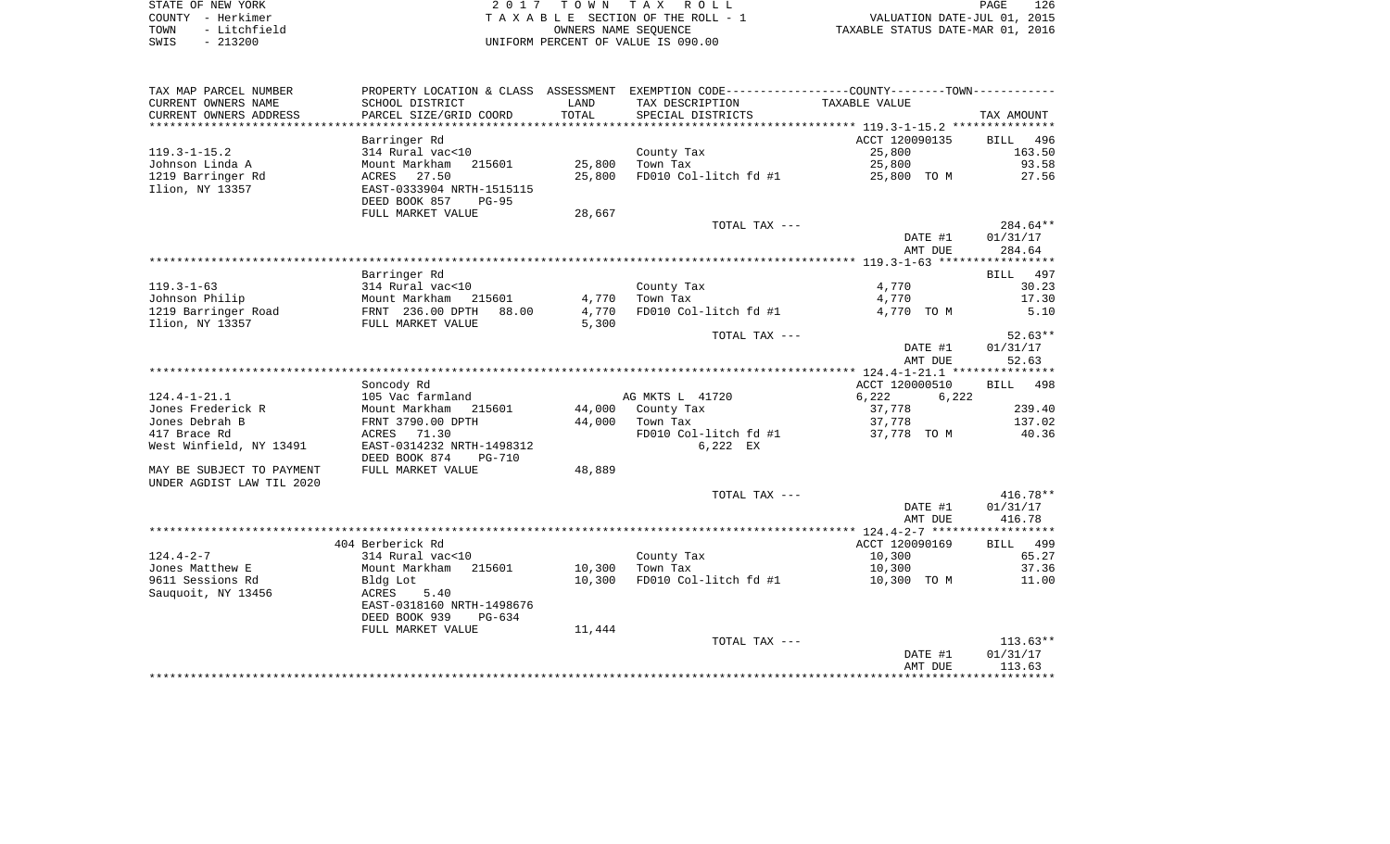|      | STATE OF NEW YORK | 2017 TOWN TAX ROLL                 | PAGE                             | 126 |
|------|-------------------|------------------------------------|----------------------------------|-----|
|      | COUNTY - Herkimer | TAXABLE SECTION OF THE ROLL - 1    | VALUATION DATE-JUL 01, 2015      |     |
| TOWN | - Litchfield      | OWNERS NAME SEOUENCE               | TAXABLE STATUS DATE-MAR 01, 2016 |     |
| SWIS | - 213200          | UNIFORM PERCENT OF VALUE IS 090.00 |                                  |     |

| TAX MAP PARCEL NUMBER                  | PROPERTY LOCATION & CLASS ASSESSMENT           |                | EXEMPTION CODE-----------------COUNTY-------TOWN----------- |                |                    |
|----------------------------------------|------------------------------------------------|----------------|-------------------------------------------------------------|----------------|--------------------|
| CURRENT OWNERS NAME                    | SCHOOL DISTRICT                                | LAND           | TAX DESCRIPTION                                             | TAXABLE VALUE  |                    |
| CURRENT OWNERS ADDRESS                 | PARCEL SIZE/GRID COORD                         | TOTAL          | SPECIAL DISTRICTS                                           |                | TAX AMOUNT         |
| *************************              |                                                |                |                                                             |                |                    |
|                                        | Barringer Rd                                   |                |                                                             | ACCT 120090135 | 496<br>BILL        |
| $119.3 - 1 - 15.2$                     | 314 Rural vac<10                               |                | County Tax                                                  | 25,800         | 163.50             |
| Johnson Linda A                        | Mount Markham<br>215601                        | 25,800         | Town Tax                                                    | 25,800         | 93.58              |
| 1219 Barringer Rd                      | ACRES<br>27.50                                 | 25,800         | FD010 Col-litch fd #1                                       | 25,800 TO M    | 27.56              |
| Ilion, NY 13357                        | EAST-0333904 NRTH-1515115                      |                |                                                             |                |                    |
|                                        | DEED BOOK 857<br>$PG-95$                       |                |                                                             |                |                    |
|                                        | FULL MARKET VALUE                              | 28,667         |                                                             |                |                    |
|                                        |                                                |                | TOTAL TAX ---                                               |                | 284.64**           |
|                                        |                                                |                |                                                             | DATE #1        | 01/31/17           |
|                                        |                                                |                |                                                             | AMT DUE        | 284.64             |
|                                        |                                                |                |                                                             |                |                    |
|                                        | Barringer Rd                                   |                |                                                             |                | BILL 497           |
| $119.3 - 1 - 63$                       | 314 Rural vac<10                               |                | County Tax                                                  | 4,770          | 30.23              |
| Johnson Philip                         | Mount Markham<br>215601                        | 4,770          | Town Tax                                                    | 4,770          | 17.30              |
| 1219 Barringer Road<br>Ilion, NY 13357 | FRNT 236.00 DPTH<br>88.00<br>FULL MARKET VALUE | 4,770<br>5,300 | FD010 Col-litch fd #1                                       | 4,770 TO M     | 5.10               |
|                                        |                                                |                | TOTAL TAX ---                                               |                | $52.63**$          |
|                                        |                                                |                |                                                             | DATE #1        | 01/31/17           |
|                                        |                                                |                |                                                             | AMT DUE        | 52.63              |
|                                        |                                                |                |                                                             |                |                    |
|                                        | Soncody Rd                                     |                |                                                             | ACCT 120000510 | <b>BILL</b><br>498 |
| $124.4 - 1 - 21.1$                     | 105 Vac farmland                               |                | AG MKTS L 41720                                             | 6,222<br>6,222 |                    |
| Jones Frederick R                      | Mount Markham<br>215601                        | 44,000         | County Tax                                                  | 37,778         | 239.40             |
| Jones Debrah B                         | FRNT 3790.00 DPTH                              | 44,000         | Town Tax                                                    | 37,778         | 137.02             |
| 417 Brace Rd                           | ACRES 71.30                                    |                | FD010 Col-litch fd #1                                       | 37,778 TO M    | 40.36              |
| West Winfield, NY 13491                | EAST-0314232 NRTH-1498312                      |                | 6,222 EX                                                    |                |                    |
|                                        | DEED BOOK 874<br><b>PG-710</b>                 |                |                                                             |                |                    |
| MAY BE SUBJECT TO PAYMENT              | FULL MARKET VALUE                              | 48,889         |                                                             |                |                    |
| UNDER AGDIST LAW TIL 2020              |                                                |                |                                                             |                |                    |
|                                        |                                                |                | TOTAL TAX ---                                               |                | $416.78**$         |
|                                        |                                                |                |                                                             | DATE #1        | 01/31/17           |
|                                        |                                                |                |                                                             | AMT DUE        | 416.78             |
|                                        |                                                |                |                                                             |                |                    |
|                                        | 404 Berberick Rd                               |                |                                                             | ACCT 120090169 | BILL 499           |
| $124.4 - 2 - 7$                        | 314 Rural vac<10                               |                | County Tax                                                  | 10,300         | 65.27              |
| Jones Matthew E                        | Mount Markham<br>215601                        | 10,300         | Town Tax                                                    | 10,300         | 37.36              |
| 9611 Sessions Rd                       | Bldg Lot                                       | 10,300         | FD010 Col-litch fd #1                                       | 10,300 TO M    | 11.00              |
| Sauquoit, NY 13456                     | ACRES<br>5.40                                  |                |                                                             |                |                    |
|                                        | EAST-0318160 NRTH-1498676                      |                |                                                             |                |                    |
|                                        | DEED BOOK 939<br>$PG-634$<br>FULL MARKET VALUE | 11,444         |                                                             |                |                    |
|                                        |                                                |                | TOTAL TAX ---                                               |                | $113.63**$         |
|                                        |                                                |                |                                                             | DATE #1        | 01/31/17           |
|                                        |                                                |                |                                                             | AMT DUE        | 113.63             |
|                                        |                                                |                |                                                             |                | ************       |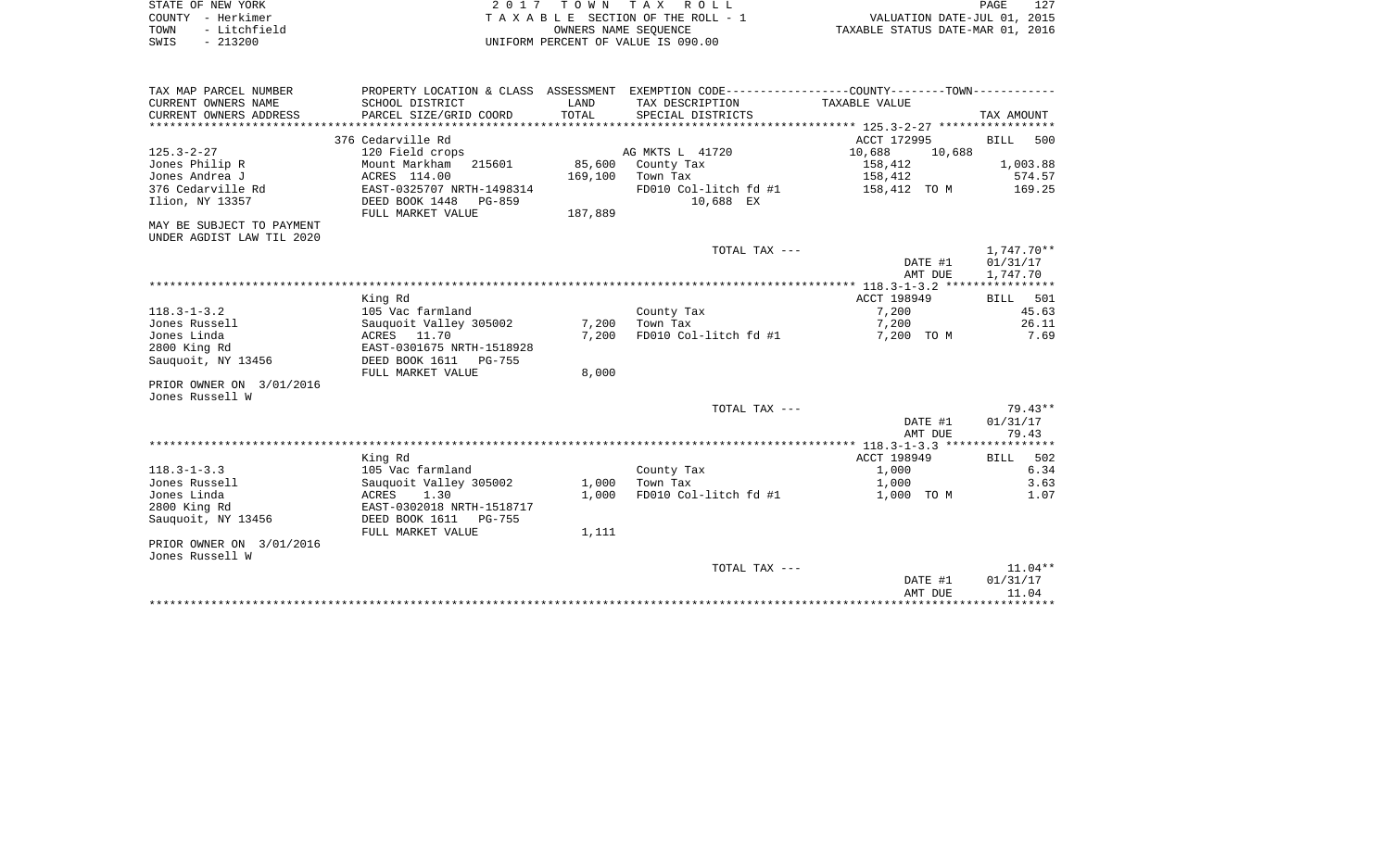| STATE OF NEW YORK |              | 2017 TOWN TAX ROLL                    | PAGE                             | 127 |
|-------------------|--------------|---------------------------------------|----------------------------------|-----|
| COUNTY - Herkimer |              | T A X A B L E SECTION OF THE ROLL - 1 | VALUATION DATE-JUL 01, 2015      |     |
| TOWN              | - Litchfield | OWNERS NAME SEOUENCE                  | TAXABLE STATUS DATE-MAR 01, 2016 |     |
| SWIS              | $-213200$    | UNIFORM PERCENT OF VALUE IS 090.00    |                                  |     |

| TAX MAP PARCEL NUMBER     | PROPERTY LOCATION & CLASS ASSESSMENT |         |                       | EXEMPTION CODE----------------COUNTY-------TOWN----------- |              |
|---------------------------|--------------------------------------|---------|-----------------------|------------------------------------------------------------|--------------|
| CURRENT OWNERS NAME       | SCHOOL DISTRICT                      | LAND    | TAX DESCRIPTION       | TAXABLE VALUE                                              |              |
| CURRENT OWNERS ADDRESS    | PARCEL SIZE/GRID COORD               | TOTAL   | SPECIAL DISTRICTS     |                                                            | TAX AMOUNT   |
|                           |                                      |         |                       |                                                            |              |
|                           | 376 Cedarville Rd                    |         |                       | ACCT 172995                                                | BILL<br>500  |
| $125.3 - 2 - 27$          | 120 Field crops                      |         | AG MKTS L 41720       | 10,688<br>10,688                                           |              |
| Jones Philip R            | Mount Markham<br>215601              | 85,600  | County Tax            | 158,412                                                    | 1,003.88     |
| Jones Andrea J            | ACRES 114.00                         | 169,100 | Town Tax              | 158,412                                                    | 574.57       |
| 376 Cedarville Rd         | EAST-0325707 NRTH-1498314            |         | FD010 Col-litch fd #1 | 158,412 TO M                                               | 169.25       |
| Ilion, NY 13357           | DEED BOOK 1448<br>$PG-859$           |         | 10,688 EX             |                                                            |              |
|                           | FULL MARKET VALUE                    | 187,889 |                       |                                                            |              |
| MAY BE SUBJECT TO PAYMENT |                                      |         |                       |                                                            |              |
| UNDER AGDIST LAW TIL 2020 |                                      |         |                       |                                                            |              |
|                           |                                      |         | TOTAL TAX ---         |                                                            | $1,747.70**$ |
|                           |                                      |         |                       | DATE #1                                                    | 01/31/17     |
|                           |                                      |         |                       | AMT DUE                                                    | 1,747.70     |
|                           |                                      |         |                       |                                                            |              |
|                           | King Rd                              |         |                       | ACCT 198949                                                | 501<br>BILL  |
| $118.3 - 1 - 3.2$         | 105 Vac farmland                     |         | County Tax            | 7,200                                                      | 45.63        |
| Jones Russell             | Sauquoit Valley 305002               | 7,200   | Town Tax              | 7,200                                                      | 26.11        |
| Jones Linda               | ACRES 11.70                          | 7,200   | FD010 Col-litch fd #1 | 7,200 TO M                                                 | 7.69         |
| 2800 King Rd              | EAST-0301675 NRTH-1518928            |         |                       |                                                            |              |
| Sauquoit, NY 13456        | DEED BOOK 1611<br>PG-755             |         |                       |                                                            |              |
|                           | FULL MARKET VALUE                    | 8,000   |                       |                                                            |              |
| PRIOR OWNER ON 3/01/2016  |                                      |         |                       |                                                            |              |
| Jones Russell W           |                                      |         |                       |                                                            |              |
|                           |                                      |         | TOTAL TAX ---         |                                                            | $79.43**$    |
|                           |                                      |         |                       | DATE #1                                                    | 01/31/17     |
|                           |                                      |         |                       | AMT DUE                                                    | 79.43        |
|                           |                                      |         |                       |                                                            |              |
|                           | King Rd                              |         |                       | ACCT 198949                                                | 502<br>BILL  |
| $118.3 - 1 - 3.3$         | 105 Vac farmland                     |         | County Tax            | 1,000                                                      | 6.34         |
| Jones Russell             | Sauquoit Valley 305002               | 1,000   | Town Tax              | 1,000                                                      | 3.63         |
| Jones Linda               | 1.30<br>ACRES                        | 1,000   | FD010 Col-litch fd #1 | 1,000 TO M                                                 | 1.07         |
| 2800 King Rd              | EAST-0302018 NRTH-1518717            |         |                       |                                                            |              |
| Sauquoit, NY 13456        | DEED BOOK 1611 PG-755                |         |                       |                                                            |              |
|                           | FULL MARKET VALUE                    | 1,111   |                       |                                                            |              |
| PRIOR OWNER ON 3/01/2016  |                                      |         |                       |                                                            |              |
| Jones Russell W           |                                      |         |                       |                                                            |              |
|                           |                                      |         | TOTAL TAX ---         |                                                            | $11.04**$    |
|                           |                                      |         |                       | DATE #1                                                    | 01/31/17     |
|                           |                                      |         |                       | AMT DUE                                                    | 11.04        |
|                           |                                      |         |                       |                                                            |              |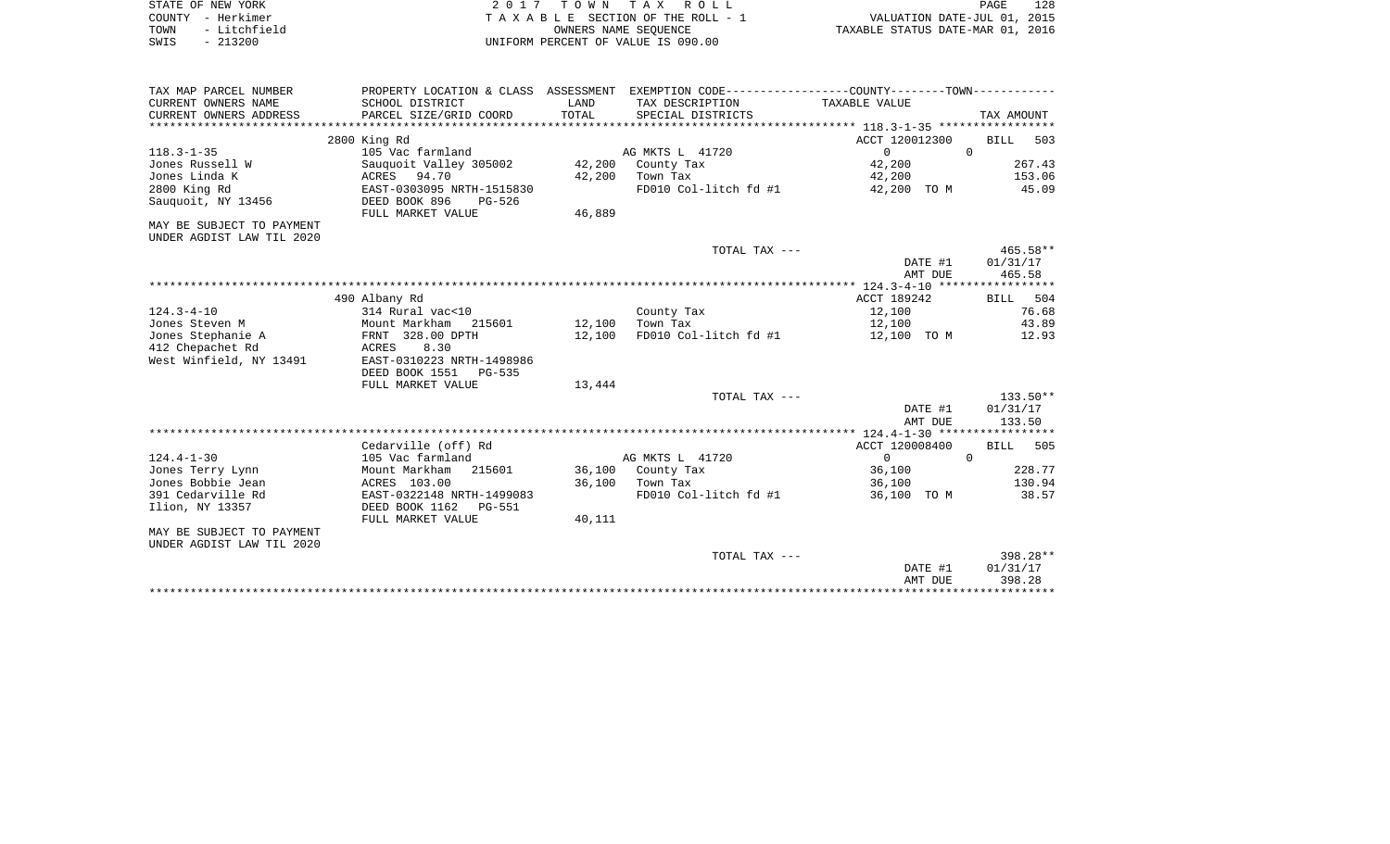|      | STATE OF NEW YORK | 2017 TOWN TAX ROLL                 | PAGE                             | 128 |
|------|-------------------|------------------------------------|----------------------------------|-----|
|      | COUNTY - Herkimer | TAXABLE SECTION OF THE ROLL - 1    | VALUATION DATE-JUL 01, 2015      |     |
| TOWN | - Litchfield      | OWNERS NAME SEOUENCE               | TAXABLE STATUS DATE-MAR 01, 2016 |     |
| SWIS | $-213200$         | UNIFORM PERCENT OF VALUE IS 090.00 |                                  |     |

| TAX MAP PARCEL NUMBER     | PROPERTY LOCATION & CLASS ASSESSMENT EXEMPTION CODE----------------COUNTY--------TOWN---------- |        |                       |                           |                    |
|---------------------------|-------------------------------------------------------------------------------------------------|--------|-----------------------|---------------------------|--------------------|
| CURRENT OWNERS NAME       | SCHOOL DISTRICT                                                                                 | LAND   | TAX DESCRIPTION       | TAXABLE VALUE             |                    |
| CURRENT OWNERS ADDRESS    | PARCEL SIZE/GRID COORD                                                                          | TOTAL  | SPECIAL DISTRICTS     |                           | TAX AMOUNT         |
|                           |                                                                                                 |        |                       |                           |                    |
|                           | 2800 King Rd                                                                                    |        |                       | ACCT 120012300            | <b>BILL</b><br>503 |
| $118.3 - 1 - 35$          | 105 Vac farmland                                                                                |        | AG MKTS L 41720       | $\Omega$                  | $\Omega$           |
| Jones Russell W           | Sauquoit Valley 305002                                                                          |        | 42,200 County Tax     | 42,200                    | 267.43             |
| Jones Linda K             | ACRES<br>94.70                                                                                  | 42,200 | Town Tax              | 42,200                    | 153.06             |
| 2800 King Rd              | EAST-0303095 NRTH-1515830                                                                       |        | FD010 Col-litch fd #1 | 42,200 TO M               | 45.09              |
| Sauguoit, NY 13456        | DEED BOOK 896<br>$PG-526$                                                                       |        |                       |                           |                    |
|                           | FULL MARKET VALUE                                                                               | 46,889 |                       |                           |                    |
| MAY BE SUBJECT TO PAYMENT |                                                                                                 |        |                       |                           |                    |
| UNDER AGDIST LAW TIL 2020 |                                                                                                 |        |                       |                           |                    |
|                           |                                                                                                 |        | TOTAL TAX ---         |                           | $465.58**$         |
|                           |                                                                                                 |        |                       | DATE #1                   | 01/31/17           |
|                           |                                                                                                 |        |                       | AMT DUE                   | 465.58             |
|                           |                                                                                                 |        |                       |                           |                    |
|                           | 490 Albany Rd                                                                                   |        |                       | ACCT 189242               | BILL 504           |
| $124.3 - 4 - 10$          | 314 Rural vac<10                                                                                |        | County Tax            | 12,100                    | 76.68              |
| Jones Steven M            | Mount Markham<br>215601                                                                         | 12,100 | Town Tax              | 12,100                    | 43.89              |
| Jones Stephanie A         | FRNT 328.00 DPTH                                                                                | 12,100 | FD010 Col-litch fd #1 | 12,100 TO M               | 12.93              |
| 412 Chepachet Rd          | 8.30<br>ACRES                                                                                   |        |                       |                           |                    |
| West Winfield, NY 13491   | EAST-0310223 NRTH-1498986                                                                       |        |                       |                           |                    |
|                           | DEED BOOK 1551 PG-535                                                                           |        |                       |                           |                    |
|                           | FULL MARKET VALUE                                                                               | 13,444 |                       |                           |                    |
|                           |                                                                                                 |        | TOTAL TAX ---         |                           | $133.50**$         |
|                           |                                                                                                 |        |                       | DATE #1                   | 01/31/17           |
|                           |                                                                                                 |        |                       | AMT DUE                   | 133.50             |
|                           |                                                                                                 |        |                       |                           | <b>BILL</b><br>505 |
| $124.4 - 1 - 30$          | Cedarville (off) Rd<br>105 Vac farmland                                                         |        | AG MKTS L 41720       | ACCT 120008400<br>$\circ$ | $\Omega$           |
| Jones Terry Lynn          | Mount Markham<br>215601                                                                         |        | 36,100 County Tax     | 36,100                    | 228.77             |
| Jones Bobbie Jean         | ACRES 103.00                                                                                    | 36,100 | Town Tax              | 36,100                    | 130.94             |
| 391 Cedarville Rd         | EAST-0322148 NRTH-1499083                                                                       |        | FD010 Col-litch fd #1 | 36,100 TO M               | 38.57              |
| Ilion, NY 13357           | DEED BOOK 1162<br>PG-551                                                                        |        |                       |                           |                    |
|                           | FULL MARKET VALUE                                                                               | 40,111 |                       |                           |                    |
| MAY BE SUBJECT TO PAYMENT |                                                                                                 |        |                       |                           |                    |
| UNDER AGDIST LAW TIL 2020 |                                                                                                 |        |                       |                           |                    |
|                           |                                                                                                 |        | TOTAL TAX ---         |                           | $398.28**$         |
|                           |                                                                                                 |        |                       | DATE #1                   | 01/31/17           |
|                           |                                                                                                 |        |                       | AMT DUE                   | 398.28             |
|                           |                                                                                                 |        |                       |                           |                    |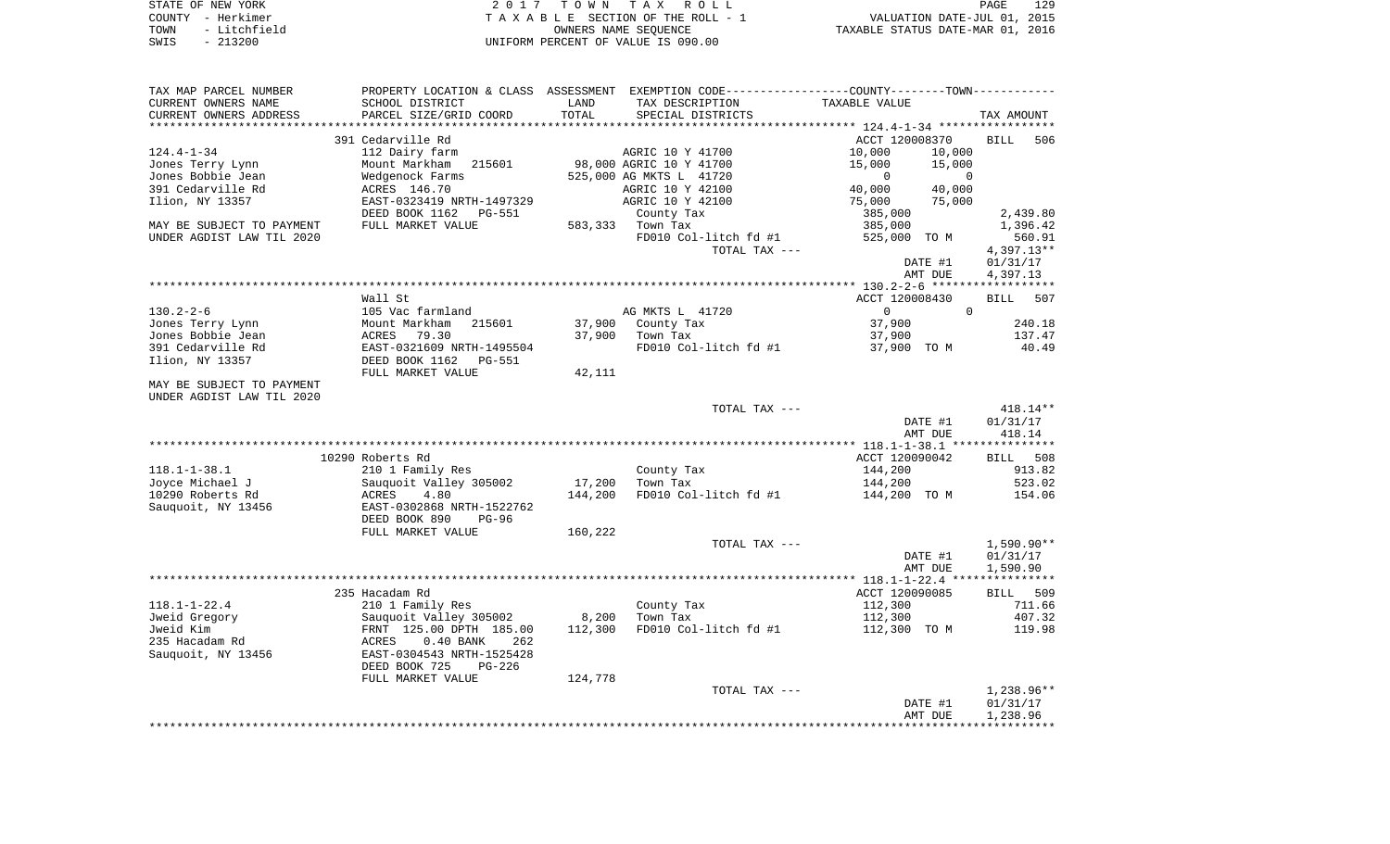|      | STATE OF NEW YORK | 2017 TOWN TAX ROLL                 | PAGE                             | 129 |
|------|-------------------|------------------------------------|----------------------------------|-----|
|      | COUNTY - Herkimer | TAXABLE SECTION OF THE ROLL - 1    | VALUATION DATE-JUL 01, 2015      |     |
| TOWN | - Litchfield      | OWNERS NAME SEOUENCE               | TAXABLE STATUS DATE-MAR 01, 2016 |     |
| SWIS | $-213200$         | UNIFORM PERCENT OF VALUE IS 090.00 |                                  |     |

| TAX MAP PARCEL NUMBER     |                             |         | PROPERTY LOCATION & CLASS ASSESSMENT EXEMPTION CODE---------------COUNTY-------TOWN---------- |                                         |              |
|---------------------------|-----------------------------|---------|-----------------------------------------------------------------------------------------------|-----------------------------------------|--------------|
| CURRENT OWNERS NAME       | SCHOOL DISTRICT             | LAND    | TAX DESCRIPTION                                                                               | TAXABLE VALUE                           |              |
| CURRENT OWNERS ADDRESS    | PARCEL SIZE/GRID COORD      | TOTAL   | SPECIAL DISTRICTS                                                                             |                                         | TAX AMOUNT   |
|                           |                             |         |                                                                                               |                                         |              |
|                           | 391 Cedarville Rd           |         |                                                                                               | ACCT 120008370                          | BILL<br>506  |
| $124.4 - 1 - 34$          | 112 Dairy farm              |         | AGRIC 10 Y 41700                                                                              | 10,000<br>10,000                        |              |
| Jones Terry Lynn          | Mount Markham 215601        |         | 98,000 AGRIC 10 Y 41700                                                                       | 15,000<br>15,000                        |              |
| Jones Bobbie Jean         | Wedgenock Farms             |         | 525,000 AG MKTS L 41720                                                                       | $\mathbf 0$<br>$\overline{\phantom{0}}$ |              |
| 391 Cedarville Rd         | ACRES 146.70                |         | AGRIC 10 Y 42100                                                                              | 40,000<br>40,000                        |              |
| Ilion, NY 13357           | EAST-0323419 NRTH-1497329   |         | AGRIC 10 Y 42100                                                                              | 75,000<br>75,000                        |              |
|                           | DEED BOOK 1162<br>PG-551    |         | County Tax                                                                                    | 385,000                                 | 2,439.80     |
| MAY BE SUBJECT TO PAYMENT | FULL MARKET VALUE           |         | 583,333 Town Tax                                                                              | 385,000                                 | 1,396.42     |
| UNDER AGDIST LAW TIL 2020 |                             |         | FD010 Col-litch fd #1                                                                         | 525,000 TO M                            | 560.91       |
|                           |                             |         | TOTAL TAX ---                                                                                 |                                         | $4,397.13**$ |
|                           |                             |         |                                                                                               | DATE #1                                 | 01/31/17     |
|                           |                             |         |                                                                                               | AMT DUE                                 | 4,397.13     |
|                           |                             |         |                                                                                               |                                         |              |
|                           |                             |         |                                                                                               |                                         |              |
|                           | Wall St                     |         |                                                                                               | ACCT 120008430                          | BILL 507     |
| $130.2 - 2 - 6$           | 105 Vac farmland<br>215601  |         | AG MKTS L 41720                                                                               | $\overline{0}$<br>$\Omega$              | 240.18       |
| Jones Terry Lynn          | Mount Markham               | 37,900  | County Tax                                                                                    | 37,900                                  |              |
| Jones Bobbie Jean         | 79.30<br>ACRES              | 37,900  | Town Tax                                                                                      | 37,900                                  | 137.47       |
| 391 Cedarville Rd         | EAST-0321609 NRTH-1495504   |         | FD010 Col-litch fd #1                                                                         | 37,900 TO M                             | 40.49        |
| Ilion, NY 13357           | DEED BOOK 1162<br>PG-551    |         |                                                                                               |                                         |              |
|                           | FULL MARKET VALUE           | 42,111  |                                                                                               |                                         |              |
| MAY BE SUBJECT TO PAYMENT |                             |         |                                                                                               |                                         |              |
| UNDER AGDIST LAW TIL 2020 |                             |         |                                                                                               |                                         |              |
|                           |                             |         | TOTAL TAX ---                                                                                 |                                         | $418.14**$   |
|                           |                             |         |                                                                                               | DATE #1                                 | 01/31/17     |
|                           |                             |         |                                                                                               | AMT DUE                                 | 418.14       |
|                           |                             |         |                                                                                               |                                         |              |
|                           | 10290 Roberts Rd            |         |                                                                                               | ACCT 120090042                          | BILL 508     |
| $118.1 - 1 - 38.1$        | 210 1 Family Res            |         | County Tax                                                                                    | 144,200                                 | 913.82       |
| Joyce Michael J           | Sauguoit Valley 305002      | 17,200  | Town Tax                                                                                      | 144,200                                 | 523.02       |
| 10290 Roberts Rd          | ACRES<br>4.80               | 144,200 | FD010 Col-litch fd #1                                                                         | 144,200 TO M                            | 154.06       |
| Sauquoit, NY 13456        | EAST-0302868 NRTH-1522762   |         |                                                                                               |                                         |              |
|                           | DEED BOOK 890<br>$PG-96$    |         |                                                                                               |                                         |              |
|                           | FULL MARKET VALUE           | 160,222 |                                                                                               |                                         |              |
|                           |                             |         | TOTAL TAX ---                                                                                 |                                         | $1,590.90**$ |
|                           |                             |         |                                                                                               | DATE #1                                 | 01/31/17     |
|                           |                             |         |                                                                                               | AMT DUE                                 | 1,590.90     |
|                           |                             |         |                                                                                               |                                         |              |
|                           | 235 Hacadam Rd              |         |                                                                                               | ACCT 120090085                          | BILL 509     |
| $118.1 - 1 - 22.4$        | 210 1 Family Res            |         | County Tax                                                                                    | 112,300                                 | 711.66       |
| Jweid Gregory             | Sauquoit Valley 305002      | 8,200   | Town Tax                                                                                      | 112,300                                 | 407.32       |
| Jweid Kim                 | FRNT 125.00 DPTH 185.00     | 112,300 | FD010 Col-litch fd #1                                                                         | 112,300 TO M                            | 119.98       |
| 235 Hacadam Rd            | ACRES<br>$0.40$ BANK<br>262 |         |                                                                                               |                                         |              |
| Sauquoit, NY 13456        | EAST-0304543 NRTH-1525428   |         |                                                                                               |                                         |              |
|                           | DEED BOOK 725<br>PG-226     |         |                                                                                               |                                         |              |
|                           | FULL MARKET VALUE           | 124,778 |                                                                                               |                                         |              |
|                           |                             |         | TOTAL TAX ---                                                                                 |                                         | 1,238.96**   |
|                           |                             |         |                                                                                               | DATE #1                                 | 01/31/17     |
|                           |                             |         |                                                                                               | AMT DUE                                 | 1,238.96     |
|                           |                             |         |                                                                                               |                                         |              |
|                           |                             |         |                                                                                               |                                         |              |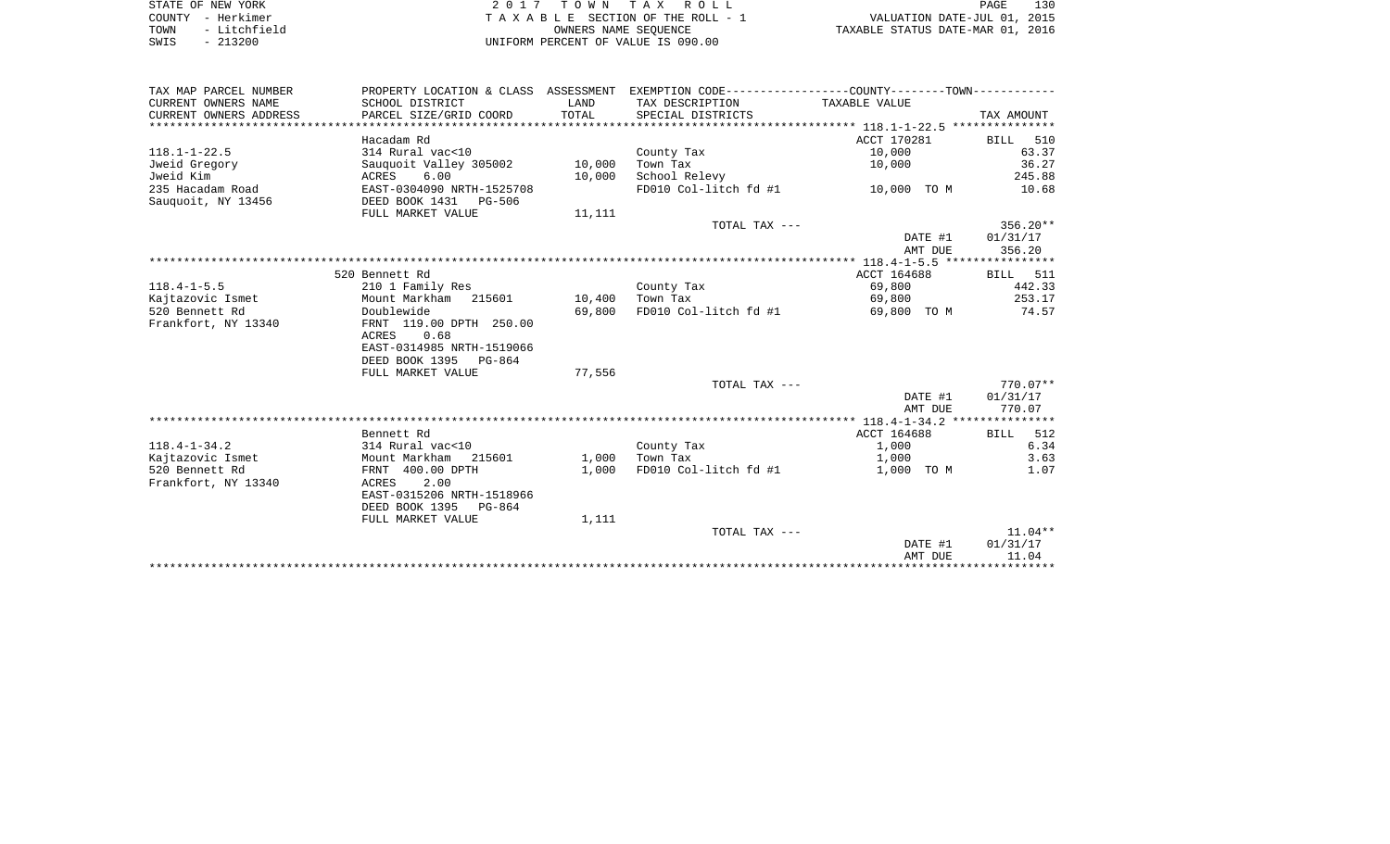| STATE OF NEW YORK |              |
|-------------------|--------------|
| COUNTY            | - Herkimer   |
| TOWN              | - Litchfield |
| SWIS              | $-213200$    |

STATE OF NEW YORK 2 0 1 7 T O W N T A X R O L L PAGE 130TA X A B L E SECTION OF THE ROLL - 1 TOWN - Litchfield OWNERS NAME SEQUENCE TAXABLE STATUS DATE-MAR 01, 2016 SWIS - 213200 UNIFORM PERCENT OF VALUE IS 090.00

| TAX MAP PARCEL NUMBER  | PROPERTY LOCATION & CLASS ASSESSMENT |        | EXEMPTION CODE-----------------COUNTY-------TOWN--------- |               |            |
|------------------------|--------------------------------------|--------|-----------------------------------------------------------|---------------|------------|
| CURRENT OWNERS NAME    | SCHOOL DISTRICT                      | LAND   | TAX DESCRIPTION                                           | TAXABLE VALUE |            |
| CURRENT OWNERS ADDRESS | PARCEL SIZE/GRID COORD               | TOTAL  | SPECIAL DISTRICTS                                         |               | TAX AMOUNT |
|                        |                                      |        |                                                           |               |            |
|                        | Hacadam Rd                           |        |                                                           | ACCT 170281   | BILL 510   |
| $118.1 - 1 - 22.5$     | 314 Rural vac<10                     |        | County Tax                                                | 10,000        | 63.37      |
| Jweid Gregory          | Sauquoit Valley 305002               | 10,000 | Town Tax                                                  | 10,000        | 36.27      |
| Jweid Kim              | ACRES<br>6.00                        | 10,000 | School Relevy                                             |               | 245.88     |
| 235 Hacadam Road       | EAST-0304090 NRTH-1525708            |        | FD010 Col-litch fd #1                                     | 10,000 TO M   | 10.68      |
| Sauquoit, NY 13456     | DEED BOOK 1431 PG-506                |        |                                                           |               |            |
|                        | FULL MARKET VALUE                    | 11,111 |                                                           |               |            |
|                        |                                      |        | TOTAL TAX ---                                             |               | $356.20**$ |
|                        |                                      |        |                                                           | DATE #1       | 01/31/17   |
|                        |                                      |        |                                                           | AMT DUE       | 356.20     |
|                        |                                      |        |                                                           |               |            |
|                        | 520 Bennett Rd                       |        |                                                           | ACCT 164688   | BILL 511   |
| $118.4 - 1 - 5.5$      | 210 1 Family Res                     |        | County Tax                                                | 69,800        | 442.33     |
| Kajtazovic Ismet       | Mount Markham 215601                 | 10,400 | Town Tax                                                  | 69,800        | 253.17     |
| 520 Bennett Rd         | Doublewide                           | 69,800 | FD010 Col-litch fd #1                                     | 69,800 TO M   | 74.57      |
| Frankfort, NY 13340    | FRNT 119.00 DPTH 250.00              |        |                                                           |               |            |
|                        | 0.68<br><b>ACRES</b>                 |        |                                                           |               |            |
|                        | EAST-0314985 NRTH-1519066            |        |                                                           |               |            |
|                        | DEED BOOK 1395<br>PG-864             |        |                                                           |               |            |
|                        | FULL MARKET VALUE                    | 77,556 |                                                           |               |            |
|                        |                                      |        | TOTAL TAX ---                                             |               | $770.07**$ |
|                        |                                      |        |                                                           | DATE #1       | 01/31/17   |
|                        |                                      |        |                                                           | AMT DUE       | 770.07     |
|                        |                                      |        |                                                           |               |            |
|                        | Bennett Rd                           |        |                                                           | ACCT 164688   | BILL 512   |
| $118.4 - 1 - 34.2$     | 314 Rural vac<10                     |        | County Tax                                                | 1,000         | 6.34       |
| Kajtazovic Ismet       | Mount Markham<br>215601              | 1,000  | Town Tax                                                  | 1,000         | 3.63       |
| 520 Bennett Rd         | FRNT 400.00 DPTH                     | 1,000  | FD010 Col-litch fd #1                                     | 1,000 TO M    | 1.07       |
| Frankfort, NY 13340    | 2.00<br><b>ACRES</b>                 |        |                                                           |               |            |
|                        | EAST-0315206 NRTH-1518966            |        |                                                           |               |            |
|                        | DEED BOOK 1395<br>PG-864             |        |                                                           |               |            |
|                        | FULL MARKET VALUE                    | 1,111  |                                                           |               |            |
|                        |                                      |        | TOTAL TAX ---                                             |               | $11.04**$  |
|                        |                                      |        |                                                           | DATE #1       | 01/31/17   |
|                        |                                      |        |                                                           | AMT DUE       | 11.04      |
|                        |                                      |        |                                                           |               |            |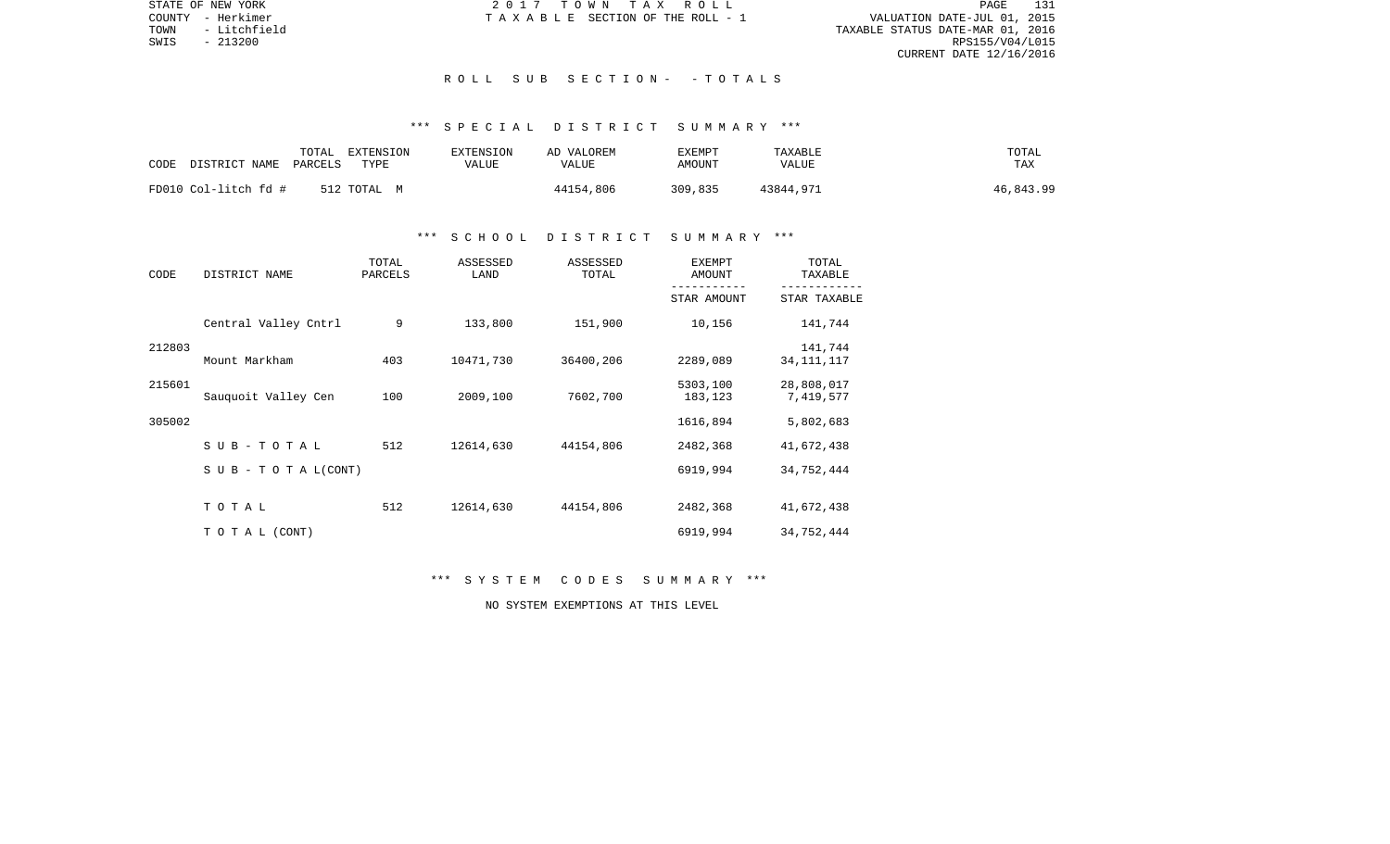STATE OF NEW YORK 2 0 1 7 T O W N T A X R O L L PAGE 131VALUATION DATE-JUL 01, 2015 TOWN - Litchfield TAXABLE STATUS DATE-MAR 01, 2016 RPS155/V04/L015 CURRENT DATE 12/16/2016

COUNTY - Herkimer  $T A X A B L E$  SECTION OF THE ROLL - 1

#### R O L L S U B S E C T I O N - - T O T A L S

# \*\*\* S P E C I A L D I S T R I C T S U M M A R Y \*\*\*

| CODE                 | TOTAL   | EXTENSION   | <b>EXTENSION</b> | AD VALOREM | EXEMPT  | TAXABLE      | TOTAL      |
|----------------------|---------|-------------|------------------|------------|---------|--------------|------------|
| DISTRICT NAME        | PARCELS | TYPE        | VALUE            | VALUE      | AMOUNT  | <b>VALUE</b> | <b>TAX</b> |
| FD010 Col-litch fd # |         | 512 TOTAL M |                  | 44154,806  | 309,835 | 43844,971    | 46,843.99  |

#### \*\*\* S C H O O L D I S T R I C T S U M M A R Y \*\*\*

| CODE   | DISTRICT NAME                    | TOTAL<br>PARCELS | ASSESSED<br>LAND | ASSESSED<br>TOTAL | <b>EXEMPT</b><br>AMOUNT | TOTAL<br>TAXABLE        |
|--------|----------------------------------|------------------|------------------|-------------------|-------------------------|-------------------------|
|        |                                  |                  |                  |                   | STAR AMOUNT             | STAR TAXABLE            |
|        | Central Valley Cntrl             | 9                | 133,800          | 151,900           | 10,156                  | 141,744                 |
| 212803 | Mount Markham                    | 403              | 10471,730        | 36400,206         | 2289,089                | 141,744<br>34, 111, 117 |
| 215601 | Sauquoit Valley Cen              | 100              | 2009,100         | 7602,700          | 5303,100<br>183,123     | 28,808,017<br>7,419,577 |
| 305002 |                                  |                  |                  |                   | 1616,894                | 5,802,683               |
|        | SUB-TOTAL                        | 512              | 12614,630        | 44154,806         | 2482,368                | 41,672,438              |
|        | $S \cup B - T \cup T A L (CONT)$ |                  |                  |                   | 6919,994                | 34,752,444              |
|        | TOTAL                            | 512              | 12614,630        | 44154,806         | 2482,368                | 41,672,438              |
|        | TO TAL (CONT)                    |                  |                  |                   | 6919,994                | 34,752,444              |

\*\*\* S Y S T E M C O D E S S U M M A R Y \*\*\*

NO SYSTEM EXEMPTIONS AT THIS LEVEL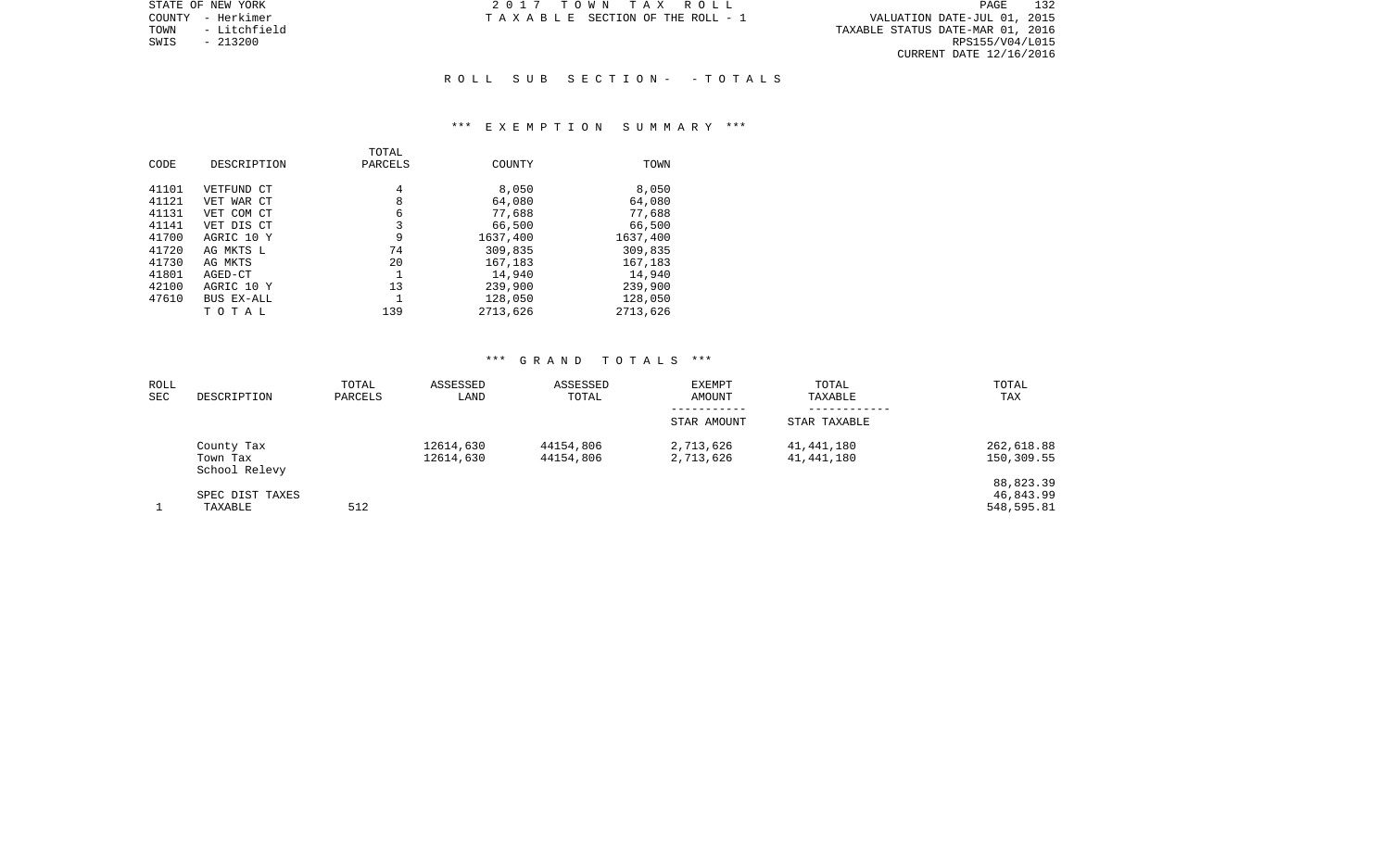STATE OF NEW YORK 2 0 1 7 T O W N T A X R O L L PAGE 132TOWN - Litchfield TAXABLE STATUS DATE-MAR 01, 2016 SWIS - 213200 RPS155/V04/L015 CURRENT DATE 12/16/2016

COUNTY - Herkimer T A X A B L E SECTION OF THE ROLL - 1

#### R O L L S U B S E C T I O N - - T O T A L S

#### \*\*\* E X E M P T I O N S U M M A R Y \*\*\*

|       |             | TOTAL   |          |          |
|-------|-------------|---------|----------|----------|
| CODE  | DESCRIPTION | PARCELS | COUNTY   | TOWN     |
| 41101 | VETFUND CT  | 4       | 8,050    | 8,050    |
| 41121 | VET WAR CT  | 8       | 64,080   | 64,080   |
| 41131 | VET COM CT  | 6       | 77,688   | 77,688   |
| 41141 | VET DIS CT  | 3       | 66,500   | 66,500   |
| 41700 | AGRIC 10 Y  | 9       | 1637,400 | 1637,400 |
| 41720 | AG MKTS L   | 74      | 309,835  | 309,835  |
| 41730 | AG MKTS     | 20      | 167,183  | 167,183  |
| 41801 | AGED-CT     |         | 14,940   | 14,940   |
| 42100 | AGRIC 10 Y  | 13      | 239,900  | 239,900  |
| 47610 | BUS EX-ALL  |         | 128,050  | 128,050  |
|       | тотаь       | 139     | 2713,626 | 2713,626 |

## \*\*\* G R A N D T O T A L S \*\*\*

| ROLL<br>SEC | DESCRIPTION                             | TOTAL<br>PARCELS | ASSESSED<br>LAND       | ASSESSED<br>TOTAL      | EXEMPT<br>AMOUNT       | TOTAL<br>TAXABLE         | TOTAL<br>TAX                         |
|-------------|-----------------------------------------|------------------|------------------------|------------------------|------------------------|--------------------------|--------------------------------------|
|             |                                         |                  |                        |                        | STAR AMOUNT            | STAR TAXABLE             |                                      |
|             | County Tax<br>Town Tax<br>School Relevy |                  | 12614,630<br>12614,630 | 44154,806<br>44154,806 | 2,713,626<br>2,713,626 | 41,441,180<br>41,441,180 | 262,618.88<br>150,309.55             |
|             | SPEC DIST TAXES<br>TAXABLE              | 512              |                        |                        |                        |                          | 88,823.39<br>46,843.99<br>548,595.81 |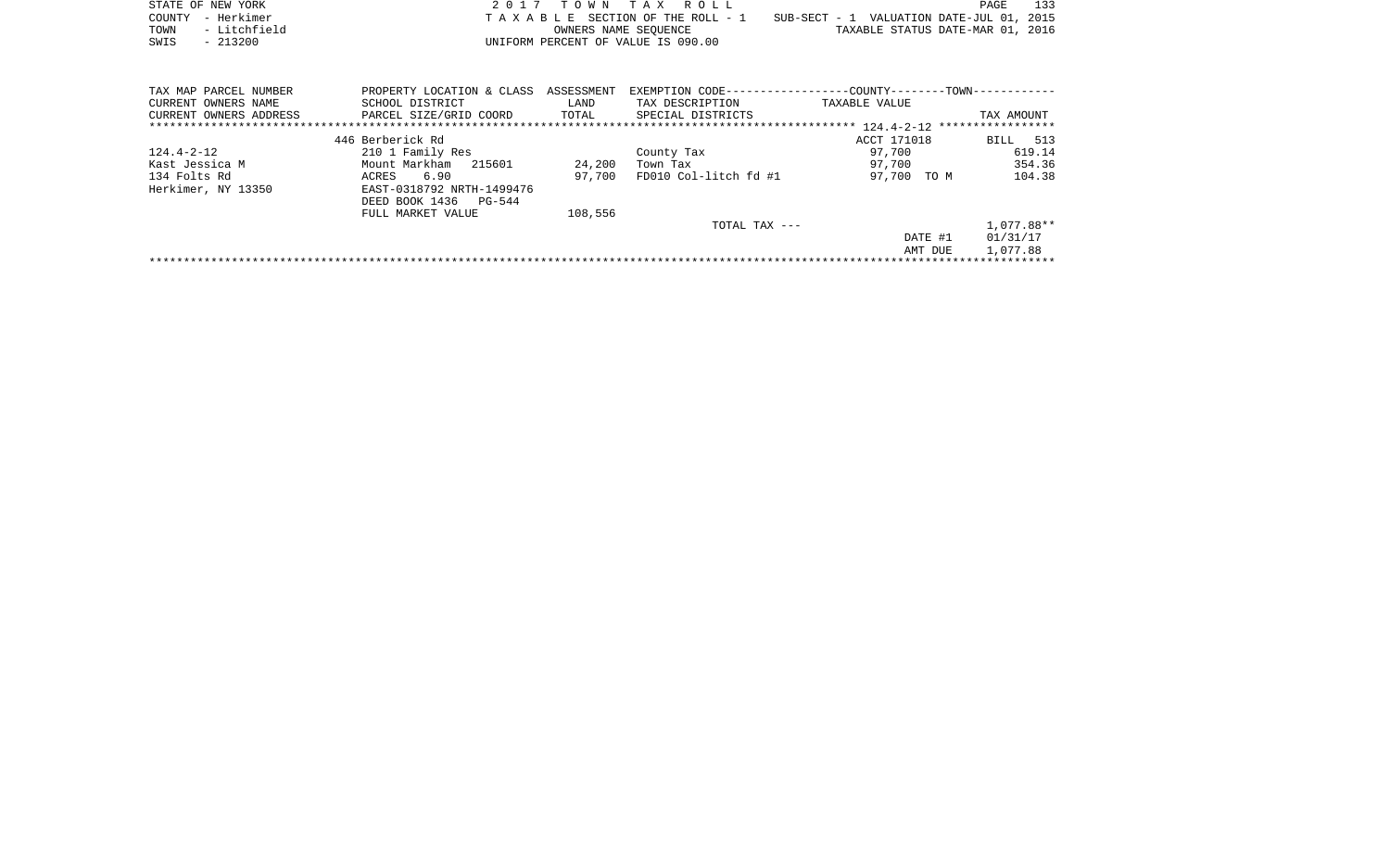|      | STATE OF NEW YORK | 2017 TOWN TAX ROLL                 |                                          | PAGE | 133 |
|------|-------------------|------------------------------------|------------------------------------------|------|-----|
|      | COUNTY - Herkimer | TAXABLE SECTION OF THE ROLL - 1    | SUB-SECT - 1 VALUATION DATE-JUL 01, 2015 |      |     |
| TOWN | - Litchfield      | OWNERS NAME SEOUENCE               | TAXABLE STATUS DATE-MAR 01, 2016         |      |     |
| SWIS | - 213200          | UNIFORM PERCENT OF VALUE IS 090.00 |                                          |      |     |

| TAX MAP PARCEL NUMBER  | PROPERTY LOCATION & CLASS ASSESSMENT |         | EXEMPTION CODE---------------- | --COUNTY--------TOWN------------ |            |
|------------------------|--------------------------------------|---------|--------------------------------|----------------------------------|------------|
| CURRENT OWNERS NAME    | SCHOOL DISTRICT                      | LAND    | TAX DESCRIPTION                | TAXABLE VALUE                    |            |
| CURRENT OWNERS ADDRESS | PARCEL SIZE/GRID COORD               | TOTAL   | SPECIAL DISTRICTS              |                                  | TAX AMOUNT |
|                        |                                      |         |                                |                                  |            |
|                        | 446 Berberick Rd                     |         |                                | ACCT 171018                      | BILL 513   |
| 124.4-2-12             | 210 1 Family Res                     |         | County Tax                     | 97,700                           | 619.14     |
| Kast Jessica M         | Mount Markham 215601                 | 24,200  | Town Tax                       | 97.700                           | 354.36     |
| 134 Folts Rd           | 6.90<br>ACRES                        | 97.700  | FD010 Col-litch fd #1          | 97.700 TOM                       | 104.38     |
| Herkimer, NY 13350     | EAST-0318792 NRTH-1499476            |         |                                |                                  |            |
|                        | DEED BOOK 1436 PG-544                |         |                                |                                  |            |
|                        | FULL MARKET VALUE                    | 108,556 |                                |                                  |            |
|                        |                                      |         | TOTAL TAX ---                  |                                  | 1,077.88** |
|                        |                                      |         |                                | DATE #1                          | 01/31/17   |
|                        |                                      |         |                                | AMT DUE                          | 1,077.88   |
|                        |                                      |         |                                |                                  |            |
|                        |                                      |         |                                |                                  |            |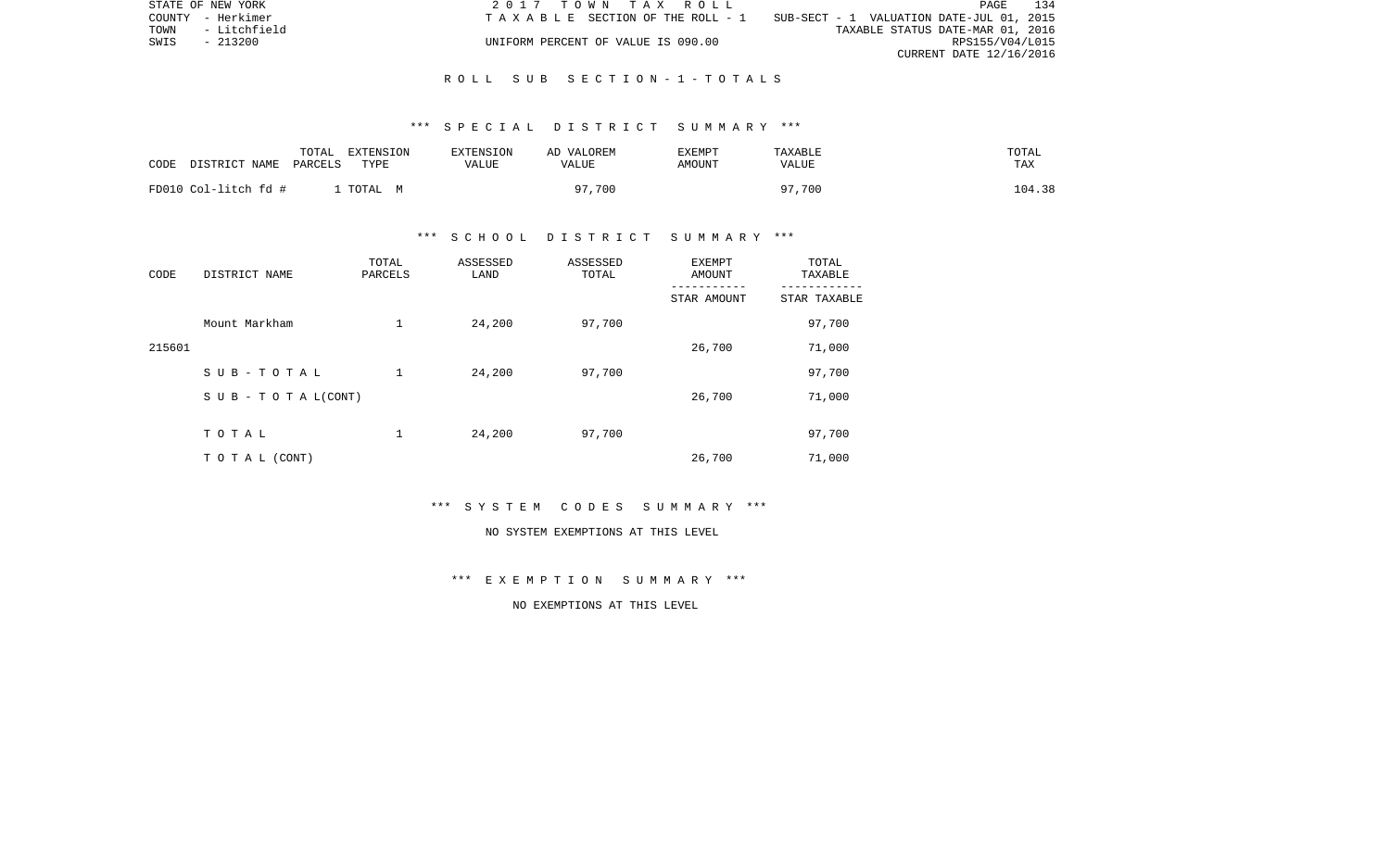|      | STATE OF NEW YORK | 2017 TOWN TAX ROLL                    |                                          | PAGE                    | 134 |
|------|-------------------|---------------------------------------|------------------------------------------|-------------------------|-----|
|      | COUNTY - Herkimer | T A X A B L E SECTION OF THE ROLL - 1 | SUB-SECT - 1 VALUATION DATE-JUL 01, 2015 |                         |     |
| TOWN | - Litchfield      |                                       | TAXABLE STATUS DATE-MAR 01, 2016         |                         |     |
| SWIS | - 213200          | UNIFORM PERCENT OF VALUE IS 090.00    |                                          | RPS155/V04/L015         |     |
|      |                   |                                       |                                          | CURRENT DATE 12/16/2016 |     |

### R O L L S U B S E C T I O N - 1 - T O T A L S

### \*\*\* S P E C I A L D I S T R I C T S U M M A R Y \*\*\*

| CODE                 | TOTAL   | EXTENSION | EXTENSION | AD VALOREM | EXEMPT | TAXABLE | TOTAL  |
|----------------------|---------|-----------|-----------|------------|--------|---------|--------|
| DISTRICT NAME        | PARCELS | TYPE      | VALUE     | VALUE      | AMOUNT | VALUE   | TAX    |
| FD010 Col-litch fd # |         | TOTAL M   |           | 97,700     |        | 97,700  | 104.38 |

# \*\*\* S C H O O L D I S T R I C T S U M M A R Y \*\*\*

| CODE   | DISTRICT NAME                    | TOTAL<br>PARCELS | ASSESSED<br>LAND | ASSESSED<br>TOTAL | EXEMPT<br>AMOUNT | TOTAL<br>TAXABLE |
|--------|----------------------------------|------------------|------------------|-------------------|------------------|------------------|
|        |                                  |                  |                  |                   | STAR AMOUNT      | STAR TAXABLE     |
|        | Mount Markham                    | 1                | 24,200           | 97,700            |                  | 97,700           |
| 215601 |                                  |                  |                  |                   | 26,700           | 71,000           |
|        | SUB-TOTAL                        |                  | 24,200           | 97,700            |                  | 97,700           |
|        | $S \cup B - T \cup T A L (CONT)$ |                  |                  |                   | 26,700           | 71,000           |
|        |                                  |                  |                  |                   |                  |                  |
|        | TOTAL                            | 1                | 24,200           | 97,700            |                  | 97,700           |
|        | T O T A L (CONT)                 |                  |                  |                   | 26,700           | 71,000           |

\*\*\* S Y S T E M C O D E S S U M M A R Y \*\*\*

#### NO SYSTEM EXEMPTIONS AT THIS LEVEL

\*\*\* E X E M P T I O N S U M M A R Y \*\*\*

NO EXEMPTIONS AT THIS LEVEL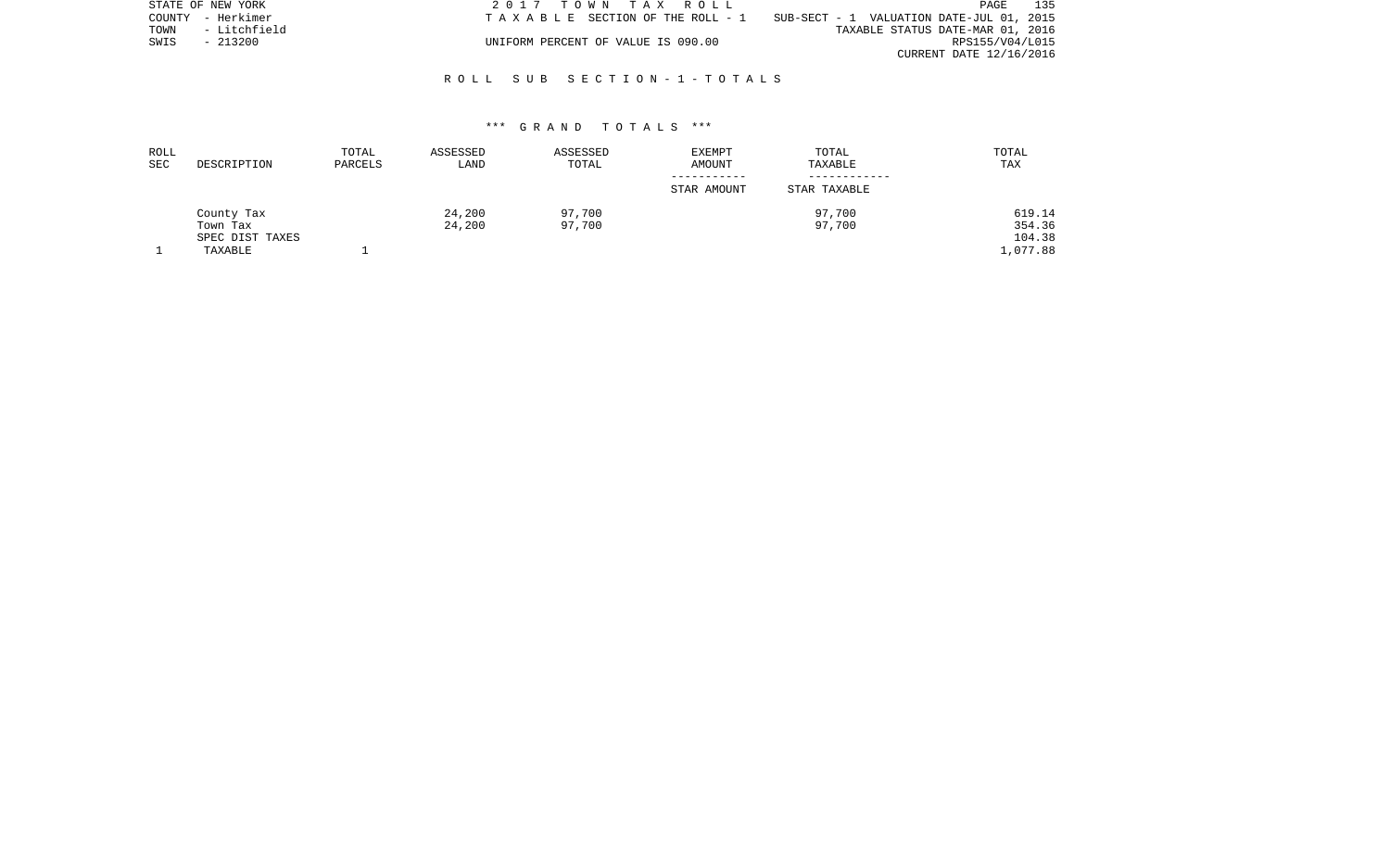|      | STATE OF NEW YORK | 2017 TOWN TAX ROLL                    |                                          | PAGE                    | 135 |
|------|-------------------|---------------------------------------|------------------------------------------|-------------------------|-----|
|      | COUNTY - Herkimer | T A X A B L E SECTION OF THE ROLL - 1 | SUB-SECT - 1 VALUATION DATE-JUL 01, 2015 |                         |     |
| TOWN | - Litchfield      |                                       | TAXABLE STATUS DATE-MAR 01, 2016         |                         |     |
| SWIS | $-213200$         | UNIFORM PERCENT OF VALUE IS 090.00    |                                          | RPS155/V04/L015         |     |
|      |                   |                                       |                                          | CURRENT DATE 12/16/2016 |     |

## R O L L S U B S E C T I O N - 1 - T O T A L S

#### \*\*\* G R A N D T O T A L S \*\*\*

| ROLL<br>SEC | DESCRIPTION     | TOTAL<br>PARCELS | ASSESSED<br>LAND | ASSESSED<br>TOTAL | <b>EXEMPT</b><br>AMOUNT | TOTAL<br>TAXABLE | TOTAL<br>TAX |
|-------------|-----------------|------------------|------------------|-------------------|-------------------------|------------------|--------------|
|             |                 |                  |                  |                   | STAR AMOUNT             | STAR TAXABLE     |              |
|             | County Tax      |                  | 24,200           | 97,700            |                         | 97,700           | 619.14       |
|             | Town Tax        |                  | 24,200           | 97,700            |                         | 97,700           | 354.36       |
|             | SPEC DIST TAXES |                  |                  |                   |                         |                  | 104.38       |
|             | TAXABLE         |                  |                  |                   |                         |                  | 1,077.88     |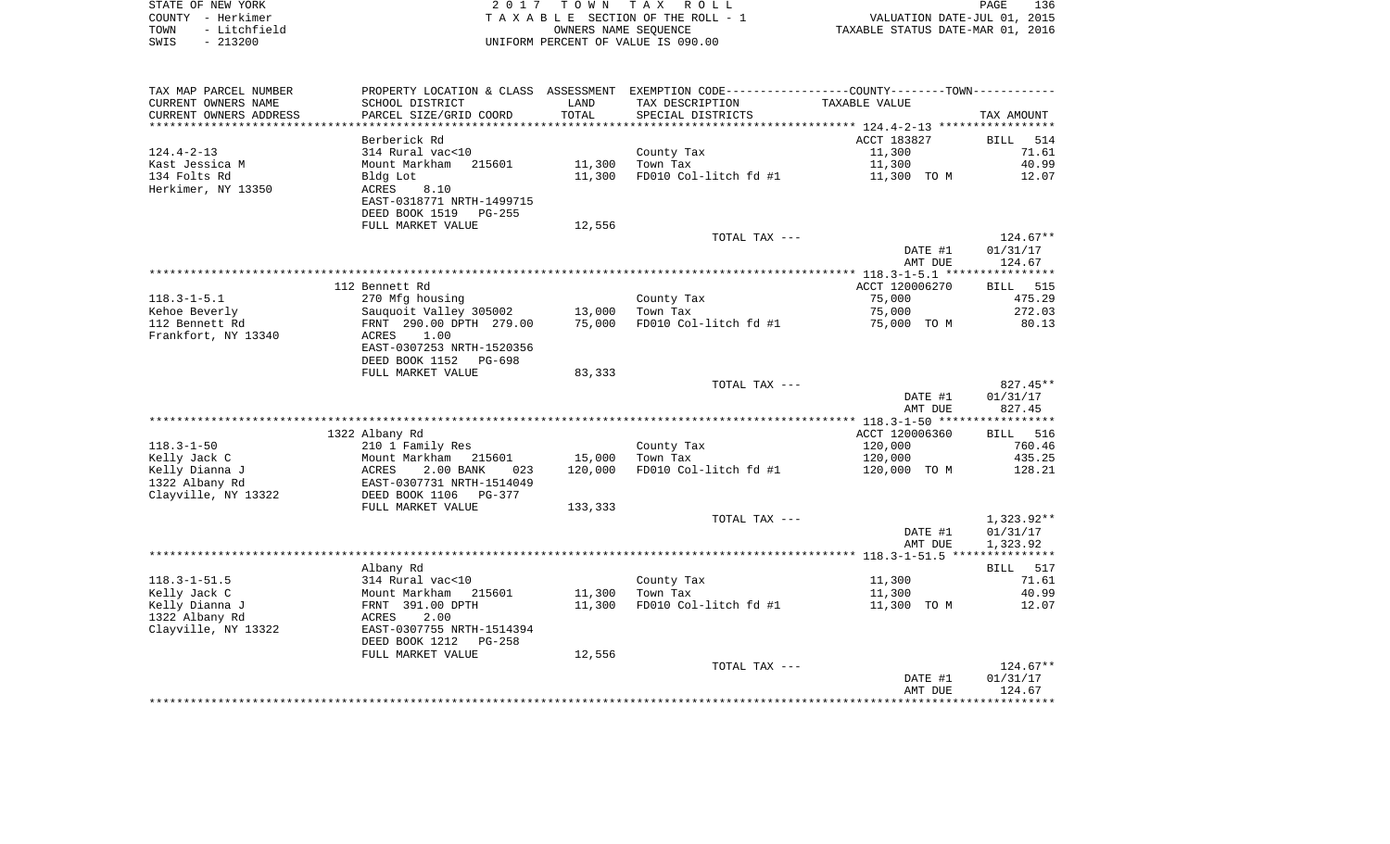| STATE OF NEW YORK    | 2017 TOWN TAX ROLL                 | 136<br>PAGE                      |
|----------------------|------------------------------------|----------------------------------|
| COUNTY - Herkimer    | TAXABLE SECTION OF THE ROLL - 1    | VALUATION DATE-JUL 01, 2015      |
| - Litchfield<br>TOWN | OWNERS NAME SEOUENCE               | TAXABLE STATUS DATE-MAR 01, 2016 |
| $-213200$<br>SWIS    | UNIFORM PERCENT OF VALUE IS 090.00 |                                  |

| TAX MAP PARCEL NUMBER  | PROPERTY LOCATION & CLASS ASSESSMENT |         | EXEMPTION CODE-----------------COUNTY-------TOWN----------- |                |                    |
|------------------------|--------------------------------------|---------|-------------------------------------------------------------|----------------|--------------------|
| CURRENT OWNERS NAME    | SCHOOL DISTRICT                      | LAND    | TAX DESCRIPTION                                             | TAXABLE VALUE  |                    |
| CURRENT OWNERS ADDRESS | PARCEL SIZE/GRID COORD               | TOTAL   | SPECIAL DISTRICTS                                           |                | TAX AMOUNT         |
|                        |                                      |         |                                                             |                |                    |
|                        | Berberick Rd                         |         |                                                             | ACCT 183827    | 514<br><b>BILL</b> |
| $124.4 - 2 - 13$       | 314 Rural vac<10                     |         | County Tax                                                  | 11,300         | 71.61              |
| Kast Jessica M         | Mount Markham<br>215601              | 11,300  | Town Tax                                                    | 11,300         | 40.99              |
| 134 Folts Rd           | Bldg Lot                             | 11,300  | FD010 Col-litch fd #1                                       | 11,300 TO M    | 12.07              |
| Herkimer, NY 13350     | 8.10<br>ACRES                        |         |                                                             |                |                    |
|                        | EAST-0318771 NRTH-1499715            |         |                                                             |                |                    |
|                        | DEED BOOK 1519<br>PG-255             |         |                                                             |                |                    |
|                        | FULL MARKET VALUE                    | 12,556  |                                                             |                |                    |
|                        |                                      |         | TOTAL TAX ---                                               | DATE #1        | $124.67**$         |
|                        |                                      |         |                                                             | AMT DUE        | 01/31/17<br>124.67 |
|                        |                                      |         |                                                             |                |                    |
|                        | 112 Bennett Rd                       |         |                                                             | ACCT 120006270 | BILL 515           |
| $118.3 - 1 - 5.1$      | 270 Mfg housing                      |         | County Tax                                                  | 75,000         | 475.29             |
| Kehoe Beverly          | Sauguoit Valley 305002               | 13,000  | Town Tax                                                    | 75,000         | 272.03             |
| 112 Bennett Rd         | FRNT 290.00 DPTH 279.00              | 75,000  | FD010 Col-litch fd #1                                       | 75,000 TO M    | 80.13              |
| Frankfort, NY 13340    | ACRES<br>1.00                        |         |                                                             |                |                    |
|                        | EAST-0307253 NRTH-1520356            |         |                                                             |                |                    |
|                        | DEED BOOK 1152<br>PG-698             |         |                                                             |                |                    |
|                        | FULL MARKET VALUE                    | 83,333  |                                                             |                |                    |
|                        |                                      |         | TOTAL TAX ---                                               |                | $827.45**$         |
|                        |                                      |         |                                                             | DATE #1        | 01/31/17           |
|                        |                                      |         |                                                             | AMT DUE        | 827.45             |
|                        |                                      |         |                                                             |                |                    |
|                        | 1322 Albany Rd                       |         |                                                             | ACCT 120006360 | BILL 516           |
| $118.3 - 1 - 50$       | 210 1 Family Res                     |         | County Tax                                                  | 120,000        | 760.46             |
| Kelly Jack C           | Mount Markham<br>215601              | 15,000  | Town Tax                                                    | 120,000        | 435.25             |
| Kelly Dianna J         | ACRES<br>2.00 BANK<br>023            | 120,000 | FD010 Col-litch fd #1                                       | 120,000 TO M   | 128.21             |
| 1322 Albany Rd         | EAST-0307731 NRTH-1514049            |         |                                                             |                |                    |
| Clayville, NY 13322    | DEED BOOK 1106<br>PG-377             |         |                                                             |                |                    |
|                        | FULL MARKET VALUE                    | 133,333 | TOTAL TAX ---                                               |                | 1,323.92**         |
|                        |                                      |         |                                                             | DATE #1        | 01/31/17           |
|                        |                                      |         |                                                             | AMT DUE        | 1,323.92           |
|                        |                                      |         |                                                             |                |                    |
|                        | Albany Rd                            |         |                                                             |                | BILL 517           |
| $118.3 - 1 - 51.5$     | 314 Rural vac<10                     |         | County Tax                                                  | 11,300         | 71.61              |
| Kelly Jack C           | Mount Markham<br>215601              | 11,300  | Town Tax                                                    | 11,300         | 40.99              |
| Kelly Dianna J         | FRNT 391.00 DPTH                     | 11,300  | FD010 Col-litch fd #1                                       | 11,300 TO M    | 12.07              |
| 1322 Albany Rd         | 2.00<br>ACRES                        |         |                                                             |                |                    |
| Clayville, NY 13322    | EAST-0307755 NRTH-1514394            |         |                                                             |                |                    |
|                        | DEED BOOK 1212<br>$PG-258$           |         |                                                             |                |                    |
|                        | FULL MARKET VALUE                    | 12,556  |                                                             |                |                    |
|                        |                                      |         | TOTAL TAX ---                                               |                | 124.67**           |
|                        |                                      |         |                                                             | DATE #1        | 01/31/17           |
|                        |                                      |         |                                                             | AMT DUE        | 124.67             |
|                        |                                      |         |                                                             |                |                    |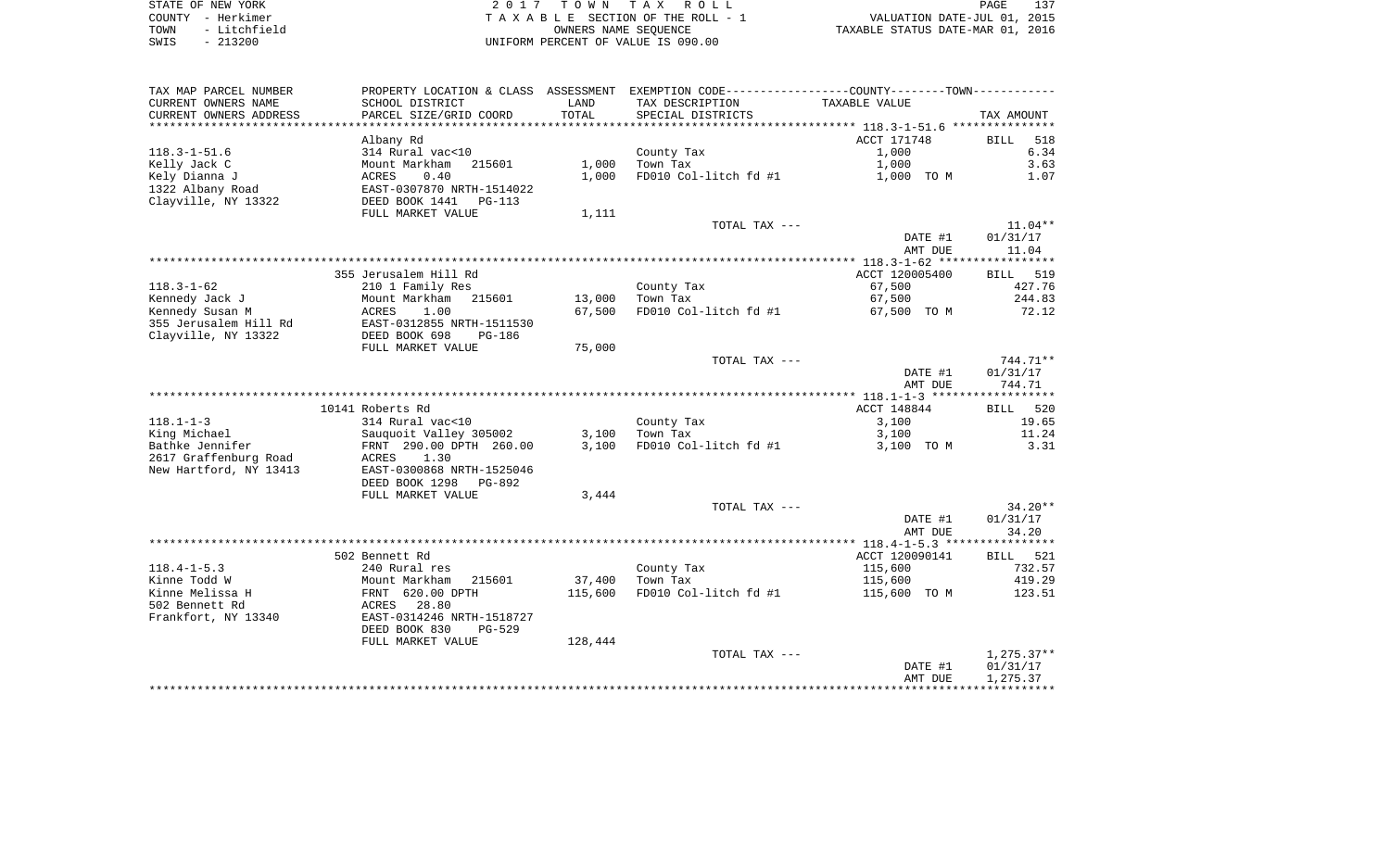| STATE OF NEW YORK |  |              |  |
|-------------------|--|--------------|--|
| COUNTY            |  | - Herkimer   |  |
| TOWN              |  | - Litchfield |  |
| SWIS              |  | $-213200$    |  |

STATE OF THE TAX ROLL TA X A B L E SECTION OF THE ROLL - 1 TOWN - Litchfield OWNERS NAME SEQUENCE TAXABLE STATUS DATE-MAR 01, 2016 SWIS - 213200 UNIFORM PERCENT OF VALUE IS 090.00

| TAX MAP PARCEL NUMBER  |                           |         | PROPERTY LOCATION & CLASS  ASSESSMENT  EXEMPTION CODE-----------------COUNTY-------TOWN- |                                                    |                    |
|------------------------|---------------------------|---------|------------------------------------------------------------------------------------------|----------------------------------------------------|--------------------|
| CURRENT OWNERS NAME    | SCHOOL DISTRICT           | LAND    | TAX DESCRIPTION                                                                          | TAXABLE VALUE                                      |                    |
| CURRENT OWNERS ADDRESS | PARCEL SIZE/GRID COORD    | TOTAL   | SPECIAL DISTRICTS                                                                        |                                                    | TAX AMOUNT         |
|                        |                           |         | ***************************                                                              | ******************** 118.3-1-51.6 **************** |                    |
|                        | Albany Rd                 |         |                                                                                          | ACCT 171748                                        | 518<br>BILL        |
| $118.3 - 1 - 51.6$     | 314 Rural vac<10          |         | County Tax                                                                               | 1,000                                              | 6.34               |
|                        |                           |         |                                                                                          |                                                    |                    |
| Kelly Jack C           | 215601<br>Mount Markham   | 1,000   | Town Tax                                                                                 | 1,000                                              | 3.63               |
| Kely Dianna J          | ACRES<br>0.40             | 1,000   | FD010 Col-litch fd #1                                                                    | 1,000 TO M                                         | 1.07               |
| 1322 Albany Road       | EAST-0307870 NRTH-1514022 |         |                                                                                          |                                                    |                    |
| Clayville, NY 13322    | DEED BOOK 1441<br>PG-113  |         |                                                                                          |                                                    |                    |
|                        | FULL MARKET VALUE         | 1,111   |                                                                                          |                                                    |                    |
|                        |                           |         | TOTAL TAX ---                                                                            |                                                    | $11.04**$          |
|                        |                           |         |                                                                                          | DATE #1                                            | 01/31/17           |
|                        |                           |         |                                                                                          | AMT DUE                                            | 11.04              |
|                        |                           |         |                                                                                          |                                                    |                    |
|                        | 355 Jerusalem Hill Rd     |         |                                                                                          | ACCT 120005400                                     | 519<br><b>BILL</b> |
| $118.3 - 1 - 62$       | 210 1 Family Res          |         | County Tax                                                                               | 67,500                                             | 427.76             |
| Kennedy Jack J         | Mount Markham<br>215601   | 13,000  | Town Tax                                                                                 | 67,500                                             | 244.83             |
| Kennedy Susan M        | 1.00<br>ACRES             | 67,500  | FD010 Col-litch fd #1                                                                    | 67,500 TO M                                        | 72.12              |
| 355 Jerusalem Hill Rd  | EAST-0312855 NRTH-1511530 |         |                                                                                          |                                                    |                    |
|                        |                           |         |                                                                                          |                                                    |                    |
| Clayville, NY 13322    | DEED BOOK 698<br>$PG-186$ |         |                                                                                          |                                                    |                    |
|                        | FULL MARKET VALUE         | 75,000  |                                                                                          |                                                    |                    |
|                        |                           |         | TOTAL TAX ---                                                                            |                                                    | 744.71**           |
|                        |                           |         |                                                                                          | DATE #1                                            | 01/31/17           |
|                        |                           |         |                                                                                          | AMT DUE                                            | 744.71             |
|                        |                           |         |                                                                                          |                                                    |                    |
|                        | 10141 Roberts Rd          |         |                                                                                          | ACCT 148844                                        | <b>BILL</b><br>520 |
| $118.1 - 1 - 3$        | 314 Rural vac<10          |         | County Tax                                                                               | 3,100                                              | 19.65              |
| King Michael           | Sauquoit Valley 305002    | 3,100   | Town Tax                                                                                 | 3,100                                              | 11.24              |
| Bathke Jennifer        | FRNT 290.00 DPTH 260.00   | 3.100   | FD010 Col-litch fd #1                                                                    | 3,100 TO M                                         | 3.31               |
| 2617 Graffenburg Road  | 1.30<br>ACRES             |         |                                                                                          |                                                    |                    |
| New Hartford, NY 13413 | EAST-0300868 NRTH-1525046 |         |                                                                                          |                                                    |                    |
|                        | DEED BOOK 1298<br>PG-892  |         |                                                                                          |                                                    |                    |
|                        | FULL MARKET VALUE         | 3,444   |                                                                                          |                                                    |                    |
|                        |                           |         | TOTAL TAX ---                                                                            |                                                    | $34.20**$          |
|                        |                           |         |                                                                                          | DATE #1                                            | 01/31/17           |
|                        |                           |         |                                                                                          | AMT DUE                                            | 34.20              |
|                        |                           |         |                                                                                          |                                                    |                    |
|                        | 502 Bennett Rd            |         |                                                                                          | ACCT 120090141                                     | <b>BILL</b><br>521 |
| $118.4 - 1 - 5.3$      | 240 Rural res             |         | County Tax                                                                               | 115,600                                            | 732.57             |
| Kinne Todd W           | Mount Markham<br>215601   | 37,400  | Town Tax                                                                                 | 115,600                                            | 419.29             |
| Kinne Melissa H        | FRNT 620.00 DPTH          | 115,600 | FD010 Col-litch fd #1                                                                    | 115,600 TO M                                       | 123.51             |
| 502 Bennett Rd         | 28.80<br>ACRES            |         |                                                                                          |                                                    |                    |
| Frankfort, NY 13340    | EAST-0314246 NRTH-1518727 |         |                                                                                          |                                                    |                    |
|                        | DEED BOOK 830<br>$PG-529$ |         |                                                                                          |                                                    |                    |
|                        |                           |         |                                                                                          |                                                    |                    |
|                        | FULL MARKET VALUE         | 128,444 |                                                                                          |                                                    |                    |
|                        |                           |         | TOTAL TAX ---                                                                            |                                                    | $1,275.37**$       |
|                        |                           |         |                                                                                          | DATE #1                                            | 01/31/17           |
|                        |                           |         |                                                                                          | AMT DUE                                            | 1,275.37           |
|                        |                           |         |                                                                                          |                                                    |                    |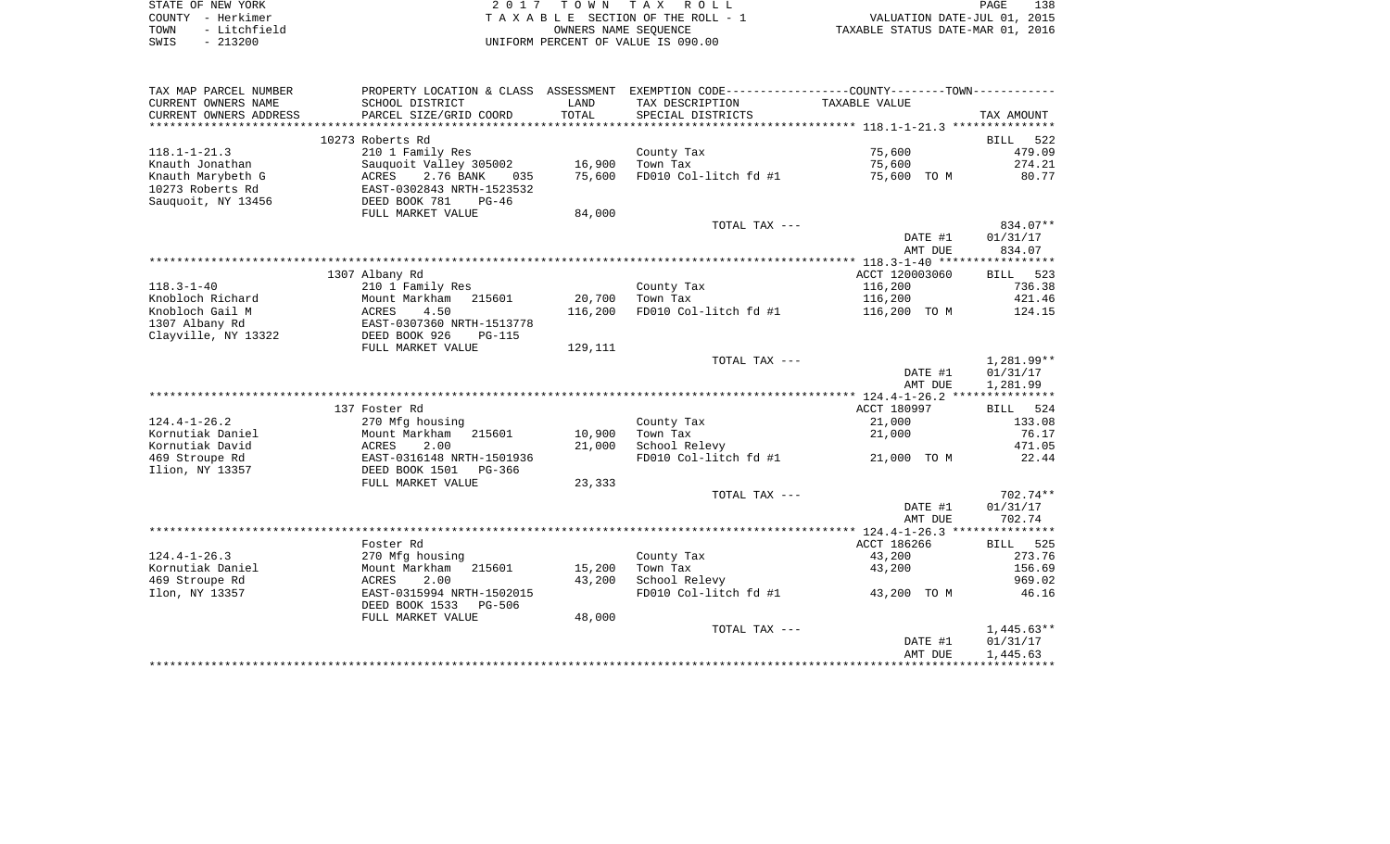| STATE OF NEW YORK    | 2017 TOWN TAX ROLL                 | 138<br>PAGE                      |
|----------------------|------------------------------------|----------------------------------|
| COUNTY - Herkimer    | TAXABLE SECTION OF THE ROLL - 1    | VALUATION DATE-JUL 01, 2015      |
| - Litchfield<br>TOWN | OWNERS NAME SEOUENCE               | TAXABLE STATUS DATE-MAR 01, 2016 |
| $-213200$<br>SWIS    | UNIFORM PERCENT OF VALUE IS 090.00 |                                  |

| TAX MAP PARCEL NUMBER  | PROPERTY LOCATION & CLASS       | ASSESSMENT | EXEMPTION CODE----------------COUNTY-------TOWN----------- |                                                 |                    |
|------------------------|---------------------------------|------------|------------------------------------------------------------|-------------------------------------------------|--------------------|
| CURRENT OWNERS NAME    | SCHOOL DISTRICT                 | LAND       | TAX DESCRIPTION                                            | TAXABLE VALUE                                   |                    |
| CURRENT OWNERS ADDRESS | PARCEL SIZE/GRID COORD          | TOTAL      | SPECIAL DISTRICTS                                          |                                                 | TAX AMOUNT         |
|                        |                                 |            |                                                            |                                                 |                    |
|                        | 10273 Roberts Rd                |            |                                                            |                                                 | 522<br><b>BILL</b> |
| $118.1 - 1 - 21.3$     | 210 1 Family Res                |            | County Tax                                                 | 75,600                                          | 479.09             |
| Knauth Jonathan        | Sauquoit Valley 305002          | 16,900     | Town Tax                                                   | 75,600                                          | 274.21             |
| Knauth Marybeth G      | 2.76 BANK<br>ACRES<br>035       | 75,600     | FD010 Col-litch fd #1                                      | 75,600 TO M                                     | 80.77              |
| 10273 Roberts Rd       | EAST-0302843 NRTH-1523532       |            |                                                            |                                                 |                    |
| Sauquoit, NY 13456     | DEED BOOK 781<br>$PG-46$        |            |                                                            |                                                 |                    |
|                        | FULL MARKET VALUE               | 84,000     |                                                            |                                                 |                    |
|                        |                                 |            | TOTAL TAX ---                                              |                                                 | 834.07**           |
|                        |                                 |            |                                                            | DATE #1                                         | 01/31/17           |
|                        |                                 |            |                                                            | AMT DUE                                         | 834.07             |
|                        |                                 |            |                                                            |                                                 |                    |
|                        | 1307 Albany Rd                  |            |                                                            | ACCT 120003060                                  | BILL 523           |
| $118.3 - 1 - 40$       | 210 1 Family Res                |            | County Tax                                                 | 116,200                                         | 736.38             |
| Knobloch Richard       | Mount Markham<br>215601         | 20,700     | Town Tax                                                   | 116,200                                         | 421.46             |
| Knobloch Gail M        | ACRES<br>4.50                   | 116,200    | FD010 Col-litch fd #1                                      | 116,200 TO M                                    | 124.15             |
| 1307 Albany Rd         | EAST-0307360 NRTH-1513778       |            |                                                            |                                                 |                    |
| Clayville, NY 13322    | DEED BOOK 926<br><b>PG-115</b>  |            |                                                            |                                                 |                    |
|                        | FULL MARKET VALUE               | 129,111    |                                                            |                                                 |                    |
|                        |                                 |            | TOTAL TAX ---                                              |                                                 | 1,281.99**         |
|                        |                                 |            |                                                            | DATE #1                                         | 01/31/17           |
|                        |                                 |            |                                                            | AMT DUE                                         | 1,281.99           |
|                        |                                 |            |                                                            |                                                 |                    |
|                        | 137 Foster Rd                   |            |                                                            | ACCT 180997                                     | 524<br>BILL        |
| $124.4 - 1 - 26.2$     | 270 Mfg housing                 |            | County Tax                                                 | 21,000                                          | 133.08             |
| Kornutiak Daniel       | Mount Markham<br>215601         | 10,900     | Town Tax                                                   | 21,000                                          | 76.17              |
| Kornutiak David        | ACRES<br>2.00                   | 21,000     | School Relevy                                              |                                                 | 471.05             |
| 469 Stroupe Rd         | EAST-0316148 NRTH-1501936       |            | FD010 Col-litch fd #1                                      | 21,000 TO M                                     | 22.44              |
| Ilion, NY 13357        | DEED BOOK 1501<br>PG-366        |            |                                                            |                                                 |                    |
|                        | FULL MARKET VALUE               | 23,333     |                                                            |                                                 |                    |
|                        |                                 |            | TOTAL TAX ---                                              |                                                 | $702.74**$         |
|                        |                                 |            |                                                            | DATE #1                                         | 01/31/17           |
|                        |                                 |            |                                                            | AMT DUE                                         | 702.74             |
|                        | **********************          |            | *********************************                          | ***************** 124.4-1-26.3 **************** |                    |
|                        | Foster Rd                       |            |                                                            | ACCT 186266                                     | <b>BILL</b> 525    |
| $124.4 - 1 - 26.3$     | 270 Mfg housing                 |            | County Tax                                                 | 43,200                                          | 273.76             |
| Kornutiak Daniel       | Mount Markham<br>215601         | 15,200     | Town Tax                                                   | 43,200                                          | 156.69             |
| 469 Stroupe Rd         | ACRES<br>2.00                   | 43,200     | School Relevy                                              |                                                 | 969.02             |
| Ilon, NY 13357         | EAST-0315994 NRTH-1502015       |            | FD010 Col-litch fd #1                                      | 43,200 TO M                                     | 46.16              |
|                        | DEED BOOK 1533<br><b>PG-506</b> |            |                                                            |                                                 |                    |
|                        | FULL MARKET VALUE               | 48,000     |                                                            |                                                 |                    |
|                        |                                 |            | TOTAL TAX ---                                              |                                                 | $1,445.63**$       |
|                        |                                 |            |                                                            | DATE #1                                         | 01/31/17           |
|                        |                                 |            |                                                            | AMT DUE                                         | 1,445.63           |
|                        |                                 |            |                                                            |                                                 |                    |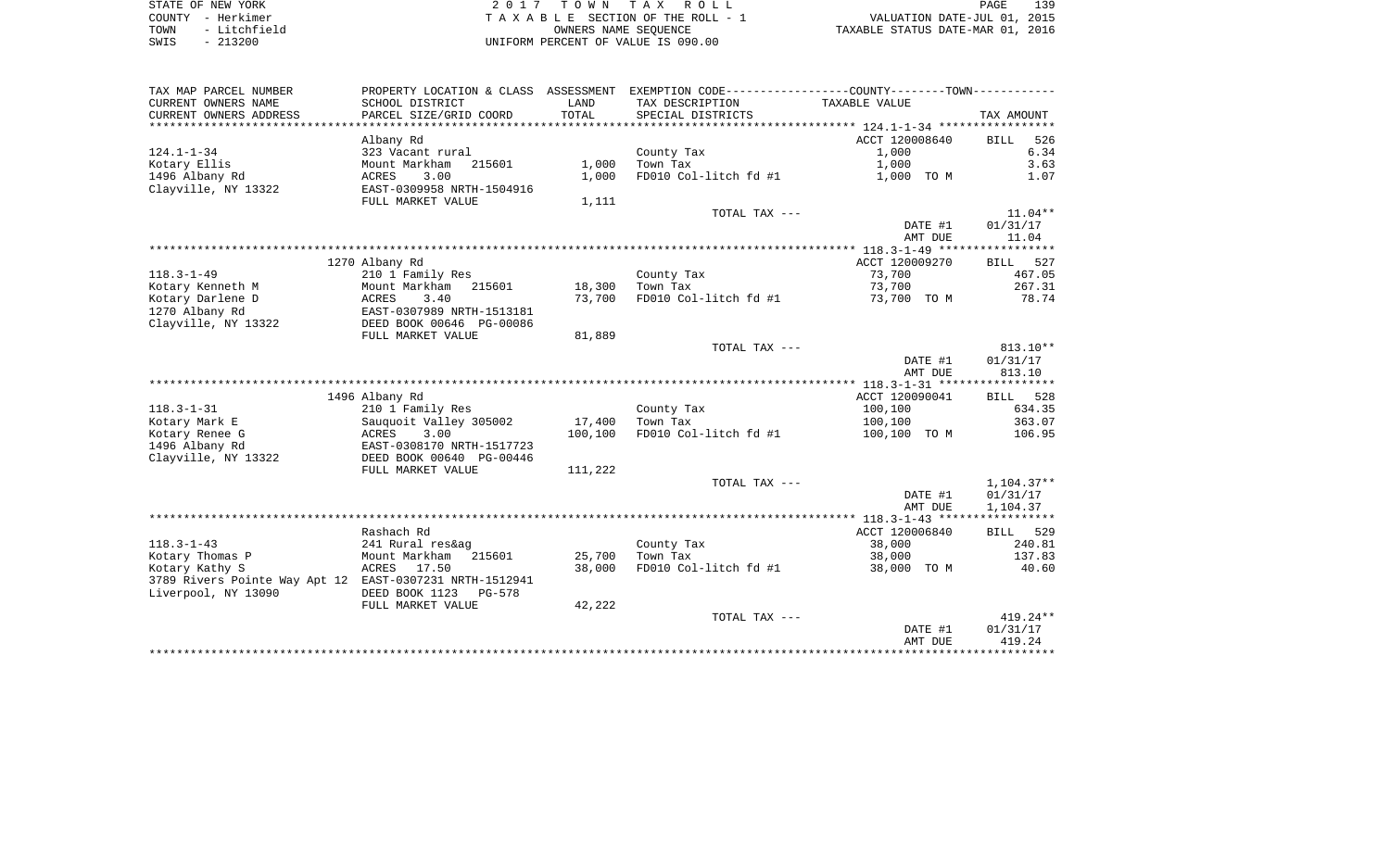| STATE OF NEW YORK |  |              |  |
|-------------------|--|--------------|--|
| COUNTY - Herkimer |  |              |  |
| TOWN              |  | - Litchfield |  |
| SWIS              |  | $-213200$    |  |

STATE OF THE TAX ROLL TA X A B L E SECTION OF THE ROLL - 1 TOWN - Litchfield OWNERS NAME SEQUENCE TAXABLE STATUS DATE-MAR 01, 2016 SWIS - 213200 UNIFORM PERCENT OF VALUE IS 090.00

| TAX MAP PARCEL NUMBER                                   | PROPERTY LOCATION & CLASS  | ASSESSMENT     | EXEMPTION CODE----------------COUNTY-------TOWN----------- |                         |                    |
|---------------------------------------------------------|----------------------------|----------------|------------------------------------------------------------|-------------------------|--------------------|
| CURRENT OWNERS NAME                                     | SCHOOL DISTRICT            | LAND           | TAX DESCRIPTION                                            | TAXABLE VALUE           |                    |
| CURRENT OWNERS ADDRESS                                  | PARCEL SIZE/GRID COORD     | TOTAL          | SPECIAL DISTRICTS                                          |                         | TAX AMOUNT         |
| ********************                                    |                            | ************** |                                                            |                         |                    |
|                                                         | Albany Rd                  |                |                                                            | ACCT 120008640          | 526<br><b>BILL</b> |
| $124.1 - 1 - 34$                                        | 323 Vacant rural           |                | County Tax                                                 | 1,000                   | 6.34               |
| Kotary Ellis                                            | Mount Markham<br>215601    | 1,000          | Town Tax                                                   | 1,000                   | 3.63               |
| 1496 Albany Rd                                          | 3.00<br>ACRES              | 1,000          | FD010 Col-litch fd #1                                      | 1,000 TO M              | 1.07               |
| Clayville, NY 13322                                     | EAST-0309958 NRTH-1504916  |                |                                                            |                         |                    |
|                                                         | FULL MARKET VALUE          | 1,111          |                                                            |                         |                    |
|                                                         |                            |                | TOTAL TAX ---                                              |                         | $11.04**$          |
|                                                         |                            |                |                                                            | DATE #1                 | 01/31/17           |
|                                                         |                            |                |                                                            | AMT DUE                 | 11.04              |
|                                                         |                            |                |                                                            |                         |                    |
|                                                         | 1270 Albany Rd             |                |                                                            | ACCT 120009270          | <b>BILL</b><br>527 |
| $118.3 - 1 - 49$                                        | 210 1 Family Res           |                | County Tax                                                 | 73,700                  | 467.05             |
| Kotary Kenneth M                                        | Mount Markham<br>215601    | 18,300         | Town Tax                                                   | 73,700                  | 267.31             |
| Kotary Darlene D                                        | ACRES<br>3.40              | 73,700         | FD010 Col-litch fd #1                                      | 73,700 TO M             | 78.74              |
| 1270 Albany Rd                                          | EAST-0307989 NRTH-1513181  |                |                                                            |                         |                    |
| Clayville, NY 13322                                     | DEED BOOK 00646 PG-00086   |                |                                                            |                         |                    |
|                                                         | FULL MARKET VALUE          | 81,889         |                                                            |                         |                    |
|                                                         |                            |                | TOTAL TAX ---                                              |                         | $813.10**$         |
|                                                         |                            |                |                                                            | DATE #1                 | 01/31/17           |
|                                                         |                            |                |                                                            | AMT DUE                 | 813.10             |
|                                                         |                            |                |                                                            |                         |                    |
|                                                         | 1496 Albany Rd             |                |                                                            | ACCT 120090041          | <b>BILL</b><br>528 |
| $118.3 - 1 - 31$                                        | 210 1 Family Res           |                | County Tax                                                 | 100,100                 | 634.35             |
| Kotary Mark E                                           | Sauguoit Valley 305002     | 17,400         |                                                            |                         | 363.07             |
|                                                         | ACRES<br>3.00              | 100,100        | Town Tax<br>FD010 Col-litch fd #1                          | 100,100<br>100,100 TO M | 106.95             |
| Kotary Renee G                                          |                            |                |                                                            |                         |                    |
| 1496 Albany Rd                                          | EAST-0308170 NRTH-1517723  |                |                                                            |                         |                    |
| Clayville, NY 13322                                     | DEED BOOK 00640 PG-00446   |                |                                                            |                         |                    |
|                                                         | FULL MARKET VALUE          | 111,222        |                                                            |                         |                    |
|                                                         |                            |                | TOTAL TAX ---                                              |                         | $1,104.37**$       |
|                                                         |                            |                |                                                            | DATE #1                 | 01/31/17           |
|                                                         |                            |                |                                                            | AMT DUE                 | 1,104.37           |
|                                                         |                            |                |                                                            |                         |                    |
|                                                         | Rashach Rd                 |                |                                                            | ACCT 120006840          | 529<br>BILL        |
| $118.3 - 1 - 43$                                        | 241 Rural res&ag           |                | County Tax                                                 | 38,000                  | 240.81             |
| Kotary Thomas P                                         | Mount Markham<br>215601    | 25,700         | Town Tax                                                   | 38,000                  | 137.83             |
| Kotary Kathy S                                          | ACRES<br>17.50             | 38,000         | FD010 Col-litch fd #1                                      | 38,000 TO M             | 40.60              |
| 3789 Rivers Pointe Way Apt 12 EAST-0307231 NRTH-1512941 |                            |                |                                                            |                         |                    |
| Liverpool, NY 13090                                     | DEED BOOK 1123<br>$PG-578$ |                |                                                            |                         |                    |
|                                                         | FULL MARKET VALUE          | 42,222         |                                                            |                         |                    |
|                                                         |                            |                | TOTAL TAX ---                                              |                         | $419.24**$         |
|                                                         |                            |                |                                                            | DATE #1                 | 01/31/17           |
|                                                         |                            |                |                                                            | AMT DUE                 | 419.24             |
|                                                         |                            |                |                                                            |                         |                    |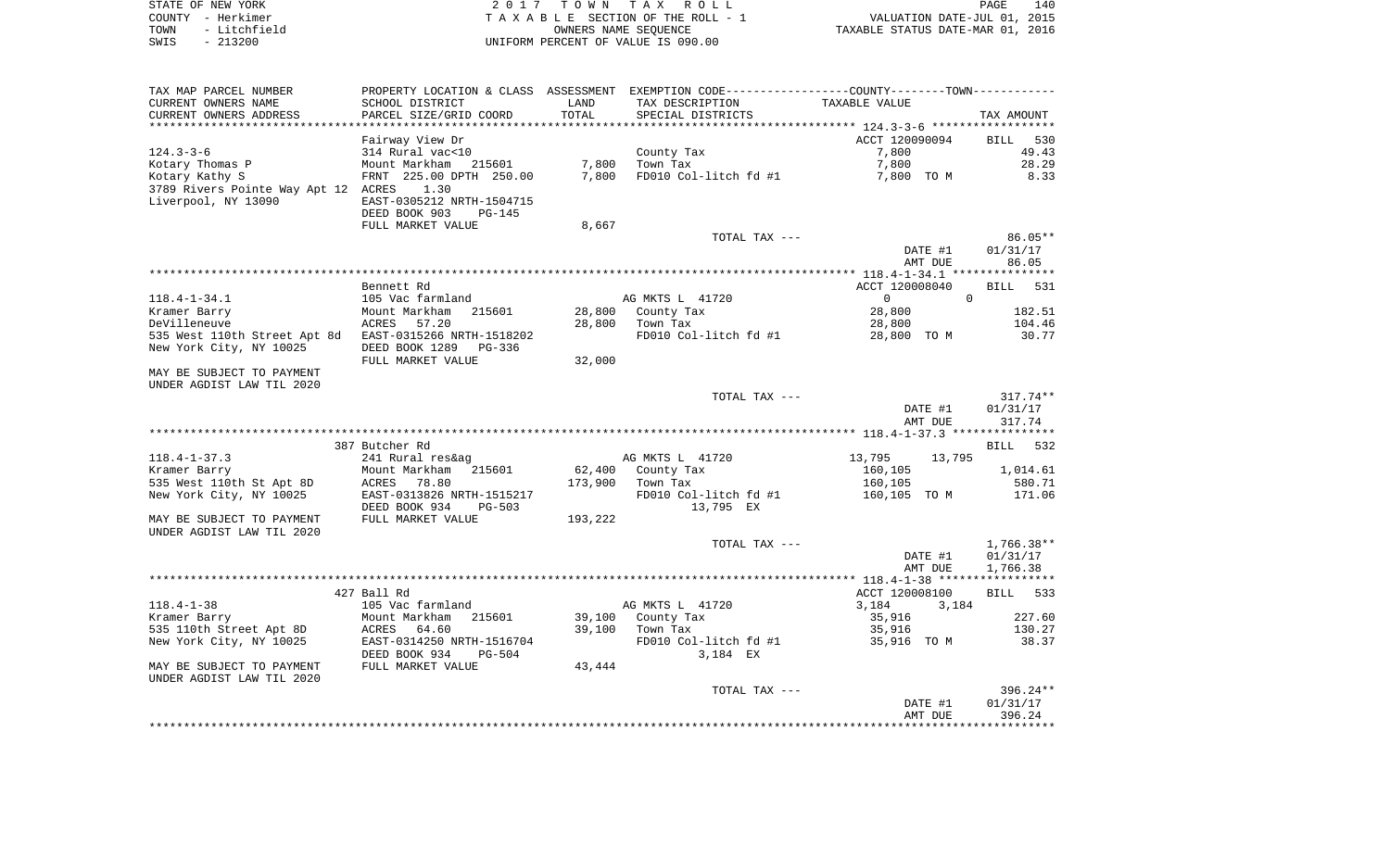|      | STATE OF NEW YORK | 2017 TOWN TAX ROLL                 | PAGE                             | 140 |
|------|-------------------|------------------------------------|----------------------------------|-----|
|      | COUNTY - Herkimer | TAXABLE SECTION OF THE ROLL - 1    | VALUATION DATE-JUL 01, 2015      |     |
| TOWN | - Litchfield      | OWNERS NAME SEOUENCE               | TAXABLE STATUS DATE-MAR 01, 2016 |     |
| SWIS | - 213200          | UNIFORM PERCENT OF VALUE IS 090.00 |                                  |     |

| TAX MAP PARCEL NUMBER               | PROPERTY LOCATION & CLASS ASSESSMENT |         | EXEMPTION CODE-----------------COUNTY--------TOWN----------- |                  |                    |
|-------------------------------------|--------------------------------------|---------|--------------------------------------------------------------|------------------|--------------------|
| CURRENT OWNERS NAME                 | SCHOOL DISTRICT                      | LAND    | TAX DESCRIPTION                                              | TAXABLE VALUE    |                    |
| CURRENT OWNERS ADDRESS              | PARCEL SIZE/GRID COORD               | TOTAL   | SPECIAL DISTRICTS                                            |                  | TAX AMOUNT         |
| **********************              |                                      |         |                                                              |                  |                    |
|                                     | Fairway View Dr                      |         |                                                              | ACCT 120090094   | BILL 530           |
| $124.3 - 3 - 6$                     | 314 Rural vac<10                     |         | County Tax                                                   | 7,800            | 49.43              |
| Kotary Thomas P                     | Mount Markham<br>215601              | 7,800   | Town Tax                                                     | 7,800            | 28.29              |
| Kotary Kathy S                      | FRNT 225.00 DPTH 250.00              | 7,800   | FD010 Col-litch fd #1                                        | 7,800 TO M       | 8.33               |
|                                     | 1.30                                 |         |                                                              |                  |                    |
| 3789 Rivers Pointe Way Apt 12 ACRES |                                      |         |                                                              |                  |                    |
| Liverpool, NY 13090                 | EAST-0305212 NRTH-1504715            |         |                                                              |                  |                    |
|                                     | DEED BOOK 903<br><b>PG-145</b>       |         |                                                              |                  |                    |
|                                     | FULL MARKET VALUE                    | 8,667   |                                                              |                  |                    |
|                                     |                                      |         | TOTAL TAX ---                                                |                  | 86.05**            |
|                                     |                                      |         |                                                              | DATE #1          | 01/31/17           |
|                                     |                                      |         |                                                              | AMT DUE          | 86.05              |
|                                     |                                      |         |                                                              |                  |                    |
|                                     | Bennett Rd                           |         |                                                              | ACCT 120008040   | 531<br>BILL        |
| $118.4 - 1 - 34.1$                  | 105 Vac farmland                     |         | AG MKTS L 41720                                              | $\overline{0}$   | $\Omega$           |
| Kramer Barry                        | Mount Markham<br>215601              | 28,800  | County Tax                                                   | 28,800           | 182.51             |
| DeVilleneuve                        | ACRES<br>57.20                       | 28,800  | Town Tax                                                     | 28,800           | 104.46             |
| 535 West 110th Street Apt 8d        | EAST-0315266 NRTH-1518202            |         | FD010 Col-litch fd #1                                        | 28,800 TO M      | 30.77              |
| New York City, NY 10025             | DEED BOOK 1289<br>PG-336             |         |                                                              |                  |                    |
|                                     | FULL MARKET VALUE                    | 32,000  |                                                              |                  |                    |
| MAY BE SUBJECT TO PAYMENT           |                                      |         |                                                              |                  |                    |
| UNDER AGDIST LAW TIL 2020           |                                      |         |                                                              |                  |                    |
|                                     |                                      |         | TOTAL TAX ---                                                |                  | $317.74**$         |
|                                     |                                      |         |                                                              | DATE #1          | 01/31/17           |
|                                     |                                      |         |                                                              | AMT DUE          | 317.74             |
|                                     |                                      |         |                                                              |                  |                    |
|                                     | 387 Butcher Rd                       |         |                                                              |                  | 532<br><b>BILL</b> |
| $118.4 - 1 - 37.3$                  | 241 Rural res&ag                     |         | AG MKTS L 41720                                              | 13,795<br>13,795 |                    |
| Kramer Barry                        | Mount Markham<br>215601              | 62,400  | County Tax                                                   | 160,105          | 1,014.61           |
| 535 West 110th St Apt 8D            | ACRES<br>78.80                       | 173,900 | Town Tax                                                     | 160,105          | 580.71             |
| New York City, NY 10025             | EAST-0313826 NRTH-1515217            |         | FD010 Col-litch fd #1                                        | 160,105 TO M     | 171.06             |
|                                     | DEED BOOK 934<br>$PG-503$            |         | 13,795 EX                                                    |                  |                    |
| MAY BE SUBJECT TO PAYMENT           | FULL MARKET VALUE                    | 193,222 |                                                              |                  |                    |
|                                     |                                      |         |                                                              |                  |                    |
| UNDER AGDIST LAW TIL 2020           |                                      |         |                                                              |                  |                    |
|                                     |                                      |         | TOTAL TAX ---                                                |                  | $1,766.38**$       |
|                                     |                                      |         |                                                              | DATE #1          | 01/31/17           |
|                                     |                                      |         |                                                              | AMT DUE          | 1,766.38           |
|                                     |                                      |         |                                                              |                  |                    |
|                                     | 427 Ball Rd                          |         |                                                              | ACCT 120008100   | 533<br><b>BILL</b> |
| $118.4 - 1 - 38$                    | 105 Vac farmland                     |         | AG MKTS L 41720                                              | 3,184<br>3,184   |                    |
| Kramer Barry                        | Mount Markham<br>215601              | 39,100  | County Tax                                                   | 35,916           | 227.60             |
| 535 110th Street Apt 8D             | ACRES<br>64.60                       | 39,100  | Town Tax                                                     | 35,916           | 130.27             |
| New York City, NY 10025             | EAST-0314250 NRTH-1516704            |         | FD010 Col-litch fd #1                                        | 35,916 TO M      | 38.37              |
|                                     | DEED BOOK 934<br><b>PG-504</b>       |         | 3,184 EX                                                     |                  |                    |
| MAY BE SUBJECT TO PAYMENT           | FULL MARKET VALUE                    | 43,444  |                                                              |                  |                    |
| UNDER AGDIST LAW TIL 2020           |                                      |         |                                                              |                  |                    |
|                                     |                                      |         | TOTAL TAX ---                                                |                  | 396.24**           |
|                                     |                                      |         |                                                              | DATE #1          | 01/31/17           |
|                                     |                                      |         |                                                              | AMT DUE          | 396.24             |
|                                     |                                      |         |                                                              |                  |                    |
|                                     |                                      |         |                                                              |                  |                    |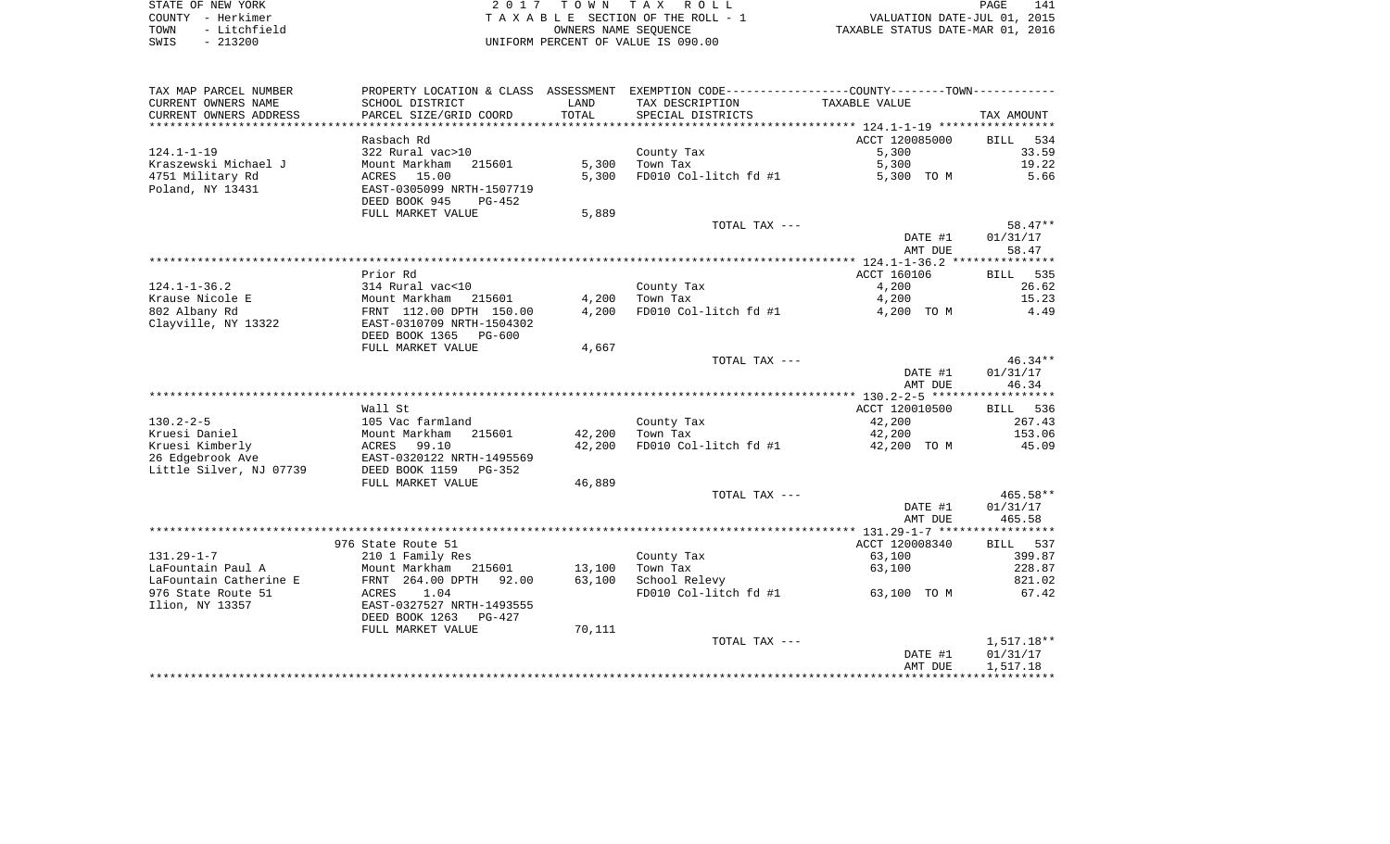| STATE OF NEW YORK |           |              |  |
|-------------------|-----------|--------------|--|
| COUNTY - Herkimer |           |              |  |
| TOWN              |           | - Litchfield |  |
| SMTS              | $-213200$ |              |  |

STATE OF NEW YORK 2 0 1 7 T O W N T A X R O L L PAGE 141TA X A B L E SECTION OF THE ROLL - 1 TOWN - Litchfield OWNERS NAME SEQUENCE TAXABLE STATUS DATE-MAR 01, 2016 SWIS - 213200 UNIFORM PERCENT OF VALUE IS 090.00

| TAX MAP PARCEL NUMBER   |                                 |        | PROPERTY LOCATION & CLASS ASSESSMENT EXEMPTION CODE----------------COUNTY-------TOWN---------- |                |                    |
|-------------------------|---------------------------------|--------|------------------------------------------------------------------------------------------------|----------------|--------------------|
| CURRENT OWNERS NAME     | SCHOOL DISTRICT                 | LAND   | TAX DESCRIPTION                                                                                | TAXABLE VALUE  |                    |
| CURRENT OWNERS ADDRESS  | PARCEL SIZE/GRID COORD          | TOTAL  | SPECIAL DISTRICTS                                                                              |                | TAX AMOUNT         |
|                         |                                 |        |                                                                                                |                |                    |
|                         | Rasbach Rd                      |        |                                                                                                | ACCT 120085000 | <b>BILL</b><br>534 |
| $124.1 - 1 - 19$        | 322 Rural vac>10                |        | County Tax                                                                                     | 5,300          | 33.59              |
| Kraszewski Michael J    | Mount Markham                   | 5,300  | Town Tax                                                                                       |                | 19.22              |
|                         | 215601                          |        |                                                                                                | 5,300          |                    |
| 4751 Military Rd        | ACRES 15.00                     | 5,300  | FD010 Col-litch fd #1                                                                          | 5,300 TO M     | 5.66               |
| Poland, NY 13431        | EAST-0305099 NRTH-1507719       |        |                                                                                                |                |                    |
|                         | DEED BOOK 945<br>PG-452         |        |                                                                                                |                |                    |
|                         | FULL MARKET VALUE               | 5,889  |                                                                                                |                |                    |
|                         |                                 |        | TOTAL TAX ---                                                                                  |                | $58.47**$          |
|                         |                                 |        |                                                                                                | DATE #1        | 01/31/17           |
|                         |                                 |        |                                                                                                | AMT DUE        | 58.47              |
|                         |                                 |        |                                                                                                |                |                    |
|                         | Prior Rd                        |        |                                                                                                | ACCT 160106    |                    |
|                         |                                 |        |                                                                                                |                | BILL 535           |
| $124.1 - 1 - 36.2$      | 314 Rural vac<10                |        | County Tax                                                                                     | 4,200          | 26.62              |
| Krause Nicole E         | Mount Markham<br>215601         | 4,200  | Town Tax                                                                                       | 4,200          | 15.23              |
| 802 Albany Rd           | FRNT 112.00 DPTH 150.00         | 4,200  | FD010 Col-litch fd #1                                                                          | 4,200 TO M     | 4.49               |
| Clayville, NY 13322     | EAST-0310709 NRTH-1504302       |        |                                                                                                |                |                    |
|                         | DEED BOOK 1365<br><b>PG-600</b> |        |                                                                                                |                |                    |
|                         | FULL MARKET VALUE               | 4,667  |                                                                                                |                |                    |
|                         |                                 |        | TOTAL TAX ---                                                                                  |                | $46.34**$          |
|                         |                                 |        |                                                                                                | DATE #1        | 01/31/17           |
|                         |                                 |        |                                                                                                | AMT DUE        | 46.34              |
|                         |                                 |        |                                                                                                |                |                    |
|                         | Wall St                         |        |                                                                                                | ACCT 120010500 | BILL 536           |
|                         |                                 |        |                                                                                                |                |                    |
| $130.2 - 2 - 5$         | 105 Vac farmland                |        | County Tax                                                                                     | 42,200         | 267.43             |
| Kruesi Daniel           | Mount Markham<br>215601         | 42,200 | Town Tax                                                                                       | 42,200         | 153.06             |
| Kruesi Kimberly         | 99.10<br>ACRES                  | 42,200 | FD010 Col-litch fd #1                                                                          | 42,200 TO M    | 45.09              |
| 26 Edgebrook Ave        | EAST-0320122 NRTH-1495569       |        |                                                                                                |                |                    |
| Little Silver, NJ 07739 | DEED BOOK 1159<br>PG-352        |        |                                                                                                |                |                    |
|                         | FULL MARKET VALUE               | 46,889 |                                                                                                |                |                    |
|                         |                                 |        | TOTAL TAX ---                                                                                  |                | 465.58**           |
|                         |                                 |        |                                                                                                | DATE #1        | 01/31/17           |
|                         |                                 |        |                                                                                                | AMT DUE        | 465.58             |
|                         |                                 |        |                                                                                                |                |                    |
|                         |                                 |        |                                                                                                |                |                    |
|                         | 976 State Route 51              |        |                                                                                                | ACCT 120008340 | BILL 537           |
| $131.29 - 1 - 7$        | 210 1 Family Res                |        | County Tax                                                                                     | 63,100         | 399.87             |
| LaFountain Paul A       | Mount Markham<br>215601         | 13,100 | Town Tax                                                                                       | 63,100         | 228.87             |
| LaFountain Catherine E  | FRNT 264.00 DPTH<br>92.00       | 63,100 | School Relevy                                                                                  |                | 821.02             |
| 976 State Route 51      | 1.04<br>ACRES                   |        | FD010 Col-litch fd #1                                                                          | 63,100 TO M    | 67.42              |
| Ilion, NY 13357         | EAST-0327527 NRTH-1493555       |        |                                                                                                |                |                    |
|                         | DEED BOOK 1263<br>$PG-427$      |        |                                                                                                |                |                    |
|                         | FULL MARKET VALUE               | 70,111 |                                                                                                |                |                    |
|                         |                                 |        | TOTAL TAX ---                                                                                  |                | $1,517.18**$       |
|                         |                                 |        |                                                                                                |                |                    |
|                         |                                 |        |                                                                                                | DATE #1        | 01/31/17           |
|                         |                                 |        |                                                                                                | AMT DUE        | 1,517.18           |
|                         |                                 |        |                                                                                                |                |                    |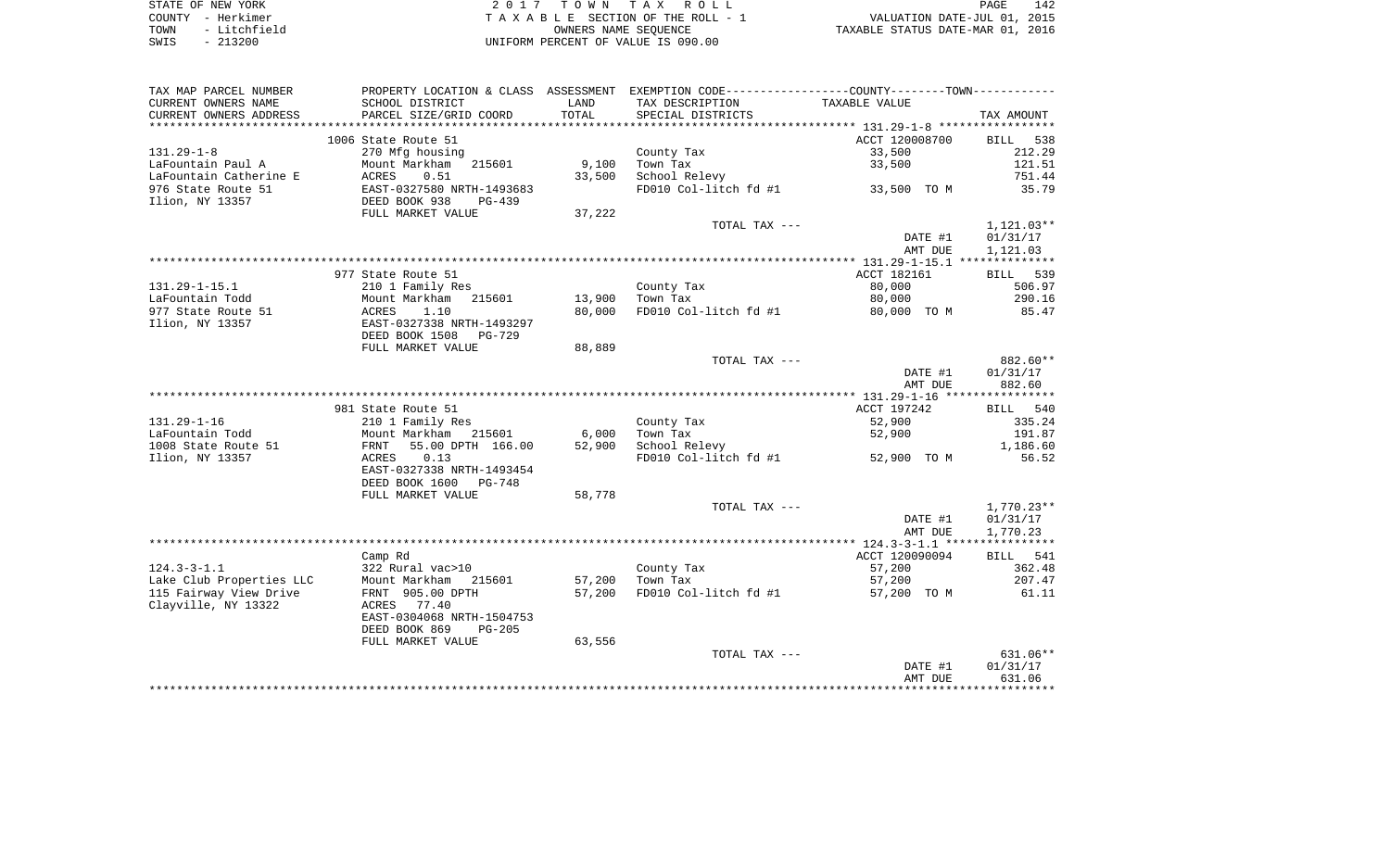| STATE OF NEW YORK    | 2017 TOWN TAX ROLL                 | 142<br>PAGE                      |
|----------------------|------------------------------------|----------------------------------|
| COUNTY - Herkimer    | TAXABLE SECTION OF THE ROLL - 1    | VALUATION DATE-JUL 01, 2015      |
| - Litchfield<br>TOWN | OWNERS NAME SEOUENCE               | TAXABLE STATUS DATE-MAR 01, 2016 |
| $-213200$<br>SWIS    | UNIFORM PERCENT OF VALUE IS 090.00 |                                  |

| TAX MAP PARCEL NUMBER    | PROPERTY LOCATION & CLASS                              | ASSESSMENT    | EXEMPTION CODE-----------------COUNTY-------TOWN-----------         |                |                    |
|--------------------------|--------------------------------------------------------|---------------|---------------------------------------------------------------------|----------------|--------------------|
| CURRENT OWNERS NAME      | SCHOOL DISTRICT                                        | LAND          | TAX DESCRIPTION                                                     | TAXABLE VALUE  |                    |
| CURRENT OWNERS ADDRESS   | PARCEL SIZE/GRID COORD                                 | TOTAL         | SPECIAL DISTRICTS                                                   |                | TAX AMOUNT         |
| ************             |                                                        | ************* | ************************************** 131.29-1-8 ***************** |                |                    |
|                          | 1006 State Route 51                                    |               |                                                                     | ACCT 120008700 | <b>BILL</b><br>538 |
| $131.29 - 1 - 8$         | 270 Mfg housing                                        |               | County Tax                                                          | 33,500         | 212.29             |
| LaFountain Paul A        | Mount Markham<br>215601                                | 9,100         | Town Tax                                                            | 33,500         | 121.51             |
| LaFountain Catherine E   | ACRES<br>0.51                                          | 33,500        | School Relevy                                                       |                | 751.44             |
| 976 State Route 51       | EAST-0327580 NRTH-1493683                              |               | FD010 Col-litch fd #1                                               | 33,500 TO M    | 35.79              |
| Ilion, NY 13357          | DEED BOOK 938<br>$PG-439$                              |               |                                                                     |                |                    |
|                          | FULL MARKET VALUE                                      | 37,222        |                                                                     |                |                    |
|                          |                                                        |               | TOTAL TAX ---                                                       |                | 1,121.03**         |
|                          |                                                        |               |                                                                     | DATE #1        | 01/31/17           |
|                          |                                                        |               |                                                                     | AMT DUE        | 1,121.03           |
|                          | 977 State Route 51                                     |               |                                                                     | ACCT 182161    |                    |
| $131.29 - 1 - 15.1$      | 210 1 Family Res                                       |               | County Tax                                                          | 80,000         | BILL 539<br>506.97 |
| LaFountain Todd          | Mount Markham<br>215601                                | 13,900        | Town Tax                                                            | 80,000         | 290.16             |
| 977 State Route 51       | 1.10<br>ACRES                                          | 80,000        | FD010 Col-litch fd #1                                               | 80,000 TO M    | 85.47              |
| Ilion, NY 13357          | EAST-0327338 NRTH-1493297                              |               |                                                                     |                |                    |
|                          | DEED BOOK 1508<br><b>PG-729</b>                        |               |                                                                     |                |                    |
|                          | FULL MARKET VALUE                                      | 88,889        |                                                                     |                |                    |
|                          |                                                        |               | TOTAL TAX ---                                                       |                | 882.60**           |
|                          |                                                        |               |                                                                     | DATE #1        | 01/31/17           |
|                          |                                                        |               |                                                                     | AMT DUE        | 882.60             |
|                          |                                                        |               |                                                                     |                |                    |
|                          | 981 State Route 51                                     |               |                                                                     | ACCT 197242    | <b>BILL</b><br>540 |
| $131.29 - 1 - 16$        | 210 1 Family Res                                       |               | County Tax                                                          | 52,900         | 335.24             |
| LaFountain Todd          | Mount Markham<br>215601                                | 6,000         | Town Tax                                                            | 52,900         | 191.87             |
| 1008 State Route 51      | 55.00 DPTH 166.00<br>FRNT                              | 52,900        | School Relevy                                                       |                | 1,186.60           |
| Ilion, NY 13357          | 0.13<br>ACRES                                          |               | FD010 Col-litch fd #1                                               | 52,900 TO M    | 56.52              |
|                          | EAST-0327338 NRTH-1493454                              |               |                                                                     |                |                    |
|                          | DEED BOOK 1600<br>PG-748                               |               |                                                                     |                |                    |
|                          | FULL MARKET VALUE                                      | 58,778        |                                                                     |                |                    |
|                          |                                                        |               | TOTAL TAX ---                                                       |                | 1,770.23**         |
|                          |                                                        |               |                                                                     | DATE #1        | 01/31/17           |
|                          |                                                        |               |                                                                     | AMT DUE        | 1,770.23           |
|                          |                                                        |               |                                                                     |                |                    |
|                          | Camp Rd                                                |               |                                                                     | ACCT 120090094 | BILL<br>541        |
| $124.3 - 3 - 1.1$        | 322 Rural vac>10                                       |               | County Tax                                                          | 57,200         | 362.48             |
| Lake Club Properties LLC | Mount Markham<br>215601                                | 57,200        | Town Tax                                                            | 57,200         | 207.47             |
| 115 Fairway View Drive   | FRNT 905.00 DPTH                                       | 57,200        | FD010 Col-litch fd #1                                               | 57,200 TO M    | 61.11              |
| Clayville, NY 13322      | 77.40<br>ACRES                                         |               |                                                                     |                |                    |
|                          | EAST-0304068 NRTH-1504753<br>DEED BOOK 869<br>$PG-205$ |               |                                                                     |                |                    |
|                          | FULL MARKET VALUE                                      | 63,556        |                                                                     |                |                    |
|                          |                                                        |               | TOTAL TAX ---                                                       |                | $631.06**$         |
|                          |                                                        |               |                                                                     | DATE #1        | 01/31/17           |
|                          |                                                        |               |                                                                     | AMT DUE        | 631.06             |
|                          |                                                        |               |                                                                     |                |                    |
|                          |                                                        |               |                                                                     |                |                    |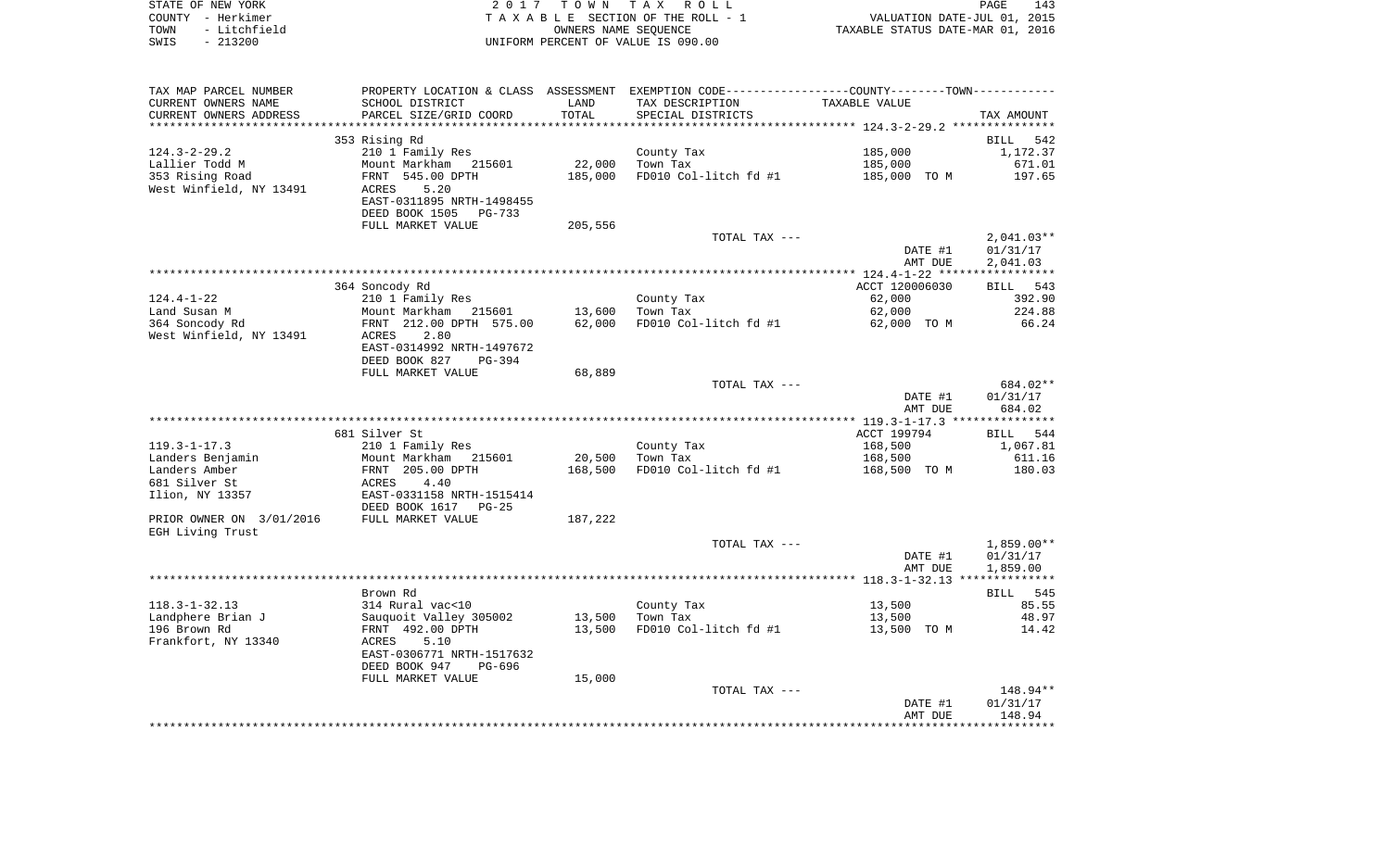|      | STATE OF NEW YORK | 2017 TOWN TAX ROLL                 | PAGE                             | 143 |
|------|-------------------|------------------------------------|----------------------------------|-----|
|      | COUNTY - Herkimer | TAXABLE SECTION OF THE ROLL - 1    | VALUATION DATE-JUL 01, 2015      |     |
| TOWN | - Litchfield      | OWNERS NAME SEOUENCE               | TAXABLE STATUS DATE-MAR 01, 2016 |     |
| SWIS | - 213200          | UNIFORM PERCENT OF VALUE IS 090.00 |                                  |     |

| TAX MAP PARCEL NUMBER<br>CURRENT OWNERS NAME | SCHOOL DISTRICT                                        | LAND    | PROPERTY LOCATION & CLASS ASSESSMENT EXEMPTION CODE---------------COUNTY-------TOWN----------<br>TAX DESCRIPTION | TAXABLE VALUE  |              |
|----------------------------------------------|--------------------------------------------------------|---------|------------------------------------------------------------------------------------------------------------------|----------------|--------------|
| CURRENT OWNERS ADDRESS                       | PARCEL SIZE/GRID COORD                                 | TOTAL   | SPECIAL DISTRICTS                                                                                                |                | TAX AMOUNT   |
|                                              |                                                        |         |                                                                                                                  |                |              |
|                                              | 353 Rising Rd                                          |         |                                                                                                                  |                | BILL 542     |
| $124.3 - 2 - 29.2$                           | 210 1 Family Res                                       |         | County Tax                                                                                                       | 185,000        | 1,172.37     |
| Lallier Todd M                               | Mount Markham 215601                                   | 22,000  | Town Tax                                                                                                         | 185,000        | 671.01       |
| 353 Rising Road                              | FRNT 545.00 DPTH                                       | 185,000 | FD010 Col-litch fd #1                                                                                            | 185,000 TO M   | 197.65       |
| West Winfield, NY 13491                      | 5.20<br>ACRES                                          |         |                                                                                                                  |                |              |
|                                              | EAST-0311895 NRTH-1498455                              |         |                                                                                                                  |                |              |
|                                              | DEED BOOK 1505<br>PG-733                               |         |                                                                                                                  |                |              |
|                                              | FULL MARKET VALUE                                      | 205,556 |                                                                                                                  |                |              |
|                                              |                                                        |         | TOTAL TAX ---                                                                                                    |                | $2,041.03**$ |
|                                              |                                                        |         |                                                                                                                  | DATE #1        | 01/31/17     |
|                                              |                                                        |         |                                                                                                                  | AMT DUE        | 2,041.03     |
|                                              |                                                        |         |                                                                                                                  |                |              |
|                                              | 364 Soncody Rd                                         |         |                                                                                                                  | ACCT 120006030 | BILL 543     |
| $124.4 - 1 - 22$                             | 210 1 Family Res                                       |         | County Tax                                                                                                       | 62,000         | 392.90       |
| Land Susan M                                 | Mount Markham 215601                                   | 13,600  | Town Tax                                                                                                         | 62,000         | 224.88       |
| 364 Soncody Rd                               | FRNT 212.00 DPTH 575.00                                | 62,000  | FD010 Col-litch fd #1                                                                                            | 62,000 TO M    | 66.24        |
| West Winfield, NY 13491                      | 2.80<br>ACRES                                          |         |                                                                                                                  |                |              |
|                                              | EAST-0314992 NRTH-1497672<br>DEED BOOK 827<br>$PG-394$ |         |                                                                                                                  |                |              |
|                                              | FULL MARKET VALUE                                      | 68,889  |                                                                                                                  |                |              |
|                                              |                                                        |         | TOTAL TAX ---                                                                                                    |                | 684.02**     |
|                                              |                                                        |         |                                                                                                                  | DATE #1        | 01/31/17     |
|                                              |                                                        |         |                                                                                                                  | AMT DUE        | 684.02       |
|                                              |                                                        |         |                                                                                                                  |                |              |
|                                              | 681 Silver St                                          |         |                                                                                                                  | ACCT 199794    | BILL 544     |
| $119.3 - 1 - 17.3$                           | 210 1 Family Res                                       |         | County Tax                                                                                                       | 168,500        | 1,067.81     |
| Landers Benjamin                             | Mount Markham 215601                                   | 20,500  | Town Tax                                                                                                         | 168,500        | 611.16       |
| Landers Amber                                | FRNT 205.00 DPTH                                       | 168,500 | FD010 Col-litch fd #1                                                                                            | 168,500 TO M   | 180.03       |
| 681 Silver St                                | 4.40<br>ACRES                                          |         |                                                                                                                  |                |              |
| Ilion, NY 13357                              | EAST-0331158 NRTH-1515414                              |         |                                                                                                                  |                |              |
|                                              | DEED BOOK 1617 PG-25                                   |         |                                                                                                                  |                |              |
| PRIOR OWNER ON 3/01/2016                     | FULL MARKET VALUE                                      | 187,222 |                                                                                                                  |                |              |
| EGH Living Trust                             |                                                        |         |                                                                                                                  |                |              |
|                                              |                                                        |         | TOTAL TAX ---                                                                                                    |                | $1,859.00**$ |
|                                              |                                                        |         |                                                                                                                  | DATE #1        | 01/31/17     |
|                                              |                                                        |         |                                                                                                                  | AMT DUE        | 1,859.00     |
|                                              | Brown Rd                                               |         |                                                                                                                  |                | BILL 545     |
| $118.3 - 1 - 32.13$                          | 314 Rural vac<10                                       |         | County Tax                                                                                                       | 13,500         | 85.55        |
| Landphere Brian J                            | Sauquoit Valley 305002                                 | 13,500  | Town Tax                                                                                                         | 13,500         | 48.97        |
| 196 Brown Rd                                 | FRNT 492.00 DPTH                                       | 13,500  | FD010 Col-litch fd #1                                                                                            | 13,500 TO M    | 14.42        |
| Frankfort, NY 13340                          | ACRES<br>5.10                                          |         |                                                                                                                  |                |              |
|                                              | EAST-0306771 NRTH-1517632                              |         |                                                                                                                  |                |              |
|                                              | DEED BOOK 947<br>PG-696                                |         |                                                                                                                  |                |              |
|                                              | FULL MARKET VALUE                                      | 15,000  |                                                                                                                  |                |              |
|                                              |                                                        |         | TOTAL TAX ---                                                                                                    |                | 148.94**     |
|                                              |                                                        |         |                                                                                                                  | DATE #1        | 01/31/17     |
|                                              |                                                        |         |                                                                                                                  | AMT DUE        | 148.94       |
|                                              |                                                        |         |                                                                                                                  |                |              |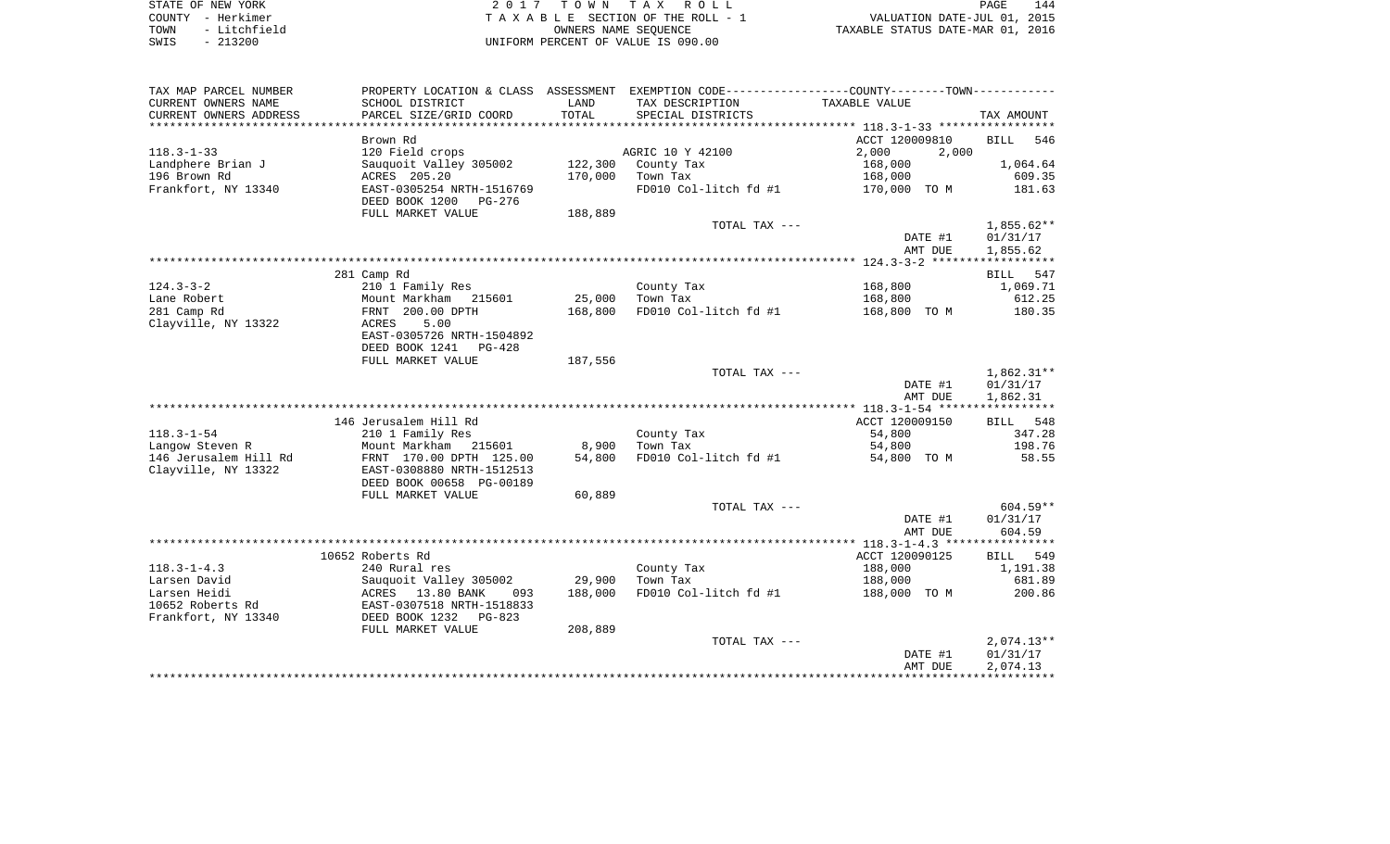|      | STATE OF NEW YORK | 2017 TOWN TAX ROLL                 | 144<br>PAGE                      |
|------|-------------------|------------------------------------|----------------------------------|
|      | COUNTY - Herkimer | TAXABLE SECTION OF THE ROLL - 1    | VALUATION DATE-JUL 01, 2015      |
| TOWN | - Litchfield      | OWNERS NAME SEOUENCE               | TAXABLE STATUS DATE-MAR 01, 2016 |
| SWIS | $-213200$         | UNIFORM PERCENT OF VALUE IS 090.00 |                                  |

|  | PAGE.                          | 144 |
|--|--------------------------------|-----|
|  | VALUATION DATE-JUL 01, 2015    |     |
|  | XABLE STATUS DATE-MAR 01, 2016 |     |

| TAX MAP PARCEL NUMBER  | PROPERTY LOCATION & CLASS ASSESSMENT |         | EXEMPTION CODE-----------------COUNTY--------TOWN----------- |                    |                    |
|------------------------|--------------------------------------|---------|--------------------------------------------------------------|--------------------|--------------------|
| CURRENT OWNERS NAME    | SCHOOL DISTRICT                      | LAND    | TAX DESCRIPTION                                              | TAXABLE VALUE      |                    |
| CURRENT OWNERS ADDRESS | PARCEL SIZE/GRID COORD               | TOTAL   | SPECIAL DISTRICTS                                            |                    | TAX AMOUNT         |
| ********************   | ************************             |         |                                                              |                    |                    |
|                        | Brown Rd                             |         |                                                              | ACCT 120009810     | <b>BILL</b><br>546 |
| $118.3 - 1 - 33$       | 120 Field crops                      |         | AGRIC 10 Y 42100                                             | 2,000<br>2,000     |                    |
| Landphere Brian J      | Sauquoit Valley 305002               | 122,300 | County Tax                                                   | 168,000            | 1,064.64           |
| 196 Brown Rd           | ACRES 205.20                         | 170,000 | Town Tax                                                     | 168,000            | 609.35             |
| Frankfort, NY 13340    | EAST-0305254 NRTH-1516769            |         | FD010 Col-litch fd #1                                        | 170,000 TO M       | 181.63             |
|                        | DEED BOOK 1200 PG-276                |         |                                                              |                    |                    |
|                        | FULL MARKET VALUE                    | 188,889 |                                                              |                    |                    |
|                        |                                      |         | TOTAL TAX ---                                                |                    | $1,855.62**$       |
|                        |                                      |         |                                                              | DATE #1            | 01/31/17           |
|                        |                                      |         |                                                              | AMT DUE            | 1,855.62           |
|                        |                                      |         |                                                              |                    |                    |
|                        | 281 Camp Rd                          |         |                                                              |                    | BILL 547           |
| $124.3 - 3 - 2$        | 210 1 Family Res                     |         | County Tax                                                   | 168,800            | 1,069.71           |
| Lane Robert            | Mount Markham<br>215601              | 25,000  | Town Tax                                                     | 168,800            | 612.25             |
| 281 Camp Rd            | FRNT 200.00 DPTH                     | 168,800 | FD010 Col-litch fd #1                                        | 168,800 TO M       | 180.35             |
| Clayville, NY 13322    | 5.00<br>ACRES                        |         |                                                              |                    |                    |
|                        | EAST-0305726 NRTH-1504892            |         |                                                              |                    |                    |
|                        | DEED BOOK 1241<br>$PG-428$           |         |                                                              |                    |                    |
|                        | FULL MARKET VALUE                    | 187,556 |                                                              |                    |                    |
|                        |                                      |         | TOTAL TAX ---                                                |                    | $1,862.31**$       |
|                        |                                      |         |                                                              | DATE #1<br>AMT DUE | 01/31/17           |
|                        |                                      |         |                                                              |                    | 1,862.31           |
|                        | 146 Jerusalem Hill Rd                |         |                                                              | ACCT 120009150     | BILL 548           |
| $118.3 - 1 - 54$       | 210 1 Family Res                     |         | County Tax                                                   | 54,800             | 347.28             |
| Langow Steven R        | Mount Markham 215601                 | 8,900   | Town Tax                                                     | 54,800             | 198.76             |
| 146 Jerusalem Hill Rd  | FRNT 170.00 DPTH 125.00              | 54,800  | FD010 Col-litch fd #1                                        | 54,800 TO M        | 58.55              |
| Clayville, NY 13322    | EAST-0308880 NRTH-1512513            |         |                                                              |                    |                    |
|                        | DEED BOOK 00658 PG-00189             |         |                                                              |                    |                    |
|                        | FULL MARKET VALUE                    | 60,889  |                                                              |                    |                    |
|                        |                                      |         | TOTAL TAX ---                                                |                    | 604.59**           |
|                        |                                      |         |                                                              | DATE #1            | 01/31/17           |
|                        |                                      |         |                                                              | AMT DUE            | 604.59             |
|                        |                                      |         |                                                              |                    |                    |
|                        | 10652 Roberts Rd                     |         |                                                              | ACCT 120090125     | BILL 549           |
| $118.3 - 1 - 4.3$      | 240 Rural res                        |         | County Tax                                                   | 188,000            | 1,191.38           |
| Larsen David           | Sauquoit Valley 305002               | 29,900  | Town Tax                                                     | 188,000            | 681.89             |
| Larsen Heidi           | ACRES 13.80 BANK<br>093              | 188,000 | FD010 Col-litch fd #1                                        | 188,000 TO M       | 200.86             |
| 10652 Roberts Rd       | EAST-0307518 NRTH-1518833            |         |                                                              |                    |                    |
| Frankfort, NY 13340    | DEED BOOK 1232 PG-823                |         |                                                              |                    |                    |
|                        | FULL MARKET VALUE                    | 208,889 |                                                              |                    |                    |
|                        |                                      |         | TOTAL TAX ---                                                |                    | $2,074.13**$       |
|                        |                                      |         |                                                              | DATE #1            | 01/31/17           |
|                        |                                      |         |                                                              | AMT DUE            | 2,074.13           |
|                        |                                      |         |                                                              |                    |                    |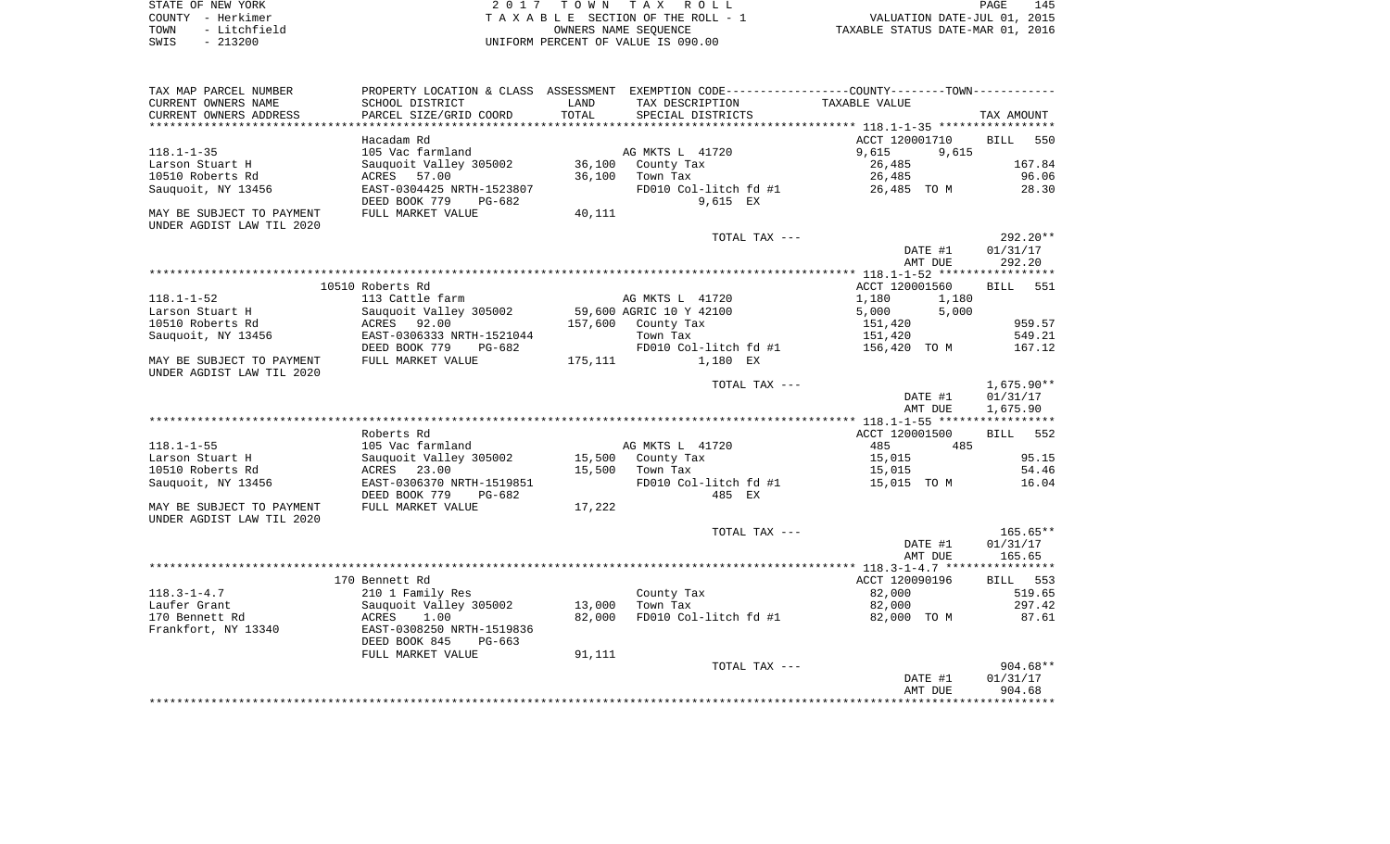| STATE OF NEW YORK |           |              |  |
|-------------------|-----------|--------------|--|
| COUNTY - Herkimer |           |              |  |
| TOWN              |           | - Litchfield |  |
| SWTS              | $-213200$ |              |  |

STATE OF NEW YORK 2 0 1 7 T O W N T A X R O L L PAGE 145TA X A B L E SECTION OF THE ROLL - 1 TOWN - Litchfield OWNERS NAME SEQUENCE TAXABLE STATUS DATE-MAR 01, 2016 SWIS - 213200 UNIFORM PERCENT OF VALUE IS 090.00

| TAX MAP PARCEL NUMBER     | PROPERTY LOCATION & CLASS ASSESSMENT EXEMPTION CODE----------------COUNTY-------TOWN---------- |         |                         |                |                    |
|---------------------------|------------------------------------------------------------------------------------------------|---------|-------------------------|----------------|--------------------|
| CURRENT OWNERS NAME       | SCHOOL DISTRICT                                                                                | LAND    | TAX DESCRIPTION         | TAXABLE VALUE  |                    |
| CURRENT OWNERS ADDRESS    | PARCEL SIZE/GRID COORD                                                                         | TOTAL   | SPECIAL DISTRICTS       |                | TAX AMOUNT         |
|                           |                                                                                                |         |                         |                |                    |
|                           | Hacadam Rd                                                                                     |         |                         | ACCT 120001710 | <b>BILL</b><br>550 |
| $118.1 - 1 - 35$          | 105 Vac farmland                                                                               |         | AG MKTS L 41720         | 9,615<br>9,615 |                    |
| Larson Stuart H           | Sauquoit Valley 305002                                                                         | 36,100  | County Tax              | 26,485         | 167.84             |
| 10510 Roberts Rd          | ACRES 57.00                                                                                    | 36,100  | Town Tax                | 26,485         | 96.06              |
| Sauquoit, NY 13456        | EAST-0304425 NRTH-1523807                                                                      |         | FD010 Col-litch fd #1   | 26,485 TO M    | 28.30              |
|                           | DEED BOOK 779<br>PG-682                                                                        |         | 9,615 EX                |                |                    |
| MAY BE SUBJECT TO PAYMENT | FULL MARKET VALUE                                                                              | 40,111  |                         |                |                    |
| UNDER AGDIST LAW TIL 2020 |                                                                                                |         |                         |                |                    |
|                           |                                                                                                |         | TOTAL TAX ---           |                | $292.20**$         |
|                           |                                                                                                |         |                         | DATE #1        | 01/31/17           |
|                           |                                                                                                |         |                         | AMT DUE        | 292.20             |
|                           |                                                                                                |         |                         |                |                    |
|                           | 10510 Roberts Rd                                                                               |         |                         | ACCT 120001560 | BILL 551           |
| $118.1 - 1 - 52$          | 113 Cattle farm                                                                                |         | AG MKTS L 41720         | 1,180<br>1,180 |                    |
| Larson Stuart H           | Sauguoit Valley 305002                                                                         |         | 59,600 AGRIC 10 Y 42100 | 5,000<br>5,000 |                    |
| 10510 Roberts Rd          | ACRES 92.00                                                                                    |         | 157,600 County Tax      | 151,420        | 959.57             |
| Sauquoit, NY 13456        | EAST-0306333 NRTH-1521044                                                                      |         | Town Tax                | 151,420        | 549.21             |
|                           | DEED BOOK 779<br>PG-682                                                                        |         | FD010 Col-litch fd #1   | 156,420   TO M | 167.12             |
| MAY BE SUBJECT TO PAYMENT | FULL MARKET VALUE                                                                              | 175,111 | 1,180 EX                |                |                    |
| UNDER AGDIST LAW TIL 2020 |                                                                                                |         |                         |                |                    |
|                           |                                                                                                |         | TOTAL TAX ---           |                | $1,675.90**$       |
|                           |                                                                                                |         |                         | DATE #1        | 01/31/17           |
|                           |                                                                                                |         |                         | AMT DUE        | 1,675.90           |
|                           |                                                                                                |         |                         |                |                    |
|                           | Roberts Rd                                                                                     |         |                         | ACCT 120001500 | 552<br><b>BILL</b> |
| $118.1 - 1 - 55$          | 105 Vac farmland                                                                               |         | AG MKTS L 41720         | 485<br>485     |                    |
| Larson Stuart H           | Sauguoit Valley 305002                                                                         | 15,500  | County Tax              | 15,015         | 95.15              |
| 10510 Roberts Rd          | ACRES<br>23.00                                                                                 | 15,500  | Town Tax                | 15,015         | 54.46              |
| Sauquoit, NY 13456        | EAST-0306370 NRTH-1519851                                                                      |         | FD010 Col-litch fd #1   | 15,015 TO M    | 16.04              |
|                           | DEED BOOK 779<br>PG-682                                                                        |         | 485 EX                  |                |                    |
| MAY BE SUBJECT TO PAYMENT | FULL MARKET VALUE                                                                              | 17,222  |                         |                |                    |
| UNDER AGDIST LAW TIL 2020 |                                                                                                |         |                         |                |                    |
|                           |                                                                                                |         | TOTAL TAX ---           |                | $165.65**$         |
|                           |                                                                                                |         |                         | DATE #1        | 01/31/17           |
|                           |                                                                                                |         |                         | AMT DUE        | 165.65             |
|                           |                                                                                                |         |                         |                |                    |
|                           | 170 Bennett Rd                                                                                 |         |                         | ACCT 120090196 | BILL 553           |
| $118.3 - 1 - 4.7$         | 210 1 Family Res                                                                               |         | County Tax              | 82,000         | 519.65             |
| Laufer Grant              | Sauguoit Valley 305002                                                                         | 13,000  | Town Tax                | 82,000         | 297.42             |
| 170 Bennett Rd            | 1.00<br><b>ACRES</b>                                                                           | 82,000  | FD010 Col-litch fd #1   | 82,000 TO M    | 87.61              |
| Frankfort, NY 13340       | EAST-0308250 NRTH-1519836                                                                      |         |                         |                |                    |
|                           | DEED BOOK 845<br>$PG-663$                                                                      |         |                         |                |                    |
|                           | FULL MARKET VALUE                                                                              | 91,111  |                         |                |                    |
|                           |                                                                                                |         | TOTAL TAX ---           |                | $904.68**$         |
|                           |                                                                                                |         |                         | DATE #1        | 01/31/17           |
|                           |                                                                                                |         |                         | AMT DUE        | 904.68             |
|                           |                                                                                                |         |                         |                |                    |
|                           |                                                                                                |         |                         |                |                    |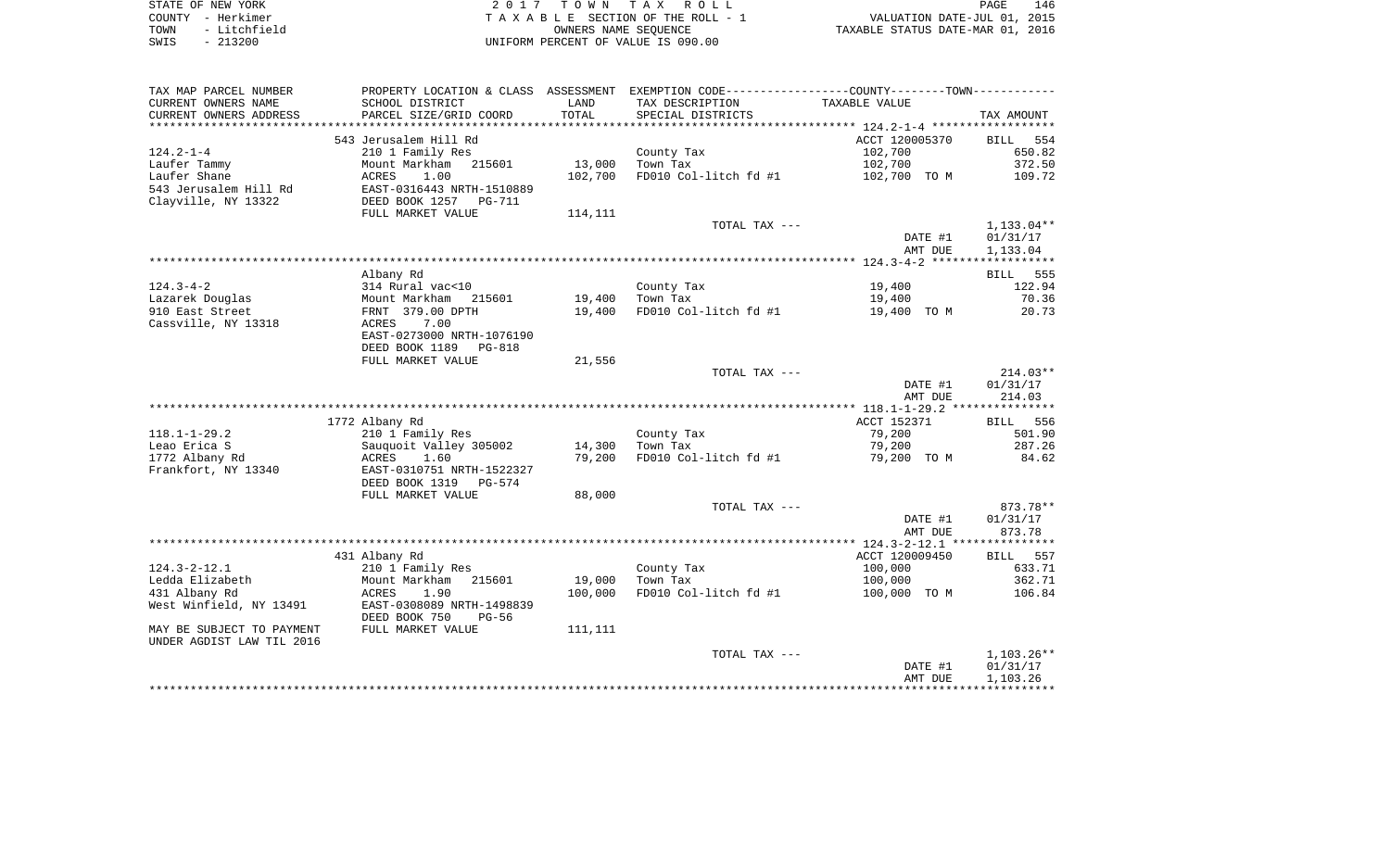| STATE OF NEW YORK    | 2017 TOWN TAX ROLL                 | 146<br>PAGE                      |
|----------------------|------------------------------------|----------------------------------|
| COUNTY - Herkimer    | TAXABLE SECTION OF THE ROLL - 1    | VALUATION DATE-JUL 01, 2015      |
| - Litchfield<br>TOWN | OWNERS NAME SEOUENCE               | TAXABLE STATUS DATE-MAR 01, 2016 |
| $-213200$<br>SWIS    | UNIFORM PERCENT OF VALUE IS 090.00 |                                  |

| TAX MAP PARCEL NUMBER     |                                 |         | PROPERTY LOCATION & CLASS ASSESSMENT EXEMPTION CODE----------------COUNTY--------TOWN----------- |                |                        |
|---------------------------|---------------------------------|---------|--------------------------------------------------------------------------------------------------|----------------|------------------------|
| CURRENT OWNERS NAME       | SCHOOL DISTRICT                 | LAND    | TAX DESCRIPTION                                                                                  | TAXABLE VALUE  |                        |
| CURRENT OWNERS ADDRESS    | PARCEL SIZE/GRID COORD          | TOTAL   | SPECIAL DISTRICTS                                                                                |                | TAX AMOUNT             |
| *******************       |                                 |         |                                                                                                  |                |                        |
|                           | 543 Jerusalem Hill Rd           |         |                                                                                                  | ACCT 120005370 | <b>BILL</b><br>554     |
| $124.2 - 1 - 4$           | 210 1 Family Res                |         | County Tax                                                                                       | 102,700        | 650.82                 |
| Laufer Tammy              | Mount Markham<br>215601         | 13,000  | Town Tax                                                                                         | 102,700        | 372.50                 |
| Laufer Shane              | ACRES<br>1.00                   | 102,700 | FD010 Col-litch fd #1                                                                            | 102,700 TO M   | 109.72                 |
| 543 Jerusalem Hill Rd     | EAST-0316443 NRTH-1510889       |         |                                                                                                  |                |                        |
| Clayville, NY 13322       | DEED BOOK 1257<br>PG-711        |         |                                                                                                  |                |                        |
|                           | FULL MARKET VALUE               | 114,111 |                                                                                                  |                |                        |
|                           |                                 |         | TOTAL TAX ---                                                                                    |                | 1,133.04**             |
|                           |                                 |         |                                                                                                  | DATE #1        | 01/31/17               |
|                           |                                 |         |                                                                                                  | AMT DUE        | 1,133.04               |
|                           |                                 |         |                                                                                                  |                |                        |
|                           | Albany Rd                       |         |                                                                                                  |                | 555<br>BILL            |
| $124.3 - 4 - 2$           | 314 Rural vac<10                |         | County Tax                                                                                       | 19,400         | 122.94                 |
| Lazarek Douglas           | Mount Markham<br>215601         | 19,400  | Town Tax                                                                                         | 19,400         | 70.36                  |
| 910 East Street           | FRNT 379.00 DPTH                | 19,400  | FD010 Col-litch fd #1                                                                            | 19,400 TO M    | 20.73                  |
| Cassville, NY 13318       | ACRES<br>7.00                   |         |                                                                                                  |                |                        |
|                           | EAST-0273000 NRTH-1076190       |         |                                                                                                  |                |                        |
|                           | DEED BOOK 1189<br><b>PG-818</b> |         |                                                                                                  |                |                        |
|                           | FULL MARKET VALUE               | 21,556  |                                                                                                  |                |                        |
|                           |                                 |         | TOTAL TAX ---                                                                                    |                | $214.03**$             |
|                           |                                 |         |                                                                                                  | DATE #1        | 01/31/17               |
|                           |                                 |         |                                                                                                  | AMT DUE        | 214.03                 |
|                           |                                 |         |                                                                                                  |                |                        |
|                           | 1772 Albany Rd                  |         |                                                                                                  | ACCT 152371    | 556<br><b>BILL</b>     |
| $118.1 - 1 - 29.2$        | 210 1 Family Res                |         | County Tax                                                                                       | 79,200         | 501.90                 |
| Leao Erica S              | Sauquoit Valley 305002          | 14,300  | Town Tax                                                                                         | 79,200         | 287.26                 |
| 1772 Albany Rd            | 1.60<br>ACRES                   | 79,200  | FD010 Col-litch fd #1                                                                            | 79,200 TO M    | 84.62                  |
| Frankfort, NY 13340       | EAST-0310751 NRTH-1522327       |         |                                                                                                  |                |                        |
|                           | DEED BOOK 1319<br>PG-574        |         |                                                                                                  |                |                        |
|                           | FULL MARKET VALUE               | 88,000  |                                                                                                  |                |                        |
|                           |                                 |         | TOTAL TAX ---                                                                                    |                | 873.78**               |
|                           |                                 |         |                                                                                                  | DATE #1        | 01/31/17               |
|                           |                                 |         |                                                                                                  | AMT DUE        | 873.78                 |
|                           |                                 |         |                                                                                                  |                |                        |
|                           | 431 Albany Rd                   |         |                                                                                                  | ACCT 120009450 | 557<br><b>BILL</b>     |
| $124.3 - 2 - 12.1$        | 210 1 Family Res                |         | County Tax                                                                                       | 100,000        | 633.71                 |
| Ledda Elizabeth           | Mount Markham<br>215601         | 19,000  | Town Tax                                                                                         | 100,000        | 362.71                 |
| 431 Albany Rd             | ACRES<br>1.90                   | 100,000 | FD010 Col-litch fd #1                                                                            | 100,000 TO M   | 106.84                 |
| West Winfield, NY 13491   | EAST-0308089 NRTH-1498839       |         |                                                                                                  |                |                        |
|                           | DEED BOOK 750<br>$PG-56$        |         |                                                                                                  |                |                        |
| MAY BE SUBJECT TO PAYMENT | FULL MARKET VALUE               | 111,111 |                                                                                                  |                |                        |
| UNDER AGDIST LAW TIL 2016 |                                 |         |                                                                                                  |                |                        |
|                           |                                 |         | TOTAL TAX ---                                                                                    | DATE #1        | 1,103.26**<br>01/31/17 |
|                           |                                 |         |                                                                                                  | AMT DUE        | 1,103.26               |
|                           |                                 |         |                                                                                                  |                |                        |
|                           |                                 |         |                                                                                                  |                |                        |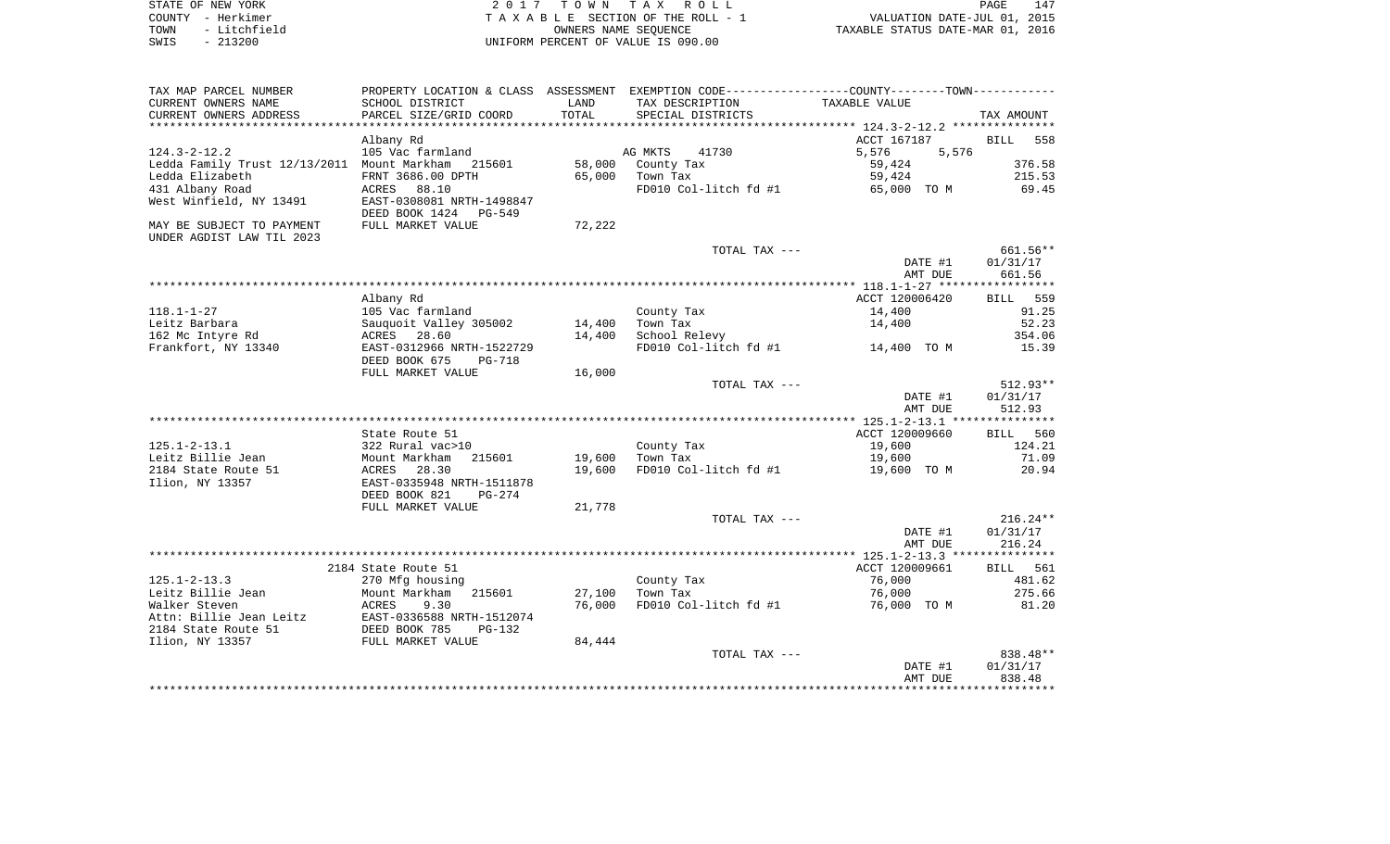| STATE OF NEW YORK |              | 2017 TOWN TAX ROLL                 |                                  | PAGE | 147 |
|-------------------|--------------|------------------------------------|----------------------------------|------|-----|
| COUNTY - Herkimer |              | TAXABLE SECTION OF THE ROLL - 1    | VALUATION DATE-JUL 01, 2015      |      |     |
| TOWN              | - Litchfield | OWNERS NAME SEOUENCE               | TAXABLE STATUS DATE-MAR 01, 2016 |      |     |
| $-213200$<br>SWIS |              | UNIFORM PERCENT OF VALUE IS 090.00 |                                  |      |     |

| TAX MAP PARCEL NUMBER                       | PROPERTY LOCATION & CLASS ASSESSMENT EXEMPTION CODE---------------COUNTY-------TOWN---------- |        |                       |                |                    |
|---------------------------------------------|-----------------------------------------------------------------------------------------------|--------|-----------------------|----------------|--------------------|
| CURRENT OWNERS NAME                         | SCHOOL DISTRICT                                                                               | LAND   | TAX DESCRIPTION       | TAXABLE VALUE  |                    |
| CURRENT OWNERS ADDRESS                      | PARCEL SIZE/GRID COORD                                                                        | TOTAL  | SPECIAL DISTRICTS     |                | TAX AMOUNT         |
|                                             |                                                                                               |        |                       |                |                    |
|                                             | Albany Rd                                                                                     |        |                       | ACCT 167187    | 558<br><b>BILL</b> |
| $124.3 - 2 - 12.2$                          | 105 Vac farmland                                                                              |        | AG MKTS<br>41730      | 5,576<br>5,576 |                    |
| Ledda Family Trust 12/13/2011 Mount Markham | 215601                                                                                        | 58,000 | County Tax            | 59,424         | 376.58             |
| Ledda Elizabeth                             | FRNT 3686.00 DPTH                                                                             | 65,000 | Town Tax              | 59,424         | 215.53             |
| 431 Albany Road                             | ACRES 88.10                                                                                   |        | FD010 Col-litch fd #1 | 65,000 TO M    | 69.45              |
| West Winfield, NY 13491                     | EAST-0308081 NRTH-1498847                                                                     |        |                       |                |                    |
|                                             | DEED BOOK 1424 PG-549                                                                         |        |                       |                |                    |
| MAY BE SUBJECT TO PAYMENT                   | FULL MARKET VALUE                                                                             | 72,222 |                       |                |                    |
| UNDER AGDIST LAW TIL 2023                   |                                                                                               |        |                       |                |                    |
|                                             |                                                                                               |        | TOTAL TAX ---         |                | 661.56**           |
|                                             |                                                                                               |        |                       | DATE #1        | 01/31/17           |
|                                             |                                                                                               |        |                       | AMT DUE        | 661.56             |
|                                             |                                                                                               |        |                       |                |                    |
|                                             | Albany Rd                                                                                     |        |                       | ACCT 120006420 | BILL 559           |
| $118.1 - 1 - 27$                            | 105 Vac farmland                                                                              |        | County Tax            | 14,400         | 91.25              |
| Leitz Barbara                               | Sauquoit Valley 305002                                                                        | 14,400 | Town Tax              | 14,400         | 52.23              |
| 162 Mc Intyre Rd                            | ACRES 28.60                                                                                   | 14,400 | School Relevy         |                | 354.06             |
| Frankfort, NY 13340                         | EAST-0312966 NRTH-1522729                                                                     |        | FD010 Col-litch fd #1 | 14,400 TO M    | 15.39              |
|                                             | DEED BOOK 675<br>PG-718                                                                       |        |                       |                |                    |
|                                             | FULL MARKET VALUE                                                                             | 16,000 |                       |                |                    |
|                                             |                                                                                               |        | TOTAL TAX ---         |                | $512.93**$         |
|                                             |                                                                                               |        |                       | DATE #1        | 01/31/17           |
|                                             |                                                                                               |        |                       | AMT DUE        | 512.93             |
|                                             |                                                                                               |        |                       |                |                    |
|                                             | State Route 51                                                                                |        |                       | ACCT 120009660 | <b>BILL</b><br>560 |
|                                             |                                                                                               |        |                       |                |                    |
| $125.1 - 2 - 13.1$                          | 322 Rural vac>10                                                                              |        | County Tax            | 19,600         | 124.21             |
| Leitz Billie Jean                           | Mount Markham<br>215601                                                                       | 19,600 | Town Tax              | 19,600         | 71.09              |
| 2184 State Route 51                         | ACRES<br>28.30                                                                                | 19,600 | FD010 Col-litch fd #1 | 19,600 TO M    | 20.94              |
| Ilion, NY 13357                             | EAST-0335948 NRTH-1511878                                                                     |        |                       |                |                    |
|                                             | DEED BOOK 821<br>$PG-274$                                                                     |        |                       |                |                    |
|                                             | FULL MARKET VALUE                                                                             | 21,778 |                       |                |                    |
|                                             |                                                                                               |        | TOTAL TAX ---         |                | $216.24**$         |
|                                             |                                                                                               |        |                       | DATE #1        | 01/31/17           |
|                                             |                                                                                               |        |                       | AMT DUE        | 216.24             |
|                                             |                                                                                               |        |                       |                |                    |
|                                             | 2184 State Route 51                                                                           |        |                       | ACCT 120009661 | <b>BILL</b><br>561 |
| $125.1 - 2 - 13.3$                          | 270 Mfg housing                                                                               |        | County Tax            | 76,000         | 481.62             |
| Leitz Billie Jean                           | Mount Markham<br>215601                                                                       | 27,100 | Town Tax              | 76,000         | 275.66             |
| Walker Steven                               | <b>ACRES</b><br>9.30                                                                          | 76,000 | FD010 Col-litch fd #1 | 76,000 TO M    | 81.20              |
| Attn: Billie Jean Leitz                     | EAST-0336588 NRTH-1512074                                                                     |        |                       |                |                    |
| 2184 State Route 51                         | DEED BOOK 785<br>$PG-132$                                                                     |        |                       |                |                    |
| Ilion, NY 13357                             | FULL MARKET VALUE                                                                             | 84,444 |                       |                |                    |
|                                             |                                                                                               |        | TOTAL TAX ---         |                | 838.48**           |
|                                             |                                                                                               |        |                       | DATE #1        | 01/31/17           |
|                                             |                                                                                               |        |                       | AMT DUE        | 838.48             |
|                                             |                                                                                               |        |                       |                |                    |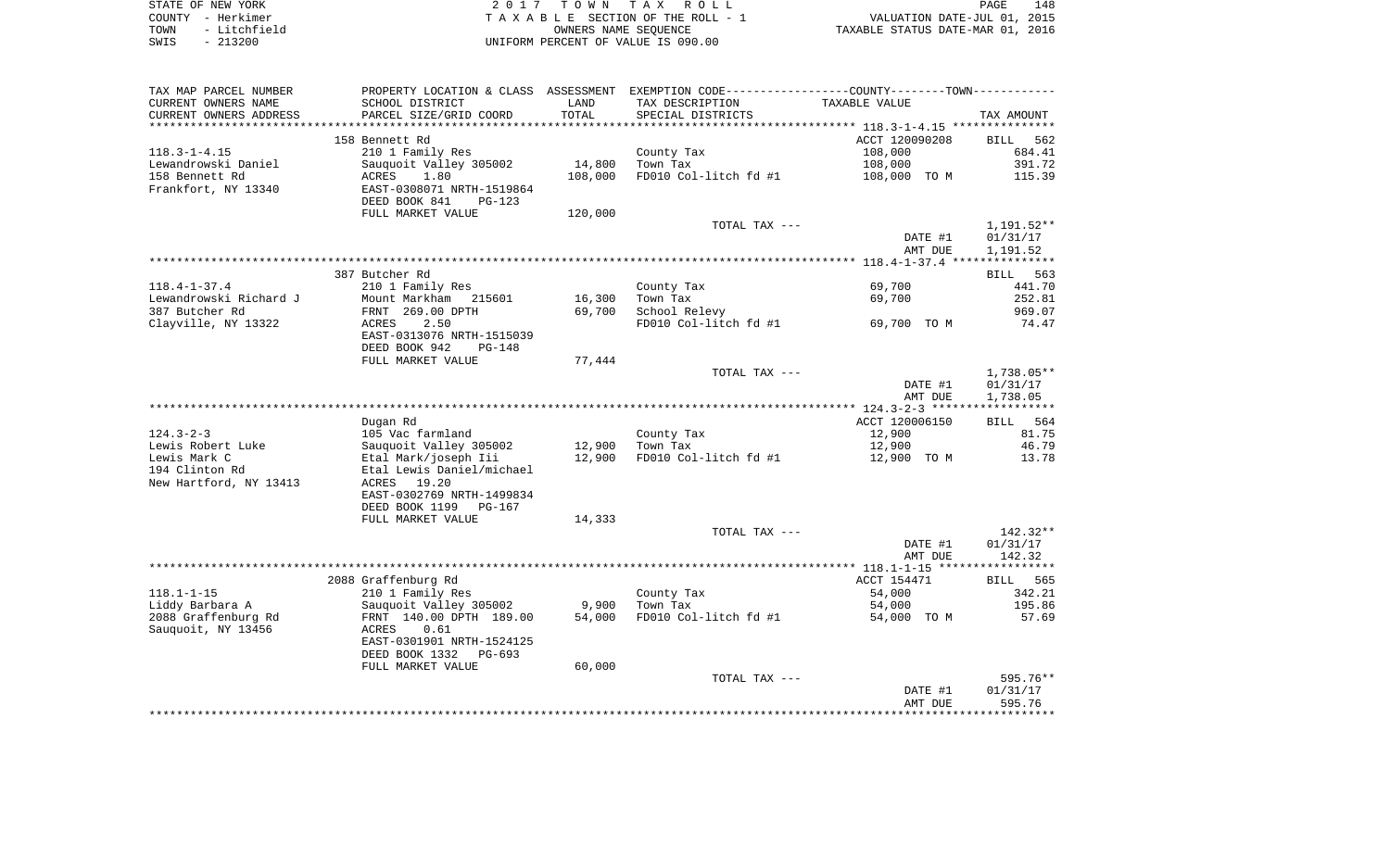| STATE OF NEW YORK |              | 2017 TOWN TAX ROLL                 | PAGE                             | ⊥48 |
|-------------------|--------------|------------------------------------|----------------------------------|-----|
| COUNTY - Herkimer |              | TAXABLE SECTION OF THE ROLL - 1    | VALUATION DATE-JUL 01, 2015      |     |
| TOWN              | - Litchfield | OWNERS NAME SEOUENCE               | TAXABLE STATUS DATE-MAR 01, 2016 |     |
| $-213200$<br>SWIS |              | UNIFORM PERCENT OF VALUE IS 090.00 |                                  |     |

| TAX MAP PARCEL NUMBER          | PROPERTY LOCATION & CLASS ASSESSMENT     |         | EXEMPTION CODE-----------------COUNTY-------TOWN----------- |                    |                        |
|--------------------------------|------------------------------------------|---------|-------------------------------------------------------------|--------------------|------------------------|
| CURRENT OWNERS NAME            | SCHOOL DISTRICT                          | LAND    | TAX DESCRIPTION                                             | TAXABLE VALUE      |                        |
| CURRENT OWNERS ADDRESS         | PARCEL SIZE/GRID COORD                   | TOTAL   | SPECIAL DISTRICTS                                           |                    | TAX AMOUNT             |
| **********************         |                                          |         |                                                             |                    |                        |
|                                | 158 Bennett Rd                           |         |                                                             | ACCT 120090208     | BILL 562               |
| $118.3 - 1 - 4.15$             | 210 1 Family Res                         |         | County Tax                                                  | 108,000            | 684.41                 |
| Lewandrowski Daniel            | Sauquoit Valley 305002                   | 14,800  | Town Tax                                                    | 108,000            | 391.72                 |
| 158 Bennett Rd                 | <b>ACRES</b><br>1.80                     | 108,000 | FD010 Col-litch fd #1                                       | 108,000 TO M       | 115.39                 |
| Frankfort, NY 13340            | EAST-0308071 NRTH-1519864                |         |                                                             |                    |                        |
|                                | DEED BOOK 841<br>PG-123                  |         |                                                             |                    |                        |
|                                | FULL MARKET VALUE                        | 120,000 |                                                             |                    |                        |
|                                |                                          |         | TOTAL TAX ---                                               |                    | 1,191.52**<br>01/31/17 |
|                                |                                          |         |                                                             | DATE #1<br>AMT DUE | 1,191.52               |
|                                |                                          |         |                                                             |                    |                        |
|                                | 387 Butcher Rd                           |         |                                                             |                    | BILL 563               |
| $118.4 - 1 - 37.4$             | 210 1 Family Res                         |         | County Tax                                                  | 69,700             | 441.70                 |
| Lewandrowski Richard J         | Mount Markham<br>215601                  | 16,300  | Town Tax                                                    | 69,700             | 252.81                 |
| 387 Butcher Rd                 | FRNT 269.00 DPTH                         | 69,700  | School Relevy                                               |                    | 969.07                 |
| Clayville, NY 13322            | ACRES<br>2.50                            |         | FD010 Col-litch fd #1                                       | 69,700 TO M        | 74.47                  |
|                                | EAST-0313076 NRTH-1515039                |         |                                                             |                    |                        |
|                                | DEED BOOK 942<br>$PG-148$                |         |                                                             |                    |                        |
|                                | FULL MARKET VALUE                        | 77,444  |                                                             |                    |                        |
|                                |                                          |         | TOTAL TAX ---                                               |                    | $1,738.05**$           |
|                                |                                          |         |                                                             | DATE #1            | 01/31/17               |
|                                |                                          |         |                                                             | AMT DUE            | 1,738.05               |
|                                |                                          |         |                                                             |                    |                        |
|                                | Dugan Rd                                 |         |                                                             | ACCT 120006150     | BILL 564               |
| $124.3 - 2 - 3$                | 105 Vac farmland                         |         | County Tax                                                  | 12,900             | 81.75                  |
| Lewis Robert Luke              | Sauquoit Valley 305002                   | 12,900  | Town Tax                                                    | 12,900             | 46.79                  |
| Lewis Mark C<br>194 Clinton Rd | Etal Mark/joseph Iii                     | 12,900  | FD010 Col-litch fd #1                                       | 12,900 TO M        | 13.78                  |
| New Hartford, NY 13413         | Etal Lewis Daniel/michael<br>ACRES 19.20 |         |                                                             |                    |                        |
|                                | EAST-0302769 NRTH-1499834                |         |                                                             |                    |                        |
|                                | DEED BOOK 1199<br>$PG-167$               |         |                                                             |                    |                        |
|                                | FULL MARKET VALUE                        | 14,333  |                                                             |                    |                        |
|                                |                                          |         | TOTAL TAX ---                                               |                    | $142.32**$             |
|                                |                                          |         |                                                             | DATE #1            | 01/31/17               |
|                                |                                          |         |                                                             | AMT DUE            | 142.32                 |
|                                |                                          |         |                                                             |                    |                        |
|                                | 2088 Graffenburg Rd                      |         |                                                             | ACCT 154471        | BILL 565               |
| $118.1 - 1 - 15$               | 210 1 Family Res                         |         | County Tax                                                  | 54,000             | 342.21                 |
| Liddy Barbara A                | Sauquoit Valley 305002                   | 9,900   | Town Tax                                                    | 54,000             | 195.86                 |
| 2088 Graffenburg Rd            | FRNT 140.00 DPTH 189.00                  | 54,000  | FD010 Col-litch fd #1                                       | 54,000 TO M        | 57.69                  |
| Sauquoit, NY 13456             | 0.61<br>ACRES                            |         |                                                             |                    |                        |
|                                | EAST-0301901 NRTH-1524125                |         |                                                             |                    |                        |
|                                | DEED BOOK 1332<br>PG-693                 |         |                                                             |                    |                        |
|                                | FULL MARKET VALUE                        | 60,000  |                                                             |                    |                        |
|                                |                                          |         | TOTAL TAX ---                                               |                    | 595.76**               |
|                                |                                          |         |                                                             | DATE #1            | 01/31/17               |
|                                |                                          |         |                                                             | AMT DUE            | 595.76                 |
|                                |                                          |         |                                                             |                    |                        |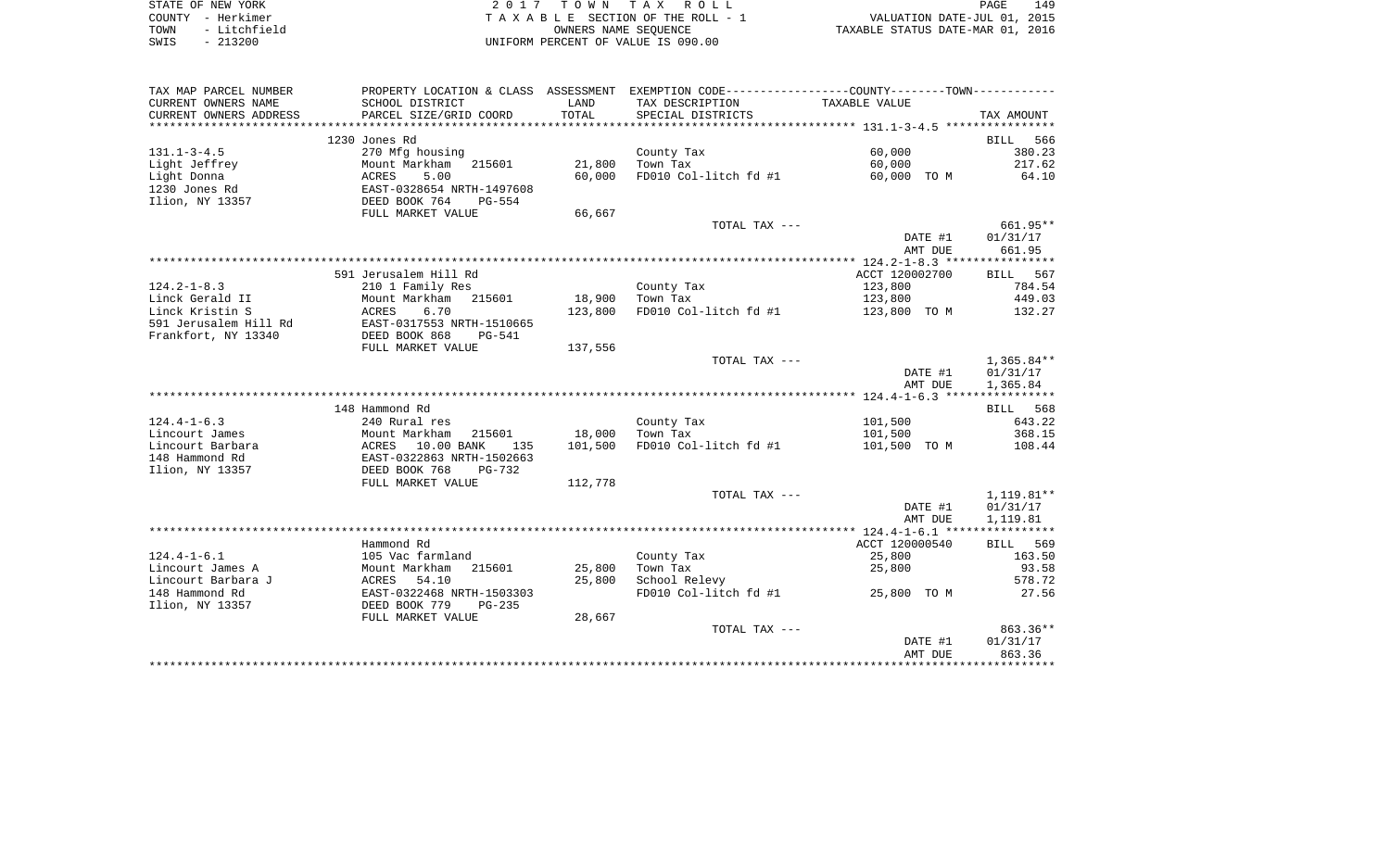| STATE OF NEW YORK    | 2017 TOWN TAX ROLL                 | 149<br>PAGE                      |
|----------------------|------------------------------------|----------------------------------|
| COUNTY - Herkimer    | TAXABLE SECTION OF THE ROLL - 1    | VALUATION DATE-JUL 01, 2015      |
| - Litchfield<br>TOWN | OWNERS NAME SEOUENCE               | TAXABLE STATUS DATE-MAR 01, 2016 |
| $-213200$<br>SWIS    | UNIFORM PERCENT OF VALUE IS 090.00 |                                  |

| TAX MAP PARCEL NUMBER     | PROPERTY LOCATION & CLASS ASSESSMENT EXEMPTION CODE----------------COUNTY--------TOWN---------- |         |                       |                |              |
|---------------------------|-------------------------------------------------------------------------------------------------|---------|-----------------------|----------------|--------------|
| CURRENT OWNERS NAME       | SCHOOL DISTRICT                                                                                 | LAND    | TAX DESCRIPTION       | TAXABLE VALUE  |              |
| CURRENT OWNERS ADDRESS    | PARCEL SIZE/GRID COORD                                                                          | TOTAL   | SPECIAL DISTRICTS     |                | TAX AMOUNT   |
| ************************* |                                                                                                 |         |                       |                |              |
|                           | 1230 Jones Rd                                                                                   |         |                       |                | 566<br>BILL  |
| $131.1 - 3 - 4.5$         | 270 Mfg housing                                                                                 |         | County Tax            | 60,000         | 380.23       |
| Light Jeffrey             | Mount Markham<br>215601                                                                         | 21,800  | Town Tax              | 60,000         | 217.62       |
| Light Donna               | ACRES<br>5.00                                                                                   | 60,000  | FD010 Col-litch fd #1 | 60,000 TO M    | 64.10        |
| 1230 Jones Rd             | EAST-0328654 NRTH-1497608                                                                       |         |                       |                |              |
| Ilion, NY 13357           | DEED BOOK 764<br>$PG-554$                                                                       |         |                       |                |              |
|                           | FULL MARKET VALUE                                                                               | 66,667  |                       |                |              |
|                           |                                                                                                 |         | TOTAL TAX ---         |                | 661.95**     |
|                           |                                                                                                 |         |                       | DATE #1        | 01/31/17     |
|                           |                                                                                                 |         |                       | AMT DUE        | 661.95       |
|                           |                                                                                                 |         |                       |                |              |
|                           | 591 Jerusalem Hill Rd                                                                           |         |                       | ACCT 120002700 | BILL 567     |
| $124.2 - 1 - 8.3$         | 210 1 Family Res                                                                                |         | County Tax            | 123,800        | 784.54       |
| Linck Gerald II           | Mount Markham 215601                                                                            | 18,900  | Town Tax              | 123,800        | 449.03       |
| Linck Kristin S           | 6.70<br>ACRES                                                                                   | 123,800 | FD010 Col-litch fd #1 | 123,800 TO M   | 132.27       |
| 591 Jerusalem Hill Rd     | EAST-0317553 NRTH-1510665                                                                       |         |                       |                |              |
| Frankfort, NY 13340       | DEED BOOK 868<br>PG-541                                                                         |         |                       |                |              |
|                           | FULL MARKET VALUE                                                                               | 137,556 | TOTAL TAX ---         |                | $1,365.84**$ |
|                           |                                                                                                 |         |                       | DATE #1        | 01/31/17     |
|                           |                                                                                                 |         |                       | AMT DUE        | 1,365.84     |
|                           |                                                                                                 |         |                       |                |              |
|                           | 148 Hammond Rd                                                                                  |         |                       |                | BILL 568     |
| $124.4 - 1 - 6.3$         | 240 Rural res                                                                                   |         | County Tax            | 101,500        | 643.22       |
| Lincourt James            | Mount Markham<br>215601                                                                         | 18,000  | Town Tax              | 101,500        | 368.15       |
| Lincourt Barbara          | ACRES 10.00 BANK<br>135                                                                         | 101,500 | FD010 Col-litch fd #1 | 101,500 TO M   | 108.44       |
| 148 Hammond Rd            | EAST-0322863 NRTH-1502663                                                                       |         |                       |                |              |
| Ilion, NY 13357           | DEED BOOK 768<br>$PG-732$                                                                       |         |                       |                |              |
|                           | FULL MARKET VALUE                                                                               | 112,778 |                       |                |              |
|                           |                                                                                                 |         | TOTAL TAX ---         |                | 1,119.81**   |
|                           |                                                                                                 |         |                       | DATE #1        | 01/31/17     |
|                           |                                                                                                 |         |                       | AMT DUE        | 1,119.81     |
|                           |                                                                                                 |         |                       |                |              |
|                           | Hammond Rd                                                                                      |         |                       | ACCT 120000540 | BILL 569     |
| $124.4 - 1 - 6.1$         | 105 Vac farmland                                                                                |         | County Tax            | 25,800         | 163.50       |
| Lincourt James A          | Mount Markham<br>215601                                                                         | 25,800  | Town Tax              | 25,800         | 93.58        |
| Lincourt Barbara J        | 54.10<br>ACRES                                                                                  | 25,800  | School Relevy         |                | 578.72       |
| 148 Hammond Rd            | EAST-0322468 NRTH-1503303                                                                       |         | FD010 Col-litch fd #1 | 25,800 TO M    | 27.56        |
| Ilion, NY 13357           | DEED BOOK 779<br>$PG-235$                                                                       |         |                       |                |              |
|                           | FULL MARKET VALUE                                                                               | 28,667  |                       |                |              |
|                           |                                                                                                 |         | TOTAL TAX ---         |                | $863.36**$   |
|                           |                                                                                                 |         |                       | DATE #1        | 01/31/17     |
|                           |                                                                                                 |         |                       | AMT DUE        | 863.36       |
|                           |                                                                                                 |         |                       |                |              |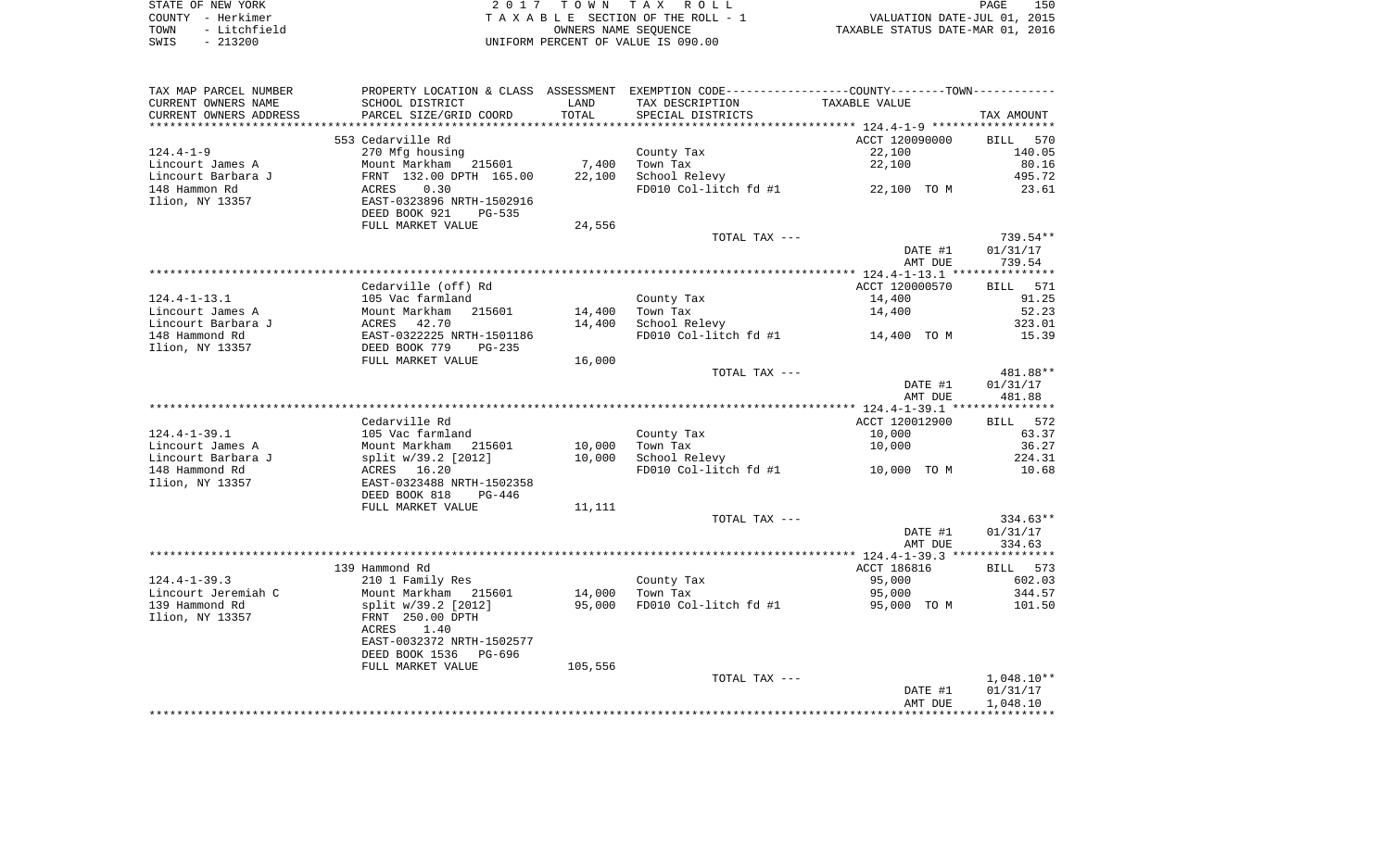| STATE OF NEW YORK    | 2017 TOWN TAX ROLL                 | 150<br>PAGE                      |
|----------------------|------------------------------------|----------------------------------|
| COUNTY - Herkimer    | TAXABLE SECTION OF THE ROLL - 1    | VALUATION DATE-JUL 01, 2015      |
| - Litchfield<br>TOWN | OWNERS NAME SEOUENCE               | TAXABLE STATUS DATE-MAR 01, 2016 |
| $-213200$<br>SWIS    | UNIFORM PERCENT OF VALUE IS 090.00 |                                  |

| TAX MAP PARCEL NUMBER<br>CURRENT OWNERS NAME | PROPERTY LOCATION & CLASS ASSESSMENT EXEMPTION CODE---------------COUNTY-------TOWN----------<br>SCHOOL DISTRICT | LAND             | TAX DESCRIPTION                        | TAXABLE VALUE                             |                 |
|----------------------------------------------|------------------------------------------------------------------------------------------------------------------|------------------|----------------------------------------|-------------------------------------------|-----------------|
| CURRENT OWNERS ADDRESS                       | PARCEL SIZE/GRID COORD                                                                                           | TOTAL            | SPECIAL DISTRICTS                      |                                           | TAX AMOUNT      |
|                                              |                                                                                                                  | *******          |                                        | *********** 124.4-1-9 ******************* |                 |
|                                              | 553 Cedarville Rd                                                                                                |                  |                                        | ACCT 120090000                            | BILL 570        |
| $124.4 - 1 - 9$                              | 270 Mfg housing                                                                                                  |                  | County Tax                             | 22,100                                    | 140.05          |
| Lincourt James A                             | Mount Markham<br>215601                                                                                          | 7,400            | Town Tax                               | 22,100                                    | 80.16           |
| Lincourt Barbara J                           | FRNT 132.00 DPTH 165.00                                                                                          | 22,100           | School Relevy                          |                                           | 495.72          |
| 148 Hammon Rd                                | 0.30<br>ACRES<br>EAST-0323896 NRTH-1502916                                                                       |                  | FD010 Col-litch fd #1                  | 22,100 TO M                               | 23.61           |
| Ilion, NY 13357                              | DEED BOOK 921<br><b>PG-535</b>                                                                                   |                  |                                        |                                           |                 |
|                                              | FULL MARKET VALUE                                                                                                | 24,556           |                                        |                                           |                 |
|                                              |                                                                                                                  |                  | TOTAL TAX ---                          |                                           | 739.54**        |
|                                              |                                                                                                                  |                  |                                        | DATE #1                                   | 01/31/17        |
|                                              |                                                                                                                  |                  |                                        | AMT DUE                                   | 739.54          |
|                                              |                                                                                                                  |                  |                                        |                                           |                 |
|                                              | Cedarville (off) Rd                                                                                              |                  |                                        | ACCT 120000570                            | 571<br>BILL     |
| $124.4 - 1 - 13.1$                           | 105 Vac farmland                                                                                                 |                  | County Tax                             | 14,400                                    | 91.25           |
| Lincourt James A                             | Mount Markham<br>215601                                                                                          | 14,400           | Town Tax                               | 14,400                                    | 52.23           |
| Lincourt Barbara J                           | 42.70<br>ACRES                                                                                                   | 14,400           | School Relevy                          |                                           | 323.01          |
| 148 Hammond Rd                               | EAST-0322225 NRTH-1501186                                                                                        |                  | FD010 Col-litch fd #1                  | 14,400 TO M                               | 15.39           |
| Ilion, NY 13357                              | DEED BOOK 779<br>$PG-235$<br>FULL MARKET VALUE                                                                   | 16,000           |                                        |                                           |                 |
|                                              |                                                                                                                  |                  | TOTAL TAX ---                          |                                           | 481.88**        |
|                                              |                                                                                                                  |                  |                                        | DATE #1                                   | 01/31/17        |
|                                              |                                                                                                                  |                  |                                        | AMT DUE                                   | 481.88          |
|                                              |                                                                                                                  |                  |                                        |                                           |                 |
|                                              | Cedarville Rd                                                                                                    |                  |                                        | ACCT 120012900                            | 572<br>BILL     |
| $124.4 - 1 - 39.1$                           | 105 Vac farmland                                                                                                 |                  | County Tax                             | 10,000                                    | 63.37           |
| Lincourt James A                             | Mount Markham<br>215601                                                                                          | 10,000           | Town Tax                               | 10,000                                    | 36.27           |
| Lincourt Barbara J<br>148 Hammond Rd         | split w/39.2 [2012]<br>ACRES 16.20                                                                               | 10,000           | School Relevy<br>FD010 Col-litch fd #1 | 10,000 TO M                               | 224.31<br>10.68 |
| Ilion, NY 13357                              | EAST-0323488 NRTH-1502358                                                                                        |                  |                                        |                                           |                 |
|                                              | DEED BOOK 818<br>$PG-446$                                                                                        |                  |                                        |                                           |                 |
|                                              | FULL MARKET VALUE                                                                                                | 11,111           |                                        |                                           |                 |
|                                              |                                                                                                                  |                  | TOTAL TAX ---                          |                                           | 334.63**        |
|                                              |                                                                                                                  |                  |                                        | DATE #1                                   | 01/31/17        |
|                                              |                                                                                                                  |                  |                                        | AMT DUE                                   | 334.63          |
|                                              |                                                                                                                  |                  |                                        |                                           | ***********     |
|                                              | 139 Hammond Rd                                                                                                   |                  |                                        | ACCT 186816                               | BILL 573        |
| $124.4 - 1 - 39.3$                           | 210 1 Family Res                                                                                                 |                  | County Tax                             | 95,000                                    | 602.03          |
| Lincourt Jeremiah C<br>139 Hammond Rd        | Mount Markham 215601                                                                                             | 14,000<br>95,000 | Town Tax                               | 95,000                                    | 344.57          |
| Ilion, NY 13357                              | split w/39.2 [2012]<br>FRNT 250.00 DPTH                                                                          |                  | FD010 Col-litch fd #1                  | 95,000 TO M                               | 101.50          |
|                                              | 1.40<br>ACRES                                                                                                    |                  |                                        |                                           |                 |
|                                              | EAST-0032372 NRTH-1502577                                                                                        |                  |                                        |                                           |                 |
|                                              | DEED BOOK 1536<br>PG-696                                                                                         |                  |                                        |                                           |                 |
|                                              | FULL MARKET VALUE                                                                                                | 105,556          |                                        |                                           |                 |
|                                              |                                                                                                                  |                  | TOTAL TAX ---                          |                                           | $1,048.10**$    |
|                                              |                                                                                                                  |                  |                                        | DATE #1                                   | 01/31/17        |
|                                              |                                                                                                                  |                  |                                        | AMT DUE                                   | 1,048.10        |
|                                              |                                                                                                                  |                  |                                        |                                           |                 |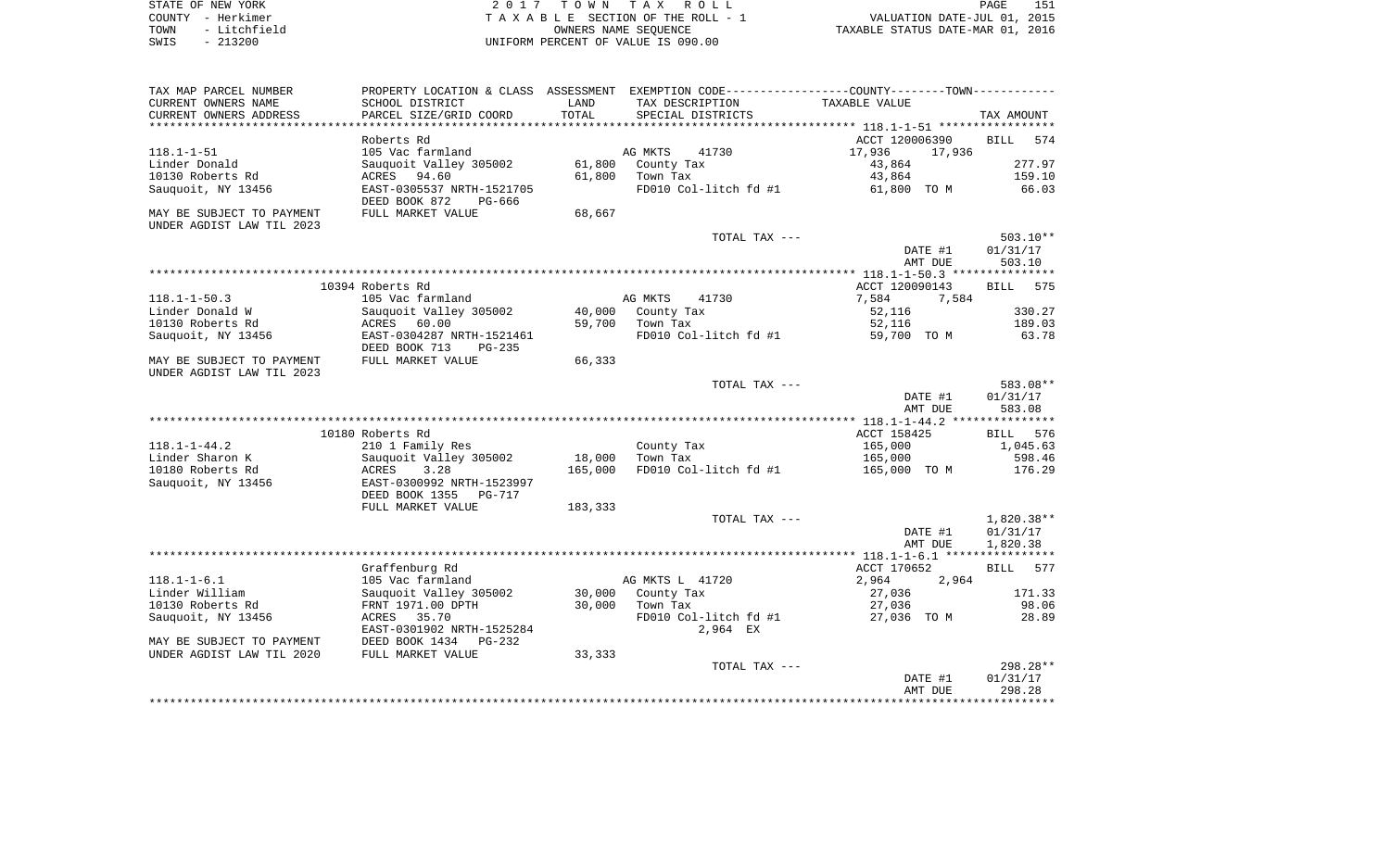| STATE OF NEW YORK |           |              |  |
|-------------------|-----------|--------------|--|
| COUNTY - Herkimer |           |              |  |
| TOWN              |           | - Litchfield |  |
| SWIS              | $-213200$ |              |  |

STATE OF NEW YORK 2 0 1 7 T O W N T A X R O L L PAGE 151 COUNTY - Herkimer T A X A B L E SECTION OF THE ROLL - 1 VALUATION DATE-JUL 01, 2015 TOWN - Litchfield OWNERS NAME SEQUENCE TAXABLE STATUS DATE-MAR 01, 2016 UNIFORM PERCENT OF VALUE IS 090.00

| TAX MAP PARCEL NUMBER<br>CURRENT OWNERS NAME<br>CURRENT OWNERS ADDRESS | PROPERTY LOCATION & CLASS ASSESSMENT<br>SCHOOL DISTRICT<br>PARCEL SIZE/GRID COORD                  | LAND<br>TOTAL              | EXEMPTION CODE-----------------COUNTY-------TOWN-----------<br>TAX DESCRIPTION<br>SPECIAL DISTRICTS | TAXABLE VALUE                      | TAX AMOUNT                     |
|------------------------------------------------------------------------|----------------------------------------------------------------------------------------------------|----------------------------|-----------------------------------------------------------------------------------------------------|------------------------------------|--------------------------------|
| *********************                                                  |                                                                                                    | * * * * * * * * * *        |                                                                                                     |                                    |                                |
| $118.1 - 1 - 51$                                                       | Roberts Rd<br>105 Vac farmland                                                                     |                            | AG MKTS<br>41730                                                                                    | ACCT 120006390<br>17,936<br>17,936 | <b>BILL</b><br>574             |
| Linder Donald                                                          | Sauquoit Valley 305002                                                                             | 61,800                     | County Tax                                                                                          | 43,864                             | 277.97                         |
| 10130 Roberts Rd                                                       | ACRES<br>94.60                                                                                     | 61,800                     | Town Tax                                                                                            | 43,864                             | 159.10                         |
| Sauquoit, NY 13456                                                     | EAST-0305537 NRTH-1521705                                                                          |                            | FD010 Col-litch fd #1                                                                               | 61,800<br>TO M                     | 66.03                          |
| MAY BE SUBJECT TO PAYMENT<br>UNDER AGDIST LAW TIL 2023                 | DEED BOOK 872<br>PG-666<br>FULL MARKET VALUE                                                       | 68,667                     |                                                                                                     |                                    |                                |
|                                                                        |                                                                                                    |                            | TOTAL TAX ---                                                                                       | DATE #1                            | $503.10**$<br>01/31/17         |
|                                                                        |                                                                                                    |                            |                                                                                                     | AMT DUE                            | 503.10                         |
|                                                                        |                                                                                                    | ************************** |                                                                                                     | ** 118.1-1-50.3 ****************   |                                |
|                                                                        | 10394 Roberts Rd                                                                                   |                            |                                                                                                     | ACCT 120090143                     | <b>BILL</b><br>575             |
| $118.1 - 1 - 50.3$                                                     | 105 Vac farmland                                                                                   |                            | AG MKTS<br>41730                                                                                    | 7,584<br>7,584                     |                                |
| Linder Donald W                                                        | Sauquoit Valley 305002                                                                             | 40,000                     | County Tax                                                                                          | 52,116                             | 330.27                         |
| 10130 Roberts Rd                                                       | ACRES<br>60.00                                                                                     | 59,700                     | Town Tax                                                                                            | 52,116                             | 189.03                         |
| Sauquoit, NY 13456                                                     | EAST-0304287 NRTH-1521461                                                                          |                            | FD010 Col-litch fd #1                                                                               | 59,700 TO M                        | 63.78                          |
| MAY BE SUBJECT TO PAYMENT                                              | DEED BOOK 713<br>$PG-235$<br>FULL MARKET VALUE                                                     | 66,333                     |                                                                                                     |                                    |                                |
| UNDER AGDIST LAW TIL 2023                                              |                                                                                                    |                            |                                                                                                     |                                    |                                |
|                                                                        |                                                                                                    |                            | TOTAL TAX ---                                                                                       | DATE #1<br>AMT DUE                 | 583.08**<br>01/31/17<br>583.08 |
|                                                                        |                                                                                                    |                            |                                                                                                     |                                    |                                |
|                                                                        | 10180 Roberts Rd                                                                                   |                            |                                                                                                     | ACCT 158425                        | 576<br><b>BILL</b>             |
| $118.1 - 1 - 44.2$                                                     | 210 1 Family Res                                                                                   |                            | County Tax                                                                                          | 165,000                            | 1,045.63                       |
| Linder Sharon K                                                        | Sauquoit Valley 305002                                                                             | 18,000                     | Town Tax                                                                                            | 165,000                            | 598.46                         |
| 10180 Roberts Rd<br>Sauquoit, NY 13456                                 | ACRES<br>3.28<br>EAST-0300992 NRTH-1523997<br>DEED BOOK 1355<br><b>PG-717</b><br>FULL MARKET VALUE | 165,000<br>183,333         | FD010 Col-litch fd #1                                                                               | 165,000 TO M                       | 176.29                         |
|                                                                        |                                                                                                    |                            | TOTAL TAX ---                                                                                       |                                    | $1,820.38**$                   |
|                                                                        |                                                                                                    |                            |                                                                                                     | DATE #1                            | 01/31/17                       |
|                                                                        |                                                                                                    |                            |                                                                                                     | AMT DUE                            | 1,820.38                       |
|                                                                        |                                                                                                    |                            |                                                                                                     |                                    |                                |
|                                                                        | Graffenburg Rd                                                                                     |                            |                                                                                                     | ACCT 170652                        | 577<br>BILL                    |
| $118.1 - 1 - 6.1$                                                      | 105 Vac farmland                                                                                   |                            | AG MKTS L 41720                                                                                     | 2,964<br>2,964                     |                                |
| Linder William                                                         | Sauquoit Valley 305002                                                                             | 30,000                     | County Tax                                                                                          | 27,036                             | 171.33                         |
| 10130 Roberts Rd                                                       | FRNT 1971.00 DPTH                                                                                  | 30,000                     | Town Tax                                                                                            | 27,036                             | 98.06                          |
| Sauquoit, NY 13456                                                     | 35.70<br>ACRES<br>EAST-0301902 NRTH-1525284                                                        |                            | FD010 Col-litch fd #1<br>2,964 EX                                                                   | 27,036 TO M                        | 28.89                          |
| MAY BE SUBJECT TO PAYMENT                                              | DEED BOOK 1434<br>PG-232                                                                           |                            |                                                                                                     |                                    |                                |
| UNDER AGDIST LAW TIL 2020                                              | FULL MARKET VALUE                                                                                  | 33,333                     |                                                                                                     |                                    |                                |
|                                                                        |                                                                                                    |                            | TOTAL TAX ---                                                                                       |                                    | 298.28**                       |
|                                                                        |                                                                                                    |                            |                                                                                                     | DATE #1<br>AMT DUE                 | 01/31/17<br>298.28             |
|                                                                        |                                                                                                    |                            |                                                                                                     |                                    |                                |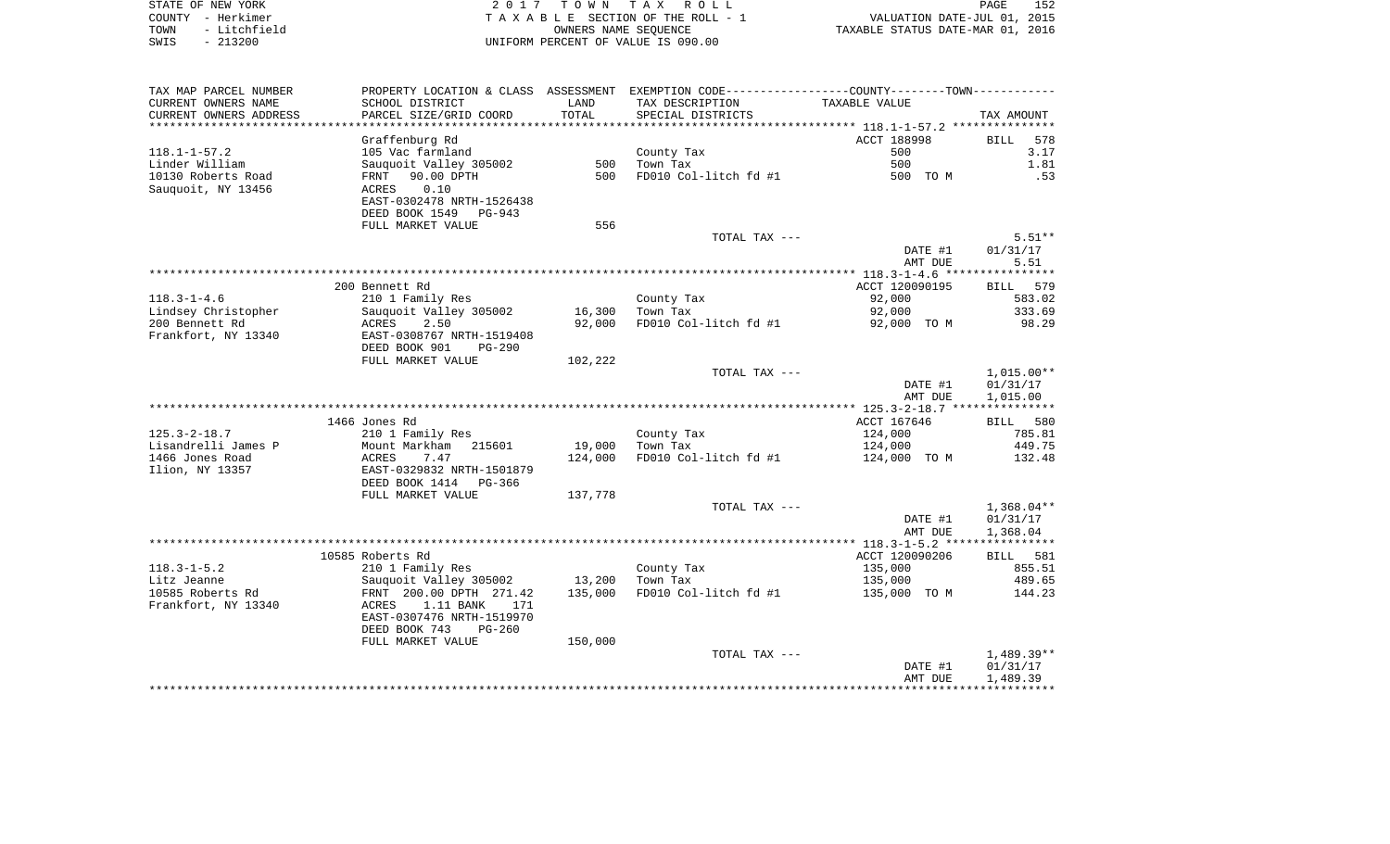| STATE OF NEW YORK    | 2017 TOWN TAX ROLL                 | 152<br>PAGE                      |
|----------------------|------------------------------------|----------------------------------|
| COUNTY - Herkimer    | TAXABLE SECTION OF THE ROLL - 1    | VALUATION DATE-JUL 01, 2015      |
| - Litchfield<br>TOWN | OWNERS NAME SEOUENCE               | TAXABLE STATUS DATE-MAR 01, 2016 |
| $-213200$<br>SWIS    | UNIFORM PERCENT OF VALUE IS 090.00 |                                  |

| TAX MAP PARCEL NUMBER                 |                                            |         | PROPERTY LOCATION & CLASS ASSESSMENT EXEMPTION CODE---------------COUNTY-------TOWN---------- |                |                    |
|---------------------------------------|--------------------------------------------|---------|-----------------------------------------------------------------------------------------------|----------------|--------------------|
| CURRENT OWNERS NAME                   | SCHOOL DISTRICT                            | LAND    | TAX DESCRIPTION                                                                               | TAXABLE VALUE  |                    |
| CURRENT OWNERS ADDRESS                | PARCEL SIZE/GRID COORD                     | TOTAL   | SPECIAL DISTRICTS                                                                             |                | TAX AMOUNT         |
| **********************                |                                            |         |                                                                                               |                |                    |
|                                       | Graffenburg Rd                             |         |                                                                                               | ACCT 188998    | 578<br><b>BILL</b> |
| $118.1 - 1 - 57.2$                    | 105 Vac farmland                           |         | County Tax                                                                                    | 500            | 3.17               |
| Linder William                        | Sauquoit Valley 305002                     | 500     | Town Tax                                                                                      | 500            | 1.81               |
| 10130 Roberts Road                    | FRNT<br>90.00 DPTH                         | 500     | FD010 Col-litch fd #1                                                                         | 500 TO M       | .53                |
| Sauquoit, NY 13456                    | 0.10<br>ACRES                              |         |                                                                                               |                |                    |
|                                       | EAST-0302478 NRTH-1526438                  |         |                                                                                               |                |                    |
|                                       | DEED BOOK 1549<br>PG-943                   |         |                                                                                               |                |                    |
|                                       | FULL MARKET VALUE                          | 556     |                                                                                               |                |                    |
|                                       |                                            |         | TOTAL TAX ---                                                                                 |                | $5.51**$           |
|                                       |                                            |         |                                                                                               | DATE #1        | 01/31/17           |
|                                       |                                            |         |                                                                                               | AMT DUE        | 5.51               |
|                                       |                                            |         |                                                                                               |                |                    |
|                                       | 200 Bennett Rd                             |         |                                                                                               | ACCT 120090195 | BILL 579           |
| $118.3 - 1 - 4.6$                     | 210 1 Family Res                           |         | County Tax                                                                                    | 92,000         | 583.02             |
| Lindsey Christopher                   | Sauquoit Valley 305002                     | 16,300  | Town Tax                                                                                      | 92,000         | 333.69             |
| 200 Bennett Rd<br>Frankfort, NY 13340 | 2.50<br>ACRES<br>EAST-0308767 NRTH-1519408 | 92,000  | FD010 Col-litch fd #1                                                                         | 92,000 TO M    | 98.29              |
|                                       | DEED BOOK 901<br>$PG-290$                  |         |                                                                                               |                |                    |
|                                       | FULL MARKET VALUE                          | 102,222 |                                                                                               |                |                    |
|                                       |                                            |         | TOTAL TAX ---                                                                                 |                | $1,015.00**$       |
|                                       |                                            |         |                                                                                               | DATE #1        | 01/31/17           |
|                                       |                                            |         |                                                                                               | AMT DUE        | 1,015.00           |
|                                       |                                            |         |                                                                                               |                |                    |
|                                       | 1466 Jones Rd                              |         |                                                                                               | ACCT 167646    | BILL 580           |
| $125.3 - 2 - 18.7$                    | 210 1 Family Res                           |         | County Tax                                                                                    | 124,000        | 785.81             |
| Lisandrelli James P                   | Mount Markham 215601                       | 19,000  | Town Tax                                                                                      | 124,000        | 449.75             |
| 1466 Jones Road                       | 7.47<br>ACRES                              | 124,000 | FD010 Col-litch fd #1                                                                         | 124,000 TO M   | 132.48             |
| Ilion, NY 13357                       | EAST-0329832 NRTH-1501879                  |         |                                                                                               |                |                    |
|                                       | DEED BOOK 1414<br>PG-366                   |         |                                                                                               |                |                    |
|                                       | FULL MARKET VALUE                          | 137,778 |                                                                                               |                |                    |
|                                       |                                            |         | TOTAL TAX ---                                                                                 |                | 1,368.04**         |
|                                       |                                            |         |                                                                                               | DATE #1        | 01/31/17           |
|                                       |                                            |         |                                                                                               | AMT DUE        | 1,368.04           |
|                                       |                                            |         |                                                                                               |                |                    |
|                                       | 10585 Roberts Rd                           |         |                                                                                               | ACCT 120090206 | BILL 581           |
| $118.3 - 1 - 5.2$                     | 210 1 Family Res                           |         | County Tax                                                                                    | 135,000        | 855.51             |
| Litz Jeanne                           | Sauguoit Valley 305002                     | 13,200  | Town Tax                                                                                      | 135,000        | 489.65             |
| 10585 Roberts Rd                      | FRNT 200.00 DPTH 271.42                    | 135,000 | FD010 Col-litch fd #1                                                                         | 135,000 TO M   | 144.23             |
| Frankfort, NY 13340                   | ACRES<br>1.11 BANK<br>171                  |         |                                                                                               |                |                    |
|                                       | EAST-0307476 NRTH-1519970                  |         |                                                                                               |                |                    |
|                                       | DEED BOOK 743<br><b>PG-260</b>             |         |                                                                                               |                |                    |
|                                       | FULL MARKET VALUE                          | 150,000 |                                                                                               |                |                    |
|                                       |                                            |         | TOTAL TAX ---                                                                                 |                | 1,489.39**         |
|                                       |                                            |         |                                                                                               | DATE #1        | 01/31/17           |
|                                       |                                            |         |                                                                                               | AMT DUE        | 1,489.39           |
|                                       |                                            |         |                                                                                               |                |                    |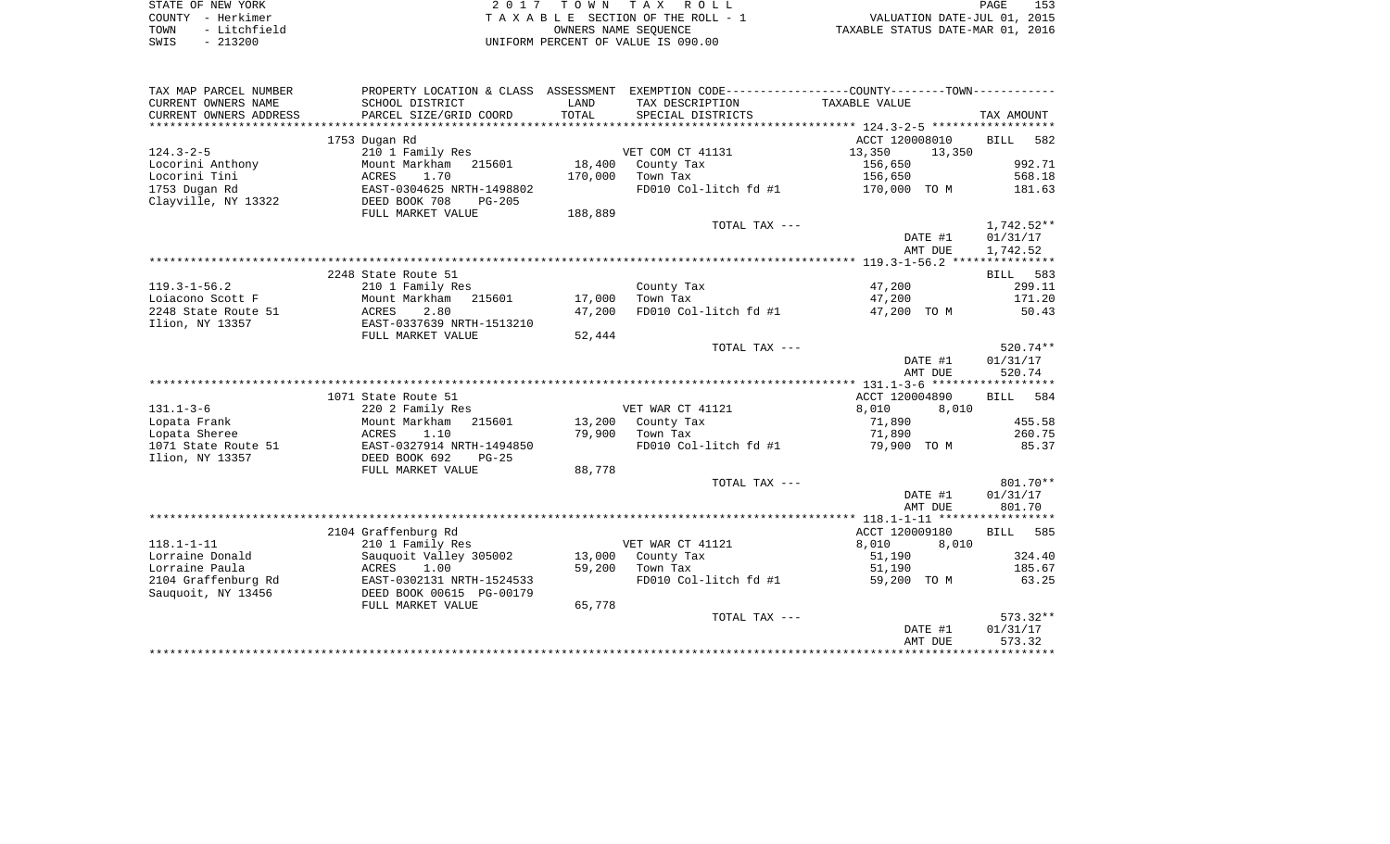|      | STATE OF NEW YORK | 2017 TOWN TAX ROLL                 | PAGE                             |
|------|-------------------|------------------------------------|----------------------------------|
|      | COUNTY - Herkimer | TAXABLE SECTION OF THE ROLL - 1    | VALUATION DATE-JUL 01, 2015      |
| TOWN | - Litchfield      | OWNERS NAME SEOUENCE               | TAXABLE STATUS DATE-MAR 01, 2016 |
| SWIS | $-213200$         | UNIFORM PERCENT OF VALUE IS 090.00 |                                  |

| TAX MAP PARCEL NUMBER     | PROPERTY LOCATION & CLASS ASSESSMENT |         | EXEMPTION CODE----------------COUNTY-------TOWN----------- |                  |                    |
|---------------------------|--------------------------------------|---------|------------------------------------------------------------|------------------|--------------------|
| CURRENT OWNERS NAME       | SCHOOL DISTRICT                      | LAND    | TAX DESCRIPTION                                            | TAXABLE VALUE    |                    |
| CURRENT OWNERS ADDRESS    | PARCEL SIZE/GRID COORD               | TOTAL   | SPECIAL DISTRICTS                                          |                  | TAX AMOUNT         |
| ************************* |                                      |         |                                                            |                  |                    |
|                           | 1753 Dugan Rd                        |         |                                                            | ACCT 120008010   | 582<br>BILL        |
| $124.3 - 2 - 5$           | 210 1 Family Res                     |         | VET COM CT 41131                                           | 13,350<br>13,350 |                    |
| Locorini Anthony          | Mount Markham<br>215601              | 18,400  | County Tax                                                 | 156,650          | 992.71             |
| Locorini Tini             | 1.70<br>ACRES                        | 170,000 | Town Tax                                                   | 156,650          | 568.18             |
| 1753 Dugan Rd             | EAST-0304625 NRTH-1498802            |         | FD010 Col-litch fd #1                                      | 170,000 TO M     | 181.63             |
| Clayville, NY 13322       | DEED BOOK 708<br>$PG-205$            |         |                                                            |                  |                    |
|                           | FULL MARKET VALUE                    | 188,889 |                                                            |                  |                    |
|                           |                                      |         | TOTAL TAX ---                                              |                  | $1,742.52**$       |
|                           |                                      |         |                                                            | DATE #1          | 01/31/17           |
|                           |                                      |         |                                                            | AMT DUE          | 1,742.52           |
|                           |                                      |         |                                                            |                  |                    |
|                           | 2248 State Route 51                  |         |                                                            |                  | 583<br>BILL        |
| $119.3 - 1 - 56.2$        | 210 1 Family Res                     |         | County Tax                                                 | 47,200           | 299.11             |
| Loiacono Scott F          | Mount Markham<br>215601              | 17,000  | Town Tax                                                   | 47,200           | 171.20             |
| 2248 State Route 51       | 2.80<br>ACRES                        | 47,200  | FD010 Col-litch fd #1                                      | 47,200 TO M      | 50.43              |
| Ilion, NY 13357           | EAST-0337639 NRTH-1513210            |         |                                                            |                  |                    |
|                           | FULL MARKET VALUE                    | 52,444  |                                                            |                  |                    |
|                           |                                      |         | TOTAL TAX ---                                              |                  | 520.74**           |
|                           |                                      |         |                                                            | DATE #1          | 01/31/17           |
|                           |                                      |         |                                                            | AMT DUE          | 520.74             |
|                           |                                      |         |                                                            |                  |                    |
|                           | 1071 State Route 51                  |         |                                                            | ACCT 120004890   | <b>BILL</b><br>584 |
| $131.1 - 3 - 6$           | 220 2 Family Res                     |         | VET WAR CT 41121                                           | 8.010<br>8.010   |                    |
| Lopata Frank              | Mount Markham<br>215601              | 13,200  | County Tax                                                 | 71,890           | 455.58             |
| Lopata Sheree             | 1.10<br>ACRES                        | 79,900  | Town Tax                                                   | 71,890           | 260.75             |
| 1071 State Route 51       | EAST-0327914 NRTH-1494850            |         | FD010 Col-litch fd #1                                      | 79,900 TO M      | 85.37              |
| Ilion, NY 13357           | DEED BOOK 692<br>$PG-25$             |         |                                                            |                  |                    |
|                           | FULL MARKET VALUE                    | 88,778  |                                                            |                  |                    |
|                           |                                      |         | TOTAL TAX ---                                              |                  | 801.70**           |
|                           |                                      |         |                                                            | DATE #1          | 01/31/17           |
|                           |                                      |         |                                                            | AMT DUE          | 801.70             |
|                           |                                      |         |                                                            |                  |                    |
|                           | 2104 Graffenburg Rd                  |         |                                                            | ACCT 120009180   | <b>BILL</b><br>585 |
| $118.1 - 1 - 11$          | 210 1 Family Res                     |         | VET WAR CT 41121                                           | 8,010<br>8,010   |                    |
| Lorraine Donald           | Sauquoit Valley 305002               | 13,000  | County Tax                                                 | 51,190           | 324.40             |
| Lorraine Paula            | 1.00<br>ACRES                        | 59,200  | Town Tax                                                   | 51,190           | 185.67             |
| 2104 Graffenburg Rd       | EAST-0302131 NRTH-1524533            |         | FD010 Col-litch fd #1                                      | 59,200 TO M      | 63.25              |
| Sauquoit, NY 13456        | DEED BOOK 00615 PG-00179             |         |                                                            |                  |                    |
|                           | FULL MARKET VALUE                    | 65,778  |                                                            |                  |                    |
|                           |                                      |         | TOTAL TAX ---                                              |                  | 573.32**           |
|                           |                                      |         |                                                            | DATE #1          | 01/31/17           |
|                           |                                      |         |                                                            | AMT DUE          | 573.32             |
|                           |                                      |         |                                                            |                  |                    |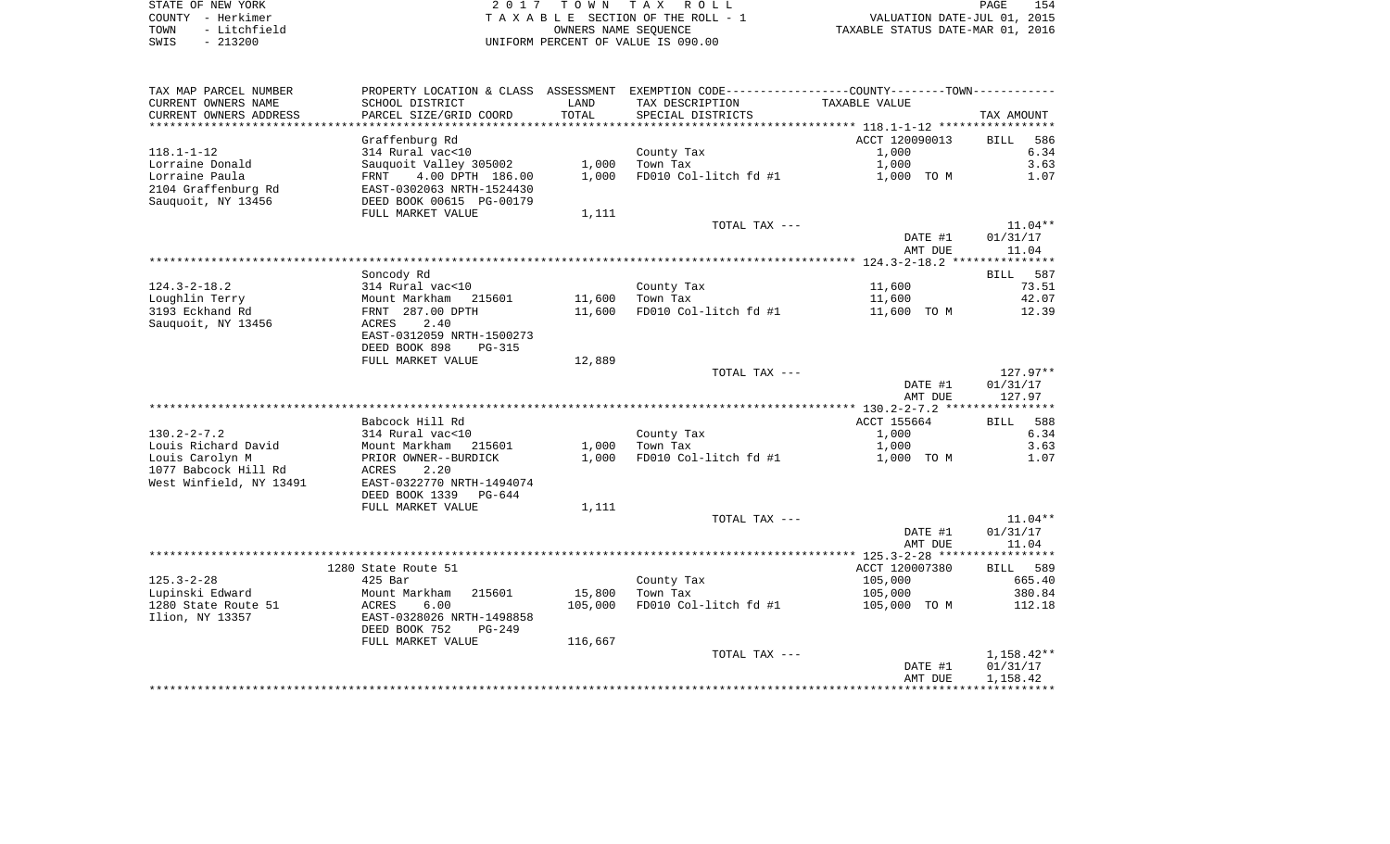| STATE OF NEW YORK |  |              |  |
|-------------------|--|--------------|--|
| COUNTY - Herkimer |  |              |  |
| TOWN              |  | - Litchfield |  |
| SWIS              |  | $-213200$    |  |

STATE OF NEW YORK 2 0 1 7 T O W N T A X R O L L PAGE 154TA X A B L E SECTION OF THE ROLL - 1 TOWN - Litchfield OWNERS NAME SEQUENCE TAXABLE STATUS DATE-MAR 01, 2016 UNIFORM PERCENT OF VALUE IS 090.00

| TAX MAP PARCEL NUMBER<br>CURRENT OWNERS NAME       | PROPERTY LOCATION & CLASS ASSESSMENT<br>SCHOOL DISTRICT | LAND    | EXEMPTION CODE----------------COUNTY-------TOWN-----------<br>TAX DESCRIPTION | TAXABLE VALUE  |                    |
|----------------------------------------------------|---------------------------------------------------------|---------|-------------------------------------------------------------------------------|----------------|--------------------|
| CURRENT OWNERS ADDRESS<br>************************ | PARCEL SIZE/GRID COORD                                  | TOTAL   | SPECIAL DISTRICTS                                                             |                | TAX AMOUNT         |
|                                                    | Graffenburg Rd                                          |         |                                                                               | ACCT 120090013 | <b>BILL</b><br>586 |
| $118.1 - 1 - 12$                                   | 314 Rural vac<10                                        |         | County Tax                                                                    | 1,000          | 6.34               |
| Lorraine Donald                                    | Sauquoit Valley 305002                                  | 1,000   | Town Tax                                                                      | 1,000          | 3.63               |
| Lorraine Paula                                     | 4.00 DPTH 186.00<br>FRNT                                | 1,000   | FD010 Col-litch fd #1                                                         | 1,000 TO M     | 1.07               |
| 2104 Graffenburg Rd<br>Sauquoit, NY 13456          | EAST-0302063 NRTH-1524430<br>DEED BOOK 00615 PG-00179   |         |                                                                               |                |                    |
|                                                    | FULL MARKET VALUE                                       | 1,111   |                                                                               |                |                    |
|                                                    |                                                         |         | TOTAL TAX ---                                                                 |                | $11.04**$          |
|                                                    |                                                         |         |                                                                               | DATE #1        | 01/31/17           |
|                                                    |                                                         |         |                                                                               | AMT DUE        | 11.04              |
|                                                    |                                                         |         |                                                                               |                |                    |
|                                                    | Soncody Rd                                              |         |                                                                               |                | BILL 587           |
| $124.3 - 2 - 18.2$                                 | 314 Rural vac<10                                        |         | County Tax                                                                    | 11,600         | 73.51              |
| Loughlin Terry                                     | Mount Markham<br>215601                                 | 11,600  | Town Tax                                                                      | 11,600         | 42.07              |
| 3193 Eckhand Rd                                    | FRNT 287.00 DPTH                                        | 11,600  | FD010 Col-litch fd #1                                                         | 11,600 TO M    | 12.39              |
| Sauquoit, NY 13456                                 | 2.40<br>ACRES                                           |         |                                                                               |                |                    |
|                                                    | EAST-0312059 NRTH-1500273                               |         |                                                                               |                |                    |
|                                                    | DEED BOOK 898<br><b>PG-315</b>                          |         |                                                                               |                |                    |
|                                                    | FULL MARKET VALUE                                       | 12,889  |                                                                               |                |                    |
|                                                    |                                                         |         | TOTAL TAX ---                                                                 |                | 127.97**           |
|                                                    |                                                         |         |                                                                               | DATE #1        | 01/31/17           |
|                                                    |                                                         |         |                                                                               | AMT DUE        | 127.97             |
|                                                    | Babcock Hill Rd                                         |         |                                                                               | ACCT 155664    | BILL 588           |
| $130.2 - 2 - 7.2$                                  | 314 Rural vac<10                                        |         | County Tax                                                                    | 1,000          | 6.34               |
| Louis Richard David                                | Mount Markham<br>215601                                 | 1,000   | Town Tax                                                                      | 1,000          | 3.63               |
| Louis Carolyn M                                    | PRIOR OWNER--BURDICK                                    | 1,000   | FD010 Col-litch fd #1                                                         | 1,000 TO M     | 1.07               |
| 1077 Babcock Hill Rd                               | 2.20<br>ACRES                                           |         |                                                                               |                |                    |
| West Winfield, NY 13491                            | EAST-0322770 NRTH-1494074                               |         |                                                                               |                |                    |
|                                                    | DEED BOOK 1339 PG-644                                   |         |                                                                               |                |                    |
|                                                    | FULL MARKET VALUE                                       | 1,111   |                                                                               |                |                    |
|                                                    |                                                         |         | TOTAL TAX ---                                                                 |                | 11.04**            |
|                                                    |                                                         |         |                                                                               | DATE #1        | 01/31/17           |
|                                                    |                                                         |         |                                                                               | AMT DUE        | 11.04              |
|                                                    |                                                         |         |                                                                               |                |                    |
|                                                    | 1280 State Route 51                                     |         |                                                                               | ACCT 120007380 | BILL 589           |
| $125.3 - 2 - 28$                                   | $425$ Bar                                               |         | County Tax                                                                    | 105,000        | 665.40             |
| Lupinski Edward                                    | 215601<br>Mount Markham                                 | 15,800  | Town Tax                                                                      | 105,000        | 380.84             |
| 1280 State Route 51                                | ACRES<br>6.00                                           | 105,000 | FD010 Col-litch fd #1                                                         | 105,000 TO M   | 112.18             |
| Ilion, NY 13357                                    | EAST-0328026 NRTH-1498858                               |         |                                                                               |                |                    |
|                                                    | DEED BOOK 752<br>PG-249                                 |         |                                                                               |                |                    |
|                                                    | FULL MARKET VALUE                                       | 116,667 |                                                                               |                |                    |
|                                                    |                                                         |         | TOTAL TAX ---                                                                 |                | 1,158.42**         |
|                                                    |                                                         |         |                                                                               | DATE #1        | 01/31/17           |
|                                                    |                                                         |         |                                                                               | AMT DUE        | 1,158.42           |
|                                                    |                                                         |         |                                                                               |                |                    |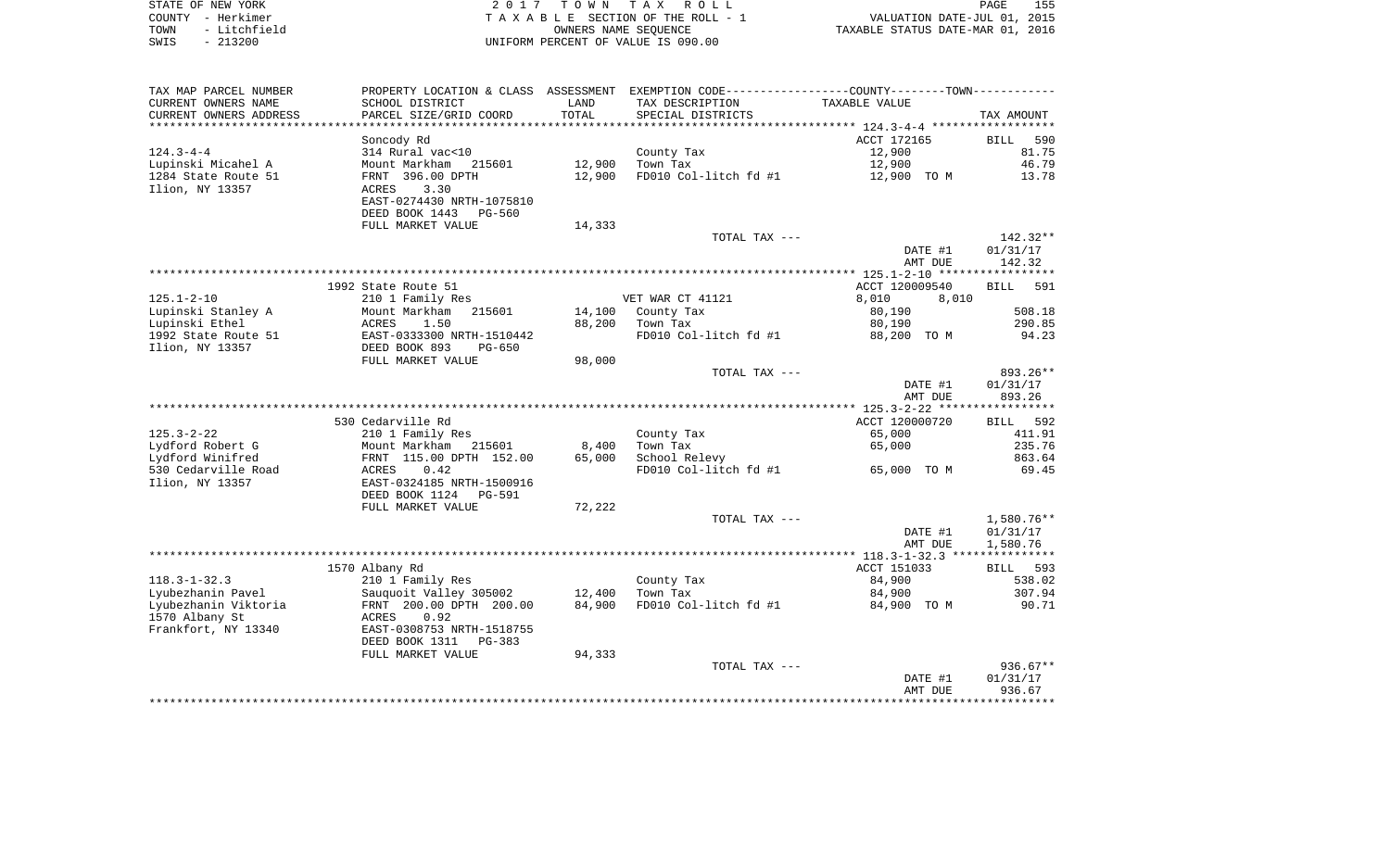| STATE OF NEW YORK    | 2017 TOWN TAX ROLL                 | 155<br>PAGE                      |
|----------------------|------------------------------------|----------------------------------|
| COUNTY - Herkimer    | TAXABLE SECTION OF THE ROLL - 1    | VALUATION DATE-JUL 01, 2015      |
| - Litchfield<br>TOWN | OWNERS NAME SEOUENCE               | TAXABLE STATUS DATE-MAR 01, 2016 |
| $-213200$<br>SWIS    | UNIFORM PERCENT OF VALUE IS 090.00 |                                  |

| TAX MAP PARCEL NUMBER                                     |                                          |        | PROPERTY LOCATION & CLASS ASSESSMENT EXEMPTION CODE----------------COUNTY--------TOWN----------- |                  |                      |
|-----------------------------------------------------------|------------------------------------------|--------|--------------------------------------------------------------------------------------------------|------------------|----------------------|
| CURRENT OWNERS NAME                                       | SCHOOL DISTRICT                          | LAND   | TAX DESCRIPTION                                                                                  | TAXABLE VALUE    |                      |
| CURRENT OWNERS ADDRESS<br>* * * * * * * * * * * * * * * * | PARCEL SIZE/GRID COORD                   | TOTAL  | SPECIAL DISTRICTS                                                                                |                  | TAX AMOUNT           |
|                                                           |                                          |        |                                                                                                  |                  |                      |
|                                                           | Soncody Rd                               |        |                                                                                                  | ACCT 172165      | <b>BILL</b><br>590   |
| $124.3 - 4 - 4$                                           | 314 Rural vac<10<br>Mount Markham 215601 | 12,900 | County Tax<br>Town Tax                                                                           | 12,900<br>12,900 | 81.75<br>46.79       |
| Lupinski Micahel A<br>1284 State Route 51                 | FRNT 396.00 DPTH                         | 12,900 | FD010 Col-litch fd #1                                                                            | 12,900 TO M      | 13.78                |
| Ilion, NY 13357                                           | 3.30<br>ACRES                            |        |                                                                                                  |                  |                      |
|                                                           | EAST-0274430 NRTH-1075810                |        |                                                                                                  |                  |                      |
|                                                           | DEED BOOK 1443<br>PG-560                 |        |                                                                                                  |                  |                      |
|                                                           | FULL MARKET VALUE                        | 14,333 |                                                                                                  |                  |                      |
|                                                           |                                          |        | TOTAL TAX ---                                                                                    |                  | 142.32**             |
|                                                           |                                          |        |                                                                                                  | DATE #1          | 01/31/17             |
|                                                           |                                          |        |                                                                                                  | AMT DUE          | 142.32               |
|                                                           |                                          |        |                                                                                                  |                  |                      |
|                                                           | 1992 State Route 51                      |        |                                                                                                  | ACCT 120009540   | BILL 591             |
| $125.1 - 2 - 10$                                          | 210 1 Family Res                         |        | VET WAR CT 41121                                                                                 | 8,010<br>8,010   |                      |
| Lupinski Stanley A                                        | Mount Markham<br>215601                  |        | 14,100 County Tax                                                                                | 80,190           | 508.18               |
| Lupinski Ethel                                            | 1.50<br>ACRES                            | 88,200 | Town Tax                                                                                         | 80,190           | 290.85               |
| 1992 State Route 51                                       | EAST-0333300 NRTH-1510442                |        | FD010 Col-litch fd #1                                                                            | 88,200 TO M      | 94.23                |
| Ilion, NY 13357                                           | DEED BOOK 893<br>PG-650                  | 98,000 |                                                                                                  |                  |                      |
|                                                           | FULL MARKET VALUE                        |        | TOTAL TAX ---                                                                                    |                  | 893.26**             |
|                                                           |                                          |        |                                                                                                  | DATE #1          | 01/31/17             |
|                                                           |                                          |        |                                                                                                  | AMT DUE          | 893.26               |
|                                                           |                                          |        |                                                                                                  |                  |                      |
|                                                           | 530 Cedarville Rd                        |        |                                                                                                  | ACCT 120000720   | BILL 592             |
| $125.3 - 2 - 22$                                          | 210 1 Family Res                         |        | County Tax                                                                                       | 65,000           | 411.91               |
| Lydford Robert G                                          | Mount Markham 215601                     | 8,400  | Town Tax                                                                                         | 65,000           | 235.76               |
| Lydford Winifred                                          | FRNT 115.00 DPTH 152.00                  | 65,000 | School Relevy                                                                                    |                  | 863.64               |
| 530 Cedarville Road                                       | 0.42<br>ACRES                            |        | FD010 Col-litch fd #1                                                                            | 65,000 TO M      | 69.45                |
| Ilion, NY 13357                                           | EAST-0324185 NRTH-1500916                |        |                                                                                                  |                  |                      |
|                                                           | DEED BOOK 1124 PG-591                    |        |                                                                                                  |                  |                      |
|                                                           | FULL MARKET VALUE                        | 72,222 |                                                                                                  |                  |                      |
|                                                           |                                          |        | TOTAL TAX ---                                                                                    | DATE #1          | 1,580.76**           |
|                                                           |                                          |        |                                                                                                  | AMT DUE          | 01/31/17<br>1,580.76 |
|                                                           |                                          |        |                                                                                                  |                  |                      |
|                                                           | 1570 Albany Rd                           |        |                                                                                                  | ACCT 151033      | BILL 593             |
| $118.3 - 1 - 32.3$                                        | 210 1 Family Res                         |        | County Tax                                                                                       | 84,900           | 538.02               |
| Lyubezhanin Pavel                                         | Sauquoit Valley 305002                   | 12,400 | Town Tax                                                                                         | 84,900           | 307.94               |
| Lyubezhanin Viktoria                                      | FRNT 200.00 DPTH 200.00                  | 84,900 | FD010 Col-litch fd #1                                                                            | 84,900 TO M      | 90.71                |
| 1570 Albany St                                            | 0.92<br>ACRES                            |        |                                                                                                  |                  |                      |
| Frankfort, NY 13340                                       | EAST-0308753 NRTH-1518755                |        |                                                                                                  |                  |                      |
|                                                           | DEED BOOK 1311 PG-383                    |        |                                                                                                  |                  |                      |
|                                                           | FULL MARKET VALUE                        | 94,333 |                                                                                                  |                  |                      |
|                                                           |                                          |        | TOTAL TAX ---                                                                                    |                  | $936.67**$           |
|                                                           |                                          |        |                                                                                                  | DATE #1          | 01/31/17             |
|                                                           |                                          |        |                                                                                                  | AMT DUE          | 936.67               |
|                                                           |                                          |        |                                                                                                  |                  |                      |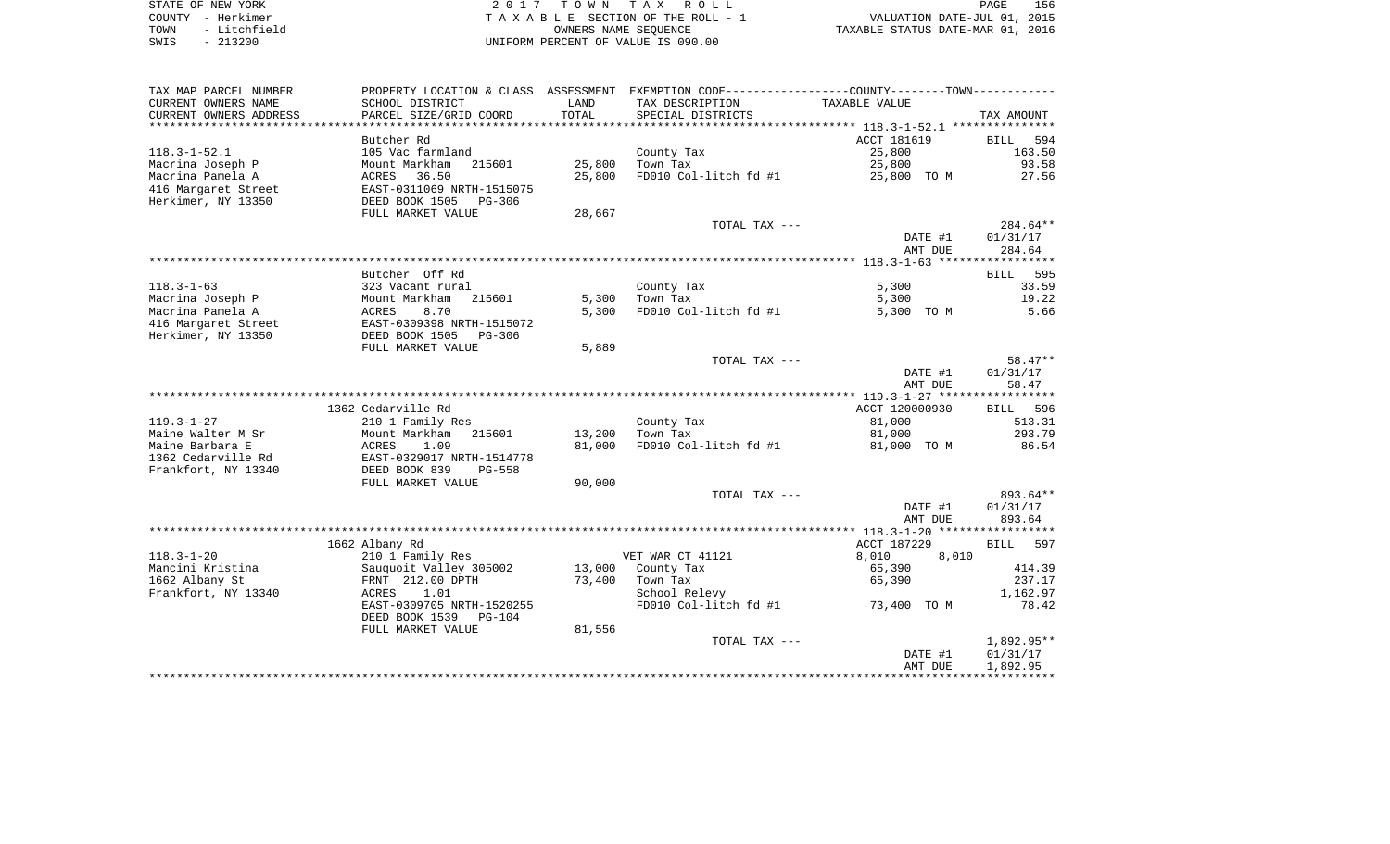| STATE OF NEW YORK |  |              |  |
|-------------------|--|--------------|--|
| COUNTY - Herkimer |  |              |  |
| TOWN              |  | - Litchfield |  |
| <b>CMTC</b>       |  | - 213200     |  |

STATE OF NEW YORK 2 0 1 7 T O W N T A X R O L L PAGE 156TA X A B L E SECTION OF THE ROLL - 1 TOWN - Litchfield OWNERS NAME SEQUENCE TAXABLE STATUS DATE-MAR 01, 2016 SWIS - 213200 UNIFORM PERCENT OF VALUE IS 090.00

| TAX MAP PARCEL NUMBER  | PROPERTY LOCATION & CLASS ASSESSMENT |        |                       |                |                    |
|------------------------|--------------------------------------|--------|-----------------------|----------------|--------------------|
| CURRENT OWNERS NAME    | SCHOOL DISTRICT                      | LAND   | TAX DESCRIPTION       | TAXABLE VALUE  |                    |
| CURRENT OWNERS ADDRESS | PARCEL SIZE/GRID COORD               | TOTAL  | SPECIAL DISTRICTS     |                | TAX AMOUNT         |
| *******************    | *****************************        |        |                       |                |                    |
|                        | Butcher Rd                           |        |                       | ACCT 181619    | <b>BILL</b><br>594 |
| $118.3 - 1 - 52.1$     | 105 Vac farmland                     |        | County Tax            | 25,800         | 163.50             |
| Macrina Joseph P       | Mount Markham<br>215601              | 25,800 | Town Tax              | 25,800         | 93.58              |
| Macrina Pamela A       | ACRES<br>36.50                       | 25,800 | FD010 Col-litch fd #1 | 25,800 TO M    | 27.56              |
| 416 Margaret Street    | EAST-0311069 NRTH-1515075            |        |                       |                |                    |
| Herkimer, NY 13350     | DEED BOOK 1505<br>PG-306             |        |                       |                |                    |
|                        | FULL MARKET VALUE                    | 28,667 |                       |                |                    |
|                        |                                      |        | TOTAL TAX ---         |                | 284.64**           |
|                        |                                      |        |                       | DATE #1        | 01/31/17           |
|                        |                                      |        |                       | AMT DUE        | 284.64             |
|                        |                                      |        |                       |                |                    |
|                        | Butcher Off Rd                       |        |                       |                | BILL 595           |
| $118.3 - 1 - 63$       | 323 Vacant rural                     |        | County Tax            | 5,300          | 33.59              |
| Macrina Joseph P       | Mount Markham<br>215601              | 5,300  | Town Tax              | 5,300          | 19.22              |
| Macrina Pamela A       | ACRES<br>8.70                        | 5,300  | FD010 Col-litch fd #1 | 5,300 TO M     | 5.66               |
|                        |                                      |        |                       |                |                    |
| 416 Margaret Street    | EAST-0309398 NRTH-1515072            |        |                       |                |                    |
| Herkimer, NY 13350     | DEED BOOK 1505<br>PG-306             |        |                       |                |                    |
|                        | FULL MARKET VALUE                    | 5,889  |                       |                |                    |
|                        |                                      |        | TOTAL TAX ---         |                | $58.47**$          |
|                        |                                      |        |                       | DATE #1        | 01/31/17           |
|                        |                                      |        |                       | AMT DUE        | 58.47              |
|                        |                                      |        |                       |                |                    |
|                        | 1362 Cedarville Rd                   |        |                       | ACCT 120000930 | BILL 596           |
| $119.3 - 1 - 27$       | 210 1 Family Res                     |        | County Tax            | 81,000         | 513.31             |
| Maine Walter M Sr      | Mount Markham<br>215601              | 13,200 | Town Tax              | 81,000         | 293.79             |
| Maine Barbara E        | ACRES<br>1.09                        | 81,000 | FD010 Col-litch fd #1 | 81,000 TO M    | 86.54              |
| 1362 Cedarville Rd     | EAST-0329017 NRTH-1514778            |        |                       |                |                    |
| Frankfort, NY 13340    | DEED BOOK 839<br><b>PG-558</b>       |        |                       |                |                    |
|                        | FULL MARKET VALUE                    | 90,000 |                       |                |                    |
|                        |                                      |        | TOTAL TAX ---         |                | 893.64**           |
|                        |                                      |        |                       | DATE #1        | 01/31/17           |
|                        |                                      |        |                       | AMT DUE        | 893.64             |
|                        |                                      |        |                       |                |                    |
|                        | 1662 Albany Rd                       |        |                       | ACCT 187229    | BILL 597           |
| $118.3 - 1 - 20$       | 210 1 Family Res                     |        | VET WAR CT 41121      | 8,010<br>8,010 |                    |
| Mancini Kristina       | Sauguoit Valley 305002               |        | 13,000 County Tax     | 65,390         | 414.39             |
| 1662 Albany St         | FRNT 212.00 DPTH                     | 73,400 | Town Tax              | 65,390         | 237.17             |
| Frankfort, NY 13340    | 1.01<br>ACRES                        |        | School Relevy         |                | 1,162.97           |
|                        | EAST-0309705 NRTH-1520255            |        | FD010 Col-litch fd #1 | 73,400 TO M    | 78.42              |
|                        | DEED BOOK 1539<br>$PG-104$           |        |                       |                |                    |
|                        | FULL MARKET VALUE                    | 81,556 |                       |                |                    |
|                        |                                      |        |                       |                | 1,892.95**         |
|                        |                                      |        | TOTAL TAX ---         |                |                    |
|                        |                                      |        |                       | DATE #1        | 01/31/17           |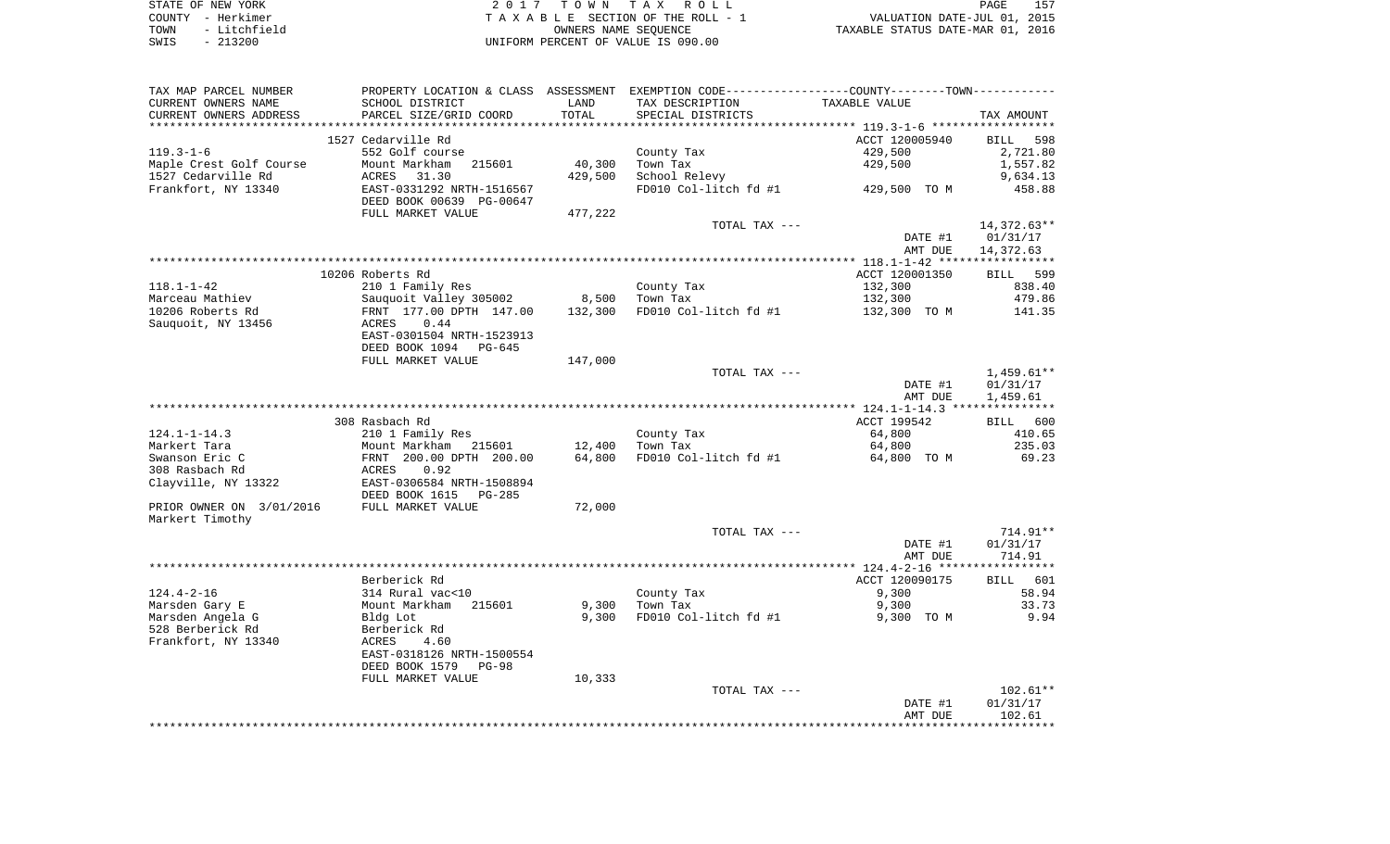| STATE OF NEW YORK    | 2017 TOWN TAX ROLL                 | 157<br>PAGE                      |
|----------------------|------------------------------------|----------------------------------|
| COUNTY - Herkimer    | TAXABLE SECTION OF THE ROLL - 1    | VALUATION DATE-JUL 01, 2015      |
| - Litchfield<br>TOWN | OWNERS NAME SEOUENCE               | TAXABLE STATUS DATE-MAR 01, 2016 |
| - 213200<br>SWIS     | UNIFORM PERCENT OF VALUE IS 090.00 |                                  |

157<br>2015

| TAX MAP PARCEL NUMBER                      | PROPERTY LOCATION & CLASS ASSESSMENT EXEMPTION CODE---------------COUNTY-------TOWN---------- |         |                        |                    |                       |
|--------------------------------------------|-----------------------------------------------------------------------------------------------|---------|------------------------|--------------------|-----------------------|
| CURRENT OWNERS NAME                        | SCHOOL DISTRICT                                                                               | LAND    | TAX DESCRIPTION        | TAXABLE VALUE      |                       |
| CURRENT OWNERS ADDRESS                     | PARCEL SIZE/GRID COORD                                                                        | TOTAL   | SPECIAL DISTRICTS      |                    | TAX AMOUNT            |
|                                            |                                                                                               |         |                        |                    |                       |
|                                            | 1527 Cedarville Rd                                                                            |         |                        | ACCT 120005940     | BILL 598              |
| $119.3 - 1 - 6$                            | 552 Golf course                                                                               |         | County Tax             | 429,500            | 2,721.80              |
| Maple Crest Golf Course                    | Mount Markham<br>215601                                                                       | 40,300  | Town Tax               | 429,500            | 1,557.82              |
| 1527 Cedarville Rd                         | ACRES<br>31.30                                                                                | 429,500 | School Relevy          |                    | 9,634.13              |
| Frankfort, NY 13340                        | EAST-0331292 NRTH-1516567<br>DEED BOOK 00639 PG-00647                                         |         | FD010 Col-litch fd #1  | 429,500 TO M       | 458.88                |
|                                            | FULL MARKET VALUE                                                                             | 477,222 |                        |                    |                       |
|                                            |                                                                                               |         | TOTAL TAX ---          |                    | 14,372.63**           |
|                                            |                                                                                               |         |                        | DATE #1<br>AMT DUE | 01/31/17<br>14,372.63 |
|                                            |                                                                                               |         |                        |                    |                       |
|                                            | 10206 Roberts Rd                                                                              |         |                        | ACCT 120001350     | BILL 599              |
| 118.1-1-42                                 | 210 1 Family Res                                                                              |         | County Tax             | 132,300            | 838.40                |
| Marceau Mathiev                            | Sauquoit Valley 305002                                                                        | 8,500   | Town Tax               | 132,300            | 479.86                |
| 10206 Roberts Rd                           | FRNT 177.00 DPTH 147.00                                                                       | 132,300 | FD010 Col-litch fd #1  | 132,300 TO M       | 141.35                |
| Sauquoit, NY 13456                         | ACRES<br>0.44                                                                                 |         |                        |                    |                       |
|                                            | EAST-0301504 NRTH-1523913                                                                     |         |                        |                    |                       |
|                                            | DEED BOOK 1094 PG-645                                                                         |         |                        |                    |                       |
|                                            | FULL MARKET VALUE                                                                             | 147,000 |                        |                    |                       |
|                                            |                                                                                               |         | TOTAL TAX ---          |                    | 1,459.61**            |
|                                            |                                                                                               |         |                        | DATE #1            | 01/31/17              |
|                                            |                                                                                               |         |                        | AMT DUE            | 1,459.61              |
|                                            |                                                                                               |         |                        |                    |                       |
|                                            | 308 Rasbach Rd                                                                                |         |                        | ACCT 199542        | BILL 600              |
| 124.1-1-14.3                               | 210 1 Family Res                                                                              |         | County Tax             | 64,800             | 410.65                |
| Markert Tara                               | Mount Markham 215601<br>FRNT 200.00 DPTH 200.00                                               | 12,400  | Town Tax               | 64,800             | 235.03                |
| Swanson Eric C                             |                                                                                               | 64,800  | FD010 Col-litch fd #1  | 64,800 TO M        | 69.23                 |
| 308 Rasbach Rd                             | ACRES 0.92                                                                                    |         |                        |                    |                       |
| Clayville, NY 13322                        | EAST-0306584 NRTH-1508894                                                                     |         |                        |                    |                       |
|                                            | DEED BOOK 1615 PG-285                                                                         |         |                        |                    |                       |
| PRIOR OWNER ON 3/01/2016 FULL MARKET VALUE |                                                                                               | 72,000  |                        |                    |                       |
| Markert Timothy                            |                                                                                               |         |                        |                    |                       |
|                                            |                                                                                               |         | TOTAL TAX ---          |                    | 714.91**              |
|                                            |                                                                                               |         |                        | DATE #1            | 01/31/17              |
|                                            |                                                                                               |         |                        | AMT DUE            | 714.91                |
|                                            |                                                                                               |         |                        |                    |                       |
|                                            | Berberick Rd                                                                                  |         |                        | ACCT 120090175     | BILL 601              |
| 124.4-2-16                                 | 314 Rural vac<10                                                                              |         | County Tax<br>Town Tax | 9,300              | 58.94<br>33.73        |
| Marsden Gary E                             | Mount Markham 215601                                                                          | 9,300   |                        | 9,300              | 9.94                  |
| Marsden Angela G<br>528 Berberick Rd       | Bldg Lot<br>Berberick Rd                                                                      | 9,300   | FD010 Col-litch fd #1  | 9,300 TO M         |                       |
| Frankfort, NY 13340                        | ACRES<br>4.60                                                                                 |         |                        |                    |                       |
|                                            | EAST-0318126 NRTH-1500554                                                                     |         |                        |                    |                       |
|                                            | DEED BOOK 1579 PG-98                                                                          |         |                        |                    |                       |
|                                            | FULL MARKET VALUE                                                                             | 10,333  |                        |                    |                       |
|                                            |                                                                                               |         | TOTAL TAX ---          |                    | $102.61**$            |
|                                            |                                                                                               |         |                        | DATE #1            | 01/31/17              |
|                                            |                                                                                               |         |                        | AMT DUE            | 102.61                |
|                                            |                                                                                               |         |                        |                    | **********            |
|                                            |                                                                                               |         |                        |                    |                       |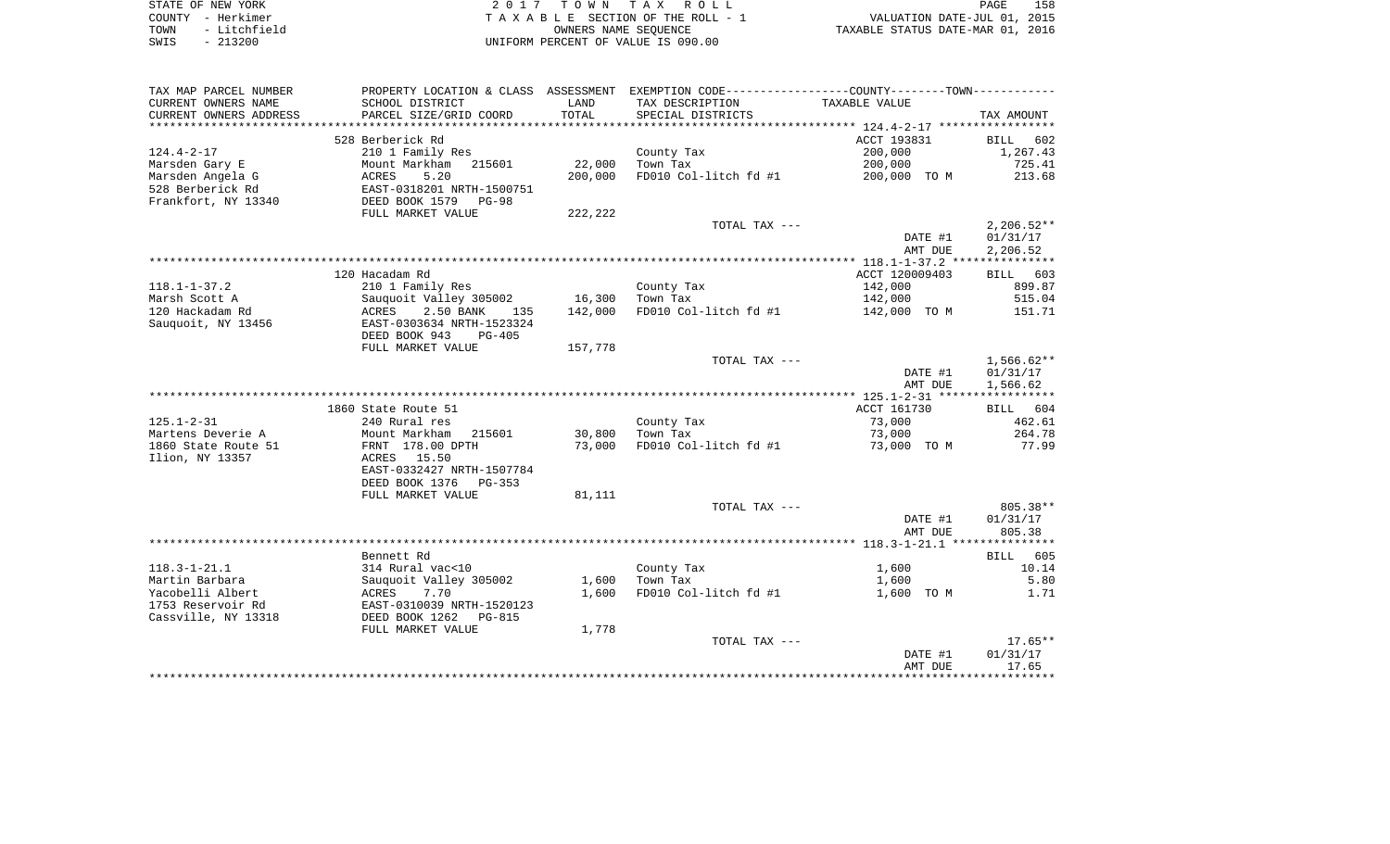| STATE OF NEW YORK    | 2017 TOWN TAX ROLL                 | 158<br>PAGE                      |
|----------------------|------------------------------------|----------------------------------|
| COUNTY - Herkimer    | TAXABLE SECTION OF THE ROLL - 1    | VALUATION DATE-JUL 01, 2015      |
| - Litchfield<br>TOWN | OWNERS NAME SEOUENCE               | TAXABLE STATUS DATE-MAR 01, 2016 |
| $-213200$<br>SWIS    | UNIFORM PERCENT OF VALUE IS 090.00 |                                  |

| SCHOOL DISTRICT<br>TAX DESCRIPTION<br>TAXABLE VALUE<br>LAND<br>TOTAL<br>PARCEL SIZE/GRID COORD<br>SPECIAL DISTRICTS<br>TAX AMOUNT<br>************************<br>**********<br>528 Berberick Rd<br>ACCT 193831<br><b>BILL</b><br>602<br>200,000<br>210 1 Family Res<br>County Tax<br>1,267.43<br>Mount Markham<br>22,000<br>Town Tax<br>200,000<br>725.41<br>215601<br>200,000<br>FD010 Col-litch fd #1<br>213.68<br>ACRES<br>5.20<br>200,000 TO M<br>EAST-0318201 NRTH-1500751<br>DEED BOOK 1579<br>$PG-98$<br>FULL MARKET VALUE<br>222,222<br>$2,206.52**$<br>TOTAL TAX ---<br>DATE #1<br>01/31/17<br>AMT DUE<br>2,206.52<br>120 Hacadam Rd<br>ACCT 120009403<br>BILL 603<br>$118.1 - 1 - 37.2$<br>142,000<br>899.87<br>210 1 Family Res<br>County Tax<br>Marsh Scott A<br>Sauquoit Valley 305002<br>16,300<br>Town Tax<br>142,000<br>515.04<br>142,000<br>FD010 Col-litch fd #1<br>120 Hackadam Rd<br>ACRES<br>2.50 BANK<br>142,000 TO M<br>151.71<br>135<br>Sauquoit, NY 13456<br>EAST-0303634 NRTH-1523324<br>DEED BOOK 943<br><b>PG-405</b><br>157,778<br>FULL MARKET VALUE<br>TOTAL TAX ---<br>$1,566.62**$<br>DATE #1<br>01/31/17<br>AMT DUE<br>1,566.62<br>ACCT 161730<br>1860 State Route 51<br>BILL 604<br>$125.1 - 2 - 31$<br>240 Rural res<br>County Tax<br>73,000<br>462.61<br>30,800<br>Martens Deverie A<br>Mount Markham<br>215601<br>Town Tax<br>73,000<br>264.78<br>1860 State Route 51<br>FRNT 178.00 DPTH<br>73,000<br>FD010 Col-litch fd #1<br>77.99<br>73,000 TO M<br>Ilion, NY 13357<br>15.50<br>ACRES<br>EAST-0332427 NRTH-1507784<br>DEED BOOK 1376<br>$PG-353$<br>FULL MARKET VALUE<br>81,111<br>805.38**<br>TOTAL TAX ---<br>DATE #1<br>01/31/17<br>805.38<br>AMT DUE<br>Bennett Rd<br>BILL<br>605<br>$118.3 - 1 - 21.1$<br>314 Rural vac<10<br>County Tax<br>1,600<br>10.14<br>Martin Barbara<br>Sauguoit Valley 305002<br>1,600<br>Town Tax<br>5.80<br>1,600<br>Yacobelli Albert<br>ACRES<br>7.70<br>1,600<br>FD010 Col-litch fd #1<br>1,600 TO M<br>1.71<br>1753 Reservoir Rd<br>EAST-0310039 NRTH-1520123<br>Cassville, NY 13318<br>DEED BOOK 1262<br>PG-815<br>FULL MARKET VALUE<br>1,778<br>$17.65**$<br>TOTAL TAX ---<br>DATE #1<br>01/31/17<br>17.65<br>AMT DUE | TAX MAP PARCEL NUMBER  |  | PROPERTY LOCATION & CLASS ASSESSMENT EXEMPTION CODE----------------COUNTY--------TOWN---------- |  |
|-----------------------------------------------------------------------------------------------------------------------------------------------------------------------------------------------------------------------------------------------------------------------------------------------------------------------------------------------------------------------------------------------------------------------------------------------------------------------------------------------------------------------------------------------------------------------------------------------------------------------------------------------------------------------------------------------------------------------------------------------------------------------------------------------------------------------------------------------------------------------------------------------------------------------------------------------------------------------------------------------------------------------------------------------------------------------------------------------------------------------------------------------------------------------------------------------------------------------------------------------------------------------------------------------------------------------------------------------------------------------------------------------------------------------------------------------------------------------------------------------------------------------------------------------------------------------------------------------------------------------------------------------------------------------------------------------------------------------------------------------------------------------------------------------------------------------------------------------------------------------------------------------------------------------------------------------------------------------------------------------------------------------------------------------------------------------------------------------------------------------------------------------------------------------------------------------------|------------------------|--|-------------------------------------------------------------------------------------------------|--|
|                                                                                                                                                                                                                                                                                                                                                                                                                                                                                                                                                                                                                                                                                                                                                                                                                                                                                                                                                                                                                                                                                                                                                                                                                                                                                                                                                                                                                                                                                                                                                                                                                                                                                                                                                                                                                                                                                                                                                                                                                                                                                                                                                                                                     | CURRENT OWNERS NAME    |  |                                                                                                 |  |
|                                                                                                                                                                                                                                                                                                                                                                                                                                                                                                                                                                                                                                                                                                                                                                                                                                                                                                                                                                                                                                                                                                                                                                                                                                                                                                                                                                                                                                                                                                                                                                                                                                                                                                                                                                                                                                                                                                                                                                                                                                                                                                                                                                                                     | CURRENT OWNERS ADDRESS |  |                                                                                                 |  |
|                                                                                                                                                                                                                                                                                                                                                                                                                                                                                                                                                                                                                                                                                                                                                                                                                                                                                                                                                                                                                                                                                                                                                                                                                                                                                                                                                                                                                                                                                                                                                                                                                                                                                                                                                                                                                                                                                                                                                                                                                                                                                                                                                                                                     | ******************     |  |                                                                                                 |  |
|                                                                                                                                                                                                                                                                                                                                                                                                                                                                                                                                                                                                                                                                                                                                                                                                                                                                                                                                                                                                                                                                                                                                                                                                                                                                                                                                                                                                                                                                                                                                                                                                                                                                                                                                                                                                                                                                                                                                                                                                                                                                                                                                                                                                     |                        |  |                                                                                                 |  |
|                                                                                                                                                                                                                                                                                                                                                                                                                                                                                                                                                                                                                                                                                                                                                                                                                                                                                                                                                                                                                                                                                                                                                                                                                                                                                                                                                                                                                                                                                                                                                                                                                                                                                                                                                                                                                                                                                                                                                                                                                                                                                                                                                                                                     | $124.4 - 2 - 17$       |  |                                                                                                 |  |
|                                                                                                                                                                                                                                                                                                                                                                                                                                                                                                                                                                                                                                                                                                                                                                                                                                                                                                                                                                                                                                                                                                                                                                                                                                                                                                                                                                                                                                                                                                                                                                                                                                                                                                                                                                                                                                                                                                                                                                                                                                                                                                                                                                                                     | Marsden Gary E         |  |                                                                                                 |  |
|                                                                                                                                                                                                                                                                                                                                                                                                                                                                                                                                                                                                                                                                                                                                                                                                                                                                                                                                                                                                                                                                                                                                                                                                                                                                                                                                                                                                                                                                                                                                                                                                                                                                                                                                                                                                                                                                                                                                                                                                                                                                                                                                                                                                     | Marsden Angela G       |  |                                                                                                 |  |
|                                                                                                                                                                                                                                                                                                                                                                                                                                                                                                                                                                                                                                                                                                                                                                                                                                                                                                                                                                                                                                                                                                                                                                                                                                                                                                                                                                                                                                                                                                                                                                                                                                                                                                                                                                                                                                                                                                                                                                                                                                                                                                                                                                                                     | 528 Berberick Rd       |  |                                                                                                 |  |
|                                                                                                                                                                                                                                                                                                                                                                                                                                                                                                                                                                                                                                                                                                                                                                                                                                                                                                                                                                                                                                                                                                                                                                                                                                                                                                                                                                                                                                                                                                                                                                                                                                                                                                                                                                                                                                                                                                                                                                                                                                                                                                                                                                                                     | Frankfort, NY 13340    |  |                                                                                                 |  |
|                                                                                                                                                                                                                                                                                                                                                                                                                                                                                                                                                                                                                                                                                                                                                                                                                                                                                                                                                                                                                                                                                                                                                                                                                                                                                                                                                                                                                                                                                                                                                                                                                                                                                                                                                                                                                                                                                                                                                                                                                                                                                                                                                                                                     |                        |  |                                                                                                 |  |
|                                                                                                                                                                                                                                                                                                                                                                                                                                                                                                                                                                                                                                                                                                                                                                                                                                                                                                                                                                                                                                                                                                                                                                                                                                                                                                                                                                                                                                                                                                                                                                                                                                                                                                                                                                                                                                                                                                                                                                                                                                                                                                                                                                                                     |                        |  |                                                                                                 |  |
|                                                                                                                                                                                                                                                                                                                                                                                                                                                                                                                                                                                                                                                                                                                                                                                                                                                                                                                                                                                                                                                                                                                                                                                                                                                                                                                                                                                                                                                                                                                                                                                                                                                                                                                                                                                                                                                                                                                                                                                                                                                                                                                                                                                                     |                        |  |                                                                                                 |  |
|                                                                                                                                                                                                                                                                                                                                                                                                                                                                                                                                                                                                                                                                                                                                                                                                                                                                                                                                                                                                                                                                                                                                                                                                                                                                                                                                                                                                                                                                                                                                                                                                                                                                                                                                                                                                                                                                                                                                                                                                                                                                                                                                                                                                     |                        |  |                                                                                                 |  |
|                                                                                                                                                                                                                                                                                                                                                                                                                                                                                                                                                                                                                                                                                                                                                                                                                                                                                                                                                                                                                                                                                                                                                                                                                                                                                                                                                                                                                                                                                                                                                                                                                                                                                                                                                                                                                                                                                                                                                                                                                                                                                                                                                                                                     |                        |  |                                                                                                 |  |
|                                                                                                                                                                                                                                                                                                                                                                                                                                                                                                                                                                                                                                                                                                                                                                                                                                                                                                                                                                                                                                                                                                                                                                                                                                                                                                                                                                                                                                                                                                                                                                                                                                                                                                                                                                                                                                                                                                                                                                                                                                                                                                                                                                                                     |                        |  |                                                                                                 |  |
|                                                                                                                                                                                                                                                                                                                                                                                                                                                                                                                                                                                                                                                                                                                                                                                                                                                                                                                                                                                                                                                                                                                                                                                                                                                                                                                                                                                                                                                                                                                                                                                                                                                                                                                                                                                                                                                                                                                                                                                                                                                                                                                                                                                                     |                        |  |                                                                                                 |  |
|                                                                                                                                                                                                                                                                                                                                                                                                                                                                                                                                                                                                                                                                                                                                                                                                                                                                                                                                                                                                                                                                                                                                                                                                                                                                                                                                                                                                                                                                                                                                                                                                                                                                                                                                                                                                                                                                                                                                                                                                                                                                                                                                                                                                     |                        |  |                                                                                                 |  |
|                                                                                                                                                                                                                                                                                                                                                                                                                                                                                                                                                                                                                                                                                                                                                                                                                                                                                                                                                                                                                                                                                                                                                                                                                                                                                                                                                                                                                                                                                                                                                                                                                                                                                                                                                                                                                                                                                                                                                                                                                                                                                                                                                                                                     |                        |  |                                                                                                 |  |
|                                                                                                                                                                                                                                                                                                                                                                                                                                                                                                                                                                                                                                                                                                                                                                                                                                                                                                                                                                                                                                                                                                                                                                                                                                                                                                                                                                                                                                                                                                                                                                                                                                                                                                                                                                                                                                                                                                                                                                                                                                                                                                                                                                                                     |                        |  |                                                                                                 |  |
|                                                                                                                                                                                                                                                                                                                                                                                                                                                                                                                                                                                                                                                                                                                                                                                                                                                                                                                                                                                                                                                                                                                                                                                                                                                                                                                                                                                                                                                                                                                                                                                                                                                                                                                                                                                                                                                                                                                                                                                                                                                                                                                                                                                                     |                        |  |                                                                                                 |  |
|                                                                                                                                                                                                                                                                                                                                                                                                                                                                                                                                                                                                                                                                                                                                                                                                                                                                                                                                                                                                                                                                                                                                                                                                                                                                                                                                                                                                                                                                                                                                                                                                                                                                                                                                                                                                                                                                                                                                                                                                                                                                                                                                                                                                     |                        |  |                                                                                                 |  |
|                                                                                                                                                                                                                                                                                                                                                                                                                                                                                                                                                                                                                                                                                                                                                                                                                                                                                                                                                                                                                                                                                                                                                                                                                                                                                                                                                                                                                                                                                                                                                                                                                                                                                                                                                                                                                                                                                                                                                                                                                                                                                                                                                                                                     |                        |  |                                                                                                 |  |
|                                                                                                                                                                                                                                                                                                                                                                                                                                                                                                                                                                                                                                                                                                                                                                                                                                                                                                                                                                                                                                                                                                                                                                                                                                                                                                                                                                                                                                                                                                                                                                                                                                                                                                                                                                                                                                                                                                                                                                                                                                                                                                                                                                                                     |                        |  |                                                                                                 |  |
|                                                                                                                                                                                                                                                                                                                                                                                                                                                                                                                                                                                                                                                                                                                                                                                                                                                                                                                                                                                                                                                                                                                                                                                                                                                                                                                                                                                                                                                                                                                                                                                                                                                                                                                                                                                                                                                                                                                                                                                                                                                                                                                                                                                                     |                        |  |                                                                                                 |  |
|                                                                                                                                                                                                                                                                                                                                                                                                                                                                                                                                                                                                                                                                                                                                                                                                                                                                                                                                                                                                                                                                                                                                                                                                                                                                                                                                                                                                                                                                                                                                                                                                                                                                                                                                                                                                                                                                                                                                                                                                                                                                                                                                                                                                     |                        |  |                                                                                                 |  |
|                                                                                                                                                                                                                                                                                                                                                                                                                                                                                                                                                                                                                                                                                                                                                                                                                                                                                                                                                                                                                                                                                                                                                                                                                                                                                                                                                                                                                                                                                                                                                                                                                                                                                                                                                                                                                                                                                                                                                                                                                                                                                                                                                                                                     |                        |  |                                                                                                 |  |
|                                                                                                                                                                                                                                                                                                                                                                                                                                                                                                                                                                                                                                                                                                                                                                                                                                                                                                                                                                                                                                                                                                                                                                                                                                                                                                                                                                                                                                                                                                                                                                                                                                                                                                                                                                                                                                                                                                                                                                                                                                                                                                                                                                                                     |                        |  |                                                                                                 |  |
|                                                                                                                                                                                                                                                                                                                                                                                                                                                                                                                                                                                                                                                                                                                                                                                                                                                                                                                                                                                                                                                                                                                                                                                                                                                                                                                                                                                                                                                                                                                                                                                                                                                                                                                                                                                                                                                                                                                                                                                                                                                                                                                                                                                                     |                        |  |                                                                                                 |  |
|                                                                                                                                                                                                                                                                                                                                                                                                                                                                                                                                                                                                                                                                                                                                                                                                                                                                                                                                                                                                                                                                                                                                                                                                                                                                                                                                                                                                                                                                                                                                                                                                                                                                                                                                                                                                                                                                                                                                                                                                                                                                                                                                                                                                     |                        |  |                                                                                                 |  |
|                                                                                                                                                                                                                                                                                                                                                                                                                                                                                                                                                                                                                                                                                                                                                                                                                                                                                                                                                                                                                                                                                                                                                                                                                                                                                                                                                                                                                                                                                                                                                                                                                                                                                                                                                                                                                                                                                                                                                                                                                                                                                                                                                                                                     |                        |  |                                                                                                 |  |
|                                                                                                                                                                                                                                                                                                                                                                                                                                                                                                                                                                                                                                                                                                                                                                                                                                                                                                                                                                                                                                                                                                                                                                                                                                                                                                                                                                                                                                                                                                                                                                                                                                                                                                                                                                                                                                                                                                                                                                                                                                                                                                                                                                                                     |                        |  |                                                                                                 |  |
|                                                                                                                                                                                                                                                                                                                                                                                                                                                                                                                                                                                                                                                                                                                                                                                                                                                                                                                                                                                                                                                                                                                                                                                                                                                                                                                                                                                                                                                                                                                                                                                                                                                                                                                                                                                                                                                                                                                                                                                                                                                                                                                                                                                                     |                        |  |                                                                                                 |  |
|                                                                                                                                                                                                                                                                                                                                                                                                                                                                                                                                                                                                                                                                                                                                                                                                                                                                                                                                                                                                                                                                                                                                                                                                                                                                                                                                                                                                                                                                                                                                                                                                                                                                                                                                                                                                                                                                                                                                                                                                                                                                                                                                                                                                     |                        |  |                                                                                                 |  |
|                                                                                                                                                                                                                                                                                                                                                                                                                                                                                                                                                                                                                                                                                                                                                                                                                                                                                                                                                                                                                                                                                                                                                                                                                                                                                                                                                                                                                                                                                                                                                                                                                                                                                                                                                                                                                                                                                                                                                                                                                                                                                                                                                                                                     |                        |  |                                                                                                 |  |
|                                                                                                                                                                                                                                                                                                                                                                                                                                                                                                                                                                                                                                                                                                                                                                                                                                                                                                                                                                                                                                                                                                                                                                                                                                                                                                                                                                                                                                                                                                                                                                                                                                                                                                                                                                                                                                                                                                                                                                                                                                                                                                                                                                                                     |                        |  |                                                                                                 |  |
|                                                                                                                                                                                                                                                                                                                                                                                                                                                                                                                                                                                                                                                                                                                                                                                                                                                                                                                                                                                                                                                                                                                                                                                                                                                                                                                                                                                                                                                                                                                                                                                                                                                                                                                                                                                                                                                                                                                                                                                                                                                                                                                                                                                                     |                        |  |                                                                                                 |  |
|                                                                                                                                                                                                                                                                                                                                                                                                                                                                                                                                                                                                                                                                                                                                                                                                                                                                                                                                                                                                                                                                                                                                                                                                                                                                                                                                                                                                                                                                                                                                                                                                                                                                                                                                                                                                                                                                                                                                                                                                                                                                                                                                                                                                     |                        |  |                                                                                                 |  |
|                                                                                                                                                                                                                                                                                                                                                                                                                                                                                                                                                                                                                                                                                                                                                                                                                                                                                                                                                                                                                                                                                                                                                                                                                                                                                                                                                                                                                                                                                                                                                                                                                                                                                                                                                                                                                                                                                                                                                                                                                                                                                                                                                                                                     |                        |  |                                                                                                 |  |
|                                                                                                                                                                                                                                                                                                                                                                                                                                                                                                                                                                                                                                                                                                                                                                                                                                                                                                                                                                                                                                                                                                                                                                                                                                                                                                                                                                                                                                                                                                                                                                                                                                                                                                                                                                                                                                                                                                                                                                                                                                                                                                                                                                                                     |                        |  |                                                                                                 |  |
|                                                                                                                                                                                                                                                                                                                                                                                                                                                                                                                                                                                                                                                                                                                                                                                                                                                                                                                                                                                                                                                                                                                                                                                                                                                                                                                                                                                                                                                                                                                                                                                                                                                                                                                                                                                                                                                                                                                                                                                                                                                                                                                                                                                                     |                        |  |                                                                                                 |  |
|                                                                                                                                                                                                                                                                                                                                                                                                                                                                                                                                                                                                                                                                                                                                                                                                                                                                                                                                                                                                                                                                                                                                                                                                                                                                                                                                                                                                                                                                                                                                                                                                                                                                                                                                                                                                                                                                                                                                                                                                                                                                                                                                                                                                     |                        |  |                                                                                                 |  |
|                                                                                                                                                                                                                                                                                                                                                                                                                                                                                                                                                                                                                                                                                                                                                                                                                                                                                                                                                                                                                                                                                                                                                                                                                                                                                                                                                                                                                                                                                                                                                                                                                                                                                                                                                                                                                                                                                                                                                                                                                                                                                                                                                                                                     |                        |  |                                                                                                 |  |
|                                                                                                                                                                                                                                                                                                                                                                                                                                                                                                                                                                                                                                                                                                                                                                                                                                                                                                                                                                                                                                                                                                                                                                                                                                                                                                                                                                                                                                                                                                                                                                                                                                                                                                                                                                                                                                                                                                                                                                                                                                                                                                                                                                                                     |                        |  |                                                                                                 |  |
|                                                                                                                                                                                                                                                                                                                                                                                                                                                                                                                                                                                                                                                                                                                                                                                                                                                                                                                                                                                                                                                                                                                                                                                                                                                                                                                                                                                                                                                                                                                                                                                                                                                                                                                                                                                                                                                                                                                                                                                                                                                                                                                                                                                                     |                        |  |                                                                                                 |  |
|                                                                                                                                                                                                                                                                                                                                                                                                                                                                                                                                                                                                                                                                                                                                                                                                                                                                                                                                                                                                                                                                                                                                                                                                                                                                                                                                                                                                                                                                                                                                                                                                                                                                                                                                                                                                                                                                                                                                                                                                                                                                                                                                                                                                     |                        |  |                                                                                                 |  |
|                                                                                                                                                                                                                                                                                                                                                                                                                                                                                                                                                                                                                                                                                                                                                                                                                                                                                                                                                                                                                                                                                                                                                                                                                                                                                                                                                                                                                                                                                                                                                                                                                                                                                                                                                                                                                                                                                                                                                                                                                                                                                                                                                                                                     |                        |  |                                                                                                 |  |
|                                                                                                                                                                                                                                                                                                                                                                                                                                                                                                                                                                                                                                                                                                                                                                                                                                                                                                                                                                                                                                                                                                                                                                                                                                                                                                                                                                                                                                                                                                                                                                                                                                                                                                                                                                                                                                                                                                                                                                                                                                                                                                                                                                                                     |                        |  |                                                                                                 |  |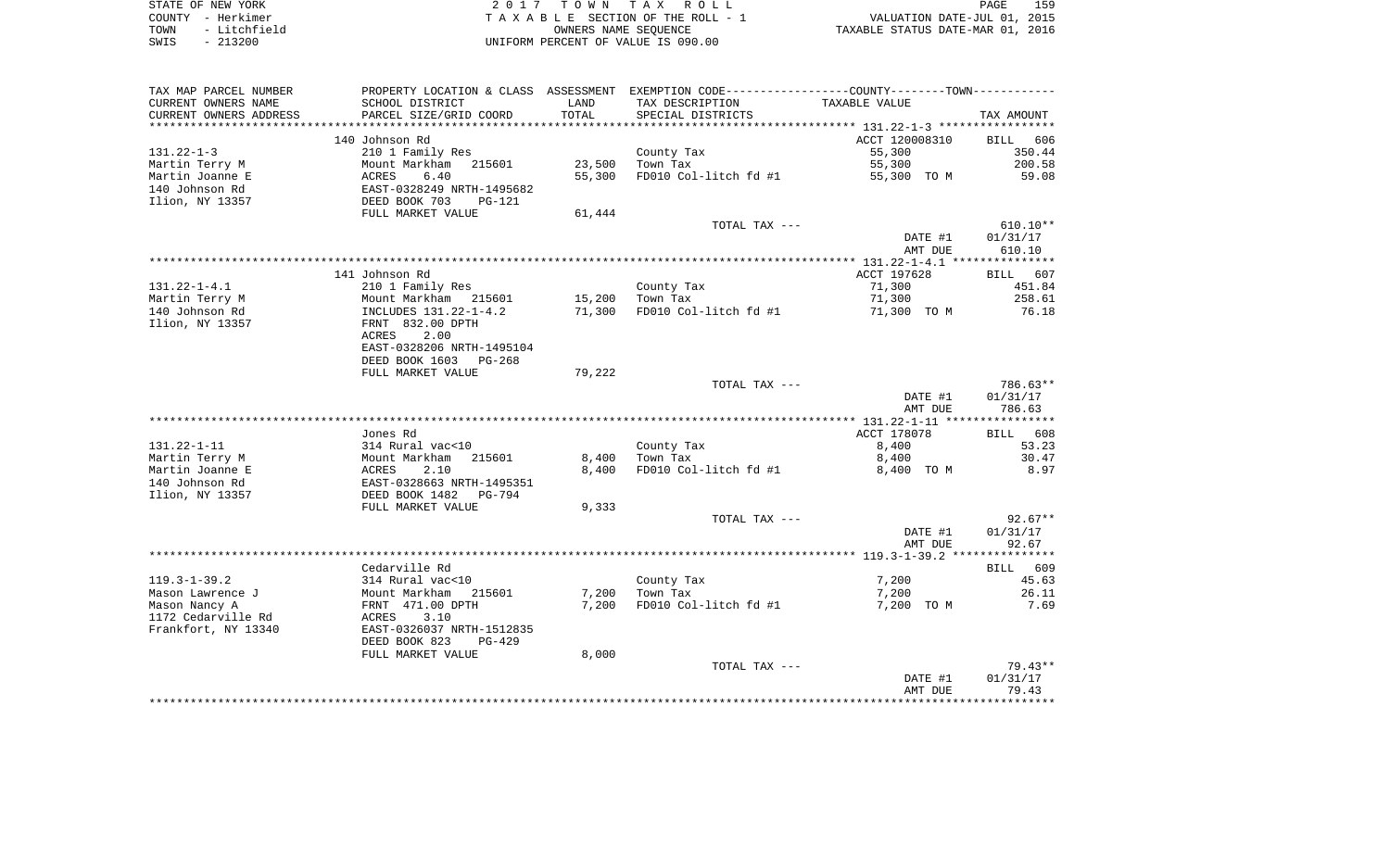| STATE OF NEW YORK    | 2017 TOWN TAX ROLL                 | 159<br>PAGE                      |
|----------------------|------------------------------------|----------------------------------|
| COUNTY - Herkimer    | TAXABLE SECTION OF THE ROLL - 1    | VALUATION DATE-JUL 01, 2015      |
| - Litchfield<br>TOWN | OWNERS NAME SEOUENCE               | TAXABLE STATUS DATE-MAR 01, 2016 |
| SWIS<br>$-213200$    | UNIFORM PERCENT OF VALUE IS 090.00 |                                  |

| TAX MAP PARCEL NUMBER             | PROPERTY LOCATION & CLASS ASSESSMENT EXEMPTION CODE---------------COUNTY-------TOWN---------- |        |                                               |                |            |
|-----------------------------------|-----------------------------------------------------------------------------------------------|--------|-----------------------------------------------|----------------|------------|
| CURRENT OWNERS NAME               | SCHOOL DISTRICT                                                                               | LAND   | TAX DESCRIPTION                               | TAXABLE VALUE  |            |
| CURRENT OWNERS ADDRESS            | PARCEL SIZE/GRID COORD                                                                        | TOTAL  | SPECIAL DISTRICTS                             |                | TAX AMOUNT |
| *******************               | **************************                                                                    |        |                                               |                |            |
|                                   | 140 Johnson Rd                                                                                |        |                                               | ACCT 120008310 | BILL 606   |
| 131.22-1-3                        | 210 1 Family Res                                                                              |        | County Tax                                    | 55,300         | 350.44     |
| Martin Terry M                    | Mount Markham 215601                                                                          | 23,500 | Town Tax                                      | 55,300         | 200.58     |
| Martin Joanne E                   | ACRES 6.40<br>EAST-0328249 NRTH-1495682                                                       | 55,300 | FD010 Col-litch $f d$ #1 55,300 TO M          |                | 59.08      |
| 140 Johnson Rd                    |                                                                                               |        |                                               |                |            |
| Ilion, NY 13357                   | DEED BOOK 703<br>PG-121                                                                       |        |                                               |                |            |
|                                   | FULL MARKET VALUE                                                                             | 61,444 |                                               |                |            |
|                                   |                                                                                               |        | TOTAL TAX ---                                 |                | $610.10**$ |
|                                   |                                                                                               |        |                                               | DATE #1        | 01/31/17   |
|                                   |                                                                                               |        |                                               | AMT DUE        | 610.10     |
|                                   |                                                                                               |        |                                               |                |            |
|                                   | 141 Johnson Rd                                                                                |        |                                               | ACCT 197628    | BILL 607   |
| 131.22-1-4.1                      | 210 1 Family Res                                                                              |        | County Tax                                    | 71,300         | 451.84     |
| Martin Terry M                    |                                                                                               | 15,200 | Town Tax<br>FD010 Col-litch fd #1 71,300 TO M | 71,300         | 258.61     |
| 140 Johnson Rd<br>Ilion, NY 13357 | Mount Markham 215601<br>INCLUDES 131.22-1-4.2<br>FRNT 832.00 DPTH                             | 71,300 |                                               |                | 76.18      |
|                                   | 2.00<br>ACRES                                                                                 |        |                                               |                |            |
|                                   | EAST-0328206 NRTH-1495104                                                                     |        |                                               |                |            |
|                                   | DEED BOOK 1603 PG-268                                                                         |        |                                               |                |            |
|                                   | FULL MARKET VALUE                                                                             | 79,222 |                                               |                |            |
|                                   |                                                                                               |        | TOTAL TAX ---                                 |                | 786.63**   |
|                                   |                                                                                               |        |                                               | DATE #1        | 01/31/17   |
|                                   |                                                                                               |        |                                               | AMT DUE        | 786.63     |
|                                   |                                                                                               |        |                                               |                |            |
|                                   | Jones Rd                                                                                      |        |                                               | ACCT 178078    | BILL 608   |
| 131.22-1-11                       | 314 Rural vac<10                                                                              |        | County Tax                                    | 8,400          | 53.23      |
| Martin Terry M                    | 313 Rural Vac<10<br>Mount Markham 215601<br>ACRES 2.10<br>EAST-0328663 NRTH-1495351           | 8,400  | Town Tax                                      | 8,400          | 30.47      |
| Martin Joanne E                   |                                                                                               | 8,400  | FD010 Col-litch fd #1                         | 8,400 TO M     | 8.97       |
| 140 Johnson Rd                    |                                                                                               |        |                                               |                |            |
| Ilion, NY 13357                   | DEED BOOK 1482<br>PG-794                                                                      |        |                                               |                |            |
|                                   | FULL MARKET VALUE                                                                             | 9,333  |                                               |                |            |
|                                   |                                                                                               |        | TOTAL TAX ---                                 |                | $92.67**$  |
|                                   |                                                                                               |        |                                               | DATE #1        | 01/31/17   |
|                                   |                                                                                               |        |                                               | AMT DUE        | 92.67      |
|                                   |                                                                                               |        |                                               |                |            |
|                                   | Cedarville Rd                                                                                 |        |                                               |                | BILL 609   |
| $119.3 - 1 - 39.2$                | 314 Rural vac<10<br>Mount Markham                                                             |        | County Tax                                    | 7,200          | 45.63      |
| Mason Lawrence J                  | 215601                                                                                        | 7,200  | Town Tax                                      | 7,200          | 26.11      |
| Mason Nancy A                     | FRNT 471.00 DPTH<br><b>ACRES</b>                                                              | 7,200  | FD010 Col-litch fd #1                         | 7,200 TO M     | 7.69       |
| 1172 Cedarville Rd                | 3.10                                                                                          |        |                                               |                |            |
| Frankfort, NY 13340               | EAST-0326037 NRTH-1512835<br>DEED BOOK 823<br>$PG-429$                                        |        |                                               |                |            |
|                                   |                                                                                               | 8,000  |                                               |                |            |
|                                   | FULL MARKET VALUE                                                                             |        | TOTAL TAX ---                                 |                | $79.43**$  |
|                                   |                                                                                               |        |                                               | DATE #1        | 01/31/17   |
|                                   |                                                                                               |        |                                               | AMT DUE        | 79.43      |
|                                   |                                                                                               |        |                                               |                |            |
|                                   |                                                                                               |        |                                               |                |            |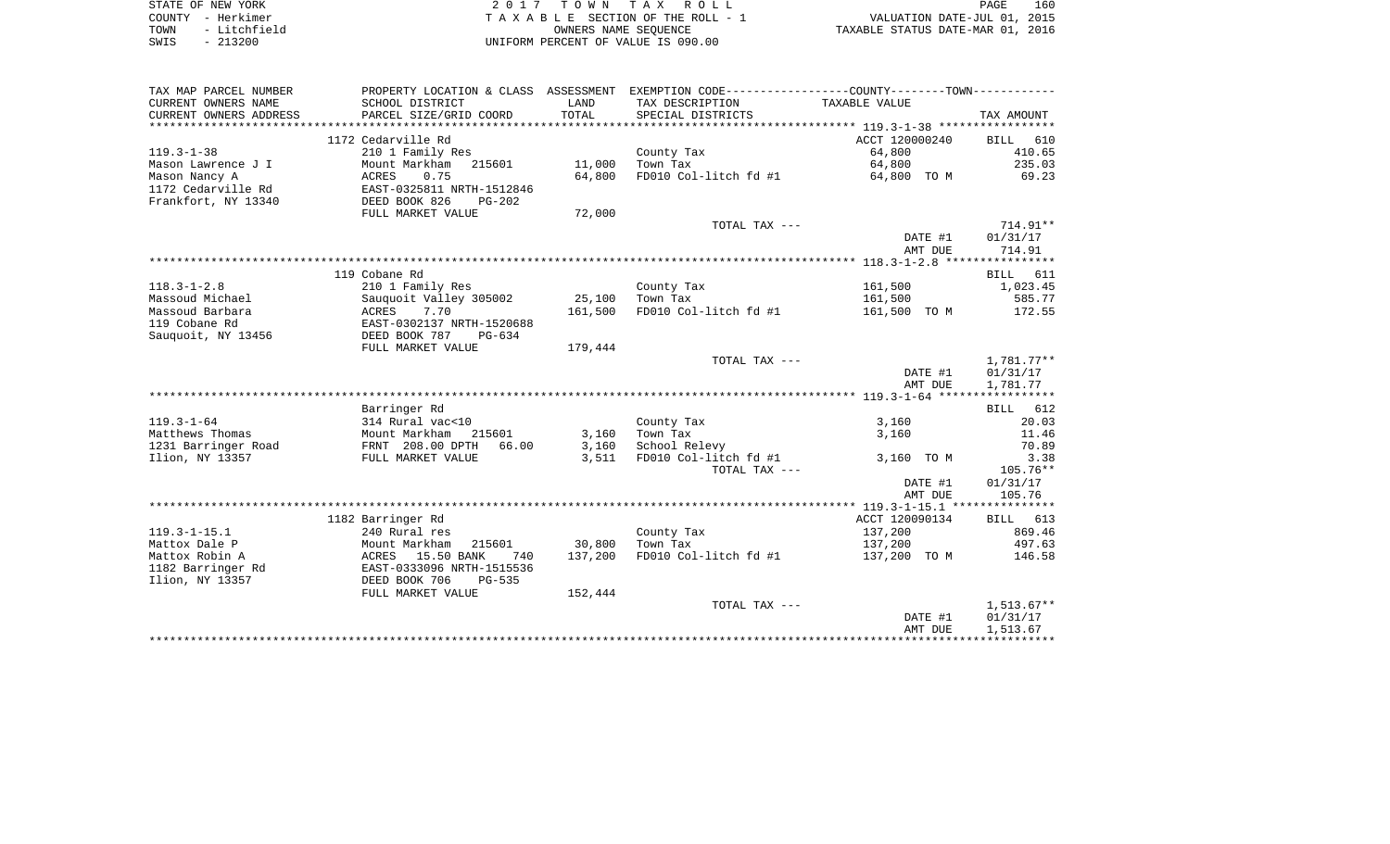| STATE OF NEW YORK    | 2017 TOWN TAX ROLL                 | 160<br>PAGE                      |
|----------------------|------------------------------------|----------------------------------|
| COUNTY - Herkimer    | TAXABLE SECTION OF THE ROLL - 1    | VALUATION DATE-JUL 01, 2015      |
| - Litchfield<br>TOWN | OWNERS NAME SEOUENCE               | TAXABLE STATUS DATE-MAR 01, 2016 |
| $-213200$<br>SWIS    | UNIFORM PERCENT OF VALUE IS 090.00 |                                  |

| TAX MAP PARCEL NUMBER<br>CURRENT OWNERS NAME<br>CURRENT OWNERS ADDRESS                                                 | PROPERTY LOCATION & CLASS ASSESSMENT<br>SCHOOL DISTRICT<br>PARCEL SIZE/GRID COORD                                                                                                              | LAND<br>TOTAL                               | EXEMPTION CODE----------------COUNTY-------TOWN-----------<br>TAX DESCRIPTION<br>SPECIAL DISTRICTS | TAXABLE VALUE                                                                                                                          | TAX AMOUNT                                        |
|------------------------------------------------------------------------------------------------------------------------|------------------------------------------------------------------------------------------------------------------------------------------------------------------------------------------------|---------------------------------------------|----------------------------------------------------------------------------------------------------|----------------------------------------------------------------------------------------------------------------------------------------|---------------------------------------------------|
|                                                                                                                        |                                                                                                                                                                                                |                                             |                                                                                                    |                                                                                                                                        |                                                   |
|                                                                                                                        | 1172 Cedarville Rd                                                                                                                                                                             |                                             |                                                                                                    | ACCT 120000240                                                                                                                         | BILL 610                                          |
| $119.3 - 1 - 38$                                                                                                       | 210 1 Family Res                                                                                                                                                                               |                                             | County Tax                                                                                         | 64,800                                                                                                                                 | 410.65                                            |
| Mason Lawrence J I                                                                                                     | Mount Markham<br>215601                                                                                                                                                                        | 11,000                                      | Town Tax                                                                                           | 64,800                                                                                                                                 | 235.03<br>69.23                                   |
| Mason Nancy A<br>1172 Cedarville Rd                                                                                    | <b>ACRES</b><br>0.75<br>EAST-0325811 NRTH-1512846                                                                                                                                              | 64,800                                      | FD010 Col-litch fd #1                                                                              | 64,800 TO M                                                                                                                            |                                                   |
| Frankfort, NY 13340                                                                                                    | DEED BOOK 826<br>$PG-202$                                                                                                                                                                      |                                             |                                                                                                    |                                                                                                                                        |                                                   |
|                                                                                                                        | FULL MARKET VALUE                                                                                                                                                                              | 72,000                                      |                                                                                                    |                                                                                                                                        |                                                   |
|                                                                                                                        |                                                                                                                                                                                                |                                             | TOTAL TAX ---                                                                                      |                                                                                                                                        | 714.91**                                          |
|                                                                                                                        |                                                                                                                                                                                                |                                             |                                                                                                    | DATE #1                                                                                                                                | 01/31/17                                          |
|                                                                                                                        |                                                                                                                                                                                                |                                             |                                                                                                    |                                                                                                                                        |                                                   |
|                                                                                                                        |                                                                                                                                                                                                |                                             |                                                                                                    |                                                                                                                                        |                                                   |
|                                                                                                                        |                                                                                                                                                                                                |                                             |                                                                                                    |                                                                                                                                        | BILL 611                                          |
| $118.3 - 1 - 2.8$                                                                                                      | 210 1 Family Res                                                                                                                                                                               |                                             | County Tax                                                                                         | 161,500                                                                                                                                | 1,023.45                                          |
| Massoud Michael                                                                                                        |                                                                                                                                                                                                |                                             | Town Tax                                                                                           |                                                                                                                                        | 585.77                                            |
| Massoud Barbara                                                                                                        | <b>ACRES</b><br>7.70                                                                                                                                                                           | 161,500                                     | FD010 Col-litch fd #1                                                                              | 161,500 TO M                                                                                                                           | 172.55                                            |
| 119 Cobane Rd                                                                                                          | EAST-0302137 NRTH-1520688                                                                                                                                                                      |                                             |                                                                                                    |                                                                                                                                        |                                                   |
| Sauquoit, NY 13456                                                                                                     | DEED BOOK 787<br>PG-634                                                                                                                                                                        |                                             |                                                                                                    |                                                                                                                                        |                                                   |
|                                                                                                                        | FULL MARKET VALUE                                                                                                                                                                              | 179,444                                     |                                                                                                    |                                                                                                                                        |                                                   |
|                                                                                                                        |                                                                                                                                                                                                |                                             | TOTAL TAX ---                                                                                      |                                                                                                                                        | $1,781.77**$                                      |
|                                                                                                                        |                                                                                                                                                                                                |                                             |                                                                                                    |                                                                                                                                        | 01/31/17                                          |
|                                                                                                                        |                                                                                                                                                                                                |                                             |                                                                                                    |                                                                                                                                        | 1,781.77                                          |
|                                                                                                                        |                                                                                                                                                                                                |                                             |                                                                                                    |                                                                                                                                        |                                                   |
|                                                                                                                        |                                                                                                                                                                                                |                                             |                                                                                                    |                                                                                                                                        | BILL 612                                          |
|                                                                                                                        |                                                                                                                                                                                                |                                             |                                                                                                    |                                                                                                                                        | 20.03                                             |
|                                                                                                                        |                                                                                                                                                                                                |                                             |                                                                                                    |                                                                                                                                        | 11.46                                             |
|                                                                                                                        |                                                                                                                                                                                                |                                             |                                                                                                    |                                                                                                                                        |                                                   |
|                                                                                                                        |                                                                                                                                                                                                |                                             |                                                                                                    |                                                                                                                                        | 3.38                                              |
|                                                                                                                        |                                                                                                                                                                                                |                                             |                                                                                                    |                                                                                                                                        |                                                   |
|                                                                                                                        |                                                                                                                                                                                                |                                             |                                                                                                    |                                                                                                                                        |                                                   |
|                                                                                                                        |                                                                                                                                                                                                |                                             |                                                                                                    |                                                                                                                                        |                                                   |
|                                                                                                                        |                                                                                                                                                                                                |                                             |                                                                                                    |                                                                                                                                        | BILL 613                                          |
|                                                                                                                        |                                                                                                                                                                                                |                                             |                                                                                                    |                                                                                                                                        | 869.46                                            |
| Mattox Dale P                                                                                                          | Mount Markham<br>215601                                                                                                                                                                        |                                             | Town Tax                                                                                           |                                                                                                                                        | 497.63                                            |
| Mattox Robin A                                                                                                         | ACRES 15.50 BANK<br>740                                                                                                                                                                        | 137,200                                     | FD010 Col-litch fd #1                                                                              | 137,200 TO M                                                                                                                           | 146.58                                            |
| 1182 Barringer Rd                                                                                                      | EAST-0333096 NRTH-1515536                                                                                                                                                                      |                                             |                                                                                                    |                                                                                                                                        |                                                   |
|                                                                                                                        | DEED BOOK 706<br>$PG - 535$                                                                                                                                                                    |                                             |                                                                                                    |                                                                                                                                        |                                                   |
|                                                                                                                        | FULL MARKET VALUE                                                                                                                                                                              | 152,444                                     |                                                                                                    |                                                                                                                                        |                                                   |
|                                                                                                                        |                                                                                                                                                                                                |                                             | TOTAL TAX ---                                                                                      |                                                                                                                                        | $1,513.67**$                                      |
|                                                                                                                        |                                                                                                                                                                                                |                                             |                                                                                                    | DATE #1                                                                                                                                | 01/31/17                                          |
|                                                                                                                        |                                                                                                                                                                                                |                                             |                                                                                                    | AMT DUE                                                                                                                                | 1,513.67                                          |
| $119.3 - 1 - 64$<br>Matthews Thomas<br>1231 Barringer Road<br>Ilion, NY 13357<br>$119.3 - 1 - 15.1$<br>Ilion, NY 13357 | 119 Cobane Rd<br>Sauquoit Valley 305002<br>Barringer Rd<br>314 Rural vac<10<br>Mount Markham<br>215601<br>FRNT 208.00 DPTH<br>66.00<br>FULL MARKET VALUE<br>1182 Barringer Rd<br>240 Rural res | 25,100<br>3,160<br>3,160<br>3,511<br>30,800 | County Tax<br>Town Tax<br>School Relevy<br>FD010 Col-litch fd #1<br>TOTAL TAX ---<br>County Tax    | AMT DUE<br>161,500<br>DATE #1<br>AMT DUE<br>3,160<br>3,160<br>3,160 TO M<br>DATE #1<br>AMT DUE<br>ACCT 120090134<br>137,200<br>137,200 | 714.91<br>70.89<br>105.76**<br>01/31/17<br>105.76 |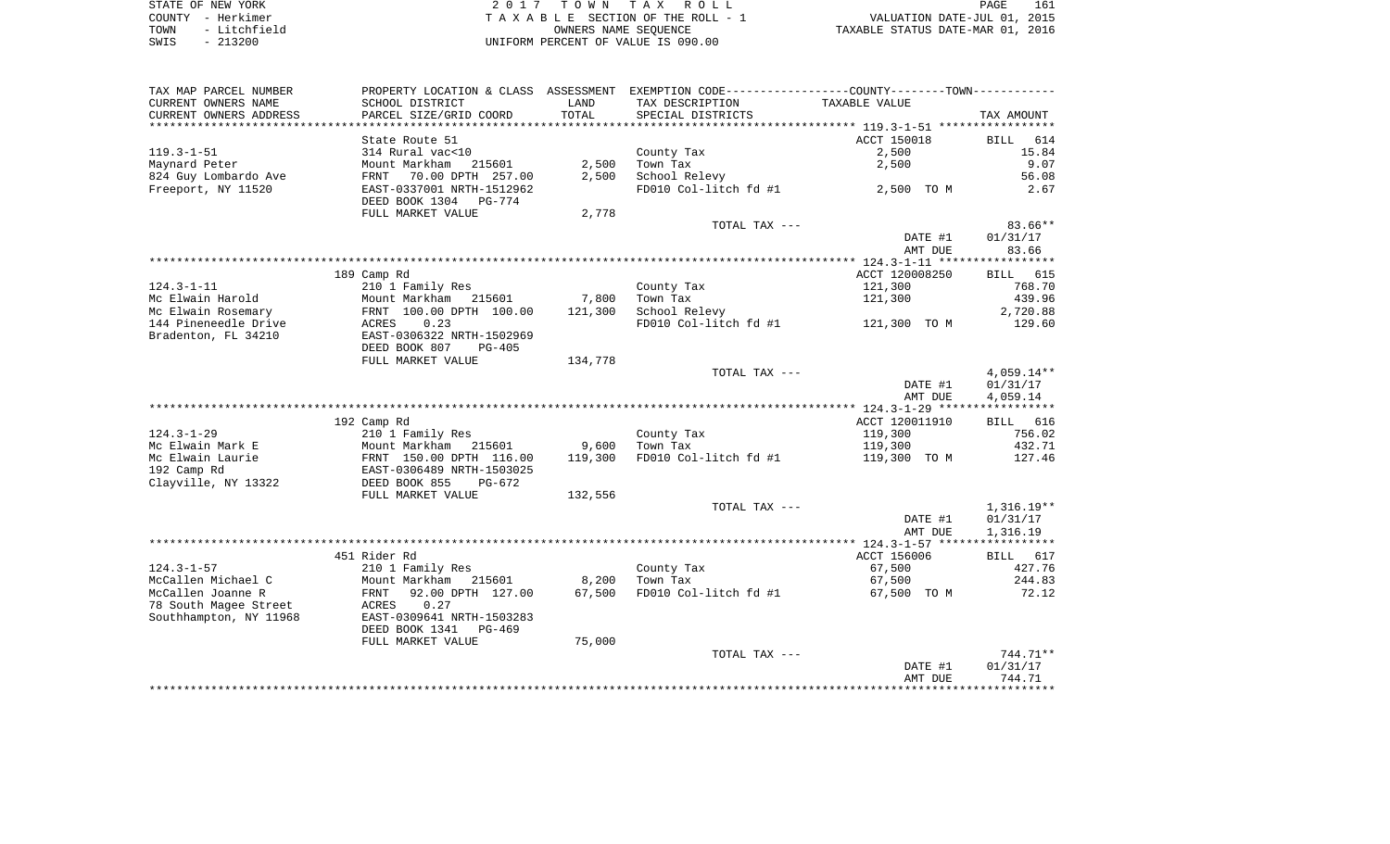| STATE OF NEW YORK |  |              |  |
|-------------------|--|--------------|--|
| COUNTY - Herkimer |  |              |  |
| TOWN              |  | - Litchfield |  |
| SWIS              |  | $-213200$    |  |

STATE OF NEW YORK 2 0 1 7 T O W N T A X R O L L PAGE 161TA X A B L E SECTION OF THE ROLL - 1 TOWN - Litchfield OWNERS NAME SEQUENCE TAXABLE STATUS DATE-MAR 01, 2016 SWIS - 213200 UNIFORM PERCENT OF VALUE IS 090.00

| TAX MAP PARCEL NUMBER  | PROPERTY LOCATION & CLASS ASSESSMENT EXEMPTION CODE----------------COUNTY--------TOWN----------- |         |                                      |                |              |
|------------------------|--------------------------------------------------------------------------------------------------|---------|--------------------------------------|----------------|--------------|
| CURRENT OWNERS NAME    | SCHOOL DISTRICT                                                                                  | LAND    | TAX DESCRIPTION                      | TAXABLE VALUE  |              |
| CURRENT OWNERS ADDRESS | PARCEL SIZE/GRID COORD                                                                           | TOTAL   | SPECIAL DISTRICTS                    |                | TAX AMOUNT   |
|                        |                                                                                                  |         |                                      |                |              |
|                        | State Route 51                                                                                   |         |                                      | ACCT 150018    | BILL 614     |
| $119.3 - 1 - 51$       | 314 Rural vac<10                                                                                 |         | County Tax                           | 2,500          | 15.84        |
| Maynard Peter          | Mount Markham<br>215601                                                                          | 2,500   | Town Tax                             | 2,500          | 9.07         |
| 824 Guy Lombardo Ave   | 70.00 DPTH 257.00<br>FRNT                                                                        | 2,500   | School Relevy                        |                | 56.08        |
| Freeport, NY 11520     | EAST-0337001 NRTH-1512962                                                                        |         | FD010 Col-litch fd #1                | 2,500 TO M     | 2.67         |
|                        |                                                                                                  |         |                                      |                |              |
|                        | DEED BOOK 1304 PG-774                                                                            |         |                                      |                |              |
|                        | FULL MARKET VALUE                                                                                | 2,778   |                                      |                |              |
|                        |                                                                                                  |         | TOTAL TAX ---                        |                | $83.66**$    |
|                        |                                                                                                  |         |                                      | DATE #1        | 01/31/17     |
|                        |                                                                                                  |         |                                      | AMT DUE        | 83.66        |
|                        |                                                                                                  |         |                                      |                |              |
|                        | 189 Camp Rd                                                                                      |         |                                      | ACCT 120008250 | BILL 615     |
| $124.3 - 1 - 11$       | 210 1 Family Res                                                                                 |         | County Tax                           | 121,300        | 768.70       |
| Mc Elwain Harold       | Mount Markham 215601                                                                             | 7,800   | Town Tax                             | 121,300        | 439.96       |
| Mc Elwain Rosemary     | FRNT 100.00 DPTH 100.00                                                                          | 121,300 | School Relevy                        |                | 2,720.88     |
| 144 Pineneedle Drive   | 0.23<br>ACRES                                                                                    |         | FD010 Col-litch fd #1 $121,300$ TO M |                | 129.60       |
| Bradenton, FL 34210    | EAST-0306322 NRTH-1502969                                                                        |         |                                      |                |              |
|                        | DEED BOOK 807<br>$PG-405$                                                                        |         |                                      |                |              |
|                        | FULL MARKET VALUE                                                                                | 134,778 |                                      |                |              |
|                        |                                                                                                  |         | TOTAL TAX ---                        |                | 4,059.14**   |
|                        |                                                                                                  |         |                                      | DATE #1        | 01/31/17     |
|                        |                                                                                                  |         |                                      | AMT DUE        | 4,059.14     |
|                        |                                                                                                  |         |                                      |                |              |
|                        | 192 Camp Rd                                                                                      |         |                                      | ACCT 120011910 | BILL 616     |
| $124.3 - 1 - 29$       | 210 1 Family Res                                                                                 |         | County Tax                           | 119,300        | 756.02       |
| Mc Elwain Mark E       | Mount Markham 215601                                                                             | 9,600   | Town Tax                             | 119,300        | 432.71       |
|                        | FRNT 150.00 DPTH 116.00                                                                          |         |                                      |                |              |
| Mc Elwain Laurie       |                                                                                                  | 119,300 | FD010 Col-litch fd #1                | 119,300 TO M   | 127.46       |
| 192 Camp Rd            | EAST-0306489 NRTH-1503025                                                                        |         |                                      |                |              |
| Clayville, NY 13322    | DEED BOOK 855<br>$PG-672$                                                                        |         |                                      |                |              |
|                        | FULL MARKET VALUE                                                                                | 132,556 |                                      |                |              |
|                        |                                                                                                  |         | TOTAL TAX ---                        |                | $1,316.19**$ |
|                        |                                                                                                  |         |                                      | DATE #1        | 01/31/17     |
|                        |                                                                                                  |         |                                      | AMT DUE        | 1,316.19     |
|                        |                                                                                                  |         |                                      |                |              |
|                        | 451 Rider Rd                                                                                     |         |                                      | ACCT 156006    | BILL 617     |
| $124.3 - 1 - 57$       | 210 1 Family Res                                                                                 |         | County Tax                           | 67,500         | 427.76       |
| McCallen Michael C     | Mount Markham 215601                                                                             | 8,200   | Town Tax                             | 67,500         | 244.83       |
| McCallen Joanne R      | 92.00 DPTH 127.00<br>FRNT                                                                        | 67,500  | FD010 Col-litch fd #1                | 67,500 TO M    | 72.12        |
| 78 South Magee Street  | 0.27<br>ACRES                                                                                    |         |                                      |                |              |
| Southhampton, NY 11968 | EAST-0309641 NRTH-1503283                                                                        |         |                                      |                |              |
|                        | DEED BOOK 1341<br>PG-469                                                                         |         |                                      |                |              |
|                        | FULL MARKET VALUE                                                                                | 75,000  |                                      |                |              |
|                        |                                                                                                  |         | TOTAL TAX ---                        |                | 744.71**     |
|                        |                                                                                                  |         |                                      | DATE #1        | 01/31/17     |
|                        |                                                                                                  |         |                                      | AMT DUE        | 744.71       |
|                        |                                                                                                  |         |                                      |                | ***********  |
|                        |                                                                                                  |         |                                      |                |              |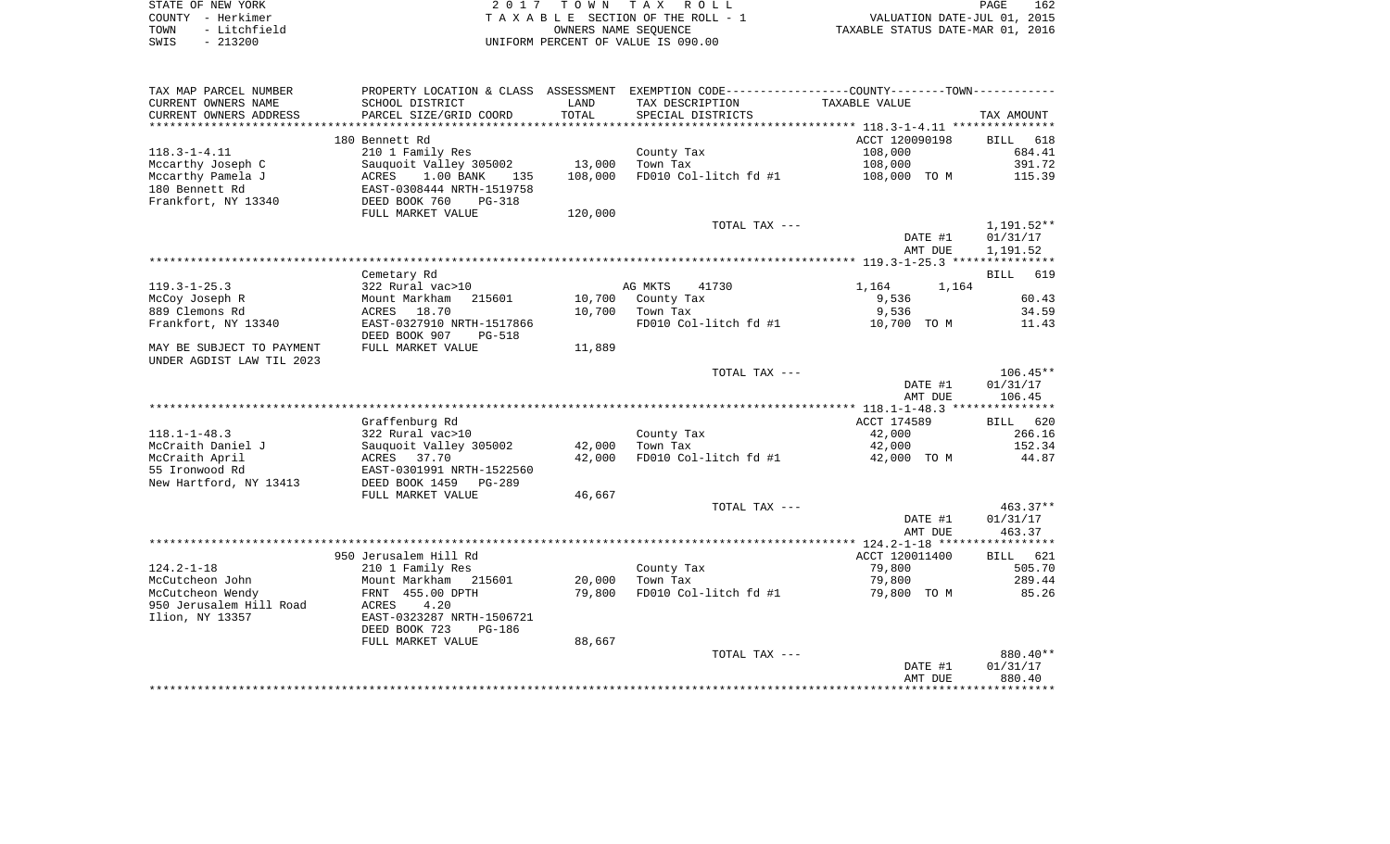| STATE OF NEW YORK    | 2017 TOWN TAX ROLL                 | 162<br>PAGE                      |
|----------------------|------------------------------------|----------------------------------|
| COUNTY - Herkimer    | TAXABLE SECTION OF THE ROLL - 1    | VALUATION DATE-JUL 01, 2015      |
| - Litchfield<br>TOWN | OWNERS NAME SEOUENCE               | TAXABLE STATUS DATE-MAR 01, 2016 |
| $-213200$<br>SWIS    | UNIFORM PERCENT OF VALUE IS 090.00 |                                  |

| TAX MAP PARCEL NUMBER     | PROPERTY LOCATION & CLASS ASSESSMENT EXEMPTION CODE----------------COUNTY--------TOWN---------- |                 |                       |                |             |
|---------------------------|-------------------------------------------------------------------------------------------------|-----------------|-----------------------|----------------|-------------|
| CURRENT OWNERS NAME       | SCHOOL DISTRICT                                                                                 | LAND            | TAX DESCRIPTION       | TAXABLE VALUE  |             |
| CURRENT OWNERS ADDRESS    | PARCEL SIZE/GRID COORD                                                                          | TOTAL           | SPECIAL DISTRICTS     |                | TAX AMOUNT  |
| ********************      |                                                                                                 | *************** |                       |                |             |
|                           | 180 Bennett Rd                                                                                  |                 |                       | ACCT 120090198 | BILL<br>618 |
| $118.3 - 1 - 4.11$        | 210 1 Family Res                                                                                |                 | County Tax            | 108,000        | 684.41      |
| Mccarthy Joseph C         | Sauquoit Valley 305002                                                                          | 13,000          | Town Tax              | 108,000        | 391.72      |
| Mccarthy Pamela J         | ACRES<br>$1.00$ BANK<br>135                                                                     | 108,000         | FD010 Col-litch fd #1 | 108,000 TO M   | 115.39      |
| 180 Bennett Rd            | EAST-0308444 NRTH-1519758                                                                       |                 |                       |                |             |
| Frankfort, NY 13340       | DEED BOOK 760<br>PG-318                                                                         |                 |                       |                |             |
|                           | FULL MARKET VALUE                                                                               | 120,000         |                       |                |             |
|                           |                                                                                                 |                 | TOTAL TAX ---         |                | 1,191.52**  |
|                           |                                                                                                 |                 |                       | DATE #1        | 01/31/17    |
|                           |                                                                                                 |                 |                       | AMT DUE        | 1,191.52    |
|                           |                                                                                                 |                 |                       |                |             |
|                           | Cemetary Rd                                                                                     |                 |                       |                | 619<br>BILL |
| $119.3 - 1 - 25.3$        | 322 Rural vac>10                                                                                |                 | AG MKTS<br>41730      | 1,164<br>1,164 |             |
| McCoy Joseph R            | Mount Markham<br>215601                                                                         | 10,700          | County Tax            | 9,536          | 60.43       |
| 889 Clemons Rd            | 18.70<br>ACRES                                                                                  | 10,700          | Town Tax              | 9,536          | 34.59       |
| Frankfort, NY 13340       | EAST-0327910 NRTH-1517866                                                                       |                 | FD010 Col-litch fd #1 | 10,700 TO M    | 11.43       |
|                           | DEED BOOK 907<br><b>PG-518</b>                                                                  |                 |                       |                |             |
| MAY BE SUBJECT TO PAYMENT | FULL MARKET VALUE                                                                               | 11,889          |                       |                |             |
| UNDER AGDIST LAW TIL 2023 |                                                                                                 |                 |                       |                |             |
|                           |                                                                                                 |                 | TOTAL TAX ---         |                | $106.45**$  |
|                           |                                                                                                 |                 |                       | DATE #1        | 01/31/17    |
|                           |                                                                                                 |                 |                       | AMT DUE        | 106.45      |
|                           |                                                                                                 |                 |                       |                |             |
|                           | Graffenburg Rd                                                                                  |                 |                       | ACCT 174589    | 620<br>BILL |
| $118.1 - 1 - 48.3$        | 322 Rural vac>10                                                                                |                 | County Tax            | 42,000         | 266.16      |
| McCraith Daniel J         | Sauquoit Valley 305002                                                                          | 42,000          | Town Tax              | 42,000         | 152.34      |
| McCraith April            | ACRES<br>37.70                                                                                  | 42,000          | FD010 Col-litch fd #1 | 42,000 TO M    | 44.87       |
| 55 Ironwood Rd            | EAST-0301991 NRTH-1522560                                                                       |                 |                       |                |             |
| New Hartford, NY 13413    | DEED BOOK 1459<br><b>PG-289</b>                                                                 |                 |                       |                |             |
|                           | FULL MARKET VALUE                                                                               | 46,667          |                       |                |             |
|                           |                                                                                                 |                 | TOTAL TAX ---         |                | $463.37**$  |
|                           |                                                                                                 |                 |                       | DATE #1        | 01/31/17    |
|                           |                                                                                                 |                 |                       | AMT DUE        | 463.37      |
|                           |                                                                                                 |                 |                       |                |             |
|                           | 950 Jerusalem Hill Rd                                                                           |                 |                       | ACCT 120011400 | BILL 621    |
| $124.2 - 1 - 18$          | 210 1 Family Res                                                                                |                 | County Tax            | 79,800         | 505.70      |
| McCutcheon John           | Mount Markham<br>215601                                                                         | 20,000          | Town Tax              | 79,800         | 289.44      |
| McCutcheon Wendy          | FRNT 455.00 DPTH                                                                                | 79,800          | FD010 Col-litch fd #1 | 79,800 TO M    | 85.26       |
| 950 Jerusalem Hill Road   | ACRES<br>4.20                                                                                   |                 |                       |                |             |
| Ilion, NY 13357           | EAST-0323287 NRTH-1506721                                                                       |                 |                       |                |             |
|                           | DEED BOOK 723<br><b>PG-186</b>                                                                  |                 |                       |                |             |
|                           | FULL MARKET VALUE                                                                               | 88,667          |                       |                |             |
|                           |                                                                                                 |                 | TOTAL TAX ---         |                | 880.40**    |
|                           |                                                                                                 |                 |                       | DATE #1        | 01/31/17    |
|                           |                                                                                                 |                 |                       | AMT DUE        | 880.40      |
|                           |                                                                                                 |                 |                       |                |             |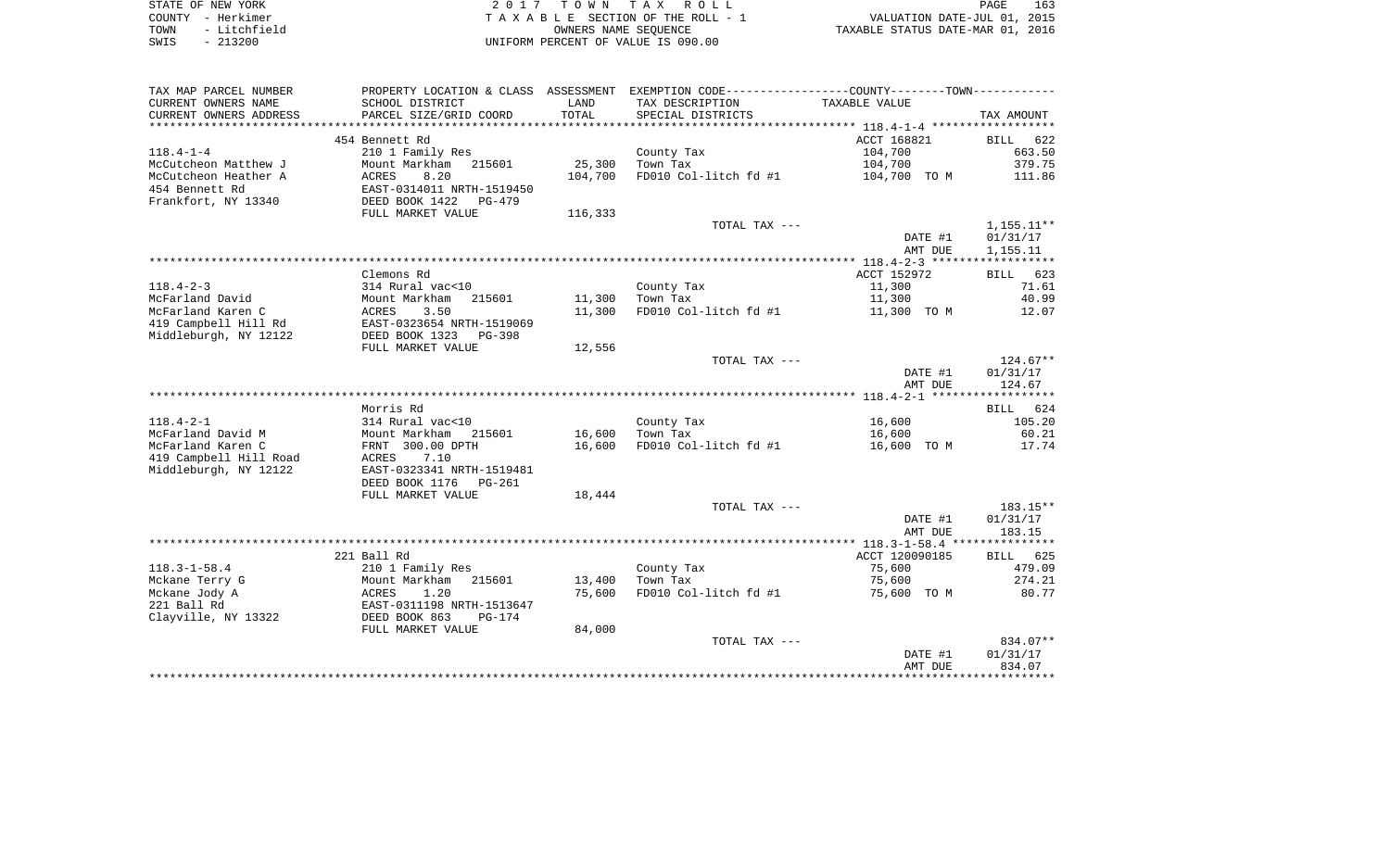|      | STATE OF NEW YORK | 2017 TOWN TAX ROLL                 | PAGE                             | 163 |
|------|-------------------|------------------------------------|----------------------------------|-----|
|      | COUNTY - Herkimer | TAXABLE SECTION OF THE ROLL - 1    | VALUATION DATE-JUL 01, 2015      |     |
| TOWN | - Litchfield      | OWNERS NAME SEOUENCE               | TAXABLE STATUS DATE-MAR 01, 2016 |     |
| SWIS | $-213200$         | UNIFORM PERCENT OF VALUE IS 090.00 |                                  |     |

| TAX MAP PARCEL NUMBER  |                                |         | PROPERTY LOCATION & CLASS ASSESSMENT EXEMPTION CODE----------------COUNTY-------TOWN---------- |                |                    |
|------------------------|--------------------------------|---------|------------------------------------------------------------------------------------------------|----------------|--------------------|
| CURRENT OWNERS NAME    | SCHOOL DISTRICT                | LAND    | TAX DESCRIPTION                                                                                | TAXABLE VALUE  |                    |
| CURRENT OWNERS ADDRESS | PARCEL SIZE/GRID COORD         | TOTAL   | SPECIAL DISTRICTS                                                                              |                | TAX AMOUNT         |
|                        |                                |         |                                                                                                |                |                    |
|                        | 454 Bennett Rd                 |         |                                                                                                | ACCT 168821    | <b>BILL</b><br>622 |
| $118.4 - 1 - 4$        | 210 1 Family Res               |         | County Tax                                                                                     | 104,700        | 663.50             |
|                        |                                |         |                                                                                                |                |                    |
| McCutcheon Matthew J   | Mount Markham<br>215601        | 25,300  | Town Tax                                                                                       | 104,700        | 379.75             |
| McCutcheon Heather A   | ACRES<br>8.20                  | 104,700 | FD010 Col-litch fd #1                                                                          | 104,700 TO M   | 111.86             |
| 454 Bennett Rd         | EAST-0314011 NRTH-1519450      |         |                                                                                                |                |                    |
| Frankfort, NY 13340    | DEED BOOK 1422 PG-479          |         |                                                                                                |                |                    |
|                        | FULL MARKET VALUE              | 116,333 |                                                                                                |                |                    |
|                        |                                |         | TOTAL TAX ---                                                                                  |                | 1,155.11**         |
|                        |                                |         |                                                                                                | DATE #1        | 01/31/17           |
|                        |                                |         |                                                                                                | AMT DUE        | 1,155.11           |
|                        |                                |         |                                                                                                |                |                    |
|                        | Clemons Rd                     |         |                                                                                                | ACCT 152972    | BILL 623           |
| $118.4 - 2 - 3$        | 314 Rural vac<10               |         | County Tax                                                                                     | 11,300         | 71.61              |
|                        |                                |         |                                                                                                |                | 40.99              |
| McFarland David        | Mount Markham<br>215601        | 11,300  | Town Tax                                                                                       | 11,300         |                    |
| McFarland Karen C      | ACRES<br>3.50                  | 11,300  | FD010 Col-litch fd #1                                                                          | 11,300 TO M    | 12.07              |
| 419 Campbell Hill Rd   | EAST-0323654 NRTH-1519069      |         |                                                                                                |                |                    |
| Middleburgh, NY 12122  | DEED BOOK 1323<br>PG-398       |         |                                                                                                |                |                    |
|                        | FULL MARKET VALUE              | 12,556  |                                                                                                |                |                    |
|                        |                                |         | TOTAL TAX ---                                                                                  |                | $124.67**$         |
|                        |                                |         |                                                                                                | DATE #1        | 01/31/17           |
|                        |                                |         |                                                                                                | AMT DUE        | 124.67             |
|                        |                                |         |                                                                                                |                |                    |
|                        | Morris Rd                      |         |                                                                                                |                | 624<br>BILL        |
| $118.4 - 2 - 1$        | 314 Rural vac<10               |         | County Tax                                                                                     | 16,600         | 105.20             |
| McFarland David M      | Mount Markham<br>215601        | 16,600  | Town Tax                                                                                       | 16,600         | 60.21              |
|                        | FRNT 300.00 DPTH               |         |                                                                                                |                |                    |
| McFarland Karen C      |                                | 16,600  | FD010 Col-litch fd #1                                                                          | 16,600 TO M    | 17.74              |
| 419 Campbell Hill Road | 7.10<br>ACRES                  |         |                                                                                                |                |                    |
| Middleburgh, NY 12122  | EAST-0323341 NRTH-1519481      |         |                                                                                                |                |                    |
|                        | DEED BOOK 1176<br>PG-261       |         |                                                                                                |                |                    |
|                        | FULL MARKET VALUE              | 18,444  |                                                                                                |                |                    |
|                        |                                |         | TOTAL TAX ---                                                                                  |                | 183.15**           |
|                        |                                |         |                                                                                                | DATE #1        | 01/31/17           |
|                        |                                |         |                                                                                                | AMT DUE        | 183.15             |
|                        |                                |         |                                                                                                |                |                    |
|                        | 221 Ball Rd                    |         |                                                                                                | ACCT 120090185 | 625<br>BILL        |
| $118.3 - 1 - 58.4$     | 210 1 Family Res               |         | County Tax                                                                                     | 75,600         | 479.09             |
| Mckane Terry G         | Mount Markham<br>215601        | 13,400  |                                                                                                |                | 274.21             |
|                        |                                |         | Town Tax                                                                                       | 75,600         |                    |
| Mckane Jody A          | ACRES<br>1.20                  | 75,600  | FD010 Col-litch fd #1                                                                          | 75,600 TO M    | 80.77              |
| 221 Ball Rd            | EAST-0311198 NRTH-1513647      |         |                                                                                                |                |                    |
| Clayville, NY 13322    | DEED BOOK 863<br><b>PG-174</b> |         |                                                                                                |                |                    |
|                        | FULL MARKET VALUE              | 84,000  |                                                                                                |                |                    |
|                        |                                |         | TOTAL TAX ---                                                                                  |                | 834.07**           |
|                        |                                |         |                                                                                                | DATE #1        | 01/31/17           |
|                        |                                |         |                                                                                                | AMT DUE        | 834.07             |
|                        |                                |         |                                                                                                |                |                    |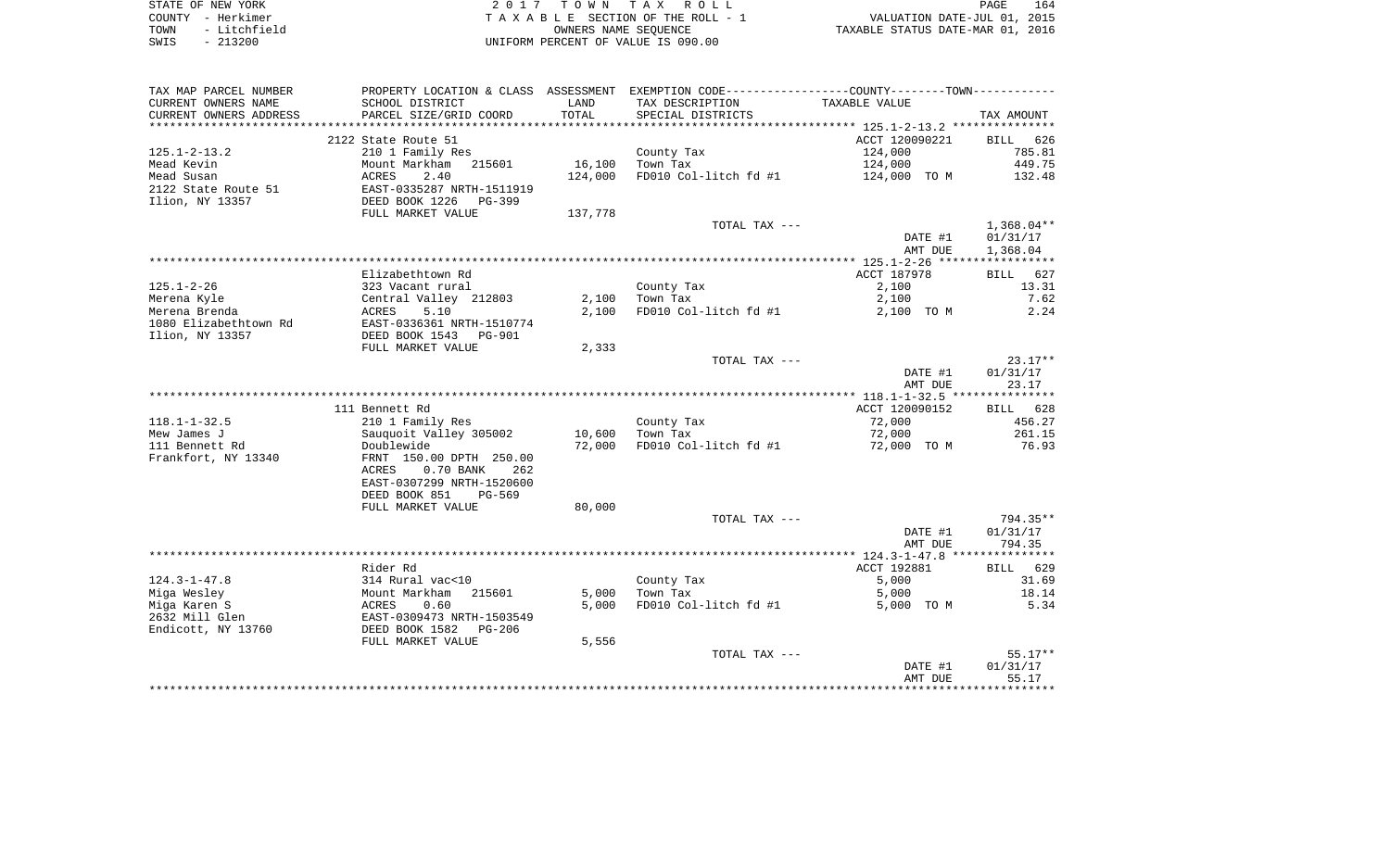| STATE OF NEW YORK    | 2017 TOWN TAX ROLL                 | 164<br>PAGE                      |
|----------------------|------------------------------------|----------------------------------|
| COUNTY - Herkimer    | TAXABLE SECTION OF THE ROLL - 1    | VALUATION DATE-JUL 01, 2015      |
| - Litchfield<br>TOWN | OWNERS NAME SEOUENCE               | TAXABLE STATUS DATE-MAR 01, 2016 |
| $-213200$<br>SWIS    | UNIFORM PERCENT OF VALUE IS 090.00 |                                  |

| TAX MAP PARCEL NUMBER  |                                                                                     |                | PROPERTY LOCATION & CLASS ASSESSMENT EXEMPTION CODE---------------COUNTY--------TOWN---------- |                |                   |
|------------------------|-------------------------------------------------------------------------------------|----------------|------------------------------------------------------------------------------------------------|----------------|-------------------|
| CURRENT OWNERS NAME    | SCHOOL DISTRICT                                                                     | LAND           | TAX DESCRIPTION                                                                                | TAXABLE VALUE  |                   |
| CURRENT OWNERS ADDRESS | PARCEL SIZE/GRID COORD                                                              | TOTAL          | SPECIAL DISTRICTS                                                                              |                | TAX AMOUNT        |
|                        |                                                                                     | ************** |                                                                                                |                |                   |
|                        | 2122 State Route 51                                                                 |                |                                                                                                | ACCT 120090221 | BILL 626          |
| $125.1 - 2 - 13.2$     | 210 1 Family Res                                                                    |                | County Tax                                                                                     | 124,000        | 785.81            |
| Mead Kevin             | Mount Markham<br>215601                                                             | 16,100         | Town Tax                                                                                       | 124,000        | 449.75            |
| Mead Susan             | ACRES 2.40<br>EAST-0335287 NRTH-1511919                                             | 124,000        | FD010 Col-litch fd #1                                                                          | 124,000 TO M   | 132.48            |
| 2122 State Route 51    |                                                                                     |                |                                                                                                |                |                   |
| Ilion, NY 13357        | DEED BOOK 1226<br>PG-399                                                            |                |                                                                                                |                |                   |
|                        | FULL MARKET VALUE                                                                   | 137,778        |                                                                                                |                |                   |
|                        |                                                                                     |                | TOTAL TAX ---                                                                                  |                | 1,368.04**        |
|                        |                                                                                     |                |                                                                                                | DATE #1        | 01/31/17          |
|                        |                                                                                     |                |                                                                                                | AMT DUE        | 1,368.04          |
|                        |                                                                                     |                |                                                                                                |                |                   |
| $125.1 - 2 - 26$       | Elizabethtown Rd                                                                    |                |                                                                                                | ACCT 187978    | BILL 627<br>13.31 |
| Merena Kyle            | 323 Vacant rural                                                                    | 2,100          | County Tax<br>Town Tax                                                                         | 2,100<br>2,100 | 7.62              |
| Merena Brenda          | Central Valley 212803<br>ACRES 5.10                                                 | 2,100          | FD010 Col-litch fd #1                                                                          | 2,100 TO M     | 2.24              |
| 1080 Elizabethtown Rd  | EAST-0336361 NRTH-1510774                                                           |                |                                                                                                |                |                   |
| Ilion, NY 13357        | DEED BOOK 1543 PG-901                                                               |                |                                                                                                |                |                   |
|                        | FULL MARKET VALUE                                                                   | 2,333          |                                                                                                |                |                   |
|                        |                                                                                     |                | TOTAL TAX ---                                                                                  |                | $23.17**$         |
|                        |                                                                                     |                |                                                                                                | DATE #1        | 01/31/17          |
|                        |                                                                                     |                |                                                                                                | AMT DUE        | 23.17             |
|                        |                                                                                     |                |                                                                                                |                |                   |
|                        | 111 Bennett Rd                                                                      |                |                                                                                                | ACCT 120090152 | BILL 628          |
| $118.1 - 1 - 32.5$     | 210 1 Family Res                                                                    |                | County Tax                                                                                     | 72,000         | 456.27            |
| Mew James J            | Sauquoit Valley 305002                                                              | 10,600         | Town Tax                                                                                       | 72,000         | 261.15            |
| 111 Bennett Rd         | Doublewide                                                                          | 72,000         | FD010 Col-litch fd #1                                                                          | 72,000 TO M    | 76.93             |
| Frankfort, NY 13340    | FRNT 150.00 DPTH 250.00                                                             |                |                                                                                                |                |                   |
|                        | ACRES<br>$0.70$ BANK<br>262                                                         |                |                                                                                                |                |                   |
|                        | EAST-0307299 NRTH-1520600                                                           |                |                                                                                                |                |                   |
|                        | DEED BOOK 851<br>PG-569                                                             |                |                                                                                                |                |                   |
|                        | FULL MARKET VALUE                                                                   | 80,000         |                                                                                                |                |                   |
|                        |                                                                                     |                | TOTAL TAX ---                                                                                  |                | 794.35**          |
|                        |                                                                                     |                |                                                                                                | DATE #1        | 01/31/17          |
|                        |                                                                                     |                |                                                                                                | AMT DUE        | 794.35            |
|                        |                                                                                     |                |                                                                                                |                |                   |
|                        | Rider Rd                                                                            |                |                                                                                                | ACCT 192881    | BILL 629          |
| $124.3 - 1 - 47.8$     | 314 Rural vac<10                                                                    |                | County Tax                                                                                     | 5,000          | 31.69             |
| Miga Wesley            |                                                                                     | 5,000          | Town Tax                                                                                       | 5,000          | 18.14             |
| Miga Karen S           | 314 NuLai vactio<br>Mount Markham 215601<br>ACRES 0.60<br>EAST-0309473 NRTH-1503549 | 5,000          | FD010 Col-litch fd #1                                                                          | 5,000 TO M     | 5.34              |
| 2632 Mill Glen         |                                                                                     |                |                                                                                                |                |                   |
| Endicott, NY 13760     | DEED BOOK 1582<br>PG-206                                                            |                |                                                                                                |                |                   |
|                        | FULL MARKET VALUE                                                                   | 5,556          |                                                                                                |                |                   |
|                        |                                                                                     |                | TOTAL TAX ---                                                                                  |                | $55.17**$         |
|                        |                                                                                     |                |                                                                                                | DATE #1        | 01/31/17          |
|                        |                                                                                     |                |                                                                                                | AMT DUE        | 55.17             |
|                        |                                                                                     |                |                                                                                                |                |                   |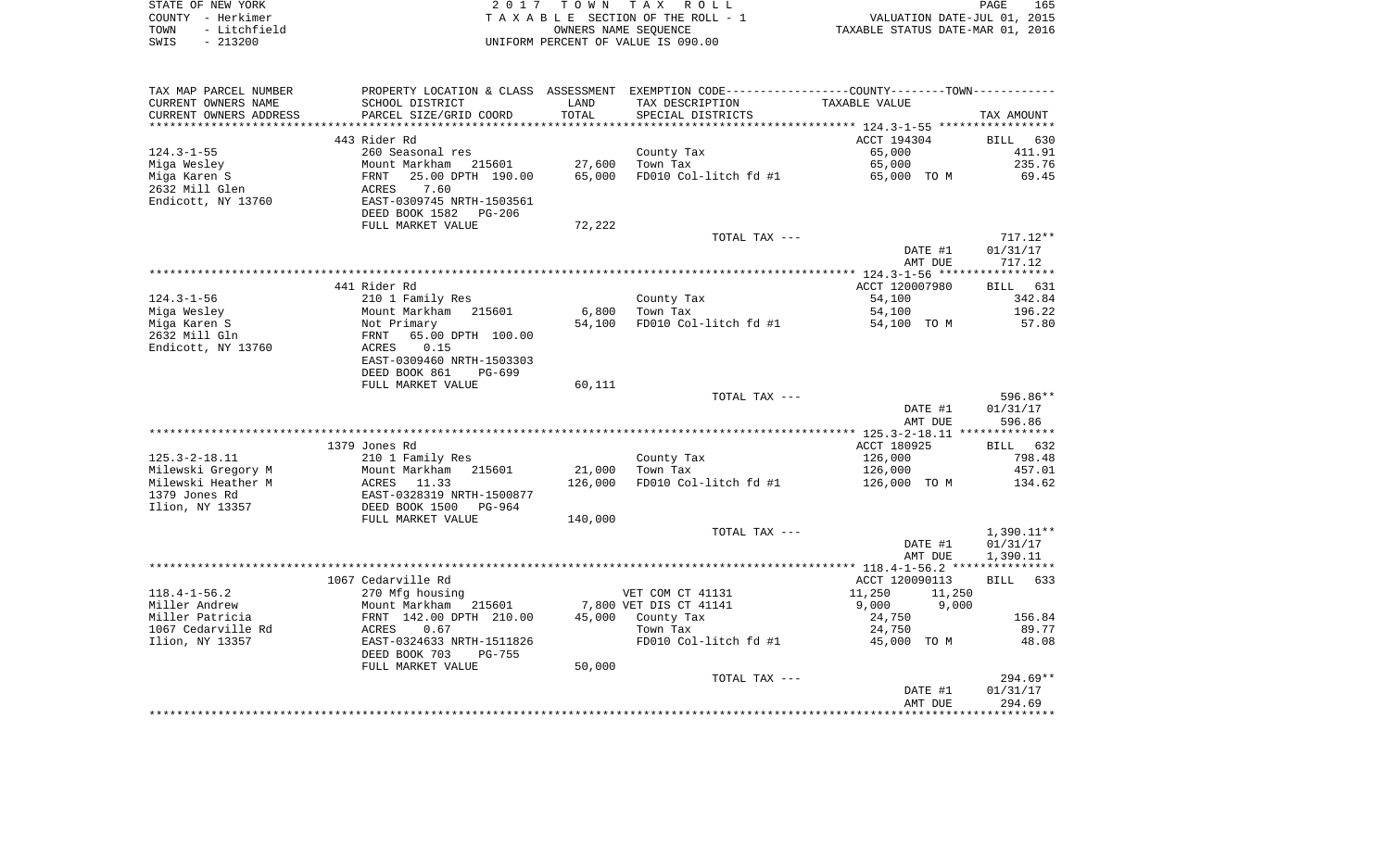|      | STATE OF NEW YORK | 2017 TOWN TAX ROLL                 | PAGE                             | 165 |
|------|-------------------|------------------------------------|----------------------------------|-----|
|      | COUNTY - Herkimer | TAXABLE SECTION OF THE ROLL - 1    | VALUATION DATE-JUL 01, 2015      |     |
| TOWN | - Litchfield      | OWNERS NAME SEOUENCE               | TAXABLE STATUS DATE-MAR 01, 2016 |     |
| SWIS | - 213200          | UNIFORM PERCENT OF VALUE IS 090.00 |                                  |     |

165<br>2015

| TAX MAP PARCEL NUMBER                    | PROPERTY LOCATION & CLASS ASSESSMENT EXEMPTION CODE---------------COUNTY-------TOWN----------  |         |                        |                  |                    |
|------------------------------------------|------------------------------------------------------------------------------------------------|---------|------------------------|------------------|--------------------|
| CURRENT OWNERS NAME                      | SCHOOL DISTRICT                                                                                | LAND    | TAX DESCRIPTION        | TAXABLE VALUE    |                    |
| CURRENT OWNERS ADDRESS                   | PARCEL SIZE/GRID COORD                                                                         | TOTAL   | SPECIAL DISTRICTS      |                  | TAX AMOUNT         |
|                                          | 443 Rider Rd                                                                                   |         |                        | ACCT 194304      |                    |
| 124.3-1-55                               | 260 Seasonal res                                                                               |         |                        | 65,000           | BILL 630<br>411.91 |
|                                          | Mount Markham 215601                                                                           | 27,600  | County Tax<br>Town Tax | 65,000           | 235.76             |
| Miga Wesley<br>Miga Karen S              |                                                                                                | 65,000  | FD010 Col-litch fd #1  | 65,000 TO M      | 69.45              |
| 2632 Mill Glen                           |                                                                                                |         |                        |                  |                    |
| Endicott, NY 13760                       | FRNT 25.00 DPTH 130.00<br>ACRES 7.60<br>EAST-0309745 NRTH-1503561<br>EAST-0309745 NRTH-1503561 |         |                        |                  |                    |
|                                          |                                                                                                |         |                        |                  |                    |
|                                          | FULL MARKET VALUE                                                                              | 72,222  |                        |                  |                    |
|                                          |                                                                                                |         | TOTAL TAX ---          |                  | $717.12**$         |
|                                          |                                                                                                |         |                        | DATE #1          | 01/31/17           |
|                                          |                                                                                                |         |                        | AMT DUE          | 717.12             |
|                                          |                                                                                                |         |                        |                  |                    |
|                                          | 441 Rider Rd                                                                                   |         |                        | ACCT 120007980   | BILL 631           |
| 124.3-1-56                               | 210 1 Family Res                                                                               |         | County Tax             | 54,100           | 342.84             |
| Miga Wesley                              | Mount Markham 215601<br>Nount Markham 215601<br>FRNT 65.00 DPTH 100.00                         | 6,800   | Town Tax               | 54,100           | 196.22             |
| Miga Karen S                             |                                                                                                | 54,100  | FD010 Col-litch fd #1  | 54,100 TO M      | 57.80              |
| 2632 Mill Gln                            | 65.00 DPTH 100.00                                                                              |         |                        |                  |                    |
| Endicott, NY 13760                       | ACRES<br>0.15                                                                                  |         |                        |                  |                    |
|                                          | EAST-0309460 NRTH-1503303                                                                      |         |                        |                  |                    |
|                                          | DEED BOOK 861<br>PG-699                                                                        |         |                        |                  |                    |
|                                          | FULL MARKET VALUE                                                                              | 60,111  |                        |                  |                    |
|                                          |                                                                                                |         | TOTAL TAX ---          |                  | 596.86**           |
|                                          |                                                                                                |         |                        | DATE #1          | 01/31/17           |
|                                          |                                                                                                |         |                        | AMT DUE          | 596.86             |
|                                          |                                                                                                |         |                        |                  |                    |
|                                          | 1379 Jones Rd                                                                                  |         |                        | ACCT 180925      | BILL 632           |
| $125.3 - 2 - 18.11$                      | 210 1 Family Res                                                                               | 21,000  | County Tax<br>Town Tax | 126,000          | 798.48<br>457.01   |
| Milewski Gregory M<br>Milewski Heather M | Mount Markham 215601                                                                           | 126,000 | FD010 Col-litch fd #1  | 126,000          | 134.62             |
| 1379 Jones Rd                            | ACRES 11.33                                                                                    |         |                        | 126,000 TO M     |                    |
| Ilion, NY 13357                          | EAST-0328319 NRTH-1500877<br>DEED BOOK 1500 PG-964                                             |         |                        |                  |                    |
|                                          | FULL MARKET VALUE                                                                              | 140,000 |                        |                  |                    |
|                                          |                                                                                                |         | TOTAL TAX ---          |                  | 1,390.11**         |
|                                          |                                                                                                |         |                        | DATE #1          | 01/31/17           |
|                                          |                                                                                                |         |                        | AMT DUE          | 1,390.11           |
|                                          |                                                                                                |         |                        |                  |                    |
|                                          | 1067 Cedarville Rd                                                                             |         |                        | ACCT 120090113   | BILL 633           |
| 118.4-1-56.2                             | 270 Mfg housing                                                                                |         | VET COM CT 41131       | 11,250<br>11,250 |                    |
| Miller Andrew                            |                                                                                                |         | 7,800 VET DIS CT 41141 | 9,000<br>9,000   |                    |
| Miller Patricia                          | Mount Markham 215601<br>FRNT 142.00 DPTH 210.00                                                |         | 45,000 County Tax      | 24,750           | 156.84             |
| 1067 Cedarville Rd                       | ACRES 0.67<br>EAST-0324633 NRTH-1511826                                                        |         | Town Tax               | 24,750           | 89.77              |
| Ilion, NY 13357                          |                                                                                                |         | FD010 Col-litch fd #1  | 45,000 TO M      | 48.08              |
|                                          | DEED BOOK 703<br>PG-755                                                                        |         |                        |                  |                    |
|                                          | FULL MARKET VALUE                                                                              | 50,000  |                        |                  |                    |
|                                          |                                                                                                |         | TOTAL TAX ---          |                  | 294.69**           |
|                                          |                                                                                                |         |                        | DATE #1          | 01/31/17           |
|                                          |                                                                                                |         |                        | AMT DUE          | 294.69             |
|                                          |                                                                                                |         |                        |                  |                    |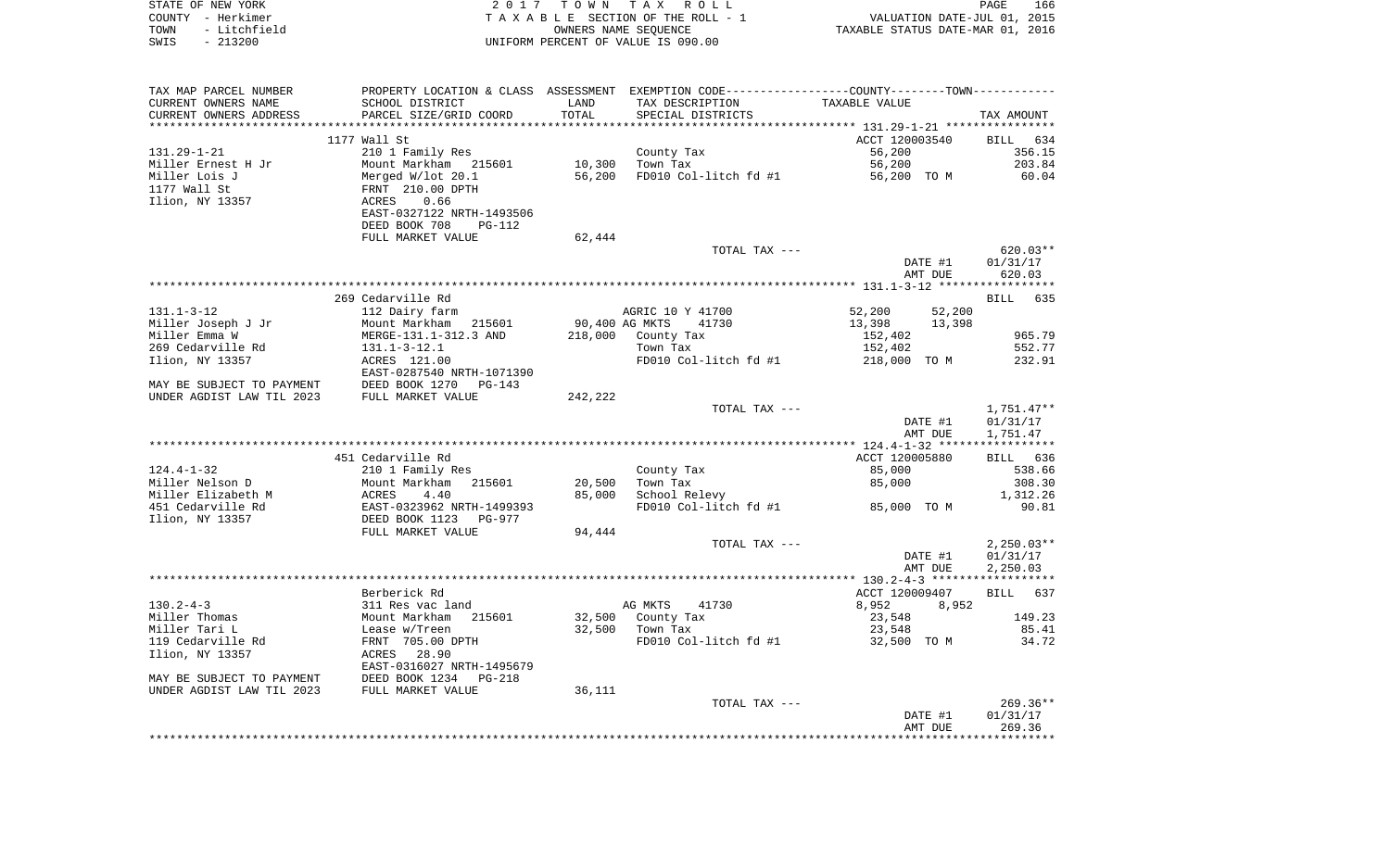|        | STATE OF NEW YORK     |                           |            | 2017 TOWN TAX ROLL                 |                                                              | PAGE                        | 166 |
|--------|-----------------------|---------------------------|------------|------------------------------------|--------------------------------------------------------------|-----------------------------|-----|
| COUNTY | - Herkimer            |                           |            | TAXABLE SECTION OF THE ROLL - 1    |                                                              | VALUATION DATE-JUL 01, 2015 |     |
| TOWN   | - Litchfield          |                           |            | OWNERS NAME SEOUENCE               | TAXABLE STATUS DATE-MAR 01, 2016                             |                             |     |
| SWIS   | $-213200$             |                           |            | UNIFORM PERCENT OF VALUE IS 090.00 |                                                              |                             |     |
|        |                       |                           |            |                                    |                                                              |                             |     |
|        |                       |                           |            |                                    |                                                              |                             |     |
|        | TAX MAP PARCEL NUMBER | PROPERTY LOCATION & CLASS | ASSESSMENT |                                    | EXEMPTION CODE-----------------COUNTY-------TOWN------------ |                             |     |
|        | CURRENT OWNERS NAME   | SCHOOL DISTRICT           | LAND       | TAX DESCRIPTION                    | TAXABLE VALUE                                                |                             |     |

| CURRENT OWNERS ADDRESS    | PARCEL SIZE/GRID COORD          | TOTAL   | SPECIAL DISTRICTS       |                          |        | TAX AMOUNT           |            |
|---------------------------|---------------------------------|---------|-------------------------|--------------------------|--------|----------------------|------------|
|                           | 1177 Wall St                    |         |                         | ACCT 120003540           |        | BILL                 | 634        |
| $131.29 - 1 - 21$         | 210 1 Family Res                |         | County Tax              | 56,200                   |        |                      | 356.15     |
| Miller Ernest H Jr        | Mount Markham<br>215601         | 10,300  | Town Tax                | 56,200                   |        |                      | 203.84     |
| Miller Lois J             | Merged W/lot 20.1               | 56,200  | FD010 Col-litch fd #1   | 56,200 TO M              |        |                      | 60.04      |
| 1177 Wall St              | FRNT 210.00 DPTH                |         |                         |                          |        |                      |            |
| Ilion, NY 13357           | <b>ACRES</b><br>0.66            |         |                         |                          |        |                      |            |
|                           | EAST-0327122 NRTH-1493506       |         |                         |                          |        |                      |            |
|                           | DEED BOOK 708<br><b>PG-112</b>  |         |                         |                          |        |                      |            |
|                           | FULL MARKET VALUE               | 62,444  |                         |                          |        |                      |            |
|                           |                                 |         | TOTAL TAX ---           |                          |        |                      | $620.03**$ |
|                           |                                 |         |                         | DATE #1                  |        | 01/31/17             |            |
|                           |                                 |         |                         | AMT DUE                  |        | 620.03               |            |
|                           |                                 |         |                         |                          |        |                      |            |
|                           | 269 Cedarville Rd               |         |                         |                          |        | <b>BILL</b>          | 635        |
| $131.1 - 3 - 12$          | 112 Dairy farm                  |         | AGRIC 10 Y 41700        | 52,200                   | 52,200 |                      |            |
| Miller Joseph J Jr        | Mount Markham<br>215601         |         | 90,400 AG MKTS<br>41730 | 13,398                   | 13,398 |                      |            |
| Miller Emma W             | MERGE-131.1-312.3 AND           | 218,000 | County Tax              | 152,402                  |        |                      | 965.79     |
| 269 Cedarville Rd         | $131.1 - 3 - 12.1$              |         | Town Tax                | 152,402                  |        |                      | 552.77     |
| Ilion, NY 13357           | ACRES 121.00                    |         | FD010 Col-litch fd #1   | 218,000 TO M             |        |                      | 232.91     |
|                           | EAST-0287540 NRTH-1071390       |         |                         |                          |        |                      |            |
| MAY BE SUBJECT TO PAYMENT | DEED BOOK 1270<br>$PG-143$      |         |                         |                          |        |                      |            |
| UNDER AGDIST LAW TIL 2023 | FULL MARKET VALUE               | 242,222 |                         |                          |        |                      |            |
|                           |                                 |         | TOTAL TAX ---           | DATE #1                  |        | $1,751.47**$         |            |
|                           |                                 |         |                         | AMT DUE                  |        | 01/31/17<br>1,751.47 |            |
|                           |                                 |         |                         | *** $124.4 - 1 - 32$ *** |        | ************         |            |
|                           | 451 Cedarville Rd               |         |                         | ACCT 120005880           |        | BILL                 | 636        |
| $124.4 - 1 - 32$          | 210 1 Family Res                |         | County Tax              | 85,000                   |        |                      | 538.66     |
| Miller Nelson D           | Mount Markham<br>215601         | 20,500  | Town Tax                | 85,000                   |        |                      | 308.30     |
| Miller Elizabeth M        | 4.40<br><b>ACRES</b>            | 85,000  | School Relevy           |                          |        |                      | 1,312.26   |
| 451 Cedarville Rd         | EAST-0323962 NRTH-1499393       |         | FD010 Col-litch fd #1   | 85,000 TO M              |        |                      | 90.81      |
| Ilion, NY 13357           | DEED BOOK 1123<br><b>PG-977</b> |         |                         |                          |        |                      |            |
|                           | FULL MARKET VALUE               | 94,444  |                         |                          |        |                      |            |
|                           |                                 |         | TOTAL TAX ---           |                          |        | $2,250.03**$         |            |
|                           |                                 |         |                         | DATE #1                  |        | 01/31/17             |            |
|                           |                                 |         |                         | AMT DUE                  |        | 2,250.03             |            |
|                           |                                 |         |                         |                          |        |                      | *****      |
|                           | Berberick Rd                    |         |                         | ACCT 120009407           |        | BILL                 | 637        |
| $130.2 - 4 - 3$           | 311 Res vac land                |         | AG MKTS<br>41730        | 8,952                    | 8,952  |                      |            |
| Miller Thomas             | Mount Markham<br>215601         | 32,500  | County Tax              | 23,548                   |        |                      | 149.23     |
| Miller Tari L             | Lease w/Treen                   | 32,500  | Town Tax                | 23,548                   |        |                      | 85.41      |
| 119 Cedarville Rd         | FRNT 705.00 DPTH                |         | FD010 Col-litch fd #1   | 32,500 TO M              |        |                      | 34.72      |
| Ilion, NY 13357           | 28.90<br><b>ACRES</b>           |         |                         |                          |        |                      |            |
|                           | EAST-0316027 NRTH-1495679       |         |                         |                          |        |                      |            |
| MAY BE SUBJECT TO PAYMENT | DEED BOOK 1234<br><b>PG-218</b> |         |                         |                          |        |                      |            |
| UNDER AGDIST LAW TIL 2023 | FULL MARKET VALUE               | 36,111  |                         |                          |        |                      |            |
|                           |                                 |         | TOTAL TAX ---           |                          |        |                      | $269.36**$ |
|                           |                                 |         |                         | DATE #1                  |        | 01/31/17             |            |
|                           |                                 |         |                         | AMT DUE                  |        | 269.36               |            |
|                           |                                 |         |                         |                          |        |                      | ********   |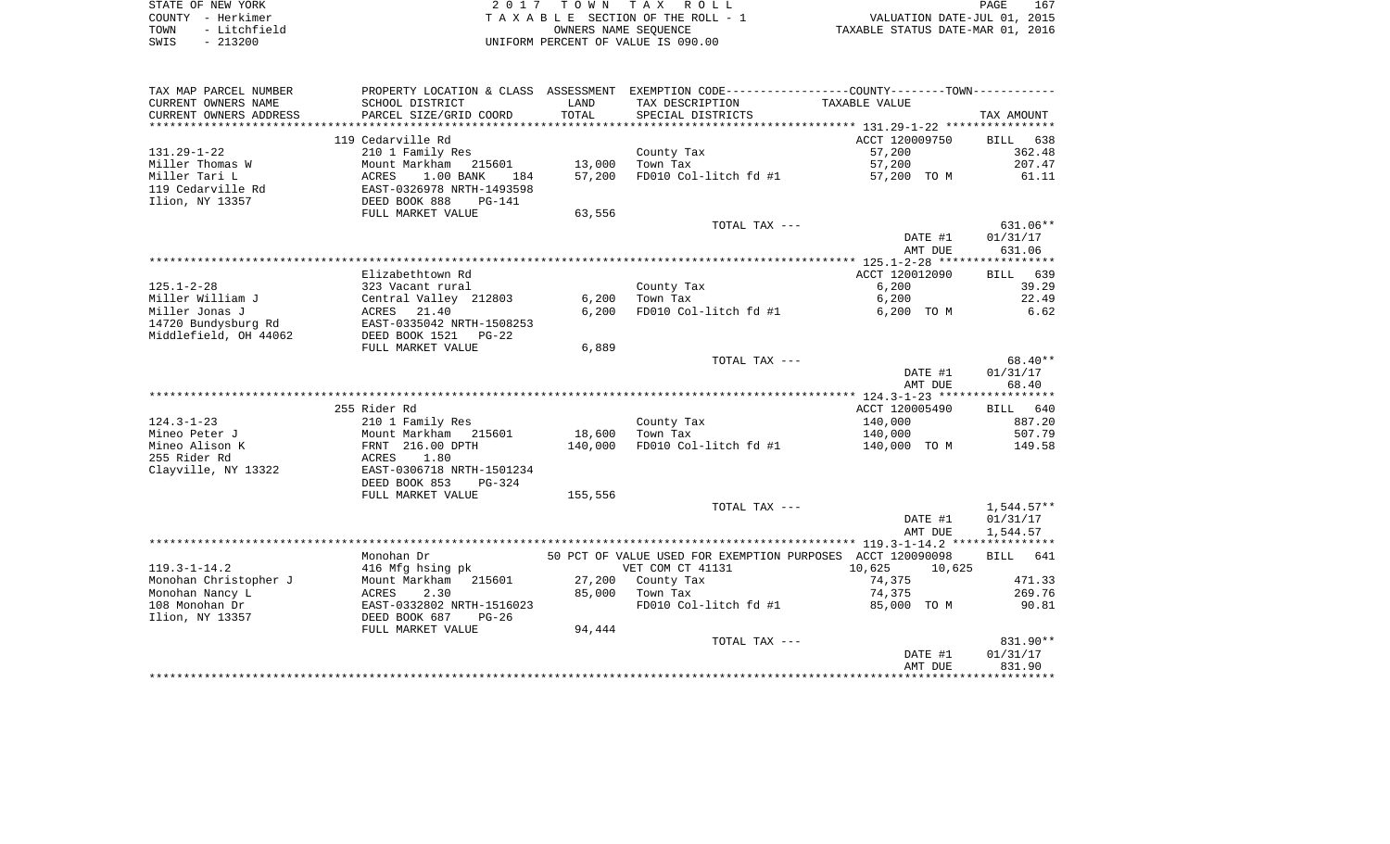| STATE OF NEW YORK    | 2017 TOWN TAX ROLL                 | 167<br>PAGE                      |
|----------------------|------------------------------------|----------------------------------|
| COUNTY - Herkimer    | TAXABLE SECTION OF THE ROLL - 1    | VALUATION DATE-JUL 01, 2015      |
| - Litchfield<br>TOWN | OWNERS NAME SEOUENCE               | TAXABLE STATUS DATE-MAR 01, 2016 |
| $-213200$<br>SWIS    | UNIFORM PERCENT OF VALUE IS 090.00 |                                  |

| TAX MAP PARCEL NUMBER                         | PROPERTY LOCATION & CLASS ASSESSMENT EXEMPTION CODE---------------COUNTY-------TOWN---------- |               |                                                            |                  |                       |
|-----------------------------------------------|-----------------------------------------------------------------------------------------------|---------------|------------------------------------------------------------|------------------|-----------------------|
| CURRENT OWNERS NAME<br>CURRENT OWNERS ADDRESS | SCHOOL DISTRICT<br>PARCEL SIZE/GRID COORD                                                     | LAND<br>TOTAL | TAX DESCRIPTION<br>SPECIAL DISTRICTS                       | TAXABLE VALUE    | TAX AMOUNT            |
|                                               |                                                                                               |               |                                                            |                  |                       |
|                                               | 119 Cedarville Rd                                                                             |               |                                                            | ACCT 120009750   | BILL 638              |
| $131.29 - 1 - 22$                             | 210 1 Family Res                                                                              |               | County Tax                                                 | 57,200           | 362.48                |
| Miller Thomas W                               | Mount Markham 215601                                                                          | 13,000        | Town Tax                                                   | 57,200           | 207.47                |
| Miller Tari L                                 | ACRES<br>$1.00$ BANK<br>184                                                                   | 57,200        | FD010 Col-litch fd #1                                      | 57,200 TO M      | 61.11                 |
| 119 Cedarville Rd                             | EAST-0326978 NRTH-1493598<br>DEED BOOK 888     PG-141                                         |               |                                                            |                  |                       |
| Ilion, NY 13357                               |                                                                                               |               |                                                            |                  |                       |
|                                               | FULL MARKET VALUE                                                                             | 63,556        |                                                            |                  |                       |
|                                               |                                                                                               |               | TOTAL TAX ---                                              | DATE #1          | 631.06**              |
|                                               |                                                                                               |               |                                                            | AMT DUE          | 01/31/17<br>631.06    |
|                                               |                                                                                               |               |                                                            |                  |                       |
|                                               | Elizabethtown Rd                                                                              |               |                                                            | ACCT 120012090   | BILL 639              |
| $125.1 - 2 - 28$                              | 323 Vacant rural                                                                              |               | County Tax                                                 | 6,200            | 39.29                 |
| Miller William J                              | Central Valley 212803                                                                         | 6,200         | Town Tax                                                   | 6,200            | 22.49                 |
| Miller Jonas J                                | ACRES<br>21.40                                                                                | 6,200         | FD010 Col-litch fd #1                                      | 6,200 TO M       | 6.62                  |
| 14720 Bundysburg Rd                           | EAST-0335042 NRTH-1508253                                                                     |               |                                                            |                  |                       |
| Middlefield, OH 44062                         | DEED BOOK 1521<br>$PG-22$                                                                     |               |                                                            |                  |                       |
|                                               | FULL MARKET VALUE                                                                             | 6,889         |                                                            |                  |                       |
|                                               |                                                                                               |               | TOTAL TAX ---                                              | DATE #1          | $68.40**$<br>01/31/17 |
|                                               |                                                                                               |               |                                                            | AMT DUE          | 68.40                 |
|                                               |                                                                                               |               |                                                            |                  |                       |
|                                               | 255 Rider Rd                                                                                  |               |                                                            | ACCT 120005490   | BILL 640              |
| 124.3-1-23                                    | 210 1 Family Res                                                                              |               | County Tax                                                 | 140,000          | 887.20                |
| Mineo Peter J                                 | Mount Markham 215601                                                                          | 18,600        | Town Tax                                                   | 140,000          | 507.79                |
| Mineo Alison K                                | FRNT 216.00 DPTH                                                                              | 140,000       | FD010 Col-litch fd #1                                      | 140,000 TO M     | 149.58                |
| 255 Rider Rd                                  | 1.80<br>ACRES                                                                                 |               |                                                            |                  |                       |
| Clayville, NY 13322                           | EAST-0306718 NRTH-1501234                                                                     |               |                                                            |                  |                       |
|                                               | DEED BOOK 853<br>$PG-324$                                                                     |               |                                                            |                  |                       |
|                                               | FULL MARKET VALUE                                                                             | 155,556       | TOTAL TAX ---                                              |                  | 1,544.57**            |
|                                               |                                                                                               |               |                                                            | DATE #1          | 01/31/17              |
|                                               |                                                                                               |               |                                                            | AMT DUE          | 1,544.57              |
|                                               |                                                                                               |               |                                                            |                  |                       |
|                                               | Monohan Dr                                                                                    |               | 50 PCT OF VALUE USED FOR EXEMPTION PURPOSES ACCT 120090098 |                  | BILL 641              |
| $119.3 - 1 - 14.2$                            | 416 Mfg hsing pk                                                                              |               | VET COM CT 41131                                           | 10,625<br>10,625 |                       |
| Monohan Christopher J                         | Mount Markham 215601                                                                          | 27,200        | County Tax                                                 | 74,375           | 471.33                |
| Monohan Nancy L                               | ACRES<br>2.30                                                                                 | 85,000        | Town Tax                                                   | 74,375           | 269.76                |
| 108 Monohan Dr                                | EAST-0332802 NRTH-1516023                                                                     |               | FD010 Col-litch fd #1                                      | 85,000 TO M      | 90.81                 |
| Ilion, NY 13357                               | DEED BOOK 687<br>$PG-26$                                                                      |               |                                                            |                  |                       |
|                                               | FULL MARKET VALUE                                                                             | 94,444        | TOTAL TAX ---                                              |                  | 831.90**              |
|                                               |                                                                                               |               |                                                            | DATE #1          | 01/31/17              |
|                                               |                                                                                               |               |                                                            | AMT DUE          | 831.90                |
|                                               |                                                                                               |               |                                                            |                  |                       |
|                                               |                                                                                               |               |                                                            |                  |                       |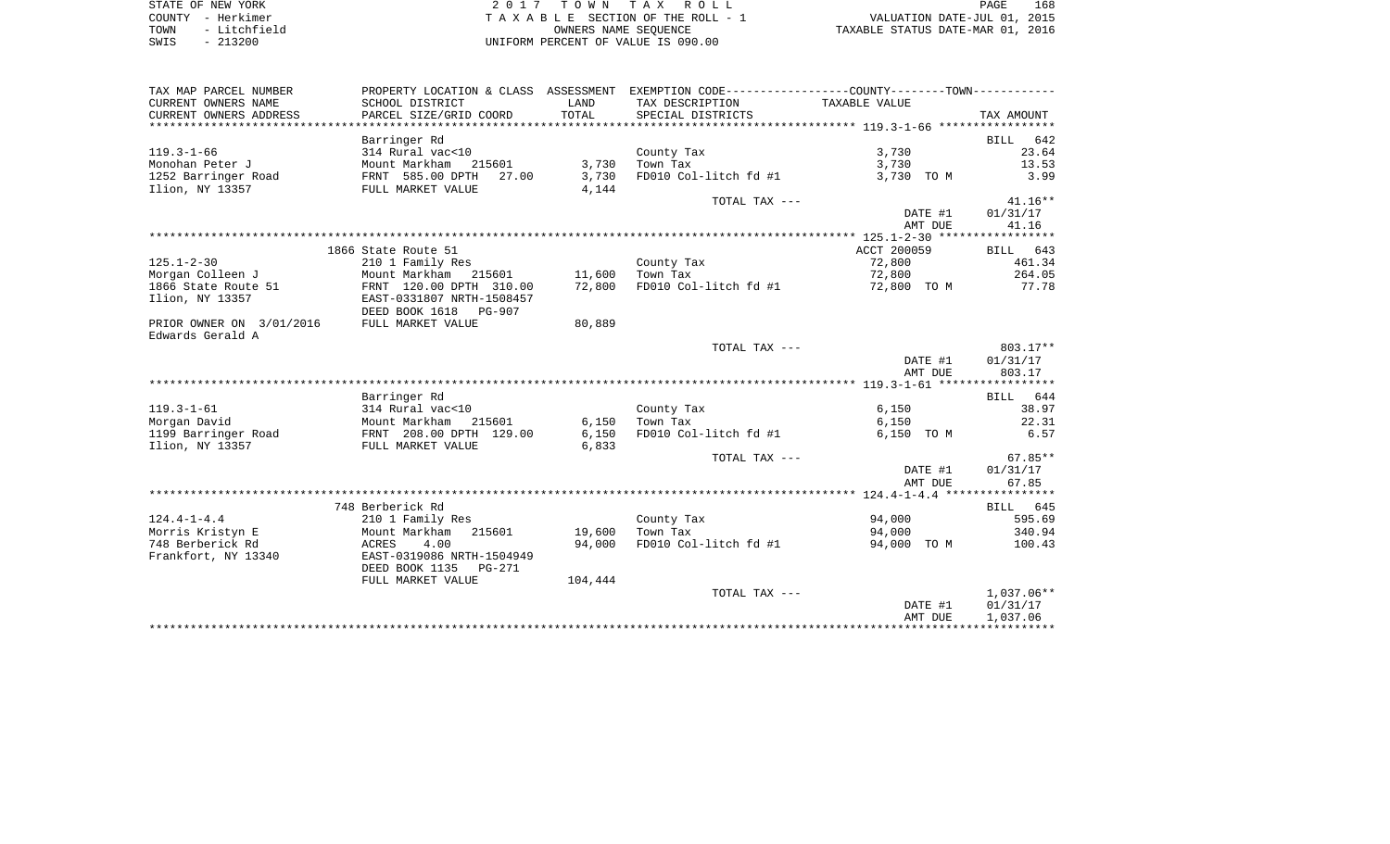| STATE OF NEW YORK |              |
|-------------------|--------------|
| COUNTY - Herkimer |              |
| TOWN              | - Litchfield |
| SWIS              | $-213200$    |

STATE OF NEW YORK 2 0 1 7 T O W N T A X R O L L PAGE 168TA X A B L E SECTION OF THE ROLL - 1 SWIS - 213200 UNIFORM PERCENT OF VALUE IS 090.00

PAGE 168 L E SECTION OF THE ROLL - 1 VALUATION DATE-JUL 01, 2015<br>
OWNERS NAME SEQUENCE TAXABLE STATUS DATE-MAR 01, 2016

| TAX MAP PARCEL NUMBER    | PROPERTY LOCATION & CLASS ASSESSMENT |         | EXEMPTION CODE-----------------COUNTY-------TOWN----------- |               |              |
|--------------------------|--------------------------------------|---------|-------------------------------------------------------------|---------------|--------------|
| CURRENT OWNERS NAME      | SCHOOL DISTRICT                      | LAND    | TAX DESCRIPTION                                             | TAXABLE VALUE |              |
| CURRENT OWNERS ADDRESS   | PARCEL SIZE/GRID COORD               | TOTAL   | SPECIAL DISTRICTS                                           |               | TAX AMOUNT   |
|                          |                                      |         |                                                             |               |              |
|                          | Barringer Rd                         |         |                                                             |               | 642<br>BILL  |
| $119.3 - 1 - 66$         | 314 Rural vac<10                     |         | County Tax                                                  | 3,730         | 23.64        |
| Monohan Peter J          | Mount Markham 215601                 | 3,730   | Town Tax                                                    | 3,730         | 13.53        |
| 1252 Barringer Road      | FRNT 585.00 DPTH<br>27.00            | 3,730   | FD010 Col-litch fd #1                                       | 3,730 TO M    | 3.99         |
| Ilion, NY 13357          | FULL MARKET VALUE                    | 4,144   |                                                             |               |              |
|                          |                                      |         | TOTAL TAX ---                                               |               | $41.16**$    |
|                          |                                      |         |                                                             | DATE #1       | 01/31/17     |
|                          |                                      |         |                                                             | AMT DUE       | 41.16        |
|                          |                                      |         |                                                             |               |              |
|                          | 1866 State Route 51                  |         |                                                             | ACCT 200059   | BILL 643     |
| $125.1 - 2 - 30$         | 210 1 Family Res                     |         | County Tax                                                  | 72,800        | 461.34       |
| Morgan Colleen J         | Mount Markham 215601                 | 11,600  | Town Tax                                                    | 72,800        | 264.05       |
| 1866 State Route 51      | FRNT 120.00 DPTH 310.00              | 72,800  | FD010 Col-litch fd #1                                       | 72,800 TO M   | 77.78        |
| Ilion, NY 13357          | EAST-0331807 NRTH-1508457            |         |                                                             |               |              |
|                          | DEED BOOK 1618 PG-907                |         |                                                             |               |              |
| PRIOR OWNER ON 3/01/2016 | FULL MARKET VALUE                    | 80,889  |                                                             |               |              |
| Edwards Gerald A         |                                      |         |                                                             |               |              |
|                          |                                      |         | TOTAL TAX ---                                               |               | 803.17**     |
|                          |                                      |         |                                                             | DATE #1       | 01/31/17     |
|                          |                                      |         |                                                             | AMT DUE       | 803.17       |
|                          |                                      |         |                                                             |               |              |
|                          | Barringer Rd                         |         |                                                             |               | BILL 644     |
| $119.3 - 1 - 61$         | 314 Rural vac<10                     |         | County Tax                                                  | 6,150         | 38.97        |
| Morgan David             | Mount Markham<br>215601              | 6,150   | Town Tax                                                    | 6,150         | 22.31        |
| 1199 Barringer Road      | FRNT 208.00 DPTH 129.00              | 6,150   | FD010 Col-litch fd #1                                       | 6,150 TO M    | 6.57         |
| Ilion, NY 13357          | FULL MARKET VALUE                    | 6,833   |                                                             |               |              |
|                          |                                      |         | TOTAL TAX ---                                               |               | $67.85**$    |
|                          |                                      |         |                                                             | DATE #1       | 01/31/17     |
|                          |                                      |         |                                                             | AMT DUE       | 67.85        |
|                          |                                      |         |                                                             |               |              |
|                          | 748 Berberick Rd                     |         |                                                             |               | BILL 645     |
| $124.4 - 1 - 4.4$        | 210 1 Family Res                     |         | County Tax                                                  | 94,000        | 595.69       |
| Morris Kristyn E         | Mount Markham<br>215601              | 19,600  | Town Tax                                                    | 94,000        | 340.94       |
| 748 Berberick Rd         | ACRES<br>4.00                        | 94,000  | FD010 Col-litch fd #1                                       | 94,000 TO M   | 100.43       |
| Frankfort, NY 13340      | EAST-0319086 NRTH-1504949            |         |                                                             |               |              |
|                          | DEED BOOK 1135<br><b>PG-271</b>      |         |                                                             |               |              |
|                          | FULL MARKET VALUE                    | 104,444 |                                                             |               |              |
|                          |                                      |         | TOTAL TAX ---                                               |               | $1,037.06**$ |
|                          |                                      |         |                                                             | DATE #1       | 01/31/17     |
|                          |                                      |         |                                                             | AMT DUE       | 1,037.06     |
|                          |                                      |         |                                                             |               |              |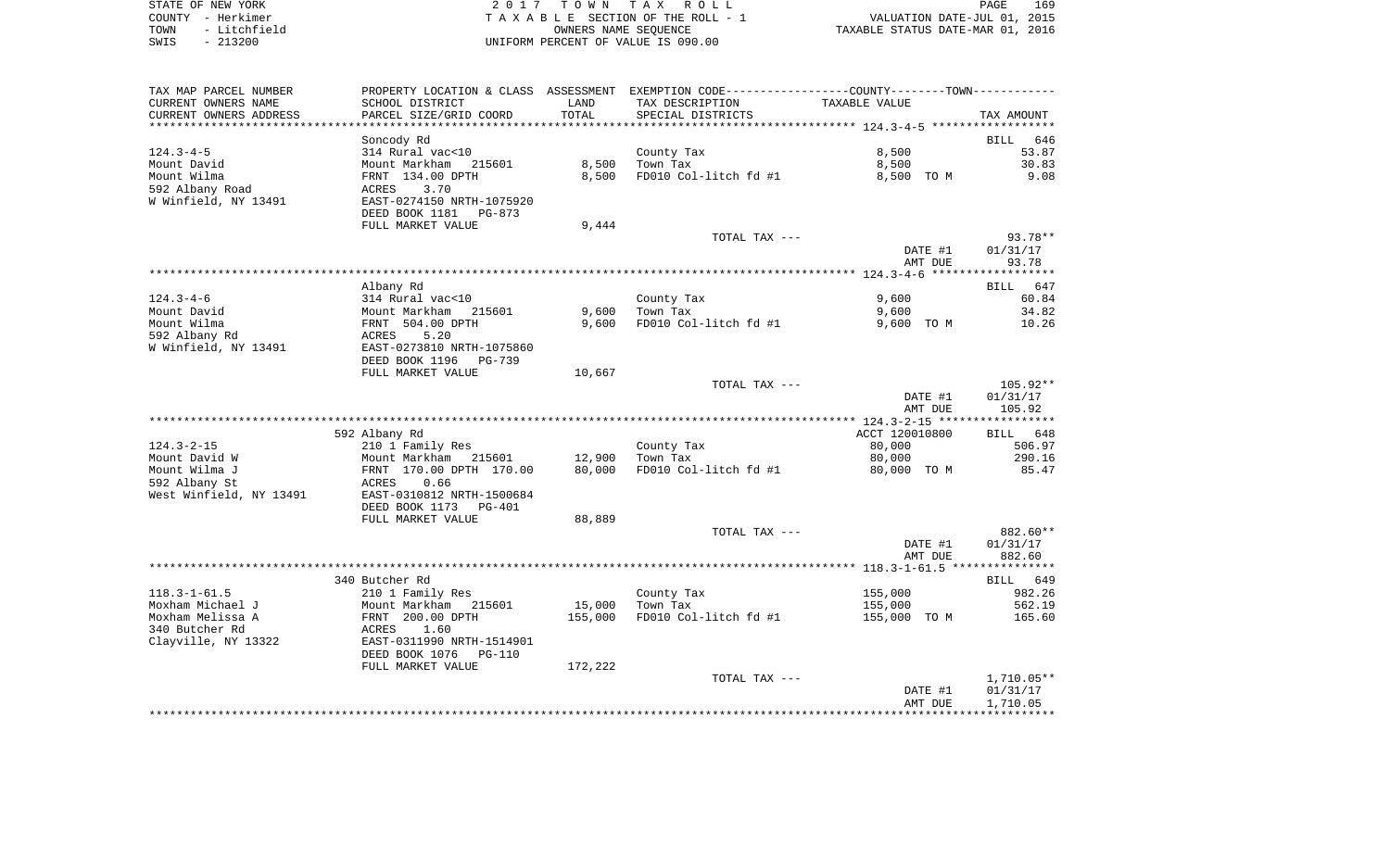|      | STATE OF NEW YORK | 2017 TOWN TAX ROLL                 | 169<br>PAGE                      |
|------|-------------------|------------------------------------|----------------------------------|
|      | COUNTY - Herkimer | TAXABLE SECTION OF THE ROLL - 1    | VALUATION DATE-JUL 01, 2015      |
| TOWN | - Litchfield      | OWNERS NAME SEOUENCE               | TAXABLE STATUS DATE-MAR 01, 2016 |
| SWIS | $-213200$         | UNIFORM PERCENT OF VALUE IS 090.00 |                                  |

| CURRENT OWNERS NAME<br>SCHOOL DISTRICT<br>LAND<br>TAX DESCRIPTION<br>TAXABLE VALUE<br>PARCEL SIZE/GRID COORD<br>TOTAL<br>SPECIAL DISTRICTS<br>TAX AMOUNT<br>*****************<br>Soncody Rd<br><b>BILL</b><br>8,500<br>53.87<br>314 Rural vac<10<br>County Tax<br>Mount Markham<br>8,500<br>Town Tax<br>8,500<br>30.83<br>215601<br>9.08<br>FRNT 134.00 DPTH<br>8,500<br>FD010 Col-litch fd #1<br>8,500 TO M<br>3.70<br>ACRES<br>EAST-0274150 NRTH-1075920<br>DEED BOOK 1181<br>PG-873<br>FULL MARKET VALUE<br>9,444<br>TOTAL TAX ---<br>DATE #1<br>01/31/17<br>93.78<br>AMT DUE<br>Albany Rd<br>314 Rural vac<10<br>County Tax<br>9,600<br>Mount Markham 215601<br>9,600<br>Town Tax<br>9,600<br>FD010 Col-litch fd #1<br>FRNT 504.00 DPTH<br>9,600<br>9,600 TO M<br>10.26<br>5.20<br>ACRES<br>EAST-0273810 NRTH-1075860<br>DEED BOOK 1196<br>PG-739<br>FULL MARKET VALUE<br>10,667<br>TOTAL TAX ---<br>DATE #1<br>01/31/17<br>105.92<br>AMT DUE<br>592 Albany Rd<br>ACCT 120010800<br>210 1 Family Res<br>80,000<br>County Tax<br>12,900<br>80,000<br>290.16<br>Mount Markham 215601<br>Town Tax<br>80,000<br>FD010 Col-litch fd #1<br>FRNT 170.00 DPTH 170.00<br>80,000 TO M<br>85.47<br>ACRES<br>0.66<br>EAST-0310812 NRTH-1500684<br>DEED BOOK 1173<br>$PG-401$<br>88,889<br>FULL MARKET VALUE<br>TOTAL TAX ---<br>882.60**<br>DATE #1<br>01/31/17<br>AMT DUE<br>882.60<br>340 Butcher Rd<br>210 1 Family Res<br>County Tax<br>155,000<br>Mount Markham<br>15,000<br>Town Tax<br>155,000<br>215601<br>FRNT 200.00 DPTH<br>155,000<br>FD010 Col-litch fd #1<br>155,000 TO M<br>165.60<br>1.60<br>ACRES<br>EAST-0311990 NRTH-1514901<br>DEED BOOK 1076<br>PG-110<br>FULL MARKET VALUE<br>172,222<br>TOTAL TAX ---<br>1,710.05** | TAX MAP PARCEL NUMBER |  | PROPERTY LOCATION & CLASS ASSESSMENT EXEMPTION CODE---------------COUNTY-------TOWN---------- |          |
|------------------------------------------------------------------------------------------------------------------------------------------------------------------------------------------------------------------------------------------------------------------------------------------------------------------------------------------------------------------------------------------------------------------------------------------------------------------------------------------------------------------------------------------------------------------------------------------------------------------------------------------------------------------------------------------------------------------------------------------------------------------------------------------------------------------------------------------------------------------------------------------------------------------------------------------------------------------------------------------------------------------------------------------------------------------------------------------------------------------------------------------------------------------------------------------------------------------------------------------------------------------------------------------------------------------------------------------------------------------------------------------------------------------------------------------------------------------------------------------------------------------------------------------------------------------------------------------------------------------------------------------------------------------------------------------------------------------------------------|-----------------------|--|-----------------------------------------------------------------------------------------------|----------|
| CURRENT OWNERS ADDRESS<br>$124.3 - 4 - 5$<br>Mount David<br>Mount Wilma<br>592 Albany Road<br>W Winfield, NY 13491<br>$124.3 - 4 - 6$<br>Mount David<br>Mount Wilma<br>592 Albany Rd<br>W Winfield, NY 13491<br>$124.3 - 2 - 15$<br>Mount David W<br>Mount Wilma J<br>592 Albany St<br>West Winfield, NY 13491<br>$118.3 - 1 - 61.5$<br>Moxham Michael J<br>Moxham Melissa A<br>340 Butcher Rd<br>Clayville, NY 13322                                                                                                                                                                                                                                                                                                                                                                                                                                                                                                                                                                                                                                                                                                                                                                                                                                                                                                                                                                                                                                                                                                                                                                                                                                                                                                              |                       |  |                                                                                               |          |
|                                                                                                                                                                                                                                                                                                                                                                                                                                                                                                                                                                                                                                                                                                                                                                                                                                                                                                                                                                                                                                                                                                                                                                                                                                                                                                                                                                                                                                                                                                                                                                                                                                                                                                                                    |                       |  |                                                                                               |          |
|                                                                                                                                                                                                                                                                                                                                                                                                                                                                                                                                                                                                                                                                                                                                                                                                                                                                                                                                                                                                                                                                                                                                                                                                                                                                                                                                                                                                                                                                                                                                                                                                                                                                                                                                    |                       |  |                                                                                               |          |
|                                                                                                                                                                                                                                                                                                                                                                                                                                                                                                                                                                                                                                                                                                                                                                                                                                                                                                                                                                                                                                                                                                                                                                                                                                                                                                                                                                                                                                                                                                                                                                                                                                                                                                                                    |                       |  |                                                                                               | 646      |
|                                                                                                                                                                                                                                                                                                                                                                                                                                                                                                                                                                                                                                                                                                                                                                                                                                                                                                                                                                                                                                                                                                                                                                                                                                                                                                                                                                                                                                                                                                                                                                                                                                                                                                                                    |                       |  |                                                                                               |          |
|                                                                                                                                                                                                                                                                                                                                                                                                                                                                                                                                                                                                                                                                                                                                                                                                                                                                                                                                                                                                                                                                                                                                                                                                                                                                                                                                                                                                                                                                                                                                                                                                                                                                                                                                    |                       |  |                                                                                               |          |
|                                                                                                                                                                                                                                                                                                                                                                                                                                                                                                                                                                                                                                                                                                                                                                                                                                                                                                                                                                                                                                                                                                                                                                                                                                                                                                                                                                                                                                                                                                                                                                                                                                                                                                                                    |                       |  |                                                                                               |          |
|                                                                                                                                                                                                                                                                                                                                                                                                                                                                                                                                                                                                                                                                                                                                                                                                                                                                                                                                                                                                                                                                                                                                                                                                                                                                                                                                                                                                                                                                                                                                                                                                                                                                                                                                    |                       |  |                                                                                               |          |
|                                                                                                                                                                                                                                                                                                                                                                                                                                                                                                                                                                                                                                                                                                                                                                                                                                                                                                                                                                                                                                                                                                                                                                                                                                                                                                                                                                                                                                                                                                                                                                                                                                                                                                                                    |                       |  |                                                                                               |          |
|                                                                                                                                                                                                                                                                                                                                                                                                                                                                                                                                                                                                                                                                                                                                                                                                                                                                                                                                                                                                                                                                                                                                                                                                                                                                                                                                                                                                                                                                                                                                                                                                                                                                                                                                    |                       |  |                                                                                               |          |
|                                                                                                                                                                                                                                                                                                                                                                                                                                                                                                                                                                                                                                                                                                                                                                                                                                                                                                                                                                                                                                                                                                                                                                                                                                                                                                                                                                                                                                                                                                                                                                                                                                                                                                                                    |                       |  |                                                                                               | 93.78**  |
|                                                                                                                                                                                                                                                                                                                                                                                                                                                                                                                                                                                                                                                                                                                                                                                                                                                                                                                                                                                                                                                                                                                                                                                                                                                                                                                                                                                                                                                                                                                                                                                                                                                                                                                                    |                       |  |                                                                                               |          |
|                                                                                                                                                                                                                                                                                                                                                                                                                                                                                                                                                                                                                                                                                                                                                                                                                                                                                                                                                                                                                                                                                                                                                                                                                                                                                                                                                                                                                                                                                                                                                                                                                                                                                                                                    |                       |  |                                                                                               |          |
|                                                                                                                                                                                                                                                                                                                                                                                                                                                                                                                                                                                                                                                                                                                                                                                                                                                                                                                                                                                                                                                                                                                                                                                                                                                                                                                                                                                                                                                                                                                                                                                                                                                                                                                                    |                       |  |                                                                                               |          |
|                                                                                                                                                                                                                                                                                                                                                                                                                                                                                                                                                                                                                                                                                                                                                                                                                                                                                                                                                                                                                                                                                                                                                                                                                                                                                                                                                                                                                                                                                                                                                                                                                                                                                                                                    |                       |  |                                                                                               | BILL 647 |
|                                                                                                                                                                                                                                                                                                                                                                                                                                                                                                                                                                                                                                                                                                                                                                                                                                                                                                                                                                                                                                                                                                                                                                                                                                                                                                                                                                                                                                                                                                                                                                                                                                                                                                                                    |                       |  |                                                                                               | 60.84    |
|                                                                                                                                                                                                                                                                                                                                                                                                                                                                                                                                                                                                                                                                                                                                                                                                                                                                                                                                                                                                                                                                                                                                                                                                                                                                                                                                                                                                                                                                                                                                                                                                                                                                                                                                    |                       |  |                                                                                               | 34.82    |
|                                                                                                                                                                                                                                                                                                                                                                                                                                                                                                                                                                                                                                                                                                                                                                                                                                                                                                                                                                                                                                                                                                                                                                                                                                                                                                                                                                                                                                                                                                                                                                                                                                                                                                                                    |                       |  |                                                                                               |          |
|                                                                                                                                                                                                                                                                                                                                                                                                                                                                                                                                                                                                                                                                                                                                                                                                                                                                                                                                                                                                                                                                                                                                                                                                                                                                                                                                                                                                                                                                                                                                                                                                                                                                                                                                    |                       |  |                                                                                               |          |
|                                                                                                                                                                                                                                                                                                                                                                                                                                                                                                                                                                                                                                                                                                                                                                                                                                                                                                                                                                                                                                                                                                                                                                                                                                                                                                                                                                                                                                                                                                                                                                                                                                                                                                                                    |                       |  |                                                                                               |          |
|                                                                                                                                                                                                                                                                                                                                                                                                                                                                                                                                                                                                                                                                                                                                                                                                                                                                                                                                                                                                                                                                                                                                                                                                                                                                                                                                                                                                                                                                                                                                                                                                                                                                                                                                    |                       |  |                                                                                               |          |
|                                                                                                                                                                                                                                                                                                                                                                                                                                                                                                                                                                                                                                                                                                                                                                                                                                                                                                                                                                                                                                                                                                                                                                                                                                                                                                                                                                                                                                                                                                                                                                                                                                                                                                                                    |                       |  |                                                                                               | 105.92** |
|                                                                                                                                                                                                                                                                                                                                                                                                                                                                                                                                                                                                                                                                                                                                                                                                                                                                                                                                                                                                                                                                                                                                                                                                                                                                                                                                                                                                                                                                                                                                                                                                                                                                                                                                    |                       |  |                                                                                               |          |
|                                                                                                                                                                                                                                                                                                                                                                                                                                                                                                                                                                                                                                                                                                                                                                                                                                                                                                                                                                                                                                                                                                                                                                                                                                                                                                                                                                                                                                                                                                                                                                                                                                                                                                                                    |                       |  |                                                                                               |          |
|                                                                                                                                                                                                                                                                                                                                                                                                                                                                                                                                                                                                                                                                                                                                                                                                                                                                                                                                                                                                                                                                                                                                                                                                                                                                                                                                                                                                                                                                                                                                                                                                                                                                                                                                    |                       |  |                                                                                               |          |
|                                                                                                                                                                                                                                                                                                                                                                                                                                                                                                                                                                                                                                                                                                                                                                                                                                                                                                                                                                                                                                                                                                                                                                                                                                                                                                                                                                                                                                                                                                                                                                                                                                                                                                                                    |                       |  |                                                                                               | BILL 648 |
|                                                                                                                                                                                                                                                                                                                                                                                                                                                                                                                                                                                                                                                                                                                                                                                                                                                                                                                                                                                                                                                                                                                                                                                                                                                                                                                                                                                                                                                                                                                                                                                                                                                                                                                                    |                       |  |                                                                                               | 506.97   |
|                                                                                                                                                                                                                                                                                                                                                                                                                                                                                                                                                                                                                                                                                                                                                                                                                                                                                                                                                                                                                                                                                                                                                                                                                                                                                                                                                                                                                                                                                                                                                                                                                                                                                                                                    |                       |  |                                                                                               |          |
|                                                                                                                                                                                                                                                                                                                                                                                                                                                                                                                                                                                                                                                                                                                                                                                                                                                                                                                                                                                                                                                                                                                                                                                                                                                                                                                                                                                                                                                                                                                                                                                                                                                                                                                                    |                       |  |                                                                                               |          |
|                                                                                                                                                                                                                                                                                                                                                                                                                                                                                                                                                                                                                                                                                                                                                                                                                                                                                                                                                                                                                                                                                                                                                                                                                                                                                                                                                                                                                                                                                                                                                                                                                                                                                                                                    |                       |  |                                                                                               |          |
|                                                                                                                                                                                                                                                                                                                                                                                                                                                                                                                                                                                                                                                                                                                                                                                                                                                                                                                                                                                                                                                                                                                                                                                                                                                                                                                                                                                                                                                                                                                                                                                                                                                                                                                                    |                       |  |                                                                                               |          |
|                                                                                                                                                                                                                                                                                                                                                                                                                                                                                                                                                                                                                                                                                                                                                                                                                                                                                                                                                                                                                                                                                                                                                                                                                                                                                                                                                                                                                                                                                                                                                                                                                                                                                                                                    |                       |  |                                                                                               |          |
|                                                                                                                                                                                                                                                                                                                                                                                                                                                                                                                                                                                                                                                                                                                                                                                                                                                                                                                                                                                                                                                                                                                                                                                                                                                                                                                                                                                                                                                                                                                                                                                                                                                                                                                                    |                       |  |                                                                                               |          |
|                                                                                                                                                                                                                                                                                                                                                                                                                                                                                                                                                                                                                                                                                                                                                                                                                                                                                                                                                                                                                                                                                                                                                                                                                                                                                                                                                                                                                                                                                                                                                                                                                                                                                                                                    |                       |  |                                                                                               |          |
|                                                                                                                                                                                                                                                                                                                                                                                                                                                                                                                                                                                                                                                                                                                                                                                                                                                                                                                                                                                                                                                                                                                                                                                                                                                                                                                                                                                                                                                                                                                                                                                                                                                                                                                                    |                       |  |                                                                                               |          |
|                                                                                                                                                                                                                                                                                                                                                                                                                                                                                                                                                                                                                                                                                                                                                                                                                                                                                                                                                                                                                                                                                                                                                                                                                                                                                                                                                                                                                                                                                                                                                                                                                                                                                                                                    |                       |  |                                                                                               |          |
|                                                                                                                                                                                                                                                                                                                                                                                                                                                                                                                                                                                                                                                                                                                                                                                                                                                                                                                                                                                                                                                                                                                                                                                                                                                                                                                                                                                                                                                                                                                                                                                                                                                                                                                                    |                       |  |                                                                                               | BILL 649 |
|                                                                                                                                                                                                                                                                                                                                                                                                                                                                                                                                                                                                                                                                                                                                                                                                                                                                                                                                                                                                                                                                                                                                                                                                                                                                                                                                                                                                                                                                                                                                                                                                                                                                                                                                    |                       |  |                                                                                               | 982.26   |
|                                                                                                                                                                                                                                                                                                                                                                                                                                                                                                                                                                                                                                                                                                                                                                                                                                                                                                                                                                                                                                                                                                                                                                                                                                                                                                                                                                                                                                                                                                                                                                                                                                                                                                                                    |                       |  |                                                                                               | 562.19   |
|                                                                                                                                                                                                                                                                                                                                                                                                                                                                                                                                                                                                                                                                                                                                                                                                                                                                                                                                                                                                                                                                                                                                                                                                                                                                                                                                                                                                                                                                                                                                                                                                                                                                                                                                    |                       |  |                                                                                               |          |
|                                                                                                                                                                                                                                                                                                                                                                                                                                                                                                                                                                                                                                                                                                                                                                                                                                                                                                                                                                                                                                                                                                                                                                                                                                                                                                                                                                                                                                                                                                                                                                                                                                                                                                                                    |                       |  |                                                                                               |          |
|                                                                                                                                                                                                                                                                                                                                                                                                                                                                                                                                                                                                                                                                                                                                                                                                                                                                                                                                                                                                                                                                                                                                                                                                                                                                                                                                                                                                                                                                                                                                                                                                                                                                                                                                    |                       |  |                                                                                               |          |
|                                                                                                                                                                                                                                                                                                                                                                                                                                                                                                                                                                                                                                                                                                                                                                                                                                                                                                                                                                                                                                                                                                                                                                                                                                                                                                                                                                                                                                                                                                                                                                                                                                                                                                                                    |                       |  |                                                                                               |          |
|                                                                                                                                                                                                                                                                                                                                                                                                                                                                                                                                                                                                                                                                                                                                                                                                                                                                                                                                                                                                                                                                                                                                                                                                                                                                                                                                                                                                                                                                                                                                                                                                                                                                                                                                    |                       |  |                                                                                               |          |
| 01/31/17<br>DATE #1                                                                                                                                                                                                                                                                                                                                                                                                                                                                                                                                                                                                                                                                                                                                                                                                                                                                                                                                                                                                                                                                                                                                                                                                                                                                                                                                                                                                                                                                                                                                                                                                                                                                                                                |                       |  |                                                                                               |          |
| AMT DUE<br>1,710.05                                                                                                                                                                                                                                                                                                                                                                                                                                                                                                                                                                                                                                                                                                                                                                                                                                                                                                                                                                                                                                                                                                                                                                                                                                                                                                                                                                                                                                                                                                                                                                                                                                                                                                                |                       |  |                                                                                               |          |
|                                                                                                                                                                                                                                                                                                                                                                                                                                                                                                                                                                                                                                                                                                                                                                                                                                                                                                                                                                                                                                                                                                                                                                                                                                                                                                                                                                                                                                                                                                                                                                                                                                                                                                                                    |                       |  |                                                                                               |          |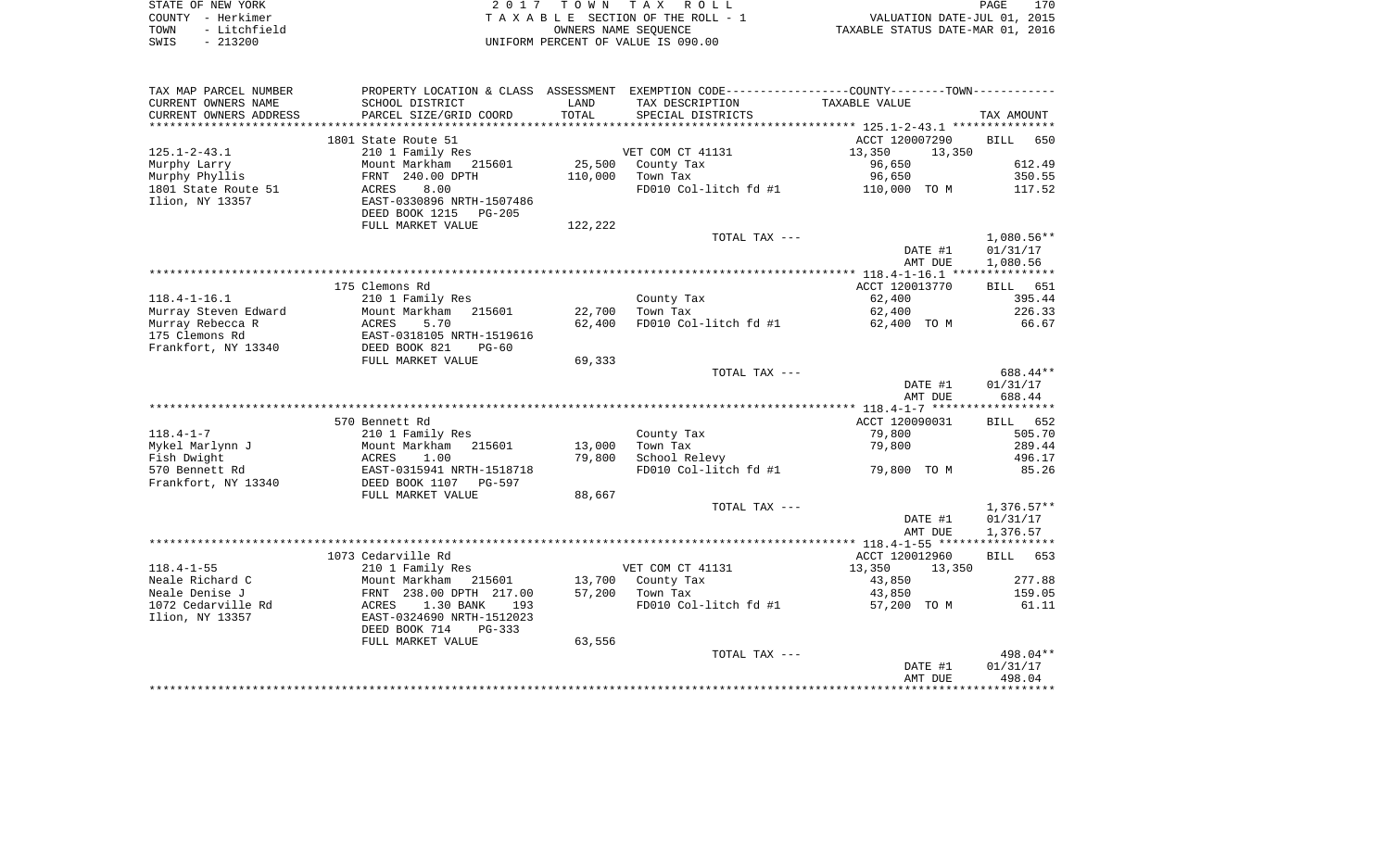| STATE OF NEW YORK    | 2017 TOWN TAX ROLL                 | 170<br>PAGE                      |
|----------------------|------------------------------------|----------------------------------|
| COUNTY - Herkimer    | TAXABLE SECTION OF THE ROLL - 1    | VALUATION DATE-JUL 01, 2015      |
| - Litchfield<br>TOWN | OWNERS NAME SEOUENCE               | TAXABLE STATUS DATE-MAR 01, 2016 |
| - 213200<br>SWIS     | UNIFORM PERCENT OF VALUE IS 090.00 |                                  |

|                                                                                                | 1073 Cedarville Rd<br>210 1 Family Res<br>Mount Markham<br>215601<br>FRNT 238.00 DPTH 217.00<br>1.30 BANK<br>ACRES<br>193<br>EAST-0324690 NRTH-1512023<br>DEED BOOK 714<br>PG-333<br>FULL MARKET VALUE | 13,700<br>57,200<br>63,556 | VET COM CT 41131<br>County Tax<br>Town Tax<br>FD010 Col-litch fd #1<br>TOTAL TAX --- | ACCT 120012960<br>13,350<br>13,350<br>43,850<br>43,850<br>57,200 TO M<br>DATE #1<br>AMT DUE      | BILL 653<br>277.88<br>159.05<br>61.11<br>498.04**<br>01/31/17<br>498.04 |
|------------------------------------------------------------------------------------------------|--------------------------------------------------------------------------------------------------------------------------------------------------------------------------------------------------------|----------------------------|--------------------------------------------------------------------------------------|--------------------------------------------------------------------------------------------------|-------------------------------------------------------------------------|
| $118.4 - 1 - 55$<br>Neale Richard C<br>Neale Denise J<br>1072 Cedarville Rd<br>Ilion, NY 13357 |                                                                                                                                                                                                        |                            |                                                                                      |                                                                                                  |                                                                         |
|                                                                                                |                                                                                                                                                                                                        |                            |                                                                                      |                                                                                                  |                                                                         |
|                                                                                                |                                                                                                                                                                                                        |                            |                                                                                      |                                                                                                  |                                                                         |
|                                                                                                |                                                                                                                                                                                                        |                            |                                                                                      |                                                                                                  |                                                                         |
|                                                                                                |                                                                                                                                                                                                        |                            |                                                                                      |                                                                                                  |                                                                         |
|                                                                                                |                                                                                                                                                                                                        |                            |                                                                                      |                                                                                                  |                                                                         |
|                                                                                                |                                                                                                                                                                                                        |                            |                                                                                      |                                                                                                  |                                                                         |
|                                                                                                |                                                                                                                                                                                                        |                            |                                                                                      |                                                                                                  |                                                                         |
|                                                                                                |                                                                                                                                                                                                        |                            |                                                                                      |                                                                                                  |                                                                         |
|                                                                                                |                                                                                                                                                                                                        |                            |                                                                                      |                                                                                                  |                                                                         |
|                                                                                                |                                                                                                                                                                                                        |                            |                                                                                      |                                                                                                  |                                                                         |
|                                                                                                |                                                                                                                                                                                                        |                            |                                                                                      | AMT DUE                                                                                          | 1,376.57                                                                |
|                                                                                                |                                                                                                                                                                                                        |                            |                                                                                      | DATE #1                                                                                          | 01/31/17                                                                |
|                                                                                                |                                                                                                                                                                                                        |                            | TOTAL TAX ---                                                                        |                                                                                                  | $1,376.57**$                                                            |
|                                                                                                | FULL MARKET VALUE                                                                                                                                                                                      | 88,667                     |                                                                                      |                                                                                                  |                                                                         |
| Frankfort, NY 13340                                                                            | DEED BOOK 1107 PG-597                                                                                                                                                                                  |                            |                                                                                      |                                                                                                  |                                                                         |
| 570 Bennett Rd                                                                                 | EAST-0315941 NRTH-1518718                                                                                                                                                                              |                            | FD010 Col-litch fd #1                                                                | 79,800 TO M                                                                                      | 85.26                                                                   |
| Fish Dwight                                                                                    | ACRES<br>1.00                                                                                                                                                                                          | 79,800                     | School Relevy                                                                        |                                                                                                  | 496.17                                                                  |
| Mykel Marlynn J                                                                                | Mount Markham<br>215601                                                                                                                                                                                | 13,000                     | Town Tax                                                                             | 79,800                                                                                           | 289.44                                                                  |
| $118.4 - 1 - 7$                                                                                | 210 1 Family Res                                                                                                                                                                                       |                            | County Tax                                                                           | 79,800                                                                                           | 505.70                                                                  |
|                                                                                                | 570 Bennett Rd                                                                                                                                                                                         |                            |                                                                                      | ACCT 120090031                                                                                   | BILL 652                                                                |
|                                                                                                |                                                                                                                                                                                                        |                            |                                                                                      |                                                                                                  |                                                                         |
|                                                                                                |                                                                                                                                                                                                        |                            |                                                                                      | AMT DUE                                                                                          | 688.44                                                                  |
|                                                                                                |                                                                                                                                                                                                        |                            |                                                                                      | DATE #1                                                                                          | 01/31/17                                                                |
|                                                                                                |                                                                                                                                                                                                        |                            | TOTAL TAX ---                                                                        |                                                                                                  | 688.44**                                                                |
|                                                                                                | FULL MARKET VALUE                                                                                                                                                                                      | 69,333                     |                                                                                      |                                                                                                  |                                                                         |
| Frankfort, NY 13340                                                                            | DEED BOOK 821<br>$PG-60$                                                                                                                                                                               |                            |                                                                                      |                                                                                                  |                                                                         |
| 175 Clemons Rd                                                                                 | EAST-0318105 NRTH-1519616                                                                                                                                                                              |                            |                                                                                      |                                                                                                  |                                                                         |
| Murray Rebecca R                                                                               | ACRES<br>5.70                                                                                                                                                                                          | 62,400                     | FD010 Col-litch fd #1                                                                | 62,400 TO M                                                                                      | 66.67                                                                   |
| Murray Steven Edward                                                                           | Mount Markham<br>215601                                                                                                                                                                                | 22,700                     | Town Tax                                                                             | 62,400                                                                                           | 226.33                                                                  |
| $118.4 - 1 - 16.1$                                                                             | 210 1 Family Res                                                                                                                                                                                       |                            | County Tax                                                                           | 62,400                                                                                           | 395.44                                                                  |
|                                                                                                | 175 Clemons Rd                                                                                                                                                                                         |                            |                                                                                      | ACCT 120013770                                                                                   | BILL 651                                                                |
|                                                                                                |                                                                                                                                                                                                        |                            |                                                                                      |                                                                                                  |                                                                         |
|                                                                                                |                                                                                                                                                                                                        |                            |                                                                                      | DATE #1<br>AMT DUE                                                                               | 01/31/17<br>1,080.56                                                    |
|                                                                                                |                                                                                                                                                                                                        |                            | TOTAL TAX ---                                                                        |                                                                                                  | $1,080.56**$                                                            |
|                                                                                                | FULL MARKET VALUE                                                                                                                                                                                      | 122,222                    |                                                                                      |                                                                                                  |                                                                         |
|                                                                                                | DEED BOOK 1215<br>PG-205                                                                                                                                                                               |                            |                                                                                      |                                                                                                  |                                                                         |
| Ilion, NY 13357                                                                                | EAST-0330896 NRTH-1507486                                                                                                                                                                              |                            |                                                                                      |                                                                                                  |                                                                         |
| 1801 State Route 51                                                                            | 8.00<br>ACRES                                                                                                                                                                                          |                            | FD010 Col-litch fd #1                                                                | 110,000 TO M                                                                                     | 117.52                                                                  |
| Murphy Phyllis                                                                                 | FRNT 240.00 DPTH                                                                                                                                                                                       | 110,000                    | Town Tax                                                                             | 96,650                                                                                           | 350.55                                                                  |
| Murphy Larry                                                                                   | Mount Markham<br>215601                                                                                                                                                                                | 25,500                     | County Tax                                                                           | 96,650                                                                                           | 612.49                                                                  |
| $125.1 - 2 - 43.1$                                                                             | 210 1 Family Res                                                                                                                                                                                       |                            | VET COM CT 41131                                                                     | 13,350<br>13,350                                                                                 |                                                                         |
|                                                                                                | 1801 State Route 51                                                                                                                                                                                    |                            |                                                                                      | ACCT 120007290                                                                                   | <b>BILL</b><br>650                                                      |
|                                                                                                |                                                                                                                                                                                                        |                            |                                                                                      |                                                                                                  |                                                                         |
|                                                                                                | PARCEL SIZE/GRID COORD                                                                                                                                                                                 | TOTAL                      | SPECIAL DISTRICTS                                                                    |                                                                                                  | TAX AMOUNT                                                              |
|                                                                                                |                                                                                                                                                                                                        |                            |                                                                                      | TAXABLE VALUE                                                                                    |                                                                         |
| CURRENT OWNERS NAME<br>CURRENT OWNERS ADDRESS                                                  | SCHOOL DISTRICT                                                                                                                                                                                        | LAND                       | TAX DESCRIPTION                                                                      | PROPERTY LOCATION & CLASS ASSESSMENT EXEMPTION CODE----------------COUNTY--------TOWN----------- |                                                                         |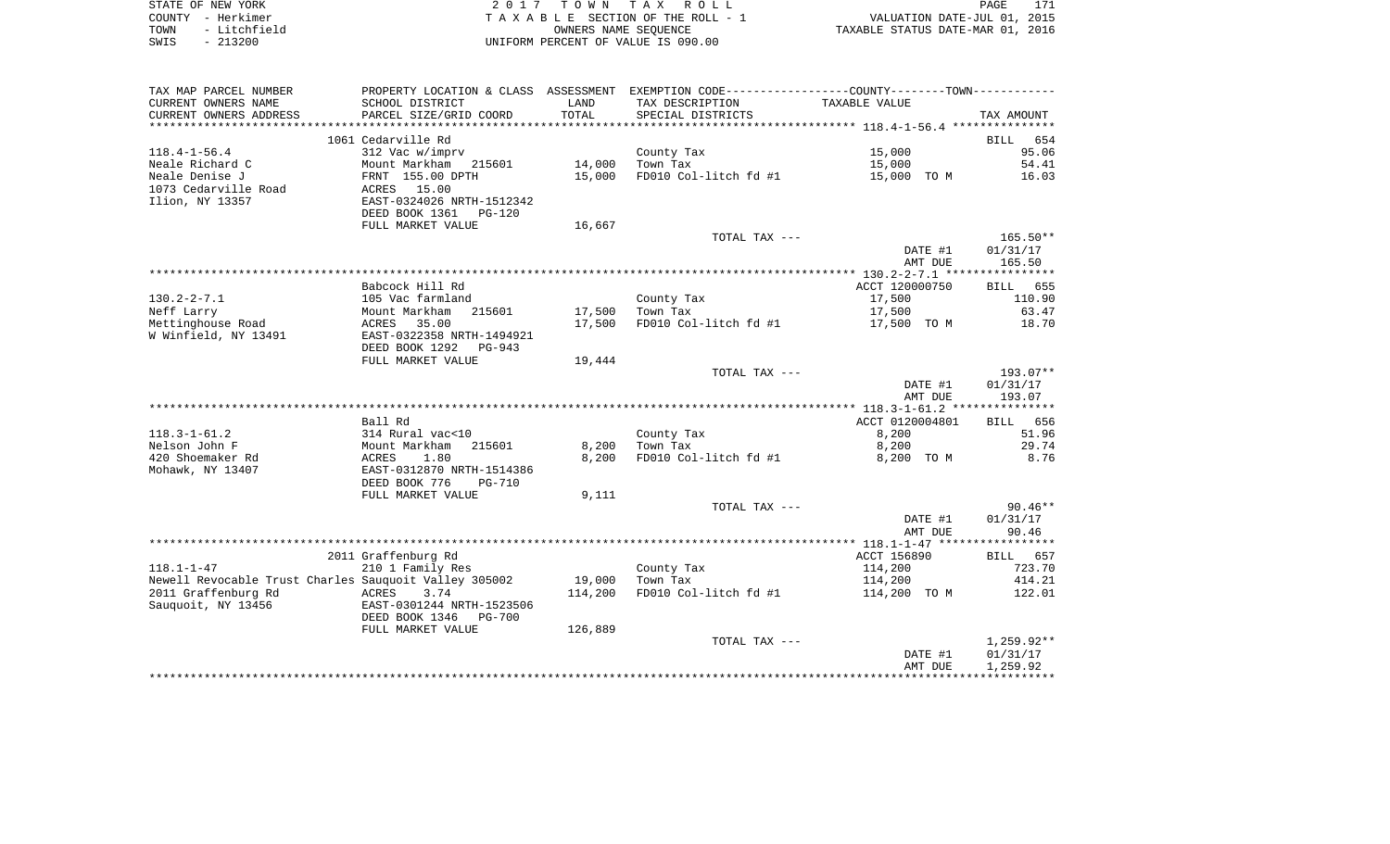|      | STATE OF NEW YORK | 2017 TOWN TAX ROLL                 | 171<br>PAGE                      |
|------|-------------------|------------------------------------|----------------------------------|
|      | COUNTY - Herkimer | TAXABLE SECTION OF THE ROLL - 1    | VALUATION DATE-JUL 01, 2015      |
| TOWN | - Litchfield      | OWNERS NAME SEOUENCE               | TAXABLE STATUS DATE-MAR 01, 2016 |
| SWIS | $-213200$         | UNIFORM PERCENT OF VALUE IS 090.00 |                                  |

| TAX MAP PARCEL NUMBER                                 | PROPERTY LOCATION & CLASS ASSESSMENT |         | EXEMPTION CODE-----------------COUNTY--------TOWN----------- |                 |                    |
|-------------------------------------------------------|--------------------------------------|---------|--------------------------------------------------------------|-----------------|--------------------|
| CURRENT OWNERS NAME                                   | SCHOOL DISTRICT                      | LAND    | TAX DESCRIPTION                                              | TAXABLE VALUE   |                    |
| CURRENT OWNERS ADDRESS                                | PARCEL SIZE/GRID COORD               | TOTAL   | SPECIAL DISTRICTS                                            |                 | TAX AMOUNT         |
| *******************                                   | ****************************         |         |                                                              |                 |                    |
|                                                       | 1061 Cedarville Rd                   |         |                                                              |                 | 654<br><b>BILL</b> |
| $118.4 - 1 - 56.4$                                    | 312 Vac w/imprv                      |         | County Tax                                                   | 15,000          | 95.06              |
| Neale Richard C                                       | Mount Markham 215601                 | 14,000  | Town Tax                                                     | 15,000          | 54.41              |
| Neale Denise J                                        | FRNT 155.00 DPTH                     | 15,000  | FD010 Col-litch fd #1                                        | 15,000 TO M     | 16.03              |
| 1073 Cedarville Road                                  | ACRES 15.00                          |         |                                                              |                 |                    |
| Ilion, NY 13357                                       | EAST-0324026 NRTH-1512342            |         |                                                              |                 |                    |
|                                                       | DEED BOOK 1361 PG-120                |         |                                                              |                 |                    |
|                                                       | FULL MARKET VALUE                    | 16,667  |                                                              |                 |                    |
|                                                       |                                      |         | TOTAL TAX ---                                                |                 | $165.50**$         |
|                                                       |                                      |         |                                                              | DATE #1         | 01/31/17           |
|                                                       |                                      |         |                                                              | AMT DUE         | 165.50             |
|                                                       |                                      |         |                                                              |                 |                    |
|                                                       | Babcock Hill Rd                      |         |                                                              | ACCT 120000750  | BILL 655           |
| $130.2 - 2 - 7.1$                                     | 105 Vac farmland                     |         | County Tax                                                   | 17,500          | 110.90             |
| Neff Larry                                            | Mount Markham<br>215601              | 17,500  | Town Tax                                                     | 17,500          | 63.47              |
| Mettinghouse Road                                     | 35.00<br>ACRES                       | 17,500  | FD010 Col-litch fd #1                                        | 17,500 TO M     | 18.70              |
| W Winfield, NY 13491                                  | EAST-0322358 NRTH-1494921            |         |                                                              |                 |                    |
|                                                       | DEED BOOK 1292<br>PG-943             |         |                                                              |                 |                    |
|                                                       | FULL MARKET VALUE                    | 19,444  |                                                              |                 |                    |
|                                                       |                                      |         | TOTAL TAX ---                                                |                 | 193.07**           |
|                                                       |                                      |         |                                                              | DATE #1         | 01/31/17           |
|                                                       |                                      |         |                                                              | AMT DUE         | 193.07             |
|                                                       |                                      |         |                                                              |                 |                    |
|                                                       | Ball Rd                              |         |                                                              | ACCT 0120004801 | BILL 656           |
| $118.3 - 1 - 61.2$                                    | 314 Rural vac<10                     |         | County Tax                                                   | 8,200           | 51.96              |
| Nelson John F                                         | Mount Markham<br>215601              | 8,200   | Town Tax                                                     | 8,200           | 29.74              |
| 420 Shoemaker Rd                                      | 1.80<br>ACRES                        | 8,200   | $FD010$ Col-litch fd #1                                      | 8,200 TO M      | 8.76               |
| Mohawk, NY 13407                                      | EAST-0312870 NRTH-1514386            |         |                                                              |                 |                    |
|                                                       | DEED BOOK 776<br><b>PG-710</b>       |         |                                                              |                 |                    |
|                                                       | FULL MARKET VALUE                    | 9,111   |                                                              |                 |                    |
|                                                       |                                      |         | TOTAL TAX ---                                                |                 | $90.46**$          |
|                                                       |                                      |         |                                                              | DATE #1         | 01/31/17           |
|                                                       |                                      |         |                                                              | AMT DUE         | 90.46              |
|                                                       |                                      |         |                                                              |                 |                    |
|                                                       | 2011 Graffenburg Rd                  |         |                                                              | ACCT 156890     | 657<br>BILL        |
| $118.1 - 1 - 47$                                      | 210 1 Family Res                     |         | County Tax                                                   | 114,200         | 723.70             |
| Newell Revocable Trust Charles Sauguoit Valley 305002 |                                      | 19,000  | Town Tax                                                     | 114,200         | 414.21             |
| 2011 Graffenburg Rd                                   | ACRES<br>3.74                        | 114,200 | FD010 Col-litch fd #1                                        | 114,200 TO M    | 122.01             |
| Sauquoit, NY 13456                                    | EAST-0301244 NRTH-1523506            |         |                                                              |                 |                    |
|                                                       | DEED BOOK 1346<br><b>PG-700</b>      |         |                                                              |                 |                    |
|                                                       | FULL MARKET VALUE                    | 126,889 |                                                              |                 |                    |
|                                                       |                                      |         | TOTAL TAX ---                                                |                 | $1,259.92**$       |
|                                                       |                                      |         |                                                              | DATE #1         | 01/31/17           |
|                                                       |                                      |         |                                                              | AMT DUE         | 1,259.92           |
|                                                       |                                      |         |                                                              |                 |                    |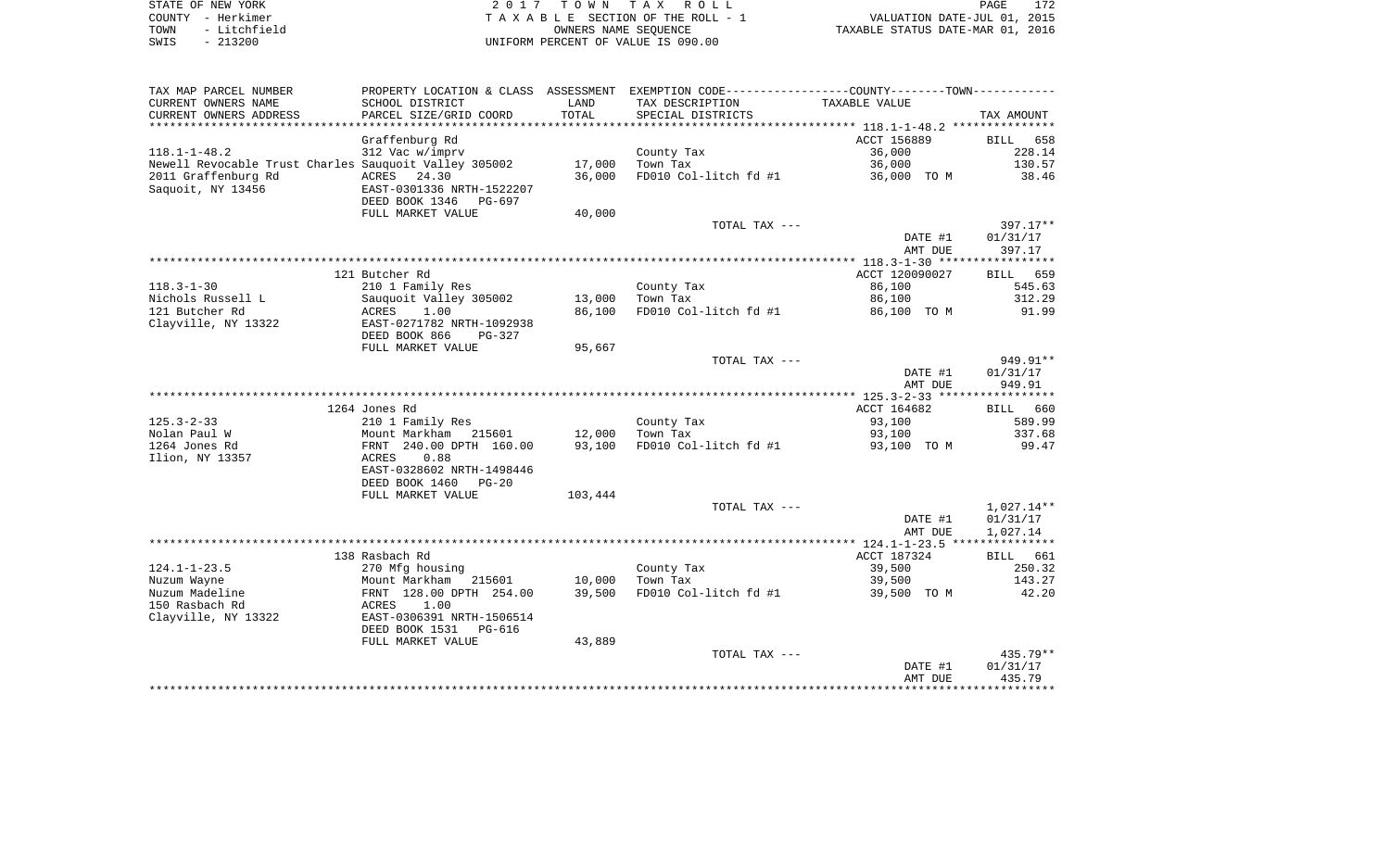| STATE OF NEW YORK    | 2017 TOWN TAX ROLL                 | 172<br>PAGE                      |
|----------------------|------------------------------------|----------------------------------|
| COUNTY - Herkimer    | TAXABLE SECTION OF THE ROLL - 1    | VALUATION DATE-JUL 01, 2015      |
| - Litchfield<br>TOWN | OWNERS NAME SEOUENCE               | TAXABLE STATUS DATE-MAR 01, 2016 |
| $-213200$<br>SWIS    | UNIFORM PERCENT OF VALUE IS 090.00 |                                  |

| TAX MAP PARCEL NUMBER                                 |                                         |         | PROPERTY LOCATION & CLASS ASSESSMENT EXEMPTION CODE---------------COUNTY-------TOWN---------- |                       |                    |
|-------------------------------------------------------|-----------------------------------------|---------|-----------------------------------------------------------------------------------------------|-----------------------|--------------------|
| CURRENT OWNERS NAME                                   | SCHOOL DISTRICT                         | LAND    | TAX DESCRIPTION                                                                               | TAXABLE VALUE         |                    |
| CURRENT OWNERS ADDRESS                                | PARCEL SIZE/GRID COORD                  | TOTAL   | SPECIAL DISTRICTS                                                                             |                       | TAX AMOUNT         |
|                                                       |                                         |         |                                                                                               |                       |                    |
|                                                       | Graffenburg Rd                          |         |                                                                                               | ACCT 156889           | BILL 658           |
| $118.1 - 1 - 48.2$                                    | 312 Vac w/imprv                         |         | County Tax                                                                                    | 36,000                | 228.14             |
| Newell Revocable Trust Charles Sauquoit Valley 305002 |                                         | 17,000  | Town Tax                                                                                      | 36,000                | 130.57             |
| 2011 Graffenburg Rd                                   | ACRES 24.30                             | 36,000  | FD010 Col-litch fd #1                                                                         | 36,000 TO M           | 38.46              |
| Saquoit, NY 13456                                     | EAST-0301336 NRTH-1522207               |         |                                                                                               |                       |                    |
|                                                       | DEED BOOK 1346 PG-697                   |         |                                                                                               |                       |                    |
|                                                       | FULL MARKET VALUE                       | 40,000  | TOTAL TAX ---                                                                                 |                       | 397.17**           |
|                                                       |                                         |         |                                                                                               | DATE #1               | 01/31/17           |
|                                                       |                                         |         |                                                                                               | AMT DUE               | 397.17             |
|                                                       |                                         |         |                                                                                               |                       |                    |
|                                                       | 121 Butcher Rd                          |         |                                                                                               | ACCT 120090027        | BILL 659           |
| 118.3-1-30                                            | 210 1 Family Res                        |         | County Tax                                                                                    | 86,100                | 545.63             |
| Nichols Russell L                                     | Sauquoit Valley 305002                  | 13,000  | Town Tax                                                                                      | 86,100                | 312.29             |
| 121 Butcher Rd                                        | ACRES<br>1.00                           | 86,100  | FD010 Col-litch fd #1                                                                         | 86,100 TO M           | 91.99              |
| Clayville, NY 13322                                   | EAST-0271782 NRTH-1092938               |         |                                                                                               |                       |                    |
|                                                       | DEED BOOK 866<br>PG-327                 |         |                                                                                               |                       |                    |
|                                                       | FULL MARKET VALUE                       | 95,667  |                                                                                               |                       |                    |
|                                                       |                                         |         | TOTAL TAX ---                                                                                 |                       | 949.91**           |
|                                                       |                                         |         |                                                                                               | DATE #1               | 01/31/17           |
|                                                       |                                         |         |                                                                                               | AMT DUE               | 949.91             |
|                                                       | 1264 Jones Rd                           |         |                                                                                               | ACCT 164682           | BILL 660           |
| $125.3 - 2 - 33$                                      | 210 1 Family Res                        |         |                                                                                               | 93,100                | 589.99             |
| Nolan Paul W                                          | Mount Markham 215601                    | 12,000  | County Tax                                                                                    | 93,100                | 337.68             |
| 1264 Jones Rd                                         |                                         | 93,100  | FD010 Col-litch fd #1                                                                         | 93,100 TO M           | 99.47              |
| Ilion, NY 13357                                       | FRNT 240.00 DPTH 160.00<br>ACRES 0.88   |         |                                                                                               |                       |                    |
|                                                       | EAST-0328602 NRTH-1498446               |         |                                                                                               |                       |                    |
|                                                       | DEED BOOK 1460 PG-20                    |         |                                                                                               |                       |                    |
|                                                       | FULL MARKET VALUE                       | 103,444 |                                                                                               |                       |                    |
|                                                       |                                         |         | TOTAL TAX ---                                                                                 |                       | 1,027.14**         |
|                                                       |                                         |         |                                                                                               | DATE #1               | 01/31/17           |
|                                                       |                                         |         |                                                                                               | AMT DUE               | 1,027.14           |
|                                                       |                                         |         |                                                                                               |                       |                    |
| $124.1 - 1 - 23.5$                                    | 138 Rasbach Rd                          |         |                                                                                               | ACCT 187324<br>39,500 | BILL 661<br>250.32 |
| Nuzum Wayne                                           | 270 Mfg housing<br>Mount Markham 215601 | 10,000  | County Tax<br>Town Tax                                                                        | 39,500                | 143.27             |
| Nuzum Madeline                                        | FRNT 128.00 DPTH 254.00                 | 39,500  | FD010 Col-litch fd #1                                                                         | 39,500 TO M           | 42.20              |
| 150 Rasbach Rd                                        | ACRES<br>1.00                           |         |                                                                                               |                       |                    |
| Clayville, NY 13322                                   | EAST-0306391 NRTH-1506514               |         |                                                                                               |                       |                    |
|                                                       | DEED BOOK 1531<br>PG-616                |         |                                                                                               |                       |                    |
|                                                       | FULL MARKET VALUE                       | 43,889  |                                                                                               |                       |                    |
|                                                       |                                         |         | TOTAL TAX ---                                                                                 |                       | 435.79**           |
|                                                       |                                         |         |                                                                                               | DATE #1               | 01/31/17           |
|                                                       |                                         |         |                                                                                               | AMT DUE               | 435.79             |
|                                                       |                                         |         |                                                                                               |                       |                    |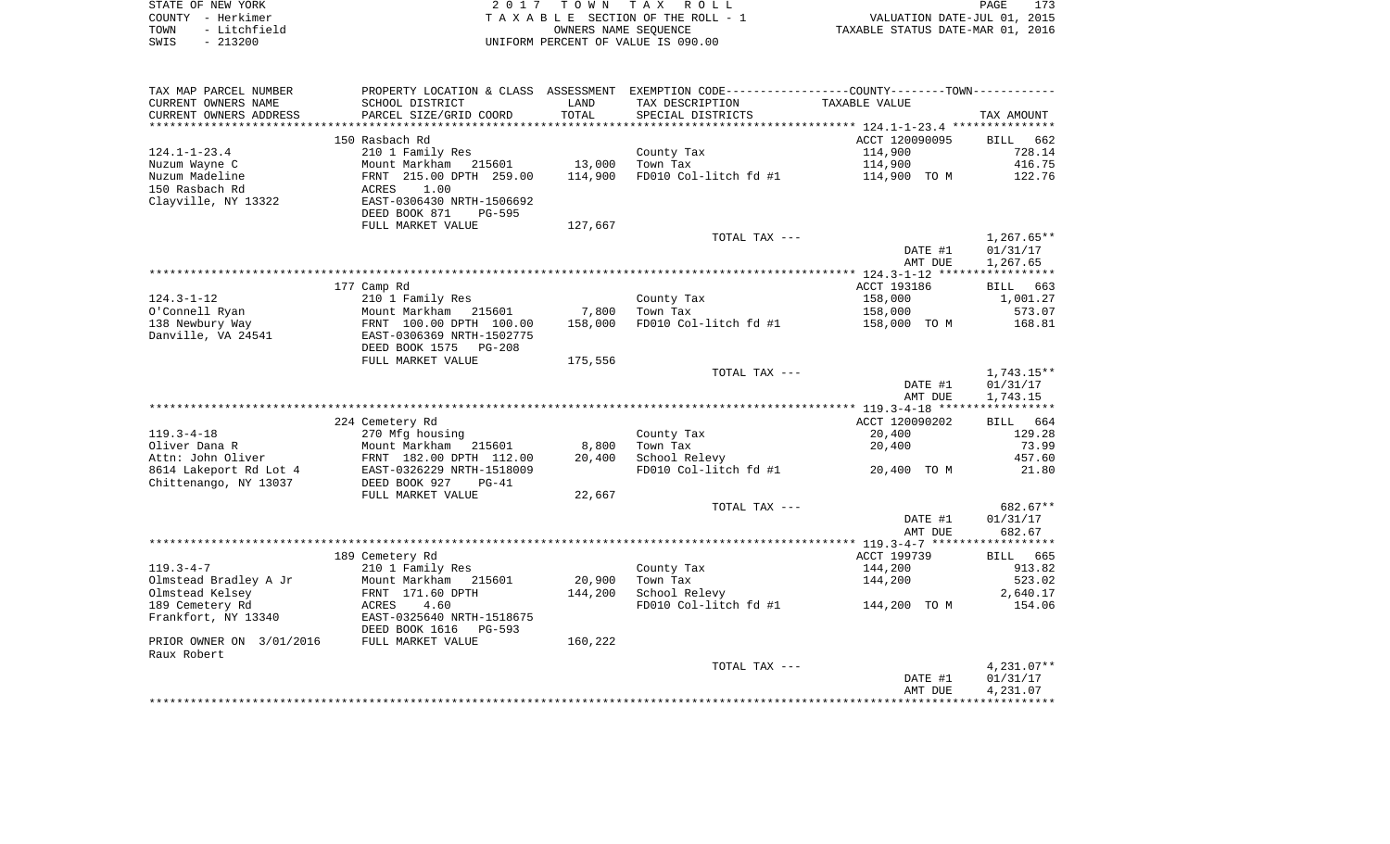| STATE OF NEW YORK    | 2017 TOWN TAX ROLL                 | 173<br>PAGE                      |
|----------------------|------------------------------------|----------------------------------|
| COUNTY - Herkimer    | TAXABLE SECTION OF THE ROLL - 1    | VALUATION DATE-JUL 01, 2015      |
| - Litchfield<br>TOWN | OWNERS NAME SEOUENCE               | TAXABLE STATUS DATE-MAR 01, 2016 |
| - 213200<br>SWIS     | UNIFORM PERCENT OF VALUE IS 090.00 |                                  |

| TAX MAP PARCEL NUMBER                   |                                                              |                     | PROPERTY LOCATION & CLASS ASSESSMENT EXEMPTION CODE---------------COUNTY--------TOWN---------- |                    |                      |
|-----------------------------------------|--------------------------------------------------------------|---------------------|------------------------------------------------------------------------------------------------|--------------------|----------------------|
| CURRENT OWNERS NAME                     | SCHOOL DISTRICT                                              | LAND                | TAX DESCRIPTION                                                                                | TAXABLE VALUE      |                      |
| CURRENT OWNERS ADDRESS                  | PARCEL SIZE/GRID COORD                                       | TOTAL               | SPECIAL DISTRICTS                                                                              |                    | TAX AMOUNT           |
|                                         |                                                              | * * * * * * * * * * | ************************************** 124.1-1-23.4 ***************                            |                    |                      |
|                                         | 150 Rasbach Rd                                               |                     |                                                                                                | ACCT 120090095     | BILL 662             |
| $124.1 - 1 - 23.4$                      | 210 1 Family Res                                             |                     | County Tax                                                                                     | 114,900            | 728.14               |
| Nuzum Wayne C                           | Mount Markham<br>215601                                      | 13,000              | Town Tax                                                                                       | 114,900            | 416.75               |
| Nuzum Madeline                          | FRNT 215.00 DPTH 259.00                                      | 114,900             | FD010 Col-litch fd #1                                                                          | 114,900 TO M       | 122.76               |
| 150 Rasbach Rd                          | 1.00<br>ACRES                                                |                     |                                                                                                |                    |                      |
| Clayville, NY 13322                     | EAST-0306430 NRTH-1506692                                    |                     |                                                                                                |                    |                      |
|                                         | DEED BOOK 871<br><b>PG-595</b>                               |                     |                                                                                                |                    |                      |
|                                         | FULL MARKET VALUE                                            | 127,667             |                                                                                                |                    |                      |
|                                         |                                                              |                     | TOTAL TAX ---                                                                                  |                    | $1,267.65**$         |
|                                         |                                                              |                     |                                                                                                | DATE #1            | 01/31/17             |
|                                         |                                                              |                     |                                                                                                | AMT DUE            | 1,267.65             |
|                                         |                                                              |                     |                                                                                                |                    |                      |
|                                         | 177 Camp Rd                                                  |                     |                                                                                                | ACCT 193186        | BILL 663             |
| $124.3 - 1 - 12$                        | 210 1 Family Res                                             |                     | County Tax                                                                                     | 158,000            | 1,001.27             |
| O'Connell Ryan                          | Mount Markham<br>215601                                      | 7,800               | Town Tax                                                                                       | 158,000            | 573.07               |
| 138 Newbury Way                         | FRNT 100.00 DPTH 100.00                                      | 158,000             | FD010 Col-litch fd #1                                                                          | 158,000 TO M       | 168.81               |
| Danville, VA 24541                      | EAST-0306369 NRTH-1502775                                    |                     |                                                                                                |                    |                      |
|                                         | DEED BOOK 1575<br>$PG-208$                                   |                     |                                                                                                |                    |                      |
|                                         | FULL MARKET VALUE                                            | 175,556             |                                                                                                |                    |                      |
|                                         |                                                              |                     | TOTAL TAX ---                                                                                  |                    | $1,743.15**$         |
|                                         |                                                              |                     |                                                                                                | DATE #1<br>AMT DUE | 01/31/17<br>1,743.15 |
|                                         |                                                              |                     |                                                                                                |                    |                      |
|                                         | 224 Cemetery Rd                                              |                     |                                                                                                | ACCT 120090202     | BILL 664             |
| $119.3 - 4 - 18$                        | 270 Mfg housing                                              |                     | County Tax                                                                                     | 20,400             | 129.28               |
| Oliver Dana R                           | Mount Markham<br>215601                                      | 8,800               | Town Tax                                                                                       | 20,400             | 73.99                |
| Attn: John Oliver                       | FRNT 182.00 DPTH 112.00                                      | 20,400              | School Relevy                                                                                  |                    | 457.60               |
| 8614 Lakeport Rd Lot 4                  | EAST-0326229 NRTH-1518009                                    |                     | FD010 Col-litch fd #1                                                                          | 20,400 TO M        | 21.80                |
| Chittenango, NY 13037                   | DEED BOOK 927<br>$PG-41$                                     |                     |                                                                                                |                    |                      |
|                                         | FULL MARKET VALUE                                            | 22,667              |                                                                                                |                    |                      |
|                                         |                                                              |                     | TOTAL TAX ---                                                                                  |                    | 682.67**             |
|                                         |                                                              |                     |                                                                                                | DATE #1            | 01/31/17             |
|                                         |                                                              |                     |                                                                                                | AMT DUE            | 682.67               |
|                                         |                                                              |                     |                                                                                                |                    |                      |
|                                         | 189 Cemetery Rd                                              |                     |                                                                                                | ACCT 199739        | BILL 665             |
| $119.3 - 4 - 7$                         | 210 1 Family Res                                             |                     | County Tax                                                                                     | 144,200            | 913.82               |
| Olmstead Bradley A Jr                   | Mount Markham<br>215601                                      | 20,900              | Town Tax                                                                                       | 144,200            | 523.02               |
| Olmstead Kelsey                         | FRNT 171.60 DPTH                                             | 144,200             | School Relevy                                                                                  |                    | 2,640.17             |
| 189 Cemetery Rd                         | 4.60<br>ACRES                                                |                     | FD010 Col-litch fd #1                                                                          | 144,200 TO M       | 154.06               |
| Frankfort, NY 13340                     | EAST-0325640 NRTH-1518675<br>DEED BOOK 1616<br><b>PG-593</b> |                     |                                                                                                |                    |                      |
| PRIOR OWNER ON 3/01/2016<br>Raux Robert | FULL MARKET VALUE                                            | 160,222             |                                                                                                |                    |                      |
|                                         |                                                              |                     | TOTAL TAX ---                                                                                  |                    | $4,231.07**$         |
|                                         |                                                              |                     |                                                                                                | DATE #1            | 01/31/17             |
|                                         |                                                              |                     |                                                                                                | AMT DUE            | 4,231.07             |
|                                         |                                                              |                     |                                                                                                |                    |                      |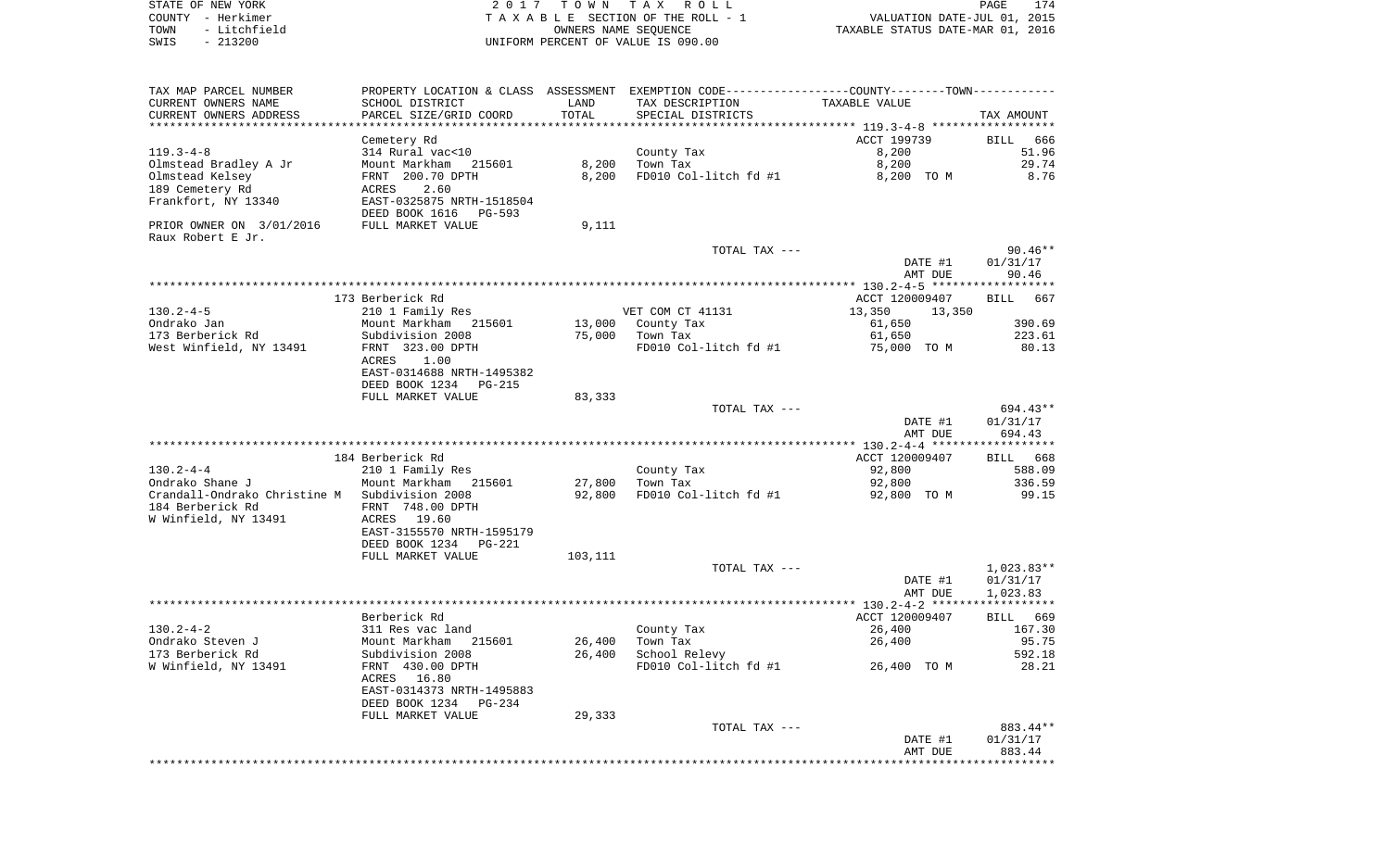| STATE OF NEW YORK |          |              |
|-------------------|----------|--------------|
| COUNTY - Herkimer |          |              |
| TOWN              |          | - Litchfield |
| SWTS              | - 213200 |              |

STATE OF NEW YORK 2 0 1 7 T O W N T A X R O L L PAGE 174TA X A B L E SECTION OF THE ROLL - 1 TOWN - Litchfield OWNERS NAME SEQUENCE TAXABLE STATUS DATE-MAR 01, 2016 SWIS - 213200 UNIFORM PERCENT OF VALUE IS 090.00

| TAX MAP PARCEL NUMBER                         | PROPERTY LOCATION & CLASS ASSESSMENT |         | EXEMPTION CODE-----------------COUNTY--------TOWN----------- |                             |              |
|-----------------------------------------------|--------------------------------------|---------|--------------------------------------------------------------|-----------------------------|--------------|
| CURRENT OWNERS NAME                           | SCHOOL DISTRICT                      | LAND    | TAX DESCRIPTION                                              | TAXABLE VALUE               |              |
| CURRENT OWNERS ADDRESS                        | PARCEL SIZE/GRID COORD               | TOTAL   | SPECIAL DISTRICTS                                            |                             | TAX AMOUNT   |
|                                               |                                      |         |                                                              |                             |              |
|                                               | Cemetery Rd                          |         |                                                              | ACCT 199739                 | BILL<br>666  |
| $119.3 - 4 - 8$                               | 314 Rural vac<10                     |         | County Tax                                                   | 8,200                       | 51.96        |
| Olmstead Bradley A Jr                         | Mount Markham<br>215601              | 8,200   | Town Tax                                                     | 8,200                       | 29.74        |
| Olmstead Kelsey                               | FRNT 200.70 DPTH                     | 8,200   | FD010 Col-litch fd #1                                        | 8,200 TO M                  | 8.76         |
| 189 Cemetery Rd                               | <b>ACRES</b><br>2.60                 |         |                                                              |                             |              |
| Frankfort, NY 13340                           | EAST-0325875 NRTH-1518504            |         |                                                              |                             |              |
|                                               | DEED BOOK 1616<br>PG-593             |         |                                                              |                             |              |
| PRIOR OWNER ON 3/01/2016                      | FULL MARKET VALUE                    | 9,111   |                                                              |                             |              |
| Raux Robert E Jr.                             |                                      |         |                                                              |                             |              |
|                                               |                                      |         | TOTAL TAX ---                                                |                             | $90.46**$    |
|                                               |                                      |         |                                                              | DATE #1                     | 01/31/17     |
|                                               |                                      |         |                                                              | AMT DUE                     | 90.46        |
|                                               |                                      |         |                                                              |                             |              |
|                                               | 173 Berberick Rd                     |         |                                                              | ACCT 120009407              | BILL<br>667  |
| $130.2 - 4 - 5$                               | 210 1 Family Res                     |         | VET COM CT 41131                                             | 13,350<br>13,350            |              |
| Ondrako Jan                                   | Mount Markham 215601                 | 13,000  | County Tax                                                   | 61,650                      | 390.69       |
| 173 Berberick Rd                              | Subdivision 2008                     | 75,000  | Town Tax                                                     | 61,650                      | 223.61       |
| West Winfield, NY 13491                       | FRNT 323.00 DPTH                     |         | FD010 Col-litch fd #1                                        | 75,000 TO M                 | 80.13        |
|                                               | ACRES<br>1.00                        |         |                                                              |                             |              |
|                                               | EAST-0314688 NRTH-1495382            |         |                                                              |                             |              |
|                                               | DEED BOOK 1234 PG-215                |         |                                                              |                             |              |
|                                               | FULL MARKET VALUE                    | 83,333  |                                                              |                             |              |
|                                               |                                      |         | TOTAL TAX ---                                                |                             | $694.43**$   |
|                                               |                                      |         |                                                              | DATE #1                     | 01/31/17     |
|                                               |                                      |         |                                                              | AMT DUE                     | 694.43       |
|                                               |                                      |         |                                                              |                             |              |
|                                               | 184 Berberick Rd                     |         |                                                              | ACCT 120009407              | BILL 668     |
| $130.2 - 4 - 4$                               | 210 1 Family Res                     |         | County Tax                                                   | 92,800                      | 588.09       |
| Ondrako Shane J                               | Mount Markham 215601                 | 27,800  | Town Tax                                                     | 92,800                      | 336.59       |
| Crandall-Ondrako Christine M Subdivision 2008 |                                      | 92,800  | FD010 Col-litch fd #1                                        | 92,800 TO M                 | 99.15        |
| 184 Berberick Rd                              | FRNT 748.00 DPTH                     |         |                                                              |                             |              |
| W Winfield, NY 13491                          | ACRES 19.60                          |         |                                                              |                             |              |
|                                               | EAST-3155570 NRTH-1595179            |         |                                                              |                             |              |
|                                               | DEED BOOK 1234<br>PG-221             |         |                                                              |                             |              |
|                                               | FULL MARKET VALUE                    | 103,111 |                                                              |                             |              |
|                                               |                                      |         | TOTAL TAX ---                                                |                             | $1,023.83**$ |
|                                               |                                      |         |                                                              | DATE #1                     | 01/31/17     |
|                                               |                                      |         |                                                              | AMT DUE                     | 1,023.83     |
|                                               |                                      |         |                                                              | ********* 130.2-4-2 ******* | ***********  |
|                                               | Berberick Rd                         |         |                                                              | ACCT 120009407              | BILL 669     |
| $130.2 - 4 - 2$                               | 311 Res vac land                     |         | County Tax                                                   | 26,400                      | 167.30       |
| Ondrako Steven J                              | Mount Markham<br>215601              | 26,400  | Town Tax                                                     | 26,400                      | 95.75        |
| 173 Berberick Rd                              | Subdivision 2008                     | 26,400  | School Relevy                                                |                             | 592.18       |
| W Winfield, NY 13491                          | FRNT 430.00 DPTH                     |         | FD010 Col-litch fd #1                                        | 26,400 TO M                 | 28.21        |
|                                               | ACRES 16.80                          |         |                                                              |                             |              |
|                                               | EAST-0314373 NRTH-1495883            |         |                                                              |                             |              |
|                                               | DEED BOOK 1234<br>PG-234             |         |                                                              |                             |              |
|                                               | FULL MARKET VALUE                    | 29,333  |                                                              |                             |              |
|                                               |                                      |         | TOTAL TAX ---                                                |                             | 883.44**     |
|                                               |                                      |         |                                                              | DATE #1                     | 01/31/17     |
|                                               |                                      |         |                                                              | AMT DUE                     | 883.44       |
|                                               |                                      |         |                                                              |                             |              |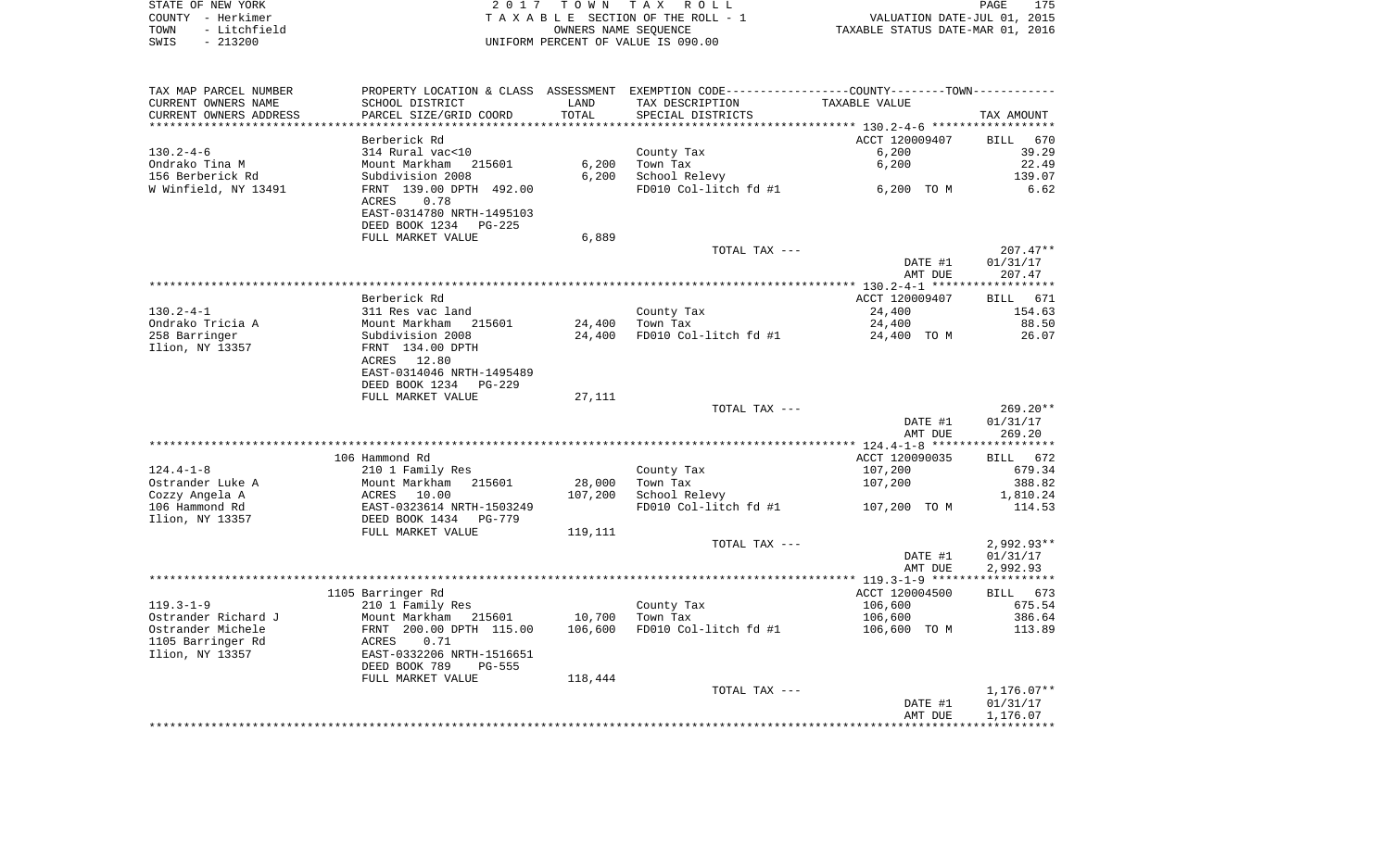| STATE OF NEW YORK    | 2017 TOWN TAX ROLL                 | 175<br>PAGE                      |
|----------------------|------------------------------------|----------------------------------|
| COUNTY - Herkimer    | TAXABLE SECTION OF THE ROLL - 1    | VALUATION DATE-JUL 01, 2015      |
| - Litchfield<br>TOWN | OWNERS NAME SEOUENCE               | TAXABLE STATUS DATE-MAR 01, 2016 |
| SWIS<br>$-213200$    | UNIFORM PERCENT OF VALUE IS 090.00 |                                  |

| TAX MAP PARCEL NUMBER<br>CURRENT OWNERS NAME                                                                                                                                                |                                            |         | PROPERTY LOCATION & CLASS ASSESSMENT EXEMPTION CODE----------------COUNTY--------TOWN---------- |                    |                        |
|---------------------------------------------------------------------------------------------------------------------------------------------------------------------------------------------|--------------------------------------------|---------|-------------------------------------------------------------------------------------------------|--------------------|------------------------|
|                                                                                                                                                                                             | SCHOOL DISTRICT                            | LAND    | TAX DESCRIPTION                                                                                 | TAXABLE VALUE      |                        |
| CURRENT OWNERS ADDRESS                                                                                                                                                                      | PARCEL SIZE/GRID COORD                     | TOTAL   | SPECIAL DISTRICTS                                                                               |                    | TAX AMOUNT             |
| **********************                                                                                                                                                                      |                                            |         |                                                                                                 |                    |                        |
|                                                                                                                                                                                             | Berberick Rd                               |         |                                                                                                 | ACCT 120009407     | BILL 670               |
| 130.2-4-6                                                                                                                                                                                   | 314 Rural vac<10                           |         | County Tax                                                                                      | 6,200              | 39.29                  |
| Ondrako Tina M                                                                                                                                                                              | Mount Markham<br>215601                    | 6,200   | Town Tax                                                                                        | 6,200              | 22.49                  |
| 156 Berberick Rd                                                                                                                                                                            | Subdivision 2008                           | 6,200   | School Relevy                                                                                   |                    | 139.07                 |
| W Winfield, NY 13491                                                                                                                                                                        | FRNT 139.00 DPTH 492.00                    |         | FD010 Col-litch fd #1                                                                           | 6,200 TO M         | 6.62                   |
|                                                                                                                                                                                             | 0.78<br>ACRES                              |         |                                                                                                 |                    |                        |
|                                                                                                                                                                                             | EAST-0314780 NRTH-1495103                  |         |                                                                                                 |                    |                        |
|                                                                                                                                                                                             | DEED BOOK 1234 PG-225                      |         |                                                                                                 |                    |                        |
|                                                                                                                                                                                             | FULL MARKET VALUE                          | 6,889   |                                                                                                 |                    |                        |
|                                                                                                                                                                                             |                                            |         | TOTAL TAX ---                                                                                   |                    | $207.47**$             |
|                                                                                                                                                                                             |                                            |         |                                                                                                 | DATE #1<br>AMT DUE | 01/31/17<br>207.47     |
|                                                                                                                                                                                             |                                            |         |                                                                                                 |                    |                        |
|                                                                                                                                                                                             | Berberick Rd                               |         |                                                                                                 | ACCT 120009407     | BILL 671               |
| $130.2 - 4 - 1$                                                                                                                                                                             | 311 Res vac land                           |         | County Tax                                                                                      | 24,400             | 154.63                 |
| Ondrako Tricia A                                                                                                                                                                            | Mount Markham 215601                       |         | 24,400 Town Tax                                                                                 | 24,400             | 88.50                  |
| 258 Barringer                                                                                                                                                                               | Subdivision 2008                           | 24,400  | FD010 Col-litch fd #1                                                                           | 24,400 TO M        | 26.07                  |
| Ilion, NY 13357                                                                                                                                                                             | FRNT 134.00 DPTH                           |         |                                                                                                 |                    |                        |
|                                                                                                                                                                                             | ACRES 12.80                                |         |                                                                                                 |                    |                        |
|                                                                                                                                                                                             | EAST-0314046 NRTH-1495489                  |         |                                                                                                 |                    |                        |
|                                                                                                                                                                                             | DEED BOOK 1234 PG-229                      |         |                                                                                                 |                    |                        |
|                                                                                                                                                                                             | FULL MARKET VALUE                          | 27,111  |                                                                                                 |                    |                        |
|                                                                                                                                                                                             |                                            |         | TOTAL TAX ---                                                                                   |                    | $269.20**$             |
|                                                                                                                                                                                             |                                            |         |                                                                                                 | DATE #1            | 01/31/17               |
|                                                                                                                                                                                             |                                            |         |                                                                                                 | AMT DUE            | 269.20                 |
|                                                                                                                                                                                             |                                            |         |                                                                                                 |                    |                        |
|                                                                                                                                                                                             |                                            |         |                                                                                                 |                    |                        |
|                                                                                                                                                                                             | 106 Hammond Rd                             |         |                                                                                                 | ACCT 120090035     | BILL 672               |
|                                                                                                                                                                                             | 210 1 Family Res                           |         | County Tax                                                                                      | 107,200            | 679.34                 |
|                                                                                                                                                                                             | Mount Markham 215601                       | 28,000  | Town Tax                                                                                        | 107,200            | 388.82                 |
|                                                                                                                                                                                             | ACRES 10.00                                | 107,200 | School Relevy                                                                                   |                    | 1,810.24               |
|                                                                                                                                                                                             | EAST-0323614 NRTH-1503249                  |         | FD010 Col-litch fd #1                                                                           | 107,200 TO M       | 114.53                 |
|                                                                                                                                                                                             | DEED BOOK 1434 PG-779<br>FULL MARKET VALUE | 119,111 |                                                                                                 |                    |                        |
|                                                                                                                                                                                             |                                            |         | TOTAL TAX ---                                                                                   |                    | $2,992.93**$           |
|                                                                                                                                                                                             |                                            |         |                                                                                                 | DATE #1            | 01/31/17               |
|                                                                                                                                                                                             |                                            |         |                                                                                                 | AMT DUE            | 2,992.93               |
|                                                                                                                                                                                             |                                            |         |                                                                                                 |                    |                        |
|                                                                                                                                                                                             | 1105 Barringer Rd                          |         |                                                                                                 | ACCT 120004500     | BILL 673               |
|                                                                                                                                                                                             | 210 1 Family Res                           |         | County Tax                                                                                      | 106,600            | 675.54                 |
|                                                                                                                                                                                             | Mount Markham 215601                       | 10,700  | Town Tax                                                                                        | 106,600            | 386.64                 |
|                                                                                                                                                                                             | FRNT 200.00 DPTH 115.00                    | 106,600 | FD010 Col-litch fd #1                                                                           | 106,600 TO M       | 113.89                 |
|                                                                                                                                                                                             | 0.71<br>ACRES                              |         |                                                                                                 |                    |                        |
|                                                                                                                                                                                             | EAST-0332206 NRTH-1516651                  |         |                                                                                                 |                    |                        |
|                                                                                                                                                                                             | DEED BOOK 789<br>PG-555                    |         |                                                                                                 |                    |                        |
|                                                                                                                                                                                             | FULL MARKET VALUE                          | 118,444 |                                                                                                 |                    |                        |
| $124.4 - 1 - 8$<br>Ostrander Luke A<br>Cozzy Angela A<br>106 Hammond Rd<br>Ilion, NY 13357<br>119.3-1-9<br>Ostrander Richard J<br>Ostrander Michele<br>1105 Barringer Rd<br>Ilion, NY 13357 |                                            |         | TOTAL TAX ---                                                                                   | DATE #1            | 1,176.07**<br>01/31/17 |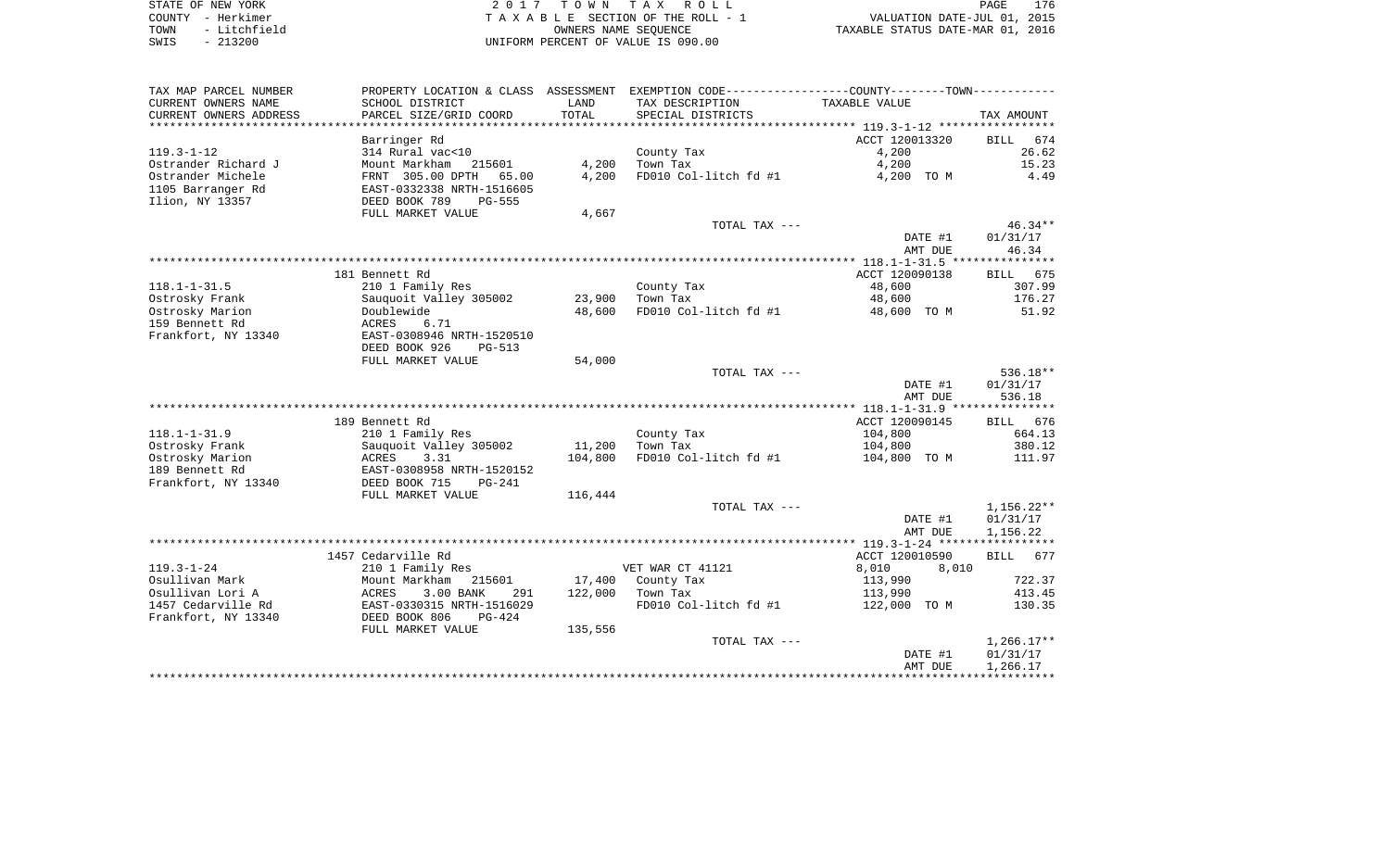|      | STATE OF NEW YORK | 2017 TOWN TAX ROLL                 |                                  | PAGE | 176 |
|------|-------------------|------------------------------------|----------------------------------|------|-----|
|      | COUNTY - Herkimer | TAXABLE SECTION OF THE ROLL - 1    | VALUATION DATE-JUL 01, 2015      |      |     |
|      | TOWN - Litchfield | OWNERS NAME SEOUENCE               | TAXABLE STATUS DATE-MAR 01, 2016 |      |     |
| SWIS | - 213200          | UNIFORM PERCENT OF VALUE IS 090.00 |                                  |      |     |

| TAX MAP PARCEL NUMBER          | PROPERTY LOCATION & CLASS      |         | ASSESSMENT EXEMPTION CODE-----------------COUNTY-------TOWN----------- |                |                    |
|--------------------------------|--------------------------------|---------|------------------------------------------------------------------------|----------------|--------------------|
| CURRENT OWNERS NAME            | SCHOOL DISTRICT                | LAND    | TAX DESCRIPTION                                                        | TAXABLE VALUE  |                    |
| CURRENT OWNERS ADDRESS         | PARCEL SIZE/GRID COORD         | TOTAL   | SPECIAL DISTRICTS                                                      |                | TAX AMOUNT         |
| ****************************** |                                |         |                                                                        |                |                    |
|                                | Barringer Rd                   |         |                                                                        | ACCT 120013320 | 674<br><b>BILL</b> |
| $119.3 - 1 - 12$               | 314 Rural vac<10               |         | County Tax                                                             | 4,200          | 26.62              |
| Ostrander Richard J            | Mount Markham<br>215601        | 4,200   | Town Tax                                                               | 4,200          | 15.23              |
| Ostrander Michele              | FRNT 305.00 DPTH<br>65.00      | 4,200   | FD010 Col-litch fd #1                                                  | 4,200 TO M     | 4.49               |
| 1105 Barranger Rd              | EAST-0332338 NRTH-1516605      |         |                                                                        |                |                    |
| Ilion, NY 13357                | DEED BOOK 789<br><b>PG-555</b> |         |                                                                        |                |                    |
|                                | FULL MARKET VALUE              | 4,667   |                                                                        |                |                    |
|                                |                                |         | TOTAL TAX ---                                                          |                | 46.34**            |
|                                |                                |         |                                                                        | DATE #1        | 01/31/17           |
|                                |                                |         |                                                                        | AMT DUE        | 46.34              |
|                                |                                |         |                                                                        |                |                    |
|                                | 181 Bennett Rd                 |         |                                                                        | ACCT 120090138 | 675<br>BILL        |
| $118.1 - 1 - 31.5$             | 210 1 Family Res               |         | County Tax                                                             | 48,600         | 307.99             |
| Ostrosky Frank                 | Sauguoit Valley 305002         | 23,900  | Town Tax                                                               | 48,600         | 176.27             |
| Ostrosky Marion                | Doublewide                     | 48,600  | FD010 Col-litch fd #1                                                  | 48,600 TO M    | 51.92              |
| 159 Bennett Rd                 | ACRES<br>6.71                  |         |                                                                        |                |                    |
| Frankfort, NY 13340            | EAST-0308946 NRTH-1520510      |         |                                                                        |                |                    |
|                                | DEED BOOK 926<br>$PG-513$      |         |                                                                        |                |                    |
|                                | FULL MARKET VALUE              | 54,000  |                                                                        |                |                    |
|                                |                                |         | TOTAL TAX ---                                                          |                | 536.18**           |
|                                |                                |         |                                                                        | DATE #1        | 01/31/17           |
|                                |                                |         |                                                                        | AMT DUE        | 536.18             |
|                                |                                |         |                                                                        |                |                    |
|                                | 189 Bennett Rd                 |         |                                                                        | ACCT 120090145 | BILL 676           |
| $118.1 - 1 - 31.9$             | 210 1 Family Res               |         | County Tax                                                             | 104,800        | 664.13             |
| Ostrosky Frank                 | Sauquoit Valley 305002         | 11,200  | Town Tax                                                               | 104,800        | 380.12             |
| Ostrosky Marion                | ACRES<br>3.31                  | 104,800 | FD010 Col-litch fd #1                                                  | 104,800 TO M   | 111.97             |
| 189 Bennett Rd                 | EAST-0308958 NRTH-1520152      |         |                                                                        |                |                    |
| Frankfort, NY 13340            | DEED BOOK 715<br>$PG-241$      |         |                                                                        |                |                    |
|                                | FULL MARKET VALUE              | 116,444 |                                                                        |                |                    |
|                                |                                |         | TOTAL TAX ---                                                          |                | $1,156.22**$       |
|                                |                                |         |                                                                        | DATE #1        | 01/31/17           |
|                                |                                |         |                                                                        | AMT DUE        | 1,156.22           |
|                                |                                |         |                                                                        |                |                    |
|                                | 1457 Cedarville Rd             |         |                                                                        | ACCT 120010590 | BILL 677           |
| $119.3 - 1 - 24$               | 210 1 Family Res               |         | VET WAR CT 41121                                                       | 8,010<br>8,010 |                    |
| Osullivan Mark                 | Mount Markham<br>215601        | 17,400  | County Tax                                                             | 113,990        | 722.37             |
| Osullivan Lori A               | 3.00 BANK<br>ACRES<br>291      | 122,000 | Town Tax                                                               | 113,990        | 413.45             |
| 1457 Cedarville Rd             | EAST-0330315 NRTH-1516029      |         | FD010 Col-litch fd #1                                                  | 122,000 TO M   | 130.35             |
| Frankfort, NY 13340            | DEED BOOK 806<br>$PG-424$      |         |                                                                        |                |                    |
|                                | FULL MARKET VALUE              | 135,556 |                                                                        |                |                    |
|                                |                                |         | TOTAL TAX ---                                                          |                | $1,266.17**$       |
|                                |                                |         |                                                                        | DATE #1        | 01/31/17           |
|                                |                                |         |                                                                        | AMT DUE        | 1,266.17           |
|                                |                                |         |                                                                        |                |                    |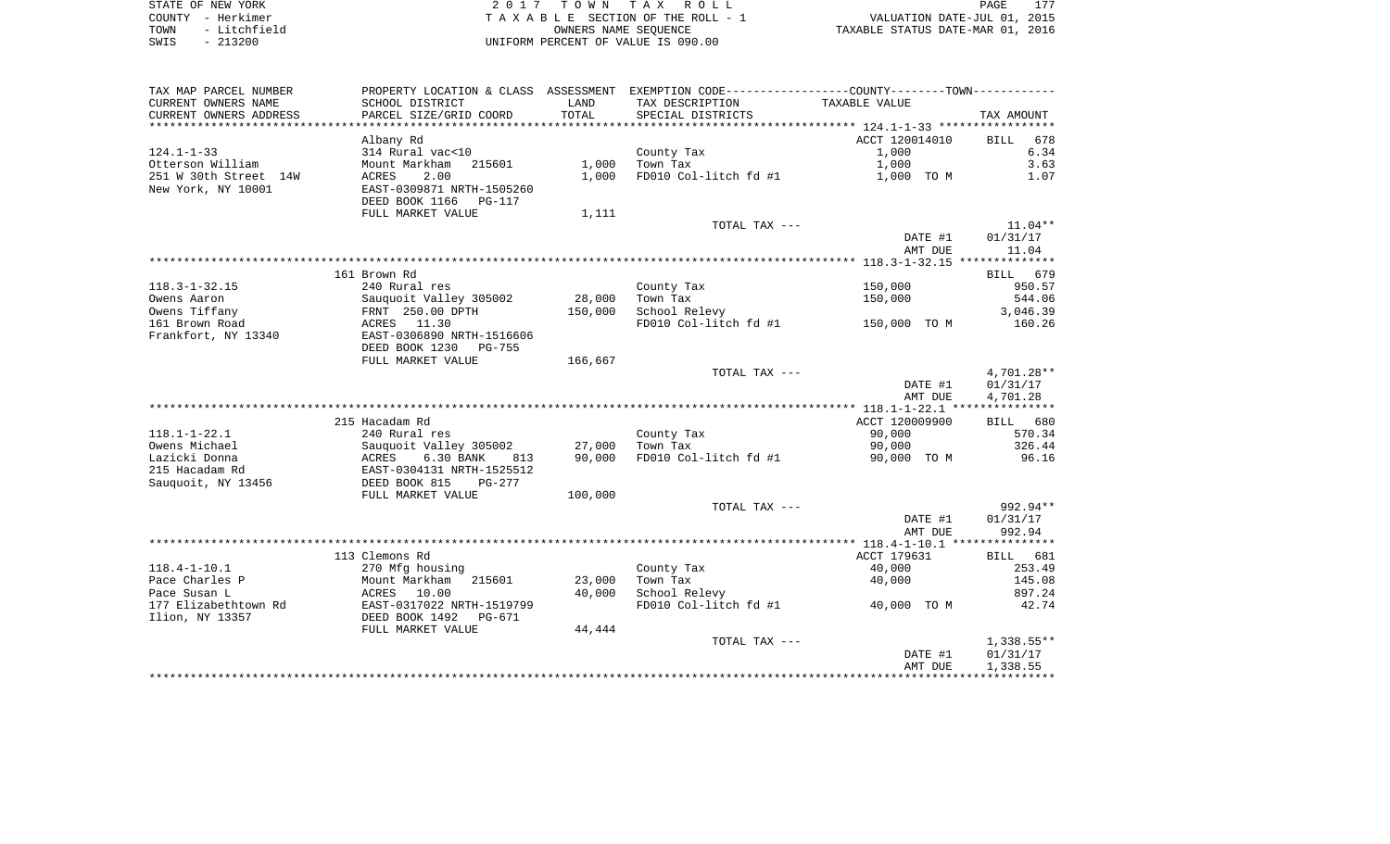| STATE OF NEW YORK |           |              |
|-------------------|-----------|--------------|
| COUNTY - Herkimer |           |              |
| TOWN              |           | - Litchfield |
| SMTS              | $-213200$ |              |

STATE OF NEW YORK 2 0 1 7 T O W N T A X R O L L PAGE 177TA X A B L E SECTION OF THE ROLL - 1 TOWN - Litchfield OWNERS NAME SEQUENCE TAXABLE STATUS DATE-MAR 01, 2016 SWIS - 213200 UNIFORM PERCENT OF VALUE IS 090.00

| TAX DESCRIPTION<br>CURRENT OWNERS NAME<br>SCHOOL DISTRICT<br>LAND<br>TAXABLE VALUE<br>TOTAL<br>CURRENT OWNERS ADDRESS<br>PARCEL SIZE/GRID COORD<br>SPECIAL DISTRICTS<br>TAX AMOUNT<br>ACCT 120014010<br>Albany Rd<br><b>BILL</b><br>1,000<br>314 Rural vac<10<br>County Tax<br>Otterson William<br>Mount Markham<br>215601<br>1,000<br>Town Tax<br>1,000<br>251 W 30th Street 14W<br>ACRES<br>2.00<br>1,000<br>FD010 Col-litch fd #1<br>1,000 TO M<br>New York, NY 10001<br>EAST-0309871 NRTH-1505260<br>DEED BOOK 1166<br>PG-117<br>FULL MARKET VALUE<br>1,111<br>$11.04**$<br>TOTAL TAX ---<br>DATE #1<br>01/31/17<br>11.04<br>AMT DUE<br>161 Brown Rd<br>BILL 679<br>$118.3 - 1 - 32.15$<br>240 Rural res<br>County Tax<br>150,000<br>950.57 | TAX MAP PARCEL NUMBER | PROPERTY LOCATION & CLASS ASSESSMENT |        | EXEMPTION CODE-----------------COUNTY-------TOWN----------- |                    |
|-------------------------------------------------------------------------------------------------------------------------------------------------------------------------------------------------------------------------------------------------------------------------------------------------------------------------------------------------------------------------------------------------------------------------------------------------------------------------------------------------------------------------------------------------------------------------------------------------------------------------------------------------------------------------------------------------------------------------------------------------|-----------------------|--------------------------------------|--------|-------------------------------------------------------------|--------------------|
| $124.1 - 1 - 33$                                                                                                                                                                                                                                                                                                                                                                                                                                                                                                                                                                                                                                                                                                                                |                       |                                      |        |                                                             |                    |
|                                                                                                                                                                                                                                                                                                                                                                                                                                                                                                                                                                                                                                                                                                                                                 |                       |                                      |        |                                                             |                    |
|                                                                                                                                                                                                                                                                                                                                                                                                                                                                                                                                                                                                                                                                                                                                                 |                       |                                      |        |                                                             |                    |
|                                                                                                                                                                                                                                                                                                                                                                                                                                                                                                                                                                                                                                                                                                                                                 |                       |                                      |        |                                                             | 678                |
|                                                                                                                                                                                                                                                                                                                                                                                                                                                                                                                                                                                                                                                                                                                                                 |                       |                                      |        |                                                             | 6.34               |
|                                                                                                                                                                                                                                                                                                                                                                                                                                                                                                                                                                                                                                                                                                                                                 |                       |                                      |        |                                                             | 3.63               |
|                                                                                                                                                                                                                                                                                                                                                                                                                                                                                                                                                                                                                                                                                                                                                 |                       |                                      |        |                                                             | 1.07               |
|                                                                                                                                                                                                                                                                                                                                                                                                                                                                                                                                                                                                                                                                                                                                                 |                       |                                      |        |                                                             |                    |
|                                                                                                                                                                                                                                                                                                                                                                                                                                                                                                                                                                                                                                                                                                                                                 |                       |                                      |        |                                                             |                    |
|                                                                                                                                                                                                                                                                                                                                                                                                                                                                                                                                                                                                                                                                                                                                                 |                       |                                      |        |                                                             |                    |
|                                                                                                                                                                                                                                                                                                                                                                                                                                                                                                                                                                                                                                                                                                                                                 |                       |                                      |        |                                                             |                    |
|                                                                                                                                                                                                                                                                                                                                                                                                                                                                                                                                                                                                                                                                                                                                                 |                       |                                      |        |                                                             |                    |
|                                                                                                                                                                                                                                                                                                                                                                                                                                                                                                                                                                                                                                                                                                                                                 |                       |                                      |        |                                                             |                    |
|                                                                                                                                                                                                                                                                                                                                                                                                                                                                                                                                                                                                                                                                                                                                                 |                       |                                      |        |                                                             |                    |
|                                                                                                                                                                                                                                                                                                                                                                                                                                                                                                                                                                                                                                                                                                                                                 |                       |                                      |        |                                                             |                    |
|                                                                                                                                                                                                                                                                                                                                                                                                                                                                                                                                                                                                                                                                                                                                                 | Owens Aaron           |                                      | 28,000 | Town Tax                                                    | 544.06             |
| Sauquoit Valley 305002<br>150,000                                                                                                                                                                                                                                                                                                                                                                                                                                                                                                                                                                                                                                                                                                               |                       |                                      |        |                                                             |                    |
| Owens Tiffany<br>FRNT 250.00 DPTH<br>School Relevy<br>150,000<br>161 Brown Road<br>FD010 Col-litch fd #1<br>150,000 TO M<br>ACRES 11.30                                                                                                                                                                                                                                                                                                                                                                                                                                                                                                                                                                                                         |                       |                                      |        |                                                             | 3,046.39<br>160.26 |
| EAST-0306890 NRTH-1516606<br>Frankfort, NY 13340                                                                                                                                                                                                                                                                                                                                                                                                                                                                                                                                                                                                                                                                                                |                       |                                      |        |                                                             |                    |
| DEED BOOK 1230<br><b>PG-755</b>                                                                                                                                                                                                                                                                                                                                                                                                                                                                                                                                                                                                                                                                                                                 |                       |                                      |        |                                                             |                    |
| FULL MARKET VALUE<br>166,667                                                                                                                                                                                                                                                                                                                                                                                                                                                                                                                                                                                                                                                                                                                    |                       |                                      |        |                                                             |                    |
| TOTAL TAX ---                                                                                                                                                                                                                                                                                                                                                                                                                                                                                                                                                                                                                                                                                                                                   |                       |                                      |        |                                                             | 4,701.28**         |
| DATE #1<br>01/31/17                                                                                                                                                                                                                                                                                                                                                                                                                                                                                                                                                                                                                                                                                                                             |                       |                                      |        |                                                             |                    |
| AMT DUE<br>4,701.28                                                                                                                                                                                                                                                                                                                                                                                                                                                                                                                                                                                                                                                                                                                             |                       |                                      |        |                                                             |                    |
|                                                                                                                                                                                                                                                                                                                                                                                                                                                                                                                                                                                                                                                                                                                                                 |                       |                                      |        |                                                             |                    |
| 215 Hacadam Rd<br>ACCT 120009900                                                                                                                                                                                                                                                                                                                                                                                                                                                                                                                                                                                                                                                                                                                |                       |                                      |        |                                                             | BILL 680           |
| $118.1 - 1 - 22.1$<br>240 Rural res<br>County Tax<br>90,000                                                                                                                                                                                                                                                                                                                                                                                                                                                                                                                                                                                                                                                                                     |                       |                                      |        |                                                             | 570.34             |
| 27,000<br>90,000<br>Owens Michael<br>Sauquoit Valley 305002<br>Town Tax                                                                                                                                                                                                                                                                                                                                                                                                                                                                                                                                                                                                                                                                         |                       |                                      |        |                                                             | 326.44             |
| Lazicki Donna<br>6.30 BANK<br>90,000<br>FD010 Col-litch fd #1<br>ACRES<br>90,000 TO M<br>813                                                                                                                                                                                                                                                                                                                                                                                                                                                                                                                                                                                                                                                    |                       |                                      |        |                                                             | 96.16              |
| 215 Hacadam Rd<br>EAST-0304131 NRTH-1525512                                                                                                                                                                                                                                                                                                                                                                                                                                                                                                                                                                                                                                                                                                     |                       |                                      |        |                                                             |                    |
| Sauquoit, NY 13456<br>DEED BOOK 815<br>PG-277                                                                                                                                                                                                                                                                                                                                                                                                                                                                                                                                                                                                                                                                                                   |                       |                                      |        |                                                             |                    |
| FULL MARKET VALUE<br>100,000                                                                                                                                                                                                                                                                                                                                                                                                                                                                                                                                                                                                                                                                                                                    |                       |                                      |        |                                                             |                    |
| TOTAL TAX ---                                                                                                                                                                                                                                                                                                                                                                                                                                                                                                                                                                                                                                                                                                                                   |                       |                                      |        |                                                             | 992.94**           |
| DATE #1<br>01/31/17                                                                                                                                                                                                                                                                                                                                                                                                                                                                                                                                                                                                                                                                                                                             |                       |                                      |        |                                                             |                    |
| AMT DUE<br>992.94                                                                                                                                                                                                                                                                                                                                                                                                                                                                                                                                                                                                                                                                                                                               |                       |                                      |        |                                                             |                    |
|                                                                                                                                                                                                                                                                                                                                                                                                                                                                                                                                                                                                                                                                                                                                                 |                       |                                      |        |                                                             |                    |
| 113 Clemons Rd<br>ACCT 179631<br>BILL                                                                                                                                                                                                                                                                                                                                                                                                                                                                                                                                                                                                                                                                                                           |                       |                                      |        |                                                             | 681                |
| $118.4 - 1 - 10.1$<br>40,000<br>270 Mfg housing<br>County Tax                                                                                                                                                                                                                                                                                                                                                                                                                                                                                                                                                                                                                                                                                   |                       |                                      |        |                                                             | 253.49             |
| Pace Charles P<br>Mount Markham<br>215601<br>23,000<br>Town Tax<br>40,000                                                                                                                                                                                                                                                                                                                                                                                                                                                                                                                                                                                                                                                                       |                       |                                      |        |                                                             | 145.08             |
| Pace Susan L<br>10.00<br>40,000<br>School Relevy<br>ACRES                                                                                                                                                                                                                                                                                                                                                                                                                                                                                                                                                                                                                                                                                       |                       |                                      |        |                                                             | 897.24             |
| 177 Elizabethtown Rd<br>FD010 Col-litch fd #1<br>EAST-0317022 NRTH-1519799<br>40,000 TO M                                                                                                                                                                                                                                                                                                                                                                                                                                                                                                                                                                                                                                                       |                       |                                      |        |                                                             | 42.74              |
| Ilion, NY 13357<br>DEED BOOK 1492<br>PG-671                                                                                                                                                                                                                                                                                                                                                                                                                                                                                                                                                                                                                                                                                                     |                       |                                      |        |                                                             |                    |
| FULL MARKET VALUE<br>44,444                                                                                                                                                                                                                                                                                                                                                                                                                                                                                                                                                                                                                                                                                                                     |                       |                                      |        |                                                             |                    |
| TOTAL TAX ---                                                                                                                                                                                                                                                                                                                                                                                                                                                                                                                                                                                                                                                                                                                                   |                       |                                      |        |                                                             | $1,338.55**$       |
| 01/31/17<br>DATE #1<br>AMT DUE<br>1,338.55                                                                                                                                                                                                                                                                                                                                                                                                                                                                                                                                                                                                                                                                                                      |                       |                                      |        |                                                             |                    |
|                                                                                                                                                                                                                                                                                                                                                                                                                                                                                                                                                                                                                                                                                                                                                 |                       |                                      |        |                                                             |                    |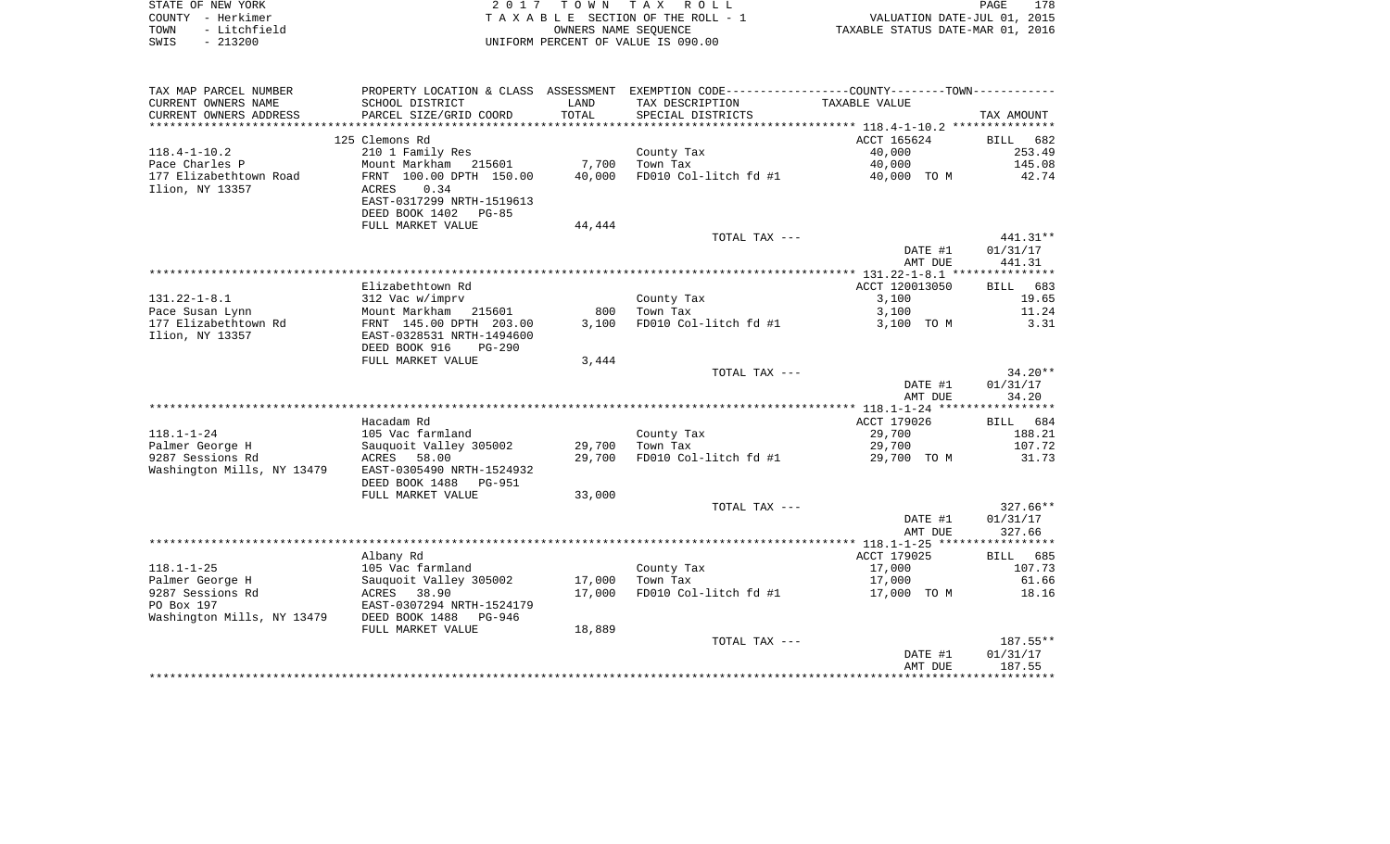|      | STATE OF NEW YORK | 2017 TOWN TAX ROLL                 | PAGE                             | 178 |
|------|-------------------|------------------------------------|----------------------------------|-----|
|      | COUNTY - Herkimer | TAXABLE SECTION OF THE ROLL - 1    | VALUATION DATE-JUL 01, 2015      |     |
| TOWN | - Litchfield      | OWNERS NAME SEOUENCE               | TAXABLE STATUS DATE-MAR 01, 2016 |     |
| SWIS | $-213200$         | UNIFORM PERCENT OF VALUE IS 090.00 |                                  |     |

| TAX MAP PARCEL NUMBER      |                                                       |              | PROPERTY LOCATION & CLASS ASSESSMENT EXEMPTION CODE---------------COUNTY-------TOWN--------- |                |                    |
|----------------------------|-------------------------------------------------------|--------------|----------------------------------------------------------------------------------------------|----------------|--------------------|
| CURRENT OWNERS NAME        | SCHOOL DISTRICT                                       | LAND         | TAX DESCRIPTION                                                                              | TAXABLE VALUE  |                    |
| CURRENT OWNERS ADDRESS     | PARCEL SIZE/GRID COORD                                | TOTAL        | SPECIAL DISTRICTS                                                                            |                | TAX AMOUNT         |
|                            |                                                       | ************ |                                                                                              |                |                    |
|                            | 125 Clemons Rd                                        |              |                                                                                              | ACCT 165624    | <b>BILL</b><br>682 |
| $118.4 - 1 - 10.2$         | 210 1 Family Res                                      |              | County Tax                                                                                   | 40,000         | 253.49             |
| Pace Charles P             | Mount Markham 215601                                  | 7,700        | Town Tax                                                                                     | 40,000         | 145.08             |
| 177 Elizabethtown Road     | FRNT 100.00 DPTH 150.00                               | 40,000       | FD010 Col-litch fd #1                                                                        | 40,000 TO M    | 42.74              |
| Ilion, NY 13357            | 0.34<br>ACRES<br>EAST-0317299 NRTH-1519613            |              |                                                                                              |                |                    |
|                            | DEED BOOK 1402<br>PG-85                               |              |                                                                                              |                |                    |
|                            | FULL MARKET VALUE                                     | 44,444       |                                                                                              |                |                    |
|                            |                                                       |              | TOTAL TAX ---                                                                                |                | 441.31**           |
|                            |                                                       |              |                                                                                              | DATE #1        | 01/31/17           |
|                            |                                                       |              |                                                                                              | AMT DUE        | 441.31             |
|                            |                                                       |              |                                                                                              |                |                    |
|                            | Elizabethtown Rd                                      |              |                                                                                              | ACCT 120013050 | 683<br>BILL        |
| $131.22 - 1 - 8.1$         | 312 Vac w/imprv                                       |              | County Tax                                                                                   | 3,100          | 19.65              |
| Pace Susan Lynn            | Mount Markham 215601                                  | 800          | Town Tax                                                                                     | 3,100          | 11.24              |
| 177 Elizabethtown Rd       | FRNT 145.00 DPTH 203.00                               | 3,100        | FD010 Col-litch fd #1                                                                        | 3,100 TO M     | 3.31               |
| Ilion, NY 13357            | EAST-0328531 NRTH-1494600                             |              |                                                                                              |                |                    |
|                            | DEED BOOK 916<br>$PG-290$                             |              |                                                                                              |                |                    |
|                            | FULL MARKET VALUE                                     | 3,444        |                                                                                              |                |                    |
|                            |                                                       |              | TOTAL TAX ---                                                                                |                | $34.20**$          |
|                            |                                                       |              |                                                                                              | DATE #1        | 01/31/17           |
|                            |                                                       |              |                                                                                              | AMT DUE        | 34.20              |
|                            |                                                       |              |                                                                                              |                |                    |
|                            | Hacadam Rd                                            |              |                                                                                              | ACCT 179026    | BILL 684           |
| $118.1 - 1 - 24$           | 105 Vac farmland                                      |              | County Tax                                                                                   | 29,700         | 188.21             |
| Palmer George H            | Sauquoit Valley 305002                                | 29,700       | Town Tax                                                                                     | 29,700         | 107.72             |
| 9287 Sessions Rd           | ACRES<br>58.00                                        | 29,700       | FD010 Col-litch fd #1                                                                        | 29,700 TO M    | 31.73              |
| Washington Mills, NY 13479 | EAST-0305490 NRTH-1524932<br>DEED BOOK 1488<br>PG-951 |              |                                                                                              |                |                    |
|                            | FULL MARKET VALUE                                     | 33,000       |                                                                                              |                |                    |
|                            |                                                       |              | TOTAL TAX ---                                                                                |                | $327.66**$         |
|                            |                                                       |              |                                                                                              | DATE #1        | 01/31/17           |
|                            |                                                       |              |                                                                                              | AMT DUE        | 327.66             |
|                            |                                                       |              |                                                                                              |                |                    |
|                            | Albany Rd                                             |              |                                                                                              | ACCT 179025    | 685<br>BILL        |
| $118.1 - 1 - 25$           | 105 Vac farmland                                      |              | County Tax                                                                                   | 17,000         | 107.73             |
| Palmer George H            | Sauquoit Valley 305002                                | 17,000       | Town Tax                                                                                     | 17,000         | 61.66              |
| 9287 Sessions Rd           | ACRES<br>38.90                                        | 17,000       | FD010 Col-litch fd #1                                                                        | 17,000 TO M    | 18.16              |
| PO Box 197                 | EAST-0307294 NRTH-1524179                             |              |                                                                                              |                |                    |
| Washington Mills, NY 13479 | DEED BOOK 1488<br>PG-946                              |              |                                                                                              |                |                    |
|                            | FULL MARKET VALUE                                     | 18,889       |                                                                                              |                |                    |
|                            |                                                       |              | TOTAL TAX ---                                                                                |                | $187.55**$         |
|                            |                                                       |              |                                                                                              | DATE #1        | 01/31/17           |
|                            |                                                       |              |                                                                                              | AMT DUE        | 187.55             |
|                            |                                                       |              |                                                                                              |                |                    |
|                            |                                                       |              |                                                                                              |                |                    |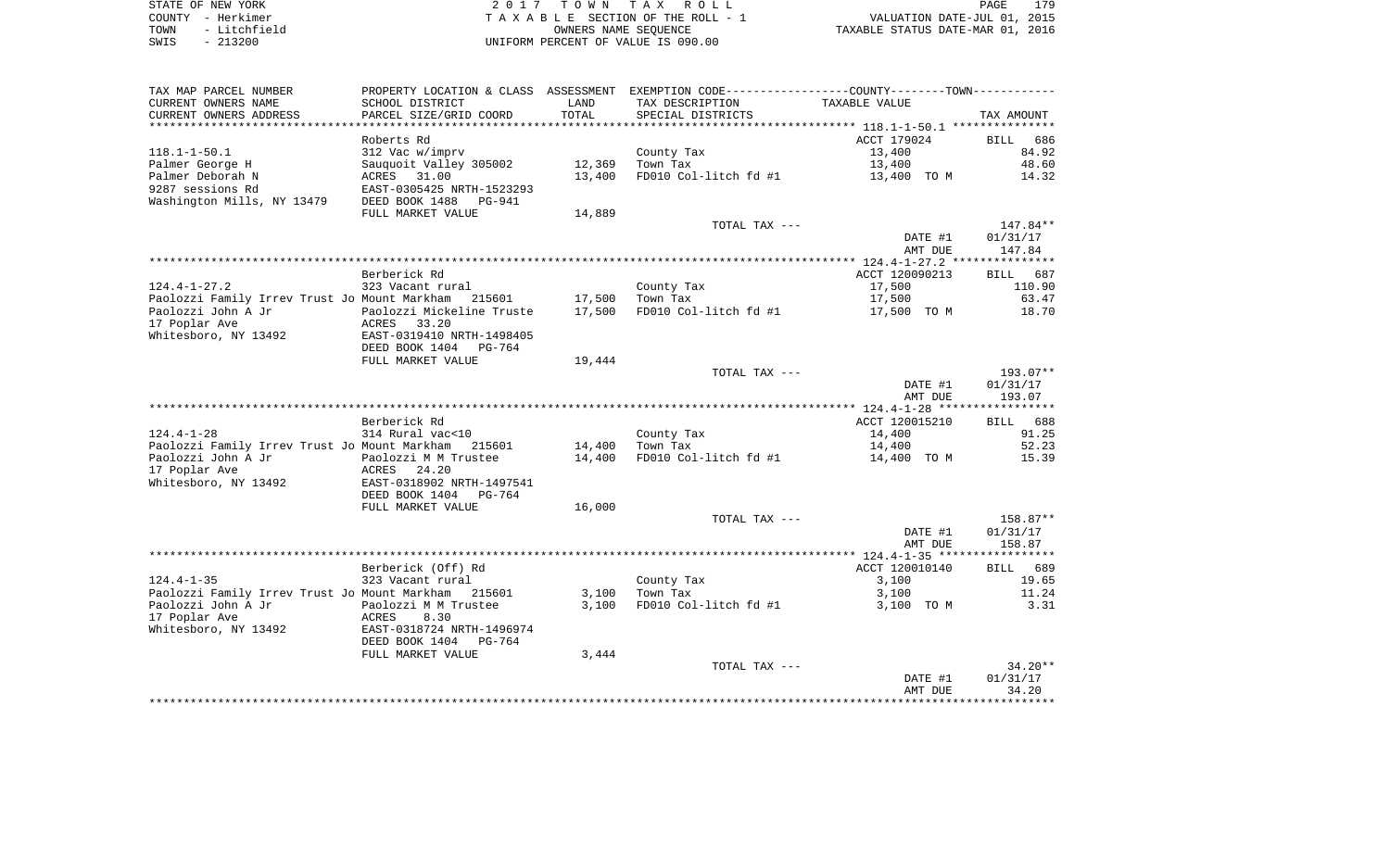| STATE OF NEW YORK    | 2017 TOWN TAX ROLL                 | 179<br>PAGE                      |
|----------------------|------------------------------------|----------------------------------|
| COUNTY - Herkimer    | TAXABLE SECTION OF THE ROLL - 1    | VALUATION DATE-JUL 01, 2015      |
| - Litchfield<br>TOWN | OWNERS NAME SEOUENCE               | TAXABLE STATUS DATE-MAR 01, 2016 |
| $-213200$<br>SWIS    | UNIFORM PERCENT OF VALUE IS 090.00 |                                  |

PAGE 179

| TAX MAP PARCEL NUMBER                               |                                                   |               | PROPERTY LOCATION & CLASS ASSESSMENT EXEMPTION CODE----------------COUNTY-------TOWN---------- |                |                      |
|-----------------------------------------------------|---------------------------------------------------|---------------|------------------------------------------------------------------------------------------------|----------------|----------------------|
| CURRENT OWNERS NAME<br>CURRENT OWNERS ADDRESS       | SCHOOL DISTRICT<br>PARCEL SIZE/GRID COORD         | LAND<br>TOTAL | TAX DESCRIPTION<br>SPECIAL DISTRICTS                                                           | TAXABLE VALUE  | TAX AMOUNT           |
| ***********************                             |                                                   |               |                                                                                                |                |                      |
|                                                     | Roberts Rd                                        |               |                                                                                                | ACCT 179024    | 686<br>BILL          |
| $118.1 - 1 - 50.1$                                  | 312 Vac w/imprv                                   |               | County Tax                                                                                     | 13,400         | 84.92                |
| Palmer George H                                     | Sauquoit Valley 305002                            | 12,369        | Town Tax                                                                                       | 13,400         | 48.60                |
| Palmer Deborah N                                    | 31.00<br>ACRES                                    | 13,400        | FD010 Col-litch fd #1                                                                          | 13,400 TO M    | 14.32                |
| 9287 sessions Rd                                    | EAST-0305425 NRTH-1523293                         |               |                                                                                                |                |                      |
| Washington Mills, NY 13479                          | DEED BOOK 1488<br>PG-941                          |               |                                                                                                |                |                      |
|                                                     | FULL MARKET VALUE                                 | 14,889        |                                                                                                |                |                      |
|                                                     |                                                   |               | TOTAL TAX ---                                                                                  | DATE #1        | 147.84**<br>01/31/17 |
|                                                     |                                                   |               |                                                                                                | AMT DUE        | 147.84               |
|                                                     |                                                   |               |                                                                                                |                |                      |
|                                                     | Berberick Rd                                      |               |                                                                                                | ACCT 120090213 | 687<br>BILL          |
| $124.4 - 1 - 27.2$                                  | 323 Vacant rural                                  |               | County Tax                                                                                     | 17,500         | 110.90               |
| Paolozzi Family Irrev Trust Jo Mount Markham 215601 |                                                   | 17,500        | Town Tax                                                                                       | 17,500         | 63.47                |
| Paolozzi John A Jr                                  | Paolozzi Mickeline Truste                         | 17,500        | FD010 Col-litch fd #1                                                                          | 17,500 TO M    | 18.70                |
| 17 Poplar Ave                                       | ACRES<br>33.20                                    |               |                                                                                                |                |                      |
| Whitesboro, NY 13492                                | EAST-0319410 NRTH-1498405                         |               |                                                                                                |                |                      |
|                                                     | DEED BOOK 1404<br>PG-764                          |               |                                                                                                |                |                      |
|                                                     | FULL MARKET VALUE                                 | 19,444        | TOTAL TAX ---                                                                                  |                | 193.07**             |
|                                                     |                                                   |               |                                                                                                | DATE #1        | 01/31/17             |
|                                                     |                                                   |               |                                                                                                | AMT DUE        | 193.07               |
|                                                     |                                                   |               |                                                                                                |                |                      |
|                                                     | Berberick Rd                                      |               |                                                                                                | ACCT 120015210 | 688<br><b>BILL</b>   |
| $124.4 - 1 - 28$                                    | 314 Rural vac<10                                  |               | County Tax                                                                                     | 14,400         | 91.25                |
| Paolozzi Family Irrev Trust Jo Mount Markham        | 215601                                            | 14,400        | Town Tax                                                                                       | 14,400         | 52.23                |
| Paolozzi John A Jr                                  | Paolozzi M M Trustee                              | 14,400        | FD010 Col-litch fd #1                                                                          | 14,400 TO M    | 15.39                |
| 17 Poplar Ave                                       | ACRES<br>24.20                                    |               |                                                                                                |                |                      |
| Whitesboro, NY 13492                                | EAST-0318902 NRTH-1497541                         |               |                                                                                                |                |                      |
|                                                     | DEED BOOK 1404<br>PG-764<br>FULL MARKET VALUE     | 16,000        |                                                                                                |                |                      |
|                                                     |                                                   |               | TOTAL TAX ---                                                                                  |                | 158.87**             |
|                                                     |                                                   |               |                                                                                                | DATE #1        | 01/31/17             |
|                                                     |                                                   |               |                                                                                                | AMT DUE        | 158.87               |
|                                                     |                                                   |               |                                                                                                |                | **********           |
|                                                     | Berberick (Off) Rd                                |               |                                                                                                | ACCT 120010140 | BILL 689             |
| $124.4 - 1 - 35$                                    | 323 Vacant rural                                  |               | County Tax                                                                                     | 3,100          | 19.65                |
| Paolozzi Family Irrev Trust Jo Mount Markham        | 215601                                            | 3,100         | Town Tax                                                                                       | 3,100          | 11.24                |
| Paolozzi John A Jr                                  | Paolozzi M M Trustee                              | 3,100         | FD010 Col-litch fd #1                                                                          | 3,100 TO M     | 3.31                 |
| 17 Poplar Ave<br>Whitesboro, NY 13492               | <b>ACRES</b><br>8.30<br>EAST-0318724 NRTH-1496974 |               |                                                                                                |                |                      |
|                                                     | DEED BOOK 1404<br>PG-764                          |               |                                                                                                |                |                      |
|                                                     | FULL MARKET VALUE                                 | 3,444         |                                                                                                |                |                      |
|                                                     |                                                   |               | TOTAL TAX ---                                                                                  |                | $34.20**$            |
|                                                     |                                                   |               |                                                                                                | DATE #1        | 01/31/17             |
|                                                     |                                                   |               |                                                                                                | AMT DUE        | 34.20                |
|                                                     |                                                   |               |                                                                                                |                |                      |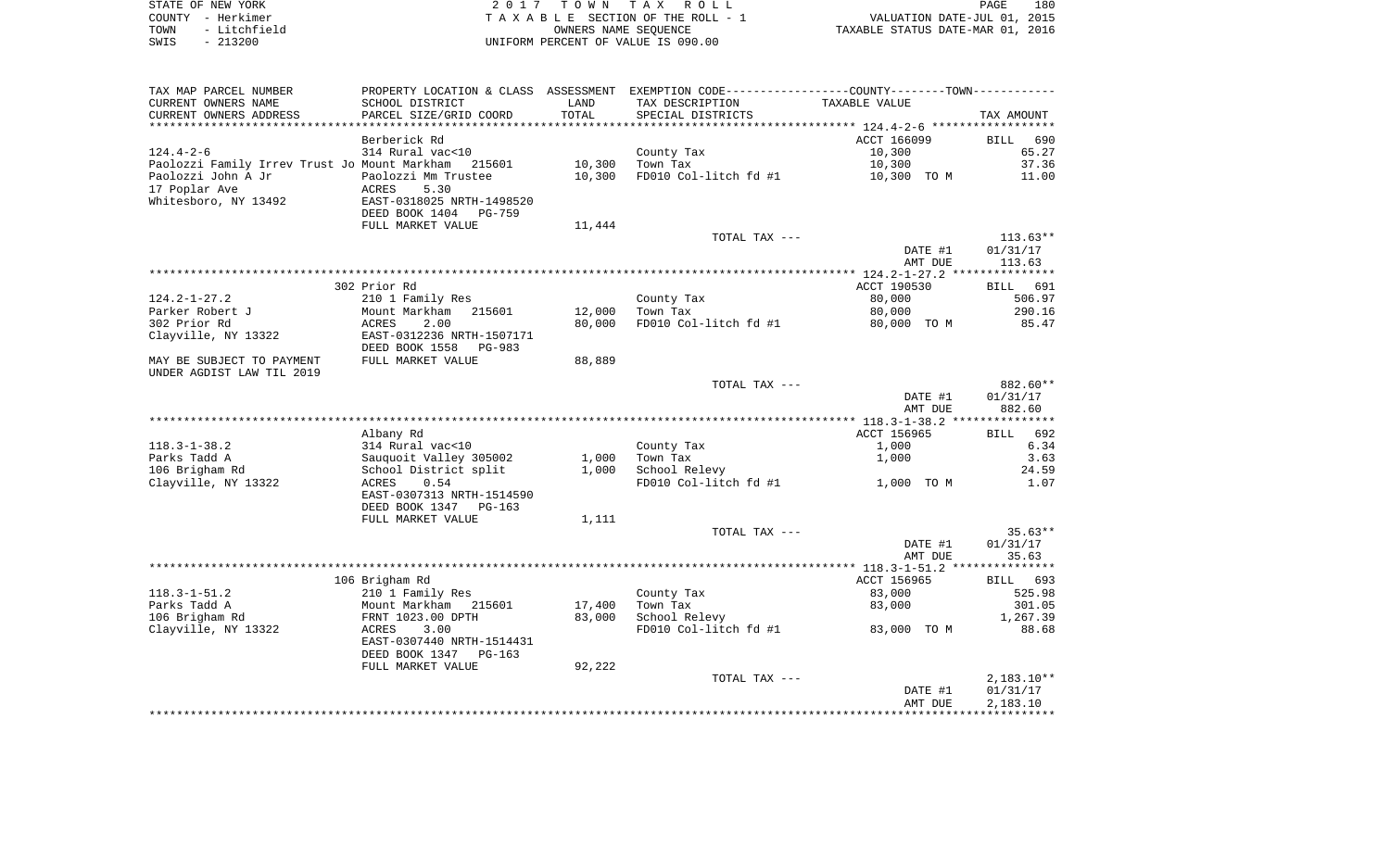|      | STATE OF NEW YORK | 2017 TOWN TAX ROLL                 | PAGE                             | 180 |
|------|-------------------|------------------------------------|----------------------------------|-----|
|      | COUNTY - Herkimer | TAXABLE SECTION OF THE ROLL - 1    | VALUATION DATE-JUL 01, 2015      |     |
| TOWN | - Litchfield      | OWNERS NAME SEOUENCE               | TAXABLE STATUS DATE-MAR 01, 2016 |     |
| SWIS | $-213200$         | UNIFORM PERCENT OF VALUE IS 090.00 |                                  |     |

| TAX MAP PARCEL NUMBER                        | PROPERTY LOCATION & CLASS ASSESSMENT EXEMPTION CODE----------------COUNTY--------TOWN---------- |                |                           |               |                     |
|----------------------------------------------|-------------------------------------------------------------------------------------------------|----------------|---------------------------|---------------|---------------------|
| CURRENT OWNERS NAME                          | SCHOOL DISTRICT                                                                                 | LAND           | TAX DESCRIPTION           | TAXABLE VALUE |                     |
| CURRENT OWNERS ADDRESS                       | PARCEL SIZE/GRID COORD                                                                          | TOTAL          | SPECIAL DISTRICTS         |               | TAX AMOUNT          |
| *************************                    |                                                                                                 |                |                           |               |                     |
|                                              | Berberick Rd                                                                                    |                |                           | ACCT 166099   | <b>BILL</b><br>690  |
| $124.4 - 2 - 6$                              | 314 Rural vac<10                                                                                |                | County Tax                | 10,300        | 65.27               |
| Paolozzi Family Irrev Trust Jo Mount Markham | 215601                                                                                          | 10,300         | Town Tax                  | 10,300        | 37.36               |
| Paolozzi John A Jr                           | Paolozzi Mm Trustee                                                                             | 10,300         | FD010 Col-litch fd #1     | 10,300 TO M   | 11.00               |
| 17 Poplar Ave                                | 5.30<br>ACRES                                                                                   |                |                           |               |                     |
| Whitesboro, NY 13492                         | EAST-0318025 NRTH-1498520                                                                       |                |                           |               |                     |
|                                              | DEED BOOK 1404<br>PG-759                                                                        |                |                           |               |                     |
|                                              | FULL MARKET VALUE                                                                               | 11,444         |                           |               |                     |
|                                              |                                                                                                 |                | TOTAL TAX ---             |               | $113.63**$          |
|                                              |                                                                                                 |                |                           | DATE #1       | 01/31/17            |
|                                              |                                                                                                 |                |                           | AMT DUE       | 113.63              |
|                                              |                                                                                                 |                |                           |               |                     |
|                                              | 302 Prior Rd                                                                                    |                |                           | ACCT 190530   | BILL 691            |
| $124.2 - 1 - 27.2$                           | 210 1 Family Res                                                                                |                | County Tax                | 80,000        | 506.97              |
| Parker Robert J                              | Mount Markham<br>215601                                                                         | 12,000         | Town Tax                  | 80,000        | 290.16              |
| 302 Prior Rd                                 | ACRES<br>2.00                                                                                   | 80,000         | FD010 Col-litch fd #1     | 80,000 TO M   | 85.47               |
| Clayville, NY 13322                          | EAST-0312236 NRTH-1507171                                                                       |                |                           |               |                     |
|                                              | DEED BOOK 1558<br>PG-983                                                                        |                |                           |               |                     |
| MAY BE SUBJECT TO PAYMENT                    | FULL MARKET VALUE                                                                               | 88,889         |                           |               |                     |
| UNDER AGDIST LAW TIL 2019                    |                                                                                                 |                |                           |               |                     |
|                                              |                                                                                                 |                | TOTAL TAX ---             |               | 882.60**            |
|                                              |                                                                                                 |                |                           | DATE #1       | 01/31/17            |
|                                              |                                                                                                 |                |                           | AMT DUE       | 882.60              |
|                                              |                                                                                                 |                |                           |               |                     |
|                                              | Albany Rd                                                                                       |                |                           | ACCT 156965   | 692<br>BILL<br>6.34 |
| $118.3 - 1 - 38.2$                           | 314 Rural vac<10                                                                                |                | County Tax                | 1,000         | 3.63                |
| Parks Tadd A<br>106 Brigham Rd               | Sauquoit Valley 305002<br>School District split                                                 | 1,000<br>1,000 | Town Tax<br>School Relevy | 1,000         | 24.59               |
| Clayville, NY 13322                          | ACRES<br>0.54                                                                                   |                | FD010 Col-litch fd #1     | 1,000 TO M    | 1.07                |
|                                              | EAST-0307313 NRTH-1514590                                                                       |                |                           |               |                     |
|                                              | DEED BOOK 1347<br>$PG-163$                                                                      |                |                           |               |                     |
|                                              | FULL MARKET VALUE                                                                               | 1,111          |                           |               |                     |
|                                              |                                                                                                 |                | TOTAL TAX ---             |               | $35.63**$           |
|                                              |                                                                                                 |                |                           | DATE #1       | 01/31/17            |
|                                              |                                                                                                 |                |                           | AMT DUE       | 35.63               |
|                                              |                                                                                                 |                |                           |               |                     |
|                                              | 106 Brigham Rd                                                                                  |                |                           | ACCT 156965   | BILL 693            |
| $118.3 - 1 - 51.2$                           | 210 1 Family Res                                                                                |                | County Tax                | 83,000        | 525.98              |
| Parks Tadd A                                 | Mount Markham 215601                                                                            | 17,400         | Town Tax                  | 83,000        | 301.05              |
| 106 Brigham Rd                               | FRNT 1023.00 DPTH                                                                               | 83,000         | School Relevy             |               | 1,267.39            |
| Clayville, NY 13322                          | ACRES<br>3.00                                                                                   |                | FD010 Col-litch fd #1     | 83,000 TO M   | 88.68               |
|                                              | EAST-0307440 NRTH-1514431                                                                       |                |                           |               |                     |
|                                              | DEED BOOK 1347<br>PG-163                                                                        |                |                           |               |                     |
|                                              | FULL MARKET VALUE                                                                               | 92,222         |                           |               |                     |
|                                              |                                                                                                 |                | TOTAL TAX ---             |               | $2,183.10**$        |
|                                              |                                                                                                 |                |                           | DATE #1       | 01/31/17            |
|                                              |                                                                                                 |                |                           | AMT DUE       | 2,183.10            |
|                                              |                                                                                                 |                |                           |               |                     |
|                                              |                                                                                                 |                |                           |               |                     |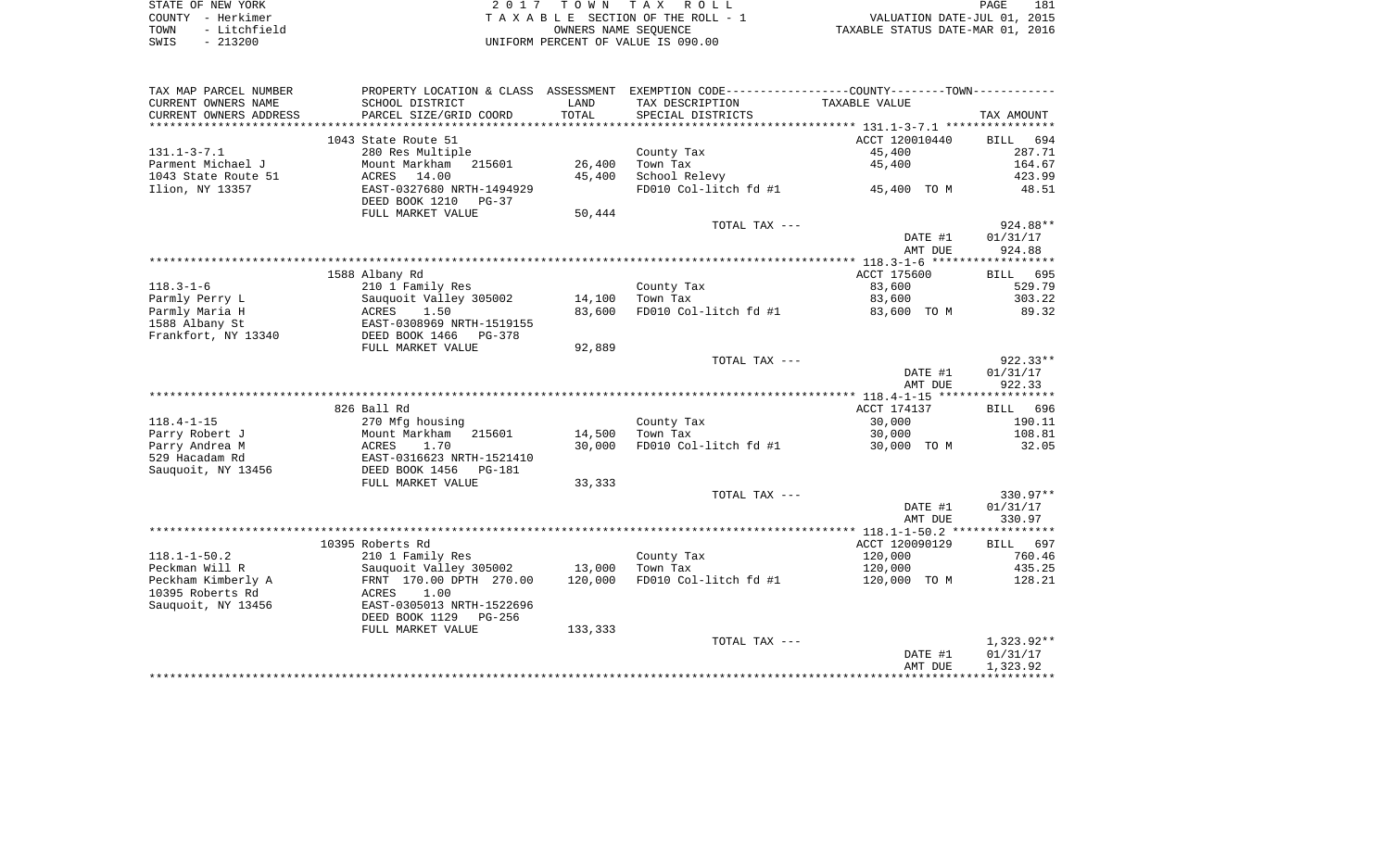| STATE OF NEW YORK    | 2017 TOWN TAX ROLL                 | 181<br>PAGE                      |
|----------------------|------------------------------------|----------------------------------|
| COUNTY - Herkimer    | TAXABLE SECTION OF THE ROLL - 1    | VALUATION DATE-JUL 01, 2015      |
| - Litchfield<br>TOWN | OWNERS NAME SEOUENCE               | TAXABLE STATUS DATE-MAR 01, 2016 |
| $-213200$<br>SWIS    | UNIFORM PERCENT OF VALUE IS 090.00 |                                  |

| TAX MAP PARCEL NUMBER<br>CURRENT OWNERS NAME | PROPERTY LOCATION & CLASS ASSESSMENT EXEMPTION CODE---------------COUNTY-------TOWN---------<br>SCHOOL DISTRICT | LAND             | TAX DESCRIPTION        | TAXABLE VALUE         |                    |
|----------------------------------------------|-----------------------------------------------------------------------------------------------------------------|------------------|------------------------|-----------------------|--------------------|
| CURRENT OWNERS ADDRESS                       | PARCEL SIZE/GRID COORD                                                                                          | TOTAL            | SPECIAL DISTRICTS      |                       | TAX AMOUNT         |
|                                              | 1043 State Route 51                                                                                             |                  |                        | ACCT 120010440        | 694<br>BILL        |
| $131.1 - 3 - 7.1$                            | 280 Res Multiple                                                                                                |                  | County Tax             | 45,400                | 287.71             |
| Parment Michael J                            | 215601<br>Mount Markham                                                                                         | 26,400           | Town Tax               | 45,400                | 164.67             |
| 1043 State Route 51                          | 14.00<br>ACRES                                                                                                  | 45,400           | School Relevy          |                       | 423.99             |
| Ilion, NY 13357                              | EAST-0327680 NRTH-1494929<br>DEED BOOK 1210<br>$PG-37$                                                          |                  | FD010 Col-litch fd #1  | 45,400 TO M           | 48.51              |
|                                              | FULL MARKET VALUE                                                                                               | 50,444           |                        |                       |                    |
|                                              |                                                                                                                 |                  | TOTAL TAX ---          |                       | 924.88**           |
|                                              |                                                                                                                 |                  |                        | DATE #1               | 01/31/17           |
|                                              |                                                                                                                 |                  |                        | AMT DUE               | 924.88             |
|                                              |                                                                                                                 |                  |                        |                       |                    |
|                                              | 1588 Albany Rd                                                                                                  |                  |                        | ACCT 175600           | 695<br>BILL        |
| $118.3 - 1 - 6$                              | 210 1 Family Res                                                                                                |                  | County Tax<br>Town Tax | 83,600                | 529.79<br>303.22   |
| Parmly Perry L<br>Parmly Maria H             | Sauquoit Valley 305002<br>ACRES<br>1.50                                                                         | 14,100<br>83,600 | FD010 Col-litch fd #1  | 83,600<br>83,600 TO M | 89.32              |
| 1588 Albany St                               | EAST-0308969 NRTH-1519155                                                                                       |                  |                        |                       |                    |
| Frankfort, NY 13340                          | DEED BOOK 1466<br>PG-378                                                                                        |                  |                        |                       |                    |
|                                              | FULL MARKET VALUE                                                                                               | 92,889           |                        |                       |                    |
|                                              |                                                                                                                 |                  | TOTAL TAX ---          |                       | $922.33**$         |
|                                              |                                                                                                                 |                  |                        | DATE #1               | 01/31/17           |
|                                              |                                                                                                                 |                  |                        | AMT DUE               | 922.33             |
|                                              |                                                                                                                 |                  |                        |                       |                    |
|                                              | 826 Ball Rd                                                                                                     |                  |                        | ACCT 174137           | 696<br>BILL        |
| $118.4 - 1 - 15$                             | 270 Mfg housing                                                                                                 |                  | County Tax             | 30,000                | 190.11             |
| Parry Robert J                               | Mount Markham<br>215601                                                                                         | 14,500           | Town Tax               | 30,000                | 108.81             |
| Parry Andrea M                               | ACRES<br>1.70                                                                                                   | 30,000           | FD010 Col-litch fd #1  | 30,000 TO M           | 32.05              |
| 529 Hacadam Rd                               | EAST-0316623 NRTH-1521410                                                                                       |                  |                        |                       |                    |
| Sauquoit, NY 13456                           | DEED BOOK 1456<br><b>PG-181</b><br>FULL MARKET VALUE                                                            | 33,333           |                        |                       |                    |
|                                              |                                                                                                                 |                  | TOTAL TAX ---          |                       | $330.97**$         |
|                                              |                                                                                                                 |                  |                        | DATE #1<br>AMT DUE    | 01/31/17<br>330.97 |
|                                              |                                                                                                                 |                  |                        |                       |                    |
|                                              | 10395 Roberts Rd                                                                                                |                  |                        | ACCT 120090129        | BILL 697           |
| $118.1 - 1 - 50.2$                           | 210 1 Family Res                                                                                                |                  | County Tax             | 120,000               | 760.46             |
| Peckman Will R                               | Sauguoit Valley 305002                                                                                          | 13,000           | Town Tax               | 120,000               | 435.25             |
| Peckham Kimberly A                           | FRNT 170.00 DPTH 270.00                                                                                         | 120,000          | FD010 Col-litch fd #1  | 120,000 TO M          | 128.21             |
| 10395 Roberts Rd<br>Sauquoit, NY 13456       | 1.00<br>ACRES<br>EAST-0305013 NRTH-1522696                                                                      |                  |                        |                       |                    |
|                                              | DEED BOOK 1129<br>$PG-256$                                                                                      |                  |                        |                       |                    |
|                                              | FULL MARKET VALUE                                                                                               | 133,333          |                        |                       |                    |
|                                              |                                                                                                                 |                  | TOTAL TAX ---          |                       | 1,323.92**         |
|                                              |                                                                                                                 |                  |                        | DATE #1               | 01/31/17           |
|                                              |                                                                                                                 |                  |                        | AMT DUE               | 1,323.92           |
|                                              |                                                                                                                 |                  |                        |                       |                    |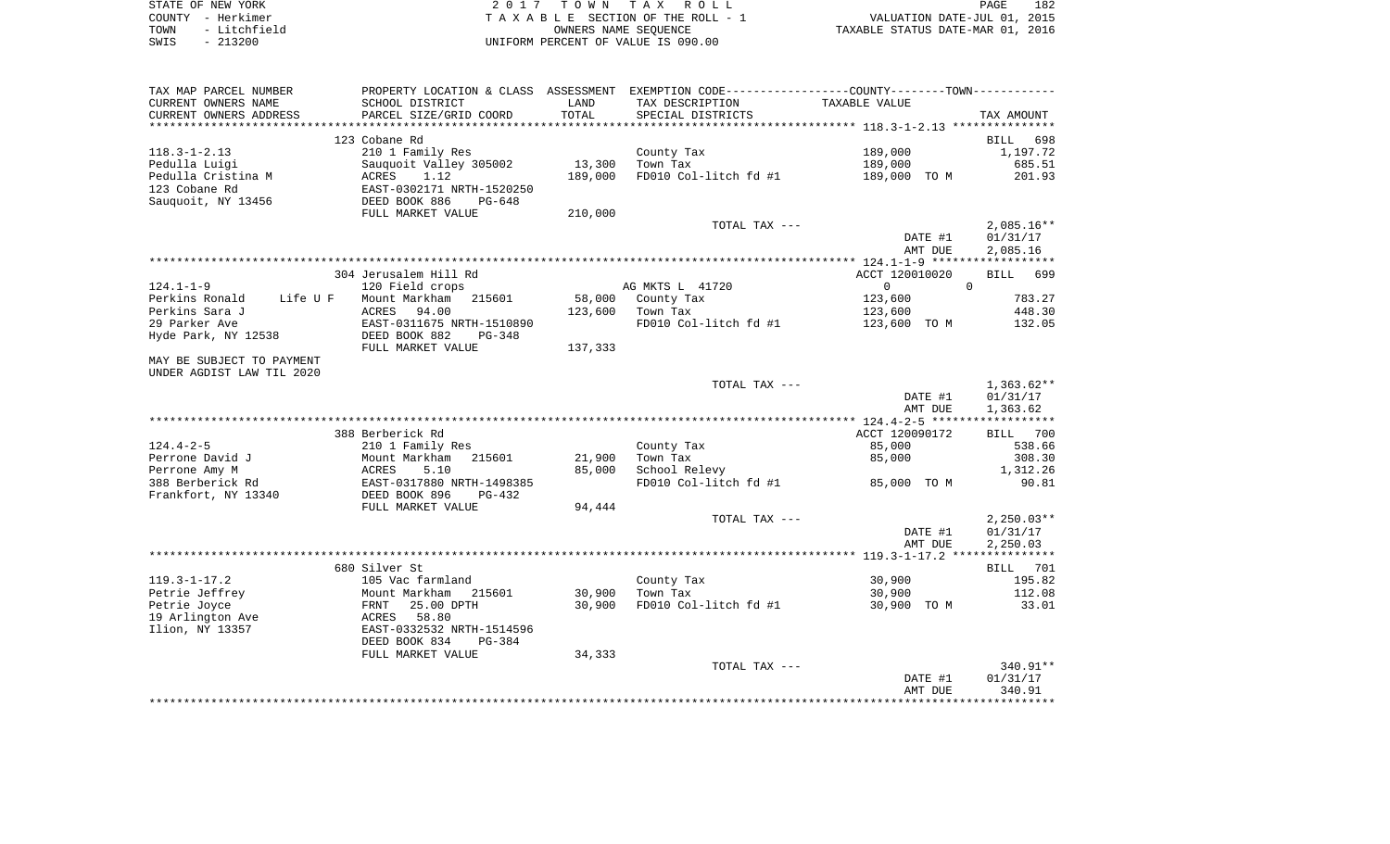| STATE OF NEW YORK    | 2017 TOWN TAX ROLL                 | 182<br>PAGE                      |
|----------------------|------------------------------------|----------------------------------|
| COUNTY - Herkimer    | TAXABLE SECTION OF THE ROLL - 1    | VALUATION DATE-JUL 01, 2015      |
| - Litchfield<br>TOWN | OWNERS NAME SEOUENCE               | TAXABLE STATUS DATE-MAR 01, 2016 |
| $-213200$<br>SWIS    | UNIFORM PERCENT OF VALUE IS 090.00 |                                  |

| TAX MAP PARCEL NUMBER      |                                |             | PROPERTY LOCATION & CLASS ASSESSMENT EXEMPTION CODE---------------COUNTY--------TOWN---------- |                |                    |
|----------------------------|--------------------------------|-------------|------------------------------------------------------------------------------------------------|----------------|--------------------|
| CURRENT OWNERS NAME        | SCHOOL DISTRICT                | LAND        | TAX DESCRIPTION                                                                                | TAXABLE VALUE  |                    |
| CURRENT OWNERS ADDRESS     | PARCEL SIZE/GRID COORD         | TOTAL       | SPECIAL DISTRICTS                                                                              |                | TAX AMOUNT         |
| *********************      |                                | *********** |                                                                                                |                |                    |
|                            | 123 Cobane Rd                  |             |                                                                                                |                | BILL 698           |
| $118.3 - 1 - 2.13$         | 210 1 Family Res               |             | County Tax                                                                                     | 189,000        | 1,197.72           |
| Pedulla Luigi              | Sauquoit Valley 305002         | 13,300      | Town Tax                                                                                       | 189,000        | 685.51             |
| Pedulla Cristina M         | ACRES<br>1.12                  | 189,000     | FD010 Col-litch fd #1                                                                          | 189,000 TO M   | 201.93             |
| 123 Cobane Rd              | EAST-0302171 NRTH-1520250      |             |                                                                                                |                |                    |
| Sauquoit, NY 13456         | DEED BOOK 886<br>$PG-648$      |             |                                                                                                |                |                    |
|                            | FULL MARKET VALUE              | 210,000     |                                                                                                |                |                    |
|                            |                                |             | TOTAL TAX ---                                                                                  |                | $2,085.16**$       |
|                            |                                |             |                                                                                                | DATE #1        | 01/31/17           |
|                            |                                |             |                                                                                                | AMT DUE        | 2,085.16           |
|                            |                                |             |                                                                                                |                |                    |
|                            | 304 Jerusalem Hill Rd          |             |                                                                                                | ACCT 120010020 | BILL 699           |
| $124.1 - 1 - 9$            | 120 Field crops                |             | AG MKTS L 41720                                                                                | $\overline{0}$ | $\mathbf{0}$       |
| Perkins Ronald<br>Life U F | Mount Markham<br>215601        |             | 58,000 County Tax                                                                              | 123,600        | 783.27             |
| Perkins Sara J             | ACRES<br>94.00                 | 123,600     | Town Tax                                                                                       | 123,600        | 448.30             |
| 29 Parker Ave              | EAST-0311675 NRTH-1510890      |             | FD010 Col-litch fd #1                                                                          | 123,600 TO M   | 132.05             |
| Hyde Park, NY 12538        | DEED BOOK 882<br>PG-348        |             |                                                                                                |                |                    |
| MAY BE SUBJECT TO PAYMENT  | FULL MARKET VALUE              | 137,333     |                                                                                                |                |                    |
| UNDER AGDIST LAW TIL 2020  |                                |             |                                                                                                |                |                    |
|                            |                                |             | TOTAL TAX ---                                                                                  |                | $1,363.62**$       |
|                            |                                |             |                                                                                                | DATE #1        | 01/31/17           |
|                            |                                |             |                                                                                                | AMT DUE        | 1,363.62           |
|                            |                                |             |                                                                                                |                |                    |
|                            | 388 Berberick Rd               |             |                                                                                                | ACCT 120090172 | BILL 700           |
| $124.4 - 2 - 5$            | 210 1 Family Res               |             | County Tax                                                                                     | 85,000         | 538.66             |
| Perrone David J            | Mount Markham<br>215601        | 21,900      | Town Tax                                                                                       | 85,000         | 308.30             |
| Perrone Amy M              | ACRES<br>5.10                  | 85,000      | School Relevy                                                                                  |                | 1,312.26           |
| 388 Berberick Rd           | EAST-0317880 NRTH-1498385      |             | FD010 Col-litch fd #1                                                                          | 85,000 TO M    | 90.81              |
| Frankfort, NY 13340        | DEED BOOK 896<br>PG-432        |             |                                                                                                |                |                    |
|                            | FULL MARKET VALUE              | 94,444      |                                                                                                |                |                    |
|                            |                                |             | TOTAL TAX ---                                                                                  |                | $2,250.03**$       |
|                            |                                |             |                                                                                                | DATE #1        | 01/31/17           |
|                            |                                |             |                                                                                                | AMT DUE        | 2,250.03           |
|                            |                                |             |                                                                                                |                |                    |
|                            | 680 Silver St                  |             |                                                                                                |                | BILL 701           |
| $119.3 - 1 - 17.2$         | 105 Vac farmland               |             | County Tax                                                                                     | 30,900         | 195.82             |
| Petrie Jeffrey             | Mount Markham<br>215601        | 30,900      | Town Tax                                                                                       | 30,900         | 112.08             |
| Petrie Joyce               | 25.00 DPTH<br>FRNT             | 30,900      | FD010 Col-litch fd #1                                                                          | 30,900 TO M    | 33.01              |
| 19 Arlington Ave           | 58.80<br>ACRES                 |             |                                                                                                |                |                    |
| Ilion, NY 13357            | EAST-0332532 NRTH-1514596      |             |                                                                                                |                |                    |
|                            | DEED BOOK 834<br><b>PG-384</b> |             |                                                                                                |                |                    |
|                            | FULL MARKET VALUE              | 34,333      |                                                                                                |                |                    |
|                            |                                |             | TOTAL TAX ---                                                                                  |                | 340.91**           |
|                            |                                |             |                                                                                                | DATE #1        | 01/31/17<br>340.91 |
|                            |                                |             |                                                                                                | AMT DUE        |                    |
|                            |                                |             |                                                                                                |                |                    |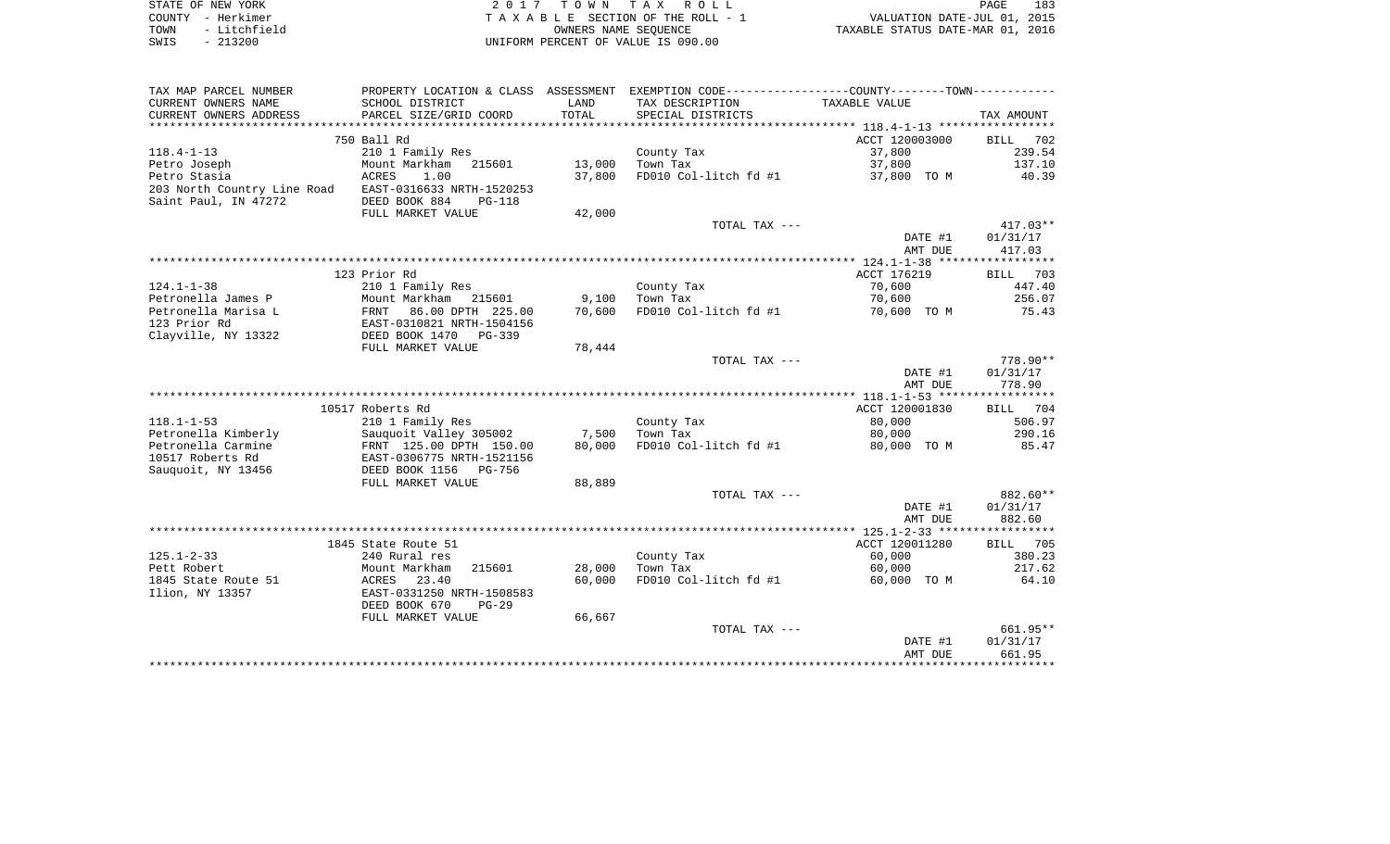| STATE OF NEW YORK    | 2017 TOWN TAX ROLL                 | 183<br>PAGE                      |
|----------------------|------------------------------------|----------------------------------|
| COUNTY - Herkimer    | TAXABLE SECTION OF THE ROLL - 1    | VALUATION DATE-JUL 01, 2015      |
| - Litchfield<br>TOWN | OWNERS NAME SEOUENCE               | TAXABLE STATUS DATE-MAR 01, 2016 |
| SWIS<br>- 213200     | UNIFORM PERCENT OF VALUE IS 090.00 |                                  |

| EXEMPTION CODE----------------COUNTY-------TOWN-----------<br>CURRENT OWNERS NAME<br>SCHOOL DISTRICT<br>TAX DESCRIPTION<br>TAXABLE VALUE<br>LAND<br>CURRENT OWNERS ADDRESS<br>TOTAL<br>PARCEL SIZE/GRID COORD<br>SPECIAL DISTRICTS<br>TAX AMOUNT<br>750 Ball Rd<br>ACCT 120003000<br>BILL 702<br>$118.4 - 1 - 13$<br>210 1 Family Res<br>37,800<br>County Tax<br>13,000<br>Mount Markham<br>215601<br>37,800<br>Petro Joseph<br>Town Tax<br>37,800<br>FD010 Col-litch fd #1<br>Petro Stasia<br>ACRES<br>1.00<br>37,800 TO M<br>203 North Country Line Road<br>EAST-0316633 NRTH-1520253<br>Saint Paul, IN 47272<br>DEED BOOK 884<br>$PG-118$<br>FULL MARKET VALUE<br>42,000<br>TOTAL TAX ---<br>DATE #1<br>01/31/17<br>AMT DUE<br>123 Prior Rd<br>ACCT 176219<br>BILL 703<br>$124.1 - 1 - 38$<br>210 1 Family Res<br>County Tax<br>70,600<br>70,600<br>Petronella James P<br>Mount Markham 215601<br>9,100<br>Town Tax<br>Petronella Marisa L<br>86.00 DPTH 225.00<br>70,600<br>FD010 Col-litch fd #1<br>70,600 TO M<br>FRNT<br>123 Prior Rd<br>EAST-0310821 NRTH-1504156<br>Clayville, NY 13322<br>DEED BOOK 1470 PG-339<br>FULL MARKET VALUE<br>78,444 | 239.54<br>137.10<br>40.39<br>$417.03**$<br>417.03 |
|----------------------------------------------------------------------------------------------------------------------------------------------------------------------------------------------------------------------------------------------------------------------------------------------------------------------------------------------------------------------------------------------------------------------------------------------------------------------------------------------------------------------------------------------------------------------------------------------------------------------------------------------------------------------------------------------------------------------------------------------------------------------------------------------------------------------------------------------------------------------------------------------------------------------------------------------------------------------------------------------------------------------------------------------------------------------------------------------------------------------------------------------------------|---------------------------------------------------|
|                                                                                                                                                                                                                                                                                                                                                                                                                                                                                                                                                                                                                                                                                                                                                                                                                                                                                                                                                                                                                                                                                                                                                          |                                                   |
|                                                                                                                                                                                                                                                                                                                                                                                                                                                                                                                                                                                                                                                                                                                                                                                                                                                                                                                                                                                                                                                                                                                                                          |                                                   |
|                                                                                                                                                                                                                                                                                                                                                                                                                                                                                                                                                                                                                                                                                                                                                                                                                                                                                                                                                                                                                                                                                                                                                          |                                                   |
|                                                                                                                                                                                                                                                                                                                                                                                                                                                                                                                                                                                                                                                                                                                                                                                                                                                                                                                                                                                                                                                                                                                                                          |                                                   |
|                                                                                                                                                                                                                                                                                                                                                                                                                                                                                                                                                                                                                                                                                                                                                                                                                                                                                                                                                                                                                                                                                                                                                          |                                                   |
|                                                                                                                                                                                                                                                                                                                                                                                                                                                                                                                                                                                                                                                                                                                                                                                                                                                                                                                                                                                                                                                                                                                                                          |                                                   |
|                                                                                                                                                                                                                                                                                                                                                                                                                                                                                                                                                                                                                                                                                                                                                                                                                                                                                                                                                                                                                                                                                                                                                          |                                                   |
|                                                                                                                                                                                                                                                                                                                                                                                                                                                                                                                                                                                                                                                                                                                                                                                                                                                                                                                                                                                                                                                                                                                                                          |                                                   |
|                                                                                                                                                                                                                                                                                                                                                                                                                                                                                                                                                                                                                                                                                                                                                                                                                                                                                                                                                                                                                                                                                                                                                          |                                                   |
|                                                                                                                                                                                                                                                                                                                                                                                                                                                                                                                                                                                                                                                                                                                                                                                                                                                                                                                                                                                                                                                                                                                                                          |                                                   |
|                                                                                                                                                                                                                                                                                                                                                                                                                                                                                                                                                                                                                                                                                                                                                                                                                                                                                                                                                                                                                                                                                                                                                          |                                                   |
|                                                                                                                                                                                                                                                                                                                                                                                                                                                                                                                                                                                                                                                                                                                                                                                                                                                                                                                                                                                                                                                                                                                                                          |                                                   |
|                                                                                                                                                                                                                                                                                                                                                                                                                                                                                                                                                                                                                                                                                                                                                                                                                                                                                                                                                                                                                                                                                                                                                          |                                                   |
|                                                                                                                                                                                                                                                                                                                                                                                                                                                                                                                                                                                                                                                                                                                                                                                                                                                                                                                                                                                                                                                                                                                                                          |                                                   |
|                                                                                                                                                                                                                                                                                                                                                                                                                                                                                                                                                                                                                                                                                                                                                                                                                                                                                                                                                                                                                                                                                                                                                          |                                                   |
|                                                                                                                                                                                                                                                                                                                                                                                                                                                                                                                                                                                                                                                                                                                                                                                                                                                                                                                                                                                                                                                                                                                                                          | 447.40                                            |
|                                                                                                                                                                                                                                                                                                                                                                                                                                                                                                                                                                                                                                                                                                                                                                                                                                                                                                                                                                                                                                                                                                                                                          | 256.07                                            |
|                                                                                                                                                                                                                                                                                                                                                                                                                                                                                                                                                                                                                                                                                                                                                                                                                                                                                                                                                                                                                                                                                                                                                          | 75.43                                             |
|                                                                                                                                                                                                                                                                                                                                                                                                                                                                                                                                                                                                                                                                                                                                                                                                                                                                                                                                                                                                                                                                                                                                                          |                                                   |
|                                                                                                                                                                                                                                                                                                                                                                                                                                                                                                                                                                                                                                                                                                                                                                                                                                                                                                                                                                                                                                                                                                                                                          |                                                   |
|                                                                                                                                                                                                                                                                                                                                                                                                                                                                                                                                                                                                                                                                                                                                                                                                                                                                                                                                                                                                                                                                                                                                                          |                                                   |
| TOTAL TAX ---                                                                                                                                                                                                                                                                                                                                                                                                                                                                                                                                                                                                                                                                                                                                                                                                                                                                                                                                                                                                                                                                                                                                            | 778.90**                                          |
| DATE #1<br>01/31/17                                                                                                                                                                                                                                                                                                                                                                                                                                                                                                                                                                                                                                                                                                                                                                                                                                                                                                                                                                                                                                                                                                                                      |                                                   |
| AMT DUE                                                                                                                                                                                                                                                                                                                                                                                                                                                                                                                                                                                                                                                                                                                                                                                                                                                                                                                                                                                                                                                                                                                                                  | 778.90                                            |
|                                                                                                                                                                                                                                                                                                                                                                                                                                                                                                                                                                                                                                                                                                                                                                                                                                                                                                                                                                                                                                                                                                                                                          |                                                   |
| 10517 Roberts Rd<br>ACCT 120001830<br>BILL 704                                                                                                                                                                                                                                                                                                                                                                                                                                                                                                                                                                                                                                                                                                                                                                                                                                                                                                                                                                                                                                                                                                           |                                                   |
| $118.1 - 1 - 53$<br>210 1 Family Res<br>County Tax<br>80,000                                                                                                                                                                                                                                                                                                                                                                                                                                                                                                                                                                                                                                                                                                                                                                                                                                                                                                                                                                                                                                                                                             | 506.97                                            |
| Petronella Kimberly<br>Sauquoit Valley 305002<br>7,500<br>Town Tax<br>80,000                                                                                                                                                                                                                                                                                                                                                                                                                                                                                                                                                                                                                                                                                                                                                                                                                                                                                                                                                                                                                                                                             | 290.16                                            |
| 80,000<br>FD010 Col-litch fd #1<br>Petronella Carmine<br>80,000 TO M<br>FRNT 125.00 DPTH 150.00                                                                                                                                                                                                                                                                                                                                                                                                                                                                                                                                                                                                                                                                                                                                                                                                                                                                                                                                                                                                                                                          | 85.47                                             |
| 10517 Roberts Rd<br>EAST-0306775 NRTH-1521156                                                                                                                                                                                                                                                                                                                                                                                                                                                                                                                                                                                                                                                                                                                                                                                                                                                                                                                                                                                                                                                                                                            |                                                   |
| Sauquoit, NY 13456<br>DEED BOOK 1156<br>PG-756                                                                                                                                                                                                                                                                                                                                                                                                                                                                                                                                                                                                                                                                                                                                                                                                                                                                                                                                                                                                                                                                                                           |                                                   |
| FULL MARKET VALUE<br>88,889                                                                                                                                                                                                                                                                                                                                                                                                                                                                                                                                                                                                                                                                                                                                                                                                                                                                                                                                                                                                                                                                                                                              |                                                   |
| TOTAL TAX ---                                                                                                                                                                                                                                                                                                                                                                                                                                                                                                                                                                                                                                                                                                                                                                                                                                                                                                                                                                                                                                                                                                                                            | 882.60**                                          |
| 01/31/17<br>DATE #1                                                                                                                                                                                                                                                                                                                                                                                                                                                                                                                                                                                                                                                                                                                                                                                                                                                                                                                                                                                                                                                                                                                                      |                                                   |
| AMT DUE                                                                                                                                                                                                                                                                                                                                                                                                                                                                                                                                                                                                                                                                                                                                                                                                                                                                                                                                                                                                                                                                                                                                                  | 882.60                                            |
|                                                                                                                                                                                                                                                                                                                                                                                                                                                                                                                                                                                                                                                                                                                                                                                                                                                                                                                                                                                                                                                                                                                                                          |                                                   |
| 1845 State Route 51<br>ACCT 120011280<br>BILL 705                                                                                                                                                                                                                                                                                                                                                                                                                                                                                                                                                                                                                                                                                                                                                                                                                                                                                                                                                                                                                                                                                                        |                                                   |
| $125.1 - 2 - 33$<br>60,000<br>240 Rural res<br>County Tax                                                                                                                                                                                                                                                                                                                                                                                                                                                                                                                                                                                                                                                                                                                                                                                                                                                                                                                                                                                                                                                                                                | 380.23                                            |
| Pett Robert<br>28,000<br>Mount Markham<br>215601<br>Town Tax<br>60,000                                                                                                                                                                                                                                                                                                                                                                                                                                                                                                                                                                                                                                                                                                                                                                                                                                                                                                                                                                                                                                                                                   | 217.62                                            |
| 1845 State Route 51<br>23.40<br>60,000<br>FD010 Col-litch fd #1<br>ACRES<br>60,000 TO M                                                                                                                                                                                                                                                                                                                                                                                                                                                                                                                                                                                                                                                                                                                                                                                                                                                                                                                                                                                                                                                                  | 64.10                                             |
| Ilion, NY 13357<br>EAST-0331250 NRTH-1508583                                                                                                                                                                                                                                                                                                                                                                                                                                                                                                                                                                                                                                                                                                                                                                                                                                                                                                                                                                                                                                                                                                             |                                                   |
| DEED BOOK 670<br>$PG-29$                                                                                                                                                                                                                                                                                                                                                                                                                                                                                                                                                                                                                                                                                                                                                                                                                                                                                                                                                                                                                                                                                                                                 |                                                   |
| FULL MARKET VALUE<br>66,667                                                                                                                                                                                                                                                                                                                                                                                                                                                                                                                                                                                                                                                                                                                                                                                                                                                                                                                                                                                                                                                                                                                              |                                                   |
| TOTAL TAX ---                                                                                                                                                                                                                                                                                                                                                                                                                                                                                                                                                                                                                                                                                                                                                                                                                                                                                                                                                                                                                                                                                                                                            |                                                   |
| DATE #1                                                                                                                                                                                                                                                                                                                                                                                                                                                                                                                                                                                                                                                                                                                                                                                                                                                                                                                                                                                                                                                                                                                                                  | 661.95**                                          |
| 661.95<br>AMT DUE                                                                                                                                                                                                                                                                                                                                                                                                                                                                                                                                                                                                                                                                                                                                                                                                                                                                                                                                                                                                                                                                                                                                        | 01/31/17                                          |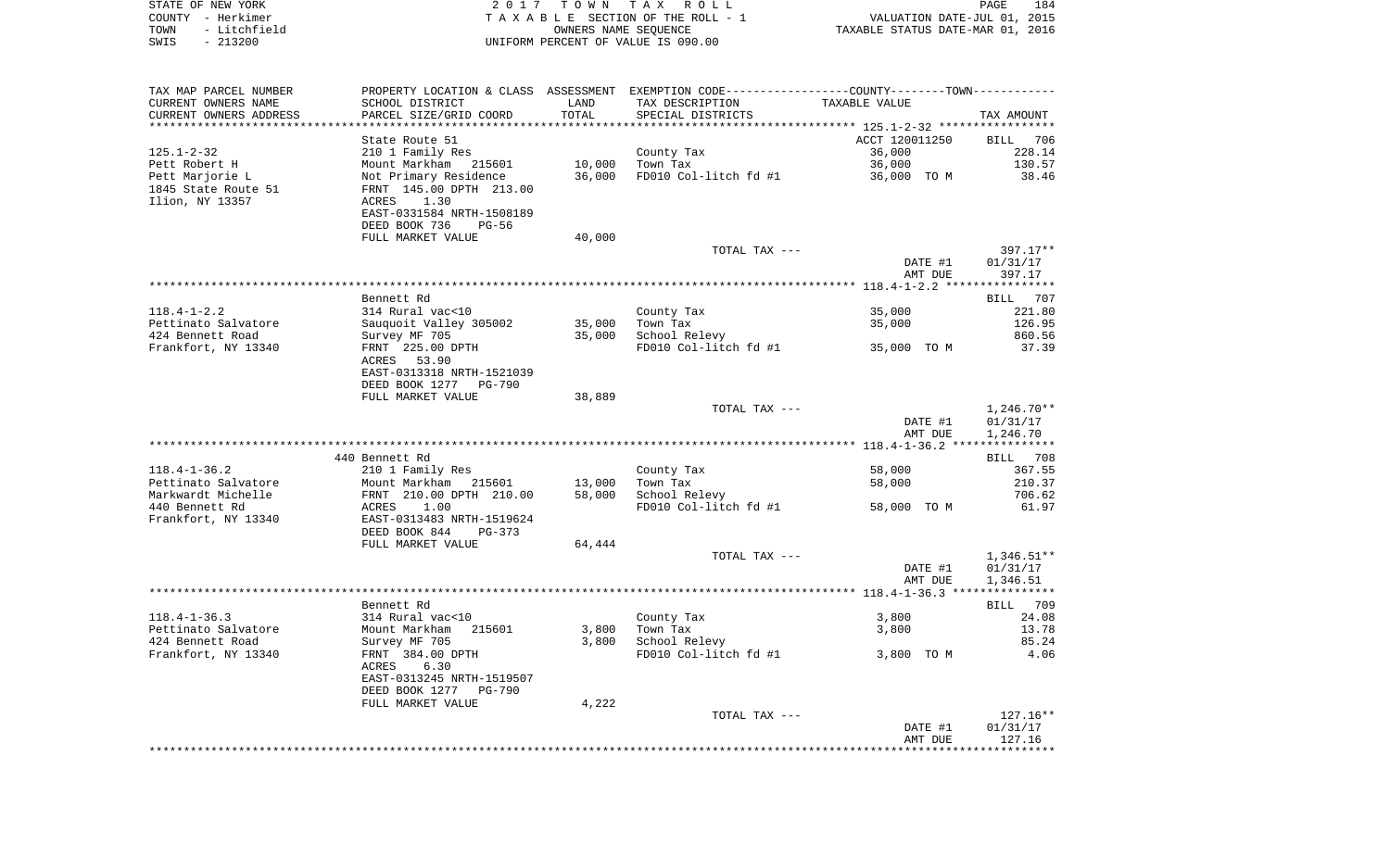|      | STATE OF NEW YORK | 2017 TOWN TAX ROLL                 | 184<br>PAGE                      |  |
|------|-------------------|------------------------------------|----------------------------------|--|
|      | COUNTY - Herkimer | TAXABLE SECTION OF THE ROLL - 1    | VALUATION DATE-JUL 01, 2015      |  |
| TOWN | - Litchfield      | OWNERS NAME SEOUENCE               | TAXABLE STATUS DATE-MAR 01, 2016 |  |
| SWIS | - 213200          | UNIFORM PERCENT OF VALUE IS 090.00 |                                  |  |

| TAX MAP PARCEL NUMBER<br>CURRENT OWNERS NAME | SCHOOL DISTRICT                   | LAND   | PROPERTY LOCATION & CLASS ASSESSMENT EXEMPTION CODE---------------COUNTY-------TOWN---------<br>TAX DESCRIPTION | TAXABLE VALUE  |              |
|----------------------------------------------|-----------------------------------|--------|-----------------------------------------------------------------------------------------------------------------|----------------|--------------|
| CURRENT OWNERS ADDRESS                       | PARCEL SIZE/GRID COORD            | TOTAL  | SPECIAL DISTRICTS                                                                                               |                | TAX AMOUNT   |
|                                              |                                   |        |                                                                                                                 |                |              |
|                                              | State Route 51                    |        |                                                                                                                 | ACCT 120011250 | BILL 706     |
| 125.1-2-32                                   | 210 1 Family Res                  |        | County Tax                                                                                                      | 36,000         | 228.14       |
| Pett Robert H                                | Mount Markham 215601              | 10,000 | Town Tax                                                                                                        | 36,000         | 130.57       |
| Pett Marjorie L                              | Not Primary Residence             | 36,000 | FD010 Col-litch fd #1                                                                                           | 36,000 TO M    | 38.46        |
| 1845 State Route 51                          | FRNT 145.00 DPTH 213.00           |        |                                                                                                                 |                |              |
| Ilion, NY 13357                              | ACRES<br>1.30                     |        |                                                                                                                 |                |              |
|                                              | EAST-0331584 NRTH-1508189         |        |                                                                                                                 |                |              |
|                                              | DEED BOOK 736<br><b>PG-56</b>     |        |                                                                                                                 |                |              |
|                                              | FULL MARKET VALUE                 | 40,000 |                                                                                                                 |                |              |
|                                              |                                   |        | TOTAL TAX ---                                                                                                   |                | 397.17**     |
|                                              |                                   |        |                                                                                                                 | DATE #1        | 01/31/17     |
|                                              |                                   |        |                                                                                                                 | AMT DUE        | 397.17       |
|                                              |                                   |        |                                                                                                                 |                |              |
|                                              | Bennett Rd                        |        |                                                                                                                 |                | BILL 707     |
| $118.4 - 1 - 2.2$                            | 314 Rural vac<10                  |        | County Tax                                                                                                      | 35,000         | 221.80       |
| Pettinato Salvatore                          | Sauquoit Valley 305002            | 35,000 | Town Tax                                                                                                        | 35,000         | 126.95       |
| 424 Bennett Road                             | Survey MF 705                     | 35,000 | School Relevy                                                                                                   |                | 860.56       |
| Frankfort, NY 13340                          | FRNT 225.00 DPTH                  |        | FD010 Col-litch fd #1                                                                                           | 35,000 TO M    | 37.39        |
|                                              | ACRES 53.90                       |        |                                                                                                                 |                |              |
|                                              | EAST-0313318 NRTH-1521039         |        |                                                                                                                 |                |              |
|                                              | DEED BOOK 1277 PG-790             |        |                                                                                                                 |                |              |
|                                              | FULL MARKET VALUE                 | 38,889 | TOTAL TAX ---                                                                                                   |                | $1,246.70**$ |
|                                              |                                   |        |                                                                                                                 | DATE #1        | 01/31/17     |
|                                              |                                   |        |                                                                                                                 | AMT DUE        | 1,246.70     |
|                                              |                                   |        |                                                                                                                 |                |              |
|                                              | 440 Bennett Rd                    |        |                                                                                                                 |                | BILL 708     |
| $118.4 - 1 - 36.2$                           | 210 1 Family Res                  |        | County Tax                                                                                                      | 58,000         | 367.55       |
| Pettinato Salvatore                          | Mount Markham 215601              | 13,000 | Town Tax                                                                                                        | 58,000         | 210.37       |
| Markwardt Michelle                           | FRNT 210.00 DPTH 210.00           | 58,000 | School Relevy                                                                                                   |                | 706.62       |
| 440 Bennett Rd                               | 1.00<br>ACRES                     |        | FD010 Col-litch fd #1                                                                                           | 58,000 TO M    | 61.97        |
| Frankfort, NY 13340                          | EAST-0313483 NRTH-1519624         |        |                                                                                                                 |                |              |
|                                              | DEED BOOK 844<br>PG-373           |        |                                                                                                                 |                |              |
|                                              | FULL MARKET VALUE                 | 64,444 |                                                                                                                 |                |              |
|                                              |                                   |        | TOTAL TAX ---                                                                                                   |                | $1,346.51**$ |
|                                              |                                   |        |                                                                                                                 | DATE #1        | 01/31/17     |
|                                              |                                   |        |                                                                                                                 | AMT DUE        | 1,346.51     |
|                                              |                                   |        |                                                                                                                 |                |              |
|                                              | Bennett Rd                        |        |                                                                                                                 |                | BILL 709     |
| $118.4 - 1 - 36.3$                           | 314 Rural vac<10                  |        | County Tax                                                                                                      | 3,800          | 24.08        |
| Pettinato Salvatore                          | Mount Markham 215601              | 3,800  | Town Tax                                                                                                        | 3,800          | 13.78        |
| 424 Bennett Road                             | Survey MF 705                     | 3,800  | School Relevy                                                                                                   |                | 85.24        |
| Frankfort, NY 13340                          | FRNT 384.00 DPTH<br>ACRES<br>6.30 |        | FD010 Col-litch fd #1                                                                                           | 3,800 TO M     | 4.06         |
|                                              | EAST-0313245 NRTH-1519507         |        |                                                                                                                 |                |              |
|                                              | DEED BOOK 1277<br><b>PG-790</b>   |        |                                                                                                                 |                |              |
|                                              | FULL MARKET VALUE                 | 4,222  |                                                                                                                 |                |              |
|                                              |                                   |        | TOTAL TAX ---                                                                                                   |                | $127.16**$   |
|                                              |                                   |        |                                                                                                                 | DATE #1        | 01/31/17     |
|                                              |                                   |        |                                                                                                                 | AMT DUE        | 127.16       |
|                                              |                                   |        |                                                                                                                 |                | **********   |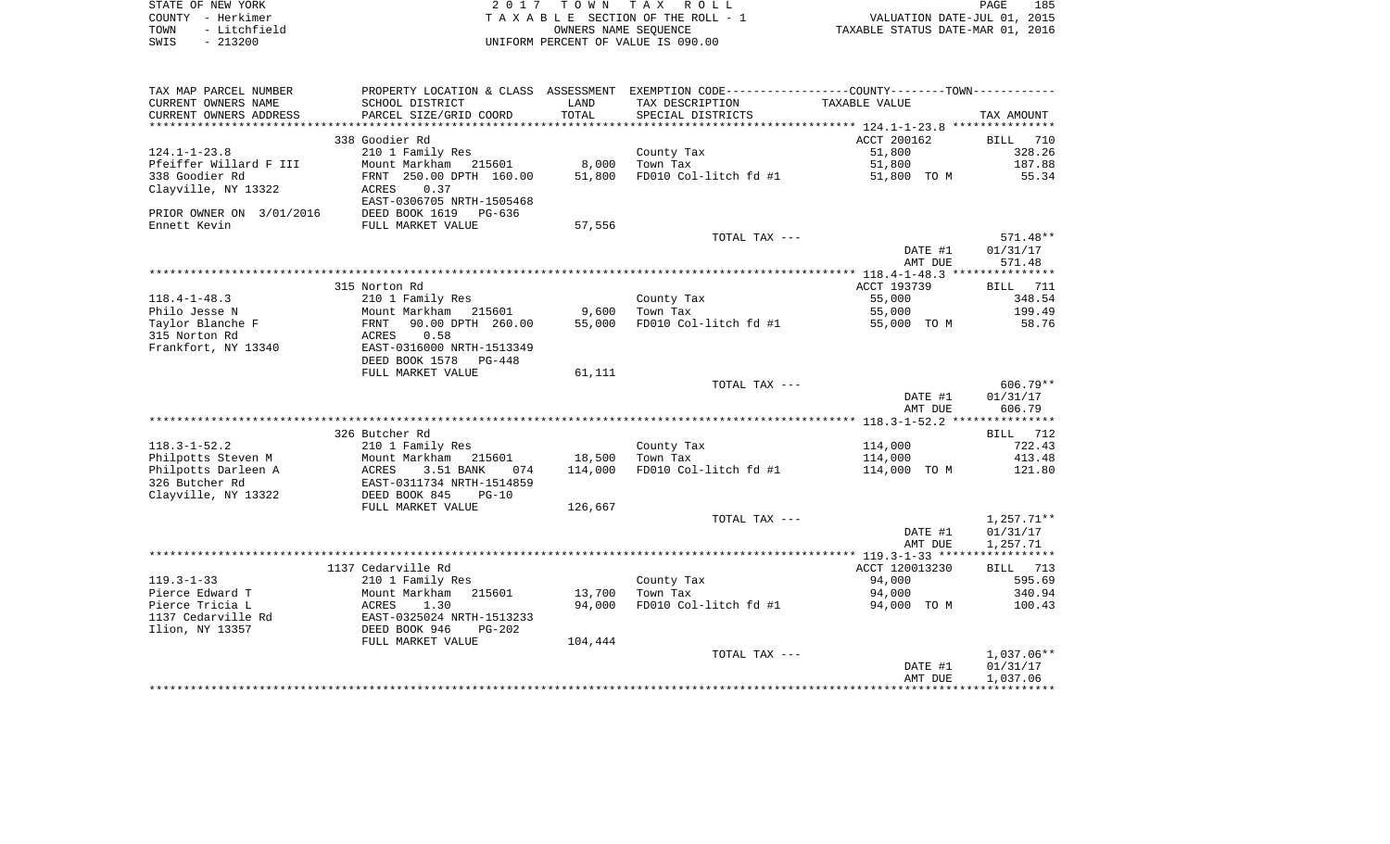|      | STATE OF NEW YORK | 2017 TOWN TAX ROLL                 | PAGE                             | 185 |
|------|-------------------|------------------------------------|----------------------------------|-----|
|      | COUNTY - Herkimer | TAXABLE SECTION OF THE ROLL - 1    | VALUATION DATE-JUL 01, 2015      |     |
| TOWN | - Litchfield      | OWNERS NAME SEOUENCE               | TAXABLE STATUS DATE-MAR 01, 2016 |     |
| SWIS | - 213200          | UNIFORM PERCENT OF VALUE IS 090.00 |                                  |     |

| TAX MAP PARCEL NUMBER             | PROPERTY LOCATION & CLASS ASSESSMENT EXEMPTION CODE---------------COUNTY-------TOWN---------- |                 |                                   |                |                 |
|-----------------------------------|-----------------------------------------------------------------------------------------------|-----------------|-----------------------------------|----------------|-----------------|
| CURRENT OWNERS NAME               | SCHOOL DISTRICT                                                                               | LAND            | TAX DESCRIPTION                   | TAXABLE VALUE  |                 |
| CURRENT OWNERS ADDRESS            | PARCEL SIZE/GRID COORD                                                                        | TOTAL           | SPECIAL DISTRICTS                 |                | TAX AMOUNT      |
| *********************             |                                                                                               |                 |                                   |                |                 |
|                                   | 338 Goodier Rd                                                                                |                 |                                   | ACCT 200162    | BILL 710        |
| $124.1 - 1 - 23.8$                | 210 1 Family Res                                                                              |                 | County Tax                        | 51,800         | 328.26          |
| Pfeiffer Willard F III            | Mount Markham 215601                                                                          | 8,000           | Town Tax                          | 51,800         | 187.88          |
| 338 Goodier Rd                    | FRNT 250.00 DPTH 160.00                                                                       | 51,800          | FD010 Col-litch fd #1             | 51,800 TO M    | 55.34           |
| Clayville, NY 13322               | 0.37<br>ACRES                                                                                 |                 |                                   |                |                 |
|                                   | EAST-0306705 NRTH-1505468                                                                     |                 |                                   |                |                 |
| PRIOR OWNER ON 3/01/2016          | DEED BOOK 1619<br>PG-636                                                                      |                 |                                   |                |                 |
| Ennett Kevin                      | FULL MARKET VALUE                                                                             | 57,556          |                                   |                |                 |
|                                   |                                                                                               |                 | TOTAL TAX ---                     |                | $571.48**$      |
|                                   |                                                                                               |                 |                                   | DATE #1        | 01/31/17        |
|                                   |                                                                                               |                 |                                   | AMT DUE        | 571.48          |
|                                   |                                                                                               |                 |                                   |                |                 |
|                                   | 315 Norton Rd                                                                                 |                 |                                   | ACCT 193739    | BILL 711        |
| $118.4 - 1 - 48.3$                | 210 1 Family Res                                                                              |                 | County Tax                        | 55,000         | 348.54          |
| Philo Jesse N<br>Taylor Blanche F | Mount Markham 215601<br>90.00 DPTH 260.00<br>FRNT                                             | 9,600<br>55,000 | Town Tax<br>FD010 Col-litch fd #1 | 55,000         | 199.49<br>58.76 |
| 315 Norton Rd                     | 0.58<br>ACRES                                                                                 |                 |                                   | 55,000 TO M    |                 |
| Frankfort, NY 13340               | EAST-0316000 NRTH-1513349                                                                     |                 |                                   |                |                 |
|                                   | DEED BOOK 1578<br>PG-448                                                                      |                 |                                   |                |                 |
|                                   | FULL MARKET VALUE                                                                             | 61,111          |                                   |                |                 |
|                                   |                                                                                               |                 | TOTAL TAX ---                     |                | $606.79**$      |
|                                   |                                                                                               |                 |                                   | DATE #1        | 01/31/17        |
|                                   |                                                                                               |                 |                                   | AMT DUE        | 606.79          |
|                                   |                                                                                               |                 |                                   |                |                 |
|                                   | 326 Butcher Rd                                                                                |                 |                                   |                | BILL 712        |
| $118.3 - 1 - 52.2$                | 210 1 Family Res                                                                              |                 | County Tax                        | 114,000        | 722.43          |
| Philpotts Steven M                | Mount Markham 215601                                                                          | 18,500          | Town Tax                          | 114,000        | 413.48          |
| Philpotts Darleen A               | ACRES<br>3.51 BANK<br>074                                                                     | 114,000         | FD010 Col-litch fd #1             | 114,000 TO M   | 121.80          |
| 326 Butcher Rd                    | EAST-0311734 NRTH-1514859                                                                     |                 |                                   |                |                 |
| Clayville, NY 13322               | DEED BOOK 845<br>$PG-10$                                                                      |                 |                                   |                |                 |
|                                   | FULL MARKET VALUE                                                                             | 126,667         |                                   |                |                 |
|                                   |                                                                                               |                 | TOTAL TAX ---                     |                | 1,257.71**      |
|                                   |                                                                                               |                 |                                   | DATE #1        | 01/31/17        |
|                                   |                                                                                               |                 |                                   | AMT DUE        | 1,257.71        |
|                                   |                                                                                               |                 |                                   |                |                 |
|                                   | 1137 Cedarville Rd                                                                            |                 |                                   | ACCT 120013230 | BILL 713        |
| $119.3 - 1 - 33$                  | 210 1 Family Res                                                                              |                 | County Tax                        | 94,000         | 595.69          |
| Pierce Edward T                   | Mount Markham<br>215601                                                                       | 13,700          | Town Tax                          | 94,000         | 340.94          |
| Pierce Tricia L                   | ACRES<br>1.30                                                                                 | 94,000          | FD010 Col-litch fd #1             | 94,000 TO M    | 100.43          |
| 1137 Cedarville Rd                | EAST-0325024 NRTH-1513233                                                                     |                 |                                   |                |                 |
| Ilion, NY 13357                   | DEED BOOK 946<br>$PG-202$                                                                     |                 |                                   |                |                 |
|                                   | FULL MARKET VALUE                                                                             | 104,444         |                                   |                |                 |
|                                   |                                                                                               |                 | TOTAL TAX ---                     |                | $1,037.06**$    |
|                                   |                                                                                               |                 |                                   | DATE #1        | 01/31/17        |
|                                   |                                                                                               |                 |                                   | AMT DUE        | 1,037.06        |
|                                   |                                                                                               |                 |                                   |                |                 |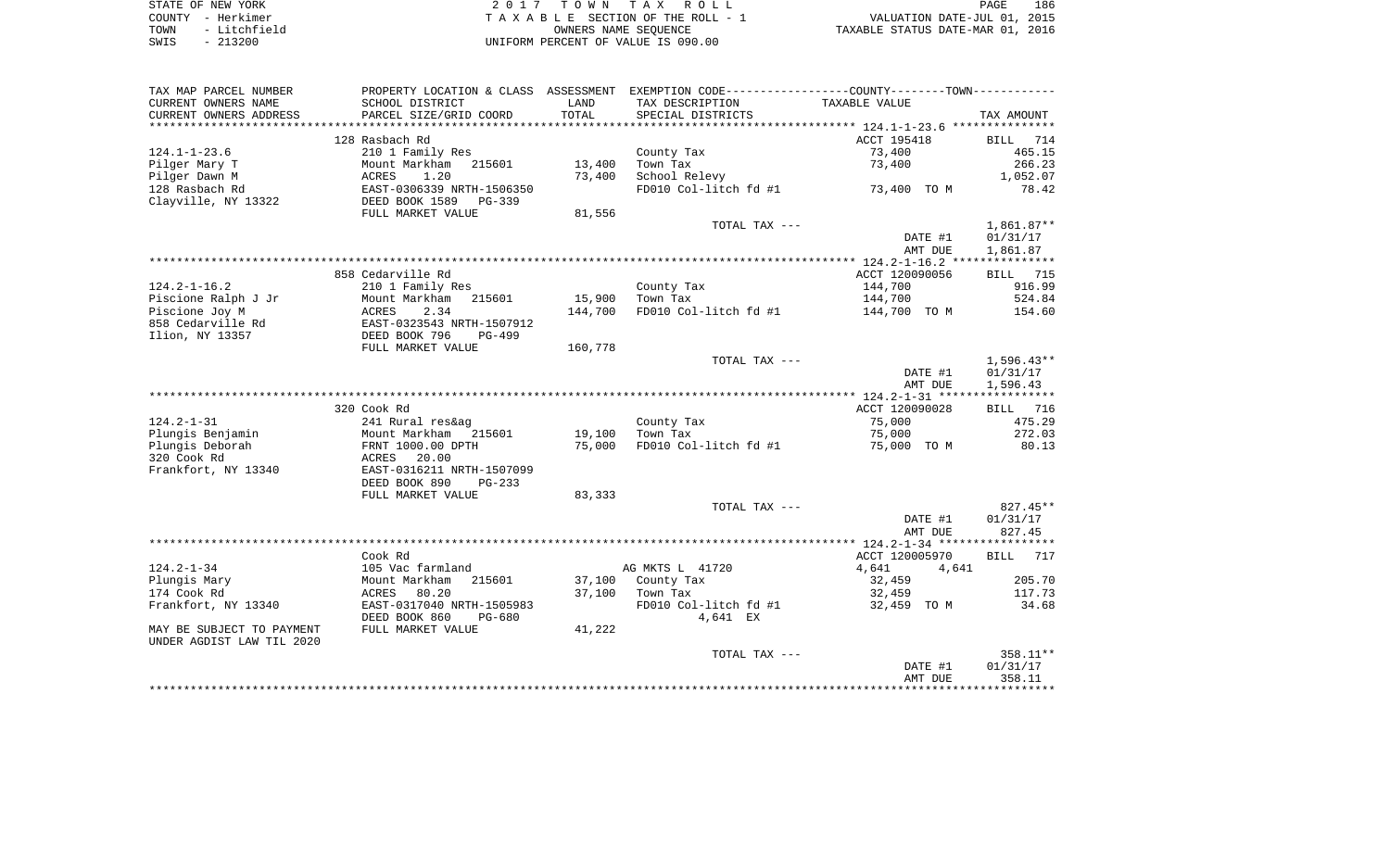| STATE OF NEW YORK |          |              |  |
|-------------------|----------|--------------|--|
| COUNTY - Herkimer |          |              |  |
| TOWN              |          | - Litchfield |  |
| <b>CMTC</b>       | - 213200 |              |  |

STATE OF NEW YORK 2 0 1 7 T O W N T A X R O L L PAGE 186TA X A B L E SECTION OF THE ROLL - 1 TOWN - Litchfield OWNERS NAME SEQUENCE TAXABLE STATUS DATE-MAR 01, 2016 SWIS - 213200 UNIFORM PERCENT OF VALUE IS 090.00

| TAX MAP PARCEL NUMBER     |                           |         | PROPERTY LOCATION & CLASS ASSESSMENT EXEMPTION CODE--------------COUNTY-------TOWN--------- |                |              |
|---------------------------|---------------------------|---------|---------------------------------------------------------------------------------------------|----------------|--------------|
| CURRENT OWNERS NAME       | SCHOOL DISTRICT           | LAND    | TAX DESCRIPTION                                                                             | TAXABLE VALUE  |              |
| CURRENT OWNERS ADDRESS    | PARCEL SIZE/GRID COORD    | TOTAL   | SPECIAL DISTRICTS                                                                           |                | TAX AMOUNT   |
|                           |                           |         |                                                                                             |                |              |
|                           | 128 Rasbach Rd            |         |                                                                                             | ACCT 195418    | BILL<br>714  |
| $124.1 - 1 - 23.6$        | 210 1 Family Res          |         | County Tax                                                                                  | 73,400         | 465.15       |
|                           |                           |         |                                                                                             |                |              |
| Pilger Mary T             | Mount Markham<br>215601   | 13,400  | Town Tax                                                                                    | 73,400         | 266.23       |
| Pilger Dawn M             | 1.20<br>ACRES             | 73,400  | School Relevy                                                                               |                | 1,052.07     |
| 128 Rasbach Rd            | EAST-0306339 NRTH-1506350 |         | FD010 Col-litch fd #1                                                                       | 73,400 TO M    | 78.42        |
| Clayville, NY 13322       | DEED BOOK 1589<br>PG-339  |         |                                                                                             |                |              |
|                           | FULL MARKET VALUE         | 81,556  |                                                                                             |                |              |
|                           |                           |         | TOTAL TAX ---                                                                               |                | $1,861.87**$ |
|                           |                           |         |                                                                                             | DATE #1        | 01/31/17     |
|                           |                           |         |                                                                                             | AMT DUE        | 1,861.87     |
|                           |                           |         |                                                                                             |                |              |
|                           | 858 Cedarville Rd         |         |                                                                                             | ACCT 120090056 |              |
|                           |                           |         |                                                                                             |                | 715<br>BILL  |
| $124.2 - 1 - 16.2$        | 210 1 Family Res          |         | County Tax                                                                                  | 144,700        | 916.99       |
| Piscione Ralph J Jr       | Mount Markham<br>215601   | 15,900  | Town Tax                                                                                    | 144,700        | 524.84       |
| Piscione Joy M            | ACRES<br>2.34             | 144,700 | FD010 Col-litch fd #1                                                                       | 144,700 TO M   | 154.60       |
| 858 Cedarville Rd         | EAST-0323543 NRTH-1507912 |         |                                                                                             |                |              |
| Ilion, NY 13357           | DEED BOOK 796<br>$PG-499$ |         |                                                                                             |                |              |
|                           | FULL MARKET VALUE         | 160,778 |                                                                                             |                |              |
|                           |                           |         | TOTAL TAX ---                                                                               |                | $1,596.43**$ |
|                           |                           |         |                                                                                             | DATE #1        | 01/31/17     |
|                           |                           |         |                                                                                             | AMT DUE        | 1,596.43     |
|                           |                           |         |                                                                                             |                |              |
|                           |                           |         |                                                                                             | ACCT 120090028 | BILL 716     |
|                           | 320 Cook Rd               |         |                                                                                             |                |              |
| $124.2 - 1 - 31$          | 241 Rural res&ag          |         | County Tax                                                                                  | 75,000         | 475.29       |
| Plungis Benjamin          | Mount Markham<br>215601   | 19,100  | Town Tax                                                                                    | 75,000         | 272.03       |
| Plungis Deborah           | FRNT 1000.00 DPTH         | 75,000  | FD010 Col-litch fd #1                                                                       | 75,000 TO M    | 80.13        |
| 320 Cook Rd               | 20.00<br>ACRES            |         |                                                                                             |                |              |
| Frankfort, NY 13340       | EAST-0316211 NRTH-1507099 |         |                                                                                             |                |              |
|                           | DEED BOOK 890<br>$PG-233$ |         |                                                                                             |                |              |
|                           | FULL MARKET VALUE         | 83,333  |                                                                                             |                |              |
|                           |                           |         | TOTAL TAX ---                                                                               |                | $827.45**$   |
|                           |                           |         |                                                                                             | DATE #1        | 01/31/17     |
|                           |                           |         |                                                                                             | AMT DUE        | 827.45       |
|                           |                           |         |                                                                                             |                |              |
|                           |                           |         |                                                                                             |                | 717          |
|                           | Cook Rd                   |         |                                                                                             | ACCT 120005970 | <b>BILL</b>  |
| $124.2 - 1 - 34$          | 105 Vac farmland          |         | AG MKTS L 41720                                                                             | 4,641<br>4,641 |              |
| Plungis Mary              | Mount Markham<br>215601   | 37,100  | County Tax                                                                                  | 32,459         | 205.70       |
| 174 Cook Rd               | ACRES<br>80.20            | 37,100  | Town Tax                                                                                    | 32,459         | 117.73       |
| Frankfort, NY 13340       | EAST-0317040 NRTH-1505983 |         | FD010 Col-litch fd #1                                                                       | 32,459 TO M    | 34.68        |
|                           | DEED BOOK 860<br>PG-680   |         | 4,641 EX                                                                                    |                |              |
| MAY BE SUBJECT TO PAYMENT | FULL MARKET VALUE         | 41,222  |                                                                                             |                |              |
| UNDER AGDIST LAW TIL 2020 |                           |         |                                                                                             |                |              |
|                           |                           |         | TOTAL TAX ---                                                                               |                | 358.11**     |
|                           |                           |         |                                                                                             | DATE #1        | 01/31/17     |
|                           |                           |         |                                                                                             | AMT DUE        | 358.11       |
|                           |                           |         |                                                                                             |                |              |
|                           |                           |         |                                                                                             |                |              |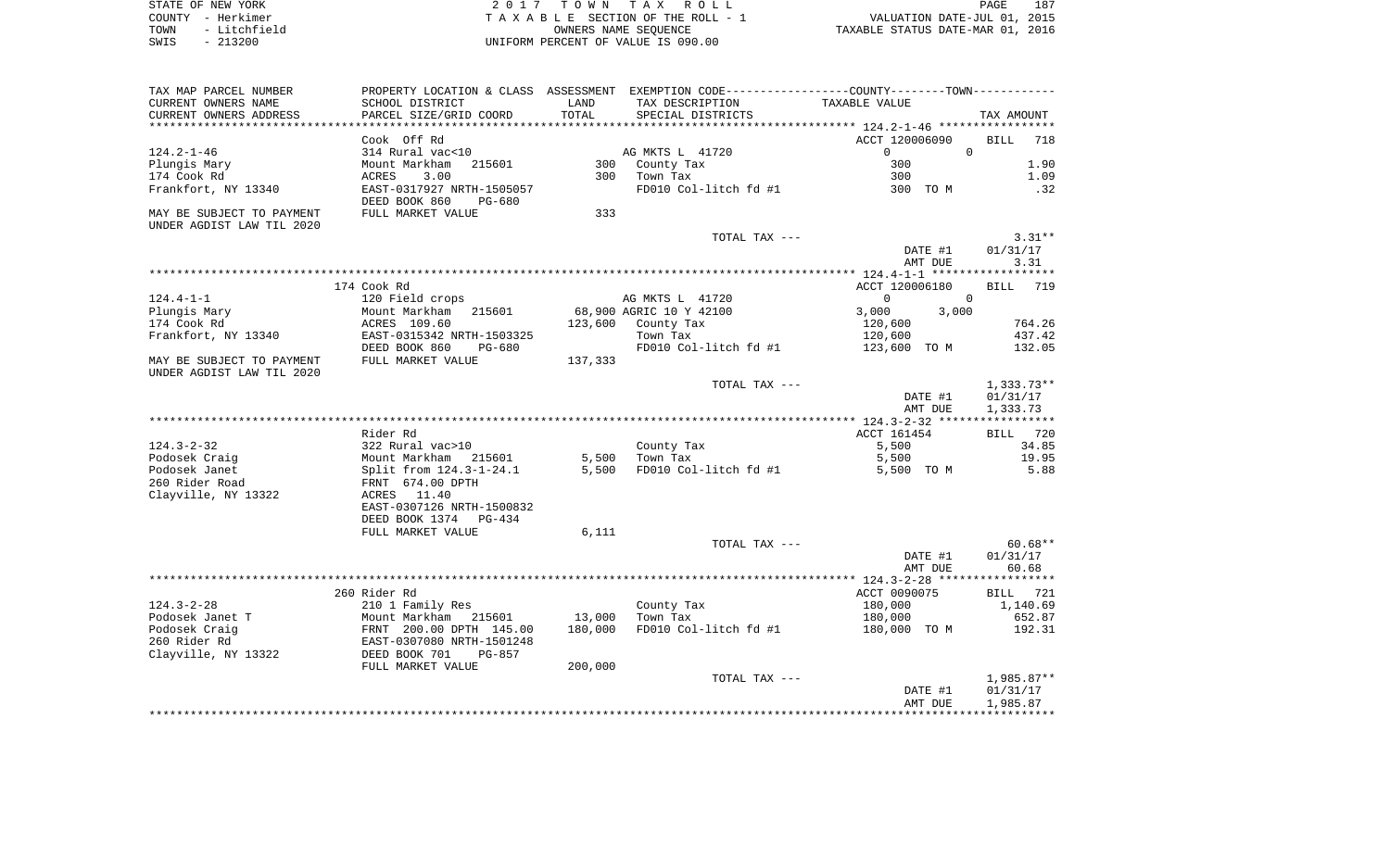| STATE OF NEW YORK |  |              |  |
|-------------------|--|--------------|--|
| COUNTY - Herkimer |  |              |  |
| TOWN              |  | - Litchfield |  |
| SWIS              |  | $-213200$    |  |

STATE OF NEW YORK 2 0 1 7 T O W N T A X R O L L PAGE 187 COUNTY - Herkimer T A X A B L E SECTION OF THE ROLL - 1 VALUATION DATE-JUL 01, 2015 TOWN - Litchfield OWNERS NAME SEQUENCE TAXABLE STATUS DATE-MAR 01, 2016 UNIFORM PERCENT OF VALUE IS 090.00

| TAX MAP PARCEL NUMBER<br>CURRENT OWNERS NAME                                                | PROPERTY LOCATION & CLASS ASSESSMENT<br>SCHOOL DISTRICT                                                                                          | LAND              | TAX DESCRIPTION                                                    | EXEMPTION CODE-----------------COUNTY-------TOWN-----------<br>TAXABLE VALUE |                                                    |
|---------------------------------------------------------------------------------------------|--------------------------------------------------------------------------------------------------------------------------------------------------|-------------------|--------------------------------------------------------------------|------------------------------------------------------------------------------|----------------------------------------------------|
| CURRENT OWNERS ADDRESS                                                                      | PARCEL SIZE/GRID COORD                                                                                                                           | TOTAL             | SPECIAL DISTRICTS                                                  | *********** 124.2-1-46 *************                                         | TAX AMOUNT                                         |
| $124.2 - 1 - 46$<br>Plungis Mary<br>174 Cook Rd<br>Frankfort, NY 13340                      | Cook Off Rd<br>314 Rural vac<10<br>Mount Markham<br>215601<br>3.00<br>ACRES<br>EAST-0317927 NRTH-1505057                                         | 300<br>300        | AG MKTS L 41720<br>County Tax<br>Town Tax<br>FD010 Col-litch fd #1 | ACCT 120006090<br>$\mathsf 0$<br>$\Omega$<br>300<br>300                      | <b>BILL</b><br>718<br>1.90<br>1.09<br>.32          |
| MAY BE SUBJECT TO PAYMENT                                                                   | DEED BOOK 860<br>PG-680<br>FULL MARKET VALUE                                                                                                     | 333               |                                                                    | 300 TO M                                                                     |                                                    |
| UNDER AGDIST LAW TIL 2020                                                                   |                                                                                                                                                  |                   |                                                                    |                                                                              |                                                    |
|                                                                                             |                                                                                                                                                  |                   | TOTAL TAX ---                                                      | DATE #1<br>AMT DUE                                                           | $3.31**$<br>01/31/17<br>3.31                       |
|                                                                                             |                                                                                                                                                  |                   |                                                                    | ********** $124.4 - 1 - 1$                                                   | ****<br>*************                              |
| $124.4 - 1 - 1$                                                                             | 174 Cook Rd<br>120 Field crops                                                                                                                   |                   | AG MKTS L 41720                                                    | ACCT 120006180<br>$\mathbf 0$<br>$\mathbf 0$                                 | 719<br><b>BILL</b>                                 |
| Plungis Mary<br>174 Cook Rd<br>Frankfort, NY 13340                                          | Mount Markham<br>215601<br>ACRES 109.60<br>EAST-0315342 NRTH-1503325                                                                             | 123,600           | 68,900 AGRIC 10 Y 42100<br>County Tax<br>Town Tax                  | 3,000<br>3,000<br>120,600<br>120,600                                         | 764.26<br>437.42                                   |
| MAY BE SUBJECT TO PAYMENT<br>UNDER AGDIST LAW TIL 2020                                      | DEED BOOK 860<br>PG-680<br>FULL MARKET VALUE                                                                                                     | 137,333           | FD010 Col-litch fd #1                                              | 123,600 TO M                                                                 | 132.05                                             |
|                                                                                             |                                                                                                                                                  |                   | TOTAL TAX ---                                                      | DATE #1<br>AMT DUE                                                           | $1,333.73**$<br>01/31/17<br>1,333.73               |
|                                                                                             | Rider Rd                                                                                                                                         |                   |                                                                    | ACCT 161454                                                                  | 720<br><b>BILL</b>                                 |
| $124.3 - 2 - 32$                                                                            | 322 Rural vac>10                                                                                                                                 |                   | County Tax                                                         | 5,500                                                                        | 34.85                                              |
| Podosek Craig<br>Podosek Janet<br>260 Rider Road<br>Clayville, NY 13322                     | Mount Markham 215601<br>Split from 124.3-1-24.1<br>FRNT 674.00 DPTH<br>ACRES 11.40                                                               | 5,500<br>5,500    | Town Tax<br>FD010 Col-litch fd #1                                  | 5,500<br>5,500 TO M                                                          | 19.95<br>5.88                                      |
|                                                                                             | EAST-0307126 NRTH-1500832<br>DEED BOOK 1374<br>$PG-434$                                                                                          |                   |                                                                    |                                                                              |                                                    |
|                                                                                             | FULL MARKET VALUE                                                                                                                                | 6,111             |                                                                    |                                                                              |                                                    |
|                                                                                             |                                                                                                                                                  |                   | TOTAL TAX ---                                                      | DATE #1<br>AMT DUE                                                           | $60.68**$<br>01/31/17<br>60.68                     |
|                                                                                             |                                                                                                                                                  |                   |                                                                    |                                                                              |                                                    |
| $124.3 - 2 - 28$<br>Podosek Janet T<br>Podosek Craig<br>260 Rider Rd<br>Clayville, NY 13322 | 260 Rider Rd<br>210 1 Family Res<br>Mount Markham<br>215601<br>FRNT 200.00 DPTH 145.00<br>EAST-0307080 NRTH-1501248<br>DEED BOOK 701<br>$PG-857$ | 13,000<br>180,000 | County Tax<br>Town Tax<br>FD010 Col-litch fd #1                    | ACCT 0090075<br>180,000<br>180,000<br>180,000<br>TO M                        | <b>BILL</b><br>721<br>1,140.69<br>652.87<br>192.31 |
|                                                                                             | FULL MARKET VALUE                                                                                                                                | 200,000           |                                                                    |                                                                              |                                                    |
|                                                                                             |                                                                                                                                                  |                   | TOTAL TAX ---                                                      | DATE #1<br>AMT DUE                                                           | 1,985.87**<br>01/31/17<br>1,985.87                 |
|                                                                                             |                                                                                                                                                  |                   |                                                                    |                                                                              |                                                    |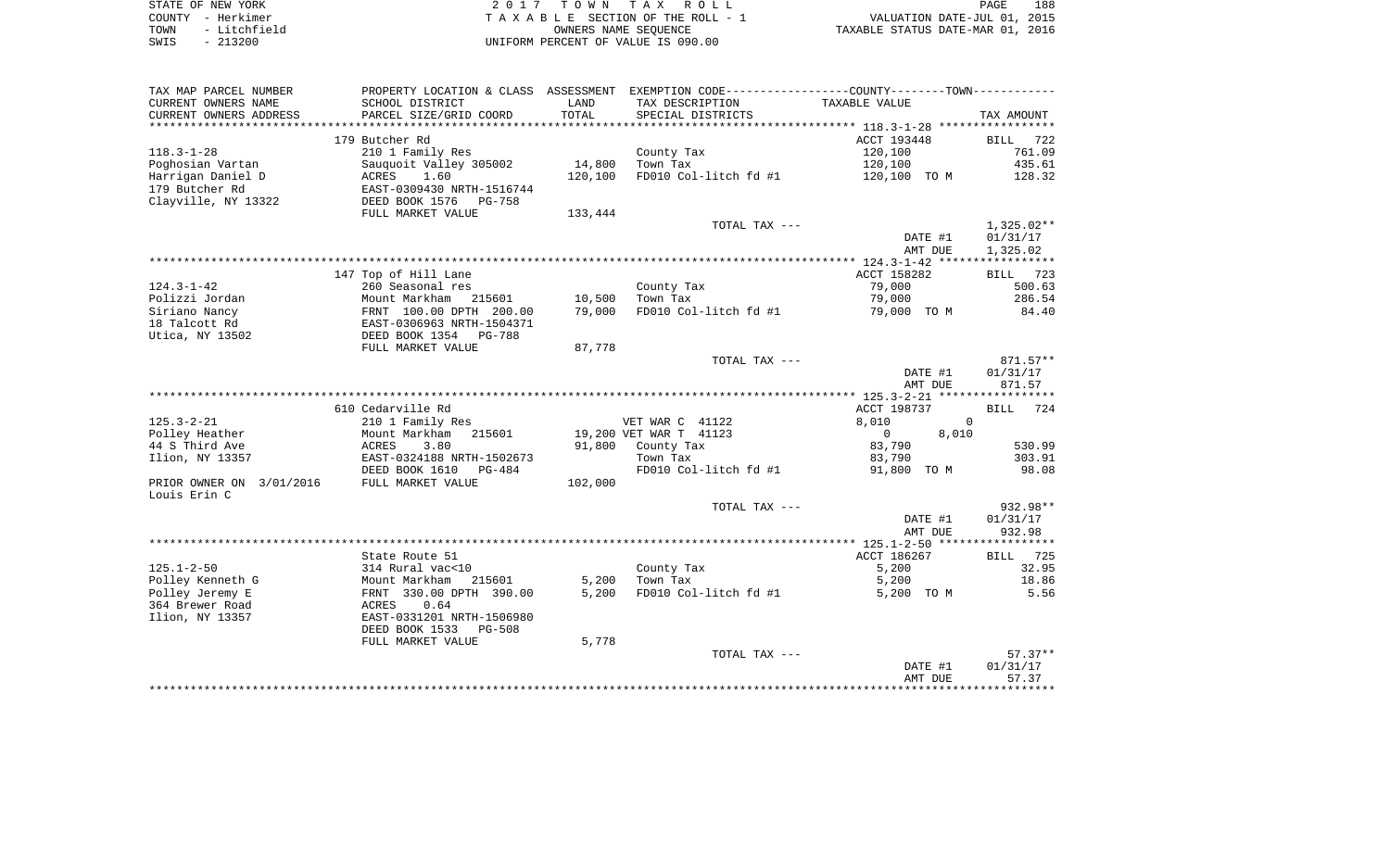| STATE OF NEW YORK    | 2017 TOWN TAX ROLL                 | 188<br>PAGE                      |
|----------------------|------------------------------------|----------------------------------|
| COUNTY - Herkimer    | TAXABLE SECTION OF THE ROLL - 1    | VALUATION DATE-JUL 01, 2015      |
| TOWN<br>- Litchfield | OWNERS NAME SEOUENCE               | TAXABLE STATUS DATE-MAR 01, 2016 |
| SWIS<br>- 213200     | UNIFORM PERCENT OF VALUE IS 090.00 |                                  |

| TAX MAP PARCEL NUMBER            | PROPERTY LOCATION & CLASS                               | ASSESSMENT | EXEMPTION CODE-----------------COUNTY-------TOWN----------- |                         |                    |
|----------------------------------|---------------------------------------------------------|------------|-------------------------------------------------------------|-------------------------|--------------------|
| CURRENT OWNERS NAME              | SCHOOL DISTRICT                                         | LAND       | TAX DESCRIPTION                                             | TAXABLE VALUE           |                    |
| CURRENT OWNERS ADDRESS           | PARCEL SIZE/GRID COORD                                  | TOTAL      | SPECIAL DISTRICTS                                           |                         | TAX AMOUNT         |
| *********************            | ***************************                             |            |                                                             |                         |                    |
|                                  | 179 Butcher Rd                                          |            |                                                             | ACCT 193448             | 722<br><b>BILL</b> |
| $118.3 - 1 - 28$                 | 210 1 Family Res                                        |            | County Tax                                                  | 120,100                 | 761.09             |
| Poghosian Vartan                 | Sauquoit Valley 305002                                  | 14,800     | Town Tax                                                    | 120,100                 | 435.61             |
| Harrigan Daniel D                | ACRES<br>1.60                                           | 120,100    | $FD010$ Col-litch fd #1                                     | 120,100 TO M            | 128.32             |
| 179 Butcher Rd                   | EAST-0309430 NRTH-1516744                               |            |                                                             |                         |                    |
| Clayville, NY 13322              | DEED BOOK 1576<br><b>PG-758</b>                         |            |                                                             |                         |                    |
|                                  | FULL MARKET VALUE                                       | 133,444    |                                                             |                         |                    |
|                                  |                                                         |            | TOTAL TAX ---                                               |                         | $1,325.02**$       |
|                                  |                                                         |            |                                                             | DATE #1                 | 01/31/17           |
|                                  |                                                         |            |                                                             | AMT DUE                 | 1,325.02           |
|                                  |                                                         |            |                                                             |                         |                    |
|                                  | 147 Top of Hill Lane                                    |            |                                                             | ACCT 158282             | 723<br>BILL        |
| $124.3 - 1 - 42$                 | 260 Seasonal res                                        |            | County Tax                                                  | 79,000                  | 500.63             |
| Polizzi Jordan                   | Mount Markham<br>215601                                 | 10,500     | Town Tax                                                    | 79,000                  | 286.54             |
|                                  | FRNT 100.00 DPTH 200.00                                 |            |                                                             |                         | 84.40              |
| Siriano Nancy                    |                                                         | 79,000     | FD010 Col-litch fd #1                                       | 79,000 TO M             |                    |
| 18 Talcott Rd<br>Utica, NY 13502 | EAST-0306963 NRTH-1504371<br>DEED BOOK 1354<br>$PG-788$ |            |                                                             |                         |                    |
|                                  |                                                         |            |                                                             |                         |                    |
|                                  | FULL MARKET VALUE                                       | 87,778     |                                                             |                         | 871.57**           |
|                                  |                                                         |            | TOTAL TAX ---                                               | DATE #1                 |                    |
|                                  |                                                         |            |                                                             | AMT DUE                 | 01/31/17<br>871.57 |
|                                  |                                                         |            |                                                             |                         |                    |
|                                  | 610 Cedarville Rd                                       |            |                                                             | ACCT 198737             | <b>BILL</b><br>724 |
| $125.3 - 2 - 21$                 | 210 1 Family Res                                        |            | VET WAR C 41122                                             | 8,010                   | $\Omega$           |
| Polley Heather                   | Mount Markham<br>215601                                 |            | 19,200 VET WAR T 41123                                      | $\overline{0}$<br>8,010 |                    |
| 44 S Third Ave                   | 3.80<br>ACRES                                           | 91,800     | County Tax                                                  | 83,790                  | 530.99             |
| Ilion, NY 13357                  | EAST-0324188 NRTH-1502673                               |            | Town Tax                                                    | 83,790                  | 303.91             |
|                                  | DEED BOOK 1610<br>$PG-484$                              |            |                                                             |                         | 98.08              |
|                                  |                                                         |            | FD010 Col-litch fd #1                                       | 91,800 TO M             |                    |
| PRIOR OWNER ON 3/01/2016         | FULL MARKET VALUE                                       | 102,000    |                                                             |                         |                    |
| Louis Erin C                     |                                                         |            |                                                             |                         | 932.98**           |
|                                  |                                                         |            | TOTAL TAX ---                                               |                         |                    |
|                                  |                                                         |            |                                                             | DATE #1                 | 01/31/17           |
|                                  |                                                         |            |                                                             | AMT DUE                 | 932.98             |
|                                  |                                                         |            |                                                             |                         |                    |
|                                  | State Route 51                                          |            |                                                             | ACCT 186267             | 725<br><b>BILL</b> |
| $125.1 - 2 - 50$                 | 314 Rural vac<10                                        |            | County Tax                                                  | 5,200                   | 32.95              |
| Polley Kenneth G                 | Mount Markham<br>215601                                 | 5,200      | Town Tax                                                    | 5,200                   | 18.86              |
| Polley Jeremy E                  | FRNT 330.00 DPTH 390.00                                 | 5,200      | FD010 Col-litch fd #1                                       | 5,200 TO M              | 5.56               |
| 364 Brewer Road                  | ACRES<br>0.64                                           |            |                                                             |                         |                    |
| Ilion, NY 13357                  | EAST-0331201 NRTH-1506980                               |            |                                                             |                         |                    |
|                                  | DEED BOOK 1533<br>$PG-508$                              |            |                                                             |                         |                    |
|                                  | FULL MARKET VALUE                                       | 5,778      |                                                             |                         |                    |
|                                  |                                                         |            | TOTAL TAX ---                                               |                         | $57.37**$          |
|                                  |                                                         |            |                                                             | DATE #1                 | 01/31/17           |
|                                  |                                                         |            |                                                             | AMT DUE                 | 57.37              |
|                                  |                                                         |            |                                                             |                         |                    |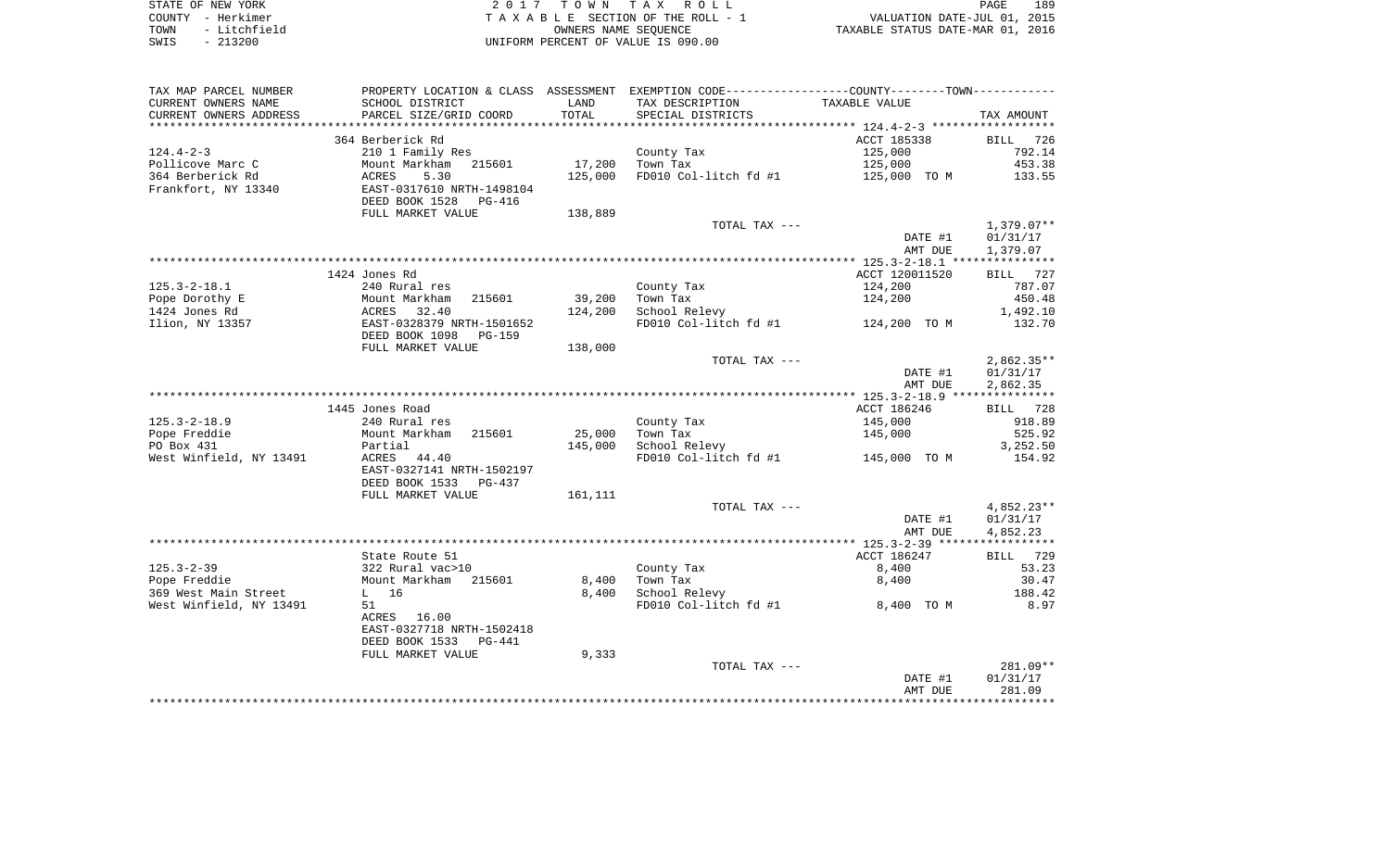| STATE OF NEW YORK    | 2017 TOWN TAX ROLL                 | 189<br>PAGE                      |
|----------------------|------------------------------------|----------------------------------|
| COUNTY - Herkimer    | TAXABLE SECTION OF THE ROLL - 1    | VALUATION DATE-JUL 01, 2015      |
| - Litchfield<br>TOWN | OWNERS NAME SEOUENCE               | TAXABLE STATUS DATE-MAR 01, 2016 |
| $-213200$<br>SWIS    | UNIFORM PERCENT OF VALUE IS 090.00 |                                  |

| TAX MAP PARCEL NUMBER<br>CURRENT OWNERS NAME     | PROPERTY LOCATION & CLASS ASSESSMENT EXEMPTION CODE---------------COUNTY--------TOWN----------<br>SCHOOL DISTRICT | LAND    | TAX DESCRIPTION       | TAXABLE VALUE  |              |
|--------------------------------------------------|-------------------------------------------------------------------------------------------------------------------|---------|-----------------------|----------------|--------------|
| CURRENT OWNERS ADDRESS<br>********************** | PARCEL SIZE/GRID COORD                                                                                            | TOTAL   | SPECIAL DISTRICTS     |                | TAX AMOUNT   |
|                                                  | 364 Berberick Rd                                                                                                  |         |                       | ACCT 185338    | BILL 726     |
| $124.4 - 2 - 3$                                  | 210 1 Family Res                                                                                                  |         | County Tax            | 125,000        | 792.14       |
| Pollicove Marc C                                 | Mount Markham<br>215601                                                                                           | 17,200  | Town Tax              | 125,000        | 453.38       |
| 364 Berberick Rd                                 | ACRES<br>5.30                                                                                                     | 125,000 | FD010 Col-litch fd #1 | 125,000 TO M   | 133.55       |
| Frankfort, NY 13340                              | EAST-0317610 NRTH-1498104<br>DEED BOOK 1528<br>PG-416                                                             |         |                       |                |              |
|                                                  | FULL MARKET VALUE                                                                                                 | 138,889 |                       |                |              |
|                                                  |                                                                                                                   |         | TOTAL TAX ---         |                | $1,379.07**$ |
|                                                  |                                                                                                                   |         |                       | DATE #1        | 01/31/17     |
|                                                  |                                                                                                                   |         |                       | AMT DUE        | 1,379.07     |
|                                                  | 1424 Jones Rd                                                                                                     |         |                       | ACCT 120011520 | BILL 727     |
| $125.3 - 2 - 18.1$                               | 240 Rural res                                                                                                     |         | County Tax            | 124,200        | 787.07       |
| Pope Dorothy E                                   | 215601                                                                                                            | 39,200  | Town Tax              | 124,200        | 450.48       |
| 1424 Jones Rd                                    | Mount Markham<br>ACRES 32.40                                                                                      | 124,200 | School Relevy         |                | 1,492.10     |
| Ilion, NY 13357                                  | EAST-0328379 NRTH-1501652                                                                                         |         | FD010 Col-litch fd #1 | 124,200 TO M   | 132.70       |
|                                                  | DEED BOOK 1098<br>PG-159                                                                                          |         |                       |                |              |
|                                                  | FULL MARKET VALUE                                                                                                 | 138,000 |                       |                |              |
|                                                  |                                                                                                                   |         | TOTAL TAX ---         |                | $2,862.35**$ |
|                                                  |                                                                                                                   |         |                       | DATE #1        | 01/31/17     |
|                                                  |                                                                                                                   |         |                       | AMT DUE        | 2,862.35     |
|                                                  |                                                                                                                   |         |                       |                |              |
|                                                  | 1445 Jones Road                                                                                                   |         |                       | ACCT 186246    | BILL 728     |
| $125.3 - 2 - 18.9$                               | 240 Rural res                                                                                                     |         | County Tax            | 145,000        | 918.89       |
| Pope Freddie                                     | Mount Markham<br>215601                                                                                           | 25,000  | Town Tax              | 145,000        | 525.92       |
| PO Box 431                                       | Partial                                                                                                           | 145,000 | School Relevy         |                | 3,252.50     |
| West Winfield, NY 13491                          | ACRES<br>44.40<br>EAST-0327141 NRTH-1502197<br>DEED BOOK 1533<br>PG-437                                           |         | FD010 Col-litch fd #1 | 145,000 TO M   | 154.92       |
|                                                  | FULL MARKET VALUE                                                                                                 | 161,111 |                       |                |              |
|                                                  |                                                                                                                   |         | TOTAL TAX ---         |                | $4,852.23**$ |
|                                                  |                                                                                                                   |         |                       | DATE #1        | 01/31/17     |
|                                                  |                                                                                                                   |         |                       | AMT DUE        | 4,852.23     |
|                                                  |                                                                                                                   |         |                       |                |              |
|                                                  | State Route 51                                                                                                    |         |                       | ACCT 186247    | BILL 729     |
| $125.3 - 2 - 39$                                 | 322 Rural vac>10                                                                                                  |         | County Tax            | 8,400          | 53.23        |
| Pope Freddie                                     | Mount Markham 215601                                                                                              | 8,400   | Town Tax              | 8,400          | 30.47        |
| 369 West Main Street                             | $L$ 16                                                                                                            | 8.400   | School Relevy         |                | 188.42       |
| West Winfield, NY 13491                          | 51                                                                                                                |         | FD010 Col-litch fd #1 | 8,400 TO M     | 8.97         |
|                                                  | ACRES 16.00<br>EAST-0327718 NRTH-1502418                                                                          |         |                       |                |              |
|                                                  | DEED BOOK 1533<br>PG-441                                                                                          |         |                       |                |              |
|                                                  | FULL MARKET VALUE                                                                                                 | 9,333   | TOTAL TAX ---         |                | 281.09**     |
|                                                  |                                                                                                                   |         |                       | DATE #1        | 01/31/17     |
|                                                  |                                                                                                                   |         |                       | AMT DUE        | 281.09       |
|                                                  |                                                                                                                   |         |                       |                |              |
|                                                  |                                                                                                                   |         |                       |                |              |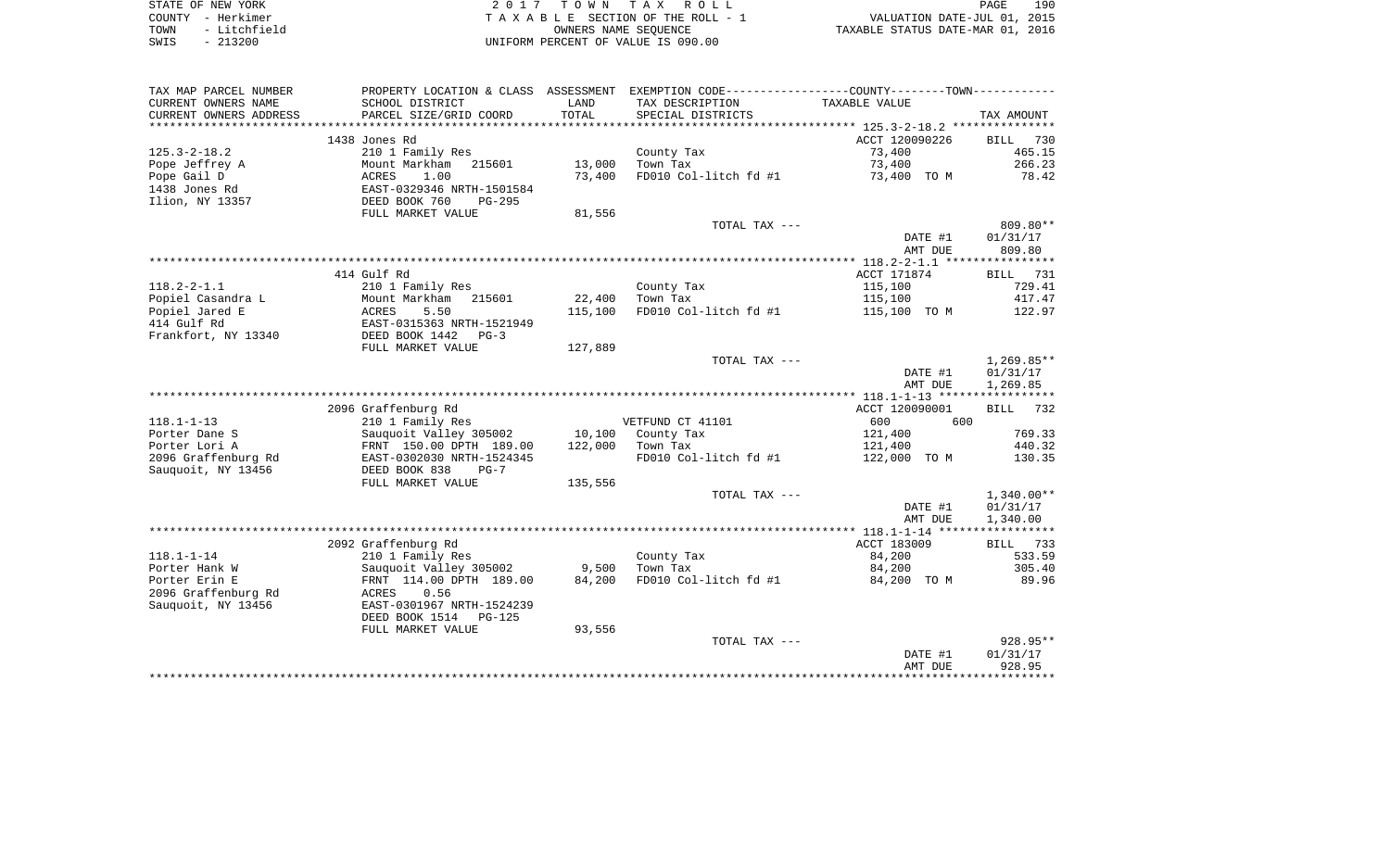| STATE OF NEW YORK |              | 2017 TOWN TAX ROLL                 |                                  | PAGE | 190 |
|-------------------|--------------|------------------------------------|----------------------------------|------|-----|
| COUNTY - Herkimer |              | TAXABLE SECTION OF THE ROLL - 1    | VALUATION DATE-JUL 01, 2015      |      |     |
| TOWN              | - Litchfield | OWNERS NAME SEOUENCE               | TAXABLE STATUS DATE-MAR 01, 2016 |      |     |
| SWIS              | $-213200$    | UNIFORM PERCENT OF VALUE IS 090.00 |                                  |      |     |

| TAX MAP PARCEL NUMBER                     | PROPERTY LOCATION & CLASS ASSESSMENT                 |                 |                                   | EXEMPTION CODE-----------------COUNTY-------TOWN----------- |                 |
|-------------------------------------------|------------------------------------------------------|-----------------|-----------------------------------|-------------------------------------------------------------|-----------------|
| CURRENT OWNERS NAME                       | SCHOOL DISTRICT                                      | LAND            | TAX DESCRIPTION                   | TAXABLE VALUE                                               |                 |
| CURRENT OWNERS ADDRESS                    | PARCEL SIZE/GRID COORD                               | TOTAL           | SPECIAL DISTRICTS                 |                                                             | TAX AMOUNT      |
|                                           | 1438 Jones Rd                                        |                 |                                   | ACCT 120090226                                              | 730<br>BILL     |
| $125.3 - 2 - 18.2$                        | 210 1 Family Res                                     |                 | County Tax                        | 73,400                                                      | 465.15          |
| Pope Jeffrey A                            | Mount Markham<br>215601                              | 13,000          | Town Tax                          | 73,400                                                      | 266.23          |
| Pope Gail D                               | 1.00<br>ACRES                                        | 73,400          | FD010 Col-litch fd #1             | 73,400 TO M                                                 | 78.42           |
| 1438 Jones Rd                             | EAST-0329346 NRTH-1501584                            |                 |                                   |                                                             |                 |
| Ilion, NY 13357                           | DEED BOOK 760<br>$PG-295$                            |                 |                                   |                                                             |                 |
|                                           | FULL MARKET VALUE                                    | 81,556          | TOTAL TAX ---                     |                                                             | 809.80**        |
|                                           |                                                      |                 |                                   | DATE #1                                                     | 01/31/17        |
|                                           |                                                      |                 |                                   | AMT DUE                                                     | 809.80          |
|                                           |                                                      |                 |                                   |                                                             |                 |
|                                           | 414 Gulf Rd                                          |                 |                                   | ACCT 171874                                                 | BILL 731        |
| $118.2 - 2 - 1.1$                         | 210 1 Family Res                                     |                 | County Tax                        | 115,100                                                     | 729.41          |
| Popiel Casandra L                         | Mount Markham<br>215601                              | 22,400          | Town Tax                          | 115,100                                                     | 417.47          |
| Popiel Jared E                            | 5.50<br>ACRES                                        | 115,100         | FD010 Col-litch fd #1             | 115,100 TO M                                                | 122.97          |
| 414 Gulf Rd                               | EAST-0315363 NRTH-1521949                            |                 |                                   |                                                             |                 |
| Frankfort, NY 13340                       | DEED BOOK 1442<br>$PG-3$<br>FULL MARKET VALUE        |                 |                                   |                                                             |                 |
|                                           |                                                      | 127,889         | TOTAL TAX ---                     |                                                             | $1,269.85**$    |
|                                           |                                                      |                 |                                   | DATE #1                                                     | 01/31/17        |
|                                           |                                                      |                 |                                   | AMT DUE                                                     | 1,269.85        |
|                                           |                                                      |                 |                                   |                                                             |                 |
|                                           | 2096 Graffenburg Rd                                  |                 |                                   | ACCT 120090001                                              | BILL<br>732     |
| $118.1 - 1 - 13$                          | 210 1 Family Res                                     |                 | VETFUND CT 41101                  | 600<br>600                                                  |                 |
| Porter Dane S                             | Sauquoit Valley 305002                               | 10,100          | County Tax                        | 121,400                                                     | 769.33          |
| Porter Lori A                             | FRNT 150.00 DPTH 189.00                              | 122,000         | Town Tax                          | 121,400                                                     | 440.32          |
| 2096 Graffenburg Rd<br>Sauquoit, NY 13456 | EAST-0302030 NRTH-1524345<br>DEED BOOK 838<br>$PG-7$ |                 | FD010 Col-litch fd #1             | 122,000 TO M                                                | 130.35          |
|                                           | FULL MARKET VALUE                                    | 135,556         |                                   |                                                             |                 |
|                                           |                                                      |                 | TOTAL TAX ---                     |                                                             | $1,340.00**$    |
|                                           |                                                      |                 |                                   | DATE #1                                                     | 01/31/17        |
|                                           |                                                      |                 |                                   | AMT DUE                                                     | 1,340.00        |
|                                           |                                                      |                 |                                   |                                                             |                 |
|                                           | 2092 Graffenburg Rd                                  |                 |                                   | ACCT 183009                                                 | BILL 733        |
| $118.1 - 1 - 14$                          | 210 1 Family Res                                     |                 | County Tax                        | 84,200                                                      | 533.59          |
| Porter Hank W<br>Porter Erin E            | Sauquoit Valley 305002<br>FRNT 114.00 DPTH 189.00    | 9,500<br>84,200 | Town Tax<br>FD010 Col-litch fd #1 | 84,200<br>84,200 TO M                                       | 305.40<br>89.96 |
| 2096 Graffenburg Rd                       | ACRES<br>0.56                                        |                 |                                   |                                                             |                 |
| Sauguoit, NY 13456                        | EAST-0301967 NRTH-1524239                            |                 |                                   |                                                             |                 |
|                                           | DEED BOOK 1514<br>PG-125                             |                 |                                   |                                                             |                 |
|                                           | FULL MARKET VALUE                                    | 93,556          |                                   |                                                             |                 |
|                                           |                                                      |                 | TOTAL TAX ---                     |                                                             | 928.95**        |
|                                           |                                                      |                 |                                   | DATE #1                                                     | 01/31/17        |
|                                           |                                                      |                 |                                   | AMT DUE                                                     | 928.95          |
|                                           |                                                      |                 |                                   |                                                             |                 |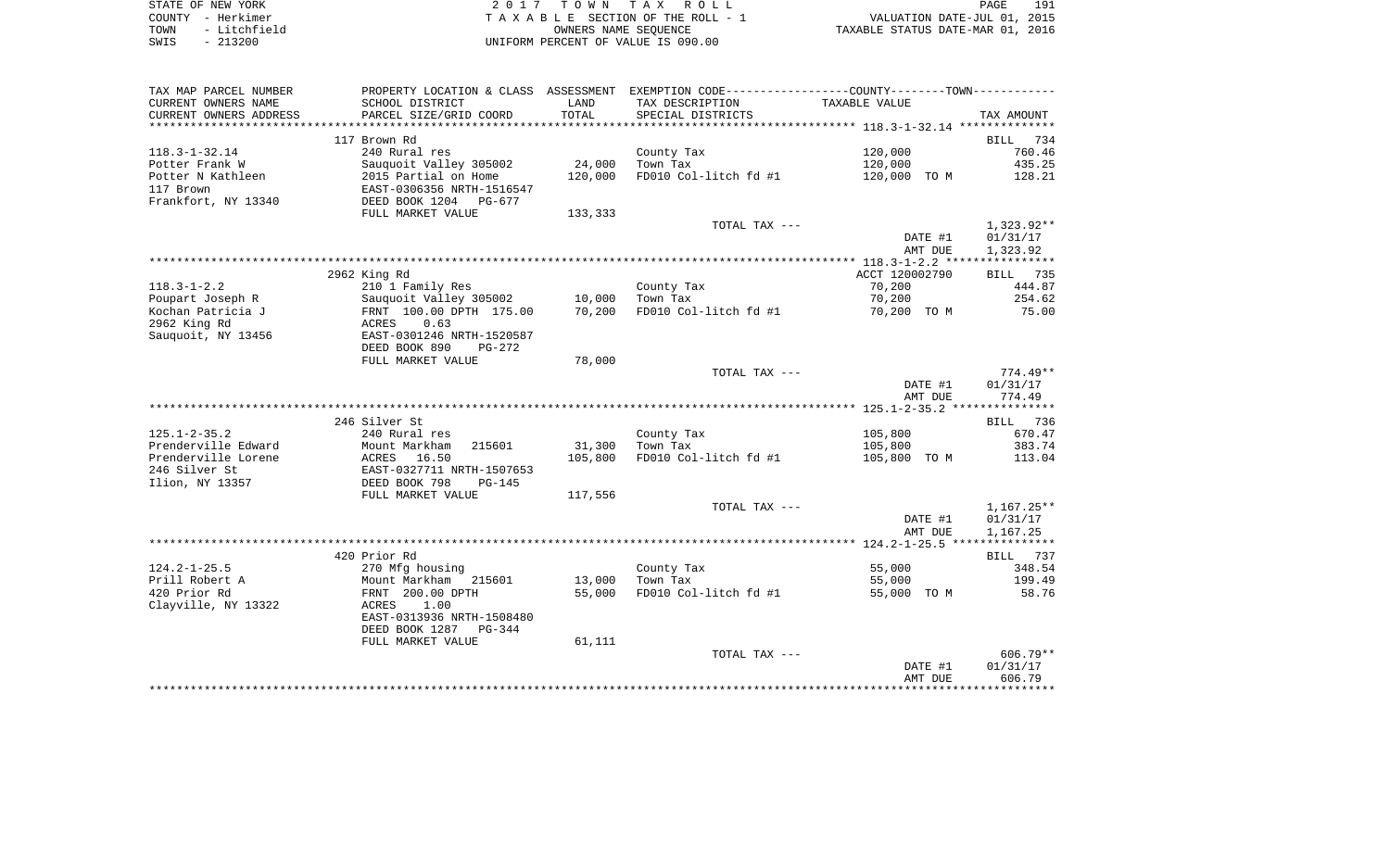| STATE OF NEW YORK    | 2017 TOWN TAX ROLL                 | 191<br>PAGE                      |
|----------------------|------------------------------------|----------------------------------|
| COUNTY - Herkimer    | TAXABLE SECTION OF THE ROLL - 1    | VALUATION DATE-JUL 01, 2015      |
| - Litchfield<br>TOWN | OWNERS NAME SEOUENCE               | TAXABLE STATUS DATE-MAR 01, 2016 |
| $-213200$<br>SWIS    | UNIFORM PERCENT OF VALUE IS 090.00 |                                  |

| TAX MAP PARCEL NUMBER            | PROPERTY LOCATION & CLASS ASSESSMENT EXEMPTION CODE---------------COUNTY-------TOWN---------- |         |                         |                    |                    |
|----------------------------------|-----------------------------------------------------------------------------------------------|---------|-------------------------|--------------------|--------------------|
| CURRENT OWNERS NAME              | SCHOOL DISTRICT                                                                               | LAND    | TAX DESCRIPTION         | TAXABLE VALUE      |                    |
| CURRENT OWNERS ADDRESS           | PARCEL SIZE/GRID COORD                                                                        | TOTAL   | SPECIAL DISTRICTS       |                    | TAX AMOUNT         |
|                                  |                                                                                               |         |                         |                    |                    |
|                                  | 117 Brown Rd                                                                                  |         |                         |                    | 734<br><b>BILL</b> |
| $118.3 - 1 - 32.14$              | 240 Rural res                                                                                 |         | County Tax              | 120,000            | 760.46             |
| Potter Frank W                   | Sauquoit Valley 305002                                                                        | 24,000  | Town Tax                | 120,000            | 435.25             |
| Potter N Kathleen                | 2015 Partial on Home                                                                          | 120,000 | $FD010$ Col-litch fd #1 | 120,000 TO M       | 128.21             |
| 117 Brown<br>Frankfort, NY 13340 | EAST-0306356 NRTH-1516547<br>DEED BOOK 1204 PG-677                                            |         |                         |                    |                    |
|                                  | FULL MARKET VALUE                                                                             | 133,333 |                         |                    |                    |
|                                  |                                                                                               |         | TOTAL TAX ---           |                    | 1,323.92**         |
|                                  |                                                                                               |         |                         | DATE #1            | 01/31/17           |
|                                  |                                                                                               |         |                         | AMT DUE            | 1,323.92           |
|                                  |                                                                                               |         |                         |                    |                    |
|                                  | 2962 King Rd                                                                                  |         |                         | ACCT 120002790     | BILL 735           |
| $118.3 - 1 - 2.2$                | 210 1 Family Res                                                                              |         | County Tax              | 70,200             | 444.87             |
| Poupart Joseph R                 | Sauquoit Valley 305002                                                                        | 10,000  | Town Tax                | 70,200             | 254.62             |
| Kochan Patricia J                | FRNT 100.00 DPTH 175.00                                                                       | 70,200  | FD010 Col-litch fd #1   | 70,200 TO M        | 75.00              |
| 2962 King Rd                     | ACRES<br>0.63                                                                                 |         |                         |                    |                    |
| Sauquoit, NY 13456               | EAST-0301246 NRTH-1520587                                                                     |         |                         |                    |                    |
|                                  | DEED BOOK 890<br>PG-272                                                                       |         |                         |                    |                    |
|                                  | FULL MARKET VALUE                                                                             | 78,000  |                         |                    |                    |
|                                  |                                                                                               |         | TOTAL TAX ---           |                    | 774.49**           |
|                                  |                                                                                               |         |                         | DATE #1<br>AMT DUE | 01/31/17<br>774.49 |
|                                  |                                                                                               |         |                         |                    |                    |
|                                  | 246 Silver St                                                                                 |         |                         |                    | <b>BILL</b> 736    |
| $125.1 - 2 - 35.2$               | 240 Rural res                                                                                 |         | County Tax              | 105,800            | 670.47             |
| Prenderville Edward              | Mount Markham<br>215601                                                                       | 31,300  | Town Tax                | 105,800            | 383.74             |
| Prenderville Lorene              | ACRES<br>16.50                                                                                | 105,800 | FD010 Col-litch fd #1   | 105,800 TO M       | 113.04             |
| 246 Silver St                    | EAST-0327711 NRTH-1507653                                                                     |         |                         |                    |                    |
| Ilion, NY 13357                  | DEED BOOK 798<br>$PG-145$                                                                     |         |                         |                    |                    |
|                                  | FULL MARKET VALUE                                                                             | 117,556 |                         |                    |                    |
|                                  |                                                                                               |         | TOTAL TAX ---           |                    | 1,167.25**         |
|                                  |                                                                                               |         |                         | DATE #1            | 01/31/17           |
|                                  |                                                                                               |         |                         | AMT DUE            | 1,167.25           |
|                                  | 420 Prior Rd                                                                                  |         |                         |                    | BILL 737           |
| $124.2 - 1 - 25.5$               | 270 Mfg housing                                                                               |         | County Tax              | 55,000             | 348.54             |
| Prill Robert A                   | Mount Markham 215601                                                                          | 13,000  | Town Tax                | 55,000             | 199.49             |
| 420 Prior Rd                     | FRNT 200.00 DPTH                                                                              | 55,000  | FD010 Col-litch fd #1   | 55,000 TO M        | 58.76              |
| Clayville, NY 13322              | 1.00<br>ACRES                                                                                 |         |                         |                    |                    |
|                                  | EAST-0313936 NRTH-1508480                                                                     |         |                         |                    |                    |
|                                  | DEED BOOK 1287<br>PG-344                                                                      |         |                         |                    |                    |
|                                  | FULL MARKET VALUE                                                                             | 61,111  |                         |                    |                    |
|                                  |                                                                                               |         | TOTAL TAX ---           |                    | $606.79**$         |
|                                  |                                                                                               |         |                         | DATE #1            | 01/31/17           |
|                                  |                                                                                               |         |                         | AMT DUE            | 606.79             |
|                                  |                                                                                               |         |                         |                    |                    |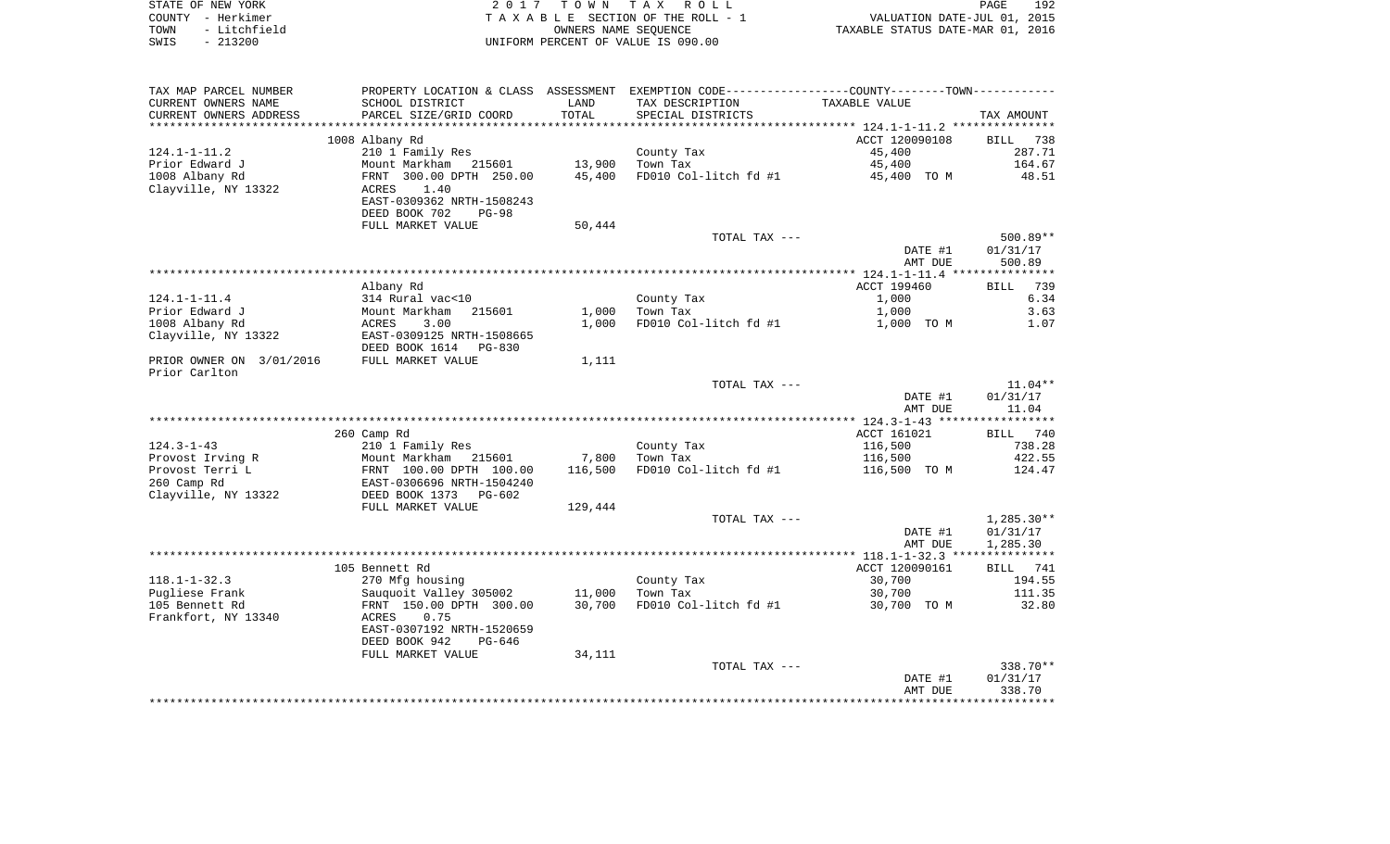| STATE OF NEW YORK    | 2017 TOWN TAX ROLL                 | 192<br><b>PAGE</b>               |
|----------------------|------------------------------------|----------------------------------|
| COUNTY – Herkimer    | TAXABLE SECTION OF THE ROLL - 1    | VALUATION DATE-JUL 01, 2015      |
| - Litchfield<br>TOWN | OWNERS NAME SEOUENCE               | TAXABLE STATUS DATE-MAR 01, 2016 |
| $-213200$<br>SWIS    | UNIFORM PERCENT OF VALUE IS 090.00 |                                  |

| TAX MAP PARCEL NUMBER    |                               |         | PROPERTY LOCATION & CLASS ASSESSMENT EXEMPTION CODE----------------COUNTY-------TOWN----------- |                |              |
|--------------------------|-------------------------------|---------|-------------------------------------------------------------------------------------------------|----------------|--------------|
| CURRENT OWNERS NAME      | SCHOOL DISTRICT               | LAND    | TAX DESCRIPTION                                                                                 | TAXABLE VALUE  |              |
| CURRENT OWNERS ADDRESS   | PARCEL SIZE/GRID COORD        | TOTAL   | SPECIAL DISTRICTS                                                                               |                | TAX AMOUNT   |
|                          |                               |         |                                                                                                 |                |              |
|                          | 1008 Albany Rd                |         |                                                                                                 | ACCT 120090108 | 738<br>BILL  |
| $124.1 - 1 - 11.2$       | 210 1 Family Res              |         | County Tax                                                                                      | 45,400         | 287.71       |
| Prior Edward J           | Mount Markham 215601          | 13,900  | Town Tax                                                                                        | 45,400         | 164.67       |
| 1008 Albany Rd           | FRNT 300.00 DPTH 250.00       | 45,400  | FD010 Col-litch fd #1                                                                           | 45,400 TO M    | 48.51        |
| Clayville, NY 13322      | 1.40<br>ACRES                 |         |                                                                                                 |                |              |
|                          | EAST-0309362 NRTH-1508243     |         |                                                                                                 |                |              |
|                          | DEED BOOK 702<br><b>PG-98</b> |         |                                                                                                 |                |              |
|                          | FULL MARKET VALUE             | 50,444  |                                                                                                 |                |              |
|                          |                               |         | TOTAL TAX ---                                                                                   |                | $500.89**$   |
|                          |                               |         |                                                                                                 | DATE #1        | 01/31/17     |
|                          |                               |         |                                                                                                 | AMT DUE        | 500.89       |
|                          |                               |         |                                                                                                 | ACCT 199460    | BILL 739     |
| $124.1 - 1 - 11.4$       | Albany Rd<br>314 Rural vac<10 |         | County Tax                                                                                      | 1,000          | 6.34         |
| Prior Edward J           | Mount Markham<br>215601       | 1,000   | Town Tax                                                                                        | 1,000          | 3.63         |
| 1008 Albany Rd           | 3.00<br>ACRES                 | 1,000   | FD010 Col-litch fd #1                                                                           | 1,000 TO M     | 1.07         |
| Clayville, NY 13322      | EAST-0309125 NRTH-1508665     |         |                                                                                                 |                |              |
|                          | DEED BOOK 1614<br>PG-830      |         |                                                                                                 |                |              |
| PRIOR OWNER ON 3/01/2016 | FULL MARKET VALUE             | 1,111   |                                                                                                 |                |              |
| Prior Carlton            |                               |         |                                                                                                 |                |              |
|                          |                               |         | TOTAL TAX ---                                                                                   |                | $11.04**$    |
|                          |                               |         |                                                                                                 | DATE #1        | 01/31/17     |
|                          |                               |         |                                                                                                 | AMT DUE        | 11.04        |
|                          |                               |         |                                                                                                 |                |              |
|                          | 260 Camp Rd                   |         |                                                                                                 | ACCT 161021    | BILL 740     |
| $124.3 - 1 - 43$         | 210 1 Family Res              |         | County Tax                                                                                      | 116,500        | 738.28       |
| Provost Irving R         | Mount Markham 215601          | 7,800   | Town Tax                                                                                        | 116,500        | 422.55       |
| Provost Terri L          | FRNT 100.00 DPTH 100.00       | 116,500 | FD010 Col-litch fd #1                                                                           | 116,500 TO M   | 124.47       |
| 260 Camp Rd              | EAST-0306696 NRTH-1504240     |         |                                                                                                 |                |              |
| Clayville, NY 13322      | DEED BOOK 1373<br>PG-602      |         |                                                                                                 |                |              |
|                          | FULL MARKET VALUE             | 129,444 |                                                                                                 |                |              |
|                          |                               |         | TOTAL TAX ---                                                                                   |                | $1,285.30**$ |
|                          |                               |         |                                                                                                 | DATE #1        | 01/31/17     |
|                          |                               |         |                                                                                                 | AMT DUE        | 1,285.30     |
|                          |                               |         |                                                                                                 |                |              |
|                          | 105 Bennett Rd                |         |                                                                                                 | ACCT 120090161 | BILL 741     |
| $118.1 - 1 - 32.3$       | 270 Mfg housing               |         | County Tax                                                                                      | 30,700         | 194.55       |
| Pugliese Frank           | Sauquoit Valley 305002        | 11,000  | Town Tax                                                                                        | 30,700         | 111.35       |
| 105 Bennett Rd           | FRNT 150.00 DPTH 300.00       | 30,700  | FD010 Col-litch fd #1                                                                           | 30,700 TO M    | 32.80        |
| Frankfort, NY 13340      | 0.75<br>ACRES                 |         |                                                                                                 |                |              |
|                          | EAST-0307192 NRTH-1520659     |         |                                                                                                 |                |              |
|                          | DEED BOOK 942<br>PG-646       |         |                                                                                                 |                |              |
|                          | FULL MARKET VALUE             | 34,111  | TOTAL TAX ---                                                                                   |                | 338.70**     |
|                          |                               |         |                                                                                                 | DATE #1        | 01/31/17     |
|                          |                               |         |                                                                                                 | AMT DUE        | 338.70       |
|                          |                               |         |                                                                                                 |                |              |
|                          |                               |         |                                                                                                 |                |              |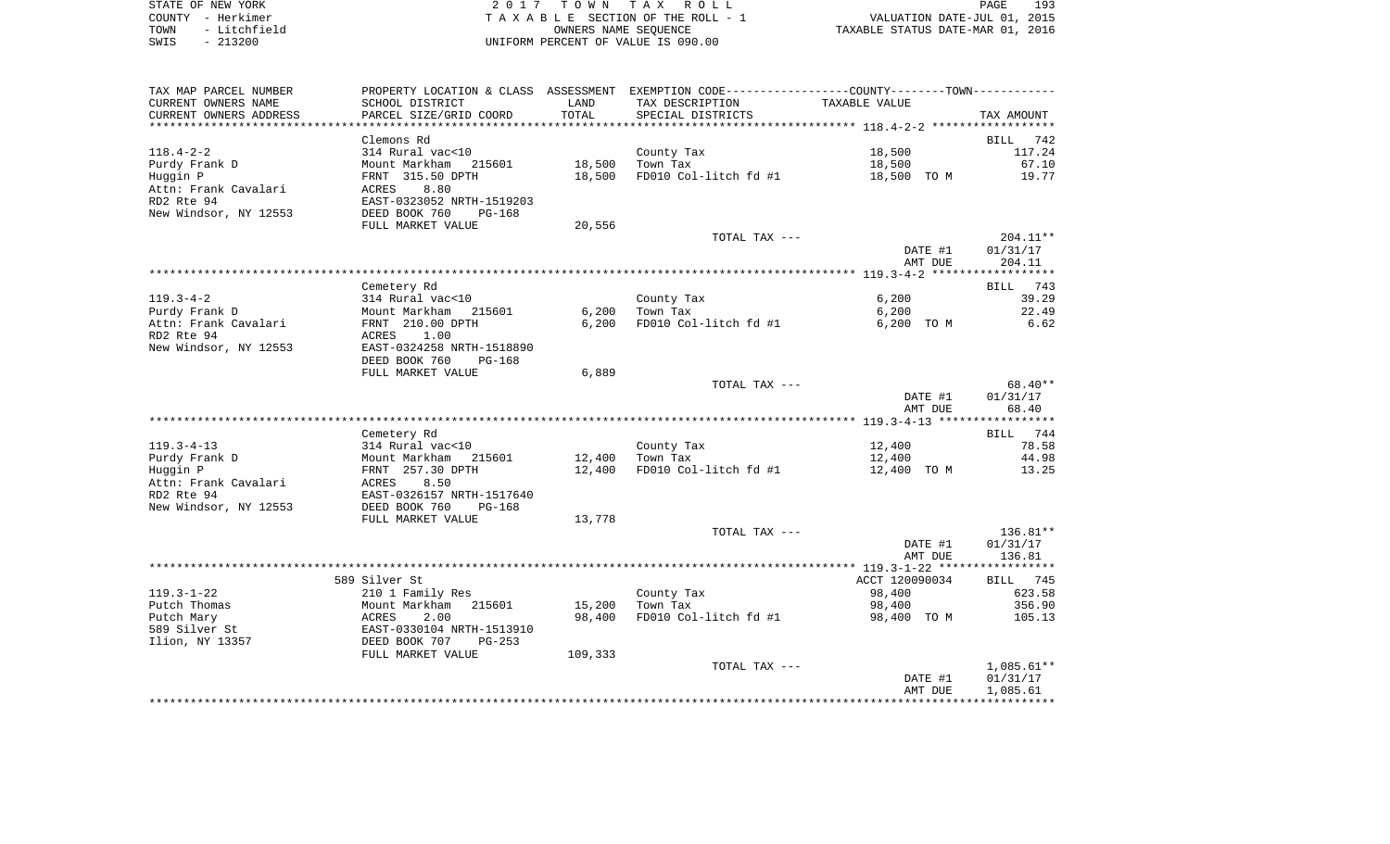| STATE OF NEW YORK    | 2017 TOWN TAX ROLL                 | 193<br>PAGE                      |
|----------------------|------------------------------------|----------------------------------|
| COUNTY - Herkimer    | TAXABLE SECTION OF THE ROLL - 1    | VALUATION DATE-JUL 01, 2015      |
| - Litchfield<br>TOWN | OWNERS NAME SEOUENCE               | TAXABLE STATUS DATE-MAR 01, 2016 |
| $-213200$<br>SWIS    | UNIFORM PERCENT OF VALUE IS 090.00 |                                  |

193<br>2015

| TAX MAP PARCEL NUMBER  |                                |         | PROPERTY LOCATION & CLASS ASSESSMENT EXEMPTION CODE---------------COUNTY-------TOWN---------- |                    |                    |
|------------------------|--------------------------------|---------|-----------------------------------------------------------------------------------------------|--------------------|--------------------|
| CURRENT OWNERS NAME    | SCHOOL DISTRICT                | LAND    | TAX DESCRIPTION                                                                               | TAXABLE VALUE      |                    |
| CURRENT OWNERS ADDRESS | PARCEL SIZE/GRID COORD         | TOTAL   | SPECIAL DISTRICTS                                                                             |                    | TAX AMOUNT         |
| *********************  |                                |         |                                                                                               |                    |                    |
|                        | Clemons Rd                     |         |                                                                                               |                    | <b>BILL</b><br>742 |
| $118.4 - 2 - 2$        | 314 Rural vac<10               |         | County Tax                                                                                    | 18,500             | 117.24             |
| Purdy Frank D          | Mount Markham<br>215601        | 18,500  | Town Tax                                                                                      | 18,500             | 67.10              |
| Huggin P               | FRNT 315.50 DPTH               | 18,500  | FD010 Col-litch fd #1                                                                         | 18,500 TO M        | 19.77              |
| Attn: Frank Cavalari   | 8.80<br>ACRES                  |         |                                                                                               |                    |                    |
| RD2 Rte 94             | EAST-0323052 NRTH-1519203      |         |                                                                                               |                    |                    |
| New Windsor, NY 12553  | DEED BOOK 760<br>$PG-168$      |         |                                                                                               |                    |                    |
|                        | FULL MARKET VALUE              | 20,556  |                                                                                               |                    |                    |
|                        |                                |         | TOTAL TAX ---                                                                                 |                    | $204.11**$         |
|                        |                                |         |                                                                                               | DATE #1            | 01/31/17           |
|                        |                                |         |                                                                                               | AMT DUE            | 204.11             |
|                        |                                |         |                                                                                               |                    |                    |
|                        | Cemetery Rd                    |         |                                                                                               |                    | BILL 743           |
| $119.3 - 4 - 2$        | 314 Rural vac<10               |         | County Tax                                                                                    | 6,200              | 39.29              |
| Purdy Frank D          | Mount Markham<br>215601        | 6,200   | Town Tax                                                                                      | 6,200              | 22.49              |
| Attn: Frank Cavalari   | FRNT 210.00 DPTH               | 6,200   | FD010 Col-litch fd #1                                                                         | 6,200 TO M         | 6.62               |
| RD2 Rte 94             | ACRES<br>1.00                  |         |                                                                                               |                    |                    |
| New Windsor, NY 12553  | EAST-0324258 NRTH-1518890      |         |                                                                                               |                    |                    |
|                        | DEED BOOK 760<br><b>PG-168</b> |         |                                                                                               |                    |                    |
|                        | FULL MARKET VALUE              | 6,889   |                                                                                               |                    |                    |
|                        |                                |         | TOTAL TAX ---                                                                                 |                    | $68.40**$          |
|                        |                                |         |                                                                                               | DATE #1            | 01/31/17           |
|                        |                                |         |                                                                                               | AMT DUE            | 68.40              |
|                        |                                |         |                                                                                               |                    |                    |
|                        | Cemetery Rd                    |         |                                                                                               |                    | BILL 744           |
| $119.3 - 4 - 13$       | 314 Rural vac<10               |         | County Tax                                                                                    | 12,400             | 78.58              |
| Purdy Frank D          | 215601<br>Mount Markham        | 12,400  | Town Tax                                                                                      | 12,400             | 44.98              |
| Huggin P               | FRNT 257.30 DPTH               | 12,400  | FD010 Col-litch fd #1                                                                         | 12,400 TO M        | 13.25              |
| Attn: Frank Cavalari   | 8.50<br>ACRES                  |         |                                                                                               |                    |                    |
| RD2 Rte 94             | EAST-0326157 NRTH-1517640      |         |                                                                                               |                    |                    |
| New Windsor, NY 12553  | DEED BOOK 760<br>$PG-168$      |         |                                                                                               |                    |                    |
|                        | FULL MARKET VALUE              | 13,778  |                                                                                               |                    |                    |
|                        |                                |         | TOTAL TAX ---                                                                                 |                    | 136.81**           |
|                        |                                |         |                                                                                               | DATE #1<br>AMT DUE | 01/31/17<br>136.81 |
|                        |                                |         |                                                                                               |                    |                    |
|                        | 589 Silver St                  |         |                                                                                               | ACCT 120090034     | BILL 745           |
| $119.3 - 1 - 22$       | 210 1 Family Res               |         | County Tax                                                                                    | 98,400             | 623.58             |
| Putch Thomas           | Mount Markham<br>215601        | 15,200  | Town Tax                                                                                      | 98,400             | 356.90             |
| Putch Mary             | ACRES<br>2.00                  | 98,400  | FD010 Col-litch fd #1                                                                         | 98,400 TO M        | 105.13             |
| 589 Silver St          | EAST-0330104 NRTH-1513910      |         |                                                                                               |                    |                    |
| Ilion, NY 13357        | DEED BOOK 707<br>$PG-253$      |         |                                                                                               |                    |                    |
|                        | FULL MARKET VALUE              | 109,333 |                                                                                               |                    |                    |
|                        |                                |         | TOTAL TAX ---                                                                                 |                    | 1,085.61**         |
|                        |                                |         |                                                                                               | DATE #1            | 01/31/17           |
|                        |                                |         |                                                                                               | AMT DUE            | 1,085.61           |
|                        |                                |         |                                                                                               |                    |                    |
|                        |                                |         |                                                                                               |                    |                    |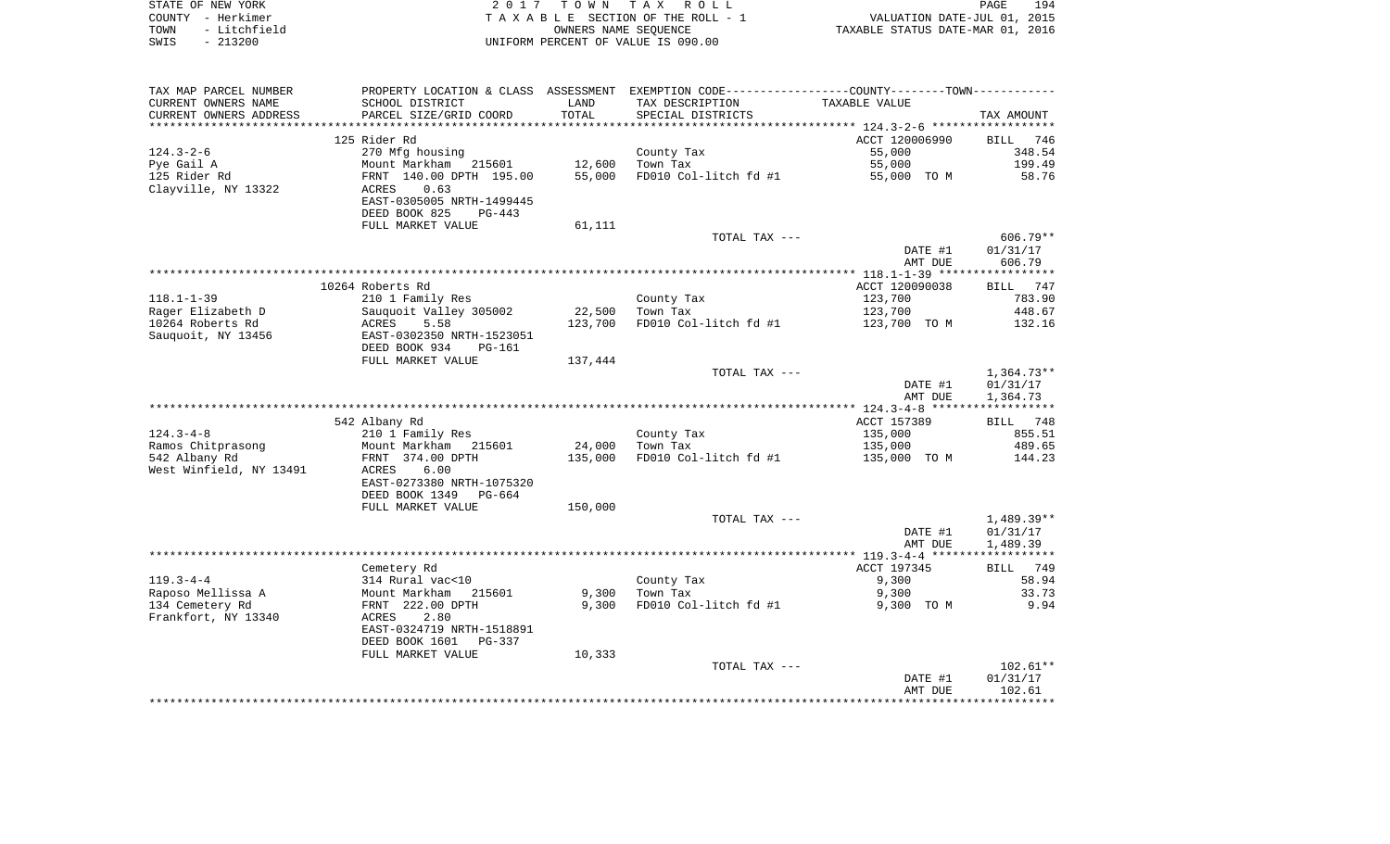| STATE OF NEW YORK |              | 2017 TOWN TAX ROLL                 |                      |                                  | PAGE                        | 194 |
|-------------------|--------------|------------------------------------|----------------------|----------------------------------|-----------------------------|-----|
| COUNTY - Herkimer |              | TAXABLE SECTION OF THE ROLL - 1    |                      |                                  | VALUATION DATE-JUL 01, 2015 |     |
| TOWN              | - Litchfield |                                    | OWNERS NAME SEOUENCE | TAXABLE STATUS DATE-MAR 01, 2016 |                             |     |
| SWIS              | $-213200$    | UNIFORM PERCENT OF VALUE IS 090.00 |                      |                                  |                             |     |

| CURRENT OWNERS NAME<br>SCHOOL DISTRICT<br>LAND<br>TAX DESCRIPTION<br>TAXABLE VALUE<br>CURRENT OWNERS ADDRESS<br>PARCEL SIZE/GRID COORD<br>TOTAL<br>SPECIAL DISTRICTS<br>*********************<br>125 Rider Rd<br>ACCT 120006990<br>$124.3 - 2 - 6$<br>270 Mfg housing<br>55,000<br>County Tax<br>12,600<br>55,000<br>Pye Gail A<br>Mount Markham 215601<br>Town Tax<br>55,000<br>FD010 Col-litch fd #1<br>125 Rider Rd<br>FRNT 140.00 DPTH 195.00<br>55,000 TO M<br>Clayville, NY 13322<br>0.63<br>ACRES<br>EAST-0305005 NRTH-1499445<br>DEED BOOK 825<br>PG-443<br>FULL MARKET VALUE<br>61,111<br>TOTAL TAX --- | TAX AMOUNT<br>BILL 746<br>348.54<br>199.49<br>58.76 |
|------------------------------------------------------------------------------------------------------------------------------------------------------------------------------------------------------------------------------------------------------------------------------------------------------------------------------------------------------------------------------------------------------------------------------------------------------------------------------------------------------------------------------------------------------------------------------------------------------------------|-----------------------------------------------------|
|                                                                                                                                                                                                                                                                                                                                                                                                                                                                                                                                                                                                                  |                                                     |
|                                                                                                                                                                                                                                                                                                                                                                                                                                                                                                                                                                                                                  |                                                     |
|                                                                                                                                                                                                                                                                                                                                                                                                                                                                                                                                                                                                                  |                                                     |
|                                                                                                                                                                                                                                                                                                                                                                                                                                                                                                                                                                                                                  |                                                     |
|                                                                                                                                                                                                                                                                                                                                                                                                                                                                                                                                                                                                                  |                                                     |
|                                                                                                                                                                                                                                                                                                                                                                                                                                                                                                                                                                                                                  |                                                     |
|                                                                                                                                                                                                                                                                                                                                                                                                                                                                                                                                                                                                                  |                                                     |
|                                                                                                                                                                                                                                                                                                                                                                                                                                                                                                                                                                                                                  |                                                     |
|                                                                                                                                                                                                                                                                                                                                                                                                                                                                                                                                                                                                                  |                                                     |
|                                                                                                                                                                                                                                                                                                                                                                                                                                                                                                                                                                                                                  |                                                     |
|                                                                                                                                                                                                                                                                                                                                                                                                                                                                                                                                                                                                                  | $606.79**$                                          |
| DATE #1                                                                                                                                                                                                                                                                                                                                                                                                                                                                                                                                                                                                          | 01/31/17                                            |
| AMT DUE                                                                                                                                                                                                                                                                                                                                                                                                                                                                                                                                                                                                          | 606.79                                              |
|                                                                                                                                                                                                                                                                                                                                                                                                                                                                                                                                                                                                                  |                                                     |
| 10264 Roberts Rd<br>ACCT 120090038                                                                                                                                                                                                                                                                                                                                                                                                                                                                                                                                                                               | BILL 747                                            |
| $118.1 - 1 - 39$<br>123,700<br>210 1 Family Res<br>County Tax                                                                                                                                                                                                                                                                                                                                                                                                                                                                                                                                                    | 783.90                                              |
| 22,500<br>Raqer Elizabeth D<br>Sauquoit Valley 305002<br>ACRES    5.58<br>Town Tax<br>123,700                                                                                                                                                                                                                                                                                                                                                                                                                                                                                                                    | 448.67                                              |
| 10264 Roberts Rd<br>123,700<br>FD010 Col-litch fd #1<br>123,700 TO M                                                                                                                                                                                                                                                                                                                                                                                                                                                                                                                                             | 132.16                                              |
| Sauquoit, NY 13456<br>EAST-0302350 NRTH-1523051                                                                                                                                                                                                                                                                                                                                                                                                                                                                                                                                                                  |                                                     |
| DEED BOOK 934<br>PG-161                                                                                                                                                                                                                                                                                                                                                                                                                                                                                                                                                                                          |                                                     |
| FULL MARKET VALUE<br>137,444                                                                                                                                                                                                                                                                                                                                                                                                                                                                                                                                                                                     |                                                     |
| TOTAL TAX ---                                                                                                                                                                                                                                                                                                                                                                                                                                                                                                                                                                                                    | $1,364.73**$                                        |
| DATE #1<br>AMT DUE                                                                                                                                                                                                                                                                                                                                                                                                                                                                                                                                                                                               | 01/31/17<br>1,364.73                                |
|                                                                                                                                                                                                                                                                                                                                                                                                                                                                                                                                                                                                                  |                                                     |
| ACCT 157389<br>542 Albany Rd                                                                                                                                                                                                                                                                                                                                                                                                                                                                                                                                                                                     | BILL 748                                            |
| $124.3 - 4 - 8$<br>210 1 Family Res<br>135,000<br>County Tax                                                                                                                                                                                                                                                                                                                                                                                                                                                                                                                                                     | 855.51                                              |
| Ramos Chitprasong<br>Mount Markham 215601<br>24,000<br>Town Tax<br>135,000                                                                                                                                                                                                                                                                                                                                                                                                                                                                                                                                       | 489.65                                              |
| 542 Albany Rd<br>FRNT 374.00 DPTH<br>135,000<br>FD010 Col-litch fd #1<br>135,000 TO M                                                                                                                                                                                                                                                                                                                                                                                                                                                                                                                            | 144.23                                              |
| West Winfield, NY 13491<br>ACRES<br>6.00                                                                                                                                                                                                                                                                                                                                                                                                                                                                                                                                                                         |                                                     |
| EAST-0273380 NRTH-1075320                                                                                                                                                                                                                                                                                                                                                                                                                                                                                                                                                                                        |                                                     |
| DEED BOOK 1349 PG-664                                                                                                                                                                                                                                                                                                                                                                                                                                                                                                                                                                                            |                                                     |
| FULL MARKET VALUE<br>150,000                                                                                                                                                                                                                                                                                                                                                                                                                                                                                                                                                                                     |                                                     |
| TOTAL TAX ---                                                                                                                                                                                                                                                                                                                                                                                                                                                                                                                                                                                                    | 1,489.39**                                          |
| DATE #1                                                                                                                                                                                                                                                                                                                                                                                                                                                                                                                                                                                                          | 01/31/17                                            |
| AMT DUE                                                                                                                                                                                                                                                                                                                                                                                                                                                                                                                                                                                                          | 1,489.39                                            |
| Cemetery Rd<br>ACCT 197345                                                                                                                                                                                                                                                                                                                                                                                                                                                                                                                                                                                       | BILL 749                                            |
| $119.3 - 4 - 4$<br>9,300<br>314 Rural vac<10                                                                                                                                                                                                                                                                                                                                                                                                                                                                                                                                                                     | 58.94                                               |
| County Tax<br>Town Tax<br>Mount Markham<br>9,300<br>Raposo Mellissa A<br>9,300<br>215601                                                                                                                                                                                                                                                                                                                                                                                                                                                                                                                         | 33.73                                               |
| 134 Cemetery Rd<br>9,300<br>FD010 Col-litch fd #1<br>9,300 TO M<br>FRNT 222.00 DPTH                                                                                                                                                                                                                                                                                                                                                                                                                                                                                                                              | 9.94                                                |
|                                                                                                                                                                                                                                                                                                                                                                                                                                                                                                                                                                                                                  |                                                     |
|                                                                                                                                                                                                                                                                                                                                                                                                                                                                                                                                                                                                                  |                                                     |
| Frankfort, NY 13340<br>2.80<br>ACRES<br>EAST-0324719 NRTH-1518891                                                                                                                                                                                                                                                                                                                                                                                                                                                                                                                                                |                                                     |
|                                                                                                                                                                                                                                                                                                                                                                                                                                                                                                                                                                                                                  |                                                     |
| DEED BOOK 1601 PG-337<br>10,333<br>FULL MARKET VALUE                                                                                                                                                                                                                                                                                                                                                                                                                                                                                                                                                             |                                                     |
| TOTAL TAX ---                                                                                                                                                                                                                                                                                                                                                                                                                                                                                                                                                                                                    | $102.61**$                                          |
| DATE #1                                                                                                                                                                                                                                                                                                                                                                                                                                                                                                                                                                                                          | 01/31/17                                            |
| AMT DUE                                                                                                                                                                                                                                                                                                                                                                                                                                                                                                                                                                                                          | 102.61                                              |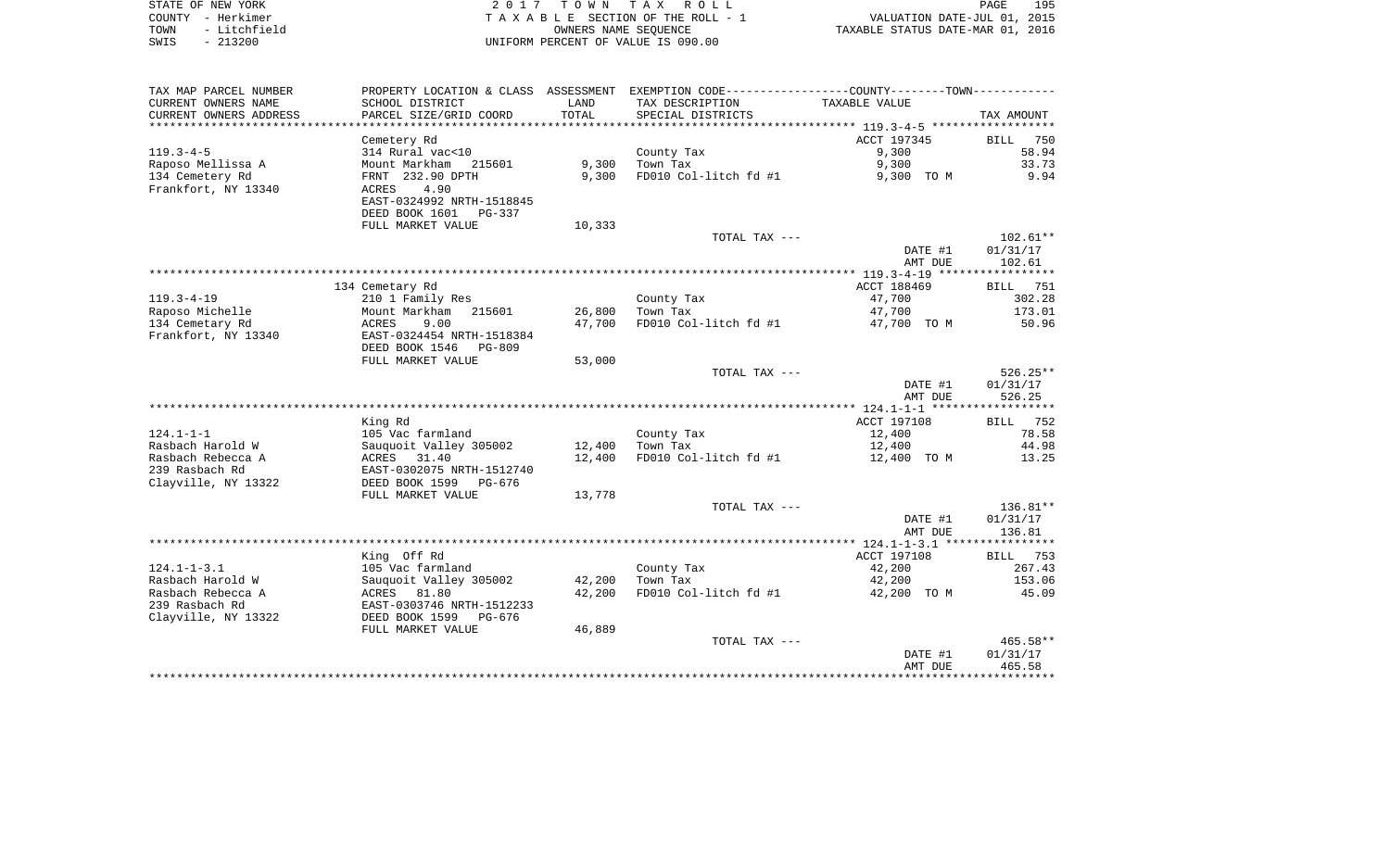| STATE OF NEW YORK    | 2017 TOWN TAX ROLL                 | 195<br>PAGE                      |
|----------------------|------------------------------------|----------------------------------|
| COUNTY - Herkimer    | TAXABLE SECTION OF THE ROLL - 1    | VALUATION DATE-JUL 01, 2015      |
| - Litchfield<br>TOWN | OWNERS NAME SEOUENCE               | TAXABLE STATUS DATE-MAR 01, 2016 |
| $-213200$<br>SWIS    | UNIFORM PERCENT OF VALUE IS 090.00 |                                  |

| TAX MAP PARCEL NUMBER                              | PROPERTY LOCATION & CLASS ASSESSMENT                 |        | EXEMPTION CODE----------------COUNTY-------TOWN----------- |                    |                      |
|----------------------------------------------------|------------------------------------------------------|--------|------------------------------------------------------------|--------------------|----------------------|
| CURRENT OWNERS NAME                                | SCHOOL DISTRICT                                      | LAND   | TAX DESCRIPTION                                            | TAXABLE VALUE      |                      |
| CURRENT OWNERS ADDRESS<br>************************ | PARCEL SIZE/GRID COORD                               | TOTAL  | SPECIAL DISTRICTS                                          |                    | TAX AMOUNT           |
|                                                    | Cemetery Rd                                          |        |                                                            | ACCT 197345        | BILL<br>750          |
| $119.3 - 4 - 5$                                    | 314 Rural vac<10                                     |        | County Tax                                                 | 9,300              | 58.94                |
| Raposo Mellissa A                                  | Mount Markham<br>215601                              | 9,300  | Town Tax                                                   | 9,300              | 33.73                |
| 134 Cemetery Rd                                    | FRNT 232.90 DPTH                                     | 9,300  | FD010 Col-litch fd #1                                      | 9,300 TO M         | 9.94                 |
| Frankfort, NY 13340                                | 4.90<br>ACRES                                        |        |                                                            |                    |                      |
|                                                    | EAST-0324992 NRTH-1518845                            |        |                                                            |                    |                      |
|                                                    | DEED BOOK 1601<br>PG-337<br>FULL MARKET VALUE        | 10,333 |                                                            |                    |                      |
|                                                    |                                                      |        | TOTAL TAX ---                                              |                    | $102.61**$           |
|                                                    |                                                      |        |                                                            | DATE #1            | 01/31/17             |
|                                                    |                                                      |        |                                                            | AMT DUE            | 102.61               |
|                                                    |                                                      |        |                                                            |                    |                      |
|                                                    | 134 Cemetary Rd                                      |        |                                                            | ACCT 188469        | 751<br>BILL          |
| $119.3 - 4 - 19$                                   | 210 1 Family Res                                     |        | County Tax                                                 | 47,700             | 302.28               |
| Raposo Michelle                                    | Mount Markham<br>215601                              | 26,800 | Town Tax                                                   | 47,700             | 173.01               |
| 134 Cemetary Rd                                    | 9.00<br>ACRES                                        | 47,700 | FD010 Col-litch fd #1                                      | 47,700 TO M        | 50.96                |
| Frankfort, NY 13340                                | EAST-0324454 NRTH-1518384                            |        |                                                            |                    |                      |
|                                                    | DEED BOOK 1546<br><b>PG-809</b><br>FULL MARKET VALUE |        |                                                            |                    |                      |
|                                                    |                                                      | 53,000 | TOTAL TAX ---                                              |                    | $526.25**$           |
|                                                    |                                                      |        |                                                            | DATE #1            | 01/31/17             |
|                                                    |                                                      |        |                                                            | AMT DUE            | 526.25               |
|                                                    |                                                      |        |                                                            |                    |                      |
|                                                    | King Rd                                              |        |                                                            | ACCT 197108        | BILL<br>752          |
| $124.1 - 1 - 1$                                    | 105 Vac farmland                                     |        | County Tax                                                 | 12,400             | 78.58                |
| Rasbach Harold W                                   | Sauquoit Valley 305002                               | 12,400 | Town Tax                                                   | 12,400             | 44.98                |
| Rasbach Rebecca A                                  | ACRES<br>31.40                                       | 12,400 | FD010 Col-litch fd #1                                      | 12,400 TO M        | 13.25                |
| 239 Rasbach Rd                                     | EAST-0302075 NRTH-1512740                            |        |                                                            |                    |                      |
| Clayville, NY 13322                                | DEED BOOK 1599<br>PG-676                             |        |                                                            |                    |                      |
|                                                    | FULL MARKET VALUE                                    | 13,778 |                                                            |                    |                      |
|                                                    |                                                      |        | TOTAL TAX ---                                              | DATE #1            | 136.81**<br>01/31/17 |
|                                                    |                                                      |        |                                                            | AMT DUE            | 136.81               |
|                                                    |                                                      |        |                                                            |                    |                      |
|                                                    | King Off Rd                                          |        |                                                            | ACCT 197108        | 753<br><b>BILL</b>   |
| $124.1 - 1 - 3.1$                                  | 105 Vac farmland                                     |        | County Tax                                                 | 42,200             | 267.43               |
| Rasbach Harold W                                   | Sauquoit Valley 305002                               | 42,200 | Town Tax                                                   | 42,200             | 153.06               |
| Rasbach Rebecca A                                  | ACRES<br>81.80                                       | 42,200 | FD010 Col-litch fd #1                                      | 42,200 TO M        | 45.09                |
| 239 Rasbach Rd                                     | EAST-0303746 NRTH-1512233                            |        |                                                            |                    |                      |
| Clayville, NY 13322                                | DEED BOOK 1599<br>PG-676                             |        |                                                            |                    |                      |
|                                                    | FULL MARKET VALUE                                    | 46,889 |                                                            |                    |                      |
|                                                    |                                                      |        | TOTAL TAX ---                                              |                    | 465.58**             |
|                                                    |                                                      |        |                                                            | DATE #1<br>AMT DUE | 01/31/17<br>465.58   |
|                                                    |                                                      |        |                                                            |                    |                      |
|                                                    |                                                      |        |                                                            |                    |                      |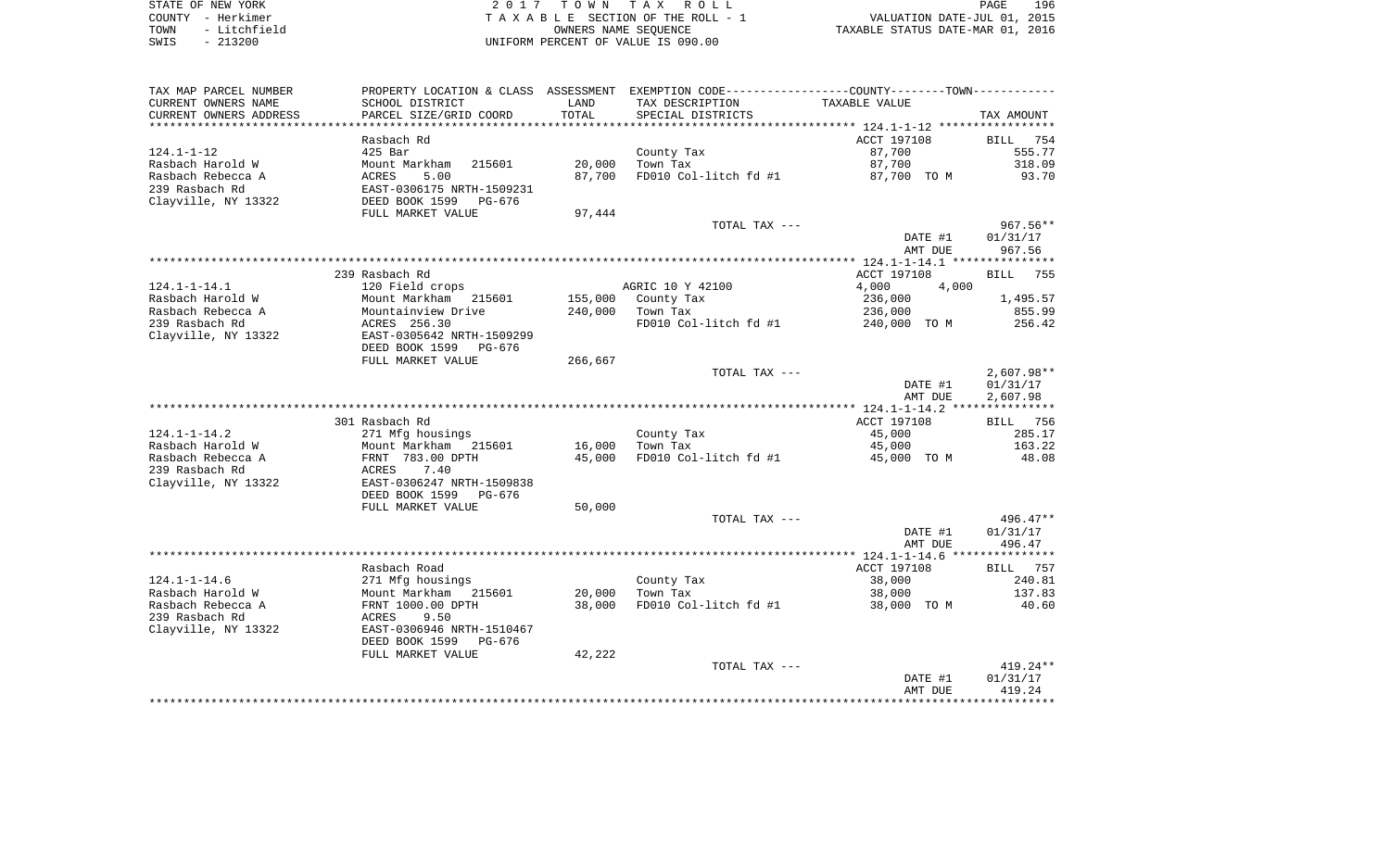| STATE OF NEW YORK |  |              |  |
|-------------------|--|--------------|--|
| COUNTY            |  | - Herkimer   |  |
| TOWN              |  | - Litchfield |  |
| SWIS              |  | $-213200$    |  |

STATE OF NEW YORK 2 0 1 7 T O W N T A X R O L L PAGE 196TA X A B L E SECTION OF THE ROLL - 1 TOWN - Litchfield OWNERS NAME SEQUENCE TAXABLE STATUS DATE-MAR 01, 2016 SWIS - 213200 UNIFORM PERCENT OF VALUE IS 090.00

| CURRENT OWNERS NAME<br>SCHOOL DISTRICT<br>LAND<br>TAX DESCRIPTION<br>TAXABLE VALUE<br>TOTAL<br>CURRENT OWNERS ADDRESS<br>PARCEL SIZE/GRID COORD<br>SPECIAL DISTRICTS<br>************ 124.1-1-12 ************<br>***********<br>ACCT 197108<br>Rasbach Rd<br>$124.1 - 1 - 12$<br>425 Bar<br>87,700<br>County Tax<br>20,000<br>87,700<br>Rasbach Harold W<br>Mount Markham<br>215601<br>Town Tax<br>Rasbach Rebecca A<br>5.00<br>87,700<br>FD010 Col-litch fd #1<br>87,700 TO M<br>ACRES<br>239 Rasbach Rd<br>EAST-0306175 NRTH-1509231<br>Clayville, NY 13322<br>DEED BOOK 1599<br>PG-676<br>FULL MARKET VALUE<br>97,444<br>TOTAL TAX ---<br>DATE #1<br>01/31/17<br>AMT DUE<br>967.56<br>239 Rasbach Rd<br>ACCT 197108<br><b>BILL</b><br>$124.1 - 1 - 14.1$<br>AGRIC 10 Y 42100<br>4,000<br>4,000<br>120 Field crops<br>155,000<br>236,000<br>Rasbach Harold W<br>Mount Markham<br>215601<br>County Tax<br>Rasbach Rebecca A<br>Mountainview Drive<br>240,000<br>Town Tax<br>236,000<br>FD010 Col-litch fd #1<br>239 Rasbach Rd<br>ACRES 256.30<br>240,000 TO M<br>Clayville, NY 13322<br>EAST-0305642 NRTH-1509299<br>DEED BOOK 1599<br>PG-676<br>266,667<br>FULL MARKET VALUE<br>TOTAL TAX ---<br>DATE #1<br>AMT DUE<br>301 Rasbach Rd<br>ACCT 197108<br>$124.1 - 1 - 14.2$<br>45,000<br>271 Mfg housings<br>County Tax<br>Rasbach Harold W<br>Mount Markham<br>16,000<br>Town Tax<br>45,000<br>215601<br>Rasbach Rebecca A<br>FRNT 783.00 DPTH<br>45,000<br>FD010 Col-litch fd #1<br>45,000 TO M<br>239 Rasbach Rd<br>ACRES<br>7.40<br>Clayville, NY 13322<br>EAST-0306247 NRTH-1509838<br>DEED BOOK 1599<br>PG-676<br>FULL MARKET VALUE<br>50,000<br>TOTAL TAX ---<br>DATE #1<br>AMT DUE<br>ACCT 197108<br>Rasbach Road<br>$124.1 - 1 - 14.6$<br>38,000<br>271 Mfg housings<br>County Tax<br>Rasbach Harold W<br>Mount Markham 215601<br>20,000<br>Town Tax<br>38,000 | TAX MAP PARCEL NUMBER | PROPERTY LOCATION & CLASS ASSESSMENT EXEMPTION CODE---------------COUNTY-------TOWN---------- |        |                       |             |                 |
|--------------------------------------------------------------------------------------------------------------------------------------------------------------------------------------------------------------------------------------------------------------------------------------------------------------------------------------------------------------------------------------------------------------------------------------------------------------------------------------------------------------------------------------------------------------------------------------------------------------------------------------------------------------------------------------------------------------------------------------------------------------------------------------------------------------------------------------------------------------------------------------------------------------------------------------------------------------------------------------------------------------------------------------------------------------------------------------------------------------------------------------------------------------------------------------------------------------------------------------------------------------------------------------------------------------------------------------------------------------------------------------------------------------------------------------------------------------------------------------------------------------------------------------------------------------------------------------------------------------------------------------------------------------------------------------------------------------------------------------------------------------------------------------------------------------------------------------------------------------------------|-----------------------|-----------------------------------------------------------------------------------------------|--------|-----------------------|-------------|-----------------|
|                                                                                                                                                                                                                                                                                                                                                                                                                                                                                                                                                                                                                                                                                                                                                                                                                                                                                                                                                                                                                                                                                                                                                                                                                                                                                                                                                                                                                                                                                                                                                                                                                                                                                                                                                                                                                                                                          |                       |                                                                                               |        |                       |             |                 |
|                                                                                                                                                                                                                                                                                                                                                                                                                                                                                                                                                                                                                                                                                                                                                                                                                                                                                                                                                                                                                                                                                                                                                                                                                                                                                                                                                                                                                                                                                                                                                                                                                                                                                                                                                                                                                                                                          |                       |                                                                                               |        |                       |             | TAX AMOUNT      |
|                                                                                                                                                                                                                                                                                                                                                                                                                                                                                                                                                                                                                                                                                                                                                                                                                                                                                                                                                                                                                                                                                                                                                                                                                                                                                                                                                                                                                                                                                                                                                                                                                                                                                                                                                                                                                                                                          |                       |                                                                                               |        |                       |             |                 |
|                                                                                                                                                                                                                                                                                                                                                                                                                                                                                                                                                                                                                                                                                                                                                                                                                                                                                                                                                                                                                                                                                                                                                                                                                                                                                                                                                                                                                                                                                                                                                                                                                                                                                                                                                                                                                                                                          |                       |                                                                                               |        |                       |             | BILL 754        |
|                                                                                                                                                                                                                                                                                                                                                                                                                                                                                                                                                                                                                                                                                                                                                                                                                                                                                                                                                                                                                                                                                                                                                                                                                                                                                                                                                                                                                                                                                                                                                                                                                                                                                                                                                                                                                                                                          |                       |                                                                                               |        |                       |             | 555.77          |
|                                                                                                                                                                                                                                                                                                                                                                                                                                                                                                                                                                                                                                                                                                                                                                                                                                                                                                                                                                                                                                                                                                                                                                                                                                                                                                                                                                                                                                                                                                                                                                                                                                                                                                                                                                                                                                                                          |                       |                                                                                               |        |                       |             | 318.09          |
|                                                                                                                                                                                                                                                                                                                                                                                                                                                                                                                                                                                                                                                                                                                                                                                                                                                                                                                                                                                                                                                                                                                                                                                                                                                                                                                                                                                                                                                                                                                                                                                                                                                                                                                                                                                                                                                                          |                       |                                                                                               |        |                       |             | 93.70           |
|                                                                                                                                                                                                                                                                                                                                                                                                                                                                                                                                                                                                                                                                                                                                                                                                                                                                                                                                                                                                                                                                                                                                                                                                                                                                                                                                                                                                                                                                                                                                                                                                                                                                                                                                                                                                                                                                          |                       |                                                                                               |        |                       |             |                 |
|                                                                                                                                                                                                                                                                                                                                                                                                                                                                                                                                                                                                                                                                                                                                                                                                                                                                                                                                                                                                                                                                                                                                                                                                                                                                                                                                                                                                                                                                                                                                                                                                                                                                                                                                                                                                                                                                          |                       |                                                                                               |        |                       |             |                 |
|                                                                                                                                                                                                                                                                                                                                                                                                                                                                                                                                                                                                                                                                                                                                                                                                                                                                                                                                                                                                                                                                                                                                                                                                                                                                                                                                                                                                                                                                                                                                                                                                                                                                                                                                                                                                                                                                          |                       |                                                                                               |        |                       |             |                 |
|                                                                                                                                                                                                                                                                                                                                                                                                                                                                                                                                                                                                                                                                                                                                                                                                                                                                                                                                                                                                                                                                                                                                                                                                                                                                                                                                                                                                                                                                                                                                                                                                                                                                                                                                                                                                                                                                          |                       |                                                                                               |        |                       |             | $967.56**$      |
|                                                                                                                                                                                                                                                                                                                                                                                                                                                                                                                                                                                                                                                                                                                                                                                                                                                                                                                                                                                                                                                                                                                                                                                                                                                                                                                                                                                                                                                                                                                                                                                                                                                                                                                                                                                                                                                                          |                       |                                                                                               |        |                       |             |                 |
|                                                                                                                                                                                                                                                                                                                                                                                                                                                                                                                                                                                                                                                                                                                                                                                                                                                                                                                                                                                                                                                                                                                                                                                                                                                                                                                                                                                                                                                                                                                                                                                                                                                                                                                                                                                                                                                                          |                       |                                                                                               |        |                       |             |                 |
|                                                                                                                                                                                                                                                                                                                                                                                                                                                                                                                                                                                                                                                                                                                                                                                                                                                                                                                                                                                                                                                                                                                                                                                                                                                                                                                                                                                                                                                                                                                                                                                                                                                                                                                                                                                                                                                                          |                       |                                                                                               |        |                       |             |                 |
|                                                                                                                                                                                                                                                                                                                                                                                                                                                                                                                                                                                                                                                                                                                                                                                                                                                                                                                                                                                                                                                                                                                                                                                                                                                                                                                                                                                                                                                                                                                                                                                                                                                                                                                                                                                                                                                                          |                       |                                                                                               |        |                       |             |                 |
|                                                                                                                                                                                                                                                                                                                                                                                                                                                                                                                                                                                                                                                                                                                                                                                                                                                                                                                                                                                                                                                                                                                                                                                                                                                                                                                                                                                                                                                                                                                                                                                                                                                                                                                                                                                                                                                                          |                       |                                                                                               |        |                       |             | 755             |
|                                                                                                                                                                                                                                                                                                                                                                                                                                                                                                                                                                                                                                                                                                                                                                                                                                                                                                                                                                                                                                                                                                                                                                                                                                                                                                                                                                                                                                                                                                                                                                                                                                                                                                                                                                                                                                                                          |                       |                                                                                               |        |                       |             |                 |
|                                                                                                                                                                                                                                                                                                                                                                                                                                                                                                                                                                                                                                                                                                                                                                                                                                                                                                                                                                                                                                                                                                                                                                                                                                                                                                                                                                                                                                                                                                                                                                                                                                                                                                                                                                                                                                                                          |                       |                                                                                               |        |                       |             | 1,495.57        |
|                                                                                                                                                                                                                                                                                                                                                                                                                                                                                                                                                                                                                                                                                                                                                                                                                                                                                                                                                                                                                                                                                                                                                                                                                                                                                                                                                                                                                                                                                                                                                                                                                                                                                                                                                                                                                                                                          |                       |                                                                                               |        |                       |             | 855.99          |
|                                                                                                                                                                                                                                                                                                                                                                                                                                                                                                                                                                                                                                                                                                                                                                                                                                                                                                                                                                                                                                                                                                                                                                                                                                                                                                                                                                                                                                                                                                                                                                                                                                                                                                                                                                                                                                                                          |                       |                                                                                               |        |                       |             | 256.42          |
|                                                                                                                                                                                                                                                                                                                                                                                                                                                                                                                                                                                                                                                                                                                                                                                                                                                                                                                                                                                                                                                                                                                                                                                                                                                                                                                                                                                                                                                                                                                                                                                                                                                                                                                                                                                                                                                                          |                       |                                                                                               |        |                       |             |                 |
|                                                                                                                                                                                                                                                                                                                                                                                                                                                                                                                                                                                                                                                                                                                                                                                                                                                                                                                                                                                                                                                                                                                                                                                                                                                                                                                                                                                                                                                                                                                                                                                                                                                                                                                                                                                                                                                                          |                       |                                                                                               |        |                       |             |                 |
|                                                                                                                                                                                                                                                                                                                                                                                                                                                                                                                                                                                                                                                                                                                                                                                                                                                                                                                                                                                                                                                                                                                                                                                                                                                                                                                                                                                                                                                                                                                                                                                                                                                                                                                                                                                                                                                                          |                       |                                                                                               |        |                       |             |                 |
|                                                                                                                                                                                                                                                                                                                                                                                                                                                                                                                                                                                                                                                                                                                                                                                                                                                                                                                                                                                                                                                                                                                                                                                                                                                                                                                                                                                                                                                                                                                                                                                                                                                                                                                                                                                                                                                                          |                       |                                                                                               |        |                       |             | $2,607.98**$    |
|                                                                                                                                                                                                                                                                                                                                                                                                                                                                                                                                                                                                                                                                                                                                                                                                                                                                                                                                                                                                                                                                                                                                                                                                                                                                                                                                                                                                                                                                                                                                                                                                                                                                                                                                                                                                                                                                          |                       |                                                                                               |        |                       |             | 01/31/17        |
|                                                                                                                                                                                                                                                                                                                                                                                                                                                                                                                                                                                                                                                                                                                                                                                                                                                                                                                                                                                                                                                                                                                                                                                                                                                                                                                                                                                                                                                                                                                                                                                                                                                                                                                                                                                                                                                                          |                       |                                                                                               |        |                       |             | 2,607.98        |
|                                                                                                                                                                                                                                                                                                                                                                                                                                                                                                                                                                                                                                                                                                                                                                                                                                                                                                                                                                                                                                                                                                                                                                                                                                                                                                                                                                                                                                                                                                                                                                                                                                                                                                                                                                                                                                                                          |                       |                                                                                               |        |                       |             |                 |
|                                                                                                                                                                                                                                                                                                                                                                                                                                                                                                                                                                                                                                                                                                                                                                                                                                                                                                                                                                                                                                                                                                                                                                                                                                                                                                                                                                                                                                                                                                                                                                                                                                                                                                                                                                                                                                                                          |                       |                                                                                               |        |                       |             | <b>BILL</b> 756 |
|                                                                                                                                                                                                                                                                                                                                                                                                                                                                                                                                                                                                                                                                                                                                                                                                                                                                                                                                                                                                                                                                                                                                                                                                                                                                                                                                                                                                                                                                                                                                                                                                                                                                                                                                                                                                                                                                          |                       |                                                                                               |        |                       |             | 285.17          |
|                                                                                                                                                                                                                                                                                                                                                                                                                                                                                                                                                                                                                                                                                                                                                                                                                                                                                                                                                                                                                                                                                                                                                                                                                                                                                                                                                                                                                                                                                                                                                                                                                                                                                                                                                                                                                                                                          |                       |                                                                                               |        |                       |             | 163.22          |
|                                                                                                                                                                                                                                                                                                                                                                                                                                                                                                                                                                                                                                                                                                                                                                                                                                                                                                                                                                                                                                                                                                                                                                                                                                                                                                                                                                                                                                                                                                                                                                                                                                                                                                                                                                                                                                                                          |                       |                                                                                               |        |                       |             | 48.08           |
|                                                                                                                                                                                                                                                                                                                                                                                                                                                                                                                                                                                                                                                                                                                                                                                                                                                                                                                                                                                                                                                                                                                                                                                                                                                                                                                                                                                                                                                                                                                                                                                                                                                                                                                                                                                                                                                                          |                       |                                                                                               |        |                       |             |                 |
|                                                                                                                                                                                                                                                                                                                                                                                                                                                                                                                                                                                                                                                                                                                                                                                                                                                                                                                                                                                                                                                                                                                                                                                                                                                                                                                                                                                                                                                                                                                                                                                                                                                                                                                                                                                                                                                                          |                       |                                                                                               |        |                       |             |                 |
|                                                                                                                                                                                                                                                                                                                                                                                                                                                                                                                                                                                                                                                                                                                                                                                                                                                                                                                                                                                                                                                                                                                                                                                                                                                                                                                                                                                                                                                                                                                                                                                                                                                                                                                                                                                                                                                                          |                       |                                                                                               |        |                       |             |                 |
|                                                                                                                                                                                                                                                                                                                                                                                                                                                                                                                                                                                                                                                                                                                                                                                                                                                                                                                                                                                                                                                                                                                                                                                                                                                                                                                                                                                                                                                                                                                                                                                                                                                                                                                                                                                                                                                                          |                       |                                                                                               |        |                       |             |                 |
|                                                                                                                                                                                                                                                                                                                                                                                                                                                                                                                                                                                                                                                                                                                                                                                                                                                                                                                                                                                                                                                                                                                                                                                                                                                                                                                                                                                                                                                                                                                                                                                                                                                                                                                                                                                                                                                                          |                       |                                                                                               |        |                       |             | 496.47**        |
|                                                                                                                                                                                                                                                                                                                                                                                                                                                                                                                                                                                                                                                                                                                                                                                                                                                                                                                                                                                                                                                                                                                                                                                                                                                                                                                                                                                                                                                                                                                                                                                                                                                                                                                                                                                                                                                                          |                       |                                                                                               |        |                       |             | 01/31/17        |
|                                                                                                                                                                                                                                                                                                                                                                                                                                                                                                                                                                                                                                                                                                                                                                                                                                                                                                                                                                                                                                                                                                                                                                                                                                                                                                                                                                                                                                                                                                                                                                                                                                                                                                                                                                                                                                                                          |                       |                                                                                               |        |                       |             | 496.47          |
|                                                                                                                                                                                                                                                                                                                                                                                                                                                                                                                                                                                                                                                                                                                                                                                                                                                                                                                                                                                                                                                                                                                                                                                                                                                                                                                                                                                                                                                                                                                                                                                                                                                                                                                                                                                                                                                                          |                       |                                                                                               |        |                       |             |                 |
|                                                                                                                                                                                                                                                                                                                                                                                                                                                                                                                                                                                                                                                                                                                                                                                                                                                                                                                                                                                                                                                                                                                                                                                                                                                                                                                                                                                                                                                                                                                                                                                                                                                                                                                                                                                                                                                                          |                       |                                                                                               |        |                       |             | BILL 757        |
|                                                                                                                                                                                                                                                                                                                                                                                                                                                                                                                                                                                                                                                                                                                                                                                                                                                                                                                                                                                                                                                                                                                                                                                                                                                                                                                                                                                                                                                                                                                                                                                                                                                                                                                                                                                                                                                                          |                       |                                                                                               |        |                       |             | 240.81          |
|                                                                                                                                                                                                                                                                                                                                                                                                                                                                                                                                                                                                                                                                                                                                                                                                                                                                                                                                                                                                                                                                                                                                                                                                                                                                                                                                                                                                                                                                                                                                                                                                                                                                                                                                                                                                                                                                          |                       |                                                                                               |        |                       |             | 137.83          |
|                                                                                                                                                                                                                                                                                                                                                                                                                                                                                                                                                                                                                                                                                                                                                                                                                                                                                                                                                                                                                                                                                                                                                                                                                                                                                                                                                                                                                                                                                                                                                                                                                                                                                                                                                                                                                                                                          | Rasbach Rebecca A     | FRNT 1000.00 DPTH                                                                             | 38,000 | FD010 Col-litch fd #1 | 38,000 TO M | 40.60           |
| 239 Rasbach Rd<br>9.50<br>ACRES                                                                                                                                                                                                                                                                                                                                                                                                                                                                                                                                                                                                                                                                                                                                                                                                                                                                                                                                                                                                                                                                                                                                                                                                                                                                                                                                                                                                                                                                                                                                                                                                                                                                                                                                                                                                                                          |                       |                                                                                               |        |                       |             |                 |
| Clayville, NY 13322<br>EAST-0306946 NRTH-1510467                                                                                                                                                                                                                                                                                                                                                                                                                                                                                                                                                                                                                                                                                                                                                                                                                                                                                                                                                                                                                                                                                                                                                                                                                                                                                                                                                                                                                                                                                                                                                                                                                                                                                                                                                                                                                         |                       |                                                                                               |        |                       |             |                 |
| DEED BOOK 1599<br>PG-676                                                                                                                                                                                                                                                                                                                                                                                                                                                                                                                                                                                                                                                                                                                                                                                                                                                                                                                                                                                                                                                                                                                                                                                                                                                                                                                                                                                                                                                                                                                                                                                                                                                                                                                                                                                                                                                 |                       |                                                                                               |        |                       |             |                 |
| FULL MARKET VALUE                                                                                                                                                                                                                                                                                                                                                                                                                                                                                                                                                                                                                                                                                                                                                                                                                                                                                                                                                                                                                                                                                                                                                                                                                                                                                                                                                                                                                                                                                                                                                                                                                                                                                                                                                                                                                                                        |                       |                                                                                               |        |                       |             |                 |
| 42,222                                                                                                                                                                                                                                                                                                                                                                                                                                                                                                                                                                                                                                                                                                                                                                                                                                                                                                                                                                                                                                                                                                                                                                                                                                                                                                                                                                                                                                                                                                                                                                                                                                                                                                                                                                                                                                                                   |                       |                                                                                               |        |                       |             | $419.24**$      |
| TOTAL TAX ---                                                                                                                                                                                                                                                                                                                                                                                                                                                                                                                                                                                                                                                                                                                                                                                                                                                                                                                                                                                                                                                                                                                                                                                                                                                                                                                                                                                                                                                                                                                                                                                                                                                                                                                                                                                                                                                            |                       |                                                                                               |        |                       |             |                 |
| DATE #1                                                                                                                                                                                                                                                                                                                                                                                                                                                                                                                                                                                                                                                                                                                                                                                                                                                                                                                                                                                                                                                                                                                                                                                                                                                                                                                                                                                                                                                                                                                                                                                                                                                                                                                                                                                                                                                                  |                       |                                                                                               |        |                       |             | 01/31/17        |
| AMT DUE                                                                                                                                                                                                                                                                                                                                                                                                                                                                                                                                                                                                                                                                                                                                                                                                                                                                                                                                                                                                                                                                                                                                                                                                                                                                                                                                                                                                                                                                                                                                                                                                                                                                                                                                                                                                                                                                  |                       |                                                                                               |        |                       |             | 419.24          |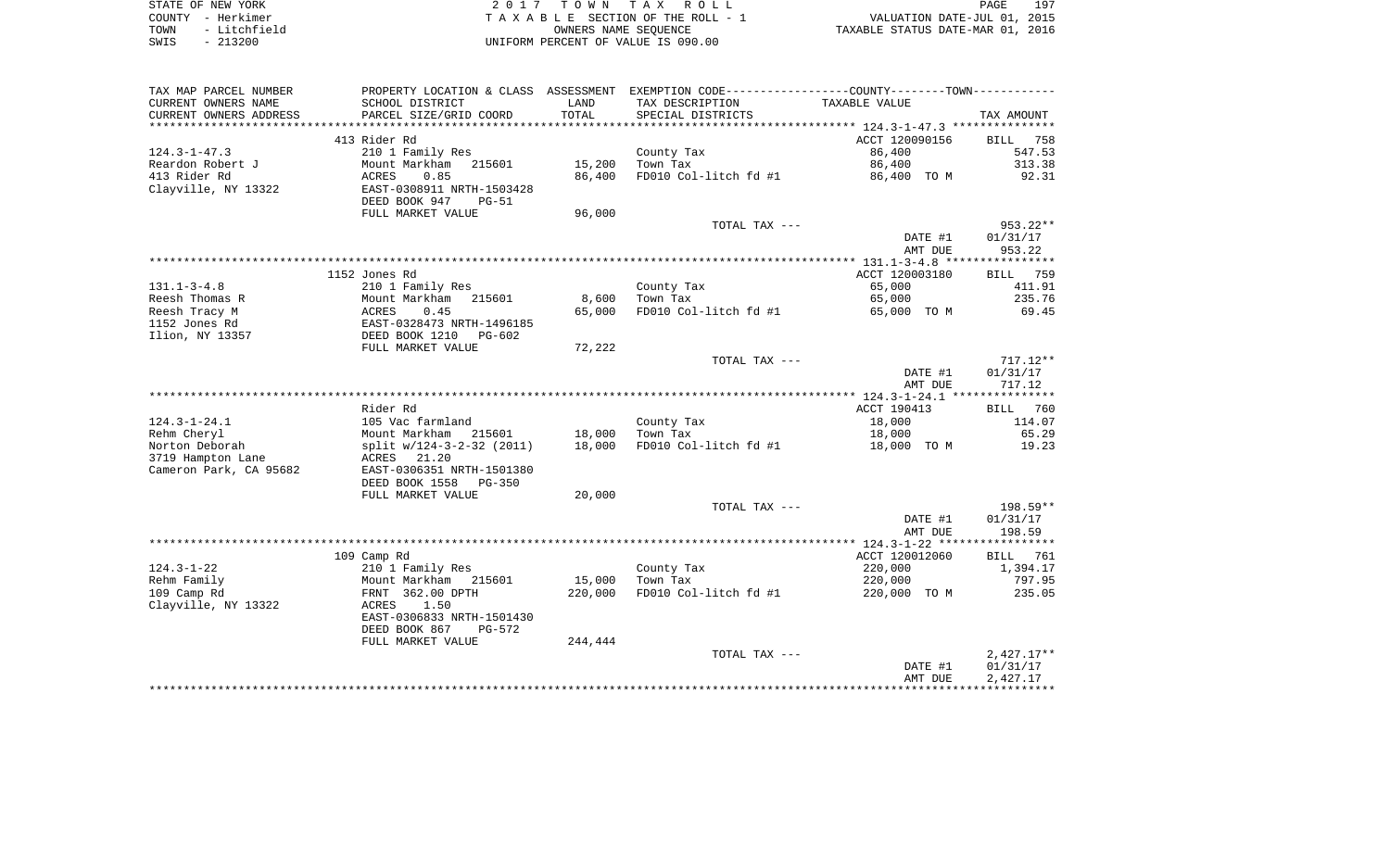| STATE OF NEW YORK |              | 2017 TOWN TAX ROLL                 |                      |                                  | PAGE | 197 |
|-------------------|--------------|------------------------------------|----------------------|----------------------------------|------|-----|
| COUNTY - Herkimer |              | TAXABLE SECTION OF THE ROLL - 1    |                      | VALUATION DATE-JUL 01, 2015      |      |     |
| TOWN              | - Litchfield |                                    | OWNERS NAME SEOUENCE | TAXABLE STATUS DATE-MAR 01, 2016 |      |     |
| $-213200$<br>SWIS |              | UNIFORM PERCENT OF VALUE IS 090.00 |                      |                                  |      |     |

197<br>2015

| TAX MAP PARCEL NUMBER      |                           |         | PROPERTY LOCATION & CLASS ASSESSMENT EXEMPTION CODE---------------COUNTY-------TOWN--------- |                |                    |
|----------------------------|---------------------------|---------|----------------------------------------------------------------------------------------------|----------------|--------------------|
| CURRENT OWNERS NAME        | SCHOOL DISTRICT           | LAND    | TAX DESCRIPTION                                                                              | TAXABLE VALUE  |                    |
| CURRENT OWNERS ADDRESS     | PARCEL SIZE/GRID COORD    | TOTAL   | SPECIAL DISTRICTS                                                                            |                | TAX AMOUNT         |
| ************************** |                           |         |                                                                                              |                |                    |
|                            | 413 Rider Rd              |         |                                                                                              | ACCT 120090156 | <b>BILL</b><br>758 |
| $124.3 - 1 - 47.3$         | 210 1 Family Res          |         | County Tax                                                                                   | 86,400         | 547.53             |
| Reardon Robert J           | Mount Markham 215601      | 15,200  | Town Tax                                                                                     | 86,400         | 313.38             |
| 413 Rider Rd               | ACRES<br>0.85             | 86,400  | FD010 Col-litch fd #1                                                                        | 86,400 TO M    | 92.31              |
| Clayville, NY 13322        | EAST-0308911 NRTH-1503428 |         |                                                                                              |                |                    |
|                            | DEED BOOK 947<br>$PG-51$  |         |                                                                                              |                |                    |
|                            | FULL MARKET VALUE         | 96,000  |                                                                                              |                |                    |
|                            |                           |         | TOTAL TAX ---                                                                                |                | 953.22**           |
|                            |                           |         |                                                                                              | DATE #1        | 01/31/17           |
|                            |                           |         |                                                                                              | AMT DUE        | 953.22             |
|                            |                           |         |                                                                                              |                |                    |
|                            | 1152 Jones Rd             |         |                                                                                              | ACCT 120003180 | BILL 759           |
| $131.1 - 3 - 4.8$          | 210 1 Family Res          |         | County Tax                                                                                   | 65,000         | 411.91             |
| Reesh Thomas R             | Mount Markham<br>215601   | 8,600   | Town Tax                                                                                     | 65,000         | 235.76             |
| Reesh Tracy M              | ACRES<br>0.45             | 65,000  | FD010 Col-litch fd #1                                                                        | 65,000 TO M    | 69.45              |
| 1152 Jones Rd              | EAST-0328473 NRTH-1496185 |         |                                                                                              |                |                    |
| Ilion, NY 13357            | DEED BOOK 1210<br>PG-602  |         |                                                                                              |                |                    |
|                            | FULL MARKET VALUE         | 72,222  |                                                                                              |                |                    |
|                            |                           |         | TOTAL TAX ---                                                                                |                | $717.12**$         |
|                            |                           |         |                                                                                              | DATE #1        | 01/31/17           |
|                            |                           |         |                                                                                              | AMT DUE        | 717.12             |
|                            | Rider Rd                  |         |                                                                                              | ACCT 190413    | 760<br>BILL        |
| $124.3 - 1 - 24.1$         | 105 Vac farmland          |         | County Tax                                                                                   | 18,000         | 114.07             |
| Rehm Cheryl                | Mount Markham<br>215601   | 18,000  | Town Tax                                                                                     | 18,000         | 65.29              |
| Norton Deborah             | split w/124-3-2-32 (2011) | 18,000  | FD010 Col-litch fd #1                                                                        | 18,000 TO M    | 19.23              |
| 3719 Hampton Lane          | 21.20<br>ACRES            |         |                                                                                              |                |                    |
| Cameron Park, CA 95682     | EAST-0306351 NRTH-1501380 |         |                                                                                              |                |                    |
|                            | DEED BOOK 1558<br>PG-350  |         |                                                                                              |                |                    |
|                            | FULL MARKET VALUE         | 20,000  |                                                                                              |                |                    |
|                            |                           |         | TOTAL TAX ---                                                                                |                | $198.59**$         |
|                            |                           |         |                                                                                              | DATE #1        | 01/31/17           |
|                            |                           |         |                                                                                              | AMT DUE        | 198.59             |
|                            |                           |         |                                                                                              |                |                    |
|                            | 109 Camp Rd               |         |                                                                                              | ACCT 120012060 | <b>BILL</b><br>761 |
| $124.3 - 1 - 22$           | 210 1 Family Res          |         | County Tax                                                                                   | 220,000        | 1,394.17           |
| Rehm Family                | Mount Markham 215601      | 15,000  | Town Tax                                                                                     | 220,000        | 797.95             |
| 109 Camp Rd                | FRNT 362.00 DPTH          | 220,000 | FD010 Col-litch fd #1                                                                        | 220,000 TO M   | 235.05             |
| Clayville, NY 13322        | ACRES<br>1.50             |         |                                                                                              |                |                    |
|                            | EAST-0306833 NRTH-1501430 |         |                                                                                              |                |                    |
|                            | DEED BOOK 867<br>PG-572   |         |                                                                                              |                |                    |
|                            | FULL MARKET VALUE         | 244,444 |                                                                                              |                |                    |
|                            |                           |         | TOTAL TAX ---                                                                                |                | $2,427.17**$       |
|                            |                           |         |                                                                                              | DATE #1        | 01/31/17           |
|                            |                           |         |                                                                                              | AMT DUE        | 2,427.17           |
|                            |                           |         |                                                                                              |                |                    |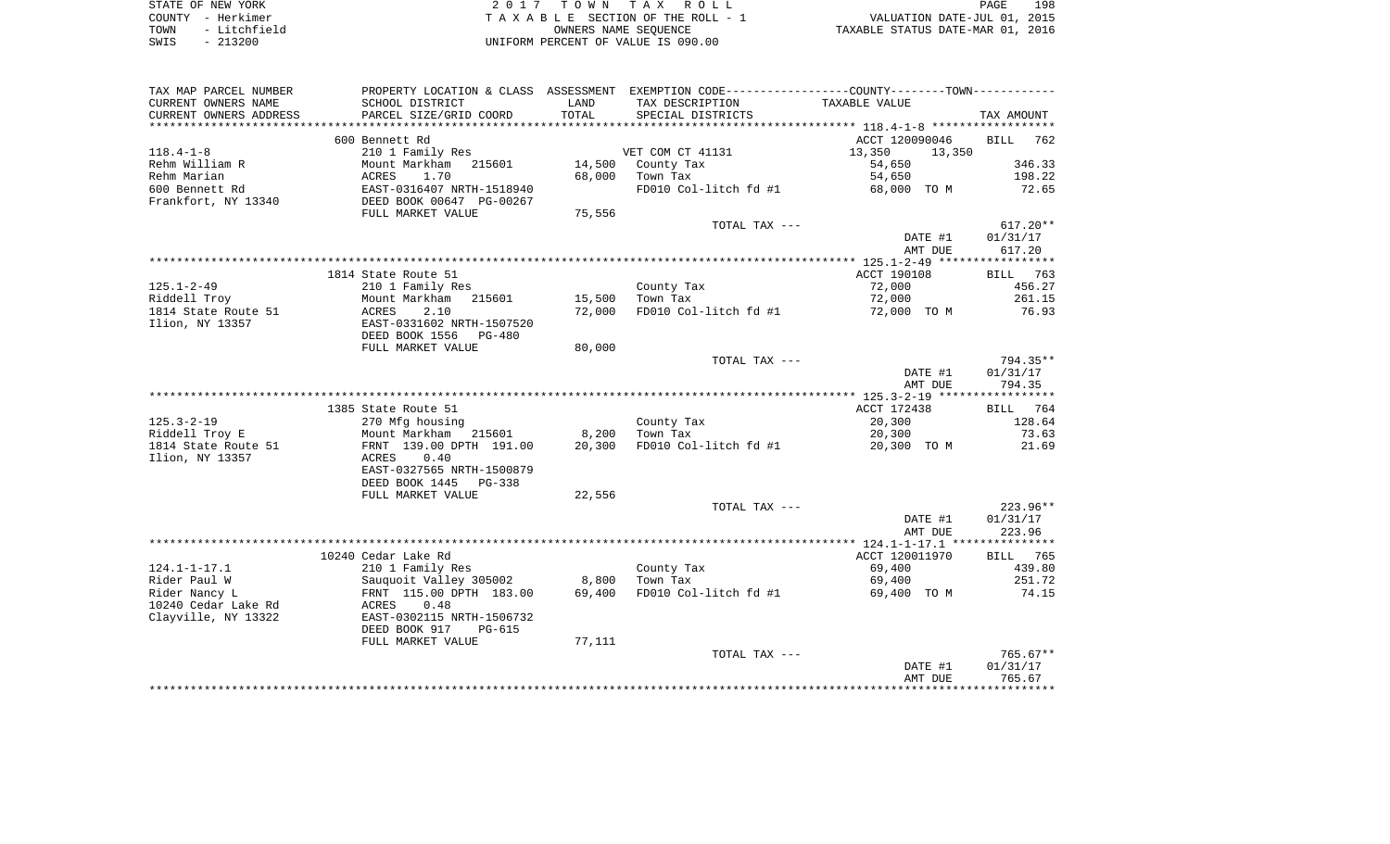| STATE OF NEW YORK    | 2017 TOWN TAX ROLL                 | 198<br>PAGE                      |
|----------------------|------------------------------------|----------------------------------|
| COUNTY - Herkimer    | TAXABLE SECTION OF THE ROLL - 1    | VALUATION DATE-JUL 01, 2015      |
| - Litchfield<br>TOWN | OWNERS NAME SEOUENCE               | TAXABLE STATUS DATE-MAR 01, 2016 |
| $-213200$<br>SWIS    | UNIFORM PERCENT OF VALUE IS 090.00 |                                  |

| TAX MAP PARCEL NUMBER         |                                                   |        | PROPERTY LOCATION & CLASS ASSESSMENT EXEMPTION CODE----------------COUNTY--------TOWN----------- |                  |                    |
|-------------------------------|---------------------------------------------------|--------|--------------------------------------------------------------------------------------------------|------------------|--------------------|
| CURRENT OWNERS NAME           | SCHOOL DISTRICT                                   | LAND   | TAX DESCRIPTION                                                                                  | TAXABLE VALUE    |                    |
| CURRENT OWNERS ADDRESS        | PARCEL SIZE/GRID COORD                            | TOTAL  | SPECIAL DISTRICTS                                                                                |                  | TAX AMOUNT         |
|                               |                                                   |        |                                                                                                  |                  |                    |
|                               | 600 Bennett Rd                                    |        |                                                                                                  | ACCT 120090046   | <b>BILL</b><br>762 |
| $118.4 - 1 - 8$               | 210 1 Family Res                                  |        | VET COM CT 41131                                                                                 | 13,350<br>13,350 |                    |
| Rehm William R                | Mount Markham 215601                              | 14,500 | County Tax                                                                                       | 54,650           | 346.33             |
| Rehm Marian                   | ACRES<br>1.70                                     | 68,000 | Town Tax                                                                                         | 54,650           | 198.22             |
| 600 Bennett Rd                | EAST-0316407 NRTH-1518940                         |        | FD010 Col-litch fd #1                                                                            | 68,000 TO M      | 72.65              |
| Frankfort, NY 13340           | DEED BOOK 00647 PG-00267                          |        |                                                                                                  |                  |                    |
|                               | FULL MARKET VALUE                                 | 75,556 |                                                                                                  |                  |                    |
|                               |                                                   |        | TOTAL TAX ---                                                                                    |                  | $617.20**$         |
|                               |                                                   |        |                                                                                                  | DATE #1          | 01/31/17           |
|                               |                                                   |        |                                                                                                  | AMT DUE          | 617.20             |
|                               |                                                   |        |                                                                                                  |                  |                    |
|                               | 1814 State Route 51                               |        |                                                                                                  | ACCT 190108      | BILL 763           |
| $125.1 - 2 - 49$              | 210 1 Family Res                                  |        | County Tax                                                                                       | 72,000           | 456.27             |
| Riddell Troy                  | Mount Markham<br>215601                           | 15,500 | Town Tax                                                                                         | 72,000           | 261.15             |
| 1814 State Route 51           | 2.10<br>ACRES                                     | 72,000 | FD010 Col-litch fd #1                                                                            | 72,000 TO M      | 76.93              |
| Ilion, NY 13357               | EAST-0331602 NRTH-1507520                         |        |                                                                                                  |                  |                    |
|                               | DEED BOOK 1556<br>$PG-480$                        |        |                                                                                                  |                  |                    |
|                               | FULL MARKET VALUE                                 | 80,000 |                                                                                                  |                  |                    |
|                               |                                                   |        | TOTAL TAX ---                                                                                    |                  | 794.35**           |
|                               |                                                   |        |                                                                                                  | DATE #1          | 01/31/17           |
|                               |                                                   |        |                                                                                                  | AMT DUE          | 794.35             |
|                               |                                                   |        |                                                                                                  |                  |                    |
|                               | 1385 State Route 51                               |        |                                                                                                  | ACCT 172438      | 764<br>BILL        |
| $125.3 - 2 - 19$              | 270 Mfg housing                                   |        | County Tax                                                                                       | 20,300           | 128.64             |
| Riddell Troy E                | Mount Markham<br>215601                           | 8,200  | Town Tax                                                                                         | 20,300           | 73.63              |
| 1814 State Route 51           | FRNT 139.00 DPTH 191.00                           | 20,300 | FD010 Col-litch fd #1                                                                            | 20,300 TO M      | 21.69              |
| Ilion, NY 13357               | 0.40<br>ACRES                                     |        |                                                                                                  |                  |                    |
|                               | EAST-0327565 NRTH-1500879                         |        |                                                                                                  |                  |                    |
|                               | DEED BOOK 1445<br>PG-338                          |        |                                                                                                  |                  |                    |
|                               | FULL MARKET VALUE                                 | 22,556 |                                                                                                  |                  |                    |
|                               |                                                   |        | TOTAL TAX ---                                                                                    |                  | $223.96**$         |
|                               |                                                   |        |                                                                                                  | DATE #1          | 01/31/17           |
|                               |                                                   |        |                                                                                                  | AMT DUE          | 223.96             |
|                               | 10240 Cedar Lake Rd                               |        |                                                                                                  | ACCT 120011970   |                    |
|                               |                                                   |        |                                                                                                  |                  | BILL 765<br>439.80 |
| $124.1 - 1 - 17.1$            | 210 1 Family Res                                  | 8,800  | County Tax                                                                                       | 69,400           | 251.72             |
| Rider Paul W<br>Rider Nancy L | Sauquoit Valley 305002<br>FRNT 115.00 DPTH 183.00 | 69,400 | Town Tax<br>FD010 Col-litch fd #1                                                                | 69,400           | 74.15              |
| 10240 Cedar Lake Rd           | ACRES<br>0.48                                     |        |                                                                                                  | 69,400 TO M      |                    |
| Clayville, NY 13322           | EAST-0302115 NRTH-1506732                         |        |                                                                                                  |                  |                    |
|                               | DEED BOOK 917<br><b>PG-615</b>                    |        |                                                                                                  |                  |                    |
|                               | FULL MARKET VALUE                                 | 77,111 |                                                                                                  |                  |                    |
|                               |                                                   |        | TOTAL TAX ---                                                                                    |                  | 765.67**           |
|                               |                                                   |        |                                                                                                  | DATE #1          | 01/31/17           |
|                               |                                                   |        |                                                                                                  | AMT DUE          | 765.67             |
|                               |                                                   |        |                                                                                                  |                  |                    |
|                               |                                                   |        |                                                                                                  |                  |                    |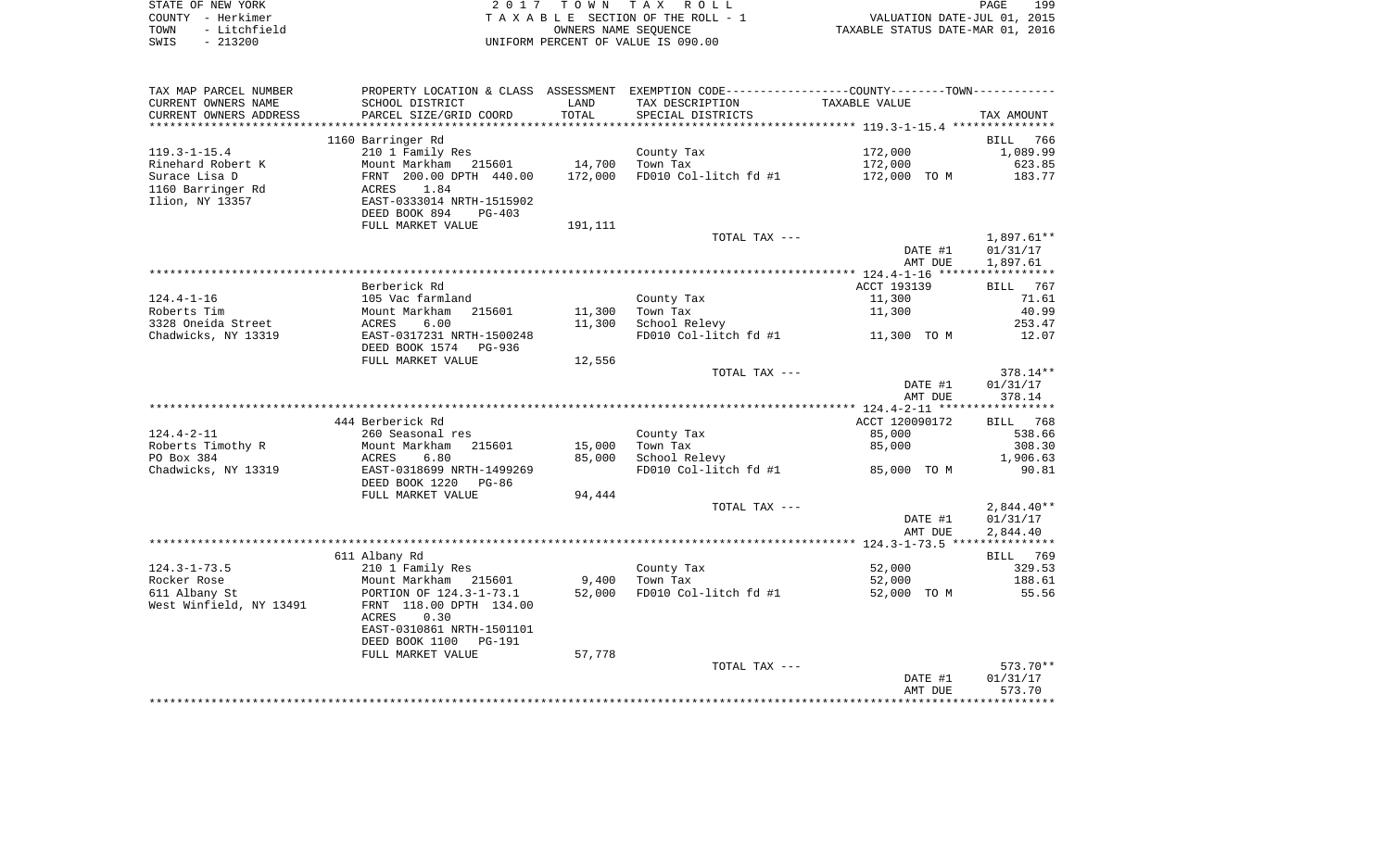|      | STATE OF NEW YORK | 2017 TOWN TAX ROLL                 | 199<br>PAGE                      |
|------|-------------------|------------------------------------|----------------------------------|
|      | COUNTY - Herkimer | TAXABLE SECTION OF THE ROLL - 1    | VALUATION DATE-JUL 01, 2015      |
| TOWN | - Litchfield      | OWNERS NAME SEOUENCE               | TAXABLE STATUS DATE-MAR 01, 2016 |
| SWIS | $-213200$         | UNIFORM PERCENT OF VALUE IS 090.00 |                                  |

| TAX MAP PARCEL NUMBER   | PROPERTY LOCATION & CLASS ASSESSMENT EXEMPTION CODE----------------COUNTY--------TOWN----------- |         |                       |                |              |
|-------------------------|--------------------------------------------------------------------------------------------------|---------|-----------------------|----------------|--------------|
| CURRENT OWNERS NAME     | SCHOOL DISTRICT                                                                                  | LAND    | TAX DESCRIPTION       | TAXABLE VALUE  |              |
| CURRENT OWNERS ADDRESS  | PARCEL SIZE/GRID COORD                                                                           | TOTAL   | SPECIAL DISTRICTS     |                | TAX AMOUNT   |
| *******************     | ***************************                                                                      |         |                       |                |              |
|                         | 1160 Barringer Rd                                                                                |         |                       |                | BILL<br>766  |
| $119.3 - 1 - 15.4$      | 210 1 Family Res                                                                                 |         | County Tax            | 172,000        | 1,089.99     |
| Rinehard Robert K       | Mount Markham<br>215601                                                                          | 14,700  | Town Tax              | 172,000        | 623.85       |
| Surace Lisa D           | FRNT 200.00 DPTH 440.00                                                                          | 172,000 | FD010 Col-litch fd #1 | 172,000 TO M   | 183.77       |
| 1160 Barringer Rd       | 1.84<br>ACRES                                                                                    |         |                       |                |              |
| Ilion, NY 13357         | EAST-0333014 NRTH-1515902                                                                        |         |                       |                |              |
|                         | DEED BOOK 894<br>$PG-403$                                                                        |         |                       |                |              |
|                         | FULL MARKET VALUE                                                                                | 191,111 |                       |                |              |
|                         |                                                                                                  |         | TOTAL TAX ---         |                | $1,897.61**$ |
|                         |                                                                                                  |         |                       | DATE #1        | 01/31/17     |
|                         |                                                                                                  |         |                       | AMT DUE        | 1,897.61     |
|                         |                                                                                                  |         |                       |                |              |
|                         | Berberick Rd                                                                                     |         |                       | ACCT 193139    | BILL 767     |
| $124.4 - 1 - 16$        | 105 Vac farmland                                                                                 |         | County Tax            | 11,300         | 71.61        |
| Roberts Tim             | Mount Markham<br>215601                                                                          | 11,300  | Town Tax              | 11,300         | 40.99        |
| 3328 Oneida Street      | 6.00<br>ACRES                                                                                    | 11,300  | School Relevy         |                | 253.47       |
| Chadwicks, NY 13319     | EAST-0317231 NRTH-1500248                                                                        |         | FD010 Col-litch fd #1 | 11,300 TO M    | 12.07        |
|                         | DEED BOOK 1574<br>PG-936                                                                         | 12,556  |                       |                |              |
|                         | FULL MARKET VALUE                                                                                |         | TOTAL TAX ---         |                | 378.14**     |
|                         |                                                                                                  |         |                       | DATE #1        | 01/31/17     |
|                         |                                                                                                  |         |                       | AMT DUE        | 378.14       |
|                         |                                                                                                  |         |                       |                |              |
|                         | 444 Berberick Rd                                                                                 |         |                       | ACCT 120090172 | BILL 768     |
| $124.4 - 2 - 11$        | 260 Seasonal res                                                                                 |         | County Tax            | 85,000         | 538.66       |
| Roberts Timothy R       | Mount Markham<br>215601                                                                          | 15,000  | Town Tax              | 85,000         | 308.30       |
| PO Box 384              | 6.80<br>ACRES                                                                                    | 85,000  | School Relevy         |                | 1,906.63     |
| Chadwicks, NY 13319     | EAST-0318699 NRTH-1499269                                                                        |         | FD010 Col-litch fd #1 | 85,000 TO M    | 90.81        |
|                         | DEED BOOK 1220<br>$PG-86$                                                                        |         |                       |                |              |
|                         | FULL MARKET VALUE                                                                                | 94,444  |                       |                |              |
|                         |                                                                                                  |         | TOTAL TAX ---         |                | $2,844.40**$ |
|                         |                                                                                                  |         |                       | DATE #1        | 01/31/17     |
|                         |                                                                                                  |         |                       | AMT DUE        | 2,844.40     |
|                         |                                                                                                  |         |                       |                |              |
|                         | 611 Albany Rd                                                                                    |         |                       |                | BILL 769     |
| $124.3 - 1 - 73.5$      | 210 1 Family Res                                                                                 |         | County Tax            | 52,000         | 329.53       |
| Rocker Rose             | Mount Markham<br>215601                                                                          | 9,400   | Town Tax              | 52,000         | 188.61       |
| 611 Albany St           | PORTION OF 124.3-1-73.1                                                                          | 52,000  | FD010 Col-litch fd #1 | 52,000 TO M    | 55.56        |
| West Winfield, NY 13491 | FRNT 118.00 DPTH 134.00                                                                          |         |                       |                |              |
|                         | 0.30<br><b>ACRES</b>                                                                             |         |                       |                |              |
|                         | EAST-0310861 NRTH-1501101                                                                        |         |                       |                |              |
|                         | DEED BOOK 1100<br><b>PG-191</b>                                                                  |         |                       |                |              |
|                         | FULL MARKET VALUE                                                                                | 57,778  |                       |                |              |
|                         |                                                                                                  |         | TOTAL TAX ---         |                | 573.70**     |
|                         |                                                                                                  |         |                       | DATE #1        | 01/31/17     |
|                         |                                                                                                  |         |                       | AMT DUE        | 573.70       |
|                         |                                                                                                  |         |                       |                |              |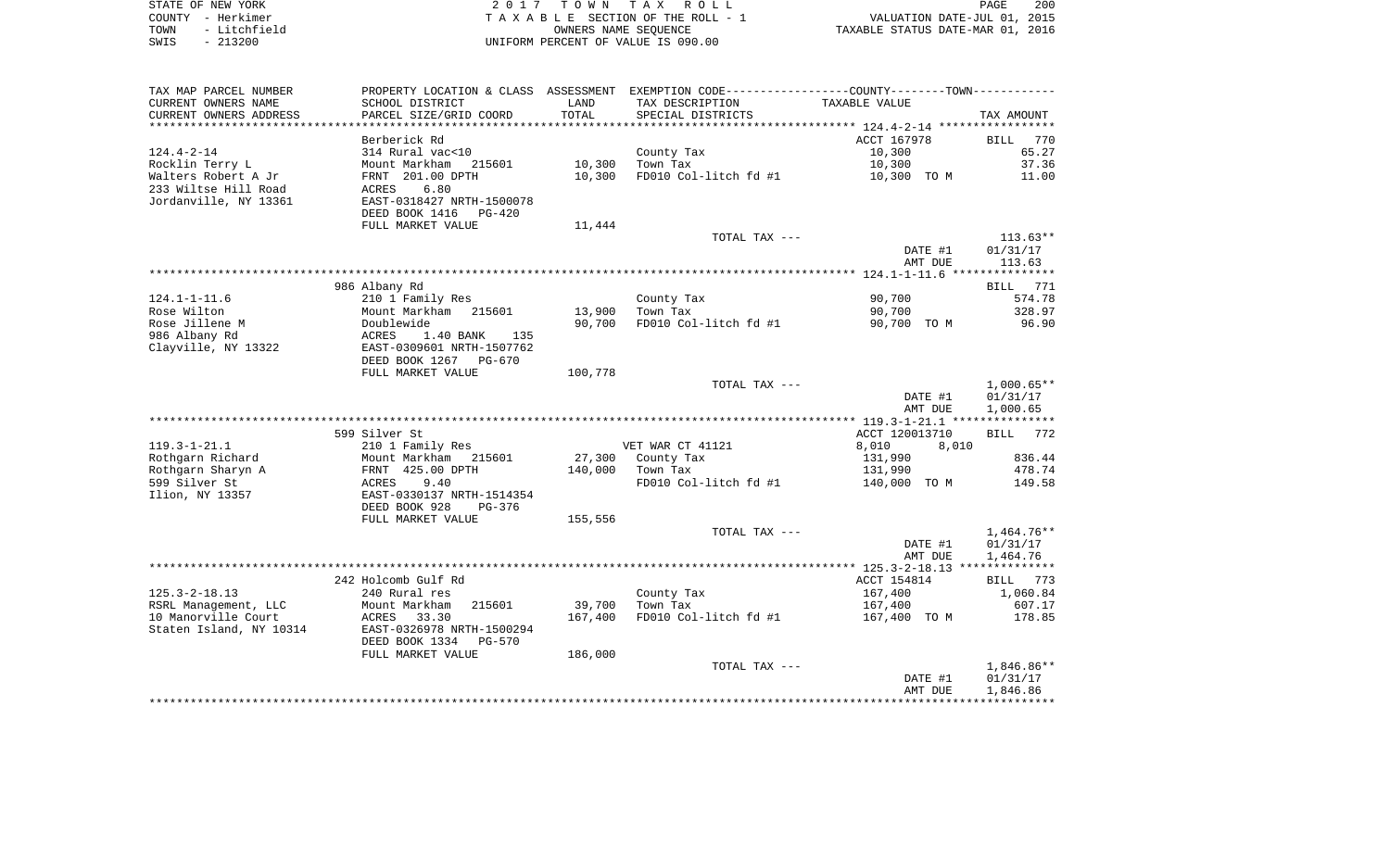|      | STATE OF NEW YORK | 2017 TOWN TAX ROLL                 | PAGE                             | 200 |
|------|-------------------|------------------------------------|----------------------------------|-----|
|      | COUNTY - Herkimer | TAXABLE SECTION OF THE ROLL - 1    | VALUATION DATE-JUL 01, 2015      |     |
| TOWN | - Litchfield      | OWNERS NAME SEOUENCE               | TAXABLE STATUS DATE-MAR 01, 2016 |     |
| SWIS | $-213200$         | UNIFORM PERCENT OF VALUE IS 090.00 |                                  |     |

| TAX MAP PARCEL NUMBER                         |                                                    |         | PROPERTY LOCATION & CLASS ASSESSMENT EXEMPTION CODE---------------COUNTY-------TOWN---------- |                |              |
|-----------------------------------------------|----------------------------------------------------|---------|-----------------------------------------------------------------------------------------------|----------------|--------------|
| CURRENT OWNERS NAME                           | SCHOOL DISTRICT                                    | LAND    | TAX DESCRIPTION                                                                               | TAXABLE VALUE  |              |
| CURRENT OWNERS ADDRESS                        | PARCEL SIZE/GRID COORD                             | TOTAL   | SPECIAL DISTRICTS                                                                             |                | TAX AMOUNT   |
| **********************                        | *********************                              |         |                                                                                               |                |              |
|                                               | Berberick Rd                                       |         |                                                                                               | ACCT 167978    | BILL 770     |
| 124.4-2-14                                    | 314 Rural vac<10                                   |         | County Tax                                                                                    | 10,300         | 65.27        |
| Rocklin Terry L                               | Mount Markham 215601                               | 10,300  | Town Tax                                                                                      | 10,300         | 37.36        |
| Walters Robert A Jr                           | FRNT 201.00 DPTH                                   | 10,300  | FD010 Col-litch fd #1                                                                         | 10,300 TO M    | 11.00        |
| 233 Wiltse Hill Road<br>Jordanville, NY 13361 | ACRES<br>6.80                                      |         |                                                                                               |                |              |
|                                               | EAST-0318427 NRTH-1500078<br>DEED BOOK 1416 PG-420 |         |                                                                                               |                |              |
|                                               | FULL MARKET VALUE                                  | 11,444  |                                                                                               |                |              |
|                                               |                                                    |         | TOTAL TAX ---                                                                                 |                | $113.63**$   |
|                                               |                                                    |         |                                                                                               | DATE #1        | 01/31/17     |
|                                               |                                                    |         |                                                                                               | AMT DUE        | 113.63       |
|                                               |                                                    |         |                                                                                               |                |              |
|                                               | 986 Albany Rd                                      |         |                                                                                               |                | BILL 771     |
| $124.1 - 1 - 11.6$                            | 210 1 Family Res                                   |         | County Tax                                                                                    | 90,700         | 574.78       |
| Rose Wilton                                   | Mount Markham 215601                               | 13,900  | Town Tax                                                                                      | 90,700         | 328.97       |
| Rose Jillene M                                | Doublewide                                         | 90,700  | FD010 Col-litch fd #1                                                                         | 90,700 TO M    | 96.90        |
| 986 Albany Rd                                 | ACRES<br>1.40 BANK 135                             |         |                                                                                               |                |              |
| Clayville, NY 13322                           | EAST-0309601 NRTH-1507762                          |         |                                                                                               |                |              |
|                                               | DEED BOOK 1267 PG-670                              |         |                                                                                               |                |              |
|                                               | FULL MARKET VALUE                                  | 100,778 | TOTAL TAX ---                                                                                 |                | $1,000.65**$ |
|                                               |                                                    |         |                                                                                               | DATE #1        | 01/31/17     |
|                                               |                                                    |         |                                                                                               | AMT DUE        | 1,000.65     |
|                                               |                                                    |         |                                                                                               |                |              |
|                                               | 599 Silver St                                      |         |                                                                                               | ACCT 120013710 | BILL 772     |
| 119.3-1-21.1                                  | 210 1 Family Res                                   |         | VET WAR CT 41121                                                                              | 8,010<br>8,010 |              |
| Rothgarn Richard                              | Mount Markham 215601                               |         | 27,300 County Tax                                                                             | 131,990        | 836.44       |
| Rothgarn Sharyn A                             | FRNT 425.00 DPTH                                   | 140,000 | Town Tax                                                                                      | 131,990        | 478.74       |
| 599 Silver St                                 | ACRES<br>9.40                                      |         | FD010 Col-litch fd #1                                                                         | 140,000 TO M   | 149.58       |
| Ilion, NY 13357                               | EAST-0330137 NRTH-1514354                          |         |                                                                                               |                |              |
|                                               | DEED BOOK 928<br>PG-376                            |         |                                                                                               |                |              |
|                                               | FULL MARKET VALUE                                  | 155,556 | TOTAL TAX ---                                                                                 |                | 1,464.76**   |
|                                               |                                                    |         |                                                                                               | DATE #1        | 01/31/17     |
|                                               |                                                    |         |                                                                                               | AMT DUE        | 1,464.76     |
|                                               |                                                    |         |                                                                                               |                |              |
|                                               | 242 Holcomb Gulf Rd                                |         |                                                                                               | ACCT 154814    | BILL 773     |
| $125.3 - 2 - 18.13$                           | 240 Rural res                                      |         | County Tax                                                                                    | 167,400        | 1,060.84     |
| RSRL Management, LLC                          | 215601<br>Mount Markham                            | 39,700  | Town Tax                                                                                      | 167,400        | 607.17       |
| 10 Manorville Court                           | ACRES 33.30                                        | 167,400 | FD010 Col-litch fd #1                                                                         | 167,400 TO M   | 178.85       |
| Staten Island, NY 10314                       | EAST-0326978 NRTH-1500294                          |         |                                                                                               |                |              |
|                                               | DEED BOOK 1334 PG-570                              |         |                                                                                               |                |              |
|                                               | FULL MARKET VALUE                                  | 186,000 |                                                                                               |                |              |
|                                               |                                                    |         | TOTAL TAX ---                                                                                 |                | 1,846.86**   |
|                                               |                                                    |         |                                                                                               | DATE #1        | 01/31/17     |
|                                               |                                                    |         |                                                                                               | AMT DUE        | 1,846.86     |
|                                               |                                                    |         |                                                                                               |                |              |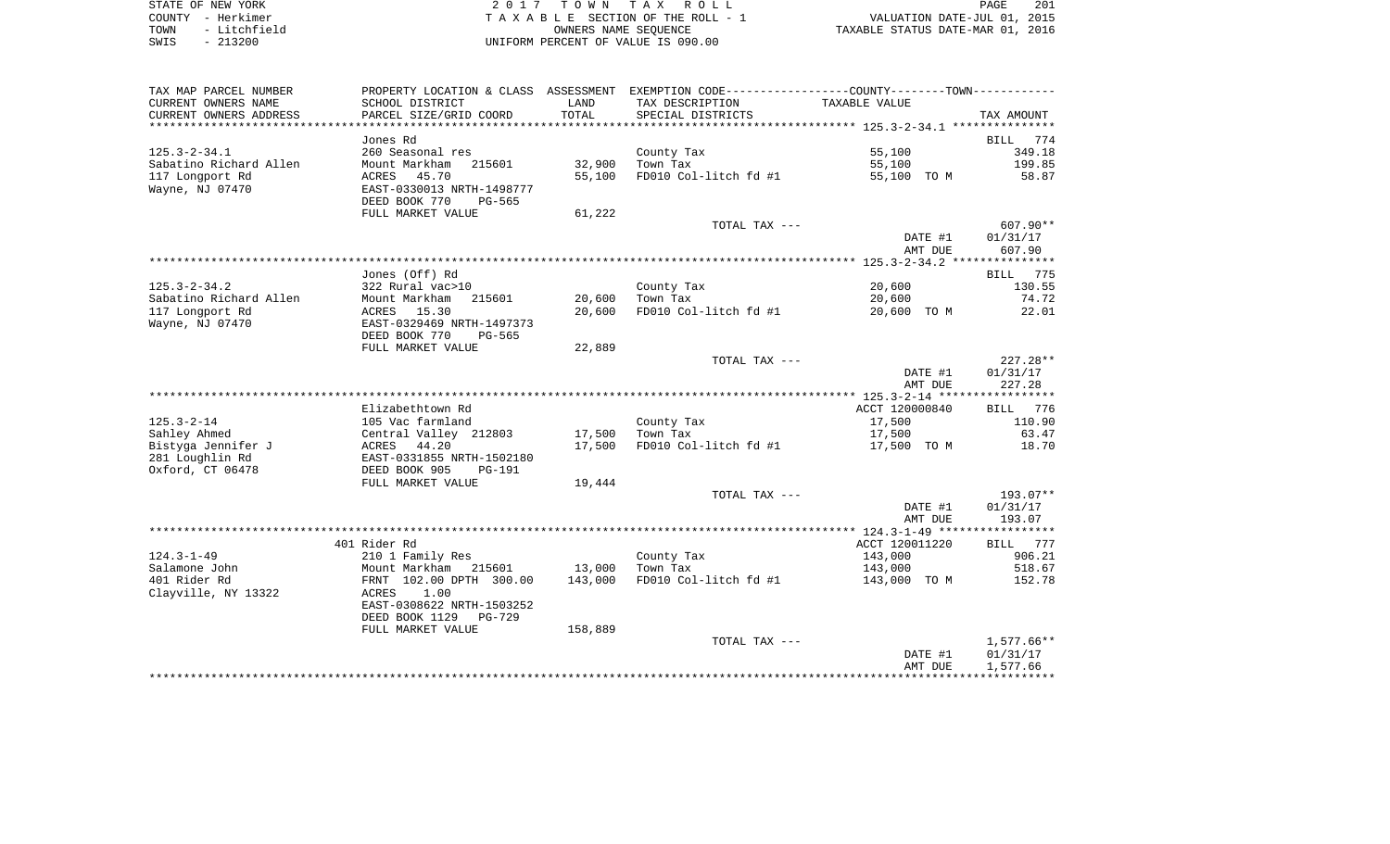| STATE OF NEW YORK    | 2017 TOWN TAX ROLL                 | 201<br>PAGE                      |
|----------------------|------------------------------------|----------------------------------|
| COUNTY - Herkimer    | TAXABLE SECTION OF THE ROLL - 1    | VALUATION DATE-JUL 01, 2015      |
| - Litchfield<br>TOWN | OWNERS NAME SEOUENCE               | TAXABLE STATUS DATE-MAR 01, 2016 |
| $-213200$<br>SWIS    | UNIFORM PERCENT OF VALUE IS 090.00 |                                  |

| CURRENT OWNERS NAME<br>SCHOOL DISTRICT<br>LAND<br>TAX DESCRIPTION<br>TAXABLE VALUE<br>TOTAL<br>CURRENT OWNERS ADDRESS<br>PARCEL SIZE/GRID COORD<br>SPECIAL DISTRICTS<br>TAX AMOUNT<br>**********************<br>*********************<br>***************<br>Jones Rd<br>BILL<br>774<br>$125.3 - 2 - 34.1$<br>260 Seasonal res<br>55,100<br>349.18<br>County Tax<br>Sabatino Richard Allen<br>Mount Markham<br>32,900<br>Town Tax<br>55,100<br>199.85<br>215601<br>FD010 Col-litch fd #1<br>117 Longport Rd<br><b>ACRES</b><br>45.70<br>55,100<br>55,100 TO M<br>58.87<br>Wayne, NJ 07470<br>EAST-0330013 NRTH-1498777<br>DEED BOOK 770<br><b>PG-565</b><br>FULL MARKET VALUE<br>61,222<br>TOTAL TAX ---<br>$607.90**$<br>DATE #1<br>01/31/17<br>AMT DUE<br>607.90<br>Jones (Off) Rd<br>775<br>BILL<br>$125.3 - 2 - 34.2$<br>322 Rural vac>10<br>County Tax<br>20,600<br>130.55<br>Sabatino Richard Allen<br>Mount Markham<br>215601<br>20,600<br>Town Tax<br>20,600<br>74.72<br>FD010 Col-litch fd #1<br>117 Longport Rd<br>ACRES<br>15.30<br>20,600<br>20,600 TO M<br>22.01<br>Wayne, NJ 07470<br>EAST-0329469 NRTH-1497373<br>DEED BOOK 770<br>PG-565<br>FULL MARKET VALUE<br>22,889<br>$227.28**$<br>TOTAL TAX ---<br>01/31/17<br>DATE #1<br>227.28<br>AMT DUE<br>Elizabethtown Rd<br>ACCT 120000840<br>BILL<br>776<br>$125.3 - 2 - 14$<br>105 Vac farmland<br>County Tax<br>17,500<br>110.90<br>Sahley Ahmed<br>17,500<br>17,500<br>63.47<br>Central Valley 212803<br>Town Tax<br>Bistyga Jennifer J<br>44.20<br>17,500<br>FD010 Col-litch fd #1<br>18.70<br>ACRES<br>17,500 TO M<br>281 Loughlin Rd<br>EAST-0331855 NRTH-1502180<br>Oxford, CT 06478<br>DEED BOOK 905<br><b>PG-191</b><br>FULL MARKET VALUE<br>19,444<br>TOTAL TAX ---<br>$193.07**$<br>DATE #1<br>01/31/17<br>193.07<br>AMT DUE<br>401 Rider Rd<br>ACCT 120011220<br>BILL 777<br>$124.3 - 1 - 49$<br>210 1 Family Res<br>143,000<br>906.21<br>County Tax<br>Salamone John<br>518.67<br>Mount Markham<br>215601<br>13,000<br>Town Tax<br>143,000<br>401 Rider Rd<br>FRNT 102.00 DPTH 300.00<br>FD010 Col-litch fd #1<br>143,000<br>143,000 TO M<br>152.78<br>1.00<br>Clayville, NY 13322<br>ACRES<br>EAST-0308622 NRTH-1503252<br>DEED BOOK 1129<br>PG-729<br>158,889<br>FULL MARKET VALUE<br>$1,577.66**$<br>TOTAL TAX ---<br>01/31/17<br>DATE #1<br>AMT DUE<br>1,577.66 | TAX MAP PARCEL NUMBER | PROPERTY LOCATION & CLASS ASSESSMENT | EXEMPTION CODE----------------COUNTY-------TOWN----------- |  |
|------------------------------------------------------------------------------------------------------------------------------------------------------------------------------------------------------------------------------------------------------------------------------------------------------------------------------------------------------------------------------------------------------------------------------------------------------------------------------------------------------------------------------------------------------------------------------------------------------------------------------------------------------------------------------------------------------------------------------------------------------------------------------------------------------------------------------------------------------------------------------------------------------------------------------------------------------------------------------------------------------------------------------------------------------------------------------------------------------------------------------------------------------------------------------------------------------------------------------------------------------------------------------------------------------------------------------------------------------------------------------------------------------------------------------------------------------------------------------------------------------------------------------------------------------------------------------------------------------------------------------------------------------------------------------------------------------------------------------------------------------------------------------------------------------------------------------------------------------------------------------------------------------------------------------------------------------------------------------------------------------------------------------------------------------------------------------------------------------------------------------------------------------------------------------------------------------------------------------------------------------------------------------------------------------------------------------------------------|-----------------------|--------------------------------------|------------------------------------------------------------|--|
|                                                                                                                                                                                                                                                                                                                                                                                                                                                                                                                                                                                                                                                                                                                                                                                                                                                                                                                                                                                                                                                                                                                                                                                                                                                                                                                                                                                                                                                                                                                                                                                                                                                                                                                                                                                                                                                                                                                                                                                                                                                                                                                                                                                                                                                                                                                                                |                       |                                      |                                                            |  |
|                                                                                                                                                                                                                                                                                                                                                                                                                                                                                                                                                                                                                                                                                                                                                                                                                                                                                                                                                                                                                                                                                                                                                                                                                                                                                                                                                                                                                                                                                                                                                                                                                                                                                                                                                                                                                                                                                                                                                                                                                                                                                                                                                                                                                                                                                                                                                |                       |                                      |                                                            |  |
|                                                                                                                                                                                                                                                                                                                                                                                                                                                                                                                                                                                                                                                                                                                                                                                                                                                                                                                                                                                                                                                                                                                                                                                                                                                                                                                                                                                                                                                                                                                                                                                                                                                                                                                                                                                                                                                                                                                                                                                                                                                                                                                                                                                                                                                                                                                                                |                       |                                      |                                                            |  |
|                                                                                                                                                                                                                                                                                                                                                                                                                                                                                                                                                                                                                                                                                                                                                                                                                                                                                                                                                                                                                                                                                                                                                                                                                                                                                                                                                                                                                                                                                                                                                                                                                                                                                                                                                                                                                                                                                                                                                                                                                                                                                                                                                                                                                                                                                                                                                |                       |                                      |                                                            |  |
|                                                                                                                                                                                                                                                                                                                                                                                                                                                                                                                                                                                                                                                                                                                                                                                                                                                                                                                                                                                                                                                                                                                                                                                                                                                                                                                                                                                                                                                                                                                                                                                                                                                                                                                                                                                                                                                                                                                                                                                                                                                                                                                                                                                                                                                                                                                                                |                       |                                      |                                                            |  |
|                                                                                                                                                                                                                                                                                                                                                                                                                                                                                                                                                                                                                                                                                                                                                                                                                                                                                                                                                                                                                                                                                                                                                                                                                                                                                                                                                                                                                                                                                                                                                                                                                                                                                                                                                                                                                                                                                                                                                                                                                                                                                                                                                                                                                                                                                                                                                |                       |                                      |                                                            |  |
|                                                                                                                                                                                                                                                                                                                                                                                                                                                                                                                                                                                                                                                                                                                                                                                                                                                                                                                                                                                                                                                                                                                                                                                                                                                                                                                                                                                                                                                                                                                                                                                                                                                                                                                                                                                                                                                                                                                                                                                                                                                                                                                                                                                                                                                                                                                                                |                       |                                      |                                                            |  |
|                                                                                                                                                                                                                                                                                                                                                                                                                                                                                                                                                                                                                                                                                                                                                                                                                                                                                                                                                                                                                                                                                                                                                                                                                                                                                                                                                                                                                                                                                                                                                                                                                                                                                                                                                                                                                                                                                                                                                                                                                                                                                                                                                                                                                                                                                                                                                |                       |                                      |                                                            |  |
|                                                                                                                                                                                                                                                                                                                                                                                                                                                                                                                                                                                                                                                                                                                                                                                                                                                                                                                                                                                                                                                                                                                                                                                                                                                                                                                                                                                                                                                                                                                                                                                                                                                                                                                                                                                                                                                                                                                                                                                                                                                                                                                                                                                                                                                                                                                                                |                       |                                      |                                                            |  |
|                                                                                                                                                                                                                                                                                                                                                                                                                                                                                                                                                                                                                                                                                                                                                                                                                                                                                                                                                                                                                                                                                                                                                                                                                                                                                                                                                                                                                                                                                                                                                                                                                                                                                                                                                                                                                                                                                                                                                                                                                                                                                                                                                                                                                                                                                                                                                |                       |                                      |                                                            |  |
|                                                                                                                                                                                                                                                                                                                                                                                                                                                                                                                                                                                                                                                                                                                                                                                                                                                                                                                                                                                                                                                                                                                                                                                                                                                                                                                                                                                                                                                                                                                                                                                                                                                                                                                                                                                                                                                                                                                                                                                                                                                                                                                                                                                                                                                                                                                                                |                       |                                      |                                                            |  |
|                                                                                                                                                                                                                                                                                                                                                                                                                                                                                                                                                                                                                                                                                                                                                                                                                                                                                                                                                                                                                                                                                                                                                                                                                                                                                                                                                                                                                                                                                                                                                                                                                                                                                                                                                                                                                                                                                                                                                                                                                                                                                                                                                                                                                                                                                                                                                |                       |                                      |                                                            |  |
|                                                                                                                                                                                                                                                                                                                                                                                                                                                                                                                                                                                                                                                                                                                                                                                                                                                                                                                                                                                                                                                                                                                                                                                                                                                                                                                                                                                                                                                                                                                                                                                                                                                                                                                                                                                                                                                                                                                                                                                                                                                                                                                                                                                                                                                                                                                                                |                       |                                      |                                                            |  |
|                                                                                                                                                                                                                                                                                                                                                                                                                                                                                                                                                                                                                                                                                                                                                                                                                                                                                                                                                                                                                                                                                                                                                                                                                                                                                                                                                                                                                                                                                                                                                                                                                                                                                                                                                                                                                                                                                                                                                                                                                                                                                                                                                                                                                                                                                                                                                |                       |                                      |                                                            |  |
|                                                                                                                                                                                                                                                                                                                                                                                                                                                                                                                                                                                                                                                                                                                                                                                                                                                                                                                                                                                                                                                                                                                                                                                                                                                                                                                                                                                                                                                                                                                                                                                                                                                                                                                                                                                                                                                                                                                                                                                                                                                                                                                                                                                                                                                                                                                                                |                       |                                      |                                                            |  |
|                                                                                                                                                                                                                                                                                                                                                                                                                                                                                                                                                                                                                                                                                                                                                                                                                                                                                                                                                                                                                                                                                                                                                                                                                                                                                                                                                                                                                                                                                                                                                                                                                                                                                                                                                                                                                                                                                                                                                                                                                                                                                                                                                                                                                                                                                                                                                |                       |                                      |                                                            |  |
|                                                                                                                                                                                                                                                                                                                                                                                                                                                                                                                                                                                                                                                                                                                                                                                                                                                                                                                                                                                                                                                                                                                                                                                                                                                                                                                                                                                                                                                                                                                                                                                                                                                                                                                                                                                                                                                                                                                                                                                                                                                                                                                                                                                                                                                                                                                                                |                       |                                      |                                                            |  |
|                                                                                                                                                                                                                                                                                                                                                                                                                                                                                                                                                                                                                                                                                                                                                                                                                                                                                                                                                                                                                                                                                                                                                                                                                                                                                                                                                                                                                                                                                                                                                                                                                                                                                                                                                                                                                                                                                                                                                                                                                                                                                                                                                                                                                                                                                                                                                |                       |                                      |                                                            |  |
|                                                                                                                                                                                                                                                                                                                                                                                                                                                                                                                                                                                                                                                                                                                                                                                                                                                                                                                                                                                                                                                                                                                                                                                                                                                                                                                                                                                                                                                                                                                                                                                                                                                                                                                                                                                                                                                                                                                                                                                                                                                                                                                                                                                                                                                                                                                                                |                       |                                      |                                                            |  |
|                                                                                                                                                                                                                                                                                                                                                                                                                                                                                                                                                                                                                                                                                                                                                                                                                                                                                                                                                                                                                                                                                                                                                                                                                                                                                                                                                                                                                                                                                                                                                                                                                                                                                                                                                                                                                                                                                                                                                                                                                                                                                                                                                                                                                                                                                                                                                |                       |                                      |                                                            |  |
|                                                                                                                                                                                                                                                                                                                                                                                                                                                                                                                                                                                                                                                                                                                                                                                                                                                                                                                                                                                                                                                                                                                                                                                                                                                                                                                                                                                                                                                                                                                                                                                                                                                                                                                                                                                                                                                                                                                                                                                                                                                                                                                                                                                                                                                                                                                                                |                       |                                      |                                                            |  |
|                                                                                                                                                                                                                                                                                                                                                                                                                                                                                                                                                                                                                                                                                                                                                                                                                                                                                                                                                                                                                                                                                                                                                                                                                                                                                                                                                                                                                                                                                                                                                                                                                                                                                                                                                                                                                                                                                                                                                                                                                                                                                                                                                                                                                                                                                                                                                |                       |                                      |                                                            |  |
|                                                                                                                                                                                                                                                                                                                                                                                                                                                                                                                                                                                                                                                                                                                                                                                                                                                                                                                                                                                                                                                                                                                                                                                                                                                                                                                                                                                                                                                                                                                                                                                                                                                                                                                                                                                                                                                                                                                                                                                                                                                                                                                                                                                                                                                                                                                                                |                       |                                      |                                                            |  |
|                                                                                                                                                                                                                                                                                                                                                                                                                                                                                                                                                                                                                                                                                                                                                                                                                                                                                                                                                                                                                                                                                                                                                                                                                                                                                                                                                                                                                                                                                                                                                                                                                                                                                                                                                                                                                                                                                                                                                                                                                                                                                                                                                                                                                                                                                                                                                |                       |                                      |                                                            |  |
|                                                                                                                                                                                                                                                                                                                                                                                                                                                                                                                                                                                                                                                                                                                                                                                                                                                                                                                                                                                                                                                                                                                                                                                                                                                                                                                                                                                                                                                                                                                                                                                                                                                                                                                                                                                                                                                                                                                                                                                                                                                                                                                                                                                                                                                                                                                                                |                       |                                      |                                                            |  |
|                                                                                                                                                                                                                                                                                                                                                                                                                                                                                                                                                                                                                                                                                                                                                                                                                                                                                                                                                                                                                                                                                                                                                                                                                                                                                                                                                                                                                                                                                                                                                                                                                                                                                                                                                                                                                                                                                                                                                                                                                                                                                                                                                                                                                                                                                                                                                |                       |                                      |                                                            |  |
|                                                                                                                                                                                                                                                                                                                                                                                                                                                                                                                                                                                                                                                                                                                                                                                                                                                                                                                                                                                                                                                                                                                                                                                                                                                                                                                                                                                                                                                                                                                                                                                                                                                                                                                                                                                                                                                                                                                                                                                                                                                                                                                                                                                                                                                                                                                                                |                       |                                      |                                                            |  |
|                                                                                                                                                                                                                                                                                                                                                                                                                                                                                                                                                                                                                                                                                                                                                                                                                                                                                                                                                                                                                                                                                                                                                                                                                                                                                                                                                                                                                                                                                                                                                                                                                                                                                                                                                                                                                                                                                                                                                                                                                                                                                                                                                                                                                                                                                                                                                |                       |                                      |                                                            |  |
|                                                                                                                                                                                                                                                                                                                                                                                                                                                                                                                                                                                                                                                                                                                                                                                                                                                                                                                                                                                                                                                                                                                                                                                                                                                                                                                                                                                                                                                                                                                                                                                                                                                                                                                                                                                                                                                                                                                                                                                                                                                                                                                                                                                                                                                                                                                                                |                       |                                      |                                                            |  |
|                                                                                                                                                                                                                                                                                                                                                                                                                                                                                                                                                                                                                                                                                                                                                                                                                                                                                                                                                                                                                                                                                                                                                                                                                                                                                                                                                                                                                                                                                                                                                                                                                                                                                                                                                                                                                                                                                                                                                                                                                                                                                                                                                                                                                                                                                                                                                |                       |                                      |                                                            |  |
|                                                                                                                                                                                                                                                                                                                                                                                                                                                                                                                                                                                                                                                                                                                                                                                                                                                                                                                                                                                                                                                                                                                                                                                                                                                                                                                                                                                                                                                                                                                                                                                                                                                                                                                                                                                                                                                                                                                                                                                                                                                                                                                                                                                                                                                                                                                                                |                       |                                      |                                                            |  |
|                                                                                                                                                                                                                                                                                                                                                                                                                                                                                                                                                                                                                                                                                                                                                                                                                                                                                                                                                                                                                                                                                                                                                                                                                                                                                                                                                                                                                                                                                                                                                                                                                                                                                                                                                                                                                                                                                                                                                                                                                                                                                                                                                                                                                                                                                                                                                |                       |                                      |                                                            |  |
|                                                                                                                                                                                                                                                                                                                                                                                                                                                                                                                                                                                                                                                                                                                                                                                                                                                                                                                                                                                                                                                                                                                                                                                                                                                                                                                                                                                                                                                                                                                                                                                                                                                                                                                                                                                                                                                                                                                                                                                                                                                                                                                                                                                                                                                                                                                                                |                       |                                      |                                                            |  |
|                                                                                                                                                                                                                                                                                                                                                                                                                                                                                                                                                                                                                                                                                                                                                                                                                                                                                                                                                                                                                                                                                                                                                                                                                                                                                                                                                                                                                                                                                                                                                                                                                                                                                                                                                                                                                                                                                                                                                                                                                                                                                                                                                                                                                                                                                                                                                |                       |                                      |                                                            |  |
|                                                                                                                                                                                                                                                                                                                                                                                                                                                                                                                                                                                                                                                                                                                                                                                                                                                                                                                                                                                                                                                                                                                                                                                                                                                                                                                                                                                                                                                                                                                                                                                                                                                                                                                                                                                                                                                                                                                                                                                                                                                                                                                                                                                                                                                                                                                                                |                       |                                      |                                                            |  |
|                                                                                                                                                                                                                                                                                                                                                                                                                                                                                                                                                                                                                                                                                                                                                                                                                                                                                                                                                                                                                                                                                                                                                                                                                                                                                                                                                                                                                                                                                                                                                                                                                                                                                                                                                                                                                                                                                                                                                                                                                                                                                                                                                                                                                                                                                                                                                |                       |                                      |                                                            |  |
|                                                                                                                                                                                                                                                                                                                                                                                                                                                                                                                                                                                                                                                                                                                                                                                                                                                                                                                                                                                                                                                                                                                                                                                                                                                                                                                                                                                                                                                                                                                                                                                                                                                                                                                                                                                                                                                                                                                                                                                                                                                                                                                                                                                                                                                                                                                                                |                       |                                      |                                                            |  |
|                                                                                                                                                                                                                                                                                                                                                                                                                                                                                                                                                                                                                                                                                                                                                                                                                                                                                                                                                                                                                                                                                                                                                                                                                                                                                                                                                                                                                                                                                                                                                                                                                                                                                                                                                                                                                                                                                                                                                                                                                                                                                                                                                                                                                                                                                                                                                |                       |                                      |                                                            |  |
|                                                                                                                                                                                                                                                                                                                                                                                                                                                                                                                                                                                                                                                                                                                                                                                                                                                                                                                                                                                                                                                                                                                                                                                                                                                                                                                                                                                                                                                                                                                                                                                                                                                                                                                                                                                                                                                                                                                                                                                                                                                                                                                                                                                                                                                                                                                                                |                       |                                      |                                                            |  |
|                                                                                                                                                                                                                                                                                                                                                                                                                                                                                                                                                                                                                                                                                                                                                                                                                                                                                                                                                                                                                                                                                                                                                                                                                                                                                                                                                                                                                                                                                                                                                                                                                                                                                                                                                                                                                                                                                                                                                                                                                                                                                                                                                                                                                                                                                                                                                |                       |                                      |                                                            |  |
|                                                                                                                                                                                                                                                                                                                                                                                                                                                                                                                                                                                                                                                                                                                                                                                                                                                                                                                                                                                                                                                                                                                                                                                                                                                                                                                                                                                                                                                                                                                                                                                                                                                                                                                                                                                                                                                                                                                                                                                                                                                                                                                                                                                                                                                                                                                                                |                       |                                      |                                                            |  |
|                                                                                                                                                                                                                                                                                                                                                                                                                                                                                                                                                                                                                                                                                                                                                                                                                                                                                                                                                                                                                                                                                                                                                                                                                                                                                                                                                                                                                                                                                                                                                                                                                                                                                                                                                                                                                                                                                                                                                                                                                                                                                                                                                                                                                                                                                                                                                |                       |                                      |                                                            |  |
|                                                                                                                                                                                                                                                                                                                                                                                                                                                                                                                                                                                                                                                                                                                                                                                                                                                                                                                                                                                                                                                                                                                                                                                                                                                                                                                                                                                                                                                                                                                                                                                                                                                                                                                                                                                                                                                                                                                                                                                                                                                                                                                                                                                                                                                                                                                                                |                       |                                      |                                                            |  |
|                                                                                                                                                                                                                                                                                                                                                                                                                                                                                                                                                                                                                                                                                                                                                                                                                                                                                                                                                                                                                                                                                                                                                                                                                                                                                                                                                                                                                                                                                                                                                                                                                                                                                                                                                                                                                                                                                                                                                                                                                                                                                                                                                                                                                                                                                                                                                |                       |                                      |                                                            |  |
|                                                                                                                                                                                                                                                                                                                                                                                                                                                                                                                                                                                                                                                                                                                                                                                                                                                                                                                                                                                                                                                                                                                                                                                                                                                                                                                                                                                                                                                                                                                                                                                                                                                                                                                                                                                                                                                                                                                                                                                                                                                                                                                                                                                                                                                                                                                                                |                       |                                      |                                                            |  |
|                                                                                                                                                                                                                                                                                                                                                                                                                                                                                                                                                                                                                                                                                                                                                                                                                                                                                                                                                                                                                                                                                                                                                                                                                                                                                                                                                                                                                                                                                                                                                                                                                                                                                                                                                                                                                                                                                                                                                                                                                                                                                                                                                                                                                                                                                                                                                |                       |                                      |                                                            |  |
|                                                                                                                                                                                                                                                                                                                                                                                                                                                                                                                                                                                                                                                                                                                                                                                                                                                                                                                                                                                                                                                                                                                                                                                                                                                                                                                                                                                                                                                                                                                                                                                                                                                                                                                                                                                                                                                                                                                                                                                                                                                                                                                                                                                                                                                                                                                                                |                       |                                      |                                                            |  |
|                                                                                                                                                                                                                                                                                                                                                                                                                                                                                                                                                                                                                                                                                                                                                                                                                                                                                                                                                                                                                                                                                                                                                                                                                                                                                                                                                                                                                                                                                                                                                                                                                                                                                                                                                                                                                                                                                                                                                                                                                                                                                                                                                                                                                                                                                                                                                |                       |                                      |                                                            |  |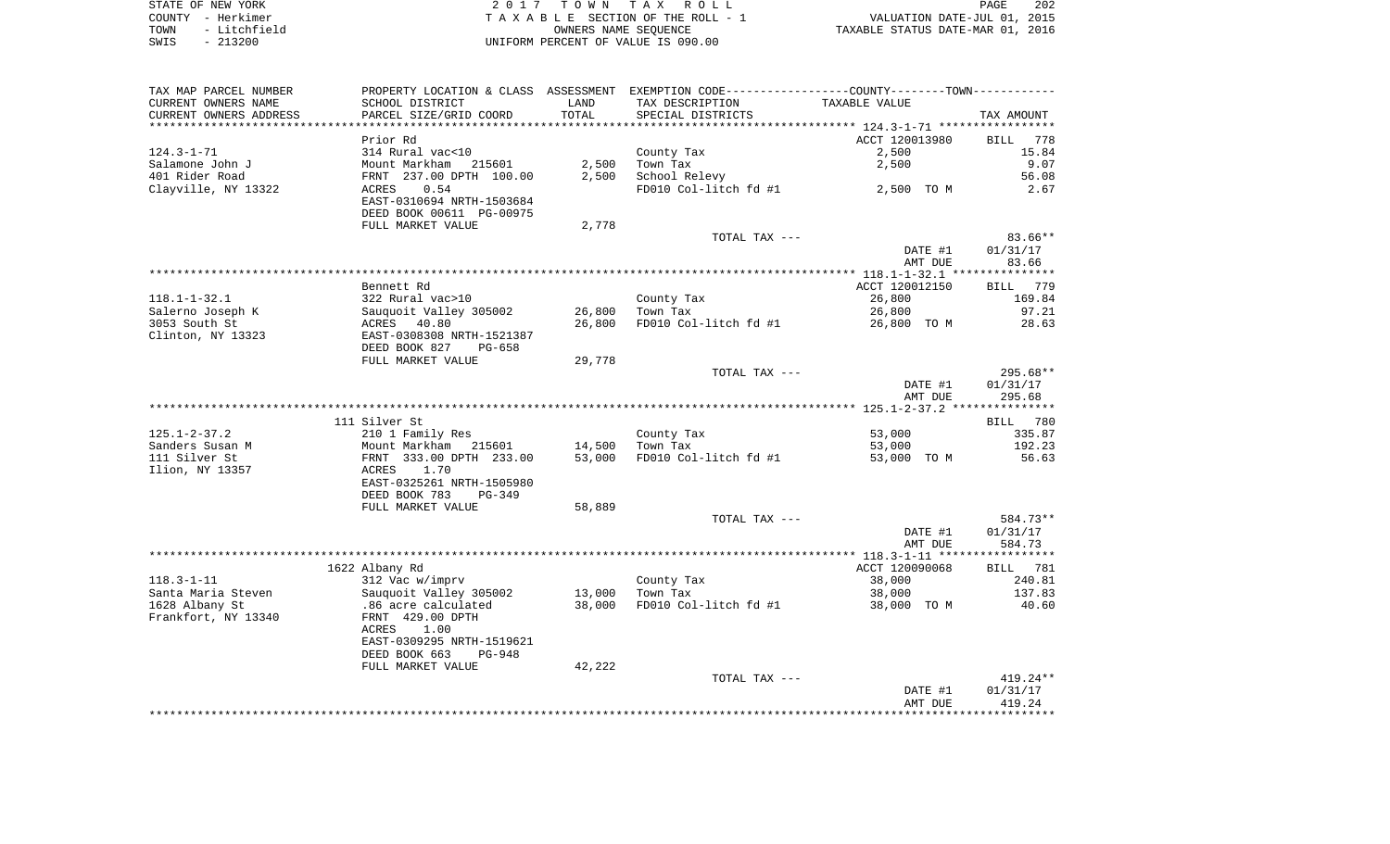| STATE OF NEW YORK    | 2017 TOWN TAX ROLL                 | 202<br>PAGE                      |
|----------------------|------------------------------------|----------------------------------|
| COUNTY - Herkimer    | TAXABLE SECTION OF THE ROLL - 1    | VALUATION DATE-JUL 01, 2015      |
| - Litchfield<br>TOWN | OWNERS NAME SEOUENCE               | TAXABLE STATUS DATE-MAR 01, 2016 |
| SWIS<br>$-213200$    | UNIFORM PERCENT OF VALUE IS 090.00 |                                  |

| TAX MAP PARCEL NUMBER                 | PROPERTY LOCATION & CLASS ASSESSMENT EXEMPTION CODE---------------COUNTY-------TOWN---------- |        |                                        |                |                    |
|---------------------------------------|-----------------------------------------------------------------------------------------------|--------|----------------------------------------|----------------|--------------------|
| CURRENT OWNERS NAME                   | SCHOOL DISTRICT                                                                               | LAND   | TAX DESCRIPTION                        | TAXABLE VALUE  |                    |
| CURRENT OWNERS ADDRESS                | PARCEL SIZE/GRID COORD                                                                        | TOTAL  | SPECIAL DISTRICTS                      |                | TAX AMOUNT         |
|                                       |                                                                                               |        |                                        |                |                    |
|                                       | Prior Rd                                                                                      |        |                                        | ACCT 120013980 | <b>BILL</b><br>778 |
| $124.3 - 1 - 71$                      | 314 Rural vac<10                                                                              |        | County Tax                             | 2,500          | 15.84              |
| Salamone John J                       | Mount Markham<br>215601                                                                       | 2,500  | Town Tax                               | 2,500          | 9.07               |
| 401 Rider Road<br>Clayville, NY 13322 | FRNT 237.00 DPTH 100.00<br>0.54<br>ACRES                                                      | 2,500  | School Relevy<br>FD010 Col-litch fd #1 | 2,500 TO M     | 56.08<br>2.67      |
|                                       | EAST-0310694 NRTH-1503684                                                                     |        |                                        |                |                    |
|                                       | DEED BOOK 00611 PG-00975                                                                      |        |                                        |                |                    |
|                                       | FULL MARKET VALUE                                                                             | 2,778  |                                        |                |                    |
|                                       |                                                                                               |        | TOTAL TAX ---                          |                | $83.66**$          |
|                                       |                                                                                               |        |                                        | DATE #1        | 01/31/17           |
|                                       |                                                                                               |        |                                        | AMT DUE        | 83.66              |
|                                       |                                                                                               |        |                                        |                |                    |
|                                       | Bennett Rd                                                                                    |        |                                        | ACCT 120012150 | BILL 779           |
| $118.1 - 1 - 32.1$                    | 322 Rural vac>10                                                                              |        | County Tax                             | 26,800         | 169.84             |
| Salerno Joseph K                      | Sauquoit Valley 305002                                                                        | 26,800 | Town Tax                               | 26,800         | 97.21              |
| 3053 South St                         | ACRES 40.80                                                                                   | 26,800 | FD010 Col-litch fd #1                  | 26,800 TO M    | 28.63              |
| Clinton, NY 13323                     | EAST-0308308 NRTH-1521387                                                                     |        |                                        |                |                    |
|                                       | DEED BOOK 827<br>PG-658                                                                       |        |                                        |                |                    |
|                                       | FULL MARKET VALUE                                                                             | 29,778 |                                        |                |                    |
|                                       |                                                                                               |        | TOTAL TAX ---                          |                | 295.68**           |
|                                       |                                                                                               |        |                                        | DATE #1        | 01/31/17           |
|                                       |                                                                                               |        |                                        | AMT DUE        | 295.68             |
|                                       |                                                                                               |        |                                        |                |                    |
| $125.1 - 2 - 37.2$                    | 111 Silver St<br>210 1 Family Res                                                             |        |                                        | 53,000         | BILL 780<br>335.87 |
| Sanders Susan M                       | Mount Markham 215601                                                                          | 14,500 | County Tax<br>Town Tax                 | 53,000         | 192.23             |
| 111 Silver St                         | FRNT 333.00 DPTH 233.00                                                                       | 53,000 | FD010 Col-litch fd #1                  | 53,000 TO M    | 56.63              |
| Ilion, NY 13357                       | ACRES<br>1.70                                                                                 |        |                                        |                |                    |
|                                       | EAST-0325261 NRTH-1505980                                                                     |        |                                        |                |                    |
|                                       | DEED BOOK 783<br>$PG-349$                                                                     |        |                                        |                |                    |
|                                       | FULL MARKET VALUE                                                                             | 58,889 |                                        |                |                    |
|                                       |                                                                                               |        | TOTAL TAX ---                          |                | 584.73**           |
|                                       |                                                                                               |        |                                        | DATE #1        | 01/31/17           |
|                                       |                                                                                               |        |                                        | AMT DUE        | 584.73             |
|                                       |                                                                                               |        |                                        |                |                    |
|                                       | 1622 Albany Rd                                                                                |        |                                        | ACCT 120090068 | BILL 781           |
| $118.3 - 1 - 11$                      | 312 Vac w/imprv                                                                               |        | County Tax                             | 38,000         | 240.81             |
| Santa Maria Steven                    | Sauquoit Valley 305002                                                                        | 13,000 | Town Tax                               | 38,000         | 137.83             |
| 1628 Albany St                        | .86 acre calculated                                                                           | 38,000 | FD010 Col-litch fd #1                  | 38,000 TO M    | 40.60              |
| Frankfort, NY 13340                   | FRNT 429.00 DPTH                                                                              |        |                                        |                |                    |
|                                       | ACRES<br>1.00                                                                                 |        |                                        |                |                    |
|                                       | EAST-0309295 NRTH-1519621                                                                     |        |                                        |                |                    |
|                                       | DEED BOOK 663<br>PG-948                                                                       |        |                                        |                |                    |
|                                       | FULL MARKET VALUE                                                                             | 42,222 | TOTAL TAX ---                          |                | $419.24**$         |
|                                       |                                                                                               |        |                                        | DATE #1        | 01/31/17           |
|                                       |                                                                                               |        |                                        | AMT DUE        | 419.24             |
|                                       |                                                                                               |        |                                        |                |                    |
|                                       |                                                                                               |        |                                        |                |                    |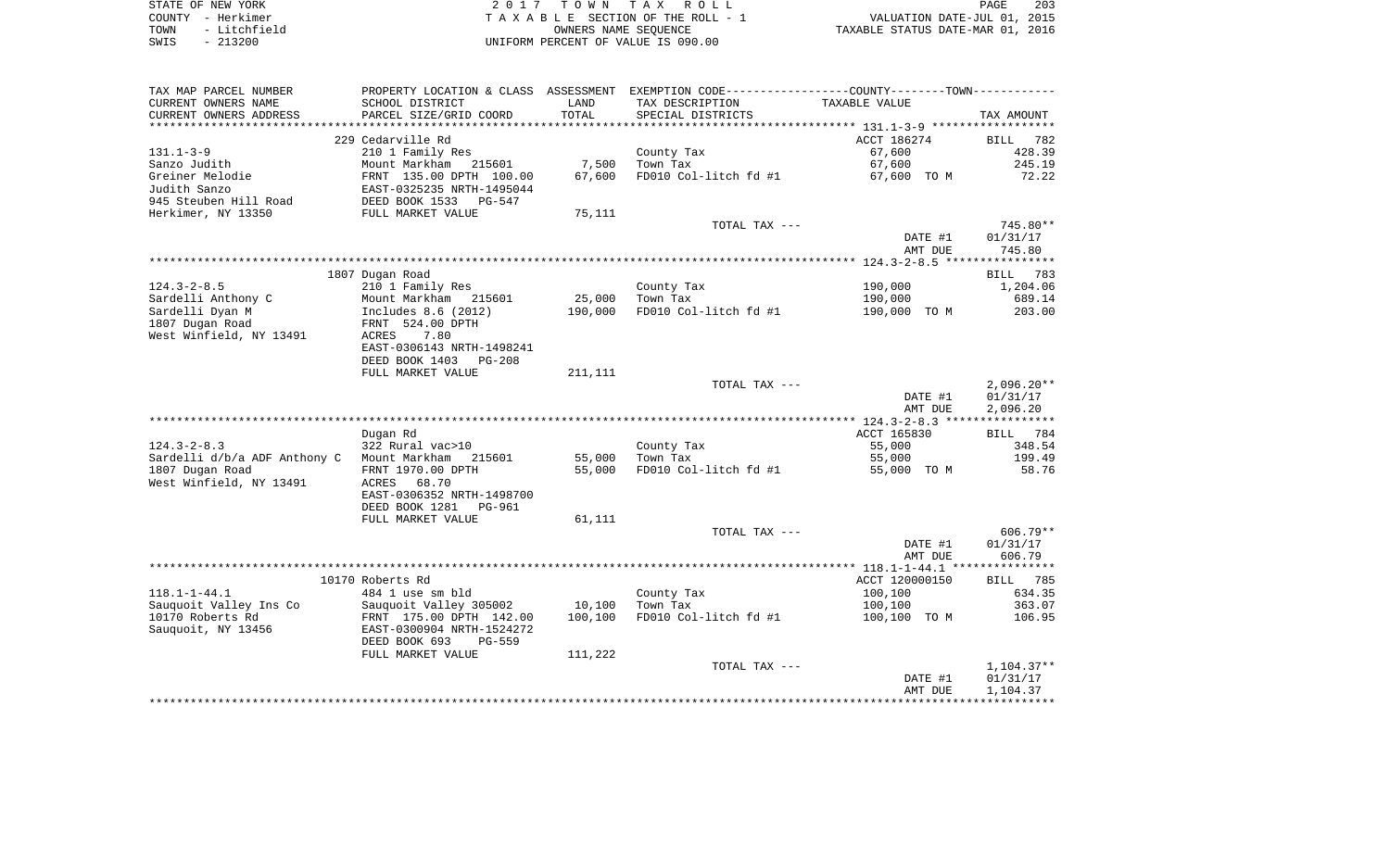| STATE OF NEW YORK |  |              |  |
|-------------------|--|--------------|--|
| COUNTY - Herkimer |  |              |  |
| TOWN              |  | - Litchfield |  |
| SWTS              |  | $-213200$    |  |

STATE OF NEW YORK 2 0 1 7 T O W N T A X R O L L PAGE 203TA X A B L E SECTION OF THE ROLL - 1 TOWN - Litchfield OWNERS NAME SEQUENCE TAXABLE STATUS DATE-MAR 01, 2016 SWIS - 213200 UNIFORM PERCENT OF VALUE IS 090.00

| TAX MAP PARCEL NUMBER        |                                 |         | PROPERTY LOCATION & CLASS ASSESSMENT EXEMPTION CODE---------------COUNTY-------TOWN---------- |                |                    |
|------------------------------|---------------------------------|---------|-----------------------------------------------------------------------------------------------|----------------|--------------------|
| CURRENT OWNERS NAME          | SCHOOL DISTRICT                 | LAND    | TAX DESCRIPTION                                                                               | TAXABLE VALUE  |                    |
| CURRENT OWNERS ADDRESS       | PARCEL SIZE/GRID COORD          | TOTAL   | SPECIAL DISTRICTS                                                                             |                | TAX AMOUNT         |
|                              |                                 |         |                                                                                               |                |                    |
|                              | 229 Cedarville Rd               |         |                                                                                               | ACCT 186274    | BILL<br>782        |
| $131.1 - 3 - 9$              | 210 1 Family Res                |         | County Tax                                                                                    | 67,600         | 428.39             |
| Sanzo Judith                 | Mount Markham<br>215601         | 7,500   | Town Tax                                                                                      | 67,600         | 245.19             |
| Greiner Melodie              | FRNT 135.00 DPTH 100.00         | 67,600  | FD010 Col-litch fd #1                                                                         | 67,600 TO M    | 72.22              |
| Judith Sanzo                 | EAST-0325235 NRTH-1495044       |         |                                                                                               |                |                    |
| 945 Steuben Hill Road        | DEED BOOK 1533<br>PG-547        |         |                                                                                               |                |                    |
| Herkimer, NY 13350           |                                 |         |                                                                                               |                |                    |
|                              | FULL MARKET VALUE               | 75,111  | TOTAL TAX ---                                                                                 |                | 745.80**           |
|                              |                                 |         |                                                                                               |                |                    |
|                              |                                 |         |                                                                                               | DATE #1        | 01/31/17           |
|                              |                                 |         |                                                                                               | AMT DUE        | 745.80             |
|                              |                                 |         |                                                                                               |                |                    |
|                              | 1807 Dugan Road                 |         |                                                                                               |                | <b>BILL</b><br>783 |
| $124.3 - 2 - 8.5$            | 210 1 Family Res                |         | County Tax                                                                                    | 190,000        | 1,204.06           |
| Sardelli Anthony C           | Mount Markham 215601            | 25,000  | Town Tax                                                                                      | 190,000        | 689.14             |
| Sardelli Dyan M              | Includes 8.6 (2012)             | 190,000 | FD010 Col-litch fd #1                                                                         | 190,000 TO M   | 203.00             |
| 1807 Dugan Road              | FRNT 524.00 DPTH                |         |                                                                                               |                |                    |
| West Winfield, NY 13491      | ACRES<br>7.80                   |         |                                                                                               |                |                    |
|                              | EAST-0306143 NRTH-1498241       |         |                                                                                               |                |                    |
|                              | DEED BOOK 1403<br>PG-208        |         |                                                                                               |                |                    |
|                              | FULL MARKET VALUE               | 211,111 |                                                                                               |                |                    |
|                              |                                 |         | TOTAL TAX ---                                                                                 |                | $2,096.20**$       |
|                              |                                 |         |                                                                                               | DATE #1        | 01/31/17           |
|                              |                                 |         |                                                                                               | AMT DUE        | 2,096.20           |
|                              |                                 |         |                                                                                               |                |                    |
|                              | Dugan Rd                        |         |                                                                                               | ACCT 165830    | BILL 784           |
| $124.3 - 2 - 8.3$            | 322 Rural vac>10                |         | County Tax                                                                                    | 55,000         | 348.54             |
| Sardelli d/b/a ADF Anthony C | Mount Markham<br>215601         | 55,000  | Town Tax                                                                                      | 55,000         | 199.49             |
| 1807 Dugan Road              | FRNT 1970.00 DPTH               | 55,000  | FD010 Col-litch fd #1                                                                         | 55,000 TO M    | 58.76              |
| West Winfield, NY 13491      | 68.70<br>ACRES                  |         |                                                                                               |                |                    |
|                              | EAST-0306352 NRTH-1498700       |         |                                                                                               |                |                    |
|                              | DEED BOOK 1281<br><b>PG-961</b> |         |                                                                                               |                |                    |
|                              | FULL MARKET VALUE               | 61,111  |                                                                                               |                |                    |
|                              |                                 |         | TOTAL TAX ---                                                                                 |                | 606.79**           |
|                              |                                 |         |                                                                                               | DATE #1        | 01/31/17           |
|                              |                                 |         |                                                                                               | AMT DUE        | 606.79             |
|                              |                                 |         |                                                                                               |                |                    |
|                              | 10170 Roberts Rd                |         |                                                                                               | ACCT 120000150 | BILL 785           |
| $118.1 - 1 - 44.1$           | 484 1 use sm bld                |         | County Tax                                                                                    | 100,100        | 634.35             |
| Sauquoit Valley Ins Co       | Sauquoit Valley 305002          | 10,100  | Town Tax                                                                                      | 100,100        | 363.07             |
| 10170 Roberts Rd             | FRNT 175.00 DPTH 142.00         | 100,100 | FD010 Col-litch fd #1                                                                         | 100,100 TO M   | 106.95             |
| Sauquoit, NY 13456           | EAST-0300904 NRTH-1524272       |         |                                                                                               |                |                    |
|                              | DEED BOOK 693<br>PG-559         |         |                                                                                               |                |                    |
|                              | FULL MARKET VALUE               | 111,222 |                                                                                               |                |                    |
|                              |                                 |         | TOTAL TAX ---                                                                                 |                | $1,104.37**$       |
|                              |                                 |         |                                                                                               | DATE #1        | 01/31/17           |
|                              |                                 |         |                                                                                               | AMT DUE        | 1,104.37           |
|                              |                                 |         |                                                                                               |                |                    |
|                              |                                 |         |                                                                                               |                |                    |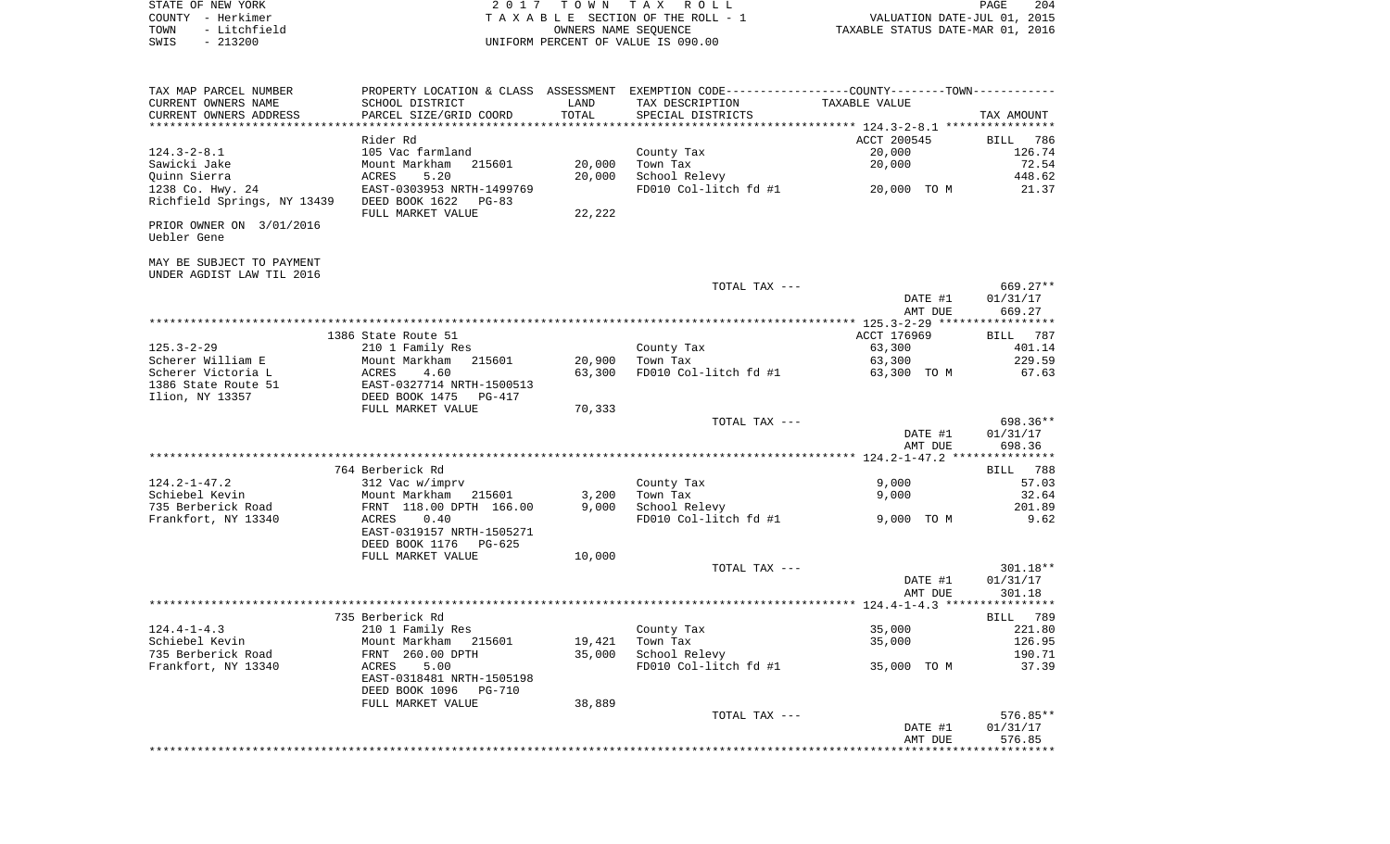| STATE OF NEW YORK                                      |                                                                          |                      | 2017 TOWN TAX ROLL                                                                            |                                  | PAGE<br>204        |
|--------------------------------------------------------|--------------------------------------------------------------------------|----------------------|-----------------------------------------------------------------------------------------------|----------------------------------|--------------------|
| COUNTY - Herkimer                                      |                                                                          |                      | T A X A B L E SECTION OF THE ROLL - 1                                                         | VALUATION DATE-JUL 01, 2015      |                    |
| - Litchfield<br>TOWN                                   |                                                                          | OWNERS NAME SEOUENCE |                                                                                               | TAXABLE STATUS DATE-MAR 01, 2016 |                    |
| $-213200$<br>SWIS                                      |                                                                          |                      | UNIFORM PERCENT OF VALUE IS 090.00                                                            |                                  |                    |
|                                                        |                                                                          |                      |                                                                                               |                                  |                    |
| TAX MAP PARCEL NUMBER                                  |                                                                          |                      | PROPERTY LOCATION & CLASS ASSESSMENT EXEMPTION CODE---------------COUNTY-------TOWN---------- |                                  |                    |
| CURRENT OWNERS NAME                                    | SCHOOL DISTRICT                                                          | LAND                 | TAX DESCRIPTION                                                                               | TAXABLE VALUE                    |                    |
| CURRENT OWNERS ADDRESS                                 | PARCEL SIZE/GRID COORD                                                   | TOTAL                | SPECIAL DISTRICTS                                                                             |                                  | TAX AMOUNT         |
|                                                        |                                                                          |                      |                                                                                               |                                  |                    |
|                                                        | Rider Rd                                                                 |                      |                                                                                               | ACCT 200545                      | 786<br>BILL        |
| $124.3 - 2 - 8.1$                                      | 105 Vac farmland                                                         |                      | County Tax                                                                                    | 20,000                           | 126.74             |
| Sawicki Jake                                           | Mount Markham<br>215601                                                  | 20,000               | Town Tax                                                                                      | 20,000                           | 72.54              |
| Ouinn Sierra                                           | 5.20<br>ACRES                                                            | 20,000               | School Relevy                                                                                 |                                  | 448.62             |
| 1238 Co. Hwy. 24<br>Richfield Springs, NY 13439        | EAST-0303953 NRTH-1499769<br>DEED BOOK 1622<br>$PG-83$                   |                      | FD010 Col-litch fd #1                                                                         | 20,000 TO M                      | 21.37              |
|                                                        | FULL MARKET VALUE                                                        | 22,222               |                                                                                               |                                  |                    |
| PRIOR OWNER ON 3/01/2016<br>Uebler Gene                |                                                                          |                      |                                                                                               |                                  |                    |
| MAY BE SUBJECT TO PAYMENT<br>UNDER AGDIST LAW TIL 2016 |                                                                          |                      |                                                                                               |                                  |                    |
|                                                        |                                                                          |                      | TOTAL TAX ---                                                                                 |                                  | $669.27**$         |
|                                                        |                                                                          |                      |                                                                                               | DATE #1                          | 01/31/17           |
|                                                        |                                                                          |                      |                                                                                               | AMT DUE                          | 669.27             |
|                                                        |                                                                          |                      |                                                                                               |                                  |                    |
|                                                        | 1386 State Route 51                                                      |                      |                                                                                               | ACCT 176969                      | 787<br>BILL        |
| $125.3 - 2 - 29$                                       | 210 1 Family Res                                                         |                      | County Tax                                                                                    | 63,300                           | 401.14             |
| Scherer William E                                      | Mount Markham<br>215601                                                  | 20,900               | Town Tax                                                                                      | 63,300                           | 229.59             |
| Scherer Victoria L                                     | ACRES<br>4.60                                                            | 63,300               | FD010 Col-litch fd #1                                                                         | 63,300 TO M                      | 67.63              |
| 1386 State Route 51                                    | EAST-0327714 NRTH-1500513                                                |                      |                                                                                               |                                  |                    |
| Ilion, NY 13357                                        | DEED BOOK 1475<br>PG-417                                                 |                      |                                                                                               |                                  |                    |
|                                                        | FULL MARKET VALUE                                                        | 70,333               |                                                                                               |                                  |                    |
|                                                        |                                                                          |                      | TOTAL TAX ---                                                                                 |                                  | 698.36**           |
|                                                        |                                                                          |                      |                                                                                               | DATE #1                          | 01/31/17           |
|                                                        |                                                                          |                      |                                                                                               | AMT DUE                          | 698.36             |
|                                                        |                                                                          |                      |                                                                                               |                                  |                    |
|                                                        | 764 Berberick Rd                                                         |                      |                                                                                               |                                  | 788<br><b>BILL</b> |
| $124.2 - 1 - 47.2$                                     | 312 Vac w/imprv                                                          |                      | County Tax                                                                                    | 9,000                            | 57.03              |
| Schiebel Kevin                                         | Mount Markham<br>215601                                                  | 3,200                | Town Tax                                                                                      | 9,000                            | 32.64              |
| 735 Berberick Road                                     | FRNT 118.00 DPTH 166.00                                                  | 9,000                | School Relevy                                                                                 |                                  | 201.89             |
| Frankfort, NY 13340                                    | ACRES<br>0.40<br>EAST-0319157 NRTH-1505271<br>DEED BOOK 1176<br>$PG-625$ |                      | FD010 Col-litch fd #1                                                                         | 9,000 TO M                       | 9.62               |

FULL MARKET VALUE 10,000 TOTAL TAX --- 301.18\*\*DATE #1 01/31/17<br>AMT DUE 301.18 AMT DUE \*\*\*\*\*\*\*\*\*\*\*\*\*\*\*\*\*\*\*\*\*\*\*\*\*\*\*\*\*\*\*\*\*\*\*\*\*\*\*\*\*\*\*\*\*\*\*\*\*\*\*\*\*\*\*\*\*\*\*\*\*\*\*\*\*\*\*\*\*\*\*\*\*\*\*\*\*\*\*\*\*\*\*\*\*\*\*\*\*\*\*\*\*\*\*\*\*\*\*\*\*\*\* 124.4-1-4.3 \*\*\*\*\*\*\*\*\*\*\*\*\*\*\*\* 735 Berberick Rd BILL 789221.80 124.4-1-4.3 210 1 Family Res County Tax 35,000 221.80 Schiebel Kevin Mount Markham 215601 19,421 Town Tax 35,000 126.95 735 Berberick Road FRNT 260.00 DPTH 35,000 School Relevy 190.71 FD010 Col-litch fd #1 EAST-0318481 NRTH-1505198 DEED BOOK 1096 PG-710 FULL MARKET VALUE 38,889 TOTAL TAX  $-- 576.85**$  DATE #1 01/31/17 AMT DUE 576.85\*\*\*\*\*\*\*\*\*\*\*\*\*\*\*\*\*\*\*\*\*\*\*\*\*\*\*\*\*\*\*\*\*\*\*\*\*\*\*\*\*\*\*\*\*\*\*\*\*\*\*\*\*\*\*\*\*\*\*\*\*\*\*\*\*\*\*\*\*\*\*\*\*\*\*\*\*\*\*\*\*\*\*\*\*\*\*\*\*\*\*\*\*\*\*\*\*\*\*\*\*\*\*\*\*\*\*\*\*\*\*\*\*\*\*\*\*\*\*\*\*\*\*\*\*\*\*\*\*\*\*\*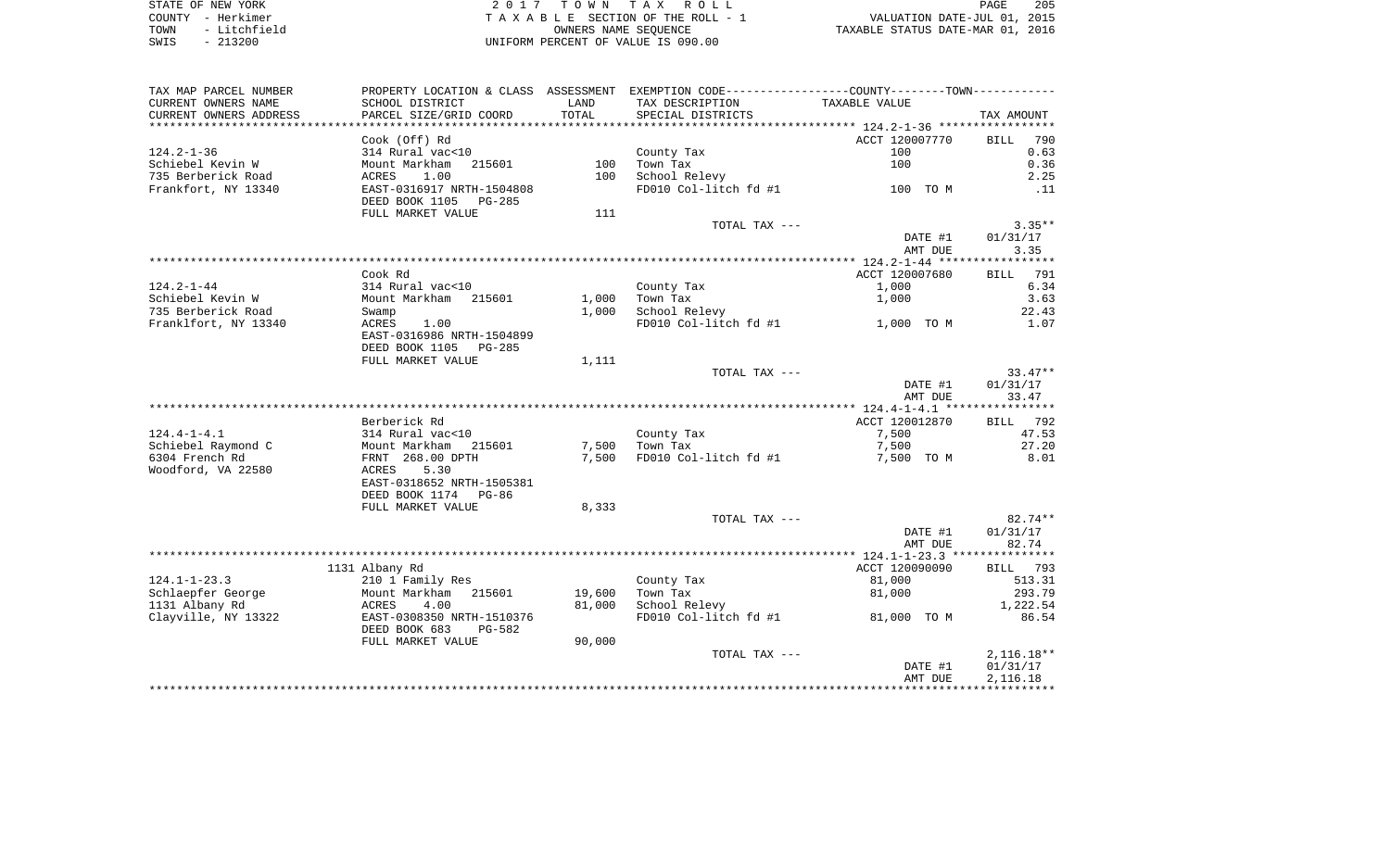| STATE OF NEW YORK    | 2017 TOWN TAX ROLL                 | 205<br>PAGE                      |
|----------------------|------------------------------------|----------------------------------|
| COUNTY - Herkimer    | TAXABLE SECTION OF THE ROLL - 1    | VALUATION DATE-JUL 01, 2015      |
| - Litchfield<br>TOWN | OWNERS NAME SEOUENCE               | TAXABLE STATUS DATE-MAR 01, 2016 |
| $-213200$<br>SWIS    | UNIFORM PERCENT OF VALUE IS 090.00 |                                  |

PAGE 205

| TAX MAP PARCEL NUMBER  |                           |        | PROPERTY LOCATION & CLASS ASSESSMENT EXEMPTION CODE----------------COUNTY--------TOWN----------- |                |                    |
|------------------------|---------------------------|--------|--------------------------------------------------------------------------------------------------|----------------|--------------------|
| CURRENT OWNERS NAME    | SCHOOL DISTRICT           | LAND   | TAX DESCRIPTION                                                                                  | TAXABLE VALUE  |                    |
| CURRENT OWNERS ADDRESS | PARCEL SIZE/GRID COORD    | TOTAL  | SPECIAL DISTRICTS                                                                                |                | TAX AMOUNT         |
| ********************** |                           |        |                                                                                                  |                |                    |
|                        | Cook (Off) Rd             |        |                                                                                                  | ACCT 120007770 | 790<br><b>BILL</b> |
| $124.2 - 1 - 36$       | 314 Rural vac<10          |        | County Tax                                                                                       | 100            | 0.63               |
| Schiebel Kevin W       | Mount Markham<br>215601   | 100    | Town Tax                                                                                         | 100            | 0.36               |
| 735 Berberick Road     | ACRES<br>1.00             | 100    | School Relevy                                                                                    |                | 2.25               |
| Frankfort, NY 13340    | EAST-0316917 NRTH-1504808 |        | FD010 Col-litch fd #1                                                                            | 100 TO M       | $\ldots$ 11        |
|                        | DEED BOOK 1105 PG-285     |        |                                                                                                  |                |                    |
|                        | FULL MARKET VALUE         | 111    |                                                                                                  |                |                    |
|                        |                           |        | TOTAL TAX ---                                                                                    |                | $3.35**$           |
|                        |                           |        |                                                                                                  | DATE #1        | 01/31/17           |
|                        |                           |        |                                                                                                  | AMT DUE        | 3.35               |
|                        |                           |        |                                                                                                  |                |                    |
|                        | Cook Rd                   |        |                                                                                                  | ACCT 120007680 | BILL 791           |
| $124.2 - 1 - 44$       | 314 Rural vac<10          |        | County Tax                                                                                       | 1,000          | 6.34               |
| Schiebel Kevin W       | Mount Markham 215601      | 1,000  | Town Tax                                                                                         | 1,000          | 3.63               |
| 735 Berberick Road     | Swamp                     | 1,000  | School Relevy                                                                                    |                | 22.43              |
| Franklfort, NY 13340   | ACRES<br>1.00             |        | FD010 Col-litch fd #1                                                                            | 1,000 TO M     | 1.07               |
|                        | EAST-0316986 NRTH-1504899 |        |                                                                                                  |                |                    |
|                        | DEED BOOK 1105<br>PG-285  |        |                                                                                                  |                |                    |
|                        | FULL MARKET VALUE         | 1,111  |                                                                                                  |                |                    |
|                        |                           |        | TOTAL TAX ---                                                                                    |                | $33.47**$          |
|                        |                           |        |                                                                                                  | DATE #1        | 01/31/17           |
|                        |                           |        |                                                                                                  | AMT DUE        | 33.47              |
|                        |                           |        |                                                                                                  |                |                    |
|                        | Berberick Rd              |        |                                                                                                  | ACCT 120012870 | BILL 792           |
| $124.4 - 1 - 4.1$      | 314 Rural vac<10          |        | County Tax                                                                                       | 7,500          | 47.53              |
| Schiebel Raymond C     | Mount Markham 215601      | 7,500  | Town Tax                                                                                         | 7,500          | 27.20              |
| 6304 French Rd         | FRNT 268.00 DPTH          | 7,500  | FD010 Col-litch fd #1                                                                            | 7,500 TO M     | 8.01               |
| Woodford, VA 22580     | ACRES<br>5.30             |        |                                                                                                  |                |                    |
|                        | EAST-0318652 NRTH-1505381 |        |                                                                                                  |                |                    |
|                        | DEED BOOK 1174 PG-86      |        |                                                                                                  |                |                    |
|                        | FULL MARKET VALUE         | 8,333  |                                                                                                  |                |                    |
|                        |                           |        | TOTAL TAX ---                                                                                    |                | $82.74**$          |
|                        |                           |        |                                                                                                  | DATE #1        | 01/31/17           |
|                        |                           |        |                                                                                                  | AMT DUE        | 82.74              |
|                        |                           |        |                                                                                                  |                |                    |
|                        | 1131 Albany Rd            |        |                                                                                                  | ACCT 120090090 | BILL 793           |
| $124.1 - 1 - 23.3$     | 210 1 Family Res          |        | County Tax                                                                                       | 81,000         | 513.31             |
| Schlaepfer George      | Mount Markham 215601      | 19,600 | Town Tax                                                                                         | 81,000         | 293.79             |
| 1131 Albany Rd         | ACRES<br>4.00             | 81,000 | School Relevy                                                                                    |                | 1,222.54           |
| Clayville, NY 13322    | EAST-0308350 NRTH-1510376 |        | FD010 Col-litch fd #1                                                                            | 81,000 TO M    | 86.54              |
|                        | DEED BOOK 683<br>PG-582   |        |                                                                                                  |                |                    |
|                        | FULL MARKET VALUE         | 90,000 |                                                                                                  |                |                    |
|                        |                           |        | TOTAL TAX ---                                                                                    |                | $2,116.18**$       |
|                        |                           |        |                                                                                                  | DATE #1        | 01/31/17           |
|                        |                           |        |                                                                                                  | AMT DUE        | 2,116.18           |
|                        |                           |        |                                                                                                  |                |                    |
|                        |                           |        |                                                                                                  |                |                    |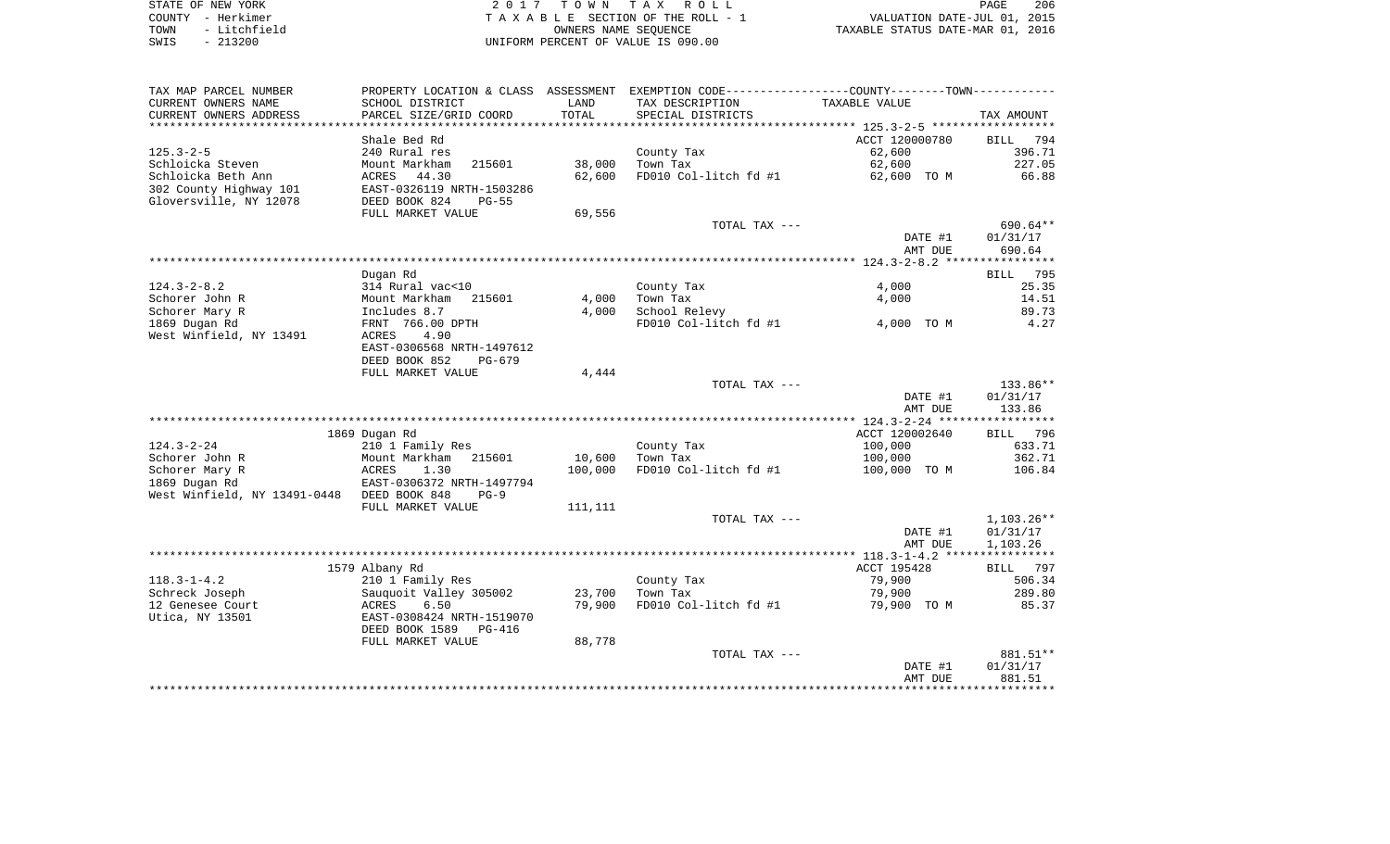| STATE OF NEW YORK    | 2017 TOWN TAX ROLL                 | 206<br>PAGE                      |
|----------------------|------------------------------------|----------------------------------|
| COUNTY - Herkimer    | TAXABLE SECTION OF THE ROLL - 1    | VALUATION DATE-JUL 01, 2015      |
| - Litchfield<br>TOWN | OWNERS NAME SEOUENCE               | TAXABLE STATUS DATE-MAR 01, 2016 |
| $-213200$<br>SWIS    | UNIFORM PERCENT OF VALUE IS 090.00 |                                  |

| TAX MAP PARCEL NUMBER                      |                           |              | PROPERTY LOCATION & CLASS ASSESSMENT EXEMPTION CODE---------------COUNTY-------TOWN---------- |                    |                    |
|--------------------------------------------|---------------------------|--------------|-----------------------------------------------------------------------------------------------|--------------------|--------------------|
| CURRENT OWNERS NAME                        | SCHOOL DISTRICT           | LAND         | TAX DESCRIPTION                                                                               | TAXABLE VALUE      |                    |
| CURRENT OWNERS ADDRESS                     | PARCEL SIZE/GRID COORD    | TOTAL        | SPECIAL DISTRICTS                                                                             |                    | TAX AMOUNT         |
|                                            |                           | ************ |                                                                                               |                    |                    |
|                                            | Shale Bed Rd              |              |                                                                                               | ACCT 120000780     | <b>BILL</b><br>794 |
| $125.3 - 2 - 5$                            | 240 Rural res             |              | County Tax                                                                                    | 62,600             | 396.71             |
| Schloicka Steven                           | Mount Markham<br>215601   | 38,000       | Town Tax                                                                                      | 62,600             | 227.05             |
| Schloicka Beth Ann                         | ACRES<br>44.30            | 62,600       | FD010 Col-litch fd #1                                                                         | 62,600 TO M        | 66.88              |
| 302 County Highway 101                     | EAST-0326119 NRTH-1503286 |              |                                                                                               |                    |                    |
| Gloversville, NY 12078                     | DEED BOOK 824<br>$PG-55$  |              |                                                                                               |                    |                    |
|                                            | FULL MARKET VALUE         | 69,556       |                                                                                               |                    |                    |
|                                            |                           |              | TOTAL TAX ---                                                                                 |                    | 690.64**           |
|                                            |                           |              |                                                                                               | DATE #1            | 01/31/17           |
|                                            |                           |              |                                                                                               | AMT DUE            | 690.64             |
|                                            |                           |              |                                                                                               |                    |                    |
|                                            | Dugan Rd                  |              |                                                                                               |                    | 795<br><b>BILL</b> |
| $124.3 - 2 - 8.2$                          | 314 Rural vac<10          |              | County Tax                                                                                    | 4,000              | 25.35              |
| Schorer John R                             | Mount Markham<br>215601   | 4,000        | Town Tax                                                                                      | 4,000              | 14.51              |
| Schorer Mary R                             | Includes 8.7              | 4,000        | School Relevy                                                                                 |                    | 89.73              |
| 1869 Dugan Rd                              | FRNT 766.00 DPTH          |              | FD010 Col-litch fd #1                                                                         | 4,000 TO M         | 4.27               |
| West Winfield, NY 13491                    | 4.90<br>ACRES             |              |                                                                                               |                    |                    |
|                                            | EAST-0306568 NRTH-1497612 |              |                                                                                               |                    |                    |
|                                            | DEED BOOK 852<br>$PG-679$ |              |                                                                                               |                    |                    |
|                                            | FULL MARKET VALUE         | 4,444        |                                                                                               |                    |                    |
|                                            |                           |              | TOTAL TAX ---                                                                                 |                    | 133.86**           |
|                                            |                           |              |                                                                                               | DATE #1<br>AMT DUE | 01/31/17<br>133.86 |
|                                            |                           |              |                                                                                               |                    |                    |
|                                            | 1869 Dugan Rd             |              |                                                                                               | ACCT 120002640     | 796<br>BILL        |
| $124.3 - 2 - 24$                           | 210 1 Family Res          |              | County Tax                                                                                    | 100,000            | 633.71             |
| Schorer John R                             | Mount Markham<br>215601   | 10,600       | Town Tax                                                                                      | 100,000            | 362.71             |
| Schorer Mary R                             | ACRES<br>1.30             | 100,000      | FD010 Col-litch fd #1                                                                         | 100,000 TO M       | 106.84             |
| 1869 Dugan Rd                              | EAST-0306372 NRTH-1497794 |              |                                                                                               |                    |                    |
| West Winfield, NY 13491-0448 DEED BOOK 848 | $PG-9$                    |              |                                                                                               |                    |                    |
|                                            | FULL MARKET VALUE         | 111,111      |                                                                                               |                    |                    |
|                                            |                           |              | TOTAL TAX ---                                                                                 |                    | $1,103.26**$       |
|                                            |                           |              |                                                                                               | DATE #1            | 01/31/17           |
|                                            |                           |              |                                                                                               | AMT DUE            | 1,103.26           |
|                                            |                           |              |                                                                                               |                    |                    |
|                                            | 1579 Albany Rd            |              |                                                                                               | ACCT 195428        | 797<br>BILL        |
| $118.3 - 1 - 4.2$                          | 210 1 Family Res          |              | County Tax                                                                                    | 79,900             | 506.34             |
| Schreck Joseph                             | Sauquoit Valley 305002    | 23,700       | Town Tax                                                                                      | 79,900             | 289.80             |
| 12 Genesee Court                           | ACRES<br>6.50             | 79,900       | FD010 Col-litch fd #1                                                                         | 79,900 TO M        | 85.37              |
| Utica, NY 13501                            | EAST-0308424 NRTH-1519070 |              |                                                                                               |                    |                    |
|                                            | DEED BOOK 1589<br>PG-416  |              |                                                                                               |                    |                    |
|                                            | FULL MARKET VALUE         | 88,778       |                                                                                               |                    |                    |
|                                            |                           |              | TOTAL TAX ---                                                                                 |                    | 881.51**           |
|                                            |                           |              |                                                                                               | DATE #1            | 01/31/17           |
|                                            |                           |              |                                                                                               | AMT DUE            | 881.51             |
|                                            |                           |              |                                                                                               |                    |                    |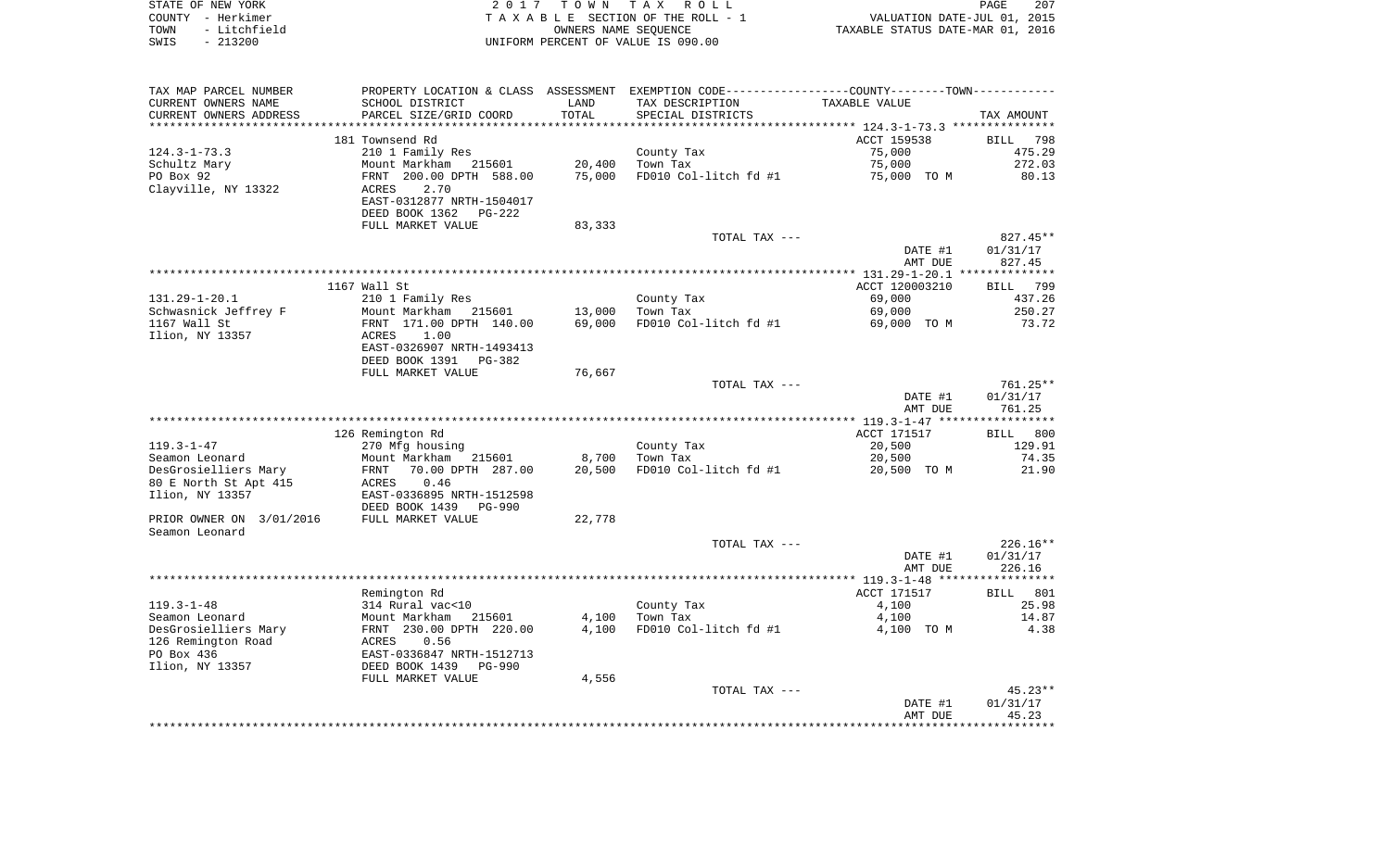|      | STATE OF NEW YORK | 2017 TOWN TAX ROLL                 | 207<br>PAGE                      |
|------|-------------------|------------------------------------|----------------------------------|
|      | COUNTY - Herkimer | TAXABLE SECTION OF THE ROLL - 1    | VALUATION DATE-JUL 01, 2015      |
| TOWN | - Litchfield      | OWNERS NAME SEOUENCE               | TAXABLE STATUS DATE-MAR 01, 2016 |
| SWIS | - 213200          | UNIFORM PERCENT OF VALUE IS 090.00 |                                  |

| TAX MAP PARCEL NUMBER    |                           |        | PROPERTY LOCATION & CLASS ASSESSMENT EXEMPTION CODE---------------COUNTY-------TOWN---------- |                |             |
|--------------------------|---------------------------|--------|-----------------------------------------------------------------------------------------------|----------------|-------------|
| CURRENT OWNERS NAME      | SCHOOL DISTRICT           | LAND   | TAX DESCRIPTION                                                                               | TAXABLE VALUE  |             |
| CURRENT OWNERS ADDRESS   | PARCEL SIZE/GRID COORD    | TOTAL  | SPECIAL DISTRICTS                                                                             |                | TAX AMOUNT  |
| ***********************  |                           |        |                                                                                               |                |             |
|                          | 181 Townsend Rd           |        |                                                                                               | ACCT 159538    | BILL 798    |
| $124.3 - 1 - 73.3$       | 210 1 Family Res          |        | County Tax                                                                                    | 75,000         | 475.29      |
| Schultz Mary             | Mount Markham 215601      | 20,400 | Town Tax                                                                                      | 75,000         | 272.03      |
| PO Box 92                | FRNT 200.00 DPTH 588.00   | 75,000 | FD010 Col-litch fd #1                                                                         | 75,000 TO M    | 80.13       |
| Clayville, NY 13322      | 2.70<br>ACRES             |        |                                                                                               |                |             |
|                          | EAST-0312877 NRTH-1504017 |        |                                                                                               |                |             |
|                          | DEED BOOK 1362<br>PG-222  |        |                                                                                               |                |             |
|                          | FULL MARKET VALUE         | 83,333 |                                                                                               |                |             |
|                          |                           |        | TOTAL TAX ---                                                                                 |                | $827.45**$  |
|                          |                           |        |                                                                                               | DATE #1        | 01/31/17    |
|                          |                           |        |                                                                                               | AMT DUE        | 827.45      |
|                          | 1167 Wall St              |        |                                                                                               | ACCT 120003210 | 799<br>BILL |
| $131.29 - 1 - 20.1$      | 210 1 Family Res          |        | County Tax                                                                                    | 69,000         | 437.26      |
| Schwasnick Jeffrey F     | Mount Markham 215601      | 13,000 | Town Tax                                                                                      | 69,000         | 250.27      |
| 1167 Wall St             | FRNT 171.00 DPTH 140.00   | 69,000 | FD010 Col-litch fd #1                                                                         | 69,000 TO M    | 73.72       |
| Ilion, NY 13357          | ACRES<br>1.00             |        |                                                                                               |                |             |
|                          | EAST-0326907 NRTH-1493413 |        |                                                                                               |                |             |
|                          | DEED BOOK 1391<br>PG-382  |        |                                                                                               |                |             |
|                          | FULL MARKET VALUE         | 76,667 |                                                                                               |                |             |
|                          |                           |        | TOTAL TAX ---                                                                                 |                | 761.25**    |
|                          |                           |        |                                                                                               | DATE #1        | 01/31/17    |
|                          |                           |        |                                                                                               | AMT DUE        | 761.25      |
|                          |                           |        |                                                                                               |                |             |
|                          | 126 Remington Rd          |        |                                                                                               | ACCT 171517    | BILL 800    |
| $119.3 - 1 - 47$         | 270 Mfg housing           |        | County Tax                                                                                    | 20,500         | 129.91      |
| Seamon Leonard           | Mount Markham<br>215601   | 8,700  | Town Tax                                                                                      | 20,500         | 74.35       |
| DesGrosielliers Mary     | 70.00 DPTH 287.00<br>FRNT | 20,500 | FD010 Col-litch fd #1                                                                         | 20,500 TO M    | 21.90       |
| 80 E North St Apt 415    | 0.46<br>ACRES             |        |                                                                                               |                |             |
| Ilion, NY 13357          | EAST-0336895 NRTH-1512598 |        |                                                                                               |                |             |
|                          | DEED BOOK 1439<br>PG-990  |        |                                                                                               |                |             |
| PRIOR OWNER ON 3/01/2016 | FULL MARKET VALUE         | 22,778 |                                                                                               |                |             |
| Seamon Leonard           |                           |        | TOTAL TAX ---                                                                                 |                | $226.16**$  |
|                          |                           |        |                                                                                               | DATE #1        | 01/31/17    |
|                          |                           |        |                                                                                               | AMT DUE        | 226.16      |
|                          |                           |        |                                                                                               |                |             |
|                          | Remington Rd              |        |                                                                                               | ACCT 171517    | BILL 801    |
| $119.3 - 1 - 48$         | 314 Rural vac<10          |        | County Tax                                                                                    | 4,100          | 25.98       |
| Seamon Leonard           | Mount Markham<br>215601   | 4,100  | Town Tax                                                                                      | 4,100          | 14.87       |
| DesGrosielliers Mary     | FRNT 230.00 DPTH 220.00   | 4,100  | FD010 Col-litch fd #1                                                                         | 4,100 TO M     | 4.38        |
| 126 Remington Road       | ACRES<br>0.56             |        |                                                                                               |                |             |
| PO Box 436               | EAST-0336847 NRTH-1512713 |        |                                                                                               |                |             |
| Ilion, NY 13357          | DEED BOOK 1439<br>PG-990  |        |                                                                                               |                |             |
|                          | FULL MARKET VALUE         | 4,556  |                                                                                               |                |             |
|                          |                           |        | TOTAL TAX ---                                                                                 |                | $45.23**$   |
|                          |                           |        |                                                                                               | DATE #1        | 01/31/17    |
|                          |                           |        |                                                                                               | AMT DUE        | 45.23       |
|                          |                           |        |                                                                                               |                |             |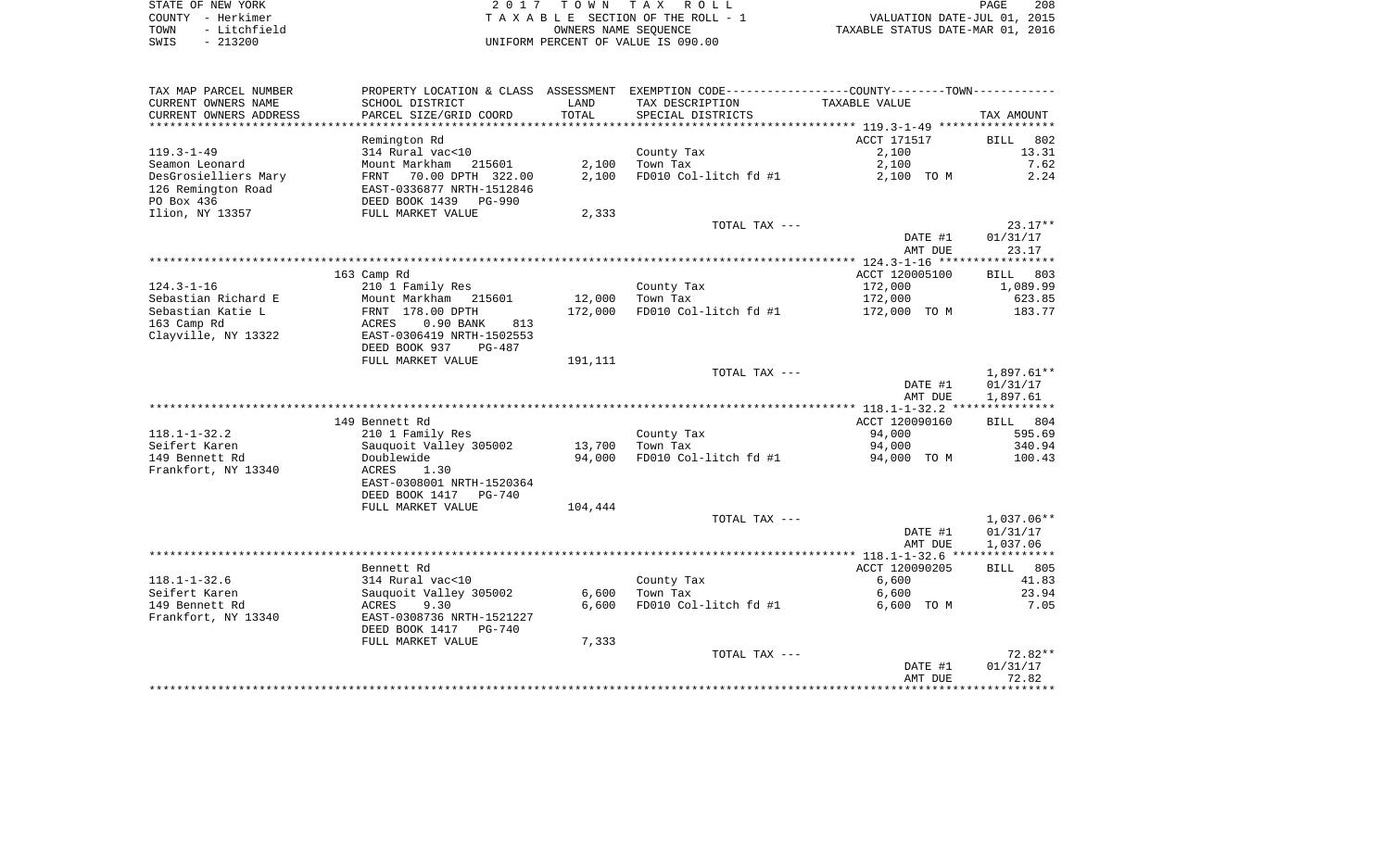| STATE OF NEW YORK |           |              |  |
|-------------------|-----------|--------------|--|
| COUNTY - Herkimer |           |              |  |
| TOWN              |           | - Litchfield |  |
| SWIS              | $-213200$ |              |  |

STATE OF NEW YORK 2 0 1 7 T O W N T A X R O L L PAGE 208TA X A B L E SECTION OF THE ROLL - 1 TOWN - Litchfield OWNERS NAME SEQUENCE TAXABLE STATUS DATE-MAR 01, 2016 SWIS - 213200 UNIFORM PERCENT OF VALUE IS 090.00

| TAX MAP PARCEL NUMBER  | PROPERTY LOCATION & CLASS ASSESSMENT EXEMPTION CODE----------------COUNTY-------TOWN--------- |         |                       |                |              |
|------------------------|-----------------------------------------------------------------------------------------------|---------|-----------------------|----------------|--------------|
| CURRENT OWNERS NAME    | SCHOOL DISTRICT                                                                               | LAND    | TAX DESCRIPTION       | TAXABLE VALUE  |              |
| CURRENT OWNERS ADDRESS | PARCEL SIZE/GRID COORD                                                                        | TOTAL   | SPECIAL DISTRICTS     |                | TAX AMOUNT   |
|                        |                                                                                               |         |                       |                |              |
|                        | Remington Rd                                                                                  |         |                       | ACCT 171517    | BILL<br>802  |
| $119.3 - 1 - 49$       | 314 Rural vac<10                                                                              |         | County Tax            | 2,100          | 13.31        |
| Seamon Leonard         | Mount Markham<br>215601                                                                       | 2,100   | Town Tax              | 2,100          | 7.62         |
| DesGrosielliers Mary   | FRNT 70.00 DPTH 322.00                                                                        | 2,100   | FD010 Col-litch fd #1 |                | 2.24         |
|                        |                                                                                               |         |                       | 2,100 TO M     |              |
| 126 Remington Road     | EAST-0336877 NRTH-1512846                                                                     |         |                       |                |              |
| PO Box 436             | DEED BOOK 1439<br>PG-990                                                                      |         |                       |                |              |
| Ilion, NY 13357        | FULL MARKET VALUE                                                                             | 2,333   |                       |                |              |
|                        |                                                                                               |         | TOTAL TAX ---         |                | $23.17**$    |
|                        |                                                                                               |         |                       | DATE #1        | 01/31/17     |
|                        |                                                                                               |         |                       | AMT DUE        | 23.17        |
|                        |                                                                                               |         |                       |                |              |
|                        | 163 Camp Rd                                                                                   |         |                       | ACCT 120005100 | 803<br>BILL  |
| $124.3 - 1 - 16$       | 210 1 Family Res                                                                              |         | County Tax            | 172,000        | 1,089.99     |
| Sebastian Richard E    | Mount Markham 215601                                                                          | 12,000  | Town Tax              | 172,000        | 623.85       |
| Sebastian Katie L      | FRNT 178.00 DPTH                                                                              | 172,000 | FD010 Col-litch fd #1 | 172,000 TO M   | 183.77       |
| 163 Camp Rd            | 0.90 BANK<br>ACRES<br>813                                                                     |         |                       |                |              |
| Clayville, NY 13322    | EAST-0306419 NRTH-1502553                                                                     |         |                       |                |              |
|                        | DEED BOOK 937<br>PG-487                                                                       |         |                       |                |              |
|                        | FULL MARKET VALUE                                                                             | 191,111 |                       |                |              |
|                        |                                                                                               |         | TOTAL TAX ---         |                | $1,897.61**$ |
|                        |                                                                                               |         |                       | DATE #1        | 01/31/17     |
|                        |                                                                                               |         |                       | AMT DUE        | 1,897.61     |
|                        |                                                                                               |         |                       |                |              |
|                        |                                                                                               |         |                       |                |              |
|                        | 149 Bennett Rd                                                                                |         |                       | ACCT 120090160 | BILL<br>804  |
| $118.1 - 1 - 32.2$     | 210 1 Family Res                                                                              |         | County Tax            | 94,000         | 595.69       |
| Seifert Karen          | Sauguoit Valley 305002                                                                        | 13,700  | Town Tax              | 94,000         | 340.94       |
| 149 Bennett Rd         | Doublewide                                                                                    | 94,000  | FD010 Col-litch fd #1 | 94,000 TO M    | 100.43       |
| Frankfort, NY 13340    | ACRES<br>1.30                                                                                 |         |                       |                |              |
|                        | EAST-0308001 NRTH-1520364                                                                     |         |                       |                |              |
|                        | DEED BOOK 1417<br>PG-740                                                                      |         |                       |                |              |
|                        | FULL MARKET VALUE                                                                             | 104,444 |                       |                |              |
|                        |                                                                                               |         | TOTAL TAX ---         |                | $1,037.06**$ |
|                        |                                                                                               |         |                       | DATE #1        | 01/31/17     |
|                        |                                                                                               |         |                       | AMT DUE        | 1,037.06     |
|                        |                                                                                               |         |                       |                |              |
|                        | Bennett Rd                                                                                    |         |                       | ACCT 120090205 | 805<br>BILL  |
| $118.1 - 1 - 32.6$     | 314 Rural vac<10                                                                              |         | County Tax            | 6,600          | 41.83        |
| Seifert Karen          | Sauquoit Valley 305002                                                                        | 6,600   | Town Tax              | 6,600          | 23.94        |
| 149 Bennett Rd         | ACRES<br>9.30                                                                                 | 6,600   | FD010 Col-litch fd #1 | 6,600 TO M     | 7.05         |
| Frankfort, NY 13340    | EAST-0308736 NRTH-1521227                                                                     |         |                       |                |              |
|                        | DEED BOOK 1417<br>PG-740                                                                      |         |                       |                |              |
|                        | FULL MARKET VALUE                                                                             | 7,333   |                       |                |              |
|                        |                                                                                               |         | TOTAL TAX ---         |                | $72.82**$    |
|                        |                                                                                               |         |                       | DATE #1        | 01/31/17     |
|                        |                                                                                               |         |                       |                | 72.82        |
|                        |                                                                                               |         |                       | AMT DUE        |              |
|                        |                                                                                               |         |                       |                |              |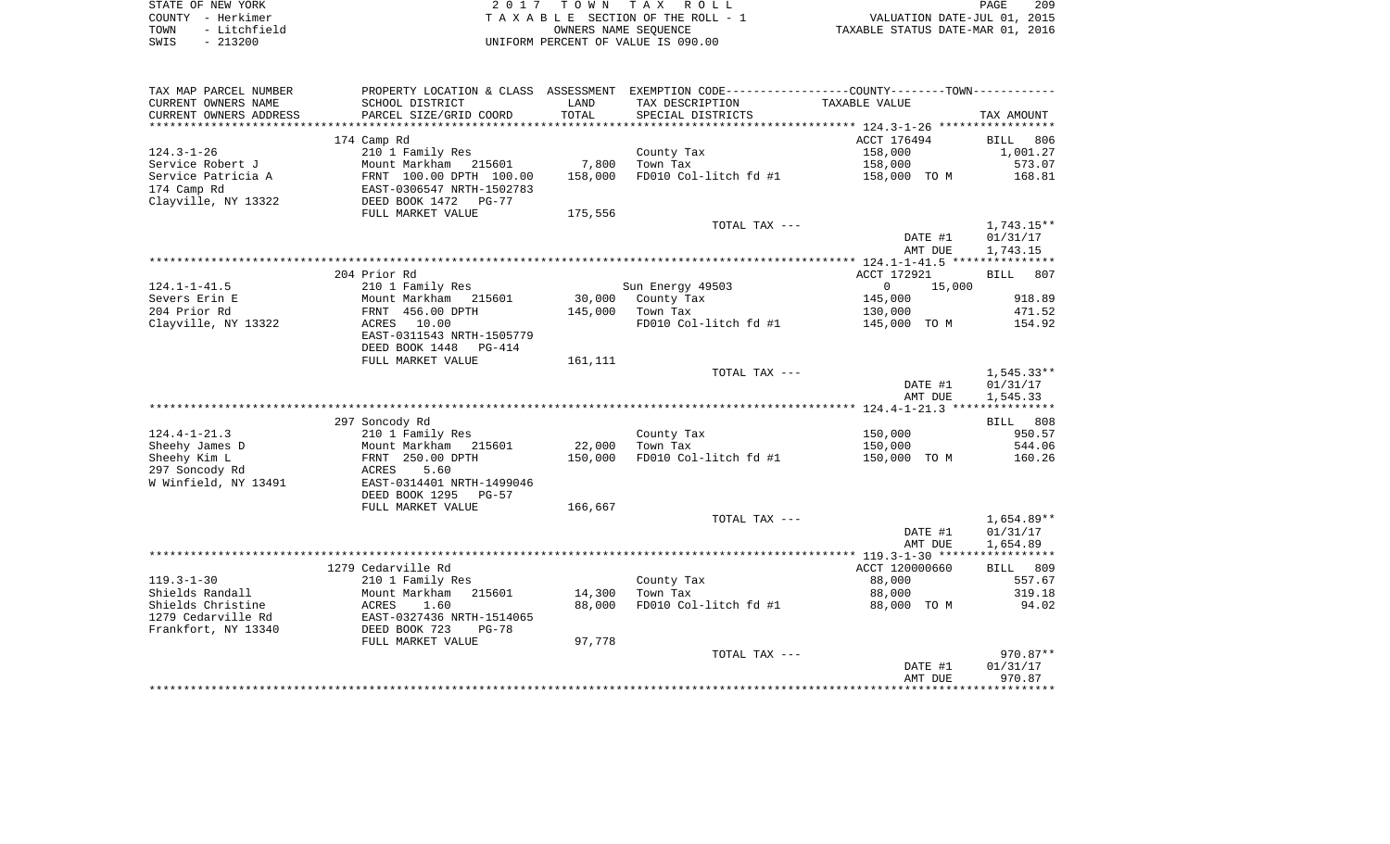| STATE OF NEW YORK    | 2017 TOWN TAX ROLL                 | 209<br>PAGE                      |
|----------------------|------------------------------------|----------------------------------|
| COUNTY - Herkimer    | TAXABLE SECTION OF THE ROLL - 1    | VALUATION DATE-JUL 01, 2015      |
| - Litchfield<br>TOWN | OWNERS NAME SEOUENCE               | TAXABLE STATUS DATE-MAR 01, 2016 |
| $-213200$<br>SWIS    | UNIFORM PERCENT OF VALUE IS 090.00 |                                  |

PAGE 209

| TAX MAP PARCEL NUMBER<br>CURRENT OWNERS NAME                                 | PROPERTY LOCATION & CLASS<br>SCHOOL DISTRICT                                                            | ASSESSMENT<br>LAND          | EXEMPTION CODE-----------------COUNTY-------TOWN-----------<br>TAX DESCRIPTION | <b>TAXABLE VALUE</b>                    |                                      |
|------------------------------------------------------------------------------|---------------------------------------------------------------------------------------------------------|-----------------------------|--------------------------------------------------------------------------------|-----------------------------------------|--------------------------------------|
| CURRENT OWNERS ADDRESS<br>*****************                                  | PARCEL SIZE/GRID COORD                                                                                  | TOTAL<br>****************** | SPECIAL DISTRICTS                                                              |                                         | TAX AMOUNT                           |
| $124.3 - 1 - 26$                                                             | 174 Camp Rd<br>210 1 Family Res                                                                         |                             | County Tax                                                                     | ACCT 176494<br>158,000                  | 806<br>BILL<br>1,001.27              |
| Service Robert J<br>Service Patricia A<br>174 Camp Rd<br>Clayville, NY 13322 | Mount Markham 215601<br>FRNT 100.00 DPTH 100.00<br>EAST-0306547 NRTH-1502783<br>DEED BOOK 1472<br>PG-77 | 7,800<br>158,000            | Town Tax<br>FD010 Col-litch fd #1                                              | 158,000<br>158,000 TO M                 | 573.07<br>168.81                     |
|                                                                              | FULL MARKET VALUE                                                                                       | 175,556                     | TOTAL TAX ---                                                                  |                                         | $1,743.15**$                         |
|                                                                              |                                                                                                         |                             |                                                                                | DATE #1<br>AMT DUE                      | 01/31/17<br>1,743.15                 |
|                                                                              |                                                                                                         |                             |                                                                                |                                         |                                      |
| $124.1 - 1 - 41.5$                                                           | 204 Prior Rd<br>210 1 Family Res                                                                        |                             | Sun Energy 49503                                                               | ACCT 172921<br>$\overline{0}$<br>15,000 | <b>BILL</b><br>807                   |
| Severs Erin E<br>204 Prior Rd                                                | Mount Markham<br>215601<br>FRNT 456.00 DPTH                                                             | 30,000<br>145,000           | County Tax<br>Town Tax                                                         | 145,000<br>130,000                      | 918.89<br>471.52                     |
| Clayville, NY 13322                                                          | ACRES<br>10.00<br>EAST-0311543 NRTH-1505779<br>DEED BOOK 1448<br><b>PG-414</b>                          |                             | FD010 Col-litch fd #1                                                          | 145,000 TO M                            | 154.92                               |
|                                                                              | FULL MARKET VALUE                                                                                       | 161,111                     |                                                                                |                                         |                                      |
|                                                                              |                                                                                                         |                             | TOTAL TAX ---                                                                  | DATE #1<br>AMT DUE                      | $1,545.33**$<br>01/31/17<br>1,545.33 |
|                                                                              |                                                                                                         |                             |                                                                                |                                         |                                      |
|                                                                              | 297 Soncody Rd                                                                                          |                             |                                                                                |                                         | 808<br>BILL                          |
| $124.4 - 1 - 21.3$                                                           | 210 1 Family Res                                                                                        |                             | County Tax                                                                     | 150,000                                 | 950.57                               |
| Sheehy James D<br>Sheehy Kim L<br>297 Soncody Rd<br>W Winfield, NY 13491     | Mount Markham<br>215601<br>FRNT 250.00 DPTH<br>ACRES<br>5.60<br>EAST-0314401 NRTH-1499046               | 22,000<br>150,000           | Town Tax<br>FD010 Col-litch fd #1                                              | 150,000<br>150,000 TO M                 | 544.06<br>160.26                     |
|                                                                              | DEED BOOK 1295<br>$PG-57$                                                                               |                             |                                                                                |                                         |                                      |
|                                                                              | FULL MARKET VALUE                                                                                       | 166,667                     | TOTAL TAX ---                                                                  | DATE #1<br>AMT DUE                      | $1,654.89**$<br>01/31/17<br>1,654.89 |
|                                                                              |                                                                                                         |                             |                                                                                |                                         |                                      |
| $119.3 - 1 - 30$                                                             | 1279 Cedarville Rd<br>210 1 Family Res                                                                  |                             | County Tax                                                                     | ACCT 120000660<br>88,000                | 809<br>BILL<br>557.67                |
| Shields Randall<br>Shields Christine<br>1279 Cedarville Rd                   | Mount Markham<br>215601<br>1.60<br>ACRES<br>EAST-0327436 NRTH-1514065                                   | 14,300<br>88,000            | Town Tax<br>FD010 Col-litch fd #1                                              | 88,000<br>88,000 TO M                   | 319.18<br>94.02                      |
| Frankfort, NY 13340                                                          | DEED BOOK 723<br>$PG-78$<br>FULL MARKET VALUE                                                           | 97,778                      |                                                                                |                                         |                                      |
|                                                                              |                                                                                                         |                             | TOTAL TAX ---                                                                  | DATE #1<br>AMT DUE                      | 970.87**<br>01/31/17<br>970.87       |
|                                                                              |                                                                                                         |                             |                                                                                |                                         |                                      |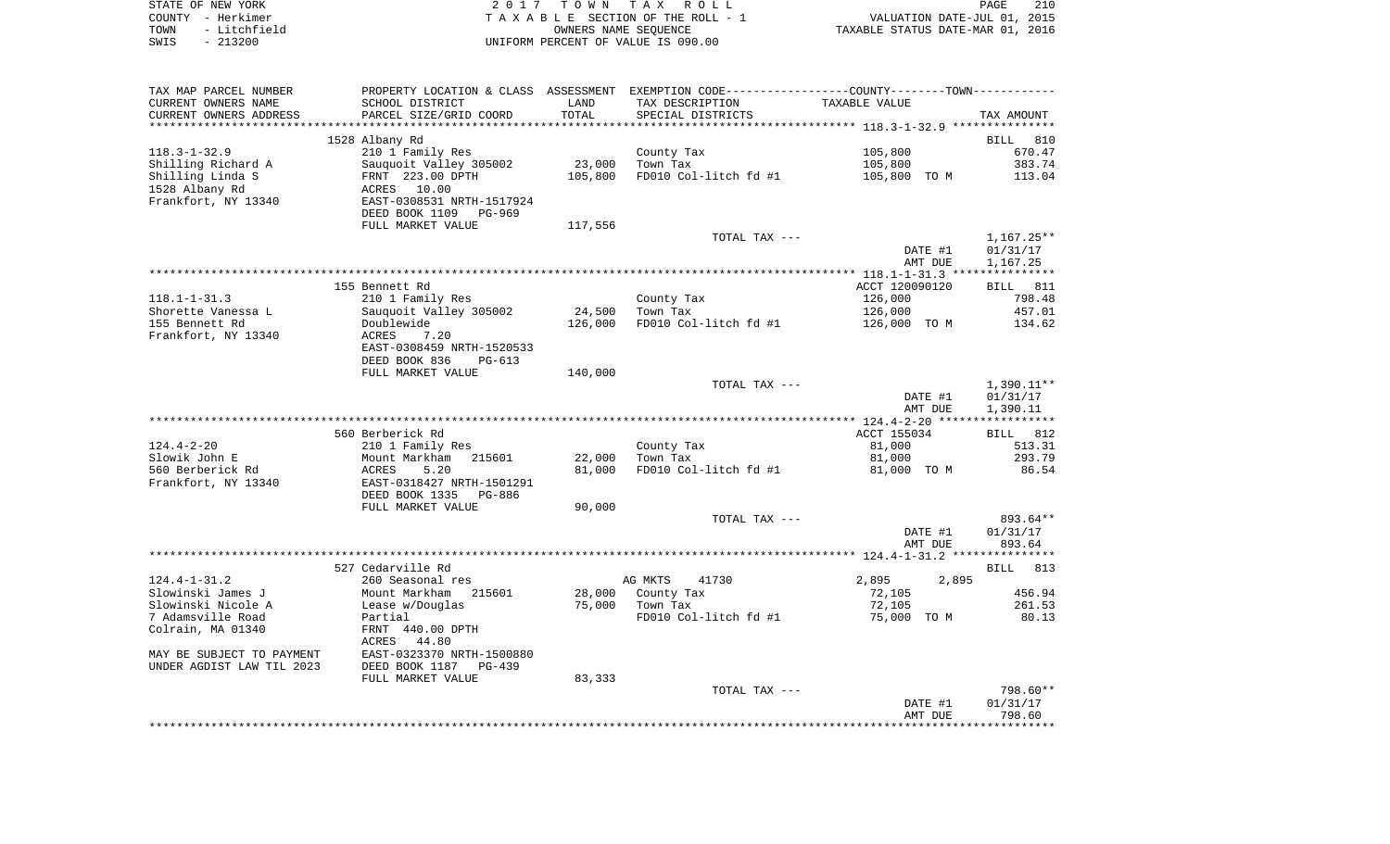|      | STATE OF NEW YORK | 2017 TOWN TAX ROLL                 | PAGE                             | 210 |
|------|-------------------|------------------------------------|----------------------------------|-----|
|      | COUNTY - Herkimer | TAXABLE SECTION OF THE ROLL - 1    | VALUATION DATE-JUL 01, 2015      |     |
| TOWN | - Litchfield      | OWNERS NAME SEOUENCE               | TAXABLE STATUS DATE-MAR 01, 2016 |     |
| SWIS | - 213200          | UNIFORM PERCENT OF VALUE IS 090.00 |                                  |     |

| TAX MAP PARCEL NUMBER                 |                             |         | PROPERTY LOCATION & CLASS ASSESSMENT EXEMPTION CODE---------------COUNTY-------TOWN---------- |                |                 |
|---------------------------------------|-----------------------------|---------|-----------------------------------------------------------------------------------------------|----------------|-----------------|
| CURRENT OWNERS NAME                   | SCHOOL DISTRICT             | LAND    | TAX DESCRIPTION                                                                               | TAXABLE VALUE  |                 |
| CURRENT OWNERS ADDRESS                | PARCEL SIZE/GRID COORD      | TOTAL   | SPECIAL DISTRICTS                                                                             |                | TAX AMOUNT      |
|                                       |                             |         |                                                                                               |                |                 |
|                                       | 1528 Albany Rd              |         |                                                                                               |                | BILL 810        |
| $118.3 - 1 - 32.9$                    | 210 1 Family Res            |         | County Tax                                                                                    | 105,800        | 670.47          |
| Shilling Richard A                    | Sauquoit Valley 305002      | 23,000  | Town Tax                                                                                      | 105,800        | 383.74          |
| Shilling Linda S                      | FRNT 223.00 DPTH            | 105,800 | FD010 Col-litch fd #1                                                                         | 105,800 TO M   | 113.04          |
| 1528 Albany Rd                        | 10.00<br>ACRES              |         |                                                                                               |                |                 |
| Frankfort, NY 13340                   | EAST-0308531 NRTH-1517924   |         |                                                                                               |                |                 |
|                                       | DEED BOOK 1109<br>PG-969    |         |                                                                                               |                |                 |
|                                       | FULL MARKET VALUE           | 117,556 |                                                                                               |                |                 |
|                                       |                             |         | TOTAL TAX ---                                                                                 |                | $1,167.25**$    |
|                                       |                             |         |                                                                                               | DATE #1        | 01/31/17        |
|                                       |                             |         |                                                                                               | AMT DUE        | 1,167.25        |
|                                       |                             |         |                                                                                               |                |                 |
|                                       | 155 Bennett Rd              |         |                                                                                               | ACCT 120090120 | <b>BILL</b> 811 |
| $118.1 - 1 - 31.3$                    | 210 1 Family Res            |         | County Tax                                                                                    | 126,000        | 798.48          |
| Shorette Vanessa L                    | Sauquoit Valley 305002      | 24,500  | Town Tax                                                                                      | 126,000        | 457.01          |
| 155 Bennett Rd<br>Frankfort, NY 13340 | Doublewide<br>ACRES<br>7.20 | 126,000 | FD010 Col-litch fd #1                                                                         | 126,000 TO M   | 134.62          |
|                                       | EAST-0308459 NRTH-1520533   |         |                                                                                               |                |                 |
|                                       | DEED BOOK 836<br>PG-613     |         |                                                                                               |                |                 |
|                                       | FULL MARKET VALUE           | 140,000 |                                                                                               |                |                 |
|                                       |                             |         | TOTAL TAX ---                                                                                 |                | $1,390.11**$    |
|                                       |                             |         |                                                                                               | DATE #1        | 01/31/17        |
|                                       |                             |         |                                                                                               | AMT DUE        | 1,390.11        |
|                                       |                             |         |                                                                                               |                | ************    |
|                                       | 560 Berberick Rd            |         |                                                                                               | ACCT 155034    | BILL 812        |
| $124.4 - 2 - 20$                      | 210 1 Family Res            |         | County Tax                                                                                    | 81,000         | 513.31          |
| Slowik John E                         | Mount Markham<br>215601     | 22,000  | Town Tax                                                                                      | 81,000         | 293.79          |
| 560 Berberick Rd                      | ACRES<br>5.20               | 81,000  | FD010 Col-litch fd #1                                                                         | 81,000 TO M    | 86.54           |
| Frankfort, NY 13340                   | EAST-0318427 NRTH-1501291   |         |                                                                                               |                |                 |
|                                       | DEED BOOK 1335<br>PG-886    |         |                                                                                               |                |                 |
|                                       | FULL MARKET VALUE           | 90,000  |                                                                                               |                |                 |
|                                       |                             |         | TOTAL TAX ---                                                                                 |                | 893.64**        |
|                                       |                             |         |                                                                                               | DATE #1        | 01/31/17        |
|                                       |                             |         |                                                                                               | AMT DUE        | 893.64          |
|                                       |                             |         |                                                                                               |                |                 |
|                                       | 527 Cedarville Rd           |         |                                                                                               |                | BILL 813        |
| $124.4 - 1 - 31.2$                    | 260 Seasonal res            |         | AG MKTS<br>41730                                                                              | 2,895<br>2,895 |                 |
| Slowinski James J                     | Mount Markham<br>215601     | 28,000  | County Tax                                                                                    | 72,105         | 456.94          |
| Slowinski Nicole A                    | Lease w/Douglas             | 75,000  | Town Tax                                                                                      | 72,105         | 261.53          |
| 7 Adamsville Road                     | Partial                     |         | FD010 Col-litch fd #1                                                                         | 75,000 TO M    | 80.13           |
| Colrain, MA 01340                     | FRNT 440.00 DPTH            |         |                                                                                               |                |                 |
|                                       | ACRES<br>44.80              |         |                                                                                               |                |                 |
| MAY BE SUBJECT TO PAYMENT             | EAST-0323370 NRTH-1500880   |         |                                                                                               |                |                 |
| UNDER AGDIST LAW TIL 2023             | DEED BOOK 1187<br>PG-439    |         |                                                                                               |                |                 |
|                                       | FULL MARKET VALUE           | 83,333  |                                                                                               |                |                 |
|                                       |                             |         | TOTAL TAX ---                                                                                 |                | 798.60**        |
|                                       |                             |         |                                                                                               | DATE #1        | 01/31/17        |
|                                       |                             |         |                                                                                               | AMT DUE        | 798.60          |
|                                       |                             |         |                                                                                               |                |                 |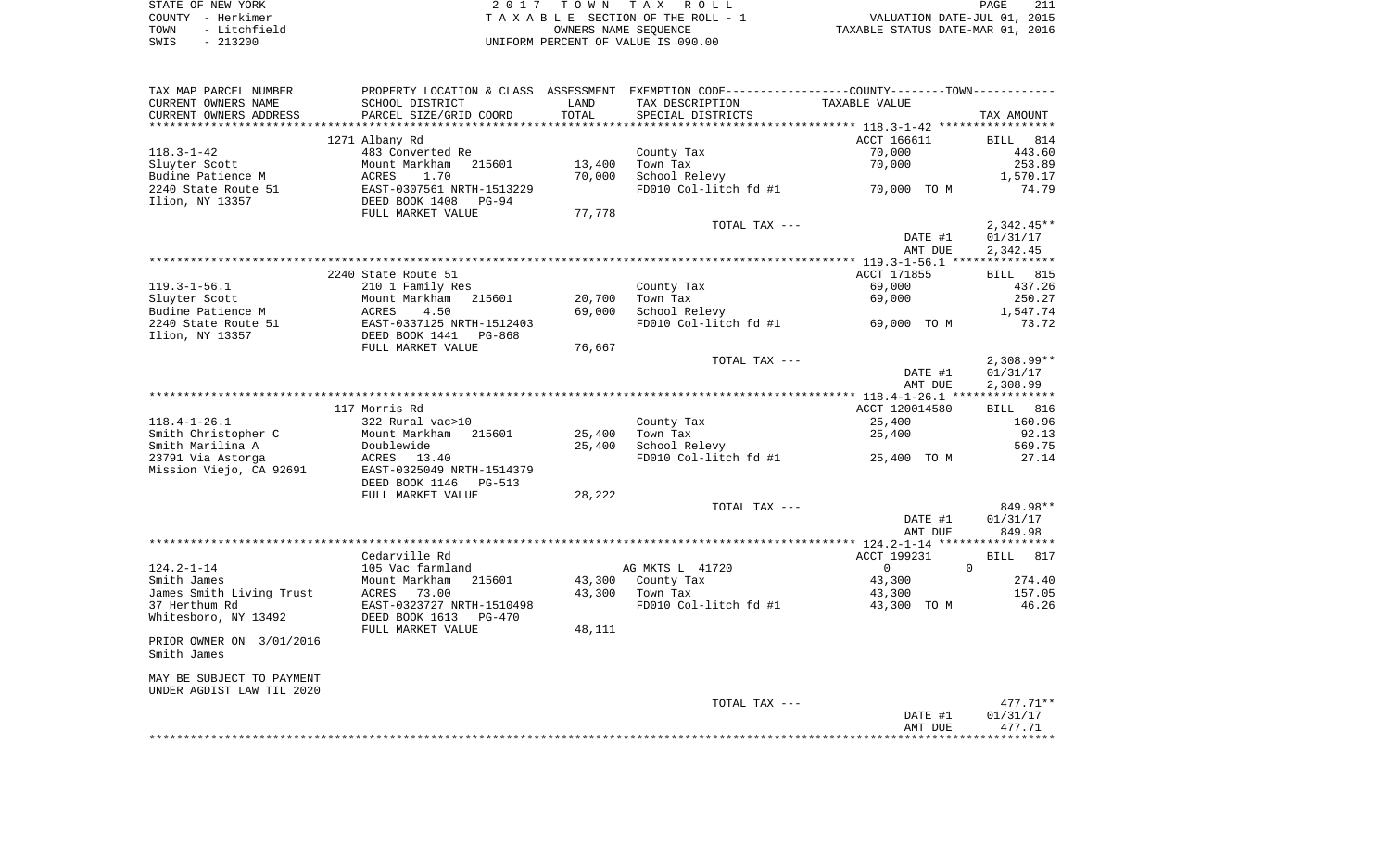|      | STATE OF NEW YORK | 2017 TOWN TAX ROLL                 | PAGE                             | 211 |
|------|-------------------|------------------------------------|----------------------------------|-----|
|      | COUNTY - Herkimer | TAXABLE SECTION OF THE ROLL - 1    | VALUATION DATE-JUL 01, 2015      |     |
| TOWN | - Litchfield      | OWNERS NAME SEOUENCE               | TAXABLE STATUS DATE-MAR 01, 2016 |     |
| SWIS | - 213200          | UNIFORM PERCENT OF VALUE IS 090.00 |                                  |     |

| TAX MAP PARCEL NUMBER     | PROPERTY LOCATION & CLASS ASSESSMENT EXEMPTION CODE---------------COUNTY-------TOWN---------- |        |                       |                    |                    |
|---------------------------|-----------------------------------------------------------------------------------------------|--------|-----------------------|--------------------|--------------------|
| CURRENT OWNERS NAME       | SCHOOL DISTRICT                                                                               | LAND   | TAX DESCRIPTION       | TAXABLE VALUE      |                    |
| CURRENT OWNERS ADDRESS    | PARCEL SIZE/GRID COORD                                                                        | TOTAL  | SPECIAL DISTRICTS     |                    | TAX AMOUNT         |
| ***********************   | *****************************                                                                 |        |                       |                    |                    |
|                           | 1271 Albany Rd                                                                                |        |                       | ACCT 166611        | BILL 814           |
| $118.3 - 1 - 42$          | 483 Converted Re                                                                              |        | County Tax            | 70,000             | 443.60             |
| Sluyter Scott             | Mount Markham<br>215601                                                                       | 13,400 | Town Tax              | 70,000             | 253.89             |
| Budine Patience M         | ACRES<br>1.70                                                                                 | 70,000 | School Relevy         |                    | 1,570.17           |
| 2240 State Route 51       | EAST-0307561 NRTH-1513229                                                                     |        | FD010 Col-litch fd #1 | 70,000 TO M        | 74.79              |
| Ilion, NY 13357           | DEED BOOK 1408<br>PG-94                                                                       |        |                       |                    |                    |
|                           | FULL MARKET VALUE                                                                             | 77,778 | TOTAL TAX ---         |                    | $2,342.45**$       |
|                           |                                                                                               |        |                       | DATE #1            | 01/31/17           |
|                           |                                                                                               |        |                       | AMT DUE            | 2,342.45           |
|                           |                                                                                               |        |                       |                    |                    |
|                           | 2240 State Route 51                                                                           |        |                       | ACCT 171855        | <b>BILL</b> 815    |
| $119.3 - 1 - 56.1$        | 210 1 Family Res                                                                              |        | County Tax            | 69,000             | 437.26             |
| Sluyter Scott             | Mount Markham<br>215601                                                                       | 20,700 | Town Tax              | 69,000             | 250.27             |
| Budine Patience M         | ACRES<br>4.50                                                                                 | 69,000 | School Relevy         |                    | 1,547.74           |
| 2240 State Route 51       | EAST-0337125 NRTH-1512403                                                                     |        | FD010 Col-litch fd #1 | 69,000 TO M        | 73.72              |
| Ilion, NY 13357           | DEED BOOK 1441<br>PG-868                                                                      |        |                       |                    |                    |
|                           | FULL MARKET VALUE                                                                             | 76,667 |                       |                    |                    |
|                           |                                                                                               |        | TOTAL TAX ---         |                    | $2,308.99**$       |
|                           |                                                                                               |        |                       | DATE #1            | 01/31/17           |
|                           |                                                                                               |        |                       | AMT DUE            | 2,308.99           |
|                           |                                                                                               |        |                       |                    |                    |
|                           | 117 Morris Rd                                                                                 |        |                       | ACCT 120014580     | <b>BILL</b> 816    |
| $118.4 - 1 - 26.1$        | 322 Rural vac>10                                                                              |        | County Tax            | 25,400             | 160.96             |
| Smith Christopher C       | Mount Markham<br>215601                                                                       | 25,400 | Town Tax              | 25,400             | 92.13              |
| Smith Marilina A          | Doublewide                                                                                    | 25,400 | School Relevy         |                    | 569.75             |
| 23791 Via Astorga         | ACRES 13.40                                                                                   |        | FD010 Col-litch fd #1 | 25,400 TO M        | 27.14              |
| Mission Viejo, CA 92691   | EAST-0325049 NRTH-1514379                                                                     |        |                       |                    |                    |
|                           | DEED BOOK 1146<br>PG-513                                                                      |        |                       |                    |                    |
|                           | FULL MARKET VALUE                                                                             | 28,222 | TOTAL TAX ---         |                    | 849.98**           |
|                           |                                                                                               |        |                       | DATE #1            | 01/31/17           |
|                           |                                                                                               |        |                       | AMT DUE            | 849.98             |
|                           |                                                                                               |        |                       |                    |                    |
|                           | Cedarville Rd                                                                                 |        |                       | ACCT 199231        | 817<br><b>BILL</b> |
| $124.2 - 1 - 14$          | 105 Vac farmland                                                                              |        | AG MKTS L 41720       | $\overline{0}$     | $\Omega$           |
| Smith James               | 215601<br>Mount Markham                                                                       | 43,300 | County Tax            | 43,300             | 274.40             |
| James Smith Living Trust  | 73.00<br>ACRES                                                                                | 43,300 | Town Tax              | 43,300             | 157.05             |
| 37 Herthum Rd             | EAST-0323727 NRTH-1510498                                                                     |        | FD010 Col-litch fd #1 | 43,300 TO M        | 46.26              |
| Whitesboro, NY 13492      | DEED BOOK 1613<br>PG-470                                                                      |        |                       |                    |                    |
|                           | FULL MARKET VALUE                                                                             | 48,111 |                       |                    |                    |
| PRIOR OWNER ON 3/01/2016  |                                                                                               |        |                       |                    |                    |
| Smith James               |                                                                                               |        |                       |                    |                    |
|                           |                                                                                               |        |                       |                    |                    |
| MAY BE SUBJECT TO PAYMENT |                                                                                               |        |                       |                    |                    |
| UNDER AGDIST LAW TIL 2020 |                                                                                               |        |                       |                    |                    |
|                           |                                                                                               |        | TOTAL TAX ---         |                    | 477.71**           |
|                           |                                                                                               |        |                       | DATE #1<br>AMT DUE | 01/31/17<br>477.71 |
|                           |                                                                                               |        |                       |                    |                    |
|                           |                                                                                               |        |                       |                    |                    |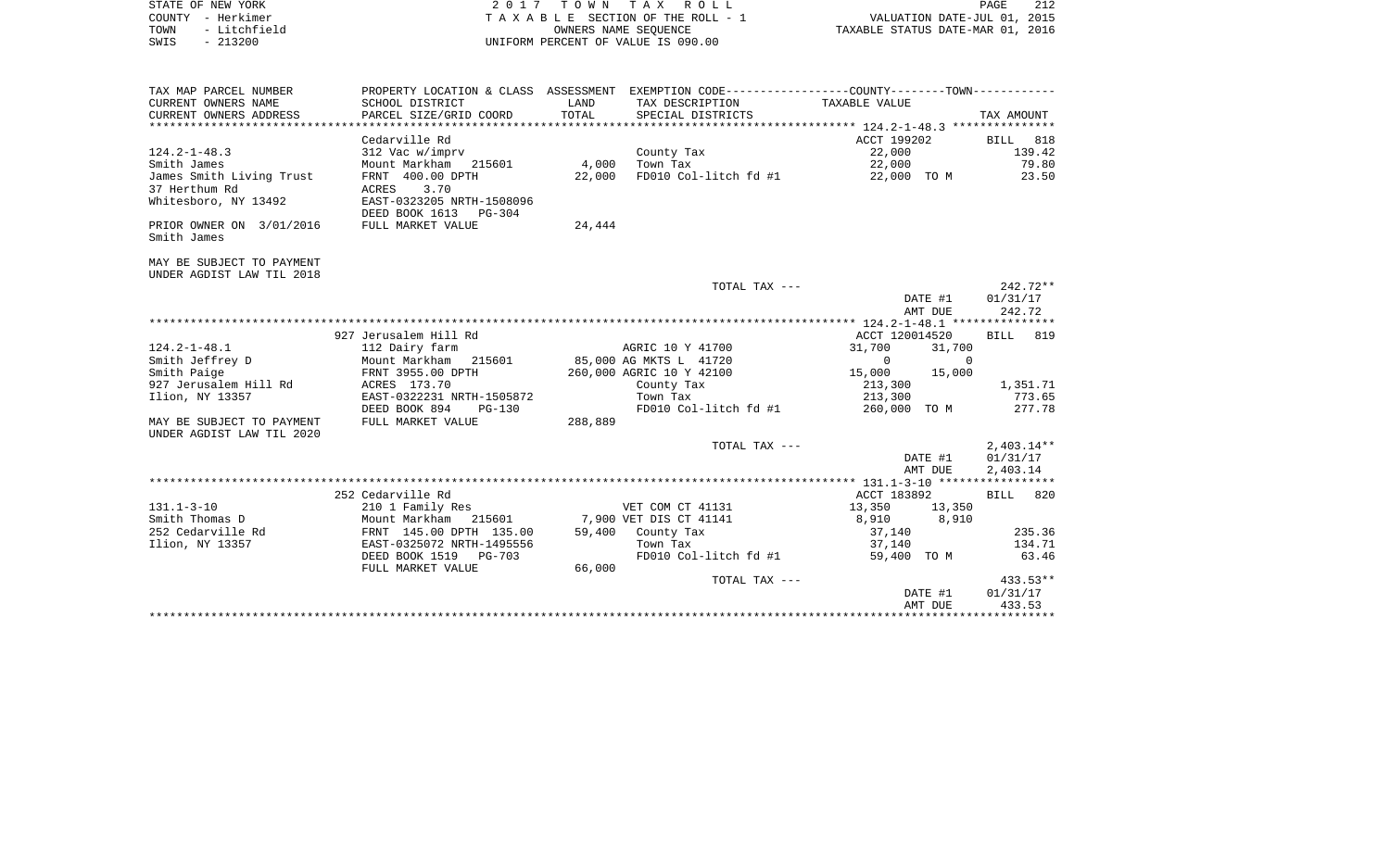| STATE OF NEW YORK                  |                                                 |         | 2017 TOWN TAX ROLL                                                                            |                                    | 212<br>PAGE        |
|------------------------------------|-------------------------------------------------|---------|-----------------------------------------------------------------------------------------------|------------------------------------|--------------------|
| COUNTY - Herkimer                  |                                                 |         | TAXABLE SECTION OF THE ROLL - 1                                                               | VALUATION DATE-JUL 01, 2015        |                    |
| - Litchfield<br>TOWN               |                                                 |         | OWNERS NAME SEOUENCE                                                                          | TAXABLE STATUS DATE-MAR 01, 2016   |                    |
| $-213200$<br>SWIS                  |                                                 |         | UNIFORM PERCENT OF VALUE IS 090.00                                                            |                                    |                    |
|                                    |                                                 |         |                                                                                               |                                    |                    |
|                                    |                                                 |         |                                                                                               |                                    |                    |
| TAX MAP PARCEL NUMBER              |                                                 |         | PROPERTY LOCATION & CLASS ASSESSMENT EXEMPTION CODE---------------COUNTY-------TOWN---------- |                                    |                    |
| CURRENT OWNERS NAME                | SCHOOL DISTRICT                                 | LAND    | TAX DESCRIPTION                                                                               | TAXABLE VALUE                      |                    |
| CURRENT OWNERS ADDRESS             | PARCEL SIZE/GRID COORD                          | TOTAL   | SPECIAL DISTRICTS                                                                             |                                    | TAX AMOUNT         |
|                                    |                                                 |         |                                                                                               |                                    |                    |
|                                    | Cedarville Rd                                   |         |                                                                                               | ACCT 199202                        | BILL<br>818        |
| $124.2 - 1 - 48.3$<br>Smith James  | 312 Vac w/imprv<br>Mount Markham<br>215601      | 4,000   | County Tax<br>Town Tax                                                                        | 22,000<br>22,000                   | 139.42<br>79.80    |
| James Smith Living Trust           | FRNT 400.00 DPTH                                | 22,000  | FD010 Col-litch fd #1                                                                         | 22,000 TO M                        | 23.50              |
| 37 Herthum Rd                      | 3.70<br>ACRES                                   |         |                                                                                               |                                    |                    |
| Whitesboro, NY 13492               | EAST-0323205 NRTH-1508096                       |         |                                                                                               |                                    |                    |
|                                    | DEED BOOK 1613 PG-304                           |         |                                                                                               |                                    |                    |
| PRIOR OWNER ON 3/01/2016           | FULL MARKET VALUE                               | 24,444  |                                                                                               |                                    |                    |
| Smith James                        |                                                 |         |                                                                                               |                                    |                    |
|                                    |                                                 |         |                                                                                               |                                    |                    |
| MAY BE SUBJECT TO PAYMENT          |                                                 |         |                                                                                               |                                    |                    |
| UNDER AGDIST LAW TIL 2018          |                                                 |         |                                                                                               |                                    |                    |
|                                    |                                                 |         | TOTAL TAX ---                                                                                 |                                    | $242.72**$         |
|                                    |                                                 |         |                                                                                               | DATE #1                            | 01/31/17           |
|                                    |                                                 |         |                                                                                               | AMT DUE                            | 242.72             |
|                                    |                                                 |         |                                                                                               |                                    |                    |
| $124.2 - 1 - 48.1$                 | 927 Jerusalem Hill Rd                           |         |                                                                                               | ACCT 120014520<br>31,700<br>31,700 | <b>BILL</b><br>819 |
| Smith Jeffrey D                    | 112 Dairy farm<br>Mount Markham<br>215601       |         | AGRIC 10 Y 41700<br>85,000 AG MKTS L 41720                                                    | $\Omega$                           | $\Omega$           |
| Smith Paige                        | FRNT 3955.00 DPTH                               |         | 260,000 AGRIC 10 Y 42100                                                                      | 15,000<br>15,000                   |                    |
| 927 Jerusalem Hill Rd              | ACRES 173.70                                    |         | County Tax                                                                                    | 213,300                            | 1,351.71           |
| Ilion, NY 13357                    | EAST-0322231 NRTH-1505872                       |         | Town Tax                                                                                      | 213,300                            | 773.65             |
|                                    | DEED BOOK 894<br>$PG-130$                       |         | FD010 Col-litch fd #1                                                                         | 260,000 TO M                       | 277.78             |
| MAY BE SUBJECT TO PAYMENT          | FULL MARKET VALUE                               | 288,889 |                                                                                               |                                    |                    |
| UNDER AGDIST LAW TIL 2020          |                                                 |         |                                                                                               |                                    |                    |
|                                    |                                                 |         | TOTAL TAX ---                                                                                 |                                    | $2,403.14**$       |
|                                    |                                                 |         |                                                                                               | DATE #1                            | 01/31/17           |
|                                    |                                                 |         |                                                                                               | AMT DUE                            | 2,403.14           |
|                                    |                                                 |         |                                                                                               |                                    |                    |
|                                    | 252 Cedarville Rd                               |         |                                                                                               | ACCT 183892                        | BILL 820           |
| $131.1 - 3 - 10$<br>Smith Thomas D | 210 1 Family Res                                |         | VET COM CT 41131                                                                              | 13,350<br>13,350                   |                    |
| 252 Cedarville Rd                  | Mount Markham 215601<br>FRNT 145.00 DPTH 135.00 | 59,400  | 7,900 VET DIS CT 41141<br>County Tax                                                          | 8,910<br>8,910<br>37,140           | 235.36             |
| Ilion, NY 13357                    | EAST-0325072 NRTH-1495556                       |         | Town Tax                                                                                      | 37,140                             | 134.71             |
|                                    | DEED BOOK 1519 PG-703                           |         | FD010 Col-litch fd #1                                                                         | 59,400 TO M                        | 63.46              |
|                                    | FULL MARKET VALUE                               | 66,000  |                                                                                               |                                    |                    |
|                                    |                                                 |         | TOTAL TAX ---                                                                                 |                                    | $433.53**$         |
|                                    |                                                 |         |                                                                                               | DATE #1                            | 01/31/17           |
|                                    |                                                 |         |                                                                                               | AMT DUE                            | 433.53             |
|                                    |                                                 |         |                                                                                               |                                    |                    |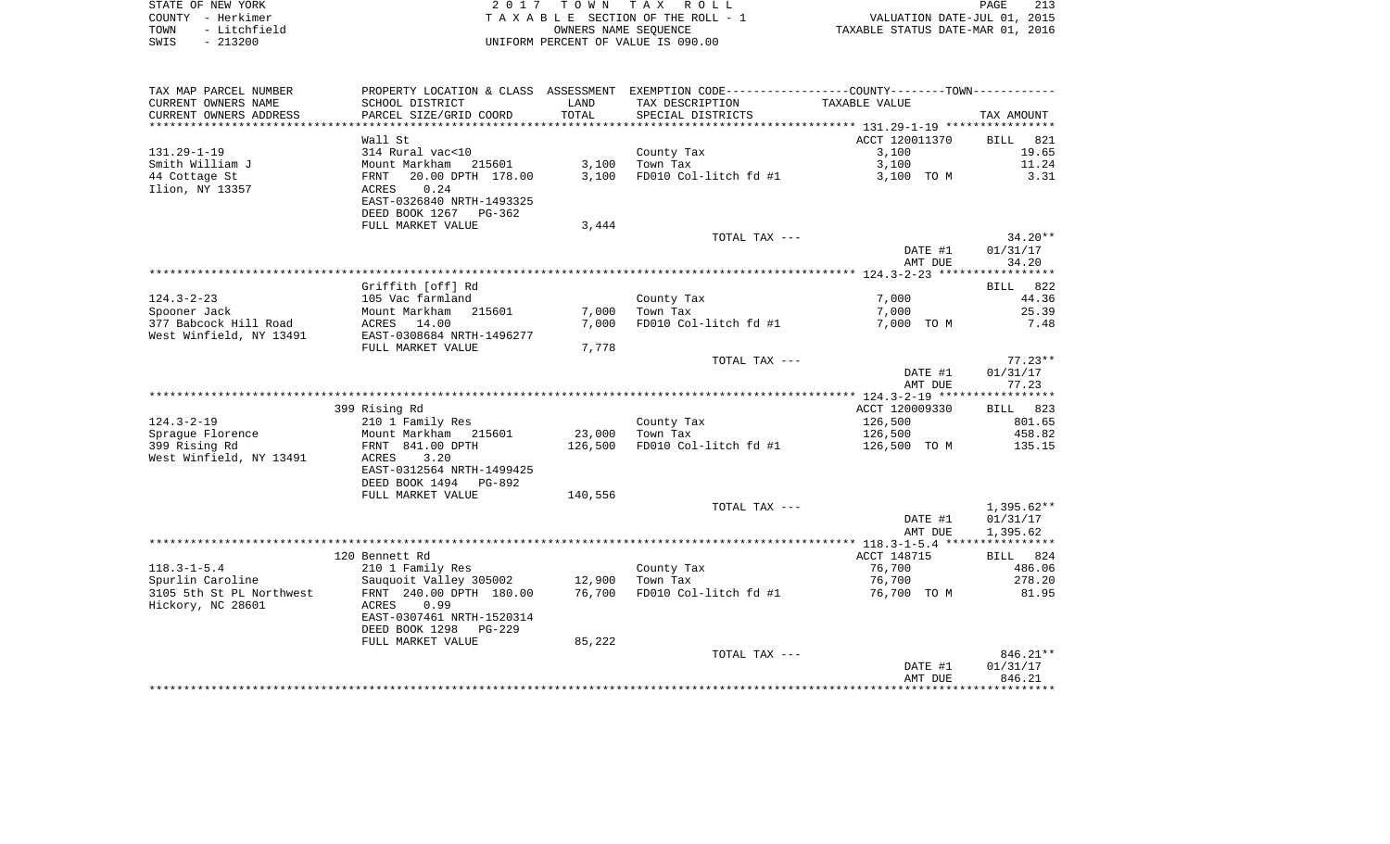|      | STATE OF NEW YORK | 2017 TOWN TAX ROLL                 | PAGE                             |  |
|------|-------------------|------------------------------------|----------------------------------|--|
|      | COUNTY - Herkimer | TAXABLE SECTION OF THE ROLL - 1    | VALUATION DATE-JUL 01, 2015      |  |
| TOWN | - Litchfield      | OWNERS NAME SEOUENCE               | TAXABLE STATUS DATE-MAR 01, 2016 |  |
| SWIS | $-213200$         | UNIFORM PERCENT OF VALUE IS 090.00 |                                  |  |

| TAX MAP PARCEL NUMBER                            |                                                                                                                          |                | PROPERTY LOCATION & CLASS ASSESSMENT EXEMPTION CODE----------------COUNTY-------TOWN---------- |                       |                      |
|--------------------------------------------------|--------------------------------------------------------------------------------------------------------------------------|----------------|------------------------------------------------------------------------------------------------|-----------------------|----------------------|
| CURRENT OWNERS NAME                              | SCHOOL DISTRICT                                                                                                          | LAND           | TAX DESCRIPTION                                                                                | TAXABLE VALUE         |                      |
| CURRENT OWNERS ADDRESS                           | PARCEL SIZE/GRID COORD                                                                                                   | TOTAL          | SPECIAL DISTRICTS                                                                              |                       | TAX AMOUNT           |
|                                                  |                                                                                                                          |                |                                                                                                |                       |                      |
|                                                  | Wall St                                                                                                                  |                |                                                                                                | ACCT 120011370        | <b>BILL</b><br>821   |
| $131.29 - 1 - 19$                                | 314 Rural vac<10                                                                                                         |                | County Tax                                                                                     | 3,100                 | 19.65                |
| Smith William J                                  | Mount Markham 215601                                                                                                     | 3,100          | Town Tax                                                                                       | 3,100                 | 11.24                |
| 44 Cottage St<br>Ilion, NY 13357                 | 20.00 DPTH 178.00<br>FRNT<br>0.24<br>ACRES<br>EAST-0326840 NRTH-1493325<br>DEED BOOK 1267<br>PG-362<br>FULL MARKET VALUE | 3,100<br>3,444 | FD010 Col-litch fd #1                                                                          | 3,100 TO M            | 3.31                 |
|                                                  |                                                                                                                          |                | TOTAL TAX ---                                                                                  |                       | $34.20**$            |
|                                                  |                                                                                                                          |                |                                                                                                | DATE #1<br>AMT DUE    | 01/31/17<br>34.20    |
|                                                  |                                                                                                                          |                |                                                                                                |                       |                      |
|                                                  | Griffith [off] Rd                                                                                                        |                |                                                                                                |                       | BILL<br>822          |
| $124.3 - 2 - 23$                                 | 105 Vac farmland                                                                                                         |                | County Tax                                                                                     | 7,000                 | 44.36                |
| Spooner Jack                                     | Mount Markham<br>215601                                                                                                  | 7,000          | Town Tax                                                                                       | 7,000                 | 25.39                |
| 377 Babcock Hill Road<br>West Winfield, NY 13491 | ACRES<br>14.00<br>EAST-0308684 NRTH-1496277                                                                              | 7,000          | FD010 Col-litch fd #1                                                                          | 7,000 TO M            | 7.48                 |
|                                                  | FULL MARKET VALUE                                                                                                        | 7,778          |                                                                                                |                       |                      |
|                                                  |                                                                                                                          |                | TOTAL TAX ---                                                                                  |                       | $77.23**$            |
|                                                  |                                                                                                                          |                |                                                                                                | DATE #1<br>AMT DUE    | 01/31/17<br>77.23    |
|                                                  |                                                                                                                          |                |                                                                                                |                       |                      |
|                                                  | 399 Rising Rd                                                                                                            |                |                                                                                                | ACCT 120009330        | BILL 823             |
| $124.3 - 2 - 19$                                 | 210 1 Family Res                                                                                                         |                | County Tax                                                                                     | 126,500               | 801.65               |
| Sprague Florence                                 | Mount Markham 215601                                                                                                     | 23,000         | Town Tax                                                                                       | 126,500               | 458.82               |
| 399 Rising Rd<br>West Winfield, NY 13491         | FRNT 841.00 DPTH<br>3.20<br>ACRES<br>EAST-0312564 NRTH-1499425<br>DEED BOOK 1494 PG-892                                  | 126,500        | FD010 Col-litch fd #1                                                                          | 126,500 TO M          | 135.15               |
|                                                  | FULL MARKET VALUE                                                                                                        | 140,556        | TOTAL TAX ---                                                                                  |                       | 1,395.62**           |
|                                                  |                                                                                                                          |                |                                                                                                | DATE #1<br>AMT DUE    | 01/31/17<br>1,395.62 |
|                                                  |                                                                                                                          |                |                                                                                                |                       |                      |
| $118.3 - 1 - 5.4$                                | 120 Bennett Rd<br>210 1 Family Res                                                                                       |                | County Tax                                                                                     | ACCT 148715<br>76,700 | BILL 824<br>486.06   |
| Spurlin Caroline                                 | Sauquoit Valley 305002                                                                                                   | 12,900         | Town Tax                                                                                       | 76,700                | 278.20               |
| 3105 5th St PL Northwest<br>Hickory, NC 28601    | FRNT 240.00 DPTH 180.00<br>0.99<br>ACRES<br>EAST-0307461 NRTH-1520314                                                    | 76,700         | FD010 Col-litch fd #1                                                                          | 76,700 TO M           | 81.95                |
|                                                  | DEED BOOK 1298<br>PG-229                                                                                                 |                |                                                                                                |                       |                      |
|                                                  | FULL MARKET VALUE                                                                                                        | 85,222         |                                                                                                |                       |                      |
|                                                  |                                                                                                                          |                | TOTAL TAX ---                                                                                  |                       | 846.21**             |
|                                                  |                                                                                                                          |                |                                                                                                | DATE #1<br>AMT DUE    | 01/31/17<br>846.21   |
|                                                  |                                                                                                                          |                |                                                                                                |                       |                      |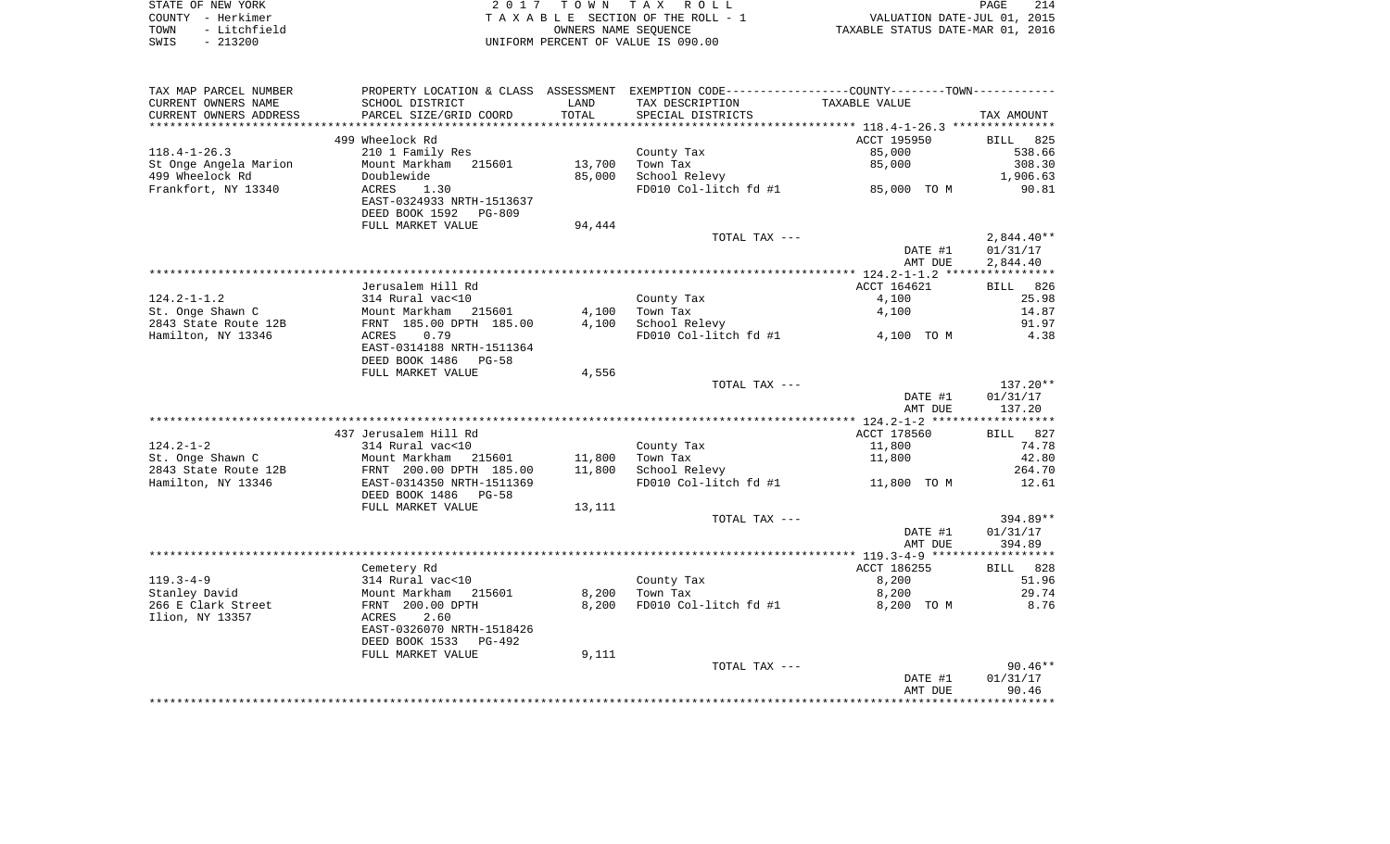| STATE OF NEW YORK    | 2017 TOWN TAX ROLL                 | 214<br>PAGE                      |
|----------------------|------------------------------------|----------------------------------|
| COUNTY - Herkimer    | TAXABLE SECTION OF THE ROLL - 1    | VALUATION DATE-JUL 01, 2015      |
| - Litchfield<br>TOWN | OWNERS NAME SEOUENCE               | TAXABLE STATUS DATE-MAR 01, 2016 |
| $-213200$<br>SWIS    | UNIFORM PERCENT OF VALUE IS 090.00 |                                  |

| TAX MAP PARCEL NUMBER  | PROPERTY LOCATION & CLASS ASSESSMENT EXEMPTION CODE----------------COUNTY--------TOWN---------- |        |                       |               |              |
|------------------------|-------------------------------------------------------------------------------------------------|--------|-----------------------|---------------|--------------|
| CURRENT OWNERS NAME    | SCHOOL DISTRICT                                                                                 | LAND   | TAX DESCRIPTION       | TAXABLE VALUE |              |
| CURRENT OWNERS ADDRESS | PARCEL SIZE/GRID COORD                                                                          | TOTAL  | SPECIAL DISTRICTS     |               | TAX AMOUNT   |
|                        |                                                                                                 |        |                       |               |              |
|                        | 499 Wheelock Rd                                                                                 |        |                       | ACCT 195950   | BILL 825     |
| $118.4 - 1 - 26.3$     | 210 1 Family Res                                                                                |        | County Tax            | 85,000        | 538.66       |
| St Onge Angela Marion  | Mount Markham 215601                                                                            | 13,700 | Town Tax              | 85,000        | 308.30       |
| 499 Wheelock Rd        | Doublewide                                                                                      | 85,000 | School Relevy         |               | 1,906.63     |
| Frankfort, NY 13340    | 1.30<br>ACRES                                                                                   |        | FD010 Col-litch fd #1 | 85,000 TO M   | 90.81        |
|                        | EAST-0324933 NRTH-1513637                                                                       |        |                       |               |              |
|                        | DEED BOOK 1592<br>PG-809                                                                        |        |                       |               |              |
|                        | FULL MARKET VALUE                                                                               | 94,444 |                       |               |              |
|                        |                                                                                                 |        | TOTAL TAX ---         |               | $2,844.40**$ |
|                        |                                                                                                 |        |                       | DATE #1       | 01/31/17     |
|                        |                                                                                                 |        |                       | AMT DUE       | 2,844.40     |
|                        |                                                                                                 |        |                       |               |              |
|                        | Jerusalem Hill Rd                                                                               |        |                       | ACCT 164621   | BILL 826     |
| $124.2 - 1 - 1.2$      | 314 Rural vac<10                                                                                |        | County Tax            | 4,100         | 25.98        |
| St. Onge Shawn C       | Mount Markham 215601                                                                            | 4,100  | Town Tax              | 4,100         | 14.87        |
| 2843 State Route 12B   | FRNT 185.00 DPTH 185.00                                                                         | 4,100  | School Relevy         |               | 91.97        |
| Hamilton, NY 13346     | 0.79<br>ACRES                                                                                   |        | FD010 Col-litch fd #1 | 4,100 TO M    | 4.38         |
|                        | EAST-0314188 NRTH-1511364                                                                       |        |                       |               |              |
|                        | DEED BOOK 1486 PG-58                                                                            |        |                       |               |              |
|                        | FULL MARKET VALUE                                                                               | 4,556  |                       |               |              |
|                        |                                                                                                 |        | TOTAL TAX ---         |               | 137.20**     |
|                        |                                                                                                 |        |                       | DATE #1       | 01/31/17     |
|                        |                                                                                                 |        |                       | AMT DUE       | 137.20       |
|                        |                                                                                                 |        |                       |               |              |
|                        | 437 Jerusalem Hill Rd                                                                           |        |                       | ACCT 178560   | BILL 827     |
| $124.2 - 1 - 2$        | 314 Rural vac<10                                                                                |        | County Tax            | 11,800        | 74.78        |
| St. Onge Shawn C       | Mount Markham 215601                                                                            | 11,800 | Town Tax              | 11,800        | 42.80        |
| 2843 State Route 12B   | FRNT 200.00 DPTH 185.00                                                                         | 11,800 | School Relevy         |               | 264.70       |
| Hamilton, NY 13346     | EAST-0314350 NRTH-1511369                                                                       |        | FD010 Col-litch fd #1 | 11,800 TO M   | 12.61        |
|                        | DEED BOOK 1486 PG-58                                                                            |        |                       |               |              |
|                        | FULL MARKET VALUE                                                                               | 13,111 |                       |               |              |
|                        |                                                                                                 |        | TOTAL TAX ---         |               | 394.89**     |
|                        |                                                                                                 |        |                       | DATE #1       | 01/31/17     |
|                        |                                                                                                 |        |                       | AMT DUE       | 394.89       |
|                        |                                                                                                 |        |                       |               |              |
|                        | Cemetery Rd                                                                                     |        |                       | ACCT 186255   | BILL 828     |
| $119.3 - 4 - 9$        | 314 Rural vac<10                                                                                |        | County Tax            | 8,200         | 51.96        |
| Stanley David          | Mount Markham<br>215601                                                                         | 8,200  | Town Tax              | 8,200         | 29.74        |
| 266 E Clark Street     | FRNT 200.00 DPTH                                                                                | 8,200  | FD010 Col-litch fd #1 | 8,200 TO M    | 8.76         |
| Ilion, NY 13357        | 2.60<br>ACRES                                                                                   |        |                       |               |              |
|                        | EAST-0326070 NRTH-1518426                                                                       |        |                       |               |              |
|                        | DEED BOOK 1533<br>PG-492                                                                        |        |                       |               |              |
|                        | FULL MARKET VALUE                                                                               | 9,111  |                       |               |              |
|                        |                                                                                                 |        | TOTAL TAX ---         |               | $90.46**$    |
|                        |                                                                                                 |        |                       | DATE #1       | 01/31/17     |
|                        |                                                                                                 |        |                       | AMT DUE       | 90.46        |
|                        |                                                                                                 |        |                       |               |              |
|                        |                                                                                                 |        |                       |               |              |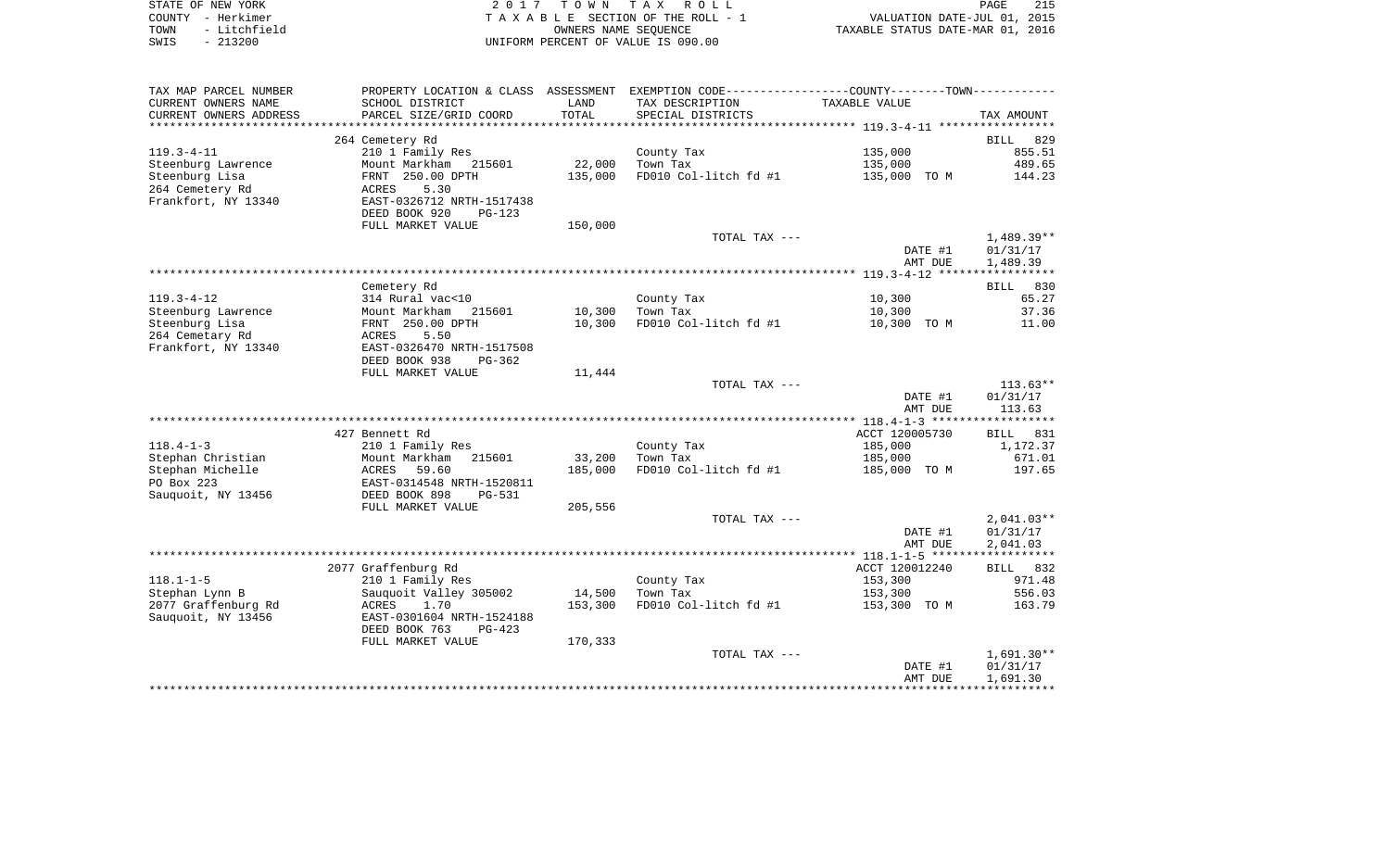| STATE OF NEW YORK    | 2017 TOWN TAX ROLL                 | 215<br><b>PAGE</b>               |
|----------------------|------------------------------------|----------------------------------|
| COUNTY - Herkimer    | TAXABLE SECTION OF THE ROLL - 1    | VALUATION DATE-JUL 01, 2015      |
| - Litchfield<br>TOWN | OWNERS NAME SEOUENCE               | TAXABLE STATUS DATE-MAR 01, 2016 |
| SWIS<br>$-213200$    | UNIFORM PERCENT OF VALUE IS 090.00 |                                  |

| TAX MAP PARCEL NUMBER  |                                            |         | PROPERTY LOCATION & CLASS ASSESSMENT EXEMPTION CODE---------------COUNTY-------TOWN---------- |                |                    |
|------------------------|--------------------------------------------|---------|-----------------------------------------------------------------------------------------------|----------------|--------------------|
| CURRENT OWNERS NAME    | SCHOOL DISTRICT                            | LAND    | TAX DESCRIPTION                                                                               | TAXABLE VALUE  |                    |
| CURRENT OWNERS ADDRESS | PARCEL SIZE/GRID COORD                     | TOTAL   | SPECIAL DISTRICTS                                                                             |                | TAX AMOUNT         |
| ********************** |                                            |         |                                                                                               |                |                    |
|                        | 264 Cemetery Rd                            |         |                                                                                               |                | 829<br>BILL        |
| $119.3 - 4 - 11$       | 210 1 Family Res                           |         | County Tax                                                                                    | 135,000        | 855.51             |
| Steenburg Lawrence     | Mount Markham<br>215601                    | 22,000  | Town Tax                                                                                      | 135,000        | 489.65             |
| Steenburg Lisa         | FRNT 250.00 DPTH                           | 135,000 | FD010 Col-litch fd #1                                                                         | 135,000 TO M   | 144.23             |
| 264 Cemetery Rd        | 5.30<br>ACRES                              |         |                                                                                               |                |                    |
| Frankfort, NY 13340    | EAST-0326712 NRTH-1517438                  |         |                                                                                               |                |                    |
|                        | DEED BOOK 920<br>$PG-123$                  |         |                                                                                               |                |                    |
|                        | FULL MARKET VALUE                          | 150,000 |                                                                                               |                |                    |
|                        |                                            |         | TOTAL TAX ---                                                                                 |                | $1,489.39**$       |
|                        |                                            |         |                                                                                               | DATE #1        | 01/31/17           |
|                        |                                            |         |                                                                                               | AMT DUE        | 1,489.39           |
|                        |                                            |         |                                                                                               |                |                    |
|                        | Cemetery Rd                                |         |                                                                                               |                | <b>BILL</b><br>830 |
| $119.3 - 4 - 12$       | 314 Rural vac<10                           |         | County Tax                                                                                    | 10,300         | 65.27              |
| Steenburg Lawrence     | Mount Markham<br>215601                    | 10,300  | Town Tax                                                                                      | 10,300         | 37.36              |
| Steenburg Lisa         | FRNT 250.00 DPTH                           | 10,300  | FD010 Col-litch fd #1                                                                         | 10,300 TO M    | 11.00              |
| 264 Cemetary Rd        | 5.50<br>ACRES                              |         |                                                                                               |                |                    |
| Frankfort, NY 13340    | EAST-0326470 NRTH-1517508                  |         |                                                                                               |                |                    |
|                        | DEED BOOK 938<br>PG-362                    |         |                                                                                               |                |                    |
|                        | FULL MARKET VALUE                          | 11,444  |                                                                                               |                |                    |
|                        |                                            |         | TOTAL TAX ---                                                                                 |                | $113.63**$         |
|                        |                                            |         |                                                                                               | DATE #1        | 01/31/17           |
|                        |                                            |         |                                                                                               | AMT DUE        | 113.63             |
|                        |                                            |         |                                                                                               |                |                    |
|                        | 427 Bennett Rd                             |         |                                                                                               | ACCT 120005730 | 831<br>BILL        |
| $118.4 - 1 - 3$        | 210 1 Family Res                           |         | County Tax                                                                                    | 185,000        | 1,172.37           |
| Stephan Christian      | Mount Markham<br>215601                    | 33,200  | Town Tax                                                                                      | 185,000        | 671.01             |
| Stephan Michelle       | 59.60<br>ACRES                             | 185,000 | FD010 Col-litch fd #1                                                                         | 185,000 TO M   | 197.65             |
| PO Box 223             | EAST-0314548 NRTH-1520811                  |         |                                                                                               |                |                    |
| Sauquoit, NY 13456     | DEED BOOK 898<br>$PG-531$                  |         |                                                                                               |                |                    |
|                        | FULL MARKET VALUE                          | 205,556 |                                                                                               |                |                    |
|                        |                                            |         | TOTAL TAX ---                                                                                 |                | $2,041.03**$       |
|                        |                                            |         |                                                                                               | DATE #1        | 01/31/17           |
|                        |                                            |         |                                                                                               | AMT DUE        | 2,041.03           |
|                        | 2077 Graffenburg Rd                        |         |                                                                                               | ACCT 120012240 | BILL 832           |
| $118.1 - 1 - 5$        |                                            |         |                                                                                               | 153,300        | 971.48             |
| Stephan Lynn B         | 210 1 Family Res<br>Sauquoit Valley 305002 | 14,500  | County Tax<br>Town Tax                                                                        | 153,300        | 556.03             |
| 2077 Graffenburg Rd    | ACRES<br>1.70                              | 153,300 | FD010 Col-litch fd #1                                                                         | 153,300 TO M   | 163.79             |
| Sauquoit, NY 13456     | EAST-0301604 NRTH-1524188                  |         |                                                                                               |                |                    |
|                        | DEED BOOK 763<br>$PG-423$                  |         |                                                                                               |                |                    |
|                        | FULL MARKET VALUE                          | 170,333 |                                                                                               |                |                    |
|                        |                                            |         | TOTAL TAX ---                                                                                 |                | $1,691.30**$       |
|                        |                                            |         |                                                                                               | DATE #1        | 01/31/17           |
|                        |                                            |         |                                                                                               | AMT DUE        | 1,691.30           |
|                        |                                            |         |                                                                                               |                |                    |
|                        |                                            |         |                                                                                               |                |                    |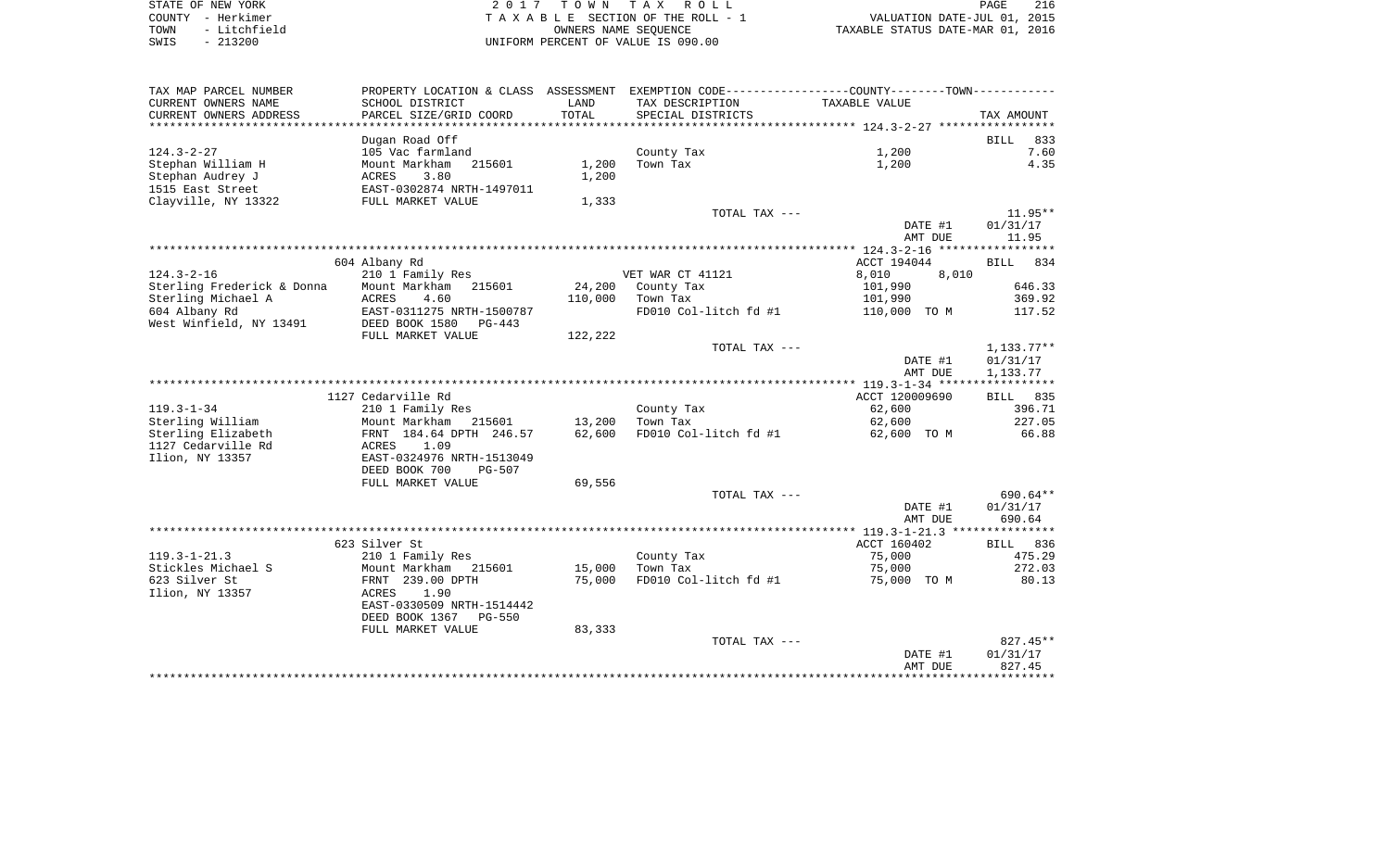|      | STATE OF NEW YORK | 2017 TOWN TAX ROLL                 | PAGE                             | 216 |
|------|-------------------|------------------------------------|----------------------------------|-----|
|      | COUNTY - Herkimer | TAXABLE SECTION OF THE ROLL - 1    | VALUATION DATE-JUL 01, 2015      |     |
| TOWN | - Litchfield      | OWNERS NAME SEOUENCE               | TAXABLE STATUS DATE-MAR 01, 2016 |     |
| SWIS | $-213200$         | UNIFORM PERCENT OF VALUE IS 090.00 |                                  |     |

 $\begin{array}{c} 216 \\ 2015 \\ 2016 \end{array}$ 

| TAX MAP PARCEL NUMBER      |                                 |         | PROPERTY LOCATION & CLASS ASSESSMENT EXEMPTION CODE---------------COUNTY-------TOWN--------- |                |                    |
|----------------------------|---------------------------------|---------|----------------------------------------------------------------------------------------------|----------------|--------------------|
| CURRENT OWNERS NAME        | SCHOOL DISTRICT                 | LAND    | TAX DESCRIPTION                                                                              | TAXABLE VALUE  |                    |
| CURRENT OWNERS ADDRESS     | PARCEL SIZE/GRID COORD          | TOTAL   | SPECIAL DISTRICTS                                                                            |                | TAX AMOUNT         |
|                            |                                 |         |                                                                                              |                |                    |
|                            | Dugan Road Off                  |         |                                                                                              |                | <b>BILL</b><br>833 |
| $124.3 - 2 - 27$           | 105 Vac farmland                |         | County Tax                                                                                   | 1,200          | 7.60               |
| Stephan William H          | Mount Markham<br>215601         | 1,200   | Town Tax                                                                                     | 1,200          | 4.35               |
| Stephan Audrey J           | ACRES<br>3.80                   | 1,200   |                                                                                              |                |                    |
| 1515 East Street           | EAST-0302874 NRTH-1497011       |         |                                                                                              |                |                    |
| Clayville, NY 13322        |                                 |         |                                                                                              |                |                    |
|                            | FULL MARKET VALUE               | 1,333   |                                                                                              |                |                    |
|                            |                                 |         | TOTAL TAX ---                                                                                |                | $11.95**$          |
|                            |                                 |         |                                                                                              | DATE #1        | 01/31/17           |
|                            |                                 |         |                                                                                              | AMT DUE        | 11.95              |
|                            |                                 |         |                                                                                              |                |                    |
|                            | 604 Albany Rd                   |         |                                                                                              | ACCT 194044    | BILL 834           |
| $124.3 - 2 - 16$           | 210 1 Family Res                |         | VET WAR CT 41121                                                                             | 8,010<br>8,010 |                    |
| Sterling Frederick & Donna | Mount Markham<br>215601         | 24,200  | County Tax                                                                                   | 101,990        | 646.33             |
| Sterling Michael A         | 4.60<br>ACRES                   | 110,000 | Town Tax                                                                                     | 101,990        | 369.92             |
| 604 Albany Rd              | EAST-0311275 NRTH-1500787       |         | FD010 Col-litch fd #1                                                                        | 110,000 TO M   | 117.52             |
| West Winfield, NY 13491    | DEED BOOK 1580<br>$PG-443$      |         |                                                                                              |                |                    |
|                            | FULL MARKET VALUE               | 122,222 |                                                                                              |                |                    |
|                            |                                 |         | TOTAL TAX ---                                                                                |                | $1,133.77**$       |
|                            |                                 |         |                                                                                              | DATE #1        | 01/31/17           |
|                            |                                 |         |                                                                                              | AMT DUE        | 1,133.77           |
|                            |                                 |         |                                                                                              |                |                    |
|                            | 1127 Cedarville Rd              |         |                                                                                              | ACCT 120009690 | BILL<br>835        |
| $119.3 - 1 - 34$           | 210 1 Family Res                |         | County Tax                                                                                   | 62,600         | 396.71             |
|                            |                                 |         |                                                                                              |                |                    |
| Sterling William           | Mount Markham<br>215601         | 13,200  | Town Tax                                                                                     | 62,600         | 227.05             |
| Sterling Elizabeth         | FRNT 184.64 DPTH 246.57         | 62,600  | FD010 Col-litch fd #1                                                                        | 62,600 TO M    | 66.88              |
| 1127 Cedarville Rd         | 1.09<br>ACRES                   |         |                                                                                              |                |                    |
| Ilion, NY 13357            | EAST-0324976 NRTH-1513049       |         |                                                                                              |                |                    |
|                            | DEED BOOK 700<br><b>PG-507</b>  |         |                                                                                              |                |                    |
|                            | FULL MARKET VALUE               | 69,556  |                                                                                              |                |                    |
|                            |                                 |         | TOTAL TAX ---                                                                                |                | $690.64**$         |
|                            |                                 |         |                                                                                              | DATE #1        | 01/31/17           |
|                            |                                 |         |                                                                                              | AMT DUE        | 690.64             |
|                            |                                 |         |                                                                                              |                |                    |
|                            | 623 Silver St                   |         |                                                                                              | ACCT 160402    | 836<br>BILL        |
| $119.3 - 1 - 21.3$         | 210 1 Family Res                |         | County Tax                                                                                   | 75,000         | 475.29             |
| Stickles Michael S         | Mount Markham<br>215601         | 15,000  | Town Tax                                                                                     | 75,000         | 272.03             |
| 623 Silver St              | FRNT 239.00 DPTH                | 75,000  | FD010 Col-litch fd #1                                                                        | 75,000 TO M    | 80.13              |
| Ilion, NY 13357            | 1.90<br>ACRES                   |         |                                                                                              |                |                    |
|                            | EAST-0330509 NRTH-1514442       |         |                                                                                              |                |                    |
|                            | DEED BOOK 1367<br><b>PG-550</b> |         |                                                                                              |                |                    |
|                            | FULL MARKET VALUE               | 83,333  |                                                                                              |                |                    |
|                            |                                 |         | TOTAL TAX ---                                                                                |                | $827.45**$         |
|                            |                                 |         |                                                                                              | DATE #1        | 01/31/17           |
|                            |                                 |         |                                                                                              | AMT DUE        | 827.45             |
|                            |                                 |         |                                                                                              |                |                    |
|                            |                                 |         |                                                                                              |                |                    |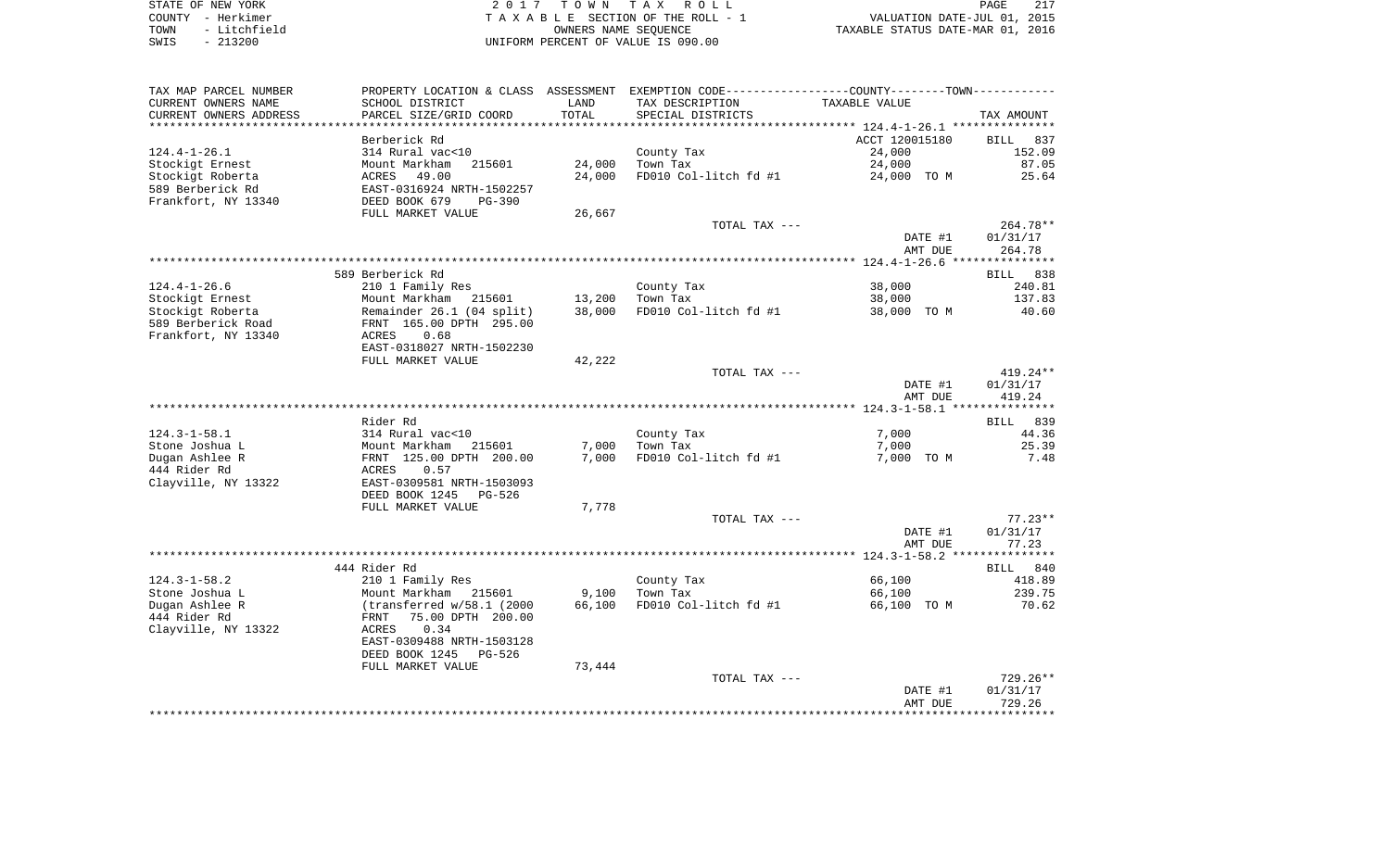| STATE OF NEW YORK    | 2017 TOWN TAX ROLL                 | PAGE                             |
|----------------------|------------------------------------|----------------------------------|
| COUNTY - Herkimer    | TAXABLE SECTION OF THE ROLL - 1    | VALUATION DATE-JUL 01, 2015      |
| - Litchfield<br>TOWN | OWNERS NAME SEOUENCE               | TAXABLE STATUS DATE-MAR 01, 2016 |
| $-213200$<br>SWIS    | UNIFORM PERCENT OF VALUE IS 090.00 |                                  |

| TAX MAP PARCEL NUMBER  |                                 |        |                       | PROPERTY LOCATION & CLASS ASSESSMENT EXEMPTION CODE---------------COUNTY-------TOWN---------- |             |
|------------------------|---------------------------------|--------|-----------------------|-----------------------------------------------------------------------------------------------|-------------|
| CURRENT OWNERS NAME    | SCHOOL DISTRICT                 | LAND   | TAX DESCRIPTION       | TAXABLE VALUE                                                                                 |             |
| CURRENT OWNERS ADDRESS | PARCEL SIZE/GRID COORD          | TOTAL  | SPECIAL DISTRICTS     |                                                                                               | TAX AMOUNT  |
| ********************** | ***********************         |        |                       |                                                                                               |             |
|                        | Berberick Rd                    |        |                       | ACCT 120015180                                                                                | BILL<br>837 |
| $124.4 - 1 - 26.1$     | 314 Rural vac<10                |        | County Tax            | 24,000                                                                                        | 152.09      |
| Stockigt Ernest        | Mount Markham<br>215601         | 24,000 | Town Tax              | 24,000                                                                                        | 87.05       |
| Stockigt Roberta       | ACRES<br>49.00                  | 24,000 | FD010 Col-litch fd #1 | 24,000 TO M                                                                                   | 25.64       |
| 589 Berberick Rd       | EAST-0316924 NRTH-1502257       |        |                       |                                                                                               |             |
| Frankfort, NY 13340    | DEED BOOK 679<br>$PG-390$       |        |                       |                                                                                               |             |
|                        | FULL MARKET VALUE               | 26,667 |                       |                                                                                               | $264.78**$  |
|                        |                                 |        | TOTAL TAX ---         |                                                                                               | 01/31/17    |
|                        |                                 |        |                       | DATE #1<br>AMT DUE                                                                            | 264.78      |
|                        |                                 |        |                       |                                                                                               |             |
|                        | 589 Berberick Rd                |        |                       |                                                                                               | BILL 838    |
| $124.4 - 1 - 26.6$     | 210 1 Family Res                |        | County Tax            | 38,000                                                                                        | 240.81      |
| Stockigt Ernest        | Mount Markham<br>215601         | 13,200 | Town Tax              | 38,000                                                                                        | 137.83      |
| Stockigt Roberta       | Remainder 26.1 (04 split)       | 38,000 | FD010 Col-litch fd #1 | 38,000 TO M                                                                                   | 40.60       |
| 589 Berberick Road     | FRNT 165.00 DPTH 295.00         |        |                       |                                                                                               |             |
| Frankfort, NY 13340    | 0.68<br>ACRES                   |        |                       |                                                                                               |             |
|                        | EAST-0318027 NRTH-1502230       |        |                       |                                                                                               |             |
|                        | FULL MARKET VALUE               | 42,222 |                       |                                                                                               |             |
|                        |                                 |        | TOTAL TAX ---         |                                                                                               | $419.24**$  |
|                        |                                 |        |                       | DATE #1                                                                                       | 01/31/17    |
|                        |                                 |        |                       | AMT DUE                                                                                       | 419.24      |
|                        |                                 |        |                       |                                                                                               |             |
|                        | Rider Rd                        |        |                       |                                                                                               | BILL 839    |
| $124.3 - 1 - 58.1$     | 314 Rural vac<10                |        | County Tax            | 7,000                                                                                         | 44.36       |
| Stone Joshua L         | Mount Markham<br>215601         | 7,000  | Town Tax              | 7,000                                                                                         | 25.39       |
| Dugan Ashlee R         | FRNT 125.00 DPTH 200.00         | 7,000  | FD010 Col-litch fd #1 | 7,000 TO M                                                                                    | 7.48        |
| 444 Rider Rd           | ACRES<br>0.57                   |        |                       |                                                                                               |             |
| Clayville, NY 13322    | EAST-0309581 NRTH-1503093       |        |                       |                                                                                               |             |
|                        | DEED BOOK 1245<br><b>PG-526</b> |        |                       |                                                                                               |             |
|                        | FULL MARKET VALUE               | 7,778  | TOTAL TAX ---         |                                                                                               | $77.23**$   |
|                        |                                 |        |                       | DATE #1                                                                                       | 01/31/17    |
|                        |                                 |        |                       | AMT DUE                                                                                       | 77.23       |
|                        |                                 |        |                       |                                                                                               |             |
|                        | 444 Rider Rd                    |        |                       |                                                                                               | BILL 840    |
| $124.3 - 1 - 58.2$     | 210 1 Family Res                |        | County Tax            | 66,100                                                                                        | 418.89      |
| Stone Joshua L         | Mount Markham 215601            | 9,100  | Town Tax              | 66,100                                                                                        | 239.75      |
| Dugan Ashlee R         | (transferred $w/58.1$ (2000)    | 66,100 | FD010 Col-litch fd #1 | 66,100 TO M                                                                                   | 70.62       |
| 444 Rider Rd           | 75.00 DPTH 200.00<br>FRNT       |        |                       |                                                                                               |             |
| Clayville, NY 13322    | 0.34<br>ACRES                   |        |                       |                                                                                               |             |
|                        | EAST-0309488 NRTH-1503128       |        |                       |                                                                                               |             |
|                        | DEED BOOK 1245<br>PG-526        |        |                       |                                                                                               |             |
|                        | FULL MARKET VALUE               | 73,444 |                       |                                                                                               |             |
|                        |                                 |        | TOTAL TAX ---         |                                                                                               | $729.26**$  |
|                        |                                 |        |                       | DATE #1                                                                                       | 01/31/17    |
|                        |                                 |        |                       | AMT DUE                                                                                       | 729.26      |
|                        |                                 |        |                       |                                                                                               |             |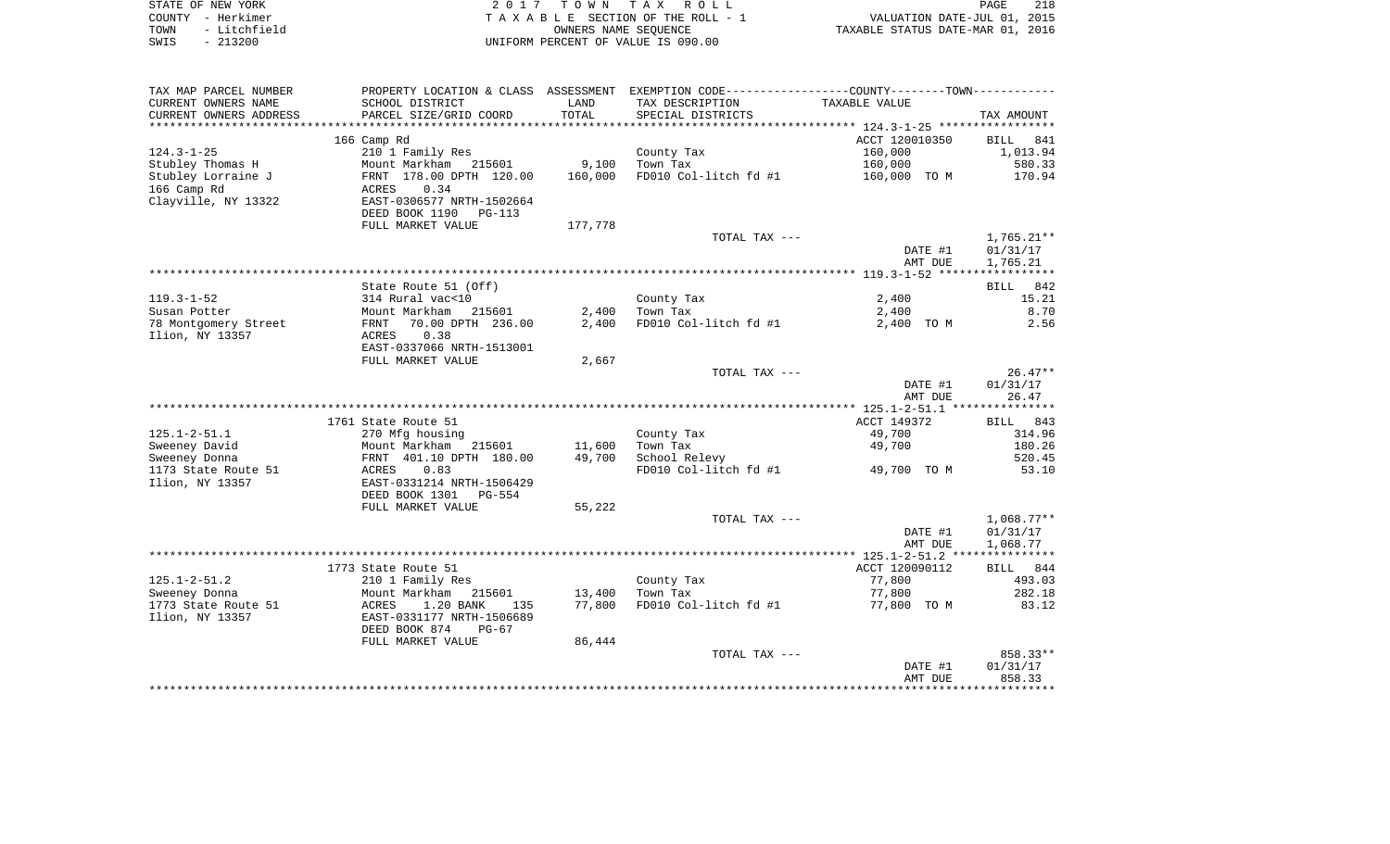|      | STATE OF NEW YORK | 2017 TOWN TAX ROLL                 | PAGE                             | 218 |
|------|-------------------|------------------------------------|----------------------------------|-----|
|      | COUNTY - Herkimer | TAXABLE SECTION OF THE ROLL - 1    | VALUATION DATE-JUL 01, 2015      |     |
|      | TOWN - Litchfield | OWNERS NAME SEOUENCE               | TAXABLE STATUS DATE-MAR 01, 2016 |     |
| SWIS | - 213200          | UNIFORM PERCENT OF VALUE IS 090.00 |                                  |     |

| $125.1 - 2 - 51.1$<br>Sweeney David<br>Sweeney Donna<br>1173 State Route 51<br>Ilion, NY 13357<br>$125.1 - 2 - 51.2$<br>Sweeney Donna<br>1773 State Route 51<br>Ilion, NY 13357 | 270 Mfg housing<br>Mount Markham<br>215601<br>FRNT 401.10 DPTH 180.00<br>0.83<br>ACRES<br>EAST-0331214 NRTH-1506429<br>DEED BOOK 1301<br>$PG-554$<br>FULL MARKET VALUE<br>1773 State Route 51<br>210 1 Family Res<br>Mount Markham<br>215601<br>ACRES<br>1.20 BANK<br>135<br>EAST-0331177 NRTH-1506689<br>DEED BOOK 874<br>$PG-67$<br>FULL MARKET VALUE | 11,600<br>49,700<br>55,222<br>13,400<br>77,800<br>86,444 | County Tax<br>Town Tax<br>School Relevy<br>FD010 Col-litch fd #1<br>TOTAL TAX ---<br>County Tax<br>Town Tax<br>FD010 Col-litch fd #1<br>TOTAL TAX --- | 49,700<br>49,700<br>49,700 TO M<br>DATE #1<br>AMT DUE<br>ACCT 120090112<br>77,800<br>77,800<br>77,800 TO M<br>DATE #1<br>AMT DUE | 314.96<br>180.26<br>520.45<br>53.10<br>$1,068.77**$<br>01/31/17<br>1,068.77<br>BILL 844<br>493.03<br>282.18<br>83.12<br>858.33**<br>01/31/17<br>858.33 |
|---------------------------------------------------------------------------------------------------------------------------------------------------------------------------------|---------------------------------------------------------------------------------------------------------------------------------------------------------------------------------------------------------------------------------------------------------------------------------------------------------------------------------------------------------|----------------------------------------------------------|-------------------------------------------------------------------------------------------------------------------------------------------------------|----------------------------------------------------------------------------------------------------------------------------------|--------------------------------------------------------------------------------------------------------------------------------------------------------|
|                                                                                                                                                                                 |                                                                                                                                                                                                                                                                                                                                                         |                                                          |                                                                                                                                                       |                                                                                                                                  |                                                                                                                                                        |
|                                                                                                                                                                                 |                                                                                                                                                                                                                                                                                                                                                         |                                                          |                                                                                                                                                       |                                                                                                                                  |                                                                                                                                                        |
|                                                                                                                                                                                 |                                                                                                                                                                                                                                                                                                                                                         |                                                          |                                                                                                                                                       |                                                                                                                                  |                                                                                                                                                        |
|                                                                                                                                                                                 |                                                                                                                                                                                                                                                                                                                                                         |                                                          |                                                                                                                                                       |                                                                                                                                  |                                                                                                                                                        |
|                                                                                                                                                                                 |                                                                                                                                                                                                                                                                                                                                                         |                                                          |                                                                                                                                                       |                                                                                                                                  |                                                                                                                                                        |
|                                                                                                                                                                                 |                                                                                                                                                                                                                                                                                                                                                         |                                                          |                                                                                                                                                       |                                                                                                                                  |                                                                                                                                                        |
|                                                                                                                                                                                 |                                                                                                                                                                                                                                                                                                                                                         |                                                          |                                                                                                                                                       |                                                                                                                                  |                                                                                                                                                        |
|                                                                                                                                                                                 |                                                                                                                                                                                                                                                                                                                                                         |                                                          |                                                                                                                                                       |                                                                                                                                  |                                                                                                                                                        |
|                                                                                                                                                                                 |                                                                                                                                                                                                                                                                                                                                                         |                                                          |                                                                                                                                                       |                                                                                                                                  |                                                                                                                                                        |
|                                                                                                                                                                                 |                                                                                                                                                                                                                                                                                                                                                         |                                                          |                                                                                                                                                       |                                                                                                                                  |                                                                                                                                                        |
|                                                                                                                                                                                 |                                                                                                                                                                                                                                                                                                                                                         |                                                          |                                                                                                                                                       |                                                                                                                                  |                                                                                                                                                        |
|                                                                                                                                                                                 |                                                                                                                                                                                                                                                                                                                                                         |                                                          |                                                                                                                                                       |                                                                                                                                  |                                                                                                                                                        |
|                                                                                                                                                                                 |                                                                                                                                                                                                                                                                                                                                                         |                                                          |                                                                                                                                                       |                                                                                                                                  |                                                                                                                                                        |
|                                                                                                                                                                                 |                                                                                                                                                                                                                                                                                                                                                         |                                                          |                                                                                                                                                       |                                                                                                                                  |                                                                                                                                                        |
|                                                                                                                                                                                 |                                                                                                                                                                                                                                                                                                                                                         |                                                          |                                                                                                                                                       |                                                                                                                                  |                                                                                                                                                        |
|                                                                                                                                                                                 |                                                                                                                                                                                                                                                                                                                                                         |                                                          |                                                                                                                                                       |                                                                                                                                  |                                                                                                                                                        |
|                                                                                                                                                                                 |                                                                                                                                                                                                                                                                                                                                                         |                                                          |                                                                                                                                                       |                                                                                                                                  |                                                                                                                                                        |
|                                                                                                                                                                                 |                                                                                                                                                                                                                                                                                                                                                         |                                                          |                                                                                                                                                       |                                                                                                                                  |                                                                                                                                                        |
|                                                                                                                                                                                 |                                                                                                                                                                                                                                                                                                                                                         |                                                          |                                                                                                                                                       |                                                                                                                                  |                                                                                                                                                        |
|                                                                                                                                                                                 |                                                                                                                                                                                                                                                                                                                                                         |                                                          |                                                                                                                                                       |                                                                                                                                  |                                                                                                                                                        |
|                                                                                                                                                                                 | 1761 State Route 51                                                                                                                                                                                                                                                                                                                                     |                                                          |                                                                                                                                                       | ACCT 149372                                                                                                                      | BILL 843                                                                                                                                               |
|                                                                                                                                                                                 |                                                                                                                                                                                                                                                                                                                                                         |                                                          |                                                                                                                                                       |                                                                                                                                  |                                                                                                                                                        |
|                                                                                                                                                                                 |                                                                                                                                                                                                                                                                                                                                                         |                                                          |                                                                                                                                                       | AMT DUE                                                                                                                          | 26.47                                                                                                                                                  |
|                                                                                                                                                                                 |                                                                                                                                                                                                                                                                                                                                                         |                                                          |                                                                                                                                                       | DATE #1                                                                                                                          | 01/31/17                                                                                                                                               |
|                                                                                                                                                                                 |                                                                                                                                                                                                                                                                                                                                                         |                                                          | TOTAL TAX ---                                                                                                                                         |                                                                                                                                  | $26.47**$                                                                                                                                              |
|                                                                                                                                                                                 | FULL MARKET VALUE                                                                                                                                                                                                                                                                                                                                       | 2,667                                                    |                                                                                                                                                       |                                                                                                                                  |                                                                                                                                                        |
|                                                                                                                                                                                 | EAST-0337066 NRTH-1513001                                                                                                                                                                                                                                                                                                                               |                                                          |                                                                                                                                                       |                                                                                                                                  |                                                                                                                                                        |
| Ilion, NY 13357                                                                                                                                                                 | 0.38<br>ACRES                                                                                                                                                                                                                                                                                                                                           |                                                          |                                                                                                                                                       |                                                                                                                                  |                                                                                                                                                        |
| 78 Montgomery Street                                                                                                                                                            | 70.00 DPTH 236.00<br>FRNT                                                                                                                                                                                                                                                                                                                               | 2,400                                                    | FD010 Col-litch fd #1                                                                                                                                 | 2,400 TO M                                                                                                                       | 2.56                                                                                                                                                   |
| Susan Potter                                                                                                                                                                    | Mount Markham<br>215601                                                                                                                                                                                                                                                                                                                                 | 2,400                                                    | Town Tax                                                                                                                                              | 2,400                                                                                                                            | 8.70                                                                                                                                                   |
| $119.3 - 1 - 52$                                                                                                                                                                | 314 Rural vac<10                                                                                                                                                                                                                                                                                                                                        |                                                          | County Tax                                                                                                                                            | 2,400                                                                                                                            | 15.21                                                                                                                                                  |
|                                                                                                                                                                                 | State Route 51 (Off)                                                                                                                                                                                                                                                                                                                                    |                                                          |                                                                                                                                                       |                                                                                                                                  | BILL 842                                                                                                                                               |
|                                                                                                                                                                                 |                                                                                                                                                                                                                                                                                                                                                         |                                                          |                                                                                                                                                       |                                                                                                                                  |                                                                                                                                                        |
|                                                                                                                                                                                 |                                                                                                                                                                                                                                                                                                                                                         |                                                          |                                                                                                                                                       | AMT DUE                                                                                                                          | 1,765.21                                                                                                                                               |
|                                                                                                                                                                                 |                                                                                                                                                                                                                                                                                                                                                         |                                                          |                                                                                                                                                       | DATE #1                                                                                                                          | 01/31/17                                                                                                                                               |
|                                                                                                                                                                                 |                                                                                                                                                                                                                                                                                                                                                         |                                                          | TOTAL TAX ---                                                                                                                                         |                                                                                                                                  | $1,765.21**$                                                                                                                                           |
|                                                                                                                                                                                 | FULL MARKET VALUE                                                                                                                                                                                                                                                                                                                                       | 177,778                                                  |                                                                                                                                                       |                                                                                                                                  |                                                                                                                                                        |
|                                                                                                                                                                                 | DEED BOOK 1190<br>PG-113                                                                                                                                                                                                                                                                                                                                |                                                          |                                                                                                                                                       |                                                                                                                                  |                                                                                                                                                        |
| 166 Camp Rd<br>Clayville, NY 13322                                                                                                                                              | 0.34<br>ACRES<br>EAST-0306577 NRTH-1502664                                                                                                                                                                                                                                                                                                              |                                                          |                                                                                                                                                       |                                                                                                                                  |                                                                                                                                                        |
| Stubley Lorraine J                                                                                                                                                              | FRNT 178.00 DPTH 120.00                                                                                                                                                                                                                                                                                                                                 | 160,000                                                  | FD010 Col-litch fd #1                                                                                                                                 | 160,000 TO M                                                                                                                     | 170.94                                                                                                                                                 |
| Stubley Thomas H                                                                                                                                                                | Mount Markham 215601                                                                                                                                                                                                                                                                                                                                    | 9,100                                                    | Town Tax                                                                                                                                              | 160,000                                                                                                                          | 580.33                                                                                                                                                 |
| $124.3 - 1 - 25$                                                                                                                                                                | 210 1 Family Res                                                                                                                                                                                                                                                                                                                                        |                                                          | County Tax                                                                                                                                            | 160,000                                                                                                                          | 1,013.94                                                                                                                                               |
|                                                                                                                                                                                 | 166 Camp Rd                                                                                                                                                                                                                                                                                                                                             |                                                          |                                                                                                                                                       | ACCT 120010350                                                                                                                   | BILL 841                                                                                                                                               |
|                                                                                                                                                                                 |                                                                                                                                                                                                                                                                                                                                                         |                                                          |                                                                                                                                                       |                                                                                                                                  |                                                                                                                                                        |
|                                                                                                                                                                                 | PARCEL SIZE/GRID COORD                                                                                                                                                                                                                                                                                                                                  | TOTAL                                                    | SPECIAL DISTRICTS                                                                                                                                     |                                                                                                                                  | TAX AMOUNT                                                                                                                                             |
| **********************                                                                                                                                                          |                                                                                                                                                                                                                                                                                                                                                         |                                                          | TAX DESCRIPTION                                                                                                                                       | TAXABLE VALUE                                                                                                                    |                                                                                                                                                        |
| CURRENT OWNERS NAME<br>CURRENT OWNERS ADDRESS                                                                                                                                   | SCHOOL DISTRICT                                                                                                                                                                                                                                                                                                                                         | LAND                                                     |                                                                                                                                                       |                                                                                                                                  |                                                                                                                                                        |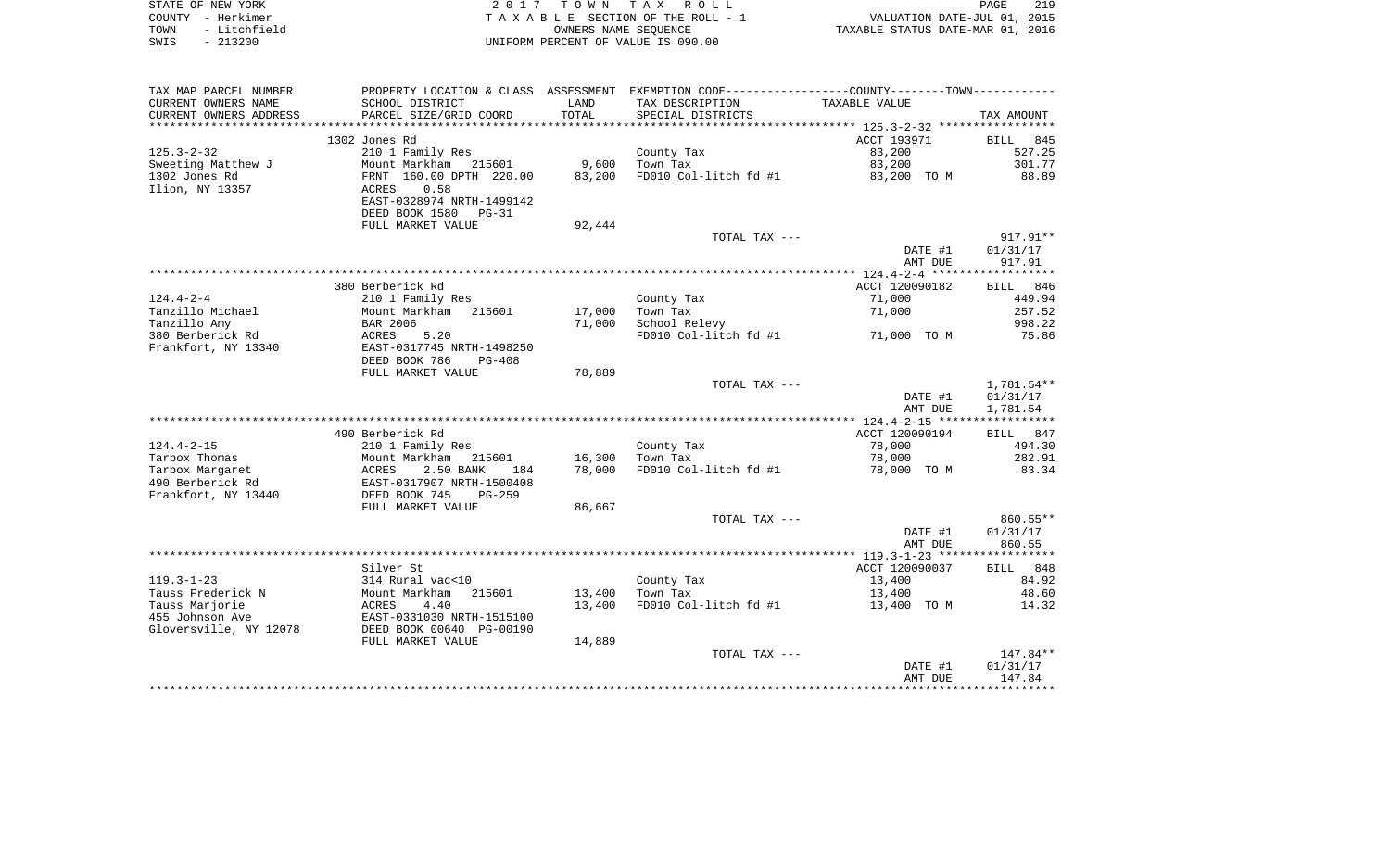|      | STATE OF NEW YORK | 2017 TOWN TAX ROLL                 | 219<br>PAGE                      |
|------|-------------------|------------------------------------|----------------------------------|
|      | COUNTY - Herkimer | TAXABLE SECTION OF THE ROLL - 1    | VALUATION DATE-JUL 01, 2015      |
| TOWN | - Litchfield      | OWNERS NAME SEOUENCE               | TAXABLE STATUS DATE-MAR 01, 2016 |
| SWIS | - 213200          | UNIFORM PERCENT OF VALUE IS 090.00 |                                  |

| TAX MAP PARCEL NUMBER                             | PROPERTY LOCATION & CLASS ASSESSMENT EXEMPTION CODE----------------COUNTY--------TOWN---------- |        |                                         |                          |                      |
|---------------------------------------------------|-------------------------------------------------------------------------------------------------|--------|-----------------------------------------|--------------------------|----------------------|
| CURRENT OWNERS NAME                               | SCHOOL DISTRICT                                                                                 | LAND   | TAX DESCRIPTION TAXABLE VALUE           |                          |                      |
| CURRENT OWNERS ADDRESS                            | PARCEL SIZE/GRID COORD                                                                          | TOTAL  | SPECIAL DISTRICTS                       |                          | TAX AMOUNT           |
|                                                   |                                                                                                 |        |                                         |                          |                      |
|                                                   | 1302 Jones Rd                                                                                   |        |                                         | ACCT 193971 BILL 845     |                      |
| $125.3 - 2 - 32$                                  |                                                                                                 |        | County Tax                              | 83,200                   | 527.25               |
| 125.5 2 51<br>Sweeting Matthew J<br>1202 Jones Rd |                                                                                                 |        | Town Tax                                | 83,200                   | 301.77               |
|                                                   | 210 1 Family Res<br>Mount Markham 215601 9,600<br>FRNT 160.00 DPTH 220.00 83,200<br>ACRES 0.58  |        | FD010 Col-litch fd #1 83,200 TO M 88.89 |                          |                      |
| Ilion, NY 13357                                   |                                                                                                 |        |                                         |                          |                      |
|                                                   | EAST-0328974 NRTH-1499142                                                                       |        |                                         |                          |                      |
|                                                   | DEED BOOK 1580 PG-31<br>FULL MARKET VALUE                                                       | 92,444 |                                         |                          |                      |
|                                                   |                                                                                                 |        | TOTAL TAX ---                           |                          | 917.91**             |
|                                                   |                                                                                                 |        |                                         | DATE #1                  | 01/31/17             |
|                                                   |                                                                                                 |        |                                         | AMT DUE                  | 917.91               |
|                                                   |                                                                                                 |        |                                         |                          |                      |
|                                                   | 380 Berberick Rd                                                                                |        |                                         | ACCT 120090182           | BILL 846             |
| $124.4 - 2 - 4$                                   | 210 1 Family Res                                                                                |        | County Tax                              | 71,000                   | 449.94               |
|                                                   |                                                                                                 |        | 17,000 Town Tax                         | 71,000                   | 257.52               |
|                                                   |                                                                                                 | 71,000 | School Relevy                           |                          | 998.22               |
|                                                   |                                                                                                 |        | FD010 Col-litch fd #1 71,000 TO M       |                          | 75.86                |
|                                                   | Frankfort, NY 13340 EAST-0317745 NRTH-1498250                                                   |        |                                         |                          |                      |
|                                                   | DEED BOOK 786<br>PG-408                                                                         |        |                                         |                          |                      |
|                                                   | FULL MARKET VALUE                                                                               | 78,889 |                                         |                          |                      |
|                                                   |                                                                                                 |        | TOTAL TAX ---                           |                          | 1,781.54**           |
|                                                   |                                                                                                 |        |                                         | DATE #1<br>AMT DUE       | 01/31/17<br>1,781.54 |
|                                                   |                                                                                                 |        |                                         |                          |                      |
|                                                   | 490 Berberick Rd                                                                                |        |                                         | ACCT 120090194           | BILL 847             |
| $124.4 - 2 - 15$                                  | 210 1 Family Res                                                                                |        | County Tax                              | 78,000                   | 494.30               |
|                                                   |                                                                                                 |        | Town Tax                                | 78,000                   | 282.91               |
|                                                   |                                                                                                 |        | 78,000 FD010 Col-litch fd #1            | 78,000 TO M              | 83.34                |
|                                                   |                                                                                                 |        |                                         |                          |                      |
|                                                   |                                                                                                 |        |                                         |                          |                      |
|                                                   | FULL MARKET VALUE                                                                               | 86,667 |                                         |                          |                      |
|                                                   |                                                                                                 |        | TOTAL TAX ---                           |                          | 860.55**             |
|                                                   |                                                                                                 |        |                                         | DATE #1                  | 01/31/17             |
|                                                   |                                                                                                 |        |                                         | AMT DUE                  | 860.55               |
|                                                   |                                                                                                 |        |                                         |                          |                      |
| 119.3-1-23                                        | Silver St                                                                                       |        |                                         | ACCT 120090037<br>13,400 | BILL 848<br>84.92    |
| 119.3-1-23<br>Tauss Frederick N                   | 314 Rural vac<10<br>Mount Markham 215601                                                        | 13,400 | County Tax<br>Town Tax                  | 13,400                   | 48.60                |
| Tauss Marjorie                                    |                                                                                                 | 13,400 | FD010 Col-litch fd $#1$ 13,400 TO M     |                          | 14.32                |
| 455 Johnson Ave                                   | ACRES 4.40<br>EAST-0331030 NRTH-1515100                                                         |        |                                         |                          |                      |
|                                                   | Gloversville, NY 12078 DEED BOOK 00640 PG-00190                                                 |        |                                         |                          |                      |
|                                                   | FULL MARKET VALUE                                                                               | 14,889 |                                         |                          |                      |
|                                                   |                                                                                                 |        | TOTAL TAX ---                           |                          | 147.84**             |
|                                                   |                                                                                                 |        |                                         | DATE #1                  | 01/31/17             |
|                                                   |                                                                                                 |        |                                         | AMT DUE                  | 147.84               |
|                                                   |                                                                                                 |        |                                         |                          |                      |
|                                                   |                                                                                                 |        |                                         |                          |                      |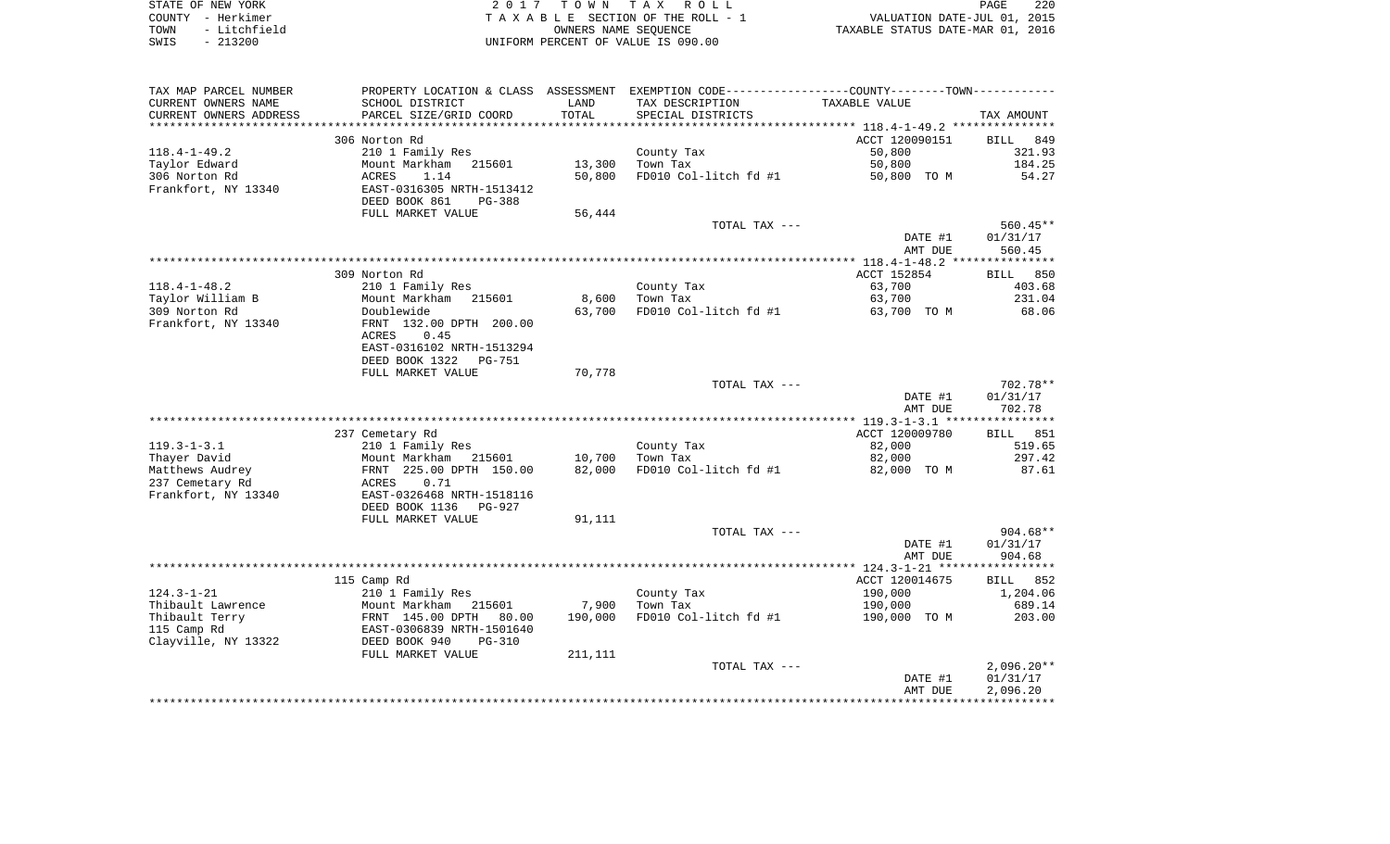| STATE OF NEW YORK    | 2017 TOWN TAX ROLL                 | 220<br>PAGE                      |
|----------------------|------------------------------------|----------------------------------|
| COUNTY - Herkimer    | TAXABLE SECTION OF THE ROLL - 1    | VALUATION DATE-JUL 01, 2015      |
| - Litchfield<br>TOWN | OWNERS NAME SEOUENCE               | TAXABLE STATUS DATE-MAR 01, 2016 |
| $-213200$<br>SWIS    | UNIFORM PERCENT OF VALUE IS 090.00 |                                  |

| TAX MAP PARCEL NUMBER   |                           |         | PROPERTY LOCATION & CLASS ASSESSMENT EXEMPTION CODE---------------COUNTY-------TOWN---------- |                |                    |
|-------------------------|---------------------------|---------|-----------------------------------------------------------------------------------------------|----------------|--------------------|
| CURRENT OWNERS NAME     | SCHOOL DISTRICT           | LAND    | TAX DESCRIPTION                                                                               | TAXABLE VALUE  |                    |
| CURRENT OWNERS ADDRESS  | PARCEL SIZE/GRID COORD    | TOTAL   | SPECIAL DISTRICTS                                                                             |                | TAX AMOUNT         |
| *********************** |                           |         |                                                                                               |                |                    |
|                         | 306 Norton Rd             |         |                                                                                               | ACCT 120090151 | <b>BILL</b><br>849 |
| $118.4 - 1 - 49.2$      | 210 1 Family Res          |         | County Tax                                                                                    | 50,800         | 321.93             |
| Taylor Edward           | Mount Markham 215601      | 13,300  | Town Tax                                                                                      | 50,800         | 184.25             |
| 306 Norton Rd           | ACRES<br>1.14             | 50,800  | FD010 Col-litch fd #1                                                                         | 50,800 TO M    | 54.27              |
| Frankfort, NY 13340     | EAST-0316305 NRTH-1513412 |         |                                                                                               |                |                    |
|                         | DEED BOOK 861<br>PG-388   |         |                                                                                               |                |                    |
|                         | FULL MARKET VALUE         | 56,444  | TOTAL TAX ---                                                                                 |                | $560.45**$         |
|                         |                           |         |                                                                                               | DATE #1        | 01/31/17           |
|                         |                           |         |                                                                                               | AMT DUE        | 560.45             |
|                         |                           |         |                                                                                               |                |                    |
|                         | 309 Norton Rd             |         |                                                                                               | ACCT 152854    | BILL 850           |
| $118.4 - 1 - 48.2$      | 210 1 Family Res          |         | County Tax                                                                                    | 63,700         | 403.68             |
| Taylor William B        | Mount Markham 215601      | 8,600   | Town Tax                                                                                      | 63,700         | 231.04             |
| 309 Norton Rd           | Doublewide                | 63,700  | FD010 Col-litch fd #1                                                                         | 63,700 TO M    | 68.06              |
| Frankfort, NY 13340     | FRNT 132.00 DPTH 200.00   |         |                                                                                               |                |                    |
|                         | ACRES<br>0.45             |         |                                                                                               |                |                    |
|                         | EAST-0316102 NRTH-1513294 |         |                                                                                               |                |                    |
|                         | DEED BOOK 1322<br>PG-751  |         |                                                                                               |                |                    |
|                         | FULL MARKET VALUE         | 70,778  |                                                                                               |                |                    |
|                         |                           |         | TOTAL TAX ---                                                                                 |                | 702.78**           |
|                         |                           |         |                                                                                               | DATE #1        | 01/31/17           |
|                         |                           |         |                                                                                               | AMT DUE        | 702.78             |
|                         |                           |         |                                                                                               |                |                    |
|                         | 237 Cemetary Rd           |         |                                                                                               | ACCT 120009780 | BILL 851           |
| $119.3 - 1 - 3.1$       | 210 1 Family Res          |         | County Tax                                                                                    | 82,000         | 519.65             |
| Thayer David            | Mount Markham 215601      | 10,700  | Town Tax                                                                                      | 82,000         | 297.42             |
| Matthews Audrey         | FRNT 225.00 DPTH 150.00   | 82,000  | FD010 Col-litch fd #1                                                                         | 82,000 TO M    | 87.61              |
| 237 Cemetary Rd         | 0.71<br>ACRES             |         |                                                                                               |                |                    |
| Frankfort, NY 13340     | EAST-0326468 NRTH-1518116 |         |                                                                                               |                |                    |
|                         | DEED BOOK 1136<br>PG-927  |         |                                                                                               |                |                    |
|                         | FULL MARKET VALUE         | 91,111  |                                                                                               |                |                    |
|                         |                           |         | TOTAL TAX ---                                                                                 |                | $904.68**$         |
|                         |                           |         |                                                                                               | DATE #1        | 01/31/17           |
|                         |                           |         |                                                                                               | AMT DUE        | 904.68             |
|                         | 115 Camp Rd               |         |                                                                                               | ACCT 120014675 | BILL 852           |
| $124.3 - 1 - 21$        | 210 1 Family Res          |         | County Tax                                                                                    | 190,000        | 1,204.06           |
| Thibault Lawrence       | Mount Markham 215601      | 7,900   | Town Tax                                                                                      | 190,000        | 689.14             |
| Thibault Terry          | FRNT 145.00 DPTH<br>80.00 | 190,000 | FD010 Col-litch fd #1                                                                         | 190,000 TO M   | 203.00             |
| 115 Camp Rd             | EAST-0306839 NRTH-1501640 |         |                                                                                               |                |                    |
| Clayville, NY 13322     | DEED BOOK 940<br>$PG-310$ |         |                                                                                               |                |                    |
|                         | FULL MARKET VALUE         | 211,111 |                                                                                               |                |                    |
|                         |                           |         | TOTAL TAX ---                                                                                 |                | $2,096.20**$       |
|                         |                           |         |                                                                                               | DATE #1        | 01/31/17           |
|                         |                           |         |                                                                                               | AMT DUE        | 2,096.20           |
|                         |                           |         |                                                                                               |                |                    |
|                         |                           |         |                                                                                               |                |                    |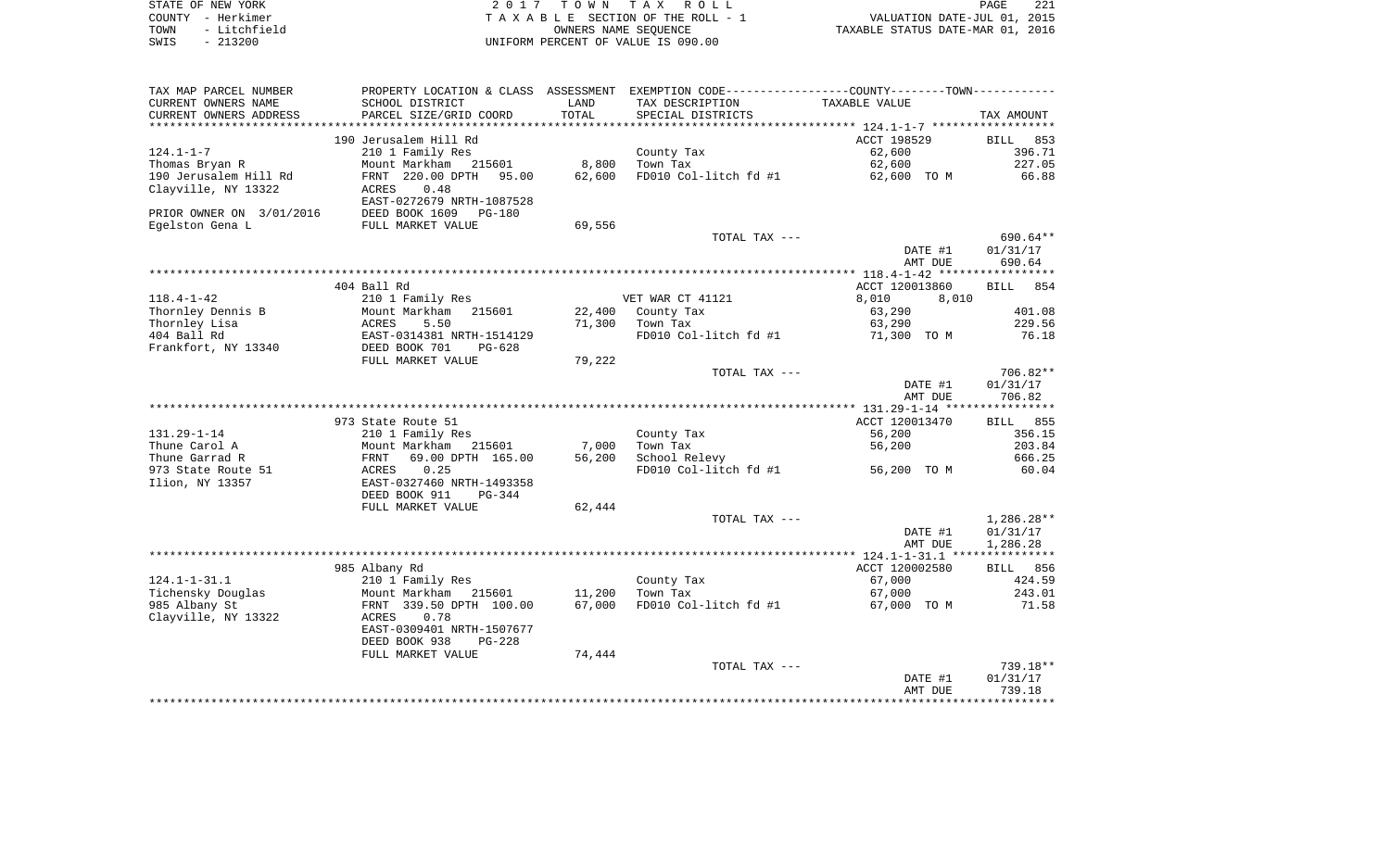| STATE OF NEW YORK    | 2017 TOWN TAX ROLL                 | 221<br>PAGE                      |
|----------------------|------------------------------------|----------------------------------|
| COUNTY - Herkimer    | TAXABLE SECTION OF THE ROLL - 1    | VALUATION DATE-JUL 01, 2015      |
| - Litchfield<br>TOWN | OWNERS NAME SEOUENCE               | TAXABLE STATUS DATE-MAR 01, 2016 |
| $-213200$<br>SWIS    | UNIFORM PERCENT OF VALUE IS 090.00 |                                  |

| TAX MAP PARCEL NUMBER<br>CURRENT OWNERS NAME      | PROPERTY LOCATION & CLASS ASSESSMENT<br>SCHOOL DISTRICT | LAND   | EXEMPTION CODE-----------------COUNTY-------TOWN-----------<br>TAX DESCRIPTION | TAXABLE VALUE  |                    |
|---------------------------------------------------|---------------------------------------------------------|--------|--------------------------------------------------------------------------------|----------------|--------------------|
| CURRENT OWNERS ADDRESS<br>*********************** | PARCEL SIZE/GRID COORD                                  | TOTAL  | SPECIAL DISTRICTS                                                              |                | TAX AMOUNT         |
|                                                   | 190 Jerusalem Hill Rd                                   |        |                                                                                | ACCT 198529    | <b>BILL</b><br>853 |
| $124.1 - 1 - 7$                                   | 210 1 Family Res                                        |        | County Tax                                                                     | 62,600         | 396.71             |
| Thomas Bryan R                                    | Mount Markham 215601                                    | 8,800  | Town Tax                                                                       | 62,600         | 227.05             |
| 190 Jerusalem Hill Rd                             | FRNT 220.00 DPTH<br>95.00                               | 62,600 | FD010 Col-litch fd #1                                                          | 62,600 TO M    | 66.88              |
| Clayville, NY 13322                               | ACRES<br>0.48                                           |        |                                                                                |                |                    |
|                                                   | EAST-0272679 NRTH-1087528                               |        |                                                                                |                |                    |
| PRIOR OWNER ON 3/01/2016                          | DEED BOOK 1609<br><b>PG-180</b>                         |        |                                                                                |                |                    |
| Egelston Gena L                                   | FULL MARKET VALUE                                       | 69,556 |                                                                                |                |                    |
|                                                   |                                                         |        | TOTAL TAX ---                                                                  |                | 690.64**           |
|                                                   |                                                         |        |                                                                                | DATE #1        | 01/31/17           |
|                                                   |                                                         |        |                                                                                | AMT DUE        | 690.64             |
|                                                   |                                                         |        |                                                                                |                |                    |
|                                                   | 404 Ball Rd                                             |        |                                                                                | ACCT 120013860 | <b>BILL</b><br>854 |
| $118.4 - 1 - 42$                                  | 210 1 Family Res                                        |        | VET WAR CT 41121                                                               | 8,010<br>8,010 |                    |
| Thornley Dennis B                                 | Mount Markham<br>215601                                 | 22,400 | County Tax                                                                     | 63,290         | 401.08             |
| Thornley Lisa                                     | ACRES<br>5.50                                           | 71,300 | Town Tax                                                                       | 63,290         | 229.56             |
| 404 Ball Rd                                       | EAST-0314381 NRTH-1514129                               |        | FD010 Col-litch fd #1                                                          | 71,300 TO M    | 76.18              |
| Frankfort, NY 13340                               | DEED BOOK 701<br>$PG-628$                               |        |                                                                                |                |                    |
|                                                   | FULL MARKET VALUE                                       | 79,222 |                                                                                |                |                    |
|                                                   |                                                         |        | TOTAL TAX ---                                                                  |                | 706.82**           |
|                                                   |                                                         |        |                                                                                | DATE #1        | 01/31/17           |
|                                                   |                                                         |        |                                                                                | AMT DUE        | 706.82             |
|                                                   | 973 State Route 51                                      |        |                                                                                | ACCT 120013470 | BILL 855           |
| $131.29 - 1 - 14$                                 | 210 1 Family Res                                        |        | County Tax                                                                     | 56,200         | 356.15             |
| Thune Carol A                                     | Mount Markham<br>215601                                 | 7,000  | Town Tax                                                                       | 56,200         | 203.84             |
| Thune Garrad R                                    | 69.00 DPTH 165.00<br>FRNT                               | 56,200 | School Relevy                                                                  |                | 666.25             |
| 973 State Route 51                                | 0.25<br>ACRES                                           |        | FD010 Col-litch fd #1                                                          | 56,200 TO M    | 60.04              |
| Ilion, NY 13357                                   | EAST-0327460 NRTH-1493358                               |        |                                                                                |                |                    |
|                                                   | DEED BOOK 911<br>$PG-344$                               |        |                                                                                |                |                    |
|                                                   | FULL MARKET VALUE                                       | 62,444 |                                                                                |                |                    |
|                                                   |                                                         |        | TOTAL TAX ---                                                                  |                | 1,286.28**         |
|                                                   |                                                         |        |                                                                                | DATE #1        | 01/31/17           |
|                                                   |                                                         |        |                                                                                | AMT DUE        | 1,286.28           |
|                                                   |                                                         |        |                                                                                |                |                    |
|                                                   | 985 Albany Rd                                           |        |                                                                                | ACCT 120002580 | BILL 856           |
| $124.1 - 1 - 31.1$                                | 210 1 Family Res                                        |        | County Tax                                                                     | 67,000         | 424.59             |
| Tichensky Douglas                                 | Mount Markham<br>215601                                 | 11,200 | Town Tax                                                                       | 67,000         | 243.01             |
| 985 Albany St                                     | FRNT 339.50 DPTH 100.00                                 | 67,000 | FD010 Col-litch fd #1                                                          | 67,000 TO M    | 71.58              |
| Clayville, NY 13322                               | 0.78<br>ACRES                                           |        |                                                                                |                |                    |
|                                                   | EAST-0309401 NRTH-1507677                               |        |                                                                                |                |                    |
|                                                   | DEED BOOK 938<br><b>PG-228</b>                          |        |                                                                                |                |                    |
|                                                   | FULL MARKET VALUE                                       | 74,444 |                                                                                |                |                    |
|                                                   |                                                         |        | TOTAL TAX ---                                                                  |                | 739.18**           |
|                                                   |                                                         |        |                                                                                | DATE #1        | 01/31/17           |
|                                                   |                                                         |        |                                                                                | AMT DUE        | 739.18             |
|                                                   |                                                         |        |                                                                                |                |                    |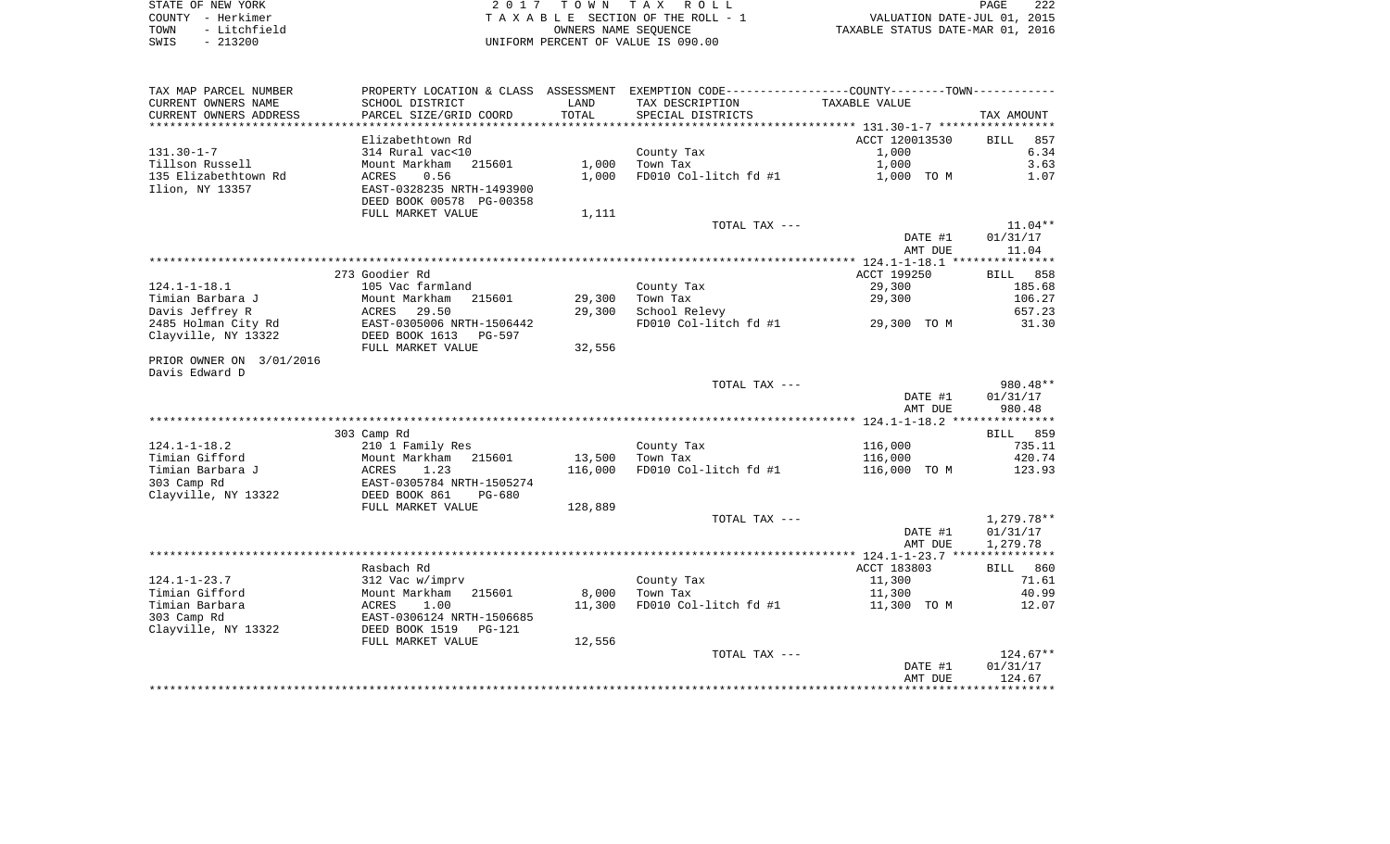| STATE OF NEW YORK    | 2017 TOWN TAX ROLL                  | 222<br>PAGE                      |
|----------------------|-------------------------------------|----------------------------------|
| COUNTY - Herkimer    | TAXABLE SECTION OF THE ROLL - 1     | VALUATION DATE-JUL 01, 2015      |
| - Litchfield<br>TOWN | OWNERS NAME SEOUENCE                | TAXABLE STATUS DATE-MAR 01, 2016 |
| $C \cup T$           | LINIEODM DEOGENE OF USILE TO 000 00 |                                  |

| STATE OF NEW YORK | 2017 TOWN TAX ROLL                 |
|-------------------|------------------------------------|
| COUNTY - Herkimer | TAXABLE SECTION OF THE ROLL - 1    |
| TOWN - Litchfield | OWNERS NAME SEOUENCE               |
| SWIS - 213200     | INIFORM PERCENT OF VALUE IS 090.00 |

| TAX MAP PARCEL NUMBER    |                                 |         | PROPERTY LOCATION & CLASS ASSESSMENT EXEMPTION CODE--------------COUNTY-------TOWN--------- |                |                    |
|--------------------------|---------------------------------|---------|---------------------------------------------------------------------------------------------|----------------|--------------------|
| CURRENT OWNERS NAME      | SCHOOL DISTRICT                 | LAND    | TAX DESCRIPTION                                                                             | TAXABLE VALUE  |                    |
| CURRENT OWNERS ADDRESS   | PARCEL SIZE/GRID COORD          | TOTAL   | SPECIAL DISTRICTS                                                                           |                | TAX AMOUNT         |
|                          |                                 |         |                                                                                             |                |                    |
|                          | Elizabethtown Rd                |         |                                                                                             | ACCT 120013530 | <b>BILL</b><br>857 |
|                          |                                 |         |                                                                                             |                | 6.34               |
| $131.30 - 1 - 7$         | 314 Rural vac<10                |         | County Tax                                                                                  | 1,000          |                    |
| Tillson Russell          | 215601<br>Mount Markham         | 1,000   | Town Tax                                                                                    | 1,000          | 3.63               |
| 135 Elizabethtown Rd     | 0.56<br>ACRES                   | 1,000   | FD010 Col-litch fd #1                                                                       | 1,000 TO M     | 1.07               |
| Ilion, NY 13357          | EAST-0328235 NRTH-1493900       |         |                                                                                             |                |                    |
|                          | DEED BOOK 00578 PG-00358        |         |                                                                                             |                |                    |
|                          | FULL MARKET VALUE               | 1,111   |                                                                                             |                |                    |
|                          |                                 |         | TOTAL TAX ---                                                                               |                | $11.04**$          |
|                          |                                 |         |                                                                                             | DATE #1        | 01/31/17           |
|                          |                                 |         |                                                                                             | AMT DUE        | 11.04              |
|                          |                                 |         |                                                                                             |                |                    |
|                          | 273 Goodier Rd                  |         |                                                                                             | ACCT 199250    | 858                |
|                          |                                 |         |                                                                                             |                | BILL               |
| $124.1 - 1 - 18.1$       | 105 Vac farmland                |         | County Tax                                                                                  | 29,300         | 185.68             |
| Timian Barbara J         | Mount Markham<br>215601         | 29,300  | Town Tax                                                                                    | 29,300         | 106.27             |
| Davis Jeffrey R          | ACRES<br>29.50                  | 29,300  | School Relevy                                                                               |                | 657.23             |
| 2485 Holman City Rd      | EAST-0305006 NRTH-1506442       |         | FD010 Col-litch fd #1                                                                       | 29,300 TO M    | 31.30              |
| Clayville, NY 13322      | DEED BOOK 1613<br>PG-597        |         |                                                                                             |                |                    |
|                          | FULL MARKET VALUE               | 32,556  |                                                                                             |                |                    |
| PRIOR OWNER ON 3/01/2016 |                                 |         |                                                                                             |                |                    |
| Davis Edward D           |                                 |         |                                                                                             |                |                    |
|                          |                                 |         | TOTAL TAX ---                                                                               |                | 980.48**           |
|                          |                                 |         |                                                                                             | DATE #1        | 01/31/17           |
|                          |                                 |         |                                                                                             | AMT DUE        | 980.48             |
|                          |                                 |         |                                                                                             |                |                    |
|                          |                                 |         |                                                                                             |                | BILL 859           |
|                          | 303 Camp Rd                     |         |                                                                                             |                |                    |
| $124.1 - 1 - 18.2$       | 210 1 Family Res                |         | County Tax                                                                                  | 116,000        | 735.11             |
| Timian Gifford           | Mount Markham<br>215601         | 13,500  | Town Tax                                                                                    | 116,000        | 420.74             |
| Timian Barbara J         | ACRES<br>1.23                   | 116,000 | FD010 Col-litch fd #1                                                                       | 116,000 TO M   | 123.93             |
| 303 Camp Rd              | EAST-0305784 NRTH-1505274       |         |                                                                                             |                |                    |
| Clayville, NY 13322      | DEED BOOK 861<br>PG-680         |         |                                                                                             |                |                    |
|                          | FULL MARKET VALUE               | 128,889 |                                                                                             |                |                    |
|                          |                                 |         | TOTAL TAX ---                                                                               |                | 1,279.78**         |
|                          |                                 |         |                                                                                             | DATE #1        | 01/31/17           |
|                          |                                 |         |                                                                                             | AMT DUE        | 1,279.78           |
|                          |                                 |         |                                                                                             |                |                    |
|                          | Rasbach Rd                      |         |                                                                                             | ACCT 183803    | BILL 860           |
| $124.1 - 1 - 23.7$       |                                 |         |                                                                                             | 11,300         | 71.61              |
|                          | 312 Vac w/imprv                 |         | County Tax                                                                                  |                |                    |
| Timian Gifford           | Mount Markham<br>215601         | 8,000   | Town Tax                                                                                    | 11,300         | 40.99              |
| Timian Barbara           | ACRES<br>1.00                   | 11,300  | FD010 Col-litch fd #1                                                                       | 11,300 TO M    | 12.07              |
| 303 Camp Rd              | EAST-0306124 NRTH-1506685       |         |                                                                                             |                |                    |
| Clayville, NY 13322      | DEED BOOK 1519<br><b>PG-121</b> |         |                                                                                             |                |                    |
|                          | FULL MARKET VALUE               | 12,556  |                                                                                             |                |                    |
|                          |                                 |         | TOTAL TAX ---                                                                               |                | $124.67**$         |
|                          |                                 |         |                                                                                             | DATE #1        | 01/31/17           |
|                          |                                 |         |                                                                                             | AMT DUE        | 124.67             |
|                          |                                 |         |                                                                                             |                |                    |
|                          |                                 |         |                                                                                             |                |                    |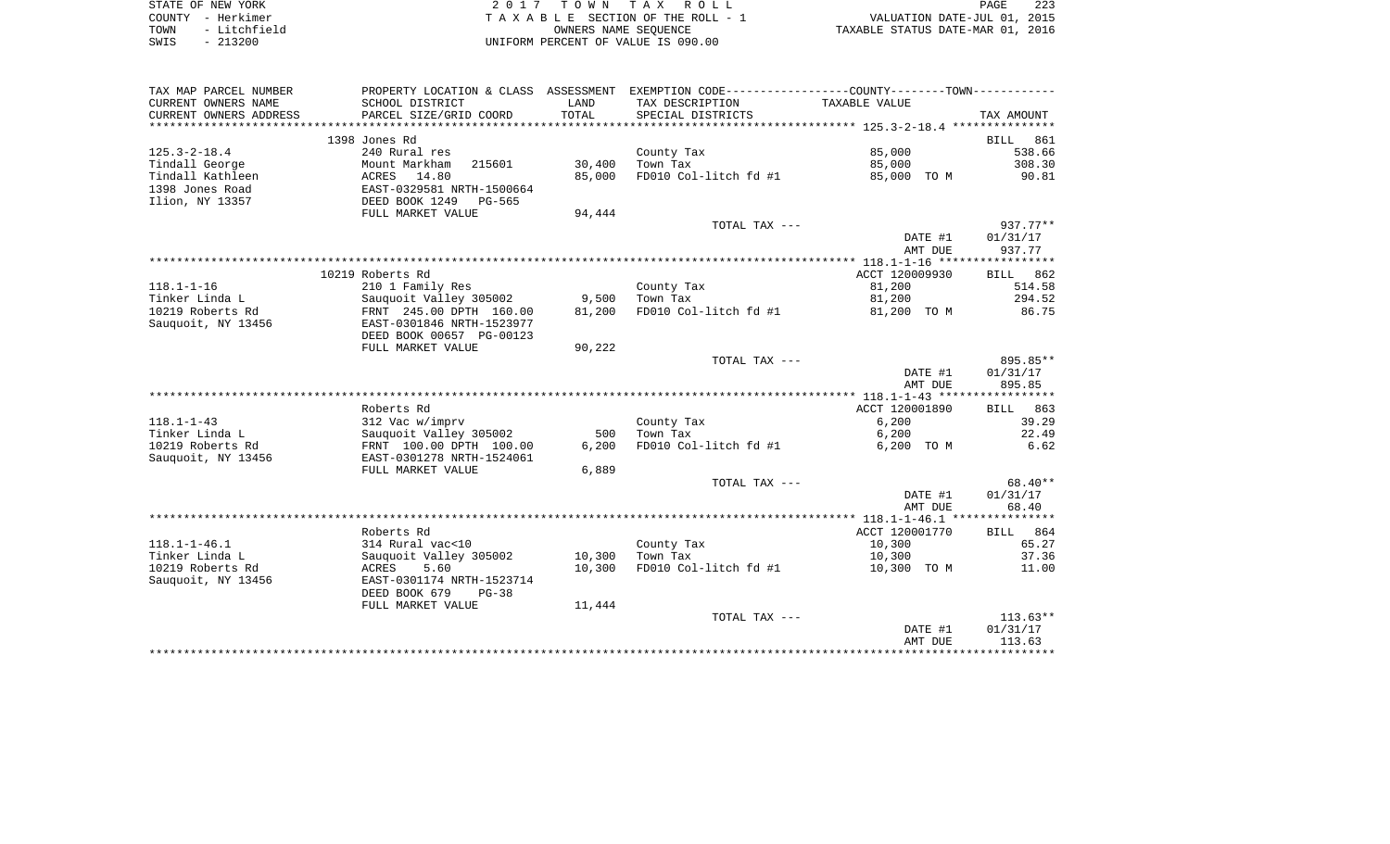| STATE OF NEW YORK    | 2017 TOWN TAX ROLL                 | 223<br>PAGE                      |
|----------------------|------------------------------------|----------------------------------|
| COUNTY - Herkimer    | TAXABLE SECTION OF THE ROLL - 1    | VALUATION DATE-JUL 01, 2015      |
| - Litchfield<br>TOWN | OWNERS NAME SEOUENCE               | TAXABLE STATUS DATE-MAR 01, 2016 |
| - 213200<br>SWIS     | UNIFORM PERCENT OF VALUE IS 090.00 |                                  |

223<br>2015

| TAX MAP PARCEL NUMBER  | PROPERTY LOCATION & CLASS ASSESSMENT EXEMPTION CODE----------------COUNTY--------TOWN---------- |        |                       |                |                    |
|------------------------|-------------------------------------------------------------------------------------------------|--------|-----------------------|----------------|--------------------|
| CURRENT OWNERS NAME    | SCHOOL DISTRICT                                                                                 | LAND   | TAX DESCRIPTION       | TAXABLE VALUE  |                    |
| CURRENT OWNERS ADDRESS | PARCEL SIZE/GRID COORD                                                                          | TOTAL  | SPECIAL DISTRICTS     |                | TAX AMOUNT         |
|                        |                                                                                                 |        |                       |                |                    |
|                        | 1398 Jones Rd                                                                                   |        |                       |                | 861<br>BILL        |
| $125.3 - 2 - 18.4$     | 240 Rural res                                                                                   |        | County Tax            | 85,000         | 538.66             |
| Tindall George         | 215601<br>Mount Markham                                                                         | 30,400 | Town Tax              | 85,000         | 308.30             |
| Tindall Kathleen       | 14.80<br>ACRES                                                                                  | 85,000 | FD010 Col-litch fd #1 | 85,000 TO M    | 90.81              |
| 1398 Jones Road        | EAST-0329581 NRTH-1500664                                                                       |        |                       |                |                    |
| Ilion, NY 13357        | DEED BOOK 1249<br><b>PG-565</b>                                                                 |        |                       |                |                    |
|                        | FULL MARKET VALUE                                                                               | 94,444 |                       |                |                    |
|                        |                                                                                                 |        | TOTAL TAX ---         |                | 937.77**           |
|                        |                                                                                                 |        |                       | DATE #1        | 01/31/17           |
|                        |                                                                                                 |        |                       | AMT DUE        | 937.77             |
|                        |                                                                                                 |        |                       |                |                    |
|                        | 10219 Roberts Rd                                                                                |        |                       | ACCT 120009930 | 862<br>BILL        |
| $118.1 - 1 - 16$       | 210 1 Family Res                                                                                |        | County Tax            | 81,200         | 514.58             |
| Tinker Linda L         | Sauquoit Valley 305002                                                                          | 9,500  | Town Tax              | 81,200         | 294.52             |
| 10219 Roberts Rd       | FRNT 245.00 DPTH 160.00                                                                         | 81,200 | FD010 Col-litch fd #1 | 81,200 TO M    | 86.75              |
| Sauquoit, NY 13456     | EAST-0301846 NRTH-1523977                                                                       |        |                       |                |                    |
|                        | DEED BOOK 00657 PG-00123                                                                        |        |                       |                |                    |
|                        | FULL MARKET VALUE                                                                               | 90,222 |                       |                |                    |
|                        |                                                                                                 |        | TOTAL TAX ---         |                | 895.85**           |
|                        |                                                                                                 |        |                       | DATE #1        | 01/31/17<br>895.85 |
|                        |                                                                                                 |        |                       | AMT DUE        |                    |
|                        | Roberts Rd                                                                                      |        |                       | ACCT 120001890 | BILL 863           |
| $118.1 - 1 - 43$       | 312 Vac w/imprv                                                                                 |        | County Tax            | 6,200          | 39.29              |
| Tinker Linda L         | Sauquoit Valley 305002                                                                          | 500    | Town Tax              | 6,200          | 22.49              |
| 10219 Roberts Rd       | FRNT 100.00 DPTH 100.00                                                                         | 6,200  | FD010 Col-litch fd #1 | 6,200 TO M     | 6.62               |
| Sauguoit, NY 13456     | EAST-0301278 NRTH-1524061                                                                       |        |                       |                |                    |
|                        | FULL MARKET VALUE                                                                               | 6,889  |                       |                |                    |
|                        |                                                                                                 |        | TOTAL TAX ---         |                | $68.40**$          |
|                        |                                                                                                 |        |                       | DATE #1        | 01/31/17           |
|                        |                                                                                                 |        |                       | AMT DUE        | 68.40              |
|                        |                                                                                                 |        |                       |                |                    |
|                        | Roberts Rd                                                                                      |        |                       | ACCT 120001770 | BILL 864           |
| $118.1 - 1 - 46.1$     | 314 Rural vac<10                                                                                |        | County Tax            | 10,300         | 65.27              |
| Tinker Linda L         | Sauquoit Valley 305002                                                                          | 10,300 | Town Tax              | 10,300         | 37.36              |
| 10219 Roberts Rd       | ACRES<br>5.60                                                                                   | 10,300 | FD010 Col-litch fd #1 | 10,300 TO M    | 11.00              |
| Sauquoit, NY 13456     | EAST-0301174 NRTH-1523714                                                                       |        |                       |                |                    |
|                        | DEED BOOK 679<br>$PG-38$                                                                        |        |                       |                |                    |
|                        | FULL MARKET VALUE                                                                               | 11,444 |                       |                |                    |
|                        |                                                                                                 |        | TOTAL TAX ---         |                | $113.63**$         |
|                        |                                                                                                 |        |                       | DATE #1        | 01/31/17           |
|                        |                                                                                                 |        |                       | AMT DUE        | 113.63             |
|                        |                                                                                                 |        |                       |                |                    |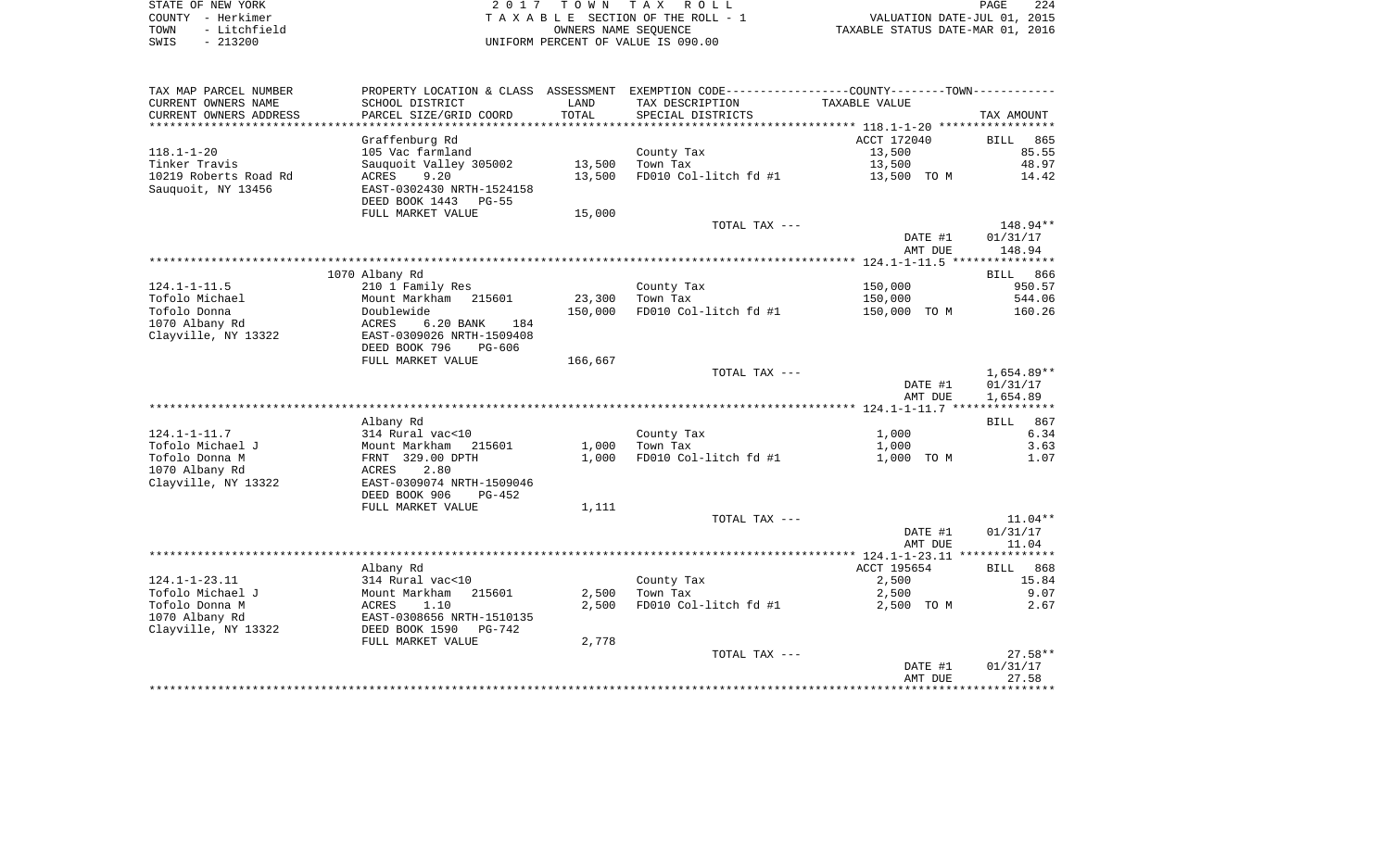| STATE OF NEW YORK |              |
|-------------------|--------------|
| COUNTY - Herkimer |              |
| TOWN              | - Litchfield |
| SMTS              | $-213200$    |

STATE OF NEW YORK 2 0 1 7 T O W N T A X R O L L PAGE 224TA X A B L E SECTION OF THE ROLL - 1 TOWN - Litchfield OWNERS NAME SEQUENCE TAXABLE STATUS DATE-MAR 01, 2016 SWIS - 213200 UNIFORM PERCENT OF VALUE IS 090.00

| TAX MAP PARCEL NUMBER  | PROPERTY LOCATION & CLASS ASSESSMENT EXEMPTION CODE----------------COUNTY-------TOWN- |         |                       |               |                    |
|------------------------|---------------------------------------------------------------------------------------|---------|-----------------------|---------------|--------------------|
| CURRENT OWNERS NAME    | SCHOOL DISTRICT                                                                       | LAND    | TAX DESCRIPTION       | TAXABLE VALUE |                    |
| CURRENT OWNERS ADDRESS | PARCEL SIZE/GRID COORD                                                                | TOTAL   | SPECIAL DISTRICTS     |               | TAX AMOUNT         |
|                        | **************************                                                            |         |                       |               |                    |
|                        | Graffenburg Rd                                                                        |         |                       | ACCT 172040   | BILL<br>865        |
| $118.1 - 1 - 20$       | 105 Vac farmland                                                                      |         | County Tax            | 13,500        | 85.55              |
|                        |                                                                                       |         |                       |               |                    |
| Tinker Travis          | Sauquoit Valley 305002                                                                | 13,500  | Town Tax              | 13,500        | 48.97              |
| 10219 Roberts Road Rd  | ACRES<br>9.20                                                                         | 13,500  | FD010 Col-litch fd #1 | 13,500 TO M   | 14.42              |
| Sauguoit, NY 13456     | EAST-0302430 NRTH-1524158                                                             |         |                       |               |                    |
|                        | DEED BOOK 1443<br>PG-55                                                               |         |                       |               |                    |
|                        | FULL MARKET VALUE                                                                     | 15,000  |                       |               |                    |
|                        |                                                                                       |         | TOTAL TAX ---         |               | 148.94**           |
|                        |                                                                                       |         |                       | DATE #1       | 01/31/17           |
|                        |                                                                                       |         |                       | AMT DUE       | 148.94             |
|                        |                                                                                       |         |                       |               |                    |
|                        | 1070 Albany Rd                                                                        |         |                       |               | 866<br><b>BILL</b> |
| $124.1 - 1 - 11.5$     | 210 1 Family Res                                                                      |         | County Tax            | 150,000       | 950.57             |
|                        |                                                                                       |         |                       |               |                    |
| Tofolo Michael         | Mount Markham 215601                                                                  | 23,300  | Town Tax              | 150,000       | 544.06             |
| Tofolo Donna           | Doublewide                                                                            | 150,000 | FD010 Col-litch fd #1 | 150,000 TO M  | 160.26             |
| 1070 Albany Rd         | ACRES<br>6.20 BANK<br>184                                                             |         |                       |               |                    |
| Clayville, NY 13322    | EAST-0309026 NRTH-1509408                                                             |         |                       |               |                    |
|                        | DEED BOOK 796<br>PG-606                                                               |         |                       |               |                    |
|                        | FULL MARKET VALUE                                                                     | 166,667 |                       |               |                    |
|                        |                                                                                       |         | TOTAL TAX ---         |               | $1,654.89**$       |
|                        |                                                                                       |         |                       | DATE #1       | 01/31/17           |
|                        |                                                                                       |         |                       | AMT DUE       | 1,654.89           |
|                        |                                                                                       |         |                       |               |                    |
|                        | Albany Rd                                                                             |         |                       |               | 867<br>BILL        |
| $124.1 - 1 - 11.7$     | 314 Rural vac<10                                                                      |         | County Tax            | 1,000         | 6.34               |
| Tofolo Michael J       | Mount Markham<br>215601                                                               | 1,000   | Town Tax              | 1,000         | 3.63               |
| Tofolo Donna M         | FRNT 329.00 DPTH                                                                      | 1,000   | FD010 Col-litch fd #1 | 1,000 TO M    | 1.07               |
| 1070 Albany Rd         | ACRES<br>2.80                                                                         |         |                       |               |                    |
| Clayville, NY 13322    | EAST-0309074 NRTH-1509046                                                             |         |                       |               |                    |
|                        |                                                                                       |         |                       |               |                    |
|                        | DEED BOOK 906<br>PG-452                                                               |         |                       |               |                    |
|                        | FULL MARKET VALUE                                                                     | 1,111   |                       |               |                    |
|                        |                                                                                       |         | TOTAL TAX ---         |               | $11.04**$          |
|                        |                                                                                       |         |                       | DATE #1       | 01/31/17           |
|                        |                                                                                       |         |                       | AMT DUE       | 11.04              |
|                        |                                                                                       |         |                       |               |                    |
|                        | Albany Rd                                                                             |         |                       | ACCT 195654   | 868<br>BILL        |
| $124.1 - 1 - 23.11$    | 314 Rural vac<10                                                                      |         | County Tax            | 2,500         | 15.84              |
| Tofolo Michael J       | Mount Markham<br>215601                                                               | 2,500   | Town Tax              | 2,500         | 9.07               |
| Tofolo Donna M         | ACRES<br>1.10                                                                         | 2,500   | FD010 Col-litch fd #1 | 2,500 TO M    | 2.67               |
| 1070 Albany Rd         | EAST-0308656 NRTH-1510135                                                             |         |                       |               |                    |
| Clayville, NY 13322    | DEED BOOK 1590<br>PG-742                                                              |         |                       |               |                    |
|                        | FULL MARKET VALUE                                                                     | 2,778   |                       |               |                    |
|                        |                                                                                       |         | TOTAL TAX ---         |               | $27.58**$          |
|                        |                                                                                       |         |                       | DATE #1       | 01/31/17           |
|                        |                                                                                       |         |                       | AMT DUE       | 27.58              |
|                        |                                                                                       |         |                       |               |                    |
|                        |                                                                                       |         |                       |               |                    |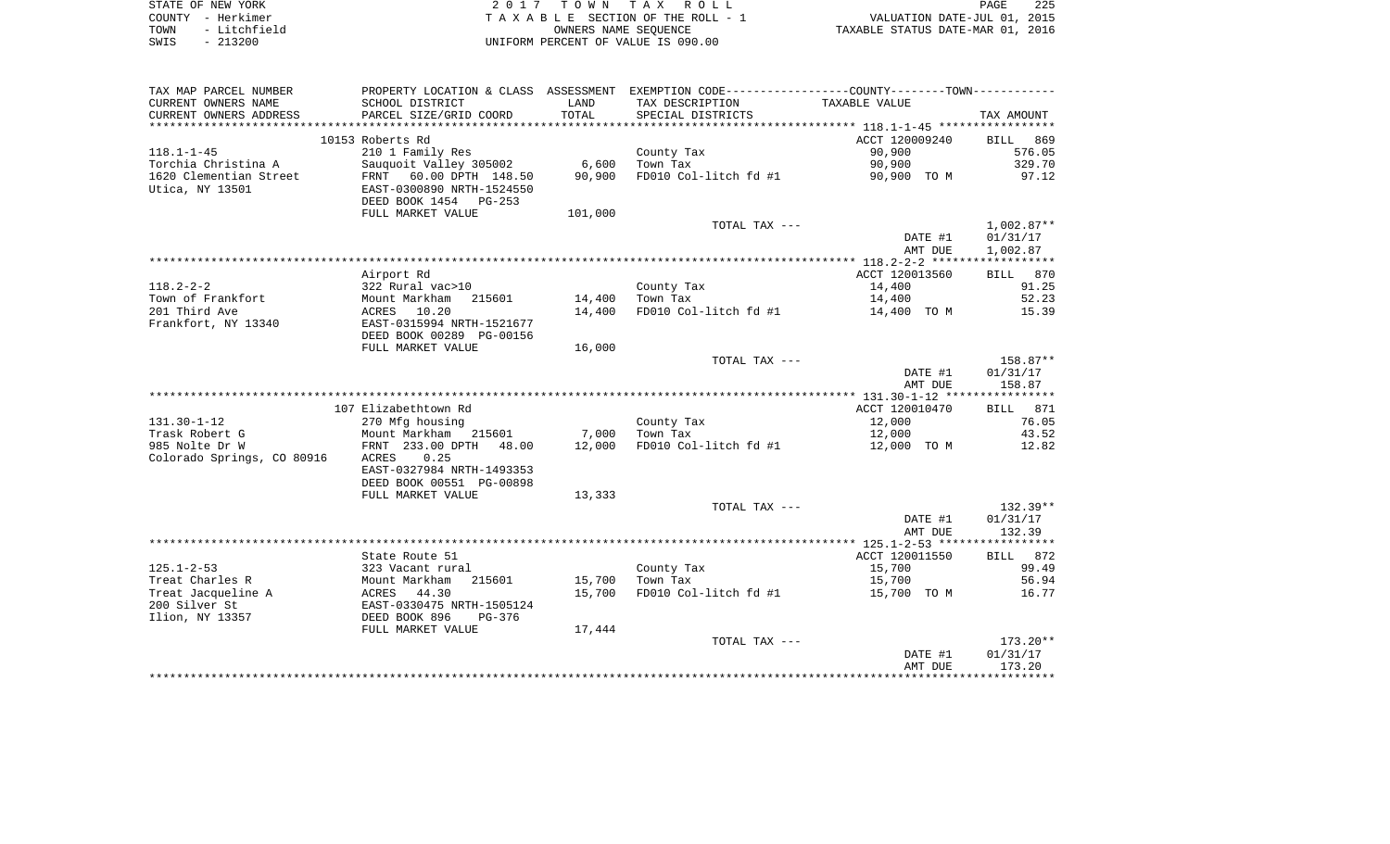| STATE OF NEW YORK    | 2017 TOWN TAX ROLL                 | 225<br>PAGE                      |
|----------------------|------------------------------------|----------------------------------|
| COUNTY - Herkimer    | TAXABLE SECTION OF THE ROLL - 1    | VALUATION DATE-JUL 01, 2015      |
| - Litchfield<br>TOWN | OWNERS NAME SEOUENCE               | TAXABLE STATUS DATE-MAR 01, 2016 |
| SWIS<br>$-213200$    | UNIFORM PERCENT OF VALUE IS 090.00 |                                  |

| TAX MAP PARCEL NUMBER                        |                                                                                                   |                   | PROPERTY LOCATION & CLASS ASSESSMENT EXEMPTION CODE---------------COUNTY-------TOWN---------- |                    |                    |
|----------------------------------------------|---------------------------------------------------------------------------------------------------|-------------------|-----------------------------------------------------------------------------------------------|--------------------|--------------------|
| CURRENT OWNERS NAME                          | SCHOOL DISTRICT                                                                                   | LAND              | TAX DESCRIPTION                                                                               | TAXABLE VALUE      |                    |
| CURRENT OWNERS ADDRESS                       | PARCEL SIZE/GRID COORD                                                                            | TOTAL             | SPECIAL DISTRICTS                                                                             |                    | TAX AMOUNT         |
|                                              |                                                                                                   |                   |                                                                                               |                    |                    |
|                                              | 10153 Roberts Rd                                                                                  |                   |                                                                                               | ACCT 120009240     | 869<br>BILL        |
| $118.1 - 1 - 45$                             | 210 1 Family Res                                                                                  |                   | County Tax                                                                                    | 90,900             | 576.05             |
| Torchia Christina A                          | Sauquoit Valley 305002                                                                            | 6,600             | Town Tax                                                                                      | 90,900             | 329.70             |
| 1620 Clementian Street<br>Utica, NY 13501    | FRNT 60.00 DPTH 148.50<br>EAST-0300890 NRTH-1524550<br>DEED BOOK 1454 PG-253<br>FULL MARKET VALUE | 90,900<br>101,000 | FD010 Col-litch fd #1                                                                         | 90,900 TO M        | 97.12              |
|                                              |                                                                                                   |                   | TOTAL TAX ---                                                                                 |                    | $1,002.87**$       |
|                                              |                                                                                                   |                   |                                                                                               | DATE #1            | 01/31/17           |
|                                              |                                                                                                   |                   |                                                                                               | AMT DUE            | 1,002.87           |
|                                              |                                                                                                   |                   |                                                                                               |                    |                    |
|                                              | Airport Rd                                                                                        |                   |                                                                                               | ACCT 120013560     | BILL 870           |
| $118.2 - 2 - 2$                              | 322 Rural vac>10                                                                                  |                   | County Tax                                                                                    | 14,400             | 91.25              |
| Town of Frankfort                            | Mount Markham<br>215601                                                                           | 14,400            | Town Tax                                                                                      | 14,400             | 52.23              |
| 201 Third Ave                                | ACRES<br>10.20                                                                                    | 14,400            | FD010 Col-litch fd #1                                                                         | 14,400 TO M        | 15.39              |
| Frankfort, NY 13340                          | EAST-0315994 NRTH-1521677<br>DEED BOOK 00289 PG-00156                                             |                   |                                                                                               |                    |                    |
|                                              | FULL MARKET VALUE                                                                                 | 16,000            |                                                                                               |                    |                    |
|                                              |                                                                                                   |                   | TOTAL TAX ---                                                                                 |                    | 158.87**           |
|                                              |                                                                                                   |                   |                                                                                               | DATE #1            | 01/31/17           |
|                                              |                                                                                                   |                   |                                                                                               | AMT DUE            | 158.87             |
|                                              |                                                                                                   |                   |                                                                                               |                    |                    |
|                                              | 107 Elizabethtown Rd                                                                              |                   |                                                                                               | ACCT 120010470     | BILL 871           |
| $131.30 - 1 - 12$                            | 270 Mfg housing                                                                                   |                   | County Tax                                                                                    | 12,000             | 76.05              |
| Trask Robert G                               | Mount Markham 215601                                                                              | 7,000             | Town Tax                                                                                      | 12,000             | 43.52              |
| 985 Nolte Dr W<br>Colorado Springs, CO 80916 | FRNT 233.00 DPTH<br>48.00<br>0.25<br>ACRES                                                        | 12,000            | FD010 Col-litch fd #1                                                                         | 12,000 TO M        | 12.82              |
|                                              | EAST-0327984 NRTH-1493353<br>DEED BOOK 00551 PG-00898<br>FULL MARKET VALUE                        | 13,333            |                                                                                               |                    |                    |
|                                              |                                                                                                   |                   | TOTAL TAX ---                                                                                 |                    | $132.39**$         |
|                                              |                                                                                                   |                   |                                                                                               | DATE #1<br>AMT DUE | 01/31/17<br>132.39 |
|                                              |                                                                                                   |                   |                                                                                               |                    |                    |
|                                              | State Route 51                                                                                    |                   |                                                                                               | ACCT 120011550     | BILL 872           |
| $125.1 - 2 - 53$                             | 323 Vacant rural                                                                                  |                   | County Tax                                                                                    | 15,700             | 99.49              |
| Treat Charles R                              | Mount Markham<br>215601                                                                           | 15,700            | Town Tax                                                                                      | 15,700             | 56.94              |
| Treat Jacqueline A<br>200 Silver St          | 44.30<br>ACRES<br>EAST-0330475 NRTH-1505124                                                       | 15,700            | FD010 Col-litch fd #1                                                                         | 15,700 TO M        | 16.77              |
| Ilion, NY 13357                              | DEED BOOK 896<br>$PG-376$                                                                         |                   |                                                                                               |                    |                    |
|                                              | FULL MARKET VALUE                                                                                 | 17,444            |                                                                                               |                    |                    |
|                                              |                                                                                                   |                   | TOTAL TAX ---                                                                                 |                    | $173.20**$         |
|                                              |                                                                                                   |                   |                                                                                               | DATE #1<br>AMT DUE | 01/31/17<br>173.20 |
|                                              |                                                                                                   |                   |                                                                                               |                    |                    |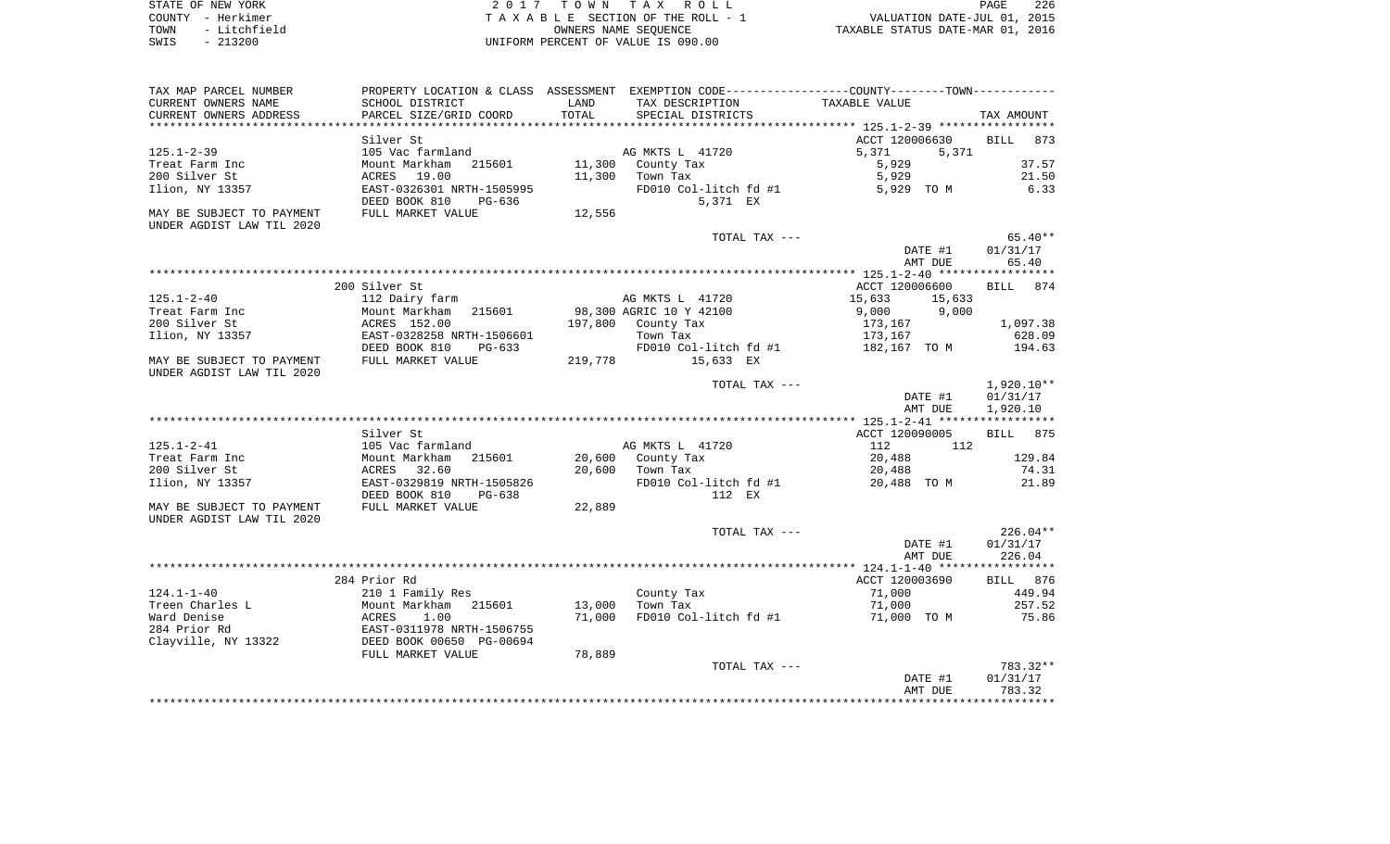| STATE OF NEW YORK    | 2017 TOWN TAX ROLL                 | 226<br>PAGE                      |
|----------------------|------------------------------------|----------------------------------|
| COUNTY - Herkimer    | TAXABLE SECTION OF THE ROLL - 1    | VALUATION DATE-JUL 01, 2015      |
| - Litchfield<br>TOWN | OWNERS NAME SEOUENCE               | TAXABLE STATUS DATE-MAR 01, 2016 |
| $-213200$<br>SWIS    | UNIFORM PERCENT OF VALUE IS 090.00 |                                  |

| TAX MAP PARCEL NUMBER     |                             |         |                         | PROPERTY LOCATION & CLASS ASSESSMENT EXEMPTION CODE---------------COUNTY-------TOWN---------- |                    |
|---------------------------|-----------------------------|---------|-------------------------|-----------------------------------------------------------------------------------------------|--------------------|
| CURRENT OWNERS NAME       | SCHOOL DISTRICT             | LAND    | TAX DESCRIPTION         | TAXABLE VALUE                                                                                 |                    |
| CURRENT OWNERS ADDRESS    | PARCEL SIZE/GRID COORD      | TOTAL   | SPECIAL DISTRICTS       |                                                                                               | TAX AMOUNT         |
| *******************       | *************************** |         |                         |                                                                                               |                    |
|                           | Silver St                   |         |                         | ACCT 120006630                                                                                | <b>BILL</b><br>873 |
| $125.1 - 2 - 39$          | 105 Vac farmland            |         | AG MKTS L 41720         | 5,371<br>5,371                                                                                |                    |
| Treat Farm Inc            | 215601<br>Mount Markham     | 11,300  | County Tax              | 5,929                                                                                         | 37.57              |
| 200 Silver St             | 19.00<br>ACRES              | 11,300  | Town Tax                | 5,929                                                                                         | 21.50              |
| Ilion, NY 13357           | EAST-0326301 NRTH-1505995   |         | FD010 Col-litch fd #1   | 5,929 TO M                                                                                    | 6.33               |
|                           | DEED BOOK 810<br>PG-636     |         | 5,371 EX                |                                                                                               |                    |
| MAY BE SUBJECT TO PAYMENT | FULL MARKET VALUE           | 12,556  |                         |                                                                                               |                    |
| UNDER AGDIST LAW TIL 2020 |                             |         |                         |                                                                                               |                    |
|                           |                             |         | TOTAL TAX ---           |                                                                                               | $65.40**$          |
|                           |                             |         |                         | DATE #1                                                                                       | 01/31/17           |
|                           |                             |         |                         | AMT DUE                                                                                       | 65.40              |
|                           |                             |         |                         |                                                                                               |                    |
|                           | 200 Silver St               |         |                         | ACCT 120006600                                                                                | BILL 874           |
| $125.1 - 2 - 40$          | 112 Dairy farm              |         | AG MKTS L 41720         | 15,633<br>15,633                                                                              |                    |
| Treat Farm Inc            | Mount Markham<br>215601     |         | 98,300 AGRIC 10 Y 42100 | 9,000<br>9,000                                                                                |                    |
| 200 Silver St             | ACRES 152.00                | 197,800 | County Tax              | 173,167                                                                                       | 1,097.38           |
| Ilion, NY 13357           | EAST-0328258 NRTH-1506601   |         | Town Tax                | 173,167                                                                                       | 628.09             |
|                           | DEED BOOK 810<br>$PG-633$   |         | FD010 Col-litch fd #1   | 182,167 TO M                                                                                  | 194.63             |
| MAY BE SUBJECT TO PAYMENT | FULL MARKET VALUE           | 219,778 | 15,633 EX               |                                                                                               |                    |
| UNDER AGDIST LAW TIL 2020 |                             |         |                         |                                                                                               |                    |
|                           |                             |         | TOTAL TAX ---           |                                                                                               | $1,920.10**$       |
|                           |                             |         |                         | DATE #1                                                                                       | 01/31/17           |
|                           |                             |         |                         | AMT DUE                                                                                       | 1,920.10           |
|                           |                             |         |                         |                                                                                               |                    |
|                           | Silver St                   |         |                         | ACCT 120090005                                                                                | 875<br><b>BILL</b> |
| $125.1 - 2 - 41$          | 105 Vac farmland            |         | AG MKTS L 41720         | 112<br>112                                                                                    |                    |
| Treat Farm Inc            | Mount Markham<br>215601     | 20,600  | County Tax              | 20,488                                                                                        | 129.84             |
| 200 Silver St             | ACRES 32.60                 | 20,600  | Town Tax                | 20,488                                                                                        | 74.31              |
| Ilion, NY 13357           | EAST-0329819 NRTH-1505826   |         | FD010 Col-litch fd #1   | 20,488 TO M                                                                                   | 21.89              |
|                           | DEED BOOK 810<br>$PG-638$   |         | 112 EX                  |                                                                                               |                    |
| MAY BE SUBJECT TO PAYMENT | FULL MARKET VALUE           | 22,889  |                         |                                                                                               |                    |
| UNDER AGDIST LAW TIL 2020 |                             |         |                         |                                                                                               |                    |
|                           |                             |         | TOTAL TAX ---           |                                                                                               | $226.04**$         |
|                           |                             |         |                         | DATE #1                                                                                       | 01/31/17           |
|                           |                             |         |                         | AMT DUE                                                                                       | 226.04             |
|                           |                             |         |                         |                                                                                               |                    |
|                           | 284 Prior Rd                |         |                         | ACCT 120003690                                                                                | BILL 876           |
| $124.1 - 1 - 40$          | 210 1 Family Res            |         | County Tax              | 71,000                                                                                        | 449.94             |
| Treen Charles L           | Mount Markham 215601        | 13,000  | Town Tax                | 71,000                                                                                        | 257.52             |
| Ward Denise               | 1.00<br>ACRES               | 71,000  | FD010 Col-litch fd #1   | 71,000 TO M                                                                                   | 75.86              |
| 284 Prior Rd              | EAST-0311978 NRTH-1506755   |         |                         |                                                                                               |                    |
| Clayville, NY 13322       |                             |         |                         |                                                                                               |                    |
|                           | DEED BOOK 00650 PG-00694    | 78,889  |                         |                                                                                               |                    |
|                           | FULL MARKET VALUE           |         | TOTAL TAX ---           |                                                                                               | 783.32**           |
|                           |                             |         |                         | DATE #1                                                                                       | 01/31/17           |
|                           |                             |         |                         | AMT DUE                                                                                       | 783.32             |
|                           |                             |         |                         |                                                                                               | ********           |
|                           |                             |         |                         |                                                                                               |                    |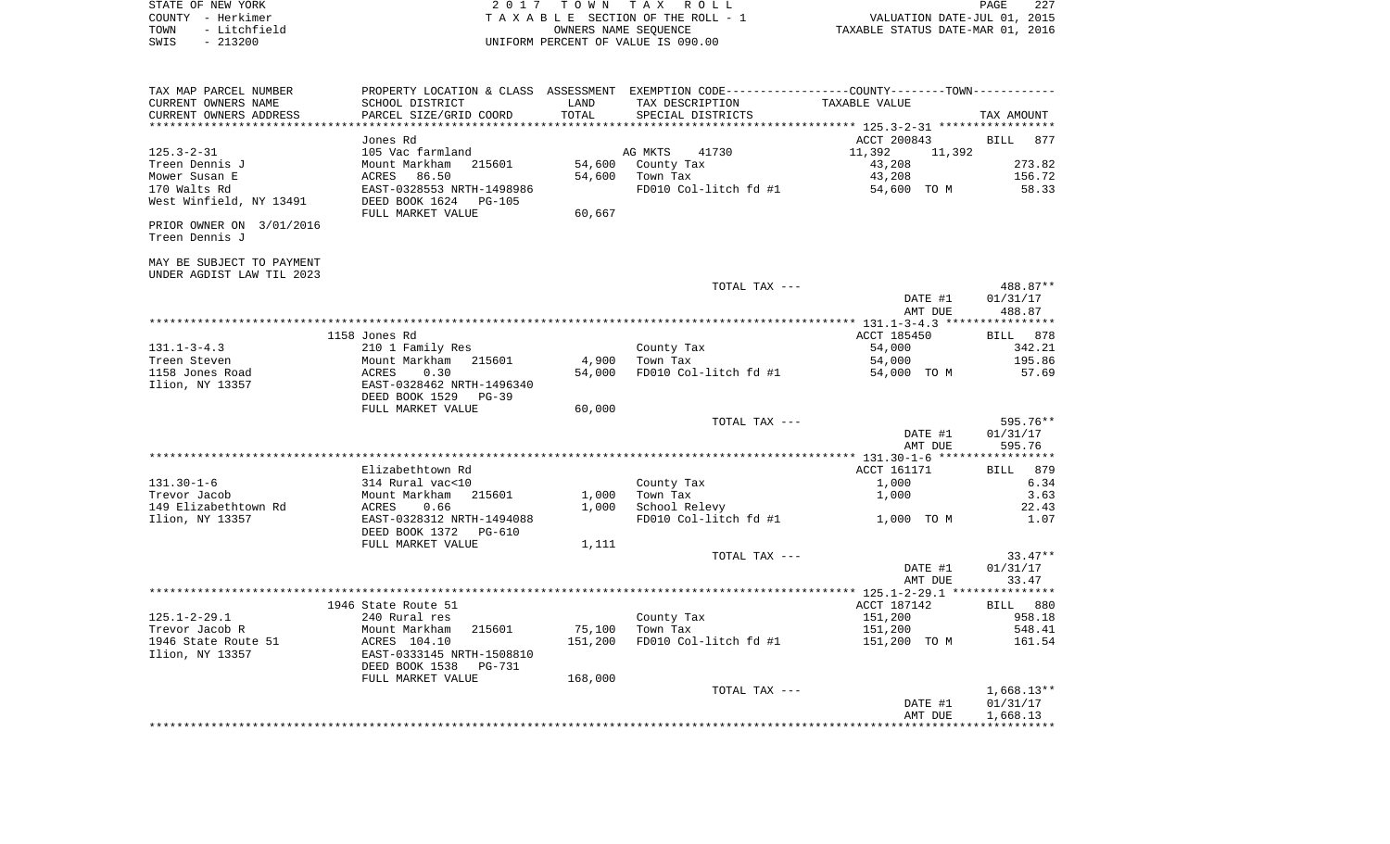| TAX MAP PARCEL NUMBER<br>PROPERTY LOCATION & CLASS ASSESSMENT EXEMPTION CODE---------------COUNTY-------TOWN----------<br>CURRENT OWNERS NAME<br>SCHOOL DISTRICT<br>LAND<br>TAX DESCRIPTION<br>TAXABLE VALUE<br>CURRENT OWNERS ADDRESS<br>PARCEL SIZE/GRID COORD<br>TOTAL<br>SPECIAL DISTRICTS<br>TAX AMOUNT<br>*************************<br>ACCT 200843<br>877<br>Jones Rd<br>BILL<br>$125.3 - 2 - 31$<br>105 Vac farmland<br>AG MKTS<br>41730<br>11,392<br>11,392<br>273.82<br>Treen Dennis J<br>Mount Markham<br>215601<br>54,600<br>43,208<br>County Tax<br>Mower Susan E<br>86.50<br>43,208<br>ACRES<br>54,600<br>Town Tax<br>156.72<br>170 Walts Rd<br>FD010 Col-litch fd #1<br>58.33<br>EAST-0328553 NRTH-1498986<br>54,600 TO M<br>West Winfield, NY 13491<br>DEED BOOK 1624 PG-105<br>FULL MARKET VALUE<br>60,667<br>PRIOR OWNER ON 3/01/2016<br>Treen Dennis J<br>MAY BE SUBJECT TO PAYMENT<br>UNDER AGDIST LAW TIL 2023<br>TOTAL TAX ---<br>DATE #1<br>01/31/17<br>488.87<br>AMT DUE<br>1158 Jones Rd<br>ACCT 185450<br>BILL 878<br>$131.1 - 3 - 4.3$<br>210 1 Family Res<br>County Tax<br>54,000<br>342.21<br>Treen Steven<br>Mount Markham<br>4,900<br>Town Tax<br>54,000<br>195.86<br>215601<br>FD010 Col-litch fd #1<br>1158 Jones Road<br>ACRES<br>0.30<br>54,000<br>54,000 TO M<br>57.69<br>Ilion, NY 13357<br>EAST-0328462 NRTH-1496340<br>DEED BOOK 1529 PG-39<br>FULL MARKET VALUE<br>60,000<br>595.76**<br>TOTAL TAX ---<br>DATE #1<br>01/31/17<br>AMT DUE<br>595.76<br>Elizabethtown Rd<br>ACCT 161171<br>$131.30 - 1 - 6$<br>6.34<br>314 Rural vac<10<br>County Tax<br>1,000<br>3.63<br>Trevor Jacob<br>Mount Markham<br>215601<br>1,000<br>Town Tax<br>1,000<br>149 Elizabethtown Rd<br>School Relevy<br>22.43<br>ACRES<br>0.66<br>1,000<br>Ilion, NY 13357<br>EAST-0328312 NRTH-1494088<br>FD010 Col-litch fd #1<br>1,000 TO M<br>1.07<br>DEED BOOK 1372 PG-610<br>FULL MARKET VALUE<br>1,111<br>TOTAL TAX ---<br>$33.47**$<br>DATE #1<br>01/31/17<br>33.47<br>AMT DUE<br>ACCT 187142<br>1946 State Route 51<br>151,200<br>$125.1 - 2 - 29.1$<br>240 Rural res<br>County Tax<br>Trevor Jacob R<br>215601<br>75,100<br>151,200<br>Mount Markham<br>Town Tax<br>161.54<br>1946 State Route 51<br>ACRES 104.10<br>151,200<br>FD010 Col-litch fd #1<br>151,200 TO M<br>Ilion, NY 13357<br>EAST-0333145 NRTH-1508810<br>DEED BOOK 1538<br>PG-731<br>FULL MARKET VALUE<br>168,000<br>TOTAL TAX ---<br>$1,668.13**$<br>01/31/17<br>DATE #1<br>1,668.13<br>AMT DUE | STATE OF NEW YORK<br>COUNTY - Herkimer<br>- Litchfield<br>TOWN<br>$-213200$<br>SWIS |  | 2017 TOWN TAX ROLL<br>TAXABLE SECTION OF THE ROLL - 1<br>OWNERS NAME SEQUENCE<br>UNIFORM PERCENT OF VALUE IS 090.00 | VALUATION DATE-JUL 01, 2015<br>TAXABLE STATUS DATE-MAR 01, 2016 | 227<br>PAGE |
|-------------------------------------------------------------------------------------------------------------------------------------------------------------------------------------------------------------------------------------------------------------------------------------------------------------------------------------------------------------------------------------------------------------------------------------------------------------------------------------------------------------------------------------------------------------------------------------------------------------------------------------------------------------------------------------------------------------------------------------------------------------------------------------------------------------------------------------------------------------------------------------------------------------------------------------------------------------------------------------------------------------------------------------------------------------------------------------------------------------------------------------------------------------------------------------------------------------------------------------------------------------------------------------------------------------------------------------------------------------------------------------------------------------------------------------------------------------------------------------------------------------------------------------------------------------------------------------------------------------------------------------------------------------------------------------------------------------------------------------------------------------------------------------------------------------------------------------------------------------------------------------------------------------------------------------------------------------------------------------------------------------------------------------------------------------------------------------------------------------------------------------------------------------------------------------------------------------------------------------------------------------------------------------------------------------------------------------------------------------------------------------------------------------------------------------------------------------------------------------|-------------------------------------------------------------------------------------|--|---------------------------------------------------------------------------------------------------------------------|-----------------------------------------------------------------|-------------|
|                                                                                                                                                                                                                                                                                                                                                                                                                                                                                                                                                                                                                                                                                                                                                                                                                                                                                                                                                                                                                                                                                                                                                                                                                                                                                                                                                                                                                                                                                                                                                                                                                                                                                                                                                                                                                                                                                                                                                                                                                                                                                                                                                                                                                                                                                                                                                                                                                                                                                     |                                                                                     |  |                                                                                                                     |                                                                 |             |
|                                                                                                                                                                                                                                                                                                                                                                                                                                                                                                                                                                                                                                                                                                                                                                                                                                                                                                                                                                                                                                                                                                                                                                                                                                                                                                                                                                                                                                                                                                                                                                                                                                                                                                                                                                                                                                                                                                                                                                                                                                                                                                                                                                                                                                                                                                                                                                                                                                                                                     |                                                                                     |  |                                                                                                                     |                                                                 |             |
|                                                                                                                                                                                                                                                                                                                                                                                                                                                                                                                                                                                                                                                                                                                                                                                                                                                                                                                                                                                                                                                                                                                                                                                                                                                                                                                                                                                                                                                                                                                                                                                                                                                                                                                                                                                                                                                                                                                                                                                                                                                                                                                                                                                                                                                                                                                                                                                                                                                                                     |                                                                                     |  |                                                                                                                     |                                                                 |             |
|                                                                                                                                                                                                                                                                                                                                                                                                                                                                                                                                                                                                                                                                                                                                                                                                                                                                                                                                                                                                                                                                                                                                                                                                                                                                                                                                                                                                                                                                                                                                                                                                                                                                                                                                                                                                                                                                                                                                                                                                                                                                                                                                                                                                                                                                                                                                                                                                                                                                                     |                                                                                     |  |                                                                                                                     |                                                                 |             |
|                                                                                                                                                                                                                                                                                                                                                                                                                                                                                                                                                                                                                                                                                                                                                                                                                                                                                                                                                                                                                                                                                                                                                                                                                                                                                                                                                                                                                                                                                                                                                                                                                                                                                                                                                                                                                                                                                                                                                                                                                                                                                                                                                                                                                                                                                                                                                                                                                                                                                     |                                                                                     |  |                                                                                                                     |                                                                 |             |
|                                                                                                                                                                                                                                                                                                                                                                                                                                                                                                                                                                                                                                                                                                                                                                                                                                                                                                                                                                                                                                                                                                                                                                                                                                                                                                                                                                                                                                                                                                                                                                                                                                                                                                                                                                                                                                                                                                                                                                                                                                                                                                                                                                                                                                                                                                                                                                                                                                                                                     |                                                                                     |  |                                                                                                                     |                                                                 |             |
|                                                                                                                                                                                                                                                                                                                                                                                                                                                                                                                                                                                                                                                                                                                                                                                                                                                                                                                                                                                                                                                                                                                                                                                                                                                                                                                                                                                                                                                                                                                                                                                                                                                                                                                                                                                                                                                                                                                                                                                                                                                                                                                                                                                                                                                                                                                                                                                                                                                                                     |                                                                                     |  |                                                                                                                     |                                                                 |             |
|                                                                                                                                                                                                                                                                                                                                                                                                                                                                                                                                                                                                                                                                                                                                                                                                                                                                                                                                                                                                                                                                                                                                                                                                                                                                                                                                                                                                                                                                                                                                                                                                                                                                                                                                                                                                                                                                                                                                                                                                                                                                                                                                                                                                                                                                                                                                                                                                                                                                                     |                                                                                     |  |                                                                                                                     |                                                                 |             |
|                                                                                                                                                                                                                                                                                                                                                                                                                                                                                                                                                                                                                                                                                                                                                                                                                                                                                                                                                                                                                                                                                                                                                                                                                                                                                                                                                                                                                                                                                                                                                                                                                                                                                                                                                                                                                                                                                                                                                                                                                                                                                                                                                                                                                                                                                                                                                                                                                                                                                     |                                                                                     |  |                                                                                                                     |                                                                 |             |
|                                                                                                                                                                                                                                                                                                                                                                                                                                                                                                                                                                                                                                                                                                                                                                                                                                                                                                                                                                                                                                                                                                                                                                                                                                                                                                                                                                                                                                                                                                                                                                                                                                                                                                                                                                                                                                                                                                                                                                                                                                                                                                                                                                                                                                                                                                                                                                                                                                                                                     |                                                                                     |  |                                                                                                                     |                                                                 |             |
|                                                                                                                                                                                                                                                                                                                                                                                                                                                                                                                                                                                                                                                                                                                                                                                                                                                                                                                                                                                                                                                                                                                                                                                                                                                                                                                                                                                                                                                                                                                                                                                                                                                                                                                                                                                                                                                                                                                                                                                                                                                                                                                                                                                                                                                                                                                                                                                                                                                                                     |                                                                                     |  |                                                                                                                     |                                                                 |             |
|                                                                                                                                                                                                                                                                                                                                                                                                                                                                                                                                                                                                                                                                                                                                                                                                                                                                                                                                                                                                                                                                                                                                                                                                                                                                                                                                                                                                                                                                                                                                                                                                                                                                                                                                                                                                                                                                                                                                                                                                                                                                                                                                                                                                                                                                                                                                                                                                                                                                                     |                                                                                     |  |                                                                                                                     |                                                                 | 488.87**    |
|                                                                                                                                                                                                                                                                                                                                                                                                                                                                                                                                                                                                                                                                                                                                                                                                                                                                                                                                                                                                                                                                                                                                                                                                                                                                                                                                                                                                                                                                                                                                                                                                                                                                                                                                                                                                                                                                                                                                                                                                                                                                                                                                                                                                                                                                                                                                                                                                                                                                                     |                                                                                     |  |                                                                                                                     |                                                                 |             |
|                                                                                                                                                                                                                                                                                                                                                                                                                                                                                                                                                                                                                                                                                                                                                                                                                                                                                                                                                                                                                                                                                                                                                                                                                                                                                                                                                                                                                                                                                                                                                                                                                                                                                                                                                                                                                                                                                                                                                                                                                                                                                                                                                                                                                                                                                                                                                                                                                                                                                     |                                                                                     |  |                                                                                                                     |                                                                 |             |
|                                                                                                                                                                                                                                                                                                                                                                                                                                                                                                                                                                                                                                                                                                                                                                                                                                                                                                                                                                                                                                                                                                                                                                                                                                                                                                                                                                                                                                                                                                                                                                                                                                                                                                                                                                                                                                                                                                                                                                                                                                                                                                                                                                                                                                                                                                                                                                                                                                                                                     |                                                                                     |  |                                                                                                                     |                                                                 |             |
|                                                                                                                                                                                                                                                                                                                                                                                                                                                                                                                                                                                                                                                                                                                                                                                                                                                                                                                                                                                                                                                                                                                                                                                                                                                                                                                                                                                                                                                                                                                                                                                                                                                                                                                                                                                                                                                                                                                                                                                                                                                                                                                                                                                                                                                                                                                                                                                                                                                                                     |                                                                                     |  |                                                                                                                     |                                                                 |             |
|                                                                                                                                                                                                                                                                                                                                                                                                                                                                                                                                                                                                                                                                                                                                                                                                                                                                                                                                                                                                                                                                                                                                                                                                                                                                                                                                                                                                                                                                                                                                                                                                                                                                                                                                                                                                                                                                                                                                                                                                                                                                                                                                                                                                                                                                                                                                                                                                                                                                                     |                                                                                     |  |                                                                                                                     |                                                                 |             |
|                                                                                                                                                                                                                                                                                                                                                                                                                                                                                                                                                                                                                                                                                                                                                                                                                                                                                                                                                                                                                                                                                                                                                                                                                                                                                                                                                                                                                                                                                                                                                                                                                                                                                                                                                                                                                                                                                                                                                                                                                                                                                                                                                                                                                                                                                                                                                                                                                                                                                     |                                                                                     |  |                                                                                                                     |                                                                 |             |
|                                                                                                                                                                                                                                                                                                                                                                                                                                                                                                                                                                                                                                                                                                                                                                                                                                                                                                                                                                                                                                                                                                                                                                                                                                                                                                                                                                                                                                                                                                                                                                                                                                                                                                                                                                                                                                                                                                                                                                                                                                                                                                                                                                                                                                                                                                                                                                                                                                                                                     |                                                                                     |  |                                                                                                                     |                                                                 |             |
|                                                                                                                                                                                                                                                                                                                                                                                                                                                                                                                                                                                                                                                                                                                                                                                                                                                                                                                                                                                                                                                                                                                                                                                                                                                                                                                                                                                                                                                                                                                                                                                                                                                                                                                                                                                                                                                                                                                                                                                                                                                                                                                                                                                                                                                                                                                                                                                                                                                                                     |                                                                                     |  |                                                                                                                     |                                                                 |             |
|                                                                                                                                                                                                                                                                                                                                                                                                                                                                                                                                                                                                                                                                                                                                                                                                                                                                                                                                                                                                                                                                                                                                                                                                                                                                                                                                                                                                                                                                                                                                                                                                                                                                                                                                                                                                                                                                                                                                                                                                                                                                                                                                                                                                                                                                                                                                                                                                                                                                                     |                                                                                     |  |                                                                                                                     |                                                                 |             |
|                                                                                                                                                                                                                                                                                                                                                                                                                                                                                                                                                                                                                                                                                                                                                                                                                                                                                                                                                                                                                                                                                                                                                                                                                                                                                                                                                                                                                                                                                                                                                                                                                                                                                                                                                                                                                                                                                                                                                                                                                                                                                                                                                                                                                                                                                                                                                                                                                                                                                     |                                                                                     |  |                                                                                                                     |                                                                 |             |
|                                                                                                                                                                                                                                                                                                                                                                                                                                                                                                                                                                                                                                                                                                                                                                                                                                                                                                                                                                                                                                                                                                                                                                                                                                                                                                                                                                                                                                                                                                                                                                                                                                                                                                                                                                                                                                                                                                                                                                                                                                                                                                                                                                                                                                                                                                                                                                                                                                                                                     |                                                                                     |  |                                                                                                                     |                                                                 |             |
|                                                                                                                                                                                                                                                                                                                                                                                                                                                                                                                                                                                                                                                                                                                                                                                                                                                                                                                                                                                                                                                                                                                                                                                                                                                                                                                                                                                                                                                                                                                                                                                                                                                                                                                                                                                                                                                                                                                                                                                                                                                                                                                                                                                                                                                                                                                                                                                                                                                                                     |                                                                                     |  |                                                                                                                     |                                                                 |             |
|                                                                                                                                                                                                                                                                                                                                                                                                                                                                                                                                                                                                                                                                                                                                                                                                                                                                                                                                                                                                                                                                                                                                                                                                                                                                                                                                                                                                                                                                                                                                                                                                                                                                                                                                                                                                                                                                                                                                                                                                                                                                                                                                                                                                                                                                                                                                                                                                                                                                                     |                                                                                     |  |                                                                                                                     |                                                                 |             |
|                                                                                                                                                                                                                                                                                                                                                                                                                                                                                                                                                                                                                                                                                                                                                                                                                                                                                                                                                                                                                                                                                                                                                                                                                                                                                                                                                                                                                                                                                                                                                                                                                                                                                                                                                                                                                                                                                                                                                                                                                                                                                                                                                                                                                                                                                                                                                                                                                                                                                     |                                                                                     |  |                                                                                                                     |                                                                 | BILL 879    |
|                                                                                                                                                                                                                                                                                                                                                                                                                                                                                                                                                                                                                                                                                                                                                                                                                                                                                                                                                                                                                                                                                                                                                                                                                                                                                                                                                                                                                                                                                                                                                                                                                                                                                                                                                                                                                                                                                                                                                                                                                                                                                                                                                                                                                                                                                                                                                                                                                                                                                     |                                                                                     |  |                                                                                                                     |                                                                 |             |
|                                                                                                                                                                                                                                                                                                                                                                                                                                                                                                                                                                                                                                                                                                                                                                                                                                                                                                                                                                                                                                                                                                                                                                                                                                                                                                                                                                                                                                                                                                                                                                                                                                                                                                                                                                                                                                                                                                                                                                                                                                                                                                                                                                                                                                                                                                                                                                                                                                                                                     |                                                                                     |  |                                                                                                                     |                                                                 |             |
|                                                                                                                                                                                                                                                                                                                                                                                                                                                                                                                                                                                                                                                                                                                                                                                                                                                                                                                                                                                                                                                                                                                                                                                                                                                                                                                                                                                                                                                                                                                                                                                                                                                                                                                                                                                                                                                                                                                                                                                                                                                                                                                                                                                                                                                                                                                                                                                                                                                                                     |                                                                                     |  |                                                                                                                     |                                                                 |             |
|                                                                                                                                                                                                                                                                                                                                                                                                                                                                                                                                                                                                                                                                                                                                                                                                                                                                                                                                                                                                                                                                                                                                                                                                                                                                                                                                                                                                                                                                                                                                                                                                                                                                                                                                                                                                                                                                                                                                                                                                                                                                                                                                                                                                                                                                                                                                                                                                                                                                                     |                                                                                     |  |                                                                                                                     |                                                                 |             |
|                                                                                                                                                                                                                                                                                                                                                                                                                                                                                                                                                                                                                                                                                                                                                                                                                                                                                                                                                                                                                                                                                                                                                                                                                                                                                                                                                                                                                                                                                                                                                                                                                                                                                                                                                                                                                                                                                                                                                                                                                                                                                                                                                                                                                                                                                                                                                                                                                                                                                     |                                                                                     |  |                                                                                                                     |                                                                 |             |
|                                                                                                                                                                                                                                                                                                                                                                                                                                                                                                                                                                                                                                                                                                                                                                                                                                                                                                                                                                                                                                                                                                                                                                                                                                                                                                                                                                                                                                                                                                                                                                                                                                                                                                                                                                                                                                                                                                                                                                                                                                                                                                                                                                                                                                                                                                                                                                                                                                                                                     |                                                                                     |  |                                                                                                                     |                                                                 |             |
|                                                                                                                                                                                                                                                                                                                                                                                                                                                                                                                                                                                                                                                                                                                                                                                                                                                                                                                                                                                                                                                                                                                                                                                                                                                                                                                                                                                                                                                                                                                                                                                                                                                                                                                                                                                                                                                                                                                                                                                                                                                                                                                                                                                                                                                                                                                                                                                                                                                                                     |                                                                                     |  |                                                                                                                     |                                                                 |             |
|                                                                                                                                                                                                                                                                                                                                                                                                                                                                                                                                                                                                                                                                                                                                                                                                                                                                                                                                                                                                                                                                                                                                                                                                                                                                                                                                                                                                                                                                                                                                                                                                                                                                                                                                                                                                                                                                                                                                                                                                                                                                                                                                                                                                                                                                                                                                                                                                                                                                                     |                                                                                     |  |                                                                                                                     |                                                                 |             |
|                                                                                                                                                                                                                                                                                                                                                                                                                                                                                                                                                                                                                                                                                                                                                                                                                                                                                                                                                                                                                                                                                                                                                                                                                                                                                                                                                                                                                                                                                                                                                                                                                                                                                                                                                                                                                                                                                                                                                                                                                                                                                                                                                                                                                                                                                                                                                                                                                                                                                     |                                                                                     |  |                                                                                                                     |                                                                 |             |
|                                                                                                                                                                                                                                                                                                                                                                                                                                                                                                                                                                                                                                                                                                                                                                                                                                                                                                                                                                                                                                                                                                                                                                                                                                                                                                                                                                                                                                                                                                                                                                                                                                                                                                                                                                                                                                                                                                                                                                                                                                                                                                                                                                                                                                                                                                                                                                                                                                                                                     |                                                                                     |  |                                                                                                                     |                                                                 | BILL 880    |
|                                                                                                                                                                                                                                                                                                                                                                                                                                                                                                                                                                                                                                                                                                                                                                                                                                                                                                                                                                                                                                                                                                                                                                                                                                                                                                                                                                                                                                                                                                                                                                                                                                                                                                                                                                                                                                                                                                                                                                                                                                                                                                                                                                                                                                                                                                                                                                                                                                                                                     |                                                                                     |  |                                                                                                                     |                                                                 | 958.18      |
|                                                                                                                                                                                                                                                                                                                                                                                                                                                                                                                                                                                                                                                                                                                                                                                                                                                                                                                                                                                                                                                                                                                                                                                                                                                                                                                                                                                                                                                                                                                                                                                                                                                                                                                                                                                                                                                                                                                                                                                                                                                                                                                                                                                                                                                                                                                                                                                                                                                                                     |                                                                                     |  |                                                                                                                     |                                                                 | 548.41      |
|                                                                                                                                                                                                                                                                                                                                                                                                                                                                                                                                                                                                                                                                                                                                                                                                                                                                                                                                                                                                                                                                                                                                                                                                                                                                                                                                                                                                                                                                                                                                                                                                                                                                                                                                                                                                                                                                                                                                                                                                                                                                                                                                                                                                                                                                                                                                                                                                                                                                                     |                                                                                     |  |                                                                                                                     |                                                                 |             |
|                                                                                                                                                                                                                                                                                                                                                                                                                                                                                                                                                                                                                                                                                                                                                                                                                                                                                                                                                                                                                                                                                                                                                                                                                                                                                                                                                                                                                                                                                                                                                                                                                                                                                                                                                                                                                                                                                                                                                                                                                                                                                                                                                                                                                                                                                                                                                                                                                                                                                     |                                                                                     |  |                                                                                                                     |                                                                 |             |
|                                                                                                                                                                                                                                                                                                                                                                                                                                                                                                                                                                                                                                                                                                                                                                                                                                                                                                                                                                                                                                                                                                                                                                                                                                                                                                                                                                                                                                                                                                                                                                                                                                                                                                                                                                                                                                                                                                                                                                                                                                                                                                                                                                                                                                                                                                                                                                                                                                                                                     |                                                                                     |  |                                                                                                                     |                                                                 |             |
|                                                                                                                                                                                                                                                                                                                                                                                                                                                                                                                                                                                                                                                                                                                                                                                                                                                                                                                                                                                                                                                                                                                                                                                                                                                                                                                                                                                                                                                                                                                                                                                                                                                                                                                                                                                                                                                                                                                                                                                                                                                                                                                                                                                                                                                                                                                                                                                                                                                                                     |                                                                                     |  |                                                                                                                     |                                                                 |             |
|                                                                                                                                                                                                                                                                                                                                                                                                                                                                                                                                                                                                                                                                                                                                                                                                                                                                                                                                                                                                                                                                                                                                                                                                                                                                                                                                                                                                                                                                                                                                                                                                                                                                                                                                                                                                                                                                                                                                                                                                                                                                                                                                                                                                                                                                                                                                                                                                                                                                                     |                                                                                     |  |                                                                                                                     |                                                                 |             |
|                                                                                                                                                                                                                                                                                                                                                                                                                                                                                                                                                                                                                                                                                                                                                                                                                                                                                                                                                                                                                                                                                                                                                                                                                                                                                                                                                                                                                                                                                                                                                                                                                                                                                                                                                                                                                                                                                                                                                                                                                                                                                                                                                                                                                                                                                                                                                                                                                                                                                     |                                                                                     |  |                                                                                                                     |                                                                 |             |
|                                                                                                                                                                                                                                                                                                                                                                                                                                                                                                                                                                                                                                                                                                                                                                                                                                                                                                                                                                                                                                                                                                                                                                                                                                                                                                                                                                                                                                                                                                                                                                                                                                                                                                                                                                                                                                                                                                                                                                                                                                                                                                                                                                                                                                                                                                                                                                                                                                                                                     |                                                                                     |  |                                                                                                                     |                                                                 |             |

PAGE 227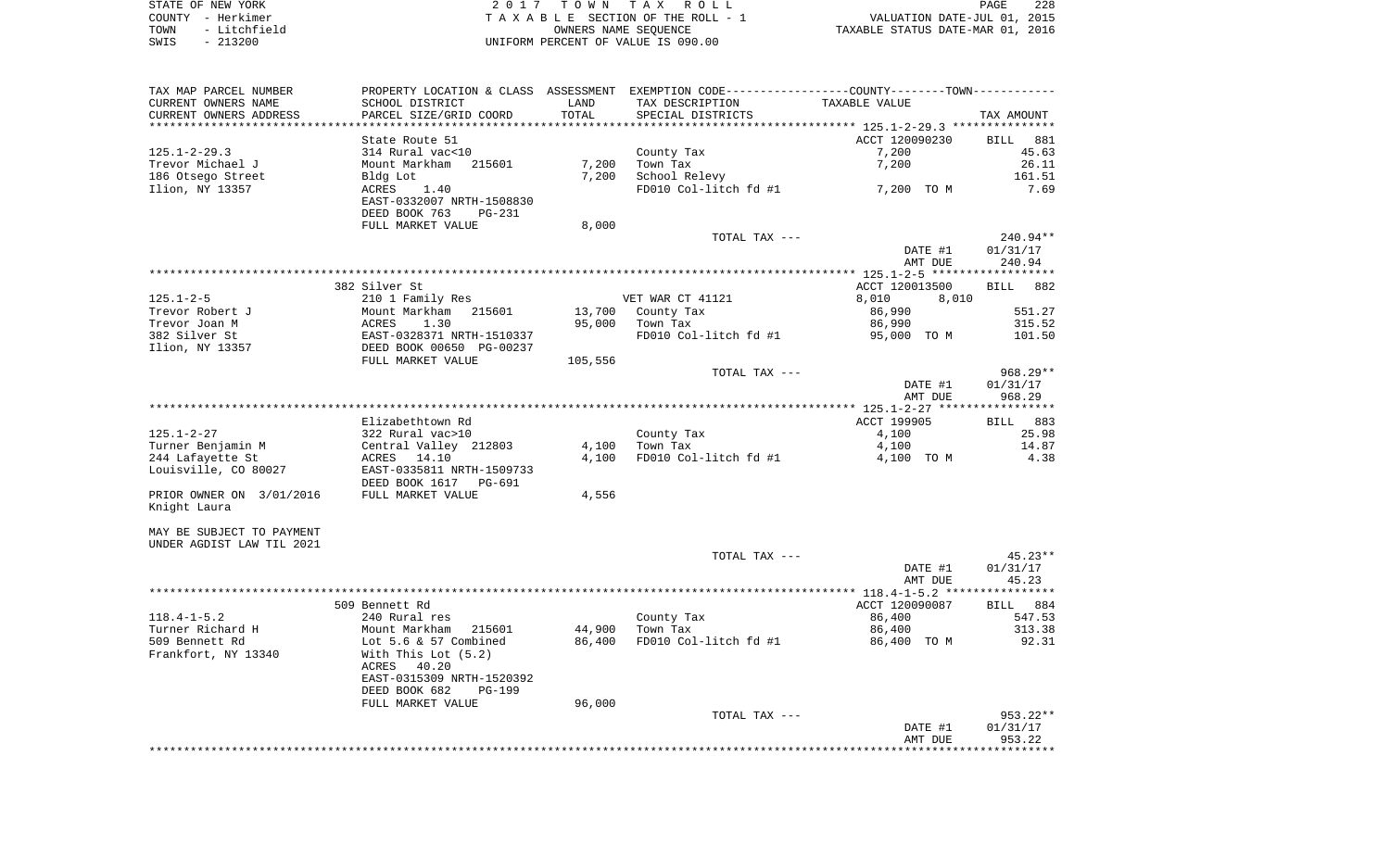| STATE OF NEW YORK |              | 2017 TOWN TAX ROLL                 | PAGE                             | 228 |
|-------------------|--------------|------------------------------------|----------------------------------|-----|
| COUNTY - Herkimer |              | TAXABLE SECTION OF THE ROLL - 1    | VALUATION DATE-JUL 01, 2015      |     |
| TOWN              | - Litchfield | OWNERS NAME SEOUENCE               | TAXABLE STATUS DATE-MAR 01, 2016 |     |
| SWIS              | $-213200$    | UNIFORM PERCENT OF VALUE IS 090.00 |                                  |     |

| TAX MAP PARCEL NUMBER     |                                         |         | PROPERTY LOCATION & CLASS ASSESSMENT EXEMPTION CODE---------------COUNTY--------TOWN---------- |                |                    |
|---------------------------|-----------------------------------------|---------|------------------------------------------------------------------------------------------------|----------------|--------------------|
| CURRENT OWNERS NAME       | SCHOOL DISTRICT                         | LAND    | TAX DESCRIPTION                                                                                | TAXABLE VALUE  |                    |
| CURRENT OWNERS ADDRESS    | PARCEL SIZE/GRID COORD                  | TOTAL   | SPECIAL DISTRICTS                                                                              |                | TAX AMOUNT         |
|                           |                                         |         |                                                                                                |                |                    |
|                           | State Route 51                          |         |                                                                                                | ACCT 120090230 | <b>BILL</b><br>881 |
| $125.1 - 2 - 29.3$        | 314 Rural vac<10                        |         | County Tax                                                                                     | 7,200          | 45.63              |
| Trevor Michael J          | Mount Markham 215601                    | 7,200   | Town Tax                                                                                       | 7,200          | 26.11              |
| 186 Otsego Street         | Bldg Lot                                | 7,200   | School Relevy                                                                                  |                | 161.51             |
| Ilion, NY 13357           | ACRES<br>1.40                           |         | FD010 Col-litch fd #1                                                                          | 7,200 TO M     | 7.69               |
|                           | EAST-0332007 NRTH-1508830               |         |                                                                                                |                |                    |
|                           | DEED BOOK 763<br>PG-231                 |         |                                                                                                |                |                    |
|                           | FULL MARKET VALUE                       | 8,000   |                                                                                                |                |                    |
|                           |                                         |         | TOTAL TAX ---                                                                                  |                | 240.94**           |
|                           |                                         |         |                                                                                                | DATE #1        | 01/31/17           |
|                           |                                         |         |                                                                                                | AMT DUE        | 240.94             |
|                           |                                         |         |                                                                                                |                |                    |
|                           | 382 Silver St                           |         |                                                                                                | ACCT 120013500 | <b>BILL</b><br>882 |
| 125.1-2-5                 | 210 1 Family Res                        |         | VET WAR CT 41121                                                                               | 8,010<br>8,010 |                    |
| Trevor Robert J           | Mount Markham 215601                    |         | 13,700 County Tax                                                                              | 86,990         | 551.27             |
| Trevor Joan M             | 1.30<br><b>ACRES</b>                    | 95,000  | Town Tax                                                                                       | 86,990         | 315.52             |
| 382 Silver St             | EAST-0328371 NRTH-1510337               |         | FD010 Col-litch fd #1                                                                          | 95,000 TO M    | 101.50             |
| Ilion, NY 13357           | DEED BOOK 00650 PG-00237                |         |                                                                                                |                |                    |
|                           | FULL MARKET VALUE                       | 105,556 |                                                                                                |                | $968.29**$         |
|                           |                                         |         | TOTAL TAX ---                                                                                  | DATE #1        | 01/31/17           |
|                           |                                         |         |                                                                                                | AMT DUE        | 968.29             |
|                           |                                         |         |                                                                                                |                |                    |
|                           | Elizabethtown Rd                        |         |                                                                                                | ACCT 199905    | BILL 883           |
| 125.1-2-27                | 322 Rural vac>10                        |         | County Tax                                                                                     | 4,100          | 25.98              |
| Turner Benjamin M         | Central Valley 212803                   | 4,100   | Town Tax                                                                                       | 4,100          | 14.87              |
| 244 Lafayette St          | ACRES 14.10                             | 4,100   | FD010 Col-litch fd #1                                                                          | 4,100 TO M     | 4.38               |
| Louisville, CO 80027      | EAST-0335811 NRTH-1509733               |         |                                                                                                |                |                    |
|                           | DEED BOOK 1617 PG-691                   |         |                                                                                                |                |                    |
| PRIOR OWNER ON 3/01/2016  | FULL MARKET VALUE                       | 4,556   |                                                                                                |                |                    |
| Knight Laura              |                                         |         |                                                                                                |                |                    |
|                           |                                         |         |                                                                                                |                |                    |
| MAY BE SUBJECT TO PAYMENT |                                         |         |                                                                                                |                |                    |
| UNDER AGDIST LAW TIL 2021 |                                         |         |                                                                                                |                |                    |
|                           |                                         |         | TOTAL TAX ---                                                                                  |                | 45.23**            |
|                           |                                         |         |                                                                                                | DATE #1        | 01/31/17           |
|                           |                                         |         |                                                                                                | AMT DUE        | 45.23              |
|                           |                                         |         |                                                                                                |                |                    |
|                           | 509 Bennett Rd                          |         |                                                                                                | ACCT 120090087 | BILL 884           |
| $118.4 - 1 - 5.2$         | 240 Rural res                           |         | County Tax                                                                                     | 86,400         | 547.53             |
| Turner Richard H          | Mount Markham 215601                    | 44,900  | Town Tax                                                                                       | 86,400         | 313.38             |
| 509 Bennett Rd            | Lot 5.6 & 57 Combined                   | 86,400  | FD010 Col-litch fd #1                                                                          | 86,400 TO M    | 92.31              |
| Frankfort, NY 13340       | With This Lot $(5.2)$<br>ACRES<br>40.20 |         |                                                                                                |                |                    |
|                           | EAST-0315309 NRTH-1520392               |         |                                                                                                |                |                    |
|                           | DEED BOOK 682<br>PG-199                 |         |                                                                                                |                |                    |
|                           | FULL MARKET VALUE                       | 96,000  |                                                                                                |                |                    |
|                           |                                         |         | TOTAL TAX ---                                                                                  |                | 953.22**           |
|                           |                                         |         |                                                                                                | DATE #1        | 01/31/17           |
|                           |                                         |         |                                                                                                | AMT DUE        | 953.22             |
|                           |                                         |         |                                                                                                |                |                    |
|                           |                                         |         |                                                                                                |                |                    |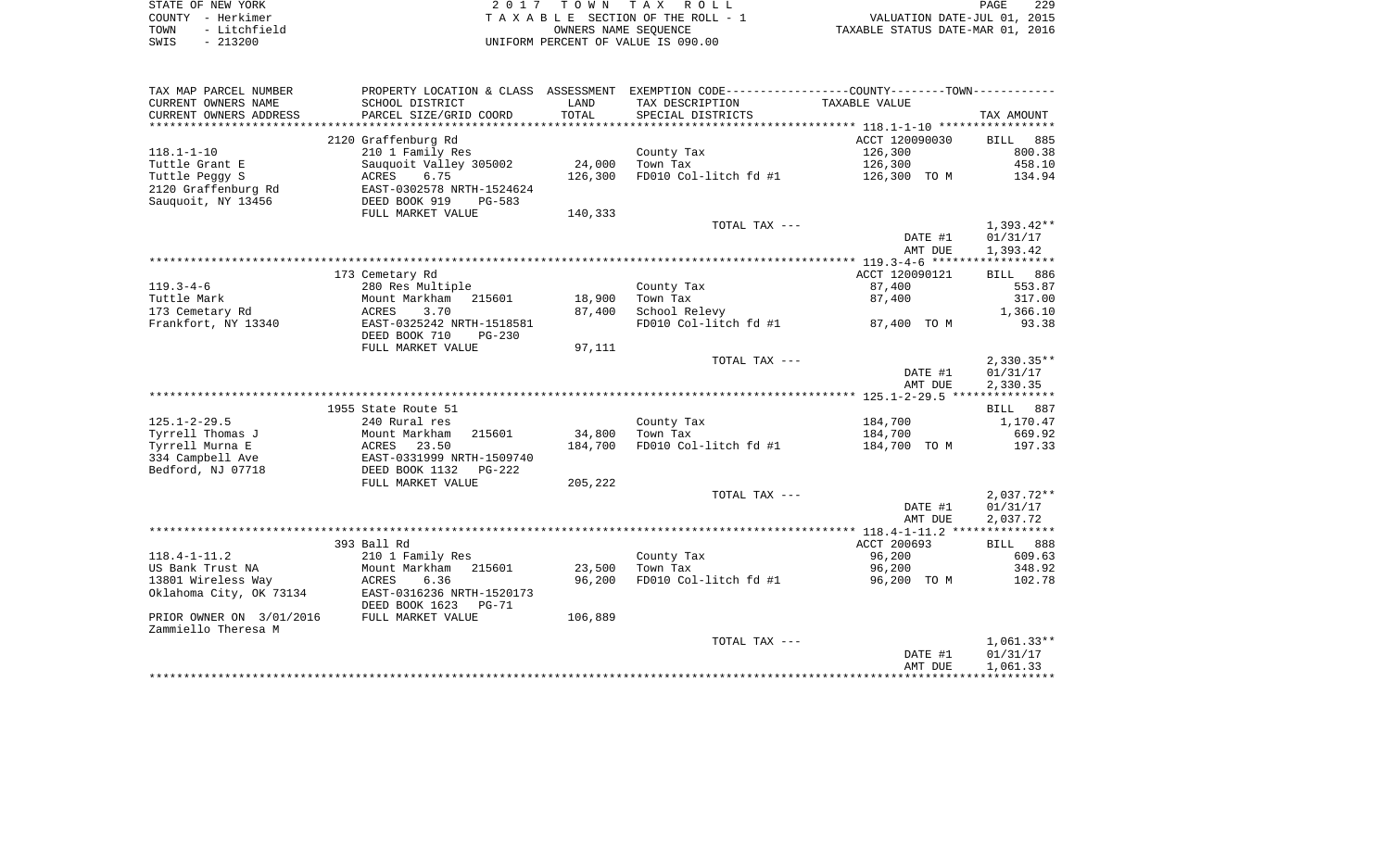| STATE OF NEW YORK    | 2017 TOWN TAX ROLL                 | 229<br>PAGE                      |
|----------------------|------------------------------------|----------------------------------|
| COUNTY - Herkimer    | TAXABLE SECTION OF THE ROLL - 1    | VALUATION DATE-JUL 01, 2015      |
| - Litchfield<br>TOWN | OWNERS NAME SEOUENCE               | TAXABLE STATUS DATE-MAR 01, 2016 |
| $-213200$<br>SWIS    | UNIFORM PERCENT OF VALUE IS 090.00 |                                  |

| TAX MAP PARCEL NUMBER    | PROPERTY LOCATION & CLASS ASSESSMENT |         | EXEMPTION CODE-----------------COUNTY-------TOWN----------- |                |                    |
|--------------------------|--------------------------------------|---------|-------------------------------------------------------------|----------------|--------------------|
| CURRENT OWNERS NAME      | SCHOOL DISTRICT                      | LAND    | TAX DESCRIPTION                                             | TAXABLE VALUE  |                    |
| CURRENT OWNERS ADDRESS   | PARCEL SIZE/GRID COORD               | TOTAL   | SPECIAL DISTRICTS                                           |                | TAX AMOUNT         |
| ********************     |                                      |         |                                                             |                |                    |
|                          | 2120 Graffenburg Rd                  |         |                                                             | ACCT 120090030 | <b>BILL</b><br>885 |
| $118.1 - 1 - 10$         | 210 1 Family Res                     |         | County Tax                                                  | 126,300        | 800.38             |
| Tuttle Grant E           | Sauquoit Valley 305002               | 24,000  | Town Tax                                                    | 126,300        | 458.10             |
| Tuttle Peggy S           | 6.75<br>ACRES                        | 126,300 | FD010 Col-litch fd #1                                       | 126,300 TO M   | 134.94             |
| 2120 Graffenburg Rd      | EAST-0302578 NRTH-1524624            |         |                                                             |                |                    |
| Sauquoit, NY 13456       | DEED BOOK 919<br>$PG-583$            |         |                                                             |                |                    |
|                          | FULL MARKET VALUE                    | 140,333 |                                                             |                |                    |
|                          |                                      |         | TOTAL TAX ---                                               |                | $1,393.42**$       |
|                          |                                      |         |                                                             | DATE #1        | 01/31/17           |
|                          |                                      |         |                                                             | AMT DUE        | 1,393.42           |
|                          | 173 Cemetary Rd                      |         |                                                             | ACCT 120090121 | BILL 886           |
| $119.3 - 4 - 6$          | 280 Res Multiple                     |         | County Tax                                                  | 87,400         | 553.87             |
| Tuttle Mark              | Mount Markham<br>215601              | 18,900  | Town Tax                                                    | 87,400         | 317.00             |
| 173 Cemetary Rd          | ACRES<br>3.70                        | 87,400  | School Relevy                                               |                | 1,366.10           |
| Frankfort, NY 13340      | EAST-0325242 NRTH-1518581            |         | FD010 Col-litch fd #1                                       | 87,400 TO M    | 93.38              |
|                          | DEED BOOK 710<br>$PG-230$            |         |                                                             |                |                    |
|                          | FULL MARKET VALUE                    | 97,111  |                                                             |                |                    |
|                          |                                      |         | TOTAL TAX ---                                               |                | $2,330.35**$       |
|                          |                                      |         |                                                             | DATE #1        | 01/31/17           |
|                          |                                      |         |                                                             | AMT DUE        | 2,330.35           |
|                          |                                      |         |                                                             |                |                    |
|                          | 1955 State Route 51                  |         |                                                             |                | BILL 887           |
| $125.1 - 2 - 29.5$       | 240 Rural res                        |         | County Tax                                                  | 184,700        | 1,170.47           |
| Tyrrell Thomas J         | Mount Markham<br>215601              | 34,800  | Town Tax                                                    | 184,700        | 669.92             |
| Tyrrell Murna E          | ACRES<br>23.50                       | 184,700 | FD010 Col-litch fd #1                                       | 184,700 TO M   | 197.33             |
| 334 Campbell Ave         | EAST-0331999 NRTH-1509740            |         |                                                             |                |                    |
| Bedford, NJ 07718        | DEED BOOK 1132<br>PG-222             |         |                                                             |                |                    |
|                          | FULL MARKET VALUE                    | 205,222 | TOTAL TAX ---                                               |                | $2,037.72**$       |
|                          |                                      |         |                                                             | DATE #1        | 01/31/17           |
|                          |                                      |         |                                                             | AMT DUE        | 2,037.72           |
|                          |                                      |         |                                                             |                |                    |
|                          | 393 Ball Rd                          |         |                                                             | ACCT 200693    | BILL 888           |
| $118.4 - 1 - 11.2$       | 210 1 Family Res                     |         | County Tax                                                  | 96,200         | 609.63             |
| US Bank Trust NA         | Mount Markham<br>215601              | 23,500  | Town Tax                                                    | 96,200         | 348.92             |
| 13801 Wireless Way       | ACRES<br>6.36                        | 96,200  | FD010 Col-litch fd #1                                       | 96,200 TO M    | 102.78             |
| Oklahoma City, OK 73134  | EAST-0316236 NRTH-1520173            |         |                                                             |                |                    |
|                          | DEED BOOK 1623<br>PG-71              |         |                                                             |                |                    |
| PRIOR OWNER ON 3/01/2016 | FULL MARKET VALUE                    | 106,889 |                                                             |                |                    |
| Zammiello Theresa M      |                                      |         |                                                             |                |                    |
|                          |                                      |         | TOTAL TAX ---                                               |                | 1,061.33**         |
|                          |                                      |         |                                                             | DATE #1        | 01/31/17           |
|                          |                                      |         |                                                             | AMT DUE        | 1,061.33           |
|                          |                                      |         |                                                             |                |                    |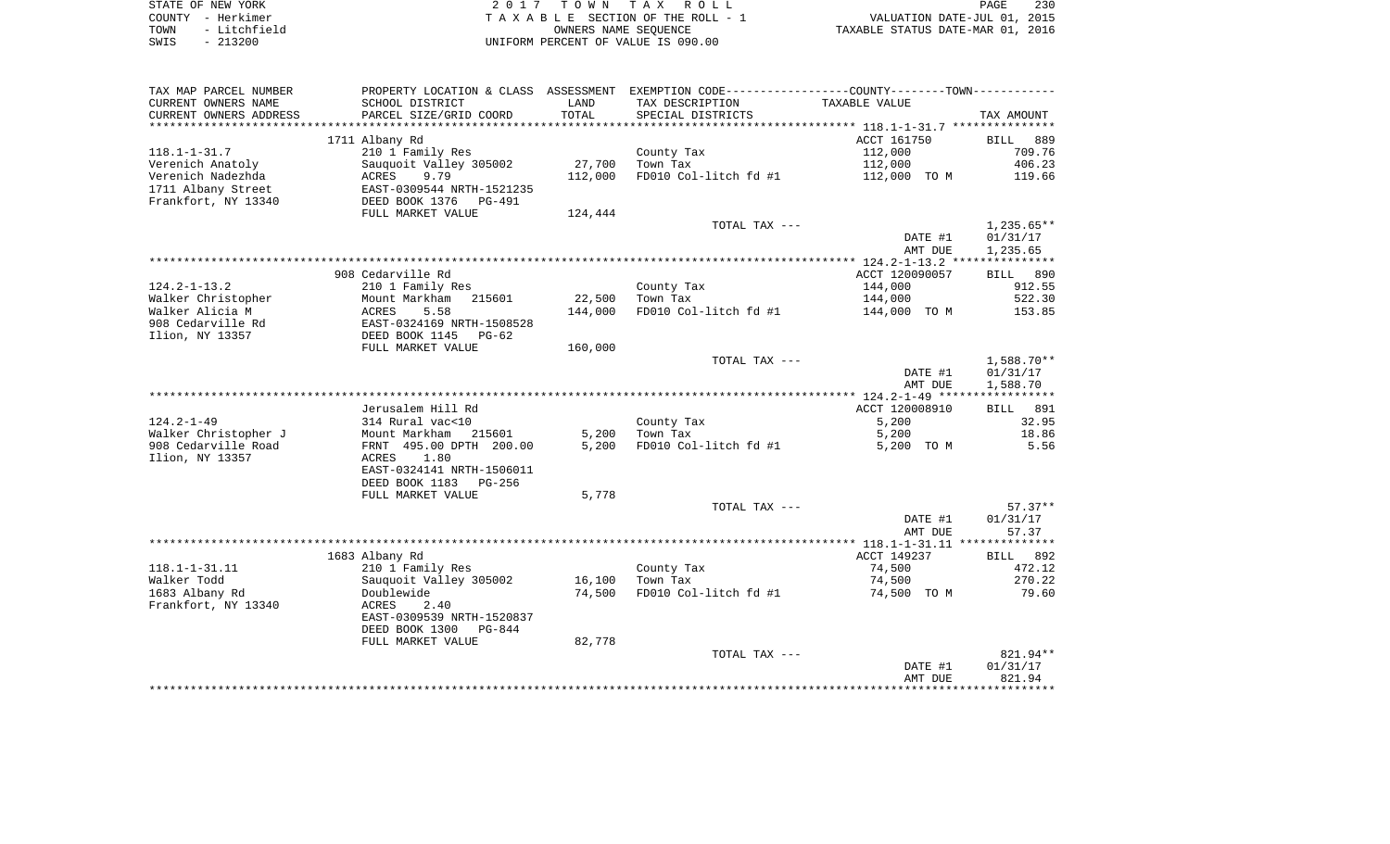| STATE OF NEW YORK    | 2017 TOWN TAX ROLL                 | 230<br>PAGE                      |
|----------------------|------------------------------------|----------------------------------|
| COUNTY - Herkimer    | TAXABLE SECTION OF THE ROLL - 1    | VALUATION DATE-JUL 01, 2015      |
| - Litchfield<br>TOWN | OWNERS NAME SEOUENCE               | TAXABLE STATUS DATE-MAR 01, 2016 |
| $-213200$<br>SWIS    | UNIFORM PERCENT OF VALUE IS 090.00 |                                  |

| TAX MAP PARCEL NUMBER                |                                            |         | PROPERTY LOCATION & CLASS ASSESSMENT EXEMPTION CODE---------------COUNTY-------TOWN---------- |                |                      |
|--------------------------------------|--------------------------------------------|---------|-----------------------------------------------------------------------------------------------|----------------|----------------------|
| CURRENT OWNERS NAME                  | SCHOOL DISTRICT                            | LAND    | TAX DESCRIPTION                                                                               | TAXABLE VALUE  |                      |
| CURRENT OWNERS ADDRESS               | PARCEL SIZE/GRID COORD                     | TOTAL   | SPECIAL DISTRICTS                                                                             |                | TAX AMOUNT           |
| ************************             |                                            |         |                                                                                               |                |                      |
|                                      | 1711 Albany Rd                             |         |                                                                                               | ACCT 161750    | BILL<br>889          |
| $118.1 - 1 - 31.7$                   | 210 1 Family Res                           |         | County Tax                                                                                    | 112,000        | 709.76               |
| Verenich Anatoly                     | Sauquoit Valley 305002                     | 27,700  | Town Tax                                                                                      | 112,000        | 406.23               |
| Verenich Nadezhda                    | 9.79<br>ACRES                              | 112,000 | FD010 Col-litch fd #1                                                                         | 112,000 TO M   | 119.66               |
| 1711 Albany Street                   | EAST-0309544 NRTH-1521235                  |         |                                                                                               |                |                      |
| Frankfort, NY 13340                  | DEED BOOK 1376<br>PG-491                   |         |                                                                                               |                |                      |
|                                      | FULL MARKET VALUE                          | 124,444 |                                                                                               |                |                      |
|                                      |                                            |         | TOTAL TAX ---                                                                                 |                | $1,235.65**$         |
|                                      |                                            |         |                                                                                               | DATE #1        | 01/31/17             |
|                                      |                                            |         |                                                                                               | AMT DUE        | 1,235.65             |
|                                      |                                            |         |                                                                                               |                |                      |
|                                      | 908 Cedarville Rd                          |         |                                                                                               | ACCT 120090057 | BILL 890             |
| $124.2 - 1 - 13.2$                   | 210 1 Family Res                           |         | County Tax                                                                                    | 144,000        | 912.55               |
| Walker Christopher                   | Mount Markham<br>215601                    | 22,500  | Town Tax                                                                                      | 144,000        | 522.30               |
| Walker Alicia M<br>908 Cedarville Rd | 5.58<br>ACRES<br>EAST-0324169 NRTH-1508528 | 144,000 | FD010 Col-litch fd #1                                                                         | 144,000 TO M   | 153.85               |
| Ilion, NY 13357                      | DEED BOOK 1145<br>$PG-62$                  |         |                                                                                               |                |                      |
|                                      | FULL MARKET VALUE                          | 160,000 |                                                                                               |                |                      |
|                                      |                                            |         | TOTAL TAX ---                                                                                 |                | 1,588.70**           |
|                                      |                                            |         |                                                                                               | DATE #1        | 01/31/17             |
|                                      |                                            |         |                                                                                               | AMT DUE        | 1,588.70             |
|                                      |                                            |         |                                                                                               |                |                      |
|                                      | Jerusalem Hill Rd                          |         |                                                                                               | ACCT 120008910 | <b>BILL</b> 891      |
| $124.2 - 1 - 49$                     | 314 Rural vac<10                           |         | County Tax                                                                                    | 5,200          | 32.95                |
| Walker Christopher J                 | Mount Markham<br>215601                    | 5,200   | Town Tax                                                                                      | 5,200          | 18.86                |
| 908 Cedarville Road                  | FRNT 495.00 DPTH 200.00                    | 5,200   | FD010 Col-litch fd #1                                                                         | 5,200 TO M     | 5.56                 |
| Ilion, NY 13357                      | ACRES<br>1.80                              |         |                                                                                               |                |                      |
|                                      | EAST-0324141 NRTH-1506011                  |         |                                                                                               |                |                      |
|                                      | DEED BOOK 1183<br>$PG-256$                 |         |                                                                                               |                |                      |
|                                      | FULL MARKET VALUE                          | 5,778   |                                                                                               |                |                      |
|                                      |                                            |         | TOTAL TAX ---                                                                                 |                | $57.37**$            |
|                                      |                                            |         |                                                                                               | DATE #1        | 01/31/17             |
|                                      |                                            |         |                                                                                               | AMT DUE        | 57.37                |
|                                      |                                            |         |                                                                                               |                |                      |
|                                      | 1683 Albany Rd                             |         |                                                                                               | ACCT 149237    | BILL 892             |
| $118.1 - 1 - 31.11$                  | 210 1 Family Res                           |         | County Tax                                                                                    | 74,500         | 472.12               |
| Walker Todd                          | Sauquoit Valley 305002                     | 16,100  | Town Tax                                                                                      | 74,500         | 270.22               |
| 1683 Albany Rd                       | Doublewide                                 | 74,500  | FD010 Col-litch fd #1                                                                         | 74,500 TO M    | 79.60                |
| Frankfort, NY 13340                  | ACRES<br>2.40                              |         |                                                                                               |                |                      |
|                                      | EAST-0309539 NRTH-1520837                  |         |                                                                                               |                |                      |
|                                      | DEED BOOK 1300<br>$PG-844$                 |         |                                                                                               |                |                      |
|                                      | FULL MARKET VALUE                          | 82,778  |                                                                                               |                |                      |
|                                      |                                            |         | TOTAL TAX ---                                                                                 |                | 821.94**<br>01/31/17 |
|                                      |                                            |         |                                                                                               | DATE #1        |                      |
|                                      |                                            |         |                                                                                               | AMT DUE        | 821.94               |
|                                      |                                            |         |                                                                                               |                |                      |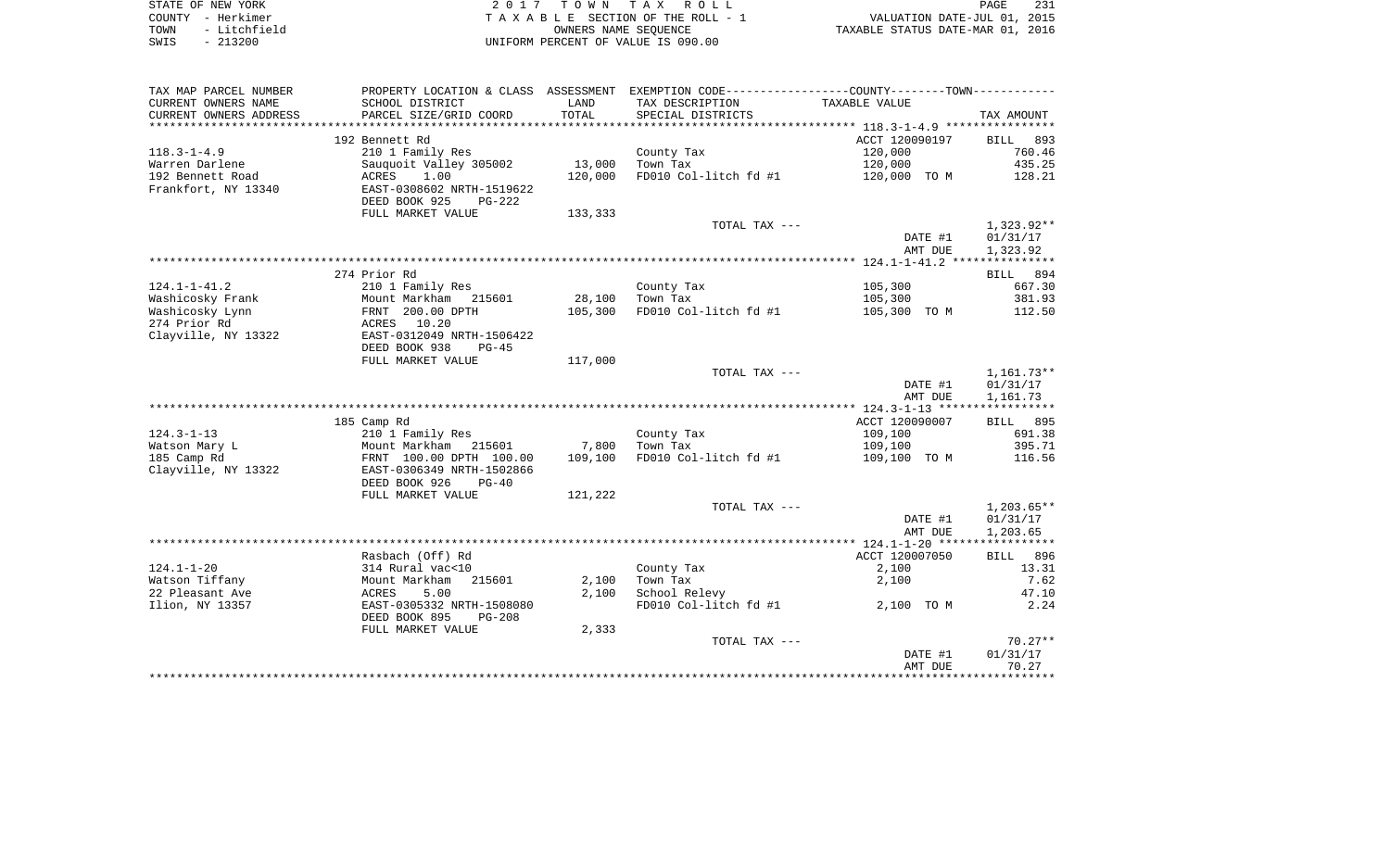|      | STATE OF NEW YORK | TOWN TAX ROLL<br>2017              | PAGE                             | 231 |
|------|-------------------|------------------------------------|----------------------------------|-----|
|      | COUNTY - Herkimer | TAXABLE SECTION OF THE ROLL - 1    | VALUATION DATE-JUL 01, 2015      |     |
| TOWN | - Litchfield      | OWNERS NAME SEOUENCE               | TAXABLE STATUS DATE-MAR 01, 2016 |     |
| SWIS | $-213200$         | UNIFORM PERCENT OF VALUE IS 090.00 |                                  |     |

| TAX MAP PARCEL NUMBER  | PROPERTY LOCATION & CLASS ASSESSMENT |            | EXEMPTION CODE-----------------COUNTY-------TOWN----------- |                |                    |
|------------------------|--------------------------------------|------------|-------------------------------------------------------------|----------------|--------------------|
| CURRENT OWNERS NAME    | SCHOOL DISTRICT                      | LAND       | TAX DESCRIPTION                                             | TAXABLE VALUE  |                    |
| CURRENT OWNERS ADDRESS | PARCEL SIZE/GRID COORD               | TOTAL      | SPECIAL DISTRICTS                                           |                | TAX AMOUNT         |
|                        |                                      | ********** |                                                             |                |                    |
|                        | 192 Bennett Rd                       |            |                                                             | ACCT 120090197 | 893<br>BILL        |
| $118.3 - 1 - 4.9$      | 210 1 Family Res                     |            | County Tax                                                  | 120,000        | 760.46             |
| Warren Darlene         | Sauquoit Valley 305002               | 13,000     | Town Tax                                                    | 120,000        | 435.25             |
| 192 Bennett Road       | 1.00<br>ACRES                        | 120,000    | $FD010$ Col-litch fd #1                                     | 120,000 TO M   | 128.21             |
| Frankfort, NY 13340    | EAST-0308602 NRTH-1519622            |            |                                                             |                |                    |
|                        | DEED BOOK 925<br>$PG-222$            |            |                                                             |                |                    |
|                        | FULL MARKET VALUE                    | 133,333    |                                                             |                |                    |
|                        |                                      |            | TOTAL TAX ---                                               |                | 1,323.92**         |
|                        |                                      |            |                                                             | DATE #1        | 01/31/17           |
|                        |                                      |            |                                                             | AMT DUE        | 1,323.92           |
|                        |                                      |            |                                                             |                |                    |
|                        | 274 Prior Rd                         |            |                                                             |                | BILL 894           |
| $124.1 - 1 - 41.2$     | 210 1 Family Res                     |            | County Tax                                                  | 105,300        | 667.30             |
|                        |                                      |            |                                                             |                |                    |
| Washicosky Frank       | Mount Markham 215601                 | 28,100     | Town Tax                                                    | 105,300        | 381.93             |
| Washicosky Lynn        | FRNT 200.00 DPTH                     | 105,300    | FD010 Col-litch fd #1                                       | 105,300 TO M   | 112.50             |
| 274 Prior Rd           | ACRES 10.20                          |            |                                                             |                |                    |
| Clayville, NY 13322    | EAST-0312049 NRTH-1506422            |            |                                                             |                |                    |
|                        | DEED BOOK 938<br>$PG-45$             |            |                                                             |                |                    |
|                        | FULL MARKET VALUE                    | 117,000    |                                                             |                |                    |
|                        |                                      |            | TOTAL TAX ---                                               |                | $1,161.73**$       |
|                        |                                      |            |                                                             | DATE #1        | 01/31/17           |
|                        |                                      |            |                                                             | AMT DUE        | 1,161.73           |
|                        |                                      |            |                                                             |                |                    |
|                        | 185 Camp Rd                          |            |                                                             | ACCT 120090007 | BILL 895           |
| $124.3 - 1 - 13$       | 210 1 Family Res                     |            | County Tax                                                  | 109,100        | 691.38             |
| Watson Mary L          | Mount Markham<br>215601              | 7,800      | Town Tax                                                    | 109,100        | 395.71             |
| 185 Camp Rd            | FRNT 100.00 DPTH 100.00              | 109,100    | FD010 Col-litch fd #1                                       | 109,100 TO M   | 116.56             |
| Clayville, NY 13322    | EAST-0306349 NRTH-1502866            |            |                                                             |                |                    |
|                        | DEED BOOK 926<br>$PG-40$             |            |                                                             |                |                    |
|                        | FULL MARKET VALUE                    | 121,222    |                                                             |                |                    |
|                        |                                      |            | TOTAL TAX ---                                               |                | $1,203.65**$       |
|                        |                                      |            |                                                             | DATE #1        | 01/31/17           |
|                        |                                      |            |                                                             | AMT DUE        | 1,203.65           |
|                        |                                      |            |                                                             |                |                    |
|                        | Rasbach (Off) Rd                     |            |                                                             | ACCT 120007050 | <b>BILL</b><br>896 |
| $124.1 - 1 - 20$       | 314 Rural vac<10                     |            | County Tax                                                  | 2,100          | 13.31              |
| Watson Tiffany         | Mount Markham<br>215601              | 2,100      | Town Tax                                                    | 2,100          | 7.62               |
| 22 Pleasant Ave        | ACRES<br>5.00                        | 2,100      | School Relevy                                               |                | 47.10              |
| Ilion, NY 13357        | EAST-0305332 NRTH-1508080            |            | FD010 Col-litch fd #1                                       | 2,100 TO M     | 2.24               |
|                        | DEED BOOK 895<br>$PG-208$            |            |                                                             |                |                    |
|                        | FULL MARKET VALUE                    | 2,333      |                                                             |                |                    |
|                        |                                      |            | TOTAL TAX ---                                               |                | $70.27**$          |
|                        |                                      |            |                                                             | DATE #1        | 01/31/17           |
|                        |                                      |            |                                                             | AMT DUE        | 70.27              |
|                        |                                      |            |                                                             |                |                    |
|                        |                                      |            |                                                             |                |                    |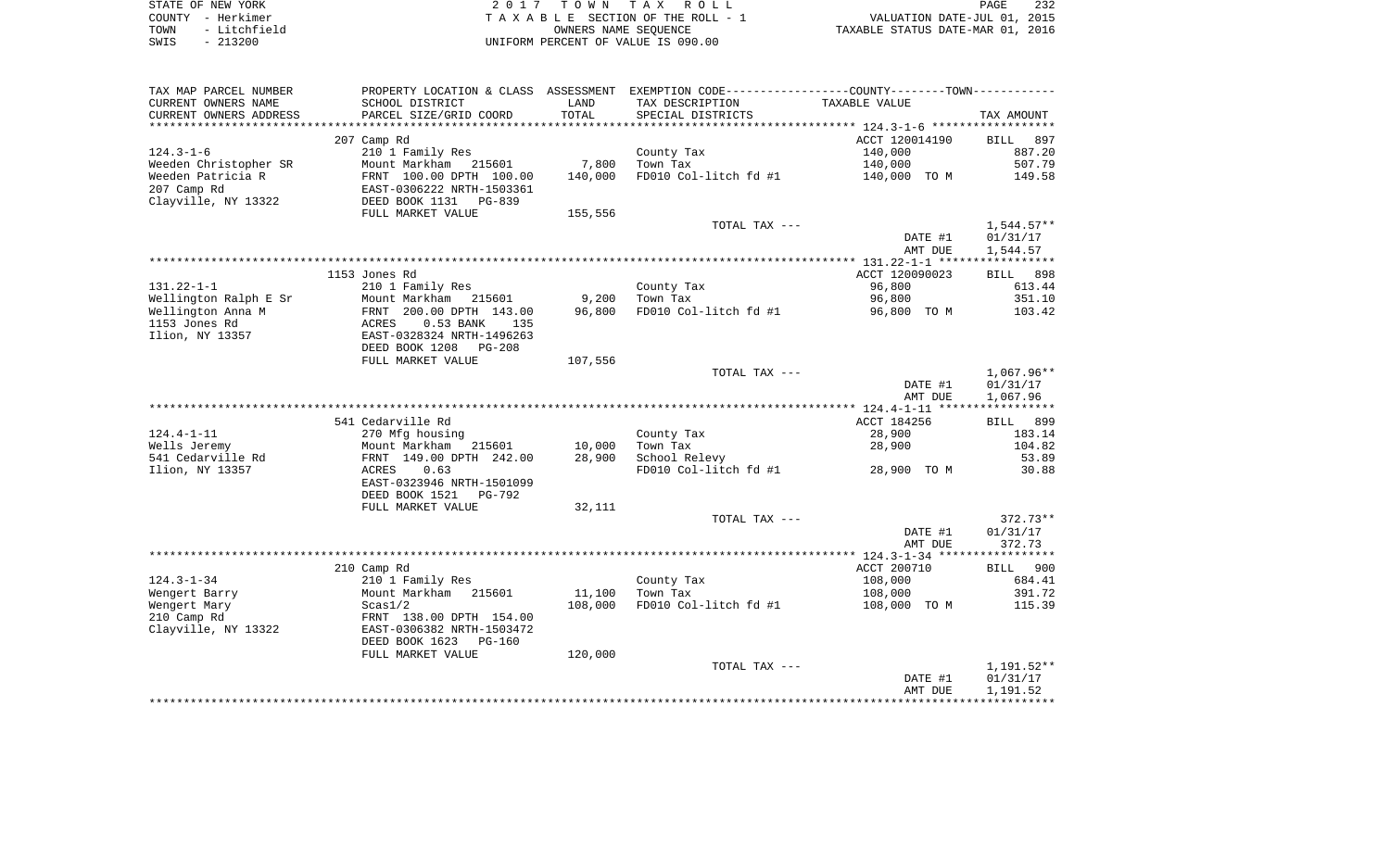| STATE OF NEW YORK    | 2017 TOWN TAX ROLL                 | 232<br>PAGE                      |
|----------------------|------------------------------------|----------------------------------|
| COUNTY - Herkimer    | TAXABLE SECTION OF THE ROLL - 1    | VALUATION DATE-JUL 01, 2015      |
| - Litchfield<br>TOWN | OWNERS NAME SEOUENCE               | TAXABLE STATUS DATE-MAR 01, 2016 |
| $-213200$<br>SWIS    | UNIFORM PERCENT OF VALUE IS 090.00 |                                  |

| TAX MAP PARCEL NUMBER  |                              |         | PROPERTY LOCATION & CLASS ASSESSMENT EXEMPTION CODE----------------COUNTY--------TOWN----------- |                |              |
|------------------------|------------------------------|---------|--------------------------------------------------------------------------------------------------|----------------|--------------|
| CURRENT OWNERS NAME    | SCHOOL DISTRICT              | LAND    | TAX DESCRIPTION                                                                                  | TAXABLE VALUE  |              |
| CURRENT OWNERS ADDRESS | PARCEL SIZE/GRID COORD       | TOTAL   | SPECIAL DISTRICTS                                                                                |                | TAX AMOUNT   |
| ********************   | **************************** |         |                                                                                                  |                |              |
|                        | 207 Camp Rd                  |         |                                                                                                  | ACCT 120014190 | 897<br>BILL  |
| $124.3 - 1 - 6$        | 210 1 Family Res             |         | County Tax                                                                                       | 140,000        | 887.20       |
| Weeden Christopher SR  | Mount Markham 215601         | 7,800   | Town Tax                                                                                         | 140,000        | 507.79       |
| Weeden Patricia R      | FRNT 100.00 DPTH 100.00      | 140,000 | FD010 Col-litch fd #1                                                                            | 140,000 TO M   | 149.58       |
| 207 Camp Rd            | EAST-0306222 NRTH-1503361    |         |                                                                                                  |                |              |
| Clayville, NY 13322    | DEED BOOK 1131<br>PG-839     |         |                                                                                                  |                |              |
|                        | FULL MARKET VALUE            | 155,556 |                                                                                                  |                |              |
|                        |                              |         | TOTAL TAX ---                                                                                    |                | 1,544.57**   |
|                        |                              |         |                                                                                                  | DATE #1        | 01/31/17     |
|                        |                              |         |                                                                                                  | AMT DUE        | 1,544.57     |
|                        |                              |         |                                                                                                  |                |              |
|                        | 1153 Jones Rd                |         |                                                                                                  | ACCT 120090023 | BILL 898     |
| $131.22 - 1 - 1$       | 210 1 Family Res             |         | County Tax                                                                                       | 96,800         | 613.44       |
| Wellington Ralph E Sr  | Mount Markham<br>215601      | 9,200   | Town Tax                                                                                         | 96,800         | 351.10       |
| Wellington Anna M      | FRNT 200.00 DPTH 143.00      | 96,800  | FD010 Col-litch fd #1                                                                            | 96,800 TO M    | 103.42       |
| 1153 Jones Rd          | ACRES<br>0.53 BANK<br>135    |         |                                                                                                  |                |              |
| Ilion, NY 13357        | EAST-0328324 NRTH-1496263    |         |                                                                                                  |                |              |
|                        | DEED BOOK 1208<br>$PG-208$   |         |                                                                                                  |                |              |
|                        | FULL MARKET VALUE            | 107,556 |                                                                                                  |                |              |
|                        |                              |         | TOTAL TAX ---                                                                                    |                | $1,067.96**$ |
|                        |                              |         |                                                                                                  | DATE #1        | 01/31/17     |
|                        |                              |         |                                                                                                  | AMT DUE        | 1,067.96     |
|                        |                              |         |                                                                                                  |                |              |
|                        | 541 Cedarville Rd            |         |                                                                                                  | ACCT 184256    | BILL 899     |
| $124.4 - 1 - 11$       | 270 Mfg housing              |         | County Tax                                                                                       | 28,900         | 183.14       |
| Wells Jeremy           | Mount Markham<br>215601      | 10,000  | Town Tax                                                                                         | 28,900         | 104.82       |
| 541 Cedarville Rd      | FRNT 149.00 DPTH 242.00      | 28,900  | School Relevy                                                                                    |                | 53.89        |
| Ilion, NY 13357        | ACRES<br>0.63                |         | FD010 Col-litch fd #1                                                                            | 28,900 TO M    | 30.88        |
|                        | EAST-0323946 NRTH-1501099    |         |                                                                                                  |                |              |
|                        | DEED BOOK 1521<br>PG-792     |         |                                                                                                  |                |              |
|                        | FULL MARKET VALUE            | 32,111  |                                                                                                  |                |              |
|                        |                              |         | TOTAL TAX ---                                                                                    |                | $372.73**$   |
|                        |                              |         |                                                                                                  | DATE #1        | 01/31/17     |
|                        |                              |         |                                                                                                  | AMT DUE        | 372.73       |
|                        |                              |         |                                                                                                  |                |              |
|                        | 210 Camp Rd                  |         |                                                                                                  | ACCT 200710    | BILL 900     |
| $124.3 - 1 - 34$       | 210 1 Family Res             |         | County Tax                                                                                       | 108,000        | 684.41       |
| Wengert Barry          | Mount Markham<br>215601      | 11,100  | Town Tax                                                                                         | 108,000        | 391.72       |
| Wengert Mary           | Scas1/2                      | 108,000 | FD010 Col-litch fd #1                                                                            | 108,000 TO M   | 115.39       |
| 210 Camp Rd            | FRNT 138.00 DPTH 154.00      |         |                                                                                                  |                |              |
| Clayville, NY 13322    | EAST-0306382 NRTH-1503472    |         |                                                                                                  |                |              |
|                        | DEED BOOK 1623<br>PG-160     |         |                                                                                                  |                |              |
|                        |                              | 120,000 |                                                                                                  |                |              |
|                        | FULL MARKET VALUE            |         | TOTAL TAX ---                                                                                    |                | $1,191.52**$ |
|                        |                              |         |                                                                                                  | DATE #1        | 01/31/17     |
|                        |                              |         |                                                                                                  |                |              |
|                        |                              |         |                                                                                                  | AMT DUE        | 1,191.52     |
|                        |                              |         |                                                                                                  |                |              |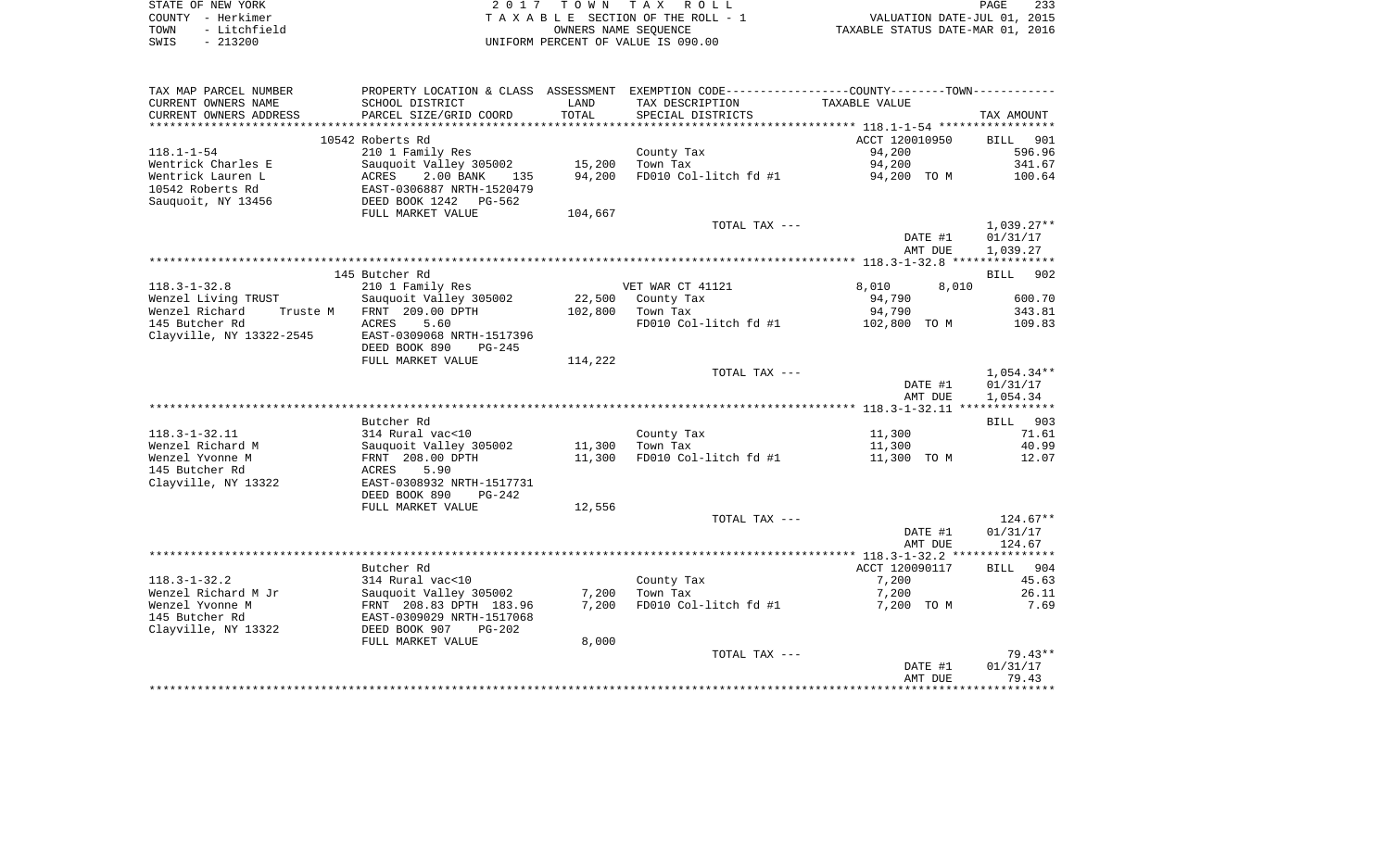| STATE OF NEW YORK    | 2017 TOWN TAX ROLL                 | 233<br>PAGE                      |
|----------------------|------------------------------------|----------------------------------|
| COUNTY - Herkimer    | TAXABLE SECTION OF THE ROLL - 1    | VALUATION DATE-JUL 01, 2015      |
| - Litchfield<br>TOWN | OWNERS NAME SEOUENCE               | TAXABLE STATUS DATE-MAR 01, 2016 |
| $-213200$<br>SWIS    | UNIFORM PERCENT OF VALUE IS 090.00 |                                  |

| TAX MAP PARCEL NUMBER      |                           |                 | PROPERTY LOCATION & CLASS ASSESSMENT EXEMPTION CODE---------------COUNTY--------TOWN---------- |                |              |
|----------------------------|---------------------------|-----------------|------------------------------------------------------------------------------------------------|----------------|--------------|
| CURRENT OWNERS NAME        | SCHOOL DISTRICT           | LAND            | TAX DESCRIPTION                                                                                | TAXABLE VALUE  |              |
| CURRENT OWNERS ADDRESS     | PARCEL SIZE/GRID COORD    | TOTAL           | SPECIAL DISTRICTS                                                                              |                | TAX AMOUNT   |
| *******************        |                           | *************** |                                                                                                |                |              |
|                            | 10542 Roberts Rd          |                 |                                                                                                | ACCT 120010950 | BILL 901     |
| $118.1 - 1 - 54$           | 210 1 Family Res          |                 | County Tax                                                                                     | 94,200         | 596.96       |
| Wentrick Charles E         | Sauquoit Valley 305002    | 15,200          | Town Tax                                                                                       | 94,200         | 341.67       |
| Wentrick Lauren L          | ACRES<br>2.00 BANK<br>135 | 94,200          | FD010 Col-litch fd #1                                                                          | 94,200 TO M    | 100.64       |
| 10542 Roberts Rd           | EAST-0306887 NRTH-1520479 |                 |                                                                                                |                |              |
| Sauquoit, NY 13456         | DEED BOOK 1242 PG-562     |                 |                                                                                                |                |              |
|                            | FULL MARKET VALUE         | 104,667         |                                                                                                |                |              |
|                            |                           |                 | TOTAL TAX ---                                                                                  |                | $1,039.27**$ |
|                            |                           |                 |                                                                                                | DATE #1        | 01/31/17     |
|                            |                           |                 |                                                                                                | AMT DUE        | 1,039.27     |
|                            |                           |                 |                                                                                                |                |              |
|                            | 145 Butcher Rd            |                 |                                                                                                |                | BILL 902     |
| $118.3 - 1 - 32.8$         | 210 1 Family Res          |                 | VET WAR CT 41121                                                                               | 8,010<br>8,010 |              |
| Wenzel Living TRUST        | Sauquoit Valley 305002    | 22,500          | County Tax                                                                                     | 94,790         | 600.70       |
| Wenzel Richard<br>Truste M | FRNT 209.00 DPTH          | 102,800         | Town Tax                                                                                       | 94,790         | 343.81       |
| 145 Butcher Rd             | ACRES<br>5.60             |                 | FD010 Col-litch fd #1                                                                          | 102,800 TO M   | 109.83       |
| Clayville, NY 13322-2545   | EAST-0309068 NRTH-1517396 |                 |                                                                                                |                |              |
|                            | DEED BOOK 890<br>PG-245   |                 |                                                                                                |                |              |
|                            | FULL MARKET VALUE         | 114,222         |                                                                                                |                |              |
|                            |                           |                 | TOTAL TAX ---                                                                                  |                | $1,054.34**$ |
|                            |                           |                 |                                                                                                | DATE #1        | 01/31/17     |
|                            |                           |                 |                                                                                                | AMT DUE        | 1,054.34     |
|                            | Butcher Rd                |                 |                                                                                                |                | BILL 903     |
| $118.3 - 1 - 32.11$        | 314 Rural vac<10          |                 | County Tax                                                                                     | 11,300         | 71.61        |
| Wenzel Richard M           | Sauquoit Valley 305002    | 11,300          | Town Tax                                                                                       | 11,300         | 40.99        |
| Wenzel Yvonne M            | FRNT 208.00 DPTH          | 11,300          | FD010 Col-litch fd #1                                                                          | 11,300 TO M    | 12.07        |
| 145 Butcher Rd             | ACRES<br>5.90             |                 |                                                                                                |                |              |
| Clayville, NY 13322        | EAST-0308932 NRTH-1517731 |                 |                                                                                                |                |              |
|                            | DEED BOOK 890<br>PG-242   |                 |                                                                                                |                |              |
|                            | FULL MARKET VALUE         | 12,556          |                                                                                                |                |              |
|                            |                           |                 | TOTAL TAX ---                                                                                  |                | $124.67**$   |
|                            |                           |                 |                                                                                                | DATE #1        | 01/31/17     |
|                            |                           |                 |                                                                                                | AMT DUE        | 124.67       |
|                            |                           |                 |                                                                                                |                |              |
|                            | Butcher Rd                |                 |                                                                                                | ACCT 120090117 | BILL 904     |
| $118.3 - 1 - 32.2$         | 314 Rural vac<10          |                 | County Tax                                                                                     | 7,200          | 45.63        |
| Wenzel Richard M Jr        | Sauquoit Valley 305002    | 7,200           | Town Tax                                                                                       | 7,200          | 26.11        |
| Wenzel Yvonne M            | FRNT 208.83 DPTH 183.96   | 7,200           | FD010 Col-litch fd #1                                                                          | 7,200 TO M     | 7.69         |
| 145 Butcher Rd             | EAST-0309029 NRTH-1517068 |                 |                                                                                                |                |              |
| Clayville, NY 13322        | DEED BOOK 907<br>$PG-202$ |                 |                                                                                                |                |              |
|                            | FULL MARKET VALUE         | 8,000           |                                                                                                |                |              |
|                            |                           |                 | TOTAL TAX ---                                                                                  |                | $79.43**$    |
|                            |                           |                 |                                                                                                | DATE #1        | 01/31/17     |
|                            |                           |                 |                                                                                                | AMT DUE        | 79.43        |
|                            |                           |                 |                                                                                                |                |              |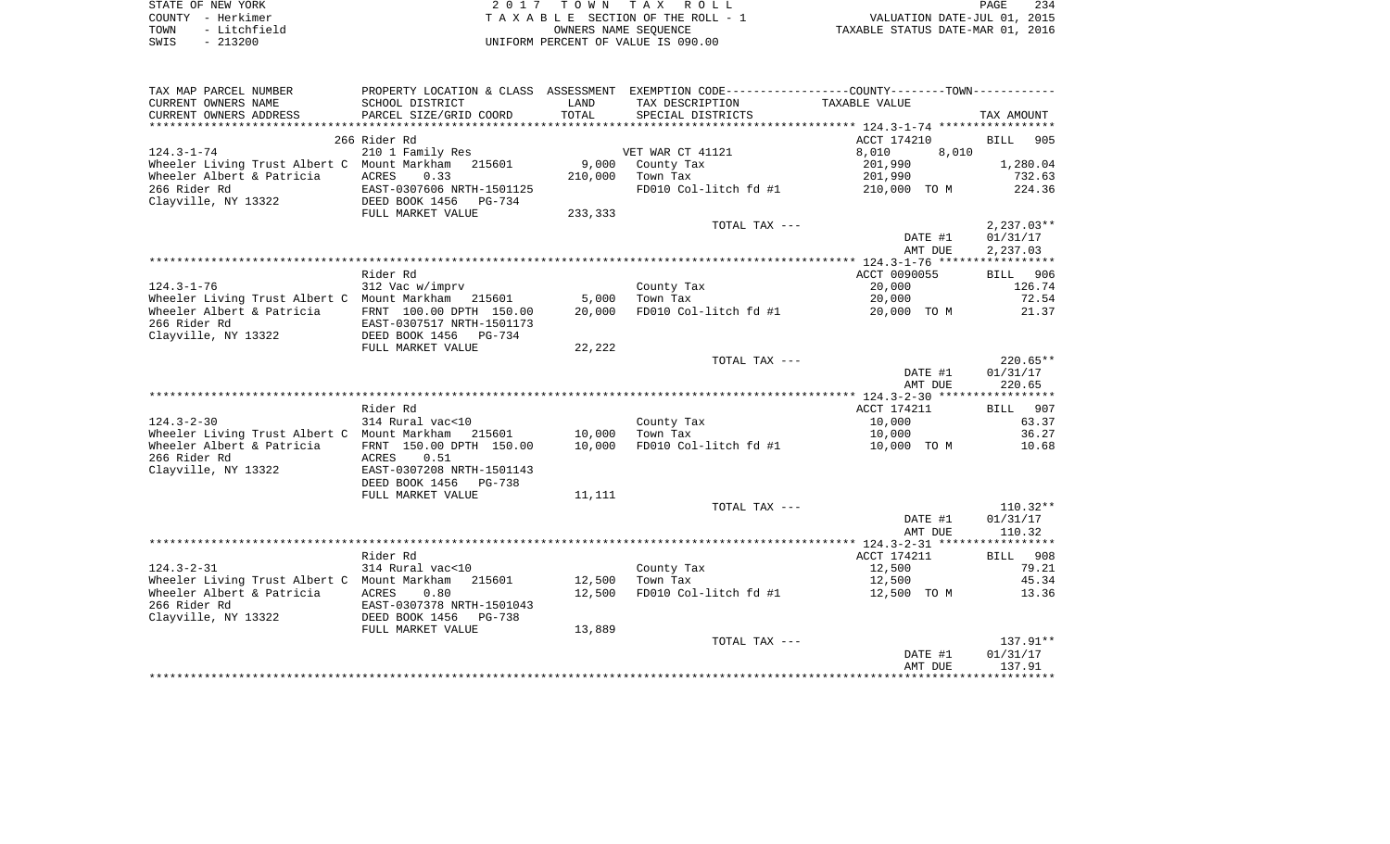| STATE OF NEW YORK    | 2017 TOWN TAX ROLL                 | 234<br>PAGE                      |
|----------------------|------------------------------------|----------------------------------|
| COUNTY - Herkimer    | TAXABLE SECTION OF THE ROLL - 1    | VALUATION DATE-JUL 01, 2015      |
| - Litchfield<br>TOWN | OWNERS NAME SEOUENCE               | TAXABLE STATUS DATE-MAR 01, 2016 |
| $-213200$<br>SWIS    | UNIFORM PERCENT OF VALUE IS 090.00 |                                  |

| TAX MAP PARCEL NUMBER                              |                           |         | PROPERTY LOCATION & CLASS ASSESSMENT EXEMPTION CODE---------------COUNTY-------TOWN---------- |                |              |
|----------------------------------------------------|---------------------------|---------|-----------------------------------------------------------------------------------------------|----------------|--------------|
| CURRENT OWNERS NAME                                | SCHOOL DISTRICT           | LAND    | TAX DESCRIPTION                                                                               | TAXABLE VALUE  |              |
| CURRENT OWNERS ADDRESS                             | PARCEL SIZE/GRID COORD    | TOTAL   | SPECIAL DISTRICTS                                                                             |                | TAX AMOUNT   |
|                                                    |                           |         |                                                                                               |                |              |
|                                                    | 266 Rider Rd              |         |                                                                                               | ACCT 174210    | BILL<br>905  |
| $124.3 - 1 - 74$                                   | 210 1 Family Res          |         | VET WAR CT 41121                                                                              | 8,010<br>8,010 |              |
| Wheeler Living Trust Albert C Mount Markham 215601 |                           | 9,000   | County Tax                                                                                    | 201,990        | 1,280.04     |
| Wheeler Albert & Patricia                          | 0.33<br>ACRES             | 210,000 | Town Tax                                                                                      | 201,990        | 732.63       |
| 266 Rider Rd                                       | EAST-0307606 NRTH-1501125 |         | FD010 Col-litch fd #1                                                                         | 210,000 TO M   | 224.36       |
| Clayville, NY 13322                                | DEED BOOK 1456<br>PG-734  |         |                                                                                               |                |              |
|                                                    | FULL MARKET VALUE         | 233,333 |                                                                                               |                |              |
|                                                    |                           |         | TOTAL TAX ---                                                                                 |                | $2,237.03**$ |
|                                                    |                           |         |                                                                                               | DATE #1        | 01/31/17     |
|                                                    |                           |         |                                                                                               | AMT DUE        | 2,237.03     |
|                                                    |                           |         |                                                                                               |                |              |
|                                                    | Rider Rd                  |         |                                                                                               | ACCT 0090055   | BILL 906     |
| $124.3 - 1 - 76$                                   | 312 Vac w/imprv           |         | County Tax                                                                                    | 20,000         | 126.74       |
| Wheeler Living Trust Albert C Mount Markham 215601 |                           | 5,000   | Town Tax                                                                                      | 20,000         | 72.54        |
| Wheeler Albert & Patricia                          | FRNT 100.00 DPTH 150.00   | 20,000  | FD010 Col-litch fd #1                                                                         | 20,000 TO M    | 21.37        |
| 266 Rider Rd                                       | EAST-0307517 NRTH-1501173 |         |                                                                                               |                |              |
| Clayville, NY 13322                                | DEED BOOK 1456<br>PG-734  |         |                                                                                               |                |              |
|                                                    | FULL MARKET VALUE         | 22,222  | TOTAL TAX ---                                                                                 |                | $220.65**$   |
|                                                    |                           |         |                                                                                               | DATE #1        | 01/31/17     |
|                                                    |                           |         |                                                                                               | AMT DUE        | 220.65       |
|                                                    |                           |         |                                                                                               |                |              |
|                                                    | Rider Rd                  |         |                                                                                               | ACCT 174211    | BILL 907     |
| $124.3 - 2 - 30$                                   | 314 Rural vac<10          |         | County Tax                                                                                    | 10,000         | 63.37        |
| Wheeler Living Trust Albert C Mount Markham 215601 |                           | 10,000  | Town Tax                                                                                      | 10,000         | 36.27        |
| Wheeler Albert & Patricia                          | FRNT 150.00 DPTH 150.00   | 10,000  | FD010 Col-litch fd #1                                                                         | 10,000 TO M    | 10.68        |
| 266 Rider Rd                                       | 0.51<br>ACRES             |         |                                                                                               |                |              |
| Clayville, NY 13322                                | EAST-0307208 NRTH-1501143 |         |                                                                                               |                |              |
|                                                    | DEED BOOK 1456<br>PG-738  |         |                                                                                               |                |              |
|                                                    | FULL MARKET VALUE         | 11,111  |                                                                                               |                |              |
|                                                    |                           |         | TOTAL TAX ---                                                                                 |                | $110.32**$   |
|                                                    |                           |         |                                                                                               | DATE #1        | 01/31/17     |
|                                                    |                           |         |                                                                                               | AMT DUE        | 110.32       |
|                                                    |                           |         |                                                                                               |                |              |
|                                                    | Rider Rd                  |         |                                                                                               | ACCT 174211    | BILL 908     |
| $124.3 - 2 - 31$                                   | 314 Rural vac<10          |         | County Tax                                                                                    | 12,500         | 79.21        |
| Wheeler Living Trust Albert C Mount Markham        | 215601                    | 12,500  | Town Tax                                                                                      | 12,500         | 45.34        |
| Wheeler Albert & Patricia                          | ACRES<br>0.80             | 12,500  | FD010 Col-litch fd #1                                                                         | 12,500 TO M    | 13.36        |
| 266 Rider Rd                                       | EAST-0307378 NRTH-1501043 |         |                                                                                               |                |              |
| Clayville, NY 13322                                | DEED BOOK 1456<br>PG-738  |         |                                                                                               |                |              |
|                                                    | FULL MARKET VALUE         | 13,889  |                                                                                               |                |              |
|                                                    |                           |         | TOTAL TAX ---                                                                                 |                | 137.91**     |
|                                                    |                           |         |                                                                                               | DATE #1        | 01/31/17     |
|                                                    |                           |         |                                                                                               | AMT DUE        | 137.91       |
|                                                    |                           |         |                                                                                               |                |              |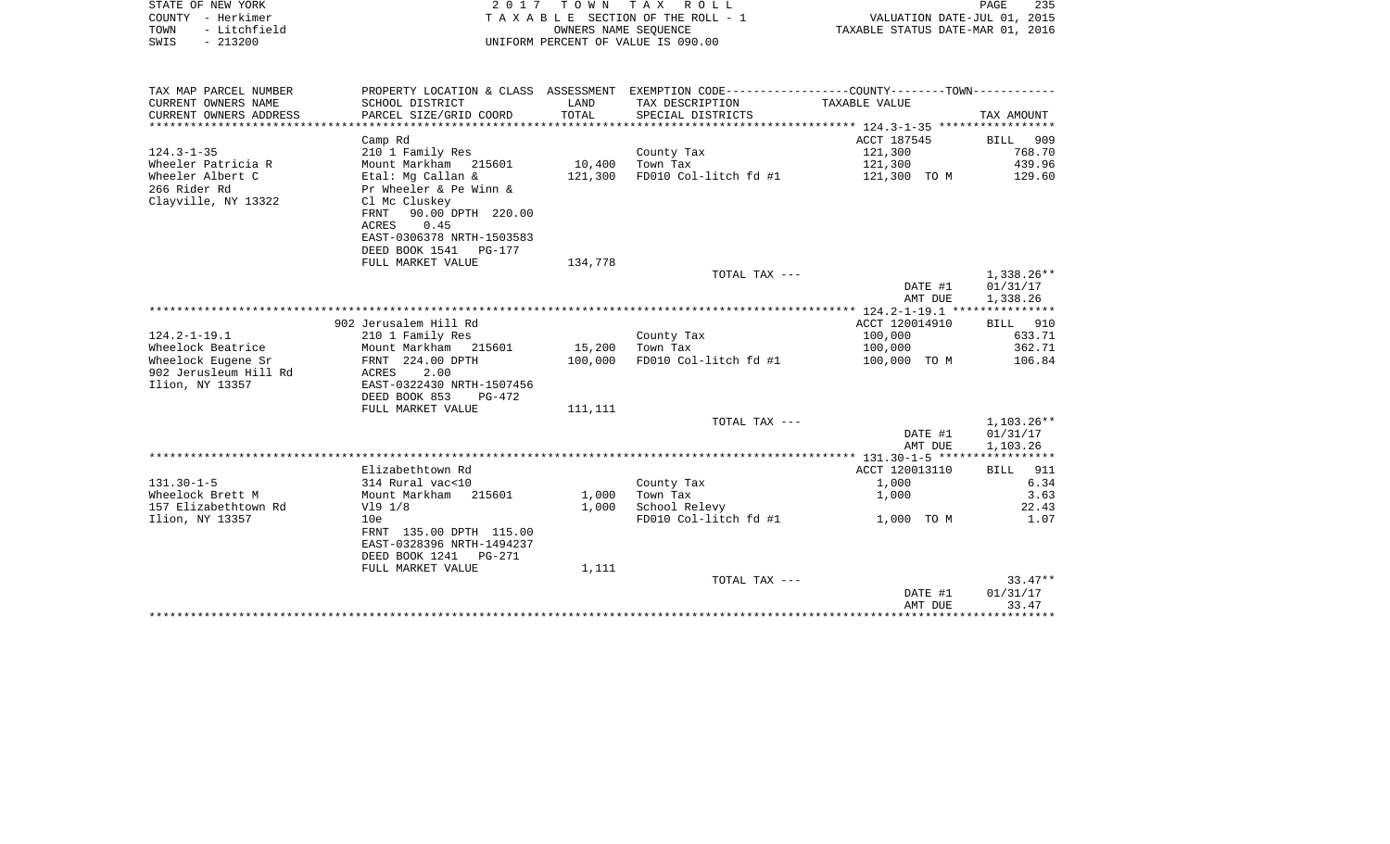| STATE OF NEW YORK<br>COUNTY - Herkimer<br>- Litchfield<br>TOWN<br>$-213200$<br>SWIS |                                                                  | 2017 TOWN                          | TAX ROLL<br>TAXABLE SECTION OF THE ROLL - 1<br>OWNERS NAME SEQUENCE<br>UNIFORM PERCENT OF VALUE IS 090.00 | VALUATION DATE-JUL 01, 2015<br>TAXABLE STATUS DATE-MAR 01, 2016 | 235<br>PAGE              |
|-------------------------------------------------------------------------------------|------------------------------------------------------------------|------------------------------------|-----------------------------------------------------------------------------------------------------------|-----------------------------------------------------------------|--------------------------|
| TAX MAP PARCEL NUMBER                                                               |                                                                  |                                    | PROPERTY LOCATION & CLASS ASSESSMENT EXEMPTION CODE----------------COUNTY--------TOWN----------           |                                                                 |                          |
| CURRENT OWNERS NAME<br>CURRENT OWNERS ADDRESS<br>*********************              | SCHOOL DISTRICT<br>PARCEL SIZE/GRID COORD<br>******************* | LAND<br>TOTAL<br>* * * * * * * * * | TAX DESCRIPTION<br>SPECIAL DISTRICTS                                                                      | TAXABLE VALUE                                                   | TAX AMOUNT               |
|                                                                                     | Camp Rd                                                          |                                    |                                                                                                           | ACCT 187545                                                     | 909<br>BILL              |
| $124.3 - 1 - 35$                                                                    | 210 1 Family Res                                                 |                                    | County Tax                                                                                                | 121,300                                                         | 768.70                   |
| Wheeler Patricia R                                                                  | Mount Markham 215601                                             | 10,400                             | Town Tax                                                                                                  | 121,300                                                         | 439.96                   |
| Wheeler Albert C                                                                    | Etal: Mg Callan &                                                | 121,300                            | FD010 Col-litch fd #1                                                                                     | 121,300 TO M                                                    | 129.60                   |
| 266 Rider Rd                                                                        | Pr Wheeler & Pe Winn &                                           |                                    |                                                                                                           |                                                                 |                          |
| Clayville, NY 13322                                                                 | Cl Mc Cluskey                                                    |                                    |                                                                                                           |                                                                 |                          |
|                                                                                     | 90.00 DPTH 220.00<br>FRNT                                        |                                    |                                                                                                           |                                                                 |                          |
|                                                                                     | ACRES<br>0.45<br>EAST-0306378 NRTH-1503583                       |                                    |                                                                                                           |                                                                 |                          |
|                                                                                     | DEED BOOK 1541<br>PG-177                                         |                                    |                                                                                                           |                                                                 |                          |
|                                                                                     | FULL MARKET VALUE                                                | 134,778                            |                                                                                                           |                                                                 |                          |
|                                                                                     |                                                                  |                                    | TOTAL TAX ---                                                                                             |                                                                 | $1,338.26**$             |
|                                                                                     |                                                                  |                                    |                                                                                                           | DATE #1                                                         | 01/31/17                 |
|                                                                                     |                                                                  |                                    |                                                                                                           | AMT DUE                                                         | 1,338.26                 |
|                                                                                     | 902 Jerusalem Hill Rd                                            |                                    |                                                                                                           | ACCT 120014910                                                  | 910<br>BILL              |
| $124.2 - 1 - 19.1$                                                                  | 210 1 Family Res                                                 |                                    | County Tax                                                                                                | 100,000                                                         | 633.71                   |
| Wheelock Beatrice                                                                   | Mount Markham<br>215601                                          | 15,200                             | Town Tax                                                                                                  | 100,000                                                         | 362.71                   |
| Wheelock Eugene Sr                                                                  | FRNT 224.00 DPTH                                                 | 100,000                            | FD010 Col-litch fd #1                                                                                     | 100,000 TO M                                                    | 106.84                   |
| 902 Jerusleum Hill Rd                                                               | 2.00<br>ACRES                                                    |                                    |                                                                                                           |                                                                 |                          |
| Ilion, NY 13357                                                                     | EAST-0322430 NRTH-1507456                                        |                                    |                                                                                                           |                                                                 |                          |
|                                                                                     | DEED BOOK 853<br>PG-472                                          |                                    |                                                                                                           |                                                                 |                          |
|                                                                                     | FULL MARKET VALUE                                                | 111,111                            |                                                                                                           |                                                                 |                          |
|                                                                                     |                                                                  |                                    | TOTAL TAX ---                                                                                             | DATE #1                                                         | $1,103.26**$<br>01/31/17 |
|                                                                                     |                                                                  |                                    |                                                                                                           | AMT DUE                                                         | 1,103.26                 |
|                                                                                     |                                                                  |                                    |                                                                                                           |                                                                 |                          |
|                                                                                     | Elizabethtown Rd                                                 |                                    |                                                                                                           | ACCT 120013110                                                  | 911<br>BILL              |
| $131.30 - 1 - 5$                                                                    | 314 Rural vac<10                                                 |                                    | County Tax                                                                                                | 1,000                                                           | 6.34                     |
| Wheelock Brett M                                                                    | Mount Markham 215601                                             | 1,000                              | Town Tax                                                                                                  | 1,000                                                           | 3.63                     |
| 157 Elizabethtown Rd                                                                | V19 1/8                                                          | 1,000                              | School Relevy                                                                                             |                                                                 | 22.43                    |
| Ilion, NY 13357                                                                     | 10e                                                              |                                    | FD010 Col-litch fd #1                                                                                     | 1,000 TO M                                                      | 1.07                     |
|                                                                                     | FRNT 135.00 DPTH 115.00<br>EAST-0328396 NRTH-1494237             |                                    |                                                                                                           |                                                                 |                          |
|                                                                                     | DEED BOOK 1241<br>PG-271                                         |                                    |                                                                                                           |                                                                 |                          |
|                                                                                     | FULL MARKET VALUE                                                | 1,111                              |                                                                                                           |                                                                 |                          |
|                                                                                     |                                                                  |                                    | TOTAL TAX ---                                                                                             |                                                                 | $33.47**$                |
|                                                                                     |                                                                  |                                    |                                                                                                           | DATE #1                                                         | 01/31/17                 |
|                                                                                     |                                                                  |                                    |                                                                                                           | AMT DUE                                                         | 33.47                    |
|                                                                                     |                                                                  |                                    |                                                                                                           |                                                                 | **********               |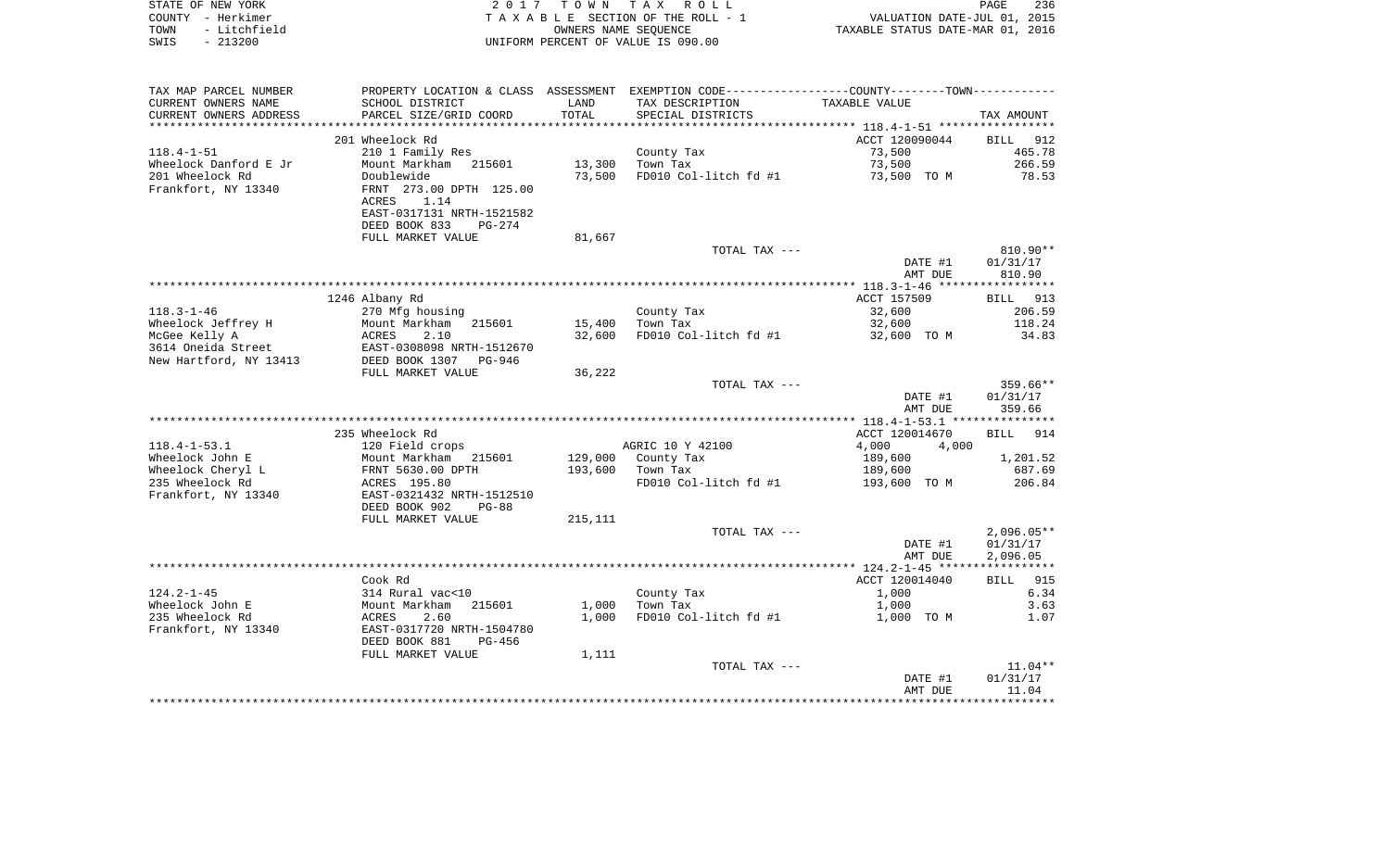| STATE OF NEW YORK      | 2017                                      | T O W N    | T A X<br>R O L L                   |                                                           | 236<br>PAGE                 |
|------------------------|-------------------------------------------|------------|------------------------------------|-----------------------------------------------------------|-----------------------------|
| – Herkimer<br>COUNTY   |                                           |            | TAXABLE SECTION OF THE ROLL - 1    |                                                           | VALUATION DATE-JUL 01, 2015 |
| - Litchfield<br>TOWN   |                                           |            | OWNERS NAME SEOUENCE               | TAXABLE STATUS DATE-MAR 01, 2016                          |                             |
| $-213200$<br>SWIS      |                                           |            | UNIFORM PERCENT OF VALUE IS 090.00 |                                                           |                             |
|                        |                                           |            |                                    |                                                           |                             |
|                        |                                           |            |                                    |                                                           |                             |
|                        |                                           |            |                                    |                                                           |                             |
| TAX MAP PARCEL NUMBER  | PROPERTY LOCATION & CLASS                 | ASSESSMENT |                                    | EXEMPTION CODE----------------COUNTY-------TOWN---------- |                             |
| CURRENT OWNERS NAME    | SCHOOL DISTRICT<br><b>Example 12</b> LAND |            | TAX DESCRIPTION                    | TAXABLE VALUE                                             |                             |
| CURRENT OWNERS ADDRESS | PARCEL SIZE/GRID COORD TOTAL              |            | SPECIAL DISTRICTS                  |                                                           | TAX AMOUNT                  |
|                        |                                           |            |                                    |                                                           |                             |
|                        | 201 Wheelock Rd                           |            |                                    |                                                           | ACCT 120090044 BILL 912     |
| $118.4 - 1 - 51$       | 210 1 Family Res                          |            | County Tax                         | 73,500                                                    | 465.78                      |
| Wheelock Danford E Jr  | Mount Markham 215601                      | 13,300     | Town Tax                           | 73,500                                                    | 266.59                      |
| 201 Wheelock Rd        | Doublewide                                | 73,500     | FD010 Col-litch fd #1              | 73,500<br>TO M                                            | 78.53                       |
| Frankfort, NY 13340    | FRNT 273.00 DPTH 125.00                   |            |                                    |                                                           |                             |
|                        | 1.14<br>ACRES                             |            |                                    |                                                           |                             |
|                        | EAST-0317131 NRTH-1521582                 |            |                                    |                                                           |                             |
|                        | DEED BOOK 833<br>PG-274                   |            |                                    |                                                           |                             |
|                        |                                           |            |                                    |                                                           |                             |

|                        | FULL MARKET VALUE         | 81,667   |                       |                |              |
|------------------------|---------------------------|----------|-----------------------|----------------|--------------|
|                        |                           |          | TOTAL TAX ---         |                | $810.90**$   |
|                        |                           |          |                       | DATE #1        | 01/31/17     |
|                        |                           |          |                       | AMT DUE        | 810.90       |
|                        |                           |          |                       |                |              |
|                        | 1246 Albany Rd            |          |                       | ACCT 157509    | BILL 913     |
| $118.3 - 1 - 46$       | 270 Mfg housing           |          | County Tax            | 32,600         | 206.59       |
| Wheelock Jeffrey H     | 215601<br>Mount Markham   | 15,400   | Town Tax              | 32,600         | 118.24       |
| McGee Kelly A          | 2.10<br>ACRES             | 32,600   | FD010 Col-litch fd #1 | 32,600 TO M    | 34.83        |
| 3614 Oneida Street     | EAST-0308098 NRTH-1512670 |          |                       |                |              |
| New Hartford, NY 13413 | DEED BOOK 1307<br>PG-946  |          |                       |                |              |
|                        | FULL MARKET VALUE         | 36,222   |                       |                |              |
|                        |                           |          | TOTAL TAX ---         |                | $359.66**$   |
|                        |                           |          |                       | DATE #1        | 01/31/17     |
|                        |                           |          |                       | AMT DUE        | 359.66       |
|                        |                           |          |                       |                |              |
|                        | 235 Wheelock Rd           |          |                       | ACCT 120014670 | 914<br>BILL  |
| $118.4 - 1 - 53.1$     | 120 Field crops           |          | AGRIC 10 Y 42100      | 4,000<br>4,000 |              |
| Wheelock John E        | Mount Markham<br>215601   |          | 129,000 County Tax    | 189,600        | 1,201.52     |
| Wheelock Cheryl L      | FRNT 5630.00 DPTH         | 193,600  | Town Tax              | 189,600        | 687.69       |
| 235 Wheelock Rd        | ACRES 195.80              |          | FD010 Col-litch fd #1 | 193,600 TO M   | 206.84       |
| Frankfort, NY 13340    | EAST-0321432 NRTH-1512510 |          |                       |                |              |
|                        | DEED BOOK 902<br>$PG-88$  |          |                       |                |              |
|                        | FULL MARKET VALUE         | 215, 111 |                       |                |              |
|                        |                           |          | TOTAL TAX ---         |                | $2,096.05**$ |
|                        |                           |          |                       | DATE #1        | 01/31/17     |
|                        |                           |          |                       | AMT DUE        | 2,096.05     |
|                        |                           |          |                       |                |              |
|                        | Cook Rd                   |          |                       | ACCT 120014040 | 915<br>BILL  |
| $124.2 - 1 - 45$       | 314 Rural vac<10          |          | County Tax            | 1,000          | 6.34         |
| Wheelock John E        | Mount Markham<br>215601   | 1,000    | Town Tax              | 1,000          | 3.63         |
| 235 Wheelock Rd        | 2.60<br>ACRES             | 1,000    | FD010 Col-litch fd #1 | 1,000 TO M     | 1.07         |
| Frankfort, NY 13340    | EAST-0317720 NRTH-1504780 |          |                       |                |              |
|                        | DEED BOOK 881<br>PG-456   |          |                       |                |              |
|                        | FULL MARKET VALUE         | 1,111    |                       |                |              |
|                        |                           |          | TOTAL TAX ---         |                | $11.04**$    |
|                        |                           |          |                       | DATE #1        | 01/31/17     |
|                        |                           |          |                       | AMT DUE        | 11.04        |
|                        |                           |          |                       |                |              |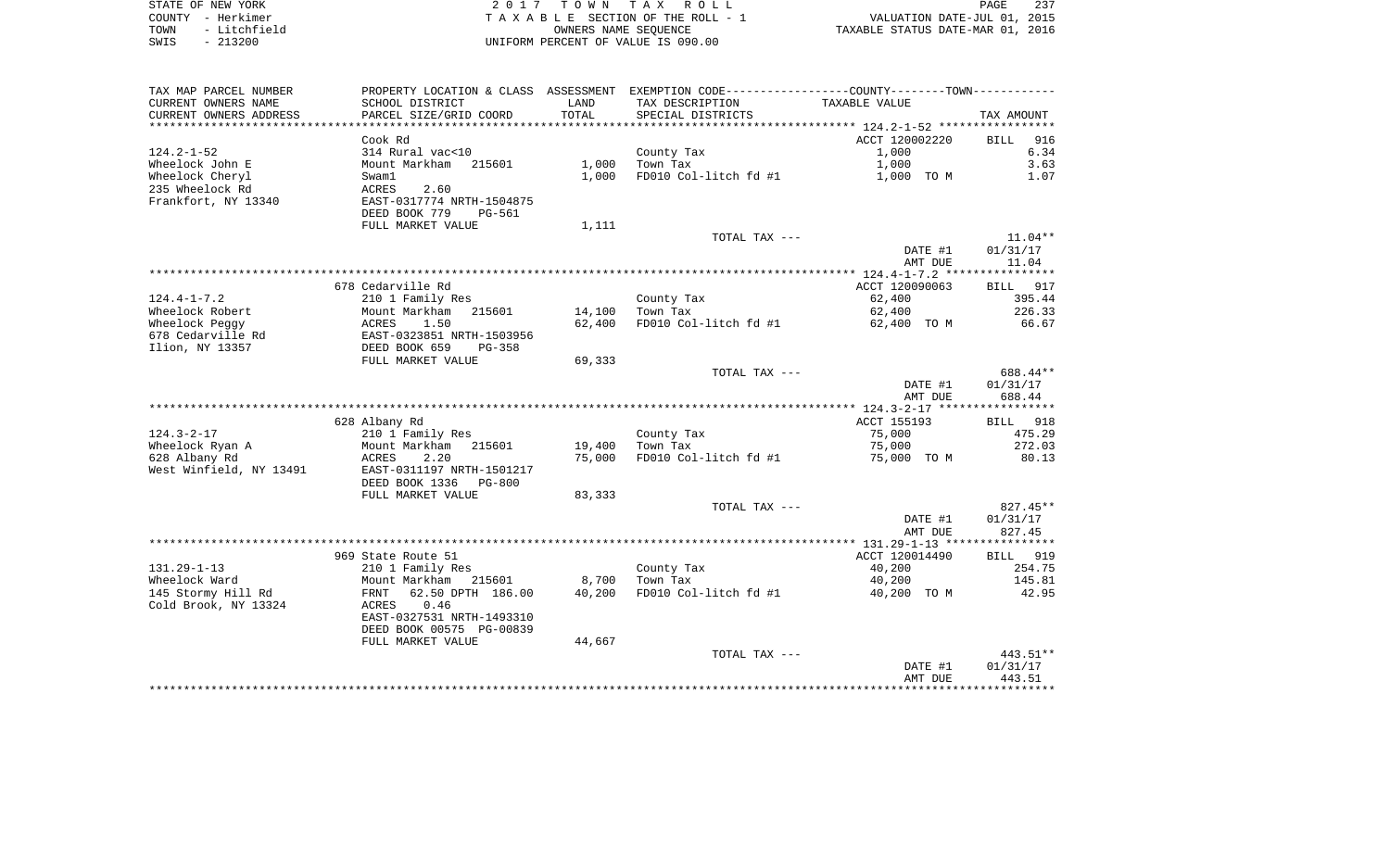| STATE OF NEW YORK |              | 2017 TOWN TAX ROLL                 |                                  | PAGE | 237 |
|-------------------|--------------|------------------------------------|----------------------------------|------|-----|
| COUNTY - Herkimer |              | TAXABLE SECTION OF THE ROLL - 1    | VALUATION DATE-JUL 01, 2015      |      |     |
| TOWN              | - Litchfield | OWNERS NAME SEOUENCE               | TAXABLE STATUS DATE-MAR 01, 2016 |      |     |
| $-213200$<br>SWIS |              | UNIFORM PERCENT OF VALUE IS 090.00 |                                  |      |     |

| TAX MAP PARCEL NUMBER                | PROPERTY LOCATION & CLASS ASSESSMENT  |        | EXEMPTION CODE-----------------COUNTY-------TOWN----------- |                |                    |
|--------------------------------------|---------------------------------------|--------|-------------------------------------------------------------|----------------|--------------------|
| CURRENT OWNERS NAME                  | SCHOOL DISTRICT                       | LAND   | TAX DESCRIPTION                                             | TAXABLE VALUE  |                    |
| CURRENT OWNERS ADDRESS               | PARCEL SIZE/GRID COORD                | TOTAL  | SPECIAL DISTRICTS                                           |                | TAX AMOUNT         |
|                                      |                                       |        |                                                             |                |                    |
|                                      | Cook Rd                               |        |                                                             | ACCT 120002220 | 916<br><b>BILL</b> |
| $124.2 - 1 - 52$                     | 314 Rural vac<10                      |        | County Tax                                                  | 1,000          | 6.34               |
| Wheelock John E                      | Mount Markham 215601                  | 1,000  | Town Tax                                                    | 1,000          | 3.63               |
| Wheelock Cheryl                      | Swam1                                 | 1,000  | FD010 Col-litch fd #1                                       | 1,000 TO M     | 1.07               |
| 235 Wheelock Rd                      | 2.60<br>ACRES                         |        |                                                             |                |                    |
| Frankfort, NY 13340                  | EAST-0317774 NRTH-1504875             |        |                                                             |                |                    |
|                                      | DEED BOOK 779<br>PG-561               |        |                                                             |                |                    |
|                                      | FULL MARKET VALUE                     | 1,111  |                                                             |                |                    |
|                                      |                                       |        | TOTAL TAX ---                                               |                | $11.04**$          |
|                                      |                                       |        |                                                             | DATE #1        | 01/31/17           |
|                                      |                                       |        |                                                             | AMT DUE        | 11.04              |
|                                      |                                       |        |                                                             |                |                    |
|                                      | 678 Cedarville Rd                     |        |                                                             | ACCT 120090063 | BILL 917           |
| $124.4 - 1 - 7.2$                    | 210 1 Family Res                      |        | County Tax                                                  | 62,400         | 395.44             |
| Wheelock Robert                      | Mount Markham<br>215601               | 14,100 | Town Tax                                                    | 62,400         | 226.33             |
| Wheelock Peggy                       | ACRES<br>1.50                         | 62,400 | FD010 Col-litch fd #1                                       | 62,400 TO M    | 66.67              |
| 678 Cedarville Rd<br>Ilion, NY 13357 | EAST-0323851 NRTH-1503956<br>$PG-358$ |        |                                                             |                |                    |
|                                      | DEED BOOK 659<br>FULL MARKET VALUE    | 69,333 |                                                             |                |                    |
|                                      |                                       |        | TOTAL TAX ---                                               |                | 688.44**           |
|                                      |                                       |        |                                                             | DATE #1        | 01/31/17           |
|                                      |                                       |        |                                                             | AMT DUE        | 688.44             |
|                                      |                                       |        |                                                             |                |                    |
|                                      | 628 Albany Rd                         |        |                                                             | ACCT 155193    | BILL 918           |
| $124.3 - 2 - 17$                     | 210 1 Family Res                      |        | County Tax                                                  | 75,000         | 475.29             |
| Wheelock Ryan A                      | Mount Markham<br>215601               | 19,400 | Town Tax                                                    | 75,000         | 272.03             |
| 628 Albany Rd                        | 2.20<br>ACRES                         | 75,000 | FD010 Col-litch fd #1                                       | 75,000 TO M    | 80.13              |
| West Winfield, NY 13491              | EAST-0311197 NRTH-1501217             |        |                                                             |                |                    |
|                                      | DEED BOOK 1336<br>$PG-800$            |        |                                                             |                |                    |
|                                      | FULL MARKET VALUE                     | 83,333 |                                                             |                |                    |
|                                      |                                       |        | TOTAL TAX ---                                               |                | $827.45**$         |
|                                      |                                       |        |                                                             | DATE #1        | 01/31/17           |
|                                      |                                       |        |                                                             | AMT DUE        | 827.45             |
|                                      |                                       |        |                                                             |                |                    |
|                                      | 969 State Route 51                    |        |                                                             | ACCT 120014490 | <b>BILL</b><br>919 |
| $131.29 - 1 - 13$                    | 210 1 Family Res                      |        | County Tax                                                  | 40,200         | 254.75             |
| Wheelock Ward                        | Mount Markham 215601                  | 8,700  | Town Tax                                                    | 40,200         | 145.81             |
| 145 Stormy Hill Rd                   | 62.50 DPTH 186.00<br>FRNT             | 40,200 | FD010 Col-litch fd #1                                       | 40,200 TO M    | 42.95              |
| Cold Brook, NY 13324                 | 0.46<br>ACRES                         |        |                                                             |                |                    |
|                                      | EAST-0327531 NRTH-1493310             |        |                                                             |                |                    |
|                                      | DEED BOOK 00575 PG-00839              |        |                                                             |                |                    |
|                                      | FULL MARKET VALUE                     | 44,667 |                                                             |                |                    |
|                                      |                                       |        | TOTAL TAX ---                                               |                | 443.51**           |
|                                      |                                       |        |                                                             | DATE #1        | 01/31/17<br>443.51 |
|                                      |                                       |        |                                                             | AMT DUE        |                    |
|                                      |                                       |        |                                                             |                |                    |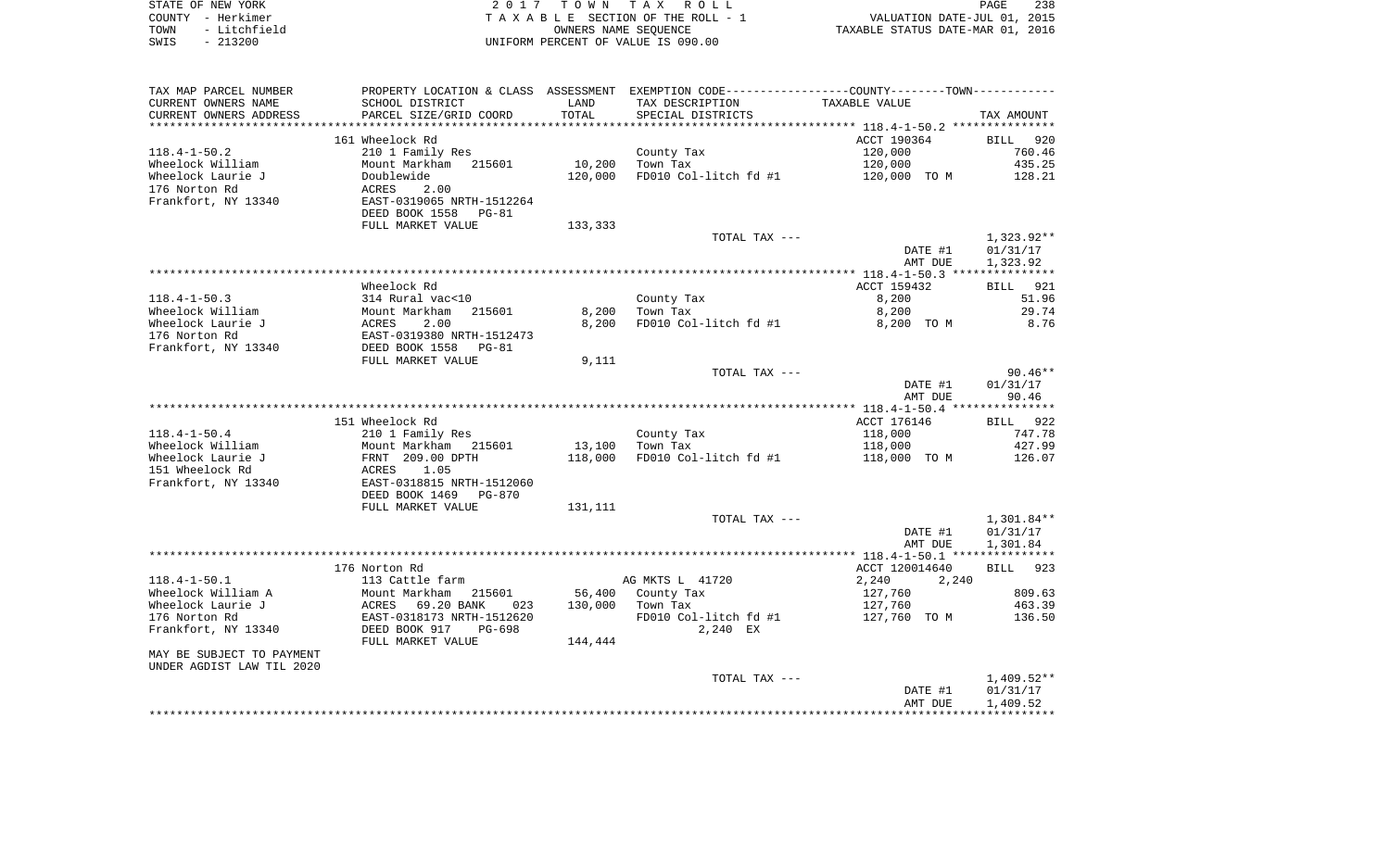| STATE OF NEW YORK    | 2017 TOWN TAX ROLL                 | 238<br>PAGE                      |
|----------------------|------------------------------------|----------------------------------|
| COUNTY - Herkimer    | TAXABLE SECTION OF THE ROLL - 1    | VALUATION DATE-JUL 01, 2015      |
| - Litchfield<br>TOWN | OWNERS NAME SEOUENCE               | TAXABLE STATUS DATE-MAR 01, 2016 |
| - 213200<br>SWIS     | UNIFORM PERCENT OF VALUE IS 090.00 |                                  |

| TAX MAP PARCEL NUMBER     | PROPERTY LOCATION & CLASS ASSESSMENT |         | EXEMPTION CODE-----------------COUNTY--------TOWN----------- |                |                    |
|---------------------------|--------------------------------------|---------|--------------------------------------------------------------|----------------|--------------------|
| CURRENT OWNERS NAME       | SCHOOL DISTRICT                      | LAND    | TAX DESCRIPTION                                              | TAXABLE VALUE  |                    |
| CURRENT OWNERS ADDRESS    | PARCEL SIZE/GRID COORD               | TOTAL   | SPECIAL DISTRICTS                                            |                | TAX AMOUNT         |
|                           |                                      |         |                                                              |                |                    |
|                           | 161 Wheelock Rd                      |         |                                                              | ACCT 190364    | <b>BILL</b><br>920 |
| $118.4 - 1 - 50.2$        | 210 1 Family Res                     |         | County Tax                                                   | 120,000        | 760.46             |
| Wheelock William          | Mount Markham<br>215601              | 10,200  | Town Tax                                                     | 120,000        | 435.25             |
| Wheelock Laurie J         | Doublewide                           | 120,000 | FD010 Col-litch fd #1                                        | 120,000 TO M   | 128.21             |
| 176 Norton Rd             |                                      |         |                                                              |                |                    |
|                           | ACRES<br>2.00                        |         |                                                              |                |                    |
| Frankfort, NY 13340       | EAST-0319065 NRTH-1512264            |         |                                                              |                |                    |
|                           | DEED BOOK 1558 PG-81                 |         |                                                              |                |                    |
|                           | FULL MARKET VALUE                    | 133,333 |                                                              |                |                    |
|                           |                                      |         | TOTAL TAX ---                                                |                | $1,323.92**$       |
|                           |                                      |         |                                                              | DATE #1        | 01/31/17           |
|                           |                                      |         |                                                              | AMT DUE        | 1,323.92           |
|                           |                                      |         |                                                              |                |                    |
|                           | Wheelock Rd                          |         |                                                              | ACCT 159432    | BILL 921           |
| $118.4 - 1 - 50.3$        | 314 Rural vac<10                     |         | County Tax                                                   | 8,200          | 51.96              |
| Wheelock William          | Mount Markham<br>215601              | 8,200   | Town Tax                                                     | 8,200          | 29.74              |
| Wheelock Laurie J         | ACRES<br>2.00                        | 8,200   | FD010 Col-litch fd #1                                        | 8,200 TO M     | 8.76               |
| 176 Norton Rd             | EAST-0319380 NRTH-1512473            |         |                                                              |                |                    |
| Frankfort, NY 13340       | DEED BOOK 1558<br><b>PG-81</b>       |         |                                                              |                |                    |
|                           |                                      | 9,111   |                                                              |                |                    |
|                           | FULL MARKET VALUE                    |         |                                                              |                | $90.46**$          |
|                           |                                      |         | TOTAL TAX ---                                                |                |                    |
|                           |                                      |         |                                                              | DATE #1        | 01/31/17           |
|                           |                                      |         |                                                              | AMT DUE        | 90.46              |
|                           |                                      |         |                                                              |                |                    |
|                           | 151 Wheelock Rd                      |         |                                                              | ACCT 176146    | BILL 922           |
| $118.4 - 1 - 50.4$        | 210 1 Family Res                     |         | County Tax                                                   | 118,000        | 747.78             |
| Wheelock William          | Mount Markham 215601                 | 13,100  | Town Tax                                                     | 118,000        | 427.99             |
| Wheelock Laurie J         | FRNT 209.00 DPTH                     | 118,000 | FD010 Col-litch fd #1                                        | 118,000 TO M   | 126.07             |
| 151 Wheelock Rd           | ACRES<br>1.05                        |         |                                                              |                |                    |
| Frankfort, NY 13340       | EAST-0318815 NRTH-1512060            |         |                                                              |                |                    |
|                           | DEED BOOK 1469<br>PG-870             |         |                                                              |                |                    |
|                           | FULL MARKET VALUE                    | 131,111 |                                                              |                |                    |
|                           |                                      |         | TOTAL TAX ---                                                |                | $1,301.84**$       |
|                           |                                      |         |                                                              | DATE #1        | 01/31/17           |
|                           |                                      |         |                                                              | AMT DUE        | 1,301.84           |
|                           |                                      |         |                                                              |                |                    |
|                           | 176 Norton Rd                        |         |                                                              | ACCT 120014640 | 923<br>BILL        |
|                           |                                      |         |                                                              |                |                    |
| $118.4 - 1 - 50.1$        | 113 Cattle farm                      |         | AG MKTS L 41720                                              | 2,240<br>2,240 |                    |
| Wheelock William A        | Mount Markham<br>215601              | 56,400  | County Tax                                                   | 127,760        | 809.63             |
| Wheelock Laurie J         | ACRES<br>69.20 BANK<br>023           | 130,000 | Town Tax                                                     | 127,760        | 463.39             |
| 176 Norton Rd             | EAST-0318173 NRTH-1512620            |         | FD010 Col-litch fd #1                                        | 127,760 TO M   | 136.50             |
| Frankfort, NY 13340       | DEED BOOK 917<br>$PG-698$            |         | 2,240 EX                                                     |                |                    |
|                           | FULL MARKET VALUE                    | 144,444 |                                                              |                |                    |
| MAY BE SUBJECT TO PAYMENT |                                      |         |                                                              |                |                    |
| UNDER AGDIST LAW TIL 2020 |                                      |         |                                                              |                |                    |
|                           |                                      |         | TOTAL TAX ---                                                |                | $1,409.52**$       |
|                           |                                      |         |                                                              | DATE #1        | 01/31/17           |
|                           |                                      |         |                                                              | AMT DUE        | 1,409.52           |
|                           |                                      |         |                                                              |                |                    |
|                           |                                      |         |                                                              |                |                    |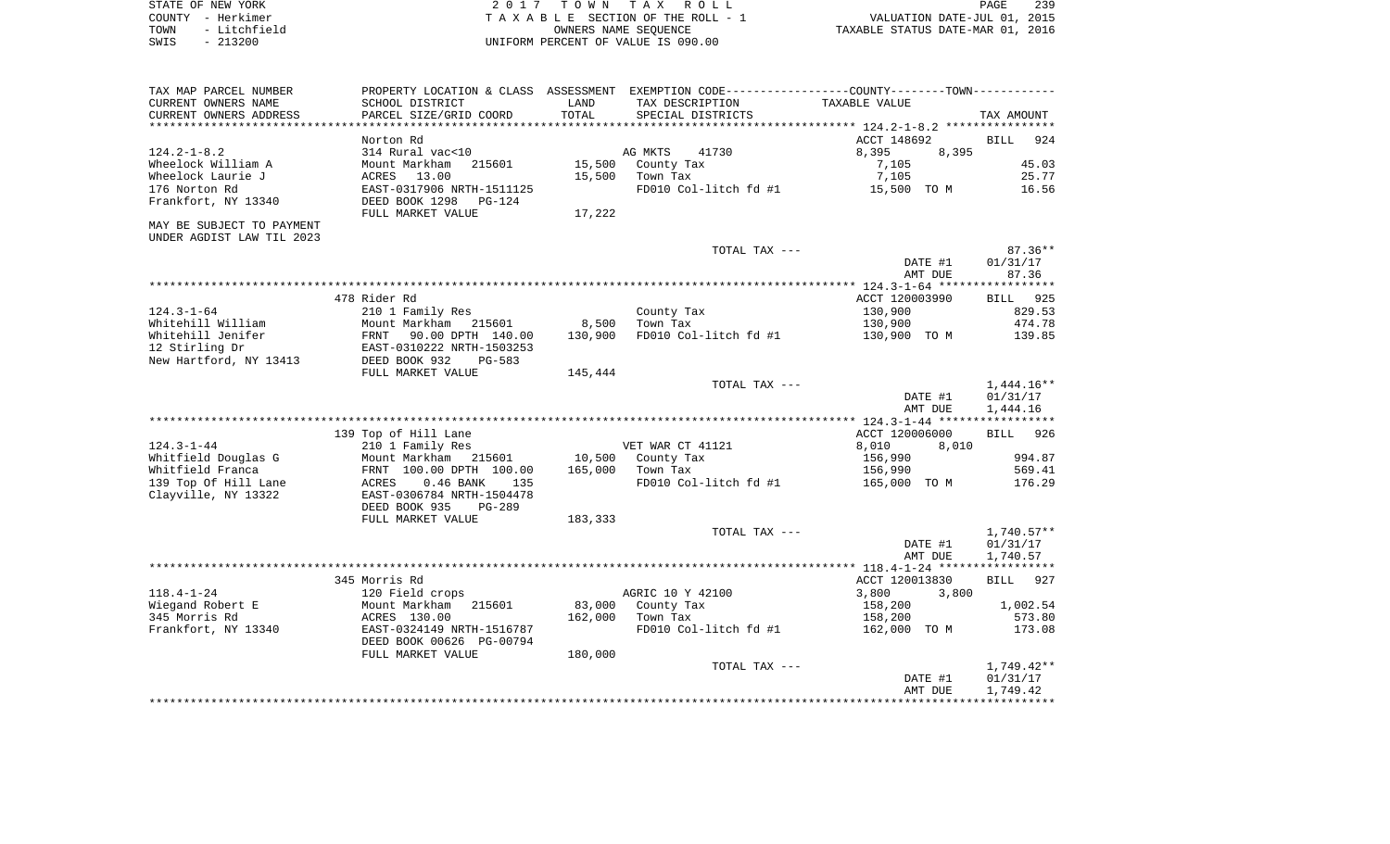| STATE OF NEW YORK    | 2017 TOWN TAX ROLL                 | 239<br>PAGE                      |
|----------------------|------------------------------------|----------------------------------|
| COUNTY - Herkimer    | TAXABLE SECTION OF THE ROLL - 1    | VALUATION DATE-JUL 01, 2015      |
| - Litchfield<br>TOWN | OWNERS NAME SEOUENCE               | TAXABLE STATUS DATE-MAR 01, 2016 |
| $-213200$<br>SWIS    | UNIFORM PERCENT OF VALUE IS 090.00 |                                  |

| TAX MAP PARCEL NUMBER                       | PROPERTY LOCATION & CLASS ASSESSMENT EXEMPTION CODE----------------COUNTY--------TOWN----------- |         |                       |                |                    |
|---------------------------------------------|--------------------------------------------------------------------------------------------------|---------|-----------------------|----------------|--------------------|
| CURRENT OWNERS NAME                         | SCHOOL DISTRICT                                                                                  | LAND    | TAX DESCRIPTION       | TAXABLE VALUE  |                    |
| CURRENT OWNERS ADDRESS                      | PARCEL SIZE/GRID COORD                                                                           | TOTAL   | SPECIAL DISTRICTS     |                | TAX AMOUNT         |
| **********************                      |                                                                                                  |         |                       |                |                    |
|                                             | Norton Rd                                                                                        |         |                       | ACCT 148692    | 924<br><b>BILL</b> |
| $124.2 - 1 - 8.2$                           | 314 Rural vac<10                                                                                 |         | 41730<br>AG MKTS      | 8,395<br>8,395 |                    |
| Wheelock William A                          | Mount Markham<br>215601                                                                          | 15,500  | County Tax            | 7,105          | 45.03              |
| Wheelock Laurie J                           | ACRES<br>13.00                                                                                   | 15,500  | Town Tax              | 7,105          | 25.77              |
| 176 Norton Rd                               | EAST-0317906 NRTH-1511125                                                                        |         | FD010 Col-litch fd #1 | 15,500 TO M    | 16.56              |
| Frankfort, NY 13340                         | DEED BOOK 1298<br><b>PG-124</b><br>FULL MARKET VALUE                                             | 17,222  |                       |                |                    |
| MAY BE SUBJECT TO PAYMENT                   |                                                                                                  |         |                       |                |                    |
| UNDER AGDIST LAW TIL 2023                   |                                                                                                  |         |                       |                |                    |
|                                             |                                                                                                  |         | TOTAL TAX ---         |                | $87.36**$          |
|                                             |                                                                                                  |         |                       | DATE #1        | 01/31/17           |
|                                             |                                                                                                  |         |                       | AMT DUE        | 87.36              |
|                                             |                                                                                                  |         |                       |                |                    |
|                                             | 478 Rider Rd                                                                                     |         |                       | ACCT 120003990 | BILL 925           |
| $124.3 - 1 - 64$                            | 210 1 Family Res                                                                                 |         | County Tax            | 130,900        | 829.53             |
| Whitehill William                           | Mount Markham 215601                                                                             | 8,500   | Town Tax              | 130,900        | 474.78             |
| Whitehill Jenifer                           | FRNT 90.00 DPTH 140.00                                                                           | 130,900 | FD010 Col-litch fd #1 | 130,900 TO M   | 139.85             |
| 12 Stirling Dr                              | EAST-0310222 NRTH-1503253                                                                        |         |                       |                |                    |
| New Hartford, NY 13413                      | DEED BOOK 932<br>$PG-583$                                                                        |         |                       |                |                    |
|                                             | FULL MARKET VALUE                                                                                | 145,444 |                       |                |                    |
|                                             |                                                                                                  |         | TOTAL TAX ---         |                | $1,444.16**$       |
|                                             |                                                                                                  |         |                       | DATE #1        | 01/31/17           |
|                                             |                                                                                                  |         |                       | AMT DUE        | 1,444.16           |
|                                             |                                                                                                  |         |                       |                |                    |
|                                             | 139 Top of Hill Lane                                                                             |         |                       | ACCT 120006000 | <b>BILL</b><br>926 |
| $124.3 - 1 - 44$                            | 210 1 Family Res                                                                                 |         | VET WAR CT 41121      | 8,010<br>8,010 |                    |
| Whitfield Douglas G                         | Mount Markham 215601                                                                             | 10,500  | County Tax            | 156,990        | 994.87             |
| Whitfield Franca                            | FRNT 100.00 DPTH 100.00                                                                          | 165,000 | Town Tax              | 156,990        | 569.41             |
| 139 Top Of Hill Lane<br>Clayville, NY 13322 | $0.46$ BANK<br>ACRES<br>135<br>EAST-0306784 NRTH-1504478                                         |         | FD010 Col-litch fd #1 | 165,000 TO M   | 176.29             |
|                                             | DEED BOOK 935<br>PG-289                                                                          |         |                       |                |                    |
|                                             | FULL MARKET VALUE                                                                                | 183,333 |                       |                |                    |
|                                             |                                                                                                  |         | TOTAL TAX ---         |                | $1,740.57**$       |
|                                             |                                                                                                  |         |                       | DATE #1        | 01/31/17           |
|                                             |                                                                                                  |         |                       | AMT DUE        | 1,740.57           |
|                                             |                                                                                                  |         |                       |                |                    |
|                                             | 345 Morris Rd                                                                                    |         |                       | ACCT 120013830 | 927<br>BILL        |
| $118.4 - 1 - 24$                            | 120 Field crops                                                                                  |         | AGRIC 10 Y 42100      | 3,800<br>3,800 |                    |
| Wiegand Robert E                            | Mount Markham<br>215601                                                                          | 83,000  | County Tax            | 158,200        | 1,002.54           |
| 345 Morris Rd                               | ACRES 130.00                                                                                     | 162,000 | Town Tax              | 158,200        | 573.80             |
| Frankfort, NY 13340                         | EAST-0324149 NRTH-1516787<br>DEED BOOK 00626 PG-00794                                            |         | FD010 Col-litch fd #1 | 162,000 TO M   | 173.08             |
|                                             | FULL MARKET VALUE                                                                                | 180,000 |                       |                |                    |
|                                             |                                                                                                  |         | TOTAL TAX ---         |                | $1,749.42**$       |
|                                             |                                                                                                  |         |                       | DATE #1        | 01/31/17           |
|                                             |                                                                                                  |         |                       | AMT DUE        | 1,749.42           |
|                                             |                                                                                                  |         |                       |                |                    |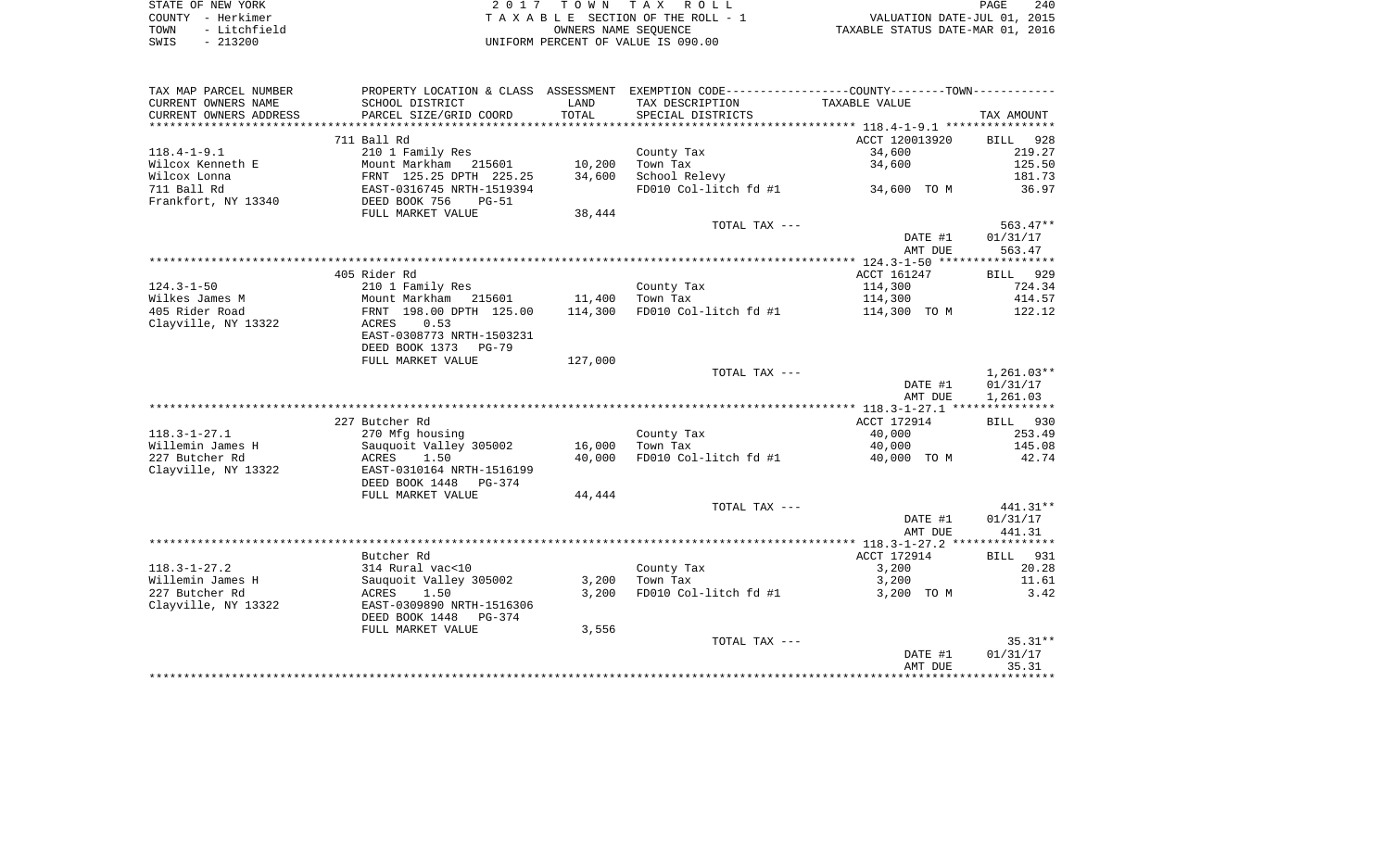| STATE OF NEW YORK    | 2017 TOWN TAX ROLL                 | 240<br>PAGE                      |
|----------------------|------------------------------------|----------------------------------|
| COUNTY - Herkimer    | TAXABLE SECTION OF THE ROLL - 1    | VALUATION DATE-JUL 01, 2015      |
| - Litchfield<br>TOWN | OWNERS NAME SEOUENCE               | TAXABLE STATUS DATE-MAR 01, 2016 |
| $-213200$<br>SWIS    | UNIFORM PERCENT OF VALUE IS 090.00 |                                  |

| TAX MAP PARCEL NUMBER  | PROPERTY LOCATION & CLASS ASSESSMENT EXEMPTION CODE---------------COUNTY-------TOWN---------- |         |                                   |                |            |
|------------------------|-----------------------------------------------------------------------------------------------|---------|-----------------------------------|----------------|------------|
| CURRENT OWNERS NAME    | SCHOOL DISTRICT                                                                               | LAND    | TAX DESCRIPTION                   | TAXABLE VALUE  |            |
| CURRENT OWNERS ADDRESS | PARCEL SIZE/GRID COORD                                                                        | TOTAL   | SPECIAL DISTRICTS                 |                | TAX AMOUNT |
| ********************** |                                                                                               |         |                                   |                |            |
|                        | 711 Ball Rd                                                                                   |         |                                   | ACCT 120013920 | BILL 928   |
| $118.4 - 1 - 9.1$      | 210 1 Family Res                                                                              |         | County Tax                        | 34,600         | 219.27     |
| Wilcox Kenneth E       | Mount Markham 215601                                                                          | 10,200  | Town Tax                          | 34,600         | 125.50     |
| Wilcox Lonna           |                                                                                               | 34,600  | School Relevy                     |                | 181.73     |
| 711 Ball Rd            | FRNT 125.25 DPTH 225.25<br>EAST-0316745 NRTH-1519394                                          |         | FD010 Col-litch fd #1 34,600 TO M |                | 36.97      |
| Frankfort, NY 13340    | DEED BOOK 756<br>$PG-51$                                                                      |         |                                   |                |            |
|                        | FULL MARKET VALUE                                                                             | 38,444  |                                   |                |            |
|                        |                                                                                               |         | TOTAL TAX ---                     |                | 563.47**   |
|                        |                                                                                               |         |                                   | DATE #1        | 01/31/17   |
|                        |                                                                                               |         |                                   | AMT DUE        | 563.47     |
|                        |                                                                                               |         |                                   |                |            |
|                        | 405 Rider Rd                                                                                  |         |                                   | ACCT 161247    | BILL 929   |
| 124.3-1-50             | 210 1 Family Res                                                                              |         | County Tax                        | 114,300        | 724.34     |
| Wilkes James M         | Mount Markham 215601                                                                          | 11,400  | Town Tax                          | 114,300        | 414.57     |
| 405 Rider Road         | FRNT 198.00 DPTH 125.00                                                                       | 114,300 | FD010 Col-litch fd #1             | 114,300 TO M   | 122.12     |
| Clayville, NY 13322    | 0.53<br>ACRES                                                                                 |         |                                   |                |            |
|                        | EAST-0308773 NRTH-1503231                                                                     |         |                                   |                |            |
|                        | DEED BOOK 1373 PG-79                                                                          |         |                                   |                |            |
|                        | FULL MARKET VALUE                                                                             | 127,000 |                                   |                |            |
|                        |                                                                                               |         | TOTAL TAX ---                     |                | 1,261.03** |
|                        |                                                                                               |         |                                   | DATE #1        | 01/31/17   |
|                        |                                                                                               |         |                                   | AMT DUE        | 1,261.03   |
|                        |                                                                                               |         |                                   |                |            |
|                        | 227 Butcher Rd                                                                                |         |                                   | ACCT 172914    | BILL 930   |
| $118.3 - 1 - 27.1$     | 270 Mfg housing                                                                               |         | County Tax                        | 40,000         | 253.49     |
| Willemin James H       | Sauquoit Valley 305002                                                                        | 16,000  | Town Tax                          | 40,000         | 145.08     |
| 227 Butcher Rd         | ACRES<br>1.50                                                                                 | 40,000  | FD010 Col-litch fd #1             | 40,000 TO M    | 42.74      |
| Clayville, NY 13322    | EAST-0310164 NRTH-1516199                                                                     |         |                                   |                |            |
|                        | DEED BOOK 1448 PG-374                                                                         |         |                                   |                |            |
|                        | FULL MARKET VALUE                                                                             | 44,444  |                                   |                |            |
|                        |                                                                                               |         | TOTAL TAX ---                     |                | 441.31**   |
|                        |                                                                                               |         |                                   | DATE #1        | 01/31/17   |
|                        |                                                                                               |         |                                   | AMT DUE        | 441.31     |
|                        |                                                                                               |         |                                   |                |            |
|                        | Butcher Rd                                                                                    |         |                                   | ACCT 172914    | BILL 931   |
| $118.3 - 1 - 27.2$     | 314 Rural vac<10                                                                              |         | County Tax                        | 3,200          | 20.28      |
| Willemin James H       | Sauquoit Valley 305002                                                                        | 3,200   | Town Tax                          | 3,200          | 11.61      |
| 227 Butcher Rd         | ACRES<br>1.50                                                                                 | 3,200   | FD010 Col-litch fd #1             | 3,200 TO M     | 3.42       |
| Clayville, NY 13322    | EAST-0309890 NRTH-1516306                                                                     |         |                                   |                |            |
|                        | DEED BOOK 1448<br>PG-374                                                                      |         |                                   |                |            |
|                        | FULL MARKET VALUE                                                                             | 3,556   |                                   |                |            |
|                        |                                                                                               |         | TOTAL TAX ---                     |                | $35.31**$  |
|                        |                                                                                               |         |                                   | DATE #1        | 01/31/17   |
|                        |                                                                                               |         |                                   | AMT DUE        | 35.31      |
|                        |                                                                                               |         |                                   |                |            |
|                        |                                                                                               |         |                                   |                |            |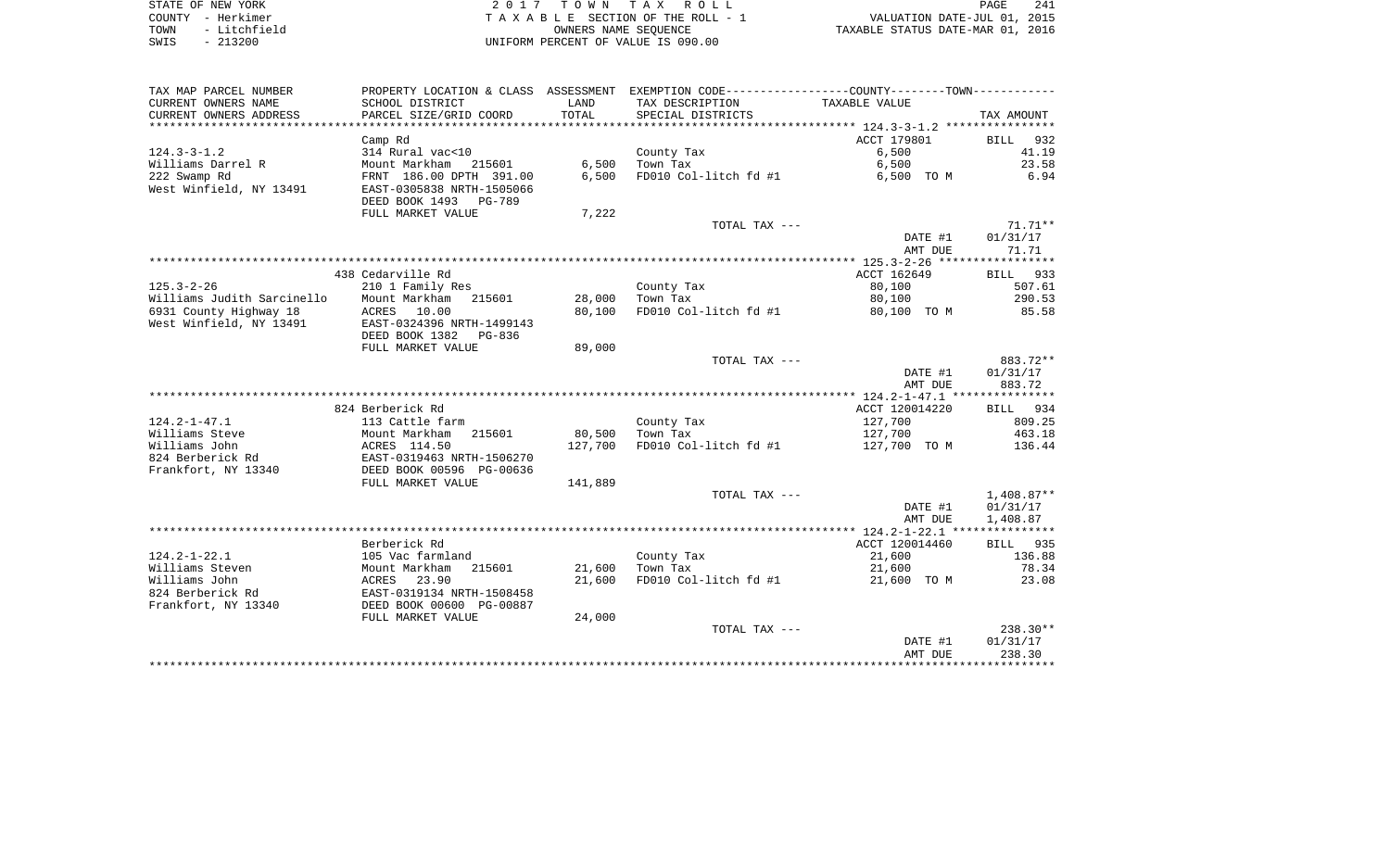| STATE OF NEW YORK    | 2017 TOWN TAX ROLL                 | 241<br>PAGE                      |
|----------------------|------------------------------------|----------------------------------|
| COUNTY - Herkimer    | TAXABLE SECTION OF THE ROLL - 1    | VALUATION DATE-JUL 01, 2015      |
| - Litchfield<br>TOWN | OWNERS NAME SEOUENCE               | TAXABLE STATUS DATE-MAR 01, 2016 |
| $-213200$<br>SWIS    | UNIFORM PERCENT OF VALUE IS 090.00 |                                  |

PAGE 241

| TAX MAP PARCEL NUMBER      |                           |         | PROPERTY LOCATION & CLASS ASSESSMENT EXEMPTION CODE----------------COUNTY--------TOWN---------- |                |                |
|----------------------------|---------------------------|---------|-------------------------------------------------------------------------------------------------|----------------|----------------|
| CURRENT OWNERS NAME        | SCHOOL DISTRICT           | LAND    | TAX DESCRIPTION                                                                                 | TAXABLE VALUE  |                |
| CURRENT OWNERS ADDRESS     | PARCEL SIZE/GRID COORD    | TOTAL   | SPECIAL DISTRICTS                                                                               |                | TAX AMOUNT     |
|                            |                           |         |                                                                                                 |                |                |
|                            | Camp Rd                   |         |                                                                                                 | ACCT 179801    | 932<br>BILL    |
| $124.3 - 3 - 1.2$          | 314 Rural vac<10          |         | County Tax                                                                                      | 6,500          | 41.19          |
| Williams Darrel R          | Mount Markham 215601      | 6,500   | Town Tax                                                                                        | 6,500          | 23.58          |
| 222 Swamp Rd               | FRNT 186.00 DPTH 391.00   | 6,500   | FD010 Col-litch fd #1                                                                           | 6,500 TO M     | 6.94           |
| West Winfield, NY 13491    | EAST-0305838 NRTH-1505066 |         |                                                                                                 |                |                |
|                            | DEED BOOK 1493 PG-789     |         |                                                                                                 |                |                |
|                            | FULL MARKET VALUE         | 7,222   |                                                                                                 |                |                |
|                            |                           |         | TOTAL TAX ---                                                                                   |                | $71.71***$     |
|                            |                           |         |                                                                                                 | DATE #1        | 01/31/17       |
|                            |                           |         |                                                                                                 | AMT DUE        | 71.71          |
|                            |                           |         |                                                                                                 |                |                |
|                            | 438 Cedarville Rd         |         |                                                                                                 | ACCT 162649    | BILL 933       |
| $125.3 - 2 - 26$           | 210 1 Family Res          |         | County Tax                                                                                      | 80,100         | 507.61         |
| Williams Judith Sarcinello | Mount Markham<br>215601   | 28,000  | Town Tax                                                                                        | 80,100         | 290.53         |
| 6931 County Highway 18     | ACRES 10.00               | 80,100  | FD010 Col-litch fd #1                                                                           | 80,100 TO M    | 85.58          |
| West Winfield, NY 13491    | EAST-0324396 NRTH-1499143 |         |                                                                                                 |                |                |
|                            | DEED BOOK 1382 PG-836     |         |                                                                                                 |                |                |
|                            | FULL MARKET VALUE         | 89,000  |                                                                                                 |                |                |
|                            |                           |         | TOTAL TAX ---                                                                                   |                | 883.72**       |
|                            |                           |         |                                                                                                 | DATE #1        | 01/31/17       |
|                            |                           |         |                                                                                                 | AMT DUE        | 883.72         |
|                            |                           |         |                                                                                                 |                |                |
|                            | 824 Berberick Rd          |         |                                                                                                 | ACCT 120014220 | BILL 934       |
| $124.2 - 1 - 47.1$         | 113 Cattle farm           |         | County Tax                                                                                      | 127,700        | 809.25         |
| Williams Steve             | Mount Markham<br>215601   | 80,500  | Town Tax                                                                                        | 127,700        | 463.18         |
| Williams John              | ACRES 114.50              | 127,700 | FD010 Col-litch fd #1                                                                           | 127,700 TO M   | 136.44         |
| 824 Berberick Rd           | EAST-0319463 NRTH-1506270 |         |                                                                                                 |                |                |
| Frankfort, NY 13340        | DEED BOOK 00596 PG-00636  |         |                                                                                                 |                |                |
|                            | FULL MARKET VALUE         | 141,889 |                                                                                                 |                |                |
|                            |                           |         | TOTAL TAX ---                                                                                   |                | $1,408.87**$   |
|                            |                           |         |                                                                                                 | DATE #1        | 01/31/17       |
|                            |                           |         |                                                                                                 | AMT DUE        | 1,408.87       |
|                            |                           |         |                                                                                                 |                |                |
|                            | Berberick Rd              |         |                                                                                                 | ACCT 120014460 | BILL 935       |
| $124.2 - 1 - 22.1$         | 105 Vac farmland          |         | County Tax                                                                                      | 21,600         | 136.88         |
| Williams Steven            | Mount Markham<br>215601   | 21,600  | Town Tax                                                                                        | 21,600         | 78.34          |
| Williams John              | 23.90<br>ACRES            | 21,600  | FD010 Col-litch fd #1                                                                           | 21,600 TO M    | 23.08          |
| 824 Berberick Rd           | EAST-0319134 NRTH-1508458 |         |                                                                                                 |                |                |
| Frankfort, NY 13340        | DEED BOOK 00600 PG-00887  |         |                                                                                                 |                |                |
|                            | FULL MARKET VALUE         | 24,000  |                                                                                                 |                |                |
|                            |                           |         | TOTAL TAX ---                                                                                   |                | $238.30**$     |
|                            |                           |         |                                                                                                 | DATE #1        | 01/31/17       |
|                            |                           |         |                                                                                                 | AMT DUE        | 238.30         |
|                            |                           |         |                                                                                                 |                | ************** |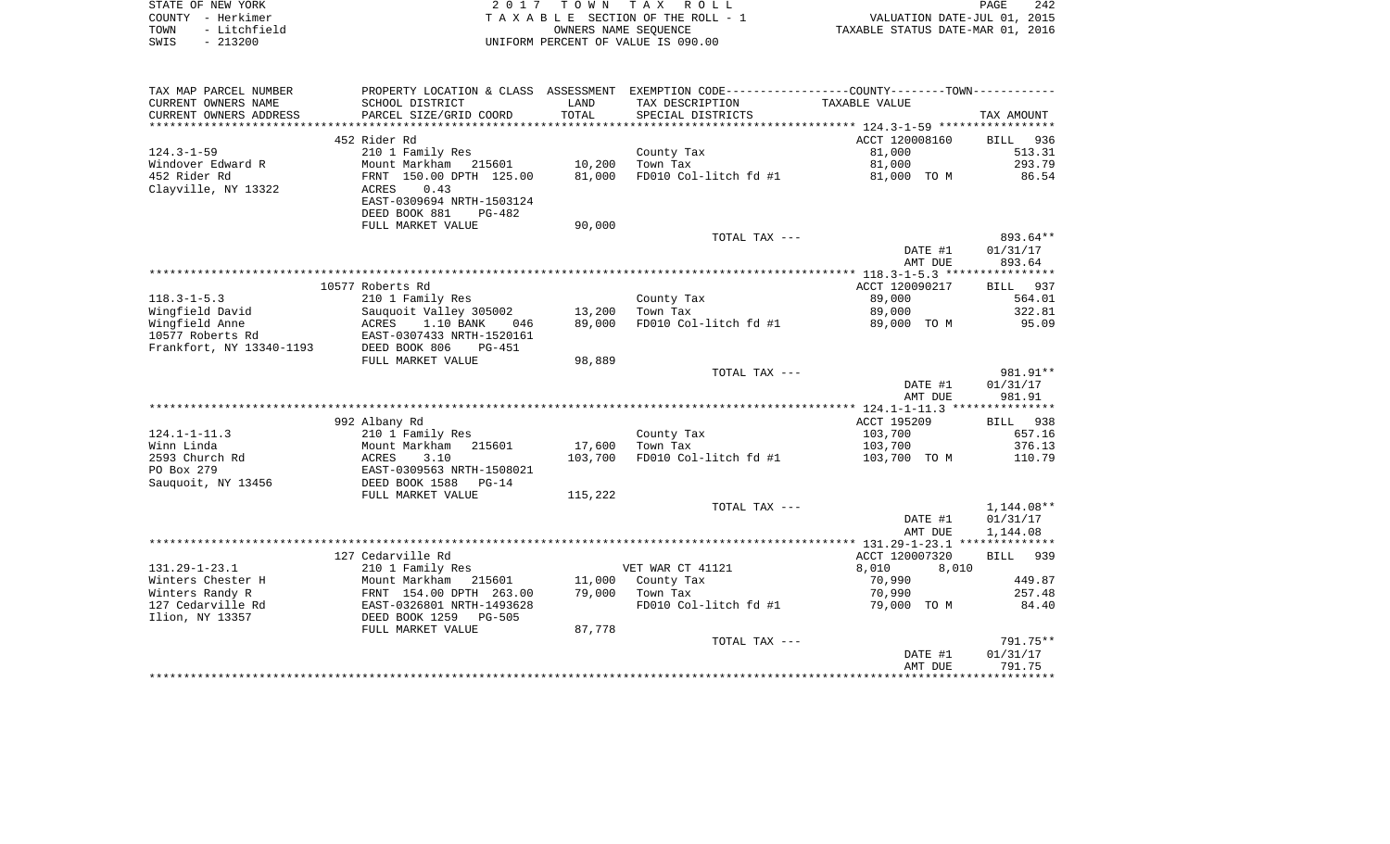| STATE OF NEW YORK    | 2017 TOWN TAX ROLL                 | 242<br>PAGE                      |
|----------------------|------------------------------------|----------------------------------|
| COUNTY - Herkimer    | TAXABLE SECTION OF THE ROLL - 1    | VALUATION DATE-JUL 01, 2015      |
| - Litchfield<br>TOWN | OWNERS NAME SEOUENCE               | TAXABLE STATUS DATE-MAR 01, 2016 |
| $-213200$<br>SWIS    | UNIFORM PERCENT OF VALUE IS 090.00 |                                  |

| TAX MAP PARCEL NUMBER                        |                                                                                              |                  | PROPERTY LOCATION & CLASS ASSESSMENT EXEMPTION CODE---------------COUNTY-------TOWN---------- |                    |                    |
|----------------------------------------------|----------------------------------------------------------------------------------------------|------------------|-----------------------------------------------------------------------------------------------|--------------------|--------------------|
| CURRENT OWNERS NAME                          | SCHOOL DISTRICT                                                                              | LAND             | TAX DESCRIPTION                                                                               | TAXABLE VALUE      |                    |
| CURRENT OWNERS ADDRESS                       | PARCEL SIZE/GRID COORD                                                                       | TOTAL            | SPECIAL DISTRICTS                                                                             |                    | TAX AMOUNT         |
|                                              |                                                                                              |                  |                                                                                               |                    |                    |
|                                              | 452 Rider Rd                                                                                 |                  |                                                                                               | ACCT 120008160     | BILL 936           |
| $124.3 - 1 - 59$                             | 210 1 Family Res                                                                             |                  | County Tax                                                                                    | 81,000             | 513.31             |
| Windover Edward R                            | Mount Markham 215601                                                                         | 10,200           | Town Tax                                                                                      | 81,000             | 293.79             |
| 452 Rider Rd                                 | FRNT 150.00 DPTH 125.00                                                                      | 81,000           | FD010 Col-litch fd #1                                                                         | 81,000 TO M        | 86.54              |
| Clayville, NY 13322                          | ACRES<br>0.43<br>EAST-0309694 NRTH-1503124<br>DEED BOOK 881<br>$PG-482$<br>FULL MARKET VALUE | 90,000           |                                                                                               |                    |                    |
|                                              |                                                                                              |                  | TOTAL TAX ---                                                                                 |                    | 893.64**           |
|                                              |                                                                                              |                  |                                                                                               | DATE #1            | 01/31/17           |
|                                              |                                                                                              |                  |                                                                                               | AMT DUE            | 893.64             |
|                                              |                                                                                              |                  |                                                                                               |                    |                    |
|                                              | 10577 Roberts Rd                                                                             |                  |                                                                                               | ACCT 120090217     | BILL<br>937        |
| $118.3 - 1 - 5.3$                            | 210 1 Family Res                                                                             |                  | County Tax                                                                                    | 89,000             | 564.01             |
| Wingfield David                              | Sauguoit Valley 305002                                                                       | 13,200           | Town Tax                                                                                      | 89,000             | 322.81             |
| Wingfield Anne                               | 1.10 BANK<br>ACRES<br>046                                                                    | 89,000           | FD010 Col-litch fd #1                                                                         | 89,000 TO M        | 95.09              |
| 10577 Roberts Rd<br>Frankfort, NY 13340-1193 | EAST-0307433 NRTH-1520161<br>DEED BOOK 806<br>$PG-451$                                       |                  |                                                                                               |                    |                    |
|                                              | FULL MARKET VALUE                                                                            | 98,889           |                                                                                               |                    |                    |
|                                              |                                                                                              |                  | TOTAL TAX ---                                                                                 |                    | 981.91**           |
|                                              |                                                                                              |                  |                                                                                               | DATE #1<br>AMT DUE | 01/31/17<br>981.91 |
|                                              |                                                                                              |                  |                                                                                               |                    |                    |
|                                              | 992 Albany Rd                                                                                |                  |                                                                                               | ACCT 195209        | BILL 938           |
| $124.1 - 1 - 11.3$                           | 210 1 Family Res                                                                             |                  | County Tax                                                                                    | 103,700            | 657.16             |
| Winn Linda                                   | Mount Markham<br>215601                                                                      | 17,600           | Town Tax                                                                                      | 103,700            | 376.13             |
| 2593 Church Rd                               | ACRES<br>3.10                                                                                | 103,700          | FD010 Col-litch fd #1                                                                         | 103,700 TO M       | 110.79             |
| PO Box 279<br>Sauquoit, NY 13456             | EAST-0309563 NRTH-1508021<br>DEED BOOK 1588<br>$PG-14$                                       |                  |                                                                                               |                    |                    |
|                                              | FULL MARKET VALUE                                                                            | 115,222          |                                                                                               |                    |                    |
|                                              |                                                                                              |                  | TOTAL TAX ---                                                                                 |                    | 1,144.08**         |
|                                              |                                                                                              |                  |                                                                                               | DATE #1            | 01/31/17           |
|                                              |                                                                                              |                  |                                                                                               | AMT DUE            | 1,144.08           |
|                                              |                                                                                              |                  |                                                                                               |                    |                    |
|                                              | 127 Cedarville Rd                                                                            |                  |                                                                                               | ACCT 120007320     | <b>BILL</b><br>939 |
| $131.29 - 1 - 23.1$                          | 210 1 Family Res                                                                             |                  | VET WAR CT 41121                                                                              | 8,010<br>8,010     |                    |
| Winters Chester H<br>Winters Randy R         | Mount Markham<br>215601<br>FRNT 154.00 DPTH 263.00                                           | 11,000<br>79,000 | County Tax                                                                                    | 70,990             | 449.87<br>257.48   |
|                                              |                                                                                              |                  | Town Tax                                                                                      | 70,990             |                    |
| 127 Cedarville Rd<br>Ilion, NY 13357         | EAST-0326801 NRTH-1493628<br>DEED BOOK 1259<br><b>PG-505</b>                                 |                  | FD010 Col-litch fd #1                                                                         | 79,000 TO M        | 84.40              |
|                                              | FULL MARKET VALUE                                                                            | 87,778           |                                                                                               |                    |                    |
|                                              |                                                                                              |                  | TOTAL TAX ---                                                                                 |                    | 791.75**           |
|                                              |                                                                                              |                  |                                                                                               | DATE #1            | 01/31/17           |
|                                              |                                                                                              |                  |                                                                                               | AMT DUE            | 791.75             |
|                                              |                                                                                              |                  |                                                                                               |                    |                    |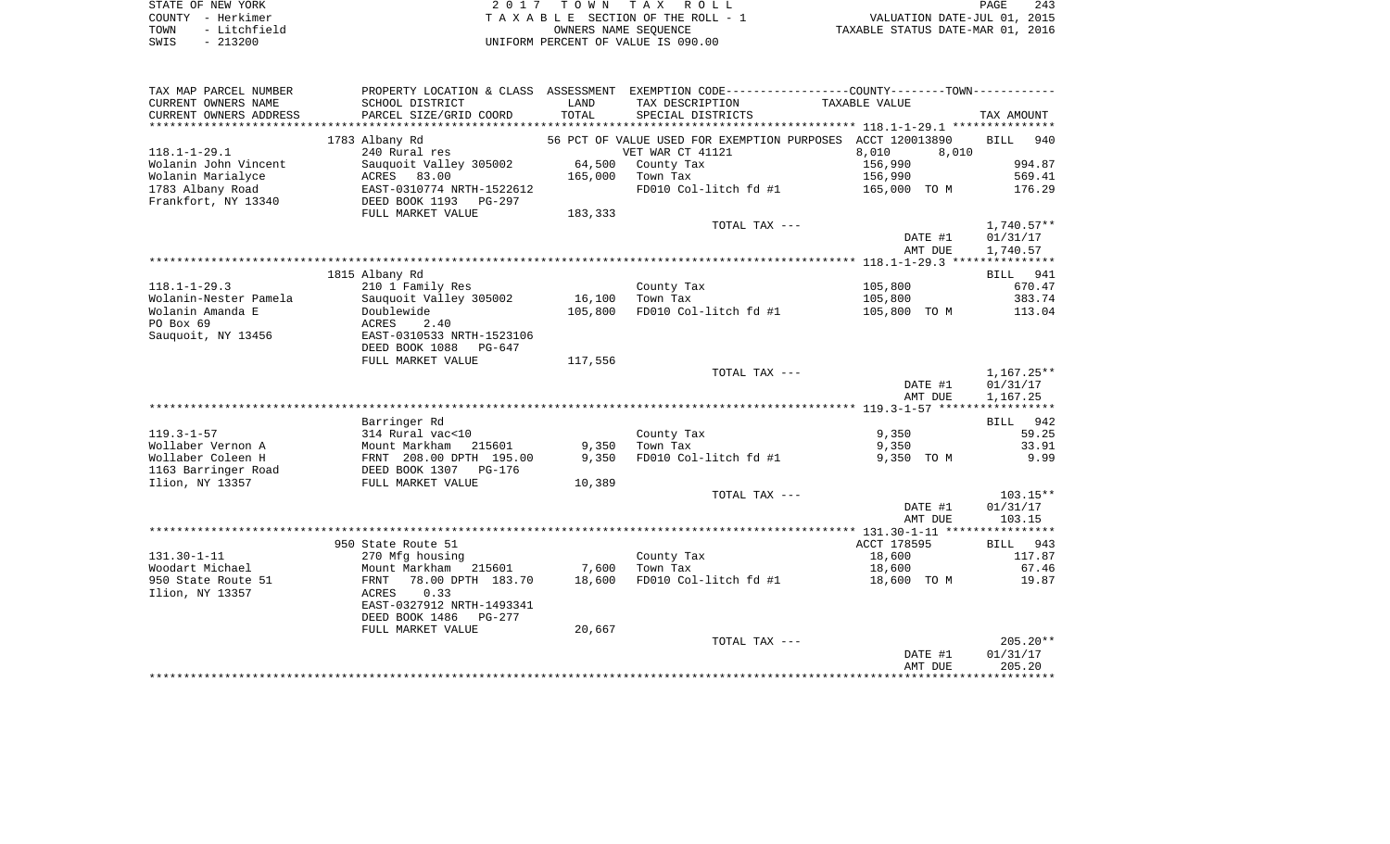|      | STATE OF NEW YORK | 2017 TOWN TAX ROLL                 | <b>PAGE</b>                      | 243 |
|------|-------------------|------------------------------------|----------------------------------|-----|
|      | COUNTY - Herkimer | TAXABLE SECTION OF THE ROLL - 1    | VALUATION DATE-JUL 01, 2015      |     |
| TOWN | - Litchfield      | OWNERS NAME SEOUENCE               | TAXABLE STATUS DATE-MAR 01, 2016 |     |
| SWIS | $-213200$         | UNIFORM PERCENT OF VALUE IS 090.00 |                                  |     |

| TAX MAP PARCEL NUMBER  | PROPERTY LOCATION & CLASS ASSESSMENT |         |                                                            | EXEMPTION CODE-----------------COUNTY-------TOWN----------- |                    |
|------------------------|--------------------------------------|---------|------------------------------------------------------------|-------------------------------------------------------------|--------------------|
| CURRENT OWNERS NAME    | SCHOOL DISTRICT                      | LAND    | TAX DESCRIPTION                                            | TAXABLE VALUE                                               |                    |
| CURRENT OWNERS ADDRESS | PARCEL SIZE/GRID COORD               | TOTAL   | SPECIAL DISTRICTS                                          |                                                             | TAX AMOUNT         |
| *******************    | ************************             |         |                                                            |                                                             |                    |
|                        | 1783 Albany Rd                       |         | 56 PCT OF VALUE USED FOR EXEMPTION PURPOSES ACCT 120013890 |                                                             | <b>BILL</b><br>940 |
| $118.1 - 1 - 29.1$     | 240 Rural res                        |         | VET WAR CT 41121                                           | 8,010<br>8,010                                              |                    |
| Wolanin John Vincent   | Sauquoit Valley 305002               | 64,500  | County Tax                                                 | 156,990                                                     | 994.87             |
| Wolanin Marialyce      | ACRES 83.00                          | 165,000 | Town Tax                                                   | 156,990                                                     | 569.41             |
| 1783 Albany Road       | EAST-0310774 NRTH-1522612            |         | FD010 Col-litch fd #1                                      | 165,000 TO M                                                | 176.29             |
| Frankfort, NY 13340    | DEED BOOK 1193<br>$PG-297$           |         |                                                            |                                                             |                    |
|                        | FULL MARKET VALUE                    | 183,333 |                                                            |                                                             |                    |
|                        |                                      |         | TOTAL TAX ---                                              |                                                             | $1,740.57**$       |
|                        |                                      |         |                                                            | DATE #1                                                     | 01/31/17           |
|                        |                                      |         |                                                            | AMT DUE                                                     | 1,740.57           |
|                        |                                      |         |                                                            |                                                             |                    |
|                        | 1815 Albany Rd                       |         |                                                            |                                                             | BILL 941           |
| $118.1 - 1 - 29.3$     | 210 1 Family Res                     |         | County Tax                                                 | 105,800                                                     | 670.47             |
| Wolanin-Nester Pamela  | Sauquoit Valley 305002               | 16,100  | Town Tax                                                   | 105,800                                                     | 383.74             |
| Wolanin Amanda E       | Doublewide                           | 105,800 | FD010 Col-litch fd #1                                      | 105,800 TO M                                                | 113.04             |
| PO Box 69              | ACRES<br>2.40                        |         |                                                            |                                                             |                    |
| Sauquoit, NY 13456     | EAST-0310533 NRTH-1523106            |         |                                                            |                                                             |                    |
|                        | DEED BOOK 1088<br>$PG-647$           |         |                                                            |                                                             |                    |
|                        | FULL MARKET VALUE                    | 117,556 |                                                            |                                                             |                    |
|                        |                                      |         | TOTAL TAX ---                                              |                                                             | $1,167.25**$       |
|                        |                                      |         |                                                            | DATE #1                                                     | 01/31/17           |
|                        |                                      |         |                                                            | AMT DUE                                                     | 1,167.25           |
|                        |                                      |         |                                                            |                                                             |                    |
|                        | Barringer Rd                         |         |                                                            |                                                             | BILL 942           |
| $119.3 - 1 - 57$       | 314 Rural vac<10                     |         | County Tax                                                 | 9,350                                                       | 59.25              |
| Wollaber Vernon A      | Mount Markham<br>215601              | 9,350   | Town Tax                                                   | 9,350                                                       | 33.91              |
| Wollaber Coleen H      | FRNT 208.00 DPTH 195.00              | 9,350   | FD010 Col-litch fd #1                                      | 9,350 TO M                                                  | 9.99               |
| 1163 Barringer Road    | DEED BOOK 1307<br>PG-176             |         |                                                            |                                                             |                    |
| Ilion, NY 13357        | FULL MARKET VALUE                    | 10,389  |                                                            |                                                             |                    |
|                        |                                      |         | TOTAL TAX ---                                              |                                                             | $103.15**$         |
|                        |                                      |         |                                                            | DATE #1                                                     | 01/31/17           |
|                        |                                      |         |                                                            | AMT DUE                                                     | 103.15             |
|                        |                                      |         |                                                            |                                                             |                    |
|                        | 950 State Route 51                   |         |                                                            | ACCT 178595                                                 | BILL 943           |
| $131.30 - 1 - 11$      | 270 Mfg housing                      |         | County Tax                                                 | 18,600                                                      | 117.87             |
| Woodart Michael        | Mount Markham<br>215601              | 7,600   | Town Tax                                                   | 18,600                                                      | 67.46              |
| 950 State Route 51     | 78.00 DPTH 183.70<br>FRNT            | 18,600  | FD010 Col-litch fd #1                                      | 18,600 TO M                                                 | 19.87              |
| Ilion, NY 13357        | 0.33<br>ACRES                        |         |                                                            |                                                             |                    |
|                        | EAST-0327912 NRTH-1493341            |         |                                                            |                                                             |                    |
|                        | DEED BOOK 1486<br>$PG-277$           |         |                                                            |                                                             |                    |
|                        | FULL MARKET VALUE                    | 20,667  |                                                            |                                                             |                    |
|                        |                                      |         | TOTAL TAX ---                                              |                                                             | $205.20**$         |
|                        |                                      |         |                                                            | DATE #1                                                     | 01/31/17           |
|                        |                                      |         |                                                            | AMT DUE                                                     | 205.20             |
|                        |                                      |         |                                                            |                                                             |                    |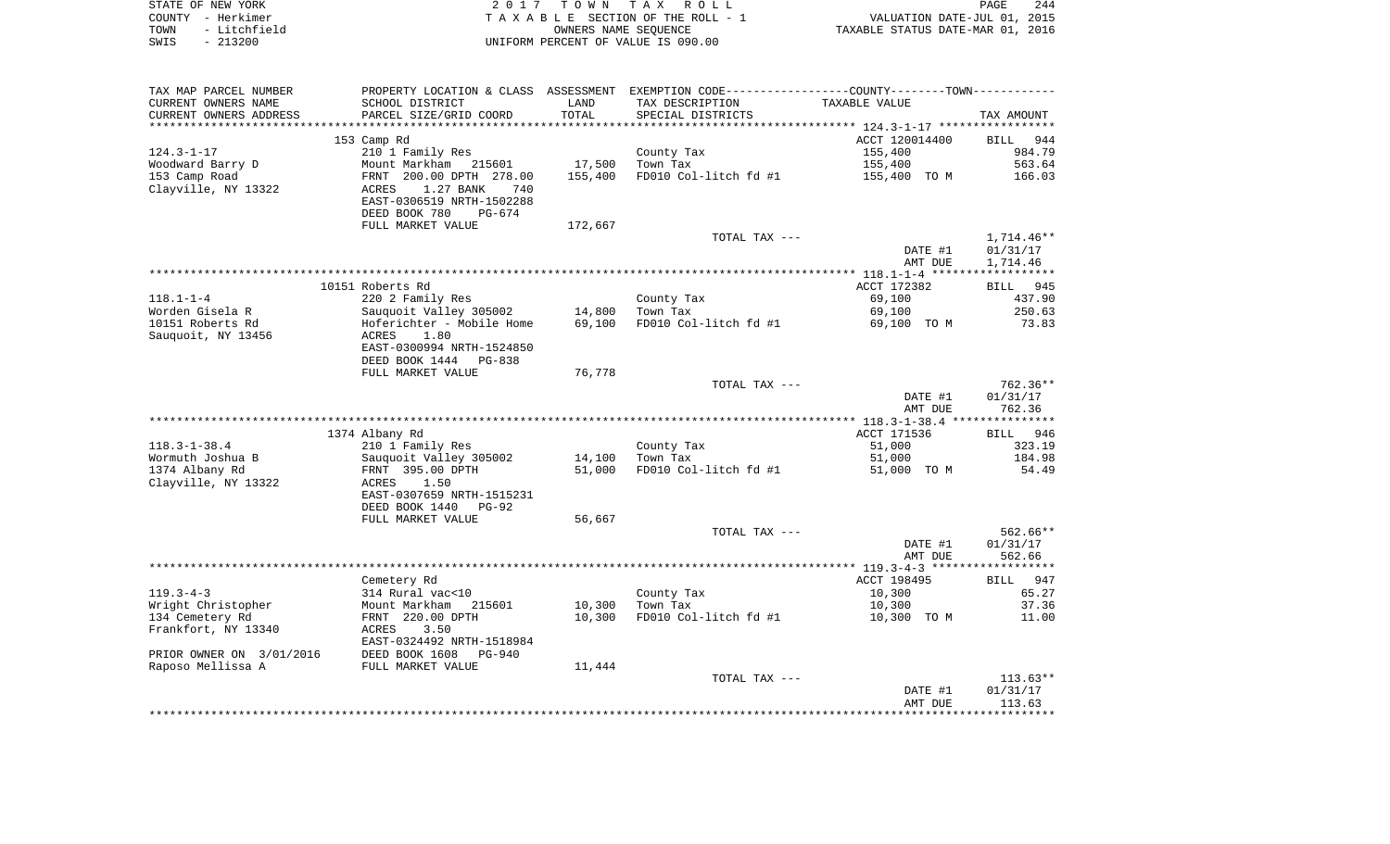| STATE OF NEW YORK    | 2017 TOWN TAX ROLL                 | 244<br>PAGE                      |
|----------------------|------------------------------------|----------------------------------|
| COUNTY - Herkimer    | TAXABLE SECTION OF THE ROLL - 1    | VALUATION DATE-JUL 01, 2015      |
| - Litchfield<br>TOWN | OWNERS NAME SEOUENCE               | TAXABLE STATUS DATE-MAR 01, 2016 |
| $-213200$<br>SWIS    | UNIFORM PERCENT OF VALUE IS 090.00 |                                  |

| TAX MAP PARCEL NUMBER    | PROPERTY LOCATION & CLASS ASSESSMENT EXEMPTION CODE----------------COUNTY--------TOWN----------- |         |                       |                |              |
|--------------------------|--------------------------------------------------------------------------------------------------|---------|-----------------------|----------------|--------------|
| CURRENT OWNERS NAME      | SCHOOL DISTRICT                                                                                  | LAND    | TAX DESCRIPTION       | TAXABLE VALUE  |              |
| CURRENT OWNERS ADDRESS   | PARCEL SIZE/GRID COORD                                                                           | TOTAL   | SPECIAL DISTRICTS     |                | TAX AMOUNT   |
|                          |                                                                                                  |         |                       |                |              |
|                          | 153 Camp Rd                                                                                      |         |                       | ACCT 120014400 | BILL 944     |
| $124.3 - 1 - 17$         | 210 1 Family Res                                                                                 |         | County Tax            | 155,400        | 984.79       |
| Woodward Barry D         | Mount Markham 215601                                                                             | 17,500  | Town Tax              | 155,400        | 563.64       |
| 153 Camp Road            | FRNT 200.00 DPTH 278.00                                                                          | 155,400 | FD010 Col-litch fd #1 | 155,400 TO M   | 166.03       |
| Clayville, NY 13322      | 1.27 BANK<br>ACRES<br>740                                                                        |         |                       |                |              |
|                          | EAST-0306519 NRTH-1502288                                                                        |         |                       |                |              |
|                          | DEED BOOK 780<br>PG-674                                                                          |         |                       |                |              |
|                          | FULL MARKET VALUE                                                                                | 172,667 |                       |                |              |
|                          |                                                                                                  |         | TOTAL TAX ---         |                | $1,714.46**$ |
|                          |                                                                                                  |         |                       | DATE #1        | 01/31/17     |
|                          |                                                                                                  |         |                       | AMT DUE        | 1,714.46     |
|                          |                                                                                                  |         |                       |                |              |
|                          | 10151 Roberts Rd                                                                                 |         |                       | ACCT 172382    | BILL 945     |
| $118.1 - 1 - 4$          | 220 2 Family Res                                                                                 |         | County Tax            | 69,100         | 437.90       |
| Worden Gisela R          | Sauguoit Valley 305002                                                                           | 14,800  | Town Tax              | 69,100         | 250.63       |
| 10151 Roberts Rd         | Hoferichter - Mobile Home                                                                        | 69,100  | FD010 Col-litch fd #1 | 69,100 TO M    | 73.83        |
| Sauquoit, NY 13456       | 1.80<br>ACRES                                                                                    |         |                       |                |              |
|                          | EAST-0300994 NRTH-1524850                                                                        |         |                       |                |              |
|                          | DEED BOOK 1444<br>PG-838                                                                         |         |                       |                |              |
|                          | FULL MARKET VALUE                                                                                | 76,778  |                       |                |              |
|                          |                                                                                                  |         | TOTAL TAX ---         |                | 762.36**     |
|                          |                                                                                                  |         |                       | DATE #1        | 01/31/17     |
|                          |                                                                                                  |         |                       | AMT DUE        | 762.36       |
|                          |                                                                                                  |         |                       |                |              |
|                          | 1374 Albany Rd                                                                                   |         |                       | ACCT 171536    | BILL 946     |
| $118.3 - 1 - 38.4$       | 210 1 Family Res                                                                                 |         | County Tax            | 51,000         | 323.19       |
| Wormuth Joshua B         | Sauquoit Valley 305002                                                                           | 14,100  | Town Tax              | 51,000         | 184.98       |
| 1374 Albany Rd           | FRNT 395.00 DPTH                                                                                 | 51,000  | FD010 Col-litch fd #1 | 51,000 TO M    | 54.49        |
| Clayville, NY 13322      | ACRES<br>1.50                                                                                    |         |                       |                |              |
|                          | EAST-0307659 NRTH-1515231                                                                        |         |                       |                |              |
|                          | DEED BOOK 1440<br>PG-92                                                                          |         |                       |                |              |
|                          | FULL MARKET VALUE                                                                                | 56,667  |                       |                |              |
|                          |                                                                                                  |         | TOTAL TAX ---         |                | $562.66**$   |
|                          |                                                                                                  |         |                       | DATE #1        | 01/31/17     |
|                          |                                                                                                  |         |                       | AMT DUE        | 562.66       |
|                          |                                                                                                  |         |                       |                |              |
|                          | Cemetery Rd                                                                                      |         |                       | ACCT 198495    | BILL 947     |
| $119.3 - 4 - 3$          | 314 Rural vac<10                                                                                 |         | County Tax            | 10,300         | 65.27        |
| Wright Christopher       | Mount Markham 215601                                                                             | 10,300  | Town Tax              | 10,300         | 37.36        |
| 134 Cemetery Rd          | FRNT 220.00 DPTH                                                                                 | 10,300  | FD010 Col-litch fd #1 | 10,300 TO M    | 11.00        |
| Frankfort, NY 13340      | 3.50<br>ACRES                                                                                    |         |                       |                |              |
|                          | EAST-0324492 NRTH-1518984                                                                        |         |                       |                |              |
| PRIOR OWNER ON 3/01/2016 | DEED BOOK 1608<br>PG-940                                                                         |         |                       |                |              |
| Raposo Mellissa A        | FULL MARKET VALUE                                                                                | 11,444  |                       |                |              |
|                          |                                                                                                  |         | TOTAL TAX ---         |                | $113.63**$   |
|                          |                                                                                                  |         |                       | DATE #1        | 01/31/17     |
|                          |                                                                                                  |         |                       | AMT DUE        | 113.63       |
|                          |                                                                                                  |         |                       |                |              |
|                          |                                                                                                  |         |                       |                |              |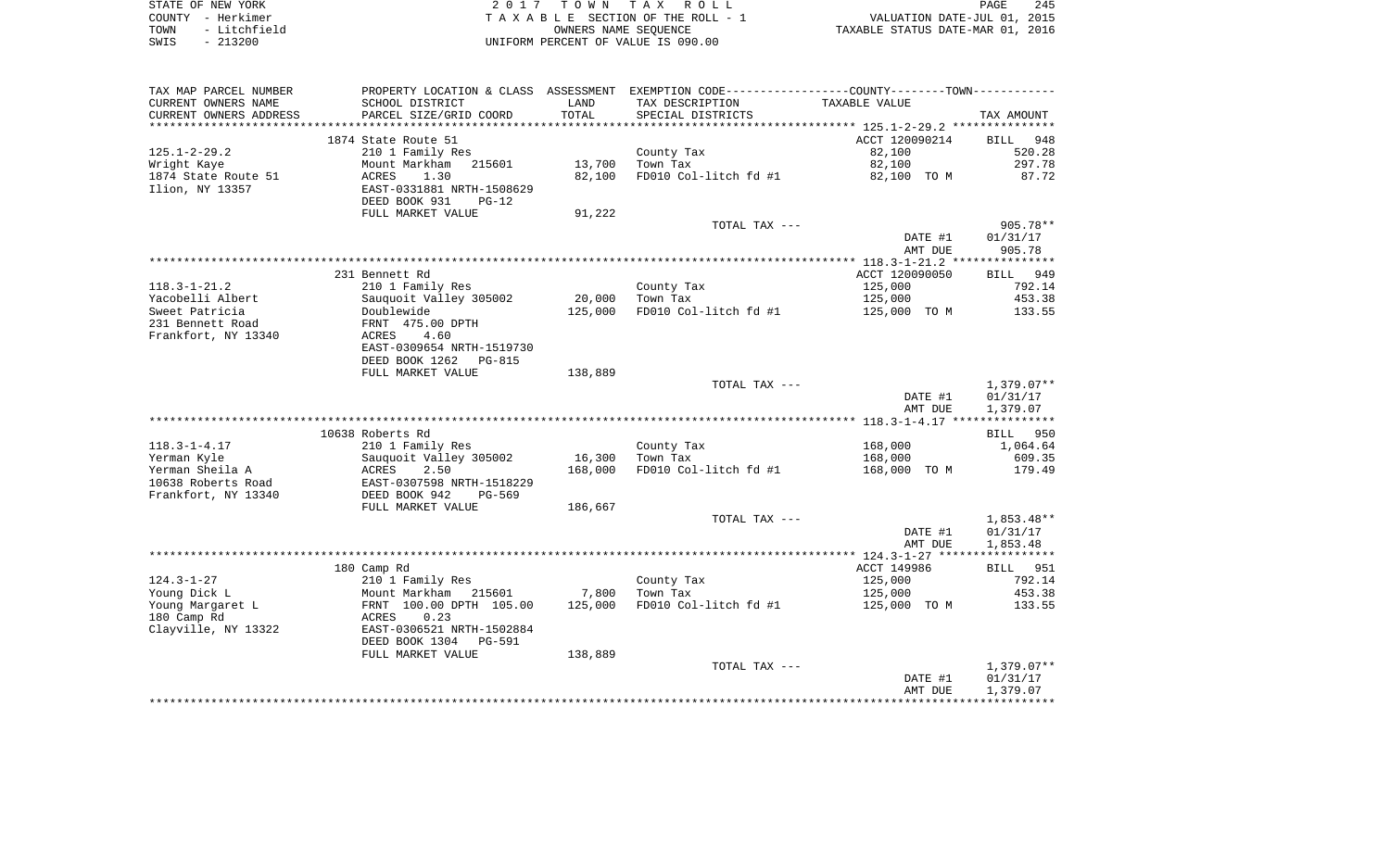| STATE OF NEW YORK |              | 2017 TOWN TAX ROLL                 | PAGE                             | 245 |
|-------------------|--------------|------------------------------------|----------------------------------|-----|
| COUNTY - Herkimer |              | TAXABLE SECTION OF THE ROLL - 1    | VALUATION DATE-JUL 01, 2015      |     |
| TOWN              | - Litchfield | OWNERS NAME SEOUENCE               | TAXABLE STATUS DATE-MAR 01, 2016 |     |
| SWIS              | - 213200     | UNIFORM PERCENT OF VALUE IS 090.00 |                                  |     |

|                                    |                                                      |               |                                                                                               | DATE #1<br>AMT DUE | 01/31/17<br>1,379.07 |
|------------------------------------|------------------------------------------------------|---------------|-----------------------------------------------------------------------------------------------|--------------------|----------------------|
|                                    | DEED BOOK 1304<br><b>PG-591</b><br>FULL MARKET VALUE | 138,889       | TOTAL TAX ---                                                                                 |                    | $1,379.07**$         |
| 180 Camp Rd<br>Clayville, NY 13322 | <b>ACRES</b><br>0.23<br>EAST-0306521 NRTH-1502884    |               |                                                                                               |                    |                      |
| Young Margaret L                   | FRNT 100.00 DPTH 105.00                              | 125,000       | FD010 Col-litch fd #1                                                                         | 125,000 TO M       | 133.55               |
| Young Dick L                       | Mount Markham<br>215601                              | 7,800         | Town Tax                                                                                      | 125,000            | 453.38               |
| $124.3 - 1 - 27$                   | 210 1 Family Res                                     |               | County Tax                                                                                    | 125,000            | 792.14               |
|                                    | 180 Camp Rd                                          |               |                                                                                               | ACCT 149986        | BILL 951             |
|                                    |                                                      |               |                                                                                               |                    |                      |
|                                    |                                                      |               |                                                                                               | AMT DUE            | 1,853.48             |
|                                    |                                                      |               |                                                                                               | DATE #1            | 01/31/17             |
|                                    |                                                      |               | TOTAL TAX ---                                                                                 |                    | 1,853.48**           |
| Frankfort, NY 13340                | DEED BOOK 942<br>PG-569<br>FULL MARKET VALUE         | 186,667       |                                                                                               |                    |                      |
| 10638 Roberts Road                 | EAST-0307598 NRTH-1518229                            |               |                                                                                               |                    |                      |
| Yerman Sheila A                    | <b>ACRES</b><br>2.50                                 | 168,000       | FD010 Col-litch fd #1                                                                         | 168,000 TO M       | 179.49               |
| Yerman Kyle                        | Sauguoit Valley 305002                               | 16,300        | Town Tax                                                                                      | 168,000            | 609.35               |
| $118.3 - 1 - 4.17$                 | 210 1 Family Res                                     |               | County Tax                                                                                    | 168,000            | 1,064.64             |
|                                    | 10638 Roberts Rd                                     |               |                                                                                               |                    | BILL 950             |
|                                    |                                                      |               |                                                                                               | AMT DUE            | 1,379.07             |
|                                    |                                                      |               |                                                                                               | DATE #1            | 01/31/17             |
|                                    |                                                      |               | TOTAL TAX ---                                                                                 |                    | $1,379.07**$         |
|                                    | DEED BOOK 1262<br>PG-815<br>FULL MARKET VALUE        | 138,889       |                                                                                               |                    |                      |
|                                    | EAST-0309654 NRTH-1519730                            |               |                                                                                               |                    |                      |
| Frankfort, NY 13340                | ACRES<br>4.60                                        |               |                                                                                               |                    |                      |
| 231 Bennett Road                   | FRNT 475.00 DPTH                                     |               |                                                                                               |                    |                      |
| Sweet Patricia                     | Doublewide                                           | 125,000       | FD010 Col-litch fd #1                                                                         | 125,000 TO M       | 133.55               |
| Yacobelli Albert                   | Sauquoit Valley 305002                               | 20,000        | Town Tax                                                                                      | 125,000            | 453.38               |
| $118.3 - 1 - 21.2$                 | 210 1 Family Res                                     |               | County Tax                                                                                    | 125,000            | 792.14               |
|                                    | 231 Bennett Rd                                       |               |                                                                                               | ACCT 120090050     | BILL 949             |
|                                    |                                                      |               |                                                                                               |                    |                      |
|                                    |                                                      |               |                                                                                               | DATE #1<br>AMT DUE | 01/31/17<br>905.78   |
|                                    |                                                      |               | TOTAL TAX ---                                                                                 |                    | $905.78**$           |
|                                    | FULL MARKET VALUE                                    | 91,222        |                                                                                               |                    |                      |
|                                    | DEED BOOK 931<br>$PG-12$                             |               |                                                                                               |                    |                      |
| Ilion, NY 13357                    | EAST-0331881 NRTH-1508629                            |               |                                                                                               |                    |                      |
| 1874 State Route 51                | ACRES<br>1.30                                        | 82,100        | FD010 Col-litch fd #1                                                                         | 82,100 TO M        | 87.72                |
| Wright Kaye                        | Mount Markham<br>215601                              | 13,700        | Town Tax                                                                                      | 82,100             | 297.78               |
| $125.1 - 2 - 29.2$                 | 210 1 Family Res                                     |               | County Tax                                                                                    | 82,100             | 520.28               |
|                                    | 1874 State Route 51                                  |               |                                                                                               | ACCT 120090214     | BILL 948             |
| CURRENT OWNERS ADDRESS             | PARCEL SIZE/GRID COORD                               |               | SPECIAL DISTRICTS                                                                             |                    | TAX AMOUNT           |
| CURRENT OWNERS NAME                | SCHOOL DISTRICT                                      | LAND<br>TOTAL | TAX DESCRIPTION                                                                               | TAXABLE VALUE      |                      |
| TAX MAP PARCEL NUMBER              |                                                      |               | PROPERTY LOCATION & CLASS ASSESSMENT EXEMPTION CODE----------------COUNTY-------TOWN--------- |                    |                      |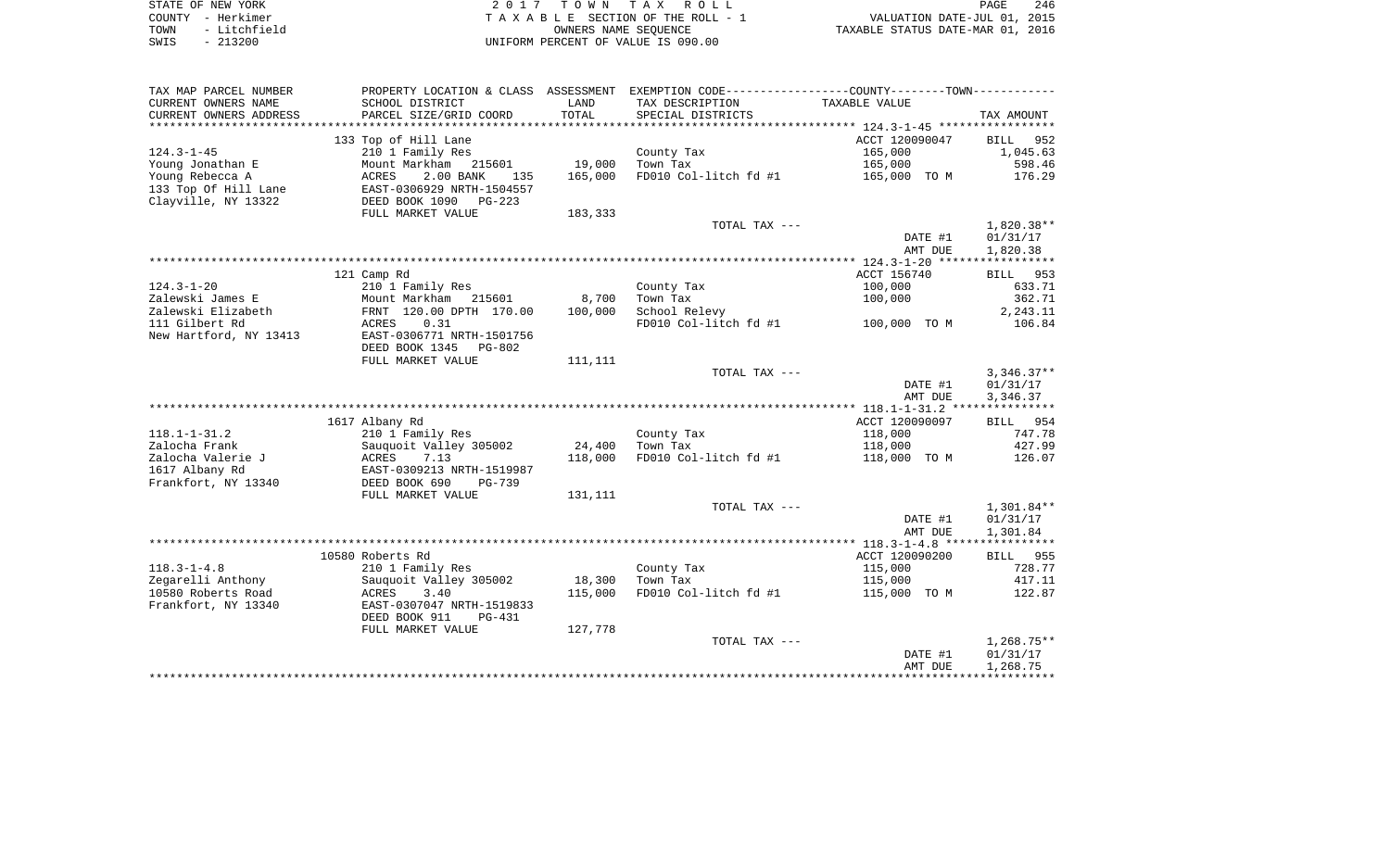| STATE OF NEW YORK    | 2017 TOWN TAX ROLL                 | 246<br>PAGE                      |
|----------------------|------------------------------------|----------------------------------|
| COUNTY - Herkimer    | TAXABLE SECTION OF THE ROLL - 1    | VALUATION DATE-JUL 01, 2015      |
| - Litchfield<br>TOWN | OWNERS NAME SEOUENCE               | TAXABLE STATUS DATE-MAR 01, 2016 |
| $-213200$<br>SWIS    | UNIFORM PERCENT OF VALUE IS 090.00 |                                  |

| TAX MAP PARCEL NUMBER                               |               | PROPERTY LOCATION & CLASS ASSESSMENT | EXEMPTION CODE----------------COUNTY-------TOWN----------- |                        |                    |
|-----------------------------------------------------|---------------|--------------------------------------|------------------------------------------------------------|------------------------|--------------------|
| CURRENT OWNERS NAME<br>SCHOOL DISTRICT              |               | LAND                                 | TAX DESCRIPTION                                            | TAXABLE VALUE          |                    |
| CURRENT OWNERS ADDRESS<br>PARCEL SIZE/GRID COORD    |               | TOTAL                                | SPECIAL DISTRICTS                                          |                        | TAX AMOUNT         |
| ********************                                |               |                                      |                                                            |                        |                    |
| 133 Top of Hill Lane                                |               |                                      |                                                            | ACCT 120090047         | 952<br>BILL        |
| $124.3 - 1 - 45$<br>210 1 Family Res                |               |                                      | County Tax                                                 | 165,000                | 1,045.63           |
| Mount Markham<br>Young Jonathan E                   | 215601        | 19,000                               | Town Tax                                                   | 165,000                | 598.46             |
| Young Rebecca A<br>ACRES<br>2.00 BANK               | 135           | 165,000                              | FD010 Col-litch fd #1                                      | 165,000 TO M           | 176.29             |
| 133 Top Of Hill Lane<br>EAST-0306929 NRTH-1504557   |               |                                      |                                                            |                        |                    |
| Clayville, NY 13322<br>DEED BOOK 1090               | $PG-223$      |                                      |                                                            |                        |                    |
| FULL MARKET VALUE                                   |               | 183,333                              |                                                            |                        |                    |
|                                                     |               |                                      | TOTAL TAX ---                                              |                        | 1,820.38**         |
|                                                     |               |                                      |                                                            | DATE #1                | 01/31/17           |
|                                                     |               |                                      |                                                            | AMT DUE                | 1,820.38           |
|                                                     |               |                                      |                                                            |                        |                    |
| 121 Camp Rd<br>$124.3 - 1 - 20$<br>210 1 Family Res |               |                                      | County Tax                                                 | ACCT 156740<br>100,000 | BILL 953<br>633.71 |
| Zalewski James E<br>Mount Markham 215601            |               | 8,700                                | Town Tax                                                   | 100,000                | 362.71             |
| Zalewski Elizabeth<br>FRNT 120.00 DPTH 170.00       |               | 100,000                              | School Relevy                                              |                        | 2,243.11           |
| 111 Gilbert Rd<br>0.31<br>ACRES                     |               |                                      | FD010 Col-litch fd #1                                      | 100,000 TO M           | 106.84             |
| New Hartford, NY 13413<br>EAST-0306771 NRTH-1501756 |               |                                      |                                                            |                        |                    |
| DEED BOOK 1345                                      | <b>PG-802</b> |                                      |                                                            |                        |                    |
| FULL MARKET VALUE                                   |               | 111, 111                             |                                                            |                        |                    |
|                                                     |               |                                      | TOTAL TAX ---                                              |                        | $3,346.37**$       |
|                                                     |               |                                      |                                                            | DATE #1                | 01/31/17           |
|                                                     |               |                                      |                                                            | AMT DUE                | 3,346.37           |
|                                                     |               |                                      |                                                            |                        |                    |
| 1617 Albany Rd                                      |               |                                      |                                                            | ACCT 120090097         | BILL 954           |
| $118.1 - 1 - 31.2$<br>210 1 Family Res              |               |                                      | County Tax                                                 | 118,000                | 747.78             |
| Zalocha Frank<br>Sauquoit Valley 305002             |               | 24,400                               | Town Tax                                                   | 118,000                | 427.99             |
| Zalocha Valerie J<br>7.13<br>ACRES                  |               | 118,000                              | FD010 Col-litch fd #1                                      | 118,000 TO M           | 126.07             |
| 1617 Albany Rd<br>EAST-0309213 NRTH-1519987         |               |                                      |                                                            |                        |                    |
| Frankfort, NY 13340<br>DEED BOOK 690                | $PG-739$      |                                      |                                                            |                        |                    |
| FULL MARKET VALUE                                   |               | 131,111                              |                                                            |                        |                    |
|                                                     |               |                                      | TOTAL TAX ---                                              |                        | $1,301.84**$       |
|                                                     |               |                                      |                                                            | DATE #1                | 01/31/17           |
|                                                     |               |                                      |                                                            | AMT DUE                | 1,301.84           |
| 10580 Roberts Rd                                    |               |                                      |                                                            | ACCT 120090200         | <b>BILL</b> 955    |
| $118.3 - 1 - 4.8$<br>210 1 Family Res               |               |                                      | County Tax                                                 | 115,000                | 728.77             |
| Zegarelli Anthony<br>Sauguoit Valley 305002         |               | 18,300                               | Town Tax                                                   | 115,000                | 417.11             |
| 10580 Roberts Road<br>ACRES<br>3.40                 |               | 115,000                              | FD010 Col-litch fd #1                                      | 115,000 TO M           | 122.87             |
| Frankfort, NY 13340<br>EAST-0307047 NRTH-1519833    |               |                                      |                                                            |                        |                    |
| DEED BOOK 911                                       | <b>PG-431</b> |                                      |                                                            |                        |                    |
| FULL MARKET VALUE                                   |               | 127,778                              |                                                            |                        |                    |
|                                                     |               |                                      | TOTAL TAX ---                                              |                        | $1,268.75**$       |
|                                                     |               |                                      |                                                            | DATE #1                | 01/31/17           |
|                                                     |               |                                      |                                                            | AMT DUE                | 1,268.75           |
|                                                     |               |                                      |                                                            |                        |                    |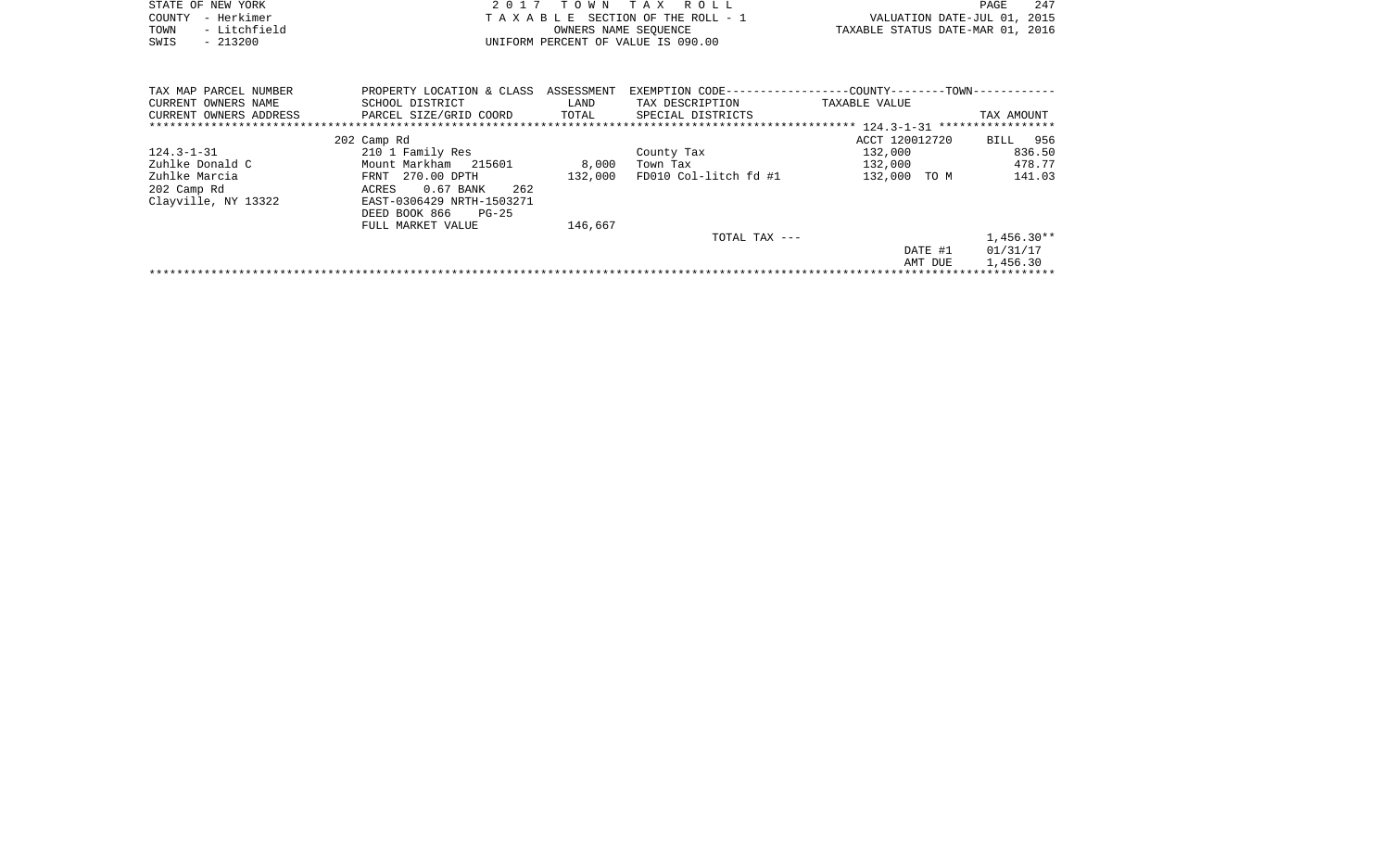|        | STATE OF NEW YORK      |                 | 2017                      |       |            | TOWN TAX ROLL                      |                                                             | PAGE |            | 247 |
|--------|------------------------|-----------------|---------------------------|-------|------------|------------------------------------|-------------------------------------------------------------|------|------------|-----|
| COUNTY | – Herkimer             |                 |                           |       |            | TAXABLE SECTION OF THE ROLL - 1    | VALUATION DATE-JUL 01, 2015                                 |      |            |     |
| TOWN   | - Litchfield           |                 |                           |       |            | OWNERS NAME SEOUENCE               | TAXABLE STATUS DATE-MAR 01, 2016                            |      |            |     |
| SWIS   | $-213200$              |                 |                           |       |            | UNIFORM PERCENT OF VALUE IS 090.00 |                                                             |      |            |     |
|        |                        |                 |                           |       |            |                                    |                                                             |      |            |     |
|        |                        |                 |                           |       |            |                                    |                                                             |      |            |     |
|        | TAX MAP PARCEL NUMBER  |                 | PROPERTY LOCATION & CLASS |       | ASSESSMENT |                                    | EXEMPTION CODE-----------------COUNTY-------TOWN----------- |      |            |     |
|        | CURRENT OWNERS NAME    | SCHOOL DISTRICT |                           |       | LAND       | TAX DESCRIPTION                    | TAXABLE VALUE                                               |      |            |     |
|        | CURRENT OWNERS ADDRESS |                 | PARCEL SIZE/GRID COORD    | TOTAL |            | SPECIAL DISTRICTS                  |                                                             |      | TAX AMOUNT |     |

|                     | 202 Camp Rd               |         |                       | ACCT 120012720  | 956<br>BILL  |
|---------------------|---------------------------|---------|-----------------------|-----------------|--------------|
| $124.3 - 1 - 31$    | 210 1 Family Res          |         | County Tax            | 132,000         | 836.50       |
| Zuhlke Donald C     | Mount Markham 215601      | 8,000   | Town Tax              | 132,000         | 478.77       |
| Zuhlke Marcia       | FRNT 270.00 DPTH          | 132,000 | FD010 Col-litch fd #1 | 132,000<br>TO M | 141.03       |
| 202 Camp Rd         | 262<br>0.67 BANK<br>ACRES |         |                       |                 |              |
| Clayville, NY 13322 | EAST-0306429 NRTH-1503271 |         |                       |                 |              |
|                     | DEED BOOK 866<br>PG-25    |         |                       |                 |              |
|                     | FULL MARKET VALUE         | 146,667 |                       |                 |              |
|                     |                           |         | TOTAL TAX ---         |                 | $1.456.30**$ |
|                     |                           |         |                       | DATE #1         | 01/31/17     |
|                     |                           |         |                       | AMT DUE         | 1,456.30     |
|                     |                           |         |                       |                 |              |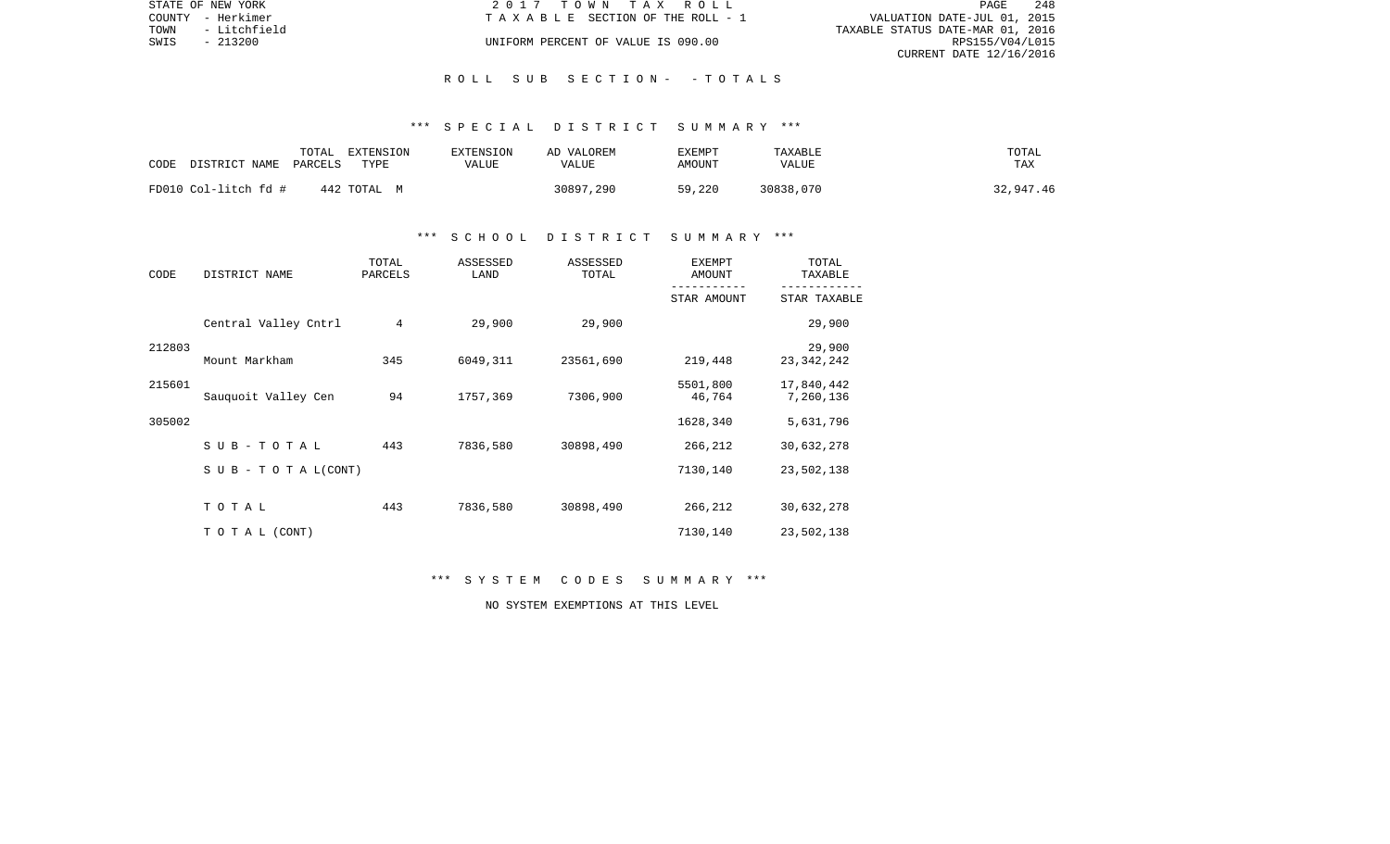| STATE OF NEW YORK | 2017 TOWN TAX ROLL |                                                                       | PAGE            | 248                                                                                        |
|-------------------|--------------------|-----------------------------------------------------------------------|-----------------|--------------------------------------------------------------------------------------------|
| COUNTY - Herkimer |                    |                                                                       |                 |                                                                                            |
| - Litchfield      |                    |                                                                       |                 |                                                                                            |
| - 213200          |                    |                                                                       | RPS155/V04/L015 |                                                                                            |
|                   |                    |                                                                       |                 |                                                                                            |
|                   |                    | TAXABLE SECTION OF THE ROLL - 1<br>UNIFORM PERCENT OF VALUE IS 090.00 |                 | VALUATION DATE-JUL 01, 2015<br>TAXABLE STATUS DATE-MAR 01, 2016<br>CURRENT DATE 12/16/2016 |

#### R O L L S U B S E C T I O N - - T O T A L S

#### \*\*\* S P E C I A L D I S T R I C T S U M M A R Y \*\*\*

| CODE | DISTRICT NAME        | TOTAL<br>PARCELS | EXTENSION<br>TYPE | <b>EXTENSION</b><br>VALUE | AD VALOREM<br>VALUE | EXEMPT<br>AMOUNT | TAXABLE<br>VALUE | TOTAL<br>TAX |
|------|----------------------|------------------|-------------------|---------------------------|---------------------|------------------|------------------|--------------|
|      | FD010 Col-litch fd # |                  | 442 TOTAL M       |                           | 30897,290           | 59,220           | 30838,070        | 32,947.46    |

# \*\*\* S C H O O L D I S T R I C T S U M M A R Y \*\*\*

| CODE   | DISTRICT NAME                    | TOTAL<br>PARCELS | ASSESSED<br>LAND | ASSESSED<br>TOTAL | <b>EXEMPT</b><br>AMOUNT | TOTAL<br>TAXABLE        |
|--------|----------------------------------|------------------|------------------|-------------------|-------------------------|-------------------------|
|        |                                  |                  |                  |                   | STAR AMOUNT             | STAR TAXABLE            |
|        | Central Valley Cntrl             | $\overline{4}$   | 29,900           | 29,900            |                         | 29,900                  |
| 212803 | Mount Markham                    | 345              | 6049,311         | 23561,690         | 219,448                 | 29,900<br>23, 342, 242  |
| 215601 | Sauguoit Valley Cen              | 94               | 1757,369         | 7306,900          | 5501,800<br>46,764      | 17,840,442<br>7,260,136 |
| 305002 |                                  |                  |                  |                   | 1628,340                | 5,631,796               |
|        | $SUB - TO T AL$                  | 443              | 7836,580         | 30898,490         | 266,212                 | 30,632,278              |
|        | $S \cup B - T \cup T A L (CONT)$ |                  |                  |                   | 7130,140                | 23,502,138              |
|        | TOTAL                            | 443              | 7836,580         | 30898,490         | 266,212                 | 30,632,278              |
|        | TO TAL (CONT)                    |                  |                  |                   | 7130,140                | 23,502,138              |

\*\*\* S Y S T E M C O D E S S U M M A R Y \*\*\*

NO SYSTEM EXEMPTIONS AT THIS LEVEL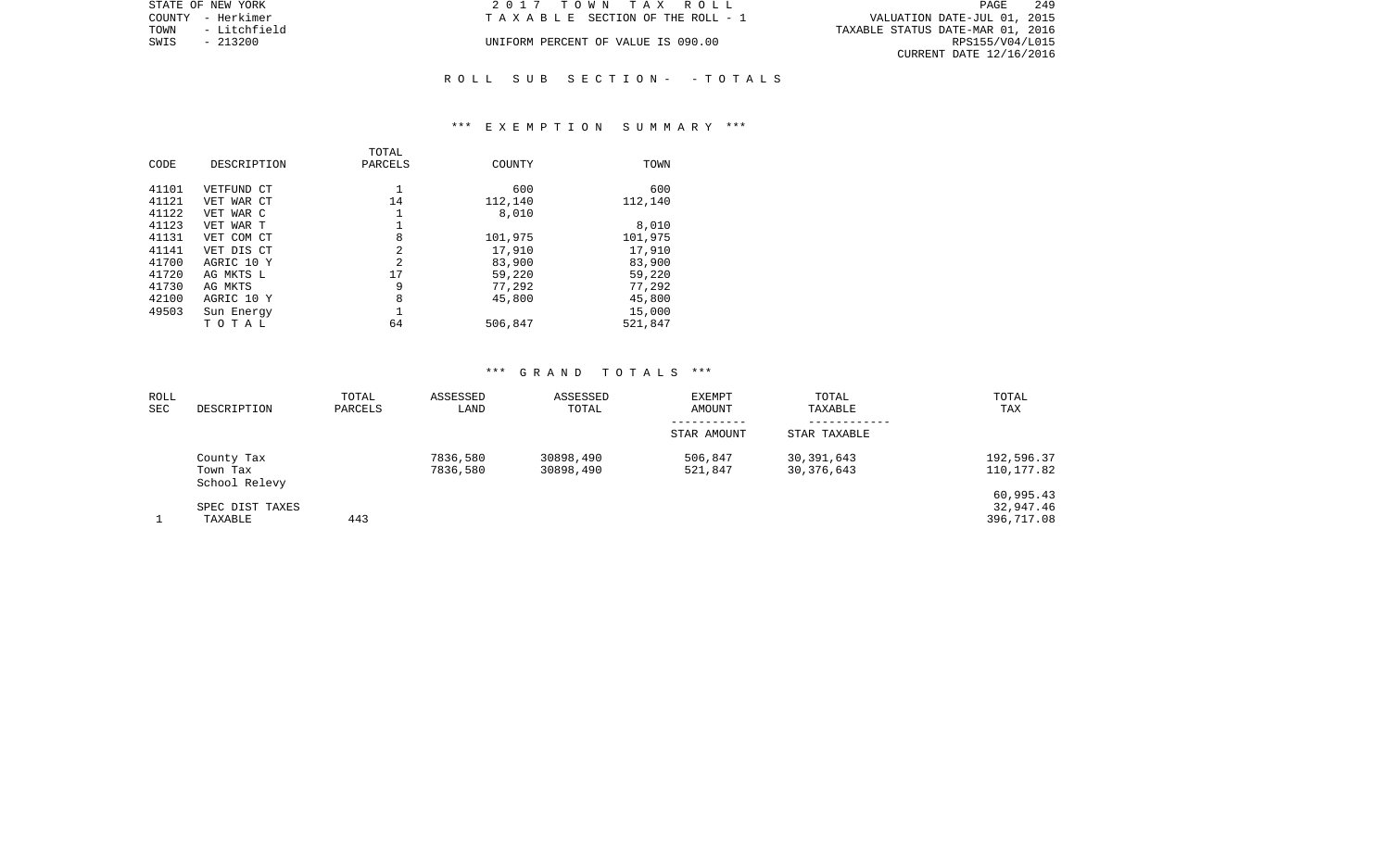| STATE OF NEW YORK    | 2017 TOWN TAX ROLL                 | 249<br>PAGE                      |
|----------------------|------------------------------------|----------------------------------|
| COUNTY - Herkimer    | TAXABLE SECTION OF THE ROLL - 1    | VALUATION DATE-JUL 01, 2015      |
| TOWN<br>- Litchfield |                                    | TAXABLE STATUS DATE-MAR 01, 2016 |
| SWIS<br>- 213200     | UNIFORM PERCENT OF VALUE IS 090.00 | RPS155/V04/L015                  |
|                      |                                    | CURRENT DATE 12/16/2016          |
|                      |                                    |                                  |

# \*\*\* E X E M P T I O N S U M M A R Y \*\*\*

R O L L S U B S E C T I O N - - T O T A L S

| CODE  | DESCRIPTION | TOTAL<br>PARCELS | COUNTY  | TOWN    |
|-------|-------------|------------------|---------|---------|
| 41101 | VETFUND CT  |                  | 600     | 600     |
| 41121 | VET WAR CT  | 14               | 112,140 | 112,140 |
| 41122 | VET WAR C   | 1                | 8,010   |         |
| 41123 | VET WAR T   |                  |         | 8,010   |
| 41131 | VET COM CT  | 8                | 101,975 | 101,975 |
| 41141 | VET DIS CT  | 2                | 17,910  | 17,910  |
| 41700 | AGRIC 10 Y  | $\overline{2}$   | 83,900  | 83,900  |
| 41720 | AG MKTS L   | 17               | 59,220  | 59,220  |
| 41730 | AG MKTS     | 9                | 77,292  | 77,292  |
| 42100 | AGRIC 10 Y  | 8                | 45,800  | 45,800  |
| 49503 | Sun Energy  | $\mathbf{1}$     |         | 15,000  |
|       | TOTAL       | 64               | 506,847 | 521,847 |

# \*\*\* G R A N D T O T A L S \*\*\*

| ROLL |                           | TOTAL   | ASSESSED | ASSESSED  | <b>EXEMPT</b> | TOTAL        | TOTAL      |
|------|---------------------------|---------|----------|-----------|---------------|--------------|------------|
| SEC  | DESCRIPTION               | PARCELS | LAND     | TOTAL     | AMOUNT        | TAXABLE      | TAX        |
|      |                           |         |          |           |               |              |            |
|      |                           |         |          |           | STAR AMOUNT   | STAR TAXABLE |            |
|      | County Tax                |         | 7836,580 | 30898,490 | 506,847       | 30,391,643   | 192,596.37 |
|      | Town Tax<br>School Relevy |         | 7836,580 | 30898,490 | 521,847       | 30,376,643   | 110,177.82 |
|      |                           |         |          |           |               |              | 60,995.43  |
|      | SPEC DIST TAXES           |         |          |           |               |              | 32,947.46  |
|      | TAXABLE                   | 443     |          |           |               |              | 396,717.08 |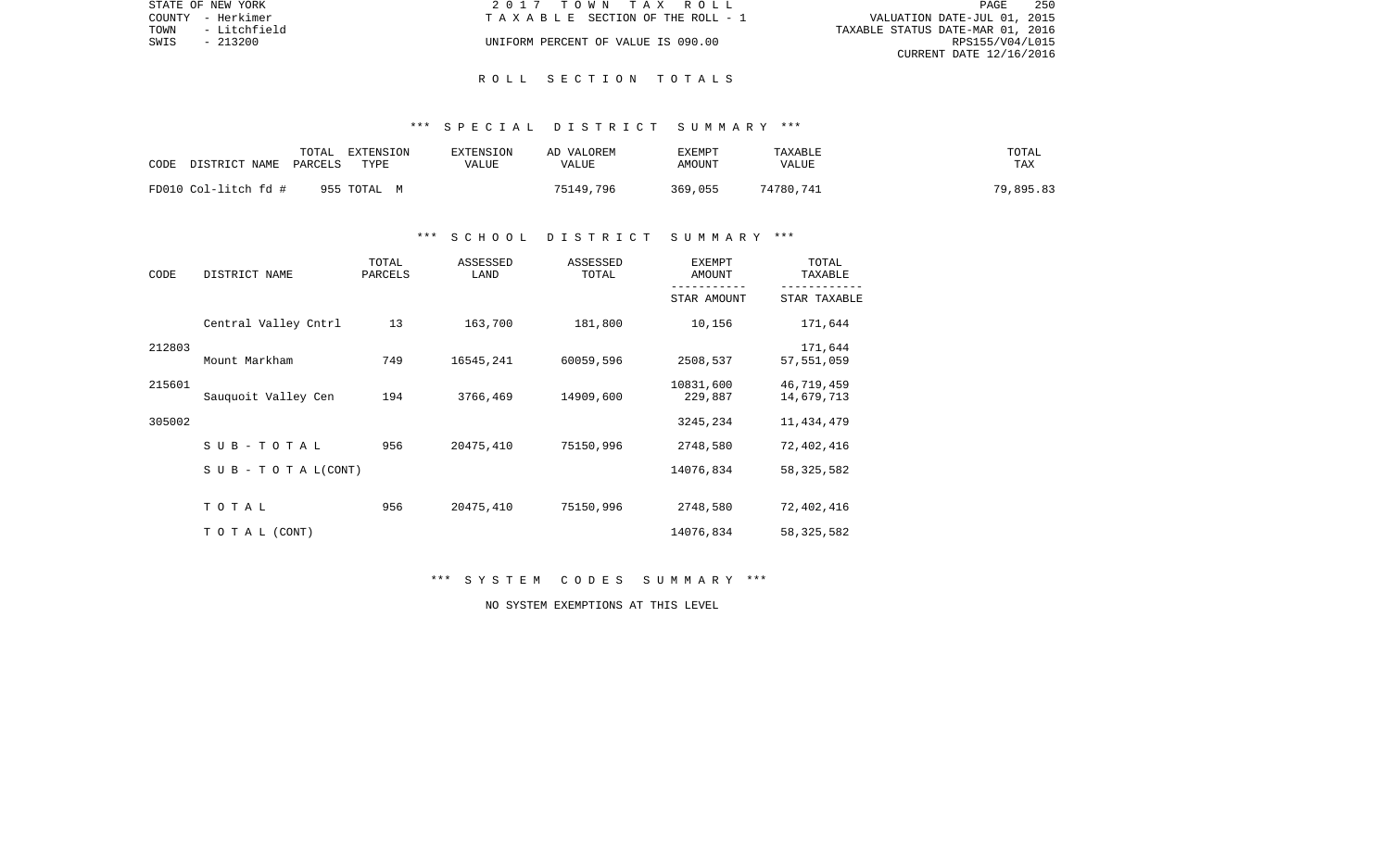|      | STATE OF NEW YORK | 2017 TOWN TAX ROLL                 | <b>PAGE</b>                      | 250 |
|------|-------------------|------------------------------------|----------------------------------|-----|
|      | COUNTY - Herkimer | TAXABLE SECTION OF THE ROLL - 1    | VALUATION DATE-JUL 01, 2015      |     |
| TOWN | - Litchfield      |                                    | TAXABLE STATUS DATE-MAR 01, 2016 |     |
| SWIS | - 213200          | UNIFORM PERCENT OF VALUE IS 090.00 | RPS155/V04/L015                  |     |
|      |                   |                                    | CURRENT DATE 12/16/2016          |     |

#### R O L L S E C T I O N T O T A L S

### \*\*\* S P E C I A L D I S T R I C T S U M M A R Y \*\*\*

| CODE | DISTRICT NAME        | TOTAL<br>PARCELS | EXTENSION<br>TYPE | <b>EXTENSION</b><br>VALUE | AD VALOREM<br>VALUE | EXEMPT<br>AMOUNT | TAXABLE<br><b>VALUE</b> | TOTAL<br>TAX |
|------|----------------------|------------------|-------------------|---------------------------|---------------------|------------------|-------------------------|--------------|
|      | FD010 Col-litch fd # |                  | 955 ТОТАL М       |                           | 75149,796           | 369,055          | 74780.741               | 79,895.83    |

# \*\*\* S C H O O L D I S T R I C T S U M M A R Y \*\*\*

| CODE   | DISTRICT NAME                    | TOTAL<br>PARCELS | ASSESSED<br>LAND | ASSESSED<br>TOTAL | <b>EXEMPT</b><br>AMOUNT | TOTAL<br>TAXABLE         |
|--------|----------------------------------|------------------|------------------|-------------------|-------------------------|--------------------------|
|        |                                  |                  |                  |                   | STAR AMOUNT             | STAR TAXABLE             |
|        | Central Valley Cntrl             | 13               | 163,700          | 181,800           | 10,156                  | 171,644                  |
| 212803 | Mount Markham                    | 749              | 16545,241        | 60059,596         | 2508,537                | 171,644<br>57,551,059    |
| 215601 | Sauguoit Valley Cen              | 194              | 3766,469         | 14909,600         | 10831,600<br>229,887    | 46,719,459<br>14,679,713 |
| 305002 |                                  |                  |                  |                   | 3245,234                | 11, 434, 479             |
|        | $SUB - TO T AL$                  | 956              | 20475,410        | 75150,996         | 2748,580                | 72,402,416               |
|        | $S \cup B - T \cup T A L (CONT)$ |                  |                  |                   | 14076,834               | 58, 325, 582             |
|        | TOTAL                            | 956              | 20475,410        | 75150,996         | 2748,580                | 72,402,416               |
|        | TO TAL (CONT)                    |                  |                  |                   | 14076,834               | 58, 325, 582             |

\*\*\* S Y S T E M C O D E S S U M M A R Y \*\*\*

NO SYSTEM EXEMPTIONS AT THIS LEVEL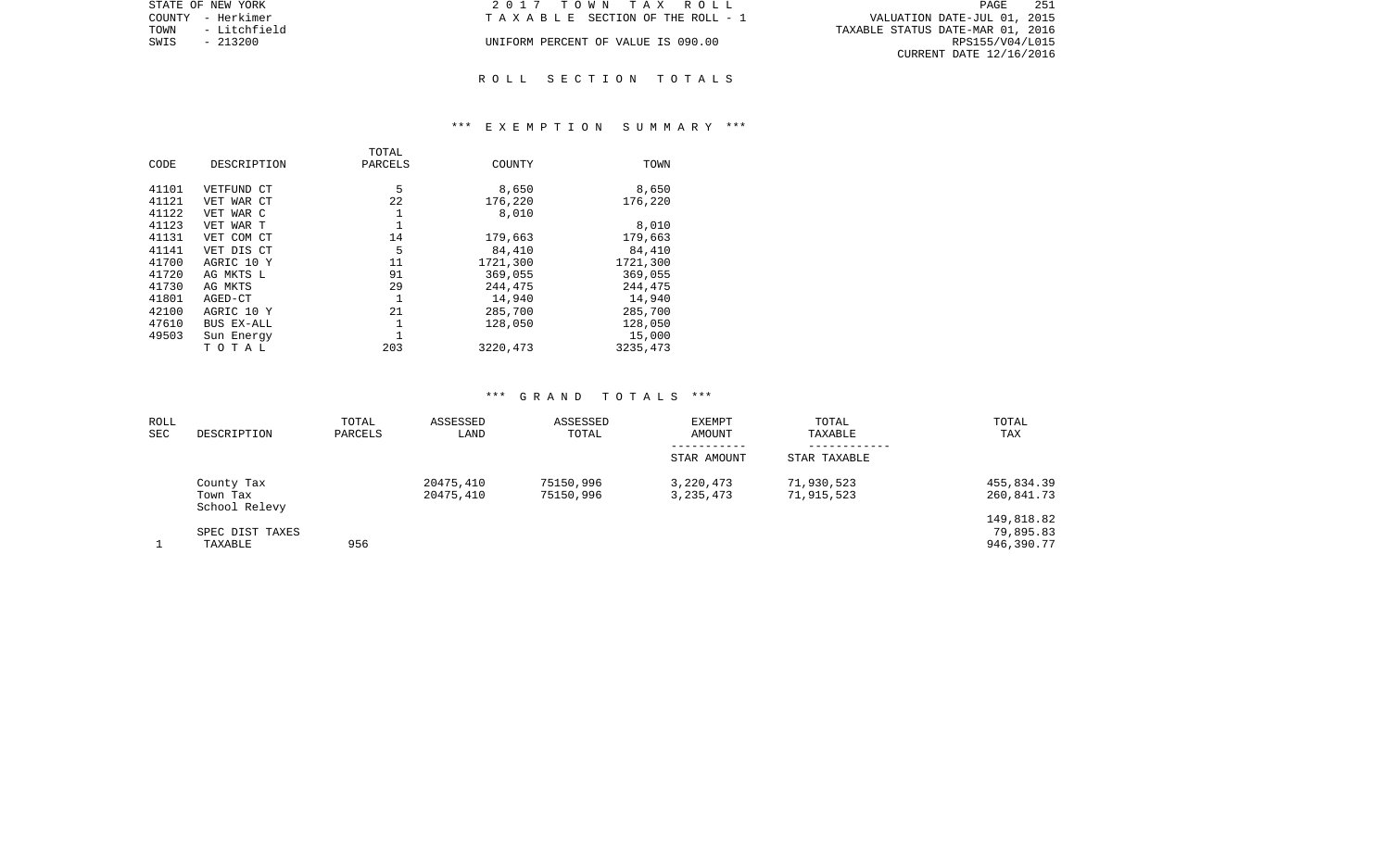| STATE OF NEW YORK    | 2017 TOWN TAX ROLL                 | 251<br>PAGE                      |
|----------------------|------------------------------------|----------------------------------|
| COUNTY - Herkimer    | TAXABLE SECTION OF THE ROLL - 1    | VALUATION DATE-JUL 01, 2015      |
| - Litchfield<br>TOWN |                                    | TAXABLE STATUS DATE-MAR 01, 2016 |
| SWIS<br>- 213200     | UNIFORM PERCENT OF VALUE IS 090.00 | RPS155/V04/L015                  |
|                      |                                    | CURRENT DATE 12/16/2016          |
|                      |                                    |                                  |

# R O L L S E C T I O N T O T A L S

### \*\*\* E X E M P T I O N S U M M A R Y \*\*\*

|       |             | TOTAL   |           |           |
|-------|-------------|---------|-----------|-----------|
| CODE  | DESCRIPTION | PARCELS | COUNTY    | TOWN      |
|       |             |         |           |           |
| 41101 | VETFUND CT  | 5       | 8,650     | 8,650     |
| 41121 | VET WAR CT  | 22      | 176,220   | 176,220   |
| 41122 | VET WAR C   | 1       | 8,010     |           |
| 41123 | VET WAR T   |         |           | 8,010     |
| 41131 | VET COM CT  | 14      | 179,663   | 179,663   |
| 41141 | VET DIS CT  | 5       | 84,410    | 84,410    |
| 41700 | AGRIC 10 Y  | 11      | 1721,300  | 1721,300  |
| 41720 | AG MKTS L   | 91      | 369,055   | 369,055   |
| 41730 | AG MKTS     | 29      | 244,475   | 244,475   |
| 41801 | AGED-CT     | 1       | 14,940    | 14,940    |
| 42100 | AGRIC 10 Y  | 21      | 285,700   | 285,700   |
| 47610 | BUS EX-ALL  | 1       | 128,050   | 128,050   |
| 49503 | Sun Energy  |         |           | 15,000    |
|       | тотаь       | 203     | 3220, 473 | 3235, 473 |

### \*\*\* G R A N D T O T A L S \*\*\*

| ROLL<br>SEC | DESCRIPTION                             | TOTAL<br>PARCELS | ASSESSED<br>LAND       | ASSESSED<br>TOTAL      | <b>EXEMPT</b><br>AMOUNT<br>----------- | TOTAL<br>TAXABLE         | TOTAL<br>TAX                          |
|-------------|-----------------------------------------|------------------|------------------------|------------------------|----------------------------------------|--------------------------|---------------------------------------|
|             |                                         |                  |                        |                        | STAR AMOUNT                            | STAR TAXABLE             |                                       |
|             | County Tax<br>Town Tax<br>School Relevy |                  | 20475,410<br>20475,410 | 75150,996<br>75150,996 | 3,220,473<br>3, 235, 473               | 71,930,523<br>71,915,523 | 455,834.39<br>260,841.73              |
|             | SPEC DIST TAXES<br>TAXABLE              | 956              |                        |                        |                                        |                          | 149,818.82<br>79,895.83<br>946,390.77 |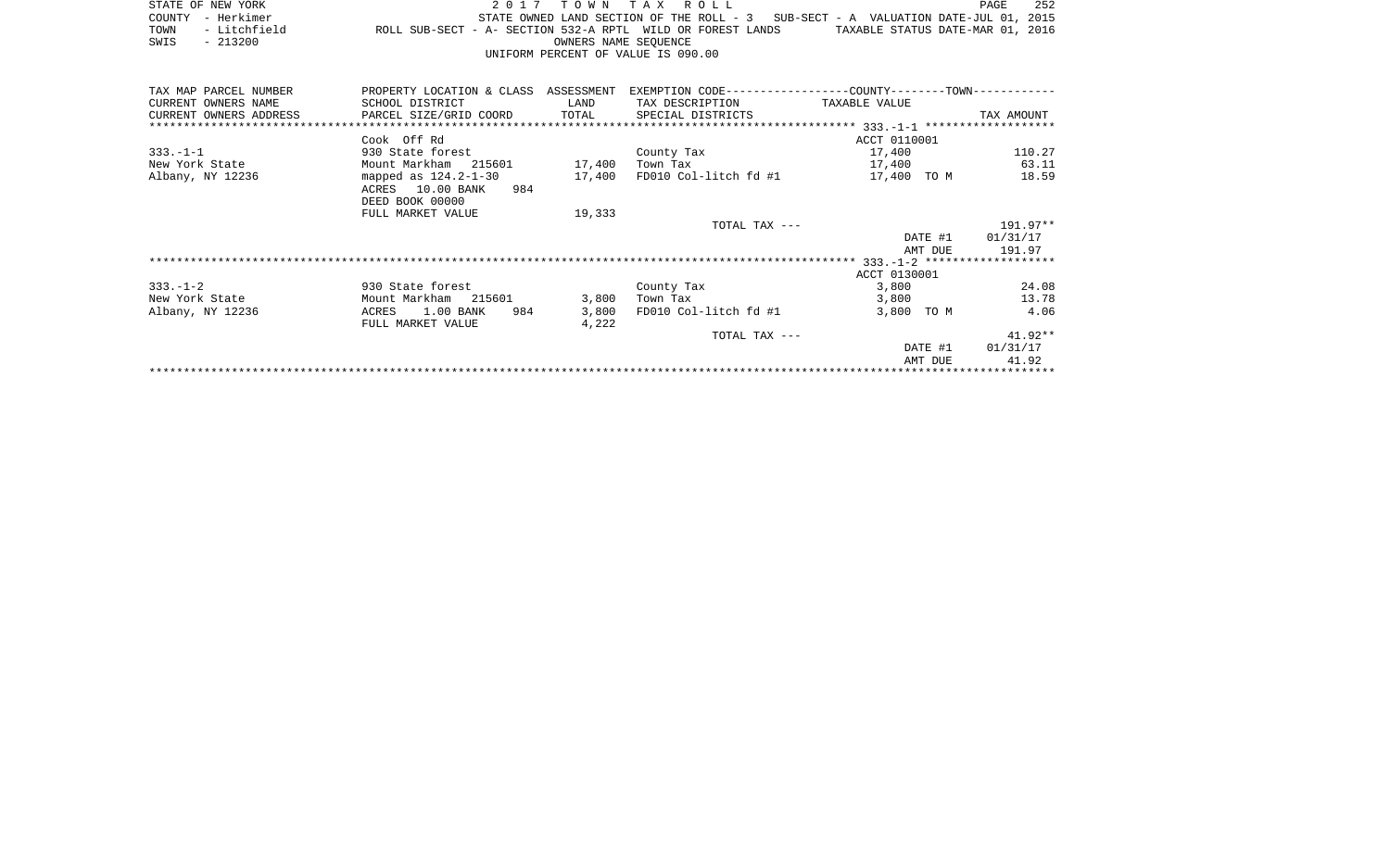| STATE OF NEW YORK |                                    |                   |                                                            |  |  |  |                      |  |  | 2017 TOWN TAX ROLL |  |                                                                                    | PAGE | 252 |
|-------------------|------------------------------------|-------------------|------------------------------------------------------------|--|--|--|----------------------|--|--|--------------------|--|------------------------------------------------------------------------------------|------|-----|
| COUNTY - Herkimer |                                    |                   |                                                            |  |  |  |                      |  |  |                    |  | STATE OWNED LAND SECTION OF THE ROLL $-3$ SUB-SECT - A VALUATION DATE-JUL 01, 2015 |      |     |
|                   |                                    | TOWN - Litchfield | ROLL SUB-SECT - A- SECTION 532-A RPTL WILD OR FOREST LANDS |  |  |  |                      |  |  |                    |  | TAXABLE STATUS DATE-MAR 01, 2016                                                   |      |     |
| SWIS              |                                    | - 213200          |                                                            |  |  |  | OWNERS NAME SEOUENCE |  |  |                    |  |                                                                                    |      |     |
|                   | UNIFORM PERCENT OF VALUE IS 090.00 |                   |                                                            |  |  |  |                      |  |  |                    |  |                                                                                    |      |     |

| TAX MAP PARCEL NUMBER  | PROPERTY LOCATION & CLASS ASSESSMENT           |        | EXEMPTION CODE-----------------COUNTY-------TOWN------------ |               |            |
|------------------------|------------------------------------------------|--------|--------------------------------------------------------------|---------------|------------|
| CURRENT OWNERS NAME    | SCHOOL DISTRICT                                | LAND   | TAX DESCRIPTION                                              | TAXABLE VALUE |            |
| CURRENT OWNERS ADDRESS | PARCEL SIZE/GRID COORD TOTAL SPECIAL DISTRICTS |        |                                                              |               | TAX AMOUNT |
|                        |                                                |        |                                                              |               |            |
|                        | Cook Off Rd                                    |        |                                                              | ACCT 0110001  |            |
| $333. - 1 - 1$         | 930 State forest                               |        | County Tax                                                   | 17,400        | 110.27     |
| New York State         | Mount Markham 215601 17,400                    |        | Town Tax                                                     | 17,400        | 63.11      |
| Albany, NY 12236       | mapped as $124.2 - 1 - 30$                     | 17,400 | FD010 Col-litch fd #1                                        | 17,400 TO M   | 18.59      |
|                        | ACRES 10.00 BANK<br>984                        |        |                                                              |               |            |
|                        | DEED BOOK 00000                                |        |                                                              |               |            |
|                        | FULL MARKET VALUE                              | 19,333 |                                                              |               |            |
|                        |                                                |        | TOTAL TAX ---                                                |               | 191.97**   |
|                        |                                                |        |                                                              | DATE #1       | 01/31/17   |
|                        |                                                |        |                                                              | AMT DUE       | 191.97     |
|                        |                                                |        |                                                              |               |            |
|                        |                                                |        |                                                              | ACCT 0130001  |            |
| $333. - 1 - 2$         | 930 State forest                               |        | County Tax                                                   | 3,800         | 24.08      |
| New York State         | Mount Markham 215601                           | 3,800  | Town Tax                                                     | 3,800         | 13.78      |
| Albany, NY 12236       | 1.00 BANK<br>984<br>ACRES                      | 3,800  | FD010 Col-litch fd #1                                        | 3,800 TO M    | 4.06       |
|                        | FULL MARKET VALUE                              | 4,222  |                                                              |               |            |
|                        |                                                |        | TOTAL TAX ---                                                |               | $41.92**$  |
|                        |                                                |        |                                                              | DATE #1       | 01/31/17   |
|                        |                                                |        |                                                              | AMT DUE       | 41.92      |
|                        |                                                |        |                                                              |               |            |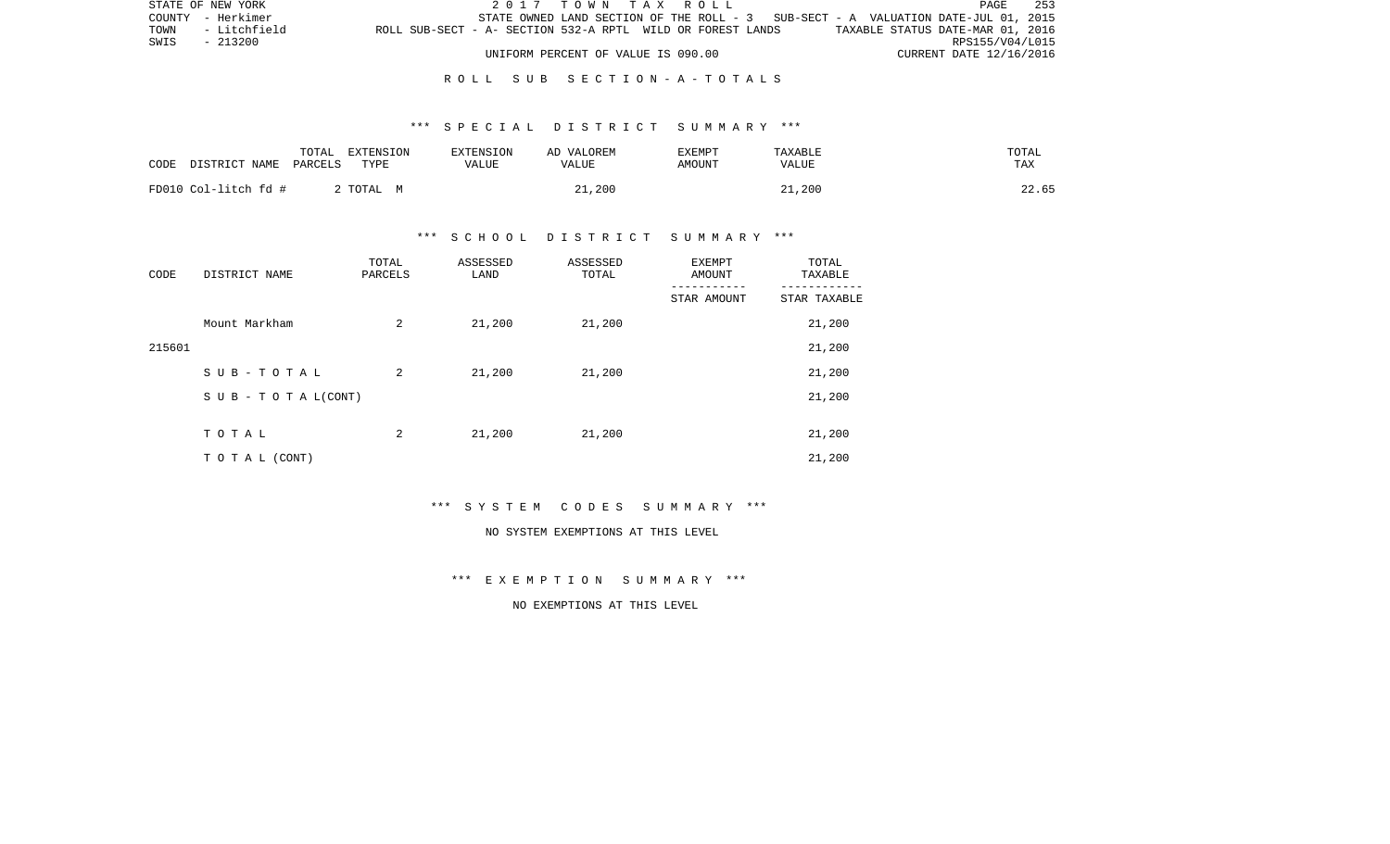|      | STATE OF NEW YORK |                                                            | 2017 TOWN TAX ROLL                                                                |  |  |  |                                  |                         | <b>PAGE</b>     | 253 |
|------|-------------------|------------------------------------------------------------|-----------------------------------------------------------------------------------|--|--|--|----------------------------------|-------------------------|-----------------|-----|
|      | COUNTY - Herkimer |                                                            | STATE OWNED LAND SECTION OF THE ROLL - 3 SUB-SECT - A VALUATION DATE-JUL 01, 2015 |  |  |  |                                  |                         |                 |     |
| TOWN | - Litchfield      | ROLL SUB-SECT - A- SECTION 532-A RPTL WILD OR FOREST LANDS |                                                                                   |  |  |  | TAXABLE STATUS DATE-MAR 01, 2016 |                         |                 |     |
| SWIS | $-213200$         |                                                            |                                                                                   |  |  |  |                                  |                         | RPS155/V04/L015 |     |
|      |                   |                                                            | UNIFORM PERCENT OF VALUE IS 090.00                                                |  |  |  |                                  | CURRENT DATE 12/16/2016 |                 |     |

### R O L L S U B S E C T I O N - A - T O T A L S

### \*\*\* S P E C I A L D I S T R I C T S U M M A R Y \*\*\*

| CODE<br>DISTRICT NAME | TOTAL<br>EXTENSION<br>TYPE<br>PARCELS | <b>EXTENSION</b><br>VALUE | AD VALOREM<br>VALUE | EXEMPT<br>AMOUNT | <b>TAXABLE</b><br>VALUE | TOTAL<br>TAX |
|-----------------------|---------------------------------------|---------------------------|---------------------|------------------|-------------------------|--------------|
| FD010 Col-litch fd #  | 2 TOTAL M                             |                           | 21,200              |                  | 21,200                  | 22.65        |

### \*\*\* S C H O O L D I S T R I C T S U M M A R Y \*\*\*

| CODE   | DISTRICT NAME                    | TOTAL<br>PARCELS | ASSESSED<br>LAND | ASSESSED<br>TOTAL | <b>EXEMPT</b><br>AMOUNT | TOTAL<br>TAXABLE |
|--------|----------------------------------|------------------|------------------|-------------------|-------------------------|------------------|
|        |                                  |                  |                  |                   | STAR AMOUNT             | STAR TAXABLE     |
|        | Mount Markham                    | 2                | 21,200           | 21,200            |                         | 21,200           |
| 215601 |                                  |                  |                  |                   |                         | 21,200           |
|        | SUB-TOTAL                        | 2                | 21,200           | 21,200            |                         | 21,200           |
|        | $S \cup B - T \cup T A L (CONT)$ |                  |                  |                   |                         | 21,200           |
|        |                                  |                  |                  |                   |                         |                  |
|        | TOTAL                            | 2                | 21,200           | 21,200            |                         | 21,200           |
|        | T O T A L (CONT)                 |                  |                  |                   |                         | 21,200           |

\*\*\* S Y S T E M C O D E S S U M M A R Y \*\*\*

#### NO SYSTEM EXEMPTIONS AT THIS LEVEL

\*\*\* E X E M P T I O N S U M M A R Y \*\*\*

NO EXEMPTIONS AT THIS LEVEL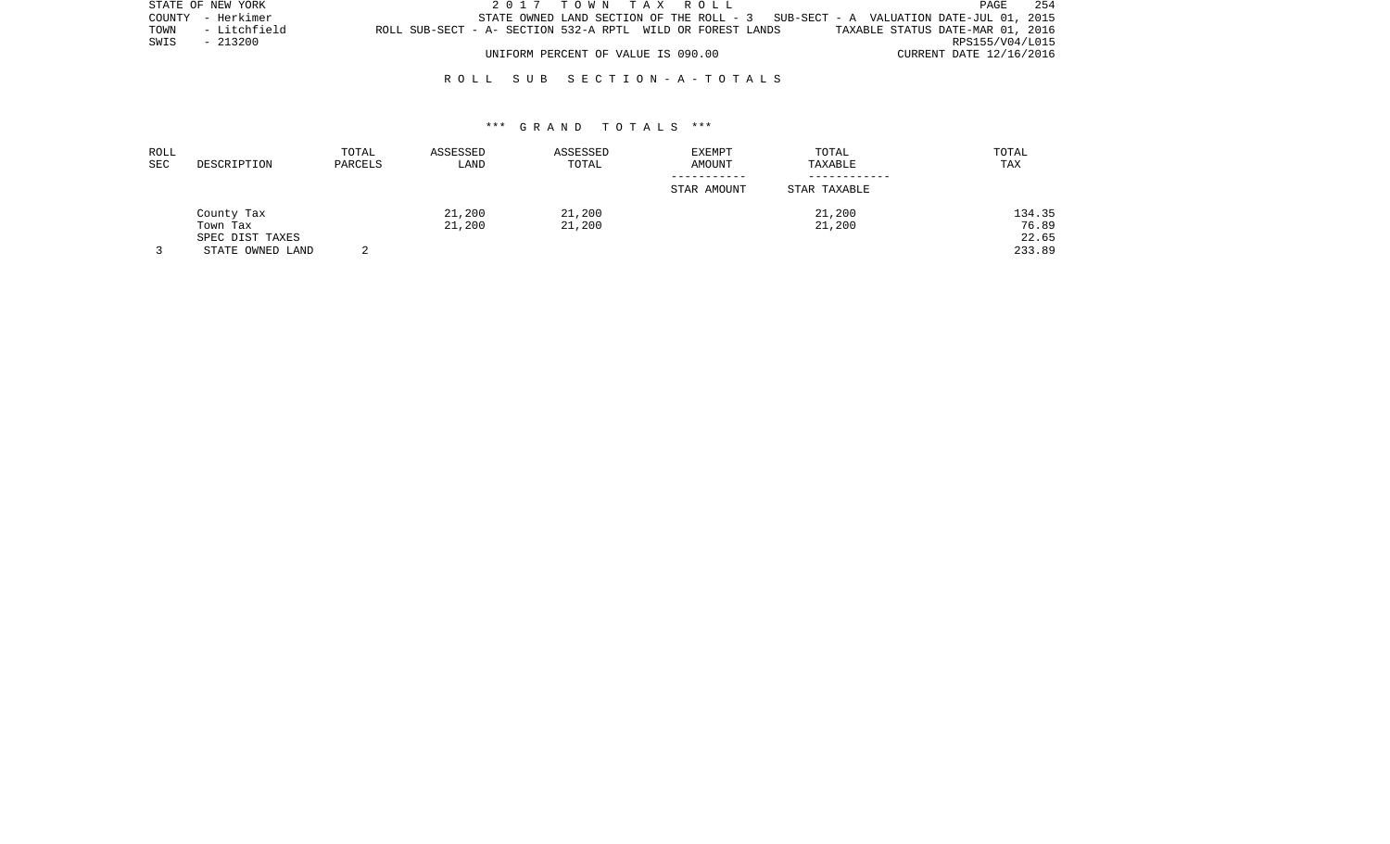|      | STATE OF NEW YORK |                                                            |  | 2017 TOWN TAX ROLL                 |  |  |  |                                                                                   | PAGE | 254 |
|------|-------------------|------------------------------------------------------------|--|------------------------------------|--|--|--|-----------------------------------------------------------------------------------|------|-----|
|      | COUNTY - Herkimer |                                                            |  |                                    |  |  |  | STATE OWNED LAND SECTION OF THE ROLL - 3 SUB-SECT - A VALUATION DATE-JUL 01, 2015 |      |     |
|      | TOWN - Litchfield | ROLL SUB-SECT - A- SECTION 532-A RPTL WILD OR FOREST LANDS |  |                                    |  |  |  | TAXABLE STATUS DATE-MAR 01, 2016                                                  |      |     |
| SWIS | - 213200          |                                                            |  |                                    |  |  |  | RPS155/V04/L015                                                                   |      |     |
|      |                   |                                                            |  | UNIFORM PERCENT OF VALUE IS 090.00 |  |  |  | CURRENT DATE 12/16/2016                                                           |      |     |

### R O L L S U B S E C T I O N - A - T O T A L S

| ROLL<br>SEC | DESCRIPTION      | TOTAL<br>PARCELS | ASSESSED<br>LAND | ASSESSED<br>TOTAL | <b>EXEMPT</b><br>AMOUNT | TOTAL<br>TAXABLE | TOTAL<br>TAX |
|-------------|------------------|------------------|------------------|-------------------|-------------------------|------------------|--------------|
|             |                  |                  |                  |                   | STAR AMOUNT             | STAR TAXABLE     |              |
|             | County Tax       |                  | 21,200           | 21,200            |                         | 21,200           | 134.35       |
|             | Town Tax         |                  | 21,200           | 21,200            |                         | 21,200           | 76.89        |
|             | SPEC DIST TAXES  |                  |                  |                   |                         |                  | 22.65        |
|             | STATE OWNED LAND |                  |                  |                   |                         |                  | 233.89       |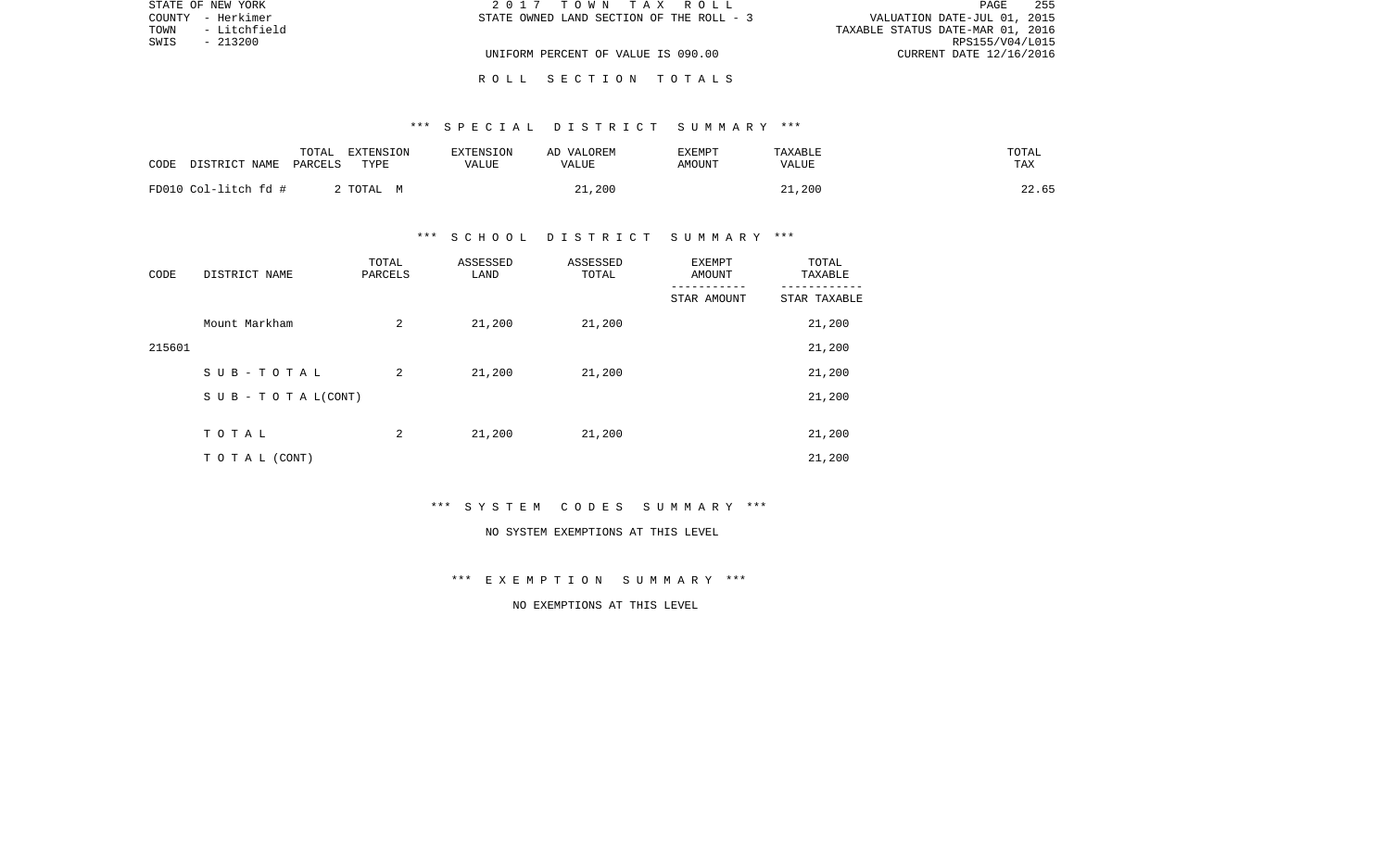| STATE OF NEW YORK    | 2017 TOWN TAX ROLL                       | 255<br>PAGE                      |
|----------------------|------------------------------------------|----------------------------------|
| COUNTY - Herkimer    | STATE OWNED LAND SECTION OF THE ROLL - 3 | VALUATION DATE-JUL 01, 2015      |
| - Litchfield<br>TOWN |                                          | TAXABLE STATUS DATE-MAR 01, 2016 |
| SWIS<br>$-213200$    |                                          | RPS155/V04/L015                  |
|                      | UNIFORM PERCENT OF VALUE IS 090.00       | CURRENT DATE 12/16/2016          |
|                      |                                          |                                  |

# \*\*\* S P E C I A L D I S T R I C T S U M M A R Y \*\*\*

R O L L S E C T I O N T O T A L S

| DISTRICT NAME        | TOTAL   | EXTENSION | EXTENSION | AD VALOREM | EXEMPT | TAXABLE | TOTAL |
|----------------------|---------|-----------|-----------|------------|--------|---------|-------|
| CODE                 | PARCELS | TYPE      | VALUE     | VALUE      | AMOUNT | VALUE   | TAX   |
| FD010 Col-litch fd # |         | 2 TOTAL M |           | 21,200     |        | 21,200  | 22.65 |

### \*\*\* S C H O O L D I S T R I C T S U M M A R Y \*\*\*

| CODE   | DISTRICT NAME      | TOTAL<br>PARCELS | ASSESSED<br>LAND | ASSESSED<br>TOTAL | EXEMPT<br>AMOUNT | TOTAL<br>TAXABLE |
|--------|--------------------|------------------|------------------|-------------------|------------------|------------------|
|        |                    |                  |                  |                   | STAR AMOUNT      | STAR TAXABLE     |
|        | Mount Markham      | 2                | 21,200           | 21,200            |                  | 21,200           |
| 215601 |                    |                  |                  |                   |                  | 21,200           |
|        | SUB-TOTAL          | 2                | 21,200           | 21,200            |                  | 21,200           |
|        | SUB - TO TAL(CONT) |                  |                  |                   |                  | 21,200           |
|        |                    |                  |                  |                   |                  |                  |
|        | TOTAL              | 2                | 21,200           | 21,200            |                  | 21,200           |
|        | T O T A L (CONT)   |                  |                  |                   |                  | 21,200           |

\*\*\* S Y S T E M C O D E S S U M M A R Y \*\*\*

#### NO SYSTEM EXEMPTIONS AT THIS LEVEL

\*\*\* E X E M P T I O N S U M M A R Y \*\*\*

NO EXEMPTIONS AT THIS LEVEL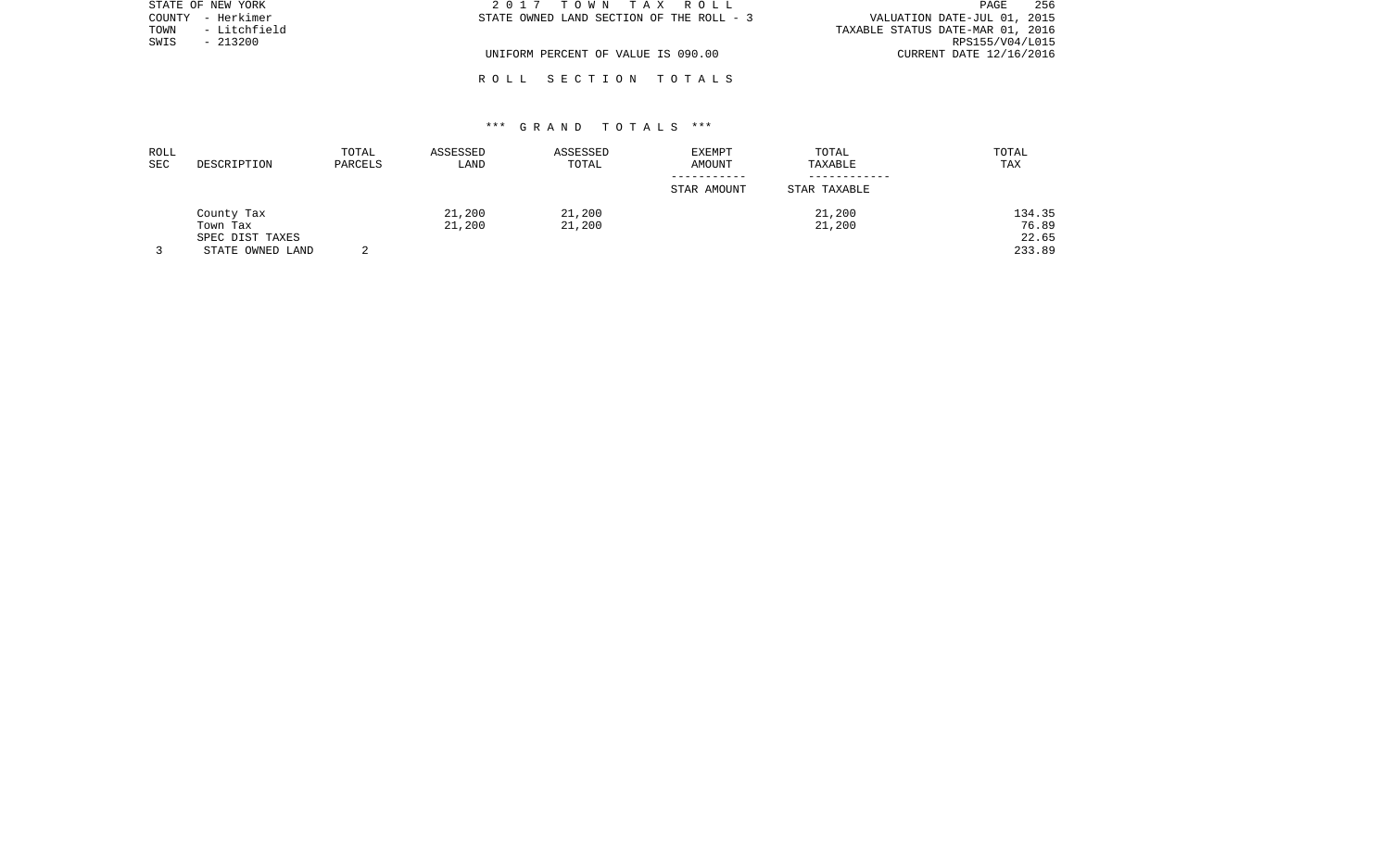| STATE OF NEW YORK    | 2017 TOWN TAX ROLL                       | 256<br>PAGE                      |
|----------------------|------------------------------------------|----------------------------------|
| COUNTY - Herkimer    | STATE OWNED LAND SECTION OF THE ROLL - 3 | VALUATION DATE-JUL 01, 2015      |
| - Litchfield<br>TOWN |                                          | TAXABLE STATUS DATE-MAR 01, 2016 |
| SWIS<br>$-213200$    |                                          | RPS155/V04/L015                  |
|                      | UNIFORM PERCENT OF VALUE IS 090.00       | CURRENT DATE 12/16/2016          |
|                      |                                          |                                  |

### \*\*\* G R A N D T O T A L S \*\*\*

R O L L S E C T I O N T O T A L S

| ROLL<br><b>SEC</b> | DESCRIPTION      | TOTAL<br>PARCELS | ASSESSED<br>LAND | ASSESSED<br>TOTAL | EXEMPT<br>AMOUNT | TOTAL<br>TAXABLE | TOTAL<br>TAX |
|--------------------|------------------|------------------|------------------|-------------------|------------------|------------------|--------------|
|                    |                  |                  |                  |                   | STAR AMOUNT      | STAR TAXABLE     |              |
|                    | County Tax       |                  | 21,200           | 21,200            |                  | 21,200           | 134.35       |
|                    | Town Tax         |                  | 21,200           | 21,200            |                  | 21,200           | 76.89        |
|                    | SPEC DIST TAXES  |                  |                  |                   |                  |                  | 22.65        |
|                    | STATE OWNED LAND |                  |                  |                   |                  |                  | 233.89       |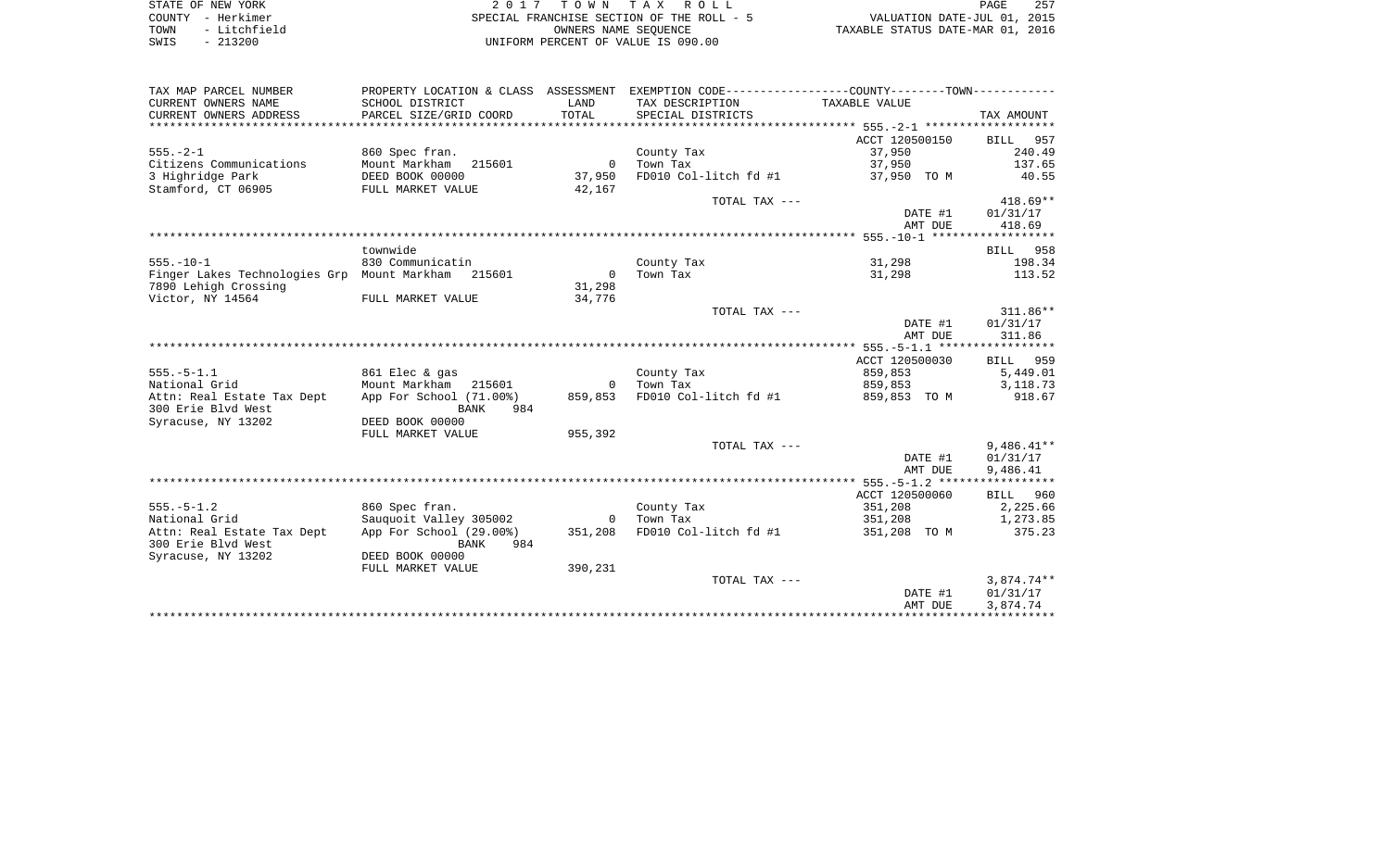| STATE OF NEW YORK      |                                           |                                  | 2017 TOWN TAX ROLL                 |                                                             | 257<br>PAGE |
|------------------------|-------------------------------------------|----------------------------------|------------------------------------|-------------------------------------------------------------|-------------|
| – Herkimer<br>COUNTY   | SPECIAL FRANCHISE SECTION OF THE ROLL - 5 | VALUATION DATE-JUL 01, 2015      |                                    |                                                             |             |
| - Litchfield<br>TOWN   |                                           | TAXABLE STATUS DATE-MAR 01, 2016 |                                    |                                                             |             |
| $-213200$<br>SWIS      |                                           |                                  | UNIFORM PERCENT OF VALUE IS 090.00 |                                                             |             |
|                        |                                           |                                  |                                    |                                                             |             |
|                        |                                           |                                  |                                    |                                                             |             |
|                        |                                           |                                  |                                    |                                                             |             |
| TAX MAP PARCEL NUMBER  | PROPERTY LOCATION & CLASS                 | ASSESSMENT                       |                                    | EXEMPTION CODE-----------------COUNTY-------TOWN----------- |             |
| CURRENT OWNERS NAME    | SCHOOL DISTRICT                           | LAND                             | TAX DESCRIPTION                    | TAXABLE VALUE                                               |             |
| CURRENT OWNERS ADDRESS | PARCEL SIZE/GRID COORD                    | TOTAL                            | SPECIAL DISTRICTS                  |                                                             | TAX AMOUNT  |
|                        |                                           |                                  |                                    |                                                             |             |
|                        |                                           |                                  |                                    | ACCT 120500150                                              | 957<br>BILL |
| $F F F = -2 - 1$       | $960$ Cpos from                           |                                  | $\alpha$ $\beta$                   | 27 Q.E.N                                                    | 240 40      |

|                                                    |                         |                |                       | ACCI TRUDUCIJU |              |
|----------------------------------------------------|-------------------------|----------------|-----------------------|----------------|--------------|
| $555. - 2 - 1$                                     | 860 Spec fran.          |                | County Tax            | 37,950         | 240.49       |
| Citizens Communications                            | Mount Markham 215601    | $\Omega$       | Town Tax              | 37,950         | 137.65       |
| 3 Highridge Park                                   | DEED BOOK 00000         | 37,950         | FD010 Col-litch fd #1 | 37,950 TO M    | 40.55        |
| Stamford, CT 06905                                 | FULL MARKET VALUE       | 42,167         |                       |                |              |
|                                                    |                         |                | TOTAL TAX ---         |                | $418.69**$   |
|                                                    |                         |                |                       | DATE #1        | 01/31/17     |
|                                                    |                         |                |                       | AMT DUE        | 418.69       |
|                                                    |                         |                |                       |                |              |
|                                                    | townwide                |                |                       |                | BILL 958     |
| $555. - 10 - 1$                                    | 830 Communicatin        |                | County Tax            | 31,298         | 198.34       |
| Finger Lakes Technologies Grp Mount Markham 215601 |                         | $\overline{0}$ | Town Tax              | 31,298         | 113.52       |
| 7890 Lehigh Crossing                               |                         | 31,298         |                       |                |              |
| Victor, NY 14564                                   | FULL MARKET VALUE       | 34,776         |                       |                |              |
|                                                    |                         |                | TOTAL TAX ---         |                | $311.86**$   |
|                                                    |                         |                |                       | DATE #1        | 01/31/17     |
|                                                    |                         |                |                       | AMT DUE        | 311.86       |
|                                                    |                         |                |                       |                |              |
|                                                    |                         |                |                       |                |              |
|                                                    |                         |                |                       | ACCT 120500030 | BILL 959     |
| $555. - 5 - 1.1$                                   | 861 Elec & gas          |                | County Tax            | 859,853        | 5,449.01     |
| National Grid                                      | Mount Markham 215601    | $\overline{0}$ | Town Tax              | 859,853        | 3, 118.73    |
| Attn: Real Estate Tax Dept                         | App For School (71.00%) | 859,853        | FD010 Col-litch fd #1 | 859,853 TO M   | 918.67       |
| 300 Erie Blyd West                                 | 984<br><b>BANK</b>      |                |                       |                |              |
| Syracuse, NY 13202                                 | DEED BOOK 00000         |                |                       |                |              |
|                                                    | FULL MARKET VALUE       | 955,392        |                       |                |              |
|                                                    |                         |                | TOTAL TAX ---         |                | $9,486.41**$ |
|                                                    |                         |                |                       | DATE #1        | 01/31/17     |
|                                                    |                         |                |                       | AMT DUE        | 9,486.41     |
|                                                    |                         |                |                       |                |              |
|                                                    |                         |                |                       | ACCT 120500060 | BILL 960     |
| $555. - 5 - 1.2$                                   | 860 Spec fran.          |                | County Tax            | 351,208        | 2,225.66     |
| National Grid                                      | Sauguoit Valley 305002  |                | 0 Town Tax            | 351,208        | 1,273.85     |
| Attn: Real Estate Tax Dept                         | App For School (29.00%) | 351,208        | FD010 Col-litch fd #1 | 351,208 TO M   | 375.23       |
| 300 Erie Blyd West                                 | 984<br><b>BANK</b>      |                |                       |                |              |
| Syracuse, NY 13202                                 | DEED BOOK 00000         |                |                       |                |              |
|                                                    | FULL MARKET VALUE       | 390,231        |                       |                |              |
|                                                    |                         |                | TOTAL TAX ---         |                | $3,874.74**$ |
|                                                    |                         |                |                       | DATE #1        | 01/31/17     |
|                                                    |                         |                |                       | AMT DUE        | 3,874.74     |
|                                                    |                         |                |                       |                |              |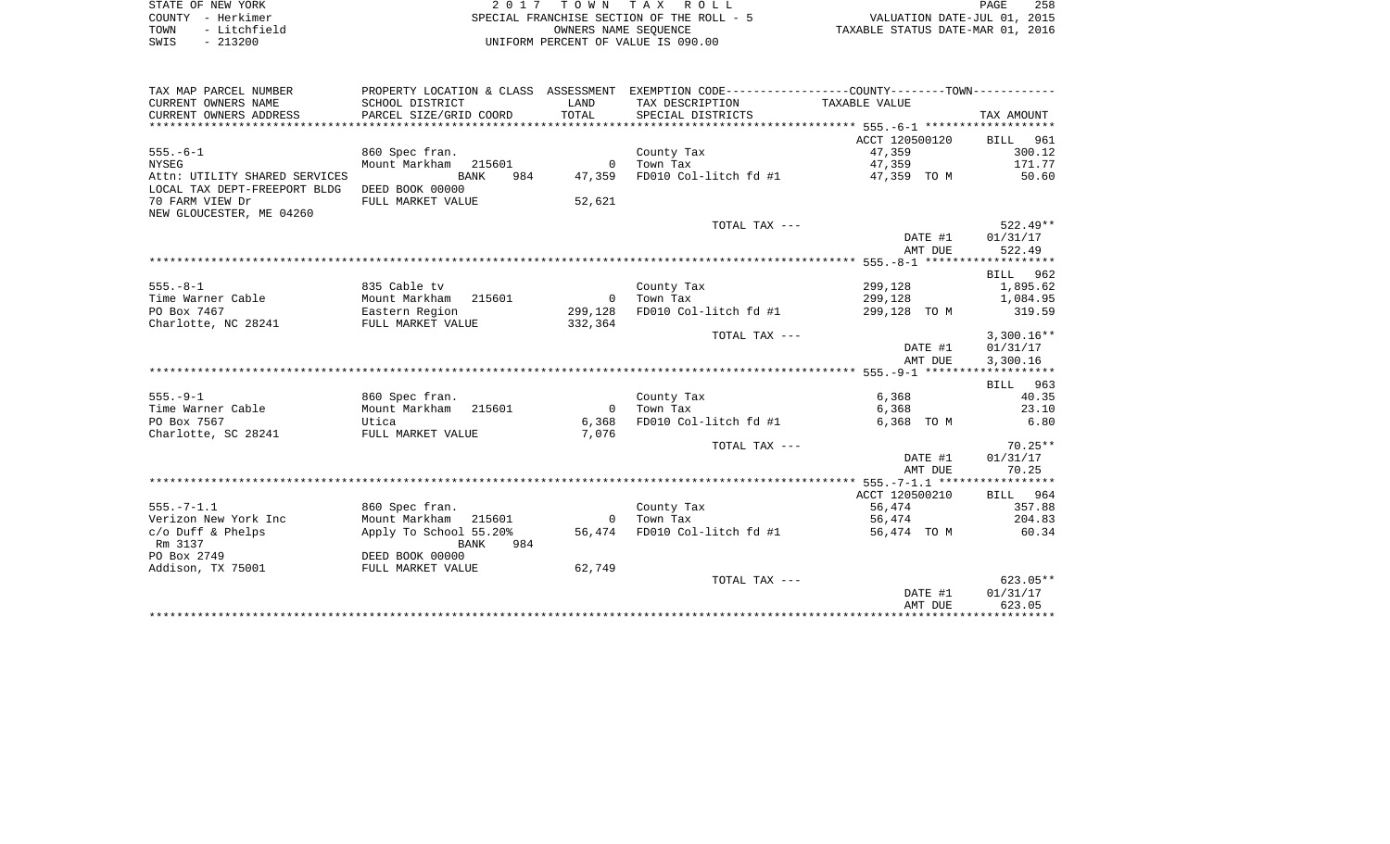|      | STATE OF NEW YORK | 2017 TOWN TAX ROLL                        | PAGE                             | 258 |
|------|-------------------|-------------------------------------------|----------------------------------|-----|
|      | COUNTY - Herkimer | SPECIAL FRANCHISE SECTION OF THE ROLL - 5 | VALUATION DATE-JUL 01, 2015      |     |
| TOWN | - Litchfield      | OWNERS NAME SEOUENCE                      | TAXABLE STATUS DATE-MAR 01, 2016 |     |
| SWIS | $-213200$         | UNIFORM PERCENT OF VALUE IS 090.00        |                                  |     |

| TAX MAP PARCEL NUMBER         |                                                         |                | PROPERTY LOCATION & CLASS ASSESSMENT EXEMPTION CODE---------------COUNTY-------TOWN---------- |                |              |
|-------------------------------|---------------------------------------------------------|----------------|-----------------------------------------------------------------------------------------------|----------------|--------------|
| CURRENT OWNERS NAME           | SCHOOL DISTRICT                                         | LAND           | TAX DESCRIPTION                                                                               | TAXABLE VALUE  |              |
| CURRENT OWNERS ADDRESS        | PARCEL SIZE/GRID COORD                                  | TOTAL          | SPECIAL DISTRICTS                                                                             |                | TAX AMOUNT   |
|                               |                                                         |                |                                                                                               |                |              |
|                               |                                                         |                |                                                                                               | ACCT 120500120 | 961<br>BILL  |
| $555. - 6 - 1$                | 860 Spec fran.                                          |                | County Tax                                                                                    | 47,359         | 300.12       |
| <b>NYSEG</b>                  | Mount Markham 215601                                    |                | 0 Town Tax                                                                                    | 47,359         | 171.77       |
| Attn: UTILITY SHARED SERVICES | <b>BANK</b><br>984                                      | 47,359         | FD010 Col-litch fd #1                                                                         | 47,359 TO M    | 50.60        |
| LOCAL TAX DEPT-FREEPORT BLDG  | DEED BOOK 00000                                         |                |                                                                                               |                |              |
| 70 FARM VIEW Dr               | FULL MARKET VALUE                                       | 52,621         |                                                                                               |                |              |
| NEW GLOUCESTER, ME 04260      |                                                         |                |                                                                                               |                |              |
|                               |                                                         |                | TOTAL TAX ---                                                                                 |                | $522.49**$   |
|                               |                                                         |                |                                                                                               | DATE #1        | 01/31/17     |
|                               |                                                         |                |                                                                                               | AMT DUE        | 522.49       |
|                               |                                                         |                |                                                                                               |                |              |
|                               |                                                         |                |                                                                                               |                | BILL 962     |
| $555. - 8 - 1$                | 835 Cable tv                                            |                | County Tax                                                                                    | 299,128        | 1,895.62     |
|                               |                                                         | $\sim$ 0       | Town Tax                                                                                      |                |              |
| Time Warner Cable             | Mount Markham 215601<br>Mount Markham<br>Eastern Region |                |                                                                                               | 299,128        | 1,084.95     |
| PO Box 7467                   |                                                         | 299,128        | FD010 Col-litch fd #1                                                                         | 299,128 TO M   | 319.59       |
| Charlotte, NC 28241           | FULL MARKET VALUE                                       | 332,364        |                                                                                               |                |              |
|                               |                                                         |                | TOTAL TAX ---                                                                                 |                | $3,300.16**$ |
|                               |                                                         |                |                                                                                               | DATE #1        | 01/31/17     |
|                               |                                                         |                |                                                                                               | AMT DUE        | 3,300.16     |
|                               |                                                         |                |                                                                                               |                |              |
|                               |                                                         |                |                                                                                               |                | BILL 963     |
| $555. - 9 - 1$                | 860 Spec fran.                                          |                | County Tax                                                                                    | 6,368          | 40.35        |
| Time Warner Cable             | Mount Markham 215601                                    | $\overline{0}$ | Town Tax                                                                                      | 6,368          | 23.10        |
| PO Box 7567                   | Utica                                                   | 6,368          | FD010 Col-litch fd #1                                                                         | 6,368 TO M     | 6.80         |
| Charlotte, SC 28241           | FULL MARKET VALUE                                       | 7,076          |                                                                                               |                |              |
|                               |                                                         |                | TOTAL TAX ---                                                                                 |                | $70.25**$    |
|                               |                                                         |                |                                                                                               | DATE #1        | 01/31/17     |
|                               |                                                         |                |                                                                                               | AMT DUE        | 70.25        |
|                               |                                                         |                |                                                                                               |                |              |
|                               |                                                         |                |                                                                                               | ACCT 120500210 | BILL 964     |
| $555. - 7 - 1.1$              | 860 Spec fran.                                          |                | County Tax                                                                                    | 56,474         | 357.88       |
| Verizon New York Inc          | Mount Markham 215601                                    |                | 0 Town Tax                                                                                    | 56,474         | 204.83       |
| c/o Duff & Phelps             | Apply To School 55.20%                                  | 56,474         | FD010 Col-litch fd #1                                                                         | 56,474 TO M    | 60.34        |
| Rm 3137                       | <b>BANK</b><br>984                                      |                |                                                                                               |                |              |
| PO Box 2749                   | DEED BOOK 00000                                         |                |                                                                                               |                |              |
| Addison, TX 75001             | FULL MARKET VALUE                                       | 62,749         |                                                                                               |                |              |
|                               |                                                         |                | TOTAL TAX ---                                                                                 |                | $623.05**$   |
|                               |                                                         |                |                                                                                               | DATE #1        | 01/31/17     |
|                               |                                                         |                |                                                                                               | AMT DUE        | 623.05       |
|                               |                                                         |                |                                                                                               |                |              |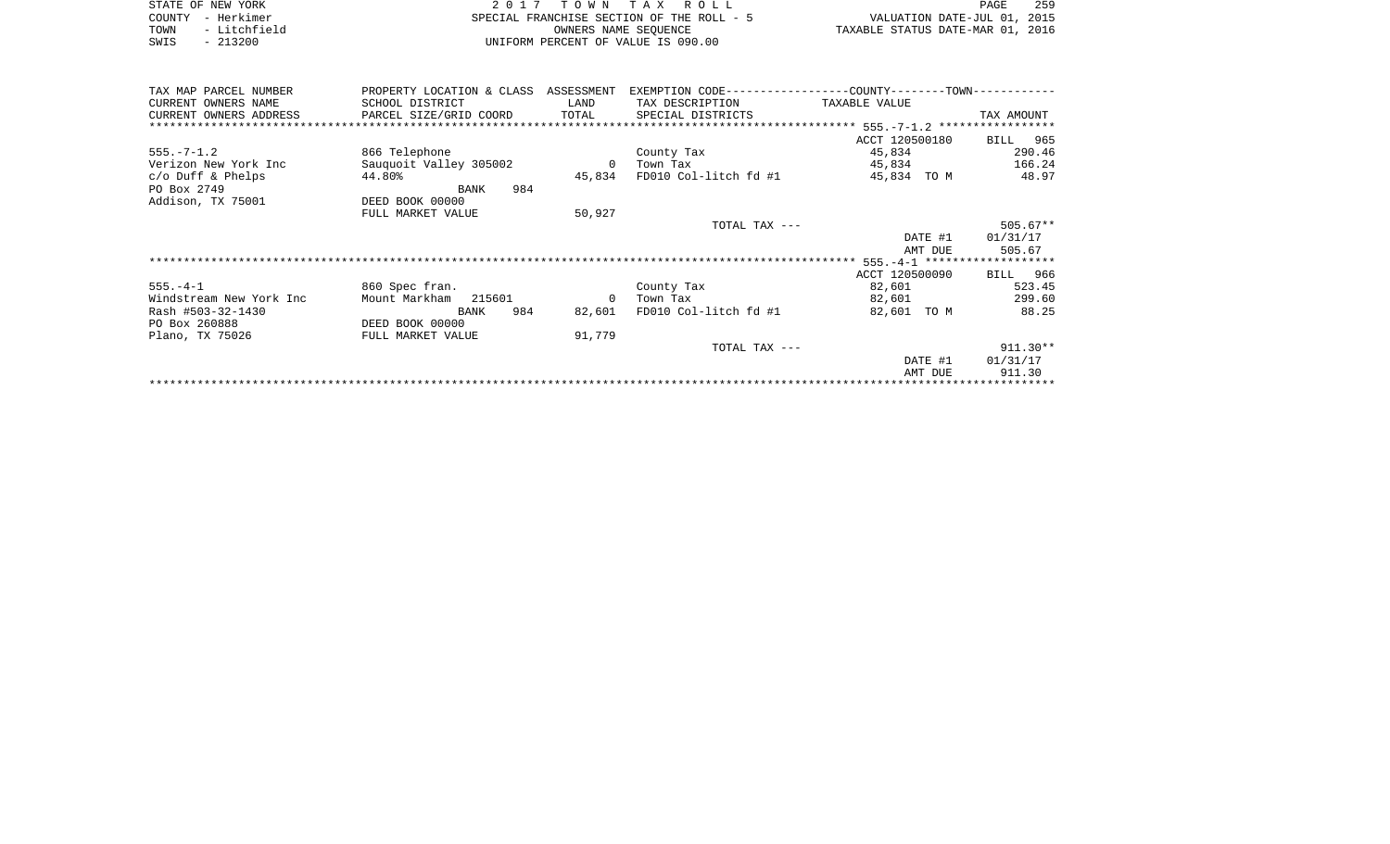|      | STATE OF NEW YORK | 2017 TOWN TAX ROLL                        | PAGE                             | 259 |
|------|-------------------|-------------------------------------------|----------------------------------|-----|
|      | COUNTY - Herkimer | SPECIAL FRANCHISE SECTION OF THE ROLL - 5 | VALUATION DATE-JUL 01, 2015      |     |
| TOWN | - Litchfield      | OWNERS NAME SEOUENCE                      | TAXABLE STATUS DATE-MAR 01, 2016 |     |
| SWIS | $-213200$         | UNIFORM PERCENT OF VALUE IS 090.00        |                                  |     |

| TAX MAP PARCEL NUMBER<br>CURRENT OWNERS NAME | PROPERTY LOCATION & CLASS ASSESSMENT<br>SCHOOL DISTRICT | LAND           | EXEMPTION CODE-----------------COUNTY-------TOWN-----------<br>TAX DESCRIPTION | TAXABLE VALUE  |             |
|----------------------------------------------|---------------------------------------------------------|----------------|--------------------------------------------------------------------------------|----------------|-------------|
| CURRENT OWNERS ADDRESS                       | PARCEL SIZE/GRID COORD                                  | TOTAL          | SPECIAL DISTRICTS                                                              |                | TAX AMOUNT  |
|                                              |                                                         |                |                                                                                |                |             |
|                                              |                                                         |                |                                                                                | ACCT 120500180 | 965<br>BILL |
| $555. - 7 - 1.2$                             | 866 Telephone                                           |                | County Tax                                                                     | 45,834         | 290.46      |
| Verizon New York Inc                         | Sauquoit Valley 305002                                  | $\overline{0}$ | Town Tax                                                                       | 45,834         | 166.24      |
| $c/O$ Duff & Phelps                          | 44.80%                                                  | 45,834         | FD010 Col-litch fd #1                                                          | 45,834 TO M    | 48.97       |
| PO Box 2749                                  | 984<br>BANK                                             |                |                                                                                |                |             |
| Addison, TX 75001                            | DEED BOOK 00000                                         |                |                                                                                |                |             |
|                                              | FULL MARKET VALUE                                       | 50,927         |                                                                                |                |             |
|                                              |                                                         |                | TOTAL TAX ---                                                                  |                | $505.67**$  |
|                                              |                                                         |                |                                                                                | DATE #1        | 01/31/17    |
|                                              |                                                         |                |                                                                                | AMT DUE        | 505.67      |
|                                              |                                                         |                |                                                                                |                |             |
|                                              |                                                         |                |                                                                                | ACCT 120500090 | BILL 966    |
| $555. - 4 - 1$                               | 860 Spec fran.                                          |                | County Tax                                                                     | 82,601         | 523.45      |
| Windstream New York Inc                      | Mount Markham<br>215601                                 | $\Omega$       | Town Tax                                                                       | 82,601         | 299.60      |
| Rash #503-32-1430                            | 984<br>BANK                                             | 82,601         | FD010 Col-litch fd #1                                                          | 82,601 TO M    | 88.25       |
| PO Box 260888                                | DEED BOOK 00000                                         |                |                                                                                |                |             |
| Plano, TX 75026                              | FULL MARKET VALUE                                       | 91,779         |                                                                                |                |             |
|                                              |                                                         |                | TOTAL TAX ---                                                                  |                | $911.30**$  |
|                                              |                                                         |                |                                                                                | DATE #1        | 01/31/17    |
|                                              |                                                         |                |                                                                                | AMT DUE        | 911.30      |
|                                              |                                                         |                |                                                                                |                |             |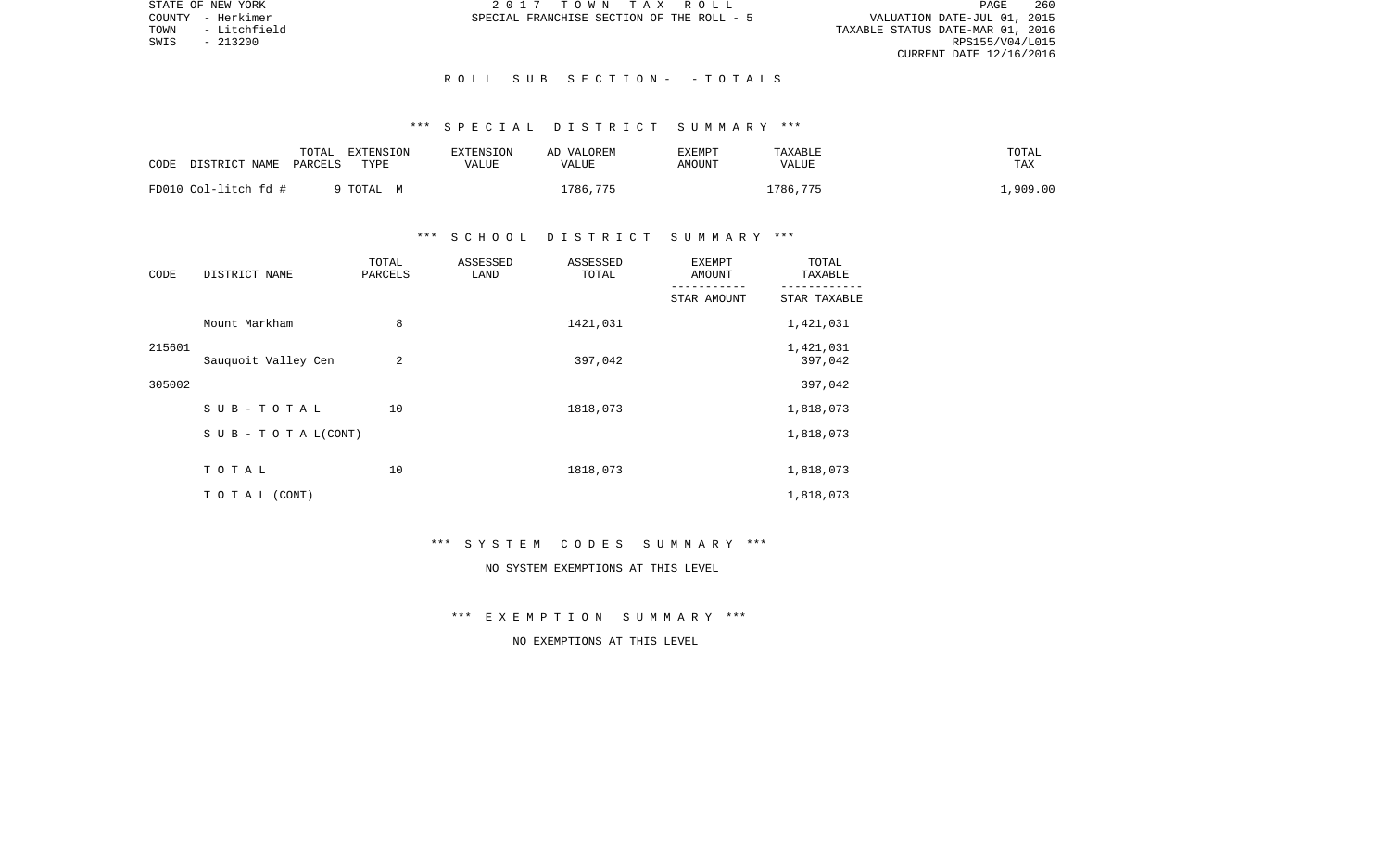VALUATION DATE-JUL 01, 2015 TOWN - Litchfield TAXABLE STATUS DATE-MAR 01, 2016 RPS155/V04/L015 CURRENT DATE 12/16/2016

STATE OF NEW YORK 2 0 1 7 T O W N T A X R O L L PAGE 260COUNTY - Herkimer SPECIAL FRANCHISE SECTION OF THE ROLL - 5

#### R O L L S U B S E C T I O N - - T O T A L S

# \*\*\* S P E C I A L D I S T R I C T S U M M A R Y \*\*\*

| CODE                 | TOTAL   | EXTENSION | <b>EXTENSION</b> | AD VALOREM | EXEMPT | TAXABLE  | TOTAL   |
|----------------------|---------|-----------|------------------|------------|--------|----------|---------|
| DISTRICT NAME        | PARCELS | TYPE      | VALUE            | VALUE      | AMOUNT | VALUE    | TAX     |
| FD010 Col-litch fd # |         | 9 TOTAL M |                  | 1786,775   |        | L786,775 | ,909.00 |

### \*\*\* S C H O O L D I S T R I C T S U M M A R Y \*\*\*

| CODE   | DISTRICT NAME                    | TOTAL<br>PARCELS | ASSESSED<br>LAND | ASSESSED<br>TOTAL | <b>EXEMPT</b><br>AMOUNT | TOTAL<br>TAXABLE     |
|--------|----------------------------------|------------------|------------------|-------------------|-------------------------|----------------------|
|        |                                  |                  |                  |                   | STAR AMOUNT             | STAR TAXABLE         |
|        | Mount Markham                    | 8                |                  | 1421,031          |                         | 1,421,031            |
| 215601 | Sauquoit Valley Cen              | 2                |                  | 397,042           |                         | 1,421,031<br>397,042 |
| 305002 |                                  |                  |                  |                   |                         | 397,042              |
|        | $SUB - TO T AL$                  | 10               |                  | 1818,073          |                         | 1,818,073            |
|        | $S \cup B - T \cup T A L (CONT)$ |                  |                  |                   |                         | 1,818,073            |
|        | TOTAL                            | 10               |                  | 1818,073          |                         | 1,818,073            |
|        | TO TAL (CONT)                    |                  |                  |                   |                         | 1,818,073            |

#### \*\*\* S Y S T E M C O D E S S U M M A R Y \*\*\*

# NO SYSTEM EXEMPTIONS AT THIS LEVEL

\*\*\* E X E M P T I O N S U M M A R Y \*\*\*

# NO EXEMPTIONS AT THIS LEVEL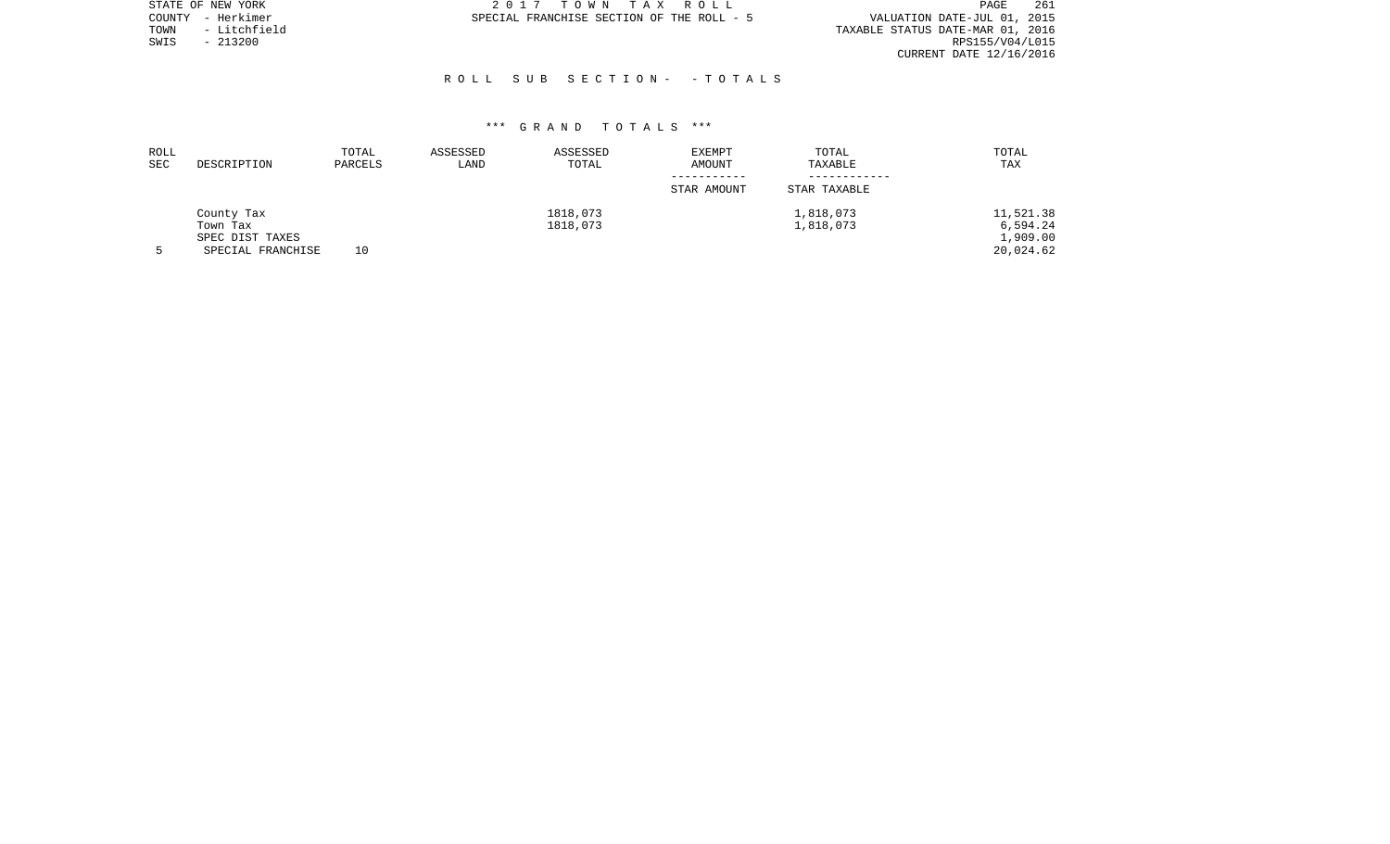|      | STATE OF NEW YORK | 2017 TOWN TAX ROLL                        |  |                                  | PAGE                    | 261 |
|------|-------------------|-------------------------------------------|--|----------------------------------|-------------------------|-----|
|      | COUNTY - Herkimer | SPECIAL FRANCHISE SECTION OF THE ROLL - 5 |  | VALUATION DATE-JUL 01, 2015      |                         |     |
| TOWN | - Litchfield      |                                           |  | TAXABLE STATUS DATE-MAR 01, 2016 |                         |     |
| SWIS | - 213200          |                                           |  |                                  | RPS155/V04/L015         |     |
|      |                   |                                           |  |                                  | CURRENT DATE 12/16/2016 |     |

#### R O L L S U B S E C T I O N - - T O T A L S

| ROLL<br>SEC | DESCRIPTION       | TOTAL<br>PARCELS | ASSESSED<br>LAND | ASSESSED<br>TOTAL | <b>EXEMPT</b><br>AMOUNT | TOTAL<br>TAXABLE | TOTAL<br>TAX |
|-------------|-------------------|------------------|------------------|-------------------|-------------------------|------------------|--------------|
|             |                   |                  |                  |                   | STAR AMOUNT             | STAR TAXABLE     |              |
|             | County Tax        |                  |                  | 1818,073          |                         | 1,818,073        | 11,521.38    |
|             | Town Tax          |                  |                  | 1818,073          |                         | 1,818,073        | 6,594.24     |
|             | SPEC DIST TAXES   |                  |                  |                   |                         |                  | 1,909.00     |
|             | SPECIAL FRANCHISE | 10               |                  |                   |                         |                  | 20,024.62    |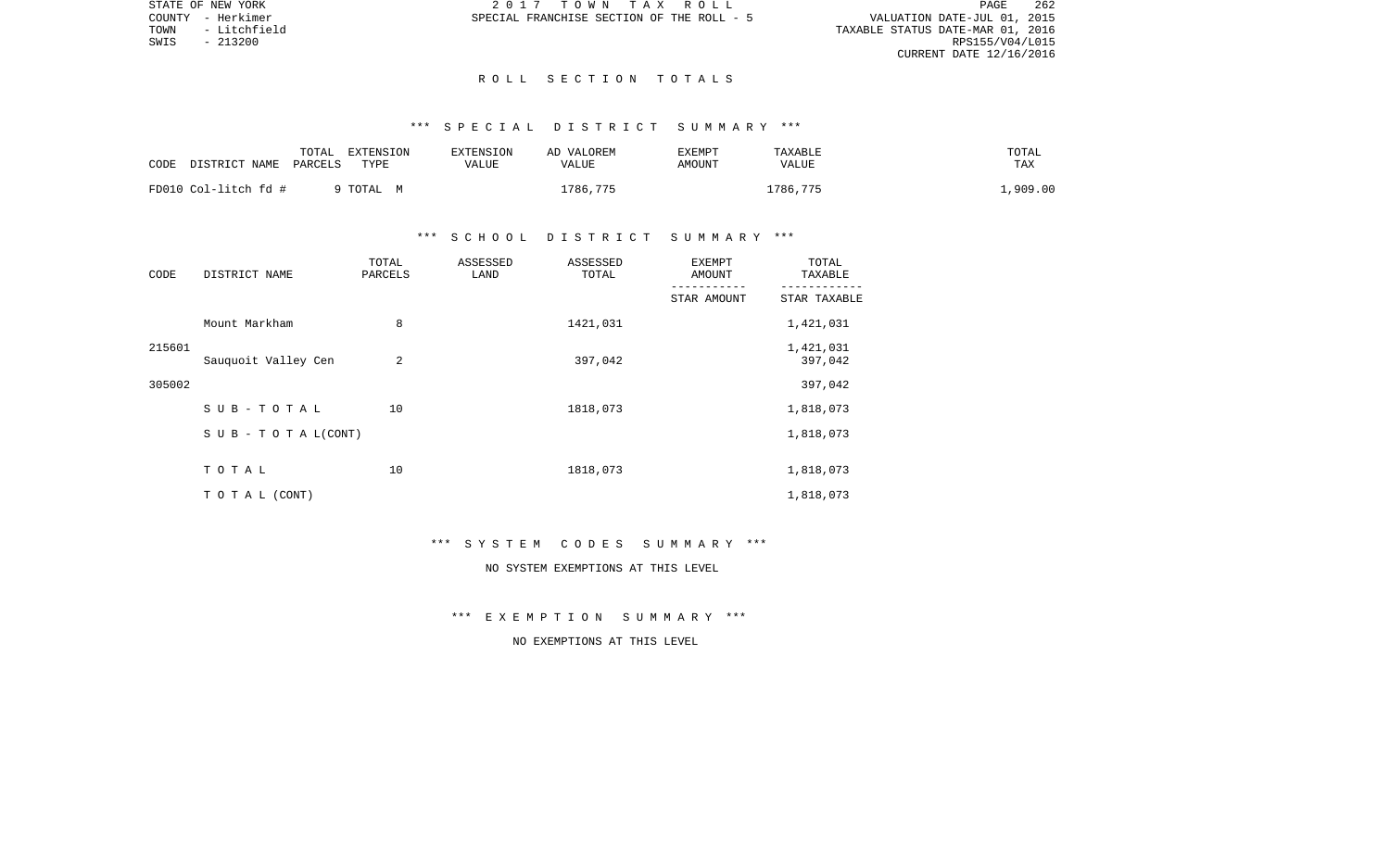VALUATION DATE-JUL 01, 2015 TOWN - Litchfield TAXABLE STATUS DATE-MAR 01, 2016 RPS155/V04/L015 CURRENT DATE 12/16/2016

STATE OF NEW YORK 2 0 1 7 T O W N T A X R O L L PAGE 262COUNTY - Herkimer SPECIAL FRANCHISE SECTION OF THE ROLL - 5

#### R O L L S E C T I O N T O T A L S

# \*\*\* S P E C I A L D I S T R I C T S U M M A R Y \*\*\*

| CODE | DISTRICT NAME        | TOTAL<br>PARCELS | EXTENSION | EXTENSION | AD VALOREM | EXEMPT | TAXABLE<br><b>VALUE</b> | TOTAL<br>TAX |
|------|----------------------|------------------|-----------|-----------|------------|--------|-------------------------|--------------|
|      |                      |                  | TYPE      | VALUE     | VALUE      | AMOUNT |                         |              |
|      | FD010 Col-litch fd # |                  | 9 TOTAL M |           | 1786,775   |        | 1786,775                | .,909.00     |

### \*\*\* S C H O O L D I S T R I C T S U M M A R Y \*\*\*

| CODE   | DISTRICT NAME                    | TOTAL<br>PARCELS | ASSESSED<br>LAND | ASSESSED<br>TOTAL | <b>EXEMPT</b><br>AMOUNT | TOTAL<br>TAXABLE     |
|--------|----------------------------------|------------------|------------------|-------------------|-------------------------|----------------------|
|        |                                  |                  |                  |                   | STAR AMOUNT             | STAR TAXABLE         |
|        | Mount Markham                    | 8                |                  | 1421,031          |                         | 1,421,031            |
| 215601 | Sauquoit Valley Cen              | 2                |                  | 397,042           |                         | 1,421,031<br>397,042 |
| 305002 |                                  |                  |                  |                   |                         | 397,042              |
|        | SUB-TOTAL                        | 10               |                  | 1818,073          |                         | 1,818,073            |
|        | $S \cup B - T \cup T A L (CONT)$ |                  |                  |                   |                         | 1,818,073            |
|        | TOTAL                            | 10               |                  | 1818,073          |                         | 1,818,073            |
|        | TO TAL (CONT)                    |                  |                  |                   |                         | 1,818,073            |

#### \*\*\* S Y S T E M C O D E S S U M M A R Y \*\*\*

# NO SYSTEM EXEMPTIONS AT THIS LEVEL

\*\*\* E X E M P T I O N S U M M A R Y \*\*\*

# NO EXEMPTIONS AT THIS LEVEL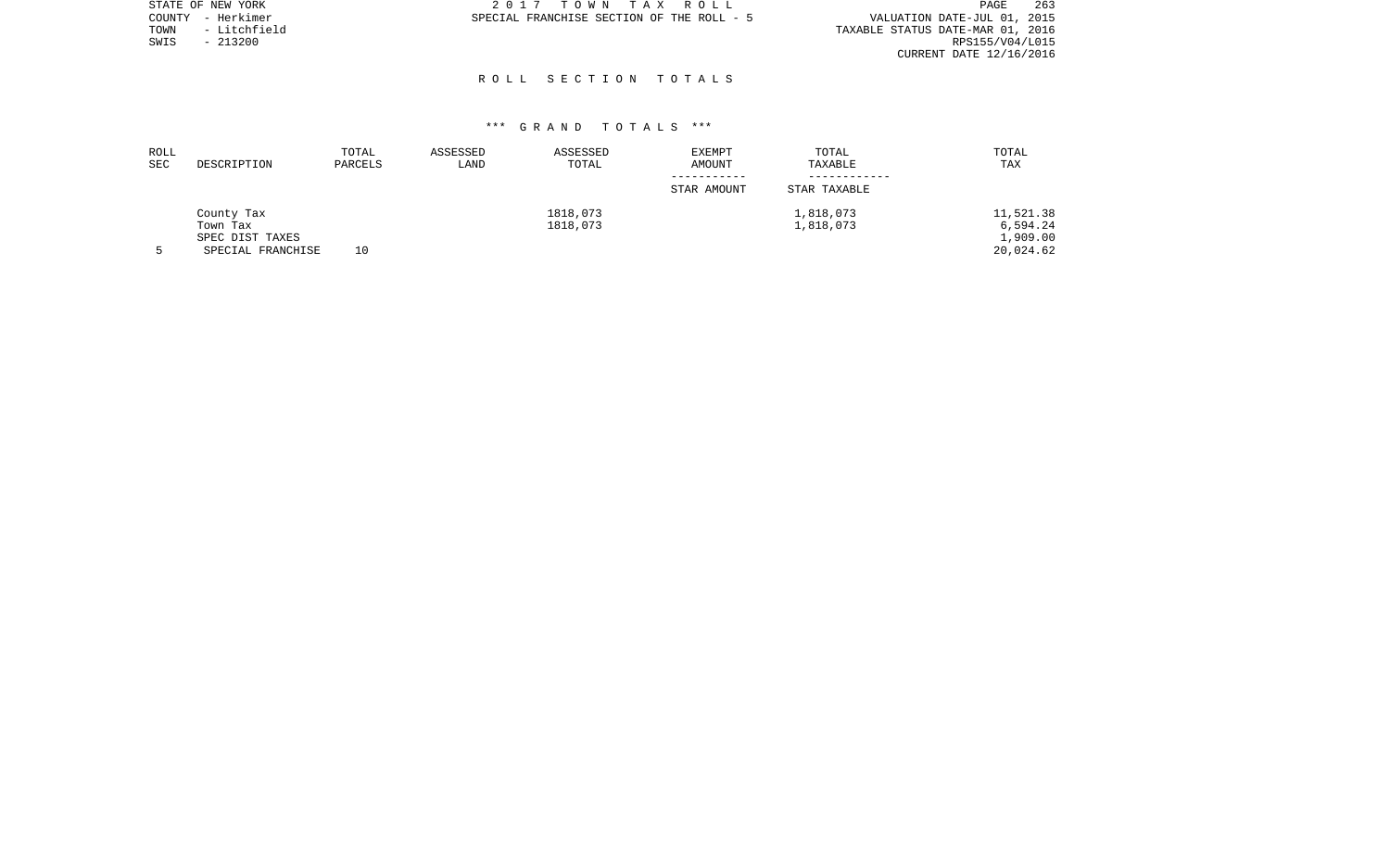|      | STATE OF NEW YORK | 2017 TOWN TAX ROLL                        | 263<br>PAGE                      |
|------|-------------------|-------------------------------------------|----------------------------------|
|      | COUNTY - Herkimer | SPECIAL FRANCHISE SECTION OF THE ROLL - 5 | VALUATION DATE-JUL 01, 2015      |
| TOWN | - Litchfield      |                                           | TAXABLE STATUS DATE-MAR 01, 2016 |
| SWIS | $-213200$         |                                           | RPS155/V04/L015                  |
|      |                   |                                           | CURRENT DATE 12/16/2016          |

#### R O L L S E C T I O N T O T A L S

| ROLL<br><b>SEC</b> | DESCRIPTION       | TOTAL<br>PARCELS | ASSESSED<br>LAND | ASSESSED<br>TOTAL | <b>EXEMPT</b><br>AMOUNT | TOTAL<br>TAXABLE | TOTAL<br>TAX |
|--------------------|-------------------|------------------|------------------|-------------------|-------------------------|------------------|--------------|
|                    |                   |                  |                  |                   |                         |                  |              |
|                    |                   |                  |                  |                   | STAR AMOUNT             | STAR TAXABLE     |              |
|                    | County Tax        |                  |                  | 1818,073          |                         | 1,818,073        | 11,521.38    |
|                    | Town Tax          |                  |                  | 1818,073          |                         | 1,818,073        | 6,594.24     |
|                    | SPEC DIST TAXES   |                  |                  |                   |                         |                  | 1,909.00     |
|                    | SPECIAL FRANCHISE | 10               |                  |                   |                         |                  | 20,024.62    |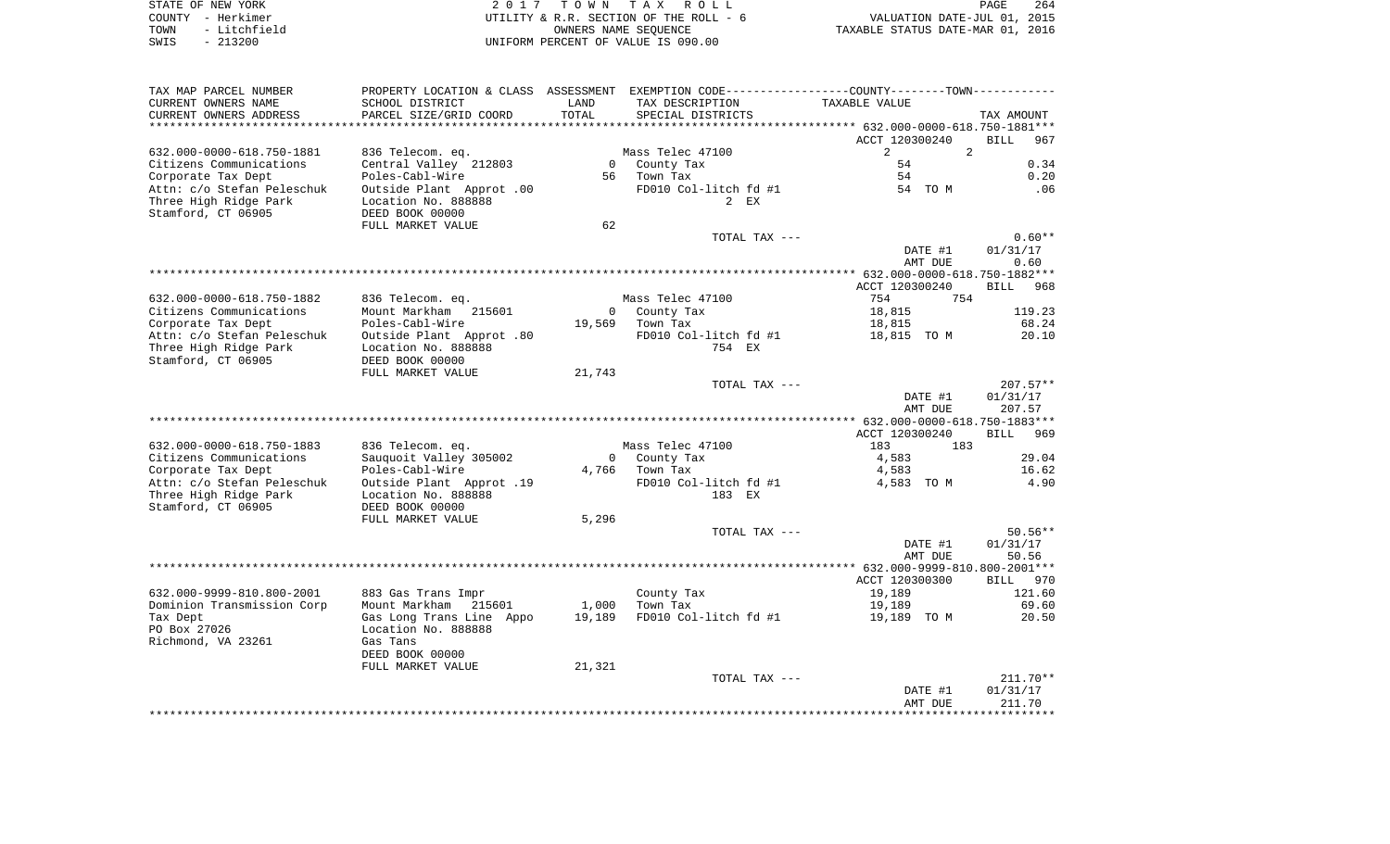| STATE OF NEW YORK    | 2017 TOWN TAX ROLL                     |                                  | PAGE | 264 |
|----------------------|----------------------------------------|----------------------------------|------|-----|
| COUNTY - Herkimer    | UTILITY & R.R. SECTION OF THE ROLL - 6 | VALUATION DATE-JUL 01, 2015      |      |     |
| - Litchfield<br>TOWN | OWNERS NAME SEOUENCE                   | TAXABLE STATUS DATE-MAR 01, 2016 |      |     |
| SWIS<br>$-213200$    | UNIFORM PERCENT OF VALUE IS 090.00     |                                  |      |     |
|                      |                                        |                                  |      |     |
|                      |                                        |                                  |      |     |

| TAX MAP PARCEL NUMBER      | PROPERTY LOCATION & CLASS ASSESSMENT EXEMPTION CODE----------------COUNTY-------TOWN--------- |                |                       |                                                  |                    |
|----------------------------|-----------------------------------------------------------------------------------------------|----------------|-----------------------|--------------------------------------------------|--------------------|
| CURRENT OWNERS NAME        | SCHOOL DISTRICT                                                                               | LAND           | TAX DESCRIPTION       | TAXABLE VALUE                                    |                    |
| CURRENT OWNERS ADDRESS     | PARCEL SIZE/GRID COORD                                                                        | TOTAL          | SPECIAL DISTRICTS     |                                                  | TAX AMOUNT         |
| ***************            |                                                                                               |                |                       | ******************* 632.000-0000-618.750-1881*** |                    |
|                            |                                                                                               |                |                       | ACCT 120300240                                   | <b>BILL</b><br>967 |
| 632.000-0000-618.750-1881  | 836 Telecom. eq.                                                                              |                | Mass Telec 47100      | 2<br>$2^{\circ}$                                 |                    |
| Citizens Communications    | Central Valley 212803                                                                         | $\Omega$       | County Tax            | 54                                               | 0.34               |
| Corporate Tax Dept         | Poles-Cabl-Wire                                                                               |                | 56 Town Tax           | 54                                               | 0.20               |
| Attn: c/o Stefan Peleschuk | Outside Plant Approt .00                                                                      |                | FD010 Col-litch fd #1 | 54 TO M                                          | .06                |
| Three High Ridge Park      | Location No. 888888                                                                           |                | $2$ EX                |                                                  |                    |
| Stamford, CT 06905         | DEED BOOK 00000                                                                               |                |                       |                                                  |                    |
|                            | FULL MARKET VALUE                                                                             | 62             |                       |                                                  |                    |
|                            |                                                                                               |                | TOTAL TAX ---         |                                                  | $0.60**$           |
|                            |                                                                                               |                |                       |                                                  |                    |
|                            |                                                                                               |                |                       | DATE #1                                          | 01/31/17           |
|                            |                                                                                               |                |                       | AMT DUE                                          | 0.60               |
|                            |                                                                                               |                |                       |                                                  |                    |
|                            |                                                                                               |                |                       | ACCT 120300240                                   | <b>BILL</b><br>968 |
| 632.000-0000-618.750-1882  | 836 Telecom. eq.                                                                              |                | Mass Telec 47100      | 754<br>754                                       |                    |
| Citizens Communications    | Mount Markham<br>215601                                                                       | $\overline{0}$ | County Tax            | 18,815                                           | 119.23             |
| Corporate Tax Dept         | Poles-Cabl-Wire                                                                               | 19,569         | Town Tax              | 18,815                                           | 68.24              |
| Attn: c/o Stefan Peleschuk | Outside Plant Approt .80                                                                      |                | FD010 Col-litch fd #1 | 18,815 TO M                                      | 20.10              |
| Three High Ridge Park      | Location No. 888888                                                                           |                | 754 EX                |                                                  |                    |
| Stamford, CT 06905         | DEED BOOK 00000                                                                               |                |                       |                                                  |                    |
|                            | FULL MARKET VALUE                                                                             | 21,743         |                       |                                                  |                    |
|                            |                                                                                               |                | TOTAL TAX ---         |                                                  | $207.57**$         |
|                            |                                                                                               |                |                       | DATE #1                                          | 01/31/17           |
|                            |                                                                                               |                |                       | AMT DUE                                          | 207.57             |
|                            |                                                                                               |                |                       |                                                  |                    |
|                            |                                                                                               |                |                       | ACCT 120300240                                   | <b>BILL</b><br>969 |
| 632.000-0000-618.750-1883  | 836 Telecom. eq.                                                                              |                | Mass Telec 47100      | 183<br>183                                       |                    |
| Citizens Communications    | Sauquoit Valley 305002                                                                        | $\overline{0}$ |                       | 4,583                                            | 29.04              |
|                            |                                                                                               |                | County Tax            |                                                  |                    |
| Corporate Tax Dept         | Poles-Cabl-Wire                                                                               |                | 4,766 Town Tax        | 4,583                                            | 16.62              |
| Attn: c/o Stefan Peleschuk | Outside Plant Approt .19                                                                      |                | FD010 Col-litch fd #1 | 4,583 TO M                                       | 4.90               |
| Three High Ridge Park      | Location No. 888888                                                                           |                | 183 EX                |                                                  |                    |
| Stamford, CT 06905         | DEED BOOK 00000                                                                               |                |                       |                                                  |                    |
|                            | FULL MARKET VALUE                                                                             | 5,296          |                       |                                                  |                    |
|                            |                                                                                               |                | TOTAL TAX ---         |                                                  | $50.56**$          |
|                            |                                                                                               |                |                       | DATE #1                                          | 01/31/17           |
|                            |                                                                                               |                |                       | AMT DUE                                          | 50.56              |
|                            |                                                                                               |                |                       |                                                  |                    |
|                            |                                                                                               |                |                       | ACCT 120300300                                   | BILL 970           |
| 632.000-9999-810.800-2001  | 883 Gas Trans Impr                                                                            |                | County Tax            | 19,189                                           | 121.60             |
| Dominion Transmission Corp | Mount Markham 215601                                                                          | 1,000          | Town Tax              | 19,189                                           | 69.60              |
| Tax Dept                   | Gas Long Trans Line Appo                                                                      | 19,189         | FD010 Col-litch fd #1 | 19,189 TO M                                      | 20.50              |
| PO Box 27026               | Location No. 888888                                                                           |                |                       |                                                  |                    |
| Richmond, VA 23261         | Gas Tans                                                                                      |                |                       |                                                  |                    |
|                            | DEED BOOK 00000                                                                               |                |                       |                                                  |                    |
|                            | FULL MARKET VALUE                                                                             | 21,321         |                       |                                                  |                    |
|                            |                                                                                               |                | TOTAL TAX ---         |                                                  | $211.70**$         |
|                            |                                                                                               |                |                       | DATE #1                                          | 01/31/17           |
|                            |                                                                                               |                |                       | AMT DUE                                          | 211.70             |
|                            |                                                                                               |                |                       |                                                  |                    |
|                            |                                                                                               |                |                       |                                                  |                    |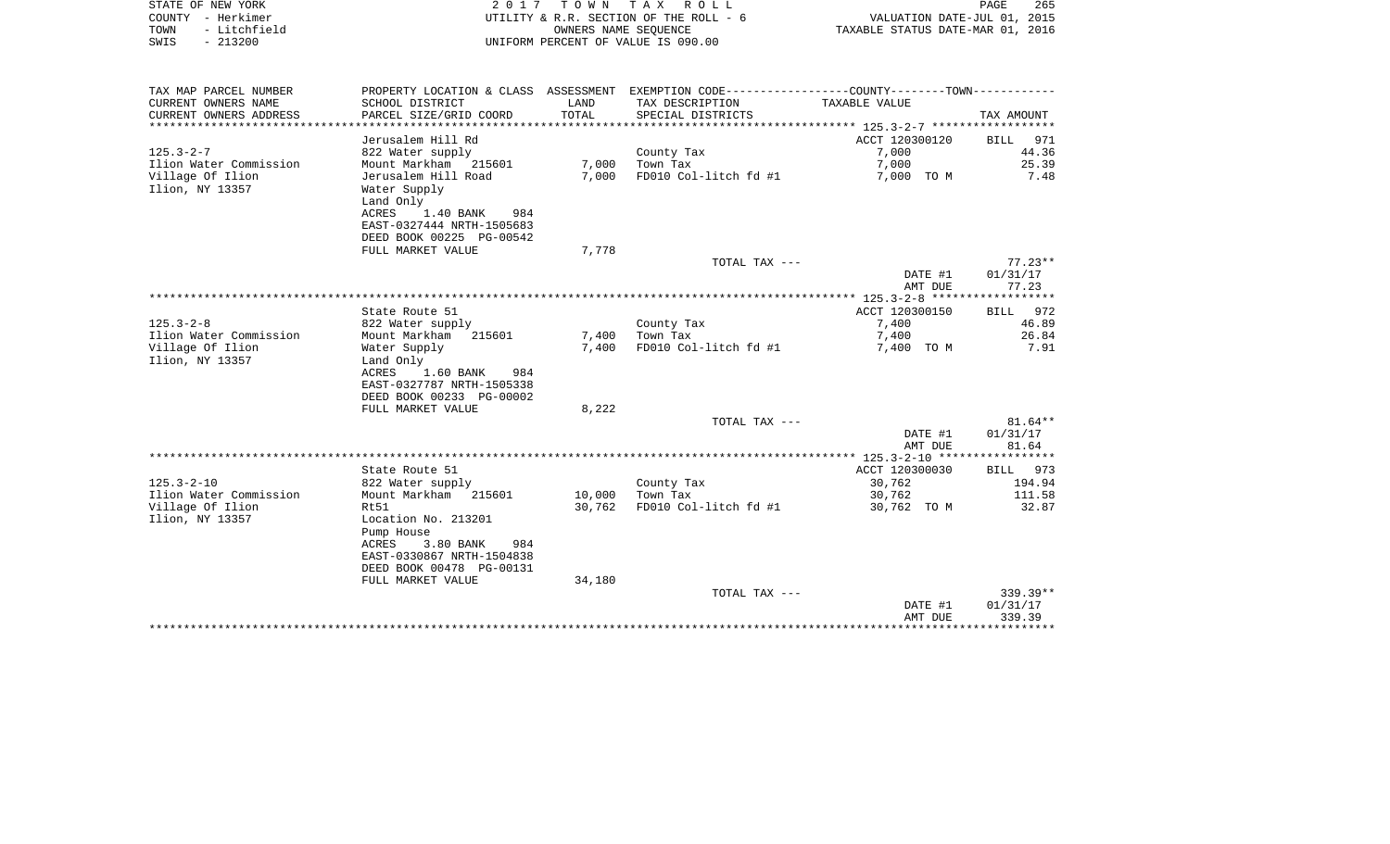| STATE OF NEW YORK    | 2017 TOWN TAX ROLL                     | 265<br>PAGE                      |
|----------------------|----------------------------------------|----------------------------------|
| COUNTY - Herkimer    | UTILITY & R.R. SECTION OF THE ROLL - 6 | VALUATION DATE-JUL 01, 2015      |
| - Litchfield<br>TOWN | OWNERS NAME SEOUENCE                   | TAXABLE STATUS DATE-MAR 01, 2016 |
| $-213200$<br>SWIS    | UNIFORM PERCENT OF VALUE IS 090.00     |                                  |

| TAX MAP PARCEL NUMBER  |                           |        | PROPERTY LOCATION & CLASS ASSESSMENT EXEMPTION CODE----------------COUNTY--------TOWN---------- |                            |                         |
|------------------------|---------------------------|--------|-------------------------------------------------------------------------------------------------|----------------------------|-------------------------|
| CURRENT OWNERS NAME    | SCHOOL DISTRICT           | LAND   | TAX DESCRIPTION                                                                                 | TAXABLE VALUE              |                         |
| CURRENT OWNERS ADDRESS | PARCEL SIZE/GRID COORD    | TOTAL  | SPECIAL DISTRICTS                                                                               |                            | TAX AMOUNT              |
|                        |                           |        |                                                                                                 |                            |                         |
|                        | Jerusalem Hill Rd         |        |                                                                                                 | ACCT 120300120             | BILL 971                |
| $125.3 - 2 - 7$        | 822 Water supply          |        | County Tax                                                                                      | 7,000                      | 44.36                   |
| Ilion Water Commission | Mount Markham<br>215601   | 7,000  | Town Tax                                                                                        | 7,000                      | 25.39                   |
| Village Of Ilion       | Jerusalem Hill Road       | 7,000  | FD010 Col-litch fd #1                                                                           | 7,000 TO M                 | 7.48                    |
| Ilion, NY 13357        | Water Supply              |        |                                                                                                 |                            |                         |
|                        | Land Only                 |        |                                                                                                 |                            |                         |
|                        | ACRES<br>1.40 BANK<br>984 |        |                                                                                                 |                            |                         |
|                        | EAST-0327444 NRTH-1505683 |        |                                                                                                 |                            |                         |
|                        | DEED BOOK 00225 PG-00542  |        |                                                                                                 |                            |                         |
|                        | FULL MARKET VALUE         | 7,778  |                                                                                                 |                            |                         |
|                        |                           |        | TOTAL TAX ---                                                                                   |                            | $77.23**$               |
|                        |                           |        |                                                                                                 | DATE #1                    | 01/31/17                |
|                        |                           |        |                                                                                                 | AMT DUE                    | 77.23                   |
|                        |                           |        |                                                                                                 |                            |                         |
|                        | State Route 51            |        |                                                                                                 | ACCT 120300150             | 972<br>BILL             |
| $125.3 - 2 - 8$        | 822 Water supply          |        | County Tax                                                                                      | 7,400                      | 46.89                   |
| Ilion Water Commission | Mount Markham 215601      | 7,400  | Town Tax                                                                                        | 7,400                      | 26.84                   |
| Village Of Ilion       | Water Supply              | 7,400  | FD010 Col-litch fd #1                                                                           | 7,400 TO M                 | 7.91                    |
| Ilion, NY 13357        | Land Only                 |        |                                                                                                 |                            |                         |
|                        | ACRES<br>1.60 BANK<br>984 |        |                                                                                                 |                            |                         |
|                        | EAST-0327787 NRTH-1505338 |        |                                                                                                 |                            |                         |
|                        | DEED BOOK 00233 PG-00002  |        |                                                                                                 |                            |                         |
|                        | FULL MARKET VALUE         | 8,222  |                                                                                                 |                            |                         |
|                        |                           |        | TOTAL TAX ---                                                                                   |                            | $81.64**$               |
|                        |                           |        |                                                                                                 | DATE #1                    | 01/31/17                |
|                        |                           |        |                                                                                                 | AMT DUE                    | 81.64                   |
|                        |                           |        |                                                                                                 |                            |                         |
|                        | State Route 51            |        |                                                                                                 | ACCT 120300030             | BILL 973                |
| $125.3 - 2 - 10$       | 822 Water supply          |        | County Tax                                                                                      | 30,762                     | 194.94                  |
| Ilion Water Commission | Mount Markham 215601      | 10,000 | Town Tax                                                                                        | 30,762                     | 111.58                  |
| Village Of Ilion       | Rt51                      | 30,762 | FD010 Col-litch fd #1                                                                           | 30,762 TO M                | 32.87                   |
| Ilion, NY 13357        | Location No. 213201       |        |                                                                                                 |                            |                         |
|                        | Pump House                |        |                                                                                                 |                            |                         |
|                        | ACRES<br>3.80 BANK<br>984 |        |                                                                                                 |                            |                         |
|                        | EAST-0330867 NRTH-1504838 |        |                                                                                                 |                            |                         |
|                        | DEED BOOK 00478 PG-00131  |        |                                                                                                 |                            |                         |
|                        | FULL MARKET VALUE         | 34,180 |                                                                                                 |                            |                         |
|                        |                           |        | TOTAL TAX ---                                                                                   |                            | $339.39**$              |
|                        |                           |        |                                                                                                 | DATE #1                    | 01/31/17                |
|                        |                           |        |                                                                                                 | AMT DUE<br>*************** | 339.39<br>************* |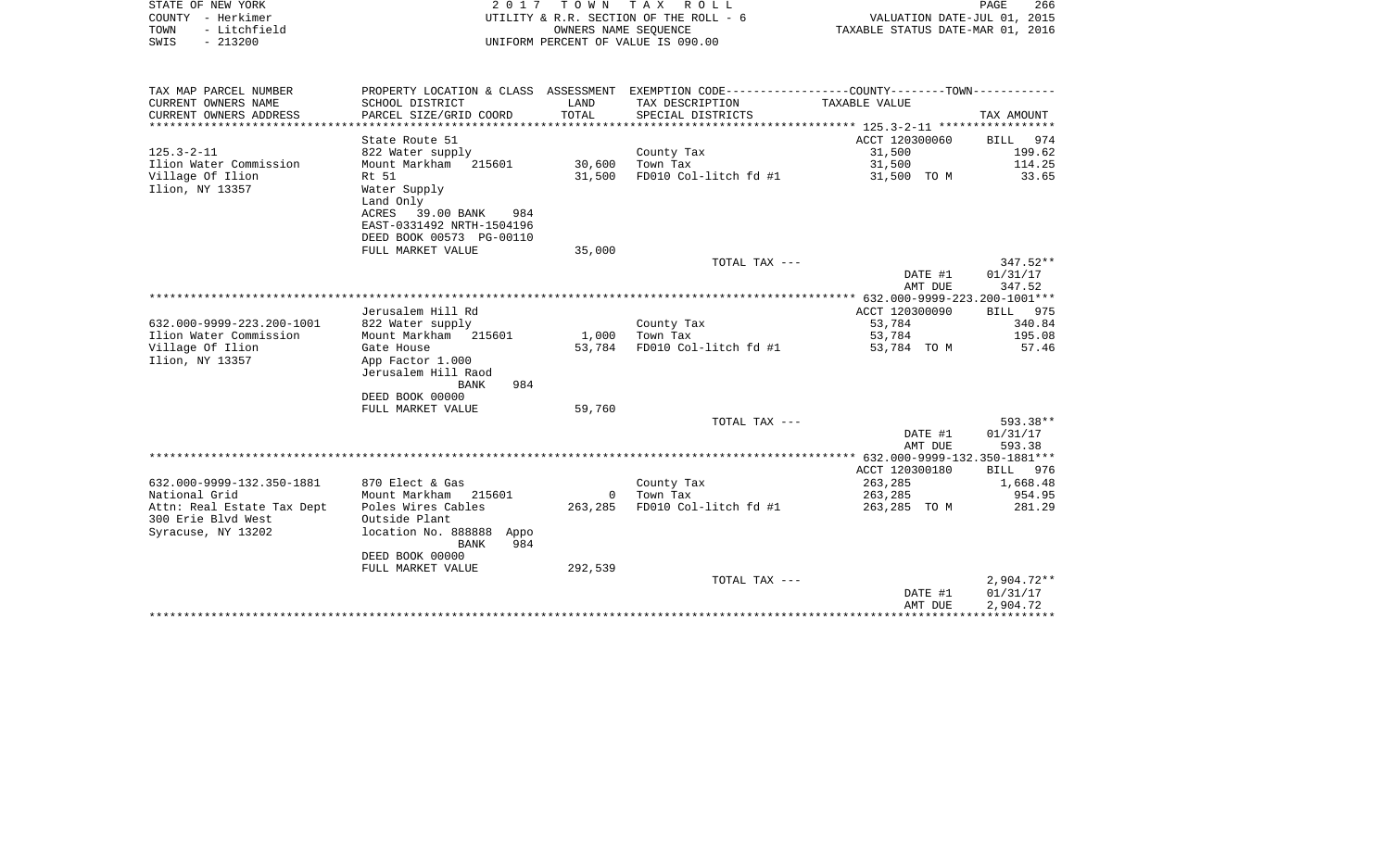| STATE OF NEW YORK         |                                                                                                |                | 2017 TOWN TAX ROLL                     |                                  | PAGE<br>266 |
|---------------------------|------------------------------------------------------------------------------------------------|----------------|----------------------------------------|----------------------------------|-------------|
| COUNTY - Herkimer         |                                                                                                |                | UTILITY & R.R. SECTION OF THE ROLL - 6 | VALUATION DATE-JUL 01, 2015      |             |
| - Litchfield<br>TOWN      |                                                                                                |                | OWNERS NAME SEOUENCE                   | TAXABLE STATUS DATE-MAR 01, 2016 |             |
| $-213200$<br>SWIS         |                                                                                                |                | UNIFORM PERCENT OF VALUE IS 090.00     |                                  |             |
|                           |                                                                                                |                |                                        |                                  |             |
| TAX MAP PARCEL NUMBER     | PROPERTY LOCATION & CLASS ASSESSMENT EXEMPTION CODE----------------COUNTY-------TOWN---------- |                |                                        |                                  |             |
| CURRENT OWNERS NAME       | SCHOOL DISTRICT                                                                                | LAND           | TAX DESCRIPTION                        | TAXABLE VALUE                    |             |
| CURRENT OWNERS ADDRESS    | PARCEL SIZE/GRID COORD                                                                         | TOTAL          | SPECIAL DISTRICTS                      |                                  | TAX AMOUNT  |
|                           |                                                                                                |                |                                        |                                  |             |
|                           | State Route 51                                                                                 |                |                                        | ACCT 120300060                   | BILL 974    |
| $125.3 - 2 - 11$          | 822 Water supply                                                                               |                | County Tax                             | 31,500                           | 199.62      |
| Ilion Water Commission    | Mount Markham 215601                                                                           | 30,600         | Town Tax                               | 31,500                           | 114.25      |
| Village Of Ilion          | Rt 51                                                                                          | 31,500         | FD010 Col-litch fd #1                  | 31,500 TO M                      | 33.65       |
| Ilion, NY 13357           | Water Supply                                                                                   |                |                                        |                                  |             |
|                           | Land Only                                                                                      |                |                                        |                                  |             |
|                           | ACRES 39.00 BANK<br>984                                                                        |                |                                        |                                  |             |
|                           | EAST-0331492 NRTH-1504196                                                                      |                |                                        |                                  |             |
|                           | DEED BOOK 00573 PG-00110<br>FULL MARKET VALUE                                                  | 35,000         |                                        |                                  |             |
|                           |                                                                                                |                | TOTAL TAX ---                          |                                  | $347.52**$  |
|                           |                                                                                                |                |                                        | DATE #1                          | 01/31/17    |
|                           |                                                                                                |                |                                        | AMT DUE                          | 347.52      |
|                           |                                                                                                |                |                                        |                                  |             |
|                           | Jerusalem Hill Rd                                                                              |                |                                        | ACCT 120300090                   | BILL 975    |
| 632.000-9999-223.200-1001 | 822 Water supply                                                                               |                | County Tax                             | 53,784                           | 340.84      |
| Ilion Water Commission    | Mount Markham 215601                                                                           | 1,000 Town Tax |                                        | 53,784                           | 195.08      |
| Village Of Ilion          | Gate House                                                                                     | 53,784         | FD010 Col-litch fd #1                  | 53,784 TO M                      | 57.46       |
| Ilion, NY 13357           | App Factor 1.000                                                                               |                |                                        |                                  |             |
|                           | Jerusalem Hill Raod                                                                            |                |                                        |                                  |             |
|                           | 984<br><b>BANK</b>                                                                             |                |                                        |                                  |             |
|                           | DEED BOOK 00000                                                                                |                |                                        |                                  |             |
|                           | FULL MARKET VALUE                                                                              | 59,760         |                                        |                                  |             |
|                           |                                                                                                |                | TOTAL TAX ---                          |                                  | 593.38**    |
|                           |                                                                                                |                |                                        | DATE #1                          | 01/31/17    |

|                                                  |                                            |         |                       | AMT DUE                      | 593.38       |
|--------------------------------------------------|--------------------------------------------|---------|-----------------------|------------------------------|--------------|
|                                                  |                                            |         |                       | 632.000-9999-132.350-1881*** |              |
|                                                  |                                            |         |                       | ACCT 120300180               | 976<br>BILL  |
| 632.000-9999-132.350-1881                        | 870 Elect & Gas                            |         | County Tax            | 263,285                      | 1,668.48     |
| National Grid                                    | Mount Markham 215601                       |         | Town Tax              | 263,285                      | 954.95       |
| Attn: Real Estate Tax Dept<br>300 Erie Blvd West | Poles Wires Cables<br>Outside Plant        | 263,285 | FD010 Col-litch fd #1 | 263,285 TO M                 | 281.29       |
| Syracuse, NY 13202                               | location No. 888888<br>Appo<br>984<br>BANK |         |                       |                              |              |
|                                                  | DEED BOOK 00000                            |         |                       |                              |              |
|                                                  | FULL MARKET VALUE                          | 292,539 |                       |                              |              |
|                                                  |                                            |         | TOTAL TAX ---         |                              | $2.904.72**$ |
|                                                  |                                            |         |                       | DATE #1                      | 01/31/17     |
|                                                  |                                            |         |                       | AMT DUE                      | 2,904.72     |
|                                                  |                                            |         |                       |                              |              |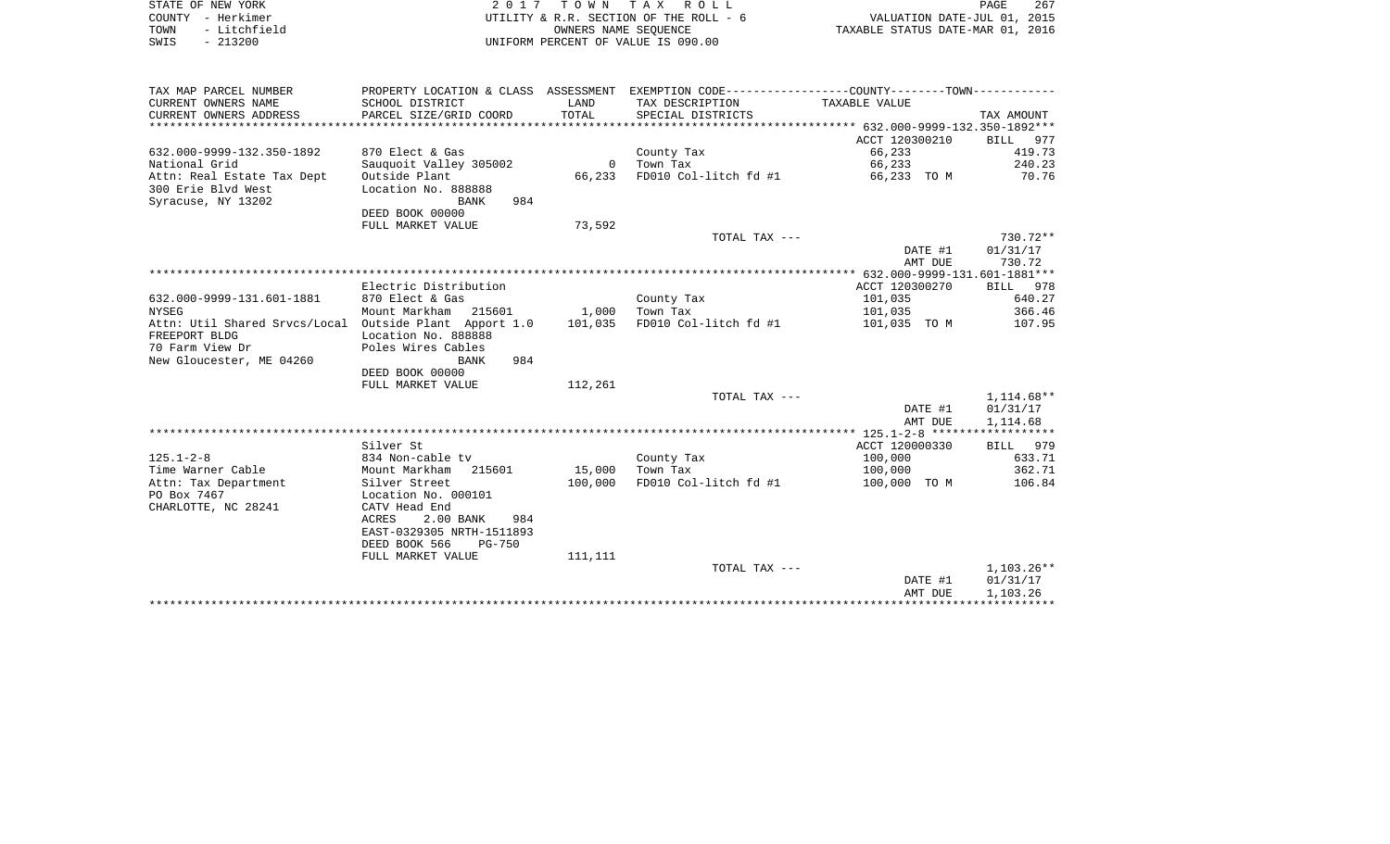| COUNTY - Herkimer<br>- Litchfield<br>TOWN<br>SWIS<br>$-213200$                                                                         |                                                                                                                                              |                  | UTILITY & R.R. SECTION OF THE ROLL - 6<br>OWNERS NAME SEQUENCE<br>UNIFORM PERCENT OF VALUE IS 090.00 | VALUATION DATE-JUL 01, 2015<br>TAXABLE STATUS DATE-MAR 01, 2016 |                                    |
|----------------------------------------------------------------------------------------------------------------------------------------|----------------------------------------------------------------------------------------------------------------------------------------------|------------------|------------------------------------------------------------------------------------------------------|-----------------------------------------------------------------|------------------------------------|
| TAX MAP PARCEL NUMBER                                                                                                                  |                                                                                                                                              |                  | PROPERTY LOCATION & CLASS ASSESSMENT EXEMPTION CODE---------------COUNTY-------TOWN----------        |                                                                 |                                    |
| CURRENT OWNERS NAME<br>CURRENT OWNERS ADDRESS                                                                                          | SCHOOL DISTRICT                                                                                                                              | LAND<br>TOTAL    | TAX DESCRIPTION<br>SPECIAL DISTRICTS                                                                 | TAXABLE VALUE                                                   |                                    |
| ********************                                                                                                                   | PARCEL SIZE/GRID COORD                                                                                                                       |                  |                                                                                                      |                                                                 | TAX AMOUNT                         |
|                                                                                                                                        |                                                                                                                                              |                  |                                                                                                      | ACCT 120300210                                                  | BILL 977                           |
| 632.000-9999-132.350-1892                                                                                                              | 870 Elect & Gas                                                                                                                              |                  | County Tax                                                                                           | 66,233                                                          | 419.73                             |
| National Grid                                                                                                                          | Sauquoit Valley 305002                                                                                                                       | $\overline{0}$   | Town Tax                                                                                             | 66,233                                                          | 240.23                             |
| Attn: Real Estate Tax Dept<br>300 Erie Blvd West<br>Syracuse, NY 13202                                                                 | Outside Plant<br>Location No. 888888<br>BANK<br>984                                                                                          | 66,233           | FD010 Col-litch fd #1                                                                                | 66,233 TO M                                                     | 70.76                              |
|                                                                                                                                        | DEED BOOK 00000                                                                                                                              |                  |                                                                                                      |                                                                 |                                    |
|                                                                                                                                        | FULL MARKET VALUE                                                                                                                            | 73,592           |                                                                                                      |                                                                 |                                    |
|                                                                                                                                        |                                                                                                                                              |                  | TOTAL TAX ---                                                                                        | DATE #1<br>AMT DUE                                              | 730.72**<br>01/31/17<br>730.72     |
|                                                                                                                                        |                                                                                                                                              |                  |                                                                                                      |                                                                 |                                    |
|                                                                                                                                        | Electric Distribution                                                                                                                        |                  |                                                                                                      | ACCT 120300270                                                  | BILL 978                           |
| 632.000-9999-131.601-1881                                                                                                              | 870 Elect & Gas                                                                                                                              |                  | County Tax                                                                                           | 101,035                                                         | 640.27                             |
| <b>NYSEG</b><br>Attn: Util Shared Srvcs/Local Outside Plant Apport 1.0<br>FREEPORT BLDG<br>70 Farm View Dr<br>New Gloucester, ME 04260 | Mount Markham 215601<br>Location No. 888888<br>Poles Wires Cables<br>984<br>BANK<br>DEED BOOK 00000                                          | 1,000<br>101,035 | Town Tax<br>FD010 Col-litch fd #1                                                                    | 101,035<br>101,035 TO M                                         | 366.46<br>107.95                   |
|                                                                                                                                        | FULL MARKET VALUE                                                                                                                            | 112,261          |                                                                                                      |                                                                 |                                    |
|                                                                                                                                        |                                                                                                                                              |                  | TOTAL TAX ---                                                                                        | DATE #1<br>AMT DUE                                              | 1,114.68**<br>01/31/17<br>1,114.68 |
|                                                                                                                                        |                                                                                                                                              |                  |                                                                                                      |                                                                 |                                    |
| $125.1 - 2 - 8$                                                                                                                        | Silver St<br>834 Non-cable tv                                                                                                                |                  | County Tax                                                                                           | ACCT 120000330<br>100,000                                       | BILL 979<br>633.71                 |
| Time Warner Cable                                                                                                                      | Mount Markham 215601                                                                                                                         | 15,000           | Town Tax                                                                                             | 100,000                                                         | 362.71                             |
| Attn: Tax Department<br>PO Box 7467<br>CHARLOTTE, NC 28241                                                                             | Silver Street<br>Location No. 000101<br>CATV Head End<br>2.00 BANK<br>ACRES<br>984<br>EAST-0329305 NRTH-1511893<br>DEED BOOK 566<br>$PG-750$ | 100,000          | FD010 Col-litch fd #1                                                                                | 100,000 TO M                                                    | 106.84                             |
|                                                                                                                                        | FULL MARKET VALUE                                                                                                                            | 111,111          | TOTAL TAX ---                                                                                        |                                                                 | $1,103.26**$                       |
|                                                                                                                                        |                                                                                                                                              |                  |                                                                                                      | DATE #1<br>AMT DUE                                              | 01/31/17<br>1,103.26               |
|                                                                                                                                        |                                                                                                                                              |                  |                                                                                                      |                                                                 | ***********                        |

STATE OF NEW YORK **EXECUTE:**  $2017$  TOWN TAX ROLL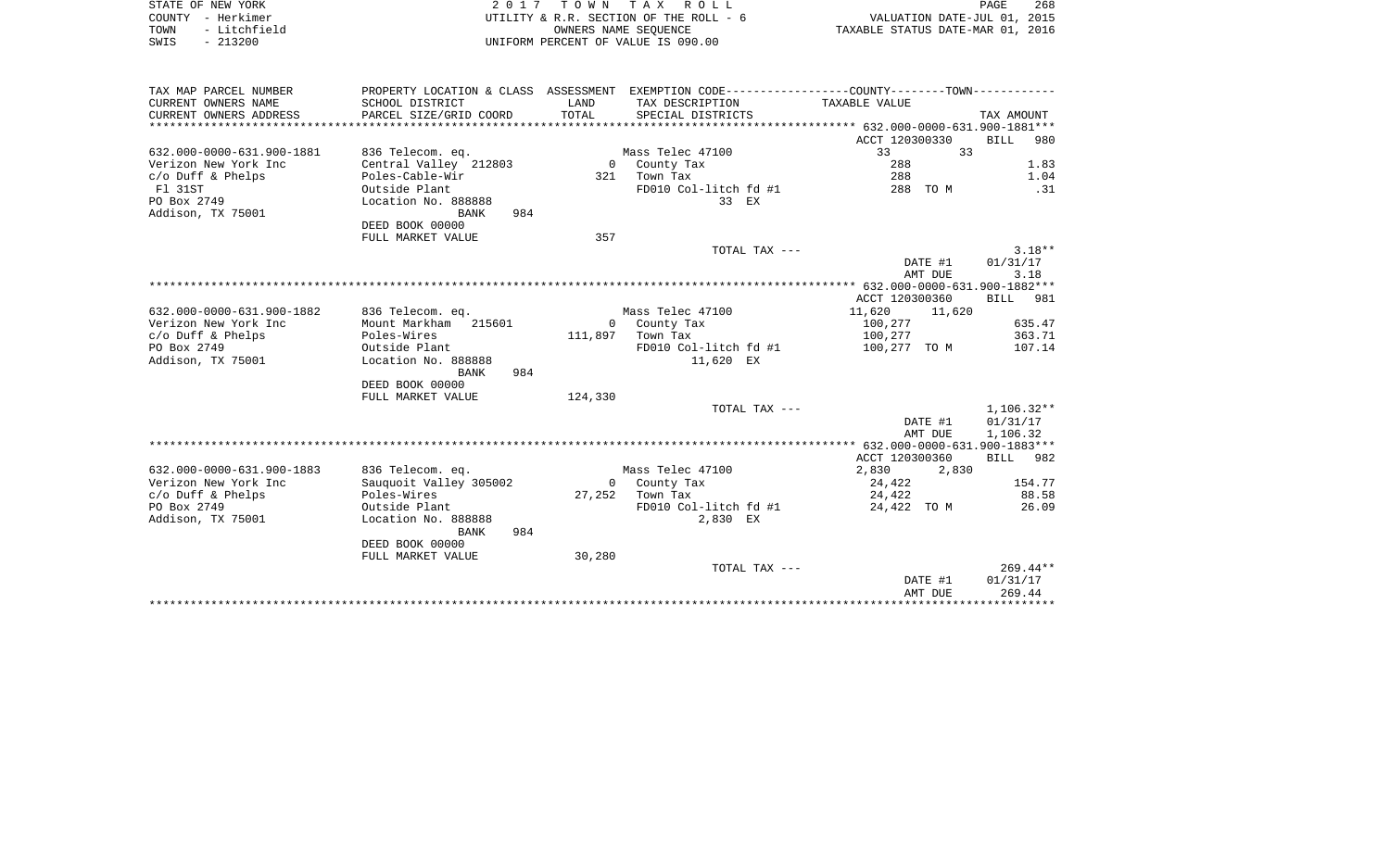| COUNTY - Herkimer<br>- Litchfield<br>TOWN<br>SWIS<br>$-213200$ |                                    |         | UTILITY & R.R. SECTION OF THE ROLL - 6<br>OWNERS NAME SEQUENCE<br>UNIFORM PERCENT OF VALUE IS 090.00 | VALUATION DATE-JUL 01, 2015<br>TAXABLE STATUS DATE-MAR 01, 2016 |                      |
|----------------------------------------------------------------|------------------------------------|---------|------------------------------------------------------------------------------------------------------|-----------------------------------------------------------------|----------------------|
| TAX MAP PARCEL NUMBER                                          |                                    |         | PROPERTY LOCATION & CLASS ASSESSMENT EXEMPTION CODE---------------COUNTY-------TOWN----------        |                                                                 |                      |
| CURRENT OWNERS NAME                                            | SCHOOL DISTRICT                    | LAND    | TAX DESCRIPTION                                                                                      | TAXABLE VALUE                                                   |                      |
| CURRENT OWNERS ADDRESS                                         | PARCEL SIZE/GRID COORD             | TOTAL   | SPECIAL DISTRICTS                                                                                    |                                                                 | TAX AMOUNT           |
|                                                                |                                    |         |                                                                                                      | ACCT 120300330                                                  | BILL<br>980          |
| 632.000-0000-631.900-1881                                      | 836 Telecom. eq.                   |         | Mass Telec 47100                                                                                     | 33<br>33                                                        |                      |
| Verizon New York Inc                                           | Central Valley 212803              |         | 0 County Tax                                                                                         | 288                                                             | 1.83                 |
| $c/O$ Duff & Phelps                                            | Poles-Cable-Wir                    | 321     | Town Tax                                                                                             | 288                                                             | 1.04                 |
| F1 31ST                                                        | Outside Plant                      |         | FD010 Col-litch fd #1                                                                                | 288 TO M                                                        | .31                  |
| PO Box 2749                                                    | Location No. 888888                |         | 33 EX                                                                                                |                                                                 |                      |
| Addison, TX 75001                                              | 984<br><b>BANK</b>                 |         |                                                                                                      |                                                                 |                      |
|                                                                | DEED BOOK 00000                    |         |                                                                                                      |                                                                 |                      |
|                                                                | FULL MARKET VALUE                  | 357     |                                                                                                      |                                                                 |                      |
|                                                                |                                    |         | TOTAL TAX ---                                                                                        |                                                                 | $3.18**$             |
|                                                                |                                    |         |                                                                                                      | DATE #1                                                         | 01/31/17             |
|                                                                |                                    |         |                                                                                                      | AMT DUE                                                         | 3.18                 |
|                                                                |                                    |         |                                                                                                      |                                                                 |                      |
|                                                                |                                    |         |                                                                                                      | ACCT 120300360                                                  | BILL 981             |
| 632.000-0000-631.900-1882                                      | 836 Telecom. eq.                   |         | Mass Telec 47100                                                                                     | 11,620<br>11,620                                                |                      |
| Verizon New York Inc                                           | Mount Markham 215601               |         | 0 County Tax                                                                                         | 100,277                                                         | 635.47               |
| $c/O$ Duff & Phelps                                            | Poles-Wires                        | 111,897 | Town Tax                                                                                             | 100,277                                                         | 363.71               |
| PO Box 2749                                                    | Outside Plant                      |         | FD010 Col-litch fd #1                                                                                | 100,277 TO M                                                    | 107.14               |
| Addison, TX 75001                                              | Location No. 888888<br>984<br>BANK |         | 11,620 EX                                                                                            |                                                                 |                      |
|                                                                | DEED BOOK 00000                    |         |                                                                                                      |                                                                 |                      |
|                                                                | FULL MARKET VALUE                  | 124,330 |                                                                                                      |                                                                 |                      |
|                                                                |                                    |         | TOTAL TAX ---                                                                                        |                                                                 | $1,106.32**$         |
|                                                                |                                    |         |                                                                                                      | DATE #1<br>AMT DUE                                              | 01/31/17<br>1,106.32 |
|                                                                |                                    |         |                                                                                                      |                                                                 |                      |
|                                                                |                                    |         |                                                                                                      | ACCT 120300360                                                  | BILL 982             |
| 632.000-0000-631.900-1883                                      | 836 Telecom. eq.                   |         | Mass Telec 47100                                                                                     | 2,830<br>2,830                                                  |                      |
| Verizon New York Inc                                           | Sauguoit Valley 305002             |         | 0 County Tax                                                                                         | 24,422                                                          | 154.77               |
| $c/O$ Duff & Phelps                                            | Poles-Wires                        | 27,252  | Town Tax                                                                                             | 24,422                                                          | 88.58                |
| PO Box 2749                                                    | Outside Plant                      |         | FD010 Col-litch fd #1                                                                                | 24,422 TO M                                                     | 26.09                |
| Addison, TX 75001                                              | Location No. 888888<br>984<br>BANK |         | 2,830 EX                                                                                             |                                                                 |                      |
|                                                                | DEED BOOK 00000                    |         |                                                                                                      |                                                                 |                      |
|                                                                | FULL MARKET VALUE                  | 30,280  |                                                                                                      |                                                                 |                      |
|                                                                |                                    |         | TOTAL TAX ---                                                                                        |                                                                 | $269.44**$           |
|                                                                |                                    |         |                                                                                                      | DATE #1                                                         | 01/31/17             |
|                                                                |                                    |         |                                                                                                      | AMT DUE                                                         | 269.44               |
|                                                                |                                    |         |                                                                                                      |                                                                 |                      |

PAGE 268

STATE OF NEW YORK **EXECUTE:**  $2017$  TOWN TAX ROLL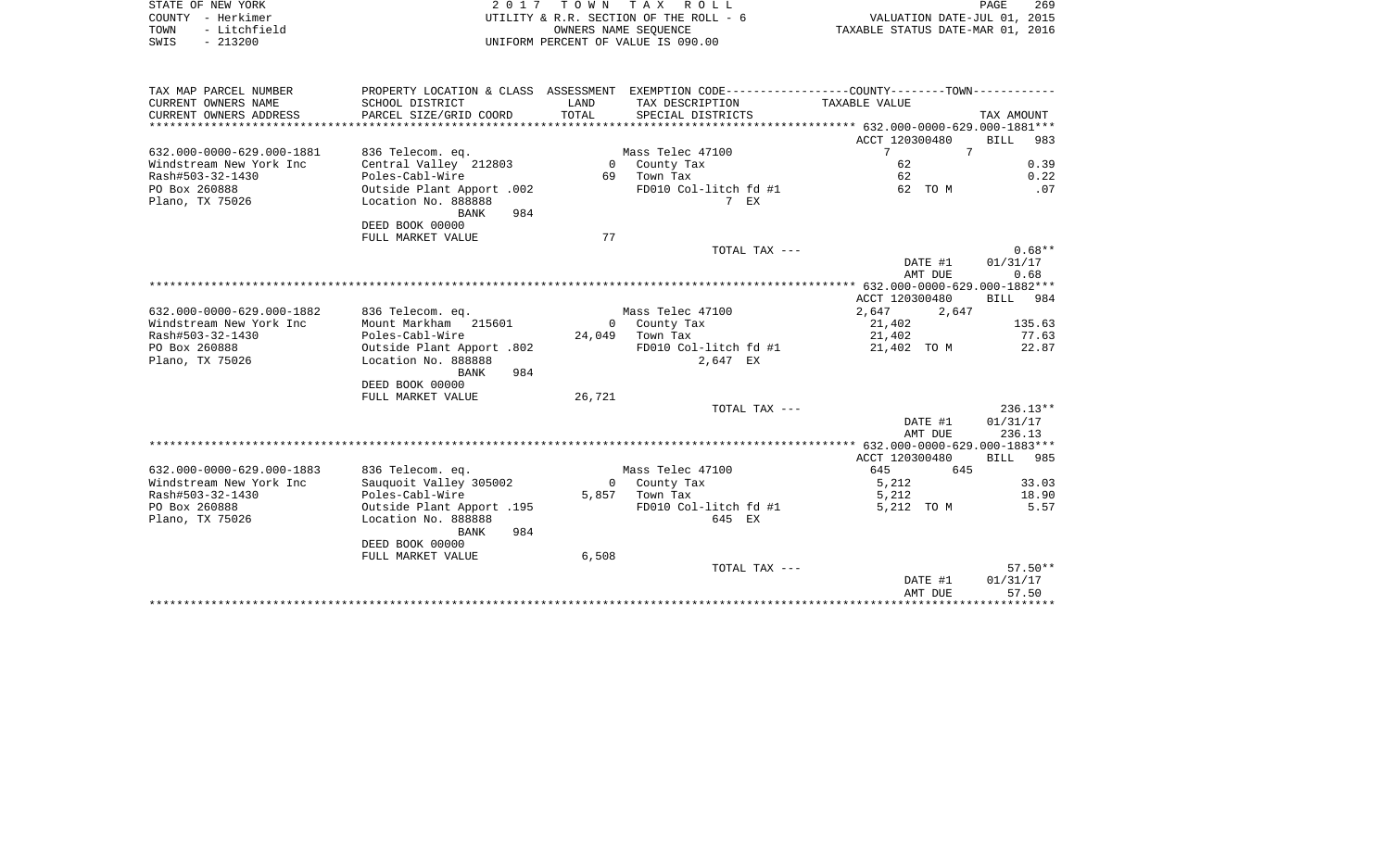| STATE OF NEW YORK<br>COUNTY - Herkimer<br>- Litchfield<br>TOWN<br>$-213200$<br>SWIS |                                           | 2017 TOWN | TAX ROLL<br>UTILITY & R.R. SECTION OF THE ROLL - 6<br>OWNERS NAME SEOUENCE<br>UNIFORM PERCENT OF VALUE IS 090.00 | TAXABLE STATUS DATE-MAR 01, 2016 | PAGE<br>269<br>VALUATION DATE-JUL 01, 2015 |
|-------------------------------------------------------------------------------------|-------------------------------------------|-----------|------------------------------------------------------------------------------------------------------------------|----------------------------------|--------------------------------------------|
| TAX MAP PARCEL NUMBER                                                               |                                           |           | PROPERTY LOCATION & CLASS ASSESSMENT EXEMPTION CODE---------------COUNTY-------TOWN---------                     |                                  |                                            |
| CURRENT OWNERS NAME                                                                 | SCHOOL DISTRICT                           | LAND      | TAX DESCRIPTION                                                                                                  | TAXABLE VALUE                    |                                            |
| CURRENT OWNERS ADDRESS<br>***************************                               | PARCEL SIZE/GRID COORD                    | TOTAL     | SPECIAL DISTRICTS                                                                                                |                                  | TAX AMOUNT                                 |
|                                                                                     |                                           |           |                                                                                                                  |                                  |                                            |
|                                                                                     |                                           |           |                                                                                                                  | ACCT 120300480<br>$7^{\circ}$    | <b>BILL</b><br>983<br>$7\phantom{.0}$      |
| 632.000-0000-629.000-1881<br>Windstream New York Inc                                | 836 Telecom. eq.<br>Central Valley 212803 |           | Mass Telec 47100<br>0 County Tax                                                                                 | 62                               | 0.39                                       |
| Rash#503-32-1430                                                                    | Poles-Cabl-Wire                           | 69 —      | Town Tax                                                                                                         | 62                               | 0.22                                       |
| PO Box 260888                                                                       | 002. Outside Plant Apport                 |           | FD010 Col-litch fd #1                                                                                            | 62 TO M                          | .07                                        |
| Plano, TX 75026                                                                     | Location No. 888888                       |           | $7$ EX                                                                                                           |                                  |                                            |
|                                                                                     | BANK<br>984                               |           |                                                                                                                  |                                  |                                            |
|                                                                                     | DEED BOOK 00000                           |           |                                                                                                                  |                                  |                                            |
|                                                                                     | FULL MARKET VALUE                         | 77        |                                                                                                                  |                                  |                                            |
|                                                                                     |                                           |           | TOTAL TAX ---                                                                                                    |                                  | $0.68**$                                   |
|                                                                                     |                                           |           |                                                                                                                  | DATE #1                          | 01/31/17                                   |
|                                                                                     |                                           |           |                                                                                                                  | AMT DUE                          | 0.68                                       |
|                                                                                     |                                           |           |                                                                                                                  |                                  |                                            |
|                                                                                     |                                           |           |                                                                                                                  | ACCT 120300480                   | <b>BILL</b><br>984                         |
| 632.000-0000-629.000-1882                                                           | 836 Telecom. eq.                          |           | Mass Telec 47100                                                                                                 | 2,647                            | 2,647                                      |
| Windstream New York Inc                                                             | Mount Markham 215601                      |           | 0 County Tax                                                                                                     | 21,402                           | 135.63                                     |
| Rash#503-32-1430                                                                    | Poles-Cabl-Wire                           | 24,049    | Town Tax                                                                                                         | 21,402                           | 77.63                                      |
| PO Box 260888                                                                       | 0utside Plant Apport .802                 |           | FD010 Col-litch fd #1                                                                                            | 21,402 TO M                      | 22.87                                      |
| Plano, TX 75026                                                                     | Location No. 888888                       |           | 2,647 EX                                                                                                         |                                  |                                            |
|                                                                                     | BANK<br>984                               |           |                                                                                                                  |                                  |                                            |
|                                                                                     | DEED BOOK 00000                           |           |                                                                                                                  |                                  |                                            |
|                                                                                     | FULL MARKET VALUE                         | 26,721    |                                                                                                                  |                                  |                                            |
|                                                                                     |                                           |           | TOTAL TAX ---                                                                                                    |                                  | $236.13**$                                 |
|                                                                                     |                                           |           |                                                                                                                  | DATE #1<br>AMT DUE               | 01/31/17<br>236.13                         |
|                                                                                     |                                           |           |                                                                                                                  |                                  |                                            |
|                                                                                     |                                           |           |                                                                                                                  | ACCT 120300480                   | <b>BILL</b><br>985                         |
| 632.000-0000-629.000-1883                                                           | 836 Telecom. eq.                          |           | Mass Telec 47100                                                                                                 | 645                              | 645                                        |
| Windstream New York Inc                                                             | Sauquoit Valley 305002                    |           | 0 County Tax                                                                                                     | 5,212                            | 33.03                                      |
| Rash#503-32-1430                                                                    | Poles-Cabl-Wire                           | 5,857     | Town Tax                                                                                                         | 5,212                            | 18.90                                      |
| PO Box 260888                                                                       | Outside Plant Apport .195                 |           | FD010 Col-litch fd #1                                                                                            | 5,212 TO M                       | 5.57                                       |
| Plano, TX 75026                                                                     | Location No. 888888                       |           | 645 EX                                                                                                           |                                  |                                            |
|                                                                                     | 984<br>BANK                               |           |                                                                                                                  |                                  |                                            |
|                                                                                     | DEED BOOK 00000                           |           |                                                                                                                  |                                  |                                            |
|                                                                                     | FULL MARKET VALUE                         | 6,508     |                                                                                                                  |                                  |                                            |
|                                                                                     |                                           |           | TOTAL TAX ---                                                                                                    |                                  | $57.50**$                                  |
|                                                                                     |                                           |           |                                                                                                                  | DATE #1                          | 01/31/17                                   |
|                                                                                     |                                           |           |                                                                                                                  | AMT DUE                          | 57.50                                      |
|                                                                                     |                                           |           |                                                                                                                  |                                  | ***********                                |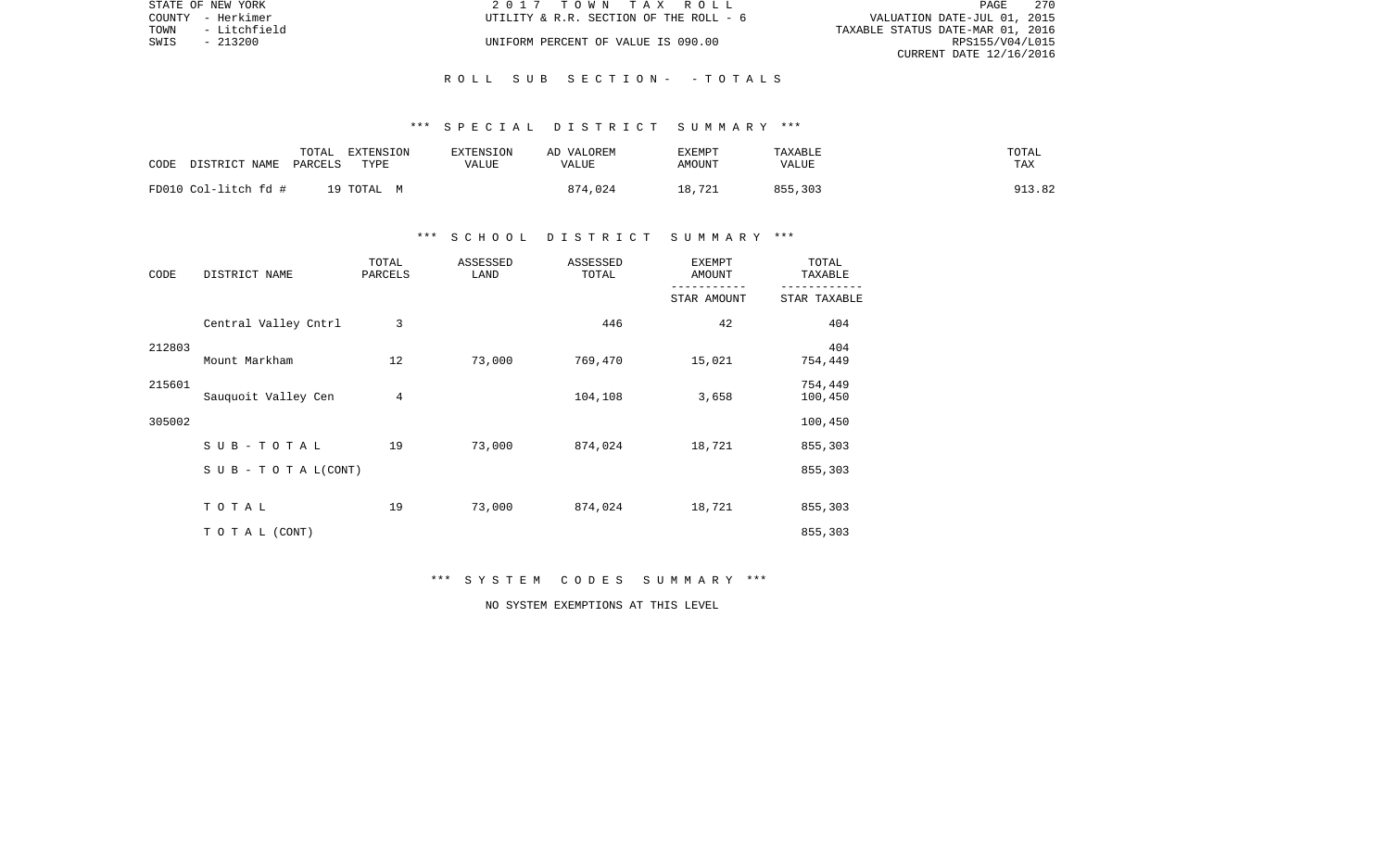| STATE OF NEW YORK    | 2017 TOWN TAX ROLL                     | 2.70<br>PAGE                     |
|----------------------|----------------------------------------|----------------------------------|
| COUNTY - Herkimer    | UTILITY & R.R. SECTION OF THE ROLL - 6 | VALUATION DATE-JUL 01, 2015      |
| - Litchfield<br>TOWN |                                        | TAXABLE STATUS DATE-MAR 01, 2016 |
| SWIS<br>- 213200     | UNIFORM PERCENT OF VALUE IS 090.00     | RPS155/V04/L015                  |
|                      |                                        | CURRENT DATE 12/16/2016          |

#### R O L L S U B S E C T I O N - - T O T A L S

#### \*\*\* S P E C I A L D I S T R I C T S U M M A R Y \*\*\*

| CODE                 | DISTRICT NAME | TOTAL<br>PARCELS | EXTENSION<br>TYPE | EXTENSION<br>VALUE | AD VALOREM<br>VALUE | <b>EXEMPT</b><br>AMOUNT | TAXABLE<br>VALUE | TOTAL<br>TAX |
|----------------------|---------------|------------------|-------------------|--------------------|---------------------|-------------------------|------------------|--------------|
| FD010 Col-litch fd # |               |                  | 19 TOTAL M        |                    | 874,024             | 18,721                  | 855,303          | 913.82       |

### \*\*\* S C H O O L D I S T R I C T S U M M A R Y \*\*\*

| CODE   | DISTRICT NAME                    | TOTAL<br>PARCELS | ASSESSED<br>LAND | ASSESSED<br>TOTAL | <b>EXEMPT</b><br>AMOUNT | TOTAL<br>TAXABLE   |
|--------|----------------------------------|------------------|------------------|-------------------|-------------------------|--------------------|
|        |                                  |                  |                  |                   | STAR AMOUNT             | STAR TAXABLE       |
|        | Central Valley Cntrl             | 3                |                  | 446               | 42                      | 404                |
| 212803 | Mount Markham                    | 12               | 73,000           | 769,470           | 15,021                  | 404<br>754,449     |
| 215601 | Sauquoit Valley Cen              | 4                |                  | 104,108           | 3,658                   | 754,449<br>100,450 |
| 305002 |                                  |                  |                  |                   |                         | 100,450            |
|        | SUB-TOTAL                        | 19               | 73,000           | 874,024           | 18,721                  | 855,303            |
|        | $S \cup B - T \cup T A L (CONT)$ |                  |                  |                   |                         | 855,303            |
|        | TOTAL                            | 19               | 73,000           | 874,024           | 18,721                  | 855,303            |
|        | TO TAL (CONT)                    |                  |                  |                   |                         | 855,303            |

### \*\*\* S Y S T E M C O D E S S U M M A R Y \*\*\*

NO SYSTEM EXEMPTIONS AT THIS LEVEL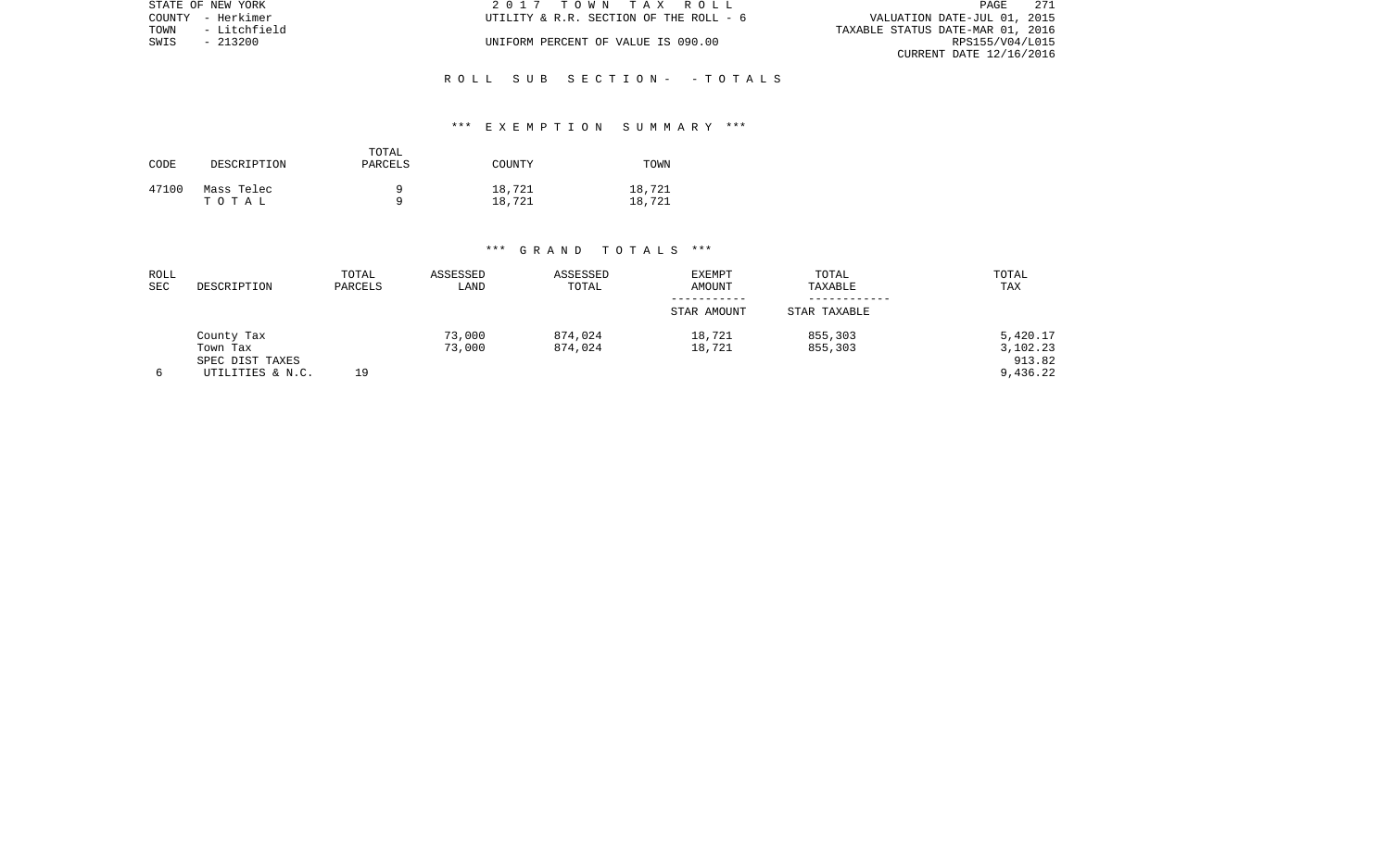| STATE OF NEW YORK |              | 2017 TOWN TAX ROLL                     |                                  | PAGE            | $27^{\circ}$ |
|-------------------|--------------|----------------------------------------|----------------------------------|-----------------|--------------|
| COUNTY - Herkimer |              | UTILITY & R.R. SECTION OF THE ROLL - 6 | VALUATION DATE-JUL 01, 2015      |                 |              |
| TOWN              | - Litchfield |                                        | TAXABLE STATUS DATE-MAR 01, 2016 |                 |              |
| SWIS              | $-213200$    | UNIFORM PERCENT OF VALUE IS 090.00     |                                  | RPS155/V04/L015 |              |
|                   |              |                                        | CURRENT DATE 12/16/2016          |                 |              |

#### R O L L S U B S E C T I O N - - T O T A L S

### \*\*\* E X E M P T I O N S U M M A R Y \*\*\*

| CODE  | DESCRIPTION         | TOTAL<br>PARCELS | COUNTY           | TOWN             |
|-------|---------------------|------------------|------------------|------------------|
| 47100 | Mass Telec<br>тотаь |                  | 18,721<br>18,721 | 18,721<br>18,721 |

| ROLL<br>SEC | DESCRIPTION                         | TOTAL<br>PARCELS | ASSESSED<br>LAND | ASSESSED<br>TOTAL  | <b>EXEMPT</b><br>AMOUNT | TOTAL<br>TAXABLE   | TOTAL<br>TAX         |
|-------------|-------------------------------------|------------------|------------------|--------------------|-------------------------|--------------------|----------------------|
|             |                                     |                  |                  |                    | STAR AMOUNT             | STAR TAXABLE       |                      |
|             | County Tax<br>Town Tax              |                  | 73,000<br>73,000 | 874,024<br>874,024 | 18,721<br>18,721        | 855,303<br>855,303 | 5,420.17<br>3,102.23 |
|             | SPEC DIST TAXES<br>UTILITIES & N.C. | 19               |                  |                    |                         |                    | 913.82<br>9,436.22   |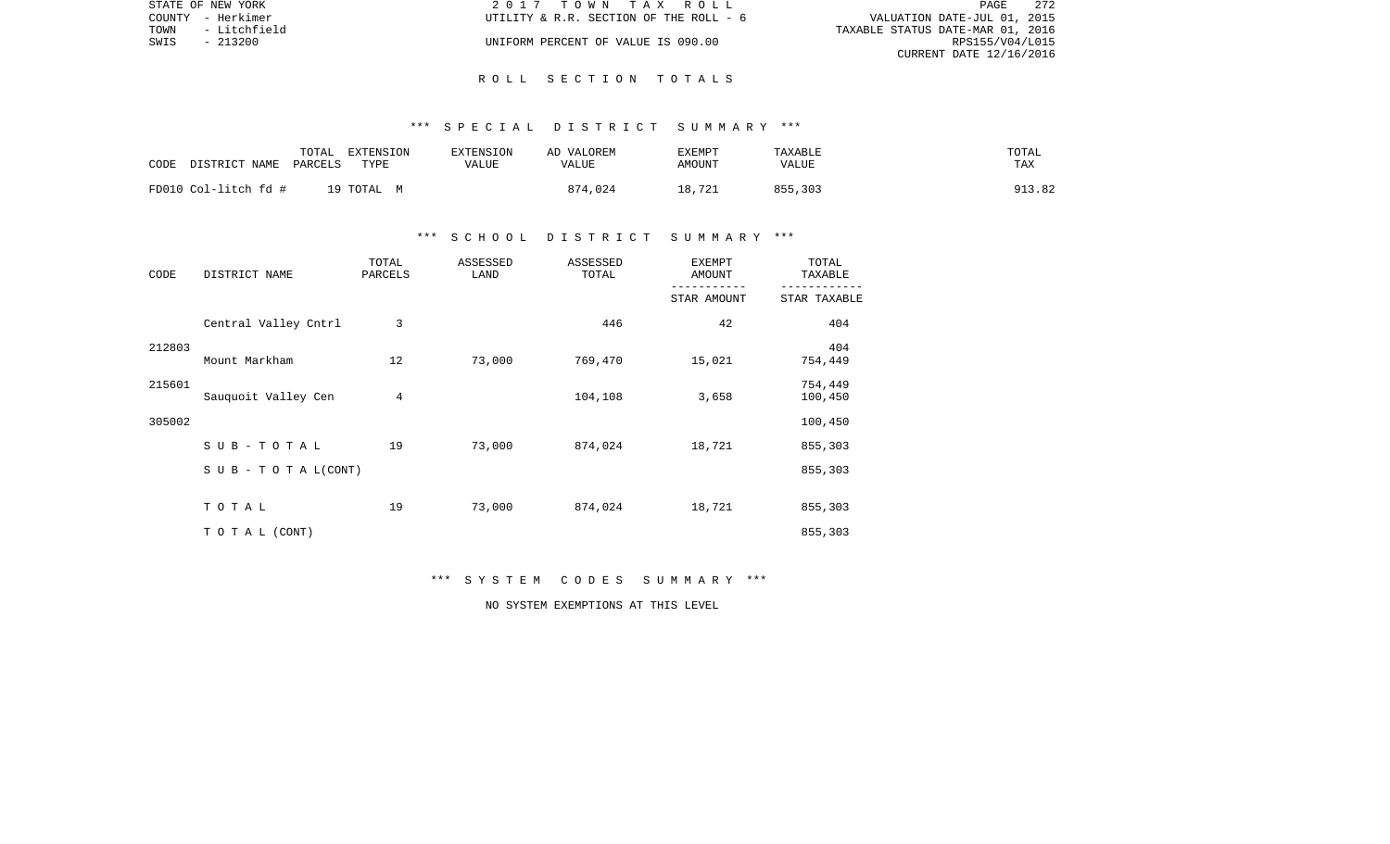| STATE OF NEW YORK    | 2017 TOWN TAX ROLL                     | - 272<br>PAGE                    |
|----------------------|----------------------------------------|----------------------------------|
| COUNTY - Herkimer    | UTILITY & R.R. SECTION OF THE ROLL - 6 | VALUATION DATE-JUL 01, 2015      |
| - Litchfield<br>TOWN |                                        | TAXABLE STATUS DATE-MAR 01, 2016 |
| SWIS<br>$-213200$    | UNIFORM PERCENT OF VALUE IS 090.00     | RPS155/V04/L015                  |
|                      |                                        | CURRENT DATE 12/16/2016          |

#### R O L L S E C T I O N T O T A L S

#### \*\*\* S P E C I A L D I S T R I C T S U M M A R Y \*\*\*

| CODE<br>DISTRICT NAME | TOTAL<br>EXTENSION<br>PARCELS<br>TYPE | EXTENSION<br>VALUE | AD VALOREM<br>VALUE | <b>EXEMPT</b><br>AMOUNT | TAXABLE<br>VALUE | TOTAL<br>TAX |
|-----------------------|---------------------------------------|--------------------|---------------------|-------------------------|------------------|--------------|
| FD010 Col-litch fd #  | 19 TOTAL M                            |                    | 874,024             | 18,721                  | 855,303          | 913.82       |

### \*\*\* S C H O O L D I S T R I C T S U M M A R Y \*\*\*

| CODE   | DISTRICT NAME        | TOTAL<br>PARCELS | ASSESSED<br>LAND | ASSESSED<br>TOTAL | <b>EXEMPT</b><br>AMOUNT | TOTAL<br>TAXABLE   |
|--------|----------------------|------------------|------------------|-------------------|-------------------------|--------------------|
|        |                      |                  |                  |                   | STAR AMOUNT             | STAR TAXABLE       |
|        | Central Valley Cntrl | 3                |                  | 446               | 42                      | 404                |
| 212803 | Mount Markham        | 12               | 73,000           | 769,470           | 15,021                  | 404<br>754,449     |
| 215601 | Sauquoit Valley Cen  | $\overline{4}$   |                  | 104,108           | 3,658                   | 754,449<br>100,450 |
| 305002 |                      |                  |                  |                   |                         | 100,450            |
|        | SUB-TOTAL            | 19               | 73,000           | 874,024           | 18,721                  | 855,303            |
|        | SUB - TO TAL(CONT)   |                  |                  |                   |                         | 855,303            |
|        | TOTAL                | 19               | 73,000           | 874,024           | 18,721                  | 855,303            |
|        | TO TAL (CONT)        |                  |                  |                   |                         | 855,303            |

### \*\*\* S Y S T E M C O D E S S U M M A R Y \*\*\*

NO SYSTEM EXEMPTIONS AT THIS LEVEL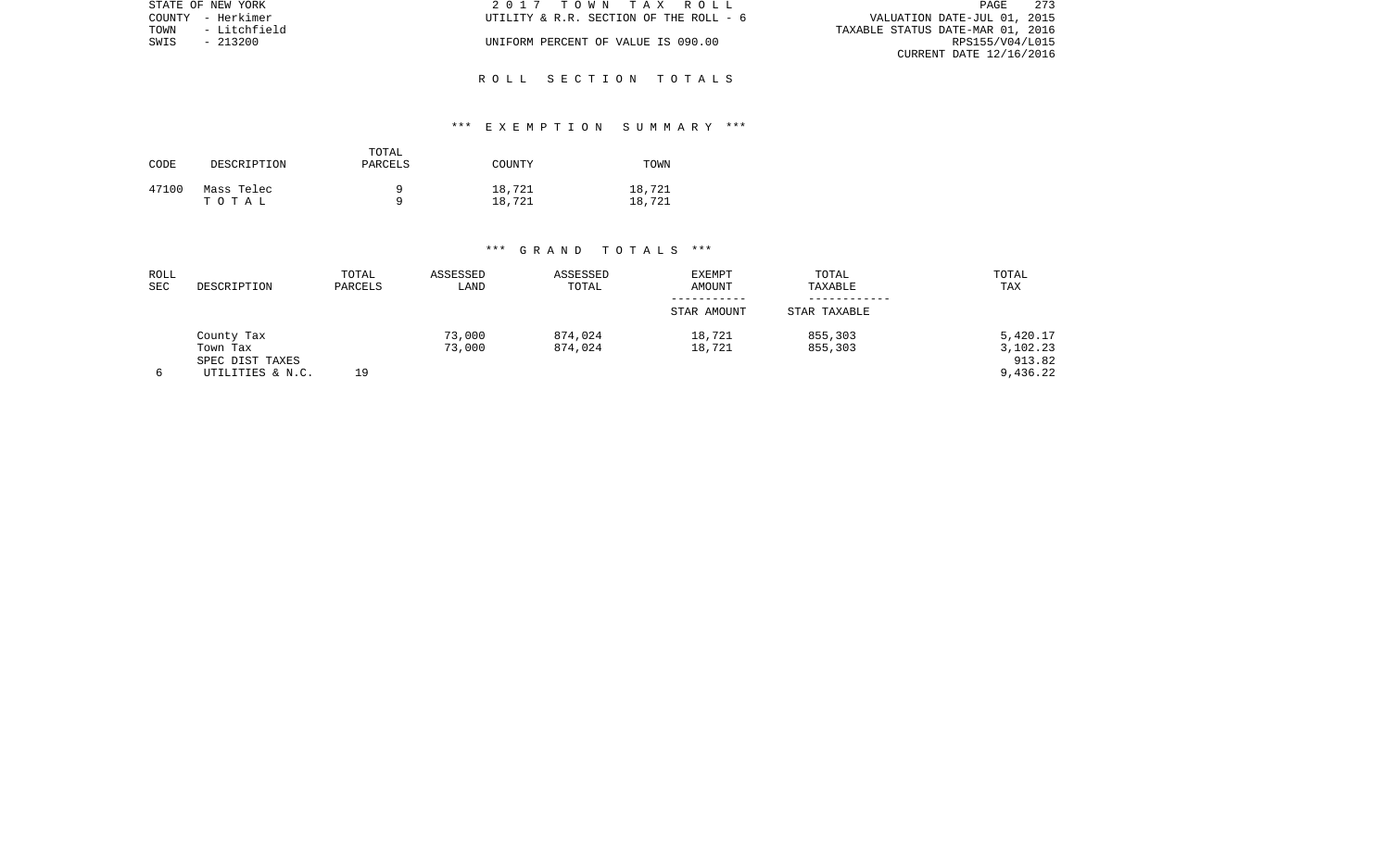|      | STATE OF NEW YORK | 2017 TOWN TAX ROLL                     | 273<br>PAGE                      |
|------|-------------------|----------------------------------------|----------------------------------|
|      | COUNTY - Herkimer | UTILITY & R.R. SECTION OF THE ROLL - 6 | VALUATION DATE-JUL 01, 2015      |
| TOWN | - Litchfield      |                                        | TAXABLE STATUS DATE-MAR 01, 2016 |
| SWIS | - 213200          | UNIFORM PERCENT OF VALUE IS 090.00     | RPS155/V04/L015                  |
|      |                   |                                        | CURRENT DATE 12/16/2016          |

#### R O L L S E C T I O N T O T A L S

### \*\*\* E X E M P T I O N S U M M A R Y \*\*\*

| CODE  | DESCRIPTION         | TOTAL<br>PARCELS | COUNTY           | TOWN             |
|-------|---------------------|------------------|------------------|------------------|
| 47100 | Mass Telec<br>тотаь |                  | 18,721<br>18,721 | 18,721<br>18,721 |

| ROLL<br>SEC | DESCRIPTION                                                   | TOTAL<br>PARCELS | ASSESSED<br>LAND | ASSESSED<br>TOTAL  | <b>EXEMPT</b><br>AMOUNT | TOTAL<br>TAXABLE   | TOTAL<br>TAX                               |
|-------------|---------------------------------------------------------------|------------------|------------------|--------------------|-------------------------|--------------------|--------------------------------------------|
|             |                                                               |                  |                  |                    | STAR AMOUNT             | STAR TAXABLE       |                                            |
| 6           | County Tax<br>Town Tax<br>SPEC DIST TAXES<br>UTILITIES & N.C. | 19               | 73,000<br>73,000 | 874,024<br>874,024 | 18,721<br>18,721        | 855,303<br>855,303 | 5,420.17<br>3,102.23<br>913.82<br>9,436.22 |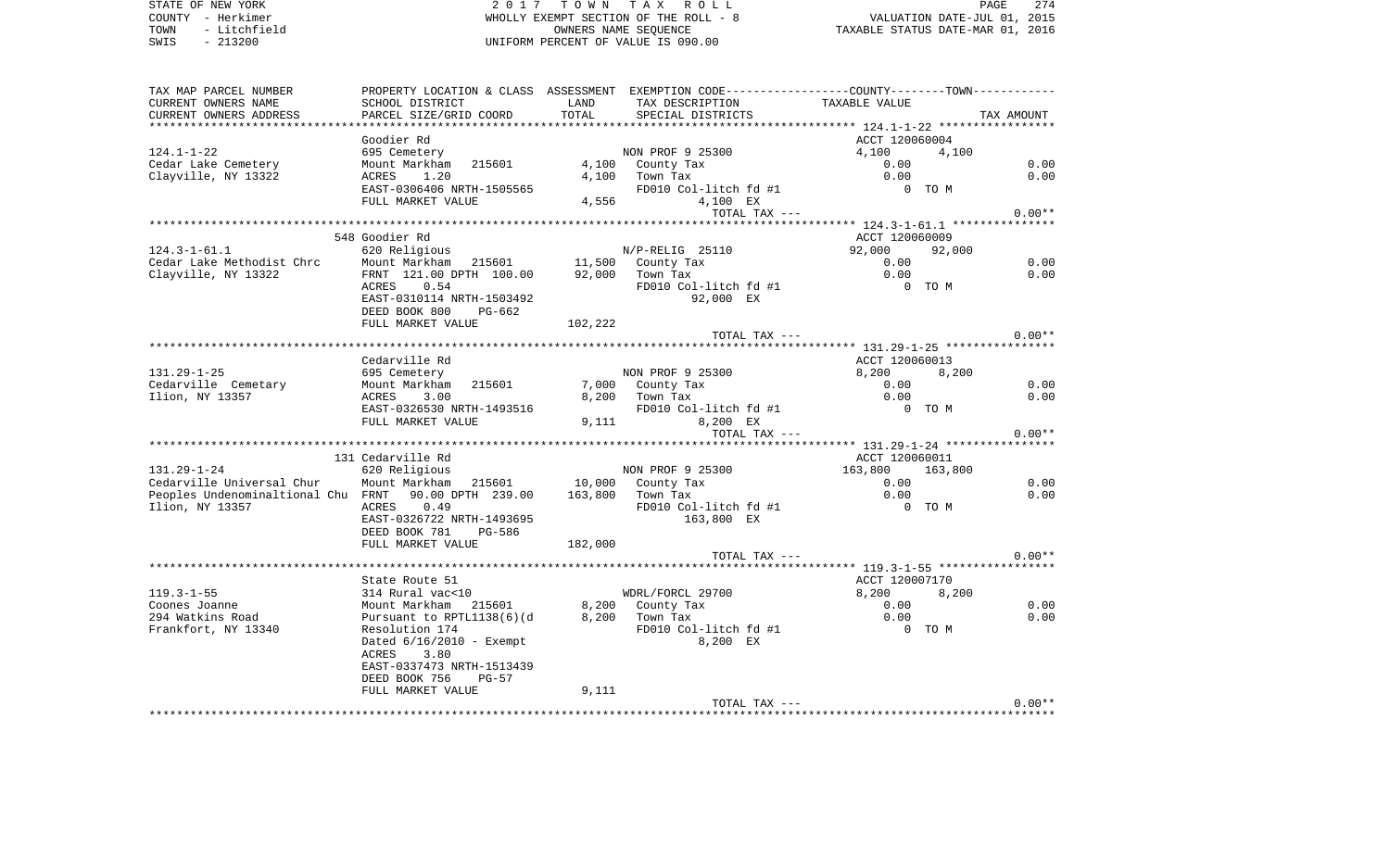SWIS - 213200 UNIFORM PERCENT OF VALUE IS 090.00

STATE OF NEW YORK **EXECUTE:**  $2017$  TOWN TAX ROLL COUNTY - Herkimer **WHOLLY EXEMPT SECTION OF THE ROLL - 8** VALUATION DATE-JUL 01, 2015 TOWN - Litchfield COMERS NAME SEQUENCE TAXABLE STATUS DATE-MAR 01, 2016<br>TRIS - 213200

PAGE 274

| TAX MAP PARCEL NUMBER              |                                        |                 |                          | PROPERTY LOCATION & CLASS ASSESSMENT EXEMPTION CODE----------------COUNTY-------TOWN- |            |
|------------------------------------|----------------------------------------|-----------------|--------------------------|---------------------------------------------------------------------------------------|------------|
| CURRENT OWNERS NAME                | SCHOOL DISTRICT                        | LAND            | TAX DESCRIPTION          | TAXABLE VALUE                                                                         |            |
| CURRENT OWNERS ADDRESS             | PARCEL SIZE/GRID COORD                 | TOTAL           | SPECIAL DISTRICTS        |                                                                                       | TAX AMOUNT |
|                                    |                                        |                 |                          |                                                                                       |            |
|                                    | Goodier Rd                             |                 |                          | ACCT 120060004                                                                        |            |
| $124.1 - 1 - 22$                   | 695 Cemetery                           |                 | NON PROF 9 25300         | 4,100<br>4,100                                                                        |            |
| Cedar Lake Cemetery                | Mount Markham 215601                   |                 | 4,100 County Tax         | 0.00                                                                                  | 0.00       |
| Clayville, NY 13322                | 1.20<br>ACRES                          |                 | 4,100 Town Tax           | 0.00                                                                                  | 0.00       |
|                                    | EAST-0306406 NRTH-1505565              |                 | FD010 Col-litch fd #1    | 0 TO M                                                                                |            |
|                                    | FULL MARKET VALUE                      | 4,556           | 4,100 EX                 |                                                                                       |            |
|                                    |                                        |                 |                          |                                                                                       |            |
|                                    |                                        |                 | TOTAL TAX ---            |                                                                                       | $0.00**$   |
|                                    |                                        |                 |                          |                                                                                       |            |
|                                    | 548 Goodier Rd                         |                 |                          | ACCT 120060009                                                                        |            |
| $124.3 - 1 - 61.1$                 | 620 Religious                          |                 | N/P-RELIG 25110          | 92,000<br>92,000                                                                      |            |
| Cedar Lake Methodist Chrc          | Mount Markham 215601 11,500 County Tax |                 |                          | 0.00                                                                                  | 0.00       |
| Clayville, NY 13322                | FRNT 121.00 DPTH 100.00                | 92,000 Town Tax |                          | 0.00                                                                                  | 0.00       |
|                                    | 0.54<br>ACRES                          |                 | FD010 Col-litch fd #1    | 0 TO M                                                                                |            |
|                                    | EAST-0310114 NRTH-1503492              |                 | 92,000 EX                |                                                                                       |            |
|                                    | DEED BOOK 800<br>PG-662                |                 |                          |                                                                                       |            |
|                                    | FULL MARKET VALUE                      | 102,222         |                          |                                                                                       |            |
|                                    |                                        |                 | TOTAL TAX ---            |                                                                                       | $0.00**$   |
|                                    |                                        |                 |                          |                                                                                       |            |
|                                    | Cedarville Rd                          |                 |                          | ACCT 120060013                                                                        |            |
|                                    |                                        |                 | NON PROF 9 25300         | 8,200                                                                                 |            |
| $131.29 - 1 - 25$                  | 695 Cemetery                           |                 |                          | 8,200                                                                                 |            |
| Cedarville Cemetary                | Mount Markham<br>215601                |                 | 7,000 County Tax         | 0.00                                                                                  | 0.00       |
| Ilion, NY 13357                    | ACRES<br>3.00                          |                 | 8,200 Town Tax           | 0.00                                                                                  | 0.00       |
|                                    | EAST-0326530 NRTH-1493516              |                 | FD010 Col-litch fd #1    | 0 TO M                                                                                |            |
|                                    | FULL MARKET VALUE                      | 9,111           | 8,200 EX                 |                                                                                       |            |
|                                    |                                        |                 | TOTAL TAX ---            |                                                                                       | $0.00**$   |
|                                    |                                        |                 |                          |                                                                                       |            |
|                                    | 131 Cedarville Rd                      |                 |                          | ACCT 120060011                                                                        |            |
| $131.29 - 1 - 24$                  | 620 Religious                          |                 | NON PROF 9 25300         | 163,800<br>163,800                                                                    |            |
| Cedarville Universal Chur          | Mount Markham                          |                 | 215601 10,000 County Tax | 0.00                                                                                  | 0.00       |
| Peoples Undenominaltional Chu FRNT | 90.00 DPTH 239.00                      |                 | 163,800 Town Tax         | 0.00                                                                                  | 0.00       |
| Ilion, NY 13357                    | ACRES<br>0.49                          |                 | FD010 Col-litch fd #1    | $0$ TOM                                                                               |            |
|                                    | EAST-0326722 NRTH-1493695              |                 | 163,800 EX               |                                                                                       |            |
|                                    | DEED BOOK 781<br>PG-586                |                 |                          |                                                                                       |            |
|                                    | FULL MARKET VALUE                      | 182,000         |                          |                                                                                       |            |
|                                    |                                        |                 | TOTAL TAX ---            |                                                                                       | $0.00**$   |
|                                    |                                        |                 |                          |                                                                                       |            |
|                                    |                                        |                 |                          |                                                                                       |            |
|                                    | State Route 51                         |                 |                          | ACCT 120007170                                                                        |            |
| $119.3 - 1 - 55$                   | 314 Rural vac<10                       |                 | WDRL/FORCL 29700         | 8,200<br>8,200                                                                        |            |
| Coones Joanne                      | Mount Markham 215601                   |                 | 8,200 County Tax         | 0.00                                                                                  | 0.00       |
| 294 Watkins Road                   | Pursuant to RPTL1138(6)(d              | 8,200 Town Tax  |                          | 0.00                                                                                  | 0.00       |
| Frankfort, NY 13340                | Resolution 174                         |                 | FD010 Col-litch fd #1    | 0 TO M                                                                                |            |
|                                    | Dated $6/16/2010$ - Exempt             |                 | 8,200 EX                 |                                                                                       |            |
|                                    | 3.80<br>ACRES                          |                 |                          |                                                                                       |            |
|                                    | EAST-0337473 NRTH-1513439              |                 |                          |                                                                                       |            |
|                                    | DEED BOOK 756<br>PG-57                 |                 |                          |                                                                                       |            |
|                                    | FULL MARKET VALUE                      | 9,111           |                          |                                                                                       |            |
|                                    |                                        |                 | TOTAL TAX ---            |                                                                                       | $0.00**$   |
|                                    |                                        |                 |                          |                                                                                       |            |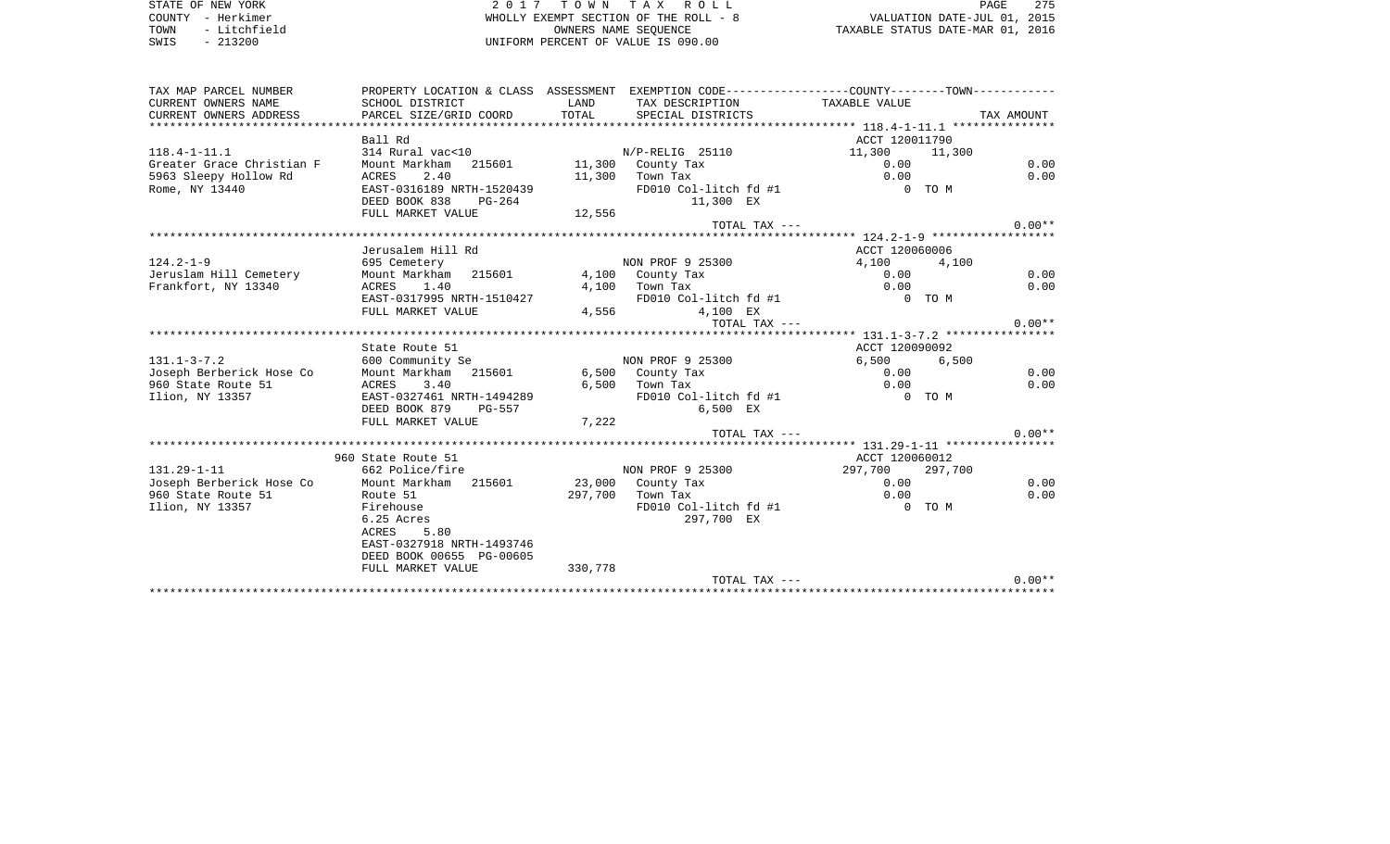| STATE OF NEW YORK    | 2017 TOWN TAX ROLL                    | 275<br>PAGE                      |
|----------------------|---------------------------------------|----------------------------------|
| COUNTY - Herkimer    | WHOLLY EXEMPT SECTION OF THE ROLL - 8 | VALUATION DATE-JUL 01, 2015      |
| - Litchfield<br>TOWN | OWNERS NAME SEOUENCE                  | TAXABLE STATUS DATE-MAR 01, 2016 |
| SWIS<br>- 213200     | UNIFORM PERCENT OF VALUE IS 090.00    |                                  |

| TAX MAP PARCEL NUMBER     | PROPERTY LOCATION & CLASS ASSESSMENT EXEMPTION CODE----------------COUNTY-------TOWN---------- |         |                       |                          |         |            |
|---------------------------|------------------------------------------------------------------------------------------------|---------|-----------------------|--------------------------|---------|------------|
| CURRENT OWNERS NAME       | SCHOOL DISTRICT                                                                                | LAND    | TAX DESCRIPTION       | TAXABLE VALUE            |         |            |
| CURRENT OWNERS ADDRESS    | PARCEL SIZE/GRID COORD                                                                         | TOTAL   | SPECIAL DISTRICTS     |                          |         | TAX AMOUNT |
|                           |                                                                                                |         |                       |                          |         |            |
| $118.4 - 1 - 11.1$        | Ball Rd<br>314 Rural vac<10                                                                    |         | N/P-RELIG 25110       | ACCT 120011790<br>11,300 |         |            |
| Greater Grace Christian F | Mount Markham<br>215601                                                                        |         | 11,300 County Tax     | 0.00                     | 11,300  | 0.00       |
| 5963 Sleepy Hollow Rd     | 2.40<br>ACRES                                                                                  | 11,300  | Town Tax              | 0.00                     |         | 0.00       |
| Rome, NY 13440            | EAST-0316189 NRTH-1520439                                                                      |         | FD010 Col-litch fd #1 | $0$ TOM                  |         |            |
|                           | DEED BOOK 838<br>$PG-264$                                                                      |         | 11,300 EX             |                          |         |            |
|                           | FULL MARKET VALUE                                                                              | 12,556  |                       |                          |         |            |
|                           |                                                                                                |         | TOTAL TAX ---         |                          |         | $0.00**$   |
|                           |                                                                                                |         |                       |                          |         |            |
|                           | Jerusalem Hill Rd                                                                              |         |                       | ACCT 120060006           |         |            |
| $124.2 - 1 - 9$           | 695 Cemetery                                                                                   |         | NON PROF 9 25300      | 4,100                    | 4,100   |            |
| Jeruslam Hill Cemetery    | Mount Markham 215601                                                                           |         | 4,100 County Tax      | 0.00                     |         | 0.00       |
| Frankfort, NY 13340       | ACRES<br>1.40                                                                                  | 4,100   | Town Tax              | 0.00                     |         | 0.00       |
|                           | EAST-0317995 NRTH-1510427                                                                      |         | FD010 Col-litch fd #1 | O TOM                    |         |            |
|                           | FULL MARKET VALUE                                                                              | 4,556   | 4,100 EX              |                          |         |            |
|                           |                                                                                                |         | TOTAL TAX ---         |                          |         | $0.00**$   |
|                           |                                                                                                |         |                       |                          |         |            |
|                           | State Route 51                                                                                 |         |                       | ACCT 120090092           |         |            |
| $131.1 - 3 - 7.2$         | 600 Community Se                                                                               |         | NON PROF 9 25300      | 6,500                    | 6,500   |            |
| Joseph Berberick Hose Co  | Mount Markham 215601                                                                           |         | 6,500 County Tax      | 0.00                     |         | 0.00       |
| 960 State Route 51        | ACRES<br>3.40                                                                                  |         | $6,500$ Town Tax      | 0.00                     |         | 0.00       |
| Ilion, NY 13357           | EAST-0327461 NRTH-1494289                                                                      |         | FD010 Col-litch fd #1 | 0 TO M                   |         |            |
|                           | DEED BOOK 879<br>PG-557                                                                        |         | 6,500 EX              |                          |         |            |
|                           | FULL MARKET VALUE                                                                              | 7,222   | TOTAL TAX ---         |                          |         | $0.00**$   |
|                           |                                                                                                |         |                       |                          |         |            |
|                           | 960 State Route 51                                                                             |         |                       | ACCT 120060012           |         |            |
| $131.29 - 1 - 11$         | 662 Police/fire                                                                                |         | NON PROF 9 25300      | 297,700                  | 297,700 |            |
| Joseph Berberick Hose Co  | Mount Markham 215601                                                                           |         | 23,000 County Tax     | 0.00                     |         | 0.00       |
| 960 State Route 51        | Route 51                                                                                       |         | 297,700 Town Tax      | 0.00                     |         | 0.00       |
| Ilion, NY 13357           | Firehouse                                                                                      |         | FD010 Col-litch fd #1 |                          | 0 TO M  |            |
|                           | 6.25 Acres                                                                                     |         | 297,700 EX            |                          |         |            |
|                           | 5.80<br>ACRES                                                                                  |         |                       |                          |         |            |
|                           | EAST-0327918 NRTH-1493746                                                                      |         |                       |                          |         |            |
|                           | DEED BOOK 00655 PG-00605                                                                       |         |                       |                          |         |            |
|                           | FULL MARKET VALUE                                                                              | 330,778 |                       |                          |         |            |
|                           |                                                                                                |         | TOTAL TAX ---         |                          |         | $0.00**$   |
|                           |                                                                                                |         |                       |                          |         |            |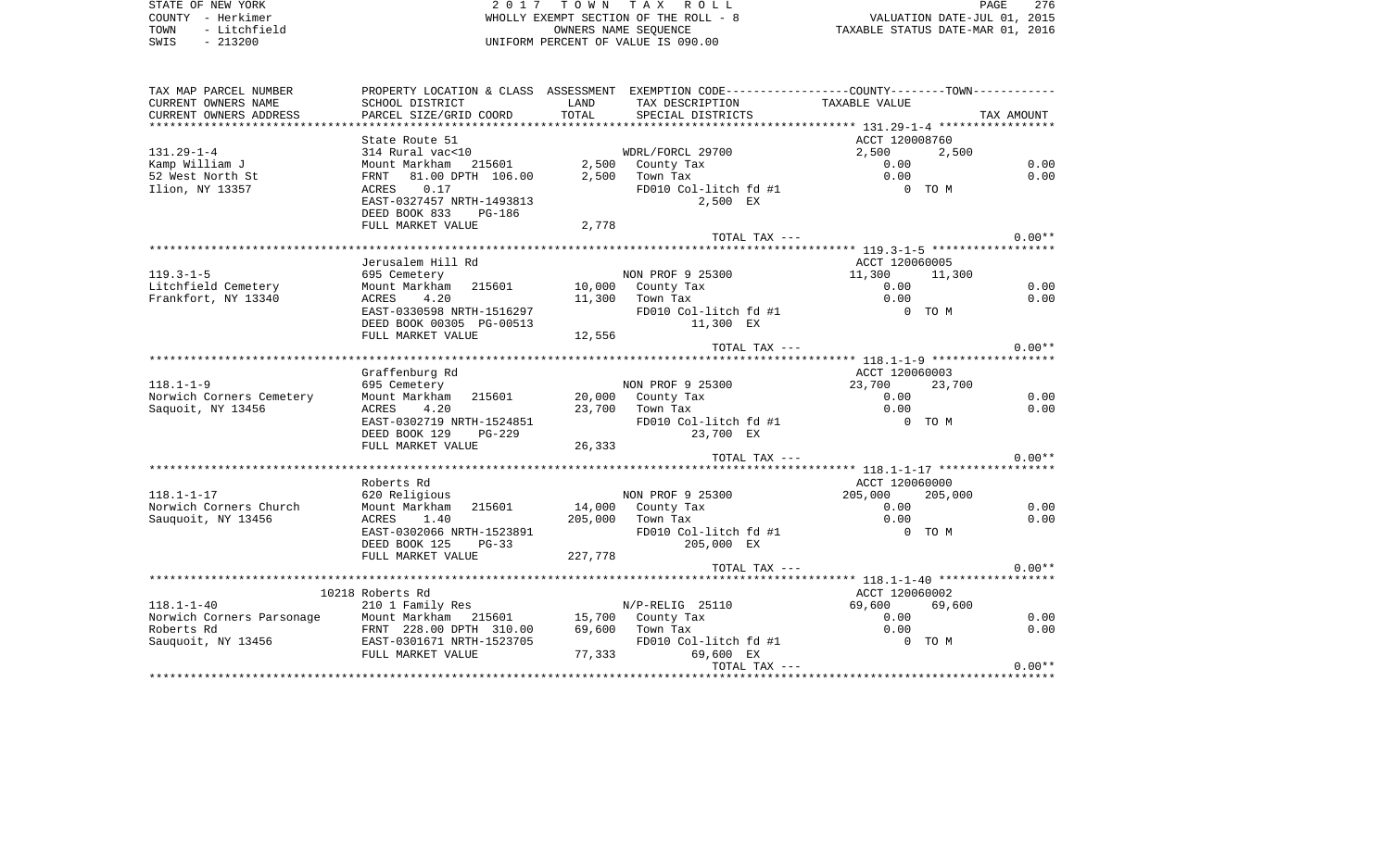STATE OF NEW YORK **EXECUTE:**  $2017$  TOWN TAX ROLL COUNTY - Herkimer WHOLLY EXEMPT SECTION OF THE ROLL - 8 VALUATION DATE-JUL 01, 2015 TOWN - Litchfield OWNERS NAME SEQUENCE TAXABLE STATUS DATE-MAR 01, 2016 SWIS - 213200 UNIFORM PERCENT OF VALUE IS 090.00

| TAX MAP PARCEL NUMBER                   |                                        |         |                       | PROPERTY LOCATION & CLASS ASSESSMENT EXEMPTION CODE---------------COUNTY-------TOWN---------- |            |
|-----------------------------------------|----------------------------------------|---------|-----------------------|-----------------------------------------------------------------------------------------------|------------|
| CURRENT OWNERS NAME                     | SCHOOL DISTRICT                        | LAND    | TAX DESCRIPTION       | TAXABLE VALUE                                                                                 |            |
| CURRENT OWNERS ADDRESS                  | PARCEL SIZE/GRID COORD                 | TOTAL   | SPECIAL DISTRICTS     |                                                                                               | TAX AMOUNT |
|                                         |                                        |         |                       |                                                                                               |            |
|                                         | State Route 51                         |         |                       | ACCT 120008760                                                                                |            |
| $131.29 - 1 - 4$                        | 314 Rural vac<10                       |         | WDRL/FORCL 29700      | 2,500<br>2,500                                                                                |            |
| Kamp William J                          | Mount Markham 215601                   |         | 2,500 County Tax      | 0.00                                                                                          | 0.00       |
| 52 West North St                        | 81.00 DPTH 106.00<br>FRNT              | 2,500   | Town Tax              | 0.00                                                                                          | 0.00       |
| Ilion, NY 13357                         | ACRES<br>0.17                          |         | FD010 Col-litch fd #1 | 0 TO M                                                                                        |            |
|                                         | EAST-0327457 NRTH-1493813              |         | 2,500 EX              |                                                                                               |            |
|                                         | DEED BOOK 833<br>PG-186                |         |                       |                                                                                               |            |
|                                         | FULL MARKET VALUE                      | 2,778   |                       |                                                                                               |            |
|                                         |                                        |         | TOTAL TAX ---         |                                                                                               | $0.00**$   |
|                                         |                                        |         |                       |                                                                                               |            |
|                                         | Jerusalem Hill Rd                      |         |                       | ACCT 120060005                                                                                |            |
| $119.3 - 1 - 5$                         | 695 Cemetery                           |         | NON PROF 9 25300      | 11,300<br>11,300                                                                              |            |
| Litchfield Cemetery                     | Mount Markham 215601 10,000 County Tax |         |                       | 0.00                                                                                          | 0.00       |
| Frankfort, NY 13340                     | ACRES<br>4.20                          |         | 11,300 Town Tax       | 0.00                                                                                          | 0.00       |
|                                         | EAST-0330598 NRTH-1516297              |         | FD010 Col-litch fd #1 | 0 TO M                                                                                        |            |
|                                         | DEED BOOK 00305 PG-00513               |         | 11,300 EX             |                                                                                               |            |
|                                         | FULL MARKET VALUE                      | 12,556  |                       |                                                                                               |            |
|                                         |                                        |         | TOTAL TAX ---         |                                                                                               | $0.00**$   |
|                                         |                                        |         |                       |                                                                                               |            |
|                                         | Graffenburg Rd                         |         |                       | ACCT 120060003                                                                                |            |
| $118.1 - 1 - 9$                         | 695 Cemetery                           |         | NON PROF 9 25300      | 23,700<br>23,700                                                                              |            |
| Norwich Corners Cemetery                | Mount Markham 215601 20,000 County Tax |         |                       | 0.00                                                                                          | 0.00       |
| Saquoit, NY 13456                       | ACRES<br>4.20                          |         | 23,700 Town Tax       | 0.00                                                                                          | 0.00       |
|                                         | EAST-0302719 NRTH-1524851              |         | FD010 Col-litch fd #1 | 0 TO M                                                                                        |            |
|                                         | DEED BOOK 129<br>PG-229                |         | 23,700 EX             |                                                                                               |            |
|                                         | FULL MARKET VALUE                      | 26,333  |                       |                                                                                               |            |
|                                         |                                        |         | TOTAL TAX ---         |                                                                                               | $0.00**$   |
|                                         |                                        |         |                       |                                                                                               |            |
|                                         | Roberts Rd                             |         |                       | ACCT 120060000                                                                                |            |
| $118.1 - 1 - 17$                        | 620 Religious                          |         | NON PROF 9 25300      | 205,000<br>205,000                                                                            |            |
| Norwich Corners Church                  | Mount Markham<br>215601                |         | 14,000 County Tax     | 0.00                                                                                          | 0.00       |
| Sauquoit, NY 13456                      | ACRES<br>1.40                          |         | 205,000 Town Tax      | 0.00                                                                                          | 0.00       |
|                                         | EAST-0302066 NRTH-1523891              |         | FD010 Col-litch fd #1 | $0$ TOM                                                                                       |            |
|                                         | DEED BOOK 125<br>$PG-33$               |         | 205,000 EX            |                                                                                               |            |
|                                         | FULL MARKET VALUE                      | 227,778 |                       |                                                                                               |            |
|                                         |                                        |         | TOTAL TAX ---         |                                                                                               | $0.00**$   |
|                                         |                                        |         |                       |                                                                                               |            |
|                                         | 10218 Roberts Rd                       |         |                       | ACCT 120060002                                                                                |            |
| $118.1 - 1 - 40$                        | 210 1 Family Res                       |         | $N/P-RELIG$ 25110     | 69,600<br>69,600                                                                              |            |
| Norwich Corners Parsonage<br>Roberts Rd | Mount Markham 215601 15,700 County Tax |         |                       | 0.00                                                                                          | 0.00       |
|                                         | FRNT 228.00 DPTH 310.00                |         | 69,600 Town Tax       | 0.00                                                                                          | 0.00       |
| Sauquoit, NY 13456                      | EAST-0301671 NRTH-1523705              |         | FD010 Col-litch fd #1 | $0$ TOM                                                                                       |            |
|                                         | FULL MARKET VALUE                      |         | 77,333 69,600 EX      |                                                                                               |            |
|                                         |                                        |         | TOTAL TAX ---         |                                                                                               | $0.00**$   |
|                                         |                                        |         |                       |                                                                                               |            |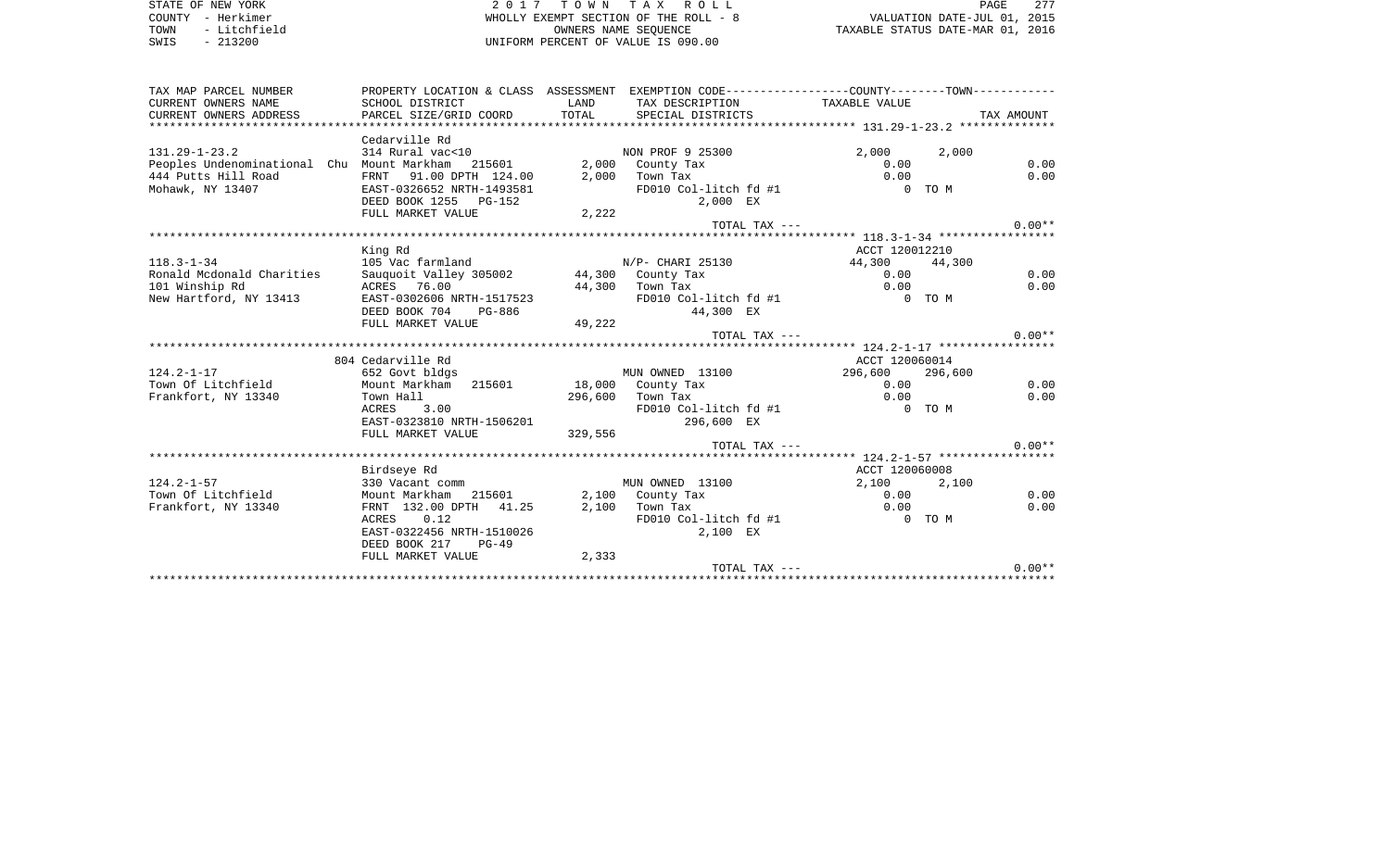| STATE OF NEW YORK |           |              |
|-------------------|-----------|--------------|
| COUNTY - Herkimer |           |              |
| TOWN              |           | - Litchfield |
| SWIS              | $-213200$ |              |

STATE OF NEW YORK 2 0 1 7 T O W N T A X R O L L PAGE 277WHOLLY EXEMPT SECTION OF THE ROLL - 8 SWIS - 213200 UNIFORM PERCENT OF VALUE IS 090.00

PAGE 277 EMPT SECTION OF THE ROLL - 8<br>
OWNERS NAME SEQUENCE TAXABLE STATUS DATE-MAR 01, 2016

| TAX MAP PARCEL NUMBER                                                          | PROPERTY LOCATION & CLASS ASSESSMENT EXEMPTION CODE---------------COUNTY--------TOWN---------- |                 |                               |                     |         |          |
|--------------------------------------------------------------------------------|------------------------------------------------------------------------------------------------|-----------------|-------------------------------|---------------------|---------|----------|
| CURRENT OWNERS NAME                                                            | SCHOOL DISTRICT                                                                                | LAND            | TAX DESCRIPTION TAXABLE VALUE |                     |         |          |
| CURRENT OWNERS ADDRESS                                                         |                                                                                                |                 |                               |                     |         |          |
|                                                                                |                                                                                                |                 |                               |                     |         |          |
|                                                                                | Cedarville Rd                                                                                  |                 |                               |                     |         |          |
| $131.29 - 1 - 23.2$                                                            | 314 Rural vac<10                                                                               |                 | NON PROF 9 25300              | 2,000 2,000         |         |          |
| Peoples Undenominational Chu Mount Markham 215601 2<br>444 Putte Hill Bood --- |                                                                                                |                 | 2,000 County Tax              | 0.00                |         | 0.00     |
| 444 Putts Hill Road                                                            | FRNT 91.00 DPTH 124.00                                                                         |                 | $2,000$ Town Tax              | 0.00                |         | 0.00     |
| Mohawk, NY 13407                                                               | EAST-0326652 NRTH-1493581                                                                      |                 | FD010 Col-litch fd #1         |                     | 0 TO M  |          |
|                                                                                | DEED BOOK 1255 PG-152                                                                          |                 | 2,000 EX                      |                     |         |          |
|                                                                                | FULL MARKET VALUE                                                                              | 2,222           |                               |                     |         |          |
|                                                                                |                                                                                                |                 | TOTAL TAX ---                 |                     |         | $0.00**$ |
|                                                                                |                                                                                                |                 |                               |                     |         |          |
|                                                                                | King Rd                                                                                        |                 |                               | ACCT 120012210      |         |          |
| $118.3 - 1 - 34$                                                               | 105 Vac farmland                                                                               |                 | N/P- CHARI 25130              | 44,300 44,300       |         |          |
| Ronald Mcdonald Charities                                                      | Sauquoit Valley 305002 44,300 County Tax                                                       |                 |                               | 0.00                |         | 0.00     |
| 101 Winship Rd                                                                 | ACRES 76.00                                                                                    | 44,300 Town Tax |                               | 0.00                |         | 0.00     |
| New Hartford, NY 13413                                                         | EAST-0302606 NRTH-1517523                                                                      |                 | FD010 Col-litch fd #1         | O TOM               |         |          |
|                                                                                | DEED BOOK 704 PG-886                                                                           |                 | 44,300 EX                     |                     |         |          |
|                                                                                | FULL MARKET VALUE                                                                              | 49,222          |                               |                     |         |          |
|                                                                                |                                                                                                |                 | TOTAL TAX ---                 |                     |         | $0.00**$ |
|                                                                                |                                                                                                |                 |                               |                     |         |          |
|                                                                                | 804 Cedarville Rd                                                                              |                 |                               | ACCT 120060014      |         |          |
| $124.2 - 1 - 17$                                                               | 652 Govt bldgs                                                                                 |                 | MUN OWNED 13100               | 296,600             | 296,600 |          |
| Town Of Litchfield                                                             | Mount Markham 215601                                                                           |                 | 18,000 County Tax             | 0.00                |         | 0.00     |
| Frankfort, NY 13340                                                            | Town Hall                                                                                      |                 | 296,600 Town Tax              | 0.00                |         | 0.00     |
|                                                                                | ACRES 3.00                                                                                     |                 | FD010 Col-litch fd #1         | $0$ TOM             |         |          |
|                                                                                | EAST-0323810 NRTH-1506201                                                                      |                 | 296,600 EX                    |                     |         |          |
|                                                                                | FULL MARKET VALUE                                                                              | 329,556         |                               |                     |         |          |
|                                                                                |                                                                                                |                 | TOTAL TAX ---                 |                     |         | $0.00**$ |
|                                                                                | Birdseye Rd                                                                                    |                 |                               | ACCT 120060008      |         |          |
| $124.2 - 1 - 57$                                                               |                                                                                                |                 | MUN OWNED 13100               |                     |         |          |
| Town Of Litchfield                                                             | 330 Vacant comm<br>Mount Markham 215601                                                        |                 |                               | 2,100 2,100<br>0.00 |         | 0.00     |
|                                                                                | FRNT 132.00 DPTH 41.25                                                                         |                 | 2,100 County Tax<br>Town Tax  | 0.00                |         | 0.00     |
| Frankfort, NY 13340                                                            | 0.12                                                                                           | 2,100           | FD010 Col-litch fd #1         | 0 TO M              |         |          |
|                                                                                | ACRES<br>EAST-0322456 NRTH-1510026                                                             |                 |                               |                     |         |          |
|                                                                                | DEED BOOK 217<br>$PG-49$                                                                       |                 | 2,100 EX                      |                     |         |          |
|                                                                                | FULL MARKET VALUE                                                                              | 2,333           |                               |                     |         |          |
|                                                                                |                                                                                                |                 | TOTAL TAX ---                 |                     |         | $0.00**$ |
|                                                                                |                                                                                                |                 |                               |                     |         |          |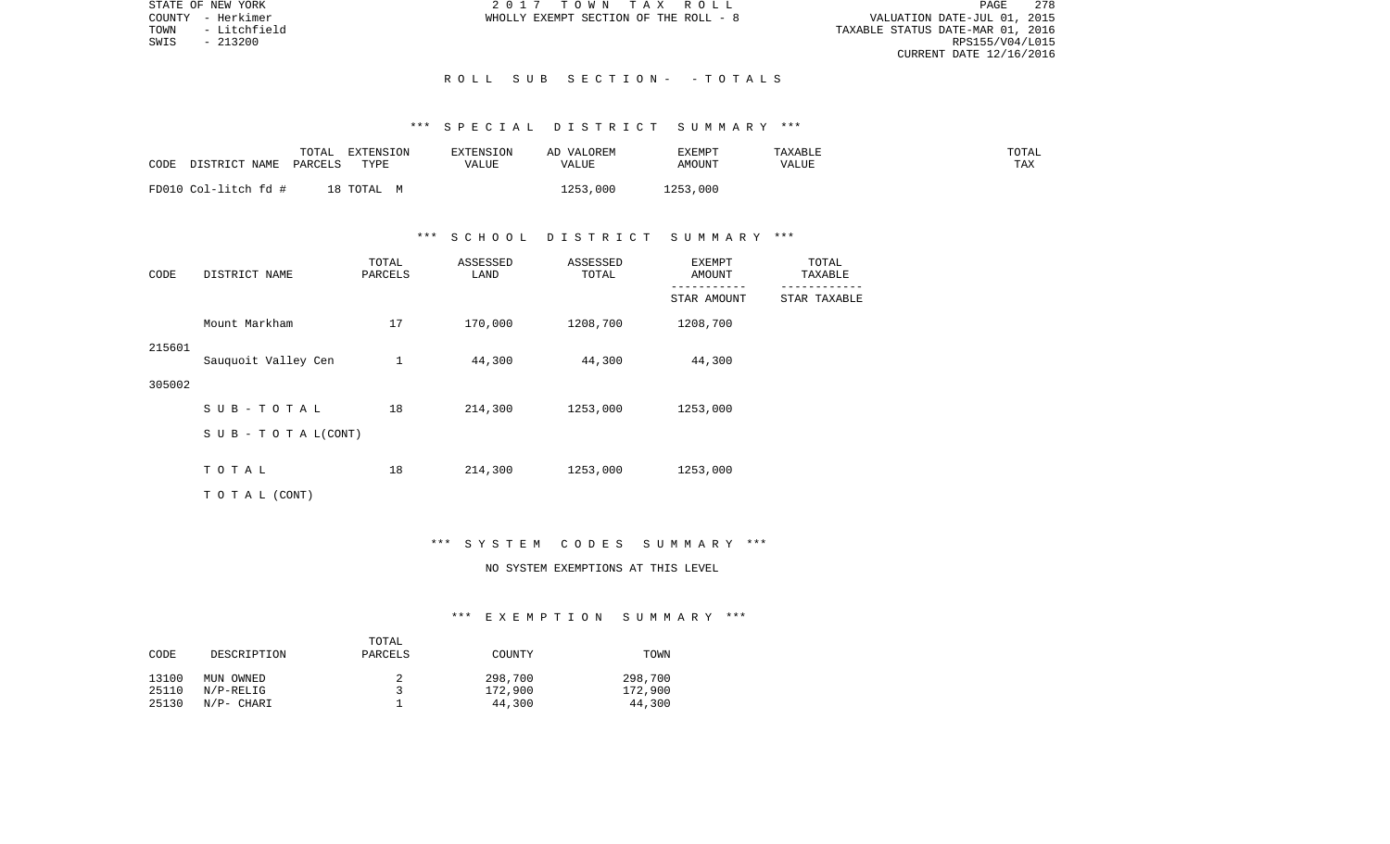STATE OF NEW YORK 2 0 1 7 T O W N T A X R O L L PAGE 278VALUATION DATE-JUL 01, 2015 TOWN - Litchfield TAXABLE STATUS DATE-MAR 01, 2016 RPS155/V04/L015 CURRENT DATE 12/16/2016

COUNTY - Herkimer WHOLLY EXEMPT SECTION OF THE ROLL - 8

#### R O L L S U B S E C T I O N - - T O T A L S

# \*\*\* S P E C I A L D I S T R I C T S U M M A R Y \*\*\*

| DISTRICT NAME<br>CODE | TOTAL<br>PARCELS | EXTENSION<br>TYPE | <b>EXTENSION</b><br>VALUE | VALOREM<br>AD.<br>VALUE | EXEMPT<br>AMOUNT | TAXABLE<br>VALUE | TOTAL<br><b>TAX</b> |
|-----------------------|------------------|-------------------|---------------------------|-------------------------|------------------|------------------|---------------------|
| FD010 Col-litch fd #  |                  | 18 TOTAL          |                           | 1253,000                | 1253,000         |                  |                     |

### \*\*\* S C H O O L D I S T R I C T S U M M A R Y \*\*\*

| CODE   | DISTRICT NAME       | TOTAL<br>PARCELS | ASSESSED<br>LAND | ASSESSED<br>TOTAL | EXEMPT<br>AMOUNT | TOTAL<br>TAXABLE |
|--------|---------------------|------------------|------------------|-------------------|------------------|------------------|
|        |                     |                  |                  |                   | STAR AMOUNT      | STAR TAXABLE     |
|        | Mount Markham       | 17               | 170,000          | 1208,700          | 1208,700         |                  |
| 215601 | Sauquoit Valley Cen | 1                | 44,300           | 44,300            | 44,300           |                  |
| 305002 |                     |                  |                  |                   |                  |                  |
|        | SUB-TOTAL           | 18               | 214,300          | 1253,000          | 1253,000         |                  |
|        | SUB - TO TAL(CONT)  |                  |                  |                   |                  |                  |
|        | TOTAL               | 18               | 214,300          | 1253,000          | 1253,000         |                  |
|        | T O T A L (CONT)    |                  |                  |                   |                  |                  |

#### \*\*\* S Y S T E M C O D E S S U M M A R Y \*\*\*

# NO SYSTEM EXEMPTIONS AT THIS LEVEL

#### \*\*\* E X E M P T I O N S U M M A R Y \*\*\*

|       |              | TOTAL   |         |         |
|-------|--------------|---------|---------|---------|
| CODE  | DESCRIPTION  | PARCELS | COUNTY  | TOWN    |
| 13100 | MUN OWNED    |         | 298,700 | 298,700 |
| 25110 | $N/P-RELLIG$ |         | 172,900 | 172,900 |
| 25130 | N/P- CHARI   |         | 44,300  | 44,300  |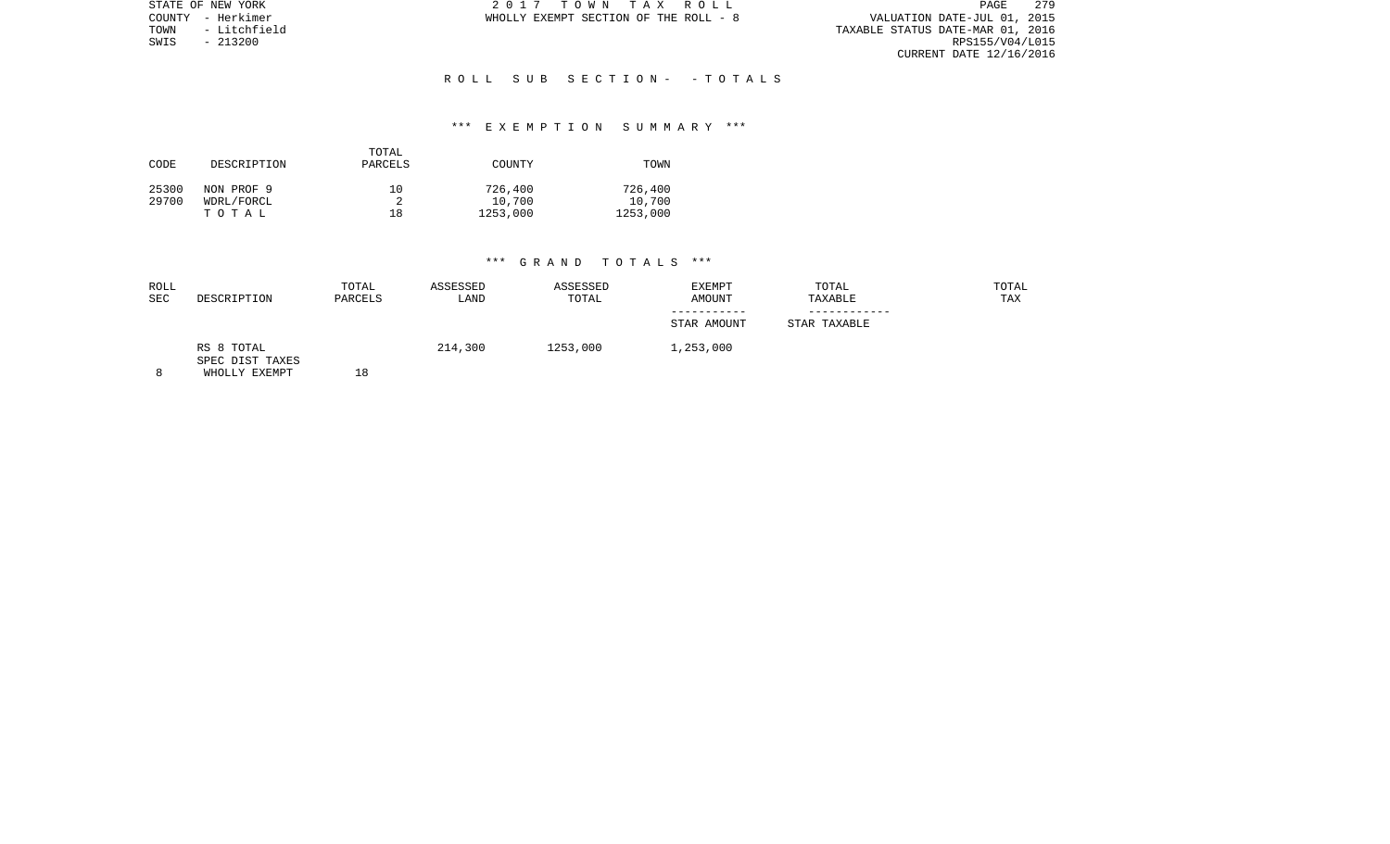PAGE 279 TOWN - Litchfield COUNTY - Herkimer (10.015)<br>TOWN - Litchfield (10.2015) WHOLLY EXEMPT SECTION OF THE ROLL - 8<br>SWIS - 213200 RPS155/V04/L015 CURRENT DATE 12/16/2016

STATE OF NEW YORK **2017** TOWN TAX ROLL COUNTY - Herkimer WHOLLY EXEMPT SECTION OF THE ROLL - 8

SWIS - 213200

### R O L L S U B S E C T I O N - - T O T A L S

#### \*\*\* E X E M P T I O N S U M M A R Y \*\*\*

| CODE  | DESCRIPTION | TOTAL<br>PARCELS | COUNTY   | TOWN     |
|-------|-------------|------------------|----------|----------|
| 25300 | NON PROF 9  | 10               | 726,400  | 726,400  |
| 29700 | WDRL/FORCL  | 2                | 10,700   | 10,700   |
|       | тотаь       | 18               | 1253,000 | 1253,000 |

| ROLL<br>SEC | DESCRIPTION                                    | TOTAL<br>PARCELS | ASSESSED<br>LAND | ASSESSED<br>TOTAL | EXEMPT<br><b>AMOUNT</b> | TOTAL<br>TAXABLE | TOTAL<br>TAX |
|-------------|------------------------------------------------|------------------|------------------|-------------------|-------------------------|------------------|--------------|
|             |                                                |                  |                  |                   | STAR AMOUNT             | STAR TAXABLE     |              |
| 8           | RS 8 TOTAL<br>SPEC DIST TAXES<br>WHOLLY EXEMPT | 18               | 214,300          | 1253,000          | 1,253,000               |                  |              |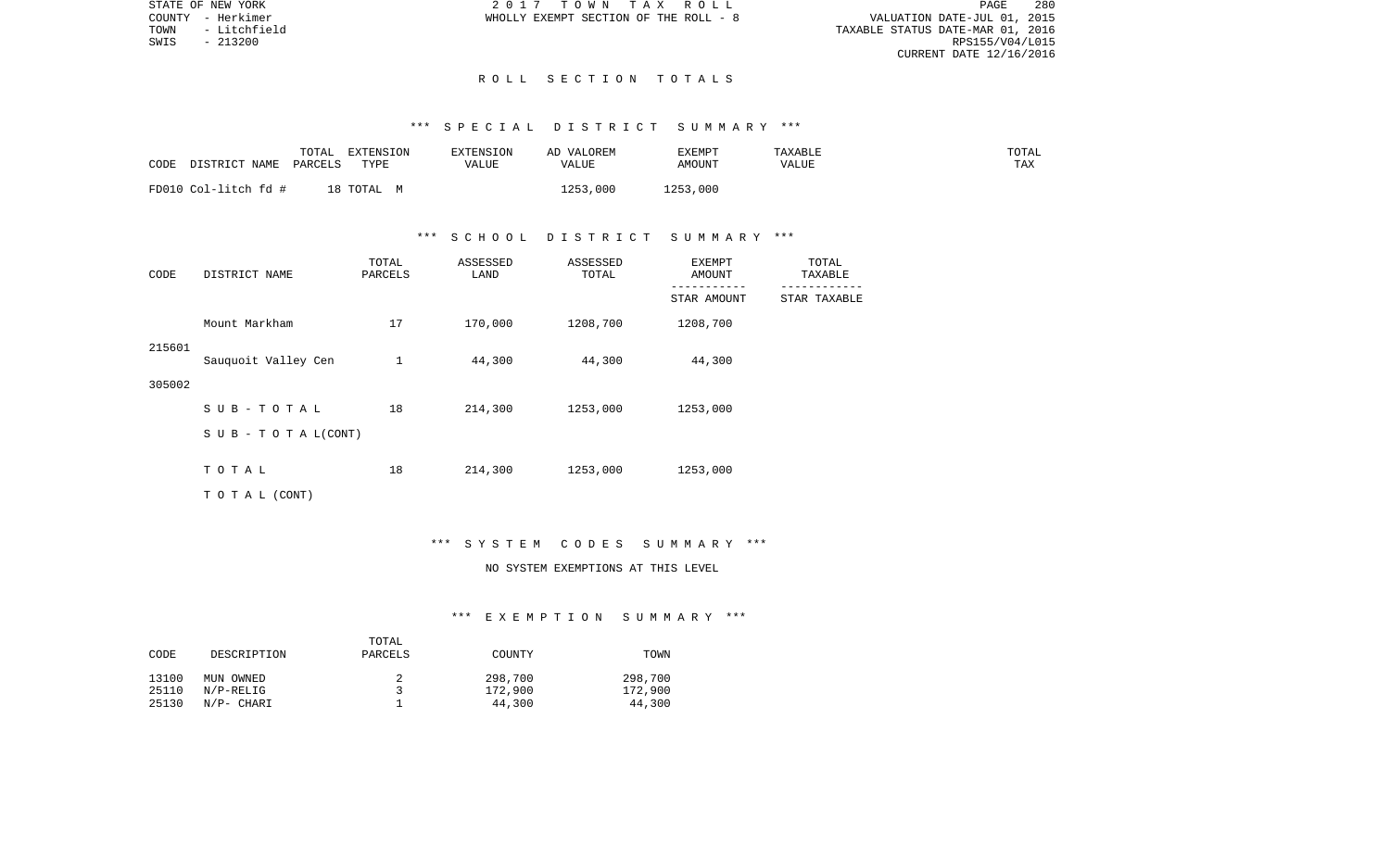VALUATION DATE-JUL 01, 2015 TOWN - Litchfield TAXABLE STATUS DATE-MAR 01, 2016 RPS155/V04/L015 CURRENT DATE 12/16/2016

STATE OF NEW YORK 2 0 1 7 T O W N T A X R O L L PAGE 280COUNTY - Herkimer WHOLLY EXEMPT SECTION OF THE ROLL - 8

#### R O L L S E C T I O N T O T A L S

# \*\*\* S P E C I A L D I S T R I C T S U M M A R Y \*\*\*

| CODE                 | TOTAL   | EXTENSION | EXTENSION | AD VALOREM | EXEMPT   | TAXABLE | TOTAL |
|----------------------|---------|-----------|-----------|------------|----------|---------|-------|
| DISTRICT NAME        | PARCELS | TYPR.     | VALUE     | VALUE      | AMOUNT   | VALUE   | TAX   |
| FD010 Col-litch fd # | 18      | TOTAL     |           | 1253,000   | 1253,000 |         |       |

### \*\*\* S C H O O L D I S T R I C T S U M M A R Y \*\*\*

| CODE<br>DISTRICT NAME |                           | TOTAL<br>PARCELS | ASSESSED<br>LAND | ASSESSED<br>TOTAL | EXEMPT<br>AMOUNT | TOTAL<br>TAXABLE |
|-----------------------|---------------------------|------------------|------------------|-------------------|------------------|------------------|
|                       |                           |                  |                  |                   | STAR AMOUNT      | STAR TAXABLE     |
|                       | Mount Markham             | 17               | 170,000          | 1208,700          | 1208,700         |                  |
| 215601                | Sauquoit Valley Cen       | $\mathbf 1$      | 44,300           | 44,300            | 44,300           |                  |
| 305002                |                           |                  |                  |                   |                  |                  |
|                       | $S$ U B - T O T A L       | 18               | 214,300          | 1253,000          | 1253,000         |                  |
|                       | S U B - T O T A $L(CONT)$ |                  |                  |                   |                  |                  |
|                       | TOTAL                     | 18               | 214,300          | 1253,000          | 1253,000         |                  |
|                       | T O T A L (CONT)          |                  |                  |                   |                  |                  |

#### \*\*\* S Y S T E M C O D E S S U M M A R Y \*\*\*

# NO SYSTEM EXEMPTIONS AT THIS LEVEL

#### \*\*\* E X E M P T I O N S U M M A R Y \*\*\*

|       |              | TOTAL   |         |         |
|-------|--------------|---------|---------|---------|
| CODE  | DESCRIPTION  | PARCELS | COUNTY  | TOWN    |
| 13100 | MUN OWNED    |         | 298,700 | 298,700 |
| 25110 | $N/P-RELLIG$ |         | 172,900 | 172,900 |
| 25130 | N/P- CHARI   |         | 44,300  | 44,300  |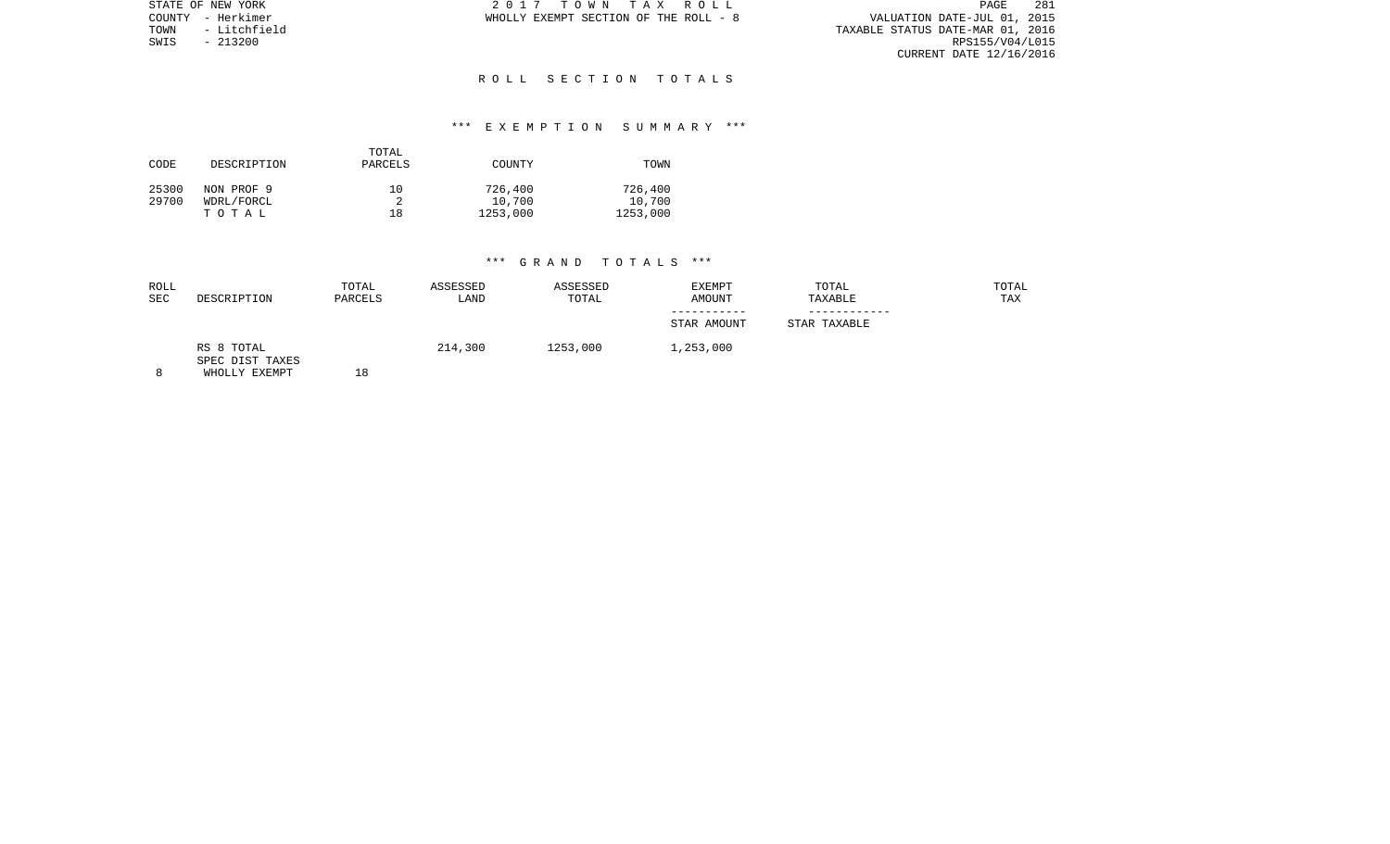|      | STATE OF NEW YORK | 2017 TOWN TAX ROLL                    |  |                                  |                         | PAGE | 281 |
|------|-------------------|---------------------------------------|--|----------------------------------|-------------------------|------|-----|
|      | COUNTY - Herkimer | WHOLLY EXEMPT SECTION OF THE ROLL - 8 |  | VALUATION DATE-JUL 01, 2015      |                         |      |     |
| TOWN | - Litchfield      |                                       |  | TAXABLE STATUS DATE-MAR 01, 2016 |                         |      |     |
| SWIS | - 213200          |                                       |  |                                  | RPS155/V04/L015         |      |     |
|      |                   |                                       |  |                                  | CURRENT DATE 12/16/2016 |      |     |

#### R O L L S E C T I O N T O T A L S

#### \*\*\* E X E M P T I O N S U M M A R Y \*\*\*

| CODE  | DESCRIPTION | TOTAL<br>PARCELS | COUNTY   | TOWN     |
|-------|-------------|------------------|----------|----------|
| 25300 | NON PROF 9  | 10               | 726,400  | 726,400  |
| 29700 | WDRL/FORCL  |                  | 10,700   | 10,700   |
|       | тотаь       | 18               | 1253,000 | 1253,000 |

| ROLL<br><b>SEC</b> | DESCRIPTION                   | TOTAL<br>PARCELS | ASSESSED<br>LAND | ASSESSED<br>TOTAL | <b>EXEMPT</b><br>AMOUNT | TOTAL<br>TAXABLE | TOTAL<br>TAX |
|--------------------|-------------------------------|------------------|------------------|-------------------|-------------------------|------------------|--------------|
|                    |                               |                  |                  |                   | -----------             | ------------     |              |
|                    |                               |                  |                  |                   | STAR AMOUNT             | STAR TAXABLE     |              |
|                    | RS 8 TOTAL<br>SPEC DIST TAXES |                  | 214,300          | 1253,000          | 1,253,000               |                  |              |
| $\circ$            | WHOLLY EXEMPT                 | 18               |                  |                   |                         |                  |              |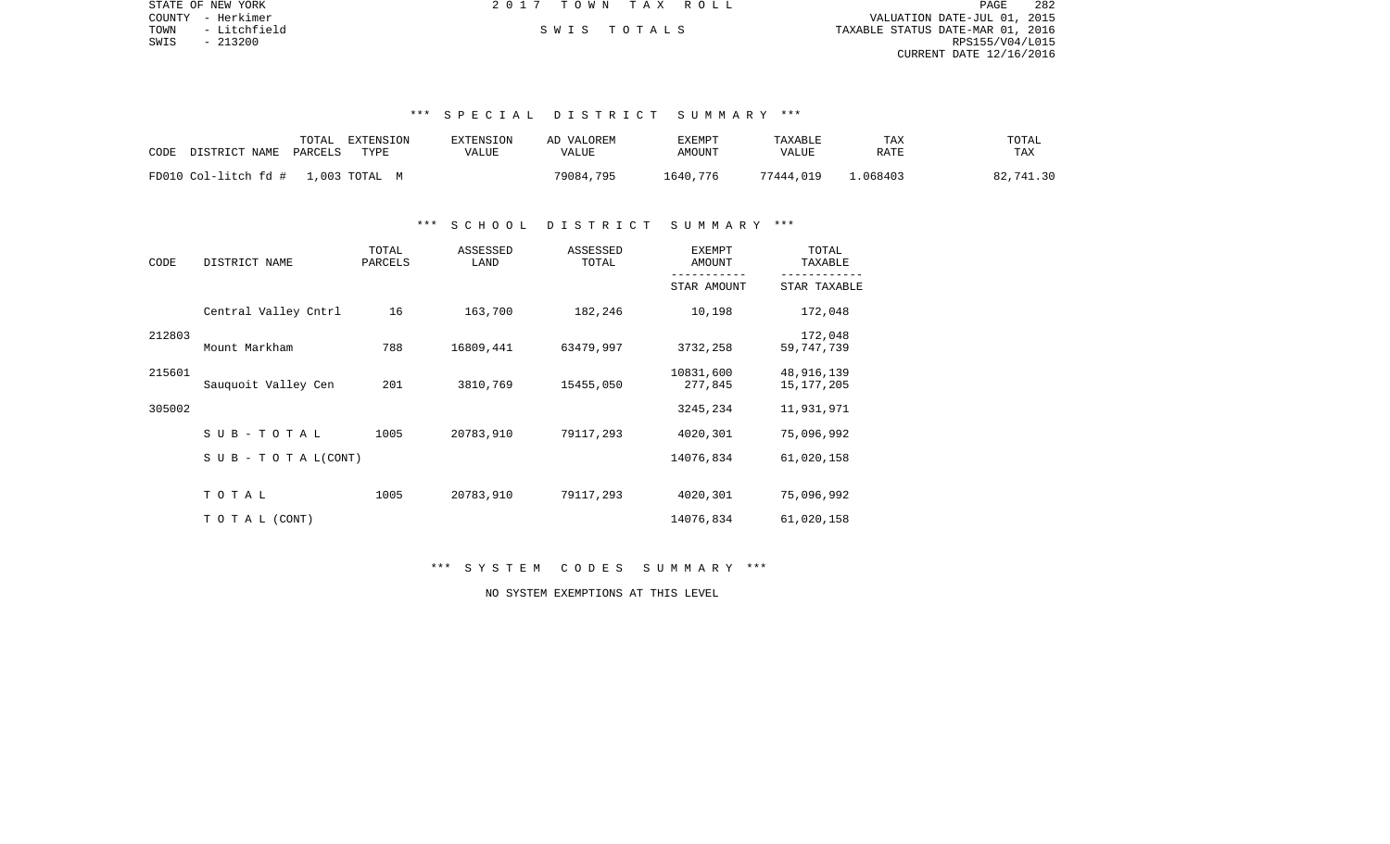| STATE OF NEW YORK    | 2017 TOWN TAX ROLL | 282<br>PAGE                      |
|----------------------|--------------------|----------------------------------|
| COUNTY - Herkimer    |                    | VALUATION DATE-JUL 01, 2015      |
| - Litchfield<br>TOWN | SWIS TOTALS        | TAXABLE STATUS DATE-MAR 01, 2016 |
| SWIS<br>- 213200     |                    | RPS155/V04/L015                  |
|                      |                    | CURRENT DATE 12/16/2016          |
|                      |                    |                                  |
|                      |                    |                                  |

#### \*\*\* S P E C I A L D I S T R I C T S U M M A R Y \*\*\*

| TOTAL<br>CODE<br>DISTRICT NAME<br>PARCELS | EXTENSION<br>TYPE | <b>EXTENSION</b><br>VALUE | AD VALOREM<br>VALUE | EXEMPT<br>AMOUNT | TAXABLE<br>VALUE | TAX<br>RATE | TOTAL<br>TAX |
|-------------------------------------------|-------------------|---------------------------|---------------------|------------------|------------------|-------------|--------------|
| FD010 Col-litch fd # 1,003 TOTAL M        |                   |                           | 79084,795           | 1640,776         | 77444,019        | .068403     | 82,741.30    |

#### \*\*\* S C H O O L D I S T R I C T S U M M A R Y \*\*\*

| CODE   | DISTRICT NAME                    | TOTAL<br>PARCELS | ASSESSED<br>LAND | ASSESSED<br>TOTAL | <b>EXEMPT</b><br>AMOUNT | TOTAL<br>TAXABLE           |
|--------|----------------------------------|------------------|------------------|-------------------|-------------------------|----------------------------|
|        |                                  |                  |                  |                   | STAR AMOUNT             | STAR TAXABLE               |
|        | Central Valley Cntrl             | 16               | 163,700          | 182,246           | 10,198                  | 172,048                    |
| 212803 | Mount Markham                    | 788              | 16809,441        | 63479,997         | 3732,258                | 172,048<br>59, 747, 739    |
| 215601 | Sauquoit Valley Cen              | 201              | 3810,769         | 15455,050         | 10831,600<br>277,845    | 48,916,139<br>15, 177, 205 |
| 305002 |                                  |                  |                  |                   | 3245,234                | 11,931,971                 |
|        | SUB-TOTAL                        | 1005             | 20783,910        | 79117,293         | 4020,301                | 75,096,992                 |
|        | $S \cup B - T \cup T A L (CONT)$ |                  |                  |                   | 14076,834               | 61,020,158                 |
|        | TOTAL                            | 1005             | 20783,910        | 79117,293         | 4020,301                | 75,096,992                 |
|        | T O T A L (CONT)                 |                  |                  |                   | 14076,834               | 61,020,158                 |

\*\*\* S Y S T E M C O D E S S U M M A R Y \*\*\*

NO SYSTEM EXEMPTIONS AT THIS LEVEL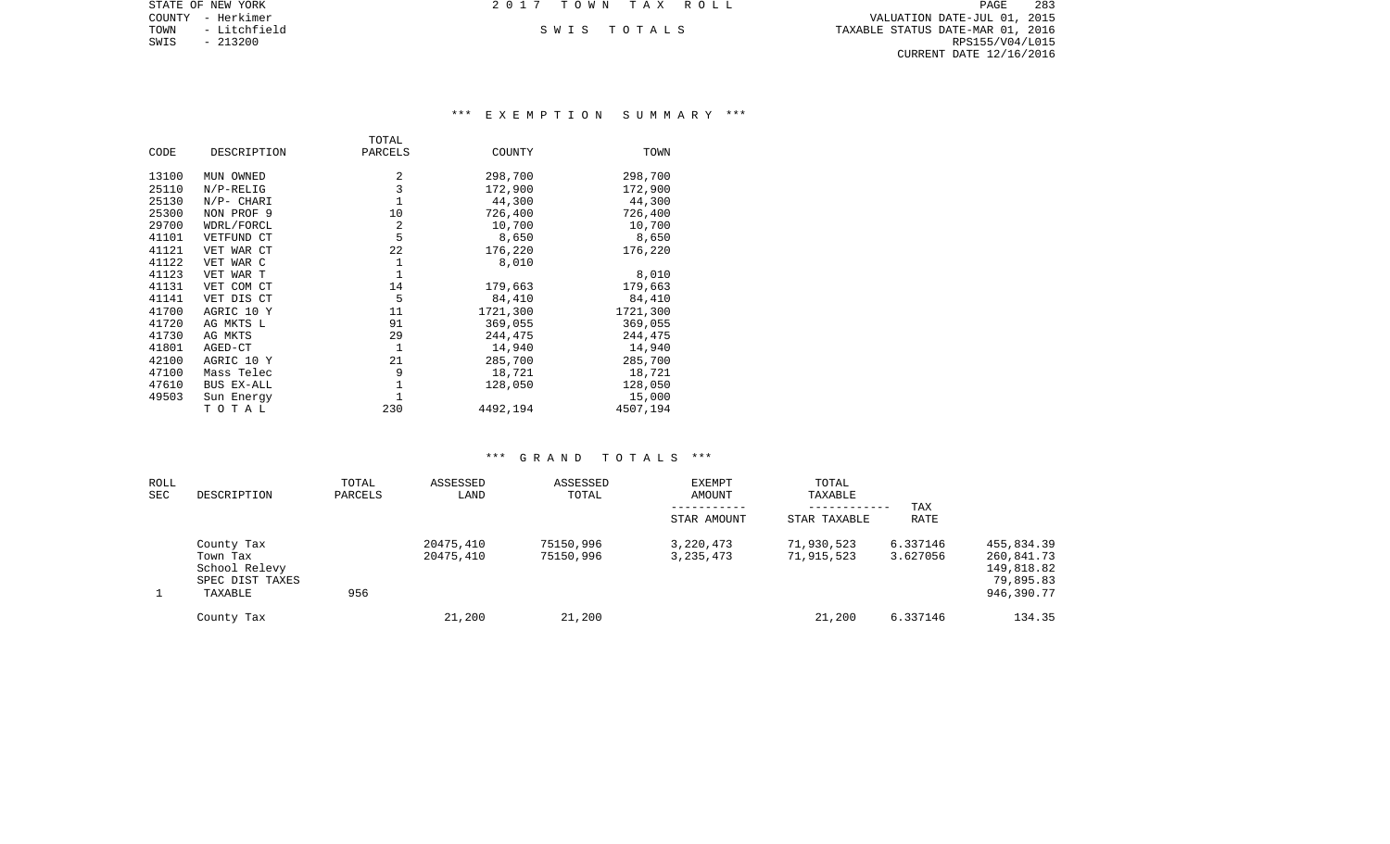| VALUATION DATE-JUL 01, 2015<br>COUNTY - Herkimer                        |  |
|-------------------------------------------------------------------------|--|
|                                                                         |  |
| TAXABLE STATUS DATE-MAR 01, 2016<br>- Litchfield<br>TOWN<br>SWIS TOTALS |  |
| RPS155/V04/L015<br>SWIS<br>- 213200                                     |  |
| CURRENT DATE 12/16/2016                                                 |  |

### \*\*\* E X E M P T I O N S U M M A R Y \*\*\*

|       |              | TOTAL        |          |          |
|-------|--------------|--------------|----------|----------|
| CODE  | DESCRIPTION  | PARCELS      | COUNTY   | TOWN     |
| 13100 | MUN OWNED    | 2            | 298,700  | 298,700  |
| 25110 | $N/P-RELLIG$ | 3            | 172,900  | 172,900  |
| 25130 | $N/P-$ CHARI | $\mathbf{1}$ | 44,300   | 44,300   |
| 25300 | NON PROF 9   | 10           | 726,400  | 726,400  |
| 29700 | WDRL/FORCL   | 2            | 10,700   | 10,700   |
| 41101 | VETFUND CT   | 5            | 8,650    | 8,650    |
| 41121 | VET WAR CT   | 22           | 176,220  | 176,220  |
| 41122 | VET WAR C    | 1            | 8,010    |          |
| 41123 | VET WAR T    | 1            |          | 8,010    |
| 41131 | VET COM CT   | 14           | 179,663  | 179,663  |
| 41141 | VET DIS CT   | 5            | 84,410   | 84,410   |
| 41700 | AGRIC 10 Y   | 11           | 1721,300 | 1721,300 |
| 41720 | AG MKTS L    | 91           | 369,055  | 369,055  |
| 41730 | AG MKTS      | 29           | 244,475  | 244,475  |
| 41801 | AGED-CT      | $\mathbf{1}$ | 14,940   | 14,940   |
| 42100 | AGRIC 10 Y   | 21           | 285,700  | 285,700  |
| 47100 | Mass Telec   | 9            | 18,721   | 18,721   |
| 47610 | BUS EX-ALL   | 1            | 128,050  | 128,050  |
| 49503 | Sun Energy   |              |          | 15,000   |
|       | TOTAL        | 230          | 4492,194 | 4507,194 |

| ROLL<br>SEC | DESCRIPTION                                                           | TOTAL<br>PARCELS | ASSESSED<br>LAND       | ASSESSED<br>TOTAL      | EXEMPT<br>AMOUNT         | TOTAL<br>TAXABLE<br>------------ | TAX                  |                                                                   |
|-------------|-----------------------------------------------------------------------|------------------|------------------------|------------------------|--------------------------|----------------------------------|----------------------|-------------------------------------------------------------------|
|             |                                                                       |                  |                        |                        | STAR AMOUNT              | STAR TAXABLE                     | RATE                 |                                                                   |
|             | County Tax<br>Town Tax<br>School Relevy<br>SPEC DIST TAXES<br>TAXABLE | 956              | 20475,410<br>20475,410 | 75150,996<br>75150,996 | 3,220,473<br>3, 235, 473 | 71,930,523<br>71,915,523         | 6.337146<br>3.627056 | 455,834.39<br>260,841.73<br>149,818.82<br>79,895.83<br>946,390.77 |
|             | County Tax                                                            |                  | 21,200                 | 21,200                 |                          | 21,200                           | 6.337146             | 134.35                                                            |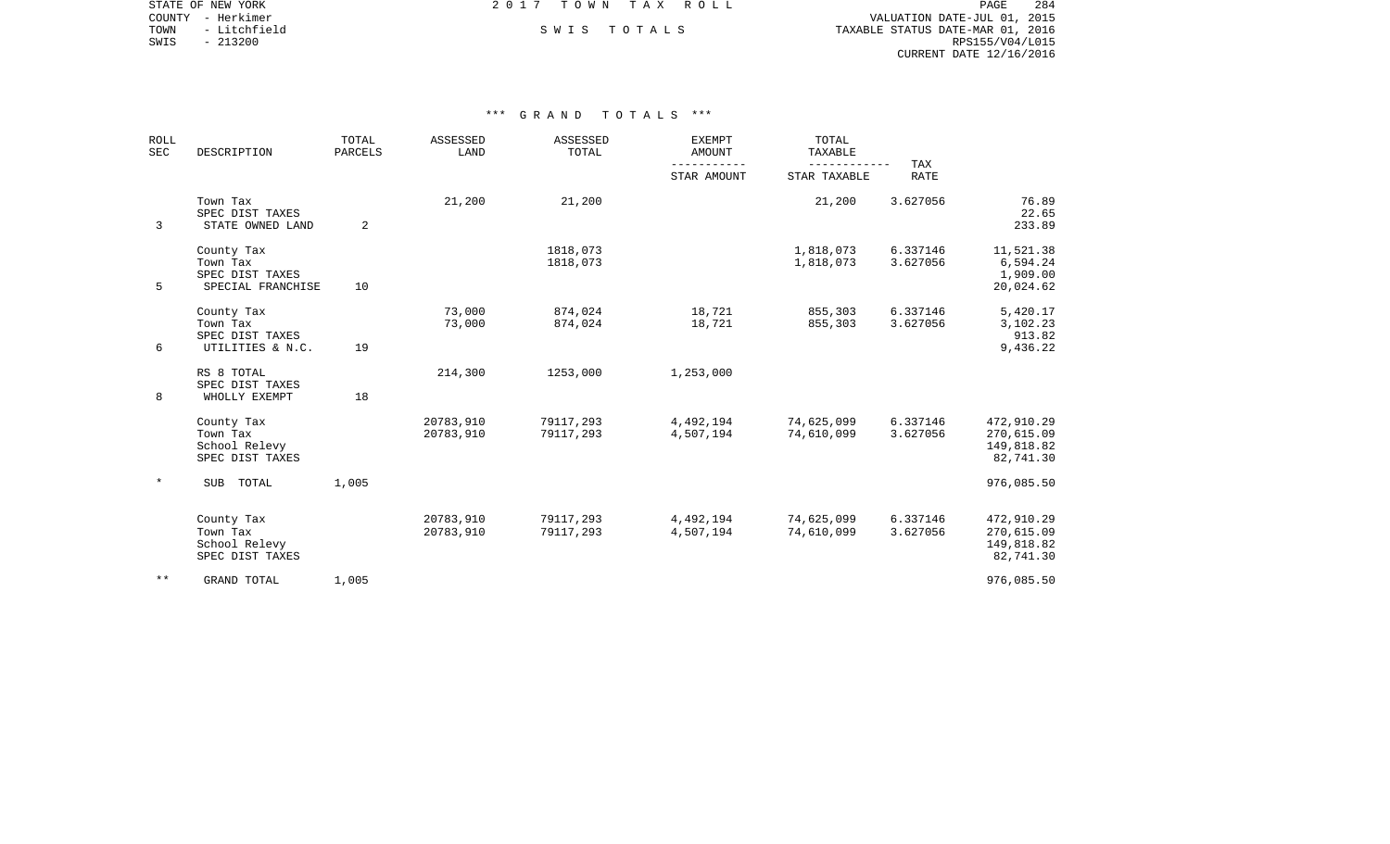COUNTY - Herkimer VALUATION DATE-JUL 01, 2015 TOWN - Litchfield S W I S T O T A L S TAXABLE STATUS DATE-MAR 01, 2016 EXAMPLE SWIS - 213200<br>SWIS - 213200<br>SWIS - 213200 RPS155/V04/L015 CURRENT DATE 12/16/2016

STATE OF NEW YORK **EXECUTE:**  $2017$  TOWN TAX ROLL

| <b>ROLL</b><br>SEC | DESCRIPTION                                                    | TOTAL<br>PARCELS | ASSESSED<br>LAND       | ASSESSED<br>TOTAL      | <b>EXEMPT</b><br>AMOUNT | TOTAL<br>TAXABLE         |                           |                                                     |
|--------------------|----------------------------------------------------------------|------------------|------------------------|------------------------|-------------------------|--------------------------|---------------------------|-----------------------------------------------------|
|                    |                                                                |                  |                        |                        | STAR AMOUNT             | STAR TAXABLE             | <b>TAX</b><br><b>RATE</b> |                                                     |
| 3                  | Town Tax<br>SPEC DIST TAXES<br>STATE OWNED LAND                | 2                | 21,200                 | 21,200                 |                         | 21,200                   | 3.627056                  | 76.89<br>22.65<br>233.89                            |
| 5                  | County Tax<br>Town Tax<br>SPEC DIST TAXES<br>SPECIAL FRANCHISE | 10               |                        | 1818,073<br>1818,073   |                         | 1,818,073<br>1,818,073   | 6.337146<br>3.627056      | 11,521.38<br>6,594.24<br>1,909.00<br>20,024.62      |
| 6                  | County Tax<br>Town Tax<br>SPEC DIST TAXES<br>UTILITIES & N.C.  | 19               | 73,000<br>73,000       | 874,024<br>874,024     | 18,721<br>18,721        | 855,303<br>855,303       | 6.337146<br>3.627056      | 5,420.17<br>3,102.23<br>913.82<br>9,436.22          |
| 8                  | RS 8 TOTAL<br>SPEC DIST TAXES<br>WHOLLY EXEMPT                 | 18               | 214,300                | 1253,000               | 1,253,000               |                          |                           |                                                     |
|                    | County Tax<br>Town Tax<br>School Relevy<br>SPEC DIST TAXES     |                  | 20783,910<br>20783,910 | 79117,293<br>79117,293 | 4,492,194<br>4,507,194  | 74,625,099<br>74,610,099 | 6.337146<br>3.627056      | 472,910.29<br>270,615.09<br>149,818.82<br>82,741.30 |
| $\star$            | <b>SUB</b><br>TOTAL                                            | 1,005            |                        |                        |                         |                          |                           | 976,085.50                                          |
|                    | County Tax<br>Town Tax<br>School Relevy<br>SPEC DIST TAXES     |                  | 20783,910<br>20783,910 | 79117,293<br>79117,293 | 4,492,194<br>4,507,194  | 74,625,099<br>74,610,099 | 6.337146<br>3.627056      | 472,910.29<br>270,615.09<br>149,818.82<br>82,741.30 |
| $\star\star$       | GRAND TOTAL                                                    | 1,005            |                        |                        |                         |                          |                           | 976,085.50                                          |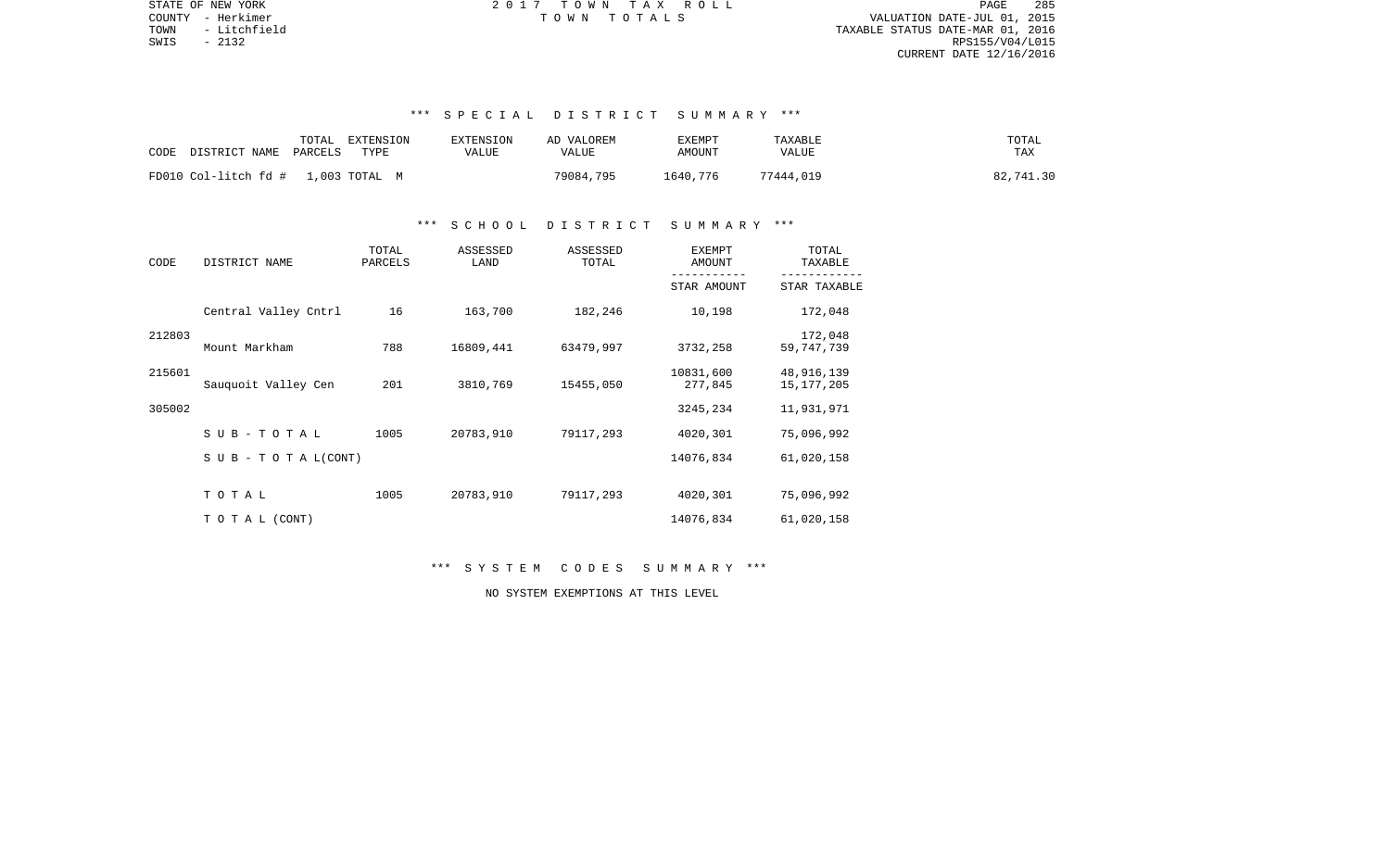STATE OF NEW YORK 2 0 1 7 T O W N T A X R O L L PAGE 285TOWN - Litchfield TAXABLE STATUS DATE-MAR 01, 2016 RPS155/V04/L015 CURRENT DATE 12/16/2016

COUNTY - Herkimer T O W N T O T A L S VALUATION DATE-JUL 01, 2015

# \*\*\* S P E C I A L D I S T R I C T S U M M A R Y \*\*\*

| TOTAL<br>DISTRICT NAME<br>CODE<br>PARCELS | EXTENSION<br><b>EXTENSION</b><br>TYPE<br>VALUE | AD VALOREM<br>VALUE | EXEMPT<br>AMOUNT | TAXABLE<br>VALUE | TOTAL<br>TAX |
|-------------------------------------------|------------------------------------------------|---------------------|------------------|------------------|--------------|
| FD010 Col-litch fd # 1,003 TOTAL M        |                                                | 79084,795           | 1640,776         | 77444.019        | 82,741.30    |

#### \*\*\* S C H O O L D I S T R I C T S U M M A R Y \*\*\*

| CODE   | DISTRICT NAME                    | TOTAL<br>PARCELS | ASSESSED<br>LAND | ASSESSED<br>TOTAL | <b>EXEMPT</b><br>AMOUNT | TOTAL<br>TAXABLE           |  |
|--------|----------------------------------|------------------|------------------|-------------------|-------------------------|----------------------------|--|
|        |                                  |                  |                  |                   | STAR AMOUNT             | STAR TAXABLE               |  |
|        | Central Valley Cntrl             | 16               | 163,700          | 182,246           | 10,198                  | 172,048                    |  |
| 212803 | Mount Markham                    | 788              | 16809,441        | 63479,997         | 3732,258                | 172,048<br>59, 747, 739    |  |
| 215601 | Sauquoit Valley Cen              | 201              | 3810,769         | 15455,050         | 10831,600<br>277,845    | 48,916,139<br>15, 177, 205 |  |
| 305002 |                                  |                  |                  |                   | 3245,234                | 11,931,971                 |  |
|        | SUB-TOTAL                        | 1005             | 20783,910        | 79117,293         | 4020,301                | 75,096,992                 |  |
|        | $S \cup B - T \cup T A L (CONT)$ |                  |                  |                   | 14076,834               | 61,020,158                 |  |
|        | TOTAL                            | 1005             | 20783,910        | 79117,293         | 4020,301                | 75,096,992                 |  |
|        | T O T A L (CONT)                 |                  |                  |                   | 14076,834               | 61,020,158                 |  |

\*\*\* S Y S T E M C O D E S S U M M A R Y \*\*\*

NO SYSTEM EXEMPTIONS AT THIS LEVEL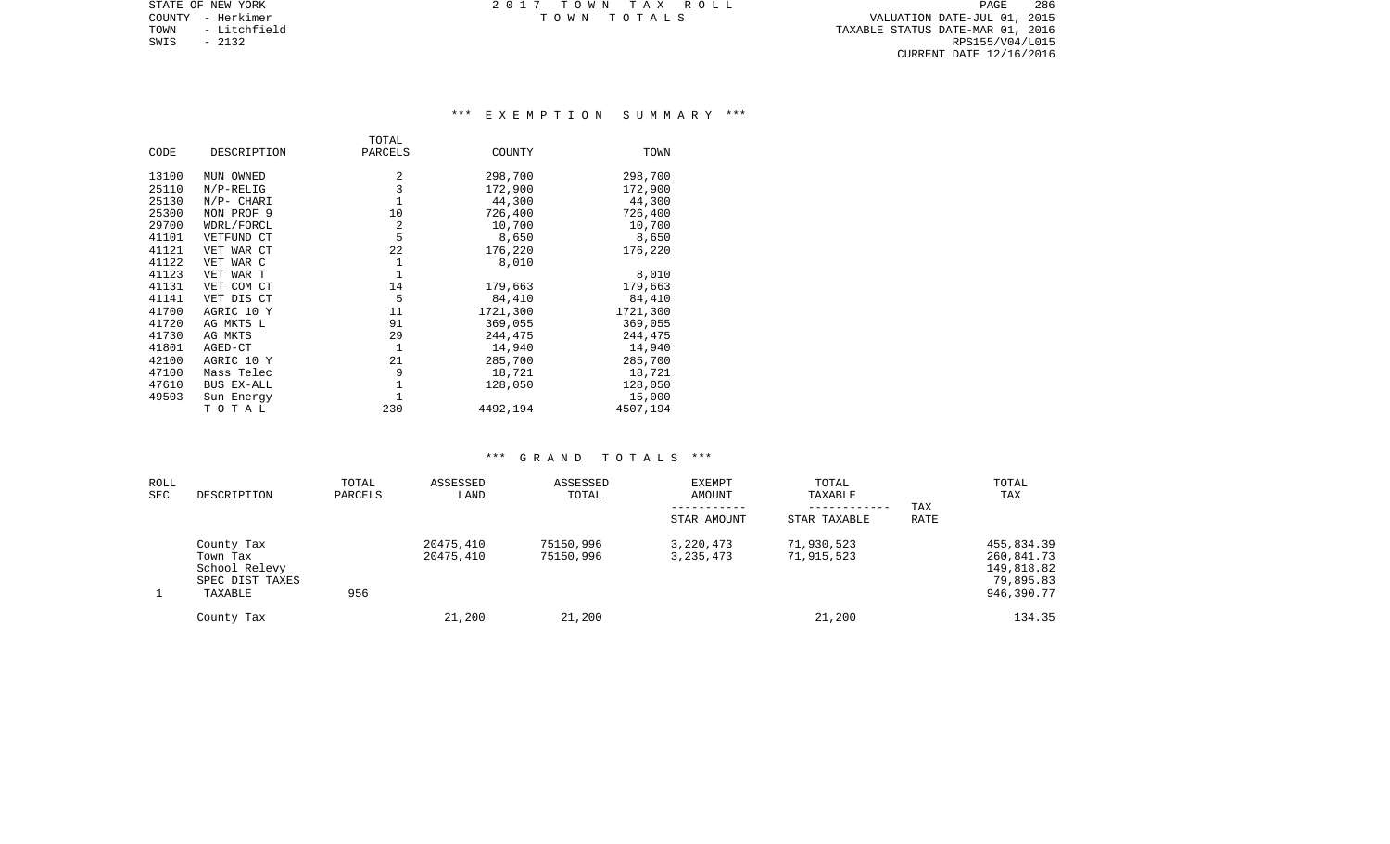STATE OF NEW YORK **EXECUTE:**  $2017$  TOWN TAX ROLL COUNTY - Herkimer T O W N T O T A L S VALUATION DATE-JUL 01, 2015

TOWN - Litchfield TAXABLE STATUS DATE-MAR 01, 2016 SWIS - 2132 RPS155/V04/L015 CURRENT DATE 12/16/2016

### \*\*\* E X E M P T I O N S U M M A R Y \*\*\*

|       |              | TOTAL        |          |          |
|-------|--------------|--------------|----------|----------|
| CODE  | DESCRIPTION  | PARCELS      | COUNTY   | TOWN     |
| 13100 | MUN OWNED    | 2            | 298,700  | 298,700  |
| 25110 | $N/P-RELIG$  | 3            | 172,900  | 172,900  |
| 25130 | $N/P-$ CHARI | $\mathbf{1}$ | 44,300   | 44,300   |
| 25300 | NON PROF 9   | 10           | 726,400  | 726,400  |
| 29700 | WDRL/FORCL   | 2            | 10,700   | 10,700   |
| 41101 | VETFUND CT   | 5            | 8,650    | 8,650    |
| 41121 | VET WAR CT   | 22           | 176,220  | 176,220  |
| 41122 | VET WAR C    | 1            | 8,010    |          |
| 41123 | VET WAR T    | 1            |          | 8,010    |
| 41131 | VET COM CT   | 14           | 179,663  | 179,663  |
| 41141 | VET DIS CT   | 5            | 84,410   | 84,410   |
| 41700 | AGRIC 10 Y   | 11           | 1721,300 | 1721,300 |
| 41720 | AG MKTS L    | 91           | 369,055  | 369,055  |
| 41730 | AG MKTS      | 29           | 244,475  | 244,475  |
| 41801 | AGED-CT      | $\mathbf{1}$ | 14,940   | 14,940   |
| 42100 | AGRIC 10 Y   | 21           | 285,700  | 285,700  |
| 47100 | Mass Telec   | 9            | 18,721   | 18,721   |
| 47610 | BUS EX-ALL   | 1            | 128,050  | 128,050  |
| 49503 | Sun Energy   |              |          | 15,000   |
|       | TOTAL        | 230          | 4492,194 | 4507,194 |

| ROLL<br>SEC | DESCRIPTION                                                           | TOTAL<br>PARCELS | ASSESSED<br>LAND       | ASSESSED<br>TOTAL      | EXEMPT<br>AMOUNT<br>STAR AMOUNT | TOTAL<br>TAXABLE<br>STAR TAXABLE | TAX<br>RATE | TOTAL<br>TAX                                                      |
|-------------|-----------------------------------------------------------------------|------------------|------------------------|------------------------|---------------------------------|----------------------------------|-------------|-------------------------------------------------------------------|
|             | County Tax<br>Town Tax<br>School Relevy<br>SPEC DIST TAXES<br>TAXABLE | 956              | 20475,410<br>20475,410 | 75150,996<br>75150,996 | 3,220,473<br>3, 235, 473        | 71,930,523<br>71,915,523         |             | 455,834.39<br>260,841.73<br>149,818.82<br>79,895.83<br>946,390.77 |
|             | County Tax                                                            |                  | 21,200                 | 21,200                 |                                 | 21,200                           |             | 134.35                                                            |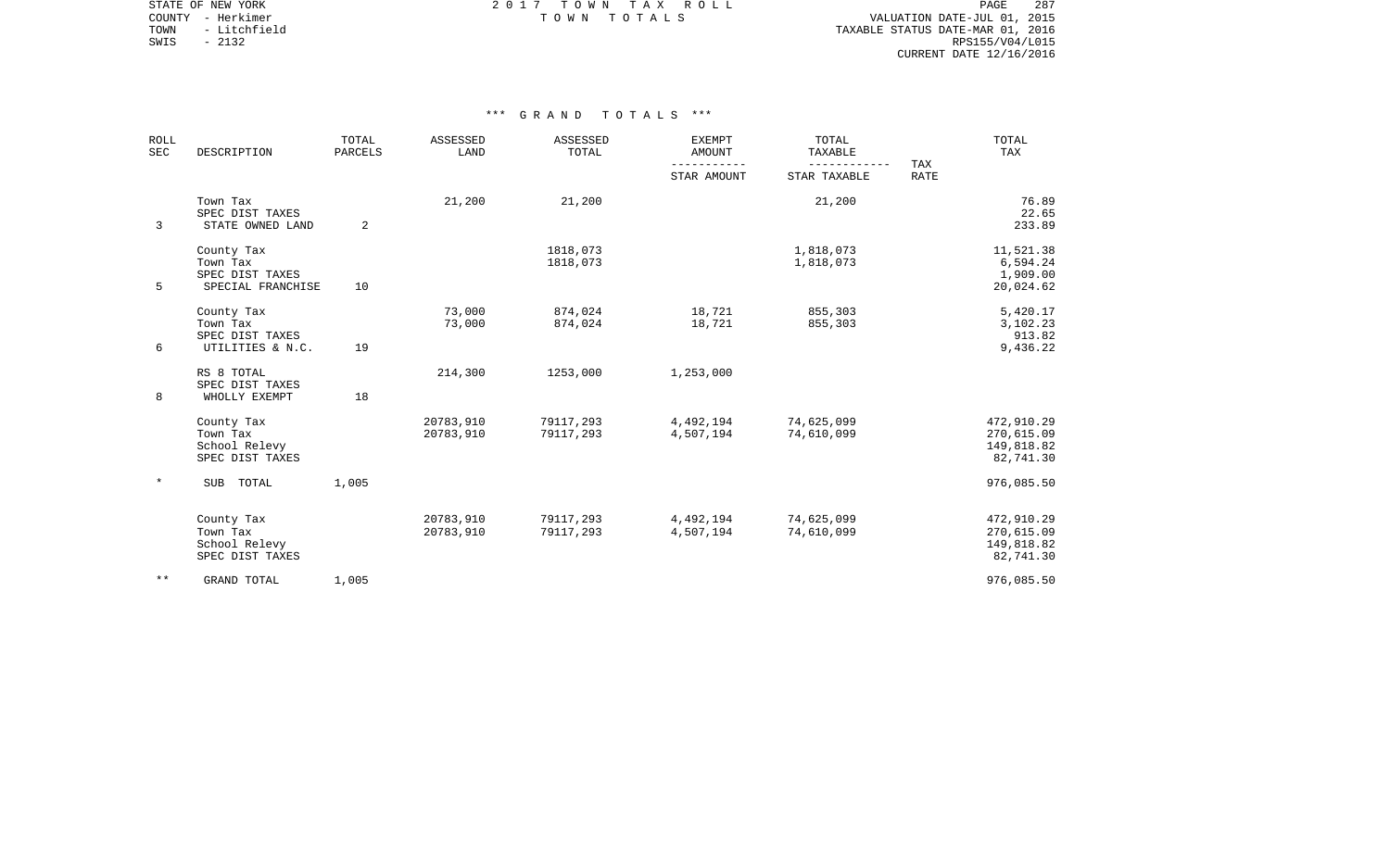STATE OF NEW YORK **EXECUTE:** TOWN TAX ROLL COUNTY - Herkimer T O W N T O T A L S VALUATION DATE-JUL 01, 2015

TOWN - Litchfield TAXABLE STATUS DATE-MAR 01, 2016 SWIS - 2132<br>
SWIS - 2132<br>
SWIS - 2132<br>
RPS155/V04/L015 CURRENT DATE 12/16/2016

| <b>ROLL</b><br>SEC | DESCRIPTION                                                    | TOTAL<br><b>PARCELS</b> | ASSESSED<br>LAND       | ASSESSED<br>TOTAL      | <b>EXEMPT</b><br><b>AMOUNT</b> | TOTAL<br>TAXABLE         |                           | TOTAL<br>TAX                                        |
|--------------------|----------------------------------------------------------------|-------------------------|------------------------|------------------------|--------------------------------|--------------------------|---------------------------|-----------------------------------------------------|
|                    |                                                                |                         |                        |                        | STAR AMOUNT                    | STAR TAXABLE             | <b>TAX</b><br><b>RATE</b> |                                                     |
| 3                  | Town Tax<br>SPEC DIST TAXES<br>STATE OWNED LAND                | 2                       | 21,200                 | 21,200                 |                                | 21,200                   |                           | 76.89<br>22.65<br>233.89                            |
| 5                  | County Tax<br>Town Tax<br>SPEC DIST TAXES<br>SPECIAL FRANCHISE | 10                      |                        | 1818,073<br>1818,073   |                                | 1,818,073<br>1,818,073   |                           | 11,521.38<br>6,594.24<br>1,909.00<br>20,024.62      |
| 6                  | County Tax<br>Town Tax<br>SPEC DIST TAXES<br>UTILITIES & N.C.  | 19                      | 73,000<br>73,000       | 874,024<br>874,024     | 18,721<br>18,721               | 855,303<br>855,303       |                           | 5,420.17<br>3,102.23<br>913.82<br>9,436.22          |
| 8                  | RS 8 TOTAL<br>SPEC DIST TAXES<br>WHOLLY EXEMPT                 | 18                      | 214,300                | 1253,000               | 1,253,000                      |                          |                           |                                                     |
|                    | County Tax<br>Town Tax<br>School Relevy<br>SPEC DIST TAXES     |                         | 20783,910<br>20783,910 | 79117,293<br>79117,293 | 4,492,194<br>4,507,194         | 74,625,099<br>74,610,099 |                           | 472,910.29<br>270,615.09<br>149,818.82<br>82,741.30 |
| $\star$            | TOTAL<br><b>SUB</b>                                            | 1,005                   |                        |                        |                                |                          |                           | 976,085.50                                          |
|                    | County Tax<br>Town Tax<br>School Relevy<br>SPEC DIST TAXES     |                         | 20783,910<br>20783,910 | 79117,293<br>79117,293 | 4,492,194<br>4,507,194         | 74,625,099<br>74,610,099 |                           | 472,910.29<br>270,615.09<br>149,818.82<br>82,741.30 |
| $* *$              | GRAND TOTAL                                                    | 1,005                   |                        |                        |                                |                          |                           | 976,085.50                                          |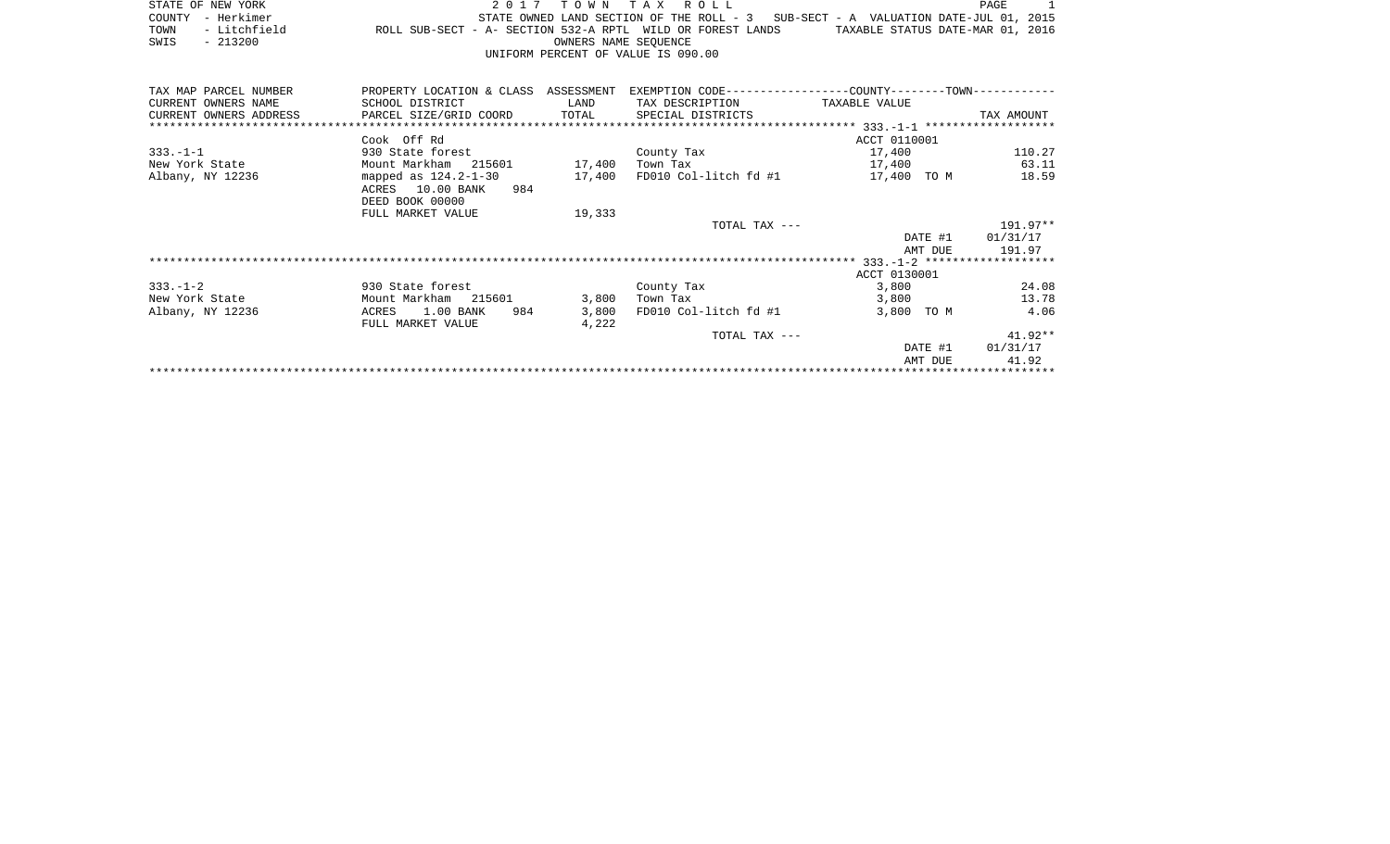| STATE OF NEW YORK |                                    |                   |                                                            |  |  |  |  |                      |  |  | 2017 TOWN TAX ROLL |  |                                                                                    | PAGE |  |
|-------------------|------------------------------------|-------------------|------------------------------------------------------------|--|--|--|--|----------------------|--|--|--------------------|--|------------------------------------------------------------------------------------|------|--|
| COUNTY - Herkimer |                                    |                   |                                                            |  |  |  |  |                      |  |  |                    |  | STATE OWNED LAND SECTION OF THE ROLL $-3$ SUB-SECT - A VALUATION DATE-JUL 01, 2015 |      |  |
|                   |                                    | TOWN - Litchfield | ROLL SUB-SECT - A- SECTION 532-A RPTL WILD OR FOREST LANDS |  |  |  |  |                      |  |  |                    |  | TAXABLE STATUS DATE-MAR 01, 2016                                                   |      |  |
| SWIS              |                                    | - 213200          |                                                            |  |  |  |  | OWNERS NAME SEOUENCE |  |  |                    |  |                                                                                    |      |  |
|                   | UNIFORM PERCENT OF VALUE IS 090.00 |                   |                                                            |  |  |  |  |                      |  |  |                    |  |                                                                                    |      |  |

| TAX MAP PARCEL NUMBER  | PROPERTY LOCATION & CLASS ASSESSMENT           |        | EXEMPTION CODE-----------------COUNTY-------TOWN----------- |               |            |
|------------------------|------------------------------------------------|--------|-------------------------------------------------------------|---------------|------------|
| CURRENT OWNERS NAME    | SCHOOL DISTRICT                                | LAND   | TAX DESCRIPTION                                             | TAXABLE VALUE |            |
| CURRENT OWNERS ADDRESS | PARCEL SIZE/GRID COORD TOTAL SPECIAL DISTRICTS |        |                                                             |               | TAX AMOUNT |
|                        |                                                |        |                                                             |               |            |
|                        | Cook Off Rd                                    |        |                                                             | ACCT 0110001  |            |
| $333. - 1 - 1$         | 930 State forest                               |        | County Tax                                                  | 17,400        | 110.27     |
| New York State         | Mount Markham 215601 17,400                    |        | Town Tax                                                    | 17,400        | 63.11      |
| Albany, NY 12236       | mapped as $124.2 - 1 - 30$                     | 17,400 | FD010 Col-litch fd #1                                       | 17,400 TO M   | 18.59      |
|                        | ACRES 10.00 BANK<br>984                        |        |                                                             |               |            |
|                        | DEED BOOK 00000                                |        |                                                             |               |            |
|                        | FULL MARKET VALUE                              | 19,333 |                                                             |               |            |
|                        |                                                |        | TOTAL TAX ---                                               |               | 191.97**   |
|                        |                                                |        |                                                             | DATE #1       | 01/31/17   |
|                        |                                                |        |                                                             | AMT DUE       | 191.97     |
|                        |                                                |        |                                                             |               |            |
|                        |                                                |        |                                                             | ACCT 0130001  |            |
| $333. - 1 - 2$         | 930 State forest                               |        | County Tax                                                  | 3,800         | 24.08      |
| New York State         | Mount Markham 215601                           | 3,800  | Town Tax                                                    | 3,800         | 13.78      |
| Albany, NY 12236       | 1.00 BANK<br>ACRES<br>984                      | 3,800  | FD010 Col-litch fd #1                                       | 3,800 TO M    | 4.06       |
|                        | FULL MARKET VALUE                              | 4,222  |                                                             |               |            |
|                        |                                                |        | TOTAL TAX ---                                               |               | $41.92**$  |
|                        |                                                |        |                                                             | DATE #1       | 01/31/17   |
|                        |                                                |        |                                                             | AMT DUE       | 41.92      |
|                        |                                                |        |                                                             |               |            |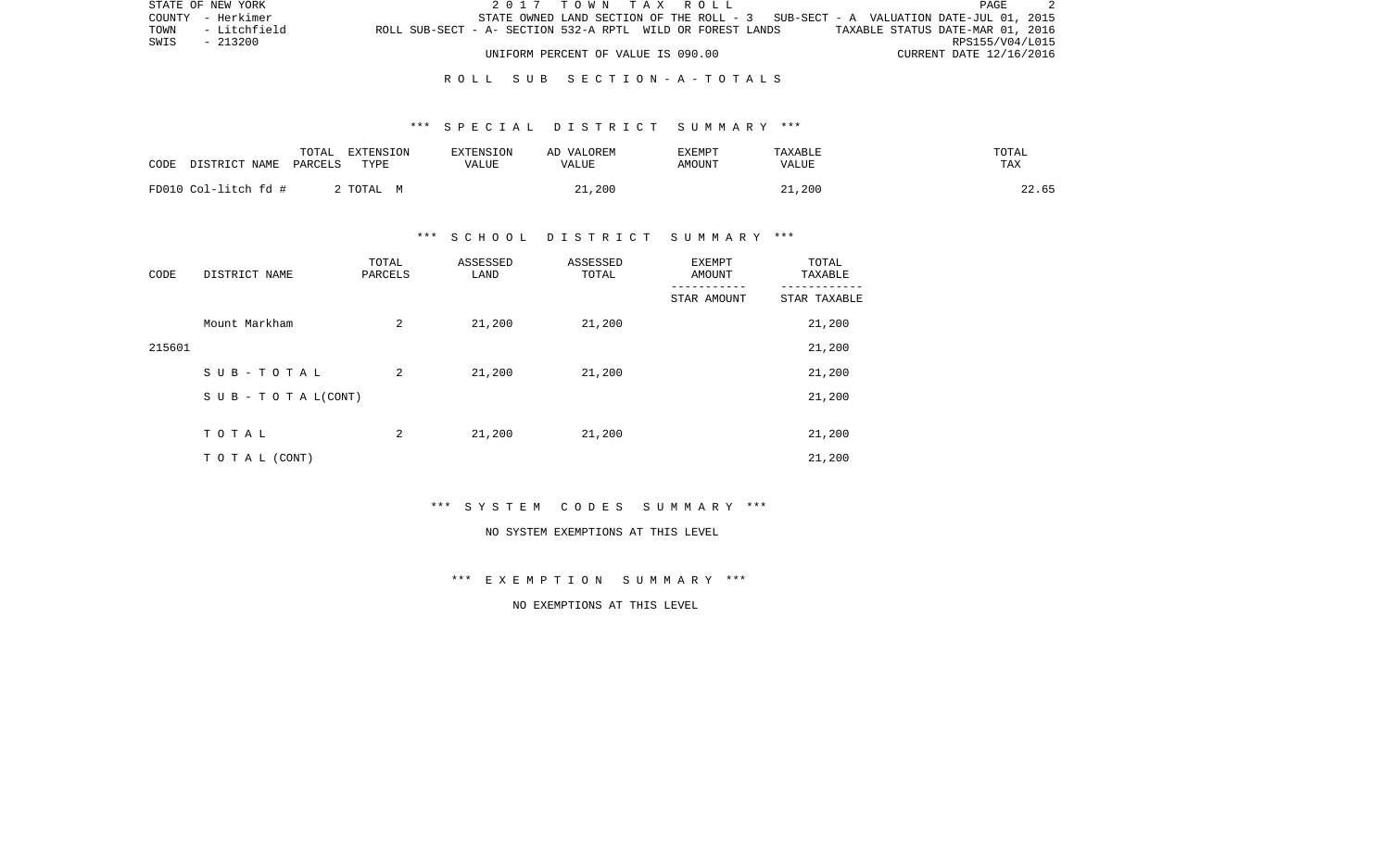|      | STATE OF NEW YORK |                                                            | 2017 TOWN TAX ROLL                                                                |  |  |  |  | PAGE                             |  |
|------|-------------------|------------------------------------------------------------|-----------------------------------------------------------------------------------|--|--|--|--|----------------------------------|--|
|      | COUNTY - Herkimer |                                                            | STATE OWNED LAND SECTION OF THE ROLL - 3 SUB-SECT - A VALUATION DATE-JUL 01, 2015 |  |  |  |  |                                  |  |
|      | TOWN - Litchfield | ROLL SUB-SECT - A- SECTION 532-A RPTL WILD OR FOREST LANDS |                                                                                   |  |  |  |  | TAXABLE STATUS DATE-MAR 01, 2016 |  |
| SWIS | - 213200          |                                                            |                                                                                   |  |  |  |  | RPS155/V04/L015                  |  |
|      |                   |                                                            | UNIFORM PERCENT OF VALUE IS 090.00                                                |  |  |  |  | CURRENT DATE 12/16/2016          |  |

### R O L L S U B S E C T I O N - A - T O T A L S

### \*\*\* S P E C I A L D I S T R I C T S U M M A R Y \*\*\*

| CODE                 | TOTAL   | EXTENSION | <b>EXTENSION</b> | AD VALOREM | <b>EXEMPT</b> | TAXABLE | TOTAL |
|----------------------|---------|-----------|------------------|------------|---------------|---------|-------|
| DISTRICT NAME        | PARCELS | TYPE      | VALUE            | VALUE      | AMOUNT        | VALUE   | TAX   |
| FD010 Col-litch fd # |         | 2 ТОТАЬ М |                  | 21,200     |               | 21,200  | 22.65 |

### \*\*\* S C H O O L D I S T R I C T S U M M A R Y \*\*\*

| CODE   | DISTRICT NAME                    | TOTAL<br>PARCELS | ASSESSED<br>LAND | ASSESSED<br>TOTAL | <b>EXEMPT</b><br>AMOUNT | TOTAL<br>TAXABLE |
|--------|----------------------------------|------------------|------------------|-------------------|-------------------------|------------------|
|        |                                  |                  |                  |                   | STAR AMOUNT             | STAR TAXABLE     |
|        | Mount Markham                    | 2                | 21,200           | 21,200            |                         | 21,200           |
| 215601 |                                  |                  |                  |                   |                         | 21,200           |
|        | SUB-TOTAL                        | 2                | 21,200           | 21,200            |                         | 21,200           |
|        | $S \cup B - T \cup T A L (CONT)$ |                  |                  |                   |                         | 21,200           |
|        |                                  |                  |                  |                   |                         |                  |
|        | TOTAL                            | 2                | 21,200           | 21,200            |                         | 21,200           |
|        | T O T A L (CONT)                 |                  |                  |                   |                         | 21,200           |

\*\*\* S Y S T E M C O D E S S U M M A R Y \*\*\*

#### NO SYSTEM EXEMPTIONS AT THIS LEVEL

\*\*\* E X E M P T I O N S U M M A R Y \*\*\*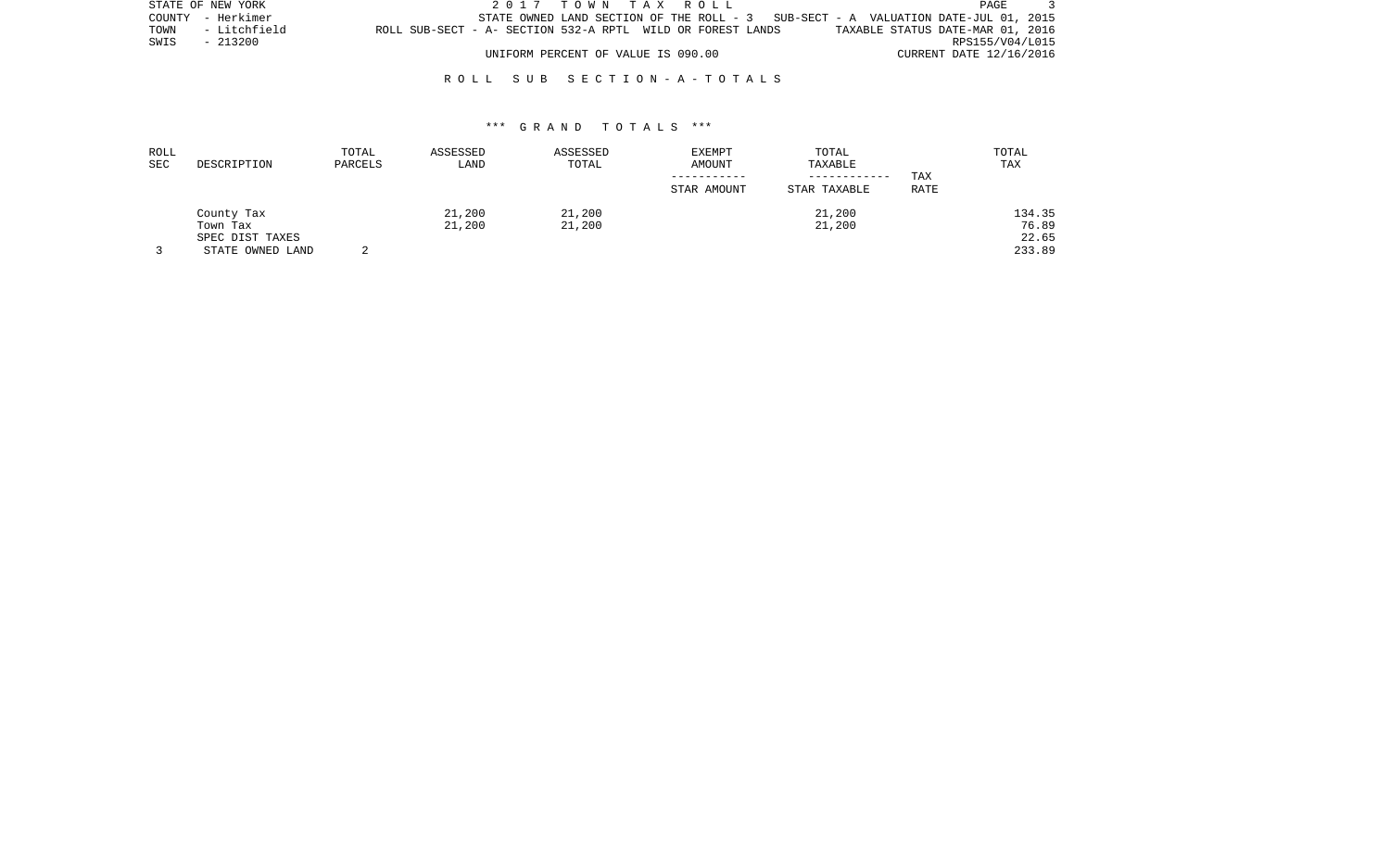|      | STATE OF NEW YORK |                                                            |  | 2017 TOWN TAX ROLL                 |  |  |  |                                                                                   | PAGE |  |
|------|-------------------|------------------------------------------------------------|--|------------------------------------|--|--|--|-----------------------------------------------------------------------------------|------|--|
|      | COUNTY - Herkimer |                                                            |  |                                    |  |  |  | STATE OWNED LAND SECTION OF THE ROLL - 3 SUB-SECT - A VALUATION DATE-JUL 01, 2015 |      |  |
|      | TOWN - Litchfield | ROLL SUB-SECT - A- SECTION 532-A RPTL WILD OR FOREST LANDS |  |                                    |  |  |  | TAXABLE STATUS DATE-MAR 01, 2016                                                  |      |  |
| SWIS | - 213200          |                                                            |  |                                    |  |  |  | RPS155/V04/L015                                                                   |      |  |
|      |                   |                                                            |  | UNIFORM PERCENT OF VALUE IS 090.00 |  |  |  | CURRENT DATE 12/16/2016                                                           |      |  |

### R O L L S U B S E C T I O N - A - T O T A L S

### \*\*\* G R A N D T O T A L S \*\*\*

| ROLL<br>SEC | DESCRIPTION                         | TOTAL<br>PARCELS | ASSESSED<br>LAND | ASSESSED<br>TOTAL | EXEMPT<br>AMOUNT<br>STAR AMOUNT | TOTAL<br>TAXABLE<br>STAR TAXABLE | TAX<br>RATE | TOTAL<br>TAX    |
|-------------|-------------------------------------|------------------|------------------|-------------------|---------------------------------|----------------------------------|-------------|-----------------|
|             | County Tax<br>Town Tax              |                  | 21,200<br>21,200 | 21,200<br>21,200  |                                 | 21,200<br>21,200                 |             | 134.35<br>76.89 |
|             | SPEC DIST TAXES<br>STATE OWNED LAND |                  |                  |                   |                                 |                                  |             | 22.65<br>233.89 |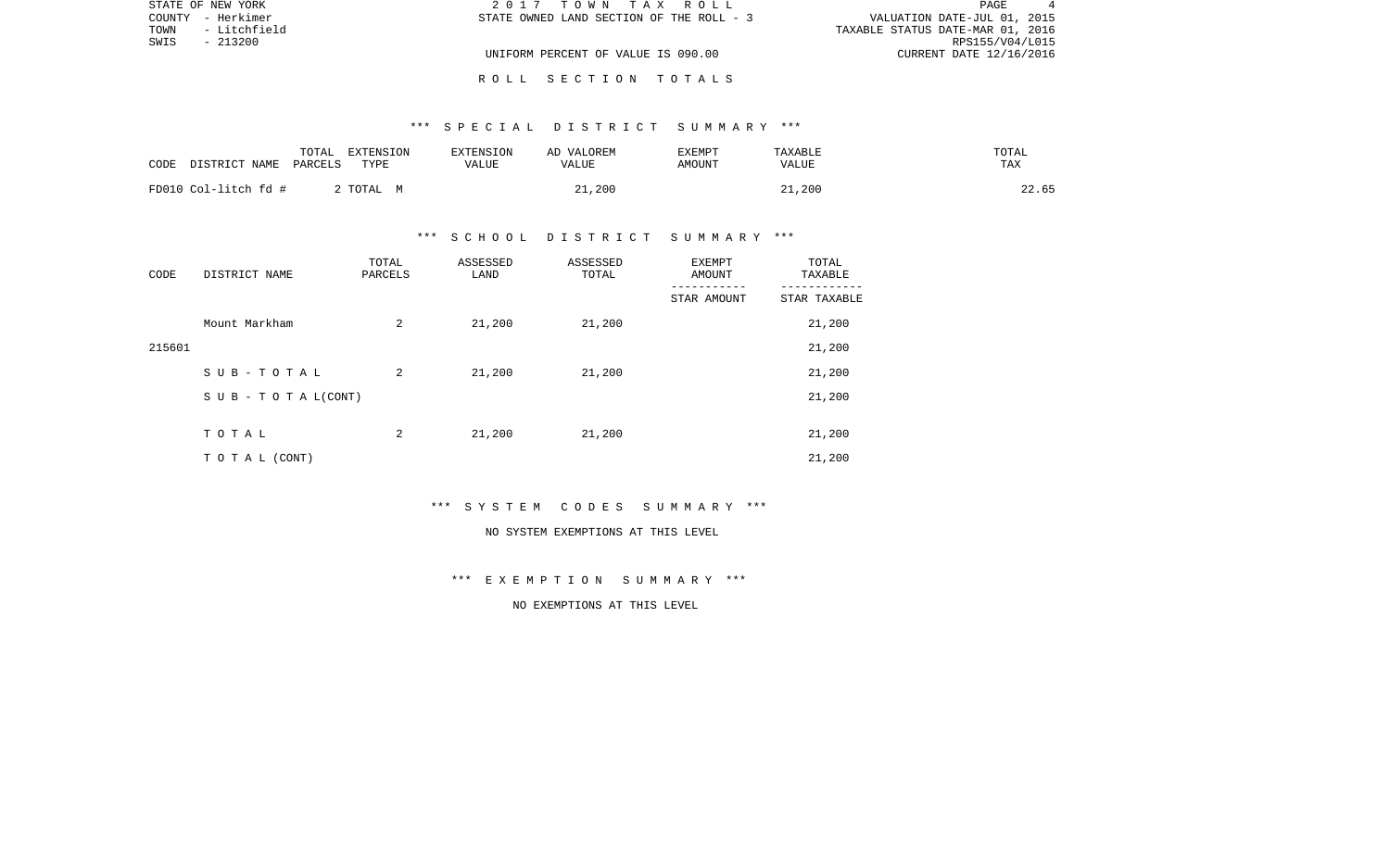| STATE OF NEW YORK    | 2017 TOWN TAX ROLL                       | PAGE                             |
|----------------------|------------------------------------------|----------------------------------|
| COUNTY - Herkimer    | STATE OWNED LAND SECTION OF THE ROLL - 3 | VALUATION DATE-JUL 01, 2015      |
| TOWN<br>- Litchfield |                                          | TAXABLE STATUS DATE-MAR 01, 2016 |
| SWIS<br>$-213200$    |                                          | RPS155/V04/L015                  |
|                      | UNIFORM PERCENT OF VALUE IS 090.00       | CURRENT DATE 12/16/2016          |
|                      |                                          |                                  |

R O L L S E C T I O N T O T A L S

### \*\*\* S P E C I A L D I S T R I C T S U M M A R Y \*\*\*

| DISTRICT NAME<br>CODE | TOTAL<br>EXTENSION<br>PARCELS<br>TYPE | EXTENSION<br>VALUE | AD VALOREM<br>VALUE | EXEMPT<br>AMOUNT | TAXABLE<br>VALUE | TOTAL<br>TAX |
|-----------------------|---------------------------------------|--------------------|---------------------|------------------|------------------|--------------|
| FD010 Col-litch fd #  | 2 TOTAL M                             |                    | 21,200              |                  | 21,200           | 22.65        |

## \*\*\* S C H O O L D I S T R I C T S U M M A R Y \*\*\*

| CODE   | DISTRICT NAME                    | TOTAL<br>PARCELS | ASSESSED<br>LAND | ASSESSED<br>TOTAL | EXEMPT<br>AMOUNT | TOTAL<br>TAXABLE |
|--------|----------------------------------|------------------|------------------|-------------------|------------------|------------------|
|        |                                  |                  |                  |                   | STAR AMOUNT      | STAR TAXABLE     |
|        | Mount Markham                    | 2                | 21,200           | 21,200            |                  | 21,200           |
| 215601 |                                  |                  |                  |                   |                  | 21,200           |
|        | SUB-TOTAL                        | 2                | 21,200           | 21,200            |                  | 21,200           |
|        | $S \cup B - T \cup T A L (CONT)$ |                  |                  |                   |                  | 21,200           |
|        |                                  |                  |                  |                   |                  |                  |
|        | TOTAL                            | 2                | 21,200           | 21,200            |                  | 21,200           |
|        | T O T A L (CONT)                 |                  |                  |                   |                  | 21,200           |

\*\*\* S Y S T E M C O D E S S U M M A R Y \*\*\*

#### NO SYSTEM EXEMPTIONS AT THIS LEVEL

\*\*\* E X E M P T I O N S U M M A R Y \*\*\*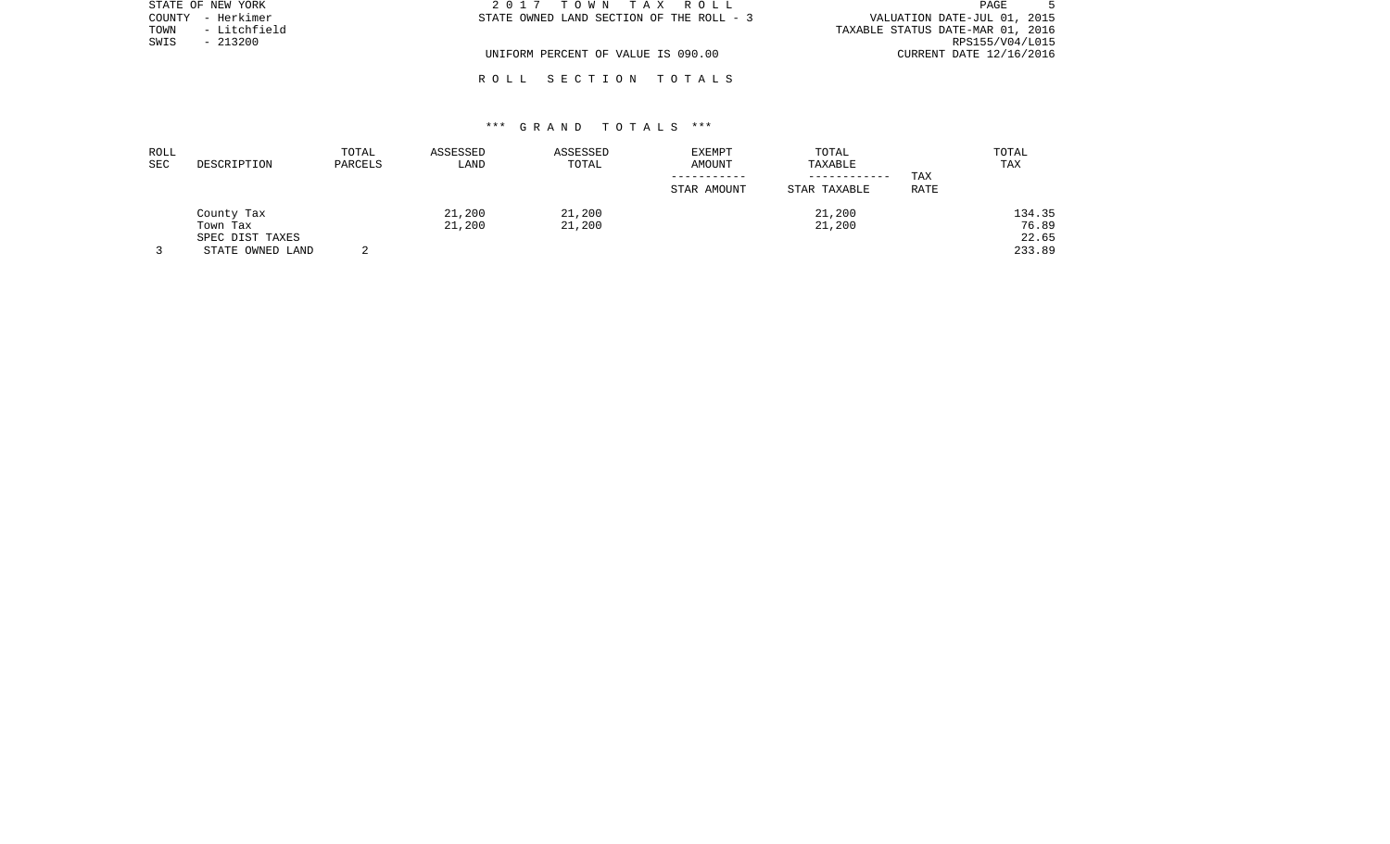| STATE OF NEW YORK    | 2017 TOWN TAX ROLL                       | PAGE                             |
|----------------------|------------------------------------------|----------------------------------|
| COUNTY - Herkimer    | STATE OWNED LAND SECTION OF THE ROLL - 3 | VALUATION DATE-JUL 01, 2015      |
| - Litchfield<br>TOWN |                                          | TAXABLE STATUS DATE-MAR 01, 2016 |
| $-213200$<br>SWIS    |                                          | RPS155/V04/L015                  |
|                      | UNIFORM PERCENT OF VALUE IS 090.00       | CURRENT DATE 12/16/2016          |
|                      |                                          |                                  |

### \*\*\* G R A N D T O T A L S \*\*\*

R O L L S E C T I O N T O T A L S

| ROLL |                  | TOTAL   | ASSESSED | ASSESSED | EXEMPT      | TOTAL        |             | TOTAL  |
|------|------------------|---------|----------|----------|-------------|--------------|-------------|--------|
| SEC  | DESCRIPTION      | PARCELS | LAND     | TOTAL    | AMOUNT      | TAXABLE      |             | TAX    |
|      |                  |         |          |          |             |              | TAX         |        |
|      |                  |         |          |          | STAR AMOUNT | STAR TAXABLE | <b>RATE</b> |        |
|      | County Tax       |         | 21,200   | 21,200   |             | 21,200       |             | 134.35 |
|      | Town Tax         |         | 21,200   | 21,200   |             | 21,200       |             | 76.89  |
|      | SPEC DIST TAXES  |         |          |          |             |              |             | 22.65  |
|      | STATE OWNED LAND | ∠       |          |          |             |              |             | 233.89 |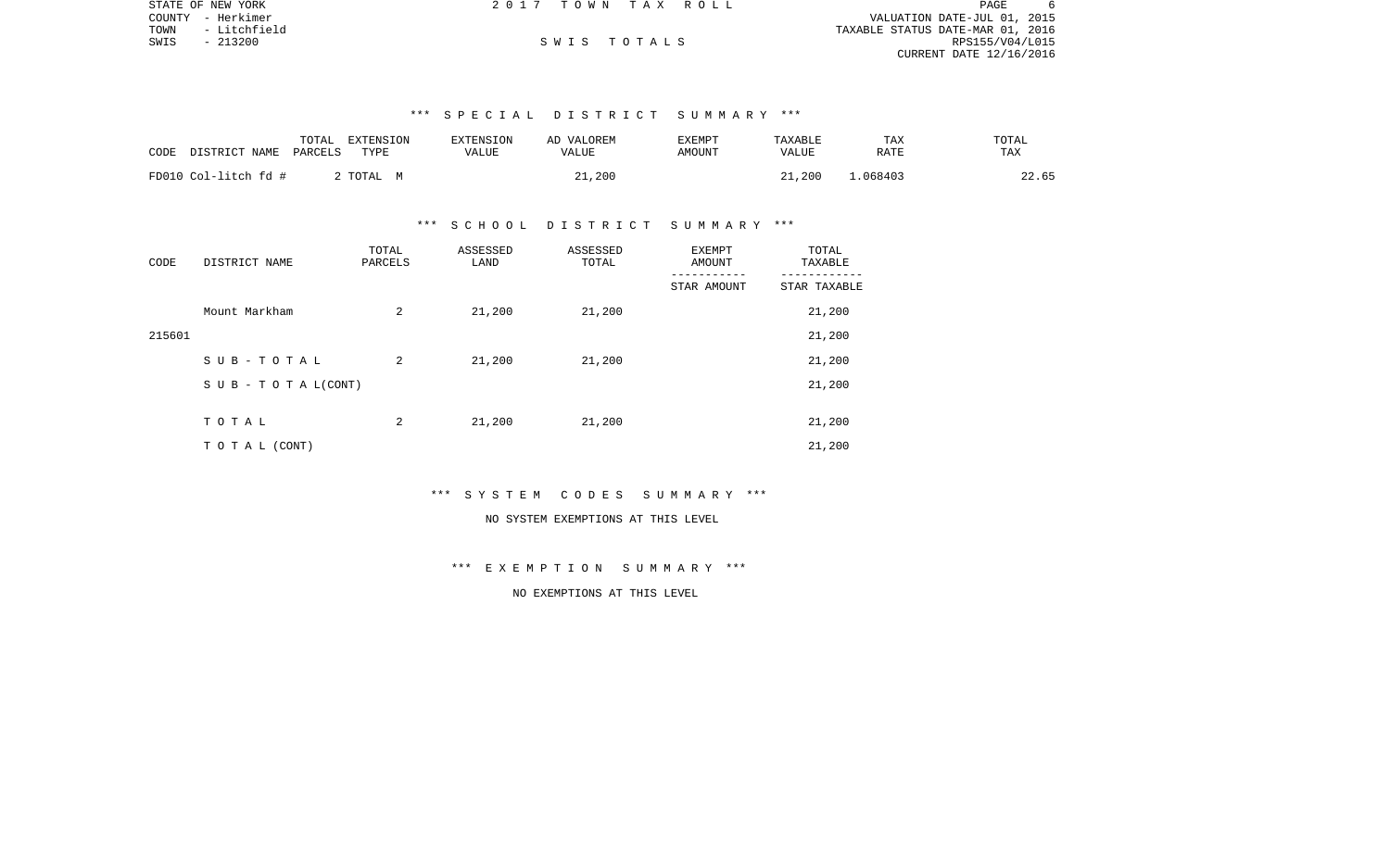|      | STATE OF NEW YORK | 2017 TOWN TAX ROLL |  | PAGE                             | 6 |
|------|-------------------|--------------------|--|----------------------------------|---|
|      | COUNTY - Herkimer |                    |  | VALUATION DATE-JUL 01, 2015      |   |
|      | TOWN - Litchfield |                    |  | TAXABLE STATUS DATE-MAR 01, 2016 |   |
| SWIS | $-213200$         | SWIS TOTALS        |  | RPS155/V04/L015                  |   |
|      |                   |                    |  | CURRENT DATE 12/16/2016          |   |

# \*\*\* S P E C I A L D I S T R I C T S U M M A R Y \*\*\*

| CODE<br>DISTRICT NAME | TOTAL<br>EXTENSION<br>TYPE<br>PARCELS | <b>EXTENSION</b><br>VALUE | AD VALOREM<br>VALUE | EXEMPT<br>AMOUNT | TAXABLE<br>VALUE | TAX<br>RATE | TOTAL<br>TAX |
|-----------------------|---------------------------------------|---------------------------|---------------------|------------------|------------------|-------------|--------------|
| FD010 Col-litch fd #  | 2 TOTAL M                             |                           | 21,200              |                  | 21,200           | .068403     | 22.65        |

#### \*\*\* S C H O O L D I S T R I C T S U M M A R Y \*\*\*

| CODE   | DISTRICT NAME                    | TOTAL<br>PARCELS | ASSESSED<br>LAND | ASSESSED<br>TOTAL | <b>EXEMPT</b><br>AMOUNT | TOTAL<br>TAXABLE |  |
|--------|----------------------------------|------------------|------------------|-------------------|-------------------------|------------------|--|
|        |                                  |                  |                  |                   | STAR AMOUNT             | STAR TAXABLE     |  |
|        | Mount Markham                    | 2                | 21,200           | 21,200            |                         | 21,200           |  |
| 215601 |                                  |                  |                  |                   |                         | 21,200           |  |
|        | SUB-TOTAL                        | 2                | 21,200           | 21,200            |                         | 21,200           |  |
|        | $S \cup B - T \cup T A L (CONT)$ |                  |                  |                   |                         | 21,200           |  |
|        |                                  |                  |                  |                   |                         |                  |  |
|        | TOTAL                            | 2                | 21,200           | 21,200            |                         | 21,200           |  |
|        | T O T A L (CONT)                 |                  |                  |                   |                         | 21,200           |  |

### \*\*\* S Y S T E M C O D E S S U M M A R Y \*\*\*

# NO SYSTEM EXEMPTIONS AT THIS LEVEL

## \*\*\* E X E M P T I O N S U M M A R Y \*\*\*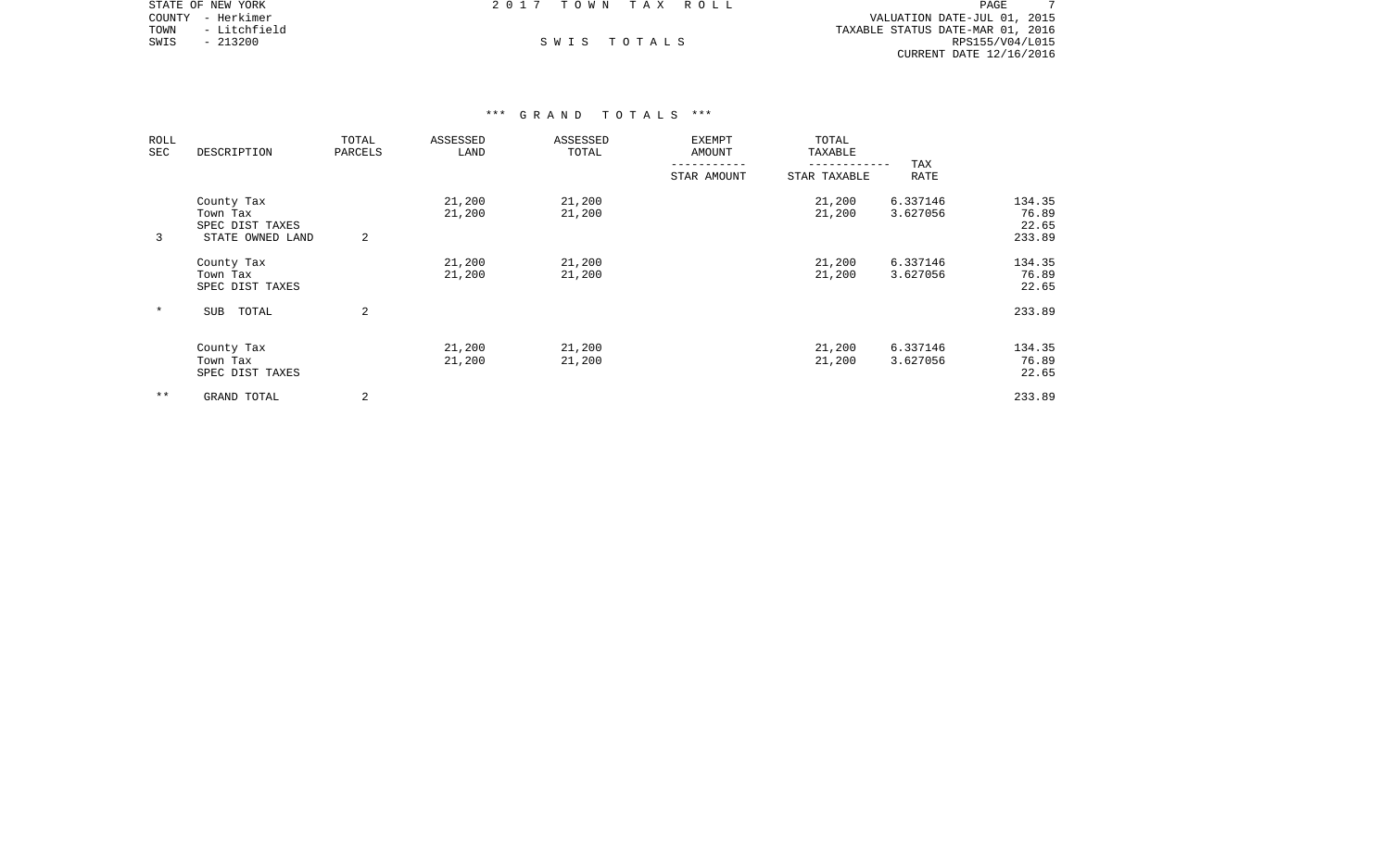|      | STATE OF NEW YORK | 2017 TOWN TAX ROLL |             | PAGE                             |  |
|------|-------------------|--------------------|-------------|----------------------------------|--|
|      | COUNTY - Herkimer |                    |             | VALUATION DATE-JUL 01, 2015      |  |
| TOWN | - Litchfield      |                    |             | TAXABLE STATUS DATE-MAR 01, 2016 |  |
| SWIS | - 213200          |                    | SWIS TOTALS | RPS155/V04/L015                  |  |
|      |                   |                    |             | CURRENT DATE 12/16/2016          |  |

# \*\*\* G R A N D T O T A L S \*\*\*

| ROLL<br>SEC | DESCRIPTION                                                   | TOTAL<br>PARCELS | ASSESSED<br>LAND | ASSESSED<br>TOTAL | <b>EXEMPT</b><br>AMOUNT | TOTAL<br>TAXABLE                          |                      |                                    |
|-------------|---------------------------------------------------------------|------------------|------------------|-------------------|-------------------------|-------------------------------------------|----------------------|------------------------------------|
|             |                                                               |                  |                  |                   | STAR AMOUNT             | - - - - - - - - - - - - -<br>STAR TAXABLE | TAX<br>RATE          |                                    |
| 3           | County Tax<br>Town Tax<br>SPEC DIST TAXES<br>STATE OWNED LAND | 2                | 21,200<br>21,200 | 21,200<br>21,200  |                         | 21,200<br>21,200                          | 6.337146<br>3.627056 | 134.35<br>76.89<br>22.65<br>233.89 |
|             | County Tax<br>Town Tax<br>SPEC DIST TAXES                     |                  | 21,200<br>21,200 | 21,200<br>21,200  |                         | 21,200<br>21,200                          | 6.337146<br>3.627056 | 134.35<br>76.89<br>22.65           |
| $\ast$      | SUB<br>TOTAL                                                  | 2                |                  |                   |                         |                                           |                      | 233.89                             |
|             | County Tax<br>Town Tax<br>SPEC DIST TAXES                     |                  | 21,200<br>21,200 | 21,200<br>21,200  |                         | 21,200<br>21,200                          | 6.337146<br>3.627056 | 134.35<br>76.89<br>22.65           |
| $* *$       | GRAND TOTAL                                                   | 2                |                  |                   |                         |                                           |                      | 233.89                             |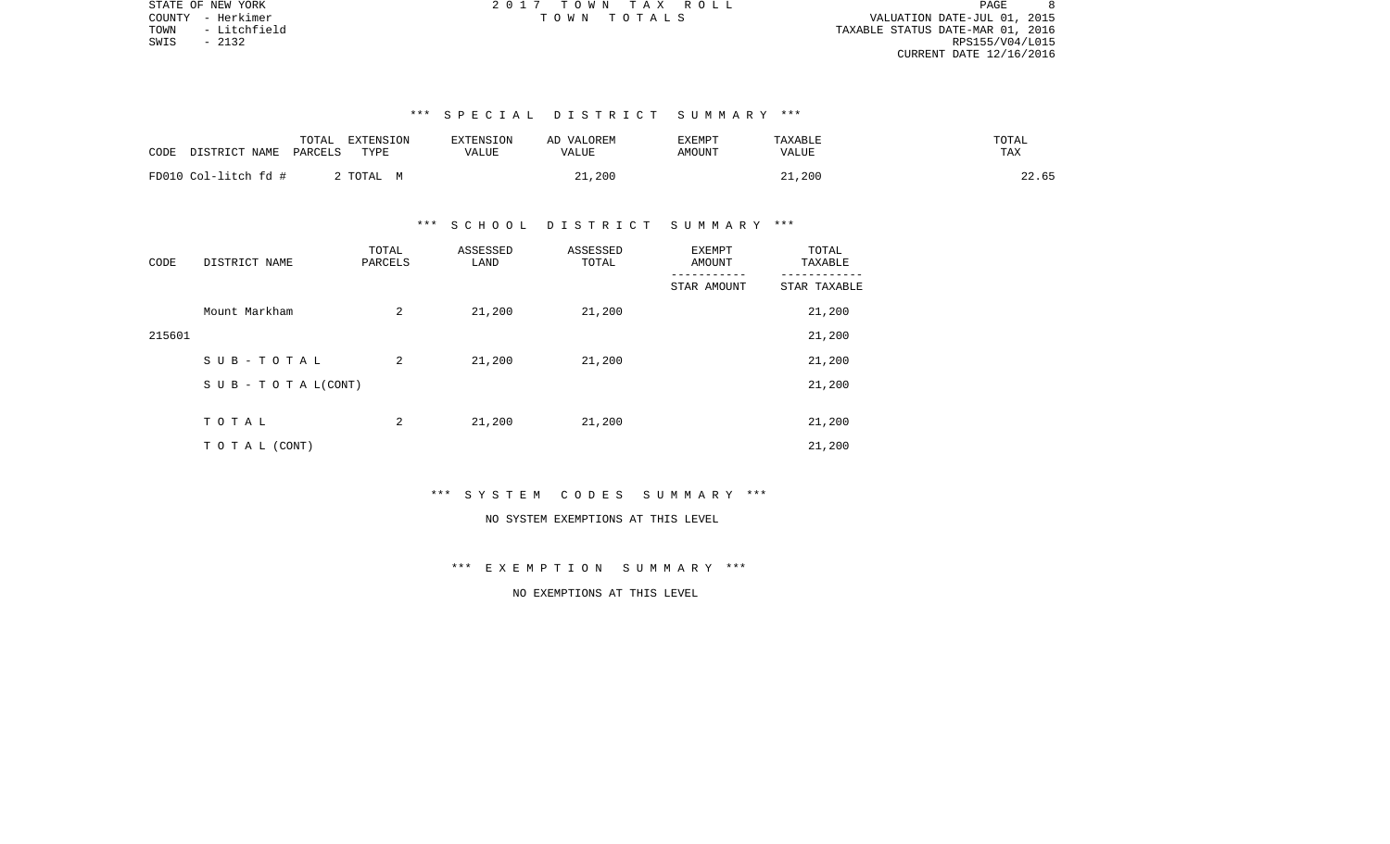$8<sup>8</sup>$ COUNTY - Herkimer T O W N T O T A L S VALUATION DATE-JUL 01, 2015 TOWN - Litchfield TAXABLE STATUS DATE-MAR 01, 2016 RPS155/V04/L015 CURRENT DATE 12/16/2016

STATE OF NEW YORK 2 0 1 7 T O W N T A X R O L L PAGE 8

# \*\*\* S P E C I A L D I S T R I C T S U M M A R Y \*\*\*

| TOTAL<br>CODE<br>DISTRICT NAME<br>PARCELS | EXTENSION<br>TYPE | <b>EXTENSION</b><br>VALUE | AD VALOREM<br>VALUE | <b>EXEMPT</b><br>AMOUNT | TAXABLE<br><b>VALUE</b> | TOTAL<br>TAX |
|-------------------------------------------|-------------------|---------------------------|---------------------|-------------------------|-------------------------|--------------|
| FD010 Col-litch fd #                      | TOTAI,<br>. M     |                           | 21,200              |                         | 21,200                  | 22.65        |

#### \*\*\* S C H O O L D I S T R I C T S U M M A R Y \*\*\*

| CODE   | DISTRICT NAME                    | TOTAL<br>PARCELS | ASSESSED<br>LAND | ASSESSED<br>TOTAL | EXEMPT<br>AMOUNT | TOTAL<br>TAXABLE |  |
|--------|----------------------------------|------------------|------------------|-------------------|------------------|------------------|--|
|        |                                  |                  |                  |                   | STAR AMOUNT      | STAR TAXABLE     |  |
|        | Mount Markham                    | 2                | 21,200           | 21,200            |                  | 21,200           |  |
| 215601 |                                  |                  |                  |                   |                  | 21,200           |  |
|        | SUB-TOTAL                        | 2                | 21,200           | 21,200            |                  | 21,200           |  |
|        | $S \cup B - T \cup T A L (CONT)$ |                  |                  |                   |                  | 21,200           |  |
|        |                                  |                  |                  |                   |                  |                  |  |
|        | TOTAL                            | 2                | 21,200           | 21,200            |                  | 21,200           |  |
|        | T O T A L (CONT)                 |                  |                  |                   |                  | 21,200           |  |

# \*\*\* S Y S T E M C O D E S S U M M A R Y \*\*\*

# NO SYSTEM EXEMPTIONS AT THIS LEVEL

## \*\*\* E X E M P T I O N S U M M A R Y \*\*\*